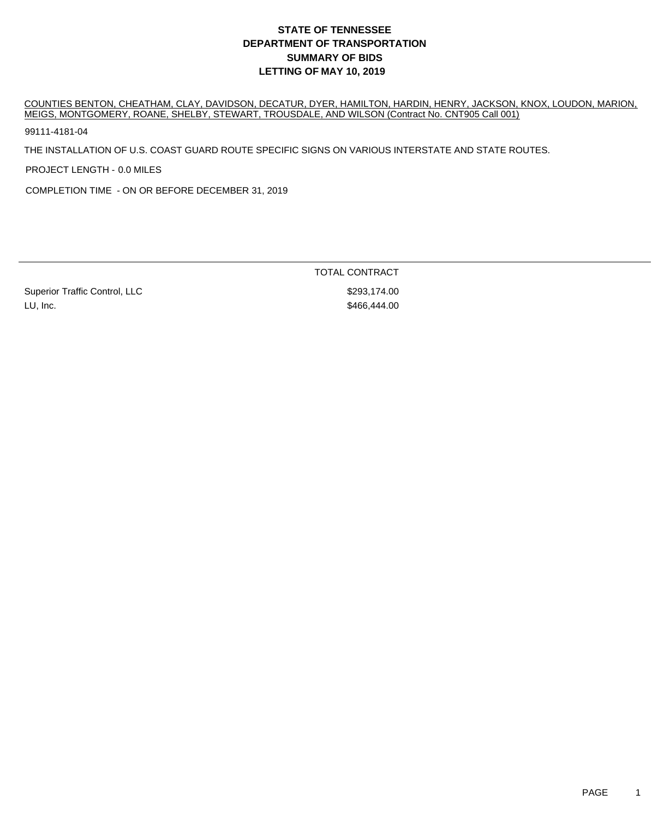COUNTIES BENTON, CHEATHAM, CLAY, DAVIDSON, DECATUR, DYER, HAMILTON, HARDIN, HENRY, JACKSON, KNOX, LOUDON, MARION, MEIGS, MONTGOMERY, ROANE, SHELBY, STEWART, TROUSDALE, AND WILSON (Contract No. CNT905 Call 001)

99111-4181-04

THE INSTALLATION OF U.S. COAST GUARD ROUTE SPECIFIC SIGNS ON VARIOUS INTERSTATE AND STATE ROUTES.

PROJECT LENGTH - 0.0 MILES

COMPLETION TIME - ON OR BEFORE DECEMBER 31, 2019

Superior Traffic Control, LLC \$293,174.00 LU, Inc. \$466,444.00

TOTAL CONTRACT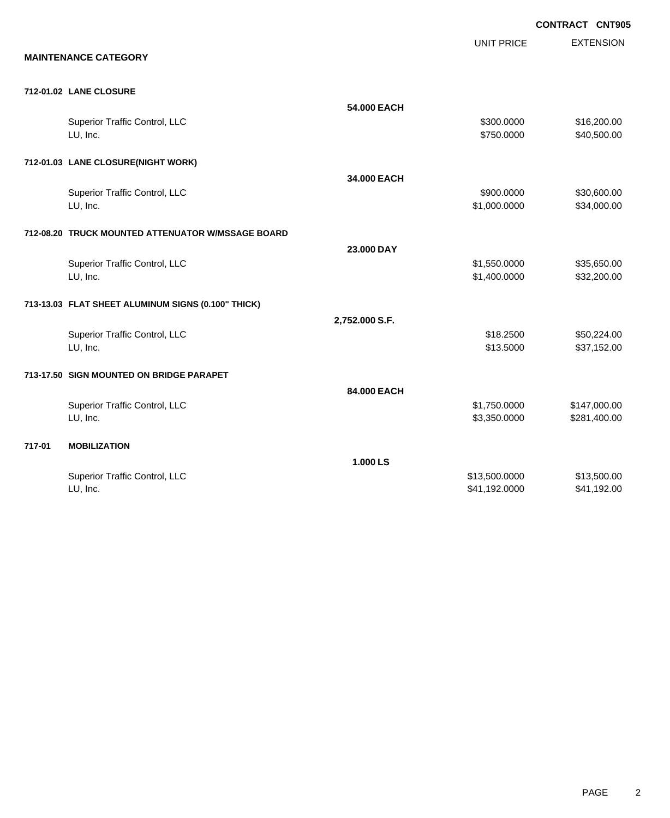**EXTENSION CONTRACT CNT905** UNIT PRICE **MAINTENANCE CATEGORY 712-01.02 LANE CLOSURE 54.000 EACH** Superior Traffic Control, LLC 6300.000 \$16,200.00 LU, Inc. \$750.0000 \$40,500.00 **712-01.03 LANE CLOSURE(NIGHT WORK) 34.000 EACH** Superior Traffic Control, LLC 630,600.000 \$30,600.00 LU, Inc. \$1,000.0000 \$34,000.00 **712-08.20 TRUCK MOUNTED ATTENUATOR W/MSSAGE BOARD 23.000 DAY** Superior Traffic Control, LLC \$1,550.0000 \$35,650.00 LU, Inc. \$1,400.0000 \$32,200.00 **713-13.03 FLAT SHEET ALUMINUM SIGNS (0.100" THICK) 2,752.000 S.F.** Superior Traffic Control, LLC 61 and the state of the state of the state of the state of the state of the state  $\frac{1}{2}$  \$50,224.00 LU, Inc. \$13.5000 \$37,152.00 **713-17.50 SIGN MOUNTED ON BRIDGE PARAPET 84.000 EACH** Superior Traffic Control, LLC 6. The state of the state of the state of the state of the state of the state of the state of the state of the state of the state of the state of the state of the state of the state of the sta LU, Inc. \$3,350.0000 \$281,400.00 **717-01 MOBILIZATION 1.000 LS** Superior Traffic Control, LLC 613,500.000 \$13,500.000 \$13,500.000 \$13,500.000 \$13,500.00

LU, Inc. \$41,192.000 \$41,192.000 \$41,192.000 \$41,192.000 \$41,192.00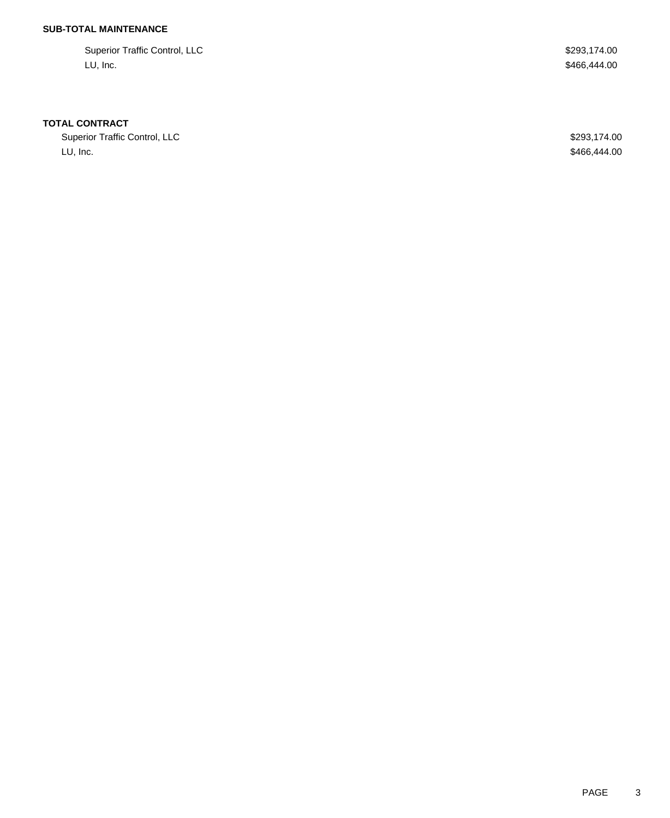## **SUB-TOTAL MAINTENANCE**

Superior Traffic Control, LLC \$293,174.00 LU, Inc. \$466,444.00

#### **TOTAL CONTRACT**

Superior Traffic Control, LLC **\$293,174.00** LU, Inc. \$466,444.00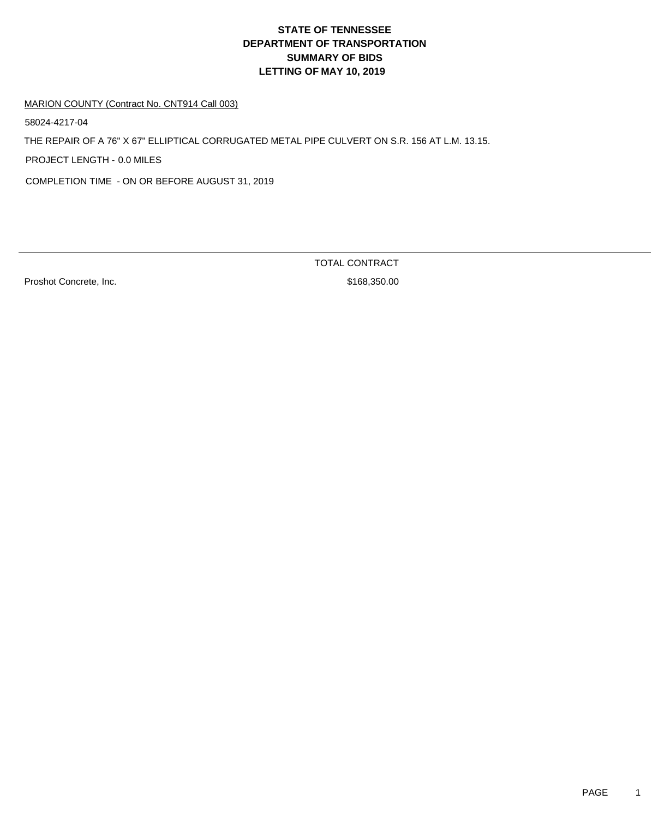#### MARION COUNTY (Contract No. CNT914 Call 003)

58024-4217-04

THE REPAIR OF A 76" X 67" ELLIPTICAL CORRUGATED METAL PIPE CULVERT ON S.R. 156 AT L.M. 13.15.

PROJECT LENGTH - 0.0 MILES

COMPLETION TIME - ON OR BEFORE AUGUST 31, 2019

Proshot Concrete, Inc. \$168,350.00

TOTAL CONTRACT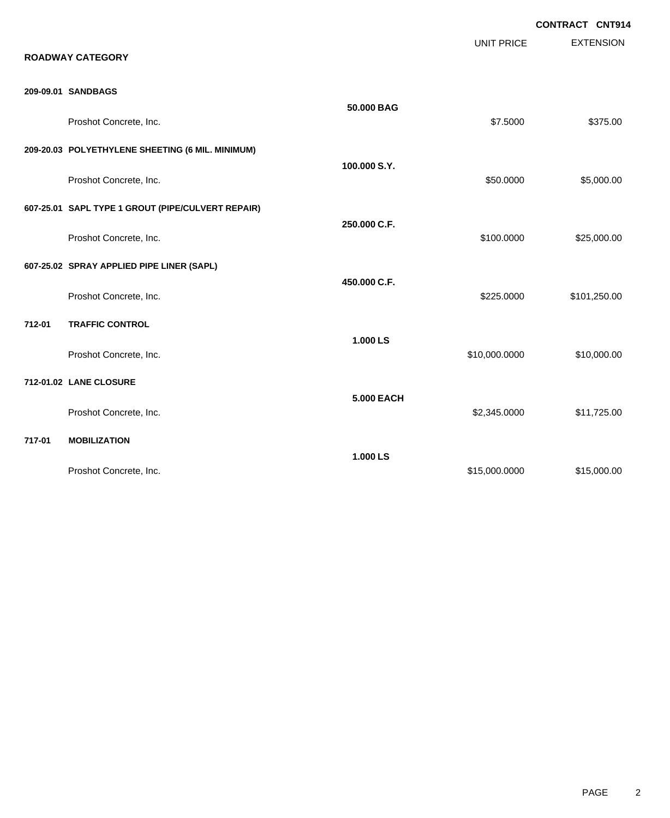EXTENSION **CONTRACT CNT914** UNIT PRICE **ROADWAY CATEGORY 209-09.01 SANDBAGS 50.000 BAG** Proshot Concrete, Inc. \$375.00 \$375.00 **209-20.03 POLYETHYLENE SHEETING (6 MIL. MINIMUM) 100.000 S.Y.** Proshot Concrete, Inc. \$5,000.00 \$5,000.00 \$5,000.00 \$5,000.00 \$5,000.00 \$5,000.00 \$5,000.00 \$5,000.00 \$5,000 **607-25.01 SAPL TYPE 1 GROUT (PIPE/CULVERT REPAIR) 250.000 C.F.** Proshot Concrete, Inc. \$100.0000 \$25,000.00 **607-25.02 SPRAY APPLIED PIPE LINER (SAPL) 450.000 C.F.** Proshot Concrete, Inc. 6. The Second State of the Second State of the Second State Second State Second State S **712-01 TRAFFIC CONTROL 1.000 LS** Proshot Concrete, Inc. 610,000.000 \$10,000.000 \$10,000.000 \$10,000.000 \$10,000.00 **712-01.02 LANE CLOSURE 5.000 EACH** Proshot Concrete, Inc. \$2,345.0000 \$11,725.00 **717-01 MOBILIZATION 1.000 LS** Proshot Concrete, Inc. \$15,000.000 \$15,000.000 \$15,000.000 \$15,000.000 \$15,000.00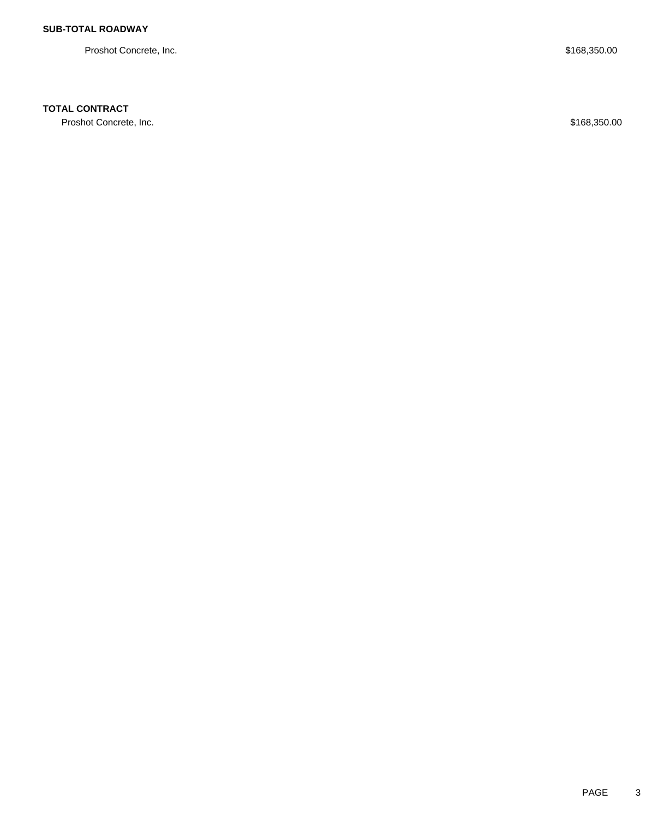Proshot Concrete, Inc. \$168,350.00

### **TOTAL CONTRACT**

Proshot Concrete, Inc. \$168,350.00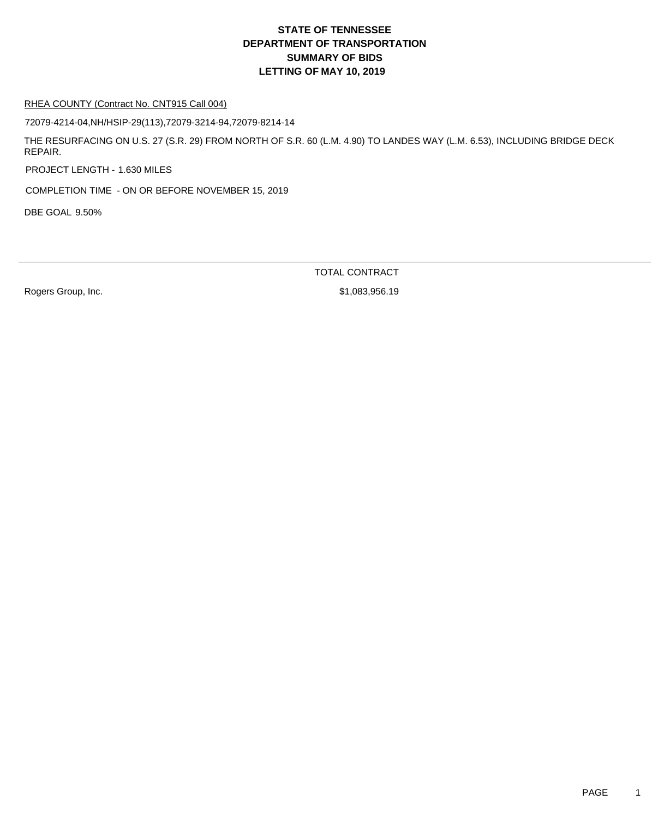#### RHEA COUNTY (Contract No. CNT915 Call 004)

72079-4214-04,NH/HSIP-29(113),72079-3214-94,72079-8214-14

THE RESURFACING ON U.S. 27 (S.R. 29) FROM NORTH OF S.R. 60 (L.M. 4.90) TO LANDES WAY (L.M. 6.53), INCLUDING BRIDGE DECK REPAIR.

PROJECT LENGTH - 1.630 MILES

COMPLETION TIME - ON OR BEFORE NOVEMBER 15, 2019

DBE GOAL 9.50%

TOTAL CONTRACT

Rogers Group, Inc. 6. 2010 12:30 12:30 12:30 12:30 12:30 12:30 13:30 14:30 14:30 14:30 14:30 14:30 14:30 14:30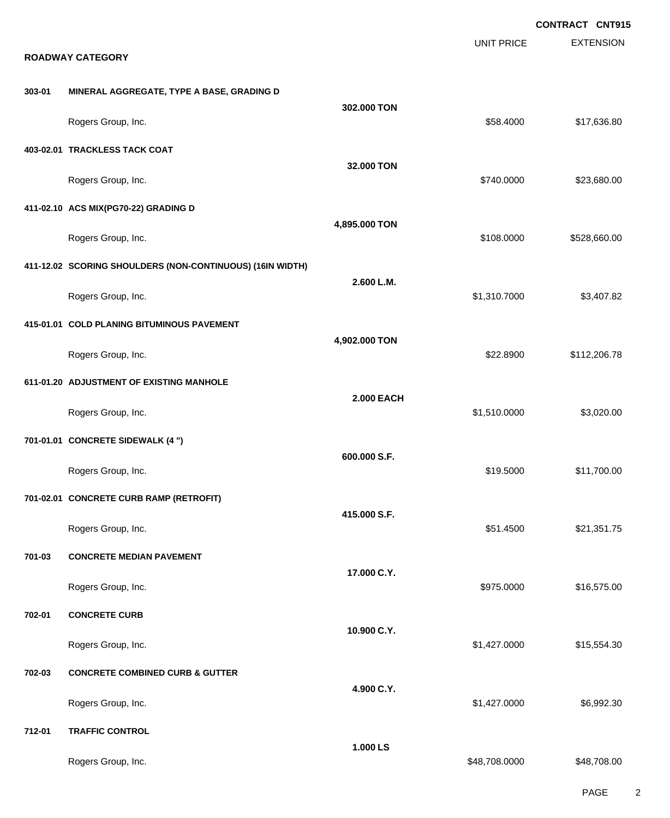|        |                                                           |                   |                   | <b>CONTRACT CNT915</b> |
|--------|-----------------------------------------------------------|-------------------|-------------------|------------------------|
|        | <b>ROADWAY CATEGORY</b>                                   |                   | <b>UNIT PRICE</b> | <b>EXTENSION</b>       |
|        |                                                           |                   |                   |                        |
| 303-01 | MINERAL AGGREGATE, TYPE A BASE, GRADING D                 |                   |                   |                        |
|        | Rogers Group, Inc.                                        | 302.000 TON       | \$58.4000         | \$17,636.80            |
|        | 403-02.01 TRACKLESS TACK COAT                             |                   |                   |                        |
|        | Rogers Group, Inc.                                        | 32.000 TON        | \$740.0000        | \$23,680.00            |
|        | 411-02.10 ACS MIX(PG70-22) GRADING D                      |                   |                   |                        |
|        | Rogers Group, Inc.                                        | 4,895.000 TON     | \$108.0000        | \$528,660.00           |
|        | 411-12.02 SCORING SHOULDERS (NON-CONTINUOUS) (16IN WIDTH) |                   |                   |                        |
|        | Rogers Group, Inc.                                        | 2.600 L.M.        | \$1,310.7000      | \$3,407.82             |
|        | 415-01.01 COLD PLANING BITUMINOUS PAVEMENT                |                   |                   |                        |
|        | Rogers Group, Inc.                                        | 4,902.000 TON     | \$22.8900         | \$112,206.78           |
|        | 611-01.20 ADJUSTMENT OF EXISTING MANHOLE                  |                   |                   |                        |
|        | Rogers Group, Inc.                                        | <b>2.000 EACH</b> | \$1,510.0000      | \$3,020.00             |
|        | 701-01.01 CONCRETE SIDEWALK (4 ")                         |                   |                   |                        |
|        | Rogers Group, Inc.                                        | 600.000 S.F.      | \$19.5000         | \$11,700.00            |
|        | 701-02.01 CONCRETE CURB RAMP (RETROFIT)                   |                   |                   |                        |
|        | Rogers Group, Inc.                                        | 415.000 S.F.      | \$51.4500         | \$21,351.75            |
| 701-03 | <b>CONCRETE MEDIAN PAVEMENT</b>                           |                   |                   |                        |
|        | Rogers Group, Inc.                                        | 17.000 C.Y.       | \$975.0000        | \$16,575.00            |
| 702-01 | <b>CONCRETE CURB</b>                                      |                   |                   |                        |
|        | Rogers Group, Inc.                                        | 10.900 C.Y.       | \$1,427.0000      | \$15,554.30            |
| 702-03 | <b>CONCRETE COMBINED CURB &amp; GUTTER</b>                |                   |                   |                        |
|        | Rogers Group, Inc.                                        | 4.900 C.Y.        | \$1,427.0000      | \$6,992.30             |
| 712-01 | <b>TRAFFIC CONTROL</b>                                    |                   |                   |                        |
|        | Rogers Group, Inc.                                        | 1.000 LS          | \$48,708.0000     | \$48,708.00            |

PAGE 2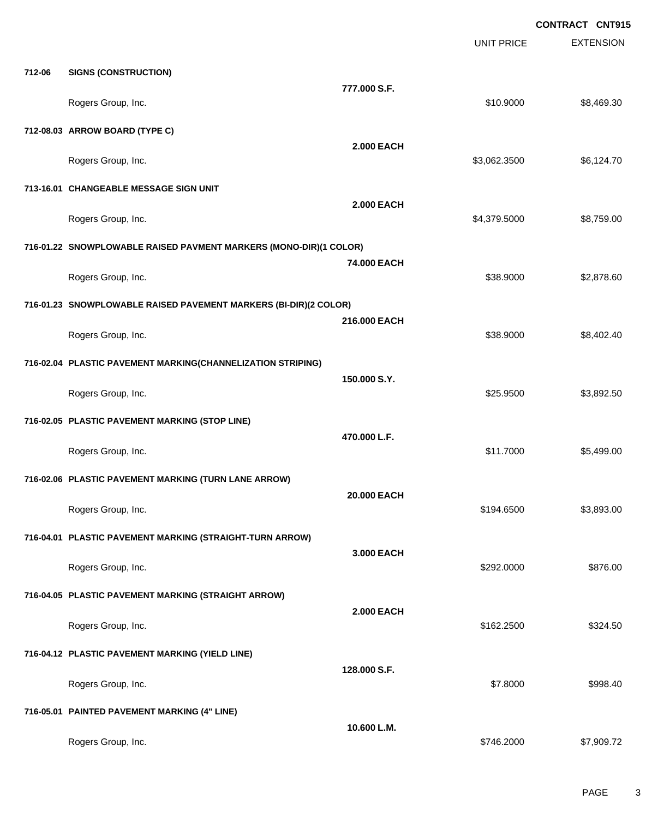**EXTENSION CONTRACT CNT915** UNIT PRICE **712-06 SIGNS (CONSTRUCTION) 777.000 S.F.** Rogers Group, Inc. \$10.9000 \$8,469.30 **712-08.03 ARROW BOARD (TYPE C) 2.000 EACH** Rogers Group, Inc. \$3,062.3500 \$6,124.70 **713-16.01 CHANGEABLE MESSAGE SIGN UNIT 2.000 EACH** Rogers Group, Inc. \$4,379.5000 \$8,759.00 **716-01.22 SNOWPLOWABLE RAISED PAVMENT MARKERS (MONO-DIR)(1 COLOR) 74.000 EACH** Rogers Group, Inc. \$38.9000 \$2,878.60 **716-01.23 SNOWPLOWABLE RAISED PAVEMENT MARKERS (BI-DIR)(2 COLOR) 216.000 EACH** Rogers Group, Inc. \$38.9000 \$8,402.40 **716-02.04 PLASTIC PAVEMENT MARKING(CHANNELIZATION STRIPING) 150.000 S.Y.** Rogers Group, Inc. \$2,892.50 **716-02.05 PLASTIC PAVEMENT MARKING (STOP LINE) 470.000 L.F.** Rogers Group, Inc. \$11.7000 \$5,499.00 **716-02.06 PLASTIC PAVEMENT MARKING (TURN LANE ARROW) 20.000 EACH** Rogers Group, Inc. \$194.6500 \$3,893.00 **716-04.01 PLASTIC PAVEMENT MARKING (STRAIGHT-TURN ARROW) 3.000 EACH** Rogers Group, Inc. \$292.0000 \$876.00 **716-04.05 PLASTIC PAVEMENT MARKING (STRAIGHT ARROW) 2.000 EACH** Rogers Group, Inc. \$324.500 \$324.50 **716-04.12 PLASTIC PAVEMENT MARKING (YIELD LINE) 128.000 S.F.** Rogers Group, Inc. \$998.40 **716-05.01 PAINTED PAVEMENT MARKING (4" LINE) 10.600 L.M.** Rogers Group, Inc. \$7,909.72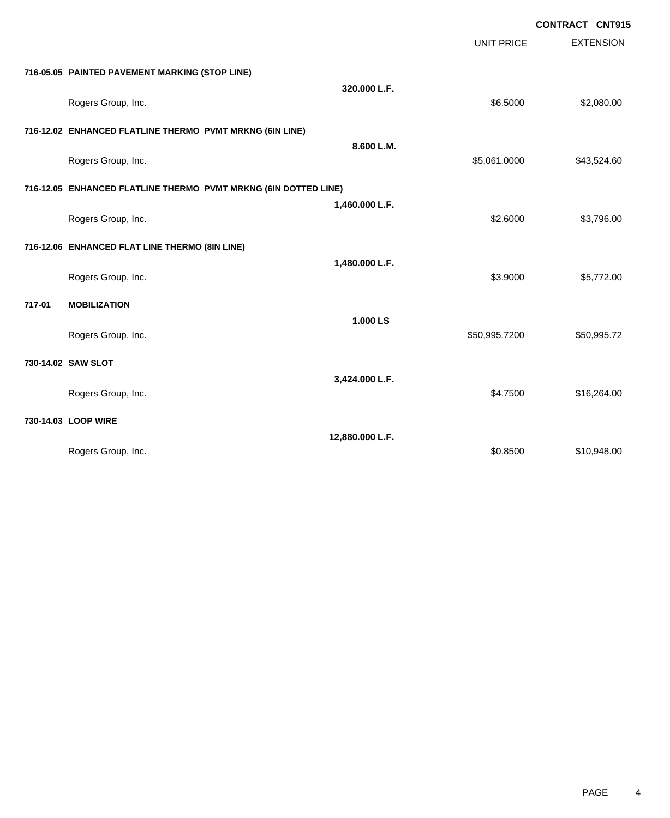| <b>CONTRACT CNT915</b> |  |
|------------------------|--|
|                        |  |

|        |                                                                 |                 | <b>UNIT PRICE</b> | <b>EXTENSION</b> |
|--------|-----------------------------------------------------------------|-----------------|-------------------|------------------|
|        | 716-05.05 PAINTED PAVEMENT MARKING (STOP LINE)                  |                 |                   |                  |
|        | Rogers Group, Inc.                                              | 320.000 L.F.    | \$6.5000          | \$2,080.00       |
|        | 716-12.02 ENHANCED FLATLINE THERMO PVMT MRKNG (6IN LINE)        |                 |                   |                  |
|        | Rogers Group, Inc.                                              | 8.600 L.M.      | \$5,061.0000      | \$43,524.60      |
|        | 716-12.05 ENHANCED FLATLINE THERMO PVMT MRKNG (6IN DOTTED LINE) |                 |                   |                  |
|        | Rogers Group, Inc.                                              | 1,460.000 L.F.  | \$2.6000          | \$3,796.00       |
|        | 716-12.06 ENHANCED FLAT LINE THERMO (8IN LINE)                  |                 |                   |                  |
|        | Rogers Group, Inc.                                              | 1,480.000 L.F.  | \$3.9000          | \$5,772.00       |
| 717-01 | <b>MOBILIZATION</b>                                             |                 |                   |                  |
|        | Rogers Group, Inc.                                              | 1.000 LS        | \$50,995.7200     | \$50,995.72      |
|        | 730-14.02 SAW SLOT                                              |                 |                   |                  |
|        | Rogers Group, Inc.                                              | 3,424.000 L.F.  | \$4.7500          | \$16,264.00      |
|        | 730-14.03 LOOP WIRE                                             |                 |                   |                  |
|        | Rogers Group, Inc.                                              | 12,880.000 L.F. | \$0.8500          | \$10,948.00      |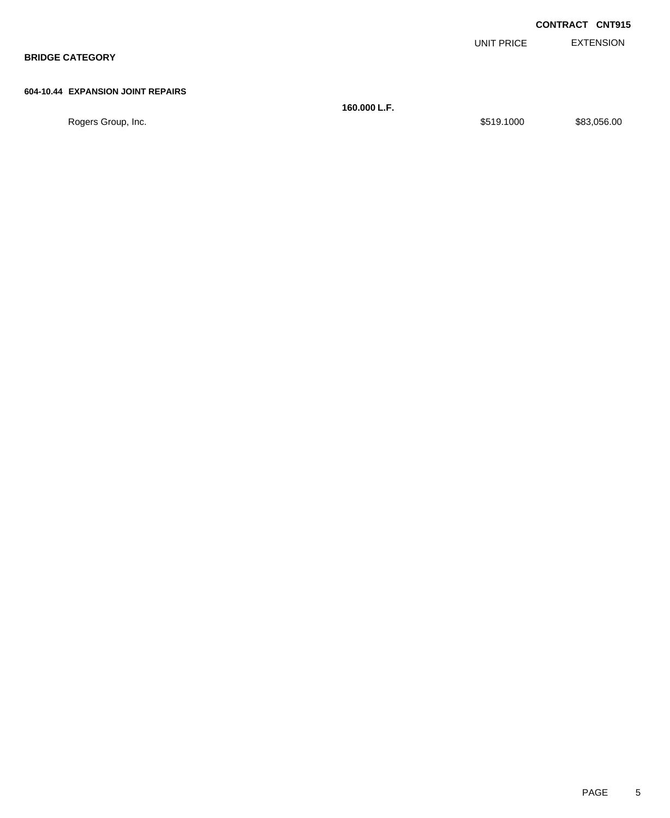|                                   |            | <b>CONTRACT CNT915</b> |
|-----------------------------------|------------|------------------------|
|                                   | UNIT PRICE | EXTENSION              |
| <b>BRIDGE CATEGORY</b>            |            |                        |
|                                   |            |                        |
| 604-10.44 EXPANSION JOINT REPAIRS |            |                        |

|                    | 160.000 L.F. |            |             |
|--------------------|--------------|------------|-------------|
| Rogers Group, Inc. |              | \$519.1000 | \$83,056.00 |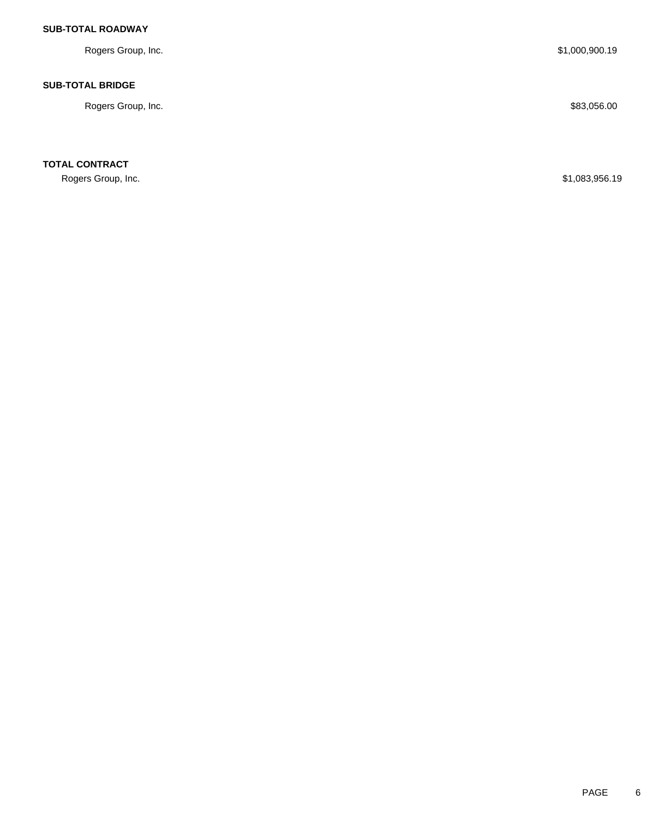### **SUB-TOTAL ROADWAY**

Rogers Group, Inc. \$1,000,900.19

### **SUB-TOTAL BRIDGE**

Rogers Group, Inc. \$83,056.00

**TOTAL CONTRACT**

Rogers Group, Inc. \$1,083,956.19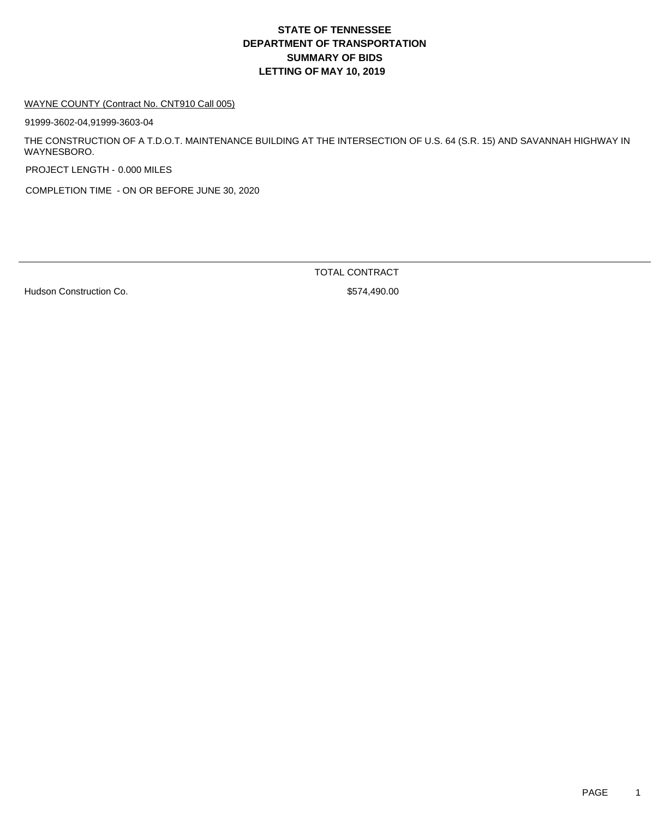#### WAYNE COUNTY (Contract No. CNT910 Call 005)

91999-3602-04,91999-3603-04

THE CONSTRUCTION OF A T.D.O.T. MAINTENANCE BUILDING AT THE INTERSECTION OF U.S. 64 (S.R. 15) AND SAVANNAH HIGHWAY IN WAYNESBORO.

PROJECT LENGTH - 0.000 MILES

COMPLETION TIME - ON OR BEFORE JUNE 30, 2020

Hudson Construction Co. 6. The Second State of the State of State State State State State State State State State State State State State State State State State State State State State State State State State State State

TOTAL CONTRACT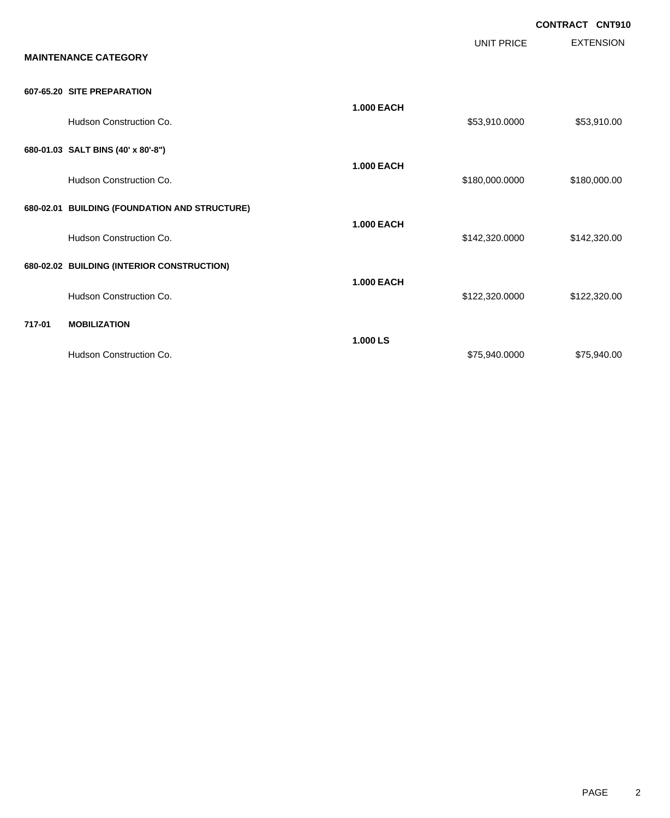|        | <b>MAINTENANCE CATEGORY</b>                   |                   | <b>UNIT PRICE</b> | <b>CONTRACT CNT910</b><br><b>EXTENSION</b> |
|--------|-----------------------------------------------|-------------------|-------------------|--------------------------------------------|
|        | 607-65.20 SITE PREPARATION                    |                   |                   |                                            |
|        | Hudson Construction Co.                       | <b>1.000 EACH</b> | \$53,910.0000     | \$53,910.00                                |
|        | 680-01.03 SALT BINS (40' x 80'-8")            |                   |                   |                                            |
|        | Hudson Construction Co.                       | <b>1.000 EACH</b> | \$180,000.0000    | \$180,000.00                               |
|        | 680-02.01 BUILDING (FOUNDATION AND STRUCTURE) | <b>1.000 EACH</b> |                   |                                            |
|        | Hudson Construction Co.                       |                   | \$142,320.0000    | \$142,320.00                               |
|        | 680-02.02 BUILDING (INTERIOR CONSTRUCTION)    | <b>1.000 EACH</b> |                   |                                            |
|        | Hudson Construction Co.                       |                   | \$122,320.0000    | \$122,320.00                               |
| 717-01 | <b>MOBILIZATION</b>                           | 1.000 LS          |                   |                                            |
|        | Hudson Construction Co.                       |                   | \$75,940.0000     | \$75,940.00                                |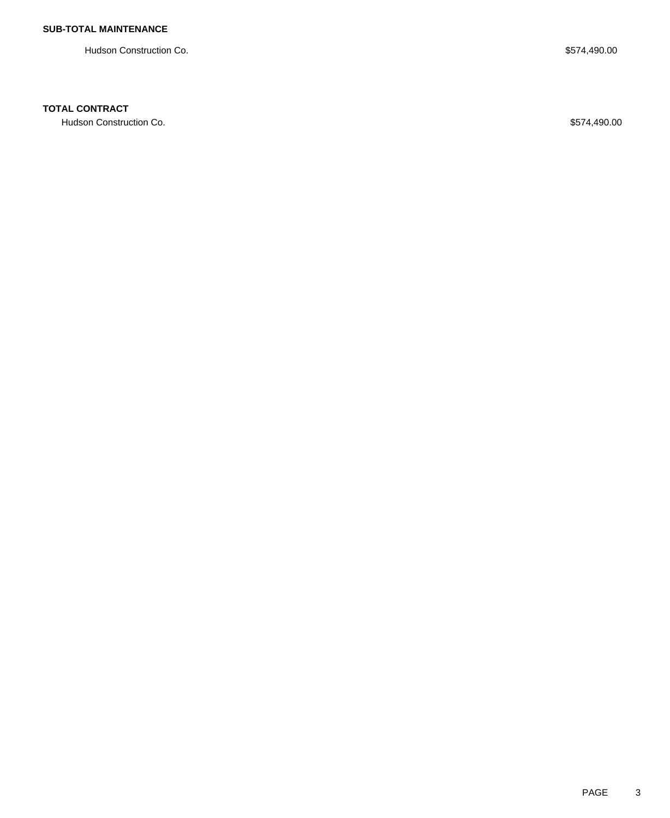Hudson Construction Co. 6574,490.00

### **TOTAL CONTRACT**

Hudson Construction Co. 6574,490.00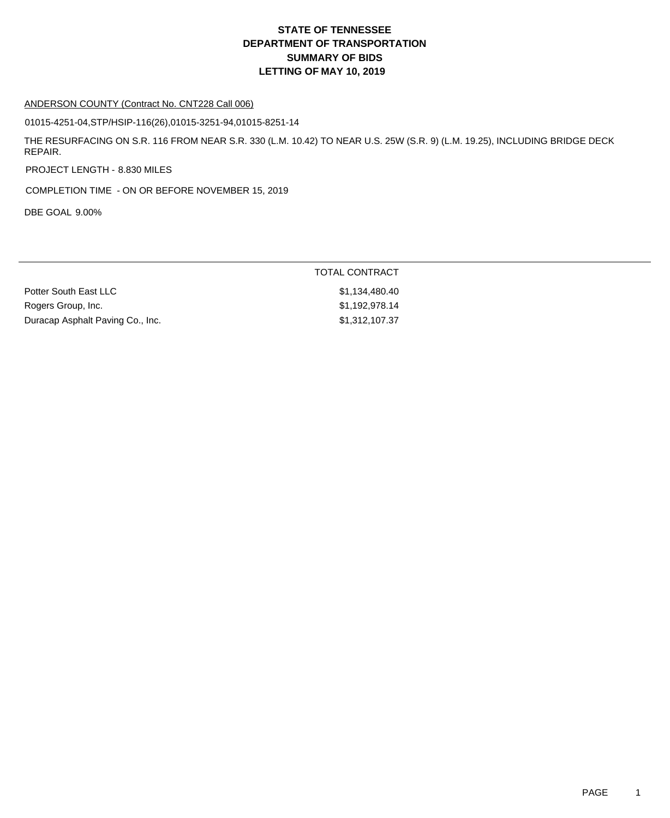#### ANDERSON COUNTY (Contract No. CNT228 Call 006)

01015-4251-04,STP/HSIP-116(26),01015-3251-94,01015-8251-14

THE RESURFACING ON S.R. 116 FROM NEAR S.R. 330 (L.M. 10.42) TO NEAR U.S. 25W (S.R. 9) (L.M. 19.25), INCLUDING BRIDGE DECK REPAIR.

PROJECT LENGTH - 8.830 MILES

COMPLETION TIME - ON OR BEFORE NOVEMBER 15, 2019

DBE GOAL 9.00%

|                                  | TOTAL CONTRACT |
|----------------------------------|----------------|
| Potter South East LLC            | \$1.134.480.40 |
| Rogers Group, Inc.               | \$1.192.978.14 |
| Duracap Asphalt Paving Co., Inc. | \$1,312,107.37 |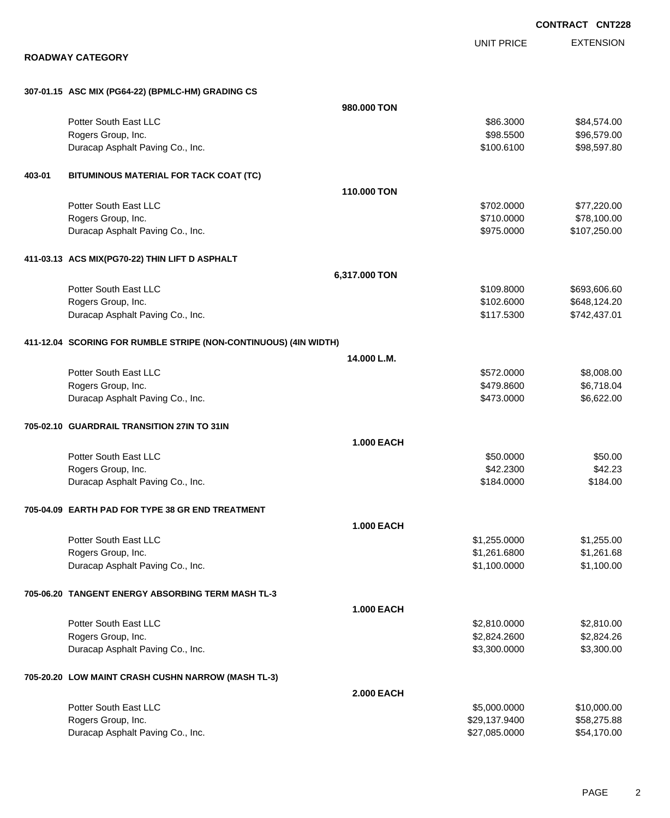EXTENSION **CONTRACT CNT228** UNIT PRICE **ROADWAY CATEGORY 307-01.15 ASC MIX (PG64-22) (BPMLC-HM) GRADING CS 980.000 TON** Potter South East LLC 60000 \$84,574.00 Rogers Group, Inc. \$98.5500 \$96,579.00 Duracap Asphalt Paving Co., Inc. 6. The Contract of Contract Asphalt Paving Co., Inc. 698,597.80 **403-01 BITUMINOUS MATERIAL FOR TACK COAT (TC) 110.000 TON** Potter South East LLC  $$702.0000$   $$77,220.00$ Rogers Group, Inc. \$78,100.00 \$78,100.00 \$78,100.00 \$78,100.00 \$78,100.00 \$78,100.00 \$78,100.00 \$78,100.00 \$78 Duracap Asphalt Paving Co., Inc. \$975.000 \$107,250.00 **411-03.13 ACS MIX(PG70-22) THIN LIFT D ASPHALT 6,317.000 TON** Potter South East LLC 60000 \$693,606.60 Rogers Group, Inc. \$102.6000 \$648,124.20 Duracap Asphalt Paving Co., Inc. \$117.5300 \$742,437.01 **411-12.04 SCORING FOR RUMBLE STRIPE (NON-CONTINUOUS) (4IN WIDTH) 14.000 L.M.** Potter South East LLC  $$572.0000$  \$8,008.00 Rogers Group, Inc. \$479.8600 \$6,718.04 Duracap Asphalt Paving Co., Inc. 66,622.00 **705-02.10 GUARDRAIL TRANSITION 27IN TO 31IN 1.000 EACH** Potter South East LLC 60000 \$50.000 \$50.000 \$50.000 \$50.000 \$50.000 \$50.000 \$50.000 \$50.000 \$50.000 \$50.00 Rogers Group, Inc. \$42.2300 \$42.2300 \$42.2300 \$42.2300 \$42.2300 \$42.2300 \$42.2300 \$42.23 Duracap Asphalt Paving Co., Inc. 69 (1999) 184.000 \$184.000 \$184.000 \$184.000 **705-04.09 EARTH PAD FOR TYPE 38 GR END TREATMENT 1.000 EACH** Potter South East LLC  $$1,255.0000$   $$1,255.000$ Rogers Group, Inc. \$1,261.6800 \$1,261.6800 \$1,261.6800 \$1,261.6800 \$1,261.6800 \$1,261.68 Duracap Asphalt Paving Co., Inc. \$1,100.000 \$1,100.000 \$1,100.000 \$1,100.000 **705-06.20 TANGENT ENERGY ABSORBING TERM MASH TL-3 1.000 EACH** Potter South East LLC 6. The Superior Section 1. The Section 1. The Section 1. Section 1. Section 1. Section 1 Rogers Group, Inc. \$2,824.2600 \$2,824.2600 \$2,824.2600 \$2,824.2600 \$2,824.2600 \$2,824.2600 \$2,824.26 Duracap Asphalt Paving Co., Inc. \$3,300.000 \$3,300.000 \$3,300.000 \$3,300.000 \$3,300.00 **705-20.20 LOW MAINT CRASH CUSHN NARROW (MASH TL-3) 2.000 EACH** Potter South East LLC 6 6 and 5,000.000 \$10,000.00 \$10,000.00 \$10,000.00 \$10,000.00 \$10,000.00 \$10,000.00 \$10,000 Rogers Group, Inc. \$29,137.9400 \$58,275.88

Duracap Asphalt Paving Co., Inc. \$27,085.0000 \$54,170.00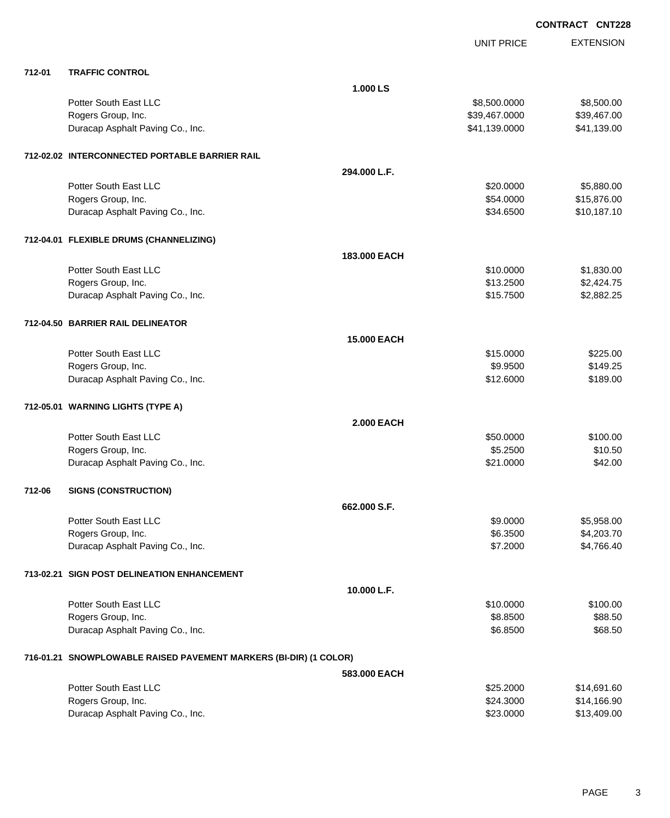|        |                                                                   |                   | <b>UNIT PRICE</b> | <b>EXTENSION</b> |
|--------|-------------------------------------------------------------------|-------------------|-------------------|------------------|
| 712-01 | <b>TRAFFIC CONTROL</b>                                            |                   |                   |                  |
|        |                                                                   | 1.000 LS          |                   |                  |
|        | Potter South East LLC                                             |                   | \$8,500.0000      | \$8,500.00       |
|        | Rogers Group, Inc.                                                |                   | \$39,467.0000     | \$39,467.00      |
|        | Duracap Asphalt Paving Co., Inc.                                  |                   | \$41,139.0000     | \$41,139.00      |
|        | 712-02.02 INTERCONNECTED PORTABLE BARRIER RAIL                    |                   |                   |                  |
|        |                                                                   | 294.000 L.F.      |                   |                  |
|        | Potter South East LLC                                             |                   | \$20.0000         | \$5,880.00       |
|        | Rogers Group, Inc.                                                |                   | \$54.0000         | \$15,876.00      |
|        | Duracap Asphalt Paving Co., Inc.                                  |                   | \$34.6500         | \$10,187.10      |
|        | 712-04.01 FLEXIBLE DRUMS (CHANNELIZING)                           |                   |                   |                  |
|        |                                                                   | 183.000 EACH      |                   |                  |
|        | Potter South East LLC                                             |                   | \$10.0000         | \$1,830.00       |
|        | Rogers Group, Inc.                                                |                   | \$13.2500         | \$2,424.75       |
|        | Duracap Asphalt Paving Co., Inc.                                  |                   | \$15.7500         | \$2,882.25       |
|        | 712-04.50 BARRIER RAIL DELINEATOR                                 |                   |                   |                  |
|        |                                                                   | 15.000 EACH       |                   |                  |
|        | Potter South East LLC                                             |                   | \$15.0000         | \$225.00         |
|        | Rogers Group, Inc.                                                |                   | \$9.9500          | \$149.25         |
|        | Duracap Asphalt Paving Co., Inc.                                  |                   | \$12.6000         | \$189.00         |
|        | 712-05.01 WARNING LIGHTS (TYPE A)                                 |                   |                   |                  |
|        |                                                                   | <b>2.000 EACH</b> |                   |                  |
|        | Potter South East LLC                                             |                   | \$50.0000         | \$100.00         |
|        | Rogers Group, Inc.                                                |                   | \$5.2500          | \$10.50          |
|        | Duracap Asphalt Paving Co., Inc.                                  |                   | \$21.0000         | \$42.00          |
| 712-06 | <b>SIGNS (CONSTRUCTION)</b>                                       |                   |                   |                  |
|        |                                                                   | 662.000 S.F.      |                   |                  |
|        | Potter South East LLC                                             |                   | \$9.0000          | \$5,958.00       |
|        | Rogers Group, Inc.                                                |                   | \$6.3500          | \$4,203.70       |
|        | Duracap Asphalt Paving Co., Inc.                                  |                   | \$7.2000          | \$4,766.40       |
|        | 713-02.21 SIGN POST DELINEATION ENHANCEMENT                       |                   |                   |                  |
|        |                                                                   | 10.000 L.F.       |                   |                  |
|        | Potter South East LLC                                             |                   | \$10.0000         | \$100.00         |
|        | Rogers Group, Inc.                                                |                   | \$8.8500          | \$88.50          |
|        | Duracap Asphalt Paving Co., Inc.                                  |                   | \$6.8500          | \$68.50          |
|        | 716-01.21 SNOWPLOWABLE RAISED PAVEMENT MARKERS (BI-DIR) (1 COLOR) |                   |                   |                  |
|        |                                                                   | 583,000 EACH      |                   |                  |
|        | Potter South East LLC                                             |                   | \$25.2000         | \$14,691.60      |
|        | Rogers Group, Inc.                                                |                   | \$24.3000         | \$14,166.90      |
|        | Duracap Asphalt Paving Co., Inc.                                  |                   | \$23.0000         | \$13,409.00      |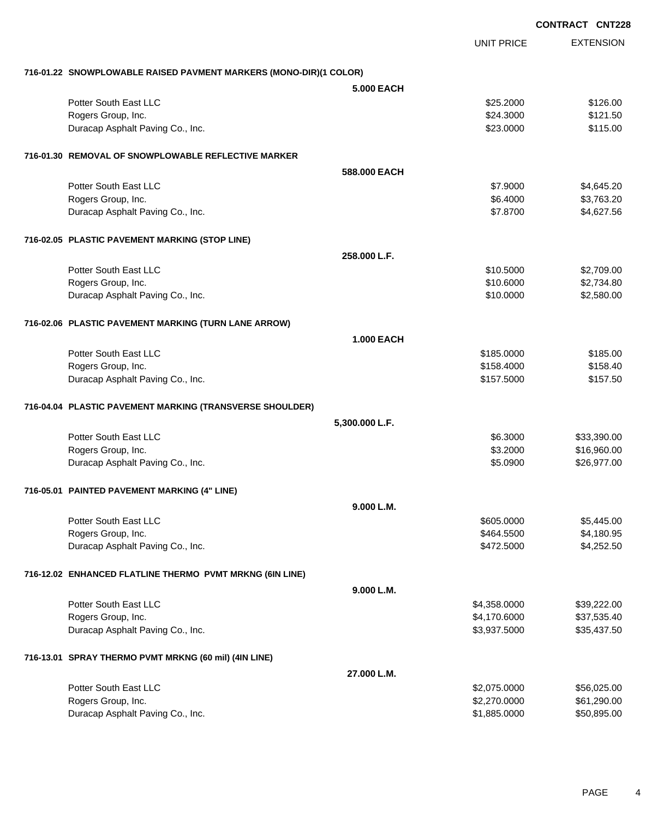|                                                                   |                   |                   | <b>CONTRACT CNT228</b> |
|-------------------------------------------------------------------|-------------------|-------------------|------------------------|
|                                                                   |                   | <b>UNIT PRICE</b> | <b>EXTENSION</b>       |
| 716-01.22 SNOWPLOWABLE RAISED PAVMENT MARKERS (MONO-DIR)(1 COLOR) |                   |                   |                        |
|                                                                   | <b>5.000 EACH</b> |                   |                        |
| Potter South East LLC                                             |                   | \$25.2000         | \$126.00               |
| Rogers Group, Inc.                                                |                   | \$24.3000         | \$121.50               |
| Duracap Asphalt Paving Co., Inc.                                  |                   | \$23.0000         | \$115.00               |
| 716-01.30 REMOVAL OF SNOWPLOWABLE REFLECTIVE MARKER               |                   |                   |                        |
|                                                                   | 588,000 EACH      |                   |                        |
| Potter South East LLC                                             |                   | \$7.9000          | \$4,645.20             |
| Rogers Group, Inc.                                                |                   | \$6.4000          | \$3,763.20             |
| Duracap Asphalt Paving Co., Inc.                                  |                   | \$7.8700          | \$4,627.56             |
| 716-02.05 PLASTIC PAVEMENT MARKING (STOP LINE)                    |                   |                   |                        |
|                                                                   | 258,000 L.F.      |                   |                        |
| Potter South East LLC                                             |                   | \$10.5000         | \$2,709.00             |
| Rogers Group, Inc.                                                |                   | \$10.6000         | \$2,734.80             |
| Duracap Asphalt Paving Co., Inc.                                  |                   | \$10.0000         | \$2,580.00             |
| 716-02.06 PLASTIC PAVEMENT MARKING (TURN LANE ARROW)              |                   |                   |                        |
|                                                                   | <b>1.000 EACH</b> |                   |                        |
| Potter South East LLC                                             |                   | \$185.0000        | \$185.00               |
| Rogers Group, Inc.                                                |                   | \$158.4000        | \$158.40               |
| Duracap Asphalt Paving Co., Inc.                                  |                   | \$157.5000        | \$157.50               |
| 716-04.04 PLASTIC PAVEMENT MARKING (TRANSVERSE SHOULDER)          |                   |                   |                        |
|                                                                   | 5,300.000 L.F.    |                   |                        |
| Potter South East LLC                                             |                   | \$6.3000          | \$33,390.00            |
| Rogers Group, Inc.                                                |                   | \$3.2000          | \$16,960.00            |
| Duracap Asphalt Paving Co., Inc.                                  |                   | \$5.0900          | \$26,977.00            |
| 716-05.01 PAINTED PAVEMENT MARKING (4" LINE)                      |                   |                   |                        |
|                                                                   | 9.000 L.M.        |                   |                        |
| Potter South East LLC                                             |                   | \$605.0000        | \$5,445.00             |
| Rogers Group, Inc.                                                |                   | \$464.5500        | \$4,180.95             |
| Duracap Asphalt Paving Co., Inc.                                  |                   | \$472.5000        | \$4,252.50             |
| 716-12.02 ENHANCED FLATLINE THERMO PVMT MRKNG (6IN LINE)          |                   |                   |                        |
|                                                                   | 9.000 L.M.        |                   |                        |
| Potter South East LLC                                             |                   | \$4,358.0000      | \$39,222.00            |
| Rogers Group, Inc.                                                |                   | \$4,170.6000      | \$37,535.40            |
| Duracap Asphalt Paving Co., Inc.                                  |                   | \$3,937.5000      | \$35,437.50            |
| 716-13.01 SPRAY THERMO PVMT MRKNG (60 mil) (4IN LINE)             |                   |                   |                        |
|                                                                   | 27.000 L.M.       |                   |                        |
| Potter South East LLC                                             |                   | \$2,075.0000      | \$56,025.00            |
| Rogers Group, Inc.                                                |                   | \$2,270.0000      | \$61,290.00            |
| Duracap Asphalt Paving Co., Inc.                                  |                   | \$1,885.0000      | \$50,895.00            |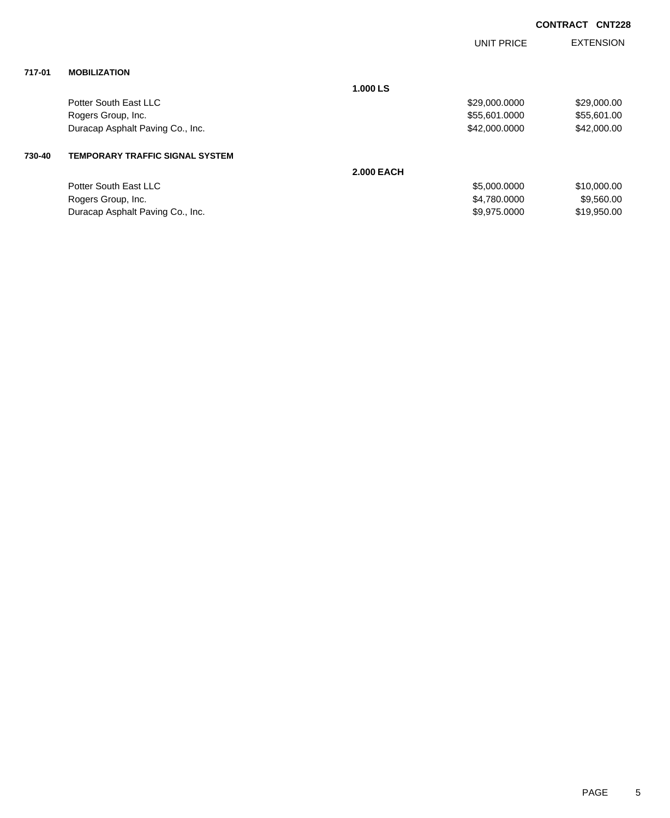|        |                                        |                   | <b>UNIT PRICE</b> | <b>EXTENSION</b> |
|--------|----------------------------------------|-------------------|-------------------|------------------|
| 717-01 | <b>MOBILIZATION</b>                    |                   |                   |                  |
|        |                                        | 1.000 LS          |                   |                  |
|        | Potter South East LLC                  |                   | \$29,000.0000     | \$29,000.00      |
|        | Rogers Group, Inc.                     |                   | \$55,601.0000     | \$55,601.00      |
|        | Duracap Asphalt Paving Co., Inc.       |                   | \$42,000.0000     | \$42,000.00      |
| 730-40 | <b>TEMPORARY TRAFFIC SIGNAL SYSTEM</b> |                   |                   |                  |
|        |                                        | <b>2.000 EACH</b> |                   |                  |
|        | Potter South East LLC                  |                   | \$5,000.0000      | \$10,000.00      |
|        | Rogers Group, Inc.                     |                   | \$4,780,0000      | \$9,560.00       |
|        | Duracap Asphalt Paving Co., Inc.       |                   | \$9,975.0000      | \$19,950.00      |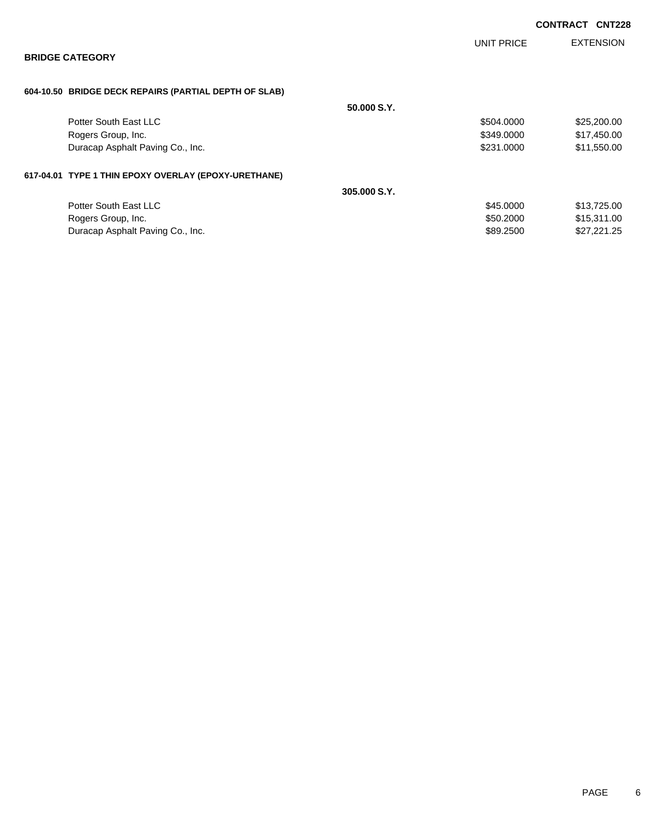|                                                       |              |            | <b>CONTRACT</b> | <b>CNT228</b>    |
|-------------------------------------------------------|--------------|------------|-----------------|------------------|
|                                                       |              | UNIT PRICE |                 | <b>EXTENSION</b> |
| <b>BRIDGE CATEGORY</b>                                |              |            |                 |                  |
| 604-10.50 BRIDGE DECK REPAIRS (PARTIAL DEPTH OF SLAB) |              |            |                 |                  |
|                                                       | 50,000 S.Y.  |            |                 |                  |
| Potter South East LLC                                 |              | \$504.0000 |                 | \$25,200.00      |
| Rogers Group, Inc.                                    |              | \$349.0000 |                 | \$17,450.00      |
| Duracap Asphalt Paving Co., Inc.                      |              | \$231,0000 |                 | \$11,550.00      |
| 617-04.01 TYPE 1 THIN EPOXY OVERLAY (EPOXY-URETHANE)  |              |            |                 |                  |
|                                                       | 305,000 S.Y. |            |                 |                  |
| Potter South East LLC                                 |              | \$45.0000  |                 | \$13,725.00      |
| Rogers Group, Inc.                                    |              | \$50.2000  |                 | \$15,311.00      |
| Duracap Asphalt Paving Co., Inc.                      |              | \$89,2500  |                 | \$27,221.25      |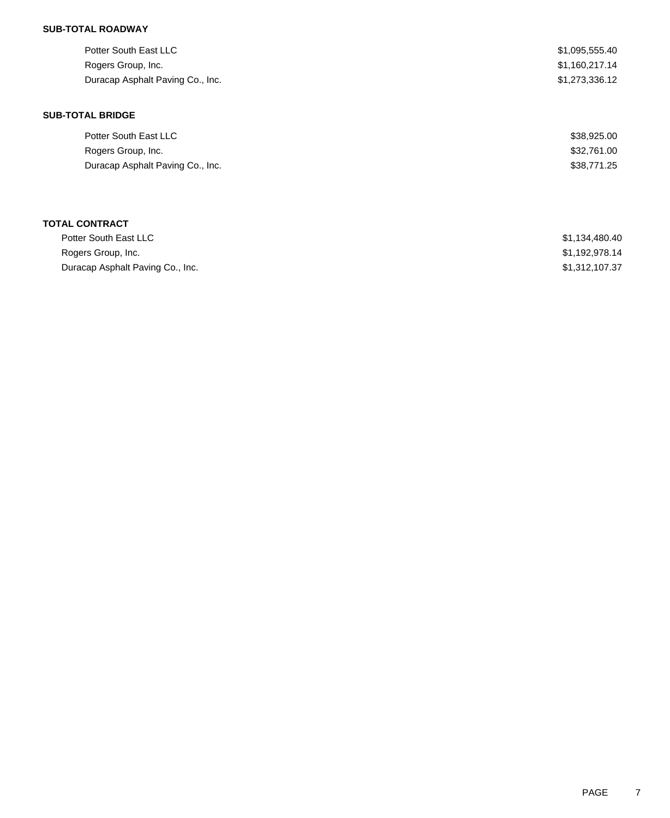### **SUB-TOTAL ROADWAY**

| Potter South East LLC<br>Rogers Group, Inc.<br>Duracap Asphalt Paving Co., Inc. | \$1,095,555.40<br>\$1,160,217.14<br>\$1,273,336.12 |
|---------------------------------------------------------------------------------|----------------------------------------------------|
| <b>SUB-TOTAL BRIDGE</b>                                                         |                                                    |
| Potter South East LLC                                                           | \$38,925.00                                        |
| Rogers Group, Inc.                                                              | \$32,761.00                                        |
| Duracap Asphalt Paving Co., Inc.                                                | \$38,771.25                                        |
|                                                                                 |                                                    |
|                                                                                 |                                                    |
|                                                                                 |                                                    |

| <b>TOTAL CONTRACT</b>            |                |
|----------------------------------|----------------|
| Potter South East LLC            | \$1,134,480.40 |
| Rogers Group, Inc.               | \$1,192,978.14 |
| Duracap Asphalt Paving Co., Inc. | \$1,312,107.37 |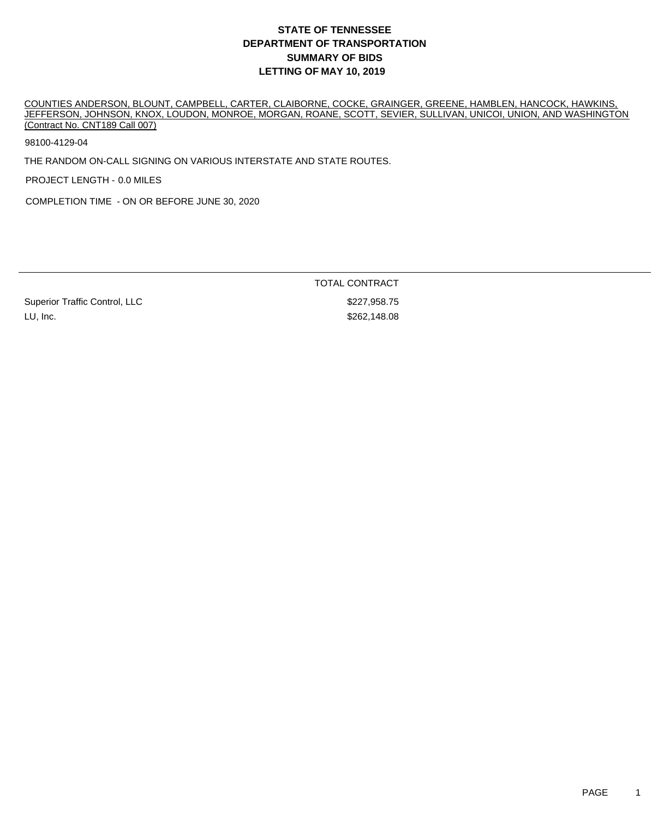COUNTIES ANDERSON, BLOUNT, CAMPBELL, CARTER, CLAIBORNE, COCKE, GRAINGER, GREENE, HAMBLEN, HANCOCK, HAWKINS, JEFFERSON, JOHNSON, KNOX, LOUDON, MONROE, MORGAN, ROANE, SCOTT, SEVIER, SULLIVAN, UNICOI, UNION, AND WASHINGTON (Contract No. CNT189 Call 007)

98100-4129-04

THE RANDOM ON-CALL SIGNING ON VARIOUS INTERSTATE AND STATE ROUTES.

PROJECT LENGTH - 0.0 MILES

COMPLETION TIME - ON OR BEFORE JUNE 30, 2020

TOTAL CONTRACT

Superior Traffic Control, LLC \$227,958.75 LU, Inc. \$262,148.08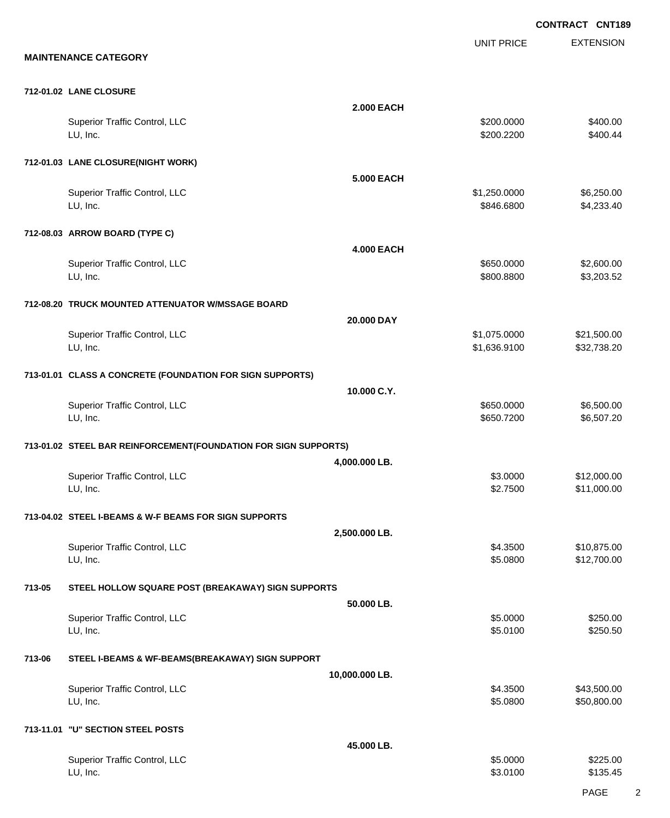EXTENSION **CONTRACT CNT189** UNIT PRICE **MAINTENANCE CATEGORY 712-01.02 LANE CLOSURE 2.000 EACH** Superior Traffic Control, LLC 6400.00 LU, Inc. \$200.2200 \$400.44 **712-01.03 LANE CLOSURE(NIGHT WORK) 5.000 EACH** Superior Traffic Control, LLC 6.250.000 \$6,250.00 LU, Inc. \$846.6800 \$4,233.40 **712-08.03 ARROW BOARD (TYPE C) 4.000 EACH** Superior Traffic Control, LLC 6650.000 \$2,600.00 LU, Inc. \$800.8800 \$3,203.52 **712-08.20 TRUCK MOUNTED ATTENUATOR W/MSSAGE BOARD 20.000 DAY** Superior Traffic Control, LLC 61,075.0000 \$21,500.00 LU, Inc. \$1,636.9100 \$32,738.20 **713-01.01 CLASS A CONCRETE (FOUNDATION FOR SIGN SUPPORTS) 10.000 C.Y.** Superior Traffic Control, LLC 650.000 \$650.000 \$6,500.00 LU, Inc. \$650.7200 \$6,507.20 **713-01.02 STEEL BAR REINFORCEMENT(FOUNDATION FOR SIGN SUPPORTS) 4,000.000 LB.** Superior Traffic Control, LLC 612,000.00 \$12,000.00 \$12,000.00 \$12,000.00 LU, Inc. \$2.7500 \$11,000.00 **713-04.02 STEEL I-BEAMS & W-F BEAMS FOR SIGN SUPPORTS 2,500.000 LB.** Superior Traffic Control, LLC 610,875.00 \$10,875.00 LU, Inc. \$5.0800 \$12,700.00 **713-05 STEEL HOLLOW SQUARE POST (BREAKAWAY) SIGN SUPPORTS 50.000 LB.** Superior Traffic Control, LLC \$250.00 \$250.00 LU, Inc. \$5.0100 \$250.50 **713-06 STEEL I-BEAMS & WF-BEAMS(BREAKAWAY) SIGN SUPPORT 10,000.000 LB.** Superior Traffic Control, LLC 643,500.00 LU, Inc. \$5.0800 \$50,800.00 **713-11.01 "U" SECTION STEEL POSTS 45.000 LB.**

| Superior Traffic Control, LLC | \$5,0000 | \$225.00 |
|-------------------------------|----------|----------|
| LU, Inc.                      | \$3,0100 | \$135.45 |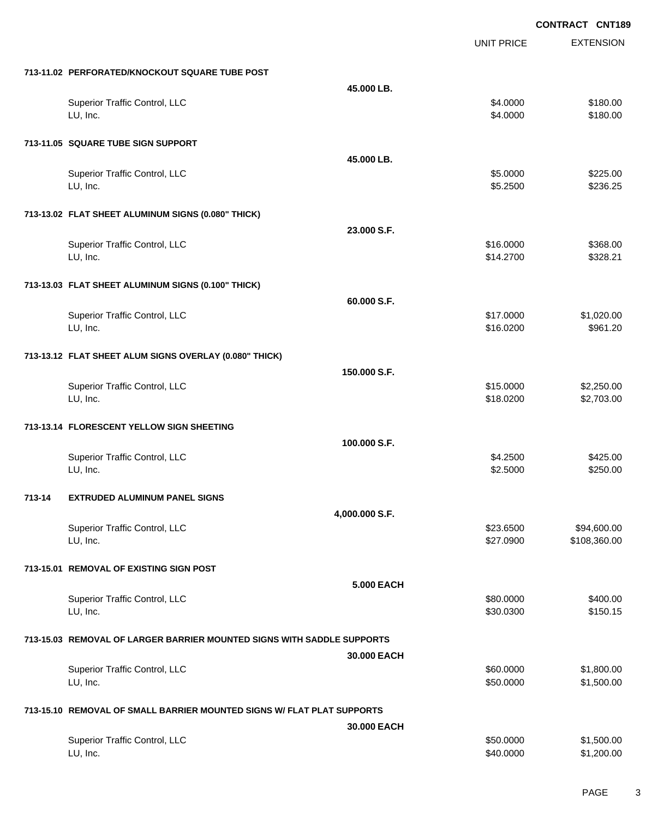|        |                                                                        |                   | <b>UNIT PRICE</b> | <b>EXTENSION</b> |
|--------|------------------------------------------------------------------------|-------------------|-------------------|------------------|
|        | 713-11.02 PERFORATED/KNOCKOUT SQUARE TUBE POST                         |                   |                   |                  |
|        |                                                                        | 45,000 LB.        |                   |                  |
|        | Superior Traffic Control, LLC                                          |                   | \$4.0000          | \$180.00         |
|        | LU, Inc.                                                               |                   | \$4.0000          | \$180.00         |
|        | 713-11.05 SQUARE TUBE SIGN SUPPORT                                     |                   |                   |                  |
|        |                                                                        | 45.000 LB.        |                   |                  |
|        | Superior Traffic Control, LLC                                          |                   | \$5.0000          | \$225.00         |
|        | LU, Inc.                                                               |                   | \$5.2500          | \$236.25         |
|        | 713-13.02 FLAT SHEET ALUMINUM SIGNS (0.080" THICK)                     |                   |                   |                  |
|        |                                                                        | 23.000 S.F.       |                   |                  |
|        | Superior Traffic Control, LLC                                          |                   | \$16.0000         | \$368.00         |
|        | LU, Inc.                                                               |                   | \$14.2700         | \$328.21         |
|        | 713-13.03 FLAT SHEET ALUMINUM SIGNS (0.100" THICK)                     |                   |                   |                  |
|        |                                                                        | 60.000 S.F.       |                   |                  |
|        | Superior Traffic Control, LLC                                          |                   | \$17.0000         | \$1,020.00       |
|        | LU, Inc.                                                               |                   | \$16.0200         | \$961.20         |
|        | 713-13.12 FLAT SHEET ALUM SIGNS OVERLAY (0.080" THICK)                 |                   |                   |                  |
|        |                                                                        | 150.000 S.F.      |                   |                  |
|        | Superior Traffic Control, LLC                                          |                   | \$15.0000         | \$2,250.00       |
|        | LU, Inc.                                                               |                   | \$18.0200         | \$2,703.00       |
|        | 713-13.14 FLORESCENT YELLOW SIGN SHEETING                              |                   |                   |                  |
|        |                                                                        | 100.000 S.F.      |                   |                  |
|        | <b>Superior Traffic Control, LLC</b>                                   |                   | \$4.2500          | \$425.00         |
|        | LU, Inc.                                                               |                   | \$2.5000          | \$250.00         |
| 713-14 | <b>EXTRUDED ALUMINUM PANEL SIGNS</b>                                   |                   |                   |                  |
|        |                                                                        | 4,000.000 S.F.    |                   |                  |
|        | Superior Traffic Control, LLC                                          |                   | \$23.6500         | \$94,600.00      |
|        | LU, Inc.                                                               |                   | \$27.0900         | \$108,360.00     |
|        | 713-15.01 REMOVAL OF EXISTING SIGN POST                                |                   |                   |                  |
|        |                                                                        | <b>5.000 EACH</b> |                   |                  |
|        | Superior Traffic Control, LLC                                          |                   | \$80.0000         | \$400.00         |
|        | LU, Inc.                                                               |                   | \$30.0300         | \$150.15         |
|        | 713-15.03 REMOVAL OF LARGER BARRIER MOUNTED SIGNS WITH SADDLE SUPPORTS |                   |                   |                  |
|        |                                                                        | 30.000 EACH       |                   |                  |
|        | Superior Traffic Control, LLC                                          |                   | \$60.0000         | \$1,800.00       |
|        | LU, Inc.                                                               |                   | \$50.0000         | \$1,500.00       |
|        | 713-15.10 REMOVAL OF SMALL BARRIER MOUNTED SIGNS W/ FLAT PLAT SUPPORTS |                   |                   |                  |
|        |                                                                        | 30.000 EACH       |                   |                  |
|        | <b>Superior Traffic Control, LLC</b>                                   |                   | \$50.0000         | \$1,500.00       |
|        | LU, Inc.                                                               |                   | \$40.0000         | \$1,200.00       |

PAGE 3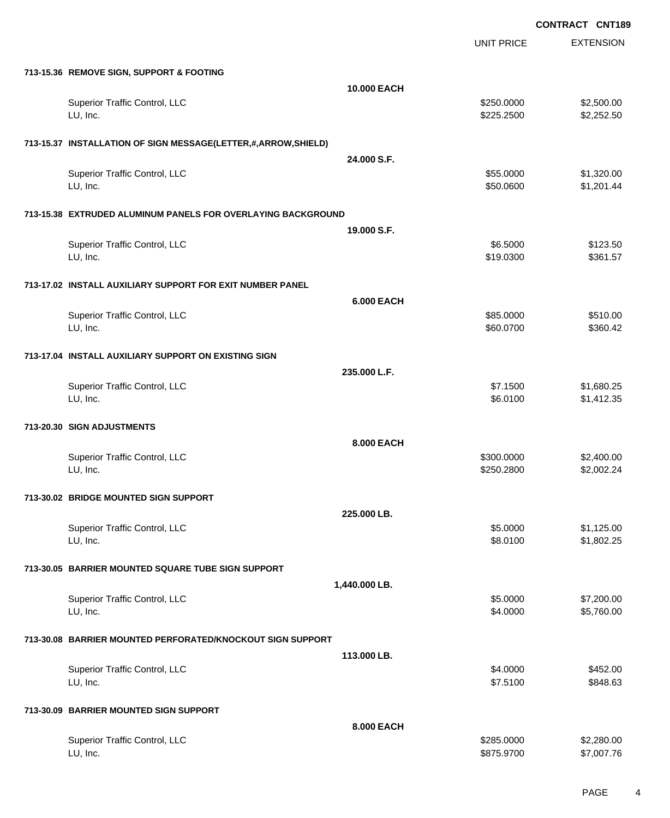|                                                               |                   | <b>UNIT PRICE</b>      | <b>EXTENSION</b>         |
|---------------------------------------------------------------|-------------------|------------------------|--------------------------|
| 713-15.36 REMOVE SIGN, SUPPORT & FOOTING                      |                   |                        |                          |
|                                                               | 10.000 EACH       |                        |                          |
| Superior Traffic Control, LLC                                 |                   | \$250.0000             | \$2,500.00               |
| LU, Inc.                                                      |                   | \$225.2500             | \$2,252.50               |
| 713-15.37 INSTALLATION OF SIGN MESSAGE(LETTER,#,ARROW,SHIELD) |                   |                        |                          |
|                                                               | 24.000 S.F.       |                        |                          |
| Superior Traffic Control, LLC<br>LU, Inc.                     |                   | \$55.0000<br>\$50.0600 | \$1,320.00<br>\$1,201.44 |
|                                                               |                   |                        |                          |
| 713-15.38 EXTRUDED ALUMINUM PANELS FOR OVERLAYING BACKGROUND  |                   |                        |                          |
|                                                               | 19.000 S.F.       |                        |                          |
| Superior Traffic Control, LLC<br>LU, Inc.                     |                   | \$6.5000<br>\$19.0300  | \$123.50<br>\$361.57     |
|                                                               |                   |                        |                          |
| 713-17.02 INSTALL AUXILIARY SUPPORT FOR EXIT NUMBER PANEL     |                   |                        |                          |
| Superior Traffic Control, LLC                                 | <b>6.000 EACH</b> | \$85.0000              | \$510.00                 |
| LU, Inc.                                                      |                   | \$60.0700              | \$360.42                 |
|                                                               |                   |                        |                          |
| 713-17.04 INSTALL AUXILIARY SUPPORT ON EXISTING SIGN          | 235.000 L.F.      |                        |                          |
| Superior Traffic Control, LLC                                 |                   | \$7.1500               | \$1,680.25               |
| LU, Inc.                                                      |                   | \$6.0100               | \$1,412.35               |
| 713-20.30 SIGN ADJUSTMENTS                                    |                   |                        |                          |
|                                                               | 8.000 EACH        |                        |                          |
| Superior Traffic Control, LLC                                 |                   | \$300.0000             | \$2,400.00               |
| LU, Inc.                                                      |                   | \$250.2800             | \$2,002.24               |
| 713-30.02 BRIDGE MOUNTED SIGN SUPPORT                         |                   |                        |                          |
|                                                               | 225.000 LB.       |                        |                          |
| Superior Traffic Control, LLC<br>LU, Inc.                     |                   | \$5.0000<br>\$8.0100   | \$1,125.00<br>\$1,802.25 |
|                                                               |                   |                        |                          |
| 713-30.05 BARRIER MOUNTED SQUARE TUBE SIGN SUPPORT            |                   |                        |                          |
|                                                               | 1,440.000 LB.     |                        |                          |
| Superior Traffic Control, LLC<br>LU, Inc.                     |                   | \$5.0000<br>\$4.0000   | \$7,200.00<br>\$5,760.00 |
|                                                               |                   |                        |                          |
| 713-30.08 BARRIER MOUNTED PERFORATED/KNOCKOUT SIGN SUPPORT    |                   |                        |                          |
| Superior Traffic Control, LLC                                 | 113.000 LB.       | \$4.0000               | \$452.00                 |
| LU, Inc.                                                      |                   | \$7.5100               | \$848.63                 |
|                                                               |                   |                        |                          |
| 713-30.09 BARRIER MOUNTED SIGN SUPPORT                        | 8.000 EACH        |                        |                          |
| Superior Traffic Control, LLC                                 |                   | \$285.0000             | \$2,280.00               |
| LU, Inc.                                                      |                   | \$875.9700             | \$7,007.76               |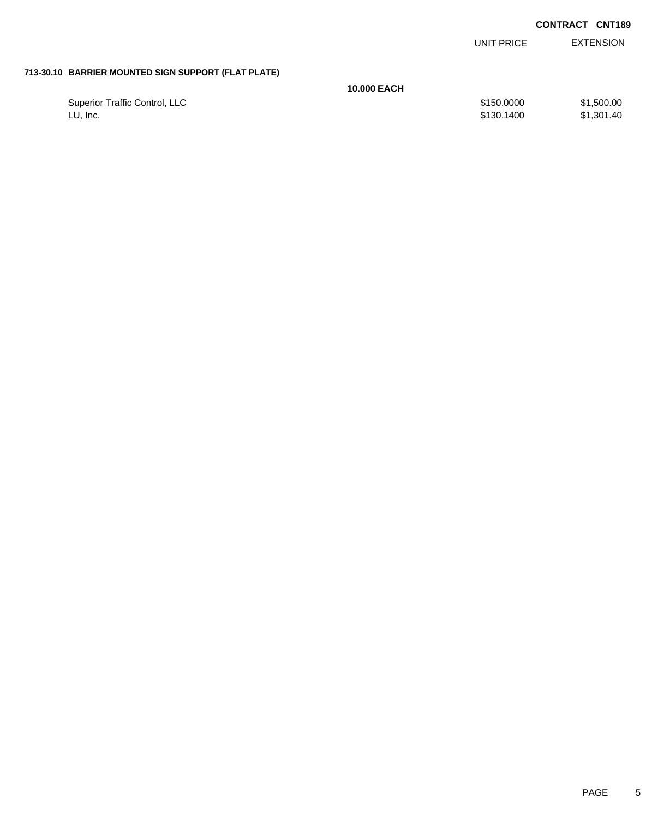|                               |                                                     | UNIT PRICE | <b>EXTENSION</b> |
|-------------------------------|-----------------------------------------------------|------------|------------------|
|                               |                                                     |            |                  |
|                               | <b>10,000 EACH</b>                                  |            |                  |
| Superior Traffic Control, LLC |                                                     | \$150.0000 | \$1,500.00       |
| LU, Inc.                      |                                                     | \$130,1400 | \$1,301.40       |
|                               | 713-30.10 BARRIER MOUNTED SIGN SUPPORT (FLAT PLATE) |            |                  |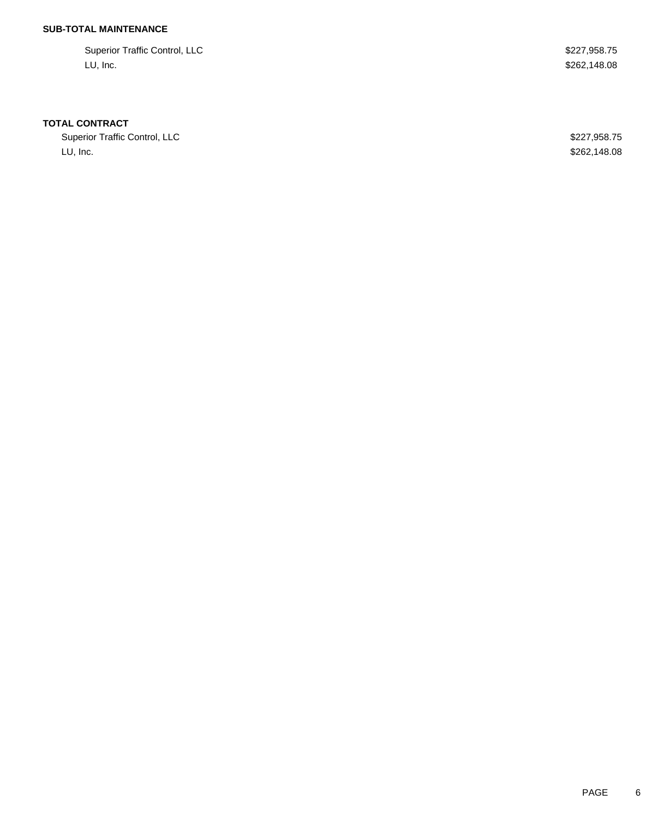## **SUB-TOTAL MAINTENANCE**

Superior Traffic Control, LLC **\$227,958.75** LU, Inc. \$262,148.08

#### **TOTAL CONTRACT**

Superior Traffic Control, LLC 600 and 227,958.75 LU, Inc. \$262,148.08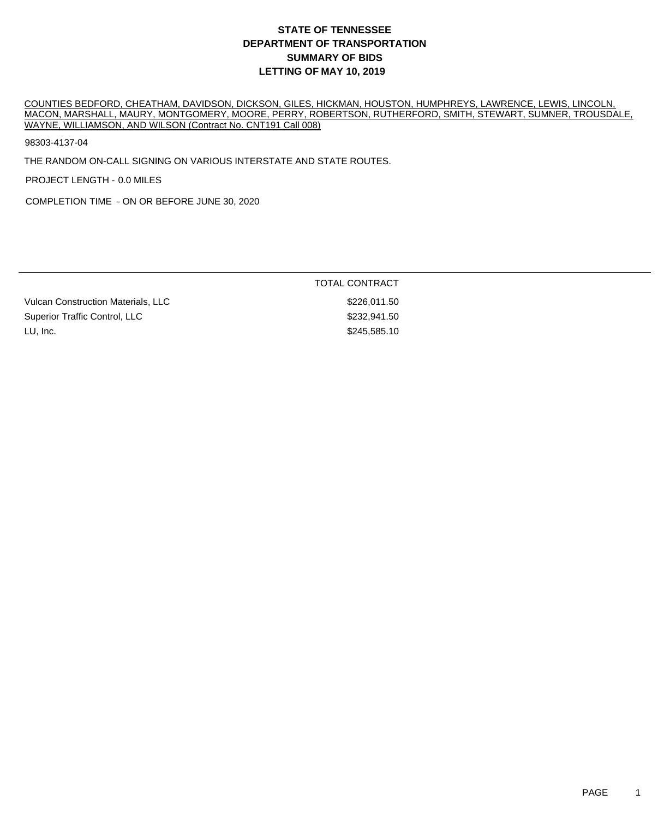COUNTIES BEDFORD, CHEATHAM, DAVIDSON, DICKSON, GILES, HICKMAN, HOUSTON, HUMPHREYS, LAWRENCE, LEWIS, LINCOLN, MACON, MARSHALL, MAURY, MONTGOMERY, MOORE, PERRY, ROBERTSON, RUTHERFORD, SMITH, STEWART, SUMNER, TROUSDALE, WAYNE, WILLIAMSON, AND WILSON (Contract No. CNT191 Call 008)

98303-4137-04

THE RANDOM ON-CALL SIGNING ON VARIOUS INTERSTATE AND STATE ROUTES.

PROJECT LENGTH - 0.0 MILES

COMPLETION TIME - ON OR BEFORE JUNE 30, 2020

|                                    | TOTAL CONTRACT |
|------------------------------------|----------------|
| Vulcan Construction Materials, LLC | \$226.011.50   |
| Superior Traffic Control, LLC      | \$232,941,50   |
| LU, Inc.                           | \$245,585.10   |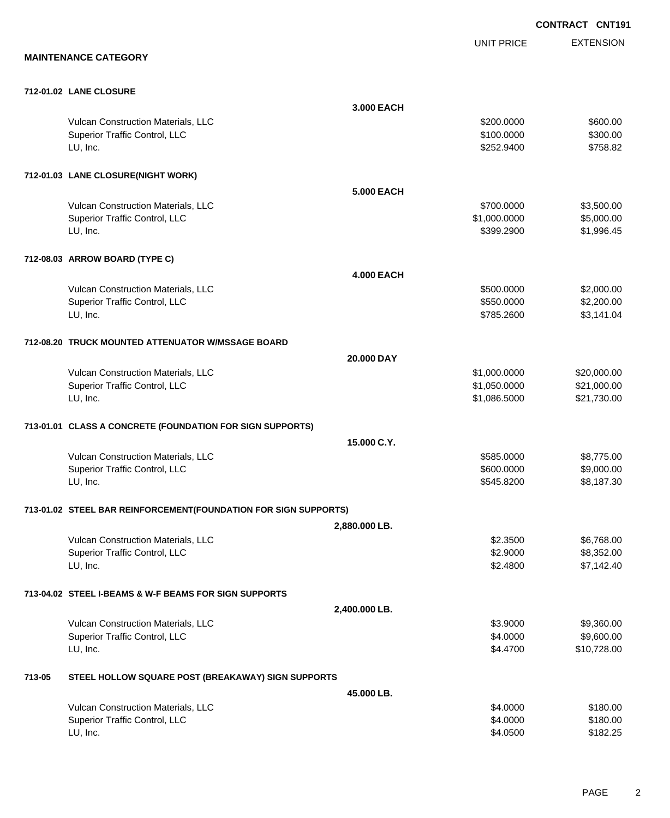EXTENSION **CONTRACT CNT191** UNIT PRICE **MAINTENANCE CATEGORY 712-01.02 LANE CLOSURE 3.000 EACH** Vulcan Construction Materials, LLC 600.000 \$600.00 \$600.00 Superior Traffic Control, LLC 6300.00 \$300.00 \$300.00 LU, Inc. \$252.9400 \$758.82 **712-01.03 LANE CLOSURE(NIGHT WORK) 5.000 EACH** Vulcan Construction Materials, LLC 60000 \$3,500.000 \$3,500.000 \$3,500.000 \$3,500.00 Superior Traffic Control, LLC 6.000.000 \$5,000.000 \$5,000.000 \$5,000.000 \$5,000.00 LU, Inc. \$399.2900 \$1,996.45 **712-08.03 ARROW BOARD (TYPE C) 4.000 EACH** Vulcan Construction Materials, LLC 600000 \$2,000.000 \$2,000.000 \$2,000.00 Superior Traffic Control, LLC 66 and the state of the state of the state of the state of the state of the state of the state of the state of the state of the state of the state of the state of the state of the state of the LU, Inc. \$785.2600 \$3,141.04 **712-08.20 TRUCK MOUNTED ATTENUATOR W/MSSAGE BOARD 20.000 DAY** Vulcan Construction Materials, LLC 600000 \$20,000.000 \$20,000.000 \$20,000.000 \$20,000.00 Superior Traffic Control, LLC 6. The state of the state of the state of the state of the state of the state of the state of the state of the state of the state of the state of the state of the state of the state of the sta LU, Inc. \$1,086.5000 \$21,730.00 **713-01.01 CLASS A CONCRETE (FOUNDATION FOR SIGN SUPPORTS) 15.000 C.Y.** Vulcan Construction Materials, LLC 60000 \$8,775.00 Superior Traffic Control, LLC 600.000 \$9,000.00 \$9,000.00 \$9,000.00 LU, Inc. \$545.8200 \$8,187.30 **713-01.02 STEEL BAR REINFORCEMENT(FOUNDATION FOR SIGN SUPPORTS) 2,880.000 LB.** Vulcan Construction Materials, LLC 6768.00 \$6,768.00 \$6,768.00 \$6,768.00 \$6,768.00 \$6,768.00 \$6,768.00 \$6,768 Superior Traffic Control, LLC 63,352.00 LU, Inc. \$2.4800 \$7,142.40 **713-04.02 STEEL I-BEAMS & W-F BEAMS FOR SIGN SUPPORTS 2,400.000 LB.** Vulcan Construction Materials, LLC 63.9000 \$9,360.00 Superior Traffic Control, LLC 66 and the state of the state of the state of the state of the state of the state of the state of the state of the state of the state of the state of the state of the state of the state of the LU, Inc. \$4.4700 \$10,728.00 **713-05 STEEL HOLLOW SQUARE POST (BREAKAWAY) SIGN SUPPORTS 45.000 LB.** Vulcan Construction Materials, LLC 6180.00 \$180.00 Superior Traffic Control, LLC 6180.00 \$180.00

LU, Inc. \$4.0500 \$182.25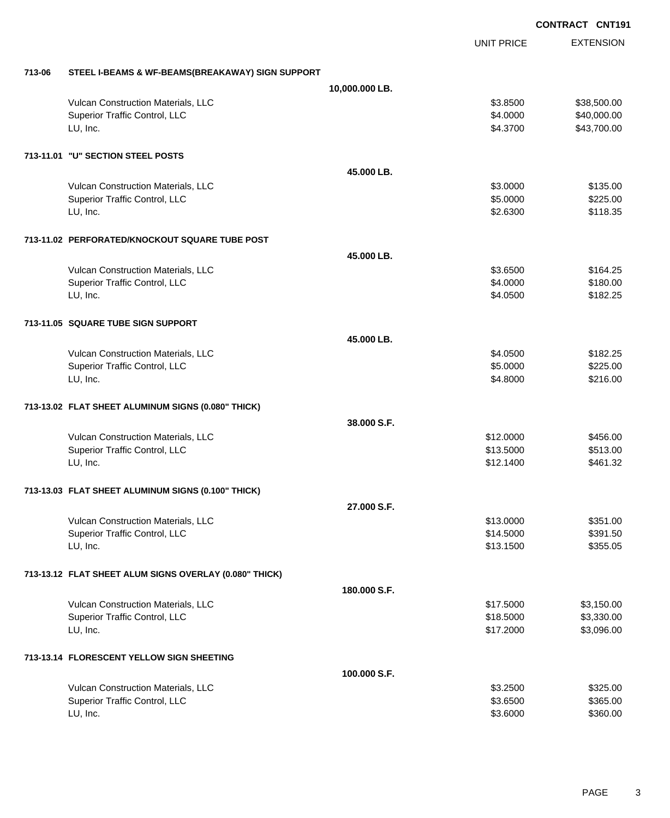**EXTENSION CONTRACT CNT191** UNIT PRICE **713-06 STEEL I-BEAMS & WF-BEAMS(BREAKAWAY) SIGN SUPPORT 10,000.000 LB.** Vulcan Construction Materials, LLC 63.8500 \$38,500.00 Superior Traffic Control, LLC 640,000.00 \$40,000.00 LU, Inc. \$4.3700 \$43,700.00 **713-11.01 "U" SECTION STEEL POSTS 45.000 LB.** Vulcan Construction Materials, LLC 6135.00 \$135.00 Superior Traffic Control, LLC **\$2.25.000** \$225.00 LU, Inc. \$2.6300 \$118.35 **713-11.02 PERFORATED/KNOCKOUT SQUARE TUBE POST 45.000 LB.** Vulcan Construction Materials, LLC 64.25 Superior Traffic Control, LLC 6180.00 \$180.00 LU, Inc. \$4.0500 \$182.25 **713-11.05 SQUARE TUBE SIGN SUPPORT 45.000 LB.** Vulcan Construction Materials, LLC 6182.25 Superior Traffic Control, LLC 6225.00 LU, Inc. \$4.8000 \$216.00 **713-13.02 FLAT SHEET ALUMINUM SIGNS (0.080" THICK) 38.000 S.F.** Vulcan Construction Materials, LLC 6456.00 \$456.00 Superior Traffic Control, LLC \$13.5000 \$513.00 LU, Inc. \$12.1400 \$461.32 **713-13.03 FLAT SHEET ALUMINUM SIGNS (0.100" THICK) 27.000 S.F.** Vulcan Construction Materials, LLC 6351.00 \$351.00 Superior Traffic Control, LLC \$14.5000 \$391.50 LU, Inc. \$13.1500 \$355.05 **713-13.12 FLAT SHEET ALUM SIGNS OVERLAY (0.080" THICK) 180.000 S.F.** Vulcan Construction Materials, LLC \$17.5000 \$3,150.00 Superior Traffic Control, LLC 63,330.00 LU, Inc. \$17.2000 \$3,096.00 **713-13.14 FLORESCENT YELLOW SIGN SHEETING 100.000 S.F.** Vulcan Construction Materials, LLC \$3.2500 \$325.00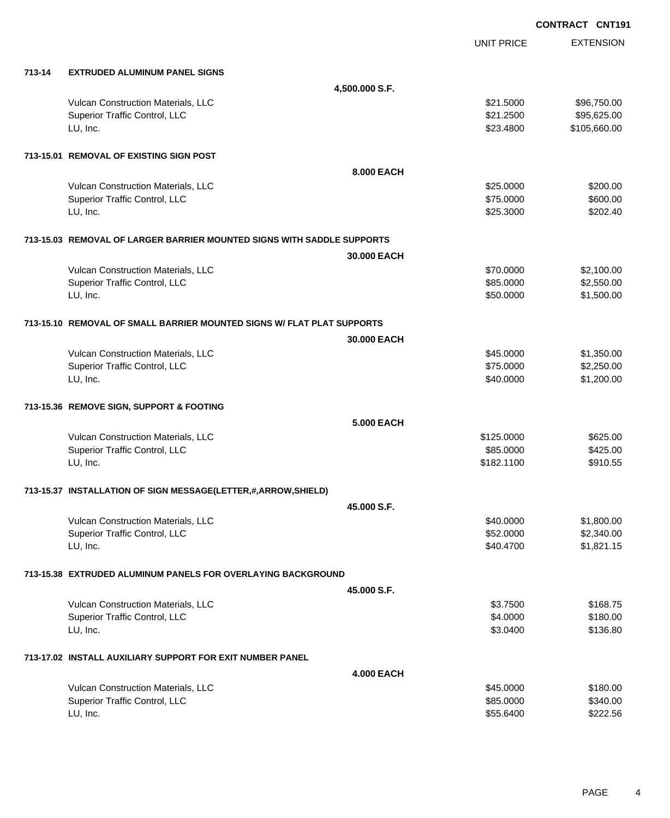**EXTENSION CONTRACT CNT191** UNIT PRICE **713-14 EXTRUDED ALUMINUM PANEL SIGNS 4,500.000 S.F.** Vulcan Construction Materials, LLC \$21.5000 \$96,750.00 Superior Traffic Control, LLC **\$21.2500** \$95,625.00 LU, Inc. \$23.4800 \$105,660.00 **713-15.01 REMOVAL OF EXISTING SIGN POST 8.000 EACH** Vulcan Construction Materials, LLC 6200.00 \$200.00 \$25.0000 \$200.00 Superior Traffic Control, LLC 6600.00 \$600.00 LU, Inc. \$25.3000 \$202.40 **713-15.03 REMOVAL OF LARGER BARRIER MOUNTED SIGNS WITH SADDLE SUPPORTS 30.000 EACH** Vulcan Construction Materials, LLC 6 and the state of the state of the state of the state of the state of the state of the state of the state of the state of the state of the state of the state of the state of the state of Superior Traffic Control, LLC 66 and the state of the state of the state of the state of the state of the state of the state of the state of the state of the state of the state of the state of the state of the state of the LU, Inc. \$50.0000 \$1,500.00 **713-15.10 REMOVAL OF SMALL BARRIER MOUNTED SIGNS W/ FLAT PLAT SUPPORTS 30.000 EACH** Vulcan Construction Materials, LLC 60000 \$1,350.00 Superior Traffic Control, LLC 6 and the state of the state of the state of the state of the state of the state of the state of the state of the state of the state of the state of the state of the state of the state of the LU, Inc. \$40.0000 \$1,200.00 **713-15.36 REMOVE SIGN, SUPPORT & FOOTING 5.000 EACH** Vulcan Construction Materials, LLC 6625.000 \$625.00 Superior Traffic Control, LLC 6425.00 LU, Inc. \$182.1100 \$910.55 **713-15.37 INSTALLATION OF SIGN MESSAGE(LETTER,#,ARROW,SHIELD) 45.000 S.F.** Vulcan Construction Materials, LLC 60000 \$1,800.00 Superior Traffic Control, LLC 66 and the state of the state of the state of the state of the state of the state of the state of the state of the state of the state of the state of the state of the state of the state of the LU, Inc. \$40.4700 \$1,821.15 **713-15.38 EXTRUDED ALUMINUM PANELS FOR OVERLAYING BACKGROUND 45.000 S.F.** Vulcan Construction Materials, LLC 68.7500 \$168.75 Superior Traffic Control, LLC 6180.00 \$180.00 LU, Inc. \$3.0400 \$136.80 **713-17.02 INSTALL AUXILIARY SUPPORT FOR EXIT NUMBER PANEL 4.000 EACH** Vulcan Construction Materials, LLC 60000 \$180.00 Superior Traffic Control, LLC 6340.00

LU, Inc. \$55.6400 \$222.56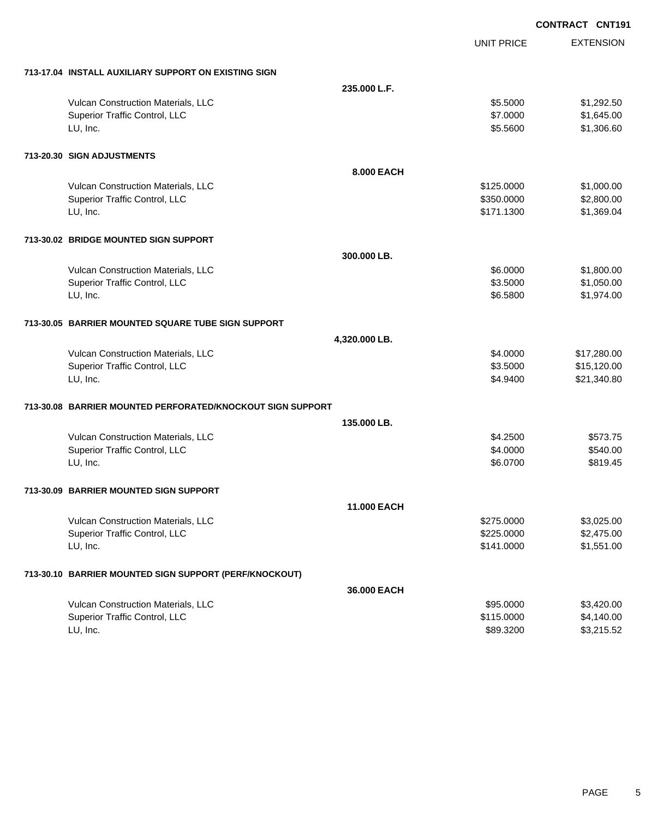|                                                            |               |                   | <b>CONTRACT CNT191</b> |
|------------------------------------------------------------|---------------|-------------------|------------------------|
|                                                            |               | <b>UNIT PRICE</b> | <b>EXTENSION</b>       |
| 713-17.04 INSTALL AUXILIARY SUPPORT ON EXISTING SIGN       |               |                   |                        |
|                                                            | 235,000 L.F.  |                   |                        |
| Vulcan Construction Materials, LLC                         |               | \$5.5000          | \$1,292.50             |
| Superior Traffic Control, LLC                              |               | \$7.0000          | \$1,645.00             |
| LU, Inc.                                                   |               | \$5.5600          | \$1,306.60             |
| 713-20.30 SIGN ADJUSTMENTS                                 |               |                   |                        |
|                                                            | 8.000 EACH    |                   |                        |
| Vulcan Construction Materials, LLC                         |               | \$125.0000        | \$1,000.00             |
| Superior Traffic Control, LLC                              |               | \$350.0000        | \$2,800.00             |
| LU, Inc.                                                   |               | \$171.1300        | \$1,369.04             |
| 713-30.02 BRIDGE MOUNTED SIGN SUPPORT                      |               |                   |                        |
|                                                            | 300.000 LB.   |                   |                        |
| Vulcan Construction Materials, LLC                         |               | \$6.0000          | \$1,800.00             |
| Superior Traffic Control, LLC                              |               | \$3.5000          | \$1,050.00             |
| LU, Inc.                                                   |               | \$6.5800          | \$1,974.00             |
| 713-30.05 BARRIER MOUNTED SQUARE TUBE SIGN SUPPORT         |               |                   |                        |
|                                                            | 4,320.000 LB. |                   |                        |
| Vulcan Construction Materials, LLC                         |               | \$4.0000          | \$17,280.00            |
| Superior Traffic Control, LLC                              |               | \$3.5000          | \$15,120.00            |
| LU, Inc.                                                   |               | \$4.9400          | \$21,340.80            |
| 713-30.08 BARRIER MOUNTED PERFORATED/KNOCKOUT SIGN SUPPORT |               |                   |                        |
|                                                            | 135,000 LB.   |                   |                        |
| Vulcan Construction Materials, LLC                         |               | \$4.2500          | \$573.75               |
| Superior Traffic Control, LLC                              |               | \$4.0000          | \$540.00               |
| LU, Inc.                                                   |               | \$6.0700          | \$819.45               |
| 713-30.09 BARRIER MOUNTED SIGN SUPPORT                     |               |                   |                        |
|                                                            | 11.000 EACH   |                   |                        |
| Vulcan Construction Materials, LLC                         |               | \$275.0000        | \$3,025.00             |
| Superior Traffic Control, LLC                              |               | \$225.0000        | \$2,475.00             |
| LU, Inc.                                                   |               | \$141.0000        | \$1,551.00             |
| 713-30.10 BARRIER MOUNTED SIGN SUPPORT (PERF/KNOCKOUT)     |               |                   |                        |
|                                                            | 36.000 EACH   |                   |                        |
| Vulcan Construction Materials, LLC                         |               | \$95.0000         | \$3,420.00             |
| Superior Traffic Control, LLC                              |               | \$115.0000        | \$4,140.00             |
| LU, Inc.                                                   |               | \$89.3200         | \$3,215.52             |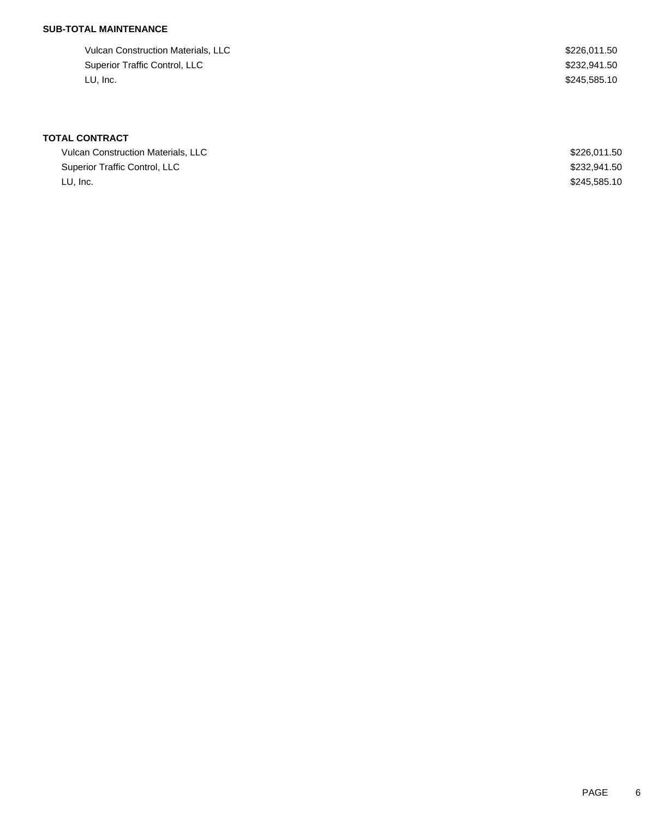## **SUB-TOTAL MAINTENANCE**

Vulcan Construction Materials, LLC \$226,011.50 Superior Traffic Control, LLC \$232,941.50 LU, Inc. \$245,585.10

# **TOTAL CONTRACT**

| <b>Vulcan Construction Materials, LLC</b> | \$226.011.50 |
|-------------------------------------------|--------------|
| Superior Traffic Control, LLC             | \$232,941,50 |
| LU. Inc.                                  | \$245,585.10 |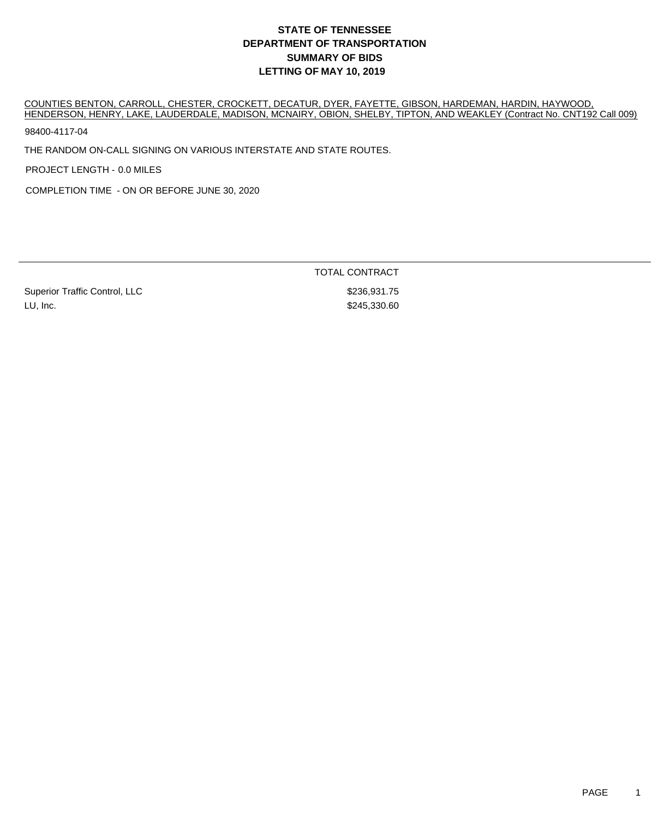COUNTIES BENTON, CARROLL, CHESTER, CROCKETT, DECATUR, DYER, FAYETTE, GIBSON, HARDEMAN, HARDIN, HAYWOOD, HENDERSON, HENRY, LAKE, LAUDERDALE, MADISON, MCNAIRY, OBION, SHELBY, TIPTON, AND WEAKLEY (Contract No. CNT192 Call 009)

98400-4117-04

THE RANDOM ON-CALL SIGNING ON VARIOUS INTERSTATE AND STATE ROUTES.

PROJECT LENGTH - 0.0 MILES

COMPLETION TIME - ON OR BEFORE JUNE 30, 2020

Superior Traffic Control, LLC \$236,931.75 LU, Inc. \$245,330.60

TOTAL CONTRACT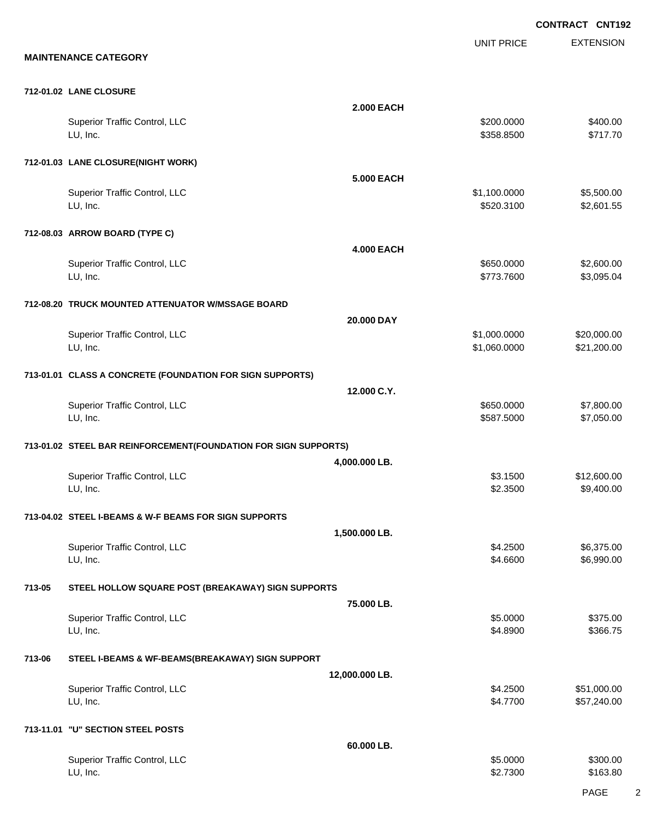EXTENSION **CONTRACT CNT192** UNIT PRICE **MAINTENANCE CATEGORY 712-01.02 LANE CLOSURE 2.000 EACH** Superior Traffic Control, LLC 6400.00 LU, Inc. \$358.8500 \$717.70 **712-01.03 LANE CLOSURE(NIGHT WORK) 5.000 EACH** Superior Traffic Control, LLC \$1,100.0000 \$5,500.00 LU, Inc. \$520.3100 \$2,601.55 **712-08.03 ARROW BOARD (TYPE C) 4.000 EACH** Superior Traffic Control, LLC 6650.000 \$2,600.00 LU, Inc. \$773.7600 \$3,095.04 **712-08.20 TRUCK MOUNTED ATTENUATOR W/MSSAGE BOARD 20.000 DAY** Superior Traffic Control, LLC 6 and the state of the state of the state of the state of the state of the state of the state of the state of the state of the state of the state of the state of the state of the state of the LU, Inc. \$1,060.0000 \$21,200.00 **713-01.01 CLASS A CONCRETE (FOUNDATION FOR SIGN SUPPORTS) 12.000 C.Y.** Superior Traffic Control, LLC 6650.000 \$7,800.00 LU, Inc. \$587.5000 \$7,050.00 **713-01.02 STEEL BAR REINFORCEMENT(FOUNDATION FOR SIGN SUPPORTS) 4,000.000 LB.** Superior Traffic Control, LLC 612,600.00 \$12,600.00 LU, Inc. \$2.3500 \$9,400.00 **713-04.02 STEEL I-BEAMS & W-F BEAMS FOR SIGN SUPPORTS 1,500.000 LB.** Superior Traffic Control, LLC 6,375.00 LU, Inc. \$4.6600 \$6,990.00 **713-05 STEEL HOLLOW SQUARE POST (BREAKAWAY) SIGN SUPPORTS 75.000 LB.** Superior Traffic Control, LLC \$375.00 LU, Inc. \$4.8900 \$366.75 **713-06 STEEL I-BEAMS & WF-BEAMS(BREAKAWAY) SIGN SUPPORT 12,000.000 LB.** Superior Traffic Control, LLC 651,000.00 LU, Inc. \$4.7700 \$57,240.00 **713-11.01 "U" SECTION STEEL POSTS 60.000 LB.**

| Superior Traffic Control, LLC | \$5,0000 | \$300.00 |
|-------------------------------|----------|----------|
| LU, Inc.                      | \$2.7300 | \$163.80 |
|                               |          |          |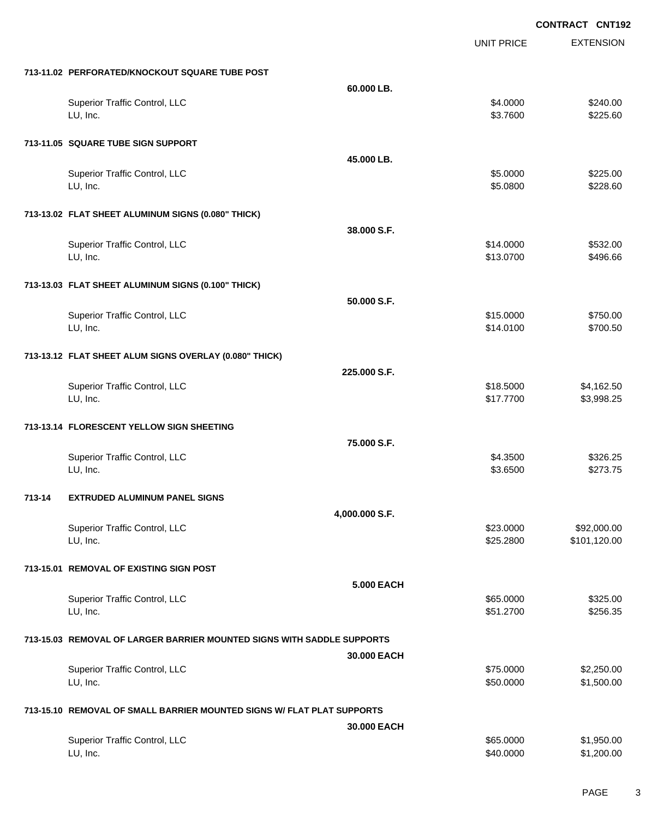|        |                                                                        |                |                   | <b>CONTRACT CNT192</b> |
|--------|------------------------------------------------------------------------|----------------|-------------------|------------------------|
|        |                                                                        |                | <b>UNIT PRICE</b> | <b>EXTENSION</b>       |
|        | 713-11.02 PERFORATED/KNOCKOUT SQUARE TUBE POST                         |                |                   |                        |
|        |                                                                        | 60.000 LB.     |                   |                        |
|        | Superior Traffic Control, LLC                                          |                | \$4.0000          | \$240.00               |
|        | LU, Inc.                                                               |                | \$3.7600          | \$225.60               |
|        | 713-11.05 SQUARE TUBE SIGN SUPPORT                                     |                |                   |                        |
|        |                                                                        | 45.000 LB.     |                   |                        |
|        | Superior Traffic Control, LLC                                          |                | \$5.0000          | \$225.00               |
|        | LU, Inc.                                                               |                | \$5.0800          | \$228.60               |
|        | 713-13.02 FLAT SHEET ALUMINUM SIGNS (0.080" THICK)                     |                |                   |                        |
|        |                                                                        | 38.000 S.F.    |                   |                        |
|        | Superior Traffic Control, LLC                                          |                | \$14.0000         | \$532.00               |
|        | LU, Inc.                                                               |                | \$13.0700         | \$496.66               |
|        | 713-13.03 FLAT SHEET ALUMINUM SIGNS (0.100" THICK)                     |                |                   |                        |
|        |                                                                        | 50.000 S.F.    |                   |                        |
|        | Superior Traffic Control, LLC                                          |                | \$15.0000         | \$750.00               |
|        | LU, Inc.                                                               |                | \$14.0100         | \$700.50               |
|        | 713-13.12 FLAT SHEET ALUM SIGNS OVERLAY (0.080" THICK)                 |                |                   |                        |
|        |                                                                        | 225.000 S.F.   |                   |                        |
|        | Superior Traffic Control, LLC                                          |                | \$18.5000         | \$4,162.50             |
|        | LU, Inc.                                                               |                | \$17.7700         | \$3,998.25             |
|        | 713-13.14 FLORESCENT YELLOW SIGN SHEETING                              |                |                   |                        |
|        |                                                                        | 75.000 S.F.    |                   |                        |
|        | Superior Traffic Control, LLC                                          |                | \$4.3500          | \$326.25               |
|        | LU, Inc.                                                               |                | \$3.6500          | \$273.75               |
| 713-14 | <b>EXTRUDED ALUMINUM PANEL SIGNS</b>                                   |                |                   |                        |
|        |                                                                        | 4,000.000 S.F. |                   |                        |
|        | Superior Traffic Control, LLC                                          |                | \$23.0000         | \$92,000.00            |
|        | LU, Inc.                                                               |                | \$25.2800         | \$101,120.00           |
|        | 713-15.01 REMOVAL OF EXISTING SIGN POST                                |                |                   |                        |
|        |                                                                        | 5,000 EACH     |                   |                        |
|        | Superior Traffic Control, LLC                                          |                | \$65.0000         | \$325.00               |
|        | LU, Inc.                                                               |                | \$51.2700         | \$256.35               |
|        | 713-15.03 REMOVAL OF LARGER BARRIER MOUNTED SIGNS WITH SADDLE SUPPORTS |                |                   |                        |
|        |                                                                        | 30.000 EACH    |                   |                        |
|        | Superior Traffic Control, LLC                                          |                | \$75.0000         | \$2,250.00             |
|        | LU, Inc.                                                               |                | \$50.0000         | \$1,500.00             |
|        | 713-15.10 REMOVAL OF SMALL BARRIER MOUNTED SIGNS W/ FLAT PLAT SUPPORTS |                |                   |                        |
|        |                                                                        | 30.000 EACH    |                   |                        |
|        | Superior Traffic Control, LLC                                          |                | \$65.0000         | \$1,950.00             |
|        | LU, Inc.                                                               |                | \$40.0000         | \$1,200.00             |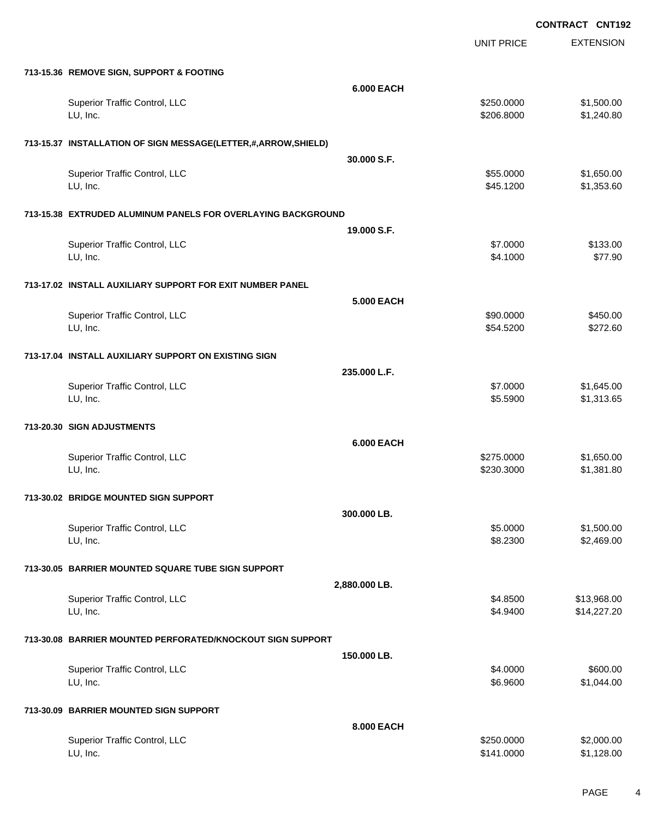|                                                               |                   | UNIT PRICE               | <b>EXTENSION</b>           |
|---------------------------------------------------------------|-------------------|--------------------------|----------------------------|
| 713-15.36 REMOVE SIGN, SUPPORT & FOOTING                      |                   |                          |                            |
|                                                               | <b>6.000 EACH</b> |                          |                            |
| Superior Traffic Control, LLC<br>LU, Inc.                     |                   | \$250.0000<br>\$206.8000 | \$1,500.00<br>\$1,240.80   |
| 713-15.37 INSTALLATION OF SIGN MESSAGE(LETTER,#,ARROW,SHIELD) |                   |                          |                            |
|                                                               | 30.000 S.F.       |                          |                            |
| Superior Traffic Control, LLC<br>LU, Inc.                     |                   | \$55.0000<br>\$45.1200   | \$1,650.00<br>\$1,353.60   |
| 713-15.38 EXTRUDED ALUMINUM PANELS FOR OVERLAYING BACKGROUND  |                   |                          |                            |
|                                                               | 19.000 S.F.       |                          |                            |
| Superior Traffic Control, LLC<br>LU, Inc.                     |                   | \$7.0000<br>\$4.1000     | \$133.00<br>\$77.90        |
| 713-17.02 INSTALL AUXILIARY SUPPORT FOR EXIT NUMBER PANEL     |                   |                          |                            |
|                                                               | <b>5.000 EACH</b> |                          |                            |
| Superior Traffic Control, LLC<br>LU, Inc.                     |                   | \$90.0000<br>\$54.5200   | \$450.00<br>\$272.60       |
| 713-17.04 INSTALL AUXILIARY SUPPORT ON EXISTING SIGN          |                   |                          |                            |
|                                                               | 235.000 L.F.      |                          |                            |
| Superior Traffic Control, LLC<br>LU, Inc.                     |                   | \$7.0000<br>\$5.5900     | \$1,645.00<br>\$1,313.65   |
| 713-20.30 SIGN ADJUSTMENTS                                    |                   |                          |                            |
|                                                               | <b>6.000 EACH</b> |                          |                            |
| Superior Traffic Control, LLC<br>LU, Inc.                     |                   | \$275.0000<br>\$230.3000 | \$1,650.00<br>\$1,381.80   |
| 713-30.02 BRIDGE MOUNTED SIGN SUPPORT                         |                   |                          |                            |
|                                                               | 300.000 LB.       |                          |                            |
| Superior Traffic Control, LLC<br>LU, Inc.                     |                   | \$5.0000<br>\$8.2300     | \$1,500.00<br>\$2,469.00   |
| 713-30.05 BARRIER MOUNTED SQUARE TUBE SIGN SUPPORT            |                   |                          |                            |
|                                                               | 2,880.000 LB.     |                          |                            |
| Superior Traffic Control, LLC<br>LU, Inc.                     |                   | \$4.8500<br>\$4.9400     | \$13,968.00<br>\$14,227.20 |
| 713-30.08 BARRIER MOUNTED PERFORATED/KNOCKOUT SIGN SUPPORT    |                   |                          |                            |
|                                                               | 150.000 LB.       |                          |                            |
| Superior Traffic Control, LLC<br>LU, Inc.                     |                   | \$4.0000<br>\$6.9600     | \$600.00<br>\$1,044.00     |
| 713-30.09 BARRIER MOUNTED SIGN SUPPORT                        |                   |                          |                            |
|                                                               | 8.000 EACH        |                          |                            |
| Superior Traffic Control, LLC<br>LU, Inc.                     |                   | \$250.0000<br>\$141.0000 | \$2,000.00<br>\$1,128.00   |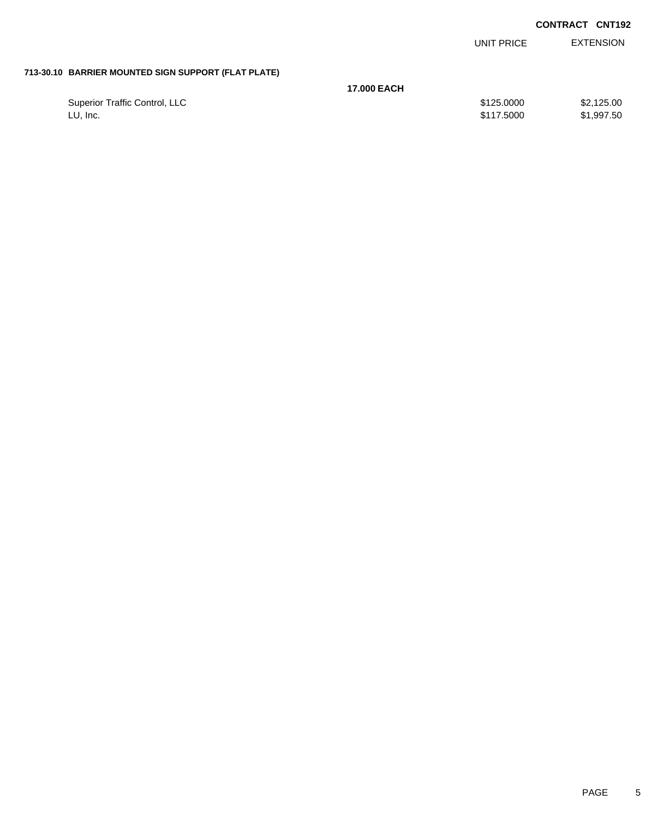| <b>CONTRACT CNT192</b> |  |
|------------------------|--|
|                        |  |

|                                                     |                    | UNIT PRICE | <b>EXTENSION</b> |
|-----------------------------------------------------|--------------------|------------|------------------|
| 713-30.10 BARRIER MOUNTED SIGN SUPPORT (FLAT PLATE) |                    |            |                  |
|                                                     | <b>17.000 EACH</b> |            |                  |
| Superior Traffic Control, LLC                       |                    | \$125.0000 | \$2,125.00       |
| LU, Inc.                                            |                    | \$117.5000 | \$1,997.50       |
|                                                     |                    |            |                  |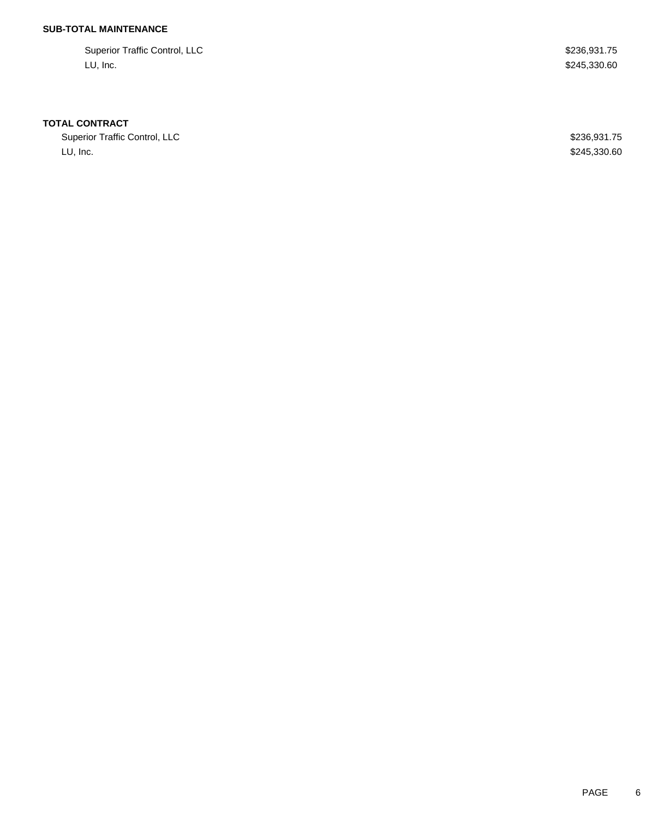## **SUB-TOTAL MAINTENANCE**

Superior Traffic Control, LLC \$236,931.75 LU, Inc. \$245,330.60

### **TOTAL CONTRACT**

Superior Traffic Control, LLC 600 and 236,931.75 LU, Inc. \$245,330.60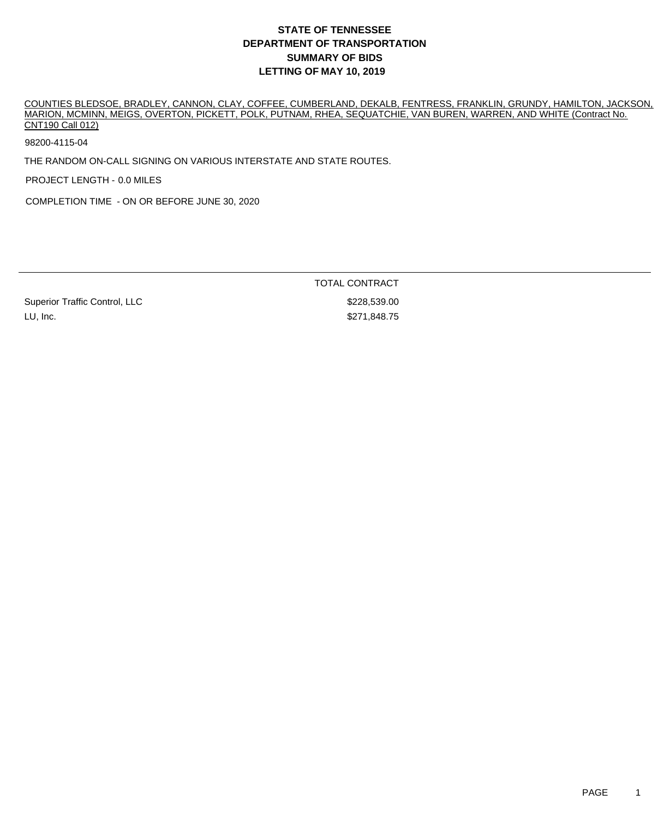COUNTIES BLEDSOE, BRADLEY, CANNON, CLAY, COFFEE, CUMBERLAND, DEKALB, FENTRESS, FRANKLIN, GRUNDY, HAMILTON, JACKSON, MARION, MCMINN, MEIGS, OVERTON, PICKETT, POLK, PUTNAM, RHEA, SEQUATCHIE, VAN BUREN, WARREN, AND WHITE (Contract No. CNT190 Call 012)

98200-4115-04

THE RANDOM ON-CALL SIGNING ON VARIOUS INTERSTATE AND STATE ROUTES.

PROJECT LENGTH - 0.0 MILES

COMPLETION TIME - ON OR BEFORE JUNE 30, 2020

TOTAL CONTRACT

Superior Traffic Control, LLC \$228,539.00 LU, Inc. \$271,848.75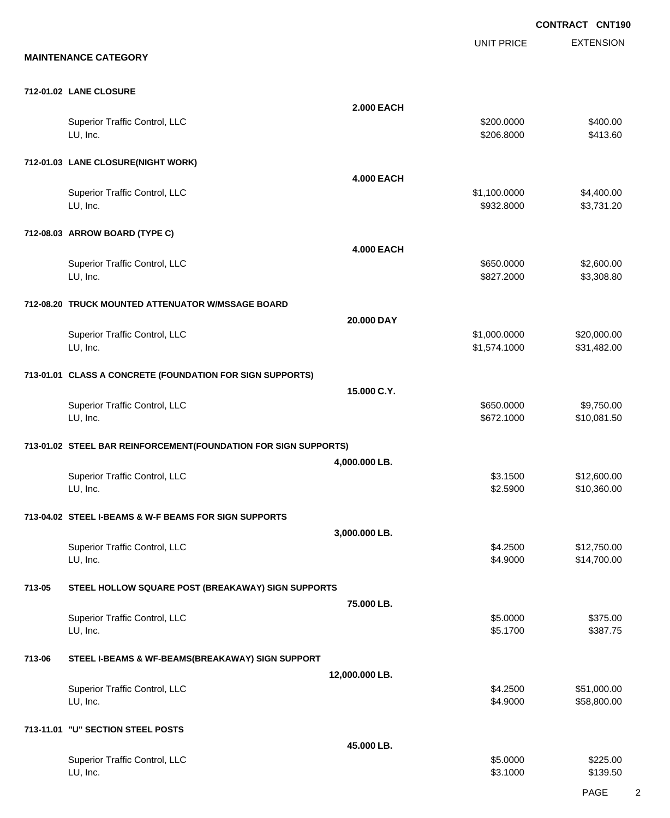UNIT PRICE

EXTENSION

**MAINTENANCE CATEGORY**

#### **712-01.02 LANE CLOSURE**

|           |                                                                 | <b>2.000 EACH</b> |                              |                            |
|-----------|-----------------------------------------------------------------|-------------------|------------------------------|----------------------------|
|           | Superior Traffic Control, LLC<br>LU, Inc.                       |                   | \$200.0000<br>\$206.8000     | \$400.00<br>\$413.60       |
|           | 712-01.03 LANE CLOSURE(NIGHT WORK)                              |                   |                              |                            |
|           |                                                                 | <b>4.000 EACH</b> |                              |                            |
|           | Superior Traffic Control, LLC<br>LU, Inc.                       |                   | \$1,100.0000<br>\$932.8000   | \$4,400.00<br>\$3,731.20   |
|           | 712-08.03 ARROW BOARD (TYPE C)                                  |                   |                              |                            |
|           |                                                                 | <b>4.000 EACH</b> |                              |                            |
|           | Superior Traffic Control, LLC<br>LU, Inc.                       |                   | \$650.0000<br>\$827.2000     | \$2,600.00<br>\$3,308.80   |
|           | 712-08.20 TRUCK MOUNTED ATTENUATOR W/MSSAGE BOARD               |                   |                              |                            |
|           |                                                                 | 20.000 DAY        |                              |                            |
|           | Superior Traffic Control, LLC<br>LU, Inc.                       |                   | \$1,000.0000<br>\$1,574.1000 | \$20,000.00<br>\$31,482.00 |
|           | 713-01.01 CLASS A CONCRETE (FOUNDATION FOR SIGN SUPPORTS)       |                   |                              |                            |
|           |                                                                 | 15.000 C.Y.       |                              |                            |
|           | Superior Traffic Control, LLC<br>LU, Inc.                       |                   | \$650.0000<br>\$672.1000     | \$9,750.00<br>\$10,081.50  |
|           | 713-01.02 STEEL BAR REINFORCEMENT(FOUNDATION FOR SIGN SUPPORTS) |                   |                              |                            |
|           |                                                                 | 4,000.000 LB.     |                              |                            |
|           | Superior Traffic Control, LLC<br>LU, Inc.                       |                   | \$3.1500<br>\$2.5900         | \$12,600.00<br>\$10,360.00 |
|           | 713-04.02 STEEL I-BEAMS & W-F BEAMS FOR SIGN SUPPORTS           |                   |                              |                            |
|           |                                                                 | 3,000.000 LB.     |                              |                            |
|           | Superior Traffic Control, LLC<br>LU, Inc.                       |                   | \$4.2500<br>\$4.9000         | \$12,750.00<br>\$14,700.00 |
| 713-05    | STEEL HOLLOW SQUARE POST (BREAKAWAY) SIGN SUPPORTS              |                   |                              |                            |
|           |                                                                 | 75.000 LB.        |                              |                            |
|           | Superior Traffic Control, LLC                                   |                   | \$5.0000                     | \$375.00                   |
|           | LU, Inc.                                                        |                   | \$5.1700                     | \$387.75                   |
| 713-06    | STEEL I-BEAMS & WF-BEAMS(BREAKAWAY) SIGN SUPPORT                |                   |                              |                            |
|           |                                                                 | 12,000.000 LB.    |                              |                            |
|           | Superior Traffic Control, LLC<br>LU, Inc.                       |                   | \$4.2500<br>\$4.9000         | \$51,000.00<br>\$58,800.00 |
| 713-11.01 | "U" SECTION STEEL POSTS                                         |                   |                              |                            |
|           |                                                                 | 45.000 LB.        |                              |                            |
|           | Superior Traffic Control, LLC<br>LU, Inc.                       |                   | \$5.0000<br>\$3.1000         | \$225.00<br>\$139.50       |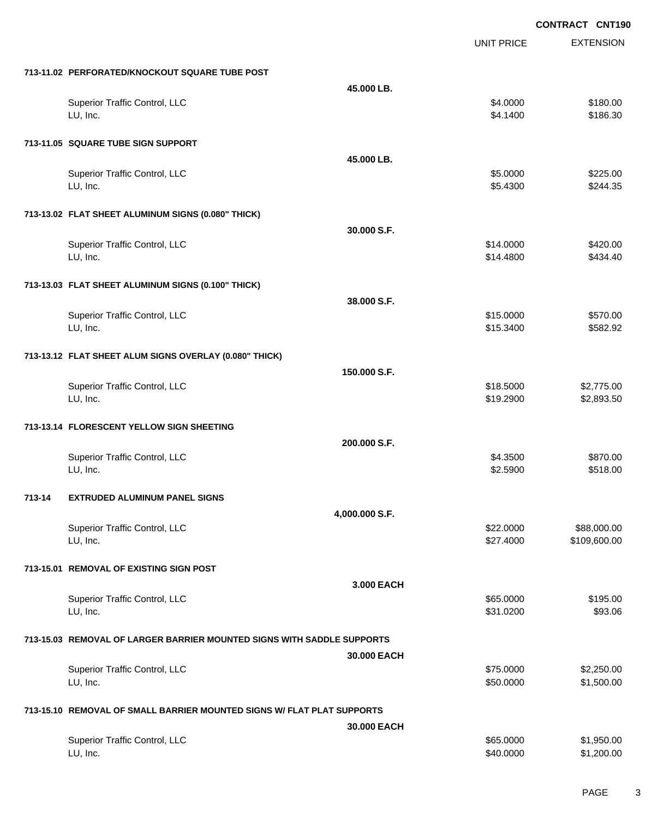EXTENSION **CONTRACT CNT190** UNIT PRICE **713-11.02 PERFORATED/KNOCKOUT SQUARE TUBE POST 45.000 LB.** Superior Traffic Control, LLC 6180.00 \$180.00 LU, Inc. \$4.1400 \$186.30 **713-11.05 SQUARE TUBE SIGN SUPPORT 45.000 LB.** Superior Traffic Control, LLC 6225.00 لى الله عنه المركز المركز المركز المركز المركز المركز المركز المركز المركز المركز المركز المركز المركز المركز المركز المركز المركز المركز المركز المركز المركز المركز المركز المركز المركز المركز المركز المركز المركز المركز **713-13.02 FLAT SHEET ALUMINUM SIGNS (0.080" THICK) 30.000 S.F.** Superior Traffic Control, LLC \$14.0000 \$420.00 LU, Inc. \$14.4800 \$434.40 **713-13.03 FLAT SHEET ALUMINUM SIGNS (0.100" THICK) 38.000 S.F.** Superior Traffic Control, LLC 6570.00 LU, Inc. \$15.3400 \$582.92 **713-13.12 FLAT SHEET ALUM SIGNS OVERLAY (0.080" THICK) 150.000 S.F.** Superior Traffic Control, LLC 6318.5000 \$2,775.00 LU, Inc. \$19.2900 \$2,893.50 **713-13.14 FLORESCENT YELLOW SIGN SHEETING 200.000 S.F.** Superior Traffic Control, LLC 6870.00 LU, Inc. \$2.5900 \$518.00 **713-14 EXTRUDED ALUMINUM PANEL SIGNS 4,000.000 S.F.** Superior Traffic Control, LLC 688,000.00 \$88,000.00 LU, Inc. \$27.4000 \$109,600.00 **713-15.01 REMOVAL OF EXISTING SIGN POST 3.000 EACH** Superior Traffic Control, LLC 6195.000 \$195.00 LU, Inc. \$31.0200 \$93.06 **713-15.03 REMOVAL OF LARGER BARRIER MOUNTED SIGNS WITH SADDLE SUPPORTS 30.000 EACH** Superior Traffic Control, LLC 66 and the state of the state of the state of the state of the state of the state of the state of the state of the state of the state of the state of the state of the state of the state of the LU, Inc. \$50.0000 \$1,500.00 **713-15.10 REMOVAL OF SMALL BARRIER MOUNTED SIGNS W/ FLAT PLAT SUPPORTS 30.000 EACH** Superior Traffic Control, LLC 665.000 \$1,950.00 LU, Inc. \$40.0000 \$1,200.00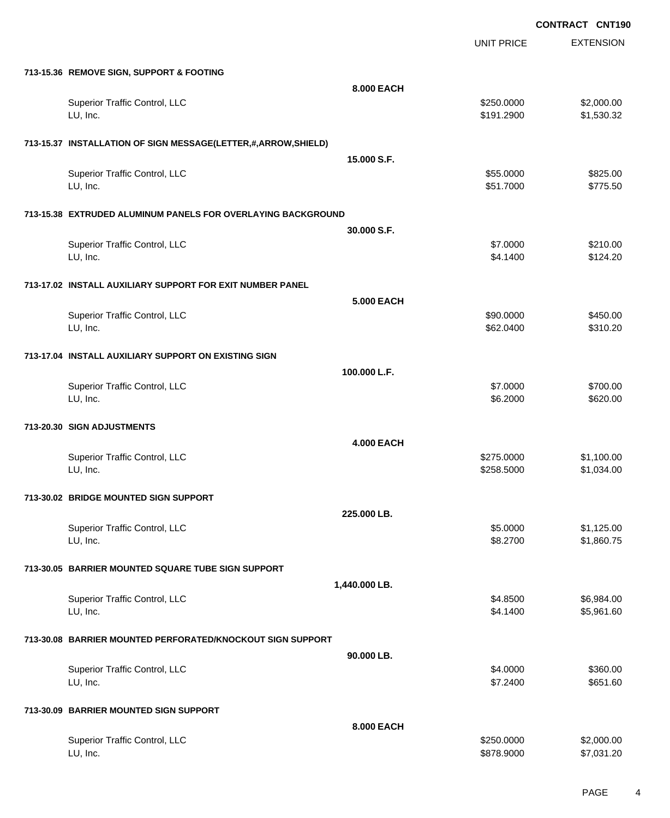|                                                               |                   | <b>UNIT PRICE</b> | <b>EXTENSION</b> |
|---------------------------------------------------------------|-------------------|-------------------|------------------|
| 713-15.36 REMOVE SIGN, SUPPORT & FOOTING                      |                   |                   |                  |
|                                                               | 8.000 EACH        |                   |                  |
| Superior Traffic Control, LLC                                 |                   | \$250.0000        | \$2,000.00       |
| LU, Inc.                                                      |                   | \$191.2900        | \$1,530.32       |
| 713-15.37 INSTALLATION OF SIGN MESSAGE(LETTER,#,ARROW,SHIELD) |                   |                   |                  |
|                                                               | 15,000 S.F.       |                   |                  |
| Superior Traffic Control, LLC                                 |                   | \$55.0000         | \$825.00         |
| LU, Inc.                                                      |                   | \$51.7000         | \$775.50         |
| 713-15.38 EXTRUDED ALUMINUM PANELS FOR OVERLAYING BACKGROUND  |                   |                   |                  |
|                                                               | 30.000 S.F.       |                   |                  |
| Superior Traffic Control, LLC                                 |                   | \$7.0000          | \$210.00         |
| LU, Inc.                                                      |                   | \$4.1400          | \$124.20         |
| 713-17.02 INSTALL AUXILIARY SUPPORT FOR EXIT NUMBER PANEL     |                   |                   |                  |
|                                                               | <b>5.000 EACH</b> |                   |                  |
| Superior Traffic Control, LLC                                 |                   | \$90.0000         | \$450.00         |
| LU, Inc.                                                      |                   | \$62.0400         | \$310.20         |
| 713-17.04 INSTALL AUXILIARY SUPPORT ON EXISTING SIGN          |                   |                   |                  |
|                                                               | 100.000 L.F.      |                   |                  |
| Superior Traffic Control, LLC                                 |                   | \$7.0000          | \$700.00         |
| LU, Inc.                                                      |                   | \$6.2000          | \$620.00         |
| 713-20.30 SIGN ADJUSTMENTS                                    |                   |                   |                  |
|                                                               | <b>4.000 EACH</b> |                   |                  |
| Superior Traffic Control, LLC                                 |                   | \$275.0000        | \$1,100.00       |
| LU, Inc.                                                      |                   | \$258.5000        | \$1,034.00       |
| 713-30.02 BRIDGE MOUNTED SIGN SUPPORT                         |                   |                   |                  |
|                                                               | 225.000 LB.       |                   |                  |
| <b>Superior Traffic Control, LLC</b>                          |                   | \$5.0000          | \$1,125.00       |
| LU, Inc.                                                      |                   | \$8.2700          | \$1,860.75       |
| 713-30.05 BARRIER MOUNTED SQUARE TUBE SIGN SUPPORT            |                   |                   |                  |
|                                                               | 1,440.000 LB.     |                   |                  |
| Superior Traffic Control, LLC                                 |                   | \$4.8500          | \$6,984.00       |
| LU, Inc.                                                      |                   | \$4.1400          | \$5,961.60       |
| 713-30.08 BARRIER MOUNTED PERFORATED/KNOCKOUT SIGN SUPPORT    |                   |                   |                  |
|                                                               | 90.000 LB.        |                   |                  |
| Superior Traffic Control, LLC                                 |                   | \$4.0000          | \$360.00         |
| LU, Inc.                                                      |                   | \$7.2400          | \$651.60         |
| 713-30.09 BARRIER MOUNTED SIGN SUPPORT                        |                   |                   |                  |
|                                                               | 8.000 EACH        |                   |                  |
| Superior Traffic Control, LLC                                 |                   | \$250.0000        | \$2,000.00       |
| LU, Inc.                                                      |                   | \$878.9000        | \$7,031.20       |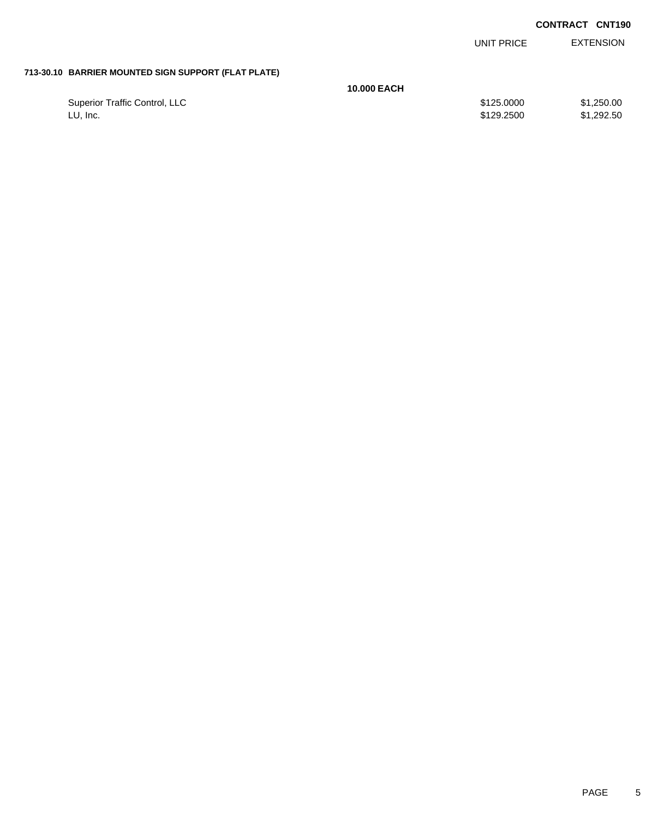| <b>CONTRACT</b> | <b>CNT190</b> |
|-----------------|---------------|
|-----------------|---------------|

|                                                     |                    | UNIT PRICE               | <b>EXTENSION</b>         |
|-----------------------------------------------------|--------------------|--------------------------|--------------------------|
| 713-30.10 BARRIER MOUNTED SIGN SUPPORT (FLAT PLATE) |                    |                          |                          |
|                                                     | <b>10.000 EACH</b> |                          |                          |
| Superior Traffic Control, LLC<br>LU, Inc.           |                    | \$125.0000<br>\$129,2500 | \$1,250.00<br>\$1,292.50 |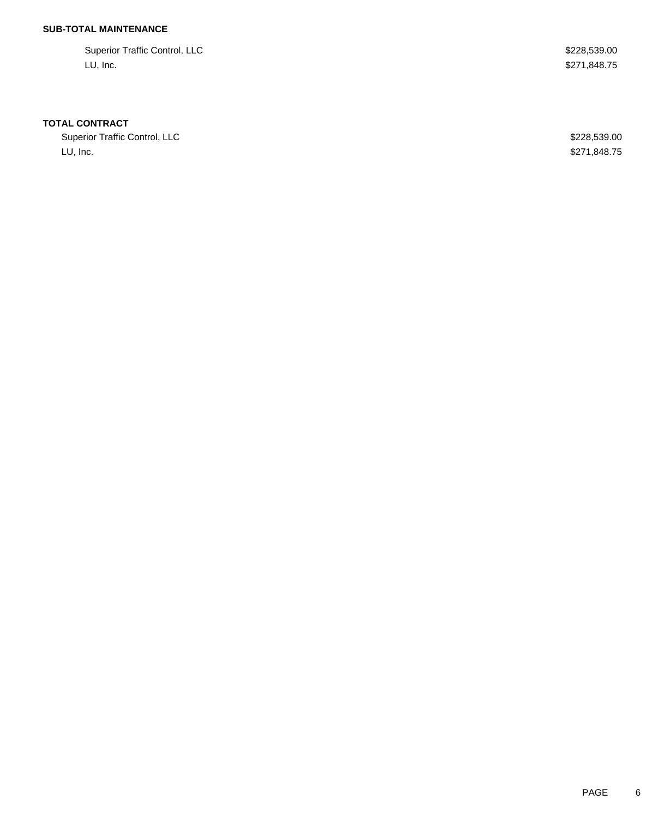## **SUB-TOTAL MAINTENANCE**

Superior Traffic Control, LLC \$228,539.00 LU, Inc. \$271,848.75

### **TOTAL CONTRACT**

Superior Traffic Control, LLC **\$228,539.00** LU, Inc. \$271,848.75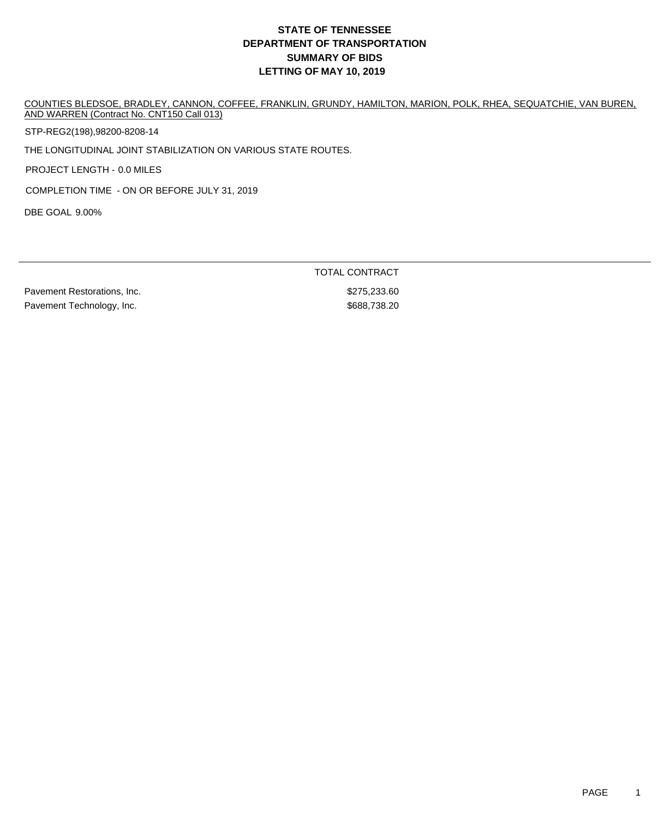COUNTIES BLEDSOE, BRADLEY, CANNON, COFFEE, FRANKLIN, GRUNDY, HAMILTON, MARION, POLK, RHEA, SEQUATCHIE, VAN BUREN, AND WARREN (Contract No. CNT150 Call 013)

STP-REG2(198),98200-8208-14

THE LONGITUDINAL JOINT STABILIZATION ON VARIOUS STATE ROUTES.

PROJECT LENGTH - 0.0 MILES

COMPLETION TIME - ON OR BEFORE JULY 31, 2019

DBE GOAL 9.00%

TOTAL CONTRACT

Pavement Restorations, Inc. 6. The contract of the contract of the S275,233.60 Pavement Technology, Inc. 688,738.20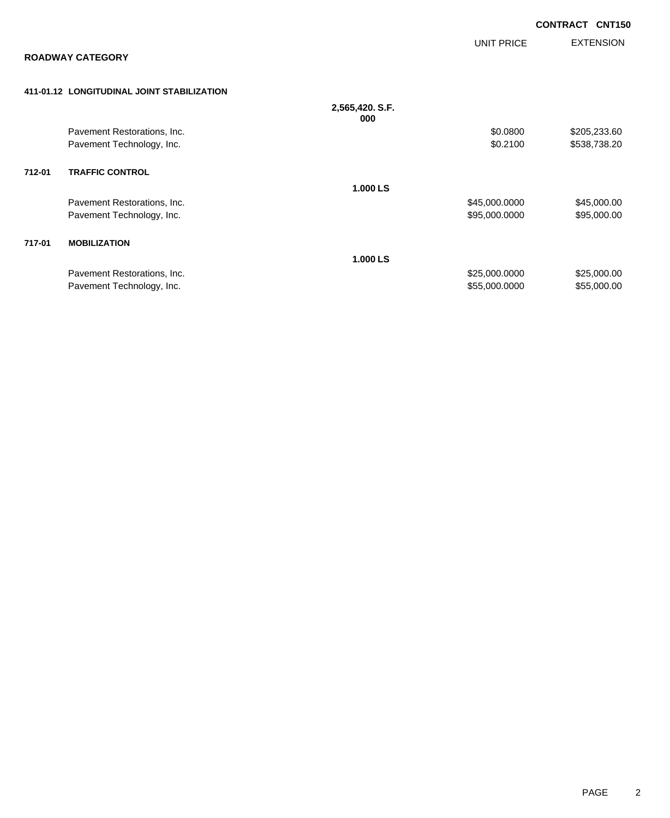|        |                                            |                        |                   | <b>CONTRACT CNT150</b> |                  |
|--------|--------------------------------------------|------------------------|-------------------|------------------------|------------------|
|        |                                            |                        | <b>UNIT PRICE</b> |                        | <b>EXTENSION</b> |
|        | <b>ROADWAY CATEGORY</b>                    |                        |                   |                        |                  |
|        | 411-01.12 LONGITUDINAL JOINT STABILIZATION |                        |                   |                        |                  |
|        |                                            | 2,565,420. S.F.<br>000 |                   |                        |                  |
|        | Pavement Restorations, Inc.                |                        | \$0.0800          |                        | \$205,233.60     |
|        | Pavement Technology, Inc.                  |                        | \$0.2100          |                        | \$538,738.20     |
| 712-01 | <b>TRAFFIC CONTROL</b>                     |                        |                   |                        |                  |
|        |                                            | 1.000 LS               |                   |                        |                  |
|        | Pavement Restorations, Inc.                |                        | \$45,000.0000     |                        | \$45,000.00      |
|        | Pavement Technology, Inc.                  |                        | \$95,000.0000     |                        | \$95,000.00      |
| 717-01 | <b>MOBILIZATION</b>                        |                        |                   |                        |                  |
|        |                                            | 1.000 LS               |                   |                        |                  |
|        | Pavement Restorations, Inc.                |                        | \$25,000.0000     |                        | \$25,000.00      |
|        | Pavement Technology, Inc.                  |                        | \$55,000.0000     |                        | \$55,000.00      |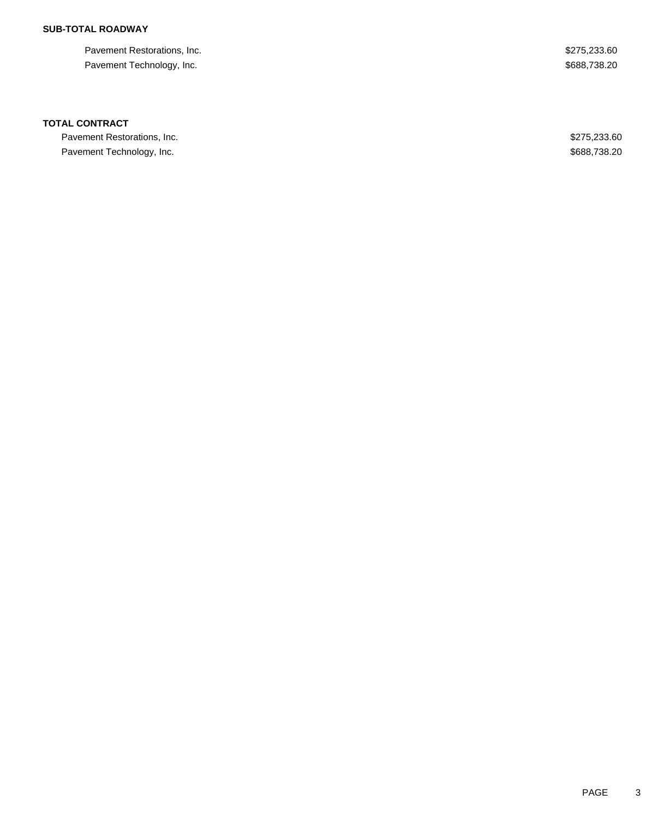## **SUB-TOTAL ROADWAY**

Pavement Restorations, Inc. 6. The Second Second Second Second Second Second Seconds Assessed Seconds Seconds Seconds Seconds Seconds Seconds Seconds Seconds Seconds Seconds Seconds Seconds Seconds Seconds Seconds Seconds Pavement Technology, Inc. 688,738.20

### **TOTAL CONTRACT**

Pavement Restorations, Inc. 6. The Second Second Second Seconds of the Second Seconds Assembly 19875,233.60 Pavement Technology, Inc. 688,738.20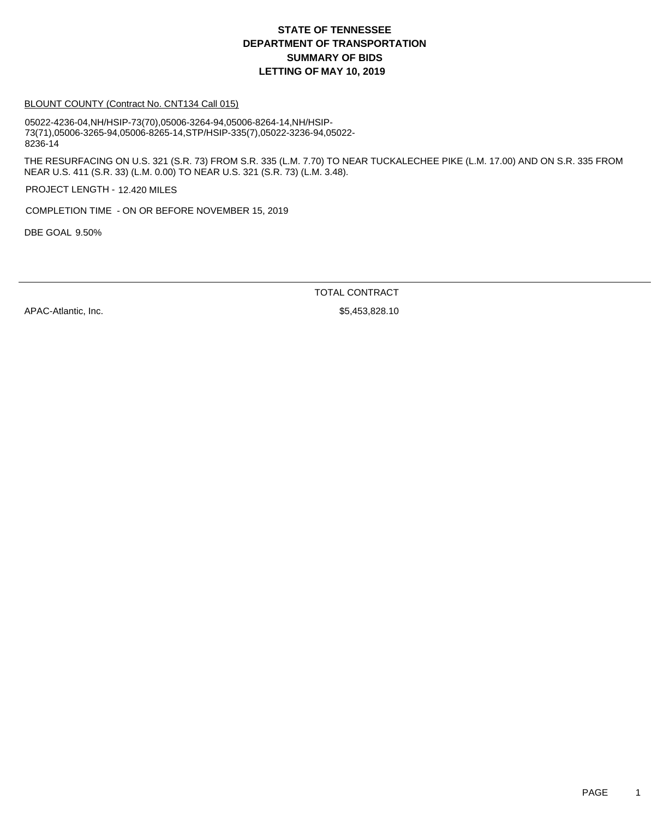#### BLOUNT COUNTY (Contract No. CNT134 Call 015)

05022-4236-04,NH/HSIP-73(70),05006-3264-94,05006-8264-14,NH/HSIP-73(71),05006-3265-94,05006-8265-14,STP/HSIP-335(7),05022-3236-94,05022- 8236-14

THE RESURFACING ON U.S. 321 (S.R. 73) FROM S.R. 335 (L.M. 7.70) TO NEAR TUCKALECHEE PIKE (L.M. 17.00) AND ON S.R. 335 FROM NEAR U.S. 411 (S.R. 33) (L.M. 0.00) TO NEAR U.S. 321 (S.R. 73) (L.M. 3.48).

PROJECT LENGTH - 12.420 MILES

COMPLETION TIME - ON OR BEFORE NOVEMBER 15, 2019

DBE GOAL 9.50%

TOTAL CONTRACT

APAC-Atlantic, Inc. 6. 2012 12:30 12:30 12:31 12:328.10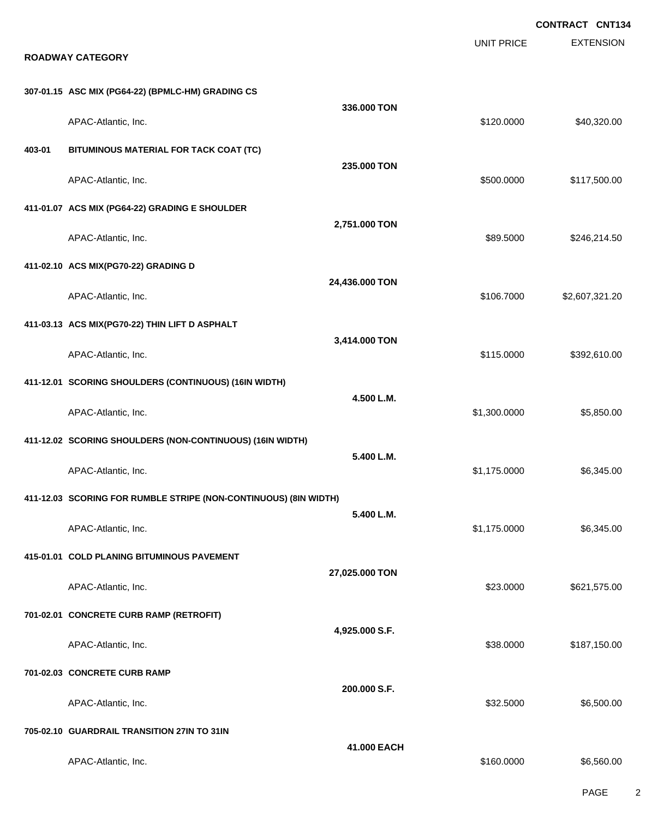EXTENSION **CONTRACT CNT134** UNIT PRICE **ROADWAY CATEGORY 307-01.15 ASC MIX (PG64-22) (BPMLC-HM) GRADING CS 336.000 TON** APAC-Atlantic, Inc. \$120.000 \$40,320.00 **403-01 BITUMINOUS MATERIAL FOR TACK COAT (TC) 235.000 TON** APAC-Atlantic, Inc. \$117,500.00 \$117,500.00 \$117,500.00 \$117,500.00 \$117,500.00 \$117,500.00 \$117,500.00 \$117,500 **411-01.07 ACS MIX (PG64-22) GRADING E SHOULDER 2,751.000 TON** APAC-Atlantic, Inc. \$89.5000 \$246,214.50 **411-02.10 ACS MIX(PG70-22) GRADING D 24,436.000 TON** APAC-Atlantic, Inc. \$106.7000 \$2,607,321.20 **411-03.13 ACS MIX(PG70-22) THIN LIFT D ASPHALT 3,414.000 TON** APAC-Atlantic, Inc. \$115.0000 \$392,610.00 **411-12.01 SCORING SHOULDERS (CONTINUOUS) (16IN WIDTH) 4.500 L.M.** APAC-Atlantic, Inc. \$1,300.0000 \$5,850.00 **411-12.02 SCORING SHOULDERS (NON-CONTINUOUS) (16IN WIDTH) 5.400 L.M.** APAC-Atlantic, Inc. \$1,175.0000 \$6,345.00 **411-12.03 SCORING FOR RUMBLE STRIPE (NON-CONTINUOUS) (8IN WIDTH) 5.400 L.M.** APAC-Atlantic, Inc. \$1,175.0000 \$6,345.00 **415-01.01 COLD PLANING BITUMINOUS PAVEMENT 27,025.000 TON** APAC-Atlantic, Inc. 621,575.00 \$621,575.00 \$621,575.00 **701-02.01 CONCRETE CURB RAMP (RETROFIT) 4,925.000 S.F.** APAC-Atlantic, Inc. \$38.0000 \$187,150.00 **701-02.03 CONCRETE CURB RAMP 200.000 S.F.** APAC-Atlantic, Inc. \$35.500.00 \$6,500.00 \$6,500.00 \$6,500.00 \$6,500.00 \$6,500.00 \$6,500.00 \$6,500.00 \$6,500.00 **705-02.10 GUARDRAIL TRANSITION 27IN TO 31IN 41.000 EACH** APAC-Atlantic, Inc. \$160.0000 \$6,560.00

PAGE 2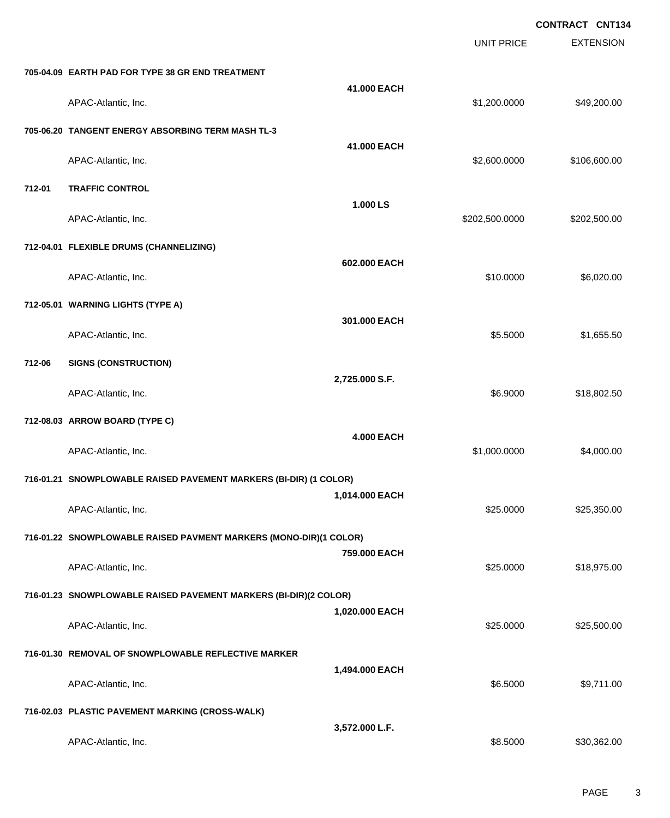|        |                                                                   |                   |                   | <b>CONTRACT CNT134</b> |
|--------|-------------------------------------------------------------------|-------------------|-------------------|------------------------|
|        |                                                                   |                   | <b>UNIT PRICE</b> | <b>EXTENSION</b>       |
|        | 705-04.09 EARTH PAD FOR TYPE 38 GR END TREATMENT                  |                   |                   |                        |
|        | APAC-Atlantic, Inc.                                               | 41.000 EACH       | \$1,200.0000      | \$49,200.00            |
|        | 705-06.20 TANGENT ENERGY ABSORBING TERM MASH TL-3                 |                   |                   |                        |
|        | APAC-Atlantic, Inc.                                               | 41.000 EACH       | \$2,600.0000      | \$106,600.00           |
| 712-01 | <b>TRAFFIC CONTROL</b>                                            |                   |                   |                        |
|        | APAC-Atlantic, Inc.                                               | 1.000 LS          | \$202,500.0000    | \$202,500.00           |
|        | 712-04.01 FLEXIBLE DRUMS (CHANNELIZING)                           |                   |                   |                        |
|        | APAC-Atlantic, Inc.                                               | 602.000 EACH      | \$10.0000         | \$6,020.00             |
|        | 712-05.01 WARNING LIGHTS (TYPE A)                                 |                   |                   |                        |
|        | APAC-Atlantic, Inc.                                               | 301.000 EACH      | \$5.5000          | \$1,655.50             |
| 712-06 | <b>SIGNS (CONSTRUCTION)</b>                                       |                   |                   |                        |
|        | APAC-Atlantic, Inc.                                               | 2,725.000 S.F.    | \$6.9000          | \$18,802.50            |
|        | 712-08.03 ARROW BOARD (TYPE C)                                    |                   |                   |                        |
|        | APAC-Atlantic, Inc.                                               | <b>4.000 EACH</b> | \$1,000.0000      | \$4,000.00             |
|        | 716-01.21 SNOWPLOWABLE RAISED PAVEMENT MARKERS (BI-DIR) (1 COLOR) |                   |                   |                        |
|        | APAC-Atlantic, Inc.                                               | 1,014.000 EACH    | \$25.0000         | \$25,350.00            |
|        | 716-01.22 SNOWPLOWABLE RAISED PAVMENT MARKERS (MONO-DIR)(1 COLOR) |                   |                   |                        |
|        | APAC-Atlantic, Inc.                                               | 759.000 EACH      | \$25.0000         | \$18,975.00            |
|        | 716-01.23 SNOWPLOWABLE RAISED PAVEMENT MARKERS (BI-DIR)(2 COLOR)  |                   |                   |                        |
|        | APAC-Atlantic, Inc.                                               | 1,020.000 EACH    | \$25.0000         | \$25,500.00            |
|        | 716-01.30 REMOVAL OF SNOWPLOWABLE REFLECTIVE MARKER               |                   |                   |                        |
|        | APAC-Atlantic, Inc.                                               | 1,494.000 EACH    | \$6.5000          | \$9,711.00             |
|        | 716-02.03 PLASTIC PAVEMENT MARKING (CROSS-WALK)                   |                   |                   |                        |
|        | APAC-Atlantic, Inc.                                               | 3,572.000 L.F.    | \$8.5000          | \$30,362.00            |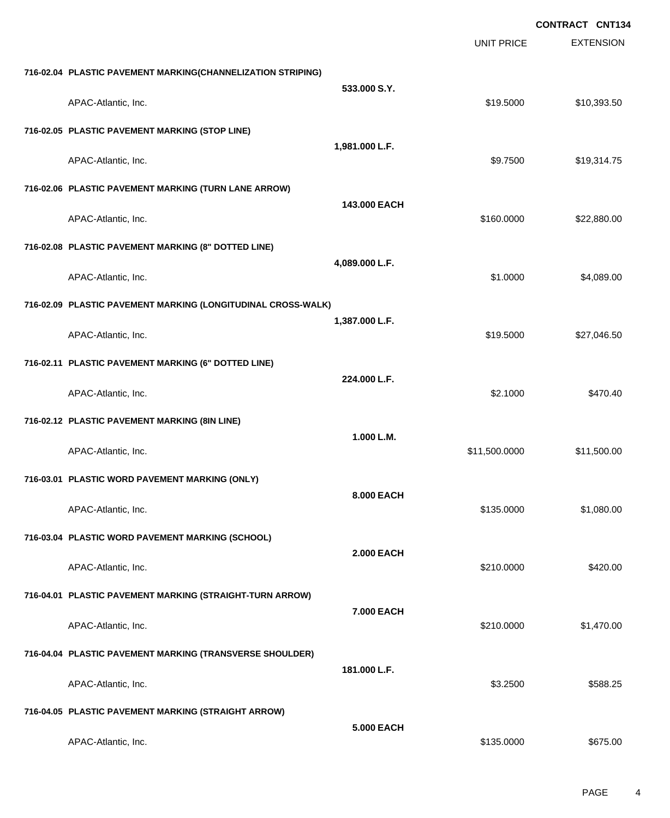|                                                              |                   |                   | <b>CONTRACT CNT134</b> |
|--------------------------------------------------------------|-------------------|-------------------|------------------------|
|                                                              |                   | <b>UNIT PRICE</b> | <b>EXTENSION</b>       |
| 716-02.04 PLASTIC PAVEMENT MARKING(CHANNELIZATION STRIPING)  |                   |                   |                        |
| APAC-Atlantic, Inc.                                          | 533.000 S.Y.      | \$19.5000         | \$10,393.50            |
| 716-02.05 PLASTIC PAVEMENT MARKING (STOP LINE)               |                   |                   |                        |
| APAC-Atlantic, Inc.                                          | 1,981.000 L.F.    | \$9.7500          | \$19,314.75            |
| 716-02.06 PLASTIC PAVEMENT MARKING (TURN LANE ARROW)         |                   |                   |                        |
| APAC-Atlantic, Inc.                                          | 143,000 EACH      | \$160.0000        | \$22,880.00            |
| 716-02.08 PLASTIC PAVEMENT MARKING (8" DOTTED LINE)          |                   |                   |                        |
| APAC-Atlantic, Inc.                                          | 4,089.000 L.F.    | \$1.0000          | \$4,089.00             |
| 716-02.09 PLASTIC PAVEMENT MARKING (LONGITUDINAL CROSS-WALK) |                   |                   |                        |
| APAC-Atlantic, Inc.                                          | 1,387.000 L.F.    | \$19.5000         | \$27,046.50            |
| 716-02.11 PLASTIC PAVEMENT MARKING (6" DOTTED LINE)          |                   |                   |                        |
| APAC-Atlantic, Inc.                                          | 224.000 L.F.      | \$2.1000          | \$470.40               |
| 716-02.12 PLASTIC PAVEMENT MARKING (8IN LINE)                |                   |                   |                        |
| APAC-Atlantic, Inc.                                          | 1.000 L.M.        | \$11,500.0000     | \$11,500.00            |
| 716-03.01 PLASTIC WORD PAVEMENT MARKING (ONLY)               |                   |                   |                        |
| APAC-Atlantic, Inc.                                          | 8.000 EACH        | \$135.0000        | \$1,080.00             |
| 716-03.04 PLASTIC WORD PAVEMENT MARKING (SCHOOL)             |                   |                   |                        |
| APAC-Atlantic, Inc.                                          | <b>2.000 EACH</b> | \$210.0000        | \$420.00               |
| 716-04.01 PLASTIC PAVEMENT MARKING (STRAIGHT-TURN ARROW)     |                   |                   |                        |
| APAC-Atlantic, Inc.                                          | 7.000 EACH        | \$210.0000        | \$1,470.00             |
| 716-04.04 PLASTIC PAVEMENT MARKING (TRANSVERSE SHOULDER)     |                   |                   |                        |
| APAC-Atlantic, Inc.                                          | 181.000 L.F.      | \$3.2500          | \$588.25               |
| 716-04.05 PLASTIC PAVEMENT MARKING (STRAIGHT ARROW)          |                   |                   |                        |
| APAC-Atlantic, Inc.                                          | <b>5.000 EACH</b> | \$135.0000        | \$675.00               |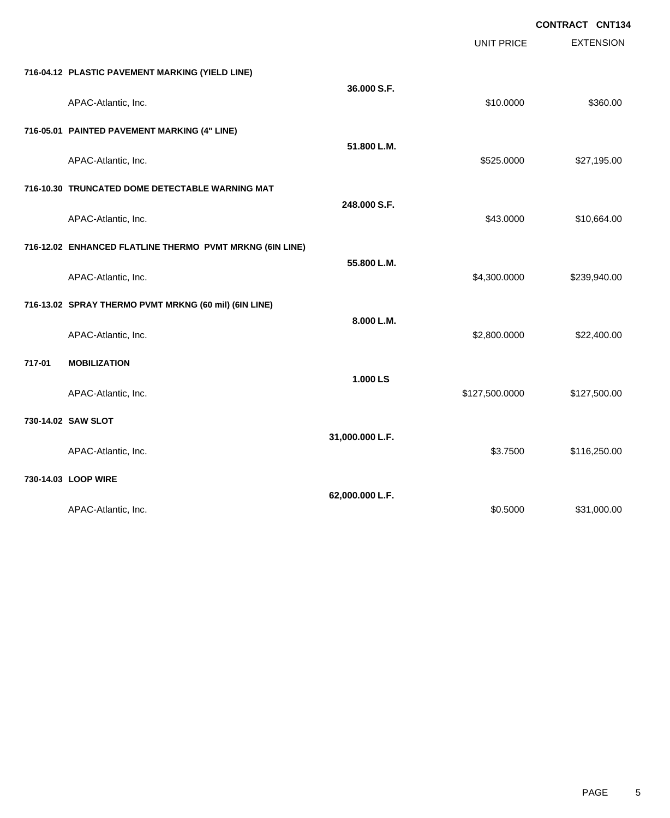|        |                                                          |                 | <b>UNIT PRICE</b> | <b>EXTENSION</b> |
|--------|----------------------------------------------------------|-----------------|-------------------|------------------|
|        | 716-04.12 PLASTIC PAVEMENT MARKING (YIELD LINE)          |                 |                   |                  |
|        | APAC-Atlantic, Inc.                                      | 36.000 S.F.     | \$10.0000         | \$360.00         |
|        | 716-05.01 PAINTED PAVEMENT MARKING (4" LINE)             |                 |                   |                  |
|        | APAC-Atlantic, Inc.                                      | 51.800 L.M.     | \$525.0000        | \$27,195.00      |
|        | 716-10.30 TRUNCATED DOME DETECTABLE WARNING MAT          |                 |                   |                  |
|        | APAC-Atlantic, Inc.                                      | 248.000 S.F.    | \$43.0000         | \$10,664.00      |
|        | 716-12.02 ENHANCED FLATLINE THERMO PVMT MRKNG (6IN LINE) |                 |                   |                  |
|        | APAC-Atlantic, Inc.                                      | 55.800 L.M.     | \$4,300.0000      | \$239,940.00     |
|        | 716-13.02 SPRAY THERMO PVMT MRKNG (60 mil) (6IN LINE)    |                 |                   |                  |
|        | APAC-Atlantic, Inc.                                      | 8.000 L.M.      | \$2,800.0000      | \$22,400.00      |
| 717-01 | <b>MOBILIZATION</b>                                      |                 |                   |                  |
|        | APAC-Atlantic, Inc.                                      | 1.000 LS        | \$127,500.0000    | \$127,500.00     |
|        | 730-14.02 SAW SLOT                                       |                 |                   |                  |
|        | APAC-Atlantic, Inc.                                      | 31,000.000 L.F. | \$3.7500          | \$116,250.00     |
|        | 730-14.03 LOOP WIRE                                      |                 |                   |                  |
|        | APAC-Atlantic, Inc.                                      | 62,000.000 L.F. | \$0.5000          | \$31,000.00      |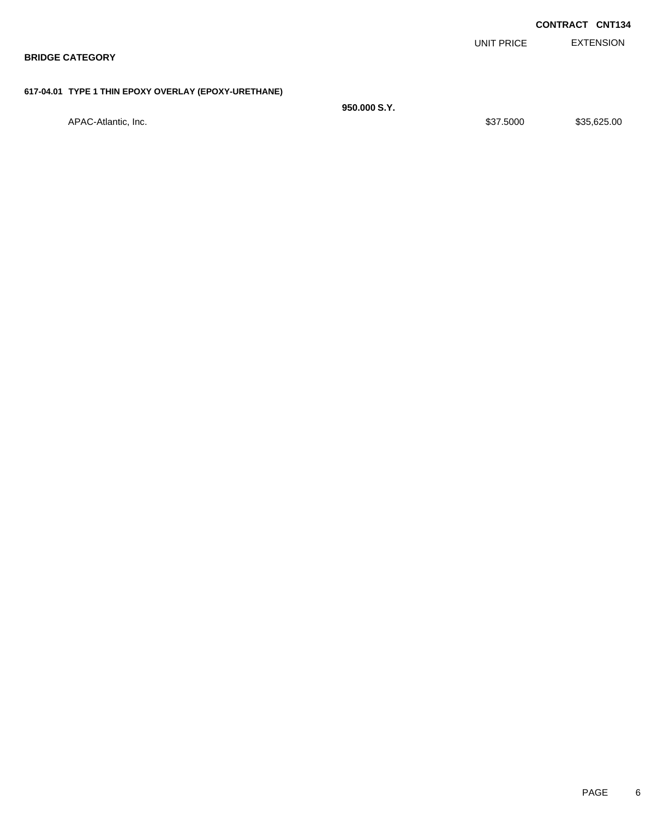| <b>BRIDGE CATEGORY</b>                               |              |           |            | <b>EXTENSION</b>       |
|------------------------------------------------------|--------------|-----------|------------|------------------------|
| 617-04.01 TYPE 1 THIN EPOXY OVERLAY (EPOXY-URETHANE) |              |           |            |                        |
| APAC-Atlantic, Inc.                                  | 950,000 S.Y. | \$37.5000 |            | \$35,625.00            |
|                                                      |              |           | UNIT PRICE | <b>CONTRACT CNT134</b> |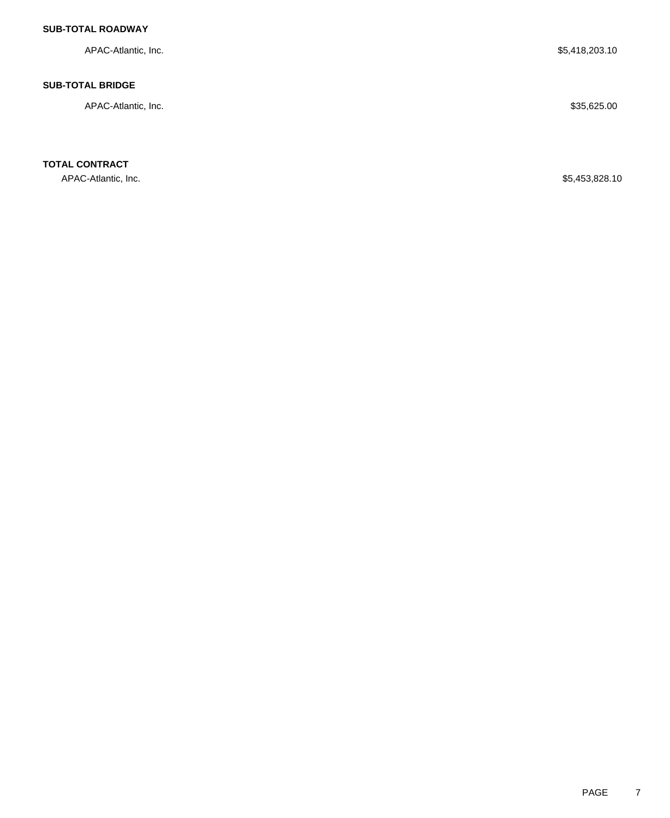## **SUB-TOTAL ROADWAY**

APAC-Atlantic, Inc. \$5,418,203.10

### **SUB-TOTAL BRIDGE**

APAC-Atlantic, Inc. \$35,625.00

**TOTAL CONTRACT**

APAC-Atlantic, Inc. \$5,453,828.10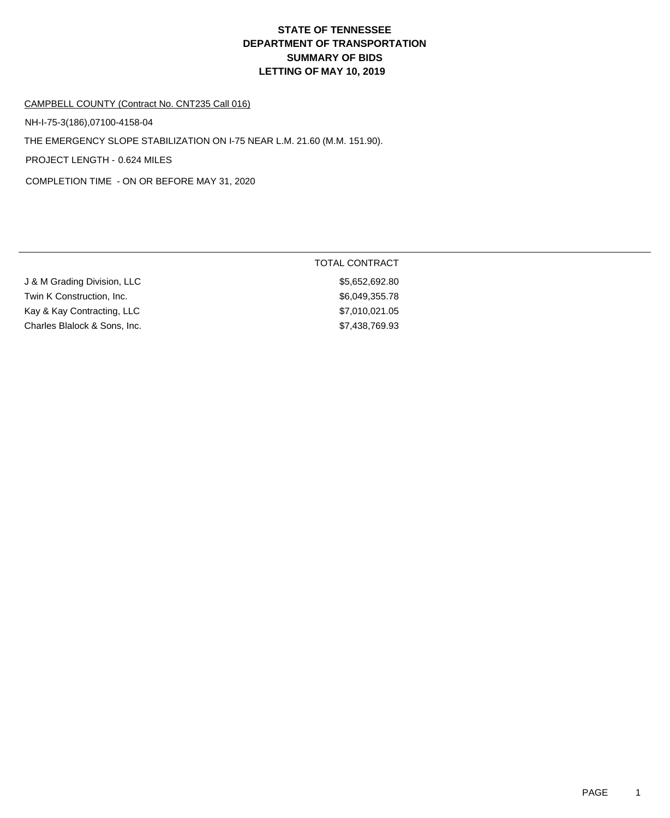TOTAL CONTRACT

## CAMPBELL COUNTY (Contract No. CNT235 Call 016)

THE EMERGENCY SLOPE STABILIZATION ON I-75 NEAR L.M. 21.60 (M.M. 151.90). NH-I-75-3(186),07100-4158-04

PROJECT LENGTH - 0.624 MILES

COMPLETION TIME - ON OR BEFORE MAY 31, 2020

| J & M Grading Division, LLC  | \$5,652,692.80 |
|------------------------------|----------------|
| Twin K Construction, Inc.    | \$6,049,355.78 |
| Kay & Kay Contracting, LLC   | \$7,010,021.05 |
| Charles Blalock & Sons, Inc. | \$7,438,769.93 |
|                              |                |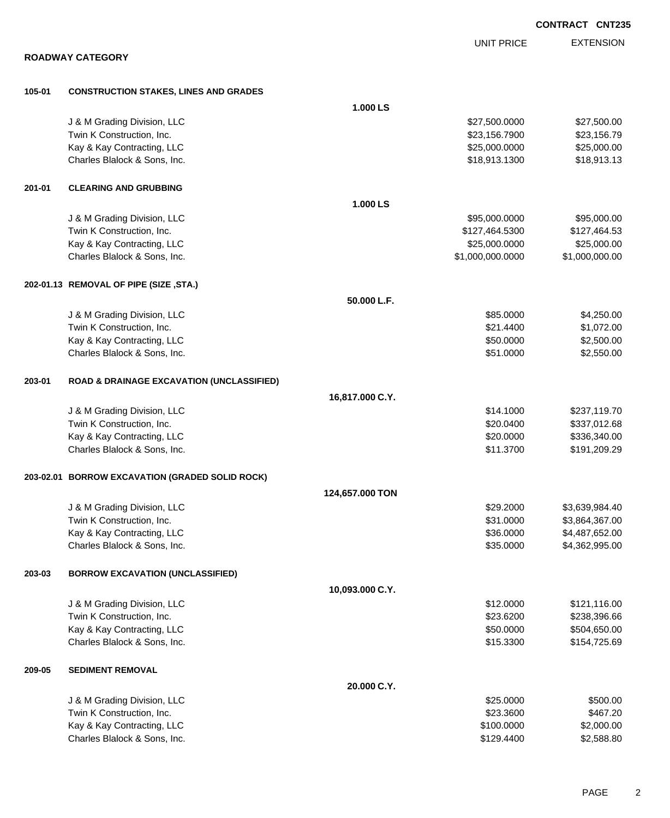EXTENSION **CONTRACT CNT235** UNIT PRICE **ROADWAY CATEGORY 105-01 CONSTRUCTION STAKES, LINES AND GRADES 1.000 LS** J & M Grading Division, LLC \$27,500.0000 \$27,500.00 Twin K Construction, Inc. 623,156.7900 \$23,156.7900 \$23,156.7900 \$23,156.7900 \$23,156.79 Kay & Kay Contracting, LLC 6 and the Contraction of the Contraction of the Contraction of the S25,000.000 \$25,000.000 \$25,000.00 Charles Blalock & Sons, Inc. 6. 2012 12:30 \$18,913.1300 \$18,913.1300 \$18,913.131300 **201-01 CLEARING AND GRUBBING 1.000 LS** J & M Grading Division, LLC \$95,000.0000 \$95,000.00 Twin K Construction, Inc. 6. The Second State of the Second State of State State State State State State State State State State State State State State State State State State State State State State State State State Sta Kay & Kay Contracting, LLC 6 and the Contraction of the Contraction of the Contraction of the S25,000.000 \$25,000.000 \$25,000.00 Charles Blalock & Sons, Inc. 6. 2010 12:000 12:000 12:000 12:000 12:000 12:000 12:000 12:000,000 12:000,000 \$1,000,000.000 \$1,000,000.000 \$1,000,000.000 \$1,000,000 \$1,000,000 \$1,000,000 \$1,000,000 \$1,000,000 \$1,000,000 \$1, **202-01.13 REMOVAL OF PIPE (SIZE ,STA.) 50.000 L.F.** J & M Grading Division, LLC \$85.0000 \$4,250.00 Twin K Construction, Inc. \$21.4400 \$1,072.00 Kay & Kay Contracting, LLC 60000 \$2,500.000 \$2,500.000 \$2,500.000 \$2,500.00 Charles Blalock & Sons, Inc. 6. 2012 12:350.00 \$2,550.00 \$2,550.00 **203-01 ROAD & DRAINAGE EXCAVATION (UNCLASSIFIED) 16,817.000 C.Y.** J & M Grading Division, LLC \$14.1000 \$237,119.70 Twin K Construction, Inc. 68 and the state of the state of the state of the state of the state of the state of the state of the state of the state of the state of the state of the state of the state of the state of the sta Kay & Kay Contracting, LLC 6 and the Contraction of the Contraction of the S20.0000 \$336,340.00 Charles Blalock & Sons, Inc. \$11.3700 \$191,209.29 **203-02.01 BORROW EXCAVATION (GRADED SOLID ROCK) 124,657.000 TON** J & M Grading Division, LLC \$29.2000 \$3,639,984.40 Twin K Construction, Inc. \$31.0000 \$3,864,367.00 Kay & Kay Contracting, LLC 6.0000 \$4,487,652.00 Charles Blalock & Sons, Inc. \$35.0000 \$4,362,995.00 **203-03 BORROW EXCAVATION (UNCLASSIFIED) 10,093.000 C.Y.** J & M Grading Division, LLC \$12.0000 \$121,116.00 Twin K Construction, Inc. 66 and the set of the set of the set of the set of the set of the set of the set of the set of the set of the set of the set of the set of the set of the set of the set of the set of the set of th Kay & Kay Contracting, LLC 60000 \$504,650.000 \$504,650.000 \$504,650.000 \$504,650.00 Charles Blalock & Sons, Inc. \$15.3300 \$154,725.69 **209-05 SEDIMENT REMOVAL 20.000 C.Y.** J & M Grading Division, LLC **\$25.0000** \$500.00 Twin K Construction, Inc. \$23.3600 \$467.20 Kay & Kay Contracting, LLC 6 and the Contraction of the Contraction of the Contraction of the S2,000.000 \$2,000.00 Charles Blalock & Sons, Inc. 6. 2012. The State of the State of the State of the State of the State of the State of the State of the State of the State of the State of the State of the State of the State of the State of th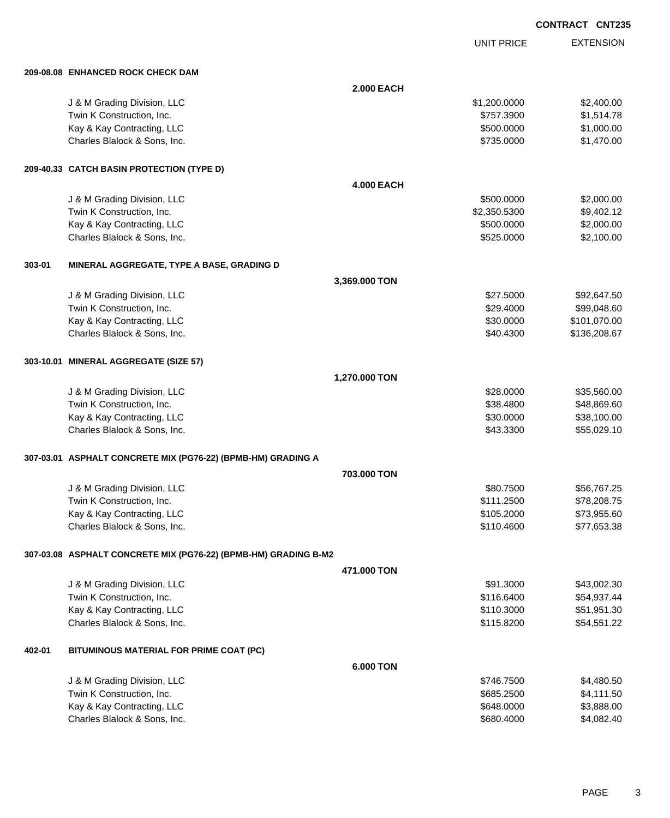UNIT PRICE EXTENSION

|        | 209-08.08 ENHANCED ROCK CHECK DAM                               |                   |              |              |
|--------|-----------------------------------------------------------------|-------------------|--------------|--------------|
|        |                                                                 | <b>2.000 EACH</b> |              |              |
|        | J & M Grading Division, LLC                                     |                   | \$1,200.0000 | \$2,400.00   |
|        | Twin K Construction, Inc.                                       |                   | \$757.3900   | \$1,514.78   |
|        | Kay & Kay Contracting, LLC                                      |                   | \$500.0000   | \$1,000.00   |
|        | Charles Blalock & Sons, Inc.                                    |                   | \$735.0000   | \$1,470.00   |
|        |                                                                 |                   |              |              |
|        | 209-40.33 CATCH BASIN PROTECTION (TYPE D)                       |                   |              |              |
|        |                                                                 | <b>4.000 EACH</b> |              |              |
|        | J & M Grading Division, LLC                                     |                   | \$500.0000   | \$2,000.00   |
|        | Twin K Construction, Inc.                                       |                   | \$2,350.5300 | \$9,402.12   |
|        | Kay & Kay Contracting, LLC                                      |                   | \$500.0000   | \$2,000.00   |
|        | Charles Blalock & Sons, Inc.                                    |                   | \$525.0000   | \$2,100.00   |
|        |                                                                 |                   |              |              |
| 303-01 | MINERAL AGGREGATE, TYPE A BASE, GRADING D                       |                   |              |              |
|        |                                                                 | 3,369.000 TON     |              |              |
|        | J & M Grading Division, LLC                                     |                   | \$27.5000    | \$92,647.50  |
|        | Twin K Construction, Inc.                                       |                   | \$29.4000    | \$99,048.60  |
|        | Kay & Kay Contracting, LLC                                      |                   | \$30.0000    | \$101,070.00 |
|        | Charles Blalock & Sons, Inc.                                    |                   | \$40.4300    | \$136,208.67 |
|        |                                                                 |                   |              |              |
|        | 303-10.01 MINERAL AGGREGATE (SIZE 57)                           |                   |              |              |
|        |                                                                 | 1,270.000 TON     |              |              |
|        | J & M Grading Division, LLC                                     |                   | \$28.0000    | \$35,560.00  |
|        | Twin K Construction, Inc.                                       |                   | \$38.4800    | \$48,869.60  |
|        | Kay & Kay Contracting, LLC                                      |                   | \$30.0000    | \$38,100.00  |
|        | Charles Blalock & Sons, Inc.                                    |                   | \$43.3300    | \$55,029.10  |
|        |                                                                 |                   |              |              |
|        | 307-03.01 ASPHALT CONCRETE MIX (PG76-22) (BPMB-HM) GRADING A    |                   |              |              |
|        |                                                                 | 703.000 TON       |              |              |
|        | J & M Grading Division, LLC                                     |                   | \$80.7500    | \$56,767.25  |
|        | Twin K Construction, Inc.                                       |                   | \$111.2500   | \$78,208.75  |
|        | Kay & Kay Contracting, LLC                                      |                   | \$105.2000   | \$73,955.60  |
|        | Charles Blalock & Sons, Inc.                                    |                   | \$110.4600   | \$77,653.38  |
|        | 307-03.08 ASPHALT CONCRETE MIX (PG76-22) (BPMB-HM) GRADING B-M2 |                   |              |              |
|        |                                                                 | 471.000 TON       |              |              |
|        |                                                                 |                   | \$91.3000    | \$43,002.30  |
|        | J & M Grading Division, LLC<br>Twin K Construction, Inc.        |                   | \$116.6400   | \$54,937.44  |
|        | Kay & Kay Contracting, LLC                                      |                   | \$110.3000   | \$51,951.30  |
|        | Charles Blalock & Sons, Inc.                                    |                   | \$115.8200   | \$54,551.22  |
|        |                                                                 |                   |              |              |
| 402-01 | BITUMINOUS MATERIAL FOR PRIME COAT (PC)                         |                   |              |              |
|        |                                                                 | 6.000 TON         |              |              |
|        | J & M Grading Division, LLC                                     |                   | \$746.7500   | \$4,480.50   |
|        | Twin K Construction, Inc.                                       |                   | \$685.2500   | \$4,111.50   |
|        | Kay & Kay Contracting, LLC                                      |                   | \$648.0000   | \$3,888.00   |
|        | Charles Blalock & Sons, Inc.                                    |                   | \$680.4000   | \$4,082.40   |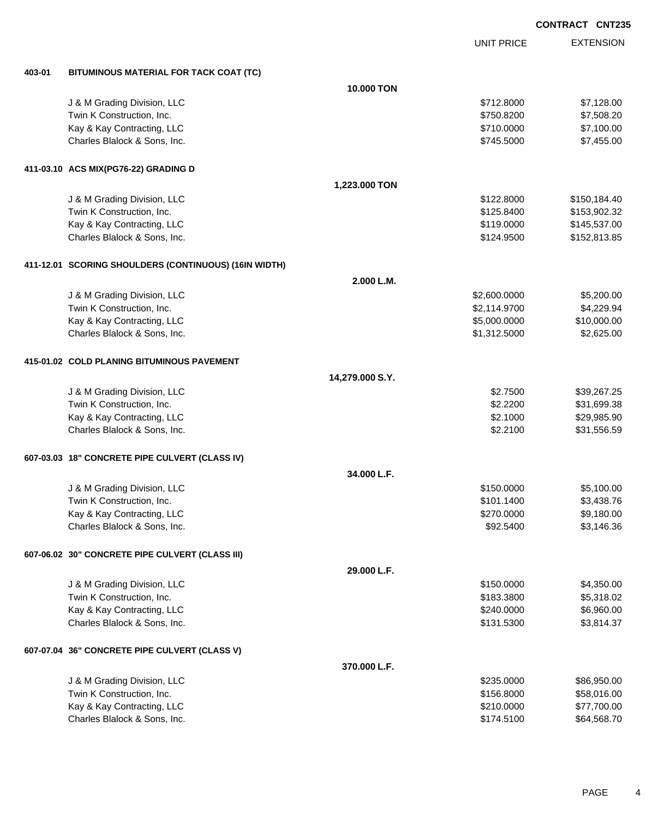|        |                                                       |                   |                   | <b>CONTRACT CNT23</b> |
|--------|-------------------------------------------------------|-------------------|-------------------|-----------------------|
|        |                                                       |                   | <b>UNIT PRICE</b> | <b>EXTENSION</b>      |
| 403-01 | BITUMINOUS MATERIAL FOR TACK COAT (TC)                |                   |                   |                       |
|        |                                                       | <b>10.000 TON</b> |                   |                       |
|        | J & M Grading Division, LLC                           |                   | \$712.8000        | \$7,128.00            |
|        | Twin K Construction, Inc.                             |                   | \$750.8200        | \$7,508.20            |
|        | Kay & Kay Contracting, LLC                            |                   | \$710.0000        | \$7,100.00            |
|        | Charles Blalock & Sons, Inc.                          |                   | \$745.5000        | \$7,455.00            |
|        | 411-03.10 ACS MIX(PG76-22) GRADING D                  |                   |                   |                       |
|        |                                                       | 1,223.000 TON     |                   |                       |
|        | J & M Grading Division, LLC                           |                   | \$122.8000        | \$150,184.40          |
|        | Twin K Construction, Inc.                             |                   | \$125.8400        | \$153,902.32          |
|        | Kay & Kay Contracting, LLC                            |                   | \$119.0000        | \$145,537.00          |
|        | Charles Blalock & Sons, Inc.                          |                   | \$124.9500        | \$152,813.85          |
|        | 411-12.01 SCORING SHOULDERS (CONTINUOUS) (16IN WIDTH) |                   |                   |                       |
|        |                                                       | 2.000 L.M.        |                   |                       |
|        | J & M Grading Division, LLC                           |                   | \$2,600.0000      | \$5,200.00            |
|        | Twin K Construction, Inc.                             |                   | \$2,114.9700      | \$4,229.94            |
|        | Kay & Kay Contracting, LLC                            |                   | \$5,000.0000      | \$10,000.00           |
|        | Charles Blalock & Sons, Inc.                          |                   | \$1,312.5000      | \$2,625.00            |
|        | 415-01.02 COLD PLANING BITUMINOUS PAVEMENT            |                   |                   |                       |
|        |                                                       | 14,279.000 S.Y.   |                   |                       |
|        | J & M Grading Division, LLC                           |                   | \$2.7500          | \$39,267.25           |
|        | Twin K Construction, Inc.                             |                   | \$2.2200          | \$31,699.38           |
|        | Kay & Kay Contracting, LLC                            |                   | \$2.1000          | \$29,985.90           |
|        | Charles Blalock & Sons, Inc.                          |                   | \$2.2100          | \$31,556.59           |
|        | 607-03.03 18" CONCRETE PIPE CULVERT (CLASS IV)        |                   |                   |                       |
|        |                                                       | 34.000 L.F.       |                   |                       |
|        | J & M Grading Division, LLC                           |                   | \$150.0000        | \$5,100.00            |
|        | Twin K Construction, Inc.                             |                   | \$101.1400        | \$3,438.76            |
|        | Kay & Kay Contracting, LLC                            |                   | \$270.0000        | \$9,180.00            |
|        | Charles Blalock & Sons, Inc.                          |                   | \$92.5400         | \$3,146.36            |
|        | 607-06.02 30" CONCRETE PIPE CULVERT (CLASS III)       |                   |                   |                       |
|        |                                                       | 29.000 L.F.       |                   |                       |
|        | J & M Grading Division, LLC                           |                   | \$150.0000        | \$4,350.00            |
|        | Twin K Construction, Inc.                             |                   | \$183.3800        | \$5,318.02            |
|        | Kay & Kay Contracting, LLC                            |                   | \$240.0000        | \$6,960.00            |
|        | Charles Blalock & Sons, Inc.                          |                   | \$131.5300        | \$3,814.37            |
|        | 607-07.04 36" CONCRETE PIPE CULVERT (CLASS V)         |                   |                   |                       |
|        |                                                       | 370.000 L.F.      |                   |                       |
|        | J & M Grading Division, LLC                           |                   | \$235.0000        | \$86,950.00           |
|        | Twin K Construction, Inc.                             |                   | \$156.8000        | \$58,016.00           |
|        | Kay & Kay Contracting, LLC                            |                   | \$210.0000        | \$77,700.00           |
|        | Charles Blalock & Sons, Inc.                          |                   | \$174.5100        | \$64,568.70           |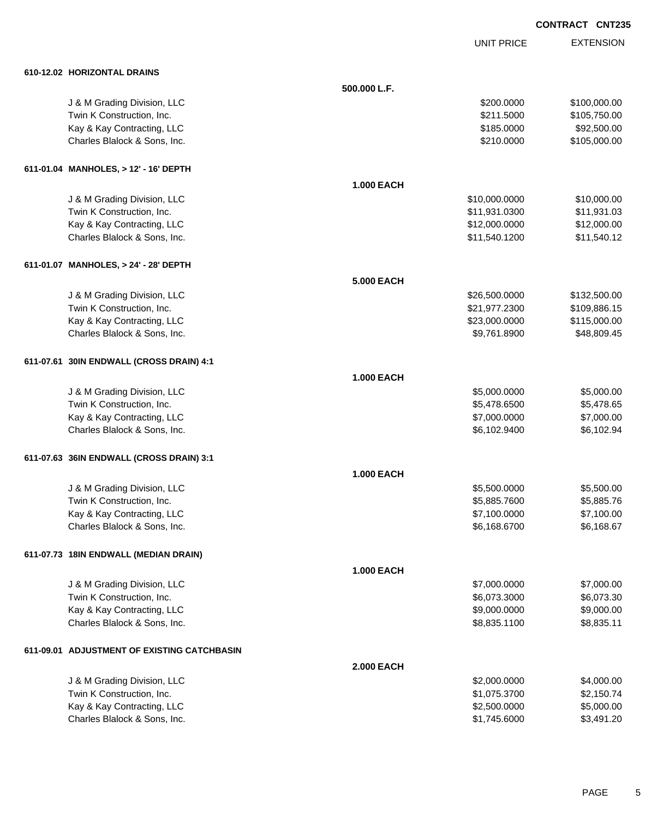UNIT PRICE EXTENSION

| 610-12.02 HORIZONTAL DRAINS                 |                   |               |              |
|---------------------------------------------|-------------------|---------------|--------------|
|                                             | 500.000 L.F.      |               |              |
| J & M Grading Division, LLC                 |                   | \$200.0000    | \$100,000.00 |
| Twin K Construction, Inc.                   |                   | \$211.5000    | \$105,750.00 |
| Kay & Kay Contracting, LLC                  |                   | \$185.0000    | \$92,500.00  |
| Charles Blalock & Sons, Inc.                |                   | \$210.0000    | \$105,000.00 |
| 611-01.04 MANHOLES, > 12' - 16' DEPTH       |                   |               |              |
|                                             | <b>1.000 EACH</b> |               |              |
| J & M Grading Division, LLC                 |                   | \$10,000.0000 | \$10,000.00  |
| Twin K Construction, Inc.                   |                   | \$11,931.0300 | \$11,931.03  |
| Kay & Kay Contracting, LLC                  |                   | \$12,000.0000 | \$12,000.00  |
| Charles Blalock & Sons, Inc.                |                   | \$11,540.1200 | \$11,540.12  |
| 611-01.07 MANHOLES, > 24' - 28' DEPTH       |                   |               |              |
|                                             | <b>5.000 EACH</b> |               |              |
| J & M Grading Division, LLC                 |                   | \$26,500.0000 | \$132,500.00 |
| Twin K Construction, Inc.                   |                   | \$21,977.2300 | \$109,886.15 |
| Kay & Kay Contracting, LLC                  |                   | \$23,000.0000 | \$115,000.00 |
| Charles Blalock & Sons, Inc.                |                   | \$9,761.8900  | \$48,809.45  |
| 611-07.61 30IN ENDWALL (CROSS DRAIN) 4:1    |                   |               |              |
|                                             | <b>1.000 EACH</b> |               |              |
| J & M Grading Division, LLC                 |                   | \$5,000.0000  | \$5,000.00   |
| Twin K Construction, Inc.                   |                   | \$5,478.6500  | \$5,478.65   |
| Kay & Kay Contracting, LLC                  |                   | \$7,000.0000  | \$7,000.00   |
| Charles Blalock & Sons, Inc.                |                   | \$6,102.9400  | \$6,102.94   |
| 611-07.63 36IN ENDWALL (CROSS DRAIN) 3:1    |                   |               |              |
|                                             | <b>1.000 EACH</b> |               |              |
| J & M Grading Division, LLC                 |                   | \$5,500.0000  | \$5,500.00   |
| Twin K Construction, Inc.                   |                   | \$5,885.7600  | \$5,885.76   |
| Kay & Kay Contracting, LLC                  |                   | \$7,100.0000  | \$7,100.00   |
| Charles Blalock & Sons, Inc.                |                   | \$6,168.6700  | \$6,168.67   |
| 611-07.73 18IN ENDWALL (MEDIAN DRAIN)       |                   |               |              |
|                                             | <b>1.000 EACH</b> |               |              |
| J & M Grading Division, LLC                 |                   | \$7,000.0000  | \$7,000.00   |
| Twin K Construction, Inc.                   |                   | \$6,073.3000  | \$6,073.30   |
| Kay & Kay Contracting, LLC                  |                   | \$9,000.0000  | \$9,000.00   |
| Charles Blalock & Sons, Inc.                |                   | \$8,835.1100  | \$8,835.11   |
| 611-09.01 ADJUSTMENT OF EXISTING CATCHBASIN |                   |               |              |
|                                             | <b>2.000 EACH</b> |               |              |
| J & M Grading Division, LLC                 |                   | \$2,000.0000  | \$4,000.00   |
| Twin K Construction, Inc.                   |                   | \$1,075.3700  | \$2,150.74   |
| Kay & Kay Contracting, LLC                  |                   | \$2,500.0000  | \$5,000.00   |
| Charles Blalock & Sons, Inc.                |                   | \$1,745.6000  | \$3,491.20   |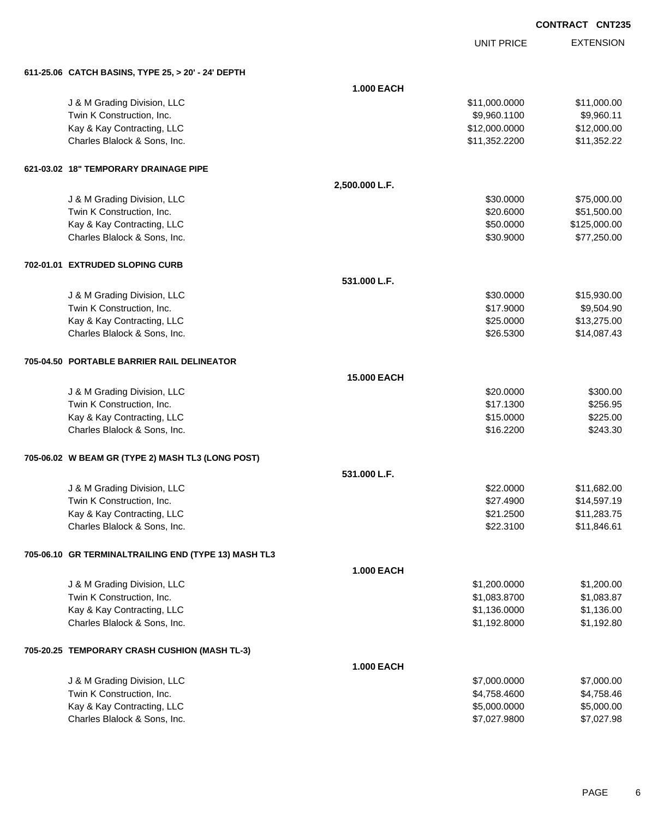UNIT PRICE EXTENSION

**611-25.06 CATCH BASINS, TYPE 25, > 20' - 24' DEPTH**

| 611-23.00 CAICH BASINS, ITPE 23, > 20 - 24 DEP IH    |                    |               |              |
|------------------------------------------------------|--------------------|---------------|--------------|
|                                                      | <b>1.000 EACH</b>  |               |              |
| J & M Grading Division, LLC                          |                    | \$11,000.0000 | \$11,000.00  |
| Twin K Construction, Inc.                            |                    | \$9,960.1100  | \$9,960.11   |
| Kay & Kay Contracting, LLC                           |                    | \$12,000.0000 | \$12,000.00  |
| Charles Blalock & Sons, Inc.                         |                    | \$11,352.2200 | \$11,352.22  |
| 621-03.02 18" TEMPORARY DRAINAGE PIPE                |                    |               |              |
|                                                      | 2,500.000 L.F.     |               |              |
| J & M Grading Division, LLC                          |                    | \$30.0000     | \$75,000.00  |
| Twin K Construction, Inc.                            |                    | \$20.6000     | \$51,500.00  |
| Kay & Kay Contracting, LLC                           |                    | \$50.0000     | \$125,000.00 |
| Charles Blalock & Sons, Inc.                         |                    | \$30.9000     | \$77,250.00  |
| 702-01.01 EXTRUDED SLOPING CURB                      |                    |               |              |
|                                                      | 531.000 L.F.       |               |              |
| J & M Grading Division, LLC                          |                    | \$30.0000     | \$15,930.00  |
| Twin K Construction, Inc.                            |                    | \$17.9000     | \$9,504.90   |
| Kay & Kay Contracting, LLC                           |                    | \$25.0000     | \$13,275.00  |
| Charles Blalock & Sons, Inc.                         |                    | \$26.5300     | \$14,087.43  |
| 705-04.50 PORTABLE BARRIER RAIL DELINEATOR           |                    |               |              |
|                                                      | <b>15.000 EACH</b> |               |              |
| J & M Grading Division, LLC                          |                    | \$20.0000     | \$300.00     |
| Twin K Construction, Inc.                            |                    | \$17.1300     | \$256.95     |
| Kay & Kay Contracting, LLC                           |                    | \$15.0000     | \$225.00     |
| Charles Blalock & Sons, Inc.                         |                    | \$16.2200     | \$243.30     |
| 705-06.02 W BEAM GR (TYPE 2) MASH TL3 (LONG POST)    |                    |               |              |
|                                                      | 531.000 L.F.       |               |              |
| J & M Grading Division, LLC                          |                    | \$22.0000     | \$11,682.00  |
| Twin K Construction, Inc.                            |                    | \$27.4900     | \$14,597.19  |
| Kay & Kay Contracting, LLC                           |                    | \$21.2500     | \$11,283.75  |
| Charles Blalock & Sons, Inc.                         |                    | \$22.3100     | \$11,846.61  |
| 705-06.10 GR TERMINALTRAILING END (TYPE 13) MASH TL3 |                    |               |              |
|                                                      | <b>1.000 EACH</b>  |               |              |
| J & M Grading Division, LLC                          |                    | \$1,200.0000  | \$1,200.00   |
| Twin K Construction, Inc.                            |                    | \$1,083.8700  | \$1,083.87   |
| Kay & Kay Contracting, LLC                           |                    | \$1,136.0000  | \$1,136.00   |
| Charles Blalock & Sons, Inc.                         |                    | \$1,192.8000  | \$1,192.80   |
| 705-20.25 TEMPORARY CRASH CUSHION (MASH TL-3)        |                    |               |              |
|                                                      | 1.000 EACH         |               |              |
| J & M Grading Division, LLC                          |                    | \$7,000.0000  | \$7,000.00   |
| Twin K Construction, Inc.                            |                    | \$4,758.4600  | \$4,758.46   |
| Kay & Kay Contracting, LLC                           |                    | \$5,000.0000  | \$5,000.00   |
| Charles Blalock & Sons, Inc.                         |                    | \$7,027.9800  | \$7,027.98   |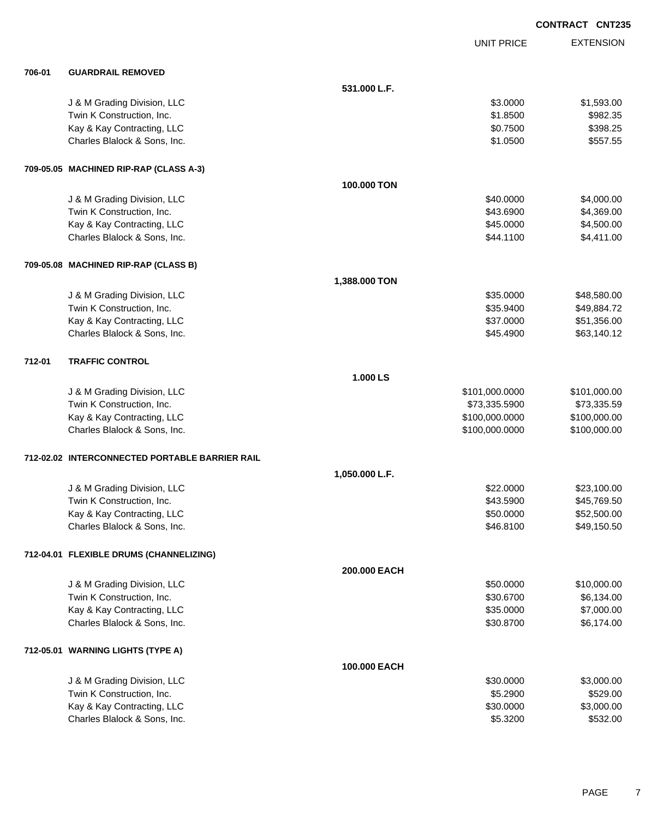|        |                                                |                |                   | <b>CONTRACT CNT235</b> |
|--------|------------------------------------------------|----------------|-------------------|------------------------|
|        |                                                |                | <b>UNIT PRICE</b> | <b>EXTENSION</b>       |
| 706-01 | <b>GUARDRAIL REMOVED</b>                       |                |                   |                        |
|        |                                                | 531.000 L.F.   |                   |                        |
|        | J & M Grading Division, LLC                    |                | \$3.0000          | \$1,593.00             |
|        | Twin K Construction, Inc.                      |                | \$1.8500          | \$982.35               |
|        | Kay & Kay Contracting, LLC                     |                | \$0.7500          | \$398.25               |
|        | Charles Blalock & Sons, Inc.                   |                | \$1.0500          | \$557.55               |
|        | 709-05.05 MACHINED RIP-RAP (CLASS A-3)         |                |                   |                        |
|        |                                                | 100.000 TON    |                   |                        |
|        | J & M Grading Division, LLC                    |                | \$40.0000         | \$4,000.00             |
|        | Twin K Construction, Inc.                      |                | \$43.6900         | \$4,369.00             |
|        | Kay & Kay Contracting, LLC                     |                | \$45.0000         | \$4,500.00             |
|        | Charles Blalock & Sons, Inc.                   |                | \$44.1100         | \$4,411.00             |
|        | 709-05.08 MACHINED RIP-RAP (CLASS B)           |                |                   |                        |
|        |                                                | 1,388.000 TON  |                   |                        |
|        | J & M Grading Division, LLC                    |                | \$35.0000         | \$48,580.00            |
|        | Twin K Construction, Inc.                      |                | \$35.9400         | \$49,884.72            |
|        | Kay & Kay Contracting, LLC                     |                | \$37.0000         | \$51,356.00            |
|        | Charles Blalock & Sons, Inc.                   |                | \$45.4900         | \$63,140.12            |
| 712-01 | <b>TRAFFIC CONTROL</b>                         |                |                   |                        |
|        |                                                | 1.000 LS       |                   |                        |
|        | J & M Grading Division, LLC                    |                | \$101,000.0000    | \$101,000.00           |
|        | Twin K Construction, Inc.                      |                | \$73,335.5900     | \$73,335.59            |
|        | Kay & Kay Contracting, LLC                     |                | \$100,000.0000    | \$100,000.00           |
|        | Charles Blalock & Sons, Inc.                   |                | \$100,000.0000    | \$100,000.00           |
|        | 712-02.02 INTERCONNECTED PORTABLE BARRIER RAIL |                |                   |                        |
|        |                                                | 1,050.000 L.F. |                   |                        |
|        | J & M Grading Division, LLC                    |                | \$22.0000         | \$23,100.00            |
|        | Twin K Construction, Inc.                      |                | \$43.5900         | \$45,769.50            |
|        | Kay & Kay Contracting, LLC                     |                | \$50.0000         | \$52,500.00            |
|        | Charles Blalock & Sons, Inc.                   |                | \$46.8100         | \$49,150.50            |
|        | 712-04.01 FLEXIBLE DRUMS (CHANNELIZING)        |                |                   |                        |
|        |                                                | 200.000 EACH   |                   |                        |
|        | J & M Grading Division, LLC                    |                | \$50.0000         | \$10,000.00            |
|        | Twin K Construction, Inc.                      |                | \$30.6700         | \$6,134.00             |
|        | Kay & Kay Contracting, LLC                     |                | \$35.0000         | \$7,000.00             |
|        | Charles Blalock & Sons, Inc.                   |                | \$30.8700         | \$6,174.00             |
|        | 712-05.01 WARNING LIGHTS (TYPE A)              |                |                   |                        |
|        |                                                | 100.000 EACH   |                   |                        |
|        | J & M Grading Division, LLC                    |                | \$30.0000         | \$3,000.00             |
|        | Twin K Construction, Inc.                      |                | \$5.2900          | \$529.00               |
|        | Kay & Kay Contracting, LLC                     |                | \$30.0000         | \$3,000.00             |
|        | Charles Blalock & Sons, Inc.                   |                | \$5.3200          | \$532.00               |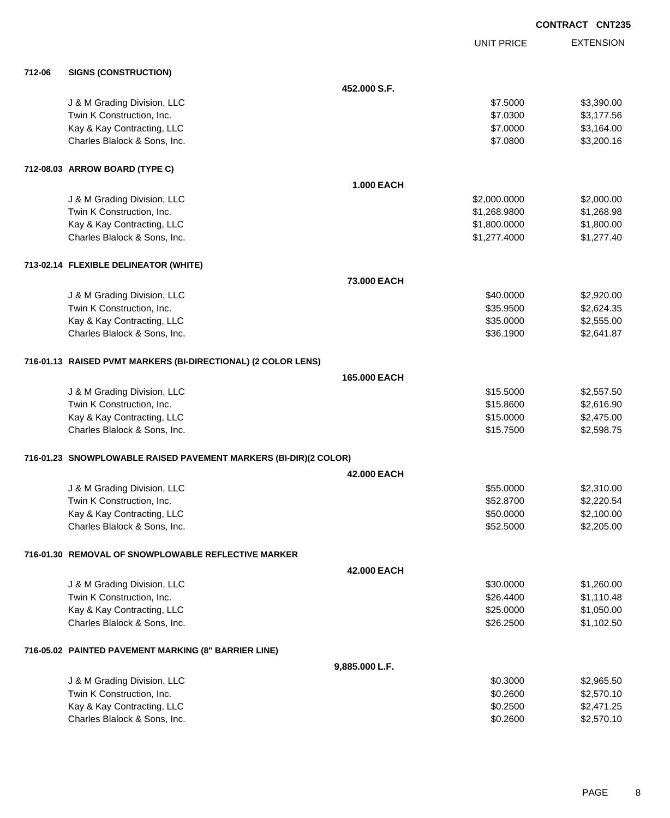|        |                                                                  |                   |                   | <b>CONTRACT CNT235</b> |
|--------|------------------------------------------------------------------|-------------------|-------------------|------------------------|
|        |                                                                  |                   | <b>UNIT PRICE</b> | <b>EXTENSION</b>       |
| 712-06 | <b>SIGNS (CONSTRUCTION)</b>                                      |                   |                   |                        |
|        |                                                                  | 452,000 S.F.      |                   |                        |
|        | J & M Grading Division, LLC                                      |                   | \$7.5000          | \$3,390.00             |
|        | Twin K Construction, Inc.                                        |                   | \$7.0300          | \$3,177.56             |
|        | Kay & Kay Contracting, LLC                                       |                   | \$7.0000          | \$3,164.00             |
|        | Charles Blalock & Sons, Inc.                                     |                   | \$7.0800          | \$3,200.16             |
|        | 712-08.03 ARROW BOARD (TYPE C)                                   |                   |                   |                        |
|        |                                                                  | <b>1.000 EACH</b> |                   |                        |
|        | J & M Grading Division, LLC                                      |                   | \$2,000.0000      | \$2,000.00             |
|        | Twin K Construction, Inc.                                        |                   | \$1,268.9800      | \$1,268.98             |
|        | Kay & Kay Contracting, LLC                                       |                   | \$1,800.0000      | \$1,800.00             |
|        | Charles Blalock & Sons, Inc.                                     |                   | \$1,277.4000      | \$1,277.40             |
|        | 713-02.14 FLEXIBLE DELINEATOR (WHITE)                            |                   |                   |                        |
|        |                                                                  | 73,000 EACH       |                   |                        |
|        | J & M Grading Division, LLC                                      |                   | \$40.0000         | \$2,920.00             |
|        | Twin K Construction, Inc.                                        |                   | \$35.9500         | \$2,624.35             |
|        | Kay & Kay Contracting, LLC                                       |                   | \$35.0000         | \$2,555.00             |
|        | Charles Blalock & Sons, Inc.                                     |                   | \$36.1900         | \$2,641.87             |
|        | 716-01.13 RAISED PVMT MARKERS (BI-DIRECTIONAL) (2 COLOR LENS)    |                   |                   |                        |
|        |                                                                  | 165,000 EACH      |                   |                        |
|        | J & M Grading Division, LLC                                      |                   | \$15.5000         | \$2,557.50             |
|        | Twin K Construction, Inc.                                        |                   | \$15.8600         | \$2,616.90             |
|        | Kay & Kay Contracting, LLC                                       |                   | \$15.0000         | \$2,475.00             |
|        | Charles Blalock & Sons, Inc.                                     |                   | \$15.7500         | \$2,598.75             |
|        | 716-01.23 SNOWPLOWABLE RAISED PAVEMENT MARKERS (BI-DIR)(2 COLOR) |                   |                   |                        |
|        |                                                                  | 42,000 EACH       |                   |                        |
|        | J & M Grading Division, LLC                                      |                   | \$55.0000         | \$2,310.00             |
|        | Twin K Construction, Inc.                                        |                   | \$52.8700         | \$2,220.54             |
|        | Kay & Kay Contracting, LLC                                       |                   | \$50.0000         | \$2,100.00             |
|        | Charles Blalock & Sons, Inc.                                     |                   | \$52.5000         | \$2,205.00             |
|        | 716-01.30 REMOVAL OF SNOWPLOWABLE REFLECTIVE MARKER              |                   |                   |                        |
|        |                                                                  | 42.000 EACH       |                   |                        |
|        | J & M Grading Division, LLC                                      |                   | \$30.0000         | \$1,260.00             |
|        | Twin K Construction, Inc.                                        |                   | \$26.4400         | \$1,110.48             |
|        | Kay & Kay Contracting, LLC                                       |                   | \$25.0000         | \$1,050.00             |
|        | Charles Blalock & Sons, Inc.                                     |                   | \$26.2500         | \$1,102.50             |
|        | 716-05.02 PAINTED PAVEMENT MARKING (8" BARRIER LINE)             |                   |                   |                        |
|        |                                                                  | 9,885.000 L.F.    |                   |                        |
|        | J & M Grading Division, LLC                                      |                   | \$0.3000          | \$2,965.50             |
|        | Twin K Construction, Inc.                                        |                   | \$0.2600          | \$2,570.10             |
|        | Kay & Kay Contracting, LLC                                       |                   | \$0.2500          | \$2,471.25             |

Charles Blalock & Sons, Inc. 6. 2600 \$2,570.10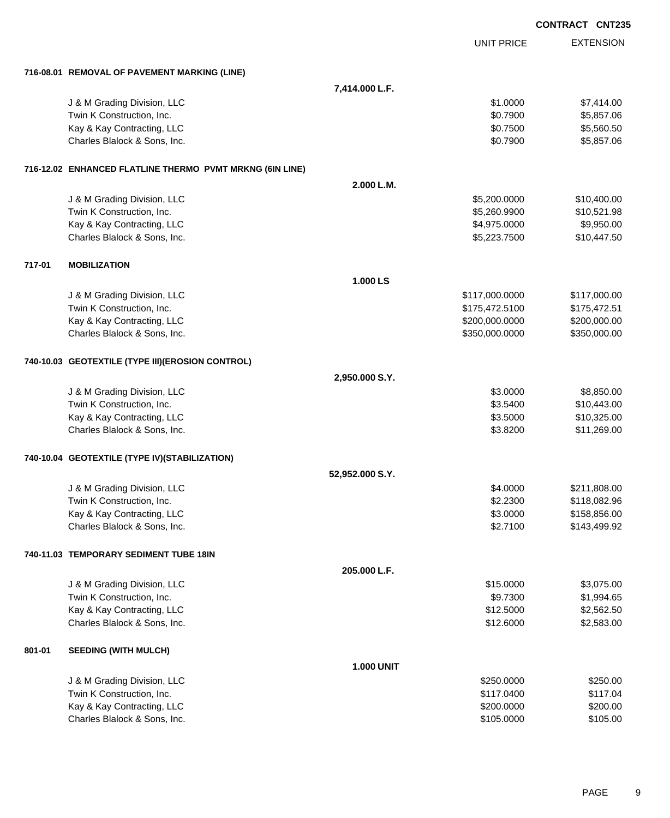|        |                                                          |                   |                   | <b>CONTRACT CNT235</b> |                  |
|--------|----------------------------------------------------------|-------------------|-------------------|------------------------|------------------|
|        |                                                          |                   | <b>UNIT PRICE</b> |                        | <b>EXTENSION</b> |
|        | 716-08.01 REMOVAL OF PAVEMENT MARKING (LINE)             |                   |                   |                        |                  |
|        |                                                          | 7,414.000 L.F.    |                   |                        |                  |
|        | J & M Grading Division, LLC                              |                   | \$1.0000          |                        | \$7,414.00       |
|        | Twin K Construction, Inc.                                |                   | \$0.7900          |                        | \$5,857.06       |
|        | Kay & Kay Contracting, LLC                               |                   | \$0.7500          |                        | \$5,560.50       |
|        | Charles Blalock & Sons, Inc.                             |                   | \$0.7900          |                        | \$5,857.06       |
|        | 716-12.02 ENHANCED FLATLINE THERMO PVMT MRKNG (6IN LINE) |                   |                   |                        |                  |
|        |                                                          | 2.000 L.M.        |                   |                        |                  |
|        | J & M Grading Division, LLC                              |                   | \$5,200.0000      |                        | \$10,400.00      |
|        | Twin K Construction, Inc.                                |                   | \$5,260.9900      |                        | \$10,521.98      |
|        | Kay & Kay Contracting, LLC                               |                   | \$4,975.0000      |                        | \$9,950.00       |
|        | Charles Blalock & Sons, Inc.                             |                   | \$5,223.7500      |                        | \$10,447.50      |
| 717-01 | <b>MOBILIZATION</b>                                      |                   |                   |                        |                  |
|        |                                                          | 1.000 LS          |                   |                        |                  |
|        | J & M Grading Division, LLC                              |                   | \$117,000.0000    |                        | \$117,000.00     |
|        | Twin K Construction, Inc.                                |                   | \$175,472.5100    |                        | \$175,472.51     |
|        | Kay & Kay Contracting, LLC                               |                   | \$200,000.0000    |                        | \$200,000.00     |
|        | Charles Blalock & Sons, Inc.                             |                   | \$350,000.0000    |                        | \$350,000.00     |
|        | 740-10.03 GEOTEXTILE (TYPE III)(EROSION CONTROL)         |                   |                   |                        |                  |
|        |                                                          | 2,950.000 S.Y.    |                   |                        |                  |
|        | J & M Grading Division, LLC                              |                   | \$3.0000          |                        | \$8,850.00       |
|        | Twin K Construction, Inc.                                |                   | \$3.5400          |                        | \$10,443.00      |
|        | Kay & Kay Contracting, LLC                               |                   | \$3.5000          |                        | \$10,325.00      |
|        | Charles Blalock & Sons, Inc.                             |                   | \$3.8200          |                        | \$11,269.00      |
|        | 740-10.04 GEOTEXTILE (TYPE IV)(STABILIZATION)            |                   |                   |                        |                  |
|        |                                                          | 52,952.000 S.Y.   |                   |                        |                  |
|        | J & M Grading Division, LLC                              |                   | \$4.0000          |                        | \$211,808.00     |
|        | Twin K Construction, Inc.                                |                   | \$2.2300          |                        | \$118,082.96     |
|        | Kay & Kay Contracting, LLC                               |                   | \$3.0000          |                        | \$158,856.00     |
|        | Charles Blalock & Sons, Inc.                             |                   | \$2.7100          |                        | \$143,499.92     |
|        | 740-11.03 TEMPORARY SEDIMENT TUBE 18IN                   |                   |                   |                        |                  |
|        |                                                          | 205.000 L.F.      |                   |                        |                  |
|        | J & M Grading Division, LLC                              |                   | \$15.0000         |                        | \$3,075.00       |
|        | Twin K Construction, Inc.                                |                   | \$9.7300          |                        | \$1,994.65       |
|        | Kay & Kay Contracting, LLC                               |                   | \$12.5000         |                        | \$2,562.50       |
|        | Charles Blalock & Sons, Inc.                             |                   | \$12.6000         |                        | \$2,583.00       |
| 801-01 | <b>SEEDING (WITH MULCH)</b>                              |                   |                   |                        |                  |
|        |                                                          | <b>1.000 UNIT</b> |                   |                        |                  |
|        | J & M Grading Division, LLC                              |                   | \$250.0000        |                        | \$250.00         |
|        | Twin K Construction, Inc.                                |                   | \$117.0400        |                        | \$117.04         |
|        | Kay & Kay Contracting, LLC                               |                   | \$200.0000        |                        | \$200.00         |
|        | Charles Blalock & Sons, Inc.                             |                   | \$105.0000        |                        | \$105.00         |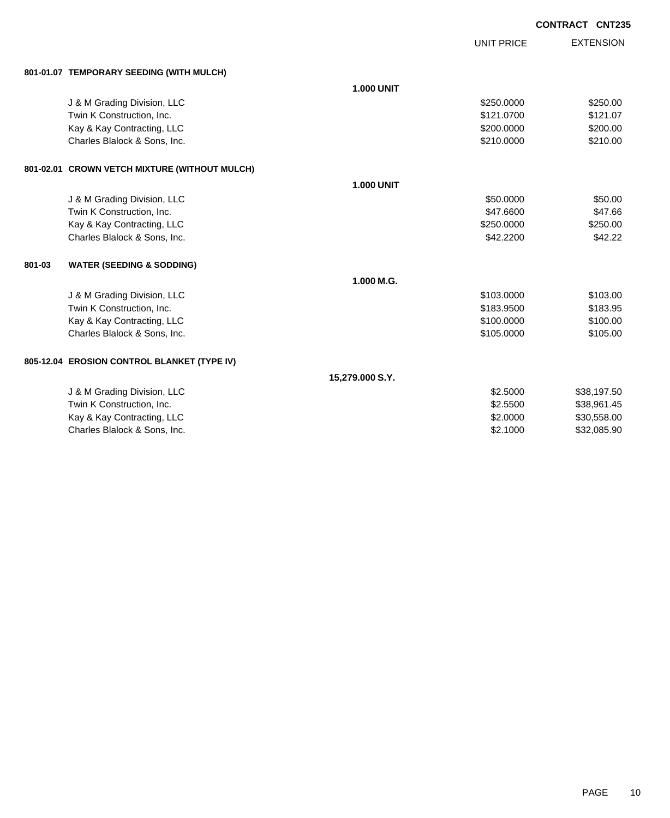|        |                                               |                   |                   | <b>CONTRACT CNT235</b> |                  |
|--------|-----------------------------------------------|-------------------|-------------------|------------------------|------------------|
|        |                                               |                   | <b>UNIT PRICE</b> |                        | <b>EXTENSION</b> |
|        | 801-01.07 TEMPORARY SEEDING (WITH MULCH)      |                   |                   |                        |                  |
|        |                                               | <b>1.000 UNIT</b> |                   |                        |                  |
|        | J & M Grading Division, LLC                   |                   | \$250.0000        |                        | \$250.00         |
|        | Twin K Construction, Inc.                     |                   | \$121.0700        |                        | \$121.07         |
|        | Kay & Kay Contracting, LLC                    |                   | \$200.0000        |                        | \$200.00         |
|        | Charles Blalock & Sons, Inc.                  |                   | \$210.0000        |                        | \$210.00         |
|        | 801-02.01 CROWN VETCH MIXTURE (WITHOUT MULCH) |                   |                   |                        |                  |
|        |                                               | <b>1.000 UNIT</b> |                   |                        |                  |
|        | J & M Grading Division, LLC                   |                   | \$50.0000         |                        | \$50.00          |
|        | Twin K Construction, Inc.                     |                   | \$47.6600         |                        | \$47.66          |
|        | Kay & Kay Contracting, LLC                    |                   | \$250.0000        |                        | \$250.00         |
|        | Charles Blalock & Sons, Inc.                  |                   | \$42.2200         |                        | \$42.22          |
| 801-03 | <b>WATER (SEEDING &amp; SODDING)</b>          |                   |                   |                        |                  |
|        |                                               | 1.000 M.G.        |                   |                        |                  |
|        | J & M Grading Division, LLC                   |                   | \$103.0000        |                        | \$103.00         |
|        | Twin K Construction, Inc.                     |                   | \$183.9500        |                        | \$183.95         |
|        | Kay & Kay Contracting, LLC                    |                   | \$100.0000        |                        | \$100.00         |
|        | Charles Blalock & Sons, Inc.                  |                   | \$105.0000        |                        | \$105.00         |
|        | 805-12.04 EROSION CONTROL BLANKET (TYPE IV)   |                   |                   |                        |                  |
|        |                                               | 15,279.000 S.Y.   |                   |                        |                  |
|        | J & M Grading Division, LLC                   |                   | \$2.5000          |                        | \$38,197.50      |
|        | Twin K Construction, Inc.                     |                   | \$2.5500          |                        | \$38,961.45      |
|        | Kay & Kay Contracting, LLC                    |                   | \$2.0000          |                        | \$30,558.00      |
|        | Charles Blalock & Sons, Inc.                  |                   | \$2,1000          |                        | \$32,085.90      |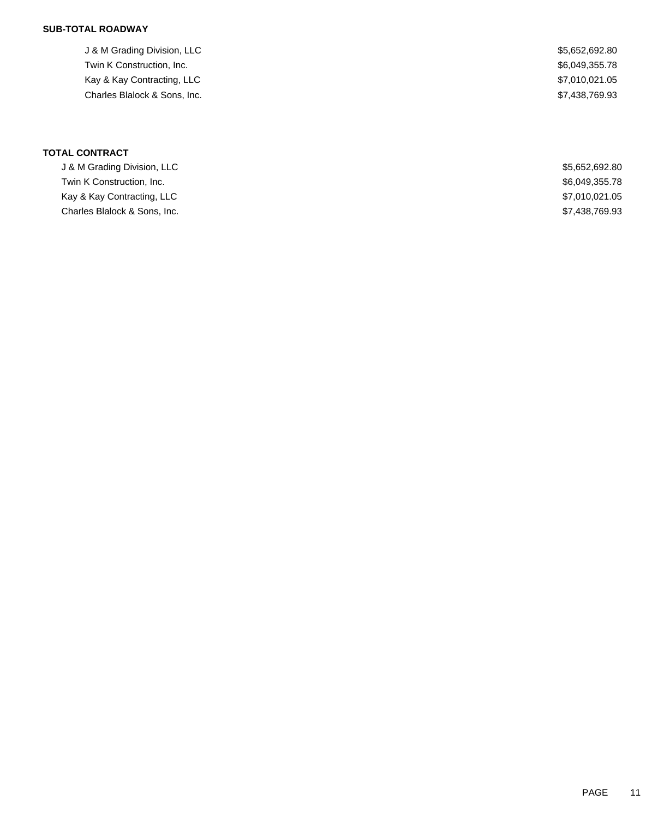## **SUB-TOTAL ROADWAY**

J & M Grading Division, LLC \$5,652,692.80 Twin K Construction, Inc. 6. The Second Second Second Second Second Seconds Seconds Seconds Seconds Seconds Seconds Seconds Seconds Seconds Seconds Seconds Seconds Seconds Seconds Seconds Seconds Seconds Seconds Seconds Se Kay & Kay Contracting, LLC \$7,010,021.05 Charles Blalock & Sons, Inc.  $$7,438,769.93$ 

**TOTAL CONTRACT**

| J & M Grading Division, LLC  | \$5.652.692.80 |
|------------------------------|----------------|
| Twin K Construction. Inc.    | \$6,049,355.78 |
| Kay & Kay Contracting, LLC   | \$7,010,021.05 |
| Charles Blalock & Sons, Inc. | \$7,438,769.93 |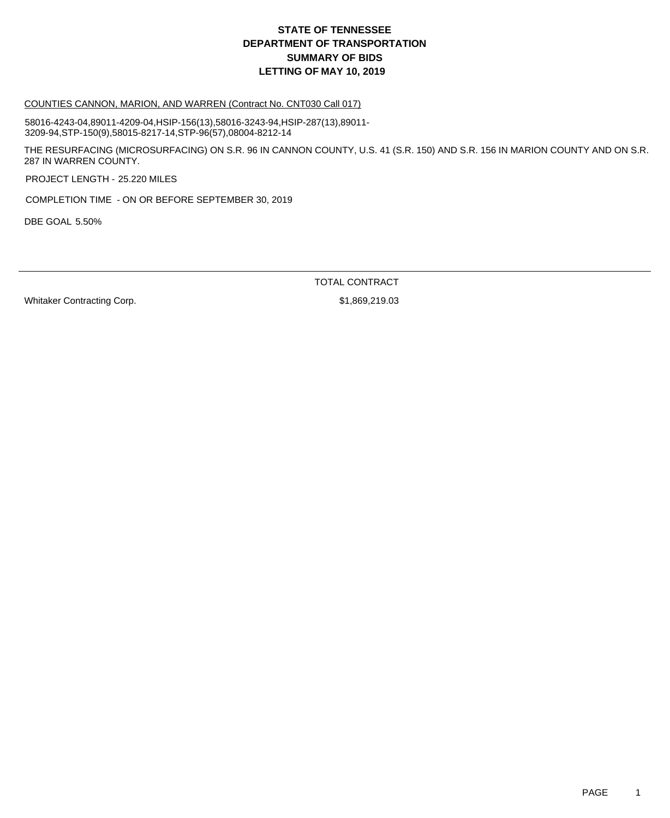#### COUNTIES CANNON, MARION, AND WARREN (Contract No. CNT030 Call 017)

58016-4243-04,89011-4209-04,HSIP-156(13),58016-3243-94,HSIP-287(13),89011- 3209-94,STP-150(9),58015-8217-14,STP-96(57),08004-8212-14

THE RESURFACING (MICROSURFACING) ON S.R. 96 IN CANNON COUNTY, U.S. 41 (S.R. 150) AND S.R. 156 IN MARION COUNTY AND ON S.R. 287 IN WARREN COUNTY.

PROJECT LENGTH - 25.220 MILES

COMPLETION TIME - ON OR BEFORE SEPTEMBER 30, 2019

DBE GOAL 5.50%

TOTAL CONTRACT

Whitaker Contracting Corp.  $$1,869,219.03$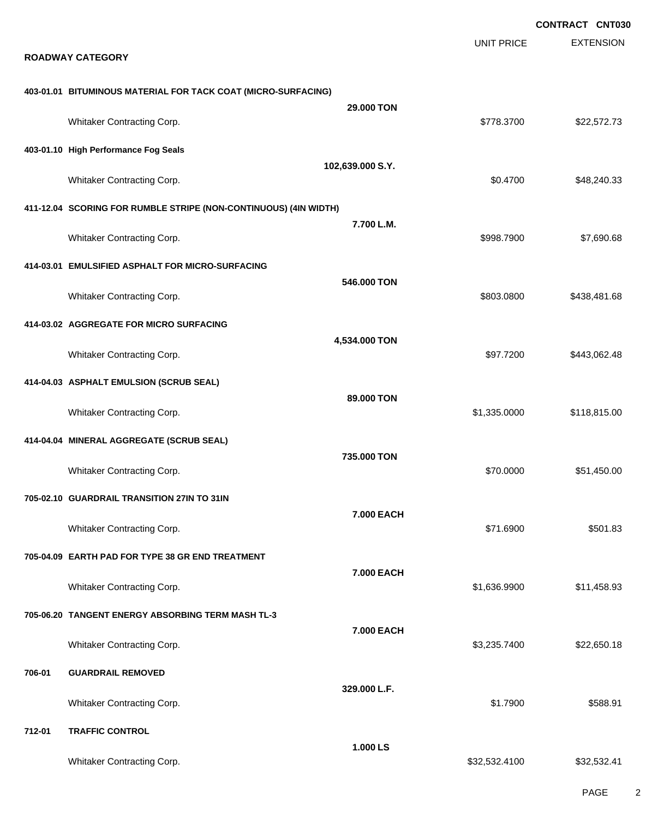|        |                                                                  |                   |                   | <b>CONTRACT CNT030</b> |
|--------|------------------------------------------------------------------|-------------------|-------------------|------------------------|
|        | <b>ROADWAY CATEGORY</b>                                          |                   | <b>UNIT PRICE</b> | <b>EXTENSION</b>       |
|        | 403-01.01 BITUMINOUS MATERIAL FOR TACK COAT (MICRO-SURFACING)    |                   |                   |                        |
|        | Whitaker Contracting Corp.                                       | 29.000 TON        | \$778.3700        | \$22,572.73            |
|        | 403-01.10 High Performance Fog Seals                             |                   |                   |                        |
|        | Whitaker Contracting Corp.                                       | 102,639.000 S.Y.  | \$0.4700          | \$48,240.33            |
|        | 411-12.04 SCORING FOR RUMBLE STRIPE (NON-CONTINUOUS) (4IN WIDTH) |                   |                   |                        |
|        | Whitaker Contracting Corp.                                       | 7.700 L.M.        | \$998.7900        | \$7,690.68             |
|        | 414-03.01 EMULSIFIED ASPHALT FOR MICRO-SURFACING                 |                   |                   |                        |
|        | Whitaker Contracting Corp.                                       | 546.000 TON       | \$803.0800        | \$438,481.68           |
|        | 414-03.02 AGGREGATE FOR MICRO SURFACING                          |                   |                   |                        |
|        | Whitaker Contracting Corp.                                       | 4,534.000 TON     | \$97.7200         | \$443,062.48           |
|        | 414-04.03 ASPHALT EMULSION (SCRUB SEAL)                          |                   |                   |                        |
|        | Whitaker Contracting Corp.                                       | 89,000 TON        | \$1,335.0000      | \$118,815.00           |
|        | 414-04.04 MINERAL AGGREGATE (SCRUB SEAL)                         |                   |                   |                        |
|        | Whitaker Contracting Corp.                                       | 735.000 TON       | \$70.0000         | \$51,450.00            |
|        | 705-02.10 GUARDRAIL TRANSITION 27IN TO 31IN                      |                   |                   |                        |
|        | Whitaker Contracting Corp.                                       | 7.000 EACH        | \$71.6900         | \$501.83               |
|        | 705-04.09 EARTH PAD FOR TYPE 38 GR END TREATMENT                 |                   |                   |                        |
|        | Whitaker Contracting Corp.                                       | 7.000 EACH        | \$1,636.9900      | \$11,458.93            |
|        | 705-06.20 TANGENT ENERGY ABSORBING TERM MASH TL-3                |                   |                   |                        |
|        | Whitaker Contracting Corp.                                       | <b>7.000 EACH</b> | \$3,235.7400      | \$22,650.18            |
| 706-01 | <b>GUARDRAIL REMOVED</b>                                         |                   |                   |                        |
|        | Whitaker Contracting Corp.                                       | 329.000 L.F.      | \$1.7900          | \$588.91               |
| 712-01 | <b>TRAFFIC CONTROL</b>                                           |                   |                   |                        |
|        | Whitaker Contracting Corp.                                       | 1.000LS           | \$32,532.4100     | \$32,532.41            |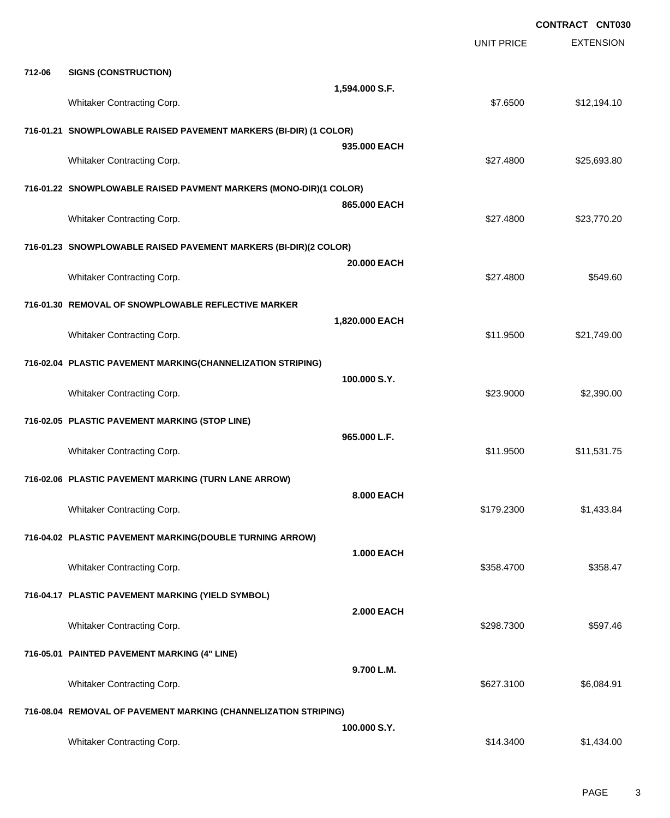|        |                                                                   |                   | <b>CONTRACT CNT030</b> |                  |  |
|--------|-------------------------------------------------------------------|-------------------|------------------------|------------------|--|
|        |                                                                   |                   | <b>UNIT PRICE</b>      | <b>EXTENSION</b> |  |
| 712-06 | <b>SIGNS (CONSTRUCTION)</b>                                       |                   |                        |                  |  |
|        | Whitaker Contracting Corp.                                        | 1,594.000 S.F.    | \$7.6500               | \$12,194.10      |  |
|        |                                                                   |                   |                        |                  |  |
|        | 716-01.21 SNOWPLOWABLE RAISED PAVEMENT MARKERS (BI-DIR) (1 COLOR) | 935.000 EACH      |                        |                  |  |
|        | Whitaker Contracting Corp.                                        |                   | \$27.4800              | \$25,693.80      |  |
|        | 716-01.22 SNOWPLOWABLE RAISED PAVMENT MARKERS (MONO-DIR)(1 COLOR) |                   |                        |                  |  |
|        | Whitaker Contracting Corp.                                        | 865.000 EACH      | \$27.4800              | \$23,770.20      |  |
|        | 716-01.23 SNOWPLOWABLE RAISED PAVEMENT MARKERS (BI-DIR)(2 COLOR)  |                   |                        |                  |  |
|        |                                                                   | 20,000 EACH       |                        |                  |  |
|        | Whitaker Contracting Corp.                                        |                   | \$27.4800              | \$549.60         |  |
|        | 716-01.30 REMOVAL OF SNOWPLOWABLE REFLECTIVE MARKER               | 1,820.000 EACH    |                        |                  |  |
|        | Whitaker Contracting Corp.                                        |                   | \$11.9500              | \$21,749.00      |  |
|        | 716-02.04 PLASTIC PAVEMENT MARKING(CHANNELIZATION STRIPING)       |                   |                        |                  |  |
|        | Whitaker Contracting Corp.                                        | 100.000 S.Y.      | \$23.9000              | \$2,390.00       |  |
|        |                                                                   |                   |                        |                  |  |
|        | 716-02.05 PLASTIC PAVEMENT MARKING (STOP LINE)                    | 965.000 L.F.      |                        |                  |  |
|        | Whitaker Contracting Corp.                                        |                   | \$11.9500              | \$11,531.75      |  |
|        | 716-02.06 PLASTIC PAVEMENT MARKING (TURN LANE ARROW)              |                   |                        |                  |  |
|        | Whitaker Contracting Corp.                                        | 8.000 EACH        | \$179.2300             | \$1,433.84       |  |
|        | 716-04.02 PLASTIC PAVEMENT MARKING(DOUBLE TURNING ARROW)          |                   |                        |                  |  |
|        |                                                                   | <b>1.000 EACH</b> |                        |                  |  |
|        | Whitaker Contracting Corp.                                        |                   | \$358.4700             | \$358.47         |  |
|        | 716-04.17 PLASTIC PAVEMENT MARKING (YIELD SYMBOL)                 |                   |                        |                  |  |
|        | Whitaker Contracting Corp.                                        | <b>2.000 EACH</b> | \$298.7300             | \$597.46         |  |
|        | 716-05.01 PAINTED PAVEMENT MARKING (4" LINE)                      |                   |                        |                  |  |
|        |                                                                   | 9.700 L.M.        |                        |                  |  |
|        | Whitaker Contracting Corp.                                        |                   | \$627.3100             | \$6,084.91       |  |
|        | 716-08.04 REMOVAL OF PAVEMENT MARKING (CHANNELIZATION STRIPING)   | 100.000 S.Y.      |                        |                  |  |
|        | Whitaker Contracting Corp.                                        |                   | \$14.3400              | \$1,434.00       |  |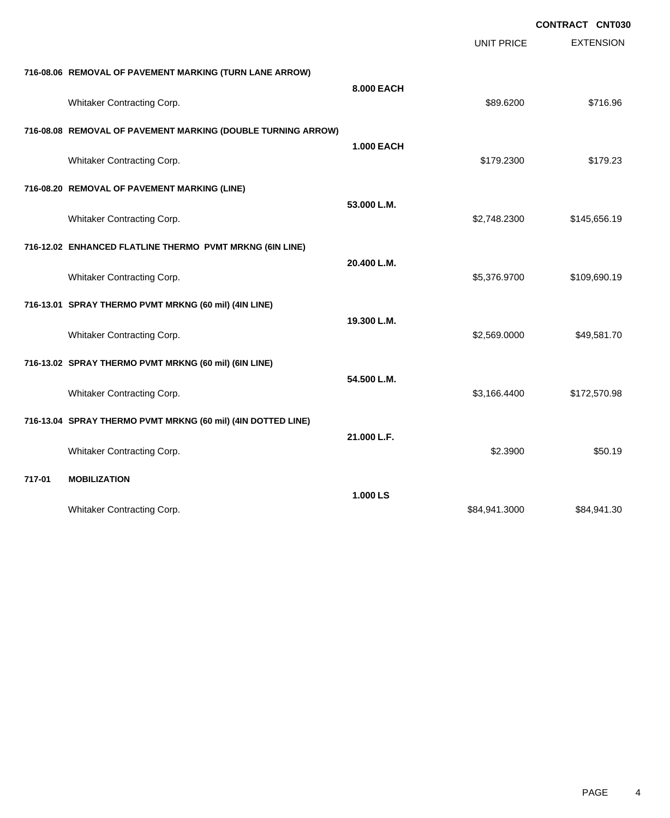|        |                                                              |                   |                   | CONTRACT CNT030  |  |
|--------|--------------------------------------------------------------|-------------------|-------------------|------------------|--|
|        |                                                              |                   | <b>UNIT PRICE</b> | <b>EXTENSION</b> |  |
|        | 716-08.06 REMOVAL OF PAVEMENT MARKING (TURN LANE ARROW)      |                   |                   |                  |  |
|        | Whitaker Contracting Corp.                                   | 8.000 EACH        | \$89.6200         | \$716.96         |  |
|        | 716-08.08 REMOVAL OF PAVEMENT MARKING (DOUBLE TURNING ARROW) |                   |                   |                  |  |
|        | Whitaker Contracting Corp.                                   | <b>1.000 EACH</b> | \$179.2300        | \$179.23         |  |
|        | 716-08.20 REMOVAL OF PAVEMENT MARKING (LINE)                 |                   |                   |                  |  |
|        | Whitaker Contracting Corp.                                   | 53.000 L.M.       | \$2,748.2300      | \$145,656.19     |  |
|        | 716-12.02 ENHANCED FLATLINE THERMO PVMT MRKNG (6IN LINE)     |                   |                   |                  |  |
|        | Whitaker Contracting Corp.                                   | 20.400 L.M.       | \$5,376.9700      | \$109,690.19     |  |
|        | 716-13.01 SPRAY THERMO PVMT MRKNG (60 mil) (4IN LINE)        |                   |                   |                  |  |
|        | Whitaker Contracting Corp.                                   | 19.300 L.M.       | \$2,569.0000      | \$49,581.70      |  |
|        | 716-13.02 SPRAY THERMO PVMT MRKNG (60 mil) (6IN LINE)        |                   |                   |                  |  |
|        | Whitaker Contracting Corp.                                   | 54.500 L.M.       | \$3,166.4400      | \$172,570.98     |  |
|        | 716-13.04 SPRAY THERMO PVMT MRKNG (60 mil) (4IN DOTTED LINE) |                   |                   |                  |  |
|        | Whitaker Contracting Corp.                                   | 21.000 L.F.       | \$2.3900          | \$50.19          |  |
| 717-01 | <b>MOBILIZATION</b>                                          |                   |                   |                  |  |
|        | Whitaker Contracting Corp.                                   | 1.000 LS          | \$84,941.3000     | \$84,941.30      |  |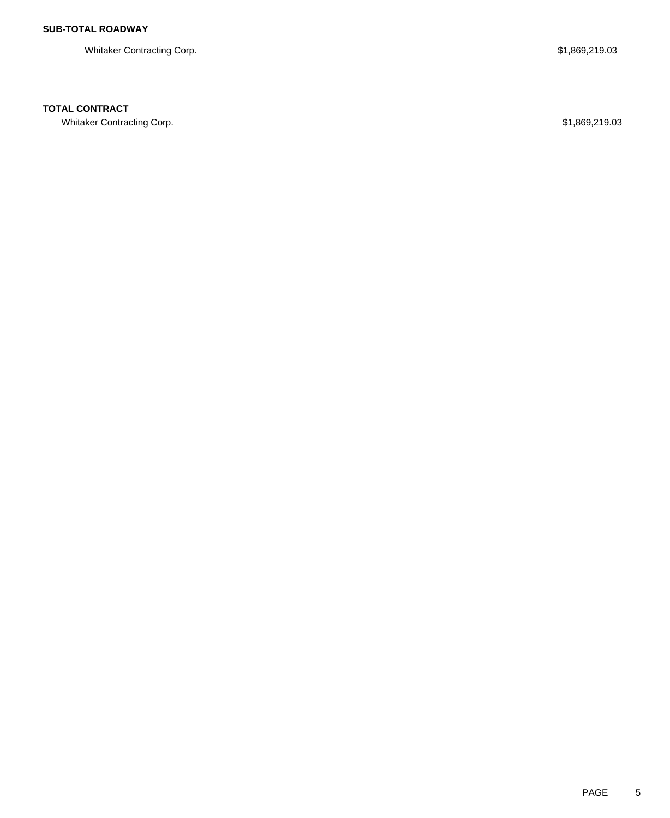Whitaker Contracting Corp.  $$1,869,219.03$ 

### **TOTAL CONTRACT**

Whitaker Contracting Corp. **\$1,869,219.03** \$1,869,219.03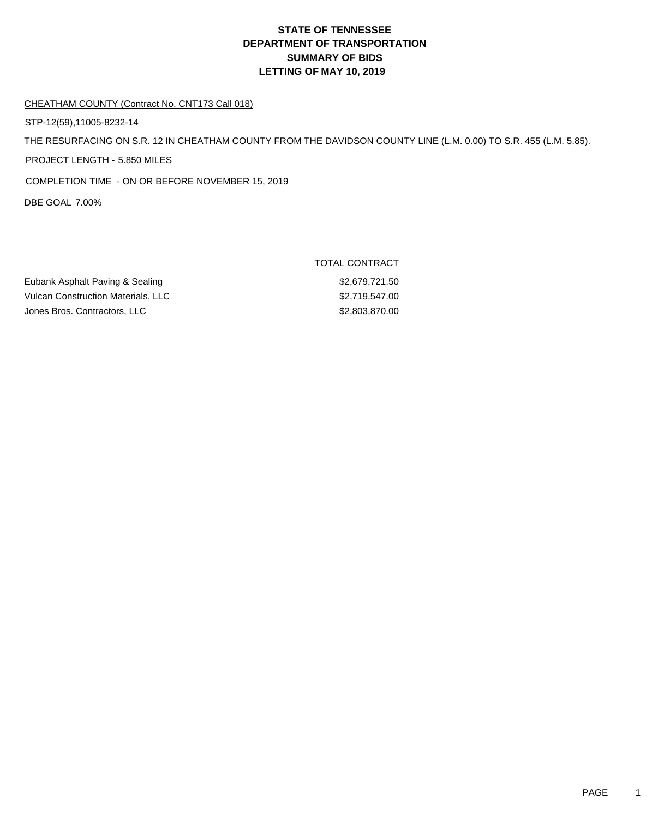#### CHEATHAM COUNTY (Contract No. CNT173 Call 018)

STP-12(59),11005-8232-14

THE RESURFACING ON S.R. 12 IN CHEATHAM COUNTY FROM THE DAVIDSON COUNTY LINE (L.M. 0.00) TO S.R. 455 (L.M. 5.85).

PROJECT LENGTH - 5.850 MILES

COMPLETION TIME - ON OR BEFORE NOVEMBER 15, 2019

DBE GOAL 7.00%

Eubank Asphalt Paving & Sealing \$2,679,721.50 Vulcan Construction Materials, LLC \$2,719,547.00 Jones Bros. Contractors, LLC \$2,803,870.00

TOTAL CONTRACT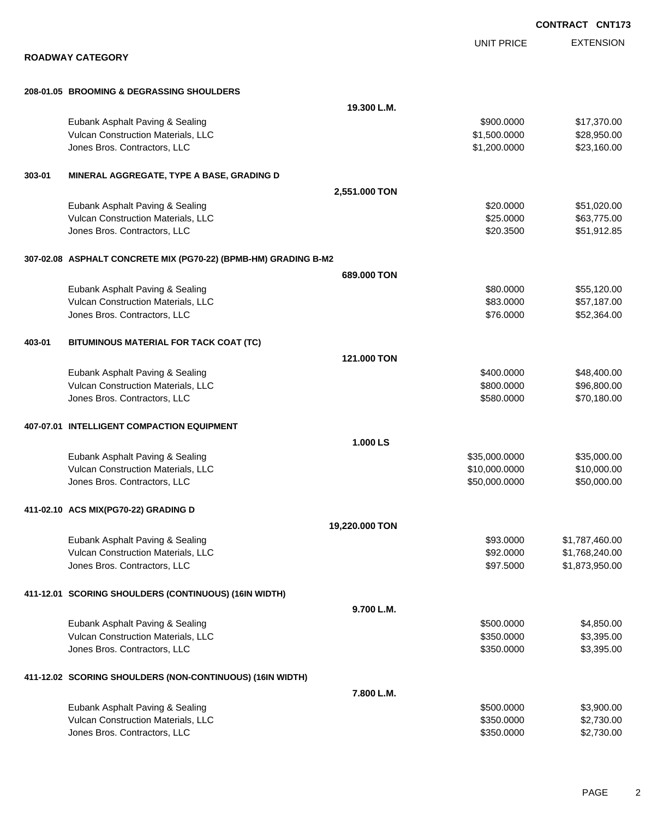|                                                                 |                |                   | <b>CONTRACT CNT173</b> |
|-----------------------------------------------------------------|----------------|-------------------|------------------------|
|                                                                 |                | <b>UNIT PRICE</b> | <b>EXTENSION</b>       |
| <b>ROADWAY CATEGORY</b>                                         |                |                   |                        |
| 208-01.05 BROOMING & DEGRASSING SHOULDERS                       |                |                   |                        |
|                                                                 | 19.300 L.M.    |                   |                        |
| Eubank Asphalt Paving & Sealing                                 |                | \$900.0000        | \$17,370.00            |
| Vulcan Construction Materials, LLC                              |                | \$1,500.0000      | \$28,950.00            |
| Jones Bros. Contractors, LLC                                    |                | \$1,200.0000      | \$23,160.00            |
| MINERAL AGGREGATE, TYPE A BASE, GRADING D<br>303-01             |                |                   |                        |
|                                                                 | 2,551.000 TON  |                   |                        |
| Eubank Asphalt Paving & Sealing                                 |                | \$20.0000         | \$51,020.00            |
| Vulcan Construction Materials, LLC                              |                | \$25.0000         | \$63,775.00            |
| Jones Bros. Contractors, LLC                                    |                | \$20.3500         | \$51,912.85            |
| 307-02.08 ASPHALT CONCRETE MIX (PG70-22) (BPMB-HM) GRADING B-M2 |                |                   |                        |
|                                                                 | 689,000 TON    |                   |                        |
| Eubank Asphalt Paving & Sealing                                 |                | \$80.0000         | \$55,120.00            |
| Vulcan Construction Materials, LLC                              |                | \$83.0000         | \$57,187.00            |
| Jones Bros. Contractors, LLC                                    |                | \$76.0000         | \$52,364.00            |
| 403-01<br>BITUMINOUS MATERIAL FOR TACK COAT (TC)                |                |                   |                        |
|                                                                 | 121,000 TON    |                   |                        |
| Eubank Asphalt Paving & Sealing                                 |                | \$400.0000        | \$48,400.00            |
| Vulcan Construction Materials, LLC                              |                | \$800.0000        | \$96,800.00            |
| Jones Bros. Contractors, LLC                                    |                | \$580.0000        | \$70,180.00            |
| 407-07.01 INTELLIGENT COMPACTION EQUIPMENT                      |                |                   |                        |
|                                                                 | 1.000 LS       |                   |                        |
| Eubank Asphalt Paving & Sealing                                 |                | \$35,000.0000     | \$35,000.00            |
| Vulcan Construction Materials, LLC                              |                | \$10,000.0000     | \$10,000.00            |
| Jones Bros. Contractors, LLC                                    |                | \$50,000.0000     | \$50,000.00            |
| 411-02.10 ACS MIX(PG70-22) GRADING D                            |                |                   |                        |
|                                                                 | 19,220.000 TON |                   |                        |
| Eubank Asphalt Paving & Sealing                                 |                | \$93.0000         | \$1,787,460.00         |
| Vulcan Construction Materials, LLC                              |                | \$92.0000         | \$1,768,240.00         |
| Jones Bros. Contractors, LLC                                    |                | \$97.5000         | \$1,873,950.00         |
| 411-12.01 SCORING SHOULDERS (CONTINUOUS) (16IN WIDTH)           |                |                   |                        |
|                                                                 | 9.700 L.M.     |                   |                        |
| Eubank Asphalt Paving & Sealing                                 |                | \$500.0000        | \$4,850.00             |
| Vulcan Construction Materials, LLC                              |                | \$350.0000        | \$3,395.00             |
| Jones Bros. Contractors, LLC                                    |                | \$350.0000        | \$3,395.00             |
| 411-12.02 SCORING SHOULDERS (NON-CONTINUOUS) (16IN WIDTH)       |                |                   |                        |
|                                                                 | 7.800 L.M.     |                   |                        |
| Eubank Asphalt Paving & Sealing                                 |                | \$500.0000        | \$3,900.00             |
| Vulcan Construction Materials, LLC                              |                | \$350.0000        | \$2,730.00             |
| Jones Bros. Contractors, LLC                                    |                | \$350.0000        | \$2,730.00             |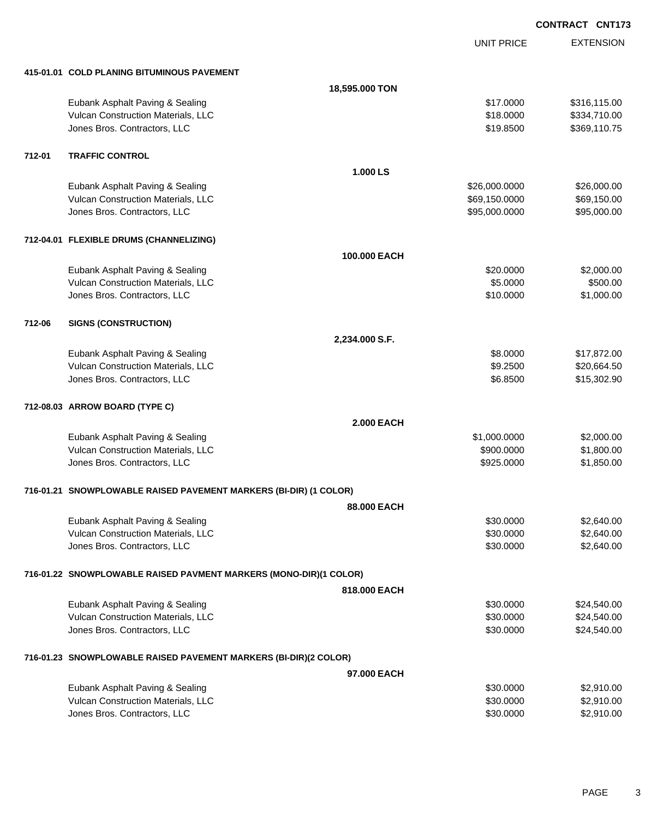UNIT PRICE EXTENSION

|  | 415-01.01 COLD PLANING BITUMINOUS PAVEMENT |  |
|--|--------------------------------------------|--|
|  |                                            |  |

|        | 415-01.01 COLD PLANING BITUMINOUS PAVEMENT                            |                   |               |                          |
|--------|-----------------------------------------------------------------------|-------------------|---------------|--------------------------|
|        |                                                                       | 18,595.000 TON    |               |                          |
|        | Eubank Asphalt Paving & Sealing                                       |                   | \$17,0000     | \$316,115.00             |
|        | Vulcan Construction Materials, LLC                                    |                   | \$18.0000     | \$334,710.00             |
|        | Jones Bros. Contractors, LLC                                          |                   | \$19.8500     | \$369,110.75             |
|        |                                                                       |                   |               |                          |
| 712-01 | <b>TRAFFIC CONTROL</b>                                                |                   |               |                          |
|        |                                                                       | 1.000 LS          |               |                          |
|        | Eubank Asphalt Paving & Sealing                                       |                   | \$26,000.0000 | \$26,000.00              |
|        | Vulcan Construction Materials, LLC                                    |                   | \$69,150.0000 | \$69,150.00              |
|        | Jones Bros. Contractors, LLC                                          |                   | \$95,000.0000 | \$95,000.00              |
|        | 712-04.01 FLEXIBLE DRUMS (CHANNELIZING)                               |                   |               |                          |
|        |                                                                       | 100.000 EACH      |               |                          |
|        | Eubank Asphalt Paving & Sealing                                       |                   | \$20.0000     | \$2,000.00               |
|        | Vulcan Construction Materials, LLC                                    |                   | \$5.0000      | \$500.00                 |
|        | Jones Bros. Contractors, LLC                                          |                   | \$10.0000     | \$1,000.00               |
|        |                                                                       |                   |               |                          |
| 712-06 | <b>SIGNS (CONSTRUCTION)</b>                                           |                   |               |                          |
|        |                                                                       | 2,234.000 S.F.    |               |                          |
|        | Eubank Asphalt Paving & Sealing                                       |                   | \$8.0000      | \$17,872.00              |
|        | Vulcan Construction Materials, LLC                                    |                   | \$9.2500      | \$20,664.50              |
|        | Jones Bros. Contractors, LLC                                          |                   | \$6.8500      | \$15,302.90              |
|        | 712-08.03 ARROW BOARD (TYPE C)                                        |                   |               |                          |
|        |                                                                       | <b>2.000 EACH</b> |               |                          |
|        | Eubank Asphalt Paving & Sealing                                       |                   | \$1,000.0000  | \$2,000.00               |
|        | Vulcan Construction Materials, LLC                                    |                   | \$900.0000    | \$1,800.00               |
|        | Jones Bros. Contractors, LLC                                          |                   | \$925.0000    | \$1,850.00               |
|        |                                                                       |                   |               |                          |
|        | 716-01.21 SNOWPLOWABLE RAISED PAVEMENT MARKERS (BI-DIR) (1 COLOR)     | 88.000 EACH       |               |                          |
|        |                                                                       |                   | \$30.0000     |                          |
|        | Eubank Asphalt Paving & Sealing<br>Vulcan Construction Materials, LLC |                   | \$30.0000     | \$2,640.00<br>\$2,640.00 |
|        | Jones Bros. Contractors, LLC                                          |                   | \$30.0000     | \$2,640.00               |
|        |                                                                       |                   |               |                          |
|        | 716-01.22 SNOWPLOWABLE RAISED PAVMENT MARKERS (MONO-DIR)(1 COLOR)     |                   |               |                          |
|        |                                                                       | 818.000 EACH      |               |                          |
|        | Eubank Asphalt Paving & Sealing                                       |                   | \$30.0000     | \$24,540.00              |
|        | Vulcan Construction Materials, LLC                                    |                   | \$30.0000     | \$24,540.00              |
|        | Jones Bros. Contractors, LLC                                          |                   | \$30.0000     | \$24,540.00              |
|        | 716-01.23 SNOWPLOWABLE RAISED PAVEMENT MARKERS (BI-DIR)(2 COLOR)      |                   |               |                          |
|        |                                                                       | 97.000 EACH       |               |                          |
|        | Eubank Asphalt Paving & Sealing                                       |                   | \$30.0000     | \$2,910.00               |
|        | Vulcan Construction Materials, LLC                                    |                   | \$30.0000     | \$2,910.00               |
|        | Jones Bros. Contractors, LLC                                          |                   | \$30.0000     | \$2,910.00               |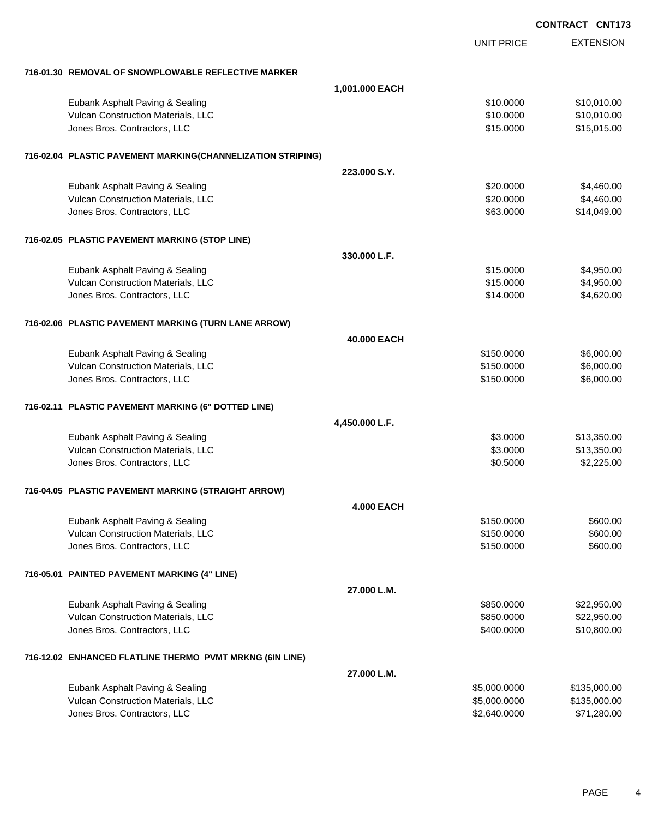|                                                                    | <b>CONTRACT CNT173</b>   |                      |
|--------------------------------------------------------------------|--------------------------|----------------------|
|                                                                    | <b>UNIT PRICE</b>        | <b>EXTENSION</b>     |
| 716-01.30 REMOVAL OF SNOWPLOWABLE REFLECTIVE MARKER                |                          |                      |
| 1,001.000 EACH                                                     |                          |                      |
| Eubank Asphalt Paving & Sealing                                    | \$10.0000                | \$10,010.00          |
| Vulcan Construction Materials, LLC                                 | \$10.0000                | \$10,010.00          |
| Jones Bros. Contractors, LLC                                       | \$15.0000                | \$15,015.00          |
| 716-02.04 PLASTIC PAVEMENT MARKING(CHANNELIZATION STRIPING)        |                          |                      |
| 223,000 S.Y.                                                       |                          |                      |
| Eubank Asphalt Paving & Sealing                                    | \$20.0000                | \$4,460.00           |
| Vulcan Construction Materials, LLC                                 | \$20.0000                | \$4,460.00           |
| Jones Bros. Contractors, LLC                                       | \$63.0000                | \$14,049.00          |
| 716-02.05 PLASTIC PAVEMENT MARKING (STOP LINE)                     |                          |                      |
| 330.000 L.F.                                                       |                          |                      |
| Eubank Asphalt Paving & Sealing                                    | \$15.0000                | \$4,950.00           |
| Vulcan Construction Materials, LLC                                 | \$15.0000                | \$4,950.00           |
| Jones Bros. Contractors, LLC                                       | \$14.0000                | \$4,620.00           |
| 716-02.06 PLASTIC PAVEMENT MARKING (TURN LANE ARROW)               |                          |                      |
| 40,000 EACH                                                        |                          |                      |
| Eubank Asphalt Paving & Sealing                                    | \$150.0000               | \$6,000.00           |
| Vulcan Construction Materials, LLC                                 | \$150.0000               | \$6,000.00           |
| Jones Bros. Contractors, LLC                                       | \$150.0000               | \$6,000.00           |
| 716-02.11 PLASTIC PAVEMENT MARKING (6" DOTTED LINE)                |                          |                      |
| 4,450.000 L.F.                                                     |                          |                      |
| Eubank Asphalt Paving & Sealing                                    | \$3.0000                 | \$13,350.00          |
| Vulcan Construction Materials, LLC<br>Jones Bros. Contractors, LLC | \$3.0000                 | \$13,350.00          |
|                                                                    | \$0.5000                 | \$2,225.00           |
| 716-04.05 PLASTIC PAVEMENT MARKING (STRAIGHT ARROW)                |                          |                      |
| <b>4.000 EACH</b>                                                  |                          |                      |
| Eubank Asphalt Paving & Sealing                                    | \$150.0000               | \$600.00             |
| Vulcan Construction Materials, LLC<br>Jones Bros. Contractors, LLC | \$150.0000<br>\$150.0000 | \$600.00<br>\$600.00 |
|                                                                    |                          |                      |
| 716-05.01 PAINTED PAVEMENT MARKING (4" LINE)                       |                          |                      |
| 27.000 L.M.                                                        |                          |                      |
| Eubank Asphalt Paving & Sealing                                    | \$850.0000               | \$22,950.00          |
| Vulcan Construction Materials, LLC                                 | \$850.0000               | \$22,950.00          |
| Jones Bros. Contractors, LLC                                       | \$400.0000               | \$10,800.00          |
| 716-12.02 ENHANCED FLATLINE THERMO PVMT MRKNG (6IN LINE)           |                          |                      |
| 27.000 L.M.                                                        |                          |                      |
| Eubank Asphalt Paving & Sealing                                    | \$5,000.0000             | \$135,000.00         |
| Vulcan Construction Materials, LLC                                 | \$5,000.0000             | \$135,000.00         |
| Jones Bros. Contractors, LLC                                       | \$2,640.0000             | \$71,280.00          |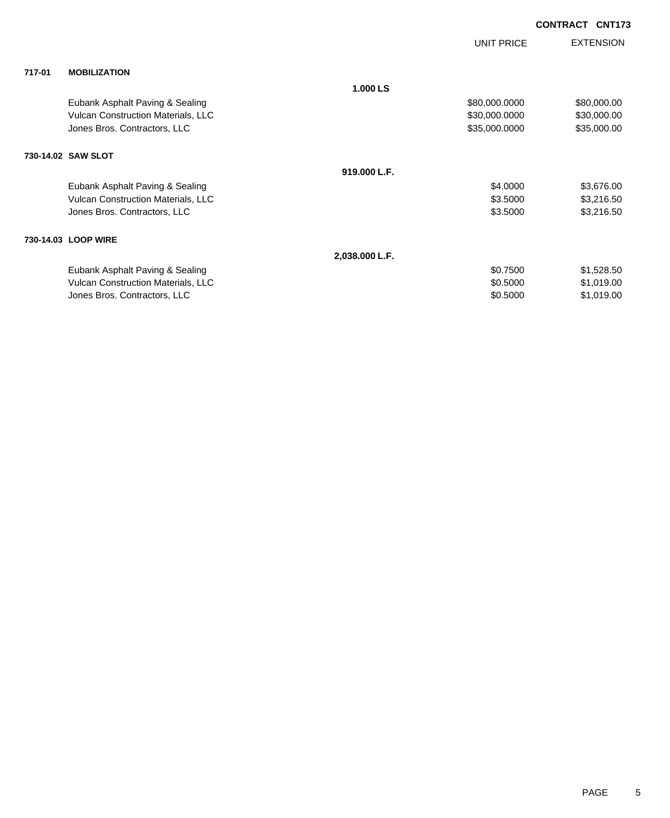|        |                                           |                | UNIT PRICE    | <b>EXTENSION</b> |
|--------|-------------------------------------------|----------------|---------------|------------------|
| 717-01 | <b>MOBILIZATION</b>                       |                |               |                  |
|        |                                           | 1.000 LS       |               |                  |
|        | Eubank Asphalt Paving & Sealing           |                | \$80,000.0000 | \$80,000.00      |
|        | <b>Vulcan Construction Materials, LLC</b> |                | \$30,000.0000 | \$30,000.00      |
|        | Jones Bros. Contractors, LLC              |                | \$35,000.0000 | \$35,000.00      |
|        | 730-14.02 SAW SLOT                        |                |               |                  |
|        |                                           | 919.000 L.F.   |               |                  |
|        | Eubank Asphalt Paving & Sealing           |                | \$4.0000      | \$3,676.00       |
|        | Vulcan Construction Materials, LLC        |                | \$3.5000      | \$3,216.50       |
|        | Jones Bros. Contractors, LLC              |                | \$3.5000      | \$3,216.50       |
|        | 730-14.03 LOOP WIRE                       |                |               |                  |
|        |                                           | 2,038.000 L.F. |               |                  |
|        | Eubank Asphalt Paving & Sealing           |                | \$0.7500      | \$1,528.50       |
|        | Vulcan Construction Materials, LLC        |                | \$0.5000      | \$1,019.00       |
|        | Jones Bros. Contractors, LLC              |                | \$0.5000      | \$1,019.00       |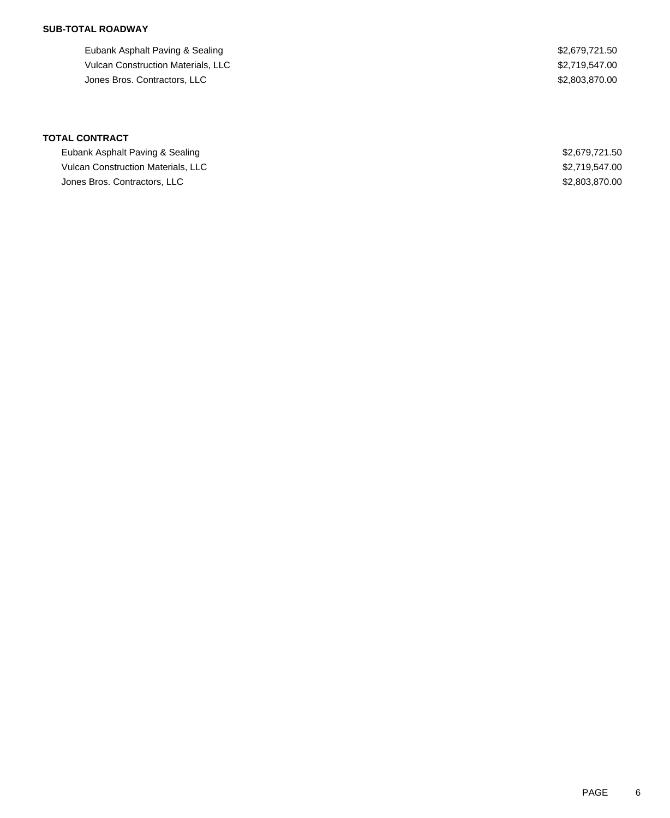## **SUB-TOTAL ROADWAY**

Eubank Asphalt Paving & Sealing  $$2,679,721.50$ Vulcan Construction Materials, LLC 62,719,547.00 American Security Contractors, LLC \$2,803,870.00

**TOTAL CONTRACT**

Eubank Asphalt Paving & Sealing **\$2,679,721.50** Sealing \$2,679,721.50 Vulcan Construction Materials, LLC \$2,719,547.00 Jones Bros. Contractors, LLC \$2,803,870.00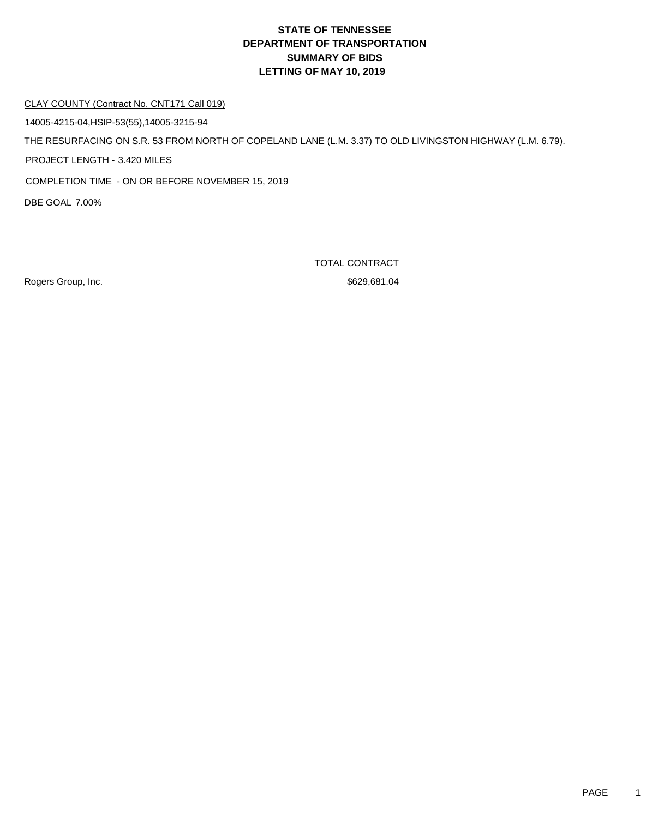#### CLAY COUNTY (Contract No. CNT171 Call 019)

14005-4215-04,HSIP-53(55),14005-3215-94

THE RESURFACING ON S.R. 53 FROM NORTH OF COPELAND LANE (L.M. 3.37) TO OLD LIVINGSTON HIGHWAY (L.M. 6.79).

PROJECT LENGTH - 3.420 MILES

COMPLETION TIME - ON OR BEFORE NOVEMBER 15, 2019

DBE GOAL 7.00%

TOTAL CONTRACT

Rogers Group, Inc. 6829,681.04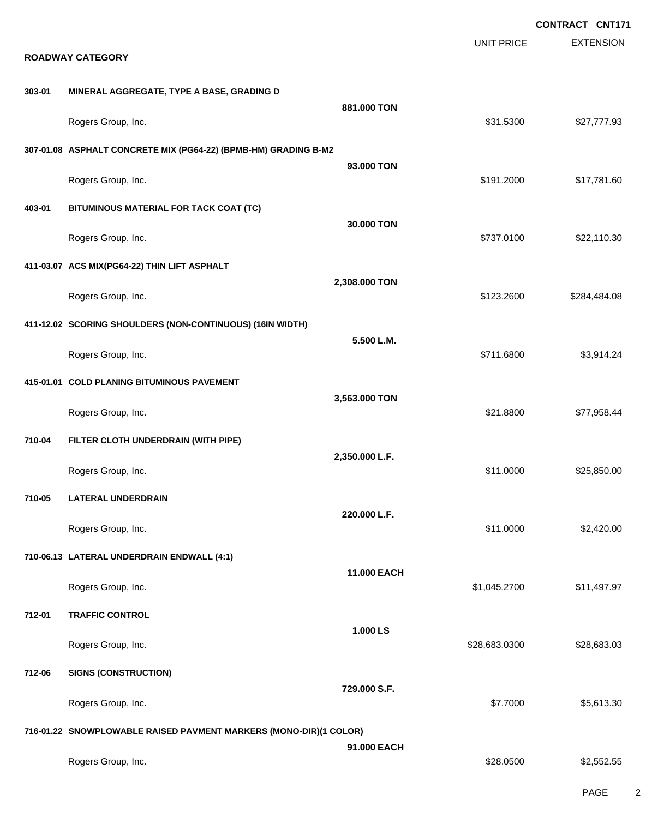|        |                                                                   |                |                   | <b>CONTRACT CNT171</b> |
|--------|-------------------------------------------------------------------|----------------|-------------------|------------------------|
|        | <b>ROADWAY CATEGORY</b>                                           |                | <b>UNIT PRICE</b> | <b>EXTENSION</b>       |
|        |                                                                   |                |                   |                        |
| 303-01 | MINERAL AGGREGATE, TYPE A BASE, GRADING D                         | 881.000 TON    |                   |                        |
|        | Rogers Group, Inc.                                                |                | \$31.5300         | \$27,777.93            |
|        | 307-01.08 ASPHALT CONCRETE MIX (PG64-22) (BPMB-HM) GRADING B-M2   |                |                   |                        |
|        | Rogers Group, Inc.                                                | 93.000 TON     | \$191.2000        | \$17,781.60            |
| 403-01 | BITUMINOUS MATERIAL FOR TACK COAT (TC)                            |                |                   |                        |
|        | Rogers Group, Inc.                                                | 30.000 TON     | \$737.0100        | \$22,110.30            |
|        | 411-03.07 ACS MIX(PG64-22) THIN LIFT ASPHALT                      |                |                   |                        |
|        | Rogers Group, Inc.                                                | 2,308.000 TON  | \$123.2600        | \$284,484.08           |
|        | 411-12.02 SCORING SHOULDERS (NON-CONTINUOUS) (16IN WIDTH)         |                |                   |                        |
|        | Rogers Group, Inc.                                                | 5.500 L.M.     | \$711.6800        | \$3,914.24             |
|        | 415-01.01 COLD PLANING BITUMINOUS PAVEMENT                        |                |                   |                        |
|        | Rogers Group, Inc.                                                | 3,563.000 TON  | \$21.8800         | \$77,958.44            |
| 710-04 | FILTER CLOTH UNDERDRAIN (WITH PIPE)                               |                |                   |                        |
|        | Rogers Group, Inc.                                                | 2,350.000 L.F. | \$11.0000         | \$25,850.00            |
| 710-05 | <b>LATERAL UNDERDRAIN</b>                                         |                |                   |                        |
|        | Rogers Group, Inc.                                                | 220.000 L.F.   | \$11.0000         | \$2,420.00             |
|        | 710-06.13 LATERAL UNDERDRAIN ENDWALL (4:1)                        |                |                   |                        |
|        | Rogers Group, Inc.                                                | 11.000 EACH    | \$1,045.2700      | \$11,497.97            |
| 712-01 | <b>TRAFFIC CONTROL</b>                                            |                |                   |                        |
|        | Rogers Group, Inc.                                                | 1.000 LS       | \$28,683.0300     | \$28,683.03            |
| 712-06 | <b>SIGNS (CONSTRUCTION)</b>                                       |                |                   |                        |
|        | Rogers Group, Inc.                                                | 729.000 S.F.   | \$7.7000          | \$5,613.30             |
|        | 716-01.22 SNOWPLOWABLE RAISED PAVMENT MARKERS (MONO-DIR)(1 COLOR) |                |                   |                        |
|        | Rogers Group, Inc.                                                | 91.000 EACH    | \$28.0500         | \$2,552.55             |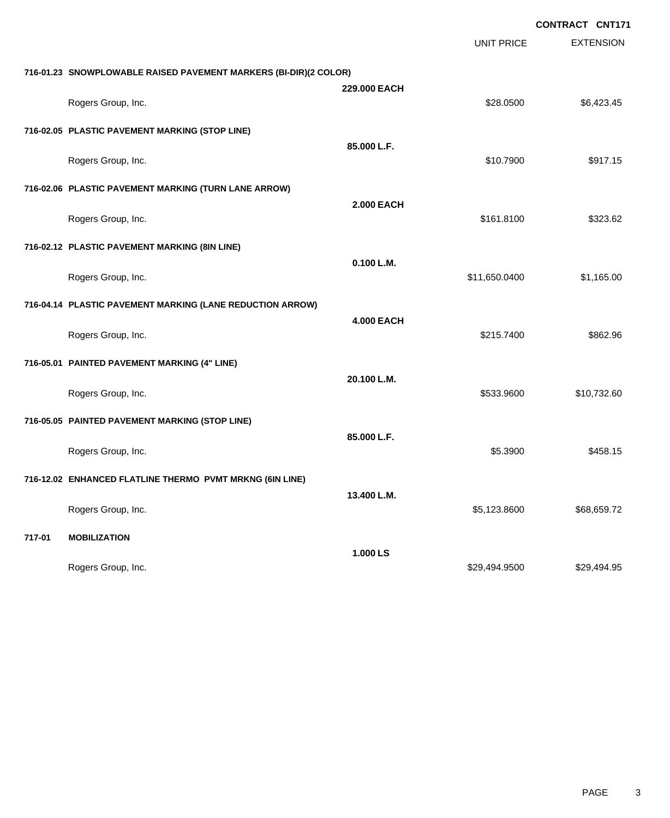|        |                                                                  |                   |                   | <b>CONTRACT CNT171</b> |
|--------|------------------------------------------------------------------|-------------------|-------------------|------------------------|
|        |                                                                  |                   | <b>UNIT PRICE</b> | <b>EXTENSION</b>       |
|        | 716-01.23 SNOWPLOWABLE RAISED PAVEMENT MARKERS (BI-DIR)(2 COLOR) |                   |                   |                        |
|        | Rogers Group, Inc.                                               | 229.000 EACH      | \$28.0500         | \$6,423.45             |
|        | 716-02.05 PLASTIC PAVEMENT MARKING (STOP LINE)                   |                   |                   |                        |
|        | Rogers Group, Inc.                                               | 85.000 L.F.       | \$10.7900         | \$917.15               |
|        | 716-02.06 PLASTIC PAVEMENT MARKING (TURN LANE ARROW)             |                   |                   |                        |
|        | Rogers Group, Inc.                                               | <b>2.000 EACH</b> | \$161.8100        | \$323.62               |
|        | 716-02.12 PLASTIC PAVEMENT MARKING (8IN LINE)                    |                   |                   |                        |
|        | Rogers Group, Inc.                                               | 0.100 L.M.        | \$11,650.0400     | \$1,165.00             |
|        | 716-04.14 PLASTIC PAVEMENT MARKING (LANE REDUCTION ARROW)        |                   |                   |                        |
|        | Rogers Group, Inc.                                               | <b>4.000 EACH</b> | \$215.7400        | \$862.96               |
|        | 716-05.01 PAINTED PAVEMENT MARKING (4" LINE)                     |                   |                   |                        |
|        | Rogers Group, Inc.                                               | 20.100 L.M.       | \$533.9600        | \$10,732.60            |
|        | 716-05.05 PAINTED PAVEMENT MARKING (STOP LINE)                   |                   |                   |                        |
|        | Rogers Group, Inc.                                               | 85.000 L.F.       | \$5.3900          | \$458.15               |
|        | 716-12.02 ENHANCED FLATLINE THERMO PVMT MRKNG (6IN LINE)         |                   |                   |                        |
|        | Rogers Group, Inc.                                               | 13.400 L.M.       | \$5,123.8600      | \$68,659.72            |
| 717-01 | <b>MOBILIZATION</b>                                              |                   |                   |                        |
|        | Rogers Group, Inc.                                               | 1.000 LS          | \$29,494.9500     | \$29,494.95            |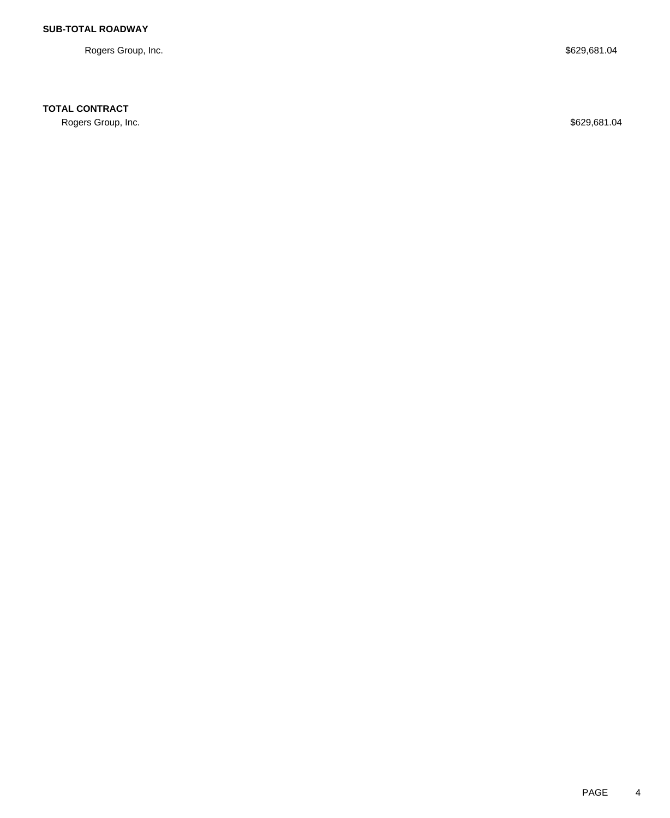Rogers Group, Inc. \$629,681.04

## **TOTAL CONTRACT**

Rogers Group, Inc. \$629,681.04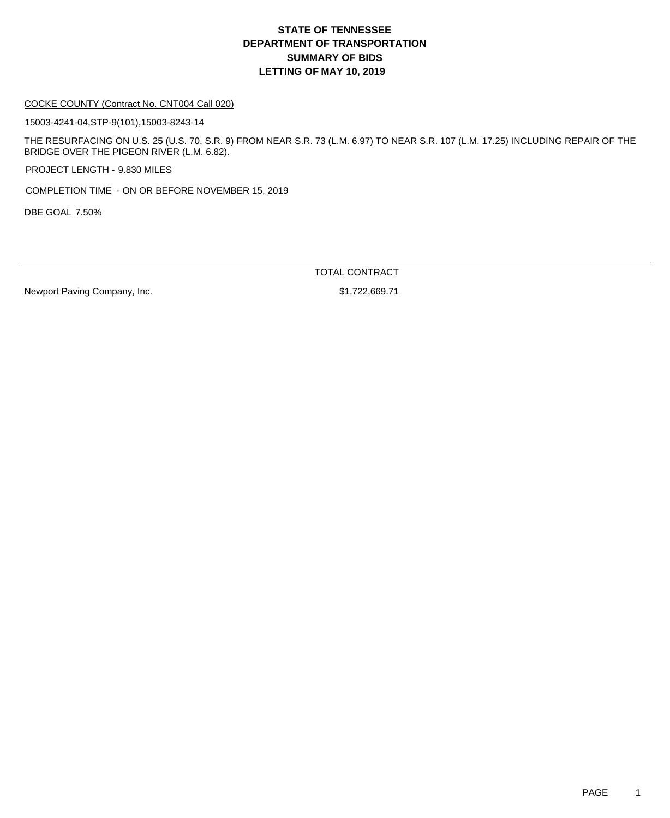#### COCKE COUNTY (Contract No. CNT004 Call 020)

15003-4241-04,STP-9(101),15003-8243-14

THE RESURFACING ON U.S. 25 (U.S. 70, S.R. 9) FROM NEAR S.R. 73 (L.M. 6.97) TO NEAR S.R. 107 (L.M. 17.25) INCLUDING REPAIR OF THE BRIDGE OVER THE PIGEON RIVER (L.M. 6.82).

PROJECT LENGTH - 9.830 MILES

COMPLETION TIME - ON OR BEFORE NOVEMBER 15, 2019

DBE GOAL 7.50%

TOTAL CONTRACT

Newport Paving Company, Inc. 6. The state of the state of the state of the state of the state of the state of the state of the state of the state of the state of the state of the state of the state of the state of the stat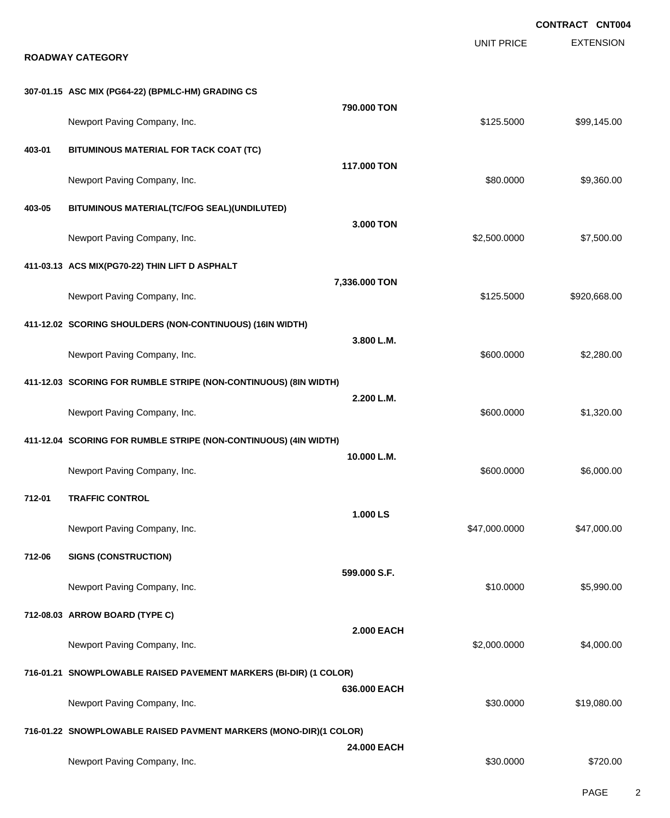EXTENSION **CONTRACT CNT004** UNIT PRICE **ROADWAY CATEGORY 307-01.15 ASC MIX (PG64-22) (BPMLC-HM) GRADING CS 790.000 TON** Newport Paving Company, Inc. 699,145.00 \$99,145.00 **403-01 BITUMINOUS MATERIAL FOR TACK COAT (TC) 117.000 TON** Newport Paving Company, Inc. 6. The Company of the Company of the Company of the Company of the State of the State of the State of the State of the State of the State of the State of the State of the State of the State of **403-05 BITUMINOUS MATERIAL(TC/FOG SEAL)(UNDILUTED) 3.000 TON** Newport Paving Company, Inc. \$2,500.0000 \$7,500.00 **411-03.13 ACS MIX(PG70-22) THIN LIFT D ASPHALT 7,336.000 TON** Newport Paving Company, Inc. 68.000 \$920,668.00 **411-12.02 SCORING SHOULDERS (NON-CONTINUOUS) (16IN WIDTH) 3.800 L.M.** Newport Paving Company, Inc. 6. The Company of the Company of the Company of the Company of the Company of the Company of the Company of the Company of the Company of the Company of the Company of the Company of the Compan **411-12.03 SCORING FOR RUMBLE STRIPE (NON-CONTINUOUS) (8IN WIDTH) 2.200 L.M.** Newport Paving Company, Inc. 6. The Company of the Company of the Company of the Company, Inc. 6. The Company of the Company of the Company of the Company of the Company of the Company of the Company of the Company of the **411-12.04 SCORING FOR RUMBLE STRIPE (NON-CONTINUOUS) (4IN WIDTH) 10.000 L.M.** Newport Paving Company, Inc. 6. 1999 19:30 19:30 19:30 19:30 19:30 19:30 19:30 19:30 19:30 19:30 19:30 19:30 19:30 19:30 19:30 19:30 19:30 19:30 19:30 19:30 19:30 19:30 19:30 19:30 19:30 19:30 19:30 19:30 19:30 19:30 19:30 **712-01 TRAFFIC CONTROL 1.000 LS** Newport Paving Company, Inc. 647,000.000 \$47,000.000 \$47,000.000 \$47,000.000 \$47,000.00 **712-06 SIGNS (CONSTRUCTION) 599.000 S.F.** Newport Paving Company, Inc. 6. The Company of the Company of the Company of the Company, Inc. \$10.0000 \$5,990.00 **712-08.03 ARROW BOARD (TYPE C) 2.000 EACH** Newport Paving Company, Inc. 6. The Company of the Company of the Company of the Company of the Company of the Company of the Company of the Company of the Company of the Company of the Company of the Company of the Compan **716-01.21 SNOWPLOWABLE RAISED PAVEMENT MARKERS (BI-DIR) (1 COLOR) 636.000 EACH** Newport Paving Company, Inc. 6. The Company of the Company of the Company of the Company of the Company of the Company of the Company of the Company of the Company of the Company of the Company of the Company of the Compan **716-01.22 SNOWPLOWABLE RAISED PAVMENT MARKERS (MONO-DIR)(1 COLOR) 24.000 EACH** Newport Paving Company, Inc. 6720.00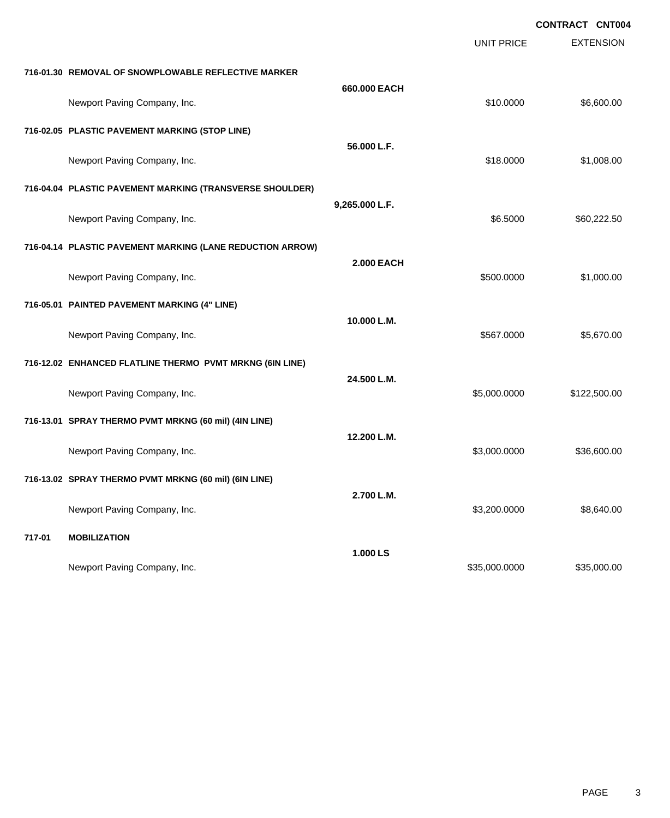|        |                                                           |                   |                   | <b>CONTRACT CNT004</b> |
|--------|-----------------------------------------------------------|-------------------|-------------------|------------------------|
|        |                                                           |                   | <b>UNIT PRICE</b> | <b>EXTENSION</b>       |
|        | 716-01.30 REMOVAL OF SNOWPLOWABLE REFLECTIVE MARKER       |                   |                   |                        |
|        | Newport Paving Company, Inc.                              | 660.000 EACH      | \$10.0000         | \$6,600.00             |
|        | 716-02.05 PLASTIC PAVEMENT MARKING (STOP LINE)            |                   |                   |                        |
|        | Newport Paving Company, Inc.                              | 56.000 L.F.       | \$18.0000         | \$1,008.00             |
|        | 716-04.04 PLASTIC PAVEMENT MARKING (TRANSVERSE SHOULDER)  |                   |                   |                        |
|        | Newport Paving Company, Inc.                              | 9,265.000 L.F.    | \$6.5000          | \$60,222.50            |
|        | 716-04.14 PLASTIC PAVEMENT MARKING (LANE REDUCTION ARROW) |                   |                   |                        |
|        | Newport Paving Company, Inc.                              | <b>2.000 EACH</b> | \$500.0000        | \$1,000.00             |
|        | 716-05.01 PAINTED PAVEMENT MARKING (4" LINE)              |                   |                   |                        |
|        | Newport Paving Company, Inc.                              | 10.000 L.M.       | \$567.0000        | \$5,670.00             |
|        | 716-12.02 ENHANCED FLATLINE THERMO PVMT MRKNG (6IN LINE)  |                   |                   |                        |
|        | Newport Paving Company, Inc.                              | 24.500 L.M.       | \$5,000.0000      | \$122,500.00           |
|        | 716-13.01 SPRAY THERMO PVMT MRKNG (60 mil) (4IN LINE)     |                   |                   |                        |
|        | Newport Paving Company, Inc.                              | 12.200 L.M.       | \$3,000.0000      | \$36,600.00            |
|        | 716-13.02 SPRAY THERMO PVMT MRKNG (60 mil) (6IN LINE)     |                   |                   |                        |
|        | Newport Paving Company, Inc.                              | 2.700 L.M.        | \$3,200.0000      | \$8,640.00             |
| 717-01 | <b>MOBILIZATION</b>                                       |                   |                   |                        |
|        | Newport Paving Company, Inc.                              | 1.000 LS          | \$35,000.0000     | \$35,000.00            |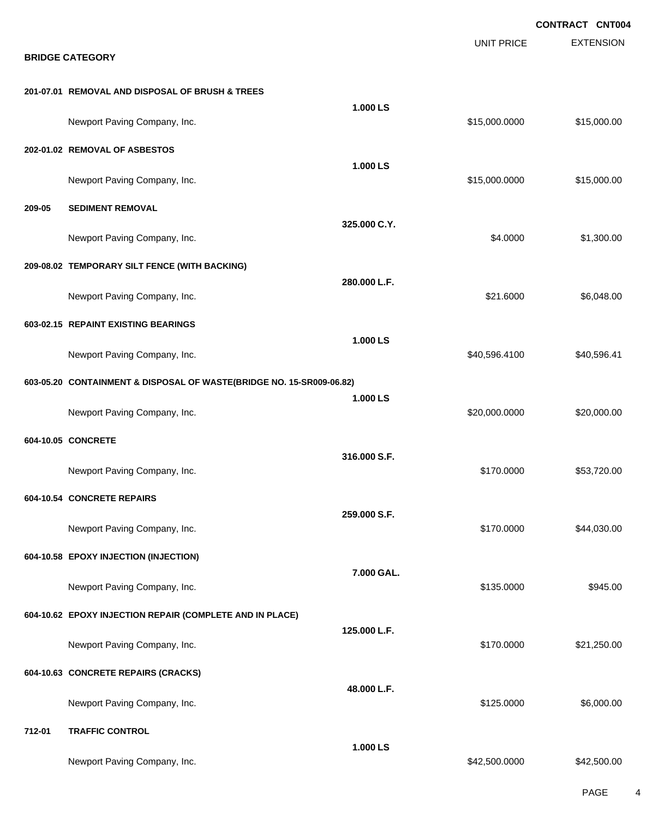|        |                                                                      |              |                   | <b>CONTRACT CNT004</b> |
|--------|----------------------------------------------------------------------|--------------|-------------------|------------------------|
|        | <b>BRIDGE CATEGORY</b>                                               |              | <b>UNIT PRICE</b> | <b>EXTENSION</b>       |
|        | 201-07.01 REMOVAL AND DISPOSAL OF BRUSH & TREES                      |              |                   |                        |
|        | Newport Paving Company, Inc.                                         | 1.000 LS     | \$15,000.0000     | \$15,000.00            |
|        | 202-01.02 REMOVAL OF ASBESTOS                                        | 1.000 LS     |                   |                        |
|        | Newport Paving Company, Inc.                                         |              | \$15,000.0000     | \$15,000.00            |
| 209-05 | <b>SEDIMENT REMOVAL</b>                                              | 325.000 C.Y. |                   |                        |
|        | Newport Paving Company, Inc.                                         |              | \$4.0000          | \$1,300.00             |
|        | 209-08.02 TEMPORARY SILT FENCE (WITH BACKING)                        | 280.000 L.F. |                   |                        |
|        | Newport Paving Company, Inc.                                         |              | \$21.6000         | \$6,048.00             |
|        | 603-02.15 REPAINT EXISTING BEARINGS                                  | 1.000 LS     |                   |                        |
|        | Newport Paving Company, Inc.                                         |              | \$40,596.4100     | \$40,596.41            |
|        | 603-05.20 CONTAINMENT & DISPOSAL OF WASTE(BRIDGE NO. 15-SR009-06.82) | 1.000 LS     |                   |                        |
|        | Newport Paving Company, Inc.                                         |              | \$20,000.0000     | \$20,000.00            |
|        | 604-10.05 CONCRETE                                                   | 316.000 S.F. |                   |                        |
|        | Newport Paving Company, Inc.                                         |              | \$170.0000        | \$53,720.00            |
|        | 604-10.54 CONCRETE REPAIRS                                           | 259.000 S.F. |                   |                        |
|        | Newport Paving Company, Inc.                                         |              | \$170.0000        | \$44,030.00            |
|        | 604-10.58 EPOXY INJECTION (INJECTION)                                | 7.000 GAL.   |                   |                        |
|        | Newport Paving Company, Inc.                                         |              | \$135.0000        | \$945.00               |
|        | 604-10.62 EPOXY INJECTION REPAIR (COMPLETE AND IN PLACE)             | 125.000 L.F. |                   |                        |
|        | Newport Paving Company, Inc.                                         |              | \$170.0000        | \$21,250.00            |
|        | 604-10.63 CONCRETE REPAIRS (CRACKS)                                  | 48.000 L.F.  |                   |                        |
|        | Newport Paving Company, Inc.                                         |              | \$125.0000        | \$6,000.00             |
| 712-01 | <b>TRAFFIC CONTROL</b>                                               | 1.000 LS     |                   |                        |
|        | Newport Paving Company, Inc.                                         |              | \$42,500.0000     | \$42,500.00            |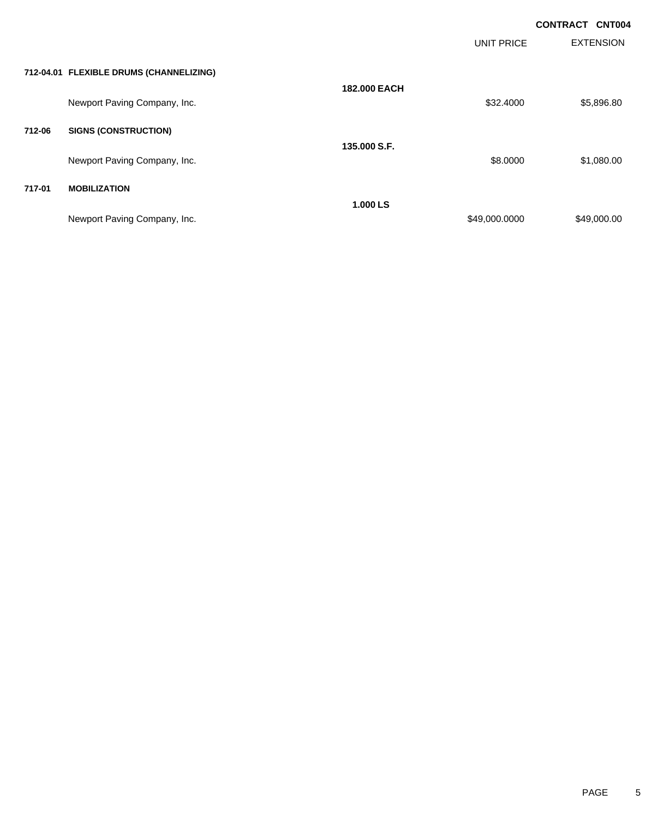|        |                                         |                     |                   | <b>CONTRACT</b><br><b>CNT004</b> |
|--------|-----------------------------------------|---------------------|-------------------|----------------------------------|
|        |                                         |                     | <b>UNIT PRICE</b> | <b>EXTENSION</b>                 |
|        | 712-04.01 FLEXIBLE DRUMS (CHANNELIZING) |                     |                   |                                  |
|        | Newport Paving Company, Inc.            | <b>182,000 EACH</b> | \$32.4000         | \$5,896.80                       |
| 712-06 | <b>SIGNS (CONSTRUCTION)</b>             |                     |                   |                                  |
|        | Newport Paving Company, Inc.            | 135,000 S.F.        | \$8.0000          | \$1,080.00                       |
| 717-01 | <b>MOBILIZATION</b>                     |                     |                   |                                  |
|        | Newport Paving Company, Inc.            | 1.000 LS            | \$49,000.0000     | \$49,000.00                      |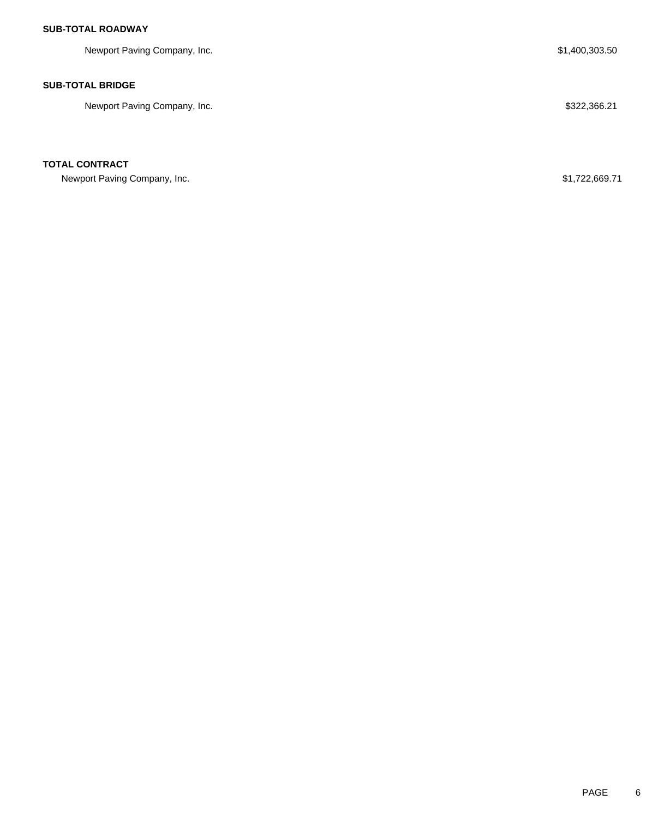## **SUB-TOTAL ROADWAY**

Newport Paving Company, Inc. 6. The Company of the Company of the Company of the Company of the Company of the Company of the Company of the Company of the Company of the Company of the Company of the Company of the Compan

## **SUB-TOTAL BRIDGE**

Newport Paving Company, Inc. 6. The Same of the Same of the Same of the Same of the Same Same Same Same Same S

### **TOTAL CONTRACT**

Newport Paving Company, Inc. 689.71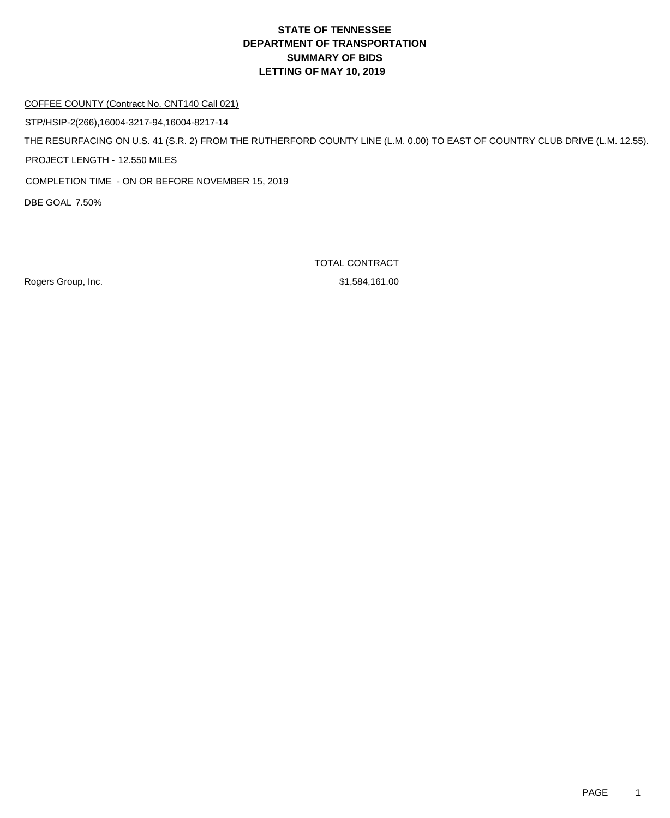#### COFFEE COUNTY (Contract No. CNT140 Call 021)

STP/HSIP-2(266),16004-3217-94,16004-8217-14

THE RESURFACING ON U.S. 41 (S.R. 2) FROM THE RUTHERFORD COUNTY LINE (L.M. 0.00) TO EAST OF COUNTRY CLUB DRIVE (L.M. 12.55).

PROJECT LENGTH - 12.550 MILES

COMPLETION TIME - ON OR BEFORE NOVEMBER 15, 2019

DBE GOAL 7.50%

Rogers Group, Inc. 6. The Second Studies of the Studies of St. 584,161.00

TOTAL CONTRACT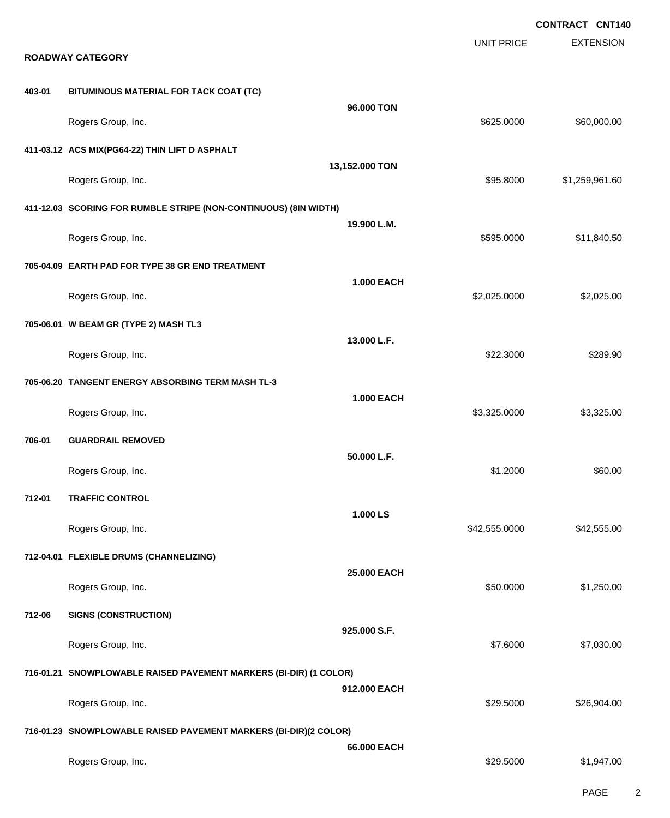| <b>ROADWAY CATEGORY</b> |                                                                   |                   | <b>UNIT PRICE</b> | <b>EXTENSION</b> |
|-------------------------|-------------------------------------------------------------------|-------------------|-------------------|------------------|
| 403-01                  | BITUMINOUS MATERIAL FOR TACK COAT (TC)                            |                   |                   |                  |
|                         | Rogers Group, Inc.                                                | 96.000 TON        | \$625.0000        | \$60,000.00      |
|                         | 411-03.12 ACS MIX(PG64-22) THIN LIFT D ASPHALT                    |                   |                   |                  |
|                         | Rogers Group, Inc.                                                | 13,152.000 TON    | \$95.8000         | \$1,259,961.60   |
|                         | 411-12.03 SCORING FOR RUMBLE STRIPE (NON-CONTINUOUS) (8IN WIDTH)  |                   |                   |                  |
|                         | Rogers Group, Inc.                                                | 19.900 L.M.       | \$595.0000        | \$11,840.50      |
|                         | 705-04.09 EARTH PAD FOR TYPE 38 GR END TREATMENT                  |                   |                   |                  |
|                         | Rogers Group, Inc.                                                | <b>1.000 EACH</b> | \$2,025.0000      | \$2,025.00       |
|                         | 705-06.01 W BEAM GR (TYPE 2) MASH TL3                             |                   |                   |                  |
|                         | Rogers Group, Inc.                                                | 13.000 L.F.       | \$22.3000         | \$289.90         |
|                         | 705-06.20 TANGENT ENERGY ABSORBING TERM MASH TL-3                 |                   |                   |                  |
|                         | Rogers Group, Inc.                                                | <b>1.000 EACH</b> | \$3,325.0000      | \$3,325.00       |
| 706-01                  | <b>GUARDRAIL REMOVED</b>                                          |                   |                   |                  |
|                         | Rogers Group, Inc.                                                | 50.000 L.F.       | \$1.2000          | \$60.00          |
| 712-01                  | <b>TRAFFIC CONTROL</b>                                            |                   |                   |                  |
|                         | Rogers Group, Inc.                                                | 1.000 LS          | \$42,555.0000     | \$42,555.00      |
|                         | 712-04.01 FLEXIBLE DRUMS (CHANNELIZING)                           |                   |                   |                  |
|                         | Rogers Group, Inc.                                                | 25.000 EACH       | \$50.0000         | \$1,250.00       |
| 712-06                  | <b>SIGNS (CONSTRUCTION)</b>                                       |                   |                   |                  |
|                         | Rogers Group, Inc.                                                | 925.000 S.F.      | \$7.6000          | \$7,030.00       |
|                         | 716-01.21 SNOWPLOWABLE RAISED PAVEMENT MARKERS (BI-DIR) (1 COLOR) |                   |                   |                  |
|                         | Rogers Group, Inc.                                                | 912.000 EACH      | \$29.5000         | \$26,904.00      |
|                         | 716-01.23 SNOWPLOWABLE RAISED PAVEMENT MARKERS (BI-DIR)(2 COLOR)  |                   |                   |                  |
|                         | Rogers Group, Inc.                                                | 66.000 EACH       | \$29.5000         | \$1,947.00       |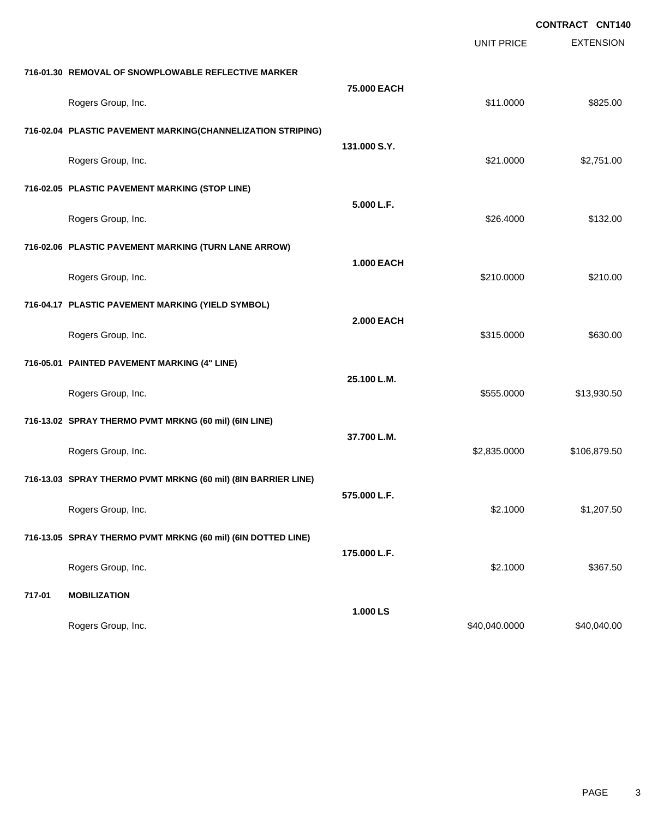|                                                               |                                                             | <b>UNIT PRICE</b> | <b>EXTENSION</b> |
|---------------------------------------------------------------|-------------------------------------------------------------|-------------------|------------------|
| 716-01.30 REMOVAL OF SNOWPLOWABLE REFLECTIVE MARKER           |                                                             |                   |                  |
| Rogers Group, Inc.                                            | 75.000 EACH                                                 | \$11.0000         | \$825.00         |
|                                                               | 716-02.04 PLASTIC PAVEMENT MARKING(CHANNELIZATION STRIPING) |                   |                  |
| Rogers Group, Inc.                                            | 131.000 S.Y.                                                | \$21.0000         | \$2,751.00       |
| 716-02.05 PLASTIC PAVEMENT MARKING (STOP LINE)                |                                                             |                   |                  |
| Rogers Group, Inc.                                            | 5.000 L.F.                                                  | \$26.4000         | \$132.00         |
| 716-02.06 PLASTIC PAVEMENT MARKING (TURN LANE ARROW)          |                                                             |                   |                  |
| Rogers Group, Inc.                                            | <b>1.000 EACH</b>                                           | \$210.0000        | \$210.00         |
| 716-04.17 PLASTIC PAVEMENT MARKING (YIELD SYMBOL)             |                                                             |                   |                  |
| Rogers Group, Inc.                                            | <b>2.000 EACH</b>                                           | \$315.0000        | \$630.00         |
| 716-05.01 PAINTED PAVEMENT MARKING (4" LINE)                  |                                                             |                   |                  |
| Rogers Group, Inc.                                            | 25.100 L.M.                                                 | \$555.0000        | \$13,930.50      |
| 716-13.02 SPRAY THERMO PVMT MRKNG (60 mil) (6IN LINE)         |                                                             |                   |                  |
| Rogers Group, Inc.                                            | 37.700 L.M.                                                 | \$2,835.0000      | \$106,879.50     |
| 716-13.03 SPRAY THERMO PVMT MRKNG (60 mil) (8IN BARRIER LINE) |                                                             |                   |                  |
| Rogers Group, Inc.                                            | 575.000 L.F.                                                | \$2.1000          | \$1,207.50       |
| 716-13.05 SPRAY THERMO PVMT MRKNG (60 mil) (6IN DOTTED LINE)  |                                                             |                   |                  |
| Rogers Group, Inc.                                            | 175.000 L.F.                                                | \$2.1000          | \$367.50         |
| 717-01<br><b>MOBILIZATION</b>                                 |                                                             |                   |                  |
| Rogers Group, Inc.                                            | 1.000 LS                                                    | \$40,040.0000     | \$40,040.00      |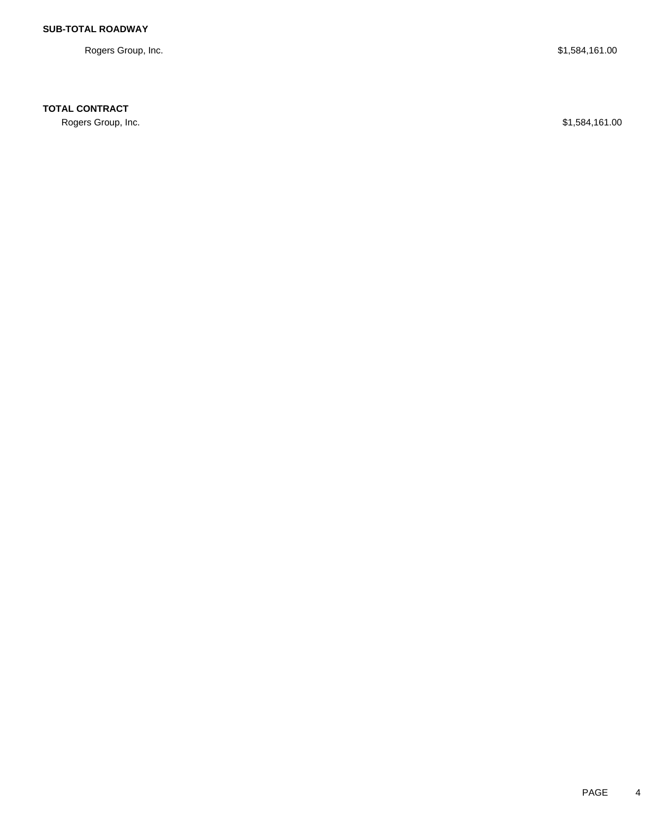Rogers Group, Inc. \$1,584,161.00

## **TOTAL CONTRACT**

Rogers Group, Inc. \$1,584,161.00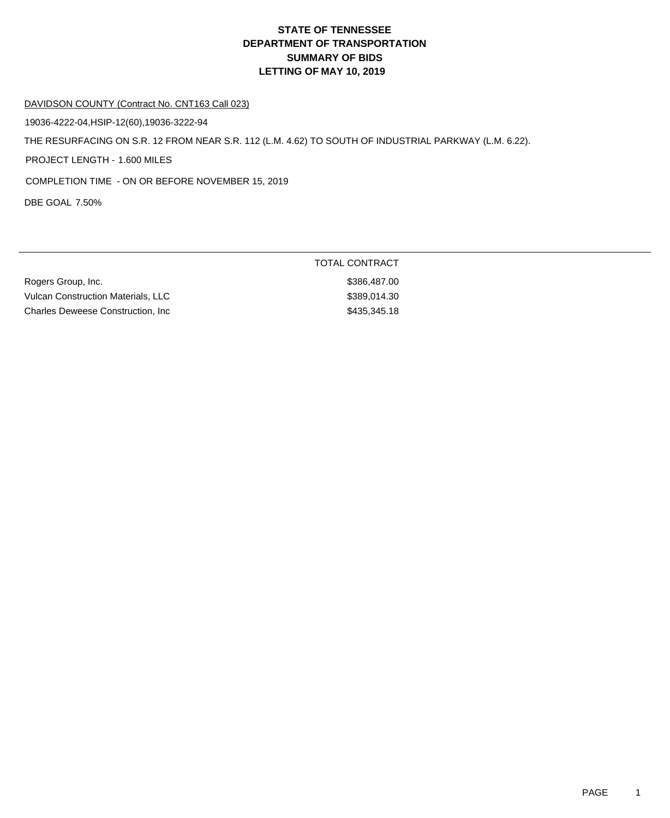#### DAVIDSON COUNTY (Contract No. CNT163 Call 023)

19036-4222-04,HSIP-12(60),19036-3222-94

THE RESURFACING ON S.R. 12 FROM NEAR S.R. 112 (L.M. 4.62) TO SOUTH OF INDUSTRIAL PARKWAY (L.M. 6.22).

PROJECT LENGTH - 1.600 MILES

COMPLETION TIME - ON OR BEFORE NOVEMBER 15, 2019

DBE GOAL 7.50%

| Rogers Group, Inc.                        | \$386,487.00 |
|-------------------------------------------|--------------|
| <b>Vulcan Construction Materials, LLC</b> | \$389,014.30 |
| <b>Charles Deweese Construction. Inc.</b> | \$435,345.18 |

### TOTAL CONTRACT

\$386,487.00  $$389,014.30$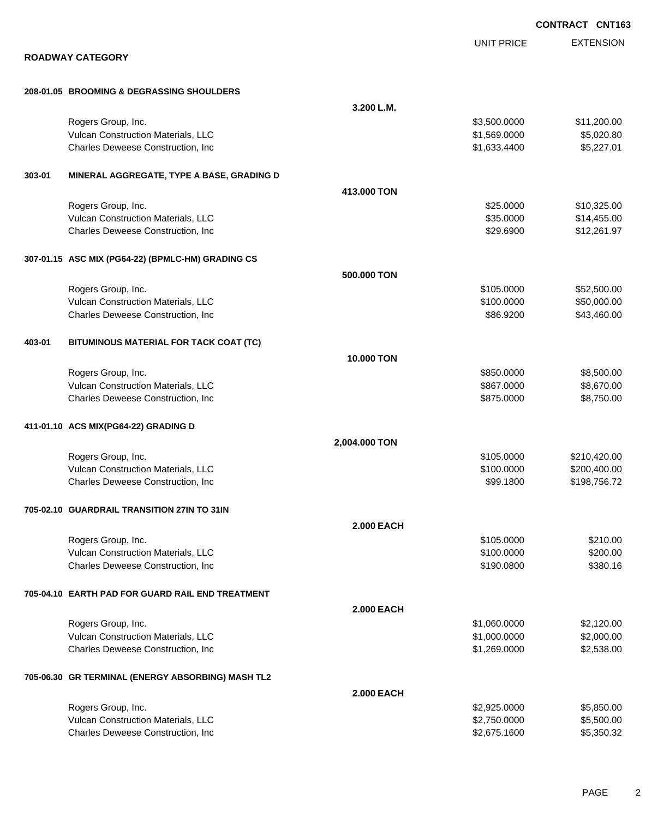|        |                                                                         |                   |                          | <b>CONTRACT CNT163</b>   |
|--------|-------------------------------------------------------------------------|-------------------|--------------------------|--------------------------|
|        |                                                                         |                   | <b>UNIT PRICE</b>        | <b>EXTENSION</b>         |
|        | <b>ROADWAY CATEGORY</b>                                                 |                   |                          |                          |
|        | 208-01.05 BROOMING & DEGRASSING SHOULDERS                               |                   |                          |                          |
|        |                                                                         | 3.200 L.M.        |                          |                          |
|        | Rogers Group, Inc.                                                      |                   | \$3,500.0000             | \$11,200.00              |
|        | Vulcan Construction Materials, LLC                                      |                   | \$1,569.0000             | \$5,020.80               |
|        | Charles Deweese Construction, Inc                                       |                   | \$1,633.4400             | \$5,227.01               |
| 303-01 | MINERAL AGGREGATE, TYPE A BASE, GRADING D                               |                   |                          |                          |
|        |                                                                         | 413.000 TON       |                          |                          |
|        | Rogers Group, Inc.                                                      |                   | \$25.0000                | \$10,325.00              |
|        | Vulcan Construction Materials, LLC                                      |                   | \$35.0000                | \$14,455.00              |
|        | Charles Deweese Construction, Inc                                       |                   | \$29.6900                | \$12,261.97              |
|        | 307-01.15 ASC MIX (PG64-22) (BPMLC-HM) GRADING CS                       |                   |                          |                          |
|        |                                                                         | 500.000 TON       |                          |                          |
|        | Rogers Group, Inc.                                                      |                   | \$105.0000               | \$52,500.00              |
|        | Vulcan Construction Materials, LLC                                      |                   | \$100.0000               | \$50,000.00              |
|        | Charles Deweese Construction, Inc                                       |                   | \$86.9200                | \$43,460.00              |
| 403-01 | BITUMINOUS MATERIAL FOR TACK COAT (TC)                                  |                   |                          |                          |
|        |                                                                         | 10.000 TON        |                          |                          |
|        | Rogers Group, Inc.                                                      |                   | \$850.0000               | \$8,500.00               |
|        | Vulcan Construction Materials, LLC<br>Charles Deweese Construction, Inc |                   | \$867.0000<br>\$875.0000 | \$8,670.00<br>\$8,750.00 |
|        |                                                                         |                   |                          |                          |
|        | 411-01.10 ACS MIX(PG64-22) GRADING D                                    | 2,004.000 TON     |                          |                          |
|        | Rogers Group, Inc.                                                      |                   | \$105.0000               | \$210,420.00             |
|        | Vulcan Construction Materials, LLC                                      |                   | \$100.0000               | \$200,400.00             |
|        | Charles Deweese Construction, Inc                                       |                   | \$99.1800                | \$198,756.72             |
|        | 705-02.10 GUARDRAIL TRANSITION 27IN TO 31IN                             |                   |                          |                          |
|        |                                                                         | <b>2.000 EACH</b> |                          |                          |
|        | Rogers Group, Inc.                                                      |                   | \$105.0000               | \$210.00                 |
|        | Vulcan Construction Materials, LLC                                      |                   | \$100.0000               | \$200.00                 |
|        | Charles Deweese Construction, Inc                                       |                   | \$190.0800               | \$380.16                 |
|        | 705-04.10 EARTH PAD FOR GUARD RAIL END TREATMENT                        |                   |                          |                          |
|        |                                                                         | <b>2.000 EACH</b> |                          |                          |
|        | Rogers Group, Inc.                                                      |                   | \$1,060.0000             | \$2,120.00               |
|        | Vulcan Construction Materials, LLC                                      |                   | \$1,000.0000             | \$2,000.00               |
|        | Charles Deweese Construction, Inc                                       |                   | \$1,269.0000             | \$2,538.00               |
|        | 705-06.30 GR TERMINAL (ENERGY ABSORBING) MASH TL2                       |                   |                          |                          |
|        |                                                                         | <b>2.000 EACH</b> |                          |                          |
|        | Rogers Group, Inc.                                                      |                   | \$2,925.0000             | \$5,850.00               |
|        | Vulcan Construction Materials, LLC                                      |                   | \$2,750.0000             | \$5,500.00               |
|        | Charles Deweese Construction, Inc                                       |                   | \$2,675.1600             | \$5,350.32               |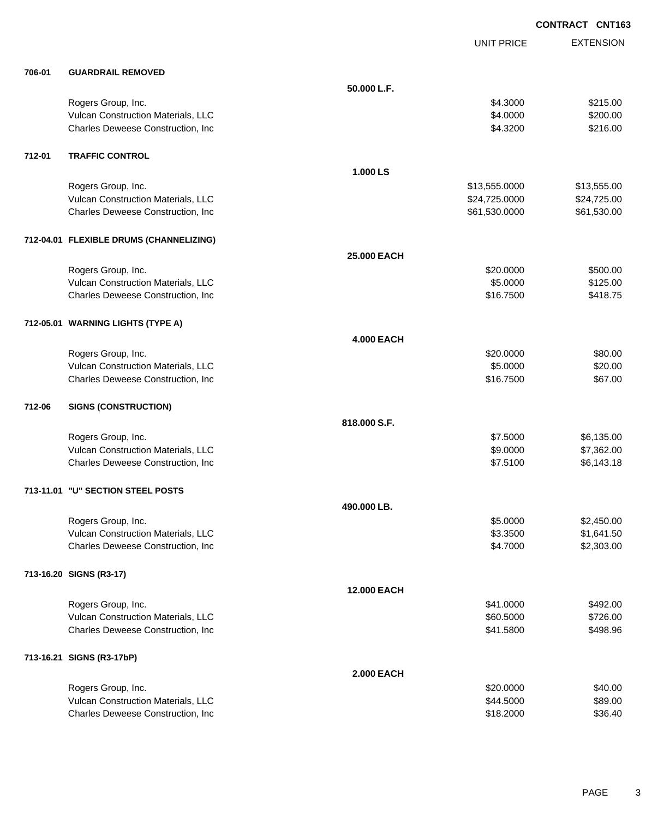|        |                                         |                    | <b>UNIT PRICE</b> | <b>EXTENSION</b> |
|--------|-----------------------------------------|--------------------|-------------------|------------------|
| 706-01 | <b>GUARDRAIL REMOVED</b>                |                    |                   |                  |
|        |                                         | 50.000 L.F.        |                   |                  |
|        | Rogers Group, Inc.                      |                    | \$4.3000          | \$215.00         |
|        | Vulcan Construction Materials, LLC      |                    | \$4.0000          | \$200.00         |
|        | Charles Deweese Construction, Inc.      |                    | \$4.3200          | \$216.00         |
| 712-01 | <b>TRAFFIC CONTROL</b>                  |                    |                   |                  |
|        |                                         | 1.000 LS           |                   |                  |
|        | Rogers Group, Inc.                      |                    | \$13,555.0000     | \$13,555.00      |
|        | Vulcan Construction Materials, LLC      |                    | \$24,725.0000     | \$24,725.00      |
|        | Charles Deweese Construction, Inc       |                    | \$61,530.0000     | \$61,530.00      |
|        | 712-04.01 FLEXIBLE DRUMS (CHANNELIZING) |                    |                   |                  |
|        |                                         | 25.000 EACH        |                   |                  |
|        | Rogers Group, Inc.                      |                    | \$20.0000         | \$500.00         |
|        | Vulcan Construction Materials, LLC      |                    | \$5.0000          | \$125.00         |
|        | Charles Deweese Construction, Inc.      |                    | \$16.7500         | \$418.75         |
|        | 712-05.01 WARNING LIGHTS (TYPE A)       |                    |                   |                  |
|        |                                         | <b>4.000 EACH</b>  |                   |                  |
|        | Rogers Group, Inc.                      |                    | \$20.0000         | \$80.00          |
|        | Vulcan Construction Materials, LLC      |                    | \$5.0000          | \$20.00          |
|        | Charles Deweese Construction, Inc.      |                    | \$16.7500         | \$67.00          |
| 712-06 | <b>SIGNS (CONSTRUCTION)</b>             |                    |                   |                  |
|        |                                         | 818.000 S.F.       |                   |                  |
|        | Rogers Group, Inc.                      |                    | \$7.5000          | \$6,135.00       |
|        | Vulcan Construction Materials, LLC      |                    | \$9.0000          | \$7,362.00       |
|        | Charles Deweese Construction, Inc.      |                    | \$7.5100          | \$6,143.18       |
|        | 713-11.01 "U" SECTION STEEL POSTS       |                    |                   |                  |
|        |                                         | 490.000 LB.        |                   |                  |
|        | Rogers Group, Inc.                      |                    | \$5.0000          | \$2,450.00       |
|        | Vulcan Construction Materials, LLC      |                    | \$3.3500          | \$1,641.50       |
|        | Charles Deweese Construction, Inc       |                    | \$4.7000          | \$2,303.00       |
|        | 713-16.20 SIGNS (R3-17)                 |                    |                   |                  |
|        |                                         | <b>12.000 EACH</b> |                   |                  |
|        | Rogers Group, Inc.                      |                    | \$41.0000         | \$492.00         |
|        | Vulcan Construction Materials, LLC      |                    | \$60.5000         | \$726.00         |
|        | Charles Deweese Construction, Inc.      |                    | \$41.5800         | \$498.96         |
|        | 713-16.21 SIGNS (R3-17bP)               |                    |                   |                  |
|        |                                         | <b>2.000 EACH</b>  |                   |                  |
|        | Rogers Group, Inc.                      |                    | \$20.0000         | \$40.00          |
|        | Vulcan Construction Materials, LLC      |                    | \$44.5000         | \$89.00          |
|        | Charles Deweese Construction, Inc       |                    | \$18.2000         | \$36.40          |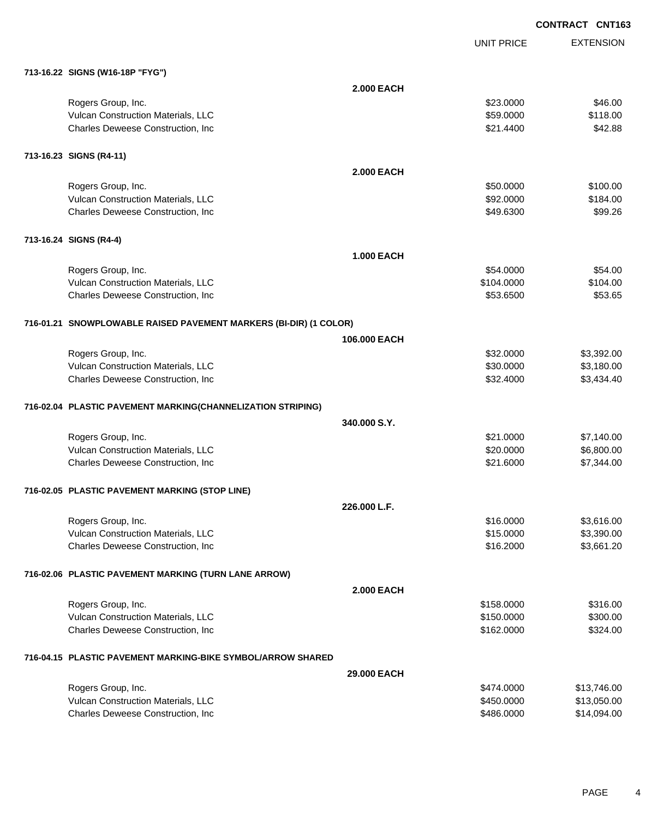EXTENSION **CONTRACT CNT163** UNIT PRICE

### **713-16.22 SIGNS (W16-18P "FYG")**

| $(13 - 10.22)$ SIGNS (WID-18P FIG)                                      |                   |                        |                      |
|-------------------------------------------------------------------------|-------------------|------------------------|----------------------|
|                                                                         | <b>2.000 EACH</b> |                        |                      |
| Rogers Group, Inc.                                                      |                   | \$23.0000              | \$46.00              |
| Vulcan Construction Materials, LLC                                      |                   | \$59.0000              | \$118.00             |
| Charles Deweese Construction, Inc                                       |                   | \$21.4400              | \$42.88              |
|                                                                         |                   |                        |                      |
| 713-16.23 SIGNS (R4-11)                                                 |                   |                        |                      |
|                                                                         | <b>2.000 EACH</b> |                        |                      |
|                                                                         |                   |                        |                      |
| Rogers Group, Inc.                                                      |                   | \$50.0000<br>\$92.0000 | \$100.00<br>\$184.00 |
| Vulcan Construction Materials, LLC<br>Charles Deweese Construction, Inc |                   | \$49.6300              | \$99.26              |
|                                                                         |                   |                        |                      |
|                                                                         |                   |                        |                      |
| 713-16.24 SIGNS (R4-4)                                                  |                   |                        |                      |
|                                                                         | <b>1.000 EACH</b> |                        |                      |
| Rogers Group, Inc.                                                      |                   | \$54.0000              | \$54.00              |
| Vulcan Construction Materials, LLC                                      |                   | \$104.0000             | \$104.00             |
| Charles Deweese Construction, Inc                                       |                   | \$53.6500              | \$53.65              |
|                                                                         |                   |                        |                      |
| 716-01.21 SNOWPLOWABLE RAISED PAVEMENT MARKERS (BI-DIR) (1 COLOR)       |                   |                        |                      |
|                                                                         | 106.000 EACH      |                        |                      |
| Rogers Group, Inc.                                                      |                   | \$32.0000              | \$3,392.00           |
| Vulcan Construction Materials, LLC                                      |                   | \$30.0000              | \$3,180.00           |
| Charles Deweese Construction, Inc                                       |                   | \$32.4000              | \$3,434.40           |
| 716-02.04 PLASTIC PAVEMENT MARKING(CHANNELIZATION STRIPING)             |                   |                        |                      |
|                                                                         | 340,000 S.Y.      |                        |                      |
| Rogers Group, Inc.                                                      |                   | \$21.0000              | \$7,140.00           |
| Vulcan Construction Materials, LLC                                      |                   | \$20.0000              | \$6,800.00           |
| Charles Deweese Construction, Inc                                       |                   | \$21.6000              | \$7,344.00           |
|                                                                         |                   |                        |                      |
| 716-02.05 PLASTIC PAVEMENT MARKING (STOP LINE)                          |                   |                        |                      |
|                                                                         | 226.000 L.F.      |                        |                      |
| Rogers Group, Inc.                                                      |                   | \$16.0000              | \$3,616.00           |
| <b>Vulcan Construction Materials, LLC</b>                               |                   | \$15.0000              | \$3,390.00           |
| Charles Deweese Construction, Inc.                                      |                   | \$16.2000              | \$3,661.20           |
|                                                                         |                   |                        |                      |
| 716-02.06 PLASTIC PAVEMENT MARKING (TURN LANE ARROW)                    |                   |                        |                      |
|                                                                         | <b>2.000 EACH</b> |                        |                      |
| Rogers Group, Inc.                                                      |                   | \$158.0000             | \$316.00             |
| Vulcan Construction Materials, LLC                                      |                   | \$150.0000             | \$300.00             |
| Charles Deweese Construction, Inc                                       |                   | \$162.0000             | \$324.00             |
| 716-04.15 PLASTIC PAVEMENT MARKING-BIKE SYMBOL/ARROW SHARED             |                   |                        |                      |
|                                                                         | 29.000 EACH       |                        |                      |
| Rogers Group, Inc.                                                      |                   | \$474.0000             | \$13,746.00          |
| Vulcan Construction Materials, LLC                                      |                   | \$450.0000             | \$13,050.00          |
| Charles Deweese Construction, Inc                                       |                   | \$486.0000             | \$14,094.00          |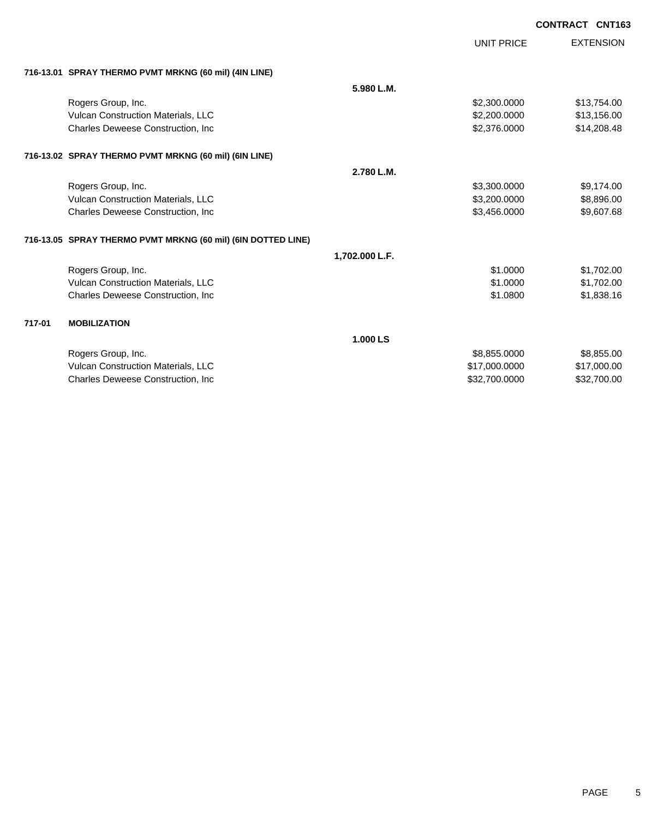|        |                                                              |                | <b>UNIT PRICE</b> | <b>EXTENSION</b> |
|--------|--------------------------------------------------------------|----------------|-------------------|------------------|
|        | 716-13.01 SPRAY THERMO PVMT MRKNG (60 mil) (4IN LINE)        |                |                   |                  |
|        |                                                              | 5.980 L.M.     |                   |                  |
|        | Rogers Group, Inc.                                           |                | \$2,300.0000      | \$13,754.00      |
|        | Vulcan Construction Materials, LLC                           |                | \$2,200.0000      | \$13,156.00      |
|        | <b>Charles Deweese Construction, Inc.</b>                    |                | \$2,376.0000      | \$14,208.48      |
|        | 716-13.02 SPRAY THERMO PVMT MRKNG (60 mil) (6IN LINE)        |                |                   |                  |
|        |                                                              | 2.780 L.M.     |                   |                  |
|        | Rogers Group, Inc.                                           |                | \$3,300.0000      | \$9,174.00       |
|        | Vulcan Construction Materials, LLC                           |                | \$3,200.0000      | \$8,896.00       |
|        | Charles Deweese Construction, Inc.                           |                | \$3,456.0000      | \$9,607.68       |
|        | 716-13.05 SPRAY THERMO PVMT MRKNG (60 mil) (6IN DOTTED LINE) |                |                   |                  |
|        |                                                              | 1,702.000 L.F. |                   |                  |
|        | Rogers Group, Inc.                                           |                | \$1.0000          | \$1,702.00       |
|        | Vulcan Construction Materials, LLC                           |                | \$1,0000          | \$1,702.00       |
|        | Charles Deweese Construction, Inc.                           |                | \$1.0800          | \$1,838.16       |
| 717-01 | <b>MOBILIZATION</b>                                          |                |                   |                  |
|        |                                                              | 1.000 LS       |                   |                  |
|        | Rogers Group, Inc.                                           |                | \$8,855.0000      | \$8,855.00       |
|        | Vulcan Construction Materials, LLC                           |                | \$17,000.0000     | \$17,000.00      |
|        | <b>Charles Deweese Construction, Inc.</b>                    |                | \$32,700,0000     | \$32,700.00      |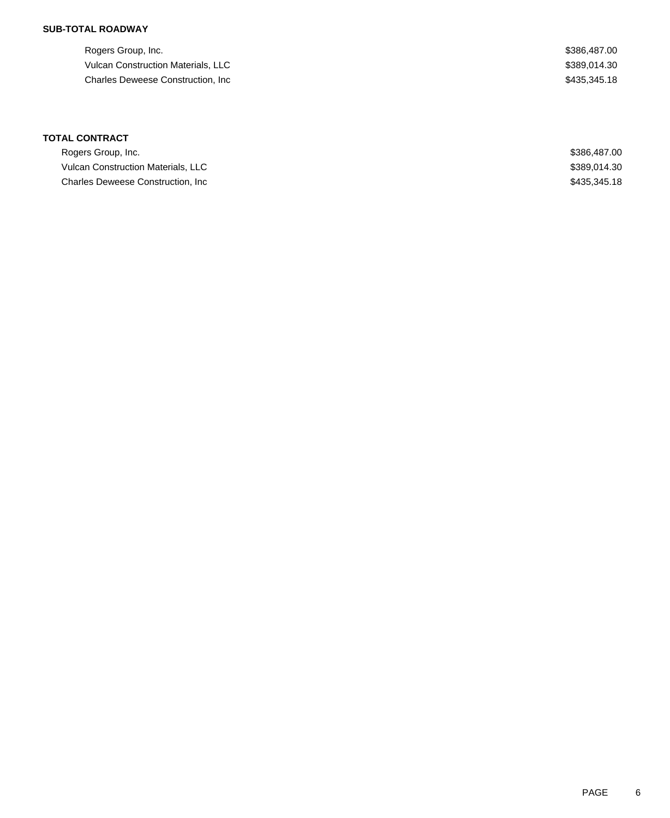## **SUB-TOTAL ROADWAY**

Rogers Group, Inc. \$386,487.00 Vulcan Construction Materials, LLC  $$389,014.30$ Charles Deweese Construction, Inc **Example 2018** 2019 12:35,345.18

## **TOTAL CONTRACT**

| Rogers Group, Inc.                 | \$386,487,00 |
|------------------------------------|--------------|
| Vulcan Construction Materials, LLC | \$389,014.30 |
| Charles Deweese Construction, Inc. | \$435,345.18 |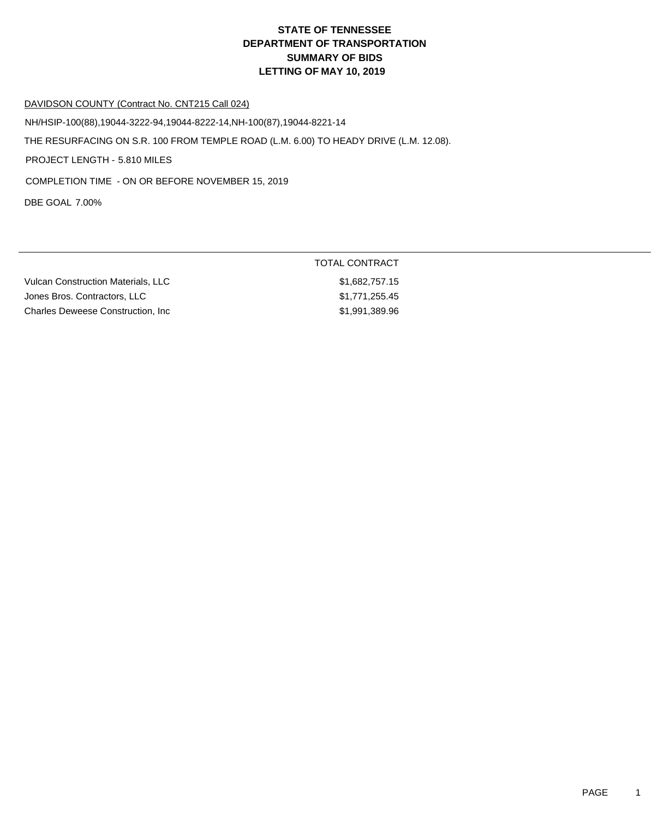#### DAVIDSON COUNTY (Contract No. CNT215 Call 024)

THE RESURFACING ON S.R. 100 FROM TEMPLE ROAD (L.M. 6.00) TO HEADY DRIVE (L.M. 12.08). PROJECT LENGTH - 5.810 MILES NH/HSIP-100(88),19044-3222-94,19044-8222-14,NH-100(87),19044-8221-14 COMPLETION TIME - ON OR BEFORE NOVEMBER 15, 2019

DBE GOAL 7.00%

| Vulcan Construction Materials. LLC | \$1,682,757.15 |
|------------------------------------|----------------|
| Jones Bros. Contractors. LLC       | \$1,771,255.45 |
| Charles Deweese Construction. Inc. | \$1,991,389,96 |

TOTAL CONTRACT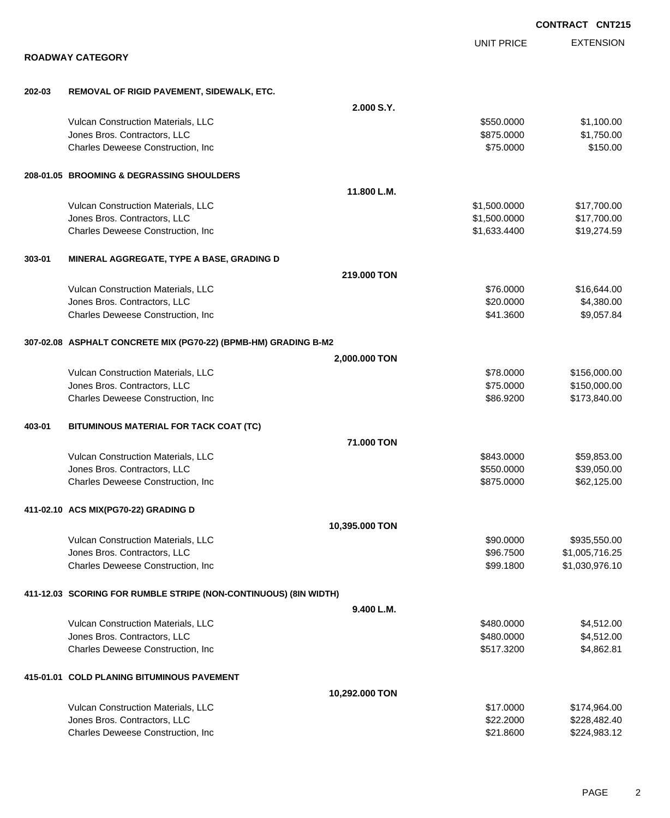|        |                                                                  |                |                   | <b>CONTRACT CNT215</b> |
|--------|------------------------------------------------------------------|----------------|-------------------|------------------------|
|        |                                                                  |                | <b>UNIT PRICE</b> | <b>EXTENSION</b>       |
|        | <b>ROADWAY CATEGORY</b>                                          |                |                   |                        |
| 202-03 | REMOVAL OF RIGID PAVEMENT, SIDEWALK, ETC.                        |                |                   |                        |
|        |                                                                  | 2.000 S.Y.     |                   |                        |
|        | Vulcan Construction Materials, LLC                               |                | \$550.0000        | \$1,100.00             |
|        | Jones Bros. Contractors, LLC                                     |                | \$875.0000        | \$1,750.00             |
|        | Charles Deweese Construction, Inc.                               |                | \$75.0000         | \$150.00               |
|        | 208-01.05 BROOMING & DEGRASSING SHOULDERS                        |                |                   |                        |
|        |                                                                  | 11.800 L.M.    |                   |                        |
|        | Vulcan Construction Materials, LLC                               |                | \$1,500.0000      | \$17,700.00            |
|        | Jones Bros. Contractors, LLC                                     |                | \$1,500.0000      | \$17,700.00            |
|        | Charles Deweese Construction, Inc                                |                | \$1,633.4400      | \$19,274.59            |
| 303-01 | MINERAL AGGREGATE, TYPE A BASE, GRADING D                        |                |                   |                        |
|        |                                                                  | 219,000 TON    |                   |                        |
|        | Vulcan Construction Materials, LLC                               |                | \$76.0000         | \$16,644.00            |
|        | Jones Bros. Contractors, LLC                                     |                | \$20.0000         | \$4,380.00             |
|        | Charles Deweese Construction, Inc.                               |                | \$41.3600         | \$9,057.84             |
|        | 307-02.08 ASPHALT CONCRETE MIX (PG70-22) (BPMB-HM) GRADING B-M2  |                |                   |                        |
|        |                                                                  | 2,000.000 TON  |                   |                        |
|        | Vulcan Construction Materials, LLC                               |                | \$78.0000         | \$156,000.00           |
|        | Jones Bros. Contractors, LLC                                     |                | \$75.0000         | \$150,000.00           |
|        | Charles Deweese Construction, Inc.                               |                | \$86.9200         | \$173,840.00           |
| 403-01 | BITUMINOUS MATERIAL FOR TACK COAT (TC)                           |                |                   |                        |
|        |                                                                  | 71.000 TON     |                   |                        |
|        | Vulcan Construction Materials, LLC                               |                | \$843,0000        | \$59,853.00            |
|        | Jones Bros. Contractors, LLC                                     |                | \$550.0000        | \$39,050.00            |
|        | Charles Deweese Construction, Inc                                |                | \$875.0000        | \$62,125.00            |
|        | 411-02.10 ACS MIX(PG70-22) GRADING D                             |                |                   |                        |
|        |                                                                  | 10,395.000 TON |                   |                        |
|        | Vulcan Construction Materials, LLC                               |                | \$90.0000         | \$935,550.00           |
|        | Jones Bros. Contractors, LLC                                     |                | \$96.7500         | \$1,005,716.25         |
|        | Charles Deweese Construction, Inc.                               |                | \$99.1800         | \$1,030,976.10         |
|        | 411-12.03 SCORING FOR RUMBLE STRIPE (NON-CONTINUOUS) (8IN WIDTH) |                |                   |                        |
|        |                                                                  | 9.400 L.M.     |                   |                        |
|        | Vulcan Construction Materials, LLC                               |                | \$480.0000        | \$4,512.00             |
|        | Jones Bros. Contractors, LLC                                     |                | \$480.0000        | \$4,512.00             |
|        | Charles Deweese Construction, Inc.                               |                | \$517.3200        | \$4,862.81             |
|        | 415-01.01 COLD PLANING BITUMINOUS PAVEMENT                       |                |                   |                        |
|        |                                                                  | 10,292.000 TON |                   |                        |
|        | Vulcan Construction Materials, LLC                               |                | \$17.0000         | \$174,964.00           |
|        | Jones Bros. Contractors, LLC                                     |                | \$22.2000         | \$228,482.40           |
|        | Charles Deweese Construction, Inc                                |                | \$21.8600         | \$224,983.12           |
|        |                                                                  |                |                   |                        |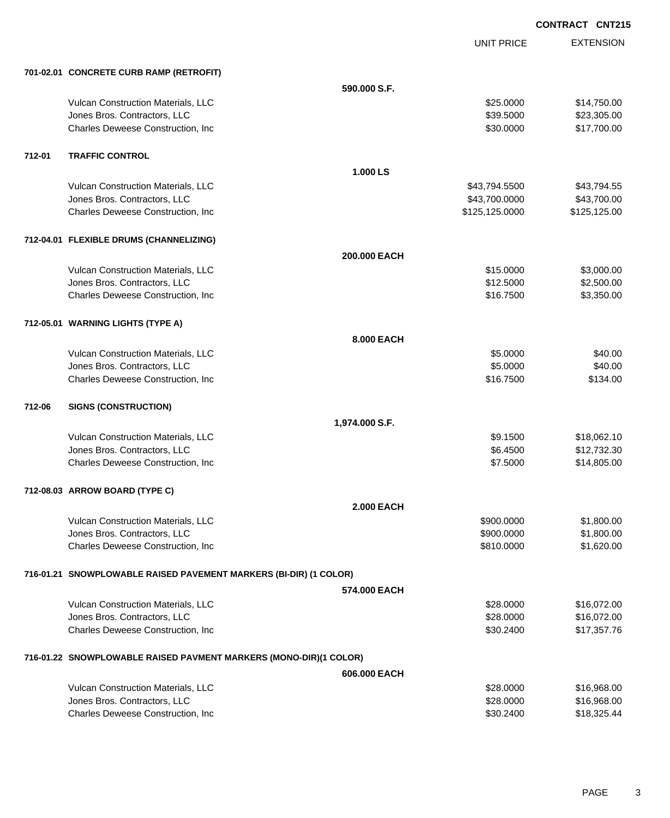|        |                                                                   |                   | <b>UNIT PRICE</b> | <b>EXTENSION</b> |
|--------|-------------------------------------------------------------------|-------------------|-------------------|------------------|
|        | 701-02.01 CONCRETE CURB RAMP (RETROFIT)                           |                   |                   |                  |
|        |                                                                   | 590.000 S.F.      |                   |                  |
|        | Vulcan Construction Materials, LLC                                |                   | \$25.0000         | \$14,750.00      |
|        | Jones Bros. Contractors, LLC                                      |                   | \$39.5000         | \$23,305.00      |
|        | Charles Deweese Construction, Inc.                                |                   | \$30.0000         | \$17,700.00      |
| 712-01 | <b>TRAFFIC CONTROL</b>                                            |                   |                   |                  |
|        |                                                                   | 1.000 LS          |                   |                  |
|        | Vulcan Construction Materials, LLC                                |                   | \$43,794.5500     | \$43,794.55      |
|        | Jones Bros. Contractors, LLC                                      |                   | \$43,700.0000     | \$43,700.00      |
|        | Charles Deweese Construction, Inc.                                |                   | \$125,125.0000    | \$125,125.00     |
|        | 712-04.01 FLEXIBLE DRUMS (CHANNELIZING)                           |                   |                   |                  |
|        |                                                                   | 200,000 EACH      |                   |                  |
|        | Vulcan Construction Materials, LLC                                |                   | \$15.0000         | \$3,000.00       |
|        | Jones Bros. Contractors, LLC                                      |                   | \$12.5000         | \$2,500.00       |
|        | Charles Deweese Construction, Inc.                                |                   | \$16.7500         | \$3,350.00       |
|        | 712-05.01 WARNING LIGHTS (TYPE A)                                 |                   |                   |                  |
|        |                                                                   | 8,000 EACH        |                   |                  |
|        | Vulcan Construction Materials, LLC                                |                   | \$5.0000          | \$40.00          |
|        | Jones Bros. Contractors, LLC                                      |                   | \$5.0000          | \$40.00          |
|        | Charles Deweese Construction, Inc.                                |                   | \$16.7500         | \$134.00         |
| 712-06 | <b>SIGNS (CONSTRUCTION)</b>                                       |                   |                   |                  |
|        |                                                                   | 1,974.000 S.F.    |                   |                  |
|        | Vulcan Construction Materials, LLC                                |                   | \$9.1500          | \$18,062.10      |
|        | Jones Bros. Contractors, LLC                                      |                   | \$6.4500          | \$12,732.30      |
|        | Charles Deweese Construction, Inc.                                |                   | \$7.5000          | \$14,805.00      |
|        | 712-08.03 ARROW BOARD (TYPE C)                                    |                   |                   |                  |
|        |                                                                   | <b>2.000 EACH</b> |                   |                  |
|        | Vulcan Construction Materials, LLC                                |                   | \$900.0000        | \$1,800.00       |
|        | Jones Bros. Contractors, LLC                                      |                   | \$900.0000        | \$1,800.00       |
|        | Charles Deweese Construction, Inc.                                |                   | \$810.0000        | \$1,620.00       |
|        | 716-01.21 SNOWPLOWABLE RAISED PAVEMENT MARKERS (BI-DIR) (1 COLOR) |                   |                   |                  |
|        |                                                                   | 574.000 EACH      |                   |                  |
|        | Vulcan Construction Materials, LLC                                |                   | \$28.0000         | \$16,072.00      |
|        | Jones Bros. Contractors, LLC                                      |                   | \$28.0000         | \$16,072.00      |
|        | Charles Deweese Construction, Inc.                                |                   | \$30.2400         | \$17,357.76      |
|        | 716-01.22 SNOWPLOWABLE RAISED PAVMENT MARKERS (MONO-DIR)(1 COLOR) |                   |                   |                  |
|        |                                                                   | 606.000 EACH      |                   |                  |
|        | Vulcan Construction Materials, LLC                                |                   | \$28.0000         | \$16,968.00      |
|        | Jones Bros. Contractors, LLC                                      |                   | \$28.0000         | \$16,968.00      |
|        | Charles Deweese Construction, Inc                                 |                   | \$30.2400         | \$18,325.44      |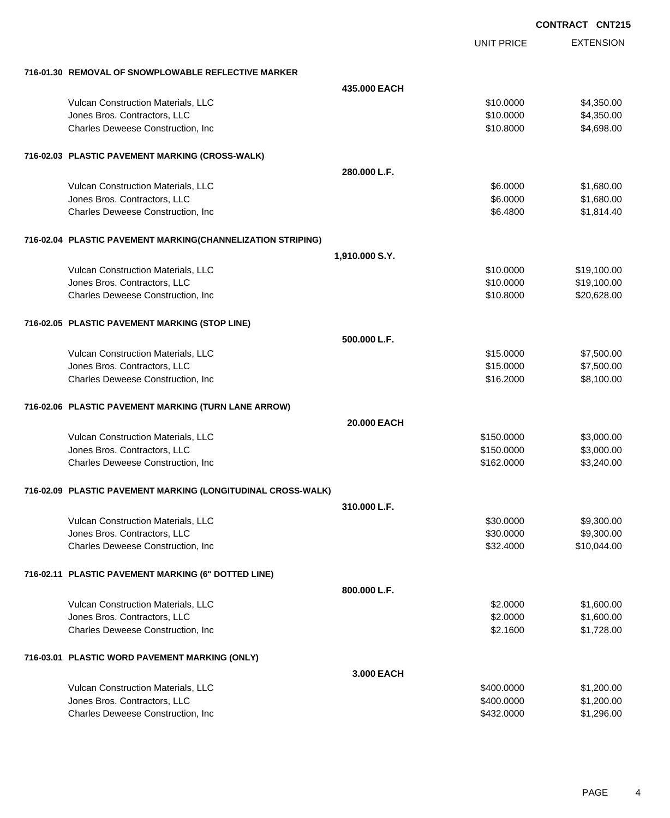| CONTRACT CNT215 |  |
|-----------------|--|
|-----------------|--|

|                                                              | <b>UNIT PRICE</b> | <b>EXTENSION</b> |
|--------------------------------------------------------------|-------------------|------------------|
| 716-01.30 REMOVAL OF SNOWPLOWABLE REFLECTIVE MARKER          |                   |                  |
| 435.000 EACH                                                 |                   |                  |
| Vulcan Construction Materials, LLC                           | \$10,0000         | \$4,350.00       |
| Jones Bros. Contractors, LLC                                 | \$10.0000         | \$4,350.00       |
| Charles Deweese Construction, Inc                            | \$10.8000         | \$4,698.00       |
| 716-02.03 PLASTIC PAVEMENT MARKING (CROSS-WALK)              |                   |                  |
| 280,000 L.F.                                                 |                   |                  |
| Vulcan Construction Materials, LLC                           | \$6.0000          | \$1,680.00       |
| Jones Bros. Contractors, LLC                                 | \$6.0000          | \$1,680.00       |
| Charles Deweese Construction, Inc                            | \$6.4800          | \$1,814.40       |
| 716-02.04 PLASTIC PAVEMENT MARKING(CHANNELIZATION STRIPING)  |                   |                  |
| 1,910.000 S.Y.                                               |                   |                  |
| Vulcan Construction Materials, LLC                           | \$10.0000         | \$19,100.00      |
| Jones Bros. Contractors, LLC                                 | \$10.0000         | \$19,100.00      |
| Charles Deweese Construction, Inc                            | \$10.8000         | \$20,628.00      |
| 716-02.05 PLASTIC PAVEMENT MARKING (STOP LINE)               |                   |                  |
| 500.000 L.F.                                                 |                   |                  |
| Vulcan Construction Materials, LLC                           | \$15.0000         | \$7,500.00       |
| Jones Bros. Contractors, LLC                                 | \$15.0000         | \$7,500.00       |
| Charles Deweese Construction, Inc                            | \$16.2000         | \$8,100.00       |
| 716-02.06 PLASTIC PAVEMENT MARKING (TURN LANE ARROW)         |                   |                  |
| 20.000 EACH                                                  |                   |                  |
| Vulcan Construction Materials, LLC                           | \$150.0000        | \$3,000.00       |
| Jones Bros. Contractors, LLC                                 | \$150.0000        | \$3,000.00       |
| Charles Deweese Construction, Inc                            | \$162.0000        | \$3,240.00       |
| 716-02.09 PLASTIC PAVEMENT MARKING (LONGITUDINAL CROSS-WALK) |                   |                  |
| 310.000 L.F.                                                 |                   |                  |
| Vulcan Construction Materials, LLC                           | \$30.0000         | \$9,300.00       |
| Jones Bros. Contractors, LLC                                 | \$30.0000         | \$9,300.00       |
| Charles Deweese Construction, Inc                            | \$32.4000         | \$10,044.00      |
| 716-02.11 PLASTIC PAVEMENT MARKING (6" DOTTED LINE)          |                   |                  |
| 800.000 L.F.                                                 |                   |                  |
| Vulcan Construction Materials, LLC                           | \$2.0000          | \$1,600.00       |
| Jones Bros. Contractors, LLC                                 | \$2.0000          | \$1,600.00       |
| Charles Deweese Construction, Inc                            | \$2.1600          | \$1,728.00       |
| 716-03.01 PLASTIC WORD PAVEMENT MARKING (ONLY)               |                   |                  |
| 3,000 EACH                                                   |                   |                  |
| Vulcan Construction Materials, LLC                           | \$400.0000        | \$1,200.00       |
| Jones Bros. Contractors, LLC                                 | \$400.0000        | \$1,200.00       |
| Charles Deweese Construction, Inc                            | \$432.0000        | \$1,296.00       |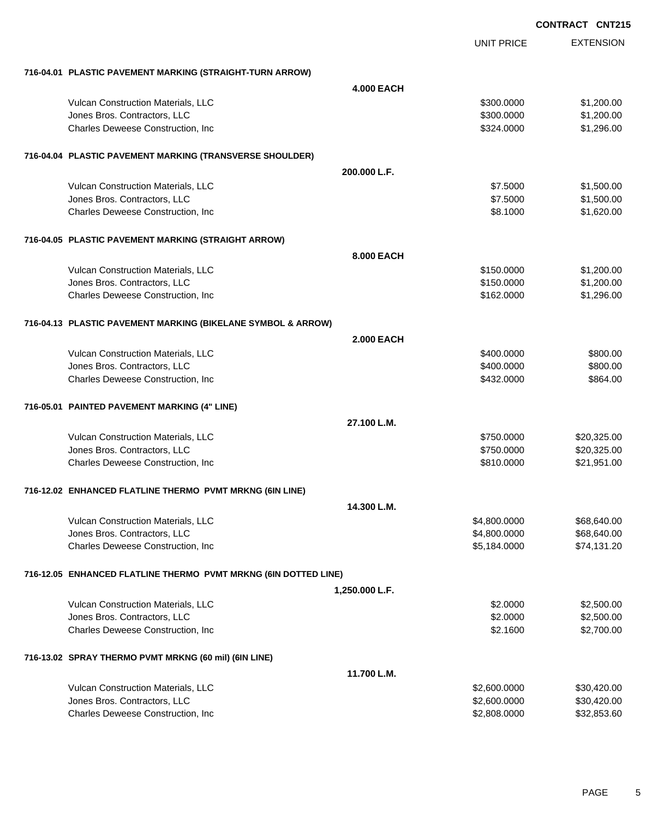|                                                                 | <b>UNIT PRICE</b> | <b>EXTENSION</b> |
|-----------------------------------------------------------------|-------------------|------------------|
| 716-04.01 PLASTIC PAVEMENT MARKING (STRAIGHT-TURN ARROW)        |                   |                  |
|                                                                 | <b>4.000 EACH</b> |                  |
| Vulcan Construction Materials, LLC                              | \$300.0000        | \$1,200.00       |
| Jones Bros. Contractors, LLC                                    | \$300.0000        | \$1,200.00       |
| Charles Deweese Construction, Inc.                              | \$324.0000        | \$1,296.00       |
| 716-04.04 PLASTIC PAVEMENT MARKING (TRANSVERSE SHOULDER)        |                   |                  |
|                                                                 | 200.000 L.F.      |                  |
| Vulcan Construction Materials, LLC                              | \$7.5000          | \$1,500.00       |
| Jones Bros. Contractors, LLC                                    | \$7.5000          | \$1,500.00       |
| Charles Deweese Construction, Inc.                              | \$8.1000          | \$1,620.00       |
| 716-04.05 PLASTIC PAVEMENT MARKING (STRAIGHT ARROW)             |                   |                  |
|                                                                 | 8.000 EACH        |                  |
| Vulcan Construction Materials, LLC                              | \$150.0000        | \$1,200.00       |
| Jones Bros. Contractors, LLC                                    | \$150.0000        | \$1,200.00       |
| Charles Deweese Construction, Inc.                              | \$162.0000        | \$1,296.00       |
| 716-04.13 PLASTIC PAVEMENT MARKING (BIKELANE SYMBOL & ARROW)    |                   |                  |
|                                                                 | <b>2.000 EACH</b> |                  |
| Vulcan Construction Materials, LLC                              | \$400.0000        | \$800.00         |
| Jones Bros. Contractors, LLC                                    | \$400.0000        | \$800.00         |
| Charles Deweese Construction, Inc.                              | \$432.0000        | \$864.00         |
| 716-05.01 PAINTED PAVEMENT MARKING (4" LINE)                    |                   |                  |
|                                                                 | 27.100 L.M.       |                  |
| Vulcan Construction Materials, LLC                              | \$750.0000        | \$20,325.00      |
| Jones Bros. Contractors, LLC                                    | \$750.0000        | \$20,325.00      |
| Charles Deweese Construction, Inc.                              | \$810.0000        | \$21,951.00      |
| 716-12.02 ENHANCED FLATLINE THERMO PVMT MRKNG (6IN LINE)        |                   |                  |
|                                                                 | 14.300 L.M.       |                  |
| Vulcan Construction Materials, LLC                              | \$4,800.0000      | \$68,640.00      |
| Jones Bros. Contractors, LLC                                    | \$4,800.0000      | \$68,640.00      |
| Charles Deweese Construction, Inc.                              | \$5,184.0000      | \$74,131.20      |
| 716-12.05 ENHANCED FLATLINE THERMO PVMT MRKNG (6IN DOTTED LINE) |                   |                  |
|                                                                 | 1,250.000 L.F.    |                  |
| Vulcan Construction Materials, LLC                              | \$2.0000          | \$2,500.00       |
| Jones Bros. Contractors, LLC                                    | \$2.0000          | \$2,500.00       |
| Charles Deweese Construction, Inc.                              | \$2.1600          | \$2,700.00       |
| 716-13.02 SPRAY THERMO PVMT MRKNG (60 mil) (6IN LINE)           |                   |                  |
|                                                                 | 11.700 L.M.       |                  |
| Vulcan Construction Materials, LLC                              | \$2,600.0000      | \$30,420.00      |
| Jones Bros. Contractors, LLC                                    | \$2,600.0000      | \$30,420.00      |
| Charles Deweese Construction, Inc                               | \$2,808.0000      | \$32,853.60      |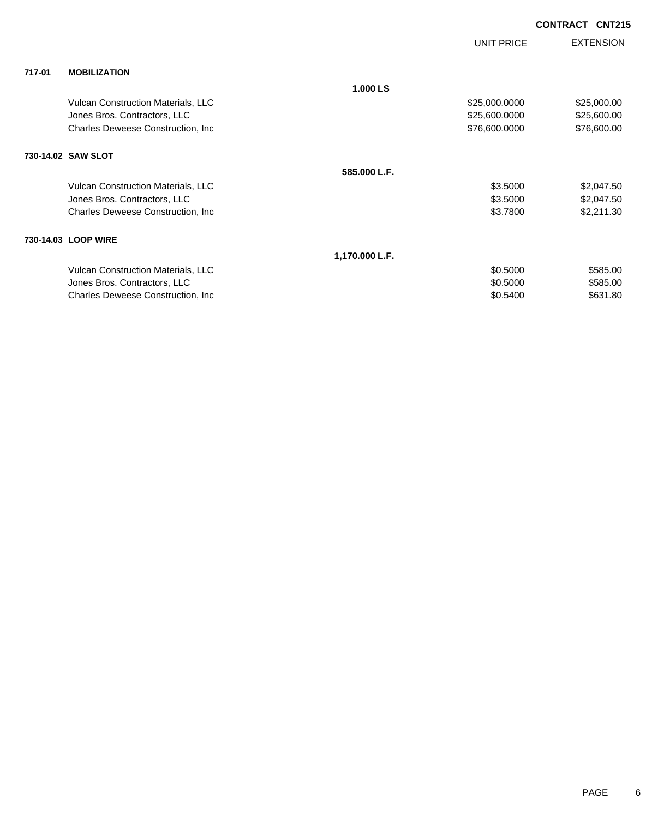|        |                                           |                | <b>UNIT PRICE</b> | <b>EXTENSION</b> |
|--------|-------------------------------------------|----------------|-------------------|------------------|
| 717-01 | <b>MOBILIZATION</b>                       |                |                   |                  |
|        |                                           | 1.000 LS       |                   |                  |
|        | <b>Vulcan Construction Materials, LLC</b> |                | \$25,000.0000     | \$25,000.00      |
|        | Jones Bros. Contractors, LLC              |                | \$25,600.0000     | \$25,600.00      |
|        | Charles Deweese Construction, Inc.        |                | \$76,600.0000     | \$76,600.00      |
|        | 730-14.02 SAW SLOT                        |                |                   |                  |
|        |                                           | 585.000 L.F.   |                   |                  |
|        | Vulcan Construction Materials, LLC        |                | \$3.5000          | \$2,047.50       |
|        | Jones Bros. Contractors, LLC              |                | \$3.5000          | \$2,047.50       |
|        | Charles Deweese Construction, Inc.        |                | \$3.7800          | \$2,211.30       |
|        | 730-14.03 LOOP WIRE                       |                |                   |                  |
|        |                                           | 1,170.000 L.F. |                   |                  |
|        | Vulcan Construction Materials, LLC        |                | \$0.5000          | \$585.00         |
|        | Jones Bros. Contractors, LLC              |                | \$0.5000          | \$585.00         |
|        | Charles Deweese Construction, Inc.        |                | \$0.5400          | \$631.80         |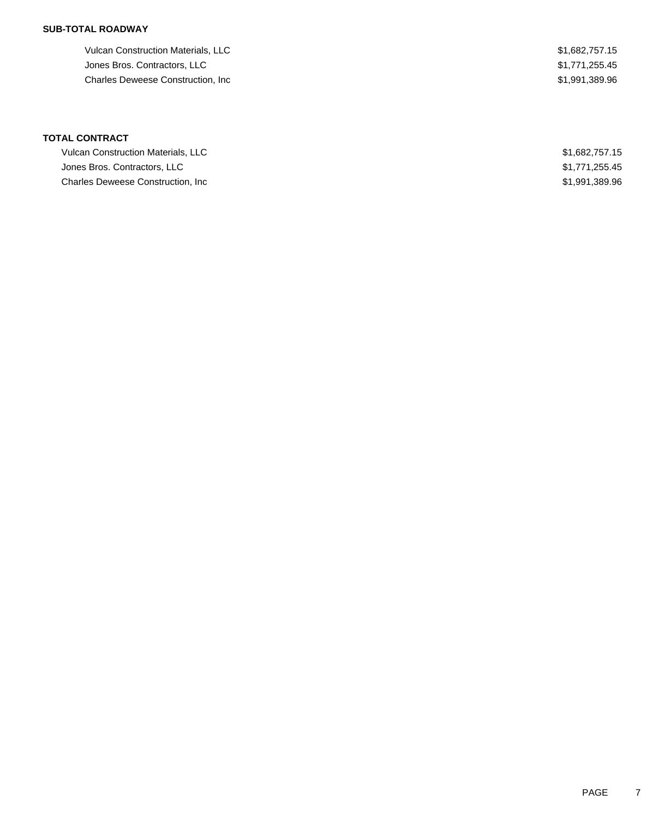### **SUB-TOTAL ROADWAY**

Vulcan Construction Materials, LLC 682,757.15 Jones Bros. Contractors, LLC  $$1,771,255.45$ Charles Deweese Construction, Inc **Example 2018** 2011 12:389.96 \$1,991,389.96

## **TOTAL CONTRACT**

| <b>Vulcan Construction Materials, LLC</b> | \$1,682,757,15 |
|-------------------------------------------|----------------|
| Jones Bros, Contractors, LLC              | \$1,771,255.45 |
| <b>Charles Deweese Construction. Inc.</b> | \$1.991.389.96 |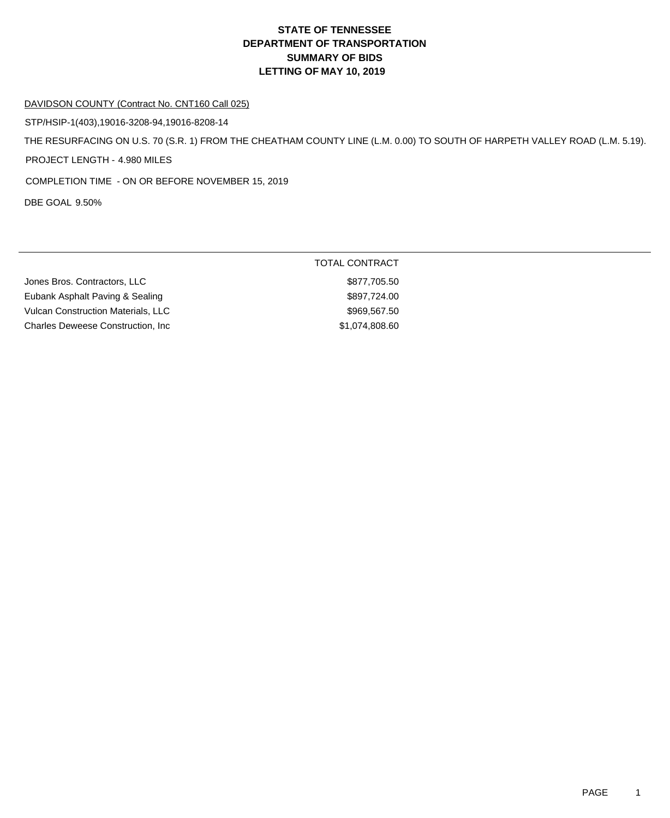#### DAVIDSON COUNTY (Contract No. CNT160 Call 025)

STP/HSIP-1(403),19016-3208-94,19016-8208-14

THE RESURFACING ON U.S. 70 (S.R. 1) FROM THE CHEATHAM COUNTY LINE (L.M. 0.00) TO SOUTH OF HARPETH VALLEY ROAD (L.M. 5.19).

PROJECT LENGTH - 4.980 MILES

COMPLETION TIME - ON OR BEFORE NOVEMBER 15, 2019

DBE GOAL 9.50%

|                                           | TOTAL CONTRACT |
|-------------------------------------------|----------------|
| Jones Bros. Contractors, LLC              | \$877,705.50   |
| Eubank Asphalt Paving & Sealing           | \$897,724.00   |
| <b>Vulcan Construction Materials, LLC</b> | \$969,567.50   |
| <b>Charles Deweese Construction, Inc.</b> | \$1,074,808.60 |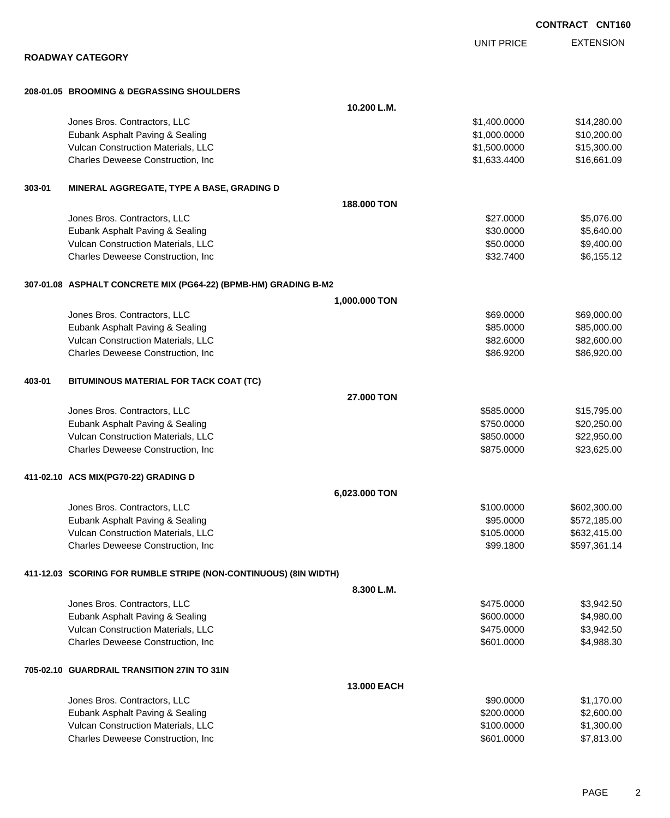|        |                                                                  |                    |                   | UUNIKAUI UNIIC   |
|--------|------------------------------------------------------------------|--------------------|-------------------|------------------|
|        |                                                                  |                    | <b>UNIT PRICE</b> | <b>EXTENSION</b> |
|        | <b>ROADWAY CATEGORY</b>                                          |                    |                   |                  |
|        | 208-01.05 BROOMING & DEGRASSING SHOULDERS                        |                    |                   |                  |
|        |                                                                  | 10.200 L.M.        |                   |                  |
|        | Jones Bros. Contractors, LLC                                     |                    | \$1,400.0000      | \$14,280.00      |
|        | Eubank Asphalt Paving & Sealing                                  |                    | \$1,000.0000      | \$10,200.00      |
|        | Vulcan Construction Materials, LLC                               |                    | \$1,500.0000      | \$15,300.00      |
|        | Charles Deweese Construction, Inc                                |                    | \$1,633.4400      | \$16,661.09      |
| 303-01 | MINERAL AGGREGATE, TYPE A BASE, GRADING D                        |                    |                   |                  |
|        |                                                                  | 188,000 TON        |                   |                  |
|        | Jones Bros. Contractors, LLC                                     |                    | \$27.0000         | \$5,076.00       |
|        | Eubank Asphalt Paving & Sealing                                  |                    | \$30.0000         | \$5,640.00       |
|        | Vulcan Construction Materials, LLC                               |                    | \$50.0000         | \$9,400.00       |
|        | Charles Deweese Construction, Inc                                |                    | \$32.7400         | \$6,155.12       |
|        | 307-01.08 ASPHALT CONCRETE MIX (PG64-22) (BPMB-HM) GRADING B-M2  |                    |                   |                  |
|        |                                                                  | 1,000.000 TON      |                   |                  |
|        | Jones Bros. Contractors, LLC                                     |                    | \$69.0000         | \$69,000.00      |
|        | Eubank Asphalt Paving & Sealing                                  |                    | \$85.0000         | \$85,000.00      |
|        | Vulcan Construction Materials, LLC                               |                    | \$82.6000         | \$82,600.00      |
|        | Charles Deweese Construction, Inc                                |                    | \$86.9200         | \$86,920.00      |
| 403-01 | BITUMINOUS MATERIAL FOR TACK COAT (TC)                           |                    |                   |                  |
|        |                                                                  | 27.000 TON         |                   |                  |
|        | Jones Bros. Contractors, LLC                                     |                    | \$585.0000        | \$15,795.00      |
|        | Eubank Asphalt Paving & Sealing                                  |                    | \$750.0000        | \$20,250.00      |
|        | Vulcan Construction Materials, LLC                               |                    | \$850.0000        | \$22,950.00      |
|        | Charles Deweese Construction, Inc                                |                    | \$875.0000        | \$23,625.00      |
|        | 411-02.10 ACS MIX(PG70-22) GRADING D                             |                    |                   |                  |
|        |                                                                  | 6,023.000 TON      |                   |                  |
|        | Jones Bros. Contractors, LLC                                     |                    | \$100.0000        | \$602,300.00     |
|        | Eubank Asphalt Paving & Sealing                                  |                    | \$95.0000         | \$572,185.00     |
|        | Vulcan Construction Materials, LLC                               |                    | \$105.0000        | \$632,415.00     |
|        | Charles Deweese Construction, Inc                                |                    | \$99.1800         | \$597,361.14     |
|        | 411-12.03 SCORING FOR RUMBLE STRIPE (NON-CONTINUOUS) (8IN WIDTH) |                    |                   |                  |
|        |                                                                  | 8.300 L.M.         |                   |                  |
|        | Jones Bros. Contractors, LLC                                     |                    | \$475.0000        | \$3,942.50       |
|        | Eubank Asphalt Paving & Sealing                                  |                    | \$600.0000        | \$4,980.00       |
|        | Vulcan Construction Materials, LLC                               |                    | \$475.0000        | \$3,942.50       |
|        | Charles Deweese Construction, Inc                                |                    | \$601.0000        | \$4,988.30       |
|        | 705-02.10 GUARDRAIL TRANSITION 27IN TO 31IN                      |                    |                   |                  |
|        |                                                                  | <b>13,000 EACH</b> |                   |                  |
|        | Jones Bros. Contractors, LLC                                     |                    | \$90.0000         | \$1,170.00       |
|        | Eubank Asphalt Paving & Sealing                                  |                    | \$200.0000        | \$2,600.00       |
|        | Vulcan Construction Materials, LLC                               |                    | \$100.0000        | \$1,300.00       |
|        | Charles Deweese Construction, Inc                                |                    | \$601.0000        | \$7,813.00       |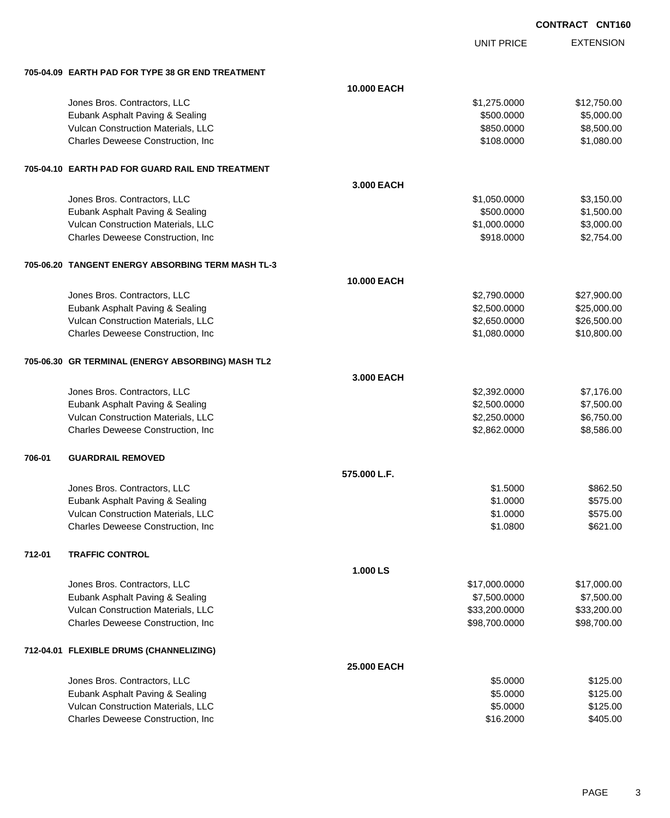|                 | <b>CNT160</b> |
|-----------------|---------------|
| <b>CONTRACT</b> |               |
|                 |               |

|                                                   |                    | <b>CONTRACT CNT160</b> |                  |
|---------------------------------------------------|--------------------|------------------------|------------------|
|                                                   |                    | <b>UNIT PRICE</b>      | <b>EXTENSION</b> |
| 705-04.09 EARTH PAD FOR TYPE 38 GR END TREATMENT  |                    |                        |                  |
|                                                   | <b>10.000 EACH</b> |                        |                  |
| Jones Bros. Contractors, LLC                      |                    | \$1,275.0000           | \$12,750.00      |
| Eubank Asphalt Paving & Sealing                   |                    | \$500.0000             | \$5,000.00       |
| Vulcan Construction Materials, LLC                |                    | \$850.0000             | \$8,500.00       |
| Charles Deweese Construction, Inc.                |                    | \$108.0000             | \$1,080.00       |
| 705-04.10 EARTH PAD FOR GUARD RAIL END TREATMENT  |                    |                        |                  |
|                                                   | 3.000 EACH         |                        |                  |
| Jones Bros. Contractors, LLC                      |                    | \$1,050.0000           | \$3,150.00       |
| Eubank Asphalt Paving & Sealing                   |                    | \$500.0000             | \$1,500.00       |
| Vulcan Construction Materials, LLC                |                    | \$1,000.0000           | \$3,000.00       |
| Charles Deweese Construction, Inc.                |                    | \$918.0000             | \$2,754.00       |
| 705-06.20 TANGENT ENERGY ABSORBING TERM MASH TL-3 |                    |                        |                  |
|                                                   | <b>10.000 EACH</b> |                        |                  |
| Jones Bros. Contractors, LLC                      |                    | \$2,790.0000           | \$27,900.00      |
| Eubank Asphalt Paving & Sealing                   |                    | \$2,500.0000           | \$25,000.00      |
| Vulcan Construction Materials, LLC                |                    | \$2,650.0000           | \$26,500.00      |
| Charles Deweese Construction, Inc                 |                    | \$1,080.0000           | \$10,800.00      |
| 705-06.30 GR TERMINAL (ENERGY ABSORBING) MASH TL2 |                    |                        |                  |
|                                                   | 3.000 EACH         |                        |                  |
| Jones Bros. Contractors, LLC                      |                    | \$2,392.0000           | \$7,176.00       |
| Eubank Asphalt Paving & Sealing                   |                    | \$2,500.0000           | \$7,500.00       |
| Vulcan Construction Materials, LLC                |                    | \$2,250.0000           | \$6,750.00       |
| Charles Deweese Construction, Inc.                |                    | \$2,862.0000           | \$8,586.00       |
| <b>GUARDRAIL REMOVED</b><br>706-01                |                    |                        |                  |
|                                                   | 575.000 L.F.       |                        |                  |
| Jones Bros. Contractors, LLC                      |                    | \$1.5000               | \$862.50         |
| Eubank Asphalt Paving & Sealing                   |                    | \$1.0000               | \$575.00         |
| Vulcan Construction Materials, LLC                |                    | \$1.0000               | \$575.00         |
| Charles Deweese Construction, Inc.                |                    | \$1.0800               | \$621.00         |
| 712-01<br><b>TRAFFIC CONTROL</b>                  |                    |                        |                  |
|                                                   | 1.000 LS           |                        |                  |
| Jones Bros. Contractors, LLC                      |                    | \$17,000.0000          | \$17,000.00      |
| Eubank Asphalt Paving & Sealing                   |                    | \$7,500.0000           | \$7,500.00       |
| Vulcan Construction Materials, LLC                |                    | \$33,200.0000          | \$33,200.00      |
| Charles Deweese Construction, Inc.                |                    | \$98,700.0000          | \$98,700.00      |
| 712-04.01 FLEXIBLE DRUMS (CHANNELIZING)           |                    |                        |                  |
|                                                   | 25.000 EACH        |                        |                  |
| Jones Bros. Contractors, LLC                      |                    | \$5.0000               | \$125.00         |
| Eubank Asphalt Paving & Sealing                   |                    | \$5.0000               | \$125.00         |
| Vulcan Construction Materials, LLC                |                    | \$5.0000               | \$125.00         |
| Charles Deweese Construction, Inc                 |                    | \$16.2000              | \$405.00         |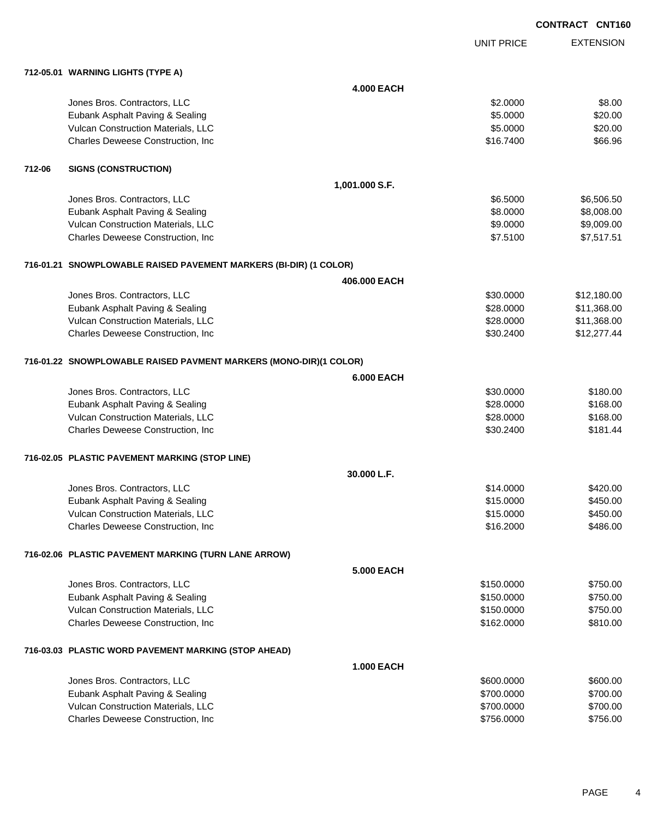|        |                                                                   |                   |                   | <b>CONTRACT CNT160</b> |
|--------|-------------------------------------------------------------------|-------------------|-------------------|------------------------|
|        |                                                                   |                   | <b>UNIT PRICE</b> | <b>EXTENSION</b>       |
|        | 712-05.01 WARNING LIGHTS (TYPE A)                                 |                   |                   |                        |
|        |                                                                   | <b>4.000 EACH</b> |                   |                        |
|        | Jones Bros. Contractors, LLC                                      |                   | \$2.0000          | \$8.00                 |
|        | Eubank Asphalt Paving & Sealing                                   |                   | \$5.0000          | \$20.00                |
|        | Vulcan Construction Materials, LLC                                |                   | \$5.0000          | \$20.00                |
|        | Charles Deweese Construction, Inc.                                |                   | \$16.7400         | \$66.96                |
| 712-06 | <b>SIGNS (CONSTRUCTION)</b>                                       |                   |                   |                        |
|        |                                                                   | 1,001.000 S.F.    |                   |                        |
|        | Jones Bros. Contractors, LLC                                      |                   | \$6.5000          | \$6,506.50             |
|        | Eubank Asphalt Paving & Sealing                                   |                   | \$8.0000          | \$8,008.00             |
|        | Vulcan Construction Materials, LLC                                |                   | \$9.0000          | \$9,009.00             |
|        | Charles Deweese Construction, Inc.                                |                   | \$7.5100          | \$7,517.51             |
|        | 716-01.21 SNOWPLOWABLE RAISED PAVEMENT MARKERS (BI-DIR) (1 COLOR) |                   |                   |                        |
|        |                                                                   | 406,000 EACH      |                   |                        |
|        | Jones Bros. Contractors, LLC                                      |                   | \$30.0000         | \$12,180.00            |
|        | Eubank Asphalt Paving & Sealing                                   |                   | \$28.0000         | \$11,368.00            |
|        | Vulcan Construction Materials, LLC                                |                   | \$28.0000         | \$11,368.00            |
|        | Charles Deweese Construction, Inc                                 |                   | \$30.2400         | \$12,277.44            |
|        | 716-01.22 SNOWPLOWABLE RAISED PAVMENT MARKERS (MONO-DIR)(1 COLOR) |                   |                   |                        |
|        |                                                                   | <b>6.000 EACH</b> |                   |                        |
|        | Jones Bros. Contractors, LLC                                      |                   | \$30.0000         | \$180.00               |
|        | Eubank Asphalt Paving & Sealing                                   |                   | \$28.0000         | \$168.00               |
|        | Vulcan Construction Materials, LLC                                |                   | \$28.0000         | \$168.00               |
|        | Charles Deweese Construction, Inc.                                |                   | \$30.2400         | \$181.44               |
|        | 716-02.05 PLASTIC PAVEMENT MARKING (STOP LINE)                    |                   |                   |                        |
|        |                                                                   | 30.000 L.F.       |                   |                        |
|        | Jones Bros. Contractors, LLC                                      |                   | \$14.0000         | \$420.00               |
|        | Eubank Asphalt Paving & Sealing                                   |                   | \$15.0000         | \$450.00               |
|        | Vulcan Construction Materials, LLC                                |                   | \$15.0000         | \$450.00               |
|        | Charles Deweese Construction, Inc.                                |                   | \$16.2000         | \$486.00               |
|        | 716-02.06 PLASTIC PAVEMENT MARKING (TURN LANE ARROW)              |                   |                   |                        |
|        |                                                                   | <b>5.000 EACH</b> |                   |                        |
|        | Jones Bros. Contractors, LLC                                      |                   | \$150.0000        | \$750.00               |
|        | Eubank Asphalt Paving & Sealing                                   |                   | \$150.0000        | \$750.00               |
|        | Vulcan Construction Materials, LLC                                |                   | \$150.0000        | \$750.00               |
|        | Charles Deweese Construction, Inc.                                |                   | \$162.0000        | \$810.00               |
|        | 716-03.03 PLASTIC WORD PAVEMENT MARKING (STOP AHEAD)              |                   |                   |                        |
|        |                                                                   | <b>1.000 EACH</b> |                   |                        |
|        | Jones Bros. Contractors, LLC                                      |                   | \$600.0000        | \$600.00               |
|        | Eubank Asphalt Paving & Sealing                                   |                   | \$700.0000        | \$700.00               |
|        | Vulcan Construction Materials, LLC                                |                   | \$700.0000        | \$700.00               |
|        | Charles Deweese Construction, Inc                                 |                   | \$756.0000        | \$756.00               |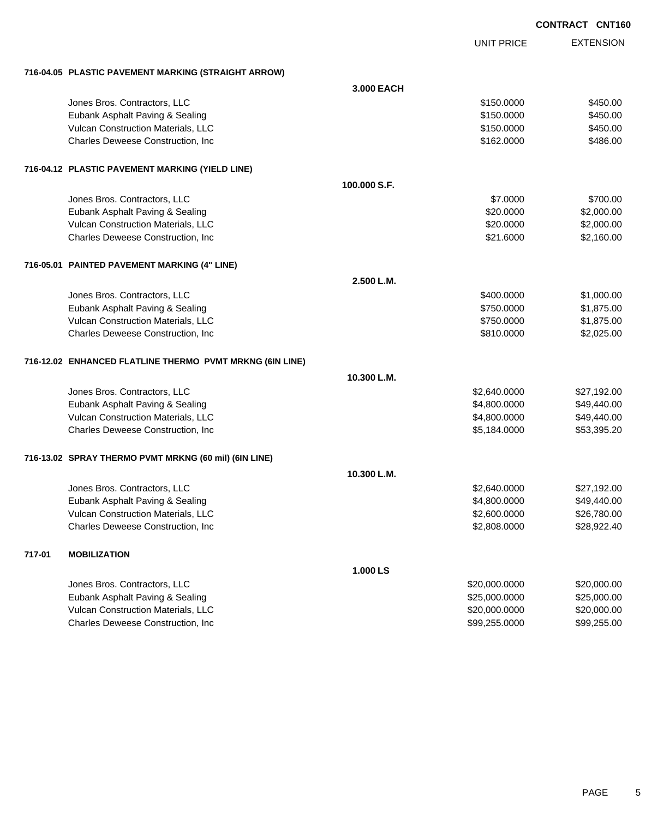|        |                                                          |              |                   | <b>CONTRACT CNT160</b> |
|--------|----------------------------------------------------------|--------------|-------------------|------------------------|
|        |                                                          |              | <b>UNIT PRICE</b> | <b>EXTENSION</b>       |
|        | 716-04.05 PLASTIC PAVEMENT MARKING (STRAIGHT ARROW)      |              |                   |                        |
|        |                                                          | 3.000 EACH   |                   |                        |
|        | Jones Bros. Contractors, LLC                             |              | \$150.0000        | \$450.00               |
|        | Eubank Asphalt Paving & Sealing                          |              | \$150.0000        | \$450.00               |
|        | Vulcan Construction Materials, LLC                       |              | \$150.0000        | \$450.00               |
|        | Charles Deweese Construction, Inc.                       |              | \$162.0000        | \$486.00               |
|        | 716-04.12 PLASTIC PAVEMENT MARKING (YIELD LINE)          |              |                   |                        |
|        |                                                          | 100.000 S.F. |                   |                        |
|        | Jones Bros. Contractors, LLC                             |              | \$7.0000          | \$700.00               |
|        | Eubank Asphalt Paving & Sealing                          |              | \$20.0000         | \$2,000.00             |
|        | Vulcan Construction Materials, LLC                       |              | \$20.0000         | \$2,000.00             |
|        | Charles Deweese Construction, Inc.                       |              | \$21.6000         | \$2,160.00             |
|        | 716-05.01 PAINTED PAVEMENT MARKING (4" LINE)             |              |                   |                        |
|        |                                                          | 2.500 L.M.   |                   |                        |
|        | Jones Bros. Contractors, LLC                             |              | \$400.0000        | \$1,000.00             |
|        | Eubank Asphalt Paving & Sealing                          |              | \$750.0000        | \$1,875.00             |
|        | Vulcan Construction Materials, LLC                       |              | \$750.0000        | \$1,875.00             |
|        | Charles Deweese Construction, Inc.                       |              | \$810.0000        | \$2,025.00             |
|        | 716-12.02 ENHANCED FLATLINE THERMO PVMT MRKNG (6IN LINE) |              |                   |                        |
|        |                                                          | 10.300 L.M.  |                   |                        |
|        | Jones Bros. Contractors, LLC                             |              | \$2,640.0000      | \$27,192.00            |
|        | Eubank Asphalt Paving & Sealing                          |              | \$4,800.0000      | \$49,440.00            |
|        | Vulcan Construction Materials, LLC                       |              | \$4,800.0000      | \$49,440.00            |
|        | Charles Deweese Construction, Inc.                       |              | \$5,184.0000      | \$53,395.20            |
|        | 716-13.02 SPRAY THERMO PVMT MRKNG (60 mil) (6IN LINE)    |              |                   |                        |
|        |                                                          | 10.300 L.M.  |                   |                        |
|        | Jones Bros. Contractors, LLC                             |              | \$2,640.0000      | \$27,192.00            |
|        | Eubank Asphalt Paving & Sealing                          |              | \$4,800.0000      | \$49,440.00            |
|        | Vulcan Construction Materials, LLC                       |              | \$2,600.0000      | \$26,780.00            |
|        | Charles Deweese Construction, Inc.                       |              | \$2,808.0000      | \$28,922.40            |
| 717-01 | <b>MOBILIZATION</b>                                      |              |                   |                        |
|        |                                                          | 1.000 LS     |                   |                        |
|        | Jones Bros. Contractors, LLC                             |              | \$20,000.0000     | \$20,000.00            |
|        | Eubank Asphalt Paving & Sealing                          |              | \$25,000.0000     | \$25,000.00            |
|        | Vulcan Construction Materials, LLC                       |              | \$20,000.0000     | \$20,000.00            |

Charles Deweese Construction, Inc **Charles Deweese Construction, Inc** 699,255.0000 \$99,255.0000 \$99,255.000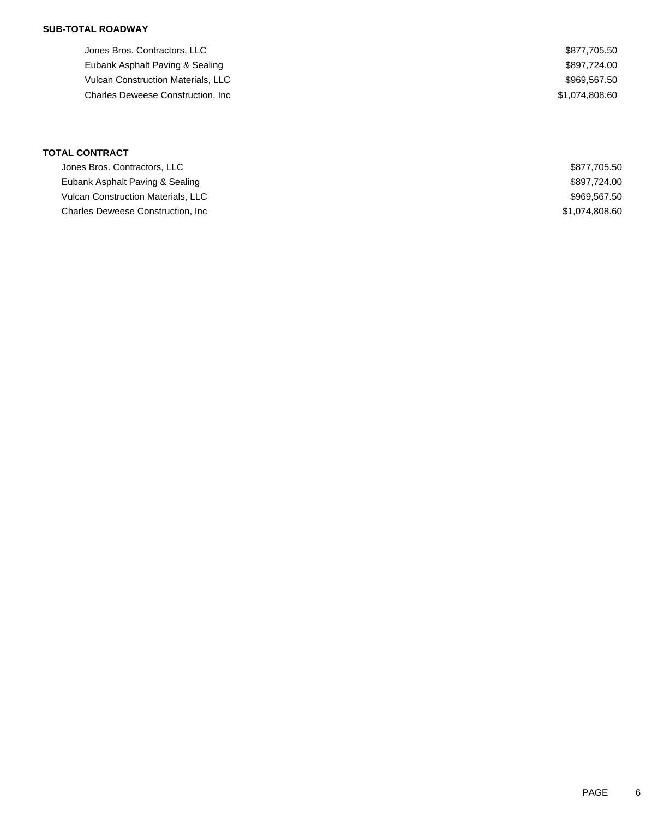Jones Bros. Contractors, LLC \$877,705.50 Eubank Asphalt Paving & Sealing  $$897,724.00$ Vulcan Construction Materials, LLC  $$969,567.50$ Charles Deweese Construction, Inc 600 and the Charles Construction, Inc 61,074,808.60

| <b>TOTAL CONTRACT</b>                     |                |  |  |  |
|-------------------------------------------|----------------|--|--|--|
| Jones Bros. Contractors, LLC              | \$877,705.50   |  |  |  |
| Eubank Asphalt Paving & Sealing           | \$897.724.00   |  |  |  |
| <b>Vulcan Construction Materials, LLC</b> | \$969,567.50   |  |  |  |
| <b>Charles Deweese Construction, Inc.</b> | \$1,074,808.60 |  |  |  |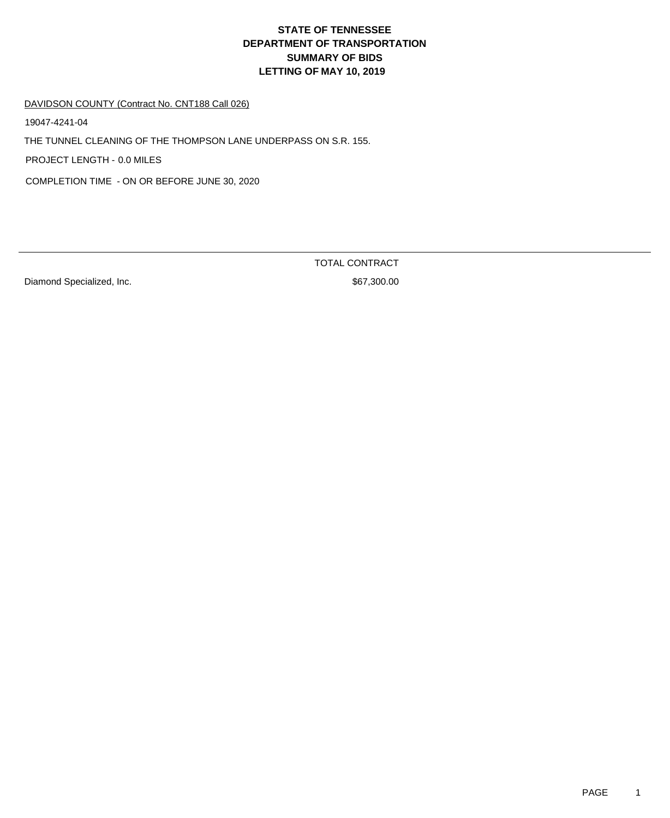# DAVIDSON COUNTY (Contract No. CNT188 Call 026)

19047-4241-04

THE TUNNEL CLEANING OF THE THOMPSON LANE UNDERPASS ON S.R. 155.

PROJECT LENGTH - 0.0 MILES

COMPLETION TIME - ON OR BEFORE JUNE 30, 2020

Diamond Specialized, Inc. 6. The Second Specialized and Second Specialized, Inc.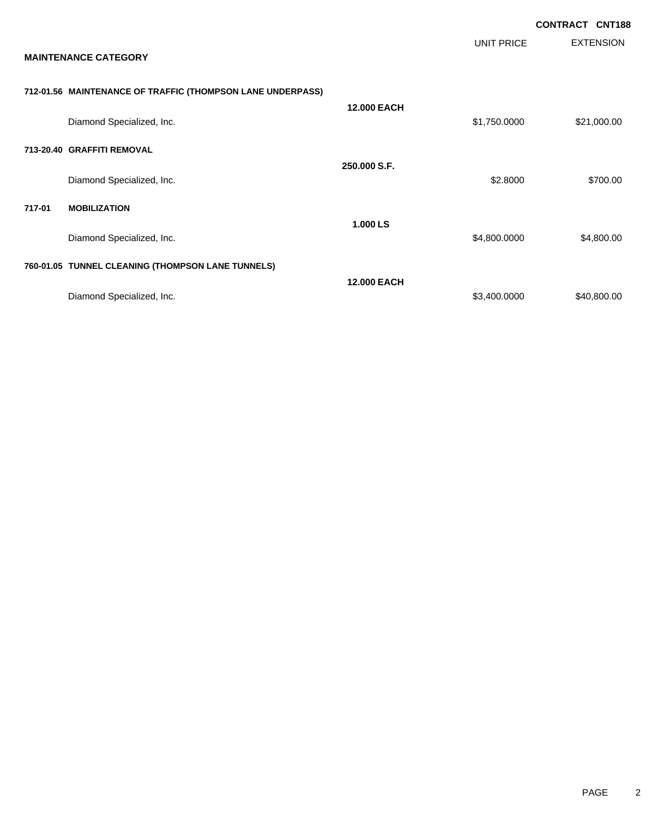|        |                                                            |                    |                   | <b>CONTRACT CNT188</b> |
|--------|------------------------------------------------------------|--------------------|-------------------|------------------------|
|        | <b>MAINTENANCE CATEGORY</b>                                |                    | <b>UNIT PRICE</b> | <b>EXTENSION</b>       |
|        | 712-01.56 MAINTENANCE OF TRAFFIC (THOMPSON LANE UNDERPASS) |                    |                   |                        |
|        | Diamond Specialized, Inc.                                  | <b>12.000 EACH</b> | \$1,750.0000      | \$21,000.00            |
|        | 713-20.40 GRAFFITI REMOVAL                                 |                    |                   |                        |
|        | Diamond Specialized, Inc.                                  | 250,000 S.F.       | \$2.8000          | \$700.00               |
| 717-01 | <b>MOBILIZATION</b>                                        |                    |                   |                        |
|        | Diamond Specialized, Inc.                                  | 1.000 LS           | \$4,800.0000      | \$4,800.00             |
|        | 760-01.05 TUNNEL CLEANING (THOMPSON LANE TUNNELS)          |                    |                   |                        |
|        | Diamond Specialized, Inc.                                  | <b>12.000 EACH</b> | \$3,400.0000      | \$40,800.00            |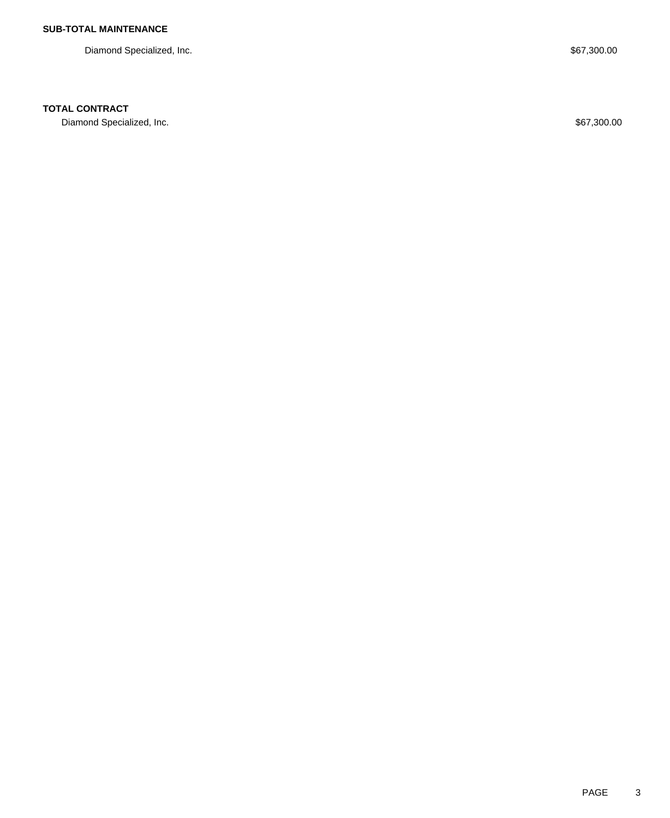Diamond Specialized, Inc. 67,300.00

## **TOTAL CONTRACT**

Diamond Specialized, Inc. 667,300.00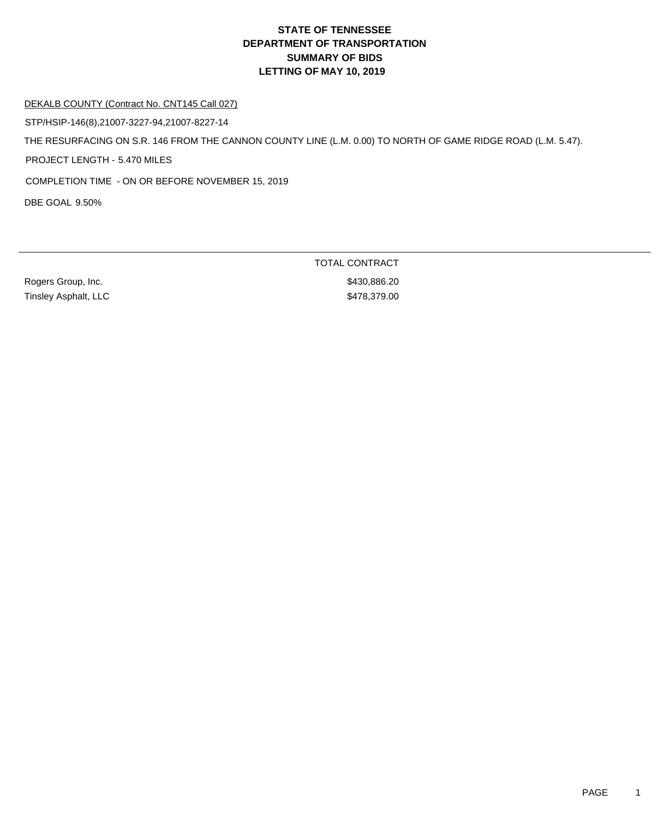#### DEKALB COUNTY (Contract No. CNT145 Call 027)

STP/HSIP-146(8),21007-3227-94,21007-8227-14

THE RESURFACING ON S.R. 146 FROM THE CANNON COUNTY LINE (L.M. 0.00) TO NORTH OF GAME RIDGE ROAD (L.M. 5.47).

PROJECT LENGTH - 5.470 MILES

COMPLETION TIME - ON OR BEFORE NOVEMBER 15, 2019

DBE GOAL 9.50%

Rogers Group, Inc. 6. 2010 12:30 12:30 12:30 12:30 12:30 12:30 12:30 12:30 12:30 12:30 12:30 12:30 12:30 12:30 Tinsley Asphalt, LLC \$478,379.00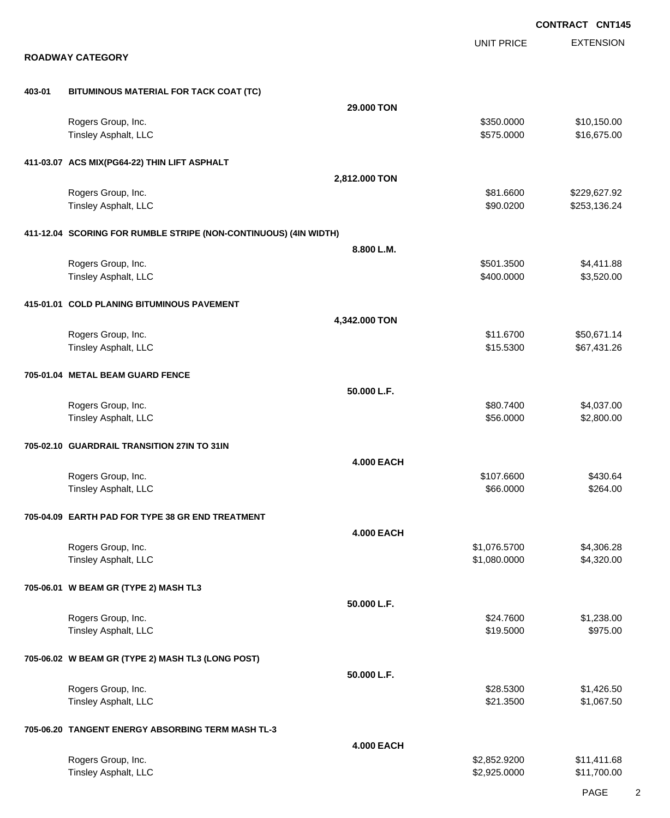EXTENSION **CONTRACT CNT145** UNIT PRICE **ROADWAY CATEGORY 403-01 BITUMINOUS MATERIAL FOR TACK COAT (TC) 29.000 TON** Rogers Group, Inc. \$10,150.00 \$10,150.00 \$10,150.00 \$10,150.00 \$10,150.00 \$10,150.00 \$10,150.00 \$10,150.00 \$10 Tinsley Asphalt, LLC \$16,675.000 \$16,675.000 \$16,675.000 \$16,675.000 \$16,675.000 \$16,675.00 **411-03.07 ACS MIX(PG64-22) THIN LIFT ASPHALT 2,812.000 TON** Rogers Group, Inc. \$81.6600 \$229,627.92 Tinsley Asphalt, LLC 600000 \$253,136.24 **411-12.04 SCORING FOR RUMBLE STRIPE (NON-CONTINUOUS) (4IN WIDTH) 8.800 L.M.** Rogers Group, Inc. \$501.3500 \$4,411.88 Tinsley Asphalt, LLC \$3,520.00 **415-01.01 COLD PLANING BITUMINOUS PAVEMENT 4,342.000 TON** Rogers Group, Inc. \$11.6700 \$50,671.14 Tinsley Asphalt, LLC \$15.5300 \$67,431.26 **705-01.04 METAL BEAM GUARD FENCE 50.000 L.F.** Rogers Group, Inc. \$80.7400 \$4,037.00 Tinsley Asphalt, LLC \$2,800.00 \$2,800.00 **705-02.10 GUARDRAIL TRANSITION 27IN TO 31IN 4.000 EACH** Rogers Group, Inc. \$107.6600 \$430.64 Tinsley Asphalt, LLC \$264.00 **705-04.09 EARTH PAD FOR TYPE 38 GR END TREATMENT 4.000 EACH** Rogers Group, Inc. \$1,306.28 Tinsley Asphalt, LLC \$1,080.0000 \$4,320.00 **705-06.01 W BEAM GR (TYPE 2) MASH TL3 50.000 L.F.** Rogers Group, Inc. \$24.7600 \$1,238.00 Tinsley Asphalt, LLC \$19.5000 \$975.00 **705-06.02 W BEAM GR (TYPE 2) MASH TL3 (LONG POST) 50.000 L.F.** Rogers Group, Inc. \$28.5300 \$1,426.50 Tinsley Asphalt, LLC \$21.3500 \$1,067.50 **705-06.20 TANGENT ENERGY ABSORBING TERM MASH TL-3 4.000 EACH** Rogers Group, Inc. \$2,852.9200 \$11,411.68 Tinsley Asphalt, LLC \$2,925.0000 \$11,700.00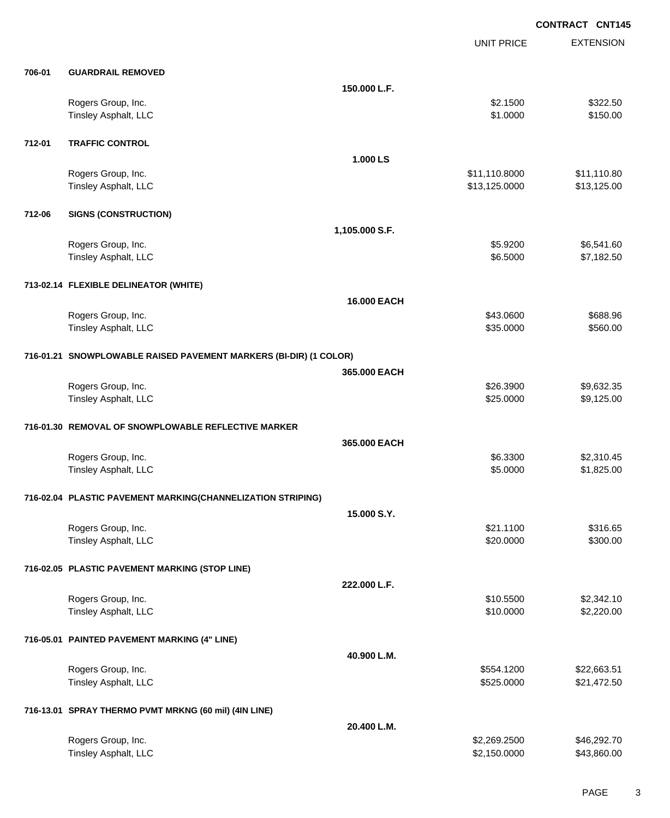|        |                                                                   |                | <b>UNIT PRICE</b> | <b>EXTENSION</b> |
|--------|-------------------------------------------------------------------|----------------|-------------------|------------------|
| 706-01 | <b>GUARDRAIL REMOVED</b>                                          |                |                   |                  |
|        |                                                                   | 150.000 L.F.   |                   |                  |
|        | Rogers Group, Inc.                                                |                | \$2.1500          | \$322.50         |
|        | Tinsley Asphalt, LLC                                              |                | \$1.0000          | \$150.00         |
| 712-01 | <b>TRAFFIC CONTROL</b>                                            |                |                   |                  |
|        |                                                                   | 1.000 LS       |                   |                  |
|        | Rogers Group, Inc.                                                |                | \$11,110.8000     | \$11,110.80      |
|        | Tinsley Asphalt, LLC                                              |                | \$13,125.0000     | \$13,125.00      |
| 712-06 | <b>SIGNS (CONSTRUCTION)</b>                                       |                |                   |                  |
|        |                                                                   | 1,105.000 S.F. |                   |                  |
|        | Rogers Group, Inc.                                                |                | \$5.9200          | \$6,541.60       |
|        | Tinsley Asphalt, LLC                                              |                | \$6.5000          | \$7,182.50       |
|        | 713-02.14 FLEXIBLE DELINEATOR (WHITE)                             |                |                   |                  |
|        |                                                                   | 16.000 EACH    |                   |                  |
|        | Rogers Group, Inc.                                                |                | \$43.0600         | \$688.96         |
|        | Tinsley Asphalt, LLC                                              |                | \$35.0000         | \$560.00         |
|        | 716-01.21 SNOWPLOWABLE RAISED PAVEMENT MARKERS (BI-DIR) (1 COLOR) |                |                   |                  |
|        |                                                                   | 365.000 EACH   |                   |                  |
|        | Rogers Group, Inc.                                                |                | \$26.3900         | \$9,632.35       |
|        | Tinsley Asphalt, LLC                                              |                | \$25.0000         | \$9,125.00       |
|        | 716-01.30 REMOVAL OF SNOWPLOWABLE REFLECTIVE MARKER               |                |                   |                  |
|        |                                                                   | 365.000 EACH   |                   |                  |
|        | Rogers Group, Inc.                                                |                | \$6.3300          | \$2,310.45       |
|        | Tinsley Asphalt, LLC                                              |                | \$5.0000          | \$1,825.00       |
|        | 716-02.04 PLASTIC PAVEMENT MARKING(CHANNELIZATION STRIPING)       |                |                   |                  |
|        |                                                                   | 15.000 S.Y.    |                   |                  |
|        | Rogers Group, Inc.                                                |                | \$21.1100         | \$316.65         |
|        | Tinsley Asphalt, LLC                                              |                | \$20.0000         | \$300.00         |
|        | 716-02.05 PLASTIC PAVEMENT MARKING (STOP LINE)                    |                |                   |                  |
|        |                                                                   | 222.000 L.F.   |                   |                  |
|        | Rogers Group, Inc.                                                |                | \$10.5500         | \$2,342.10       |
|        | Tinsley Asphalt, LLC                                              |                | \$10.0000         | \$2,220.00       |
|        | 716-05.01 PAINTED PAVEMENT MARKING (4" LINE)                      |                |                   |                  |
|        |                                                                   | 40.900 L.M.    |                   |                  |
|        | Rogers Group, Inc.                                                |                | \$554.1200        | \$22,663.51      |
|        | Tinsley Asphalt, LLC                                              |                | \$525.0000        | \$21,472.50      |
|        | 716-13.01 SPRAY THERMO PVMT MRKNG (60 mil) (4IN LINE)             |                |                   |                  |
|        |                                                                   | 20.400 L.M.    |                   |                  |
|        | Rogers Group, Inc.                                                |                | \$2,269.2500      | \$46,292.70      |
|        | Tinsley Asphalt, LLC                                              |                | \$2,150.0000      | \$43,860.00      |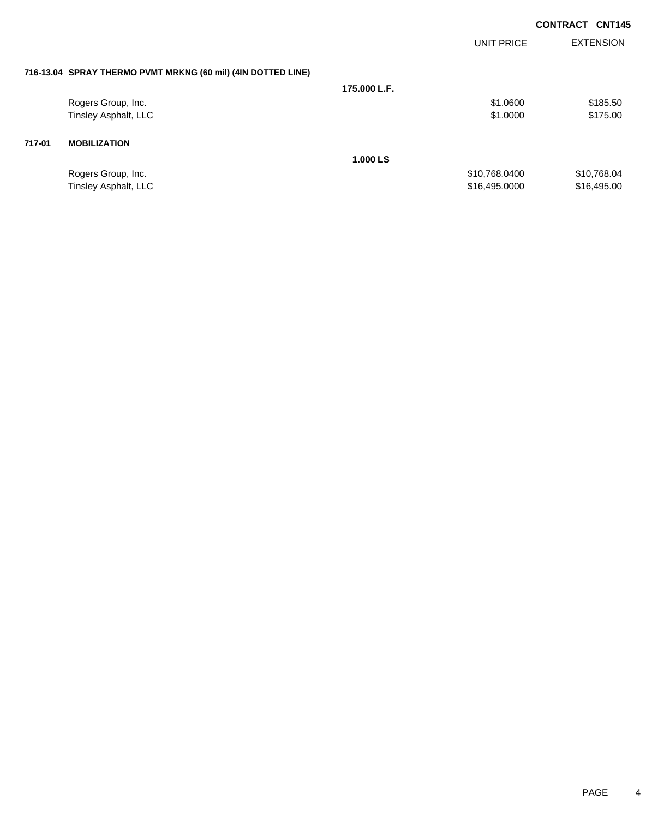| <b>CONTRACT CNT145</b> |  |
|------------------------|--|
|                        |  |

|        |                                                              |              | UNIT PRICE    | <b>EXTENSION</b> |
|--------|--------------------------------------------------------------|--------------|---------------|------------------|
|        | 716-13.04 SPRAY THERMO PVMT MRKNG (60 mil) (4IN DOTTED LINE) |              |               |                  |
|        |                                                              | 175,000 L.F. |               |                  |
|        | Rogers Group, Inc.                                           |              | \$1.0600      | \$185.50         |
|        | Tinsley Asphalt, LLC                                         |              | \$1.0000      | \$175.00         |
| 717-01 | <b>MOBILIZATION</b>                                          |              |               |                  |
|        |                                                              | 1.000 LS     |               |                  |
|        | Rogers Group, Inc.                                           |              | \$10,768.0400 | \$10,768.04      |
|        | Tinsley Asphalt, LLC                                         |              | \$16,495.0000 | \$16,495.00      |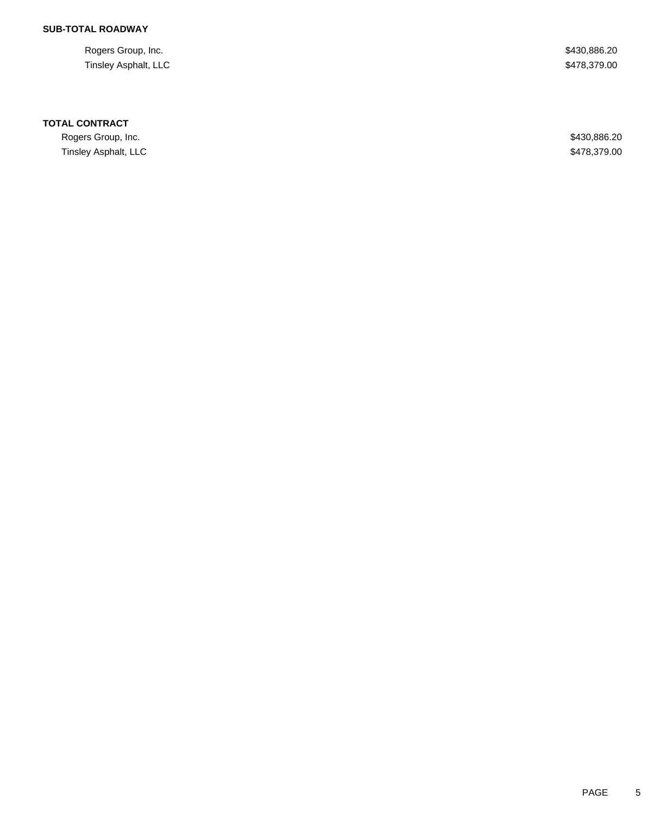Rogers Group, Inc. \$430,886.20 Tinsley Asphalt, LLC \$478,379.00

#### **TOTAL CONTRACT**

Rogers Group, Inc. \$430,886.20 Tinsley Asphalt, LLC \$478,379.00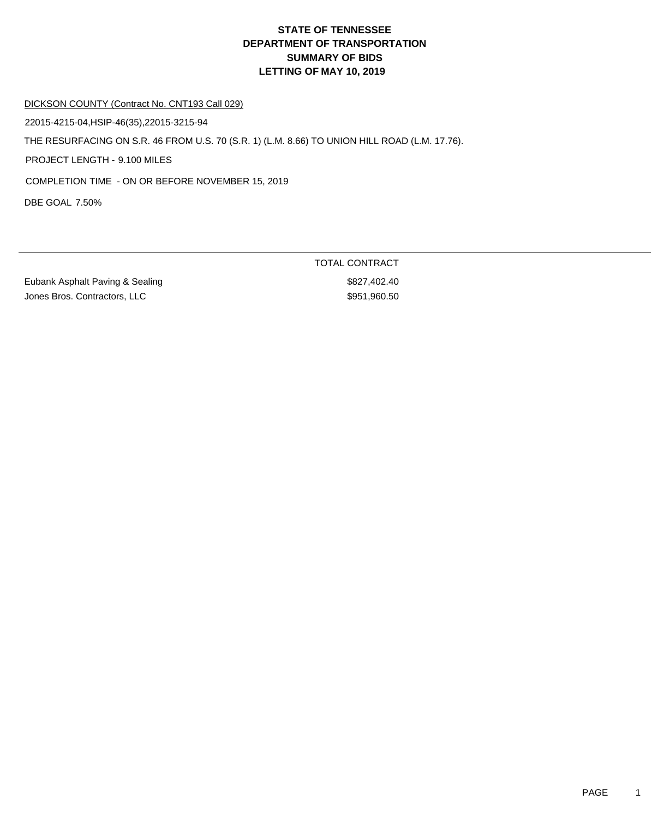#### DICKSON COUNTY (Contract No. CNT193 Call 029)

22015-4215-04,HSIP-46(35),22015-3215-94

THE RESURFACING ON S.R. 46 FROM U.S. 70 (S.R. 1) (L.M. 8.66) TO UNION HILL ROAD (L.M. 17.76).

PROJECT LENGTH - 9.100 MILES

COMPLETION TIME - ON OR BEFORE NOVEMBER 15, 2019

DBE GOAL 7.50%

Eubank Asphalt Paving & Sealing **\$827,402.40** Jones Bros. Contractors, LLC \$951,960.50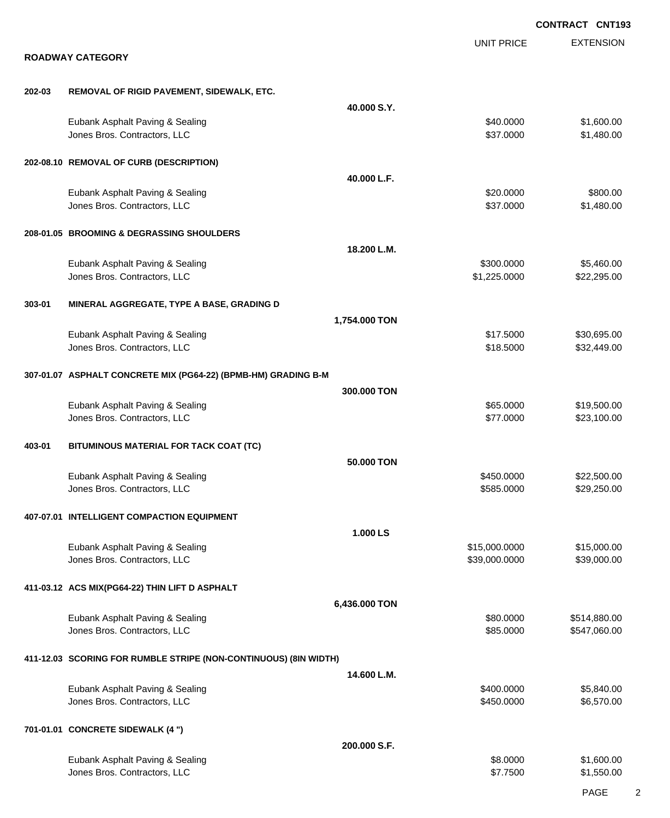|        |                                                                  |               |                                | <b>CONTRACT CNT193</b>       |
|--------|------------------------------------------------------------------|---------------|--------------------------------|------------------------------|
|        | <b>ROADWAY CATEGORY</b>                                          |               | <b>UNIT PRICE</b>              | <b>EXTENSION</b>             |
|        |                                                                  |               |                                |                              |
| 202-03 | REMOVAL OF RIGID PAVEMENT, SIDEWALK, ETC.                        |               |                                |                              |
|        |                                                                  | 40.000 S.Y.   |                                |                              |
|        | Eubank Asphalt Paving & Sealing<br>Jones Bros. Contractors, LLC  |               | \$40.0000<br>\$37.0000         | \$1,600.00<br>\$1,480.00     |
|        | 202-08.10 REMOVAL OF CURB (DESCRIPTION)                          |               |                                |                              |
|        |                                                                  | 40.000 L.F.   |                                |                              |
|        | Eubank Asphalt Paving & Sealing<br>Jones Bros. Contractors, LLC  |               | \$20.0000<br>\$37.0000         | \$800.00<br>\$1,480.00       |
|        | 208-01.05 BROOMING & DEGRASSING SHOULDERS                        |               |                                |                              |
|        |                                                                  | 18.200 L.M.   |                                |                              |
|        | Eubank Asphalt Paving & Sealing<br>Jones Bros. Contractors, LLC  |               | \$300.0000<br>\$1,225.0000     | \$5,460.00<br>\$22,295.00    |
| 303-01 | MINERAL AGGREGATE, TYPE A BASE, GRADING D                        |               |                                |                              |
|        |                                                                  | 1,754.000 TON |                                |                              |
|        | Eubank Asphalt Paving & Sealing                                  |               | \$17.5000                      | \$30,695.00                  |
|        | Jones Bros. Contractors, LLC                                     |               | \$18.5000                      | \$32,449.00                  |
|        | 307-01.07 ASPHALT CONCRETE MIX (PG64-22) (BPMB-HM) GRADING B-M   |               |                                |                              |
|        |                                                                  | 300.000 TON   |                                |                              |
|        | Eubank Asphalt Paving & Sealing<br>Jones Bros. Contractors, LLC  |               | \$65.0000<br>\$77.0000         | \$19,500.00<br>\$23,100.00   |
| 403-01 | BITUMINOUS MATERIAL FOR TACK COAT (TC)                           |               |                                |                              |
|        |                                                                  | 50.000 TON    |                                |                              |
|        | Eubank Asphalt Paving & Sealing                                  |               | \$450.0000                     | \$22,500.00                  |
|        | Jones Bros. Contractors, LLC                                     |               | \$585.0000                     | \$29,250.00                  |
|        | 407-07.01 INTELLIGENT COMPACTION EQUIPMENT                       |               |                                |                              |
|        |                                                                  | 1.000 LS      |                                |                              |
|        | Eubank Asphalt Paving & Sealing<br>Jones Bros. Contractors, LLC  |               | \$15,000.0000<br>\$39,000.0000 | \$15,000.00<br>\$39,000.00   |
|        | 411-03.12 ACS MIX(PG64-22) THIN LIFT D ASPHALT                   |               |                                |                              |
|        |                                                                  | 6,436.000 TON |                                |                              |
|        | Eubank Asphalt Paving & Sealing<br>Jones Bros. Contractors, LLC  |               | \$80.0000<br>\$85.0000         | \$514,880.00<br>\$547,060.00 |
|        | 411-12.03 SCORING FOR RUMBLE STRIPE (NON-CONTINUOUS) (8IN WIDTH) |               |                                |                              |
|        |                                                                  | 14.600 L.M.   |                                |                              |
|        | Eubank Asphalt Paving & Sealing<br>Jones Bros. Contractors, LLC  |               | \$400.0000<br>\$450.0000       | \$5,840.00<br>\$6,570.00     |
|        | 701-01.01 CONCRETE SIDEWALK (4 ")                                |               |                                |                              |
|        |                                                                  | 200.000 S.F.  |                                |                              |
|        | Eubank Asphalt Paving & Sealing<br>Jones Bros. Contractors, LLC  |               | \$8.0000<br>\$7.7500           | \$1,600.00<br>\$1,550.00     |
|        |                                                                  |               |                                |                              |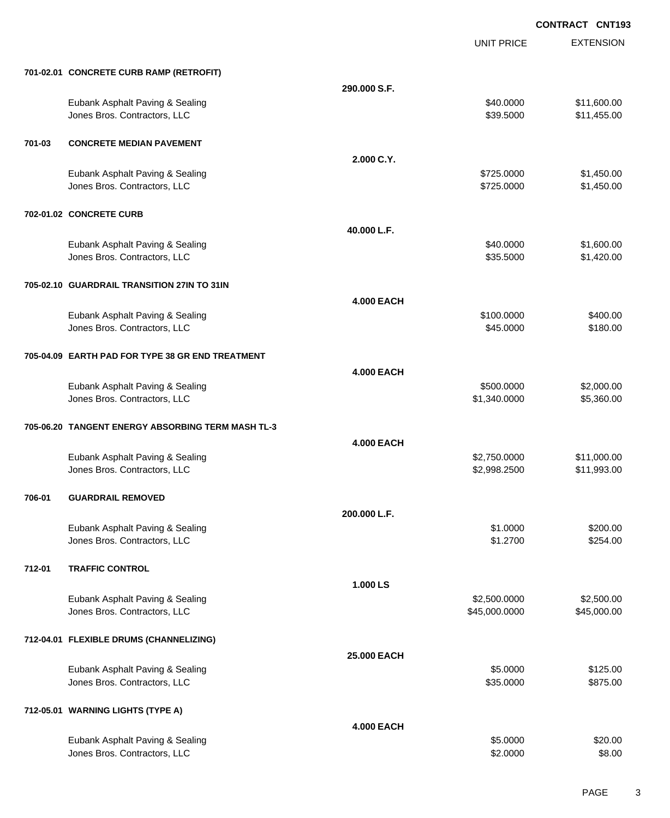UNIT PRICE

EXTENSION

|        | 701-02.01 CONCRETE CURB RAMP (RETROFIT)                         |                   |                               |                            |
|--------|-----------------------------------------------------------------|-------------------|-------------------------------|----------------------------|
|        |                                                                 | 290.000 S.F.      |                               |                            |
|        | Eubank Asphalt Paving & Sealing<br>Jones Bros. Contractors, LLC |                   | \$40.0000<br>\$39.5000        | \$11,600.00<br>\$11,455.00 |
| 701-03 | <b>CONCRETE MEDIAN PAVEMENT</b>                                 |                   |                               |                            |
|        |                                                                 | 2.000 C.Y.        |                               |                            |
|        | Eubank Asphalt Paving & Sealing<br>Jones Bros. Contractors, LLC |                   | \$725.0000<br>\$725.0000      | \$1,450.00<br>\$1,450.00   |
|        | 702-01.02 CONCRETE CURB                                         |                   |                               |                            |
|        |                                                                 | 40.000 L.F.       |                               |                            |
|        | Eubank Asphalt Paving & Sealing<br>Jones Bros. Contractors, LLC |                   | \$40.0000<br>\$35.5000        | \$1,600.00<br>\$1,420.00   |
|        | 705-02.10 GUARDRAIL TRANSITION 27IN TO 31IN                     |                   |                               |                            |
|        |                                                                 | <b>4.000 EACH</b> |                               |                            |
|        | Eubank Asphalt Paving & Sealing<br>Jones Bros. Contractors, LLC |                   | \$100.0000<br>\$45.0000       | \$400.00<br>\$180.00       |
|        | 705-04.09 EARTH PAD FOR TYPE 38 GR END TREATMENT                |                   |                               |                            |
|        |                                                                 | <b>4.000 EACH</b> |                               |                            |
|        | Eubank Asphalt Paving & Sealing<br>Jones Bros. Contractors, LLC |                   | \$500.0000<br>\$1,340.0000    | \$2,000.00<br>\$5,360.00   |
|        | 705-06.20 TANGENT ENERGY ABSORBING TERM MASH TL-3               |                   |                               |                            |
|        |                                                                 | <b>4.000 EACH</b> |                               |                            |
|        | Eubank Asphalt Paving & Sealing<br>Jones Bros. Contractors, LLC |                   | \$2,750.0000<br>\$2,998.2500  | \$11,000.00<br>\$11,993.00 |
| 706-01 | <b>GUARDRAIL REMOVED</b>                                        |                   |                               |                            |
|        |                                                                 | 200.000 L.F.      |                               |                            |
|        | Eubank Asphalt Paving & Sealing<br>Jones Bros. Contractors, LLC |                   | \$1.0000<br>\$1.2700          | \$200.00<br>\$254.00       |
| 712-01 | <b>TRAFFIC CONTROL</b>                                          |                   |                               |                            |
|        |                                                                 | 1.000 LS          |                               |                            |
|        | Eubank Asphalt Paving & Sealing<br>Jones Bros. Contractors, LLC |                   | \$2,500.0000<br>\$45,000.0000 | \$2,500.00<br>\$45,000.00  |
|        | 712-04.01 FLEXIBLE DRUMS (CHANNELIZING)                         |                   |                               |                            |
|        |                                                                 | 25.000 EACH       |                               |                            |
|        | Eubank Asphalt Paving & Sealing<br>Jones Bros. Contractors, LLC |                   | \$5.0000<br>\$35.0000         | \$125.00<br>\$875.00       |
|        | 712-05.01 WARNING LIGHTS (TYPE A)                               |                   |                               |                            |
|        |                                                                 | <b>4.000 EACH</b> |                               |                            |
|        | Eubank Asphalt Paving & Sealing<br>Jones Bros. Contractors, LLC |                   | \$5.0000<br>\$2.0000          | \$20.00<br>\$8.00          |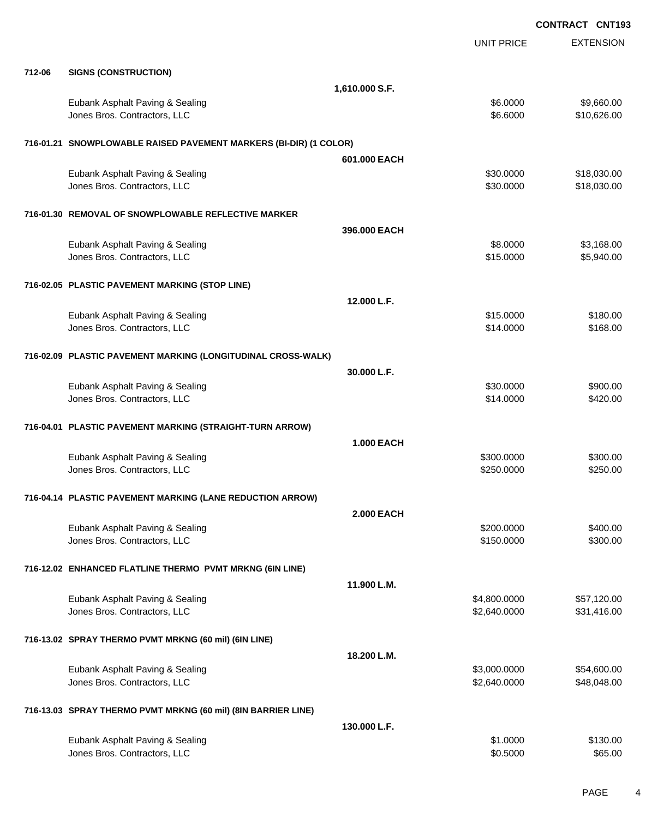EXTENSION **CONTRACT CNT193** UNIT PRICE **712-06 SIGNS (CONSTRUCTION) 1,610.000 S.F.** Eubank Asphalt Paving & Sealing \$6.000 \$9,660.00 dones Bros. Contractors, LLC 6.6000 \$10,626.00 **716-01.21 SNOWPLOWABLE RAISED PAVEMENT MARKERS (BI-DIR) (1 COLOR) 601.000 EACH** Eubank Asphalt Paving & Sealing \$30.000 \$18,030.00 Jones Bros. Contractors, LLC \$30.0000 \$18,030.00 **716-01.30 REMOVAL OF SNOWPLOWABLE REFLECTIVE MARKER 396.000 EACH** Eubank Asphalt Paving & Sealing \$8.0000 \$3,168.00 Jones Bros. Contractors, LLC \$15.0000 \$5,940.00 **716-02.05 PLASTIC PAVEMENT MARKING (STOP LINE) 12.000 L.F.** Eubank Asphalt Paving & Sealing \$15.000 \$180.00 Jones Bros. Contractors, LLC 68.00 \$168.00 **716-02.09 PLASTIC PAVEMENT MARKING (LONGITUDINAL CROSS-WALK) 30.000 L.F.** Eubank Asphalt Paving & Sealing \$30.000 \$900.00 Jones Bros. Contractors, LLC \$14.0000 \$420.00 **716-04.01 PLASTIC PAVEMENT MARKING (STRAIGHT-TURN ARROW) 1.000 EACH** Eubank Asphalt Paving & Sealing \$300.000 \$300.000 \$300.000 \$300.000 \$300.000 \$300.000 \$300.00 Jones Bros. Contractors, LLC 6250.000 \$250.000 \$250.000 \$250.000 \$250.000 \$250.000 \$250.000 \$250.00 **716-04.14 PLASTIC PAVEMENT MARKING (LANE REDUCTION ARROW) 2.000 EACH** Eubank Asphalt Paving & Sealing \$200.000 \$400.00 Jones Bros. Contractors, LLC \$150.0000 \$300.00 **716-12.02 ENHANCED FLATLINE THERMO PVMT MRKNG (6IN LINE) 11.900 L.M.** Eubank Asphalt Paving & Sealing \$4,800.0000 \$57,120.00 Jones Bros. Contractors, LLC 6. The state of the state of the state of the state of the state of the state of the state of the state of the state of the state of the state of the state of the state of the state of the stat **716-13.02 SPRAY THERMO PVMT MRKNG (60 mil) (6IN LINE) 18.200 L.M.** Eubank Asphalt Paving & Sealing \$3,000.0000 \$54,600.000 \$3,000.000 \$54,600.00 Jones Bros. Contractors, LLC 6. The state of the state of the state of the state of the state of the state of the state of the state of the state of the state of the state of the state of the state of the state of the stat **716-13.03 SPRAY THERMO PVMT MRKNG (60 mil) (8IN BARRIER LINE) 130.000 L.F.**

Eubank Asphalt Paving & Sealing \$1.0000 \$130.00 Jones Bros. Contractors, LLC 65.000 \$65.00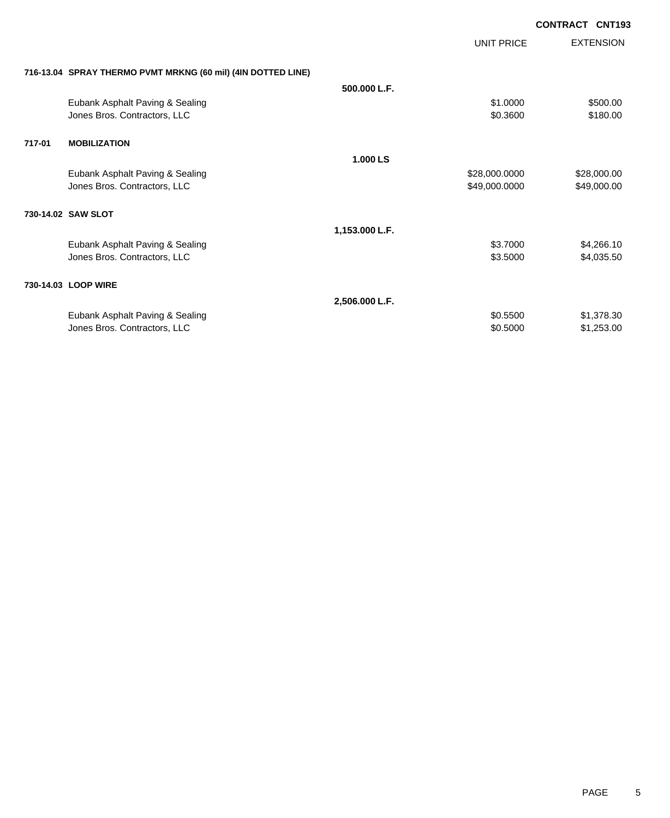|        |                                                              |                | <b>UNIT PRICE</b> | <b>EXTENSION</b> |
|--------|--------------------------------------------------------------|----------------|-------------------|------------------|
|        | 716-13.04 SPRAY THERMO PVMT MRKNG (60 mil) (4IN DOTTED LINE) |                |                   |                  |
|        |                                                              | 500.000 L.F.   |                   |                  |
|        | Eubank Asphalt Paving & Sealing                              |                | \$1.0000          | \$500.00         |
|        | Jones Bros. Contractors, LLC                                 |                | \$0.3600          | \$180.00         |
| 717-01 | <b>MOBILIZATION</b>                                          |                |                   |                  |
|        |                                                              | 1.000 LS       |                   |                  |
|        | Eubank Asphalt Paving & Sealing                              |                | \$28,000.0000     | \$28,000.00      |
|        | Jones Bros. Contractors, LLC                                 |                | \$49,000.0000     | \$49,000.00      |
|        | 730-14.02 SAW SLOT                                           |                |                   |                  |
|        |                                                              | 1,153.000 L.F. |                   |                  |
|        | Eubank Asphalt Paving & Sealing                              |                | \$3.7000          | \$4,266.10       |
|        | Jones Bros. Contractors, LLC                                 |                | \$3.5000          | \$4,035.50       |
|        | 730-14.03 LOOP WIRE                                          |                |                   |                  |
|        |                                                              | 2,506.000 L.F. |                   |                  |
|        | Eubank Asphalt Paving & Sealing                              |                | \$0.5500          | \$1,378.30       |
|        | Jones Bros. Contractors, LLC                                 |                | \$0.5000          | \$1,253.00       |
|        |                                                              |                |                   |                  |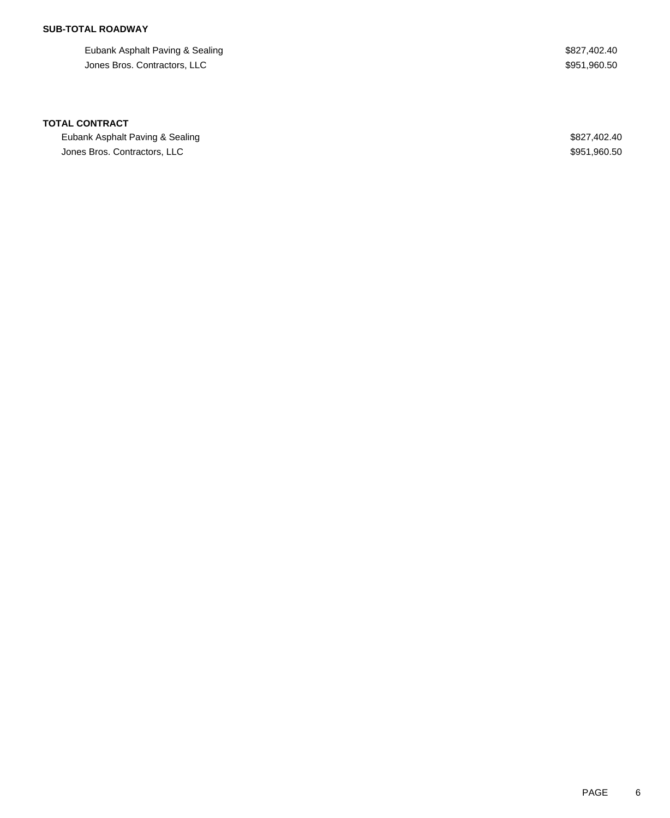Eubank Asphalt Paving & Sealing  $$827,402.40$ Jones Bros. Contractors, LLC \$951,960.50

#### **TOTAL CONTRACT**

Eubank Asphalt Paving & Sealing  $$827,402.40$ Jones Bros. Contractors, LLC \$951,960.50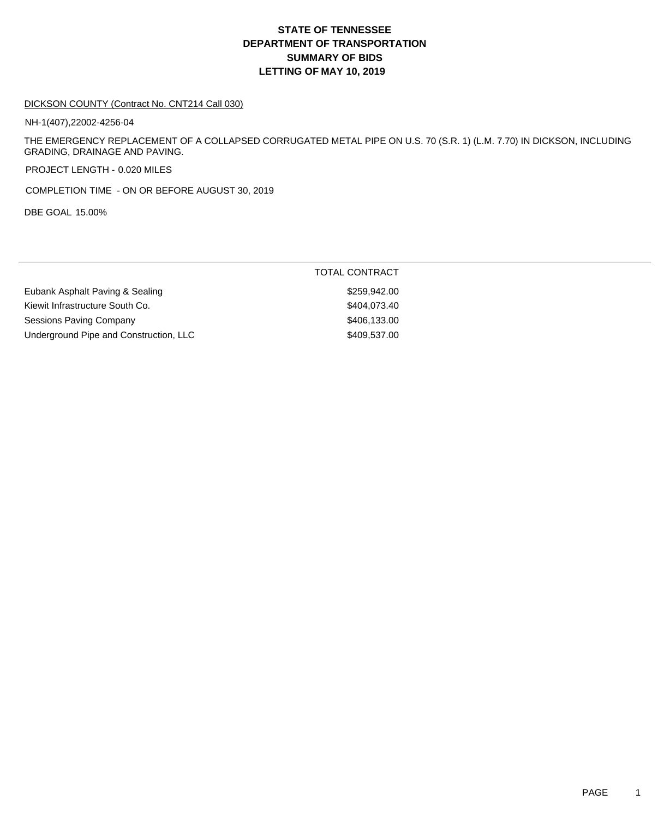#### DICKSON COUNTY (Contract No. CNT214 Call 030)

NH-1(407),22002-4256-04

THE EMERGENCY REPLACEMENT OF A COLLAPSED CORRUGATED METAL PIPE ON U.S. 70 (S.R. 1) (L.M. 7.70) IN DICKSON, INCLUDING GRADING, DRAINAGE AND PAVING.

PROJECT LENGTH - 0.020 MILES

COMPLETION TIME - ON OR BEFORE AUGUST 30, 2019

DBE GOAL 15.00%

|                                        | TOTAL CONTRACT |
|----------------------------------------|----------------|
| Eubank Asphalt Paving & Sealing        | \$259,942,00   |
| Kiewit Infrastructure South Co.        | \$404.073.40   |
| Sessions Paving Company                | \$406.133.00   |
| Underground Pipe and Construction, LLC | \$409,537.00   |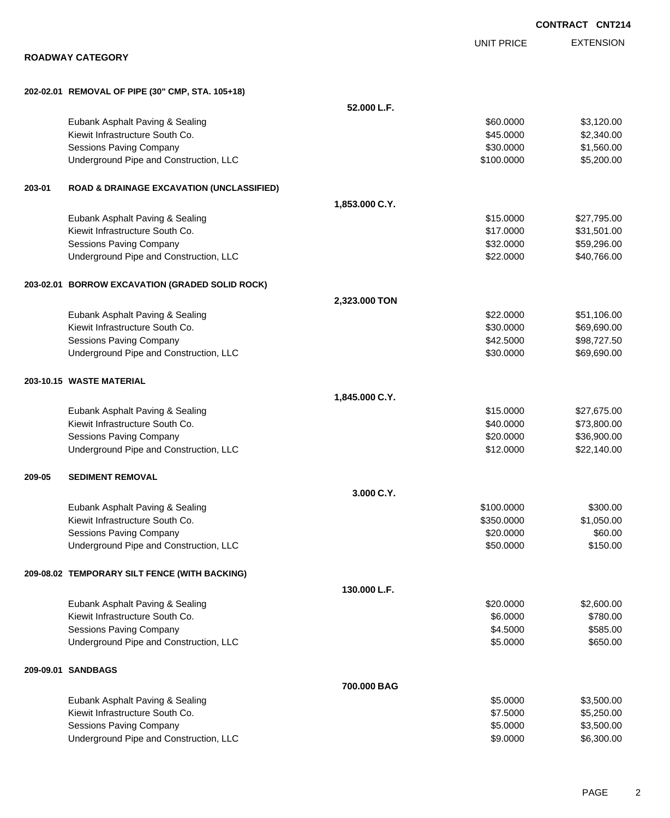|        |                                                                   |                |                      | <b>CONTRACT CNT214</b>   |
|--------|-------------------------------------------------------------------|----------------|----------------------|--------------------------|
|        |                                                                   |                | <b>UNIT PRICE</b>    | <b>EXTENSION</b>         |
|        | <b>ROADWAY CATEGORY</b>                                           |                |                      |                          |
|        | 202-02.01 REMOVAL OF PIPE (30" CMP, STA. 105+18)                  |                |                      |                          |
|        |                                                                   | 52.000 L.F.    |                      |                          |
|        | Eubank Asphalt Paving & Sealing                                   |                | \$60.0000            | \$3,120.00               |
|        | Kiewit Infrastructure South Co.                                   |                | \$45.0000            | \$2,340.00               |
|        | Sessions Paving Company                                           |                | \$30.0000            | \$1,560.00               |
|        | Underground Pipe and Construction, LLC                            |                | \$100.0000           | \$5,200.00               |
| 203-01 | <b>ROAD &amp; DRAINAGE EXCAVATION (UNCLASSIFIED)</b>              |                |                      |                          |
|        |                                                                   | 1,853.000 C.Y. |                      |                          |
|        | Eubank Asphalt Paving & Sealing                                   |                | \$15.0000            | \$27,795.00              |
|        | Kiewit Infrastructure South Co.                                   |                | \$17.0000            | \$31,501.00              |
|        | <b>Sessions Paving Company</b>                                    |                | \$32.0000            | \$59,296.00              |
|        | Underground Pipe and Construction, LLC                            |                | \$22.0000            | \$40,766.00              |
|        | 203-02.01 BORROW EXCAVATION (GRADED SOLID ROCK)                   |                |                      |                          |
|        |                                                                   | 2,323.000 TON  |                      |                          |
|        | Eubank Asphalt Paving & Sealing                                   |                | \$22.0000            | \$51,106.00              |
|        | Kiewit Infrastructure South Co.                                   |                | \$30.0000            | \$69,690.00              |
|        | Sessions Paving Company                                           |                | \$42.5000            | \$98,727.50              |
|        | Underground Pipe and Construction, LLC                            |                | \$30.0000            | \$69,690.00              |
|        | 203-10.15 WASTE MATERIAL                                          |                |                      |                          |
|        |                                                                   | 1,845.000 C.Y. |                      |                          |
|        | Eubank Asphalt Paving & Sealing                                   |                | \$15.0000            | \$27,675.00              |
|        | Kiewit Infrastructure South Co.                                   |                | \$40.0000            | \$73,800.00              |
|        | Sessions Paving Company                                           |                | \$20.0000            | \$36,900.00              |
|        | Underground Pipe and Construction, LLC                            |                | \$12.0000            | \$22,140.00              |
| 209-05 | <b>SEDIMENT REMOVAL</b>                                           |                |                      |                          |
|        |                                                                   | 3.000 C.Y.     |                      |                          |
|        | Eubank Asphalt Paving & Sealing                                   |                | \$100.0000           | \$300.00                 |
|        | Kiewit Infrastructure South Co.                                   |                | \$350.0000           | \$1,050.00               |
|        | Sessions Paving Company                                           |                | \$20.0000            | \$60.00                  |
|        | Underground Pipe and Construction, LLC                            |                | \$50.0000            | \$150.00                 |
|        | 209-08.02 TEMPORARY SILT FENCE (WITH BACKING)                     |                |                      |                          |
|        |                                                                   | 130.000 L.F.   |                      |                          |
|        | Eubank Asphalt Paving & Sealing                                   |                | \$20.0000            | \$2,600.00               |
|        | Kiewit Infrastructure South Co.                                   |                | \$6.0000             | \$780.00                 |
|        | Sessions Paving Company<br>Underground Pipe and Construction, LLC |                | \$4.5000<br>\$5.0000 | \$585.00<br>\$650.00     |
|        |                                                                   |                |                      |                          |
|        | 209-09.01 SANDBAGS                                                |                |                      |                          |
|        |                                                                   | 700.000 BAG    |                      |                          |
|        | Eubank Asphalt Paving & Sealing                                   |                | \$5.0000             | \$3,500.00               |
|        | Kiewit Infrastructure South Co.<br><b>Sessions Paving Company</b> |                | \$7.5000<br>\$5.0000 | \$5,250.00<br>\$3,500.00 |
|        | Underground Pipe and Construction, LLC                            |                | \$9.0000             | \$6,300.00               |
|        |                                                                   |                |                      |                          |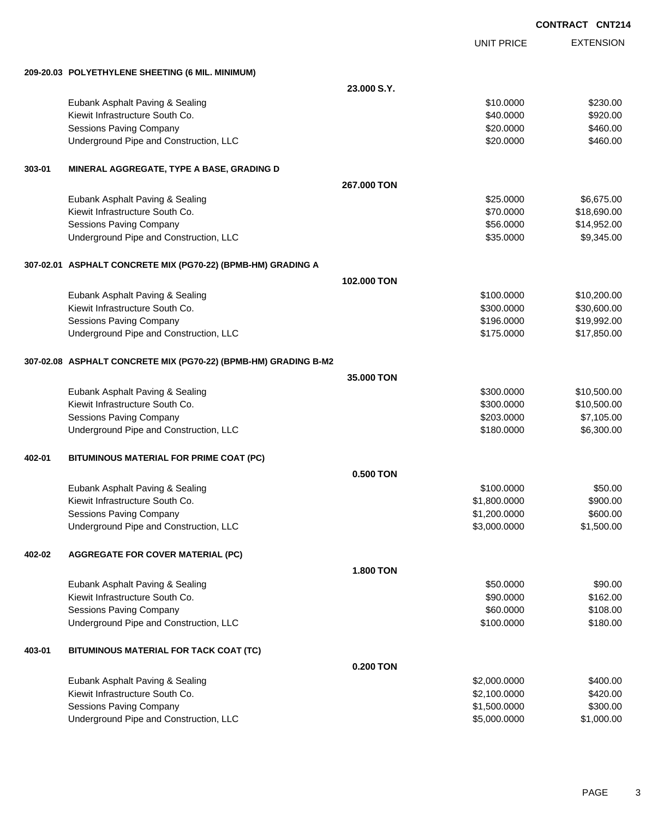|  | <b>CONTRACT CNT214</b> |  |  |
|--|------------------------|--|--|
|--|------------------------|--|--|

|        |                                                                 |                  | <b>UNIT PRICE</b> | <b>EXTENSION</b> |
|--------|-----------------------------------------------------------------|------------------|-------------------|------------------|
|        | 209-20.03 POLYETHYLENE SHEETING (6 MIL. MINIMUM)                |                  |                   |                  |
|        |                                                                 | 23.000 S.Y.      |                   |                  |
|        | Eubank Asphalt Paving & Sealing                                 |                  | \$10.0000         | \$230.00         |
|        | Kiewit Infrastructure South Co.                                 |                  | \$40.0000         | \$920.00         |
|        | Sessions Paving Company                                         |                  | \$20.0000         | \$460.00         |
|        | Underground Pipe and Construction, LLC                          |                  | \$20.0000         | \$460.00         |
| 303-01 | MINERAL AGGREGATE, TYPE A BASE, GRADING D                       |                  |                   |                  |
|        |                                                                 | 267,000 TON      |                   |                  |
|        | Eubank Asphalt Paving & Sealing                                 |                  | \$25.0000         | \$6,675.00       |
|        | Kiewit Infrastructure South Co.                                 |                  | \$70.0000         | \$18,690.00      |
|        | Sessions Paving Company                                         |                  | \$56.0000         | \$14,952.00      |
|        | Underground Pipe and Construction, LLC                          |                  | \$35.0000         | \$9,345.00       |
|        | 307-02.01 ASPHALT CONCRETE MIX (PG70-22) (BPMB-HM) GRADING A    |                  |                   |                  |
|        |                                                                 | 102.000 TON      |                   |                  |
|        | Eubank Asphalt Paving & Sealing                                 |                  | \$100.0000        | \$10,200.00      |
|        | Kiewit Infrastructure South Co.                                 |                  | \$300.0000        | \$30,600.00      |
|        | Sessions Paving Company                                         |                  | \$196,0000        | \$19,992.00      |
|        | Underground Pipe and Construction, LLC                          |                  | \$175.0000        | \$17,850.00      |
|        | 307-02.08 ASPHALT CONCRETE MIX (PG70-22) (BPMB-HM) GRADING B-M2 |                  |                   |                  |
|        |                                                                 | 35.000 TON       |                   |                  |
|        | Eubank Asphalt Paving & Sealing                                 |                  | \$300.0000        | \$10,500.00      |
|        | Kiewit Infrastructure South Co.                                 |                  | \$300.0000        | \$10,500.00      |
|        | <b>Sessions Paving Company</b>                                  |                  | \$203.0000        | \$7,105.00       |
|        | Underground Pipe and Construction, LLC                          |                  | \$180.0000        | \$6,300.00       |
| 402-01 | BITUMINOUS MATERIAL FOR PRIME COAT (PC)                         |                  |                   |                  |
|        |                                                                 | 0.500 TON        |                   |                  |
|        | Eubank Asphalt Paving & Sealing                                 |                  | \$100,0000        | \$50.00          |
|        | Kiewit Infrastructure South Co.                                 |                  | \$1,800.0000      | \$900.00         |
|        | Sessions Paving Company                                         |                  | \$1,200.0000      | \$600.00         |
|        | Underground Pipe and Construction, LLC                          |                  | \$3,000.0000      | \$1,500.00       |
| 402-02 | <b>AGGREGATE FOR COVER MATERIAL (PC)</b>                        |                  |                   |                  |
|        |                                                                 | <b>1.800 TON</b> |                   |                  |
|        | Eubank Asphalt Paving & Sealing                                 |                  | \$50.0000         | \$90.00          |
|        | Kiewit Infrastructure South Co.                                 |                  | \$90.0000         | \$162.00         |
|        | <b>Sessions Paving Company</b>                                  |                  | \$60.0000         | \$108.00         |
|        | Underground Pipe and Construction, LLC                          |                  | \$100.0000        | \$180.00         |
| 403-01 | BITUMINOUS MATERIAL FOR TACK COAT (TC)                          |                  |                   |                  |
|        |                                                                 | 0.200 TON        |                   |                  |
|        | Eubank Asphalt Paving & Sealing                                 |                  | \$2,000.0000      | \$400.00         |
|        | Kiewit Infrastructure South Co.                                 |                  | \$2,100.0000      | \$420.00         |
|        | <b>Sessions Paving Company</b>                                  |                  | \$1,500.0000      | \$300.00         |
|        | Underground Pipe and Construction, LLC                          |                  | \$5,000.0000      | \$1,000.00       |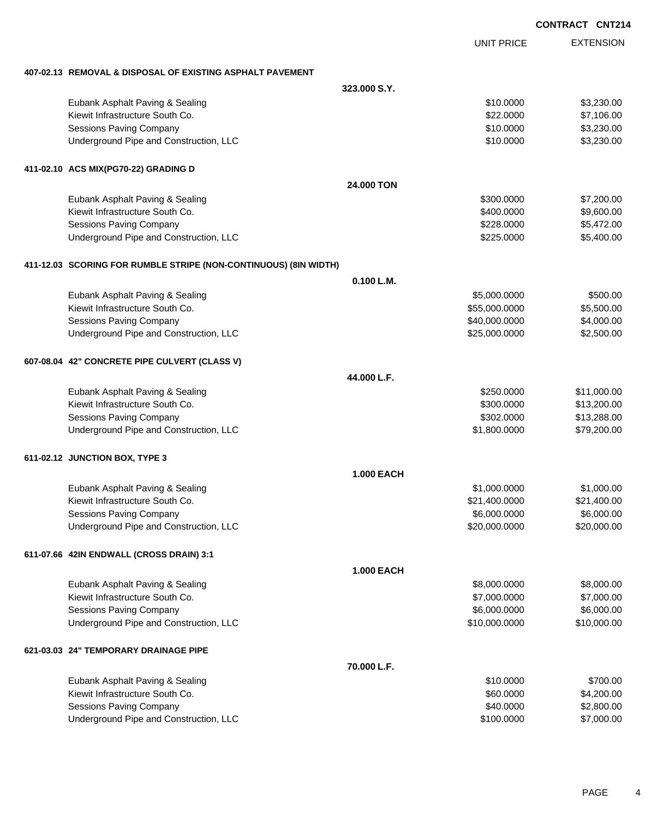|                                                                  |                   | <b>CONTRACT CNT214</b> |                  |
|------------------------------------------------------------------|-------------------|------------------------|------------------|
|                                                                  | <b>UNIT PRICE</b> |                        | <b>EXTENSION</b> |
| 407-02.13 REMOVAL & DISPOSAL OF EXISTING ASPHALT PAVEMENT        |                   |                        |                  |
|                                                                  | 323,000 S.Y.      |                        |                  |
| Eubank Asphalt Paving & Sealing                                  | \$10.0000         |                        | \$3,230.00       |
| Kiewit Infrastructure South Co.                                  | \$22.0000         |                        | \$7,106.00       |
| Sessions Paving Company                                          | \$10.0000         |                        | \$3,230.00       |
| Underground Pipe and Construction, LLC                           | \$10.0000         |                        | \$3,230.00       |
| 411-02.10 ACS MIX(PG70-22) GRADING D                             |                   |                        |                  |
|                                                                  | <b>24,000 TON</b> |                        |                  |
| Eubank Asphalt Paving & Sealing                                  | \$300.0000        |                        | \$7,200.00       |
| Kiewit Infrastructure South Co.                                  | \$400.0000        |                        | \$9,600.00       |
| Sessions Paving Company                                          | \$228,0000        |                        | \$5,472.00       |
| Underground Pipe and Construction, LLC                           | \$225.0000        |                        | \$5,400.00       |
| 411-12.03 SCORING FOR RUMBLE STRIPE (NON-CONTINUOUS) (8IN WIDTH) |                   |                        |                  |
|                                                                  | 0.100 L.M.        |                        |                  |
| Eubank Asphalt Paving & Sealing                                  | \$5,000.0000      |                        | \$500.00         |
| Kiewit Infrastructure South Co.                                  | \$55,000.0000     |                        | \$5,500.00       |
| Sessions Paving Company                                          | \$40,000.0000     |                        | \$4,000.00       |
| Underground Pipe and Construction, LLC                           | \$25,000.0000     |                        | \$2,500.00       |
| 607-08.04 42" CONCRETE PIPE CULVERT (CLASS V)                    |                   |                        |                  |
|                                                                  | 44.000 L.F.       |                        |                  |
| Eubank Asphalt Paving & Sealing                                  | \$250.0000        |                        | \$11,000.00      |
| Kiewit Infrastructure South Co.                                  | \$300.0000        |                        | \$13,200.00      |
| <b>Sessions Paving Company</b>                                   | \$302.0000        |                        | \$13,288.00      |
| Underground Pipe and Construction, LLC                           | \$1,800.0000      |                        | \$79,200.00      |
| 611-02.12 JUNCTION BOX, TYPE 3                                   |                   |                        |                  |
|                                                                  | <b>1.000 EACH</b> |                        |                  |
| Eubank Asphalt Paving & Sealing                                  | \$1,000.0000      |                        | \$1,000.00       |
| Kiewit Infrastructure South Co.                                  | \$21,400.0000     |                        | \$21,400.00      |
| <b>Sessions Paving Company</b>                                   | \$6,000.0000      |                        | \$6,000.00       |
| Underground Pipe and Construction, LLC                           | \$20,000.0000     |                        | \$20,000.00      |
| 611-07.66 42IN ENDWALL (CROSS DRAIN) 3:1                         |                   |                        |                  |
|                                                                  | <b>1.000 EACH</b> |                        |                  |
| Eubank Asphalt Paving & Sealing                                  | \$8,000.0000      |                        | \$8,000.00       |
| Kiewit Infrastructure South Co.                                  | \$7,000.0000      |                        | \$7,000.00       |
| Sessions Paving Company                                          | \$6,000.0000      |                        | \$6,000.00       |
| Underground Pipe and Construction, LLC                           | \$10,000.0000     |                        | \$10,000.00      |
| 621-03.03 24" TEMPORARY DRAINAGE PIPE                            |                   |                        |                  |
|                                                                  | 70.000 L.F.       |                        |                  |

| Eubank Asphalt Paving & Sealing        | \$10,0000  | \$700.00   |
|----------------------------------------|------------|------------|
| Kiewit Infrastructure South Co.        | \$60,0000  | \$4,200,00 |
| Sessions Paving Company                | \$40,0000  | \$2,800,00 |
| Underground Pipe and Construction, LLC | \$100,0000 | \$7,000.00 |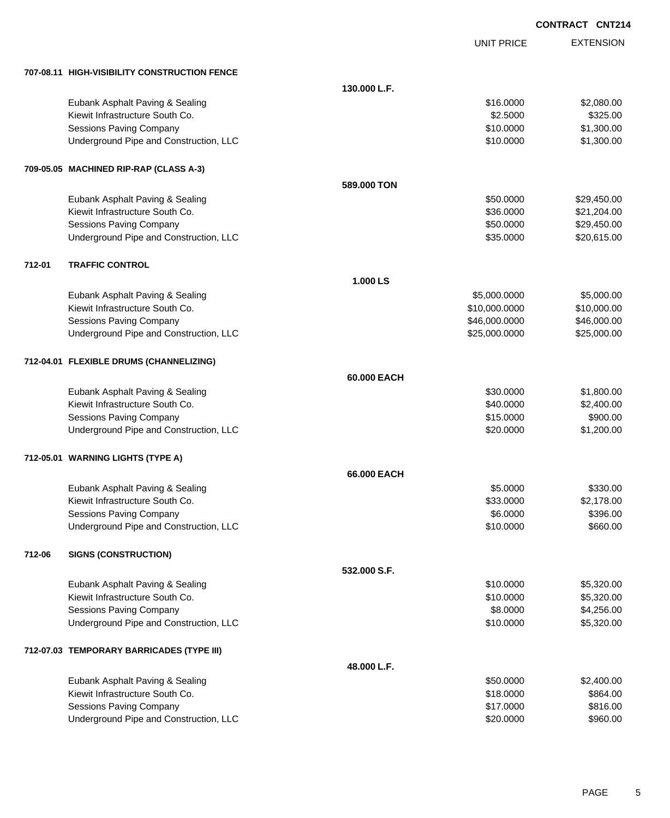UNIT PRICE

EXTENSION

|        | 707-08.11 HIGH-VISIBILITY CONSTRUCTION FENCE |              |               |             |
|--------|----------------------------------------------|--------------|---------------|-------------|
|        |                                              | 130.000 L.F. |               |             |
|        | Eubank Asphalt Paving & Sealing              |              | \$16.0000     | \$2,080.00  |
|        | Kiewit Infrastructure South Co.              |              | \$2.5000      | \$325.00    |
|        | Sessions Paving Company                      |              | \$10.0000     | \$1,300.00  |
|        | Underground Pipe and Construction, LLC       |              | \$10.0000     | \$1,300.00  |
|        | 709-05.05 MACHINED RIP-RAP (CLASS A-3)       |              |               |             |
|        |                                              | 589.000 TON  |               |             |
|        | Eubank Asphalt Paving & Sealing              |              | \$50.0000     | \$29,450.00 |
|        | Kiewit Infrastructure South Co.              |              | \$36.0000     | \$21,204.00 |
|        | <b>Sessions Paving Company</b>               |              | \$50.0000     | \$29,450.00 |
|        | Underground Pipe and Construction, LLC       |              | \$35.0000     | \$20,615.00 |
| 712-01 | <b>TRAFFIC CONTROL</b>                       |              |               |             |
|        |                                              | 1.000 LS     |               |             |
|        | Eubank Asphalt Paving & Sealing              |              | \$5,000.0000  | \$5,000.00  |
|        | Kiewit Infrastructure South Co.              |              | \$10,000.0000 | \$10,000.00 |
|        | Sessions Paving Company                      |              | \$46,000.0000 | \$46,000.00 |
|        | Underground Pipe and Construction, LLC       |              | \$25,000.0000 | \$25,000.00 |
|        | 712-04.01 FLEXIBLE DRUMS (CHANNELIZING)      |              |               |             |
|        |                                              | 60.000 EACH  |               |             |
|        | Eubank Asphalt Paving & Sealing              |              | \$30.0000     | \$1,800.00  |
|        | Kiewit Infrastructure South Co.              |              | \$40.0000     | \$2,400.00  |
|        | Sessions Paving Company                      |              | \$15.0000     | \$900.00    |
|        | Underground Pipe and Construction, LLC       |              | \$20.0000     | \$1,200.00  |
|        | 712-05.01 WARNING LIGHTS (TYPE A)            |              |               |             |
|        |                                              | 66.000 EACH  |               |             |
|        | Eubank Asphalt Paving & Sealing              |              | \$5.0000      | \$330.00    |
|        | Kiewit Infrastructure South Co.              |              | \$33.0000     | \$2,178.00  |
|        | <b>Sessions Paving Company</b>               |              | \$6.0000      | \$396.00    |
|        | Underground Pipe and Construction, LLC       |              | \$10.0000     | \$660.00    |
| 712-06 | <b>SIGNS (CONSTRUCTION)</b>                  |              |               |             |
|        |                                              | 532.000 S.F. |               |             |
|        | Eubank Asphalt Paving & Sealing              |              | \$10.0000     | \$5,320.00  |
|        | Kiewit Infrastructure South Co.              |              | \$10.0000     | \$5,320.00  |
|        | <b>Sessions Paving Company</b>               |              | \$8.0000      | \$4,256.00  |
|        | Underground Pipe and Construction, LLC       |              | \$10.0000     | \$5,320.00  |
|        | 712-07.03 TEMPORARY BARRICADES (TYPE III)    |              |               |             |
|        |                                              | 48.000 L.F.  |               |             |
|        | Eubank Asphalt Paving & Sealing              |              | \$50.0000     | \$2,400.00  |
|        | Kiewit Infrastructure South Co.              |              | \$18.0000     | \$864.00    |
|        | Sessions Paving Company                      |              | \$17.0000     | \$816.00    |
|        | Underground Pipe and Construction, LLC       |              | \$20.0000     | \$960.00    |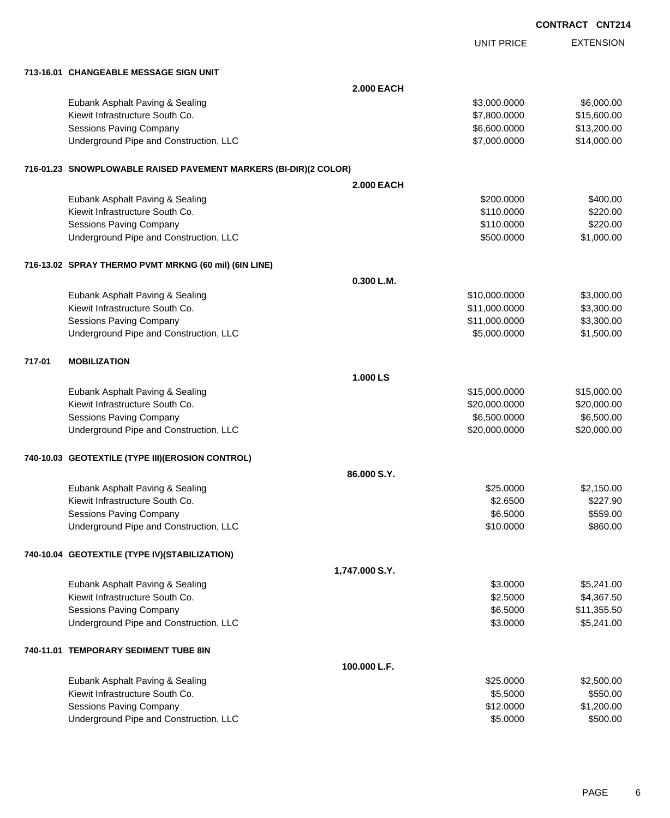|        |                                                                  |                   |                   | <b>CONTRACT CNT214</b> |
|--------|------------------------------------------------------------------|-------------------|-------------------|------------------------|
|        |                                                                  |                   | <b>UNIT PRICE</b> | <b>EXTENSION</b>       |
|        | 713-16.01 CHANGEABLE MESSAGE SIGN UNIT                           |                   |                   |                        |
|        |                                                                  | <b>2.000 EACH</b> |                   |                        |
|        | Eubank Asphalt Paving & Sealing                                  |                   | \$3,000.0000      | \$6,000.00             |
|        | Kiewit Infrastructure South Co.                                  |                   | \$7,800.0000      | \$15,600.00            |
|        | <b>Sessions Paving Company</b>                                   |                   | \$6,600.0000      | \$13,200.00            |
|        | Underground Pipe and Construction, LLC                           |                   | \$7,000.0000      | \$14,000.00            |
|        | 716-01.23 SNOWPLOWABLE RAISED PAVEMENT MARKERS (BI-DIR)(2 COLOR) |                   |                   |                        |
|        |                                                                  | <b>2.000 EACH</b> |                   |                        |
|        | Eubank Asphalt Paving & Sealing                                  |                   | \$200.0000        | \$400.00               |
|        | Kiewit Infrastructure South Co.                                  |                   | \$110.0000        | \$220.00               |
|        | <b>Sessions Paving Company</b>                                   |                   | \$110.0000        | \$220.00               |
|        | Underground Pipe and Construction, LLC                           |                   | \$500.0000        | \$1,000.00             |
|        | 716-13.02 SPRAY THERMO PVMT MRKNG (60 mil) (6IN LINE)            |                   |                   |                        |
|        |                                                                  | 0.300 L.M.        |                   |                        |
|        | Eubank Asphalt Paving & Sealing                                  |                   | \$10,000.0000     | \$3,000.00             |
|        | Kiewit Infrastructure South Co.                                  |                   | \$11,000.0000     | \$3,300.00             |
|        | Sessions Paving Company                                          |                   | \$11,000.0000     | \$3,300.00             |
|        | Underground Pipe and Construction, LLC                           |                   | \$5,000.0000      | \$1,500.00             |
| 717-01 | <b>MOBILIZATION</b>                                              |                   |                   |                        |
|        |                                                                  | 1.000 LS          |                   |                        |
|        | Eubank Asphalt Paving & Sealing                                  |                   | \$15,000.0000     | \$15,000.00            |
|        | Kiewit Infrastructure South Co.                                  |                   | \$20,000.0000     | \$20,000.00            |
|        | Sessions Paving Company                                          |                   | \$6,500.0000      | \$6,500.00             |
|        | Underground Pipe and Construction, LLC                           |                   | \$20,000.0000     | \$20,000.00            |
|        | 740-10.03 GEOTEXTILE (TYPE III) (EROSION CONTROL)                |                   |                   |                        |
|        |                                                                  | 86,000 S.Y.       |                   |                        |
|        | Eubank Asphalt Paving & Sealing                                  |                   | \$25.0000         | \$2,150.00             |
|        | Kiewit Infrastructure South Co.                                  |                   | \$2.6500          | \$227.90               |
|        | <b>Sessions Paving Company</b>                                   |                   | \$6.5000          | \$559.00               |
|        | Underground Pipe and Construction, LLC                           |                   | \$10.0000         | \$860.00               |
|        | 740-10.04 GEOTEXTILE (TYPE IV) (STABILIZATION)                   |                   |                   |                        |
|        |                                                                  | 1,747.000 S.Y.    |                   |                        |
|        | Eubank Asphalt Paving & Sealing                                  |                   | \$3.0000          | \$5,241.00             |
|        | Kiewit Infrastructure South Co.                                  |                   | \$2.5000          | \$4,367.50             |
|        | <b>Sessions Paving Company</b>                                   |                   | \$6.5000          | \$11,355.50            |
|        | Underground Pipe and Construction, LLC                           |                   | \$3.0000          | \$5,241.00             |
|        | 740-11.01 TEMPORARY SEDIMENT TUBE 8IN                            |                   |                   |                        |
|        |                                                                  | 100.000 L.F.      |                   |                        |
|        | Eubank Asphalt Paving & Sealing                                  |                   | \$25.0000         | \$2,500.00             |
|        | Kiewit Infrastructure South Co.                                  |                   | \$5.5000          | \$550.00               |
|        | Sessions Paving Company                                          |                   | \$12.0000         | \$1,200.00             |
|        | Underground Pipe and Construction, LLC                           |                   | \$5.0000          | \$500.00               |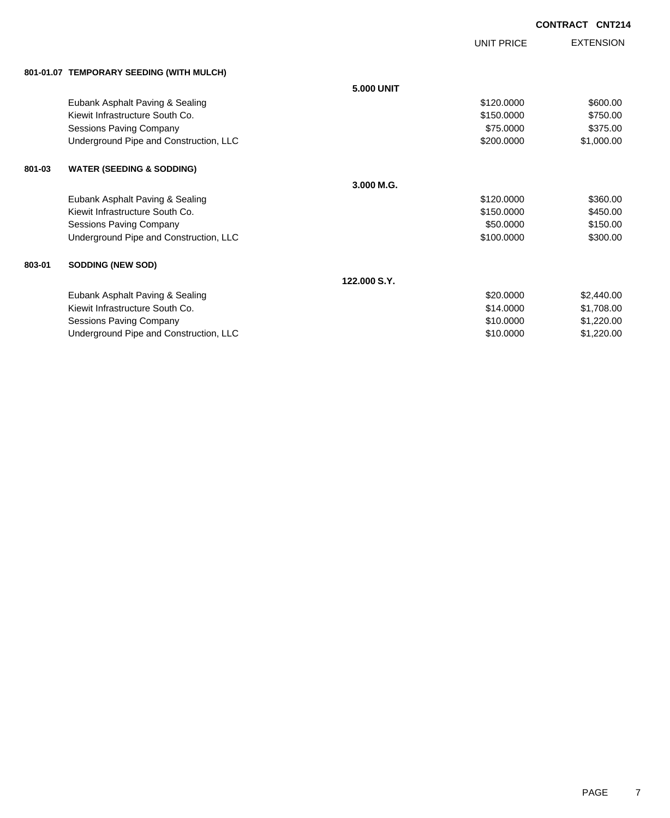UNIT PRICE

EXTENSION

| 801-01.07 TEMPORARY SEEDING (WITH MULCH) |  |
|------------------------------------------|--|
|                                          |  |

|        | 801-01.07 TEMPORARY SEEDING (WITH MULCH) |                   |            |            |
|--------|------------------------------------------|-------------------|------------|------------|
|        |                                          | <b>5.000 UNIT</b> |            |            |
|        | Eubank Asphalt Paving & Sealing          |                   | \$120.0000 | \$600.00   |
|        | Kiewit Infrastructure South Co.          |                   | \$150,0000 | \$750.00   |
|        | Sessions Paving Company                  |                   | \$75.0000  | \$375.00   |
|        | Underground Pipe and Construction, LLC   |                   | \$200.0000 | \$1,000.00 |
| 801-03 | <b>WATER (SEEDING &amp; SODDING)</b>     |                   |            |            |
|        |                                          | 3.000 M.G.        |            |            |
|        | Eubank Asphalt Paving & Sealing          |                   | \$120.0000 | \$360.00   |
|        | Kiewit Infrastructure South Co.          |                   | \$150.0000 | \$450.00   |
|        | <b>Sessions Paving Company</b>           |                   | \$50.0000  | \$150.00   |
|        | Underground Pipe and Construction, LLC   |                   | \$100.0000 | \$300.00   |
| 803-01 | <b>SODDING (NEW SOD)</b>                 |                   |            |            |
|        |                                          | 122.000 S.Y.      |            |            |
|        | Eubank Asphalt Paving & Sealing          |                   | \$20.0000  | \$2,440.00 |
|        | Kiewit Infrastructure South Co.          |                   | \$14,0000  | \$1,708.00 |
|        | Sessions Paving Company                  |                   | \$10.0000  | \$1,220.00 |
|        | Underground Pipe and Construction, LLC   |                   | \$10.0000  | \$1,220.00 |
|        |                                          |                   |            |            |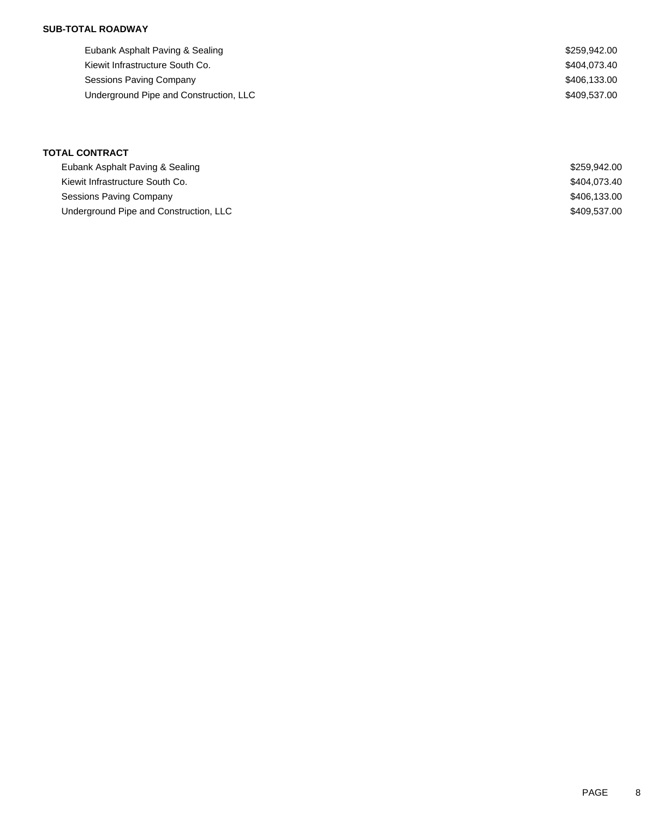| Eubank Asphalt Paving & Sealing        | \$259.942.00 |
|----------------------------------------|--------------|
| Kiewit Infrastructure South Co.        | \$404.073.40 |
| Sessions Paving Company                | \$406,133.00 |
| Underground Pipe and Construction, LLC | \$409.537.00 |
|                                        |              |

| Eubank Asphalt Paving & Sealing        | \$259.942.00 |
|----------------------------------------|--------------|
| Kiewit Infrastructure South Co.        | \$404.073.40 |
| Sessions Paving Company                | \$406.133.00 |
| Underground Pipe and Construction, LLC | \$409.537.00 |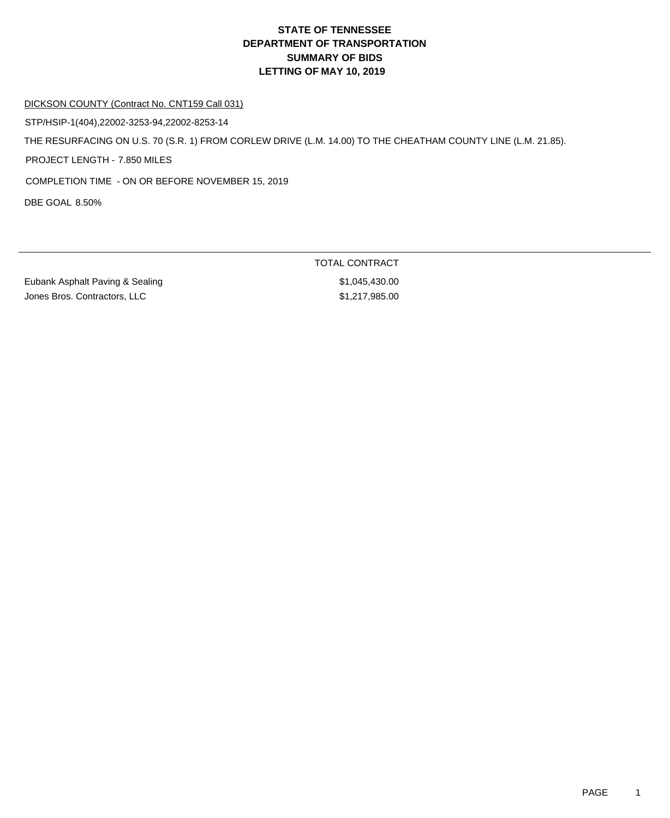#### DICKSON COUNTY (Contract No. CNT159 Call 031)

STP/HSIP-1(404),22002-3253-94,22002-8253-14

THE RESURFACING ON U.S. 70 (S.R. 1) FROM CORLEW DRIVE (L.M. 14.00) TO THE CHEATHAM COUNTY LINE (L.M. 21.85).

PROJECT LENGTH - 7.850 MILES

COMPLETION TIME - ON OR BEFORE NOVEMBER 15, 2019

DBE GOAL 8.50%

Eubank Asphalt Paving & Sealing \$1,045,430.00 Jones Bros. Contractors, LLC \$1,217,985.00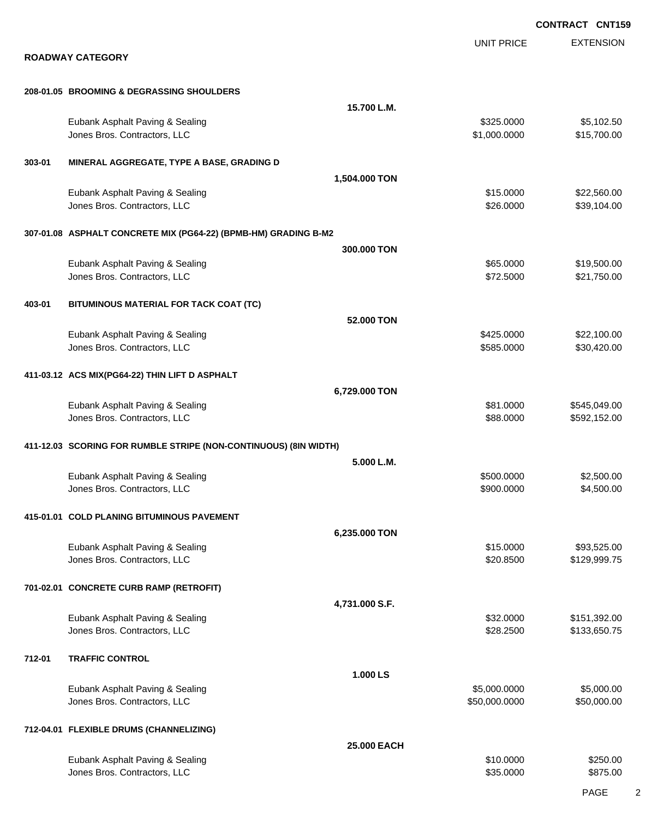EXTENSION **CONTRACT CNT159** UNIT PRICE **ROADWAY CATEGORY 208-01.05 BROOMING & DEGRASSING SHOULDERS 15.700 L.M.** Eubank Asphalt Paving & Sealing \$325.0000 \$5,102.50 Jones Bros. Contractors, LLC \$1,000.0000 \$15,700.00 **303-01 MINERAL AGGREGATE, TYPE A BASE, GRADING D 1,504.000 TON** Eubank Asphalt Paving & Sealing \$15.0000 \$22,560.00 Jones Bros. Contractors, LLC 6. 2000 \$39,104.00 **307-01.08 ASPHALT CONCRETE MIX (PG64-22) (BPMB-HM) GRADING B-M2 300.000 TON** Eubank Asphalt Paving & Sealing \$65.0000 \$19,500.00 Jones Bros. Contractors, LLC \$72.5000 \$21,750.00 **403-01 BITUMINOUS MATERIAL FOR TACK COAT (TC) 52.000 TON** Eubank Asphalt Paving & Sealing \$425.0000 \$22,100.00 Jones Bros. Contractors, LLC \$585.0000 \$30,420.00 **411-03.12 ACS MIX(PG64-22) THIN LIFT D ASPHALT 6,729.000 TON** Eubank Asphalt Paving & Sealing \$81.0000 \$545,049.00 versions and the set of the set of the set of the set of the set of the set of the set of the set of the set of the set of the set of the set of the set of the set of the set of the set of the set of the set of the set of **411-12.03 SCORING FOR RUMBLE STRIPE (NON-CONTINUOUS) (8IN WIDTH) 5.000 L.M.** Eubank Asphalt Paving & Sealing \$500.000 \$2,500.000 \$2,500.000 \$2,500.000 \$2,500.00 Jones Bros. Contractors, LLC \$900.0000 \$4,500.00 **415-01.01 COLD PLANING BITUMINOUS PAVEMENT 6,235.000 TON** Eubank Asphalt Paving & Sealing \$15.000 \$93,525.00 Jones Bros. Contractors, LLC 6. The state of the state of the state of the state of the state of the state of the state of the state of the state of the state of the state of the state of the state of the state of the stat **701-02.01 CONCRETE CURB RAMP (RETROFIT) 4,731.000 S.F.** Eubank Asphalt Paving & Sealing \$32.000 \$151,392.00 Jones Bros. Contractors, LLC \$28.2500 \$133,650.75 **712-01 TRAFFIC CONTROL 1.000 LS** Eubank Asphalt Paving & Sealing \$5,000.000 \$5,000.000 \$5,000.000 \$5,000.000 \$5,000.000 \$5,000.00 Jones Bros. Contractors, LLC \$50,000.0000 \$50,000.00 **712-04.01 FLEXIBLE DRUMS (CHANNELIZING) 25.000 EACH** Eubank Asphalt Paving & Sealing \$10.0000 \$250.00 Jones Bros. Contractors, LLC 66 and the state of the state of the state of the state of the state of the state of the state of the state of the state of the state of the state of the state of the state of the state of the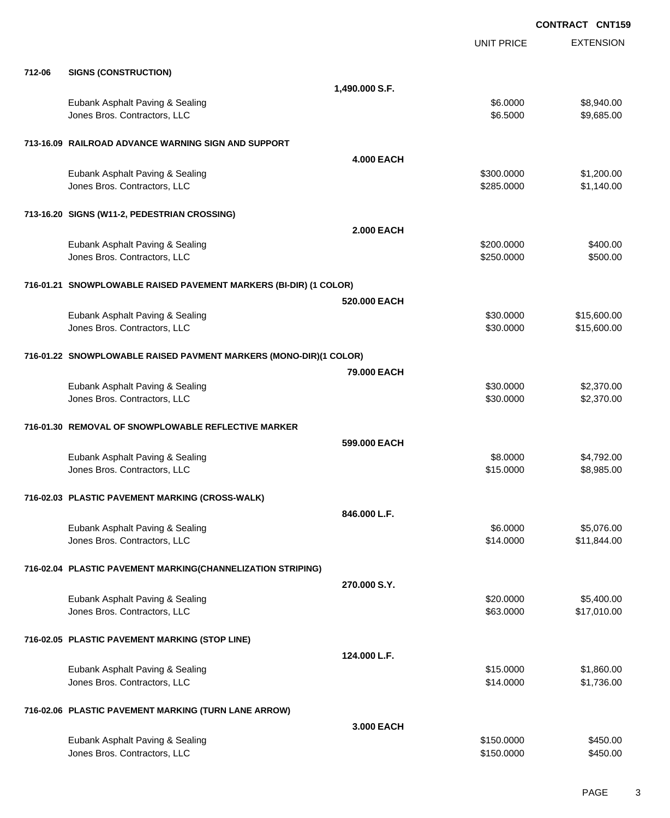EXTENSION **CONTRACT CNT159** UNIT PRICE **712-06 SIGNS (CONSTRUCTION) 1,490.000 S.F.** Eubank Asphalt Paving & Sealing \$6.0000 \$8,940.00 Jones Bros. Contractors, LLC \$6.5000 \$9,685.00 **713-16.09 RAILROAD ADVANCE WARNING SIGN AND SUPPORT 4.000 EACH** Eubank Asphalt Paving & Sealing \$300.0000 \$1,200.00 Jones Bros. Contractors, LLC \$285.0000 \$1,140.00 **713-16.20 SIGNS (W11-2, PEDESTRIAN CROSSING) 2.000 EACH** Eubank Asphalt Paving & Sealing \$200.000 \$400.00 Jones Bros. Contractors, LLC \$250.0000 \$500.00 **716-01.21 SNOWPLOWABLE RAISED PAVEMENT MARKERS (BI-DIR) (1 COLOR) 520.000 EACH** Eubank Asphalt Paving & Sealing \$30.000 \$15,600.00 Jones Bros. Contractors, LLC 6. 2010 10:00:00 \$15,600.00 \$15,600.00 **716-01.22 SNOWPLOWABLE RAISED PAVMENT MARKERS (MONO-DIR)(1 COLOR) 79.000 EACH** Eubank Asphalt Paving & Sealing \$30.000 \$2,370.00 Jones Bros. Contractors, LLC 6. 2009 62,370.00 **716-01.30 REMOVAL OF SNOWPLOWABLE REFLECTIVE MARKER 599.000 EACH** Eubank Asphalt Paving & Sealing \$8.0000 \$4,792.00 Jones Bros. Contractors, LLC \$15.0000 \$8,985.00 **716-02.03 PLASTIC PAVEMENT MARKING (CROSS-WALK) 846.000 L.F.** Eubank Asphalt Paving & Sealing \$6.0000 \$5,076.00 Jones Bros. Contractors, LLC \$14.0000 \$11,844.00 **716-02.04 PLASTIC PAVEMENT MARKING(CHANNELIZATION STRIPING) 270.000 S.Y.** Eubank Asphalt Paving & Sealing \$20.000 \$5,400.00 Jones Bros. Contractors, LLC 63.0000 \$17,010.00 **716-02.05 PLASTIC PAVEMENT MARKING (STOP LINE) 124.000 L.F.** Eubank Asphalt Paving & Sealing \$15.0000 \$1,860.00 Jones Bros. Contractors, LLC \$14.0000 \$1,736.00 **716-02.06 PLASTIC PAVEMENT MARKING (TURN LANE ARROW) 3.000 EACH** Eubank Asphalt Paving & Sealing \$150.000 \$450.00

Jones Bros. Contractors, LLC \$150.0000 \$450.00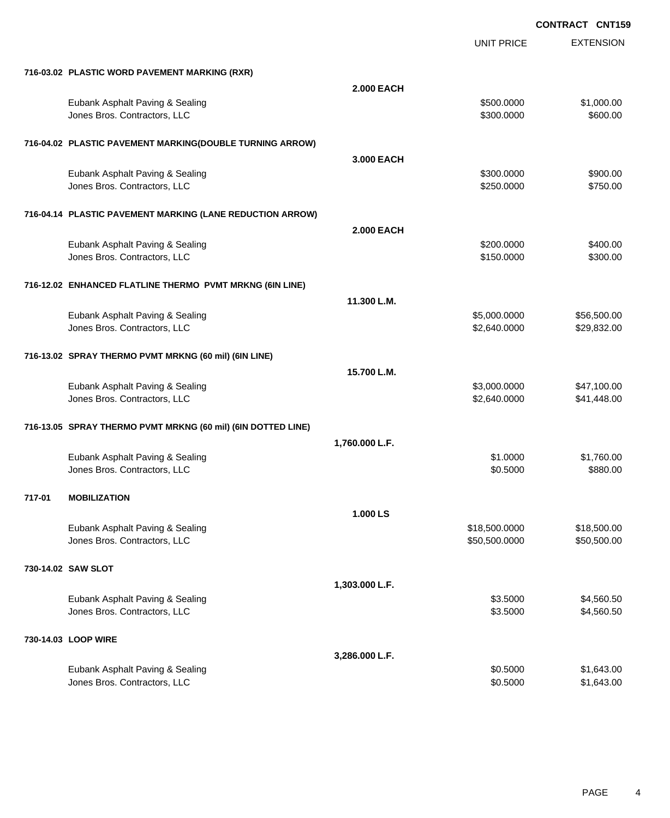|        |                                                              |                   | UNIT PRICE    | <b>EXTENSION</b> |
|--------|--------------------------------------------------------------|-------------------|---------------|------------------|
|        | 716-03.02 PLASTIC WORD PAVEMENT MARKING (RXR)                |                   |               |                  |
|        |                                                              | <b>2.000 EACH</b> |               |                  |
|        | Eubank Asphalt Paving & Sealing                              |                   | \$500.0000    | \$1,000.00       |
|        | Jones Bros. Contractors, LLC                                 |                   | \$300.0000    | \$600.00         |
|        |                                                              |                   |               |                  |
|        | 716-04.02 PLASTIC PAVEMENT MARKING(DOUBLE TURNING ARROW)     |                   |               |                  |
|        |                                                              | 3.000 EACH        |               |                  |
|        | Eubank Asphalt Paving & Sealing                              |                   | \$300.0000    | \$900.00         |
|        | Jones Bros. Contractors, LLC                                 |                   | \$250.0000    | \$750.00         |
|        |                                                              |                   |               |                  |
|        | 716-04.14 PLASTIC PAVEMENT MARKING (LANE REDUCTION ARROW)    |                   |               |                  |
|        |                                                              | <b>2.000 EACH</b> |               |                  |
|        | Eubank Asphalt Paving & Sealing                              |                   | \$200.0000    | \$400.00         |
|        | Jones Bros. Contractors, LLC                                 |                   | \$150.0000    | \$300.00         |
|        |                                                              |                   |               |                  |
|        | 716-12.02 ENHANCED FLATLINE THERMO PVMT MRKNG (6IN LINE)     |                   |               |                  |
|        |                                                              | 11.300 L.M.       |               |                  |
|        | Eubank Asphalt Paving & Sealing                              |                   | \$5,000.0000  | \$56,500.00      |
|        | Jones Bros. Contractors, LLC                                 |                   | \$2,640.0000  | \$29,832.00      |
|        |                                                              |                   |               |                  |
|        | 716-13.02 SPRAY THERMO PVMT MRKNG (60 mil) (6IN LINE)        |                   |               |                  |
|        |                                                              | 15.700 L.M.       |               |                  |
|        | Eubank Asphalt Paving & Sealing                              |                   | \$3,000.0000  | \$47,100.00      |
|        | Jones Bros. Contractors, LLC                                 |                   | \$2,640.0000  | \$41,448.00      |
|        |                                                              |                   |               |                  |
|        | 716-13.05 SPRAY THERMO PVMT MRKNG (60 mil) (6IN DOTTED LINE) |                   |               |                  |
|        |                                                              | 1,760.000 L.F.    |               |                  |
|        | Eubank Asphalt Paving & Sealing                              |                   | \$1.0000      | \$1,760.00       |
|        | Jones Bros. Contractors, LLC                                 |                   | \$0.5000      | \$880.00         |
|        |                                                              |                   |               |                  |
| 717-01 | <b>MOBILIZATION</b>                                          |                   |               |                  |
|        |                                                              | 1.000 LS          |               |                  |
|        | Eubank Asphalt Paving & Sealing                              |                   | \$18,500.0000 | \$18,500.00      |
|        | Jones Bros. Contractors, LLC                                 |                   | \$50,500.0000 | \$50,500.00      |
|        |                                                              |                   |               |                  |
|        | 730-14.02 SAW SLOT                                           |                   |               |                  |
|        |                                                              | 1,303.000 L.F.    |               |                  |
|        | Eubank Asphalt Paving & Sealing                              |                   | \$3.5000      | \$4,560.50       |
|        | Jones Bros. Contractors, LLC                                 |                   | \$3.5000      | \$4,560.50       |
|        |                                                              |                   |               |                  |
|        | 730-14.03 LOOP WIRE                                          |                   |               |                  |
|        |                                                              | 3,286.000 L.F.    |               |                  |
|        | Eubank Asphalt Paving & Sealing                              |                   | \$0.5000      | \$1,643.00       |
|        | Jones Bros. Contractors, LLC                                 |                   | \$0.5000      | \$1,643.00       |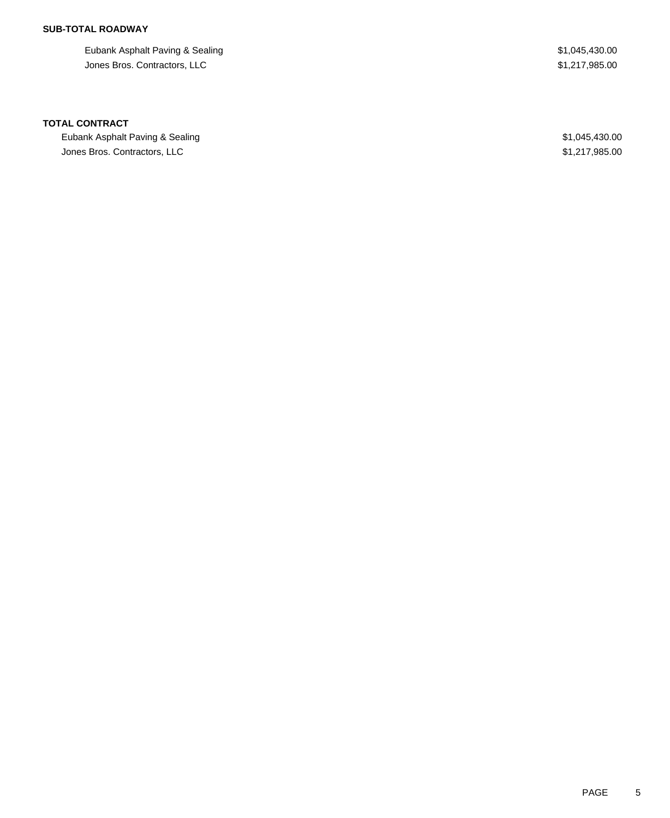Eubank Asphalt Paving & Sealing  $$1,045,430.00$ Jones Bros. Contractors, LLC \$1,217,985.00

#### **TOTAL CONTRACT**

Eubank Asphalt Paving & Sealing **\$1,045,430.00** \$1,045,430.00 Jones Bros. Contractors, LLC \$1,217,985.00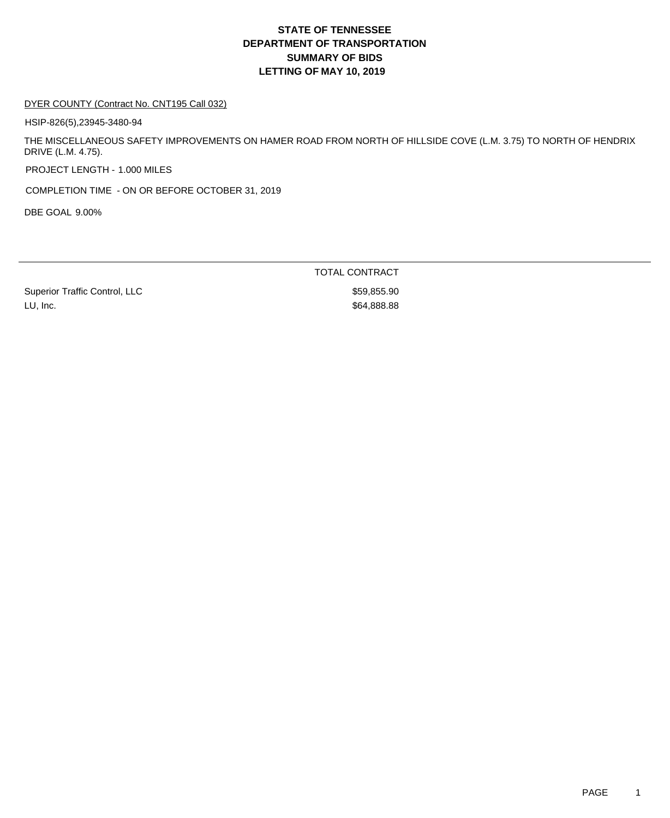#### DYER COUNTY (Contract No. CNT195 Call 032)

HSIP-826(5),23945-3480-94

THE MISCELLANEOUS SAFETY IMPROVEMENTS ON HAMER ROAD FROM NORTH OF HILLSIDE COVE (L.M. 3.75) TO NORTH OF HENDRIX DRIVE (L.M. 4.75).

PROJECT LENGTH - 1.000 MILES

COMPLETION TIME - ON OR BEFORE OCTOBER 31, 2019

DBE GOAL 9.00%

TOTAL CONTRACT

Superior Traffic Control, LLC \$59,855.90 LU, Inc. \$64,888.88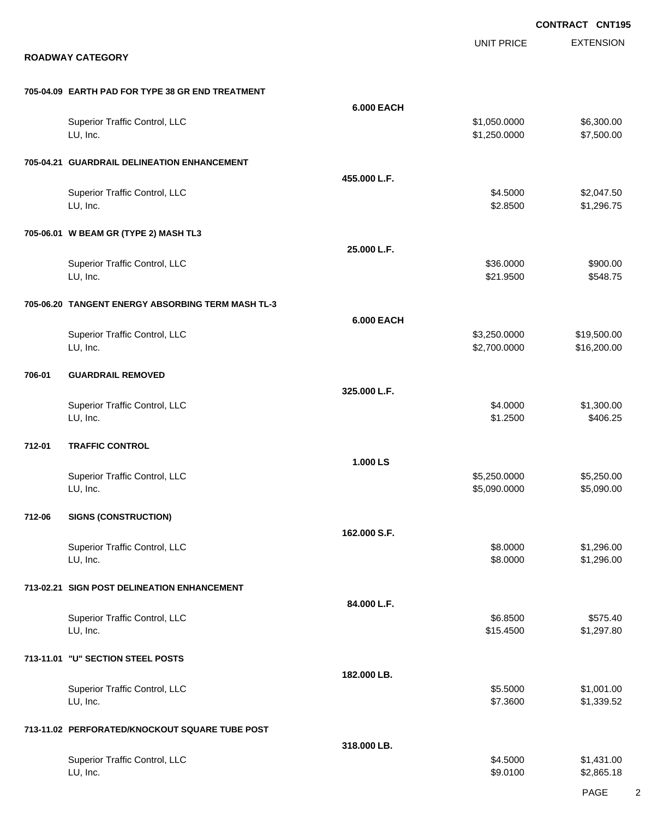EXTENSION **CONTRACT CNT195** UNIT PRICE **ROADWAY CATEGORY 705-04.09 EARTH PAD FOR TYPE 38 GR END TREATMENT 6.000 EACH** Superior Traffic Control, LLC 6.300.00 \$6,300.00 \$6,300.00 LU, Inc. \$1,250.0000 \$7,500.00 **705-04.21 GUARDRAIL DELINEATION ENHANCEMENT 455.000 L.F.** Superior Traffic Control, LLC 63.047.50 LU, Inc. \$2.8500 \$1,296.75 **705-06.01 W BEAM GR (TYPE 2) MASH TL3 25.000 L.F.** Superior Traffic Control, LLC \$36.0000 \$900.00 LU, Inc. \$21.9500 \$548.75 **705-06.20 TANGENT ENERGY ABSORBING TERM MASH TL-3 6.000 EACH** Superior Traffic Control, LLC 6 19,500.00 \$19,500.00 \$19,500.00 LU, Inc. \$2,700.0000 \$16,200.00 **706-01 GUARDRAIL REMOVED 325.000 L.F.** Superior Traffic Control, LLC 61,300.00 \$1,300.00 \$1,300.00 \$1,300.00 LU, Inc. \$1.2500 \$406.25 **712-01 TRAFFIC CONTROL 1.000 LS** Superior Traffic Control, LLC 65,250.000 \$5,250.000 \$5,250.000 \$5,250.000 LU, Inc. \$5,090.0000 \$5,090.00 **712-06 SIGNS (CONSTRUCTION) 162.000 S.F.** Superior Traffic Control, LLC 68.000 \$1,296.00 LU, Inc. \$8.0000 \$1,296.00 **713-02.21 SIGN POST DELINEATION ENHANCEMENT 84.000 L.F.** Superior Traffic Control, LLC **\$575.40** \$575.40 LU, Inc. \$15.4500 \$1,297.80 **713-11.01 "U" SECTION STEEL POSTS 182.000 LB.** Superior Traffic Control, LLC 65.5000 \$1,001.00 LU, Inc. \$7.3600 \$1,339.52 **713-11.02 PERFORATED/KNOCKOUT SQUARE TUBE POST 318.000 LB.** Superior Traffic Control, LLC 631,431.00 LU, Inc. \$9.0100 \$2,865.18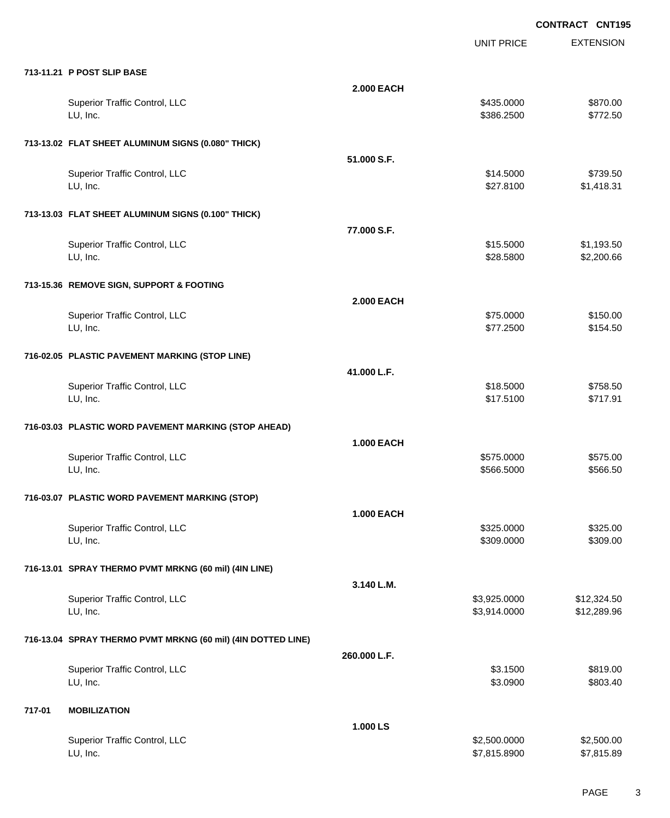UNIT PRICE

EXTENSION

|                   | \$435.0000 | \$870.00   |
|-------------------|------------|------------|
|                   | \$386.2500 | \$772.50   |
|                   |            |            |
| 51.000 S.F.       |            |            |
|                   | \$14.5000  | \$739.50   |
|                   | \$27.8100  | \$1,418.31 |
|                   |            |            |
| 77.000 S.F.       |            |            |
|                   | \$15.5000  | \$1,193.50 |
|                   | \$28.5800  | \$2,200.66 |
|                   |            |            |
| <b>2.000 EACH</b> |            |            |
|                   | \$75.0000  | \$150.00   |
|                   | \$77.2500  | \$154.50   |
|                   |            |            |

**713-11.21 P POST SLIP BASE**

| \$150.00<br>\$154.50<br>\$758.50 |
|----------------------------------|
|                                  |
|                                  |
|                                  |
|                                  |
|                                  |
|                                  |
| \$717.91                         |
|                                  |
|                                  |
| \$575.00                         |
| \$566.50                         |
|                                  |
|                                  |
| \$325.00                         |
| \$309.00                         |
|                                  |
|                                  |
| \$12,324.50                      |
| \$12,289.96                      |
|                                  |
|                                  |
| \$819.00                         |
| \$803.40                         |
|                                  |
|                                  |

**2.000 EACH**

|                               | 1.000 LS     |            |
|-------------------------------|--------------|------------|
| Superior Traffic Control, LLC | \$2,500.0000 | \$2,500.00 |
| LU, Inc.                      | \$7.815.8900 | \$7,815.89 |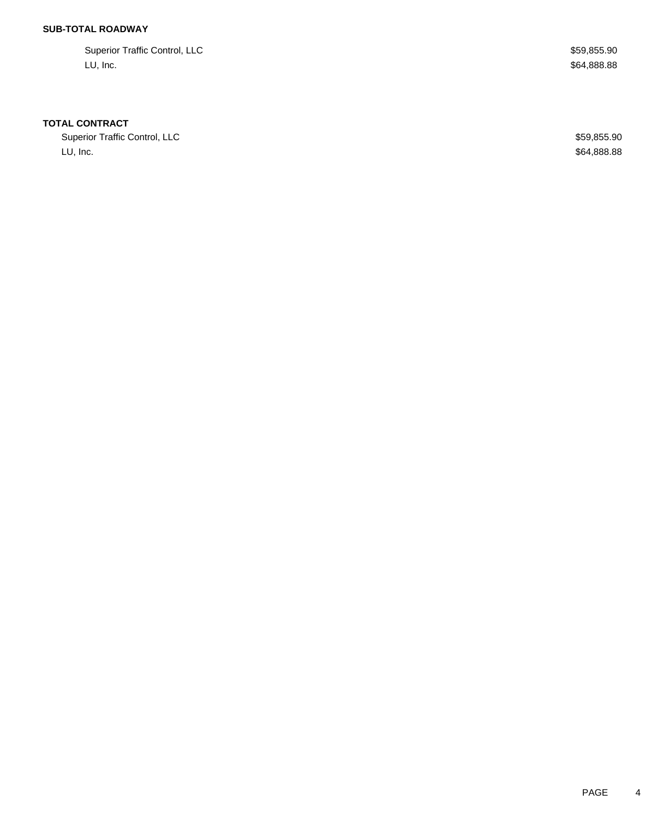Superior Traffic Control, LLC 600 and 200 and 200 and 200 and 200 and 200 and 200 and 200 and 359,855.90 LU, Inc.  $\sim$  \$64,888.88

#### **TOTAL CONTRACT**

Superior Traffic Control, LLC \$59,855.90 LU, Inc.  $\sim$  \$64,888.88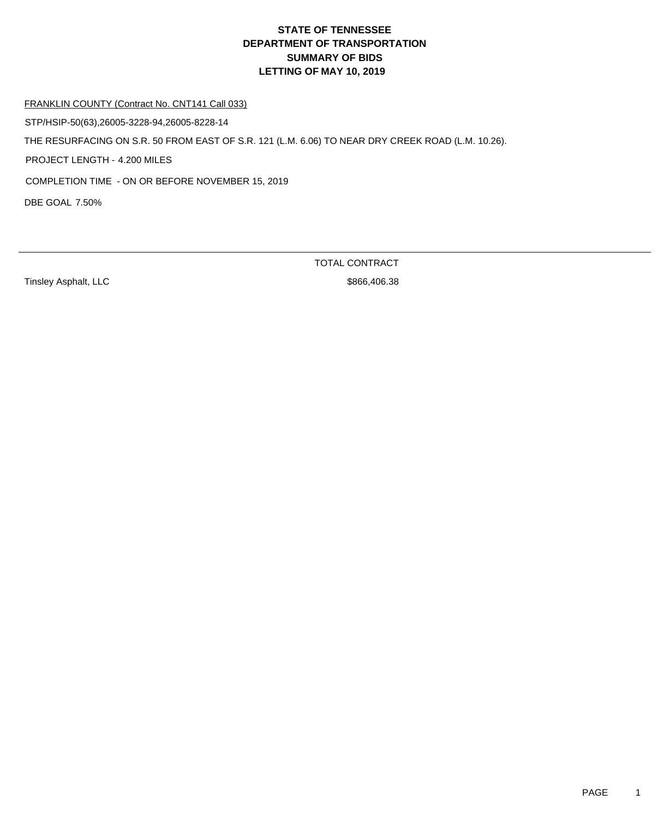FRANKLIN COUNTY (Contract No. CNT141 Call 033)

STP/HSIP-50(63),26005-3228-94,26005-8228-14

THE RESURFACING ON S.R. 50 FROM EAST OF S.R. 121 (L.M. 6.06) TO NEAR DRY CREEK ROAD (L.M. 10.26).

PROJECT LENGTH - 4.200 MILES

COMPLETION TIME - ON OR BEFORE NOVEMBER 15, 2019

DBE GOAL 7.50%

Tinsley Asphalt, LLC \$866,406.38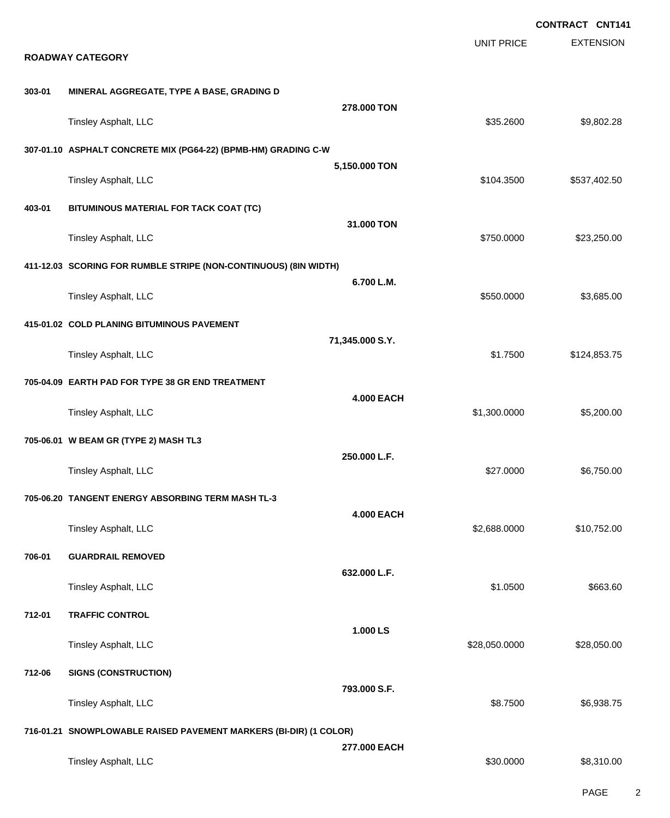|                                                                   |                                                                  |                   |                   | <b>CONTRACT CNT141</b> |
|-------------------------------------------------------------------|------------------------------------------------------------------|-------------------|-------------------|------------------------|
|                                                                   | <b>ROADWAY CATEGORY</b>                                          |                   | <b>UNIT PRICE</b> | <b>EXTENSION</b>       |
| 303-01                                                            | MINERAL AGGREGATE, TYPE A BASE, GRADING D                        |                   |                   |                        |
|                                                                   | Tinsley Asphalt, LLC                                             | 278.000 TON       | \$35.2600         | \$9,802.28             |
|                                                                   | 307-01.10 ASPHALT CONCRETE MIX (PG64-22) (BPMB-HM) GRADING C-W   |                   |                   |                        |
|                                                                   | Tinsley Asphalt, LLC                                             | 5,150.000 TON     | \$104.3500        | \$537,402.50           |
| 403-01                                                            | BITUMINOUS MATERIAL FOR TACK COAT (TC)                           | 31.000 TON        |                   |                        |
|                                                                   | Tinsley Asphalt, LLC                                             |                   | \$750.0000        | \$23,250.00            |
|                                                                   | 411-12.03 SCORING FOR RUMBLE STRIPE (NON-CONTINUOUS) (8IN WIDTH) |                   |                   |                        |
|                                                                   | Tinsley Asphalt, LLC                                             | 6.700 L.M.        | \$550.0000        | \$3,685.00             |
|                                                                   | 415-01.02 COLD PLANING BITUMINOUS PAVEMENT                       |                   |                   |                        |
|                                                                   | Tinsley Asphalt, LLC                                             | 71,345.000 S.Y.   | \$1.7500          | \$124,853.75           |
|                                                                   | 705-04.09 EARTH PAD FOR TYPE 38 GR END TREATMENT                 |                   |                   |                        |
|                                                                   | Tinsley Asphalt, LLC                                             | <b>4.000 EACH</b> | \$1,300.0000      | \$5,200.00             |
|                                                                   | 705-06.01 W BEAM GR (TYPE 2) MASH TL3                            |                   |                   |                        |
|                                                                   | Tinsley Asphalt, LLC                                             | 250.000 L.F.      | \$27.0000         | \$6,750.00             |
|                                                                   | 705-06.20 TANGENT ENERGY ABSORBING TERM MASH TL-3                |                   |                   |                        |
|                                                                   | Tinsley Asphalt, LLC                                             | <b>4.000 EACH</b> | \$2,688.0000      | \$10,752.00            |
| 706-01                                                            | <b>GUARDRAIL REMOVED</b>                                         |                   |                   |                        |
|                                                                   | Tinsley Asphalt, LLC                                             | 632.000 L.F.      | \$1.0500          | \$663.60               |
| 712-01                                                            | <b>TRAFFIC CONTROL</b>                                           | 1.000 LS          |                   |                        |
|                                                                   | Tinsley Asphalt, LLC                                             |                   | \$28,050.0000     | \$28,050.00            |
| 712-06                                                            | <b>SIGNS (CONSTRUCTION)</b>                                      |                   |                   |                        |
|                                                                   | Tinsley Asphalt, LLC                                             | 793.000 S.F.      | \$8.7500          | \$6,938.75             |
| 716-01.21 SNOWPLOWABLE RAISED PAVEMENT MARKERS (BI-DIR) (1 COLOR) |                                                                  |                   |                   |                        |
|                                                                   | Tinsley Asphalt, LLC                                             | 277.000 EACH      | \$30.0000         | \$8,310.00             |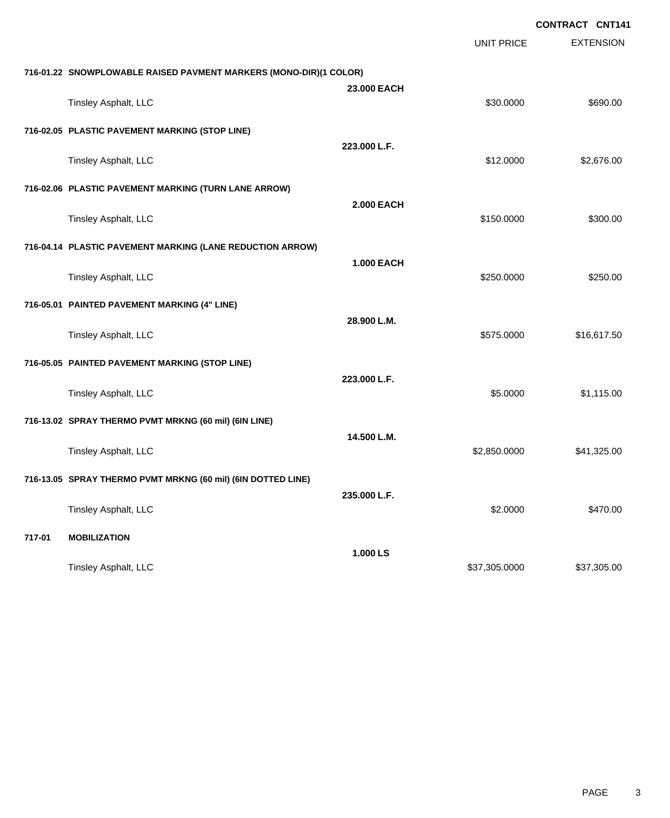|        |                                                                   |                   | <b>UNIT PRICE</b> | <b>CONTRACT CNT141</b><br><b>EXTENSION</b> |
|--------|-------------------------------------------------------------------|-------------------|-------------------|--------------------------------------------|
|        | 716-01.22 SNOWPLOWABLE RAISED PAVMENT MARKERS (MONO-DIR)(1 COLOR) |                   |                   |                                            |
|        | Tinsley Asphalt, LLC                                              | 23,000 EACH       | \$30.0000         | \$690.00                                   |
|        | 716-02.05 PLASTIC PAVEMENT MARKING (STOP LINE)                    |                   |                   |                                            |
|        | Tinsley Asphalt, LLC                                              | 223.000 L.F.      | \$12.0000         | \$2,676.00                                 |
|        | 716-02.06 PLASTIC PAVEMENT MARKING (TURN LANE ARROW)              |                   |                   |                                            |
|        | Tinsley Asphalt, LLC                                              | <b>2.000 EACH</b> | \$150.0000        | \$300.00                                   |
|        | 716-04.14 PLASTIC PAVEMENT MARKING (LANE REDUCTION ARROW)         |                   |                   |                                            |
|        | Tinsley Asphalt, LLC                                              | <b>1.000 EACH</b> | \$250.0000        | \$250.00                                   |
|        | 716-05.01 PAINTED PAVEMENT MARKING (4" LINE)                      |                   |                   |                                            |
|        | Tinsley Asphalt, LLC                                              | 28.900 L.M.       | \$575.0000        | \$16,617.50                                |
|        | 716-05.05 PAINTED PAVEMENT MARKING (STOP LINE)                    |                   |                   |                                            |
|        | Tinsley Asphalt, LLC                                              | 223.000 L.F.      | \$5.0000          | \$1,115.00                                 |
|        | 716-13.02 SPRAY THERMO PVMT MRKNG (60 mil) (6IN LINE)             |                   |                   |                                            |
|        | Tinsley Asphalt, LLC                                              | 14.500 L.M.       | \$2,850.0000      | \$41,325.00                                |
|        | 716-13.05 SPRAY THERMO PVMT MRKNG (60 mil) (6IN DOTTED LINE)      |                   |                   |                                            |
|        | Tinsley Asphalt, LLC                                              | 235.000 L.F.      | \$2.0000          | \$470.00                                   |
| 717-01 | <b>MOBILIZATION</b>                                               |                   |                   |                                            |
|        |                                                                   | 1.000 LS          |                   |                                            |

Tinsley Asphalt, LLC \$37,305.000 \$37,305.000 \$37,305.000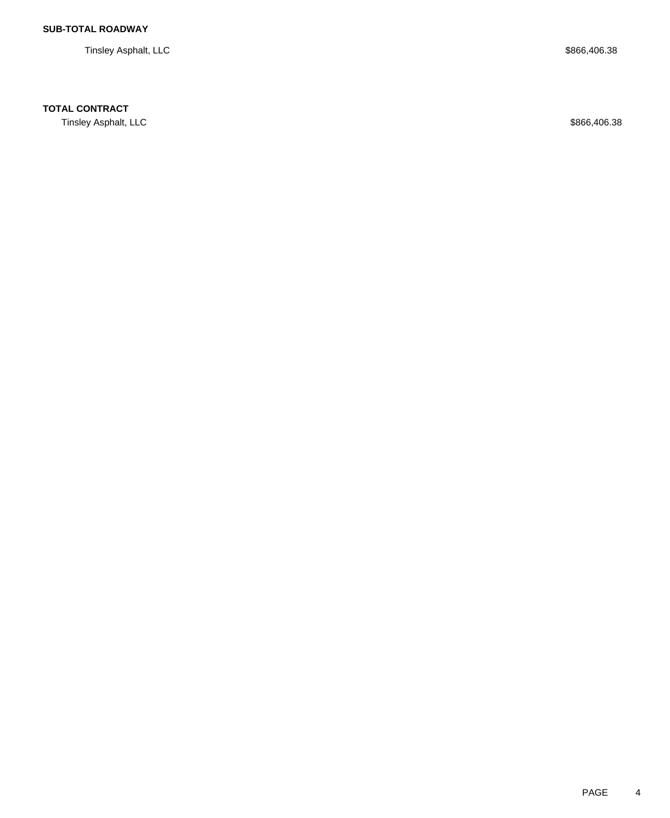Tinsley Asphalt, LLC \$866,406.38

# **TOTAL CONTRACT**

Tinsley Asphalt, LLC \$866,406.38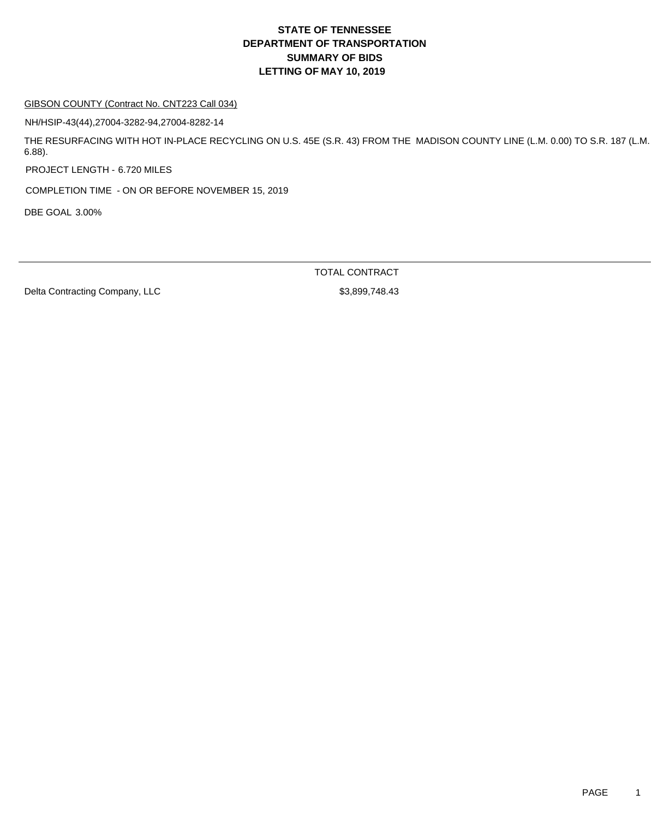#### GIBSON COUNTY (Contract No. CNT223 Call 034)

NH/HSIP-43(44),27004-3282-94,27004-8282-14

THE RESURFACING WITH HOT IN-PLACE RECYCLING ON U.S. 45E (S.R. 43) FROM THE MADISON COUNTY LINE (L.M. 0.00) TO S.R. 187 (L.M. 6.88).

PROJECT LENGTH - 6.720 MILES

COMPLETION TIME - ON OR BEFORE NOVEMBER 15, 2019

DBE GOAL 3.00%

TOTAL CONTRACT

Delta Contracting Company, LLC \$3,899,748.43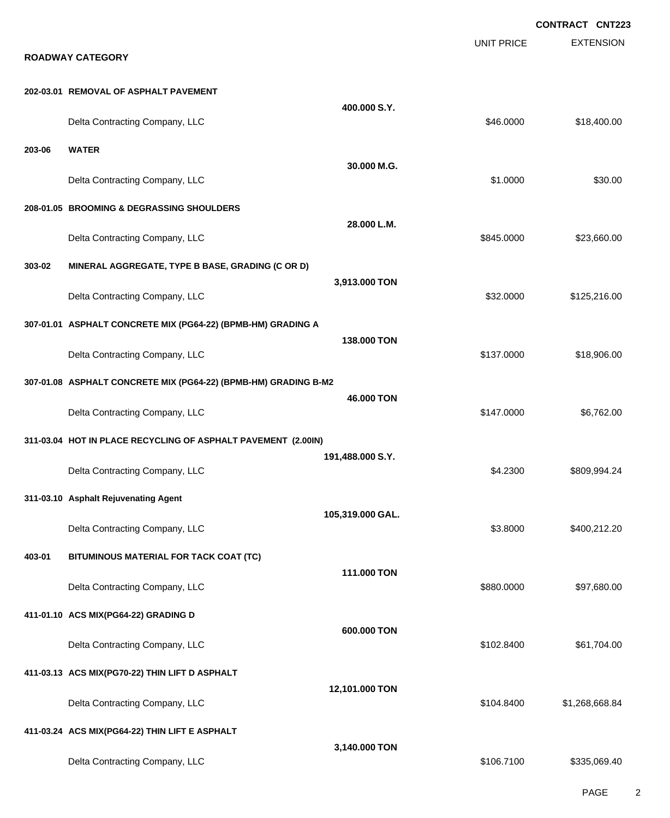EXTENSION **CONTRACT CNT223** UNIT PRICE **ROADWAY CATEGORY 202-03.01 REMOVAL OF ASPHALT PAVEMENT 400.000 S.Y.** Delta Contracting Company, LLC **but a set of the set of the set of the set of the set of the set of the set of the set of the set of the set of the set of the set of the set of the set of the set of the set of the set of t 203-06 WATER 30.000 M.G.** Delta Contracting Company, LLC 630.00 \$30.00 **208-01.05 BROOMING & DEGRASSING SHOULDERS 28.000 L.M.** Delta Contracting Company, LLC **6.6000 \$23,660.00** \$845.0000 \$23,660.00 **303-02 MINERAL AGGREGATE, TYPE B BASE, GRADING (C OR D) 3,913.000 TON** Delta Contracting Company, LLC **but a struck of the struck of the struck of the struck of the struck of the struck of the struck of the struck of the struck of the struck of the struck of the struck of the struck of the st 307-01.01 ASPHALT CONCRETE MIX (PG64-22) (BPMB-HM) GRADING A 138.000 TON** Delta Contracting Company, LLC **but a struck of the struck of the struck of the struck of the struck of the struck of the struck of the struck of the struck of the struck of the struck of the struck of the struck of the st 307-01.08 ASPHALT CONCRETE MIX (PG64-22) (BPMB-HM) GRADING B-M2 46.000 TON** Delta Contracting Company, LLC 6.762.00 **311-03.04 HOT IN PLACE RECYCLING OF ASPHALT PAVEMENT (2.00IN) 191,488.000 S.Y.** Delta Contracting Company, LLC **Contraction Contraction Contraction** Contraction Contraction Company, LLC **\$4.2300** \$809,994.24 **311-03.10 Asphalt Rejuvenating Agent 105,319.000 GAL.** Delta Contracting Company, LLC **6.8000 \$400,212.20** \$3.8000 \$400,212.20 **403-01 BITUMINOUS MATERIAL FOR TACK COAT (TC) 111.000 TON** Delta Contracting Company, LLC **6880.000 \$97,680.000 \$97,680.000** \$97,680.000 **411-01.10 ACS MIX(PG64-22) GRADING D 600.000 TON** Delta Contracting Company, LLC **60.8400 \$61,704.00** \$61,704.00 **411-03.13 ACS MIX(PG70-22) THIN LIFT D ASPHALT 12,101.000 TON** Delta Contracting Company, LLC **1996 and 2012 12:34 and 3104.8400** \$1,268,668.84 **411-03.24 ACS MIX(PG64-22) THIN LIFT E ASPHALT 3,140.000 TON** Delta Contracting Company, LLC 6. The state of the state of the state of the state of the state of the state of the state of the state of the state of the state of the state of the state of the state of the state of the st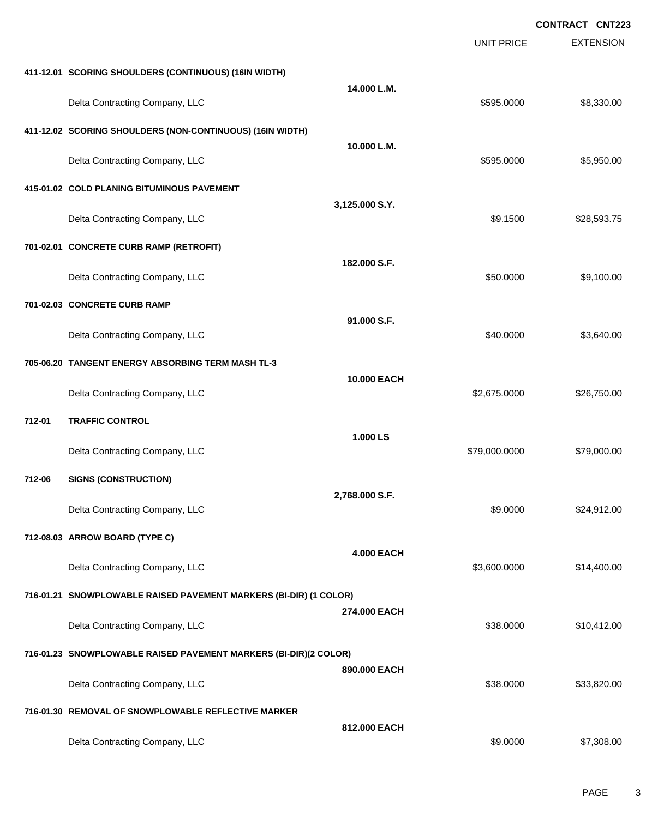|        |                                                                   |                   |                   | <b>CONTRACT CNT223</b> |
|--------|-------------------------------------------------------------------|-------------------|-------------------|------------------------|
|        |                                                                   |                   | <b>UNIT PRICE</b> | <b>EXTENSION</b>       |
|        | 411-12.01 SCORING SHOULDERS (CONTINUOUS) (16IN WIDTH)             |                   |                   |                        |
|        | Delta Contracting Company, LLC                                    | 14.000 L.M.       | \$595.0000        | \$8,330.00             |
|        | 411-12.02 SCORING SHOULDERS (NON-CONTINUOUS) (16IN WIDTH)         |                   |                   |                        |
|        | Delta Contracting Company, LLC                                    | 10.000 L.M.       | \$595.0000        | \$5,950.00             |
|        | 415-01.02 COLD PLANING BITUMINOUS PAVEMENT                        |                   |                   |                        |
|        | Delta Contracting Company, LLC                                    | 3,125.000 S.Y.    | \$9.1500          | \$28,593.75            |
|        | 701-02.01 CONCRETE CURB RAMP (RETROFIT)                           |                   |                   |                        |
|        | Delta Contracting Company, LLC                                    | 182.000 S.F.      | \$50.0000         | \$9,100.00             |
|        | 701-02.03 CONCRETE CURB RAMP                                      |                   |                   |                        |
|        | Delta Contracting Company, LLC                                    | 91.000 S.F.       | \$40.0000         | \$3,640.00             |
|        | 705-06.20 TANGENT ENERGY ABSORBING TERM MASH TL-3                 |                   |                   |                        |
|        | Delta Contracting Company, LLC                                    | 10.000 EACH       | \$2,675.0000      | \$26,750.00            |
| 712-01 | <b>TRAFFIC CONTROL</b>                                            |                   |                   |                        |
|        | Delta Contracting Company, LLC                                    | 1.000 LS          | \$79,000.0000     | \$79,000.00            |
| 712-06 | <b>SIGNS (CONSTRUCTION)</b>                                       |                   |                   |                        |
|        | Delta Contracting Company, LLC                                    | 2,768.000 S.F.    | \$9.0000          | \$24,912.00            |
|        | 712-08.03 ARROW BOARD (TYPE C)                                    |                   |                   |                        |
|        | Delta Contracting Company, LLC                                    | <b>4.000 EACH</b> | \$3,600.0000      | \$14,400.00            |
|        | 716-01.21 SNOWPLOWABLE RAISED PAVEMENT MARKERS (BI-DIR) (1 COLOR) |                   |                   |                        |
|        | Delta Contracting Company, LLC                                    | 274.000 EACH      | \$38.0000         | \$10,412.00            |
|        | 716-01.23 SNOWPLOWABLE RAISED PAVEMENT MARKERS (BI-DIR)(2 COLOR)  |                   |                   |                        |
|        | Delta Contracting Company, LLC                                    | 890.000 EACH      | \$38.0000         | \$33,820.00            |
|        | 716-01.30 REMOVAL OF SNOWPLOWABLE REFLECTIVE MARKER               |                   |                   |                        |
|        | Delta Contracting Company, LLC                                    | 812.000 EACH      | \$9.0000          | \$7,308.00             |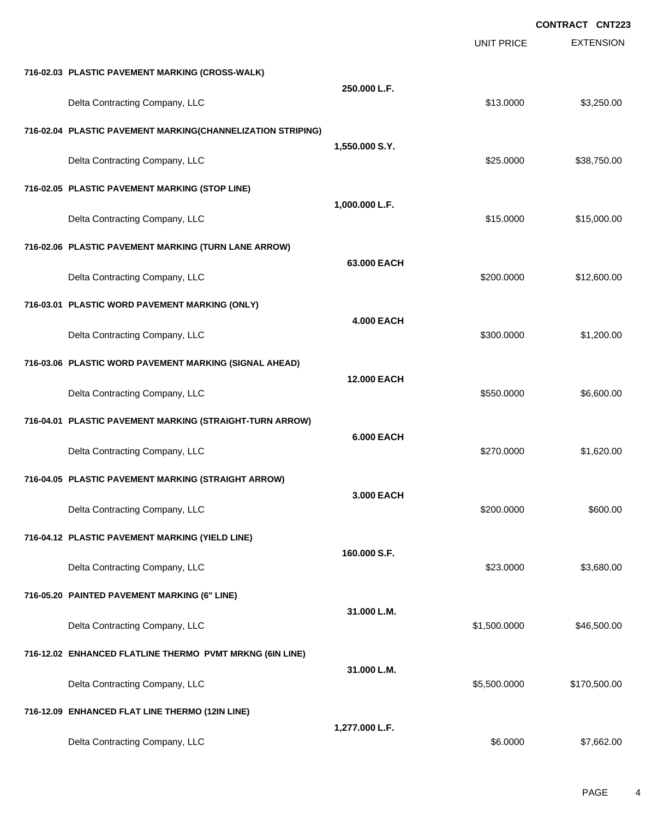|                                                             |                   |                   | <b>CONTRACT CNT223</b> |
|-------------------------------------------------------------|-------------------|-------------------|------------------------|
|                                                             |                   | <b>UNIT PRICE</b> | <b>EXTENSION</b>       |
| 716-02.03 PLASTIC PAVEMENT MARKING (CROSS-WALK)             |                   |                   |                        |
| Delta Contracting Company, LLC                              | 250.000 L.F.      | \$13.0000         | \$3,250.00             |
| 716-02.04 PLASTIC PAVEMENT MARKING(CHANNELIZATION STRIPING) |                   |                   |                        |
| Delta Contracting Company, LLC                              | 1,550.000 S.Y.    | \$25.0000         | \$38,750.00            |
| 716-02.05 PLASTIC PAVEMENT MARKING (STOP LINE)              |                   |                   |                        |
| Delta Contracting Company, LLC                              | 1,000.000 L.F.    | \$15.0000         | \$15,000.00            |
| 716-02.06 PLASTIC PAVEMENT MARKING (TURN LANE ARROW)        |                   |                   |                        |
| Delta Contracting Company, LLC                              | 63.000 EACH       | \$200.0000        | \$12,600.00            |
| 716-03.01 PLASTIC WORD PAVEMENT MARKING (ONLY)              |                   |                   |                        |
| Delta Contracting Company, LLC                              | <b>4.000 EACH</b> | \$300.0000        | \$1,200.00             |
| 716-03.06 PLASTIC WORD PAVEMENT MARKING (SIGNAL AHEAD)      |                   |                   |                        |
| Delta Contracting Company, LLC                              | 12.000 EACH       | \$550.0000        | \$6,600.00             |
| 716-04.01 PLASTIC PAVEMENT MARKING (STRAIGHT-TURN ARROW)    |                   |                   |                        |
| Delta Contracting Company, LLC                              | <b>6.000 EACH</b> | \$270.0000        | \$1,620.00             |
| 716-04.05 PLASTIC PAVEMENT MARKING (STRAIGHT ARROW)         |                   |                   |                        |
| Delta Contracting Company, LLC                              | 3.000 EACH        | \$200.0000        | \$600.00               |
| 716-04.12 PLASTIC PAVEMENT MARKING (YIELD LINE)             |                   |                   |                        |
| Delta Contracting Company, LLC                              | 160.000 S.F.      | \$23.0000         | \$3,680.00             |
| 716-05.20 PAINTED PAVEMENT MARKING (6" LINE)                |                   |                   |                        |
| Delta Contracting Company, LLC                              | 31.000 L.M.       | \$1,500.0000      | \$46,500.00            |
| 716-12.02 ENHANCED FLATLINE THERMO PVMT MRKNG (6IN LINE)    |                   |                   |                        |
| Delta Contracting Company, LLC                              | 31.000 L.M.       | \$5,500.0000      | \$170,500.00           |
| 716-12.09 ENHANCED FLAT LINE THERMO (12IN LINE)             |                   |                   |                        |
| Delta Contracting Company, LLC                              | 1,277.000 L.F.    | \$6.0000          | \$7,662.00             |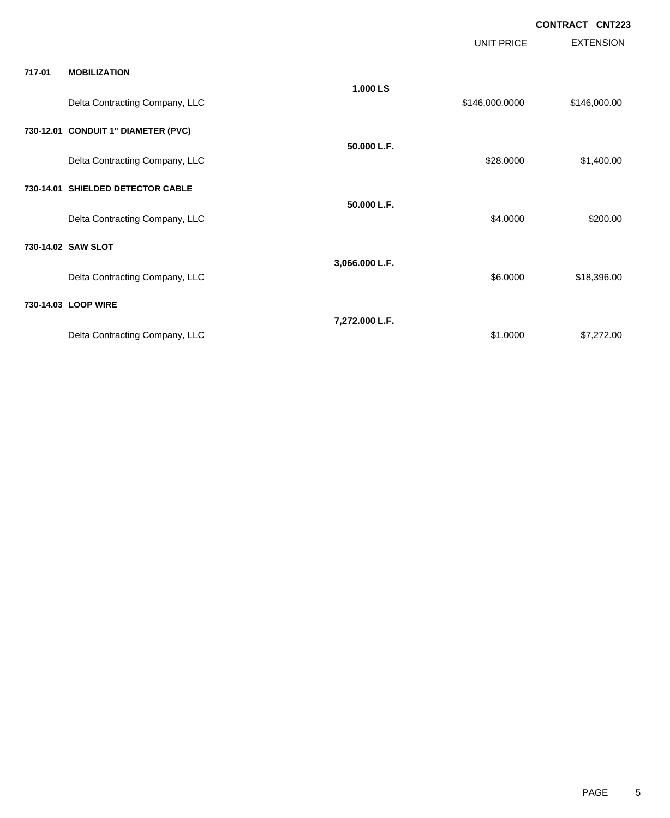**CONTRACT CNT223**

|        |                                     |                | UNIT PRICE     | <b>EXTENSION</b> |
|--------|-------------------------------------|----------------|----------------|------------------|
| 717-01 | <b>MOBILIZATION</b>                 |                |                |                  |
|        | Delta Contracting Company, LLC      | 1.000 LS       | \$146,000.0000 | \$146,000.00     |
|        | 730-12.01 CONDUIT 1" DIAMETER (PVC) | 50.000 L.F.    |                |                  |
|        | Delta Contracting Company, LLC      |                | \$28.0000      | \$1,400.00       |
|        | 730-14.01 SHIELDED DETECTOR CABLE   |                |                |                  |
|        | Delta Contracting Company, LLC      | 50.000 L.F.    | \$4.0000       | \$200.00         |
|        | 730-14.02 SAW SLOT                  |                |                |                  |
|        | Delta Contracting Company, LLC      | 3,066.000 L.F. | \$6.0000       | \$18,396.00      |
|        | 730-14.03 LOOP WIRE                 |                |                |                  |
|        | Delta Contracting Company, LLC      | 7,272.000 L.F. | \$1.0000       | \$7,272.00       |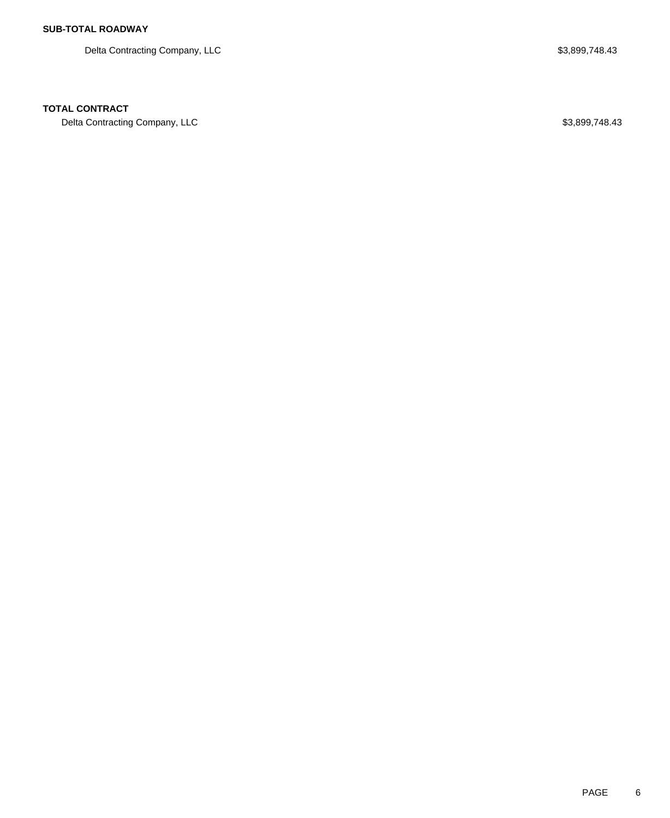Delta Contracting Company, LLC \$3,899,748.43

### **TOTAL CONTRACT**

Delta Contracting Company, LLC \$3,899,748.43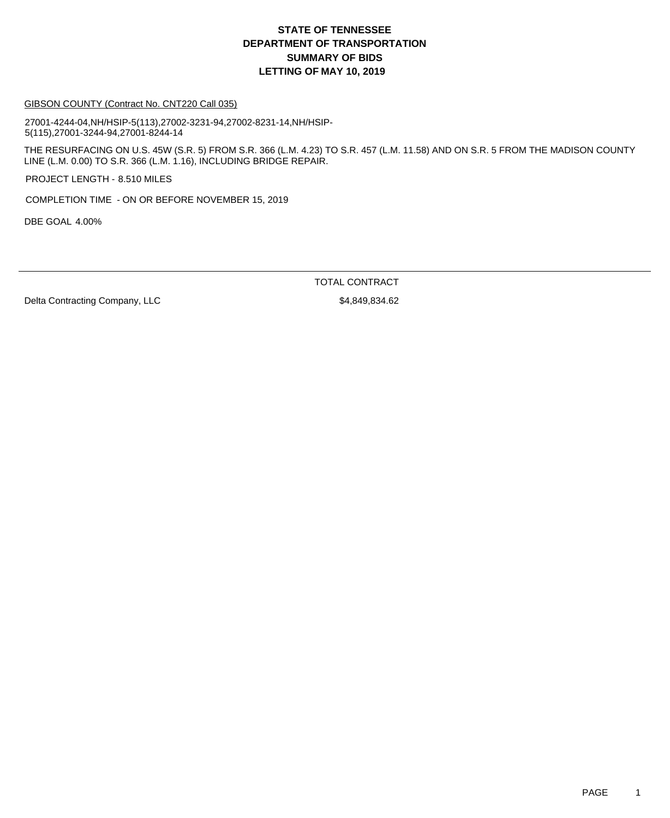#### GIBSON COUNTY (Contract No. CNT220 Call 035)

27001-4244-04,NH/HSIP-5(113),27002-3231-94,27002-8231-14,NH/HSIP-5(115),27001-3244-94,27001-8244-14

THE RESURFACING ON U.S. 45W (S.R. 5) FROM S.R. 366 (L.M. 4.23) TO S.R. 457 (L.M. 11.58) AND ON S.R. 5 FROM THE MADISON COUNTY LINE (L.M. 0.00) TO S.R. 366 (L.M. 1.16), INCLUDING BRIDGE REPAIR.

PROJECT LENGTH - 8.510 MILES

COMPLETION TIME - ON OR BEFORE NOVEMBER 15, 2019

DBE GOAL 4.00%

TOTAL CONTRACT

Delta Contracting Company, LLC \$4,849,834.62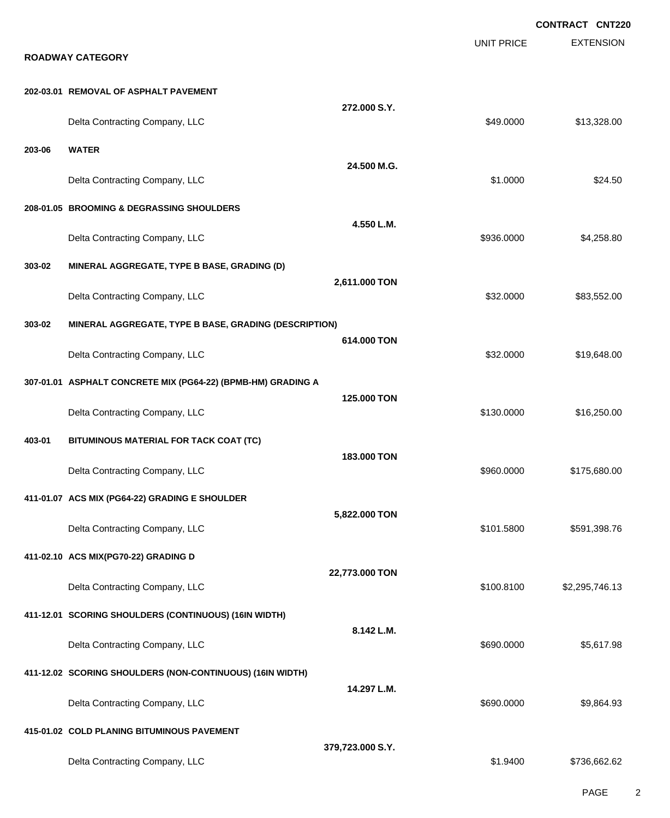|        |                                                              |                  |                   | <b>CONTRACT CNT220</b> |
|--------|--------------------------------------------------------------|------------------|-------------------|------------------------|
|        | <b>ROADWAY CATEGORY</b>                                      |                  | <b>UNIT PRICE</b> | <b>EXTENSION</b>       |
|        | 202-03.01 REMOVAL OF ASPHALT PAVEMENT                        |                  |                   |                        |
|        | Delta Contracting Company, LLC                               | 272.000 S.Y.     | \$49.0000         | \$13,328.00            |
| 203-06 | <b>WATER</b>                                                 |                  |                   |                        |
|        | Delta Contracting Company, LLC                               | 24.500 M.G.      | \$1.0000          | \$24.50                |
|        | 208-01.05 BROOMING & DEGRASSING SHOULDERS                    |                  |                   |                        |
|        | Delta Contracting Company, LLC                               | 4.550 L.M.       | \$936.0000        | \$4,258.80             |
| 303-02 | MINERAL AGGREGATE, TYPE B BASE, GRADING (D)                  |                  |                   |                        |
|        | Delta Contracting Company, LLC                               | 2,611.000 TON    | \$32.0000         | \$83,552.00            |
| 303-02 | MINERAL AGGREGATE, TYPE B BASE, GRADING (DESCRIPTION)        |                  |                   |                        |
|        | Delta Contracting Company, LLC                               | 614,000 TON      | \$32.0000         | \$19,648.00            |
|        | 307-01.01 ASPHALT CONCRETE MIX (PG64-22) (BPMB-HM) GRADING A |                  |                   |                        |
|        | Delta Contracting Company, LLC                               | 125.000 TON      | \$130.0000        | \$16,250.00            |
| 403-01 | BITUMINOUS MATERIAL FOR TACK COAT (TC)                       |                  |                   |                        |
|        | Delta Contracting Company, LLC                               | 183.000 TON      | \$960.0000        | \$175,680.00           |
|        | 411-01.07 ACS MIX (PG64-22) GRADING E SHOULDER               |                  |                   |                        |
|        | Delta Contracting Company, LLC                               | 5,822.000 TON    | \$101.5800        | \$591,398.76           |
|        | 411-02.10 ACS MIX(PG70-22) GRADING D                         |                  |                   |                        |
|        | Delta Contracting Company, LLC                               | 22,773.000 TON   | \$100.8100        | \$2,295,746.13         |
|        | 411-12.01 SCORING SHOULDERS (CONTINUOUS) (16IN WIDTH)        |                  |                   |                        |
|        | Delta Contracting Company, LLC                               | 8.142 L.M.       | \$690.0000        | \$5,617.98             |
|        | 411-12.02 SCORING SHOULDERS (NON-CONTINUOUS) (16IN WIDTH)    |                  |                   |                        |
|        | Delta Contracting Company, LLC                               | 14.297 L.M.      | \$690.0000        | \$9,864.93             |
|        | 415-01.02 COLD PLANING BITUMINOUS PAVEMENT                   |                  |                   |                        |
|        | Delta Contracting Company, LLC                               | 379,723.000 S.Y. | \$1.9400          | \$736,662.62           |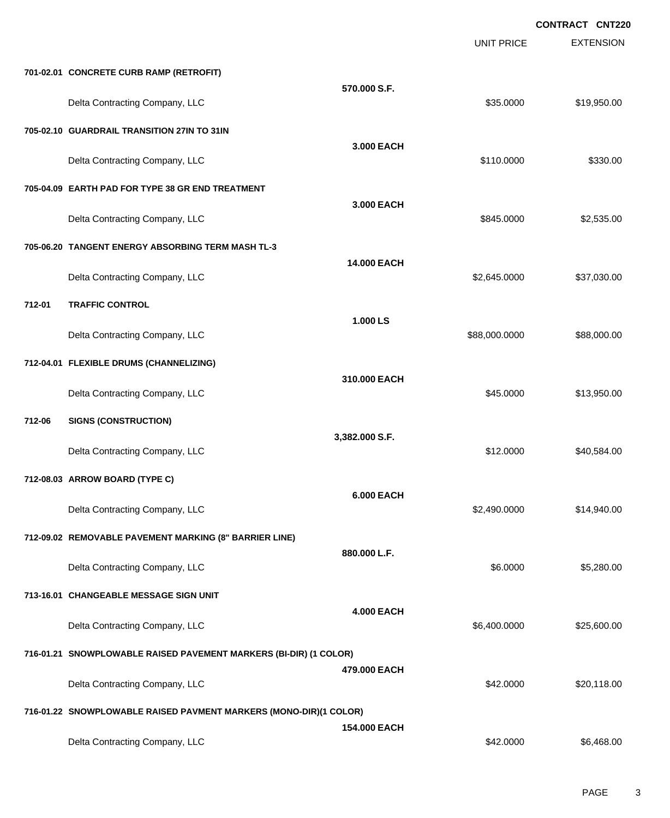|        |                                                                   |                    |                   | <b>CONTRACT CNT220</b> |
|--------|-------------------------------------------------------------------|--------------------|-------------------|------------------------|
|        |                                                                   |                    | <b>UNIT PRICE</b> | <b>EXTENSION</b>       |
|        | 701-02.01 CONCRETE CURB RAMP (RETROFIT)                           |                    |                   |                        |
|        | Delta Contracting Company, LLC                                    | 570.000 S.F.       | \$35.0000         | \$19,950.00            |
|        | 705-02.10 GUARDRAIL TRANSITION 27IN TO 31IN                       |                    |                   |                        |
|        | Delta Contracting Company, LLC                                    | 3,000 EACH         | \$110.0000        | \$330.00               |
|        | 705-04.09 EARTH PAD FOR TYPE 38 GR END TREATMENT                  |                    |                   |                        |
|        | Delta Contracting Company, LLC                                    | 3.000 EACH         | \$845.0000        | \$2,535.00             |
|        | 705-06.20 TANGENT ENERGY ABSORBING TERM MASH TL-3                 |                    |                   |                        |
|        | Delta Contracting Company, LLC                                    | <b>14.000 EACH</b> | \$2,645.0000      | \$37,030.00            |
| 712-01 | <b>TRAFFIC CONTROL</b>                                            |                    |                   |                        |
|        | Delta Contracting Company, LLC                                    | 1.000 LS           | \$88,000.0000     | \$88,000.00            |
|        | 712-04.01 FLEXIBLE DRUMS (CHANNELIZING)                           |                    |                   |                        |
|        | Delta Contracting Company, LLC                                    | 310.000 EACH       | \$45.0000         | \$13,950.00            |
| 712-06 | <b>SIGNS (CONSTRUCTION)</b>                                       |                    |                   |                        |
|        | Delta Contracting Company, LLC                                    | 3,382.000 S.F.     | \$12.0000         | \$40,584.00            |
|        | 712-08.03 ARROW BOARD (TYPE C)                                    |                    |                   |                        |
|        | Delta Contracting Company, LLC                                    | <b>6.000 EACH</b>  | \$2,490.0000      | \$14,940.00            |
|        | 712-09.02 REMOVABLE PAVEMENT MARKING (8" BARRIER LINE)            |                    |                   |                        |
|        | Delta Contracting Company, LLC                                    | 880.000 L.F.       | \$6.0000          | \$5,280.00             |
|        | 713-16.01 CHANGEABLE MESSAGE SIGN UNIT                            |                    |                   |                        |
|        | Delta Contracting Company, LLC                                    | <b>4.000 EACH</b>  | \$6,400.0000      | \$25,600.00            |
|        | 716-01.21 SNOWPLOWABLE RAISED PAVEMENT MARKERS (BI-DIR) (1 COLOR) |                    |                   |                        |
|        | Delta Contracting Company, LLC                                    | 479.000 EACH       | \$42.0000         | \$20,118.00            |
|        | 716-01.22 SNOWPLOWABLE RAISED PAVMENT MARKERS (MONO-DIR)(1 COLOR) |                    |                   |                        |
|        | Delta Contracting Company, LLC                                    | 154.000 EACH       | \$42.0000         | \$6,468.00             |
|        |                                                                   |                    |                   |                        |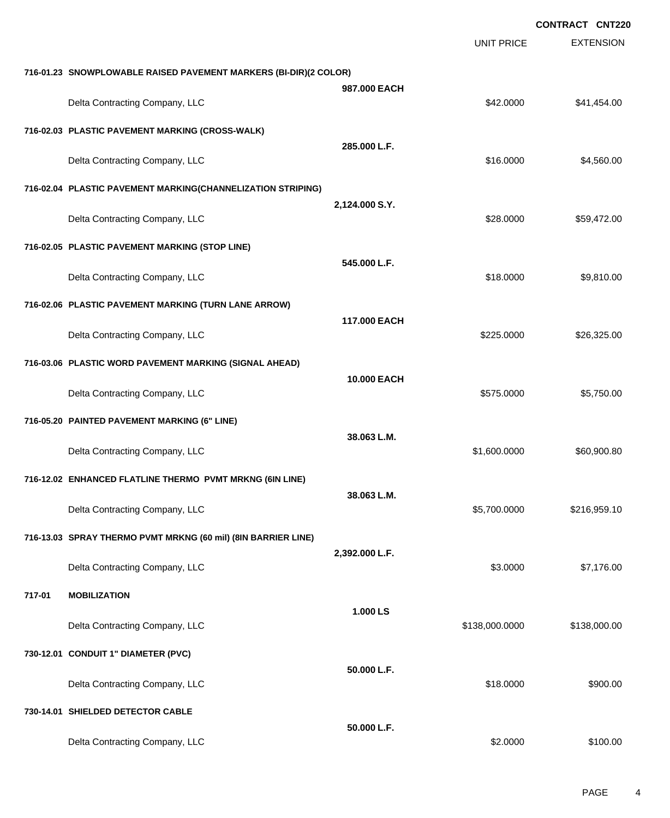|        |                                                                  |                | <b>CONTRACT CNT220</b> |                  |  |
|--------|------------------------------------------------------------------|----------------|------------------------|------------------|--|
|        |                                                                  |                | <b>UNIT PRICE</b>      | <b>EXTENSION</b> |  |
|        | 716-01.23 SNOWPLOWABLE RAISED PAVEMENT MARKERS (BI-DIR)(2 COLOR) |                |                        |                  |  |
|        | Delta Contracting Company, LLC                                   | 987,000 EACH   | \$42,0000              | \$41,454.00      |  |
|        | 716-02.03 PLASTIC PAVEMENT MARKING (CROSS-WALK)                  |                |                        |                  |  |
|        | Delta Contracting Company, LLC                                   | 285,000 L.F.   | \$16.0000              | \$4,560.00       |  |
|        | 716-02.04 PLASTIC PAVEMENT MARKING(CHANNELIZATION STRIPING)      |                |                        |                  |  |
|        | Delta Contracting Company, LLC                                   | 2,124.000 S.Y. | \$28.0000              | \$59,472.00      |  |
|        | 716-02.05 PLASTIC PAVEMENT MARKING (STOP LINE)                   |                |                        |                  |  |
|        | Delta Contracting Company, LLC                                   | 545.000 L.F.   | \$18.0000              | \$9,810.00       |  |
|        | 716-02.06 PLASTIC PAVEMENT MARKING (TURN LANE ARROW)             |                |                        |                  |  |
|        | Delta Contracting Company, LLC                                   | 117,000 EACH   | \$225.0000             | \$26,325.00      |  |
|        | 716-03.06 PLASTIC WORD PAVEMENT MARKING (SIGNAL AHEAD)           |                |                        |                  |  |
|        | Delta Contracting Company, LLC                                   | 10.000 EACH    | \$575.0000             | \$5,750.00       |  |
|        | 716-05.20 PAINTED PAVEMENT MARKING (6" LINE)                     |                |                        |                  |  |
|        | Delta Contracting Company, LLC                                   | 38.063 L.M.    | \$1,600.0000           | \$60,900.80      |  |
|        | 716-12.02 ENHANCED FLATLINE THERMO PVMT MRKNG (6IN LINE)         |                |                        |                  |  |
|        | Delta Contracting Company, LLC                                   | 38.063 L.M.    | \$5,700.0000           | \$216,959.10     |  |
|        | 716-13.03 SPRAY THERMO PVMT MRKNG (60 mil) (8IN BARRIER LINE)    |                |                        |                  |  |
|        | Delta Contracting Company, LLC                                   | 2,392.000 L.F. | \$3.0000               | \$7,176.00       |  |
| 717-01 | <b>MOBILIZATION</b>                                              |                |                        |                  |  |
|        | Delta Contracting Company, LLC                                   | 1.000 LS       | \$138,000.0000         | \$138,000.00     |  |
|        | 730-12.01 CONDUIT 1" DIAMETER (PVC)                              |                |                        |                  |  |
|        | Delta Contracting Company, LLC                                   | 50.000 L.F.    | \$18.0000              | \$900.00         |  |
|        | 730-14.01 SHIELDED DETECTOR CABLE                                |                |                        |                  |  |
|        | Delta Contracting Company, LLC                                   | 50.000 L.F.    | \$2.0000               | \$100.00         |  |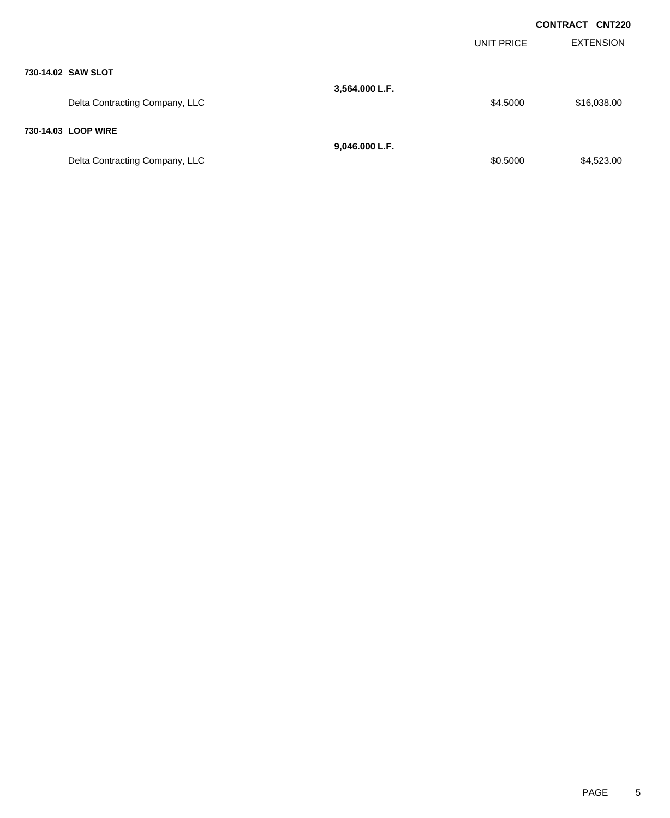|                                |                | UNIT PRICE | <b>CONTRACT CNT220</b><br><b>EXTENSION</b> |  |
|--------------------------------|----------------|------------|--------------------------------------------|--|
| 730-14.02 SAW SLOT             |                |            |                                            |  |
|                                | 3,564.000 L.F. |            |                                            |  |
| Delta Contracting Company, LLC |                | \$4.5000   | \$16,038.00                                |  |
| 730-14.03 LOOP WIRE            |                |            |                                            |  |
|                                | 9,046.000 L.F. |            |                                            |  |
| Delta Contracting Company, LLC |                | \$0.5000   | \$4,523.00                                 |  |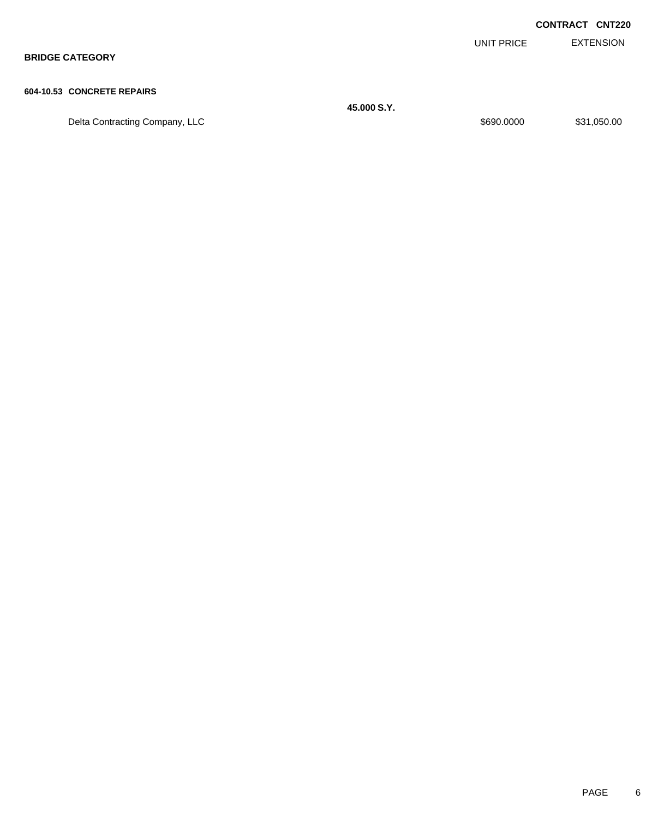|                            |            | <b>CONTRACT CNT220</b> |
|----------------------------|------------|------------------------|
|                            | UNIT PRICE | EXTENSION              |
| <b>BRIDGE CATEGORY</b>     |            |                        |
|                            |            |                        |
| 604-10.53 CONCRETE REPAIRS |            |                        |

Delta Contracting Company, LLC and the contraction of the state of the state of the state of the state of the state of the state of the state of the state of the state of the state of the state of the state of the state of

**45.000 S.Y.**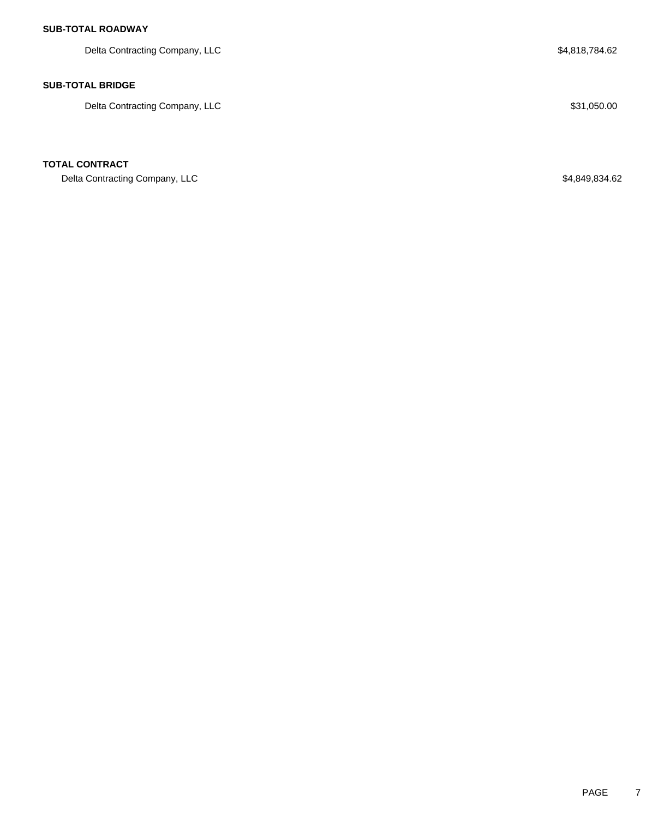# **SUB-TOTAL ROADWAY**

Delta Contracting Company, LLC 6. The set of the set of the set of the set of the set of the set of the set of the set of the set of the set of the set of the set of the set of the set of the set of the set of the set of t

### **SUB-TOTAL BRIDGE**

Delta Contracting Company, LLC  $$31,050.00$ 

### **TOTAL CONTRACT**

Delta Contracting Company, LLC \$4,849,834.62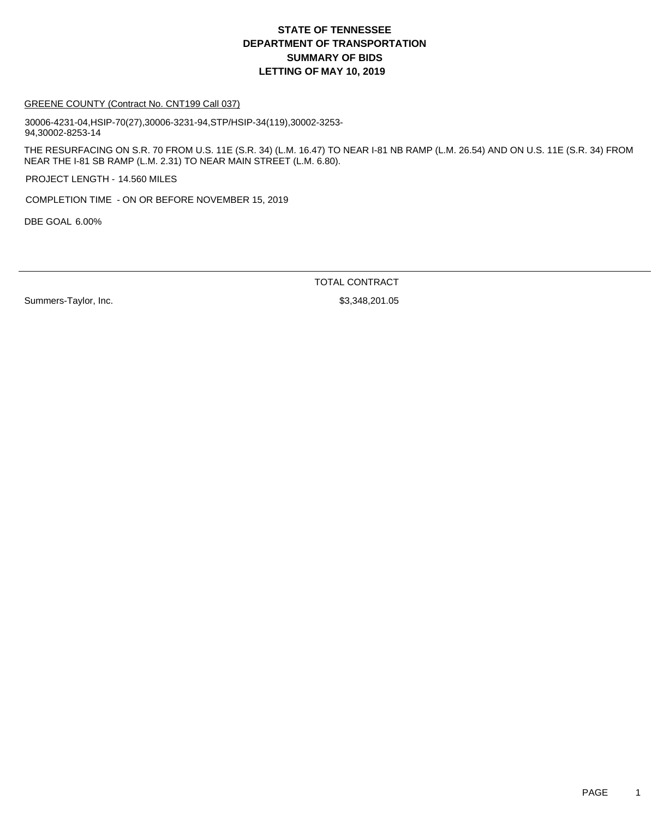#### GREENE COUNTY (Contract No. CNT199 Call 037)

30006-4231-04,HSIP-70(27),30006-3231-94,STP/HSIP-34(119),30002-3253- 94,30002-8253-14

THE RESURFACING ON S.R. 70 FROM U.S. 11E (S.R. 34) (L.M. 16.47) TO NEAR I-81 NB RAMP (L.M. 26.54) AND ON U.S. 11E (S.R. 34) FROM NEAR THE I-81 SB RAMP (L.M. 2.31) TO NEAR MAIN STREET (L.M. 6.80).

PROJECT LENGTH - 14.560 MILES

COMPLETION TIME - ON OR BEFORE NOVEMBER 15, 2019

DBE GOAL 6.00%

TOTAL CONTRACT

Summers-Taylor, Inc. 6. 201.05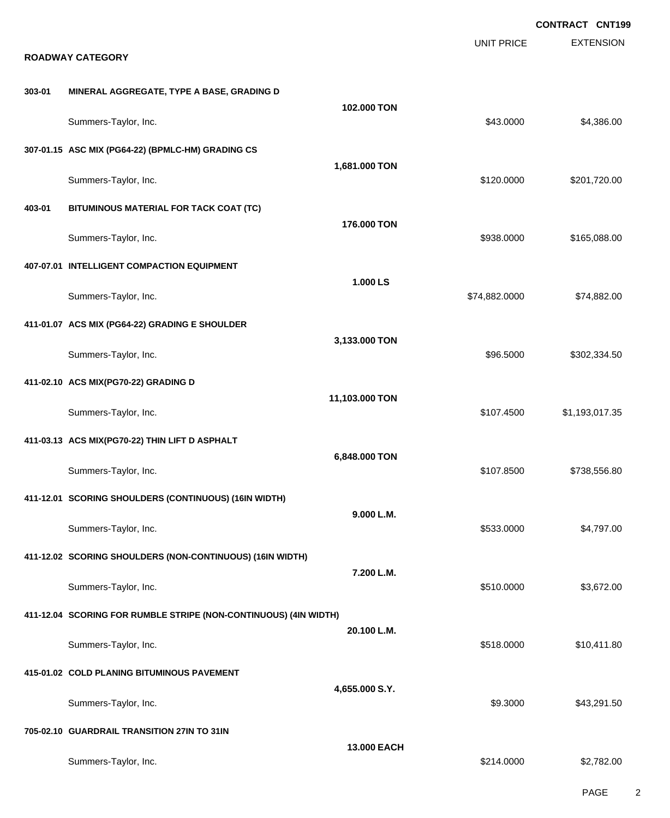|        |                                                                  |                | <b>UNIT PRICE</b> | <b>CONTRACT CNT199</b><br><b>EXTENSION</b> |
|--------|------------------------------------------------------------------|----------------|-------------------|--------------------------------------------|
|        | <b>ROADWAY CATEGORY</b>                                          |                |                   |                                            |
| 303-01 | MINERAL AGGREGATE, TYPE A BASE, GRADING D                        |                |                   |                                            |
|        | Summers-Taylor, Inc.                                             | 102.000 TON    | \$43.0000         | \$4,386.00                                 |
|        | 307-01.15 ASC MIX (PG64-22) (BPMLC-HM) GRADING CS                |                |                   |                                            |
|        | Summers-Taylor, Inc.                                             | 1,681.000 TON  | \$120.0000        | \$201,720.00                               |
| 403-01 | BITUMINOUS MATERIAL FOR TACK COAT (TC)                           |                |                   |                                            |
|        | Summers-Taylor, Inc.                                             | 176.000 TON    | \$938.0000        | \$165,088.00                               |
|        | 407-07.01 INTELLIGENT COMPACTION EQUIPMENT                       |                |                   |                                            |
|        | Summers-Taylor, Inc.                                             | 1.000 LS       | \$74,882.0000     | \$74,882.00                                |
|        | 411-01.07 ACS MIX (PG64-22) GRADING E SHOULDER                   |                |                   |                                            |
|        | Summers-Taylor, Inc.                                             | 3,133.000 TON  | \$96.5000         | \$302,334.50                               |
|        | 411-02.10 ACS MIX(PG70-22) GRADING D                             |                |                   |                                            |
|        | Summers-Taylor, Inc.                                             | 11,103.000 TON | \$107.4500        | \$1,193,017.35                             |
|        | 411-03.13 ACS MIX(PG70-22) THIN LIFT D ASPHALT                   |                |                   |                                            |
|        | Summers-Taylor, Inc.                                             | 6,848.000 TON  | \$107.8500        | \$738,556.80                               |
|        | 411-12.01 SCORING SHOULDERS (CONTINUOUS) (16IN WIDTH)            |                |                   |                                            |
|        | Summers-Taylor, Inc.                                             | 9.000 L.M.     | \$533.0000        | \$4,797.00                                 |
|        | 411-12.02 SCORING SHOULDERS (NON-CONTINUOUS) (16IN WIDTH)        |                |                   |                                            |
|        | Summers-Taylor, Inc.                                             | 7.200 L.M.     | \$510.0000        | \$3,672.00                                 |
|        | 411-12.04 SCORING FOR RUMBLE STRIPE (NON-CONTINUOUS) (4IN WIDTH) |                |                   |                                            |
|        | Summers-Taylor, Inc.                                             | 20.100 L.M.    | \$518.0000        | \$10,411.80                                |
|        | 415-01.02 COLD PLANING BITUMINOUS PAVEMENT                       |                |                   |                                            |
|        | Summers-Taylor, Inc.                                             | 4,655.000 S.Y. | \$9.3000          | \$43,291.50                                |
|        | 705-02.10 GUARDRAIL TRANSITION 27IN TO 31IN                      |                |                   |                                            |
|        | Summers-Taylor, Inc.                                             | 13.000 EACH    | \$214.0000        | \$2,782.00                                 |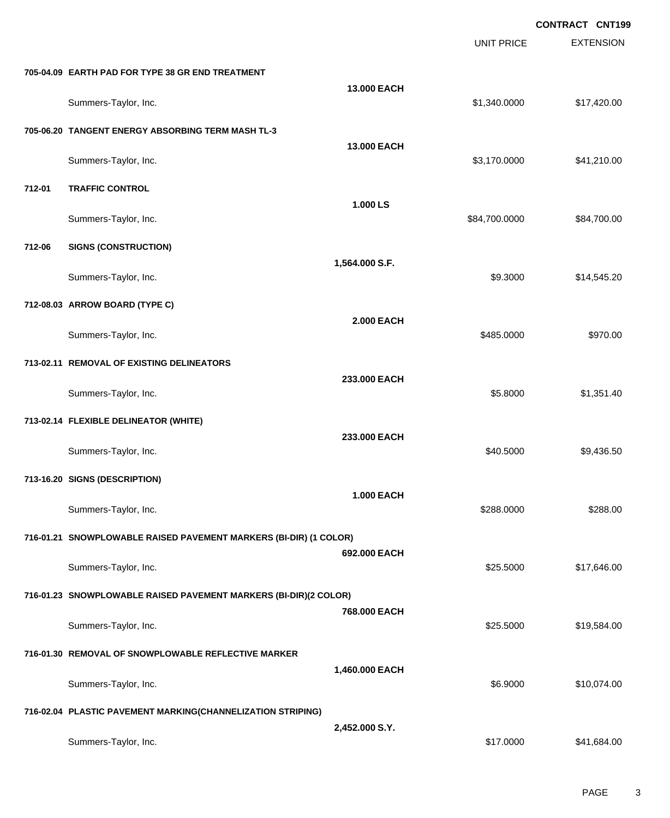|        |                                                                   |                   | <b>UNIT PRICE</b> | <b>CONTRACT CNT199</b><br><b>EXTENSION</b> |
|--------|-------------------------------------------------------------------|-------------------|-------------------|--------------------------------------------|
|        | 705-04.09 EARTH PAD FOR TYPE 38 GR END TREATMENT                  |                   |                   |                                            |
|        | Summers-Taylor, Inc.                                              | 13.000 EACH       | \$1,340.0000      | \$17,420.00                                |
|        | 705-06.20 TANGENT ENERGY ABSORBING TERM MASH TL-3                 |                   |                   |                                            |
|        | Summers-Taylor, Inc.                                              | 13.000 EACH       | \$3,170.0000      | \$41,210.00                                |
| 712-01 | <b>TRAFFIC CONTROL</b>                                            |                   |                   |                                            |
|        | Summers-Taylor, Inc.                                              | 1.000 LS          | \$84,700.0000     | \$84,700.00                                |
| 712-06 | <b>SIGNS (CONSTRUCTION)</b>                                       |                   |                   |                                            |
|        | Summers-Taylor, Inc.                                              | 1,564.000 S.F.    | \$9.3000          | \$14,545.20                                |
|        | 712-08.03 ARROW BOARD (TYPE C)                                    |                   |                   |                                            |
|        | Summers-Taylor, Inc.                                              | <b>2.000 EACH</b> | \$485.0000        | \$970.00                                   |
|        | 713-02.11 REMOVAL OF EXISTING DELINEATORS                         |                   |                   |                                            |
|        | Summers-Taylor, Inc.                                              | 233.000 EACH      | \$5.8000          | \$1,351.40                                 |
|        | 713-02.14 FLEXIBLE DELINEATOR (WHITE)                             |                   |                   |                                            |
|        | Summers-Taylor, Inc.                                              | 233.000 EACH      | \$40.5000         | \$9,436.50                                 |
|        | 713-16.20 SIGNS (DESCRIPTION)                                     |                   |                   |                                            |
|        | Summers-Taylor, Inc.                                              | <b>1.000 EACH</b> | \$288.0000        | \$288.00                                   |
|        | 716-01.21 SNOWPLOWABLE RAISED PAVEMENT MARKERS (BI-DIR) (1 COLOR) |                   |                   |                                            |
|        | Summers-Taylor, Inc.                                              | 692.000 EACH      | \$25.5000         | \$17,646.00                                |
|        | 716-01.23 SNOWPLOWABLE RAISED PAVEMENT MARKERS (BI-DIR)(2 COLOR)  |                   |                   |                                            |
|        | Summers-Taylor, Inc.                                              | 768.000 EACH      | \$25.5000         | \$19,584.00                                |
|        | 716-01.30 REMOVAL OF SNOWPLOWABLE REFLECTIVE MARKER               |                   |                   |                                            |
|        | Summers-Taylor, Inc.                                              | 1,460.000 EACH    | \$6.9000          | \$10,074.00                                |
|        | 716-02.04 PLASTIC PAVEMENT MARKING(CHANNELIZATION STRIPING)       |                   |                   |                                            |
|        | Summers-Taylor, Inc.                                              | 2,452.000 S.Y.    | \$17.0000         | \$41,684.00                                |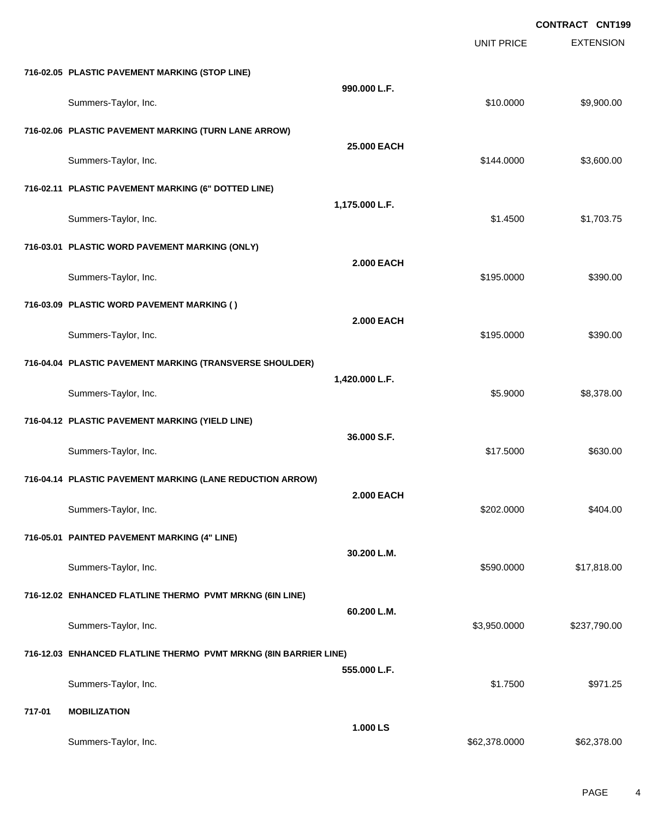|        |                                                                  |                   |                   | <b>CONTRACT CNT199</b> |
|--------|------------------------------------------------------------------|-------------------|-------------------|------------------------|
|        |                                                                  |                   | <b>UNIT PRICE</b> | <b>EXTENSION</b>       |
|        | 716-02.05 PLASTIC PAVEMENT MARKING (STOP LINE)                   |                   |                   |                        |
|        | Summers-Taylor, Inc.                                             | 990.000 L.F.      | \$10.0000         | \$9,900.00             |
|        | 716-02.06 PLASTIC PAVEMENT MARKING (TURN LANE ARROW)             |                   |                   |                        |
|        | Summers-Taylor, Inc.                                             | 25.000 EACH       | \$144.0000        | \$3,600.00             |
|        | 716-02.11 PLASTIC PAVEMENT MARKING (6" DOTTED LINE)              |                   |                   |                        |
|        | Summers-Taylor, Inc.                                             | 1,175.000 L.F.    | \$1.4500          | \$1,703.75             |
|        | 716-03.01 PLASTIC WORD PAVEMENT MARKING (ONLY)                   |                   |                   |                        |
|        | Summers-Taylor, Inc.                                             | <b>2.000 EACH</b> | \$195.0000        | \$390.00               |
|        | 716-03.09 PLASTIC WORD PAVEMENT MARKING ()                       |                   |                   |                        |
|        | Summers-Taylor, Inc.                                             | <b>2.000 EACH</b> | \$195.0000        | \$390.00               |
|        | 716-04.04 PLASTIC PAVEMENT MARKING (TRANSVERSE SHOULDER)         |                   |                   |                        |
|        | Summers-Taylor, Inc.                                             | 1,420.000 L.F.    | \$5.9000          | \$8,378.00             |
|        | 716-04.12 PLASTIC PAVEMENT MARKING (YIELD LINE)                  |                   |                   |                        |
|        | Summers-Taylor, Inc.                                             | 36.000 S.F.       | \$17.5000         | \$630.00               |
|        | 716-04.14 PLASTIC PAVEMENT MARKING (LANE REDUCTION ARROW)        |                   |                   |                        |
|        | Summers-Taylor, Inc.                                             | <b>2.000 EACH</b> | \$202.0000        | \$404.00               |
|        | 716-05.01 PAINTED PAVEMENT MARKING (4" LINE)                     |                   |                   |                        |
|        | Summers-Taylor, Inc.                                             | 30.200 L.M.       | \$590.0000        | \$17,818.00            |
|        | 716-12.02 ENHANCED FLATLINE THERMO PVMT MRKNG (6IN LINE)         |                   |                   |                        |
|        | Summers-Taylor, Inc.                                             | 60.200 L.M.       | \$3,950.0000      | \$237,790.00           |
|        | 716-12.03 ENHANCED FLATLINE THERMO PVMT MRKNG (8IN BARRIER LINE) |                   |                   |                        |
|        | Summers-Taylor, Inc.                                             | 555.000 L.F.      | \$1.7500          | \$971.25               |
| 717-01 | <b>MOBILIZATION</b>                                              |                   |                   |                        |
|        | Summers-Taylor, Inc.                                             | 1.000 LS          | \$62,378.0000     | \$62,378.00            |
|        |                                                                  |                   |                   |                        |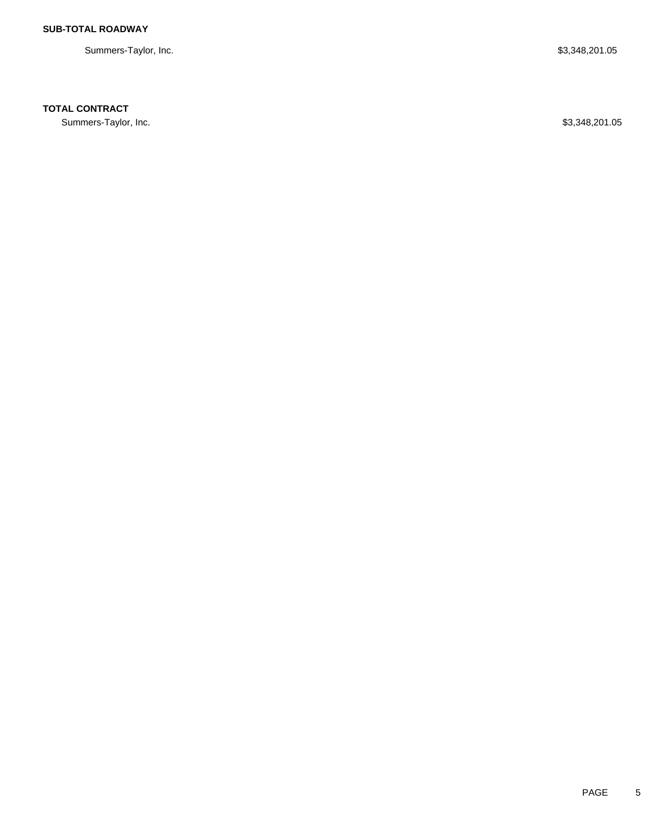Summers-Taylor, Inc. \$3,348,201.05

# **TOTAL CONTRACT**

Summers-Taylor, Inc. \$3,348,201.05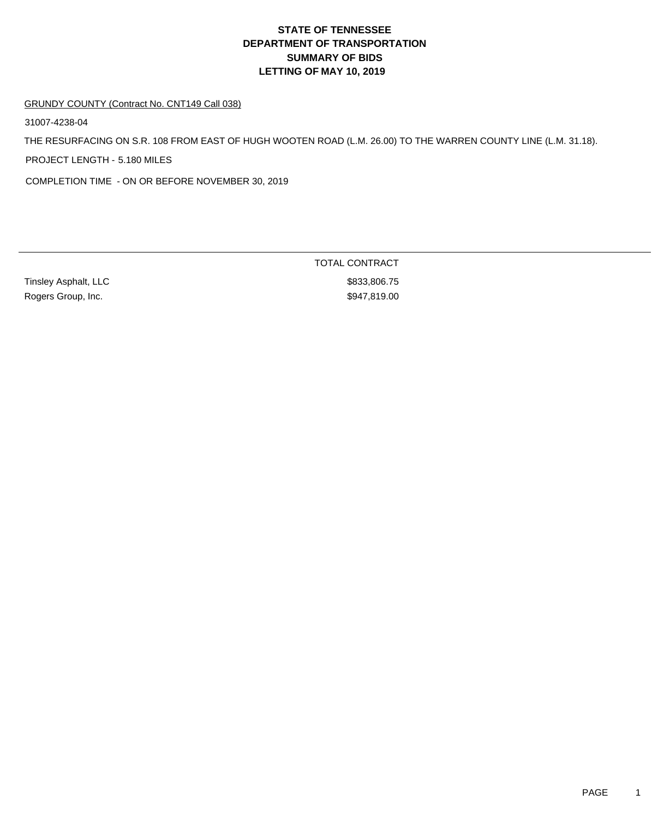#### GRUNDY COUNTY (Contract No. CNT149 Call 038)

31007-4238-04

THE RESURFACING ON S.R. 108 FROM EAST OF HUGH WOOTEN ROAD (L.M. 26.00) TO THE WARREN COUNTY LINE (L.M. 31.18).

PROJECT LENGTH - 5.180 MILES

COMPLETION TIME - ON OR BEFORE NOVEMBER 30, 2019

Rogers Group, Inc. 6. The Contract of the Contract of the State of the State State State State State State State State State State State State State State State State State State State State State State State State State S

TOTAL CONTRACT Tinsley Asphalt, LLC \$833,806.75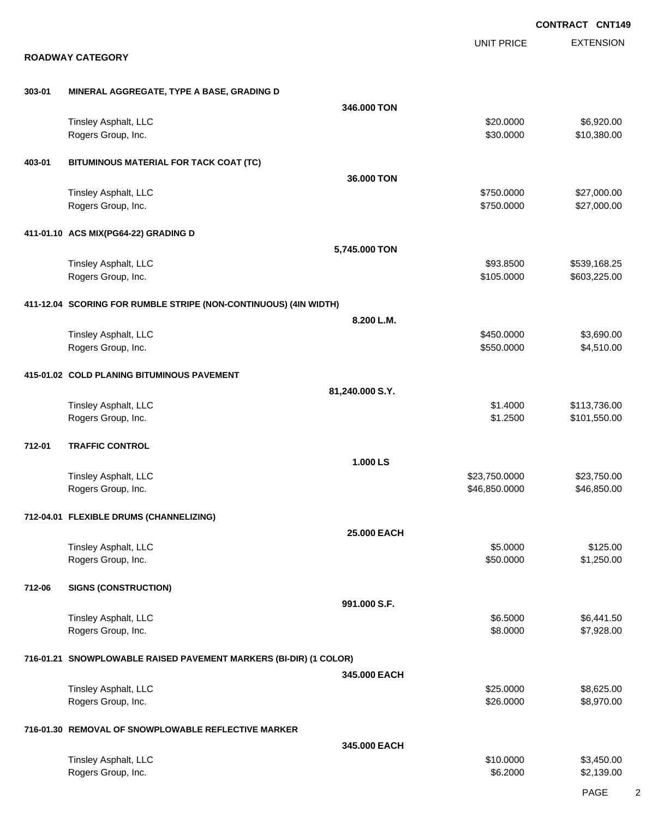|        |                                                                   |                 |                   | <b>CONTRACT CNT149</b> |
|--------|-------------------------------------------------------------------|-----------------|-------------------|------------------------|
|        |                                                                   |                 | <b>UNIT PRICE</b> | <b>EXTENSION</b>       |
|        | <b>ROADWAY CATEGORY</b>                                           |                 |                   |                        |
| 303-01 |                                                                   |                 |                   |                        |
|        | MINERAL AGGREGATE, TYPE A BASE, GRADING D                         | 346.000 TON     |                   |                        |
|        | Tinsley Asphalt, LLC                                              |                 | \$20.0000         | \$6,920.00             |
|        | Rogers Group, Inc.                                                |                 | \$30.0000         | \$10,380.00            |
|        |                                                                   |                 |                   |                        |
| 403-01 | BITUMINOUS MATERIAL FOR TACK COAT (TC)                            | 36,000 TON      |                   |                        |
|        | Tinsley Asphalt, LLC                                              |                 | \$750.0000        | \$27,000.00            |
|        | Rogers Group, Inc.                                                |                 | \$750.0000        | \$27,000.00            |
|        |                                                                   |                 |                   |                        |
|        | 411-01.10 ACS MIX(PG64-22) GRADING D                              | 5,745.000 TON   |                   |                        |
|        | Tinsley Asphalt, LLC                                              |                 | \$93.8500         | \$539,168.25           |
|        | Rogers Group, Inc.                                                |                 | \$105.0000        | \$603,225.00           |
|        |                                                                   |                 |                   |                        |
|        | 411-12.04 SCORING FOR RUMBLE STRIPE (NON-CONTINUOUS) (4IN WIDTH)  |                 |                   |                        |
|        |                                                                   | 8.200 L.M.      |                   |                        |
|        | Tinsley Asphalt, LLC                                              |                 | \$450.0000        | \$3,690.00             |
|        | Rogers Group, Inc.                                                |                 | \$550.0000        | \$4,510.00             |
|        | 415-01.02 COLD PLANING BITUMINOUS PAVEMENT                        |                 |                   |                        |
|        |                                                                   | 81,240.000 S.Y. |                   |                        |
|        | Tinsley Asphalt, LLC                                              |                 | \$1.4000          | \$113,736.00           |
|        | Rogers Group, Inc.                                                |                 | \$1.2500          | \$101,550.00           |
| 712-01 | <b>TRAFFIC CONTROL</b>                                            |                 |                   |                        |
|        |                                                                   | 1.000 LS        |                   |                        |
|        | Tinsley Asphalt, LLC                                              |                 | \$23,750.0000     | \$23,750.00            |
|        | Rogers Group, Inc.                                                |                 | \$46,850.0000     | \$46,850.00            |
|        | 712-04.01 FLEXIBLE DRUMS (CHANNELIZING)                           |                 |                   |                        |
|        |                                                                   | 25.000 EACH     |                   |                        |
|        | Tinsley Asphalt, LLC                                              |                 | \$5.0000          | \$125.00               |
|        | Rogers Group, Inc.                                                |                 | \$50.0000         | \$1,250.00             |
| 712-06 | <b>SIGNS (CONSTRUCTION)</b>                                       |                 |                   |                        |
|        |                                                                   | 991.000 S.F.    |                   |                        |
|        | Tinsley Asphalt, LLC                                              |                 | \$6.5000          | \$6,441.50             |
|        | Rogers Group, Inc.                                                |                 | \$8.0000          | \$7,928.00             |
|        |                                                                   |                 |                   |                        |
|        | 716-01.21 SNOWPLOWABLE RAISED PAVEMENT MARKERS (BI-DIR) (1 COLOR) |                 |                   |                        |
|        |                                                                   | 345.000 EACH    |                   |                        |
|        | Tinsley Asphalt, LLC                                              |                 | \$25.0000         | \$8,625.00             |
|        | Rogers Group, Inc.                                                |                 | \$26.0000         | \$8,970.00             |
|        | 716-01.30 REMOVAL OF SNOWPLOWABLE REFLECTIVE MARKER               |                 |                   |                        |
|        |                                                                   | 345.000 EACH    |                   |                        |
|        | Tinsley Asphalt, LLC                                              |                 | \$10.0000         | \$3,450.00             |
|        | Rogers Group, Inc.                                                |                 | \$6.2000          | \$2,139.00             |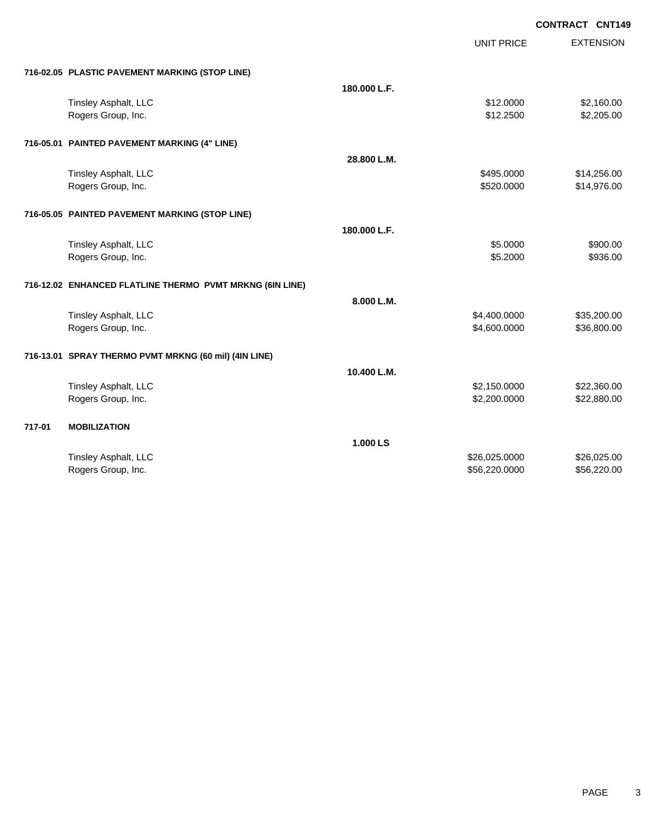| <b>CONTRACT CNT149</b> |
|------------------------|
|------------------------|

|        |                                                          |              | <b>UNIT PRICE</b> | <b>EXTENSION</b> |
|--------|----------------------------------------------------------|--------------|-------------------|------------------|
|        | 716-02.05 PLASTIC PAVEMENT MARKING (STOP LINE)           |              |                   |                  |
|        |                                                          | 180.000 L.F. |                   |                  |
|        | Tinsley Asphalt, LLC                                     |              | \$12.0000         | \$2,160.00       |
|        | Rogers Group, Inc.                                       |              | \$12.2500         | \$2,205.00       |
|        | 716-05.01 PAINTED PAVEMENT MARKING (4" LINE)             |              |                   |                  |
|        |                                                          | 28.800 L.M.  |                   |                  |
|        | Tinsley Asphalt, LLC                                     |              | \$495.0000        | \$14,256.00      |
|        | Rogers Group, Inc.                                       |              | \$520.0000        | \$14,976.00      |
|        | 716-05.05 PAINTED PAVEMENT MARKING (STOP LINE)           |              |                   |                  |
|        |                                                          | 180.000 L.F. |                   |                  |
|        | Tinsley Asphalt, LLC                                     |              | \$5.0000          | \$900.00         |
|        | Rogers Group, Inc.                                       |              | \$5.2000          | \$936.00         |
|        | 716-12.02 ENHANCED FLATLINE THERMO PVMT MRKNG (6IN LINE) |              |                   |                  |
|        |                                                          | 8.000 L.M.   |                   |                  |
|        | Tinsley Asphalt, LLC                                     |              | \$4,400.0000      | \$35,200.00      |
|        | Rogers Group, Inc.                                       |              | \$4,600.0000      | \$36,800.00      |
|        | 716-13.01 SPRAY THERMO PVMT MRKNG (60 mil) (4IN LINE)    |              |                   |                  |
|        |                                                          | 10.400 L.M.  |                   |                  |
|        | Tinsley Asphalt, LLC                                     |              | \$2,150.0000      | \$22,360.00      |
|        | Rogers Group, Inc.                                       |              | \$2,200.0000      | \$22,880.00      |
| 717-01 | <b>MOBILIZATION</b>                                      |              |                   |                  |
|        |                                                          | 1.000 LS     |                   |                  |
|        | Tinsley Asphalt, LLC                                     |              | \$26,025.0000     | \$26,025.00      |
|        | Rogers Group, Inc.                                       |              | \$56,220.0000     | \$56,220.00      |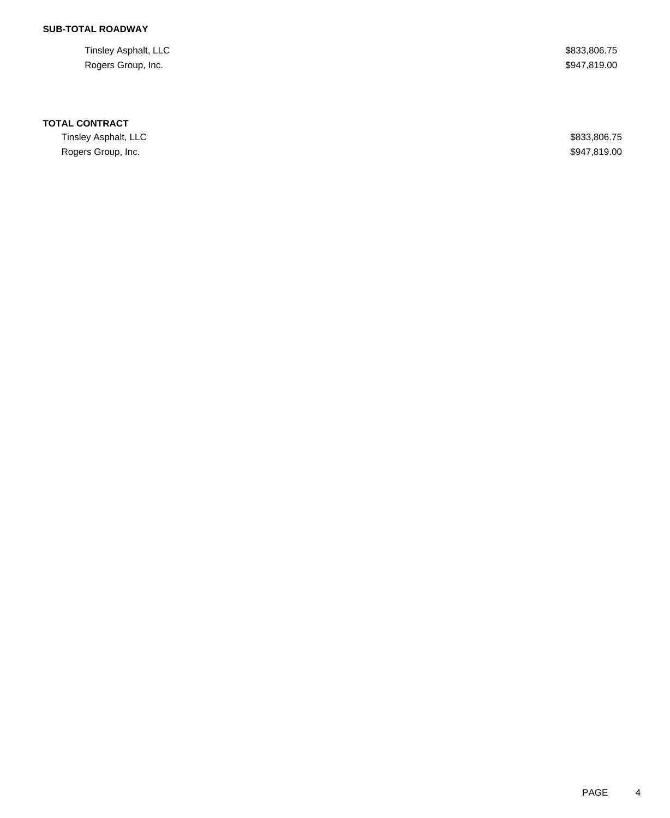# **SUB-TOTAL ROADWAY**

Tinsley Asphalt, LLC \$833,806.75 Rogers Group, Inc. \$947,819.00

#### **TOTAL CONTRACT**

Tinsley Asphalt, LLC \$833,806.75 Rogers Group, Inc. \$947,819.00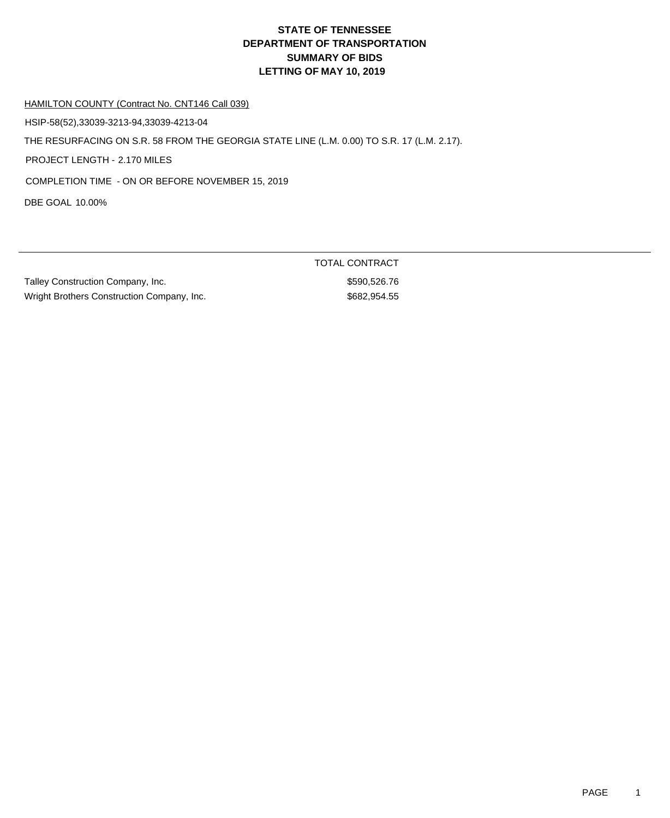HAMILTON COUNTY (Contract No. CNT146 Call 039)

HSIP-58(52),33039-3213-94,33039-4213-04

THE RESURFACING ON S.R. 58 FROM THE GEORGIA STATE LINE (L.M. 0.00) TO S.R. 17 (L.M. 2.17).

PROJECT LENGTH - 2.170 MILES

COMPLETION TIME - ON OR BEFORE NOVEMBER 15, 2019

DBE GOAL 10.00%

Talley Construction Company, Inc. 6. The state of the state of the state state state state state state state state state state state state state state state state state state state state state state state state state state Wright Brothers Construction Company, Inc. 6882,954.55

TOTAL CONTRACT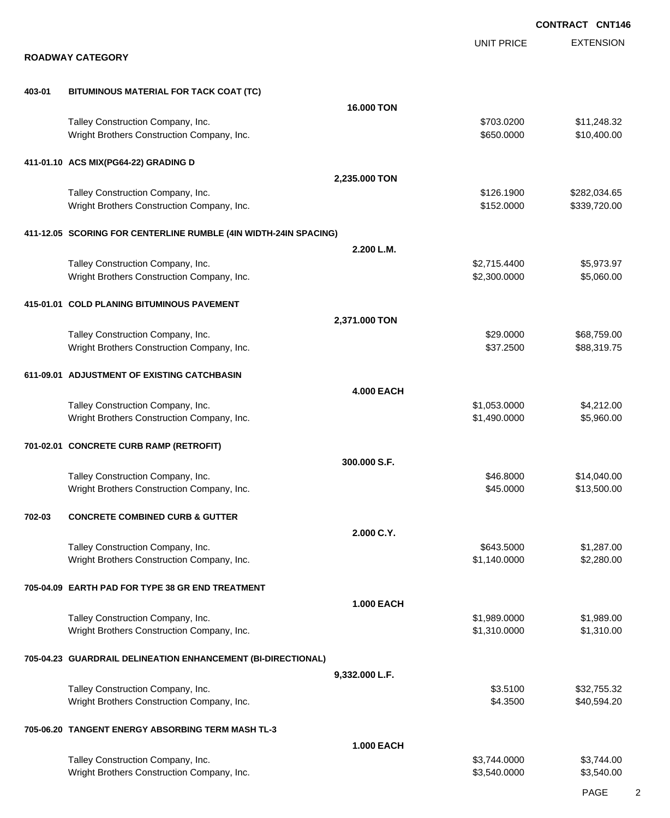EXTENSION **CONTRACT CNT146** UNIT PRICE **ROADWAY CATEGORY 403-01 BITUMINOUS MATERIAL FOR TACK COAT (TC) 16.000 TON** Talley Construction Company, Inc.  $$703.0200$   $$11,248.32$ Wright Brothers Construction Company, Inc. 6650.000 \$10,400.00 **411-01.10 ACS MIX(PG64-22) GRADING D 2,235.000 TON** Talley Construction Company, Inc. 6. The Construction Company, Inc. 6. The Construction Company, Inc. 65282,034.65 Wright Brothers Construction Company, Inc. 6. 2012 12:000 \$152.000 \$339,720.00 **411-12.05 SCORING FOR CENTERLINE RUMBLE (4IN WIDTH-24IN SPACING) 2.200 L.M.** Talley Construction Company, Inc. 6. The Construction Company, Inc. 6. The Construction Company, Inc. 6. The Construction Company, Inc. 6. The Construction Company, Inc. 6. The Construction Company, Inc. 6. The Constructio Wright Brothers Construction Company, Inc. 6. 2.300.000 \$2,300.0000 \$5,060.00 **415-01.01 COLD PLANING BITUMINOUS PAVEMENT 2,371.000 TON** Talley Construction Company, Inc. 688,759.00 \$68,759.00 \$68,759.00 Wright Brothers Construction Company, Inc. 6. The State of the State of State State State State State State State State State State State State State State State State State State State State State State State State State **611-09.01 ADJUSTMENT OF EXISTING CATCHBASIN 4.000 EACH** Talley Construction Company, Inc. 6. The Construction Company, Inc. 6. The Construction Company, Inc. 6. The Construction Company, Inc. 6. The Construction Company, Inc. 6. The Construction Company, Inc. 6. The Constructio Wright Brothers Construction Company, Inc. 6. The State of the State of the State of State of State of State of State of State of State of State of State of State of State of State of State of State of State of State of St **701-02.01 CONCRETE CURB RAMP (RETROFIT) 300.000 S.F.** Talley Construction Company, Inc. 6. The Construction Company, Inc. 6. The Construction Company, Inc. 6. The Construction Company, Inc. 6. The Construction Company, Inc. 6. The Construction Company, Inc. 6. The Constructio Wright Brothers Construction Company, Inc. 6. 2010 12:30 13:3000 \$13,500.00 \$13,500.00 **702-03 CONCRETE COMBINED CURB & GUTTER 2.000 C.Y.** Talley Construction Company, Inc. 6. The Construction Company, Inc. 6. The Construction Company, Inc. 6. The Construction Company, Inc. 6. The Construction Company, Inc. 6. The Construction Company, Inc. 6. The Constructio Wright Brothers Construction Company, Inc. 6. The State of the State of State State State State State State State State State State State State State State State State State State State State State State State State State **705-04.09 EARTH PAD FOR TYPE 38 GR END TREATMENT 1.000 EACH** Talley Construction Company, Inc. 6. The Construction Company, Inc. 6. The Construction Company, Inc. 6. The Construction Company, Inc. 6. The Construction Company, Inc. 6. The Construction Company, Inc. 6. The Constructio Wright Brothers Construction Company, Inc. 6. 2012 12:310.000 \$1,310.0000 \$1,310.000 **705-04.23 GUARDRAIL DELINEATION ENHANCEMENT (BI-DIRECTIONAL) 9,332.000 L.F.** Talley Construction Company, Inc. 6. The Construction Company, Inc. 6. Studies and the Construction Company, Inc. 6. Studies and the Construction Company, Inc. 6. Studies and the Construction Company, Inc. 6. Studies and t Wright Brothers Construction Company, Inc. 640,594.20 \$4.3500 \$40,594.20 **705-06.20 TANGENT ENERGY ABSORBING TERM MASH TL-3 1.000 EACH** Talley Construction Company, Inc. 6. The Construction Company, Inc. 6. The Construction Company, Inc. 6. The Construction Company, Inc. 6. The Construction Company, Inc. 6. The Construction Company, Inc. 6. The Constructio Wright Brothers Construction Company, Inc. 6. The State of the State of State State State State State State State State State State State State State State State State State State State State State State State State State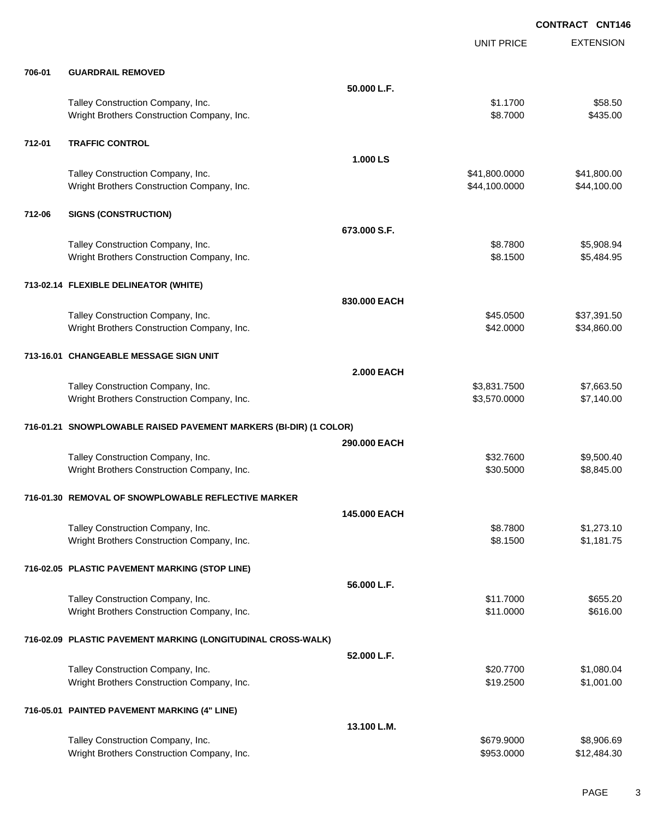**CONTRACT CNT146**

|        |                                                                                 |                   | <b>UNIT PRICE</b>              | <b>EXTENSION</b>           |
|--------|---------------------------------------------------------------------------------|-------------------|--------------------------------|----------------------------|
| 706-01 | <b>GUARDRAIL REMOVED</b>                                                        |                   |                                |                            |
|        |                                                                                 | 50.000 L.F.       |                                |                            |
|        | Talley Construction Company, Inc.<br>Wright Brothers Construction Company, Inc. |                   | \$1.1700<br>\$8.7000           | \$58.50<br>\$435.00        |
| 712-01 | <b>TRAFFIC CONTROL</b>                                                          |                   |                                |                            |
|        |                                                                                 | 1.000 LS          |                                |                            |
|        | Talley Construction Company, Inc.<br>Wright Brothers Construction Company, Inc. |                   | \$41,800.0000<br>\$44,100.0000 | \$41,800.00<br>\$44,100.00 |
| 712-06 | <b>SIGNS (CONSTRUCTION)</b>                                                     |                   |                                |                            |
|        |                                                                                 | 673,000 S.F.      |                                |                            |
|        | Talley Construction Company, Inc.<br>Wright Brothers Construction Company, Inc. |                   | \$8.7800<br>\$8.1500           | \$5,908.94<br>\$5,484.95   |
|        | 713-02.14 FLEXIBLE DELINEATOR (WHITE)                                           |                   |                                |                            |
|        |                                                                                 | 830.000 EACH      |                                |                            |
|        | Talley Construction Company, Inc.                                               |                   | \$45.0500                      | \$37,391.50                |
|        | Wright Brothers Construction Company, Inc.                                      |                   | \$42.0000                      | \$34,860.00                |
|        | 713-16.01 CHANGEABLE MESSAGE SIGN UNIT                                          |                   |                                |                            |
|        |                                                                                 | <b>2.000 EACH</b> |                                |                            |
|        | Talley Construction Company, Inc.                                               |                   | \$3,831.7500                   | \$7,663.50                 |
|        | Wright Brothers Construction Company, Inc.                                      |                   | \$3,570.0000                   | \$7,140.00                 |
|        | 716-01.21 SNOWPLOWABLE RAISED PAVEMENT MARKERS (BI-DIR) (1 COLOR)               |                   |                                |                            |
|        |                                                                                 | 290,000 EACH      |                                |                            |
|        | Talley Construction Company, Inc.<br>Wright Brothers Construction Company, Inc. |                   | \$32.7600<br>\$30.5000         | \$9,500.40<br>\$8,845.00   |
|        | 716-01.30 REMOVAL OF SNOWPLOWABLE REFLECTIVE MARKER                             |                   |                                |                            |
|        |                                                                                 | 145,000 EACH      |                                |                            |
|        | Talley Construction Company, Inc.                                               |                   | \$8.7800                       | \$1,273.10                 |
|        | Wright Brothers Construction Company, Inc.                                      |                   | \$8.1500                       | \$1,181.75                 |
|        | 716-02.05 PLASTIC PAVEMENT MARKING (STOP LINE)                                  |                   |                                |                            |
|        |                                                                                 | 56.000 L.F.       |                                |                            |
|        | Talley Construction Company, Inc.                                               |                   | \$11.7000                      | \$655.20                   |
|        | Wright Brothers Construction Company, Inc.                                      |                   | \$11.0000                      | \$616.00                   |
|        | 716-02.09 PLASTIC PAVEMENT MARKING (LONGITUDINAL CROSS-WALK)                    |                   |                                |                            |
|        |                                                                                 | 52.000 L.F.       |                                |                            |
|        | Talley Construction Company, Inc.<br>Wright Brothers Construction Company, Inc. |                   | \$20.7700<br>\$19.2500         | \$1,080.04<br>\$1,001.00   |
|        |                                                                                 |                   |                                |                            |
|        | 716-05.01 PAINTED PAVEMENT MARKING (4" LINE)                                    |                   |                                |                            |
|        | Talley Construction Company, Inc.                                               | 13.100 L.M.       | \$679.9000                     | \$8,906.69                 |
|        | Wright Brothers Construction Company, Inc.                                      |                   | \$953.0000                     | \$12,484.30                |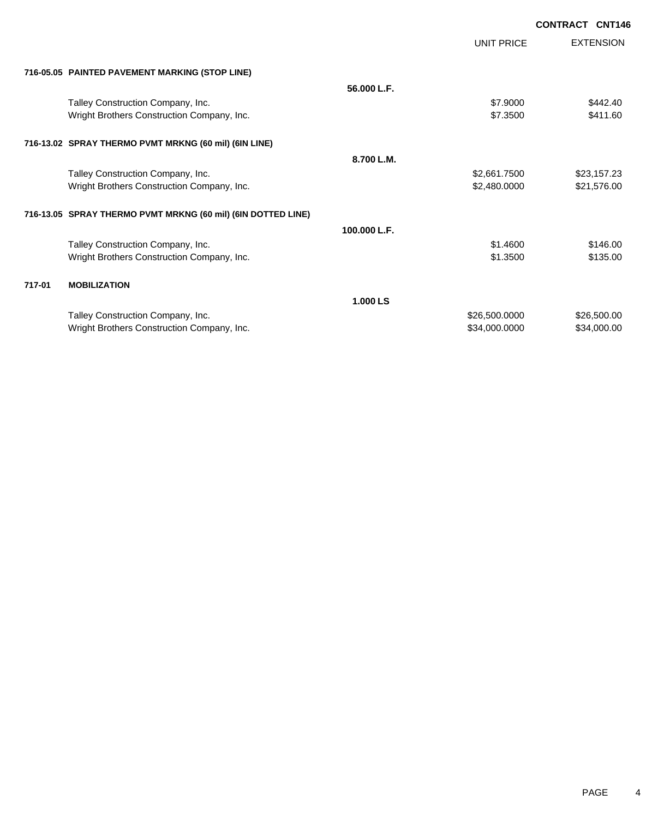|        |                                                              |              |                   | <b>CONTRACT CNT146</b> |
|--------|--------------------------------------------------------------|--------------|-------------------|------------------------|
|        |                                                              |              | <b>UNIT PRICE</b> | <b>EXTENSION</b>       |
|        | 716-05.05 PAINTED PAVEMENT MARKING (STOP LINE)               |              |                   |                        |
|        |                                                              | 56.000 L.F.  |                   |                        |
|        | Talley Construction Company, Inc.                            |              | \$7.9000          | \$442.40               |
|        | Wright Brothers Construction Company, Inc.                   |              | \$7,3500          | \$411.60               |
|        | 716-13.02 SPRAY THERMO PVMT MRKNG (60 mil) (6IN LINE)        |              |                   |                        |
|        |                                                              | 8.700 L.M.   |                   |                        |
|        | Talley Construction Company, Inc.                            |              | \$2,661.7500      | \$23,157.23            |
|        | Wright Brothers Construction Company, Inc.                   |              | \$2,480.0000      | \$21,576.00            |
|        | 716-13.05 SPRAY THERMO PVMT MRKNG (60 mil) (6IN DOTTED LINE) |              |                   |                        |
|        |                                                              | 100.000 L.F. |                   |                        |
|        | Talley Construction Company, Inc.                            |              | \$1,4600          | \$146.00               |
|        | Wright Brothers Construction Company, Inc.                   |              | \$1,3500          | \$135.00               |
| 717-01 | <b>MOBILIZATION</b>                                          |              |                   |                        |
|        |                                                              | 1.000 LS     |                   |                        |
|        | Talley Construction Company, Inc.                            |              | \$26,500.0000     | \$26,500.00            |
|        | Wright Brothers Construction Company, Inc.                   |              | \$34,000.0000     | \$34,000.00            |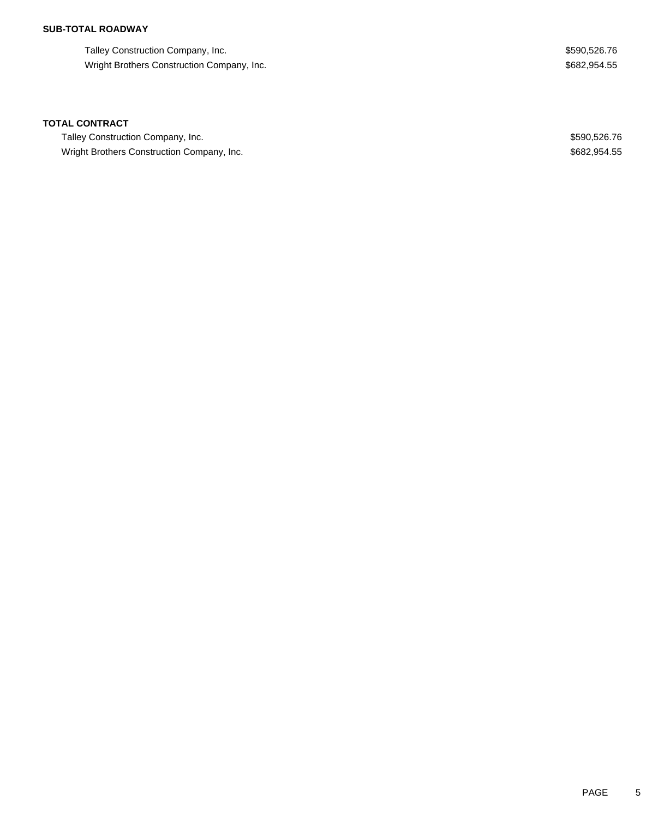## **SUB-TOTAL ROADWAY**

Talley Construction Company, Inc. 6. The state of the state of the state of the state of the state of the state of the state of the state of the state of the state of the state of the state of the state of the state of the Wright Brothers Construction Company, Inc. 682,954.55

### **TOTAL CONTRACT**

Talley Construction Company, Inc. 6. The state of the state of the state of the state of the state of the state of the state of the state of the state of the state of the state of the state of the state of the state of the Wright Brothers Construction Company, Inc. 682,954.55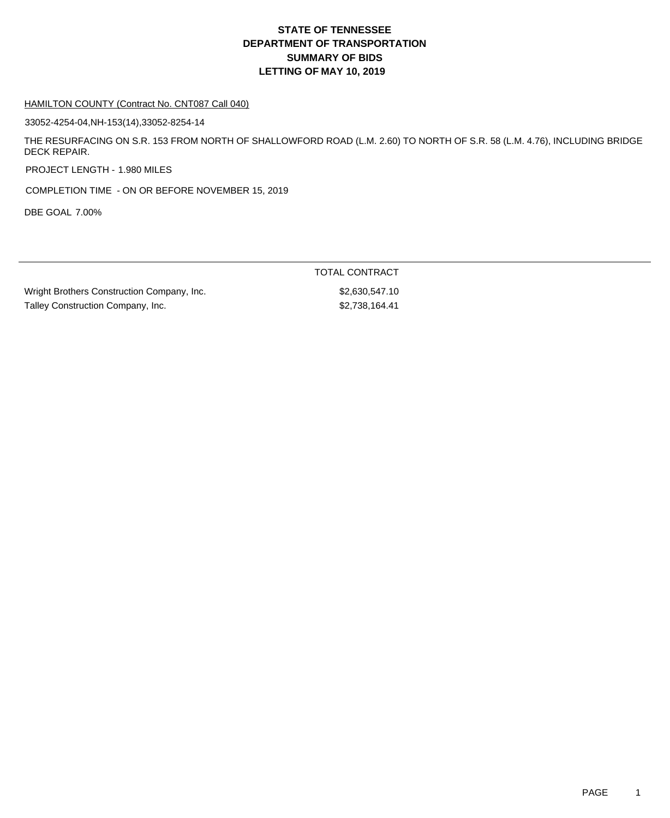#### HAMILTON COUNTY (Contract No. CNT087 Call 040)

33052-4254-04,NH-153(14),33052-8254-14

THE RESURFACING ON S.R. 153 FROM NORTH OF SHALLOWFORD ROAD (L.M. 2.60) TO NORTH OF S.R. 58 (L.M. 4.76), INCLUDING BRIDGE DECK REPAIR.

PROJECT LENGTH - 1.980 MILES

COMPLETION TIME - ON OR BEFORE NOVEMBER 15, 2019

DBE GOAL 7.00%

|                                            | TOTAL CONTRACT |
|--------------------------------------------|----------------|
| Wright Brothers Construction Company, Inc. | \$2.630.547.10 |
| Talley Construction Company, Inc.          | \$2.738.164.41 |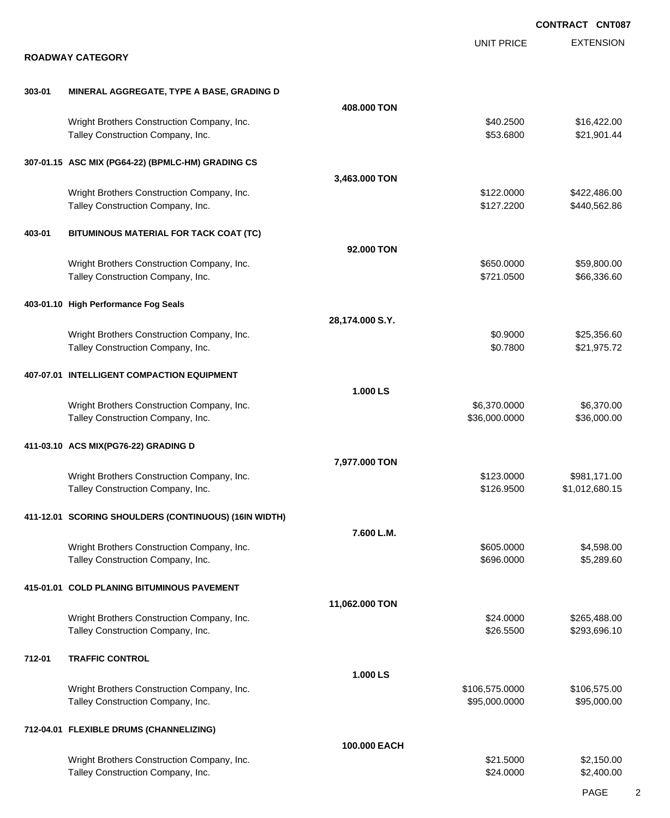|        |                                                                                 |                 |                                 | <b>CONTRACT CNT087</b>         |
|--------|---------------------------------------------------------------------------------|-----------------|---------------------------------|--------------------------------|
|        | <b>ROADWAY CATEGORY</b>                                                         |                 | <b>UNIT PRICE</b>               | <b>EXTENSION</b>               |
| 303-01 | MINERAL AGGREGATE, TYPE A BASE, GRADING D                                       |                 |                                 |                                |
|        |                                                                                 | 408.000 TON     |                                 |                                |
|        | Wright Brothers Construction Company, Inc.<br>Talley Construction Company, Inc. |                 | \$40.2500<br>\$53.6800          | \$16,422.00<br>\$21,901.44     |
|        | 307-01.15 ASC MIX (PG64-22) (BPMLC-HM) GRADING CS                               |                 |                                 |                                |
|        |                                                                                 | 3,463.000 TON   |                                 |                                |
|        | Wright Brothers Construction Company, Inc.<br>Talley Construction Company, Inc. |                 | \$122.0000<br>\$127.2200        | \$422,486.00<br>\$440,562.86   |
| 403-01 | BITUMINOUS MATERIAL FOR TACK COAT (TC)                                          |                 |                                 |                                |
|        |                                                                                 | 92,000 TON      |                                 |                                |
|        | Wright Brothers Construction Company, Inc.<br>Talley Construction Company, Inc. |                 | \$650.0000<br>\$721.0500        | \$59,800.00<br>\$66,336.60     |
|        | 403-01.10 High Performance Fog Seals                                            |                 |                                 |                                |
|        |                                                                                 | 28,174.000 S.Y. |                                 |                                |
|        | Wright Brothers Construction Company, Inc.<br>Talley Construction Company, Inc. |                 | \$0.9000<br>\$0.7800            | \$25,356.60<br>\$21,975.72     |
|        | 407-07.01 INTELLIGENT COMPACTION EQUIPMENT                                      |                 |                                 |                                |
|        |                                                                                 | 1.000 LS        |                                 |                                |
|        | Wright Brothers Construction Company, Inc.<br>Talley Construction Company, Inc. |                 | \$6,370.0000<br>\$36,000.0000   | \$6,370.00<br>\$36,000.00      |
|        | 411-03.10 ACS MIX(PG76-22) GRADING D                                            |                 |                                 |                                |
|        |                                                                                 | 7,977.000 TON   |                                 |                                |
|        | Wright Brothers Construction Company, Inc.<br>Talley Construction Company, Inc. |                 | \$123.0000<br>\$126.9500        | \$981,171.00<br>\$1,012,680.15 |
|        | 411-12.01 SCORING SHOULDERS (CONTINUOUS) (16IN WIDTH)                           |                 |                                 |                                |
|        |                                                                                 | 7.600 L.M.      |                                 |                                |
|        | Wright Brothers Construction Company, Inc.<br>Talley Construction Company, Inc. |                 | \$605.0000<br>\$696.0000        | \$4,598.00<br>\$5,289.60       |
|        | 415-01.01 COLD PLANING BITUMINOUS PAVEMENT                                      |                 |                                 |                                |
|        |                                                                                 | 11,062.000 TON  |                                 |                                |
|        | Wright Brothers Construction Company, Inc.<br>Talley Construction Company, Inc. |                 | \$24.0000<br>\$26.5500          | \$265,488.00<br>\$293,696.10   |
| 712-01 | <b>TRAFFIC CONTROL</b>                                                          |                 |                                 |                                |
|        |                                                                                 | 1.000 LS        |                                 |                                |
|        | Wright Brothers Construction Company, Inc.<br>Talley Construction Company, Inc. |                 | \$106,575.0000<br>\$95,000.0000 | \$106,575.00<br>\$95,000.00    |
|        | 712-04.01 FLEXIBLE DRUMS (CHANNELIZING)                                         |                 |                                 |                                |
|        |                                                                                 | 100.000 EACH    |                                 |                                |
|        | Wright Brothers Construction Company, Inc.<br>Talley Construction Company, Inc. |                 | \$21.5000<br>\$24.0000          | \$2,150.00<br>\$2,400.00       |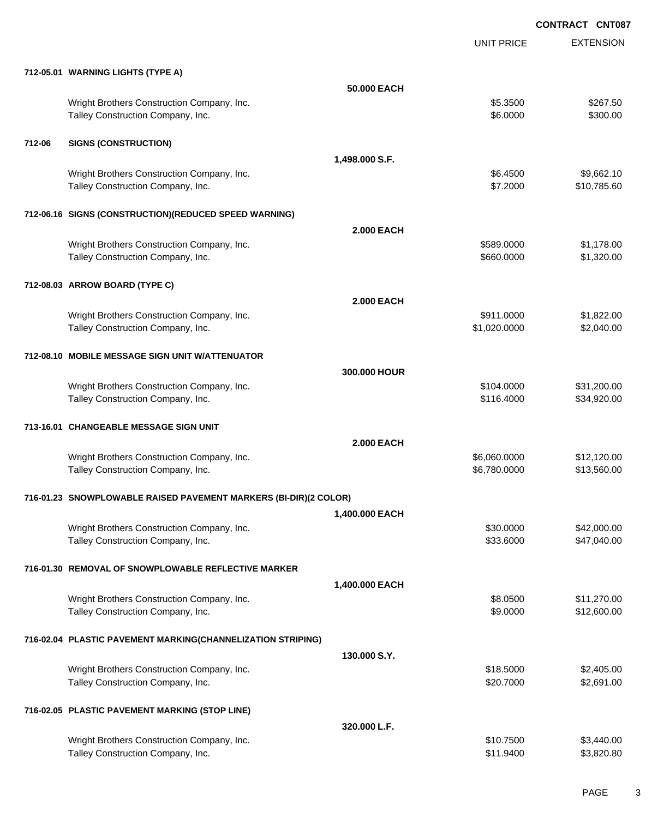**CONTRACT CNT087**

|        |                                                                  |                   | <b>UNIT PRICE</b> | <b>EXTENSION</b> |
|--------|------------------------------------------------------------------|-------------------|-------------------|------------------|
|        | 712-05.01 WARNING LIGHTS (TYPE A)                                |                   |                   |                  |
|        |                                                                  | 50,000 EACH       |                   |                  |
|        | Wright Brothers Construction Company, Inc.                       |                   | \$5.3500          | \$267.50         |
|        | Talley Construction Company, Inc.                                |                   | \$6.0000          | \$300.00         |
| 712-06 | <b>SIGNS (CONSTRUCTION)</b>                                      |                   |                   |                  |
|        |                                                                  | 1,498.000 S.F.    |                   |                  |
|        | Wright Brothers Construction Company, Inc.                       |                   | \$6.4500          | \$9,662.10       |
|        | Talley Construction Company, Inc.                                |                   | \$7.2000          | \$10,785.60      |
|        | 712-06.16 SIGNS (CONSTRUCTION) (REDUCED SPEED WARNING)           |                   |                   |                  |
|        |                                                                  | <b>2.000 EACH</b> |                   |                  |
|        | Wright Brothers Construction Company, Inc.                       |                   | \$589.0000        | \$1,178.00       |
|        | Talley Construction Company, Inc.                                |                   | \$660.0000        | \$1,320.00       |
|        | 712-08.03 ARROW BOARD (TYPE C)                                   |                   |                   |                  |
|        |                                                                  | <b>2.000 EACH</b> |                   |                  |
|        | Wright Brothers Construction Company, Inc.                       |                   | \$911.0000        | \$1,822.00       |
|        | Talley Construction Company, Inc.                                |                   | \$1,020.0000      | \$2,040.00       |
|        | 712-08.10 MOBILE MESSAGE SIGN UNIT W/ATTENUATOR                  |                   |                   |                  |
|        |                                                                  | 300,000 HOUR      |                   |                  |
|        | Wright Brothers Construction Company, Inc.                       |                   | \$104.0000        | \$31,200.00      |
|        | Talley Construction Company, Inc.                                |                   | \$116.4000        | \$34,920.00      |
|        | 713-16.01 CHANGEABLE MESSAGE SIGN UNIT                           |                   |                   |                  |
|        |                                                                  | <b>2.000 EACH</b> |                   |                  |
|        | Wright Brothers Construction Company, Inc.                       |                   | \$6,060.0000      | \$12,120.00      |
|        | Talley Construction Company, Inc.                                |                   | \$6,780.0000      | \$13,560.00      |
|        | 716-01.23 SNOWPLOWABLE RAISED PAVEMENT MARKERS (BI-DIR)(2 COLOR) |                   |                   |                  |
|        |                                                                  | 1,400.000 EACH    |                   |                  |
|        | Wright Brothers Construction Company, Inc.                       |                   | \$30.0000         | \$42,000.00      |
|        | Talley Construction Company, Inc.                                |                   | \$33.6000         | \$47,040.00      |
|        | 716-01.30 REMOVAL OF SNOWPLOWABLE REFLECTIVE MARKER              |                   |                   |                  |
|        |                                                                  | 1,400.000 EACH    |                   |                  |
|        | Wright Brothers Construction Company, Inc.                       |                   | \$8.0500          | \$11,270.00      |
|        | Talley Construction Company, Inc.                                |                   | \$9.0000          | \$12,600.00      |
|        | 716-02.04 PLASTIC PAVEMENT MARKING(CHANNELIZATION STRIPING)      |                   |                   |                  |
|        |                                                                  | 130.000 S.Y.      |                   |                  |
|        | Wright Brothers Construction Company, Inc.                       |                   | \$18.5000         | \$2,405.00       |
|        | Talley Construction Company, Inc.                                |                   | \$20.7000         | \$2,691.00       |
|        | 716-02.05 PLASTIC PAVEMENT MARKING (STOP LINE)                   |                   |                   |                  |
|        |                                                                  | 320.000 L.F.      |                   |                  |
|        | Wright Brothers Construction Company, Inc.                       |                   | \$10.7500         | \$3,440.00       |
|        | Talley Construction Company, Inc.                                |                   | \$11.9400         | \$3,820.80       |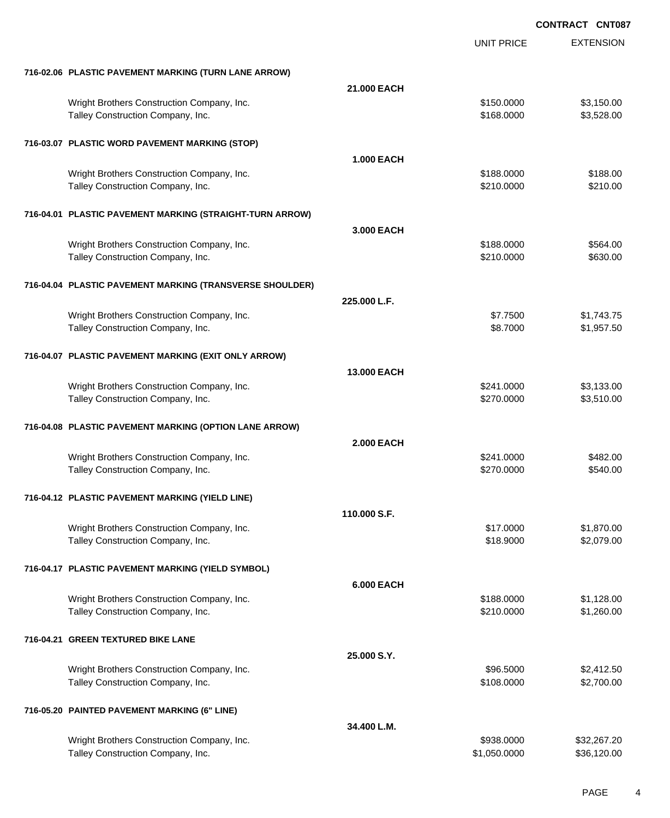**CONTRACT CNT087**

|                                                          |                    | <b>UNIT PRICE</b> | <b>EXTENSION</b> |
|----------------------------------------------------------|--------------------|-------------------|------------------|
| 716-02.06 PLASTIC PAVEMENT MARKING (TURN LANE ARROW)     |                    |                   |                  |
|                                                          | 21.000 EACH        |                   |                  |
| Wright Brothers Construction Company, Inc.               |                    | \$150.0000        | \$3,150.00       |
| Talley Construction Company, Inc.                        |                    | \$168.0000        | \$3,528.00       |
| 716-03.07 PLASTIC WORD PAVEMENT MARKING (STOP)           |                    |                   |                  |
|                                                          | <b>1.000 EACH</b>  |                   |                  |
| Wright Brothers Construction Company, Inc.               |                    | \$188.0000        | \$188.00         |
| Talley Construction Company, Inc.                        |                    | \$210.0000        | \$210.00         |
| 716-04.01 PLASTIC PAVEMENT MARKING (STRAIGHT-TURN ARROW) |                    |                   |                  |
|                                                          | 3.000 EACH         |                   |                  |
| Wright Brothers Construction Company, Inc.               |                    | \$188.0000        | \$564.00         |
| Talley Construction Company, Inc.                        |                    | \$210.0000        | \$630.00         |
| 716-04.04 PLASTIC PAVEMENT MARKING (TRANSVERSE SHOULDER) |                    |                   |                  |
|                                                          | 225.000 L.F.       |                   |                  |
| Wright Brothers Construction Company, Inc.               |                    | \$7.7500          | \$1,743.75       |
| Talley Construction Company, Inc.                        |                    | \$8.7000          | \$1,957.50       |
| 716-04.07 PLASTIC PAVEMENT MARKING (EXIT ONLY ARROW)     |                    |                   |                  |
|                                                          | <b>13,000 EACH</b> |                   |                  |
| Wright Brothers Construction Company, Inc.               |                    | \$241.0000        | \$3,133.00       |
| Talley Construction Company, Inc.                        |                    | \$270.0000        | \$3,510.00       |
| 716-04.08 PLASTIC PAVEMENT MARKING (OPTION LANE ARROW)   |                    |                   |                  |
|                                                          | <b>2.000 EACH</b>  |                   |                  |
| Wright Brothers Construction Company, Inc.               |                    | \$241.0000        | \$482.00         |
| Talley Construction Company, Inc.                        |                    | \$270.0000        | \$540.00         |
| 716-04.12 PLASTIC PAVEMENT MARKING (YIELD LINE)          |                    |                   |                  |
|                                                          | 110,000 S.F.       |                   |                  |
| Wright Brothers Construction Company, Inc.               |                    | \$17.0000         | \$1,870.00       |
| Talley Construction Company, Inc.                        |                    | \$18.9000         | \$2,079.00       |
| 716-04.17 PLASTIC PAVEMENT MARKING (YIELD SYMBOL)        |                    |                   |                  |
|                                                          | <b>6.000 EACH</b>  |                   |                  |
| Wright Brothers Construction Company, Inc.               |                    | \$188.0000        | \$1,128.00       |
| Talley Construction Company, Inc.                        |                    | \$210.0000        | \$1,260.00       |
| 716-04.21 GREEN TEXTURED BIKE LANE                       |                    |                   |                  |
|                                                          | 25.000 S.Y.        |                   |                  |
| Wright Brothers Construction Company, Inc.               |                    | \$96.5000         | \$2,412.50       |
| Talley Construction Company, Inc.                        |                    | \$108.0000        | \$2,700.00       |
| 716-05.20 PAINTED PAVEMENT MARKING (6" LINE)             |                    |                   |                  |
|                                                          | 34.400 L.M.        |                   |                  |
| Wright Brothers Construction Company, Inc.               |                    | \$938.0000        | \$32,267.20      |
| Talley Construction Company, Inc.                        |                    | \$1,050.0000      | \$36,120.00      |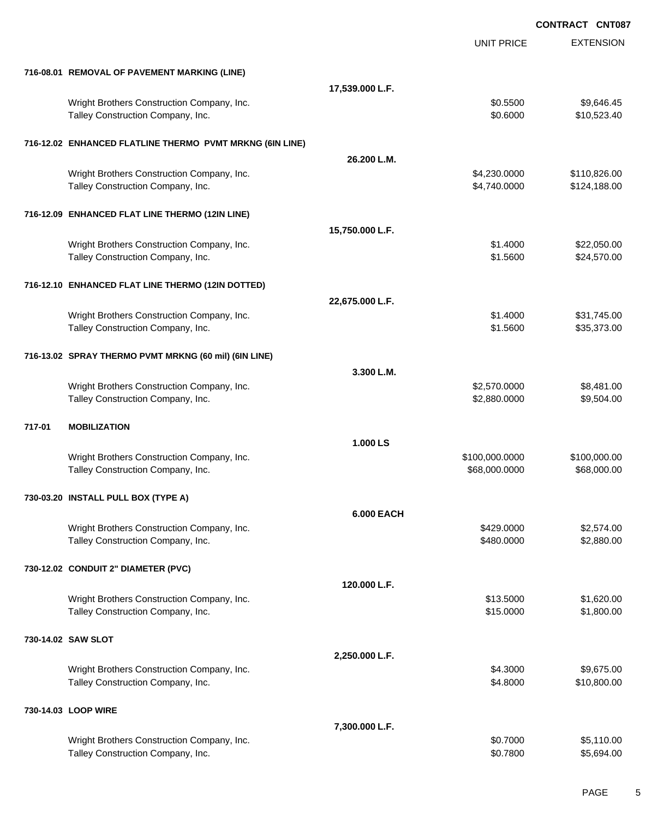|        |                                                                                 |                   |                                 | <b>CONTRACT CNT087</b>       |
|--------|---------------------------------------------------------------------------------|-------------------|---------------------------------|------------------------------|
|        |                                                                                 |                   | <b>UNIT PRICE</b>               | <b>EXTENSION</b>             |
|        | 716-08.01 REMOVAL OF PAVEMENT MARKING (LINE)                                    |                   |                                 |                              |
|        |                                                                                 | 17,539.000 L.F.   |                                 |                              |
|        | Wright Brothers Construction Company, Inc.<br>Talley Construction Company, Inc. |                   | \$0.5500<br>\$0.6000            | \$9,646.45<br>\$10,523.40    |
|        | 716-12.02 ENHANCED FLATLINE THERMO PVMT MRKNG (6IN LINE)                        |                   |                                 |                              |
|        |                                                                                 | 26.200 L.M.       |                                 |                              |
|        | Wright Brothers Construction Company, Inc.<br>Talley Construction Company, Inc. |                   | \$4,230.0000<br>\$4,740.0000    | \$110,826.00<br>\$124,188.00 |
|        | 716-12.09 ENHANCED FLAT LINE THERMO (12IN LINE)                                 |                   |                                 |                              |
|        |                                                                                 | 15,750.000 L.F.   |                                 |                              |
|        | Wright Brothers Construction Company, Inc.<br>Talley Construction Company, Inc. |                   | \$1.4000<br>\$1.5600            | \$22,050.00<br>\$24,570.00   |
|        | 716-12.10 ENHANCED FLAT LINE THERMO (12IN DOTTED)                               |                   |                                 |                              |
|        |                                                                                 | 22,675.000 L.F.   |                                 |                              |
|        | Wright Brothers Construction Company, Inc.<br>Talley Construction Company, Inc. |                   | \$1.4000<br>\$1.5600            | \$31,745.00<br>\$35,373.00   |
|        | 716-13.02 SPRAY THERMO PVMT MRKNG (60 mil) (6IN LINE)                           |                   |                                 |                              |
|        |                                                                                 | 3.300 L.M.        |                                 |                              |
|        | Wright Brothers Construction Company, Inc.<br>Talley Construction Company, Inc. |                   | \$2,570.0000<br>\$2,880.0000    | \$8,481.00<br>\$9,504.00     |
| 717-01 | <b>MOBILIZATION</b>                                                             |                   |                                 |                              |
|        |                                                                                 | 1.000 LS          |                                 |                              |
|        | Wright Brothers Construction Company, Inc.<br>Talley Construction Company, Inc. |                   | \$100,000.0000<br>\$68,000.0000 | \$100,000.00<br>\$68,000.00  |
|        | 730-03.20 INSTALL PULL BOX (TYPE A)                                             |                   |                                 |                              |
|        |                                                                                 | <b>6.000 EACH</b> |                                 |                              |
|        | Wright Brothers Construction Company, Inc.<br>Talley Construction Company, Inc. |                   | \$429.0000<br>\$480.0000        | \$2,574.00<br>\$2,880.00     |
|        | 730-12.02 CONDUIT 2" DIAMETER (PVC)                                             |                   |                                 |                              |
|        |                                                                                 | 120.000 L.F.      |                                 |                              |
|        | Wright Brothers Construction Company, Inc.<br>Talley Construction Company, Inc. |                   | \$13.5000<br>\$15.0000          | \$1,620.00<br>\$1,800.00     |
|        | 730-14.02 SAW SLOT                                                              |                   |                                 |                              |
|        |                                                                                 | 2,250.000 L.F.    |                                 |                              |
|        | Wright Brothers Construction Company, Inc.<br>Talley Construction Company, Inc. |                   | \$4.3000<br>\$4.8000            | \$9,675.00<br>\$10,800.00    |
|        | 730-14.03 LOOP WIRE                                                             |                   |                                 |                              |
|        |                                                                                 | 7,300.000 L.F.    |                                 |                              |
|        | Wright Brothers Construction Company, Inc.<br>Talley Construction Company, Inc. |                   | \$0.7000<br>\$0.7800            | \$5,110.00<br>\$5,694.00     |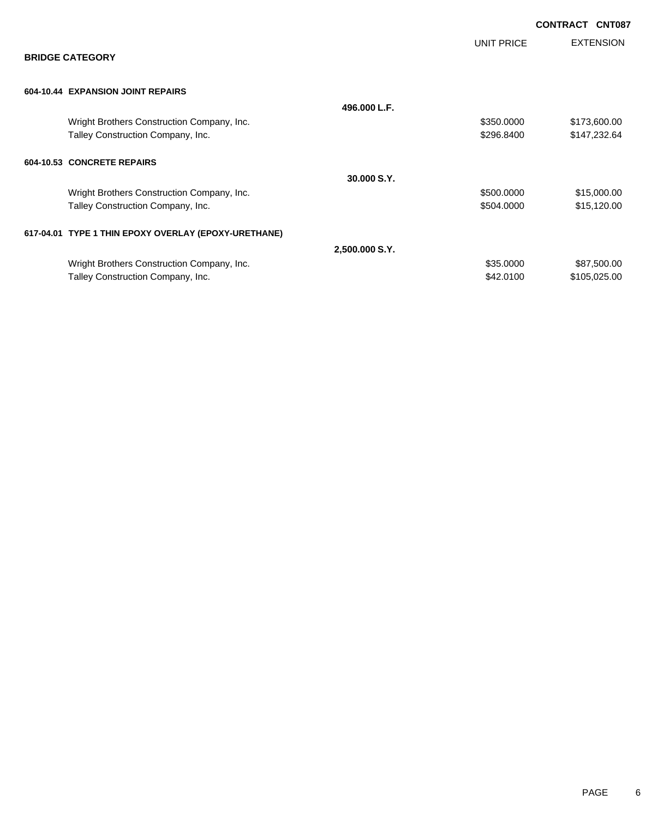|                                                      |                |            | <b>CONTRACT</b><br><b>CNT087</b> |
|------------------------------------------------------|----------------|------------|----------------------------------|
| <b>BRIDGE CATEGORY</b>                               |                | UNIT PRICE | <b>EXTENSION</b>                 |
| 604-10.44 EXPANSION JOINT REPAIRS                    |                |            |                                  |
|                                                      | 496.000 L.F.   |            |                                  |
| Wright Brothers Construction Company, Inc.           |                | \$350.0000 | \$173,600.00                     |
| Talley Construction Company, Inc.                    |                | \$296.8400 | \$147,232.64                     |
| 604-10.53 CONCRETE REPAIRS                           |                |            |                                  |
|                                                      | 30,000 S.Y.    |            |                                  |
| Wright Brothers Construction Company, Inc.           |                | \$500.0000 | \$15,000.00                      |
| Talley Construction Company, Inc.                    |                | \$504.0000 | \$15,120.00                      |
| 617-04.01 TYPE 1 THIN EPOXY OVERLAY (EPOXY-URETHANE) |                |            |                                  |
|                                                      | 2,500.000 S.Y. |            |                                  |
| Wright Brothers Construction Company, Inc.           |                | \$35.0000  | \$87,500.00                      |
| Talley Construction Company, Inc.                    |                | \$42.0100  | \$105,025.00                     |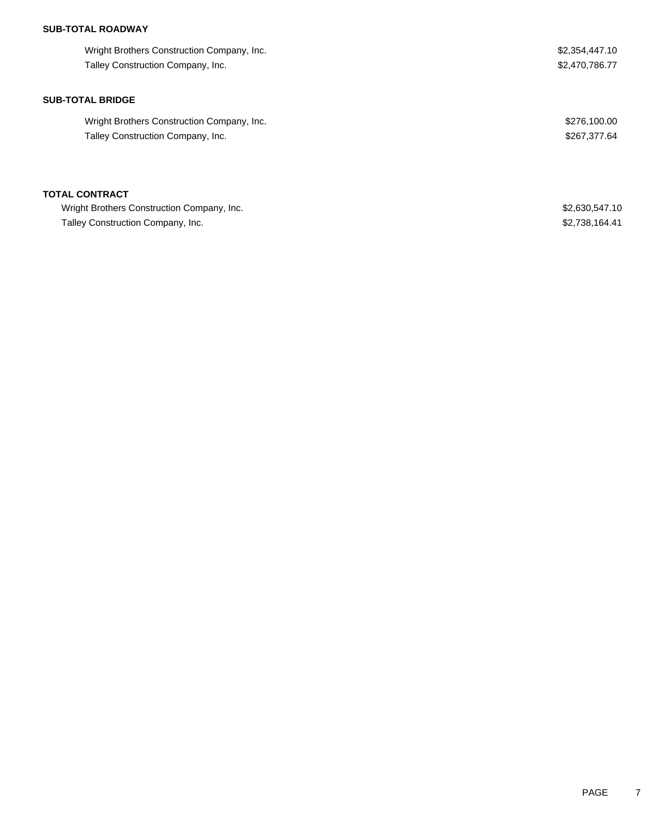## **SUB-TOTAL ROADWAY**

| Wright Brothers Construction Company, Inc. | \$2,354,447.10 |
|--------------------------------------------|----------------|
| Talley Construction Company, Inc.          | \$2,470,786.77 |
| <b>SUB-TOTAL BRIDGE</b>                    |                |
| Wright Brothers Construction Company, Inc. | \$276,100.00   |
| Talley Construction Company, Inc.          | \$267,377.64   |
|                                            |                |
| <b>TOTAL CONTRACT</b>                      |                |
|                                            |                |

Wright Brothers Construction Company, Inc. 6. The Second Second Seconds of the Seconds of the S2,630,547.10 Talley Construction Company, Inc. 6. The state of the state of the state of the state of the state of the state of the state of the state of the state of the state of the state of the state of the state of the state of the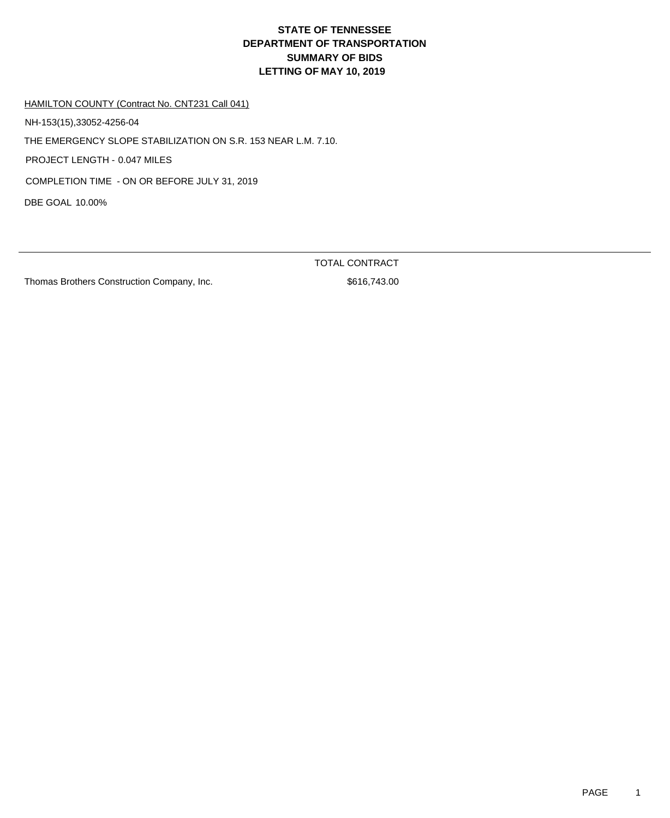HAMILTON COUNTY (Contract No. CNT231 Call 041)

NH-153(15),33052-4256-04

THE EMERGENCY SLOPE STABILIZATION ON S.R. 153 NEAR L.M. 7.10.

PROJECT LENGTH - 0.047 MILES

COMPLETION TIME - ON OR BEFORE JULY 31, 2019

DBE GOAL 10.00%

Thomas Brothers Construction Company, Inc.  $$616,743.00$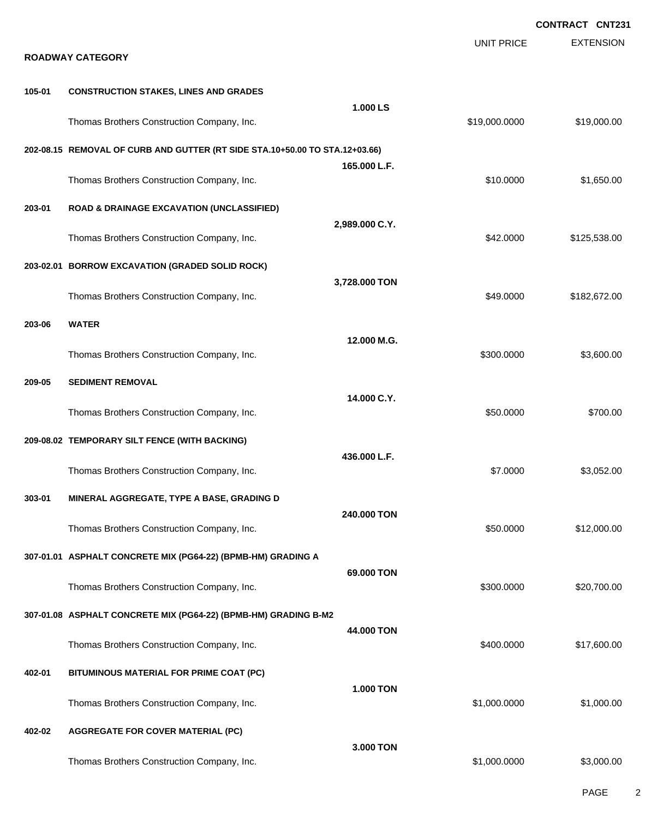|        |                                                                                             |                  |                   | <b>CONTRACT CNT231</b> |
|--------|---------------------------------------------------------------------------------------------|------------------|-------------------|------------------------|
|        | <b>ROADWAY CATEGORY</b>                                                                     |                  | <b>UNIT PRICE</b> | <b>EXTENSION</b>       |
| 105-01 | <b>CONSTRUCTION STAKES, LINES AND GRADES</b>                                                |                  |                   |                        |
|        | Thomas Brothers Construction Company, Inc.                                                  | 1.000 LS         | \$19,000.0000     | \$19,000.00            |
|        | 202-08.15 REMOVAL OF CURB AND GUTTER (RT SIDE STA.10+50.00 TO STA.12+03.66)                 |                  |                   |                        |
|        | Thomas Brothers Construction Company, Inc.                                                  | 165.000 L.F.     | \$10.0000         | \$1,650.00             |
| 203-01 | <b>ROAD &amp; DRAINAGE EXCAVATION (UNCLASSIFIED)</b>                                        |                  |                   |                        |
|        | Thomas Brothers Construction Company, Inc.                                                  | 2,989.000 C.Y.   | \$42.0000         | \$125,538.00           |
|        | 203-02.01 BORROW EXCAVATION (GRADED SOLID ROCK)                                             | 3,728.000 TON    |                   |                        |
|        | Thomas Brothers Construction Company, Inc.                                                  |                  | \$49.0000         | \$182,672.00           |
| 203-06 | <b>WATER</b>                                                                                | 12.000 M.G.      |                   |                        |
|        | Thomas Brothers Construction Company, Inc.                                                  |                  | \$300.0000        | \$3,600.00             |
| 209-05 | <b>SEDIMENT REMOVAL</b>                                                                     | 14.000 C.Y.      |                   |                        |
|        | Thomas Brothers Construction Company, Inc.<br>209-08.02 TEMPORARY SILT FENCE (WITH BACKING) |                  | \$50.0000         | \$700.00               |
|        | Thomas Brothers Construction Company, Inc.                                                  | 436.000 L.F.     | \$7.0000          | \$3,052.00             |
| 303-01 | MINERAL AGGREGATE, TYPE A BASE, GRADING D                                                   |                  |                   |                        |
|        | Thomas Brothers Construction Company, Inc.                                                  | 240.000 TON      | \$50.0000         | \$12,000.00            |
|        | 307-01.01 ASPHALT CONCRETE MIX (PG64-22) (BPMB-HM) GRADING A                                |                  |                   |                        |
|        | Thomas Brothers Construction Company, Inc.                                                  | 69.000 TON       | \$300.0000        | \$20,700.00            |
|        | 307-01.08 ASPHALT CONCRETE MIX (PG64-22) (BPMB-HM) GRADING B-M2                             | 44,000 TON       |                   |                        |
|        | Thomas Brothers Construction Company, Inc.                                                  |                  | \$400.0000        | \$17,600.00            |
| 402-01 | BITUMINOUS MATERIAL FOR PRIME COAT (PC)                                                     | <b>1.000 TON</b> |                   |                        |
|        | Thomas Brothers Construction Company, Inc.                                                  |                  | \$1,000.0000      | \$1,000.00             |
| 402-02 | <b>AGGREGATE FOR COVER MATERIAL (PC)</b>                                                    | 3.000 TON        |                   |                        |
|        | Thomas Brothers Construction Company, Inc.                                                  |                  | \$1,000.0000      | \$3,000.00             |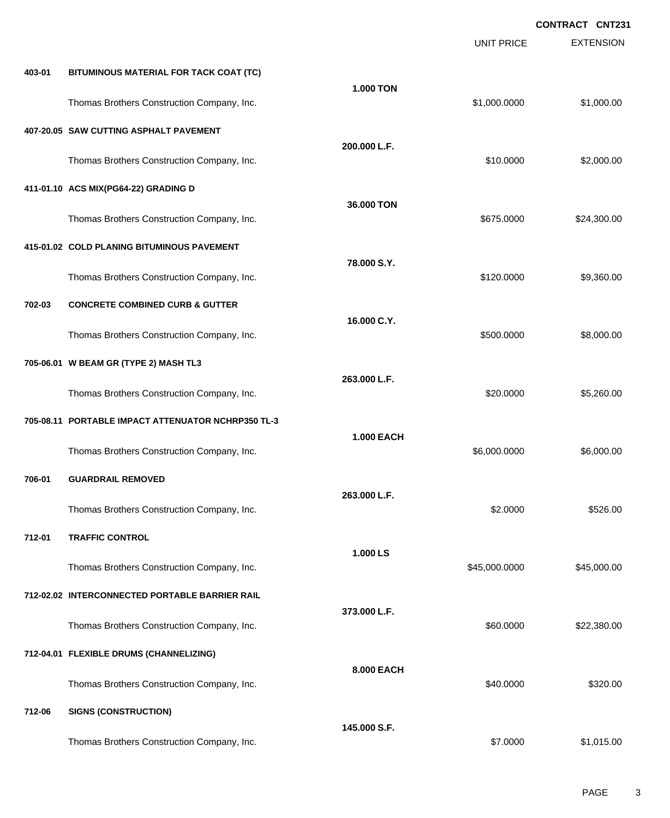|        |                                                    |                   | <b>UNIT PRICE</b> | <b>EXTENSION</b> |
|--------|----------------------------------------------------|-------------------|-------------------|------------------|
| 403-01 | BITUMINOUS MATERIAL FOR TACK COAT (TC)             |                   |                   |                  |
|        | Thomas Brothers Construction Company, Inc.         | <b>1.000 TON</b>  | \$1,000.0000      | \$1,000.00       |
|        | 407-20.05 SAW CUTTING ASPHALT PAVEMENT             |                   |                   |                  |
|        | Thomas Brothers Construction Company, Inc.         | 200.000 L.F.      | \$10.0000         | \$2,000.00       |
|        | 411-01.10 ACS MIX(PG64-22) GRADING D               |                   |                   |                  |
|        | Thomas Brothers Construction Company, Inc.         | 36.000 TON        | \$675.0000        | \$24,300.00      |
|        | 415-01.02 COLD PLANING BITUMINOUS PAVEMENT         |                   |                   |                  |
|        | Thomas Brothers Construction Company, Inc.         | 78.000 S.Y.       | \$120.0000        | \$9,360.00       |
| 702-03 | <b>CONCRETE COMBINED CURB &amp; GUTTER</b>         |                   |                   |                  |
|        | Thomas Brothers Construction Company, Inc.         | 16.000 C.Y.       | \$500.0000        | \$8,000.00       |
|        | 705-06.01 W BEAM GR (TYPE 2) MASH TL3              |                   |                   |                  |
|        | Thomas Brothers Construction Company, Inc.         | 263.000 L.F.      | \$20.0000         | \$5,260.00       |
|        | 705-08.11 PORTABLE IMPACT ATTENUATOR NCHRP350 TL-3 |                   |                   |                  |
|        | Thomas Brothers Construction Company, Inc.         | <b>1.000 EACH</b> | \$6,000.0000      | \$6,000.00       |
| 706-01 | <b>GUARDRAIL REMOVED</b>                           |                   |                   |                  |
|        | Thomas Brothers Construction Company, Inc.         | 263,000 L.F.      | \$2.0000          | \$526.00         |
| 712-01 | <b>TRAFFIC CONTROL</b>                             |                   |                   |                  |
|        | Thomas Brothers Construction Company, Inc.         | 1.000 LS          | \$45,000.0000     | \$45,000.00      |
|        | 712-02.02 INTERCONNECTED PORTABLE BARRIER RAIL     |                   |                   |                  |
|        | Thomas Brothers Construction Company, Inc.         | 373.000 L.F.      | \$60.0000         | \$22,380.00      |
|        | 712-04.01 FLEXIBLE DRUMS (CHANNELIZING)            |                   |                   |                  |
|        | Thomas Brothers Construction Company, Inc.         | 8.000 EACH        | \$40.0000         | \$320.00         |
| 712-06 | <b>SIGNS (CONSTRUCTION)</b>                        |                   |                   |                  |
|        | Thomas Brothers Construction Company, Inc.         | 145.000 S.F.      | \$7.0000          | \$1,015.00       |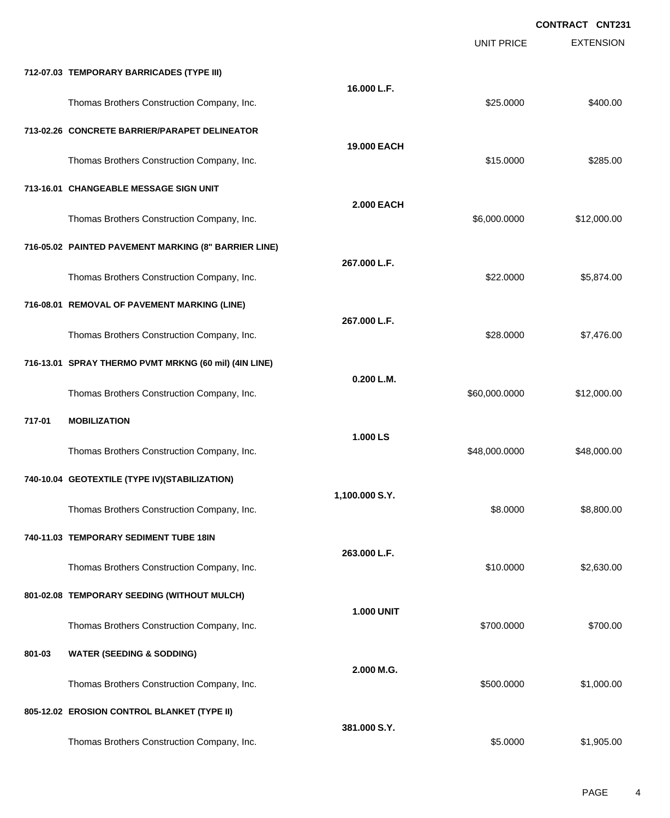|        |                                                       |                   | <b>UNIT PRICE</b> | <b>EXTENSION</b> |
|--------|-------------------------------------------------------|-------------------|-------------------|------------------|
|        | 712-07.03 TEMPORARY BARRICADES (TYPE III)             |                   |                   |                  |
|        | Thomas Brothers Construction Company, Inc.            | 16.000 L.F.       | \$25.0000         | \$400.00         |
|        | 713-02.26 CONCRETE BARRIER/PARAPET DELINEATOR         |                   |                   |                  |
|        | Thomas Brothers Construction Company, Inc.            | 19.000 EACH       | \$15.0000         | \$285.00         |
|        | 713-16.01 CHANGEABLE MESSAGE SIGN UNIT                |                   |                   |                  |
|        | Thomas Brothers Construction Company, Inc.            | <b>2.000 EACH</b> | \$6,000.0000      | \$12,000.00      |
|        | 716-05.02 PAINTED PAVEMENT MARKING (8" BARRIER LINE)  |                   |                   |                  |
|        | Thomas Brothers Construction Company, Inc.            | 267.000 L.F.      | \$22.0000         | \$5,874.00       |
|        | 716-08.01 REMOVAL OF PAVEMENT MARKING (LINE)          |                   |                   |                  |
|        | Thomas Brothers Construction Company, Inc.            | 267.000 L.F.      | \$28.0000         | \$7,476.00       |
|        | 716-13.01 SPRAY THERMO PVMT MRKNG (60 mil) (4IN LINE) |                   |                   |                  |
|        | Thomas Brothers Construction Company, Inc.            | 0.200 L.M.        | \$60,000.0000     | \$12,000.00      |
| 717-01 | <b>MOBILIZATION</b>                                   |                   |                   |                  |
|        | Thomas Brothers Construction Company, Inc.            | 1.000 LS          | \$48,000.0000     | \$48,000.00      |
|        | 740-10.04 GEOTEXTILE (TYPE IV)(STABILIZATION)         |                   |                   |                  |
|        | Thomas Brothers Construction Company, Inc.            | 1,100.000 S.Y.    | \$8.0000          | \$8,800.00       |
|        | 740-11.03 TEMPORARY SEDIMENT TUBE 18IN                |                   |                   |                  |
|        | Thomas Brothers Construction Company, Inc.            | 263.000 L.F.      | \$10.0000         | \$2,630.00       |
|        | 801-02.08 TEMPORARY SEEDING (WITHOUT MULCH)           |                   |                   |                  |
|        | Thomas Brothers Construction Company, Inc.            | <b>1.000 UNIT</b> | \$700.0000        | \$700.00         |
| 801-03 | <b>WATER (SEEDING &amp; SODDING)</b>                  |                   |                   |                  |
|        | Thomas Brothers Construction Company, Inc.            | 2.000 M.G.        | \$500.0000        | \$1,000.00       |
|        | 805-12.02 EROSION CONTROL BLANKET (TYPE II)           |                   |                   |                  |
|        | Thomas Brothers Construction Company, Inc.            | 381.000 S.Y.      | \$5.0000          | \$1,905.00       |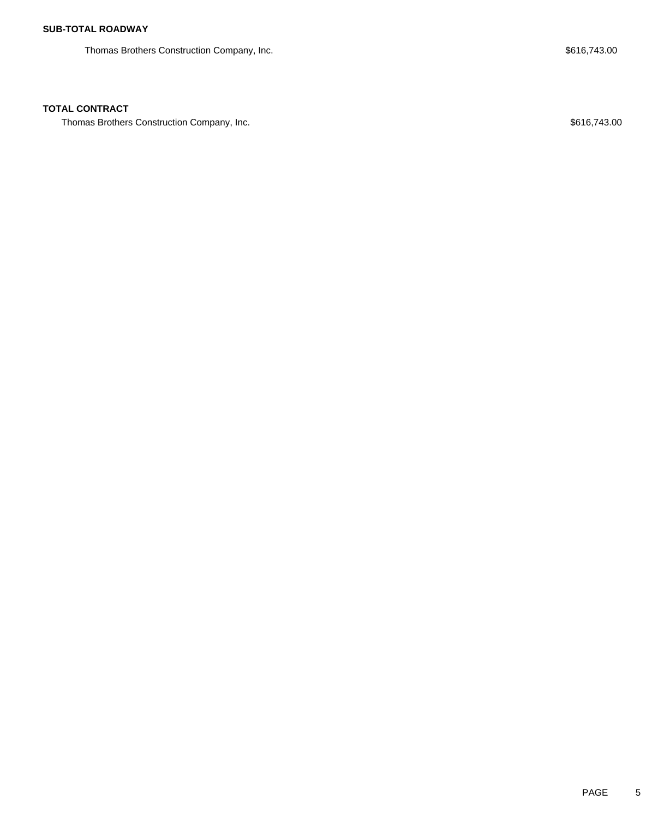Thomas Brothers Construction Company, Inc. 6. The Second Second Seconds of the Seconds Seconds Seconds and Seconds Seconds Seconds Seconds Seconds Seconds Seconds Seconds Seconds Seconds Seconds Seconds Seconds Seconds Sec

### **TOTAL CONTRACT**

Thomas Brothers Construction Company, Inc. 6. The Second Second Seconds of the Second Seconds Seconds and Seconds Seconds Seconds Seconds Seconds Seconds Seconds Seconds Seconds Seconds Seconds Seconds Seconds Seconds Seco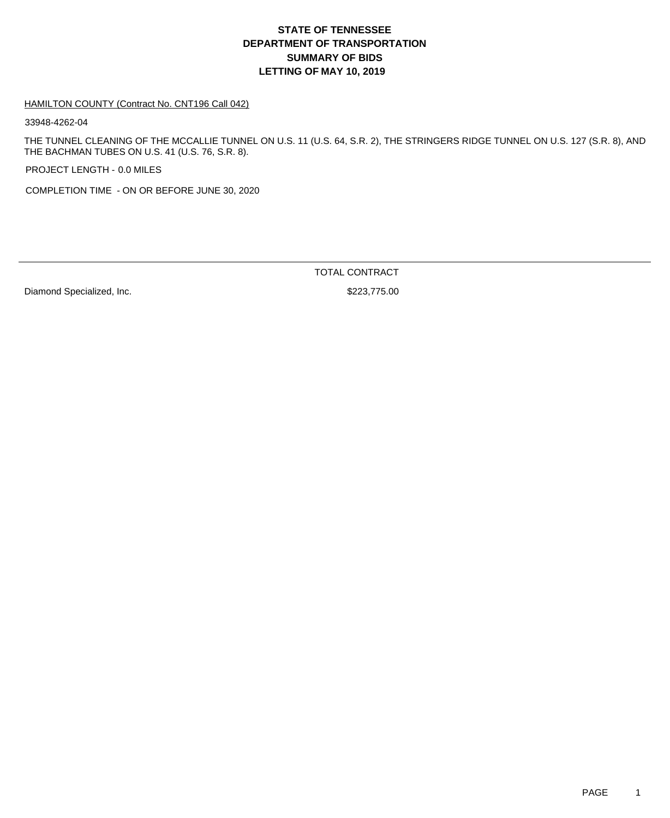#### HAMILTON COUNTY (Contract No. CNT196 Call 042)

33948-4262-04

THE TUNNEL CLEANING OF THE MCCALLIE TUNNEL ON U.S. 11 (U.S. 64, S.R. 2), THE STRINGERS RIDGE TUNNEL ON U.S. 127 (S.R. 8), AND THE BACHMAN TUBES ON U.S. 41 (U.S. 76, S.R. 8).

PROJECT LENGTH - 0.0 MILES

COMPLETION TIME - ON OR BEFORE JUNE 30, 2020

Diamond Specialized, Inc. 6. The Second Specialized, Inc. 6. The Second Second Second Second Second Second Second Second Second Second Second Second Second Second Second Second Second Second Second Second Second Second Sec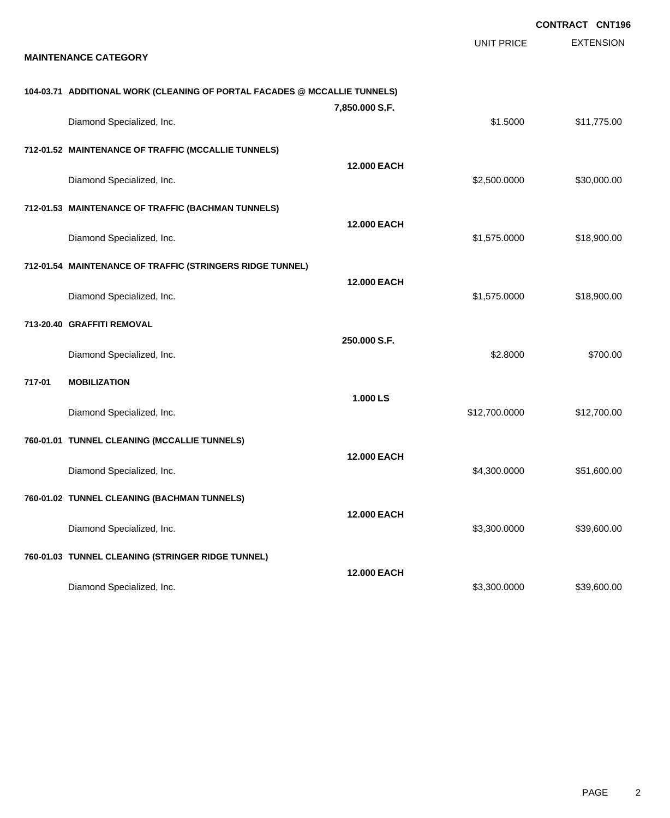|        |                                                                           |                    |                   | <b>CONTRACT CNT196</b> |
|--------|---------------------------------------------------------------------------|--------------------|-------------------|------------------------|
|        | <b>MAINTENANCE CATEGORY</b>                                               |                    | <b>UNIT PRICE</b> | <b>EXTENSION</b>       |
|        | 104-03.71 ADDITIONAL WORK (CLEANING OF PORTAL FACADES @ MCCALLIE TUNNELS) |                    |                   |                        |
|        | Diamond Specialized, Inc.                                                 | 7,850.000 S.F.     | \$1.5000          | \$11,775.00            |
|        | 712-01.52 MAINTENANCE OF TRAFFIC (MCCALLIE TUNNELS)                       |                    |                   |                        |
|        | Diamond Specialized, Inc.                                                 | 12.000 EACH        | \$2,500.0000      | \$30,000.00            |
|        | 712-01.53 MAINTENANCE OF TRAFFIC (BACHMAN TUNNELS)                        |                    |                   |                        |
|        | Diamond Specialized, Inc.                                                 | <b>12,000 EACH</b> | \$1,575.0000      | \$18,900.00            |
|        | 712-01.54 MAINTENANCE OF TRAFFIC (STRINGERS RIDGE TUNNEL)                 |                    |                   |                        |
|        | Diamond Specialized, Inc.                                                 | <b>12.000 EACH</b> | \$1,575.0000      | \$18,900.00            |
|        | 713-20.40 GRAFFITI REMOVAL                                                |                    |                   |                        |
|        | Diamond Specialized, Inc.                                                 | 250.000 S.F.       | \$2.8000          | \$700.00               |
| 717-01 | <b>MOBILIZATION</b>                                                       |                    |                   |                        |
|        | Diamond Specialized, Inc.                                                 | 1.000 LS           | \$12,700.0000     | \$12,700.00            |
|        | 760-01.01 TUNNEL CLEANING (MCCALLIE TUNNELS)                              |                    |                   |                        |
|        | Diamond Specialized, Inc.                                                 | <b>12,000 EACH</b> | \$4,300.0000      | \$51,600.00            |
|        | 760-01.02 TUNNEL CLEANING (BACHMAN TUNNELS)                               |                    |                   |                        |
|        | Diamond Specialized, Inc.                                                 | 12.000 EACH        | \$3,300.0000      | \$39,600.00            |
|        | 760-01.03 TUNNEL CLEANING (STRINGER RIDGE TUNNEL)                         |                    |                   |                        |
|        | Diamond Specialized, Inc.                                                 | <b>12.000 EACH</b> | \$3,300.0000      | \$39,600.00            |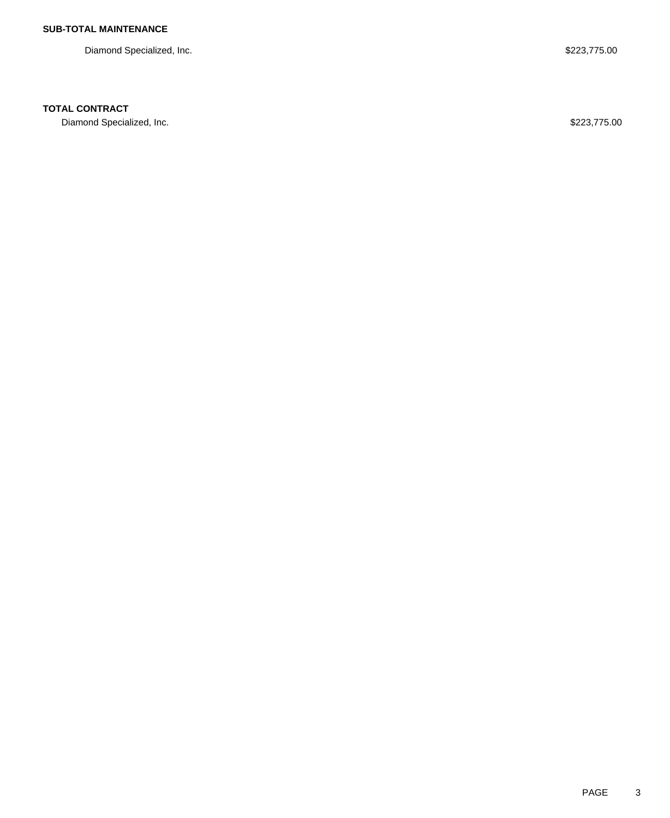Diamond Specialized, Inc. **\$223,775.00** Diamond Specialized, Inc.

## **TOTAL CONTRACT**

Diamond Specialized, Inc. 6. The Second Specialized, Inc. 6. The Second Specialized, Inc. 6. The Second Specialized, Inc.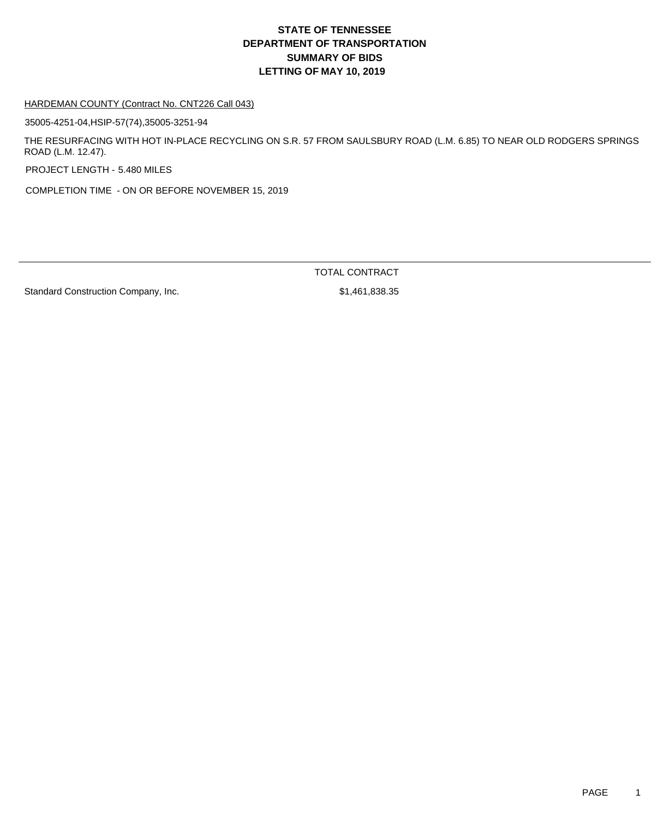#### HARDEMAN COUNTY (Contract No. CNT226 Call 043)

35005-4251-04,HSIP-57(74),35005-3251-94

THE RESURFACING WITH HOT IN-PLACE RECYCLING ON S.R. 57 FROM SAULSBURY ROAD (L.M. 6.85) TO NEAR OLD RODGERS SPRINGS ROAD (L.M. 12.47).

PROJECT LENGTH - 5.480 MILES

COMPLETION TIME - ON OR BEFORE NOVEMBER 15, 2019

TOTAL CONTRACT

Standard Construction Company, Inc. 6. The Standard Construction Company, Inc.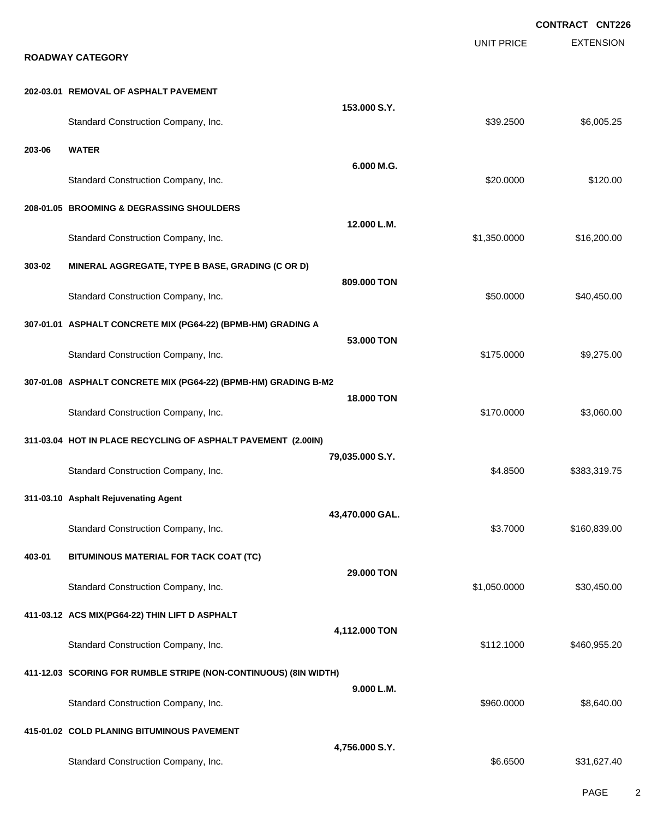**EXTENSION CONTRACT CNT226** UNIT PRICE **ROADWAY CATEGORY 202-03.01 REMOVAL OF ASPHALT PAVEMENT 153.000 S.Y.** Standard Construction Company, Inc. 6. 25 (250) \$6,005.25 (250) \$6,005.25 **203-06 WATER 6.000 M.G.** Standard Construction Company, Inc. 6. The Construction Company, Inc. 6. The Construction Company, Inc. 6. The Construction Company, Inc. 6. The Construction Company, Inc. 6. The Construction Company, Inc. 6. The Construct **208-01.05 BROOMING & DEGRASSING SHOULDERS 12.000 L.M.** Standard Construction Company, Inc. 6. The Construction Company, Inc. 6. The Construction Company, Inc. 6. The Construction Company, Inc. 6. The Construction Company, Inc. 6. The Construction Company, Inc. 6. The Construct **303-02 MINERAL AGGREGATE, TYPE B BASE, GRADING (C OR D) 809.000 TON** Standard Construction Company, Inc. 6. The Construction Company, Inc. 6. The Construction Company, Inc. 6. The Construction Company, Inc. 6. The Construction Company, Inc. 6. The Construction Company, Inc. 6. The Construct **307-01.01 ASPHALT CONCRETE MIX (PG64-22) (BPMB-HM) GRADING A 53.000 TON** Standard Construction Company, Inc. 6. The Construction Company, Inc. 6. The Construction Company, Inc. 6. The Construction Company, Inc. 6. The Construction Company, Inc. 6. The Construction Company, Inc. 6. The Construct **307-01.08 ASPHALT CONCRETE MIX (PG64-22) (BPMB-HM) GRADING B-M2 18.000 TON** Standard Construction Company, Inc. 6. The Construction Company, Inc. 6. The Construction Company, Inc. 6. The Construction Company, Inc. 6. The Construction Company, Inc. 6. The Construction Company, Inc. 6. The Construct **311-03.04 HOT IN PLACE RECYCLING OF ASPHALT PAVEMENT (2.00IN) 79,035.000 S.Y.** Standard Construction Company, Inc. 6. The Construction Company, Inc. 6. The Construction Company, Inc. 6. The Construction Company, Inc. 6. The Construction Company, Inc. 6. The Construction Company, Inc. 6. The Construct **311-03.10 Asphalt Rejuvenating Agent 43,470.000 GAL.** Standard Construction Company, Inc. 6. The Construction Company, Inc. 6. The Construction Company, Inc. 6. The Construction Company, Inc. 6. The Construction Company, Inc. 6. The Construction Company, Inc. 6. The Construct **403-01 BITUMINOUS MATERIAL FOR TACK COAT (TC) 29.000 TON** Standard Construction Company, Inc. 6. The Standard Construction Company, Inc. 6. The Standard Construction Company, Inc. **411-03.12 ACS MIX(PG64-22) THIN LIFT D ASPHALT 4,112.000 TON** Standard Construction Company, Inc. 6. The Construction Company, Inc. 6. The Construction Company, Inc. 6. The Construction Company, Inc. 6. The Construction Company, Inc. 6. The Construction Company, Inc. 6. The Construct **411-12.03 SCORING FOR RUMBLE STRIPE (NON-CONTINUOUS) (8IN WIDTH) 9.000 L.M.** Standard Construction Company, Inc. 6. The Construction Company, Inc. 6. The Construction Company, Inc. 6. The Construction Company, Inc. 6. The Construction Company, Inc. 6. The Construction Company, Inc. 6. The Construct **415-01.02 COLD PLANING BITUMINOUS PAVEMENT 4,756.000 S.Y.** Standard Construction Company, Inc. 6. The Standard Construction Company, Inc. 6. The Standard Construction Company, Inc. 6. The Standard Standard Standard Standard Standard Standard Standard Standard Standard Standard Sta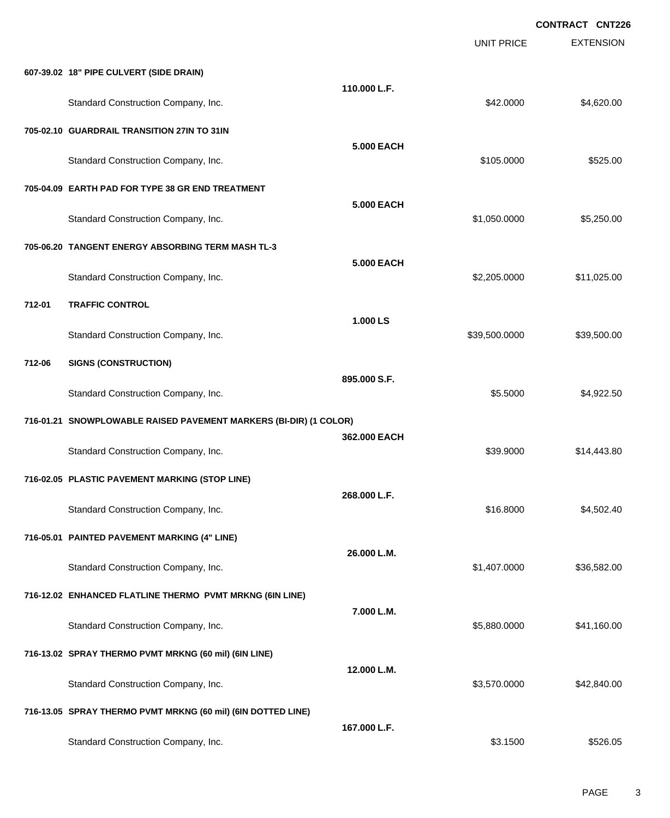|        |                                                                   |                   | <b>UNIT PRICE</b> | <b>CONTRACT CNT226</b><br><b>EXTENSION</b> |
|--------|-------------------------------------------------------------------|-------------------|-------------------|--------------------------------------------|
|        | 607-39.02 18" PIPE CULVERT (SIDE DRAIN)                           |                   |                   |                                            |
|        | Standard Construction Company, Inc.                               | 110.000 L.F.      | \$42.0000         | \$4,620.00                                 |
|        | 705-02.10 GUARDRAIL TRANSITION 27IN TO 31IN                       |                   |                   |                                            |
|        | Standard Construction Company, Inc.                               | <b>5.000 EACH</b> | \$105.0000        | \$525.00                                   |
|        | 705-04.09 EARTH PAD FOR TYPE 38 GR END TREATMENT                  |                   |                   |                                            |
|        | Standard Construction Company, Inc.                               | <b>5.000 EACH</b> | \$1,050.0000      | \$5,250.00                                 |
|        | 705-06.20 TANGENT ENERGY ABSORBING TERM MASH TL-3                 |                   |                   |                                            |
|        | Standard Construction Company, Inc.                               | <b>5.000 EACH</b> | \$2,205.0000      | \$11,025.00                                |
| 712-01 | <b>TRAFFIC CONTROL</b>                                            |                   |                   |                                            |
|        | Standard Construction Company, Inc.                               | 1.000 LS          | \$39,500.0000     | \$39,500.00                                |
| 712-06 | <b>SIGNS (CONSTRUCTION)</b>                                       |                   |                   |                                            |
|        | Standard Construction Company, Inc.                               | 895,000 S.F.      | \$5.5000          | \$4,922.50                                 |
|        | 716-01.21 SNOWPLOWABLE RAISED PAVEMENT MARKERS (BI-DIR) (1 COLOR) |                   |                   |                                            |
|        | Standard Construction Company, Inc.                               | 362.000 EACH      | \$39.9000         | \$14,443.80                                |
|        | 716-02.05 PLASTIC PAVEMENT MARKING (STOP LINE)                    |                   |                   |                                            |
|        | Standard Construction Company, Inc.                               | 268.000 L.F.      | \$16.8000         | \$4,502.40                                 |
|        | 716-05.01 PAINTED PAVEMENT MARKING (4" LINE)                      |                   |                   |                                            |
|        | Standard Construction Company, Inc.                               | 26.000 L.M.       | \$1,407.0000      | \$36,582.00                                |
|        | 716-12.02 ENHANCED FLATLINE THERMO PVMT MRKNG (6IN LINE)          |                   |                   |                                            |
|        | Standard Construction Company, Inc.                               | 7.000 L.M.        | \$5,880.0000      | \$41,160.00                                |
|        | 716-13.02 SPRAY THERMO PVMT MRKNG (60 mil) (6IN LINE)             |                   |                   |                                            |
|        | Standard Construction Company, Inc.                               | 12.000 L.M.       | \$3,570.0000      | \$42,840.00                                |
|        | 716-13.05 SPRAY THERMO PVMT MRKNG (60 mil) (6IN DOTTED LINE)      |                   |                   |                                            |
|        | Standard Construction Company, Inc.                               | 167.000 L.F.      | \$3.1500          | \$526.05                                   |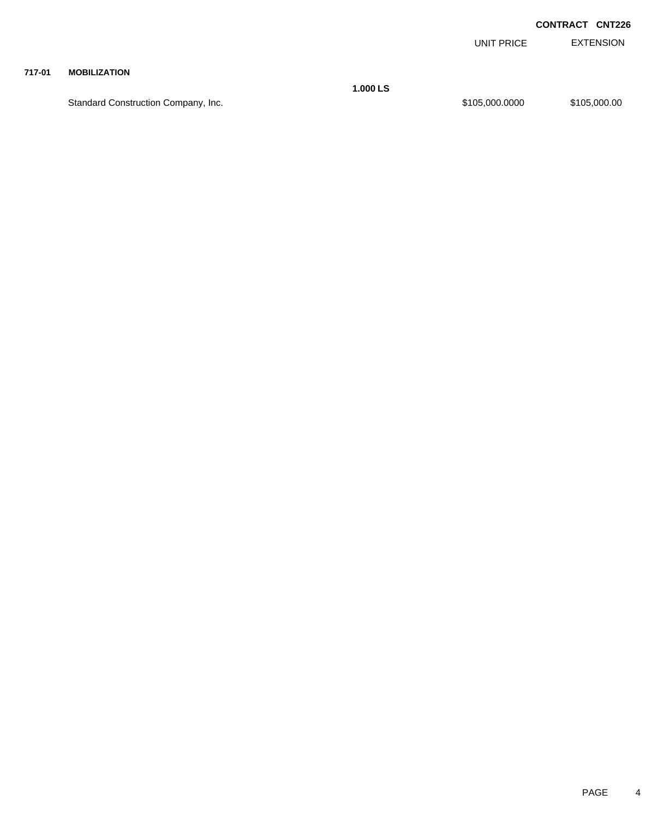EXTENSION UNIT PRICE

#### **717-01 MOBILIZATION**

Standard Construction Company, Inc. 6. 2010 12:30 12:30 12:30 12:30 12:30 12:30 12:30 12:30 12:30 12:30 12:30

**1.000 LS**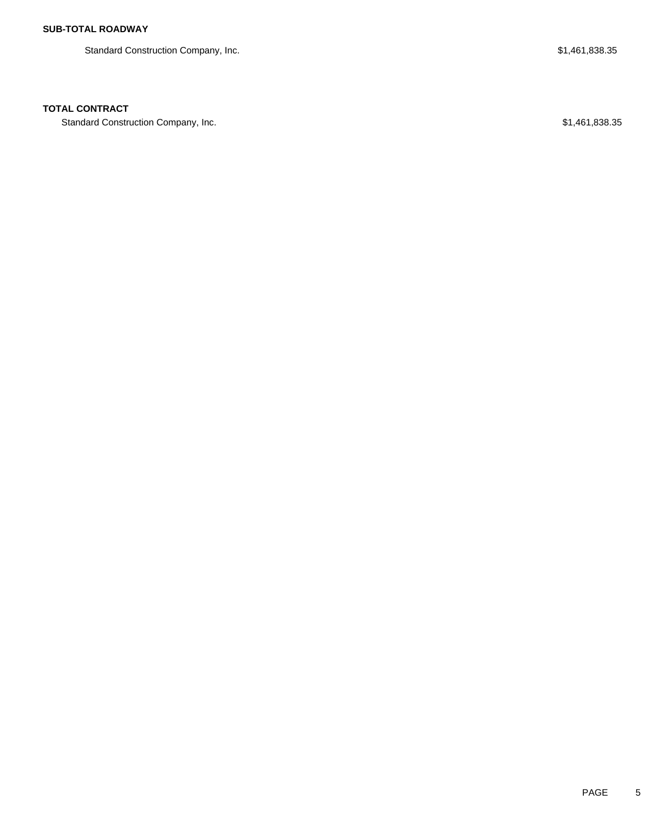Standard Construction Company, Inc. 6. The Standard Construction Company, Inc. 6. The Standard Construction Company, Inc.

## **TOTAL CONTRACT**

Standard Construction Company, Inc. 6. The Standard Construction Company, Inc. 6. The Standard Construction Company, Inc.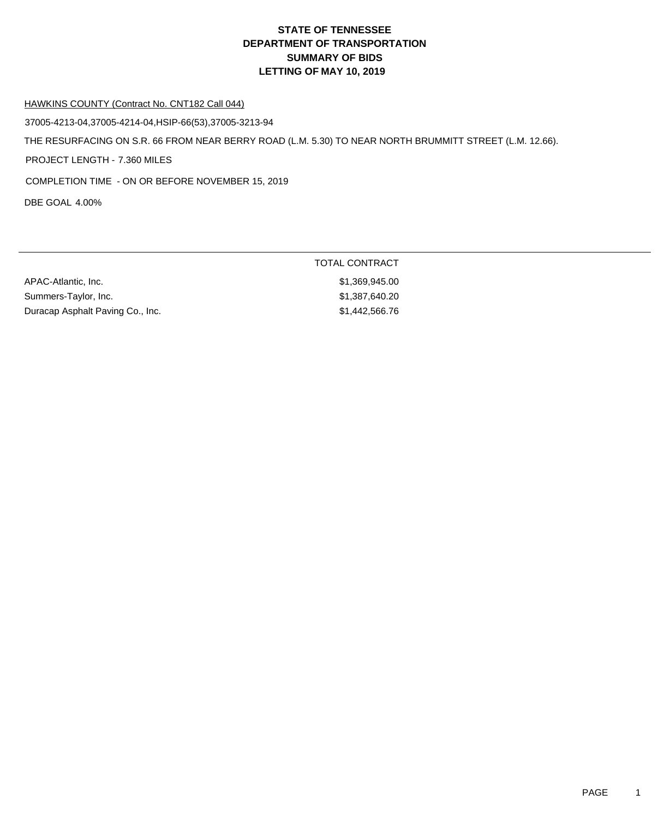#### HAWKINS COUNTY (Contract No. CNT182 Call 044)

37005-4213-04,37005-4214-04,HSIP-66(53),37005-3213-94

THE RESURFACING ON S.R. 66 FROM NEAR BERRY ROAD (L.M. 5.30) TO NEAR NORTH BRUMMITT STREET (L.M. 12.66).

PROJECT LENGTH - 7.360 MILES

COMPLETION TIME - ON OR BEFORE NOVEMBER 15, 2019

DBE GOAL 4.00%

|                                  | TOTAL CONTRACT |
|----------------------------------|----------------|
| APAC-Atlantic, Inc.              | \$1.369.945.00 |
| Summers-Taylor, Inc.             | \$1.387.640.20 |
| Duracap Asphalt Paving Co., Inc. | \$1,442,566.76 |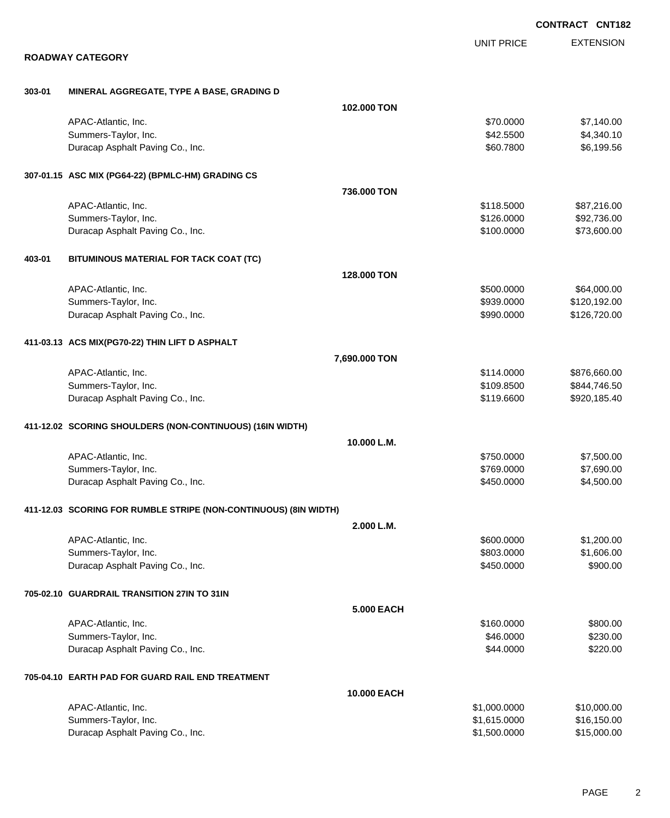|        |                                                                  |                   |                   | <b>CONTRACT CNT182</b> |
|--------|------------------------------------------------------------------|-------------------|-------------------|------------------------|
|        |                                                                  |                   | <b>UNIT PRICE</b> | <b>EXTENSION</b>       |
|        | <b>ROADWAY CATEGORY</b>                                          |                   |                   |                        |
| 303-01 | MINERAL AGGREGATE, TYPE A BASE, GRADING D                        |                   |                   |                        |
|        |                                                                  | 102.000 TON       |                   |                        |
|        | APAC-Atlantic, Inc.                                              |                   | \$70.0000         | \$7,140.00             |
|        | Summers-Taylor, Inc.                                             |                   | \$42.5500         | \$4,340.10             |
|        | Duracap Asphalt Paving Co., Inc.                                 |                   | \$60.7800         | \$6,199.56             |
|        | 307-01.15 ASC MIX (PG64-22) (BPMLC-HM) GRADING CS                |                   |                   |                        |
|        |                                                                  | 736.000 TON       |                   |                        |
|        | APAC-Atlantic, Inc.                                              |                   | \$118.5000        | \$87,216.00            |
|        | Summers-Taylor, Inc.                                             |                   | \$126.0000        | \$92,736.00            |
|        | Duracap Asphalt Paving Co., Inc.                                 |                   | \$100.0000        | \$73,600.00            |
| 403-01 | BITUMINOUS MATERIAL FOR TACK COAT (TC)                           |                   |                   |                        |
|        |                                                                  | 128.000 TON       |                   |                        |
|        | APAC-Atlantic, Inc.                                              |                   | \$500.0000        | \$64,000.00            |
|        | Summers-Taylor, Inc.                                             |                   | \$939.0000        | \$120,192.00           |
|        | Duracap Asphalt Paving Co., Inc.                                 |                   | \$990.0000        | \$126,720.00           |
|        | 411-03.13 ACS MIX(PG70-22) THIN LIFT D ASPHALT                   |                   |                   |                        |
|        |                                                                  | 7,690.000 TON     |                   |                        |
|        | APAC-Atlantic, Inc.                                              |                   | \$114.0000        | \$876,660.00           |
|        | Summers-Taylor, Inc.                                             |                   | \$109.8500        | \$844,746.50           |
|        | Duracap Asphalt Paving Co., Inc.                                 |                   | \$119.6600        | \$920,185.40           |
|        | 411-12.02 SCORING SHOULDERS (NON-CONTINUOUS) (16IN WIDTH)        |                   |                   |                        |
|        |                                                                  | 10.000 L.M.       |                   |                        |
|        | APAC-Atlantic, Inc.                                              |                   | \$750.0000        | \$7,500.00             |
|        | Summers-Taylor, Inc.                                             |                   | \$769.0000        | \$7,690.00             |
|        | Duracap Asphalt Paving Co., Inc.                                 |                   | \$450.0000        | \$4,500.00             |
|        | 411-12.03 SCORING FOR RUMBLE STRIPE (NON-CONTINUOUS) (8IN WIDTH) |                   |                   |                        |
|        |                                                                  | 2.000 L.M.        |                   |                        |
|        | APAC-Atlantic, Inc.                                              |                   | \$600.0000        | \$1,200.00             |
|        | Summers-Taylor, Inc.                                             |                   | \$803.0000        | \$1,606.00             |
|        | Duracap Asphalt Paving Co., Inc.                                 |                   | \$450.0000        | \$900.00               |
|        | 705-02.10 GUARDRAIL TRANSITION 27IN TO 31IN                      |                   |                   |                        |
|        |                                                                  | <b>5.000 EACH</b> |                   |                        |
|        | APAC-Atlantic, Inc.                                              |                   | \$160.0000        | \$800.00               |
|        | Summers-Taylor, Inc.                                             |                   | \$46.0000         | \$230.00               |
|        | Duracap Asphalt Paving Co., Inc.                                 |                   | \$44.0000         | \$220.00               |
|        | 705-04.10 EARTH PAD FOR GUARD RAIL END TREATMENT                 |                   |                   |                        |
|        |                                                                  | 10.000 EACH       |                   |                        |
|        | APAC-Atlantic, Inc.                                              |                   | \$1,000.0000      | \$10,000.00            |
|        | Summers-Taylor, Inc.                                             |                   | \$1,615.0000      | \$16,150.00            |
|        | Duracap Asphalt Paving Co., Inc.                                 |                   | \$1,500.0000      | \$15,000.00            |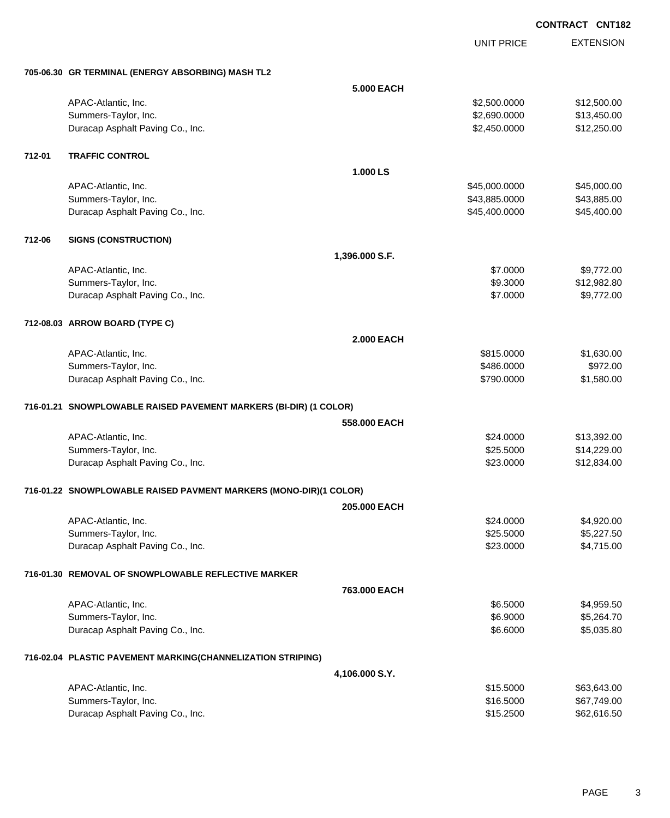UNIT PRICE

EXTENSION

| 5.000 EACH<br>\$2,500.0000<br>\$12,500.00<br>APAC-Atlantic, Inc.<br>Summers-Taylor, Inc.<br>\$2,690.0000<br>\$13,450.00<br>Duracap Asphalt Paving Co., Inc.<br>\$2,450.0000<br>\$12,250.00<br><b>TRAFFIC CONTROL</b><br>712-01<br>1.000 LS<br>\$45,000.00<br>APAC-Atlantic, Inc.<br>\$45,000.0000<br>\$43,885.00<br>Summers-Taylor, Inc.<br>\$43,885.0000<br>\$45,400.00<br>Duracap Asphalt Paving Co., Inc.<br>\$45,400.0000<br>712-06<br><b>SIGNS (CONSTRUCTION)</b><br>1,396.000 S.F.<br>\$7.0000<br>\$9,772.00<br>APAC-Atlantic, Inc.<br>Summers-Taylor, Inc.<br>\$9.3000<br>\$12,982.80<br>\$9,772.00<br>Duracap Asphalt Paving Co., Inc.<br>\$7.0000<br>712-08.03 ARROW BOARD (TYPE C)<br><b>2.000 EACH</b><br>APAC-Atlantic, Inc.<br>\$815.0000<br>\$1,630.00<br>\$972.00<br>Summers-Taylor, Inc.<br>\$486.0000<br>Duracap Asphalt Paving Co., Inc.<br>\$790.0000<br>\$1,580.00<br>716-01.21 SNOWPLOWABLE RAISED PAVEMENT MARKERS (BI-DIR) (1 COLOR)<br>558,000 EACH<br>APAC-Atlantic, Inc.<br>\$24.0000<br>\$13,392.00<br>\$14,229.00<br>Summers-Taylor, Inc.<br>\$25.5000<br>Duracap Asphalt Paving Co., Inc.<br>\$23.0000<br>\$12,834.00<br>716-01.22 SNOWPLOWABLE RAISED PAVMENT MARKERS (MONO-DIR)(1 COLOR)<br>205,000 EACH<br>\$4,920.00<br>APAC-Atlantic, Inc.<br>\$24.0000<br>Summers-Taylor, Inc.<br>\$25.5000<br>\$5,227.50<br>\$4,715.00<br>Duracap Asphalt Paving Co., Inc.<br>\$23.0000<br>716-01.30 REMOVAL OF SNOWPLOWABLE REFLECTIVE MARKER<br>763.000 EACH<br>\$6.5000<br>\$4,959.50<br>APAC-Atlantic, Inc.<br>\$5,264.70<br>Summers-Taylor, Inc.<br>\$6.9000<br>Duracap Asphalt Paving Co., Inc.<br>\$6.6000<br>\$5,035.80<br>716-02.04 PLASTIC PAVEMENT MARKING(CHANNELIZATION STRIPING)<br>4,106.000 S.Y.<br>\$15.5000<br>\$63,643.00<br>APAC-Atlantic, Inc.<br>Summers-Taylor, Inc.<br>\$16.5000<br>\$67,749.00<br>\$15.2500<br>\$62,616.50<br>Duracap Asphalt Paving Co., Inc. | 705-06.30 GR TERMINAL (ENERGY ABSORBING) MASH TL2 |  |  |
|-------------------------------------------------------------------------------------------------------------------------------------------------------------------------------------------------------------------------------------------------------------------------------------------------------------------------------------------------------------------------------------------------------------------------------------------------------------------------------------------------------------------------------------------------------------------------------------------------------------------------------------------------------------------------------------------------------------------------------------------------------------------------------------------------------------------------------------------------------------------------------------------------------------------------------------------------------------------------------------------------------------------------------------------------------------------------------------------------------------------------------------------------------------------------------------------------------------------------------------------------------------------------------------------------------------------------------------------------------------------------------------------------------------------------------------------------------------------------------------------------------------------------------------------------------------------------------------------------------------------------------------------------------------------------------------------------------------------------------------------------------------------------------------------------------------------------------------------------------------------------------------------------------------|---------------------------------------------------|--|--|
|                                                                                                                                                                                                                                                                                                                                                                                                                                                                                                                                                                                                                                                                                                                                                                                                                                                                                                                                                                                                                                                                                                                                                                                                                                                                                                                                                                                                                                                                                                                                                                                                                                                                                                                                                                                                                                                                                                             |                                                   |  |  |
|                                                                                                                                                                                                                                                                                                                                                                                                                                                                                                                                                                                                                                                                                                                                                                                                                                                                                                                                                                                                                                                                                                                                                                                                                                                                                                                                                                                                                                                                                                                                                                                                                                                                                                                                                                                                                                                                                                             |                                                   |  |  |
|                                                                                                                                                                                                                                                                                                                                                                                                                                                                                                                                                                                                                                                                                                                                                                                                                                                                                                                                                                                                                                                                                                                                                                                                                                                                                                                                                                                                                                                                                                                                                                                                                                                                                                                                                                                                                                                                                                             |                                                   |  |  |
|                                                                                                                                                                                                                                                                                                                                                                                                                                                                                                                                                                                                                                                                                                                                                                                                                                                                                                                                                                                                                                                                                                                                                                                                                                                                                                                                                                                                                                                                                                                                                                                                                                                                                                                                                                                                                                                                                                             |                                                   |  |  |
|                                                                                                                                                                                                                                                                                                                                                                                                                                                                                                                                                                                                                                                                                                                                                                                                                                                                                                                                                                                                                                                                                                                                                                                                                                                                                                                                                                                                                                                                                                                                                                                                                                                                                                                                                                                                                                                                                                             |                                                   |  |  |
|                                                                                                                                                                                                                                                                                                                                                                                                                                                                                                                                                                                                                                                                                                                                                                                                                                                                                                                                                                                                                                                                                                                                                                                                                                                                                                                                                                                                                                                                                                                                                                                                                                                                                                                                                                                                                                                                                                             |                                                   |  |  |
|                                                                                                                                                                                                                                                                                                                                                                                                                                                                                                                                                                                                                                                                                                                                                                                                                                                                                                                                                                                                                                                                                                                                                                                                                                                                                                                                                                                                                                                                                                                                                                                                                                                                                                                                                                                                                                                                                                             |                                                   |  |  |
|                                                                                                                                                                                                                                                                                                                                                                                                                                                                                                                                                                                                                                                                                                                                                                                                                                                                                                                                                                                                                                                                                                                                                                                                                                                                                                                                                                                                                                                                                                                                                                                                                                                                                                                                                                                                                                                                                                             |                                                   |  |  |
|                                                                                                                                                                                                                                                                                                                                                                                                                                                                                                                                                                                                                                                                                                                                                                                                                                                                                                                                                                                                                                                                                                                                                                                                                                                                                                                                                                                                                                                                                                                                                                                                                                                                                                                                                                                                                                                                                                             |                                                   |  |  |
|                                                                                                                                                                                                                                                                                                                                                                                                                                                                                                                                                                                                                                                                                                                                                                                                                                                                                                                                                                                                                                                                                                                                                                                                                                                                                                                                                                                                                                                                                                                                                                                                                                                                                                                                                                                                                                                                                                             |                                                   |  |  |
|                                                                                                                                                                                                                                                                                                                                                                                                                                                                                                                                                                                                                                                                                                                                                                                                                                                                                                                                                                                                                                                                                                                                                                                                                                                                                                                                                                                                                                                                                                                                                                                                                                                                                                                                                                                                                                                                                                             |                                                   |  |  |
|                                                                                                                                                                                                                                                                                                                                                                                                                                                                                                                                                                                                                                                                                                                                                                                                                                                                                                                                                                                                                                                                                                                                                                                                                                                                                                                                                                                                                                                                                                                                                                                                                                                                                                                                                                                                                                                                                                             |                                                   |  |  |
|                                                                                                                                                                                                                                                                                                                                                                                                                                                                                                                                                                                                                                                                                                                                                                                                                                                                                                                                                                                                                                                                                                                                                                                                                                                                                                                                                                                                                                                                                                                                                                                                                                                                                                                                                                                                                                                                                                             |                                                   |  |  |
|                                                                                                                                                                                                                                                                                                                                                                                                                                                                                                                                                                                                                                                                                                                                                                                                                                                                                                                                                                                                                                                                                                                                                                                                                                                                                                                                                                                                                                                                                                                                                                                                                                                                                                                                                                                                                                                                                                             |                                                   |  |  |
|                                                                                                                                                                                                                                                                                                                                                                                                                                                                                                                                                                                                                                                                                                                                                                                                                                                                                                                                                                                                                                                                                                                                                                                                                                                                                                                                                                                                                                                                                                                                                                                                                                                                                                                                                                                                                                                                                                             |                                                   |  |  |
|                                                                                                                                                                                                                                                                                                                                                                                                                                                                                                                                                                                                                                                                                                                                                                                                                                                                                                                                                                                                                                                                                                                                                                                                                                                                                                                                                                                                                                                                                                                                                                                                                                                                                                                                                                                                                                                                                                             |                                                   |  |  |
|                                                                                                                                                                                                                                                                                                                                                                                                                                                                                                                                                                                                                                                                                                                                                                                                                                                                                                                                                                                                                                                                                                                                                                                                                                                                                                                                                                                                                                                                                                                                                                                                                                                                                                                                                                                                                                                                                                             |                                                   |  |  |
|                                                                                                                                                                                                                                                                                                                                                                                                                                                                                                                                                                                                                                                                                                                                                                                                                                                                                                                                                                                                                                                                                                                                                                                                                                                                                                                                                                                                                                                                                                                                                                                                                                                                                                                                                                                                                                                                                                             |                                                   |  |  |
|                                                                                                                                                                                                                                                                                                                                                                                                                                                                                                                                                                                                                                                                                                                                                                                                                                                                                                                                                                                                                                                                                                                                                                                                                                                                                                                                                                                                                                                                                                                                                                                                                                                                                                                                                                                                                                                                                                             |                                                   |  |  |
|                                                                                                                                                                                                                                                                                                                                                                                                                                                                                                                                                                                                                                                                                                                                                                                                                                                                                                                                                                                                                                                                                                                                                                                                                                                                                                                                                                                                                                                                                                                                                                                                                                                                                                                                                                                                                                                                                                             |                                                   |  |  |
|                                                                                                                                                                                                                                                                                                                                                                                                                                                                                                                                                                                                                                                                                                                                                                                                                                                                                                                                                                                                                                                                                                                                                                                                                                                                                                                                                                                                                                                                                                                                                                                                                                                                                                                                                                                                                                                                                                             |                                                   |  |  |
|                                                                                                                                                                                                                                                                                                                                                                                                                                                                                                                                                                                                                                                                                                                                                                                                                                                                                                                                                                                                                                                                                                                                                                                                                                                                                                                                                                                                                                                                                                                                                                                                                                                                                                                                                                                                                                                                                                             |                                                   |  |  |
|                                                                                                                                                                                                                                                                                                                                                                                                                                                                                                                                                                                                                                                                                                                                                                                                                                                                                                                                                                                                                                                                                                                                                                                                                                                                                                                                                                                                                                                                                                                                                                                                                                                                                                                                                                                                                                                                                                             |                                                   |  |  |
|                                                                                                                                                                                                                                                                                                                                                                                                                                                                                                                                                                                                                                                                                                                                                                                                                                                                                                                                                                                                                                                                                                                                                                                                                                                                                                                                                                                                                                                                                                                                                                                                                                                                                                                                                                                                                                                                                                             |                                                   |  |  |
|                                                                                                                                                                                                                                                                                                                                                                                                                                                                                                                                                                                                                                                                                                                                                                                                                                                                                                                                                                                                                                                                                                                                                                                                                                                                                                                                                                                                                                                                                                                                                                                                                                                                                                                                                                                                                                                                                                             |                                                   |  |  |
|                                                                                                                                                                                                                                                                                                                                                                                                                                                                                                                                                                                                                                                                                                                                                                                                                                                                                                                                                                                                                                                                                                                                                                                                                                                                                                                                                                                                                                                                                                                                                                                                                                                                                                                                                                                                                                                                                                             |                                                   |  |  |
|                                                                                                                                                                                                                                                                                                                                                                                                                                                                                                                                                                                                                                                                                                                                                                                                                                                                                                                                                                                                                                                                                                                                                                                                                                                                                                                                                                                                                                                                                                                                                                                                                                                                                                                                                                                                                                                                                                             |                                                   |  |  |
|                                                                                                                                                                                                                                                                                                                                                                                                                                                                                                                                                                                                                                                                                                                                                                                                                                                                                                                                                                                                                                                                                                                                                                                                                                                                                                                                                                                                                                                                                                                                                                                                                                                                                                                                                                                                                                                                                                             |                                                   |  |  |
|                                                                                                                                                                                                                                                                                                                                                                                                                                                                                                                                                                                                                                                                                                                                                                                                                                                                                                                                                                                                                                                                                                                                                                                                                                                                                                                                                                                                                                                                                                                                                                                                                                                                                                                                                                                                                                                                                                             |                                                   |  |  |
|                                                                                                                                                                                                                                                                                                                                                                                                                                                                                                                                                                                                                                                                                                                                                                                                                                                                                                                                                                                                                                                                                                                                                                                                                                                                                                                                                                                                                                                                                                                                                                                                                                                                                                                                                                                                                                                                                                             |                                                   |  |  |
|                                                                                                                                                                                                                                                                                                                                                                                                                                                                                                                                                                                                                                                                                                                                                                                                                                                                                                                                                                                                                                                                                                                                                                                                                                                                                                                                                                                                                                                                                                                                                                                                                                                                                                                                                                                                                                                                                                             |                                                   |  |  |
|                                                                                                                                                                                                                                                                                                                                                                                                                                                                                                                                                                                                                                                                                                                                                                                                                                                                                                                                                                                                                                                                                                                                                                                                                                                                                                                                                                                                                                                                                                                                                                                                                                                                                                                                                                                                                                                                                                             |                                                   |  |  |
|                                                                                                                                                                                                                                                                                                                                                                                                                                                                                                                                                                                                                                                                                                                                                                                                                                                                                                                                                                                                                                                                                                                                                                                                                                                                                                                                                                                                                                                                                                                                                                                                                                                                                                                                                                                                                                                                                                             |                                                   |  |  |
|                                                                                                                                                                                                                                                                                                                                                                                                                                                                                                                                                                                                                                                                                                                                                                                                                                                                                                                                                                                                                                                                                                                                                                                                                                                                                                                                                                                                                                                                                                                                                                                                                                                                                                                                                                                                                                                                                                             |                                                   |  |  |
|                                                                                                                                                                                                                                                                                                                                                                                                                                                                                                                                                                                                                                                                                                                                                                                                                                                                                                                                                                                                                                                                                                                                                                                                                                                                                                                                                                                                                                                                                                                                                                                                                                                                                                                                                                                                                                                                                                             |                                                   |  |  |
|                                                                                                                                                                                                                                                                                                                                                                                                                                                                                                                                                                                                                                                                                                                                                                                                                                                                                                                                                                                                                                                                                                                                                                                                                                                                                                                                                                                                                                                                                                                                                                                                                                                                                                                                                                                                                                                                                                             |                                                   |  |  |
|                                                                                                                                                                                                                                                                                                                                                                                                                                                                                                                                                                                                                                                                                                                                                                                                                                                                                                                                                                                                                                                                                                                                                                                                                                                                                                                                                                                                                                                                                                                                                                                                                                                                                                                                                                                                                                                                                                             |                                                   |  |  |
|                                                                                                                                                                                                                                                                                                                                                                                                                                                                                                                                                                                                                                                                                                                                                                                                                                                                                                                                                                                                                                                                                                                                                                                                                                                                                                                                                                                                                                                                                                                                                                                                                                                                                                                                                                                                                                                                                                             |                                                   |  |  |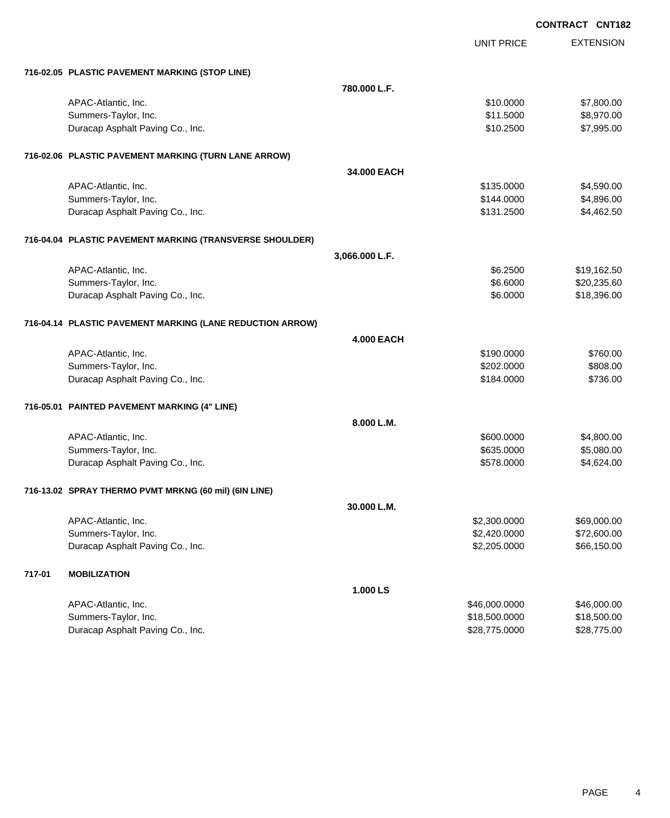|        |                                                           |                   | <b>UNIT PRICE</b> | <b>EXTENSION</b> |
|--------|-----------------------------------------------------------|-------------------|-------------------|------------------|
|        | 716-02.05 PLASTIC PAVEMENT MARKING (STOP LINE)            |                   |                   |                  |
|        |                                                           | 780,000 L.F.      |                   |                  |
|        | APAC-Atlantic, Inc.                                       |                   | \$10.0000         | \$7,800.00       |
|        | Summers-Taylor, Inc.                                      |                   | \$11.5000         | \$8,970.00       |
|        | Duracap Asphalt Paving Co., Inc.                          |                   | \$10.2500         | \$7,995.00       |
|        | 716-02.06 PLASTIC PAVEMENT MARKING (TURN LANE ARROW)      |                   |                   |                  |
|        |                                                           | 34.000 EACH       |                   |                  |
|        | APAC-Atlantic, Inc.                                       |                   | \$135.0000        | \$4,590.00       |
|        | Summers-Taylor, Inc.                                      |                   | \$144.0000        | \$4,896.00       |
|        | Duracap Asphalt Paving Co., Inc.                          |                   | \$131.2500        | \$4,462.50       |
|        | 716-04.04 PLASTIC PAVEMENT MARKING (TRANSVERSE SHOULDER)  |                   |                   |                  |
|        |                                                           | 3,066.000 L.F.    |                   |                  |
|        | APAC-Atlantic, Inc.                                       |                   | \$6.2500          | \$19,162.50      |
|        | Summers-Taylor, Inc.                                      |                   | \$6.6000          | \$20,235.60      |
|        | Duracap Asphalt Paving Co., Inc.                          |                   | \$6.0000          | \$18,396.00      |
|        | 716-04.14 PLASTIC PAVEMENT MARKING (LANE REDUCTION ARROW) |                   |                   |                  |
|        |                                                           | <b>4.000 EACH</b> |                   |                  |
|        | APAC-Atlantic, Inc.                                       |                   | \$190.0000        | \$760.00         |
|        | Summers-Taylor, Inc.                                      |                   | \$202.0000        | \$808.00         |
|        | Duracap Asphalt Paving Co., Inc.                          |                   | \$184.0000        | \$736.00         |
|        | 716-05.01 PAINTED PAVEMENT MARKING (4" LINE)              |                   |                   |                  |
|        |                                                           | 8.000 L.M.        |                   |                  |
|        | APAC-Atlantic, Inc.                                       |                   | \$600.0000        | \$4,800.00       |
|        | Summers-Taylor, Inc.                                      |                   | \$635.0000        | \$5,080.00       |
|        | Duracap Asphalt Paving Co., Inc.                          |                   | \$578.0000        | \$4,624.00       |
|        | 716-13.02 SPRAY THERMO PVMT MRKNG (60 mil) (6IN LINE)     |                   |                   |                  |
|        |                                                           | 30.000 L.M.       |                   |                  |
|        | APAC-Atlantic, Inc.                                       |                   | \$2,300.0000      | \$69,000.00      |
|        | Summers-Taylor, Inc.                                      |                   | \$2,420.0000      | \$72,600.00      |
|        | Duracap Asphalt Paving Co., Inc.                          |                   | \$2,205.0000      | \$66,150.00      |
| 717-01 | <b>MOBILIZATION</b>                                       |                   |                   |                  |
|        |                                                           | 1.000 LS          |                   |                  |
|        | APAC-Atlantic, Inc.                                       |                   | \$46,000.0000     | \$46,000.00      |
|        | Summers-Taylor, Inc.                                      |                   | \$18,500.0000     | \$18,500.00      |
|        | Duracap Asphalt Paving Co., Inc.                          |                   | \$28,775.0000     | \$28,775.00      |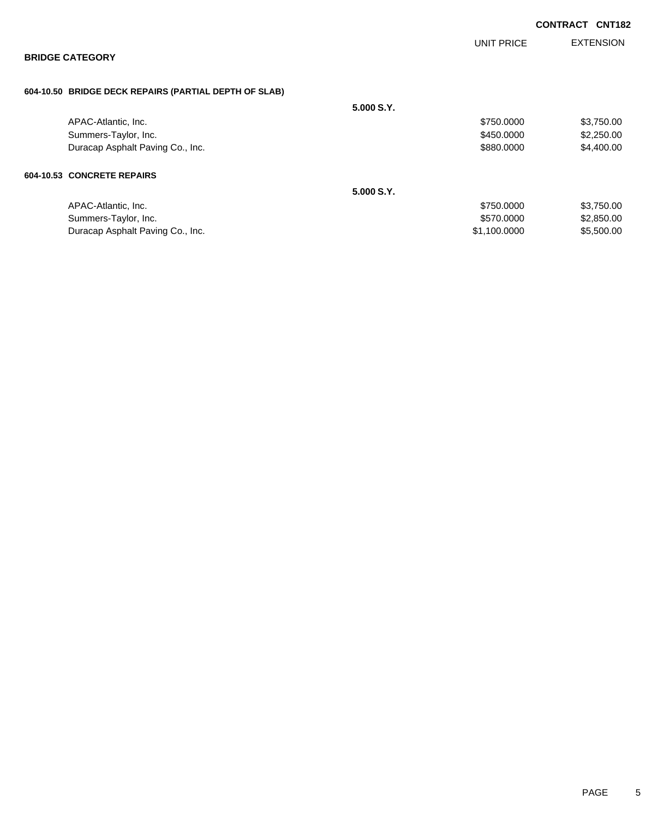|                                                       |            |              | <b>CONTRACT</b> | <b>CNT182</b>    |
|-------------------------------------------------------|------------|--------------|-----------------|------------------|
| <b>BRIDGE CATEGORY</b>                                |            | UNIT PRICE   |                 | <b>EXTENSION</b> |
|                                                       |            |              |                 |                  |
| 604-10.50 BRIDGE DECK REPAIRS (PARTIAL DEPTH OF SLAB) |            |              |                 |                  |
|                                                       | 5.000 S.Y. |              |                 |                  |
| APAC-Atlantic, Inc.                                   |            | \$750.0000   |                 | \$3,750.00       |
| Summers-Taylor, Inc.                                  |            | \$450.0000   |                 | \$2,250.00       |
| Duracap Asphalt Paving Co., Inc.                      |            | \$880.0000   |                 | \$4,400.00       |
| 604-10.53 CONCRETE REPAIRS                            |            |              |                 |                  |
|                                                       | 5.000 S.Y. |              |                 |                  |
| APAC-Atlantic, Inc.                                   |            | \$750.0000   |                 | \$3,750.00       |
| Summers-Taylor, Inc.                                  |            | \$570.0000   |                 | \$2,850.00       |
| Duracap Asphalt Paving Co., Inc.                      |            | \$1,100.0000 |                 | \$5,500.00       |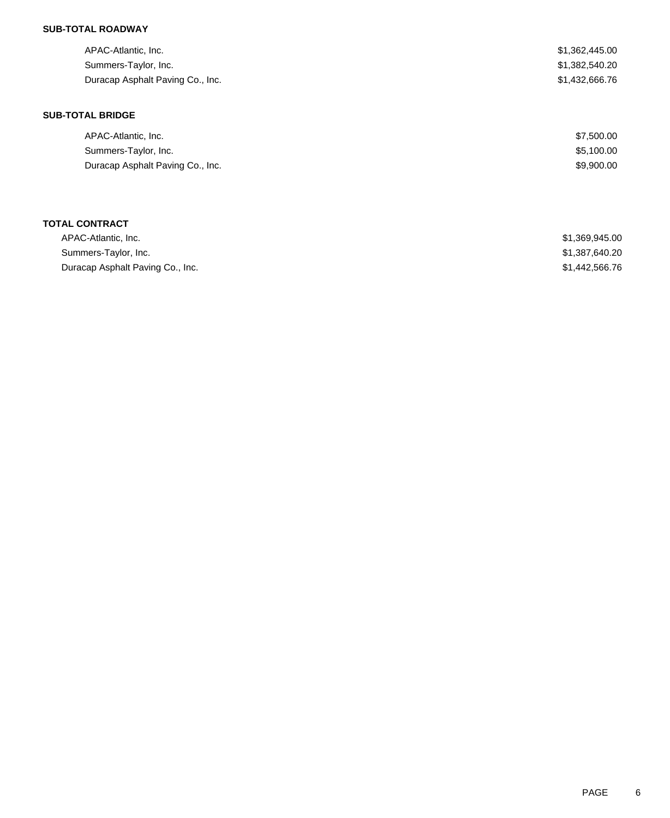## **SUB-TOTAL ROADWAY**

| APAC-Atlantic, Inc.<br>Summers-Taylor, Inc.<br>Duracap Asphalt Paving Co., Inc. | \$1,362,445.00<br>\$1,382,540.20<br>\$1,432,666.76 |
|---------------------------------------------------------------------------------|----------------------------------------------------|
| <b>SUB-TOTAL BRIDGE</b>                                                         |                                                    |
| APAC-Atlantic, Inc.                                                             | \$7,500.00                                         |
| Summers-Taylor, Inc.                                                            | \$5,100.00                                         |
| Duracap Asphalt Paving Co., Inc.                                                | \$9,900.00                                         |
|                                                                                 |                                                    |

| APAC-Atlantic, Inc.              | \$1,369,945.00 |
|----------------------------------|----------------|
| Summers-Taylor, Inc.             | \$1.387.640.20 |
| Duracap Asphalt Paving Co., Inc. | \$1,442,566.76 |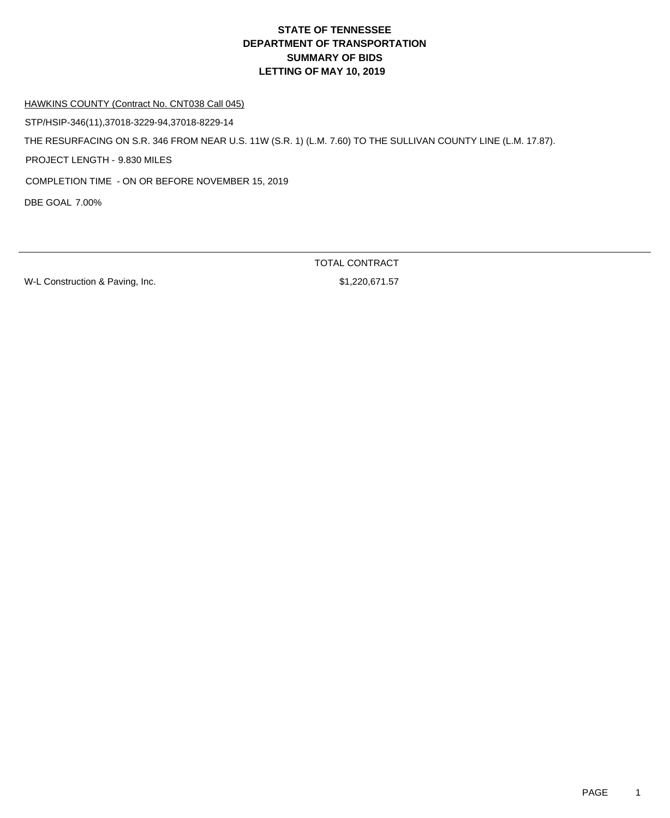HAWKINS COUNTY (Contract No. CNT038 Call 045)

STP/HSIP-346(11),37018-3229-94,37018-8229-14

THE RESURFACING ON S.R. 346 FROM NEAR U.S. 11W (S.R. 1) (L.M. 7.60) TO THE SULLIVAN COUNTY LINE (L.M. 17.87).

PROJECT LENGTH - 9.830 MILES

COMPLETION TIME - ON OR BEFORE NOVEMBER 15, 2019

DBE GOAL 7.00%

W-L Construction & Paving, Inc. 67 (2006) 81,220,671.57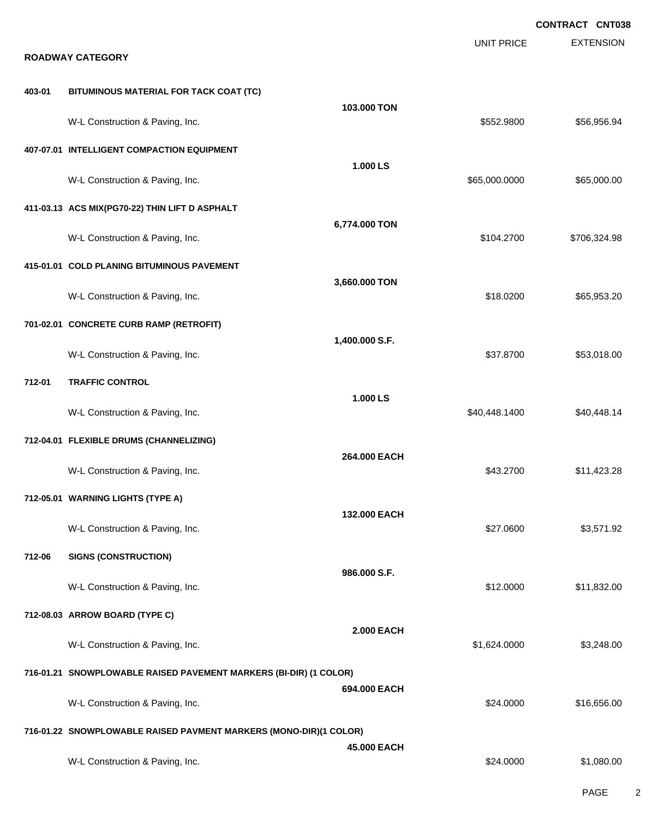**EXTENSION CONTRACT CNT038** UNIT PRICE **ROADWAY CATEGORY 403-01 BITUMINOUS MATERIAL FOR TACK COAT (TC) 103.000 TON** W-L Construction & Paving, Inc. 6. The Construction & Paving, Inc. \$552.9800 \$552.9800 \$56,956.94 **407-07.01 INTELLIGENT COMPACTION EQUIPMENT 1.000 LS** W-L Construction & Paving, Inc. 665,000.000 \$65,000.000 \$65,000.000 \$65,000.000 \$65,000.000 \$65,000.00 **411-03.13 ACS MIX(PG70-22) THIN LIFT D ASPHALT 6,774.000 TON** W-L Construction & Paving, Inc. 6. 2706,324.98 **415-01.01 COLD PLANING BITUMINOUS PAVEMENT 3,660.000 TON** W-L Construction & Paving, Inc. 6. The Construction & Paving, Inc. \$18.0200 \$65,953.20 **701-02.01 CONCRETE CURB RAMP (RETROFIT) 1,400.000 S.F.** W-L Construction & Paving, Inc. 6. The Construction & Paving, Inc. 6. The Construction & Paving, Inc. 6. The Construction & Paving, Inc. 6. The Construction & Paving, Inc. 6. The Construction & Paving, Inc. 6. The Construc **712-01 TRAFFIC CONTROL 1.000 LS** W-L Construction & Paving, Inc. 6. The Construction & Paving, Inc. 6. The Construction & Paving, Inc. 6. The Construction & Paving, Inc. 6. The Construction & Paving, Inc. 6. The Construction & Paving, Inc. 6. The Construc **712-04.01 FLEXIBLE DRUMS (CHANNELIZING) 264.000 EACH** W-L Construction & Paving, Inc. 6. 2010 12:328 17:423.28 **712-05.01 WARNING LIGHTS (TYPE A) 132.000 EACH** W-L Construction & Paving, Inc. 6. The Construction & Paving, Inc. 6. The Construction & Paving, Inc. 6. The Construction & Paving, Inc. 6. The Construction & Paving, Inc. 6. The Construction & Paving, Inc. 6. The Construc **712-06 SIGNS (CONSTRUCTION) 986.000 S.F.** W-L Construction & Paving, Inc. 6. The Construction & Paving, Inc. 6. The Construction & Paving, Inc. 6. The Construction of the Construction of the Construction of the Construction of the Construction of the Construction **712-08.03 ARROW BOARD (TYPE C) 2.000 EACH** W-L Construction & Paving, Inc. 6. The Construction & Paving, Inc. 6. The Construction & Paving, Inc. 6. The Construction of the Construction of the Construction of the Construction of the Construction of the Construction **716-01.21 SNOWPLOWABLE RAISED PAVEMENT MARKERS (BI-DIR) (1 COLOR) 694.000 EACH** W-L Construction & Paving, Inc. 6. The Construction & Paving, Inc. 6. The Construction & Paving, Inc. 6. The Construction & Paving, Inc. 6. The Construction & Paving, Inc. 6. The Construction & Paving, Inc. 6. The Construc **716-01.22 SNOWPLOWABLE RAISED PAVMENT MARKERS (MONO-DIR)(1 COLOR) 45.000 EACH** W-L Construction & Paving, Inc. 6. The Construction & Paving, Inc. 6. The Construction & Paving, Inc.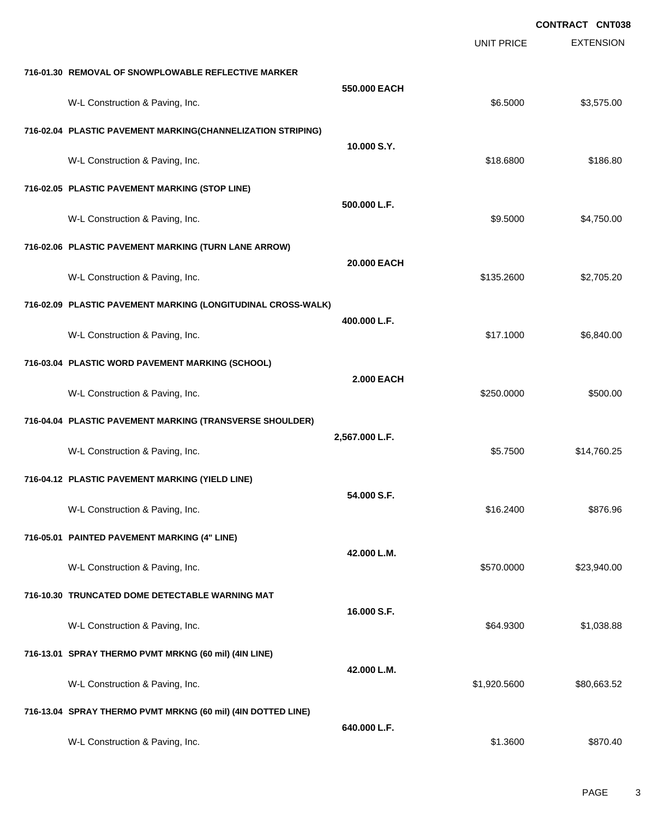|                                                              |                   |                   | <b>CONTRACT CNT038</b> |
|--------------------------------------------------------------|-------------------|-------------------|------------------------|
|                                                              |                   | <b>UNIT PRICE</b> | <b>EXTENSION</b>       |
| 716-01.30 REMOVAL OF SNOWPLOWABLE REFLECTIVE MARKER          |                   |                   |                        |
| W-L Construction & Paving, Inc.                              | 550.000 EACH      | \$6.5000          | \$3,575.00             |
| 716-02.04 PLASTIC PAVEMENT MARKING(CHANNELIZATION STRIPING)  |                   |                   |                        |
| W-L Construction & Paving, Inc.                              | 10.000 S.Y.       | \$18,6800         | \$186.80               |
| 716-02.05 PLASTIC PAVEMENT MARKING (STOP LINE)               |                   |                   |                        |
| W-L Construction & Paving, Inc.                              | 500.000 L.F.      | \$9.5000          | \$4,750.00             |
| 716-02.06 PLASTIC PAVEMENT MARKING (TURN LANE ARROW)         |                   |                   |                        |
| W-L Construction & Paving, Inc.                              | 20.000 EACH       | \$135.2600        | \$2,705.20             |
| 716-02.09 PLASTIC PAVEMENT MARKING (LONGITUDINAL CROSS-WALK) |                   |                   |                        |
| W-L Construction & Paving, Inc.                              | 400.000 L.F.      | \$17.1000         | \$6,840.00             |
| 716-03.04 PLASTIC WORD PAVEMENT MARKING (SCHOOL)             |                   |                   |                        |
| W-L Construction & Paving, Inc.                              | <b>2.000 EACH</b> | \$250.0000        | \$500.00               |
| 716-04.04 PLASTIC PAVEMENT MARKING (TRANSVERSE SHOULDER)     |                   |                   |                        |
| W-L Construction & Paving, Inc.                              | 2,567.000 L.F.    | \$5.7500          | \$14,760.25            |
| 716-04.12 PLASTIC PAVEMENT MARKING (YIELD LINE)              |                   |                   |                        |
| W-L Construction & Paving, Inc.                              | 54.000 S.F.       | \$16.2400         | \$876.96               |
| 716-05.01 PAINTED PAVEMENT MARKING (4" LINE)                 |                   |                   |                        |
| W-L Construction & Paving, Inc.                              | 42.000 L.M.       | \$570.0000        | \$23,940.00            |
| 716-10.30 TRUNCATED DOME DETECTABLE WARNING MAT              |                   |                   |                        |
| W-L Construction & Paving, Inc.                              | 16.000 S.F.       | \$64.9300         | \$1,038.88             |
| 716-13.01 SPRAY THERMO PVMT MRKNG (60 mil) (4IN LINE)        |                   |                   |                        |
| W-L Construction & Paving, Inc.                              | 42.000 L.M.       | \$1,920.5600      | \$80,663.52            |
| 716-13.04 SPRAY THERMO PVMT MRKNG (60 mil) (4IN DOTTED LINE) |                   |                   |                        |
| W-L Construction & Paving, Inc.                              | 640.000 L.F.      | \$1.3600          | \$870.40               |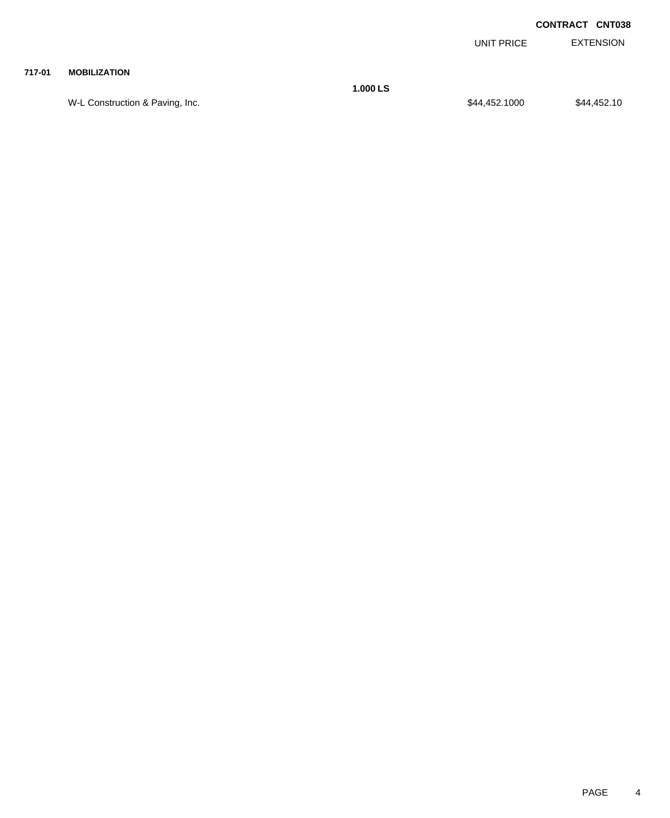EXTENSION UNIT PRICE

#### **717-01 MOBILIZATION**

W-L Construction & Paving, Inc. 644,452.1000 \$44,452.1000 \$44,452.1000

**1.000 LS**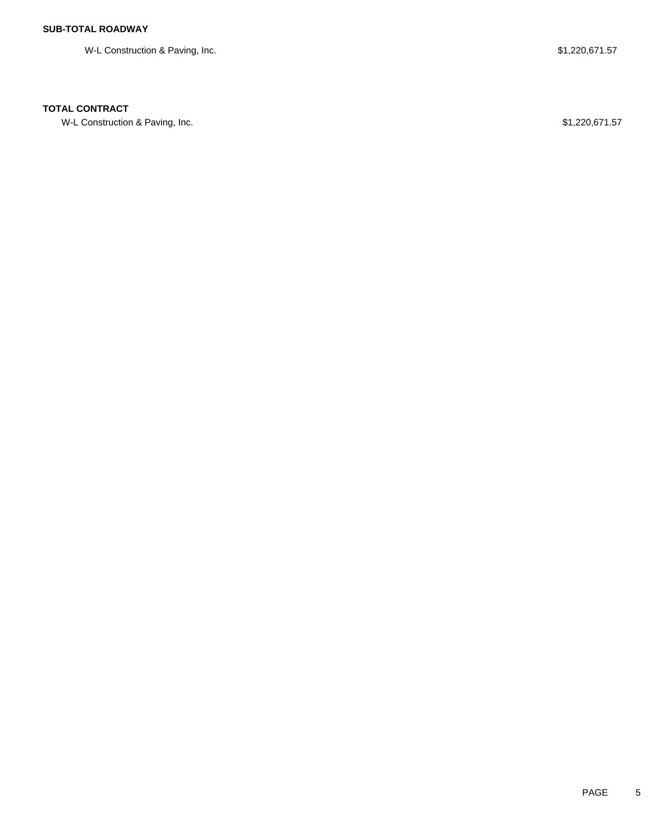W-L Construction & Paving, Inc. 6. The Second Second Studies of the Studies of St. 220,671.57

### **TOTAL CONTRACT**

W-L Construction & Paving, Inc. 671.220,671.57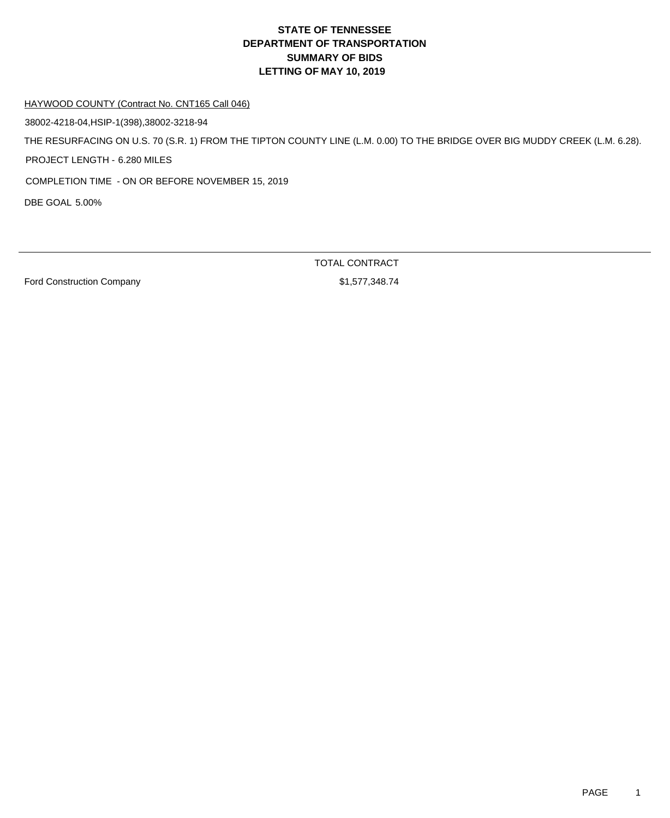HAYWOOD COUNTY (Contract No. CNT165 Call 046)

38002-4218-04,HSIP-1(398),38002-3218-94

THE RESURFACING ON U.S. 70 (S.R. 1) FROM THE TIPTON COUNTY LINE (L.M. 0.00) TO THE BRIDGE OVER BIG MUDDY CREEK (L.M. 6.28).

PROJECT LENGTH - 6.280 MILES

COMPLETION TIME - ON OR BEFORE NOVEMBER 15, 2019

DBE GOAL 5.00%

Ford Construction Company **61,577,348.74**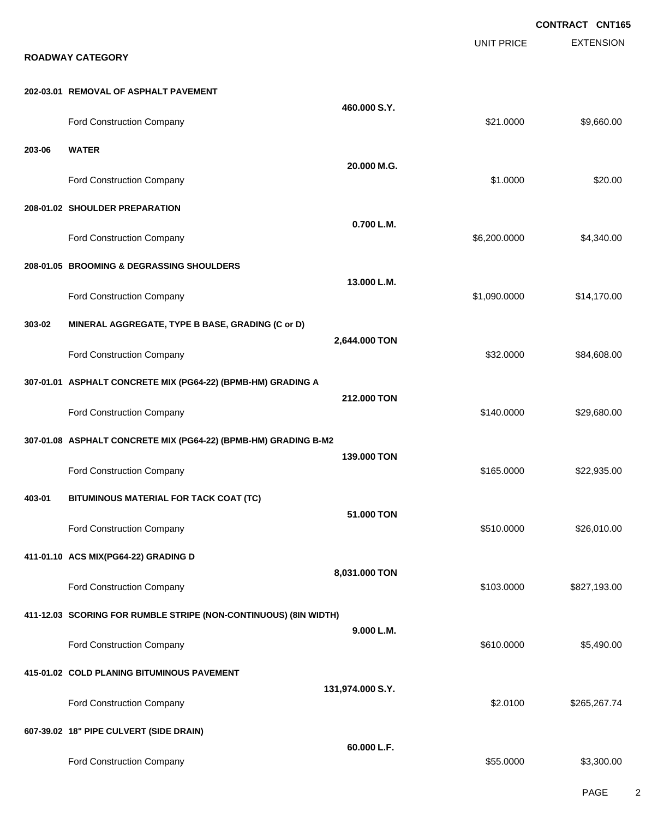**EXTENSION CONTRACT CNT165** UNIT PRICE **ROADWAY CATEGORY 202-03.01 REMOVAL OF ASPHALT PAVEMENT 460.000 S.Y.** Ford Construction Company 621.0000 \$9,660.00 **203-06 WATER 20.000 M.G.** Ford Construction Company 620.00 \$20.00 \$20.00 \$20.00 \$20.00 \$20.00 \$20.00 \$20.00 \$20.00 \$20.00 \$20.00 \$20.00 \$20.00 \$20.00 \$20.00 \$20.00 \$20.00 \$20.00 \$20.00 \$20.00 \$20.00 \$20.00 \$20.00 \$20.00 \$20.00 \$20.00 \$20.00 \$20.00 **208-01.02 SHOULDER PREPARATION 0.700 L.M.** Ford Construction Company 66,200.0000 \$4,340.00 **208-01.05 BROOMING & DEGRASSING SHOULDERS 13.000 L.M.** Ford Construction Company 614,170.00 **303-02 MINERAL AGGREGATE, TYPE B BASE, GRADING (C or D) 2,644.000 TON** Ford Construction Company 684,608.00 **307-01.01 ASPHALT CONCRETE MIX (PG64-22) (BPMB-HM) GRADING A 212.000 TON** Ford Construction Company 629,680.00 **307-01.08 ASPHALT CONCRETE MIX (PG64-22) (BPMB-HM) GRADING B-M2 139.000 TON** Ford Construction Company **622,935.00** \$165.0000 \$22,935.00 **403-01 BITUMINOUS MATERIAL FOR TACK COAT (TC) 51.000 TON** Ford Construction Company 626,010.00 \$26,010.00 \$26,010.00 **411-01.10 ACS MIX(PG64-22) GRADING D 8,031.000 TON** Ford Construction Company **6227,193.00** \$827,193.00 **411-12.03 SCORING FOR RUMBLE STRIPE (NON-CONTINUOUS) (8IN WIDTH) 9.000 L.M.** Ford Construction Company 65,490.00 **415-01.02 COLD PLANING BITUMINOUS PAVEMENT 131,974.000 S.Y.** Ford Construction Company 62.0100 \$265,267.74 **607-39.02 18" PIPE CULVERT (SIDE DRAIN) 60.000 L.F.** Ford Construction Company 63,300.00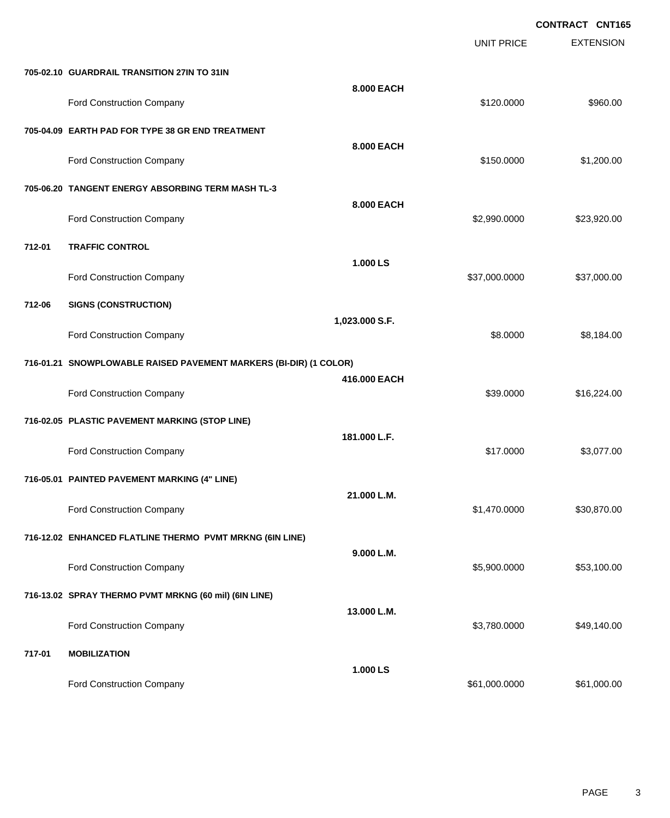|        |                                                                   |                |                   | CONTRACT CNT165  |  |
|--------|-------------------------------------------------------------------|----------------|-------------------|------------------|--|
|        |                                                                   |                | <b>UNIT PRICE</b> | <b>EXTENSION</b> |  |
|        | 705-02.10 GUARDRAIL TRANSITION 27IN TO 31IN                       |                |                   |                  |  |
|        | Ford Construction Company                                         | 8.000 EACH     | \$120.0000        | \$960.00         |  |
|        | 705-04.09 EARTH PAD FOR TYPE 38 GR END TREATMENT                  |                |                   |                  |  |
|        | Ford Construction Company                                         | 8.000 EACH     | \$150.0000        | \$1,200.00       |  |
|        | 705-06.20 TANGENT ENERGY ABSORBING TERM MASH TL-3                 |                |                   |                  |  |
|        | Ford Construction Company                                         | 8.000 EACH     | \$2,990.0000      | \$23,920.00      |  |
| 712-01 | <b>TRAFFIC CONTROL</b>                                            |                |                   |                  |  |
|        | Ford Construction Company                                         | 1.000 LS       | \$37,000.0000     | \$37,000.00      |  |
| 712-06 | <b>SIGNS (CONSTRUCTION)</b>                                       |                |                   |                  |  |
|        | Ford Construction Company                                         | 1,023.000 S.F. | \$8.0000          | \$8,184.00       |  |
|        | 716-01.21 SNOWPLOWABLE RAISED PAVEMENT MARKERS (BI-DIR) (1 COLOR) |                |                   |                  |  |
|        | Ford Construction Company                                         | 416.000 EACH   | \$39.0000         | \$16,224.00      |  |
|        | 716-02.05 PLASTIC PAVEMENT MARKING (STOP LINE)                    |                |                   |                  |  |
|        | Ford Construction Company                                         | 181.000 L.F.   | \$17.0000         | \$3,077.00       |  |
|        | 716-05.01 PAINTED PAVEMENT MARKING (4" LINE)                      |                |                   |                  |  |
|        | Ford Construction Company                                         | 21.000 L.M.    | \$1,470.0000      | \$30,870.00      |  |
|        | 716-12.02 ENHANCED FLATLINE THERMO PVMT MRKNG (6IN LINE)          |                |                   |                  |  |
|        | Ford Construction Company                                         | 9.000 L.M.     | \$5,900.0000      | \$53,100.00      |  |
|        | 716-13.02 SPRAY THERMO PVMT MRKNG (60 mil) (6IN LINE)             |                |                   |                  |  |
|        | Ford Construction Company                                         | 13.000 L.M.    | \$3,780.0000      | \$49,140.00      |  |
| 717-01 | <b>MOBILIZATION</b>                                               |                |                   |                  |  |
|        | Ford Construction Company                                         | 1.000 LS       | \$61,000.0000     | \$61,000.00      |  |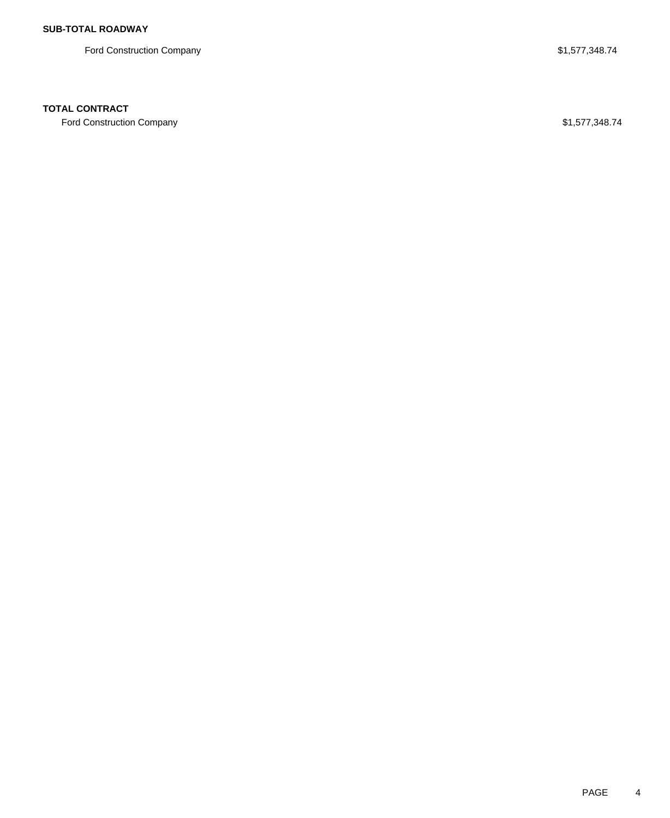Ford Construction Company **\$1,577,348.74** 

## **TOTAL CONTRACT**

Ford Construction Company **\$1,577,348.74**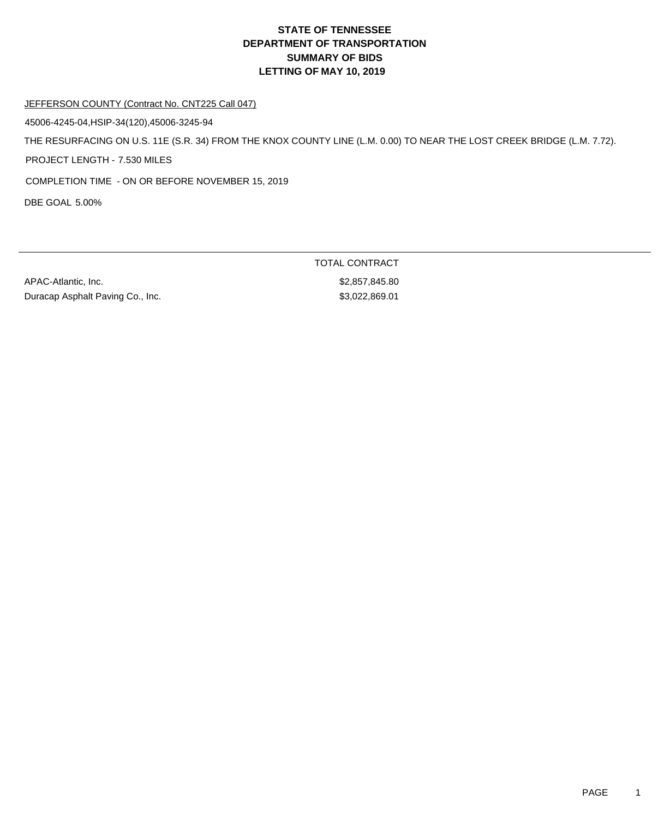#### JEFFERSON COUNTY (Contract No. CNT225 Call 047)

45006-4245-04,HSIP-34(120),45006-3245-94

THE RESURFACING ON U.S. 11E (S.R. 34) FROM THE KNOX COUNTY LINE (L.M. 0.00) TO NEAR THE LOST CREEK BRIDGE (L.M. 7.72).

PROJECT LENGTH - 7.530 MILES

COMPLETION TIME - ON OR BEFORE NOVEMBER 15, 2019

DBE GOAL 5.00%

APAC-Atlantic, Inc. 62,857,845.80 Duracap Asphalt Paving Co., Inc. 6. \$3,022,869.01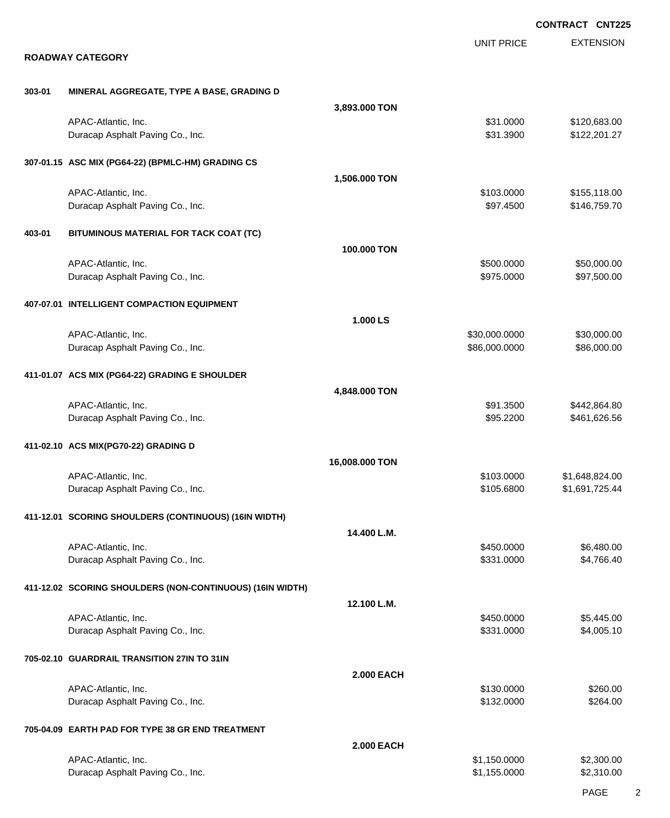|        |                                                           |                   |                          | <b>CONTRACT CNT225</b>       |
|--------|-----------------------------------------------------------|-------------------|--------------------------|------------------------------|
|        | <b>ROADWAY CATEGORY</b>                                   |                   | <b>UNIT PRICE</b>        | <b>EXTENSION</b>             |
|        |                                                           |                   |                          |                              |
| 303-01 | MINERAL AGGREGATE, TYPE A BASE, GRADING D                 |                   |                          |                              |
|        |                                                           | 3,893.000 TON     |                          |                              |
|        | APAC-Atlantic, Inc.<br>Duracap Asphalt Paving Co., Inc.   |                   | \$31.0000<br>\$31.3900   | \$120,683.00<br>\$122,201.27 |
|        | 307-01.15 ASC MIX (PG64-22) (BPMLC-HM) GRADING CS         |                   |                          |                              |
|        |                                                           | 1,506.000 TON     |                          |                              |
|        | APAC-Atlantic, Inc.<br>Duracap Asphalt Paving Co., Inc.   |                   | \$103.0000<br>\$97.4500  | \$155,118.00<br>\$146,759.70 |
| 403-01 | BITUMINOUS MATERIAL FOR TACK COAT (TC)                    |                   |                          |                              |
|        |                                                           | 100.000 TON       |                          |                              |
|        | APAC-Atlantic, Inc.<br>Duracap Asphalt Paving Co., Inc.   |                   | \$500.0000<br>\$975.0000 | \$50,000.00<br>\$97,500.00   |
|        | 407-07.01 INTELLIGENT COMPACTION EQUIPMENT                |                   |                          |                              |
|        | APAC-Atlantic, Inc.                                       | 1.000 LS          | \$30,000.0000            | \$30,000.00                  |
|        | Duracap Asphalt Paving Co., Inc.                          |                   | \$86,000.0000            | \$86,000.00                  |
|        | 411-01.07 ACS MIX (PG64-22) GRADING E SHOULDER            |                   |                          |                              |
|        | APAC-Atlantic, Inc.                                       | 4,848.000 TON     | \$91.3500                | \$442,864.80                 |
|        | Duracap Asphalt Paving Co., Inc.                          |                   | \$95.2200                | \$461,626.56                 |
|        | 411-02.10 ACS MIX(PG70-22) GRADING D                      | 16,008.000 TON    |                          |                              |
|        | APAC-Atlantic. Inc.                                       |                   | \$103.0000               | \$1,648,824.00               |
|        | Duracap Asphalt Paving Co., Inc.                          |                   | \$105.6800               | \$1,691,725.44               |
|        | 411-12.01 SCORING SHOULDERS (CONTINUOUS) (16IN WIDTH)     | 14.400 L.M.       |                          |                              |
|        | APAC-Atlantic, Inc.                                       |                   | \$450.0000               | \$6,480.00                   |
|        | Duracap Asphalt Paving Co., Inc.                          |                   | \$331.0000               | \$4,766.40                   |
|        | 411-12.02 SCORING SHOULDERS (NON-CONTINUOUS) (16IN WIDTH) | 12.100 L.M.       |                          |                              |
|        | APAC-Atlantic, Inc.                                       |                   | \$450.0000               | \$5,445.00                   |
|        | Duracap Asphalt Paving Co., Inc.                          |                   | \$331.0000               | \$4,005.10                   |
|        | 705-02.10 GUARDRAIL TRANSITION 27IN TO 31IN               | <b>2.000 EACH</b> |                          |                              |
|        | APAC-Atlantic, Inc.                                       |                   | \$130.0000               | \$260.00                     |
|        | Duracap Asphalt Paving Co., Inc.                          |                   | \$132.0000               | \$264.00                     |
|        | 705-04.09 EARTH PAD FOR TYPE 38 GR END TREATMENT          | <b>2.000 EACH</b> |                          |                              |
|        | APAC-Atlantic, Inc.                                       |                   | \$1,150.0000             | \$2,300.00                   |
|        | Duracap Asphalt Paving Co., Inc.                          |                   | \$1,155.0000             | \$2,310.00                   |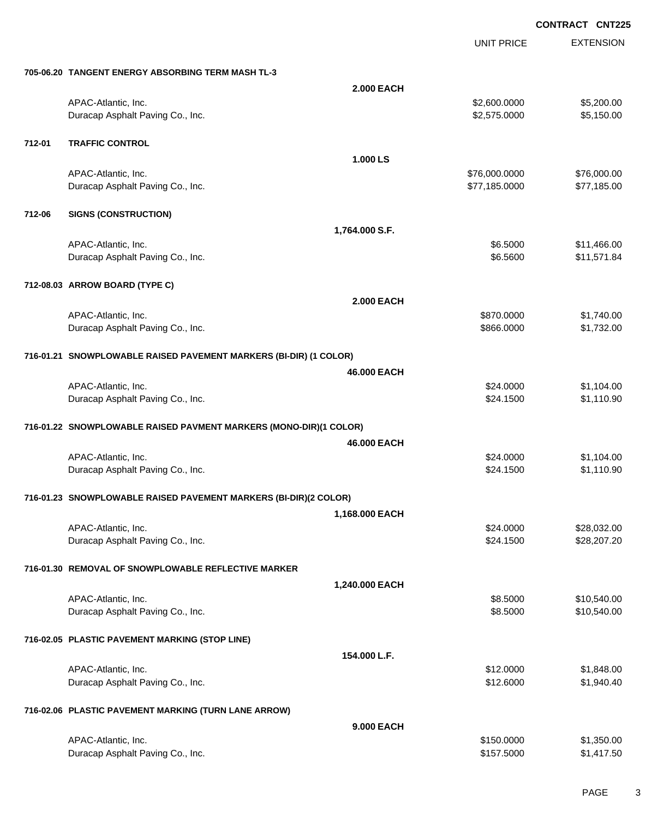UNIT PRICE EXTENSION

|        | 705-06.20 TANGENT ENERGY ABSORBING TERM MASH TL-3                 |                   |                      |                            |
|--------|-------------------------------------------------------------------|-------------------|----------------------|----------------------------|
|        |                                                                   | 2.000 EACH        |                      |                            |
|        | APAC-Atlantic, Inc.                                               |                   | \$2,600.0000         | \$5,200.00                 |
|        | Duracap Asphalt Paving Co., Inc.                                  |                   | \$2,575.0000         | \$5,150.00                 |
|        |                                                                   |                   |                      |                            |
| 712-01 | <b>TRAFFIC CONTROL</b>                                            |                   |                      |                            |
|        |                                                                   | 1.000LS           |                      |                            |
|        | APAC-Atlantic, Inc.                                               |                   | \$76,000.0000        | \$76,000.00                |
|        | Duracap Asphalt Paving Co., Inc.                                  |                   | \$77,185.0000        | \$77,185.00                |
|        |                                                                   |                   |                      |                            |
| 712-06 | <b>SIGNS (CONSTRUCTION)</b>                                       |                   |                      |                            |
|        |                                                                   | 1,764.000 S.F.    |                      |                            |
|        | APAC-Atlantic, Inc.<br>Duracap Asphalt Paving Co., Inc.           |                   | \$6.5000<br>\$6.5600 | \$11,466.00<br>\$11,571.84 |
|        |                                                                   |                   |                      |                            |
|        | 712-08.03 ARROW BOARD (TYPE C)                                    |                   |                      |                            |
|        |                                                                   | <b>2.000 EACH</b> |                      |                            |
|        | APAC-Atlantic, Inc.                                               |                   | \$870.0000           | \$1,740.00                 |
|        | Duracap Asphalt Paving Co., Inc.                                  |                   | \$866.0000           | \$1,732.00                 |
|        |                                                                   |                   |                      |                            |
|        | 716-01.21 SNOWPLOWABLE RAISED PAVEMENT MARKERS (BI-DIR) (1 COLOR) |                   |                      |                            |
|        |                                                                   | 46.000 EACH       |                      |                            |
|        | APAC-Atlantic, Inc.                                               |                   | \$24.0000            | \$1,104.00                 |
|        | Duracap Asphalt Paving Co., Inc.                                  |                   | \$24.1500            | \$1,110.90                 |
|        |                                                                   |                   |                      |                            |
|        | 716-01.22 SNOWPLOWABLE RAISED PAVMENT MARKERS (MONO-DIR)(1 COLOR) |                   |                      |                            |
|        |                                                                   | 46.000 EACH       |                      |                            |
|        | APAC-Atlantic, Inc.                                               |                   | \$24.0000            | \$1,104.00                 |
|        | Duracap Asphalt Paving Co., Inc.                                  |                   | \$24.1500            | \$1,110.90                 |
|        |                                                                   |                   |                      |                            |
|        | 716-01.23 SNOWPLOWABLE RAISED PAVEMENT MARKERS (BI-DIR)(2 COLOR)  |                   |                      |                            |
|        |                                                                   | 1,168.000 EACH    |                      |                            |
|        | APAC-Atlantic, Inc.                                               |                   | \$24.0000            | \$28,032.00                |
|        | Duracap Asphalt Paving Co., Inc.                                  |                   | \$24.1500            | \$28,207.20                |
|        | 716-01.30 REMOVAL OF SNOWPLOWABLE REFLECTIVE MARKER               |                   |                      |                            |
|        |                                                                   | 1,240.000 EACH    |                      |                            |
|        |                                                                   |                   |                      |                            |
|        | APAC-Atlantic, Inc.<br>Duracap Asphalt Paving Co., Inc.           |                   | \$8.5000<br>\$8.5000 | \$10,540.00<br>\$10,540.00 |
|        |                                                                   |                   |                      |                            |
|        | 716-02.05 PLASTIC PAVEMENT MARKING (STOP LINE)                    |                   |                      |                            |
|        |                                                                   | 154.000 L.F.      |                      |                            |
|        | APAC-Atlantic, Inc.                                               |                   | \$12.0000            | \$1,848.00                 |
|        | Duracap Asphalt Paving Co., Inc.                                  |                   | \$12.6000            | \$1,940.40                 |
|        |                                                                   |                   |                      |                            |
|        | 716-02.06 PLASTIC PAVEMENT MARKING (TURN LANE ARROW)              |                   |                      |                            |
|        |                                                                   | 9.000 EACH        |                      |                            |
|        | APAC-Atlantic, Inc.                                               |                   | \$150.0000           | \$1,350.00                 |
|        | Duracap Asphalt Paving Co., Inc.                                  |                   | \$157.5000           | \$1,417.50                 |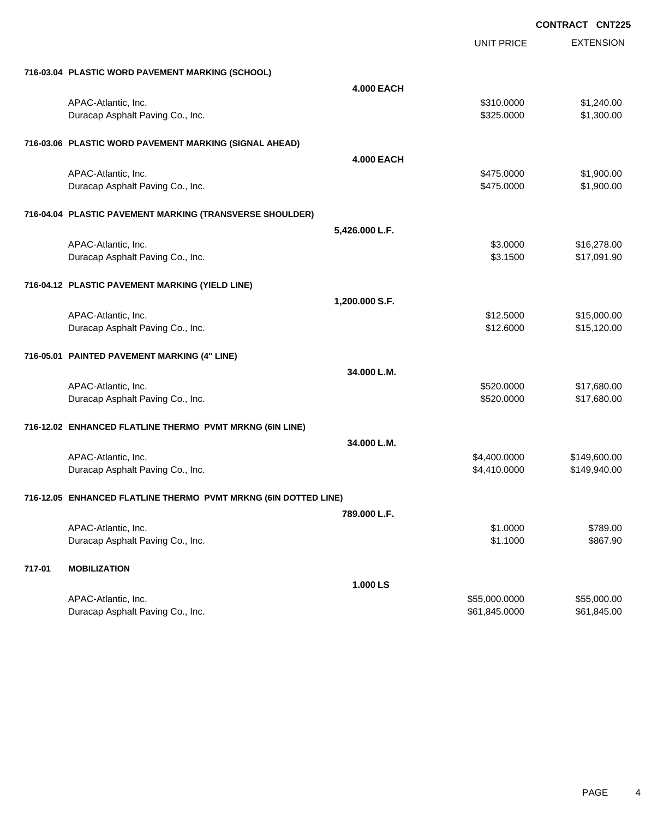|        |                                                                 | UNIT PRICE        | <b>EXTENSION</b> |
|--------|-----------------------------------------------------------------|-------------------|------------------|
|        | 716-03.04 PLASTIC WORD PAVEMENT MARKING (SCHOOL)                |                   |                  |
|        |                                                                 | <b>4.000 EACH</b> |                  |
|        | APAC-Atlantic, Inc.                                             | \$310.0000        | \$1,240.00       |
|        | Duracap Asphalt Paving Co., Inc.                                | \$325.0000        | \$1,300.00       |
|        | 716-03.06 PLASTIC WORD PAVEMENT MARKING (SIGNAL AHEAD)          |                   |                  |
|        |                                                                 | <b>4.000 EACH</b> |                  |
|        | APAC-Atlantic, Inc.                                             | \$475.0000        | \$1,900.00       |
|        | Duracap Asphalt Paving Co., Inc.                                | \$475.0000        | \$1,900.00       |
|        | 716-04.04 PLASTIC PAVEMENT MARKING (TRANSVERSE SHOULDER)        |                   |                  |
|        |                                                                 | 5,426.000 L.F.    |                  |
|        | APAC-Atlantic, Inc.                                             | \$3.0000          | \$16,278.00      |
|        | Duracap Asphalt Paving Co., Inc.                                | \$3.1500          | \$17,091.90      |
|        | 716-04.12 PLASTIC PAVEMENT MARKING (YIELD LINE)                 |                   |                  |
|        |                                                                 | 1,200.000 S.F.    |                  |
|        | APAC-Atlantic, Inc.                                             | \$12.5000         | \$15,000.00      |
|        | Duracap Asphalt Paving Co., Inc.                                | \$12.6000         | \$15,120.00      |
|        | 716-05.01 PAINTED PAVEMENT MARKING (4" LINE)                    |                   |                  |
|        |                                                                 | 34.000 L.M.       |                  |
|        | APAC-Atlantic, Inc.                                             | \$520.0000        | \$17,680.00      |
|        | Duracap Asphalt Paving Co., Inc.                                | \$520.0000        | \$17,680.00      |
|        | 716-12.02 ENHANCED FLATLINE THERMO PVMT MRKNG (6IN LINE)        |                   |                  |
|        |                                                                 | 34.000 L.M.       |                  |
|        | APAC-Atlantic, Inc.                                             | \$4,400.0000      | \$149,600.00     |
|        | Duracap Asphalt Paving Co., Inc.                                | \$4,410.0000      | \$149,940.00     |
|        | 716-12.05 ENHANCED FLATLINE THERMO PVMT MRKNG (6IN DOTTED LINE) |                   |                  |
|        |                                                                 | 789.000 L.F.      |                  |
|        | APAC-Atlantic, Inc.                                             | \$1.0000          | \$789.00         |
|        | Duracap Asphalt Paving Co., Inc.                                | \$1.1000          | \$867.90         |
| 717-01 | <b>MOBILIZATION</b>                                             |                   |                  |
|        |                                                                 | 1.000 LS          |                  |
|        | APAC-Atlantic, Inc.                                             | \$55,000.0000     | \$55,000.00      |
|        | Duracap Asphalt Paving Co., Inc.                                | \$61,845.0000     | \$61,845.00      |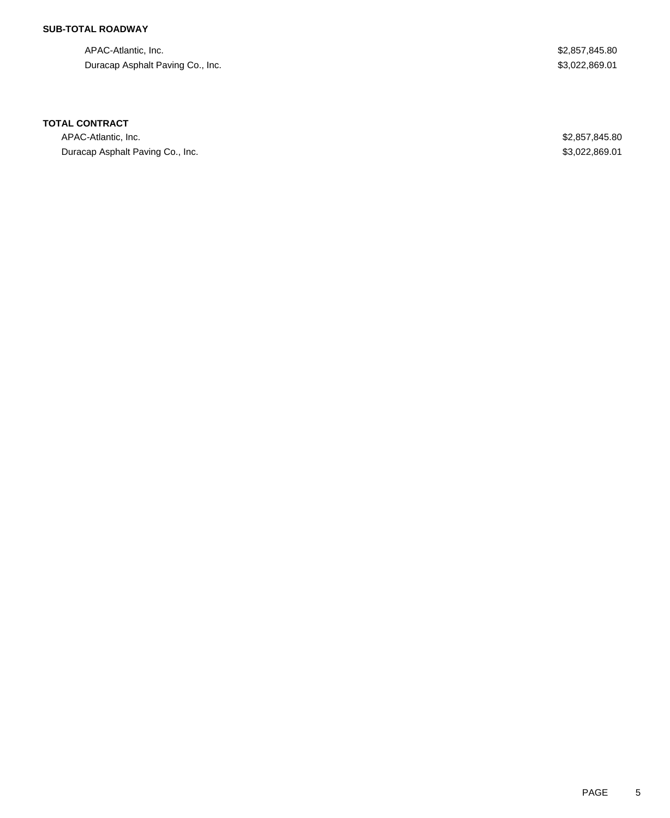## **SUB-TOTAL ROADWAY**

APAC-Atlantic, Inc. \$2,857,845.80 Duracap Asphalt Paving Co., Inc. 6. 2012 19:30 19:30 19:30 19:30 19:30 19:30 19:30 19:30 19:30 19:30 19:30 19:30 19:30 19:30 19:30 19:30 19:30 19:30 19:30 19:30 19:30 19:30 19:30 19:30 19:30 19:30 19:30 19:30 19:30 19:30 1

### **TOTAL CONTRACT**

APAC-Atlantic, Inc. \$2,857,845.80 Duracap Asphalt Paving Co., Inc. 6. The Contract of the Contract of the Contract of the Contract of the S3,022,869.01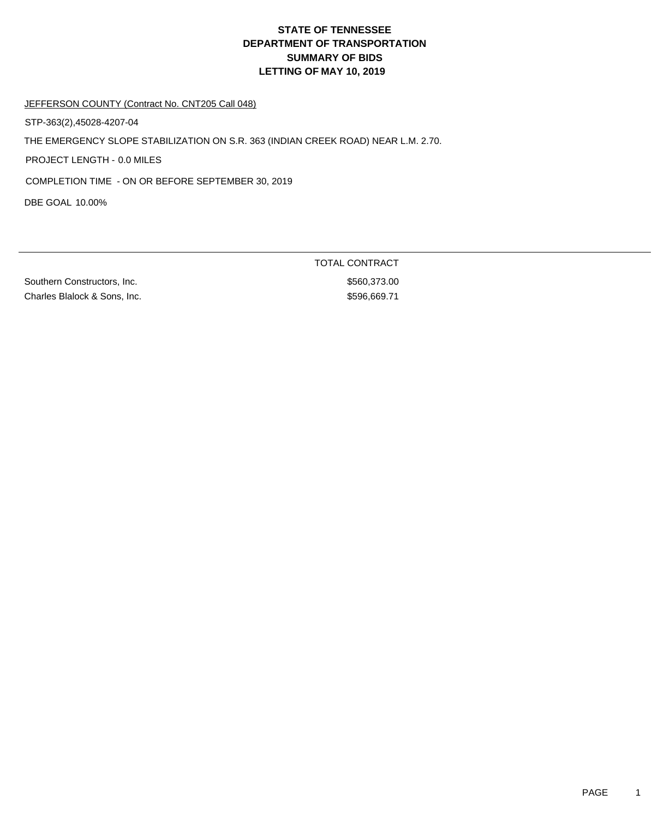JEFFERSON COUNTY (Contract No. CNT205 Call 048)

STP-363(2),45028-4207-04

THE EMERGENCY SLOPE STABILIZATION ON S.R. 363 (INDIAN CREEK ROAD) NEAR L.M. 2.70.

PROJECT LENGTH - 0.0 MILES

COMPLETION TIME - ON OR BEFORE SEPTEMBER 30, 2019

DBE GOAL 10.00%

Southern Constructors, Inc. 6560,373.00 Charles Blalock & Sons, Inc.  $$596,669.71$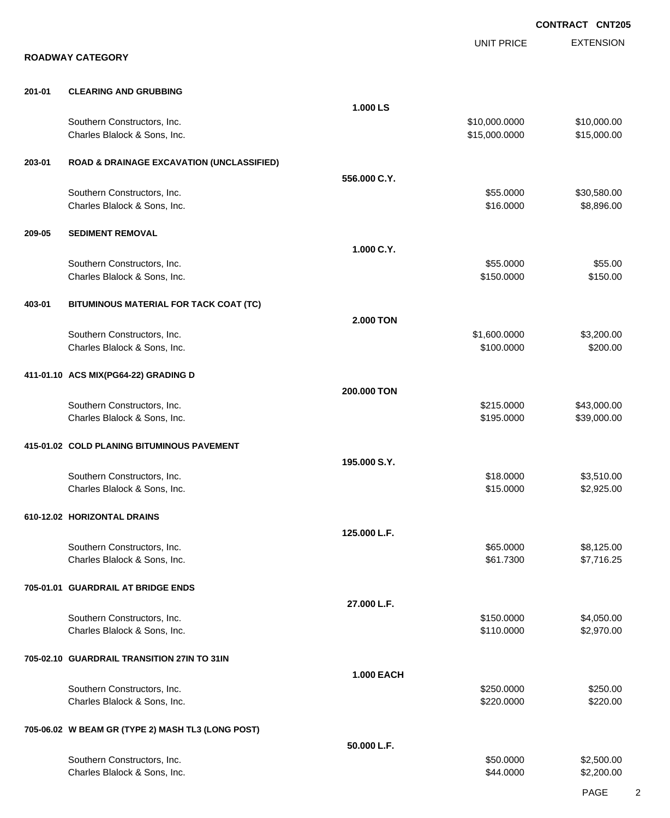EXTENSION **CONTRACT CNT205** UNIT PRICE **ROADWAY CATEGORY 201-01 CLEARING AND GRUBBING 1.000 LS** Southern Constructors, Inc. 6. 2010 12:00:000 \$10,000.000 \$10,000.000 \$10,000.000 \$10,000.00 Charles Blalock & Sons, Inc. 6. 2010 12:30 12:30 12:30 13:30 15:3000 \$15,000.0000 \$15,000.000 **203-01 ROAD & DRAINAGE EXCAVATION (UNCLASSIFIED) 556.000 C.Y.** Southern Constructors, Inc. 6. The Constructors of the Constructors, Inc. 6. The Constructors, Inc. 6. The Constructors of the Constructors of the Constructors, Inc. 6. The Constructors of the Constructors of the Construct Charles Blalock & Sons, Inc. 6. 2010 12:30 12:30 12:30 12:30 12:30 12:30 12:30 12:30 12:30 12:30 13:30 13:30 13:30 13:30 14:30 14:30 14:30 14:30 14:30 14:30 14:30 14:30 14:30 14:30 14:30 14:30 14:30 14:30 14:30 14:30 14:30 **209-05 SEDIMENT REMOVAL 1.000 C.Y.** Southern Constructors, Inc. 6. The Southern Constructors, Inc. 6. The Southern Constructors, Inc. 6. The Southern Constructors, Inc. 6. The Southern Constructors, Inc. 6. The Southern Constructors, Inc. 6. The Southern Con Charles Blalock & Sons, Inc. 6150.000 \$150.000 \$150.000 \$150.000 \$150.000 **403-01 BITUMINOUS MATERIAL FOR TACK COAT (TC) 2.000 TON** Southern Constructors, Inc. 6. The Constructors of the Constructors, Inc. 6. The Constructors, Inc. 6. The Constructors of the Constructors of the Constructors of the Constructors of the Constructors of the Constructors of Charles Blalock & Sons, Inc. 6200.000 \$200.000 \$200.000 \$200.000 \$200.000 \$200.00 **411-01.10 ACS MIX(PG64-22) GRADING D 200.000 TON** Southern Constructors, Inc. 643,000.00 \$43,000.00 \$43,000.00 \$43,000.00 \$43,000.00 Charles Blalock & Sons, Inc. 6. 2010 12:39 10:39 10:39 10:39 10:39 10:39 10:39 10:39 10:39 10:39 10:39 10:39 10:39 10:39 10:39 10:39 10:39 10:39 10:39 10:39 10:39 10:39 10:39 10:39 10:39 10:39 10:39 10:39 10:39 10:30 10:30 **415-01.02 COLD PLANING BITUMINOUS PAVEMENT 195.000 S.Y.** Southern Constructors, Inc. 6. The Southern Constructors, Inc. 6. The Southern Constructors, Inc. 6. The Southern Constructors, Inc. 6. The Southern Constructors, Inc. 6. The Southern Constructors, Inc. 6. The Southern Con Charles Blalock & Sons, Inc. 6. 2012 1. 2013 1. 2014 1. 2014 1. 2014 1. 2014 1. 2014 1. 2015.000 \$2,925.00 **610-12.02 HORIZONTAL DRAINS 125.000 L.F.** Southern Constructors, Inc. 665.000 \$8,125.00 Charles Blalock & Sons, Inc. \$61.7300 \$7,716.25 **705-01.01 GUARDRAIL AT BRIDGE ENDS 27.000 L.F.** Southern Constructors, Inc. 66 and the constructors, Inc. 650.000 \$4,050.000 \$4,050.00 Charles Blalock & Sons, Inc. 6. 2012 12:0000 \$2,970.00 **705-02.10 GUARDRAIL TRANSITION 27IN TO 31IN 1.000 EACH** Southern Constructors, Inc. 6250.000 \$250.000 \$250.000 \$250.000 \$250.000 \$250.000 \$250.00 Charles Blalock & Sons, Inc. 6220.000 \$220.000 \$220.000 \$220.000 \$220.000 \$220.000 \$220.000 \$220.00 **705-06.02 W BEAM GR (TYPE 2) MASH TL3 (LONG POST) 50.000 L.F.** Southern Constructors, Inc. 6. The Constructors of the Constructors, Inc. 6. The Constructors, Inc. 6. The Constructors of the Constructors of the Constructors of the Constructors of the Constructors of the Constructors of Charles Blalock & Sons, Inc. 6. 2009 62,200.00 \$2,200.00 \$2,200.00 \$2,200.00 \$2,200.00 \$2,200.00 \$2,200.00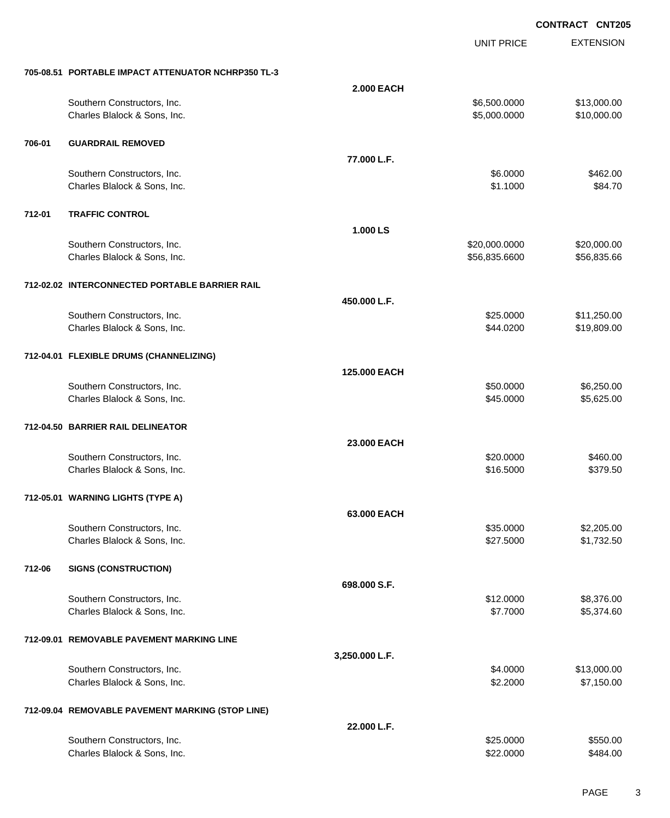UNIT PRICE

EXTENSION

|        | 705-08.51 PORTABLE IMPACT ATTENUATOR NCHRP350 TL-3 |                   |               |             |
|--------|----------------------------------------------------|-------------------|---------------|-------------|
|        |                                                    | <b>2.000 EACH</b> |               |             |
|        | Southern Constructors, Inc.                        |                   | \$6,500.0000  | \$13,000.00 |
|        | Charles Blalock & Sons, Inc.                       |                   | \$5,000.0000  | \$10,000.00 |
|        |                                                    |                   |               |             |
| 706-01 | <b>GUARDRAIL REMOVED</b>                           |                   |               |             |
|        |                                                    |                   |               |             |
|        |                                                    | 77.000 L.F.       |               |             |
|        | Southern Constructors, Inc.                        |                   | \$6.0000      | \$462.00    |
|        | Charles Blalock & Sons, Inc.                       |                   | \$1.1000      | \$84.70     |
|        |                                                    |                   |               |             |
| 712-01 | <b>TRAFFIC CONTROL</b>                             |                   |               |             |
|        |                                                    | 1.000 LS          |               |             |
|        |                                                    |                   |               |             |
|        | Southern Constructors, Inc.                        |                   | \$20,000.0000 | \$20,000.00 |
|        | Charles Blalock & Sons, Inc.                       |                   | \$56,835.6600 | \$56,835.66 |
|        |                                                    |                   |               |             |
|        | 712-02.02 INTERCONNECTED PORTABLE BARRIER RAIL     |                   |               |             |
|        |                                                    | 450.000 L.F.      |               |             |
|        | Southern Constructors, Inc.                        |                   | \$25.0000     | \$11,250.00 |
|        | Charles Blalock & Sons, Inc.                       |                   | \$44.0200     | \$19,809.00 |
|        |                                                    |                   |               |             |
|        | 712-04.01 FLEXIBLE DRUMS (CHANNELIZING)            |                   |               |             |
|        |                                                    |                   |               |             |
|        |                                                    | 125.000 EACH      |               |             |
|        | Southern Constructors, Inc.                        |                   | \$50.0000     | \$6,250.00  |
|        | Charles Blalock & Sons, Inc.                       |                   | \$45.0000     | \$5,625.00  |
|        |                                                    |                   |               |             |
|        | 712-04.50 BARRIER RAIL DELINEATOR                  |                   |               |             |
|        |                                                    | 23.000 EACH       |               |             |
|        |                                                    |                   | \$20.0000     | \$460.00    |
|        | Southern Constructors, Inc.                        |                   | \$16.5000     | \$379.50    |
|        | Charles Blalock & Sons, Inc.                       |                   |               |             |
|        |                                                    |                   |               |             |
|        | 712-05.01 WARNING LIGHTS (TYPE A)                  |                   |               |             |
|        |                                                    | 63.000 EACH       |               |             |
|        | Southern Constructors, Inc.                        |                   | \$35.0000     | \$2,205.00  |
|        | Charles Blalock & Sons, Inc.                       |                   | \$27.5000     | \$1,732.50  |
|        |                                                    |                   |               |             |
| 712-06 | <b>SIGNS (CONSTRUCTION)</b>                        |                   |               |             |
|        |                                                    |                   |               |             |
|        |                                                    | 698.000 S.F.      |               |             |
|        | Southern Constructors, Inc.                        |                   | \$12.0000     | \$8,376.00  |
|        | Charles Blalock & Sons, Inc.                       |                   | \$7.7000      | \$5,374.60  |
|        |                                                    |                   |               |             |
|        | 712-09.01 REMOVABLE PAVEMENT MARKING LINE          |                   |               |             |
|        |                                                    | 3,250.000 L.F.    |               |             |
|        | Southern Constructors, Inc.                        |                   | \$4.0000      | \$13,000.00 |
|        | Charles Blalock & Sons, Inc.                       |                   | \$2.2000      | \$7,150.00  |
|        |                                                    |                   |               |             |
|        |                                                    |                   |               |             |
|        | 712-09.04 REMOVABLE PAVEMENT MARKING (STOP LINE)   |                   |               |             |
|        |                                                    | 22.000 L.F.       |               |             |
|        | Southern Constructors, Inc.                        |                   | \$25.0000     | \$550.00    |
|        | Charles Blalock & Sons, Inc.                       |                   | \$22.0000     | \$484.00    |
|        |                                                    |                   |               |             |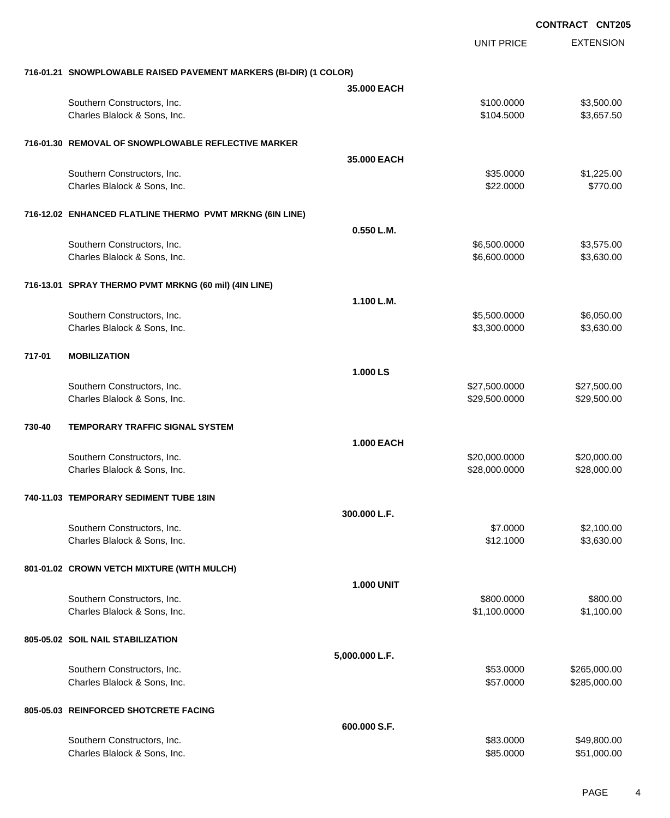EXTENSION **CONTRACT CNT205** UNIT PRICE **716-01.21 SNOWPLOWABLE RAISED PAVEMENT MARKERS (BI-DIR) (1 COLOR) 35.000 EACH** Southern Constructors, Inc. 63,500.00 \$3,500.00 \$3,500.00 \$3,500.00 \$3,500.00 \$3,500.00 \$3,500.00 \$3,500.00 \$3,500 Charles Blalock & Sons, Inc. 6. 2012 12:30:5000 \$3,657.50 **716-01.30 REMOVAL OF SNOWPLOWABLE REFLECTIVE MARKER 35.000 EACH** Southern Constructors, Inc. 6. The Constructors of the Constructors, Inc. 6. The Constructors, Inc. 6. The Constructors of the Constructors of the Constructors of the Constructors of the Constructors of the Constructors of Charles Blalock & Sons, Inc. 6. 2010 12:30:30 12:30 12:30 12:30 12:30 12:30 12:30 12:30 12:30 12:30 12:30 12:30 **716-12.02 ENHANCED FLATLINE THERMO PVMT MRKNG (6IN LINE) 0.550 L.M.** Southern Constructors, Inc. 6.600.000 \$3,575.00 Charles Blalock & Sons, Inc. 6.600.0000 \$3,630.00 **716-13.01 SPRAY THERMO PVMT MRKNG (60 mil) (4IN LINE) 1.100 L.M.** Southern Constructors, Inc. 6.500.000 \$6,050.000 \$6,050.000 \$6,050.000 \$6,050.000 \$6,050.00 Charles Blalock & Sons, Inc. 6.300.000 \$3,630.000 \$3,630.000 \$3,630.000 \$3,630.00 **717-01 MOBILIZATION 1.000 LS** Southern Constructors, Inc. 6. 2013. The Southern Constructors, Inc. 6. 27,500.000 \$27,500.000 \$27,500.00 Charles Blalock & Sons, Inc. 6. 29,500.000 \$29,500.000 \$29,500.000 \$29,500.000 \$29,500.000 \$29,500.00 **730-40 TEMPORARY TRAFFIC SIGNAL SYSTEM 1.000 EACH** Southern Constructors, Inc. 620,000,000 \$20,000,000 \$20,000,000 \$20,000.000 \$20,000.000 \$20,000.00 Charles Blalock & Sons, Inc. 6. 28,000.000 \$28,000.000 \$28,000.000 \$28,000.000 \$28,000.000 \$28,000.00 **740-11.03 TEMPORARY SEDIMENT TUBE 18IN 300.000 L.F.** Southern Constructors, Inc. 6. The Constructors of the Constructors, Inc. 6. The Constructors, Inc. 6. The Constructors of the Constructors of the Constructors, Inc. 6. The Constructors of the Constructors of the Construct Charles Blalock & Sons, Inc. 6. 2012 10:00 \$3,630.00 \$3,630.00 \$3,630.00 \$3,630.00 **801-01.02 CROWN VETCH MIXTURE (WITH MULCH) 1.000 UNIT** Southern Constructors, Inc. 6800.000 \$800.000 \$800.000 \$800.000 \$800.000 \$800.000 \$800.00 Charles Blalock & Sons, Inc. 6. 2012 12:30 12:30 12:30 12:30 12:31 12:32 12:32 12:32 12:32 12:32 12:32 12:32 12:32 12:32 12:32 12:32 12:32 12:32 12:32 12:32 12:32 12:32 12:32 12:32 12:32 12:32 12:32 12:32 12:32 12:32 12:32 **805-05.02 SOIL NAIL STABILIZATION 5,000.000 L.F.** Southern Constructors, Inc. 6. The Constructors of the Constructors, Inc. 6. The Constructors, Inc. 6. The Constructors of the Constructors of the Constructors of the Constructors of the Constructors of the Constructors of Charles Blalock & Sons, Inc. 6. 2000 \$285,000.00 \$285,000.00 \$285,000.00 \$285,000.00 **805-05.03 REINFORCED SHOTCRETE FACING 600.000 S.F.** Southern Constructors, Inc. 6. The Constructors, Inc. 6. The Constructors, Inc. 6. The Constructors, Inc. 6. The Constructors of the Constructors, Inc. 6. The Constructors of the Constructors, Inc. 6. The Constructors of t Charles Blalock & Sons, Inc. 6. 2010 12:30 12:30 12:30 12:30 12:30 12:30 12:30 12:30 12:30 12:30 12:30 12:30 12:30 12:30 12:30 12:30 12:30 12:30 12:30 12:30 12:30 12:30 12:30 12:30 12:30 12:30 12:30 12:30 12:30 12:30 12:30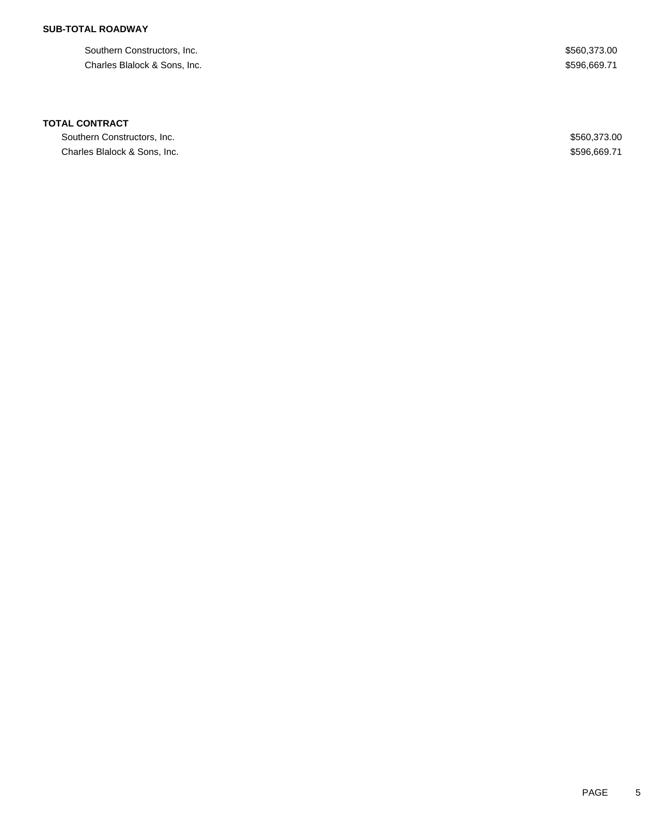# **SUB-TOTAL ROADWAY**

Southern Constructors, Inc.  $$560,373.00$ Charles Blalock & Sons, Inc. 689.71

### **TOTAL CONTRACT**

Southern Constructors, Inc. 6. The Southern Constructors, Inc. 6. The Southern Constructors, Inc. 6. The Southern Constructors, Inc. 6. The Southern Constructors, Inc. 6. The Southern Constructors, Inc. 6. The Southern Con Charles Blalock & Sons, Inc. 69.71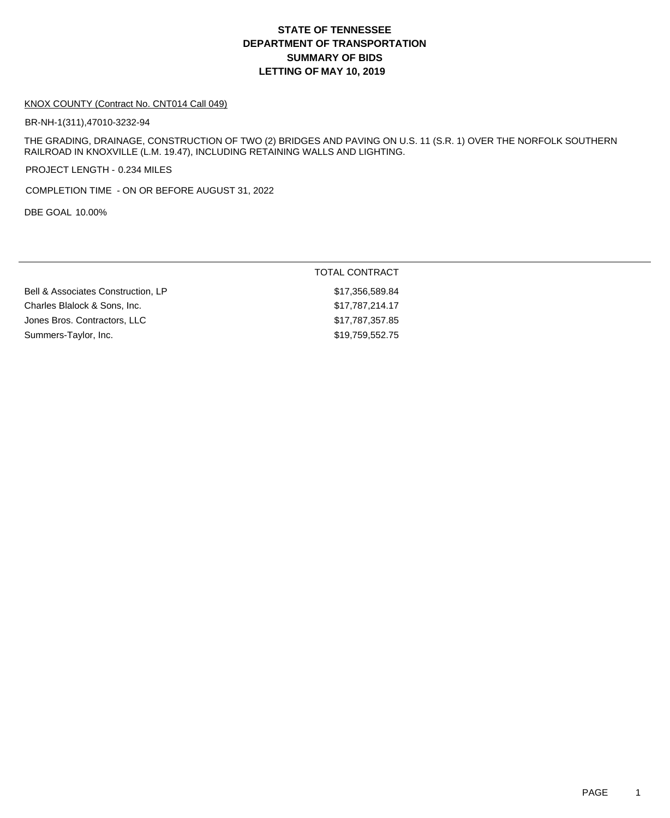# **DEPARTMENT OF TRANSPORTATION SUMMARY OF BIDS LETTING OF MAY 10, 2019 STATE OF TENNESSEE**

#### KNOX COUNTY (Contract No. CNT014 Call 049)

BR-NH-1(311),47010-3232-94

THE GRADING, DRAINAGE, CONSTRUCTION OF TWO (2) BRIDGES AND PAVING ON U.S. 11 (S.R. 1) OVER THE NORFOLK SOUTHERN RAILROAD IN KNOXVILLE (L.M. 19.47), INCLUDING RETAINING WALLS AND LIGHTING.

PROJECT LENGTH - 0.234 MILES

COMPLETION TIME - ON OR BEFORE AUGUST 31, 2022

DBE GOAL 10.00%

|                                    | <b>TOTAL CONTRACT</b> |
|------------------------------------|-----------------------|
| Bell & Associates Construction, LP | \$17,356,589.84       |
| Charles Blalock & Sons, Inc.       | \$17,787,214.17       |
| Jones Bros. Contractors, LLC       | \$17,787,357.85       |
| Summers-Taylor, Inc.               | \$19,759,552.75       |
|                                    |                       |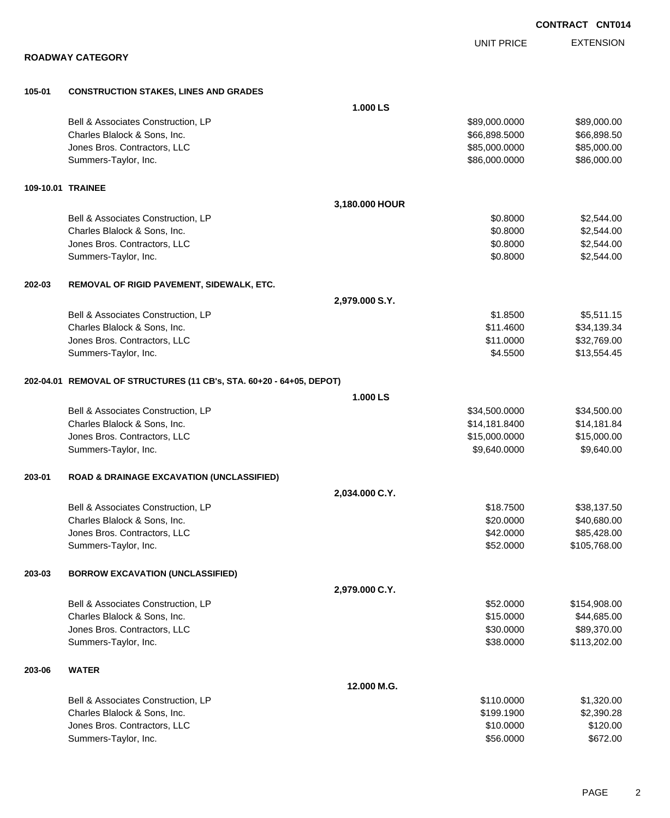**ROADWAY CATEGORY 105-01 CONSTRUCTION STAKES, LINES AND GRADES 1.000 LS** Bell & Associates Construction, LP 689,000.000 \$89,000.000 \$89,000.000 \$89,000.000 Charles Blalock & Sons, Inc. 6. 2010 12:30 12:30 12:30 12:30 12:30 12:30 12:30 12:30 12:30 12:30 12:30 12:30 12:30 12:30 12:30 12:30 12:30 12:30 12:30 12:30 12:30 12:30 12:30 12:30 12:30 12:30 12:30 12:30 12:30 12:30 12:30 Jones Bros. Contractors, LLC \$85,000.0000 \$85,000.00 Summers-Taylor, Inc. \$86,000.000 \$86,000.000 \$86,000.000 \$86,000.000 \$86,000.000 \$86,000.00 **109-10.01 TRAINEE 3,180.000 HOUR** Bell & Associates Construction, LP 60.8000 \$2,544.00 Charles Blalock & Sons, Inc. 6. 2012 12:344.00 \$2,544.00 \$2,544.00 \$2,544.00 Jones Bros. Contractors, LLC 6000 \$2,544.00 Summers-Taylor, Inc. \$2,544.00 **202-03 REMOVAL OF RIGID PAVEMENT, SIDEWALK, ETC. 2,979.000 S.Y.** Bell & Associates Construction, LP 6.611.15 Charles Blalock & Sons, Inc. \$11.4600 \$34,139.34 Jones Bros. Contractors, LLC \$11.0000 \$32,769.00 Summers-Taylor, Inc. \$13,554.45 **202-04.01 REMOVAL OF STRUCTURES (11 CB's, STA. 60+20 - 64+05, DEPOT) 1.000 LS** Bell & Associates Construction, LP 634,500.000 \$34,500.000 \$34,500.000 Charles Blalock & Sons, Inc. \$14,181.8400 \$14,181.84 Jones Bros. Contractors, LLC \$15,000.0000 \$15,000.00 Summers-Taylor, Inc. \$9,640.000 \$9,640.000 \$9,640.000 \$9,640.000 \$9,640.000 \$9,640.000 \$9,640.00 **203-01 ROAD & DRAINAGE EXCAVATION (UNCLASSIFIED) 2,034.000 C.Y.** Bell & Associates Construction, LP  $$18.7500$   $$38.137.50$ Charles Blalock & Sons, Inc. 6. 20.000 \$40,680.00 Jones Bros. Contractors, LLC 66 and the state of the state of the state of the state of the state of the state of the state of the state of the state of the state of the state of the state of the state of the state of the Summers-Taylor, Inc. \$52.0000 \$105,768.00 **203-03 BORROW EXCAVATION (UNCLASSIFIED) 2,979.000 C.Y.** Bell & Associates Construction, LP 6. 2008.00 \$154,908.00 Charles Blalock & Sons, Inc. \$15.0000 \$44,685.00  $Jones\ Bros.$  Contractors, LLC  $$30.0000$   $$89,370.00$ Summers-Taylor, Inc. 6. 2021.00 \$113,202.00 \$113,202.00 \$113,202.00 \$113,202.00 \$113,202.00 \$113,202.00 \$113,20 **203-06 WATER 12.000 M.G.** Bell & Associates Construction, LP 6. The state of the state of the state of the state of the state of the state of the state of the state of the state of the state of the state of the state of the state of the state of th Charles Blalock & Sons, Inc. \$199.1900 \$2,390.28

Jones Bros. Contractors, LLC \$10.0000 \$120.00 Summers-Taylor, Inc. \$672.00

**CONTRACT CNT014**

EXTENSION UNIT PRICE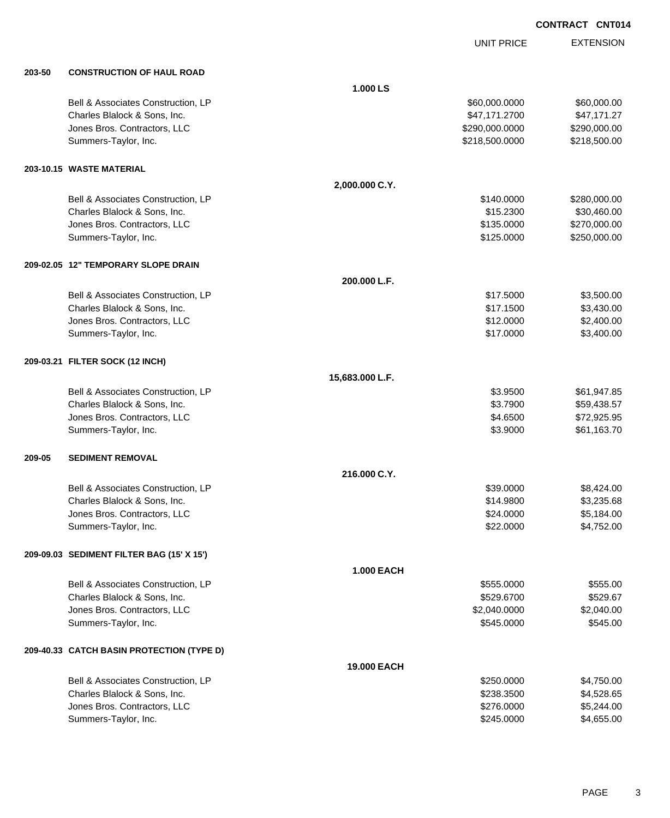|        |                                           |                   | <b>UNIT PRICE</b> | <b>EXTENSION</b> |
|--------|-------------------------------------------|-------------------|-------------------|------------------|
| 203-50 | <b>CONSTRUCTION OF HAUL ROAD</b>          |                   |                   |                  |
|        |                                           | 1.000 LS          |                   |                  |
|        | Bell & Associates Construction, LP        |                   | \$60,000.0000     | \$60,000.00      |
|        | Charles Blalock & Sons, Inc.              |                   | \$47,171.2700     | \$47,171.27      |
|        | Jones Bros. Contractors, LLC              |                   | \$290,000.0000    | \$290,000.00     |
|        | Summers-Taylor, Inc.                      |                   | \$218,500.0000    | \$218,500.00     |
|        | 203-10.15 WASTE MATERIAL                  |                   |                   |                  |
|        |                                           | 2,000.000 C.Y.    |                   |                  |
|        | Bell & Associates Construction, LP        |                   | \$140.0000        | \$280,000.00     |
|        | Charles Blalock & Sons, Inc.              |                   | \$15.2300         | \$30,460.00      |
|        | Jones Bros. Contractors, LLC              |                   | \$135.0000        | \$270,000.00     |
|        | Summers-Taylor, Inc.                      |                   | \$125.0000        | \$250,000.00     |
|        | 209-02.05 12" TEMPORARY SLOPE DRAIN       |                   |                   |                  |
|        |                                           | 200.000 L.F.      |                   |                  |
|        | Bell & Associates Construction, LP        |                   | \$17.5000         | \$3,500.00       |
|        | Charles Blalock & Sons, Inc.              |                   | \$17.1500         | \$3,430.00       |
|        | Jones Bros. Contractors, LLC              |                   | \$12.0000         | \$2,400.00       |
|        | Summers-Taylor, Inc.                      |                   | \$17.0000         | \$3,400.00       |
|        | 209-03.21 FILTER SOCK (12 INCH)           |                   |                   |                  |
|        |                                           | 15,683.000 L.F.   |                   |                  |
|        | Bell & Associates Construction, LP        |                   | \$3.9500          | \$61,947.85      |
|        | Charles Blalock & Sons, Inc.              |                   | \$3.7900          | \$59,438.57      |
|        | Jones Bros. Contractors, LLC              |                   | \$4.6500          | \$72,925.95      |
|        | Summers-Taylor, Inc.                      |                   | \$3.9000          | \$61,163.70      |
| 209-05 | <b>SEDIMENT REMOVAL</b>                   |                   |                   |                  |
|        |                                           | 216.000 C.Y.      |                   |                  |
|        | Bell & Associates Construction, LP        |                   | \$39.0000         | \$8,424.00       |
|        | Charles Blalock & Sons, Inc.              |                   | \$14.9800         | \$3,235.68       |
|        | Jones Bros. Contractors, LLC              |                   | \$24.0000         | \$5,184.00       |
|        | Summers-Taylor, Inc.                      |                   | \$22.0000         | \$4,752.00       |
|        | 209-09.03 SEDIMENT FILTER BAG (15' X 15') |                   |                   |                  |
|        |                                           | <b>1.000 EACH</b> |                   |                  |
|        | Bell & Associates Construction, LP        |                   | \$555.0000        | \$555.00         |
|        | Charles Blalock & Sons, Inc.              |                   | \$529.6700        | \$529.67         |
|        | Jones Bros. Contractors, LLC              |                   | \$2,040.0000      | \$2,040.00       |
|        | Summers-Taylor, Inc.                      |                   | \$545.0000        | \$545.00         |
|        | 209-40.33 CATCH BASIN PROTECTION (TYPE D) |                   |                   |                  |
|        |                                           | 19.000 EACH       |                   |                  |
|        | Bell & Associates Construction, LP        |                   | \$250.0000        | \$4,750.00       |
|        | Charles Blalock & Sons, Inc.              |                   | \$238.3500        | \$4,528.65       |
|        | Jones Bros. Contractors, LLC              |                   | \$276.0000        | \$5,244.00       |
|        | Summers-Taylor, Inc.                      |                   | \$245.0000        | \$4,655.00       |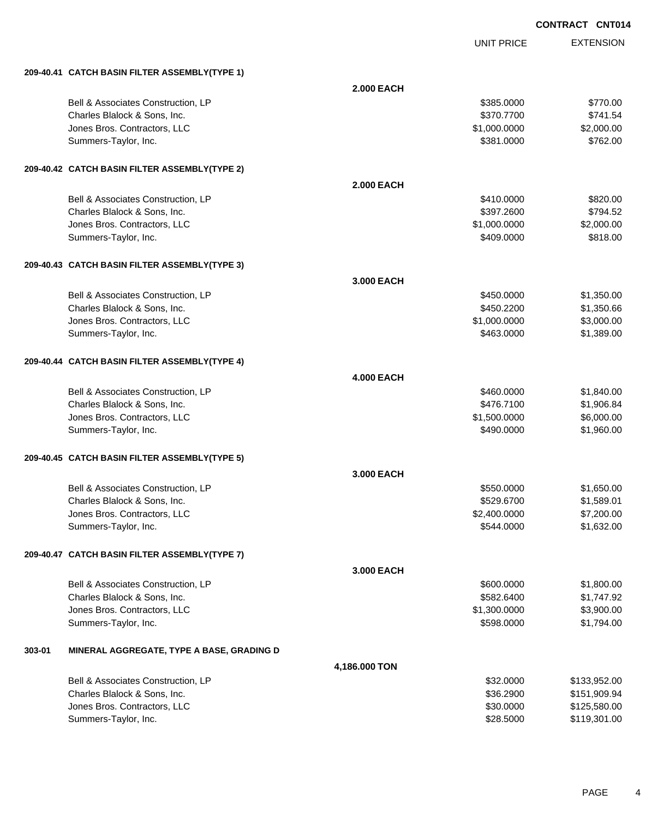|        |                                               |                   |                   | <b>CONTRACT CNT014</b> |
|--------|-----------------------------------------------|-------------------|-------------------|------------------------|
|        |                                               |                   | <b>UNIT PRICE</b> | <b>EXTENSION</b>       |
|        | 209-40.41 CATCH BASIN FILTER ASSEMBLY(TYPE 1) |                   |                   |                        |
|        |                                               | <b>2.000 EACH</b> |                   |                        |
|        | Bell & Associates Construction, LP            |                   | \$385.0000        | \$770.00               |
|        | Charles Blalock & Sons, Inc.                  |                   | \$370.7700        | \$741.54               |
|        | Jones Bros. Contractors, LLC                  |                   | \$1,000.0000      | \$2,000.00             |
|        | Summers-Taylor, Inc.                          |                   | \$381.0000        | \$762.00               |
|        | 209-40.42 CATCH BASIN FILTER ASSEMBLY(TYPE 2) |                   |                   |                        |
|        |                                               | <b>2.000 EACH</b> |                   |                        |
|        | Bell & Associates Construction, LP            |                   | \$410.0000        | \$820.00               |
|        | Charles Blalock & Sons, Inc.                  |                   | \$397.2600        | \$794.52               |
|        | Jones Bros. Contractors, LLC                  |                   | \$1,000.0000      | \$2,000.00             |
|        | Summers-Taylor, Inc.                          |                   | \$409.0000        | \$818.00               |
|        | 209-40.43 CATCH BASIN FILTER ASSEMBLY(TYPE 3) |                   |                   |                        |
|        |                                               | 3.000 EACH        |                   |                        |
|        | Bell & Associates Construction, LP            |                   | \$450.0000        | \$1,350.00             |
|        | Charles Blalock & Sons, Inc.                  |                   | \$450.2200        | \$1,350.66             |
|        | Jones Bros. Contractors, LLC                  |                   | \$1,000.0000      | \$3,000.00             |
|        | Summers-Taylor, Inc.                          |                   | \$463.0000        | \$1,389.00             |
|        | 209-40.44 CATCH BASIN FILTER ASSEMBLY(TYPE 4) |                   |                   |                        |
|        |                                               | <b>4.000 EACH</b> |                   |                        |
|        | Bell & Associates Construction, LP            |                   | \$460.0000        | \$1,840.00             |
|        | Charles Blalock & Sons, Inc.                  |                   | \$476.7100        | \$1,906.84             |
|        | Jones Bros. Contractors, LLC                  |                   | \$1,500.0000      | \$6,000.00             |
|        | Summers-Taylor, Inc.                          |                   | \$490.0000        | \$1,960.00             |
|        | 209-40.45 CATCH BASIN FILTER ASSEMBLY(TYPE 5) |                   |                   |                        |
|        |                                               | 3,000 EACH        |                   |                        |
|        | Bell & Associates Construction, LP            |                   | \$550.0000        | \$1,650.00             |
|        | Charles Blalock & Sons, Inc.                  |                   | \$529.6700        | \$1,589.01             |
|        | Jones Bros. Contractors, LLC                  |                   | \$2,400.0000      | \$7,200.00             |
|        | Summers-Taylor, Inc.                          |                   | \$544.0000        | \$1,632.00             |
|        | 209-40.47 CATCH BASIN FILTER ASSEMBLY(TYPE 7) |                   |                   |                        |
|        |                                               | 3.000 EACH        |                   |                        |
|        | Bell & Associates Construction, LP            |                   | \$600.0000        | \$1,800.00             |
|        | Charles Blalock & Sons, Inc.                  |                   | \$582.6400        | \$1,747.92             |
|        | Jones Bros. Contractors, LLC                  |                   | \$1,300.0000      | \$3,900.00             |
|        | Summers-Taylor, Inc.                          |                   | \$598.0000        | \$1,794.00             |
| 303-01 | MINERAL AGGREGATE, TYPE A BASE, GRADING D     |                   |                   |                        |
|        |                                               | 4,186.000 TON     |                   |                        |
|        | Bell & Associates Construction, LP            |                   | \$32.0000         | \$133,952.00           |
|        | Charles Blalock & Sons, Inc.                  |                   | \$36.2900         | \$151,909.94           |
|        | Jones Bros. Contractors, LLC                  |                   | \$30.0000         | \$125,580.00           |
|        | Summers-Taylor, Inc.                          |                   | \$28.5000         | \$119,301.00           |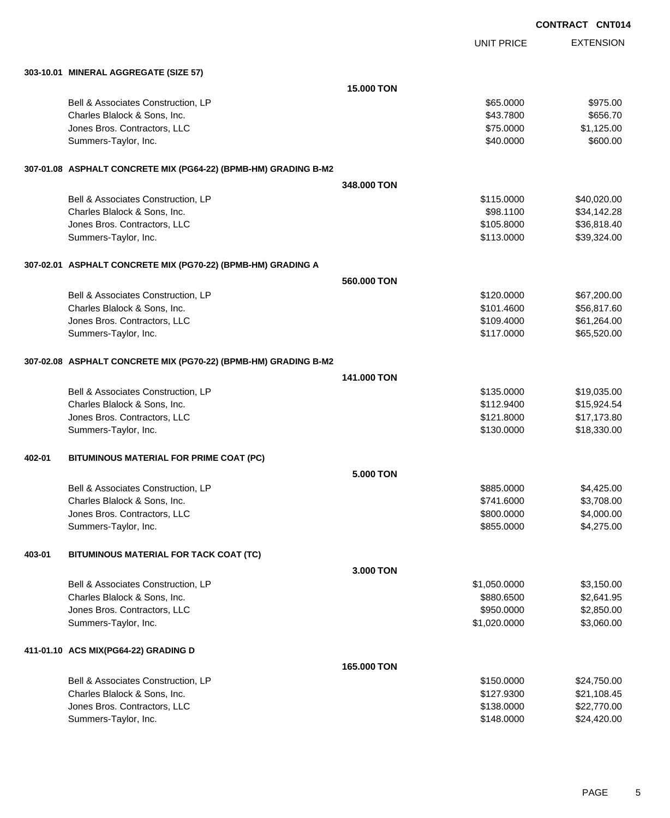|        |                                                                 |                  |                   | <b>CONTRACT CNT014</b> |
|--------|-----------------------------------------------------------------|------------------|-------------------|------------------------|
|        |                                                                 |                  | <b>UNIT PRICE</b> | <b>EXTENSION</b>       |
|        | 303-10.01 MINERAL AGGREGATE (SIZE 57)                           |                  |                   |                        |
|        |                                                                 | 15.000 TON       |                   |                        |
|        | Bell & Associates Construction, LP                              |                  | \$65.0000         | \$975.00               |
|        | Charles Blalock & Sons, Inc.                                    |                  | \$43.7800         | \$656.70               |
|        | Jones Bros. Contractors, LLC                                    |                  | \$75.0000         | \$1,125.00             |
|        | Summers-Taylor, Inc.                                            |                  | \$40.0000         | \$600.00               |
|        | 307-01.08 ASPHALT CONCRETE MIX (PG64-22) (BPMB-HM) GRADING B-M2 |                  |                   |                        |
|        |                                                                 | 348,000 TON      |                   |                        |
|        | Bell & Associates Construction, LP                              |                  | \$115.0000        | \$40,020.00            |
|        | Charles Blalock & Sons, Inc.                                    |                  | \$98.1100         | \$34,142.28            |
|        | Jones Bros. Contractors, LLC                                    |                  | \$105.8000        | \$36,818.40            |
|        | Summers-Taylor, Inc.                                            |                  | \$113.0000        | \$39,324.00            |
|        | 307-02.01 ASPHALT CONCRETE MIX (PG70-22) (BPMB-HM) GRADING A    |                  |                   |                        |
|        |                                                                 | 560,000 TON      |                   |                        |
|        | Bell & Associates Construction, LP                              |                  | \$120.0000        | \$67,200.00            |
|        | Charles Blalock & Sons, Inc.                                    |                  | \$101.4600        | \$56,817.60            |
|        | Jones Bros. Contractors, LLC                                    |                  | \$109.4000        | \$61,264.00            |
|        | Summers-Taylor, Inc.                                            |                  | \$117.0000        | \$65,520.00            |
|        | 307-02.08 ASPHALT CONCRETE MIX (PG70-22) (BPMB-HM) GRADING B-M2 |                  |                   |                        |
|        |                                                                 | 141,000 TON      |                   |                        |
|        | Bell & Associates Construction, LP                              |                  | \$135.0000        | \$19,035.00            |
|        | Charles Blalock & Sons, Inc.                                    |                  | \$112.9400        | \$15,924.54            |
|        | Jones Bros. Contractors, LLC                                    |                  | \$121.8000        | \$17,173.80            |
|        | Summers-Taylor, Inc.                                            |                  | \$130.0000        | \$18,330.00            |
| 402-01 | BITUMINOUS MATERIAL FOR PRIME COAT (PC)                         |                  |                   |                        |
|        |                                                                 | <b>5.000 TON</b> |                   |                        |
|        | Bell & Associates Construction, LP                              |                  | \$885.0000        | \$4,425.00             |
|        | Charles Blalock & Sons, Inc.                                    |                  | \$741.6000        | \$3,708.00             |
|        | Jones Bros. Contractors, LLC                                    |                  | \$800.0000        | \$4,000.00             |
|        | Summers-Taylor, Inc.                                            |                  | \$855.0000        | \$4,275.00             |
| 403-01 | BITUMINOUS MATERIAL FOR TACK COAT (TC)                          |                  |                   |                        |
|        |                                                                 | 3.000 TON        |                   |                        |
|        | Bell & Associates Construction, LP                              |                  | \$1,050.0000      | \$3,150.00             |
|        | Charles Blalock & Sons, Inc.                                    |                  | \$880.6500        | \$2,641.95             |
|        | Jones Bros. Contractors, LLC                                    |                  | \$950.0000        | \$2,850.00             |
|        | Summers-Taylor, Inc.                                            |                  | \$1,020.0000      | \$3,060.00             |
|        | 411-01.10 ACS MIX(PG64-22) GRADING D                            |                  |                   |                        |
|        |                                                                 | 165.000 TON      |                   |                        |
|        | Bell & Associates Construction, LP                              |                  | \$150.0000        | \$24,750.00            |
|        | Charles Blalock & Sons, Inc.                                    |                  | \$127.9300        | \$21,108.45            |
|        | Jones Bros. Contractors, LLC                                    |                  | \$138.0000        | \$22,770.00            |

Summers-Taylor, Inc. \$148.0000 \$24,420.00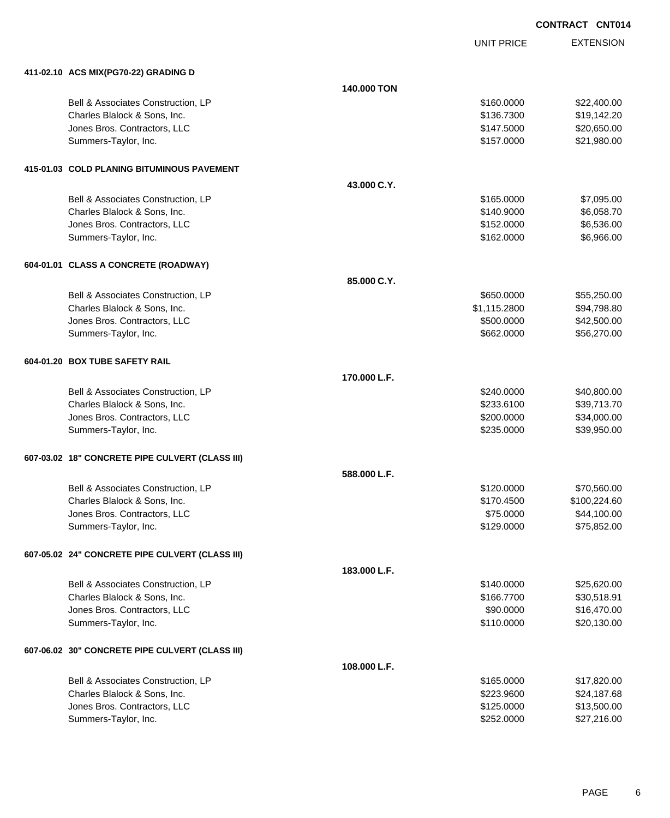UNIT PRICE

| 411-02.10 ACS MIX(PG70-22) GRADING D            |              |              |              |
|-------------------------------------------------|--------------|--------------|--------------|
|                                                 | 140.000 TON  |              |              |
| Bell & Associates Construction, LP              |              | \$160.0000   | \$22,400.00  |
| Charles Blalock & Sons, Inc.                    |              | \$136.7300   | \$19,142.20  |
| Jones Bros. Contractors, LLC                    |              | \$147.5000   | \$20,650.00  |
| Summers-Taylor, Inc.                            |              | \$157.0000   | \$21,980.00  |
| 415-01.03 COLD PLANING BITUMINOUS PAVEMENT      |              |              |              |
|                                                 | 43.000 C.Y.  |              |              |
| Bell & Associates Construction, LP              |              | \$165.0000   | \$7,095.00   |
| Charles Blalock & Sons, Inc.                    |              | \$140.9000   | \$6,058.70   |
| Jones Bros. Contractors, LLC                    |              | \$152.0000   | \$6,536.00   |
| Summers-Taylor, Inc.                            |              | \$162.0000   | \$6,966.00   |
| 604-01.01 CLASS A CONCRETE (ROADWAY)            |              |              |              |
|                                                 | 85.000 C.Y.  |              |              |
| Bell & Associates Construction, LP              |              | \$650.0000   | \$55,250.00  |
| Charles Blalock & Sons, Inc.                    |              | \$1,115.2800 | \$94,798.80  |
| Jones Bros. Contractors, LLC                    |              | \$500.0000   | \$42,500.00  |
| Summers-Taylor, Inc.                            |              | \$662.0000   | \$56,270.00  |
| 604-01.20 BOX TUBE SAFETY RAIL                  |              |              |              |
|                                                 | 170.000 L.F. |              |              |
| Bell & Associates Construction, LP              |              | \$240.0000   | \$40,800.00  |
| Charles Blalock & Sons, Inc.                    |              | \$233.6100   | \$39,713.70  |
| Jones Bros. Contractors, LLC                    |              | \$200.0000   | \$34,000.00  |
| Summers-Taylor, Inc.                            |              | \$235.0000   | \$39,950.00  |
| 607-03.02 18" CONCRETE PIPE CULVERT (CLASS III) |              |              |              |
|                                                 | 588.000 L.F. |              |              |
| Bell & Associates Construction, LP              |              | \$120.0000   | \$70,560.00  |
| Charles Blalock & Sons, Inc.                    |              | \$170.4500   | \$100,224.60 |
| Jones Bros. Contractors, LLC                    |              | \$75.0000    | \$44,100.00  |
| Summers-Taylor, Inc.                            |              | \$129.0000   | \$75,852.00  |
| 607-05.02 24" CONCRETE PIPE CULVERT (CLASS III) |              |              |              |
|                                                 | 183.000 L.F. |              |              |
| Bell & Associates Construction, LP              |              | \$140.0000   | \$25,620.00  |
| Charles Blalock & Sons, Inc.                    |              | \$166.7700   | \$30,518.91  |
| Jones Bros. Contractors, LLC                    |              | \$90.0000    | \$16,470.00  |
| Summers-Taylor, Inc.                            |              | \$110.0000   | \$20,130.00  |
| 607-06.02 30" CONCRETE PIPE CULVERT (CLASS III) |              |              |              |
|                                                 | 108.000 L.F. |              |              |
| Bell & Associates Construction, LP              |              | \$165.0000   | \$17,820.00  |
| Charles Blalock & Sons, Inc.                    |              | \$223.9600   | \$24,187.68  |
| Jones Bros. Contractors, LLC                    |              | \$125.0000   | \$13,500.00  |
| Summers-Taylor, Inc.                            |              | \$252.0000   | \$27,216.00  |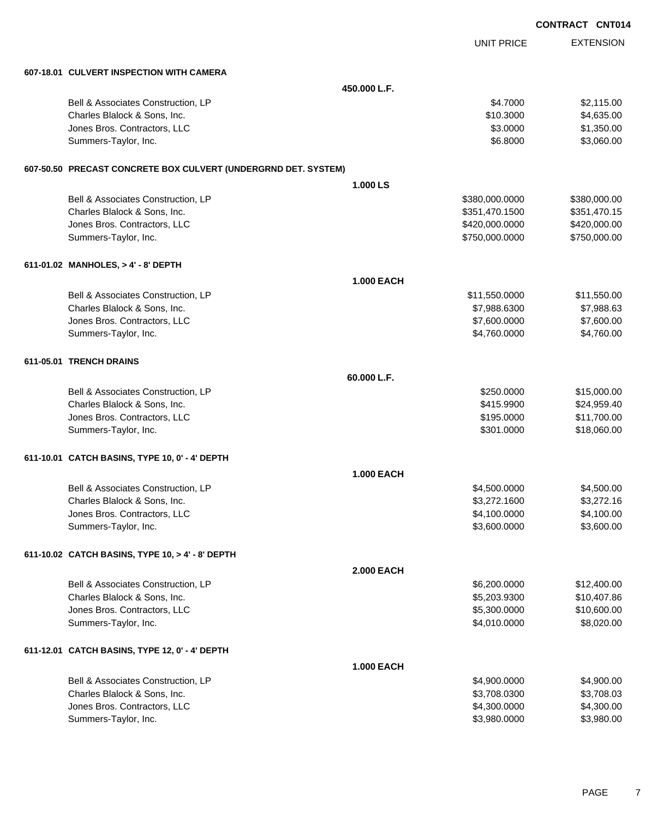|                                                                |                   |                   | <b>CONTRACT CNT014</b> |
|----------------------------------------------------------------|-------------------|-------------------|------------------------|
|                                                                |                   | <b>UNIT PRICE</b> | <b>EXTENSION</b>       |
| 607-18.01 CULVERT INSPECTION WITH CAMERA                       |                   |                   |                        |
|                                                                | 450,000 L.F.      |                   |                        |
| Bell & Associates Construction, LP                             |                   | \$4.7000          | \$2,115.00             |
| Charles Blalock & Sons, Inc.                                   |                   | \$10.3000         | \$4,635.00             |
| Jones Bros. Contractors, LLC                                   |                   | \$3.0000          | \$1,350.00             |
| Summers-Taylor, Inc.                                           |                   | \$6.8000          | \$3,060.00             |
| 607-50.50 PRECAST CONCRETE BOX CULVERT (UNDERGRND DET. SYSTEM) |                   |                   |                        |
|                                                                | 1.000 LS          |                   |                        |
| Bell & Associates Construction, LP                             |                   | \$380,000.0000    | \$380,000.00           |
| Charles Blalock & Sons, Inc.                                   |                   | \$351,470.1500    | \$351,470.15           |
| Jones Bros. Contractors, LLC                                   |                   | \$420,000.0000    | \$420,000.00           |
| Summers-Taylor, Inc.                                           |                   | \$750,000.0000    | \$750,000.00           |
| 611-01.02 MANHOLES, > 4' - 8' DEPTH                            |                   |                   |                        |
|                                                                | <b>1.000 EACH</b> |                   |                        |
| Bell & Associates Construction, LP                             |                   | \$11,550.0000     | \$11,550.00            |
| Charles Blalock & Sons, Inc.                                   |                   | \$7,988.6300      | \$7,988.63             |
| Jones Bros. Contractors, LLC                                   |                   | \$7,600.0000      | \$7,600.00             |
| Summers-Taylor, Inc.                                           |                   | \$4,760.0000      | \$4,760.00             |
| 611-05.01 TRENCH DRAINS                                        |                   |                   |                        |
|                                                                | 60.000 L.F.       |                   |                        |
| Bell & Associates Construction, LP                             |                   | \$250.0000        | \$15,000.00            |
| Charles Blalock & Sons, Inc.                                   |                   | \$415.9900        | \$24,959.40            |
| Jones Bros. Contractors, LLC                                   |                   | \$195.0000        | \$11,700.00            |
| Summers-Taylor, Inc.                                           |                   | \$301.0000        | \$18,060.00            |
| 611-10.01 CATCH BASINS, TYPE 10, 0' - 4' DEPTH                 |                   |                   |                        |
|                                                                | <b>1.000 EACH</b> |                   |                        |
| Bell & Associates Construction, LP                             |                   | \$4,500.0000      | \$4,500.00             |
| Charles Blalock & Sons, Inc.                                   |                   | \$3,272.1600      | \$3,272.16             |
| Jones Bros. Contractors, LLC                                   |                   | \$4,100.0000      | \$4,100.00             |
| Summers-Taylor, Inc.                                           |                   | \$3,600.0000      | \$3,600.00             |
| 611-10.02 CATCH BASINS, TYPE 10, > 4' - 8' DEPTH               |                   |                   |                        |
|                                                                | <b>2.000 EACH</b> |                   |                        |
| Bell & Associates Construction, LP                             |                   | \$6,200.0000      | \$12,400.00            |
| Charles Blalock & Sons, Inc.                                   |                   | \$5,203.9300      | \$10,407.86            |
| Jones Bros. Contractors, LLC                                   |                   | \$5,300.0000      | \$10,600.00            |
| Summers-Taylor, Inc.                                           |                   | \$4,010.0000      | \$8,020.00             |
| 611-12.01 CATCH BASINS, TYPE 12, 0' - 4' DEPTH                 |                   |                   |                        |
|                                                                | <b>1.000 EACH</b> |                   |                        |
| Bell & Associates Construction, LP                             |                   | \$4,900.0000      | \$4,900.00             |
| Charles Blalock & Sons, Inc.                                   |                   | \$3,708.0300      | \$3,708.03             |
| Jones Bros. Contractors, LLC                                   |                   | \$4,300.0000      | \$4,300.00             |
| Summers-Taylor, Inc.                                           |                   | \$3,980.0000      | \$3,980.00             |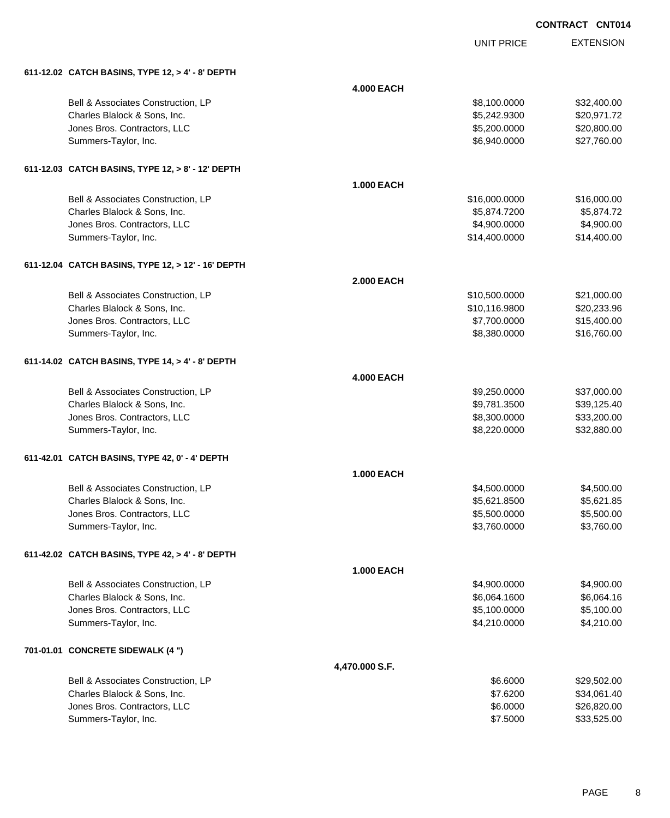| <b>CONTRACT CNT014</b> |  |
|------------------------|--|
|                        |  |

UNIT PRICE

| 611-12.02 CATCH BASINS, TYPE 12, $> 4'$ - 8' DEPTH |
|----------------------------------------------------|
|                                                    |

| 611-12.02 CATCH BASINS, TYPE 12, > 4' - 8' DEPTH   |                   |               |             |
|----------------------------------------------------|-------------------|---------------|-------------|
|                                                    | <b>4.000 EACH</b> |               |             |
| Bell & Associates Construction, LP                 |                   | \$8,100.0000  | \$32,400.00 |
| Charles Blalock & Sons, Inc.                       |                   | \$5,242.9300  | \$20,971.72 |
| Jones Bros. Contractors, LLC                       |                   | \$5,200.0000  | \$20,800.00 |
| Summers-Taylor, Inc.                               |                   | \$6,940.0000  | \$27,760.00 |
| 611-12.03 CATCH BASINS, TYPE 12, > 8' - 12' DEPTH  |                   |               |             |
|                                                    | <b>1.000 EACH</b> |               |             |
| Bell & Associates Construction, LP                 |                   | \$16,000.0000 | \$16,000.00 |
| Charles Blalock & Sons, Inc.                       |                   | \$5,874.7200  | \$5,874.72  |
| Jones Bros. Contractors, LLC                       |                   | \$4,900.0000  | \$4,900.00  |
| Summers-Taylor, Inc.                               |                   | \$14,400.0000 | \$14,400.00 |
| 611-12.04 CATCH BASINS, TYPE 12, > 12' - 16' DEPTH |                   |               |             |
|                                                    | <b>2.000 EACH</b> |               |             |
| Bell & Associates Construction, LP                 |                   | \$10,500.0000 | \$21,000.00 |
| Charles Blalock & Sons, Inc.                       |                   | \$10,116.9800 | \$20,233.96 |
| Jones Bros. Contractors, LLC                       |                   | \$7,700.0000  | \$15,400.00 |
| Summers-Taylor, Inc.                               |                   | \$8,380.0000  | \$16,760.00 |
| 611-14.02 CATCH BASINS, TYPE 14, > 4' - 8' DEPTH   |                   |               |             |
|                                                    | <b>4.000 EACH</b> |               |             |
| Bell & Associates Construction, LP                 |                   | \$9,250.0000  | \$37,000.00 |
| Charles Blalock & Sons, Inc.                       |                   | \$9,781.3500  | \$39,125.40 |
| Jones Bros. Contractors, LLC                       |                   | \$8,300.0000  | \$33,200.00 |
| Summers-Taylor, Inc.                               |                   | \$8,220.0000  | \$32,880.00 |
| 611-42.01 CATCH BASINS, TYPE 42, 0' - 4' DEPTH     |                   |               |             |
|                                                    | <b>1.000 EACH</b> |               |             |
| Bell & Associates Construction, LP                 |                   | \$4,500.0000  | \$4,500.00  |
| Charles Blalock & Sons, Inc.                       |                   | \$5,621.8500  | \$5,621.85  |
| Jones Bros. Contractors, LLC                       |                   | \$5,500.0000  | \$5,500.00  |
| Summers-Taylor, Inc.                               |                   | \$3,760.0000  | \$3,760.00  |
| 611-42.02 CATCH BASINS, TYPE 42, > 4' - 8' DEPTH   |                   |               |             |
|                                                    | <b>1.000 EACH</b> |               |             |
| Bell & Associates Construction, LP                 |                   | \$4,900.0000  | \$4,900.00  |
| Charles Blalock & Sons, Inc.                       |                   | \$6,064.1600  | \$6,064.16  |
| Jones Bros. Contractors, LLC                       |                   | \$5,100.0000  | \$5,100.00  |
| Summers-Taylor, Inc.                               |                   | \$4,210.0000  | \$4,210.00  |
| 701-01.01 CONCRETE SIDEWALK (4 ")                  |                   |               |             |
|                                                    | 4,470.000 S.F.    |               |             |
| Bell & Associates Construction, LP                 |                   | \$6.6000      | \$29,502.00 |
| Charles Blalock & Sons, Inc.                       |                   | \$7.6200      | \$34,061.40 |
| Jones Bros. Contractors, LLC                       |                   | \$6.0000      | \$26,820.00 |
| Summers-Taylor, Inc.                               |                   | \$7.5000      | \$33,525.00 |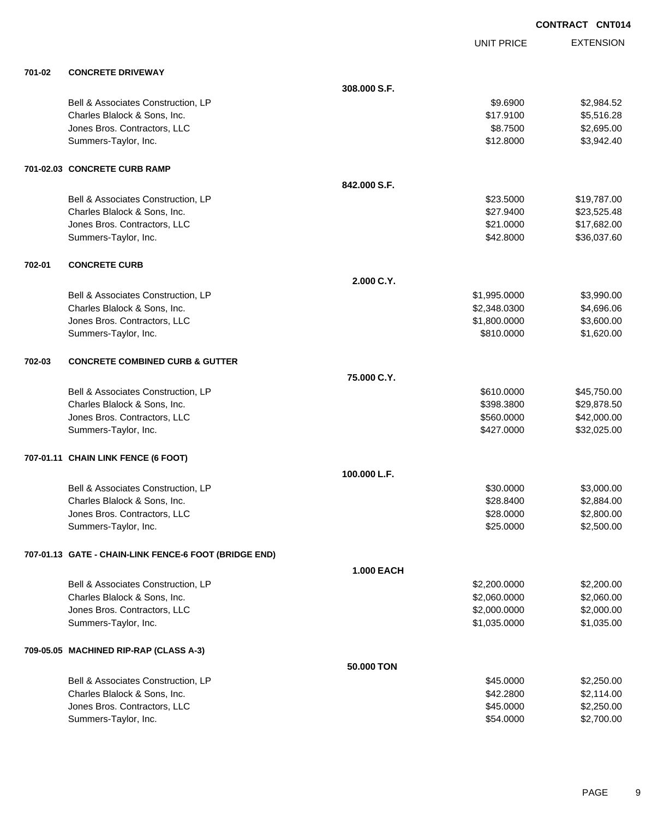**EXTENSION CONTRACT CNT014** UNIT PRICE **701-02 CONCRETE DRIVEWAY 308.000 S.F.** Bell & Associates Construction, LP 62,984.52 Charles Blalock & Sons, Inc. \$17.9100 \$5,516.28 Jones Bros. Contractors, LLC \$8.7500 \$2,695.00 Summers-Taylor, Inc. \$12.8000 \$3,942.40 **701-02.03 CONCRETE CURB RAMP 842.000 S.F.** Bell & Associates Construction, LP 6. The State of the State of State State State State State State State State State State State State State State State State State State State State State State State State State State St Charles Blalock & Sons, Inc. 6. 2012. The State of the State of the State of State of State of State of State of State of State of State of State of State of State of State of State of State of State of State of State of S Jones Bros. Contractors, LLC \$21.0000 \$17,682.00 Summers-Taylor, Inc. \$42.8000 \$36,037.60 **702-01 CONCRETE CURB 2.000 C.Y.** Bell & Associates Construction, LP 66 and the state of the state of the state of the state of the state of the state of the state of the state of the state of the state of the state of the state of the state of the state o Charles Blalock & Sons, Inc. \$2,348.0300 \$4,696.06 Unnes Bros. Contractors, LLC 6. The state of the state of the state of the state of the state of the state of the state of the state of the state of the state of the state of the state of the state of the state of the stat Summers-Taylor, Inc. \$810.0000 \$1,620.00 **702-03 CONCRETE COMBINED CURB & GUTTER 75.000 C.Y.** Bell & Associates Construction, LP 645,750.00 Charles Blalock & Sons, Inc. 6. 2012. The Superintendent State of the Superintendent State State State State State State State State State State State State State State State State State State State State State State State versions and the set of the set of the set of the set of the set of the set of the set of the set of the set of the set of the set of the set of the set of the set of the set of the set of the set of the set of the set of

#### **707-01.11 CHAIN LINK FENCE (6 FOOT)**

|                                    | 100.000 L.F. |            |
|------------------------------------|--------------|------------|
| Bell & Associates Construction, LP | \$30,0000    | \$3,000.00 |
| Charles Blalock & Sons, Inc.       | \$28,8400    | \$2,884.00 |
| Jones Bros. Contractors, LLC       | \$28,0000    | \$2,800.00 |
| Summers-Taylor, Inc.               | \$25,0000    | \$2,500,00 |

**1.000 EACH**

**50.000 TON**

Summers-Taylor, Inc. \$32,025.00 \$32,025.00

### **707-01.13 GATE - CHAIN-LINK FENCE-6 FOOT (BRIDGE END)**

|                                        | 1.000 EACH   |            |
|----------------------------------------|--------------|------------|
| Bell & Associates Construction, LP     | \$2,200,0000 | \$2,200.00 |
| Charles Blalock & Sons, Inc.           | \$2,060.0000 | \$2,060.00 |
| Jones Bros. Contractors, LLC           | \$2,000.0000 | \$2,000.00 |
| Summers-Taylor, Inc.                   | \$1.035.0000 | \$1,035.00 |
| 709-05.05 MACHINED RIP-RAP (CLASS A-3) |              |            |

| Bell & Associates Construction. LP | \$45,0000 | \$2,250,00 |
|------------------------------------|-----------|------------|
| Charles Blalock & Sons, Inc.       | \$42,2800 | \$2.114.00 |
| Jones Bros, Contractors, LLC       | \$45,0000 | \$2,250,00 |
| Summers-Taylor, Inc.               | \$54,0000 | \$2,700.00 |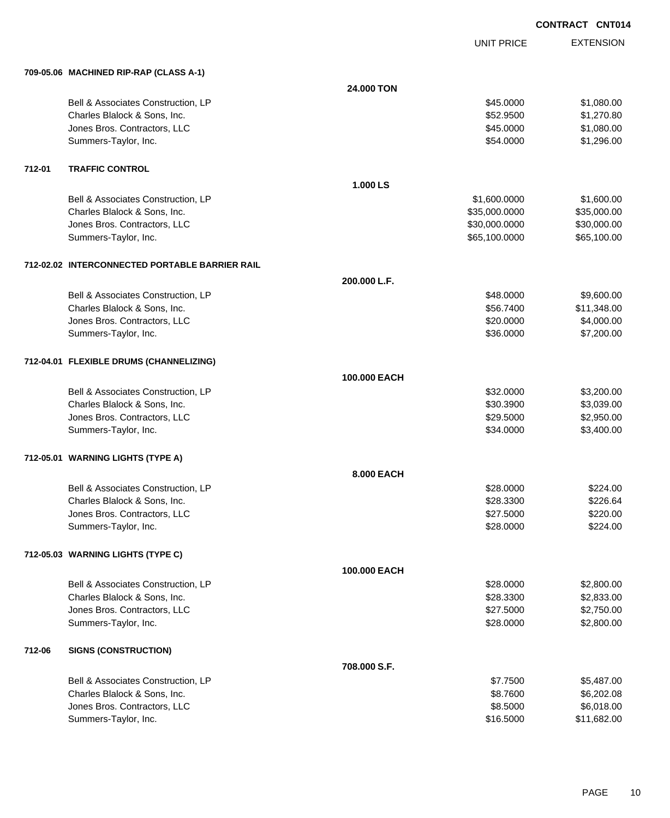UNIT PRICE

|        | 709-05.06 MACHINED RIP-RAP (CLASS A-1)         |              |               |             |
|--------|------------------------------------------------|--------------|---------------|-------------|
|        |                                                | 24.000 TON   |               |             |
|        | Bell & Associates Construction, LP             |              | \$45.0000     | \$1,080.00  |
|        | Charles Blalock & Sons, Inc.                   |              | \$52.9500     | \$1,270.80  |
|        | Jones Bros. Contractors, LLC                   |              | \$45.0000     | \$1,080.00  |
|        | Summers-Taylor, Inc.                           |              | \$54.0000     | \$1,296.00  |
| 712-01 | <b>TRAFFIC CONTROL</b>                         |              |               |             |
|        |                                                | 1.000 LS     |               |             |
|        | Bell & Associates Construction, LP             |              | \$1,600.0000  | \$1,600.00  |
|        | Charles Blalock & Sons, Inc.                   |              | \$35,000.0000 | \$35,000.00 |
|        | Jones Bros. Contractors, LLC                   |              | \$30,000.0000 | \$30,000.00 |
|        | Summers-Taylor, Inc.                           |              | \$65,100.0000 | \$65,100.00 |
|        | 712-02.02 INTERCONNECTED PORTABLE BARRIER RAIL |              |               |             |
|        |                                                | 200.000 L.F. |               |             |
|        | Bell & Associates Construction, LP             |              | \$48.0000     | \$9,600.00  |
|        | Charles Blalock & Sons, Inc.                   |              | \$56.7400     | \$11,348.00 |
|        | Jones Bros. Contractors, LLC                   |              | \$20.0000     | \$4,000.00  |
|        | Summers-Taylor, Inc.                           |              | \$36.0000     | \$7,200.00  |
|        | 712-04.01 FLEXIBLE DRUMS (CHANNELIZING)        |              |               |             |
|        |                                                | 100.000 EACH |               |             |
|        | Bell & Associates Construction, LP             |              | \$32.0000     | \$3,200.00  |
|        | Charles Blalock & Sons, Inc.                   |              | \$30.3900     | \$3,039.00  |
|        | Jones Bros. Contractors, LLC                   |              | \$29.5000     | \$2,950.00  |
|        | Summers-Taylor, Inc.                           |              | \$34.0000     | \$3,400.00  |
|        | 712-05.01 WARNING LIGHTS (TYPE A)              |              |               |             |
|        |                                                | 8.000 EACH   |               |             |
|        | Bell & Associates Construction, LP             |              | \$28.0000     | \$224.00    |
|        | Charles Blalock & Sons, Inc.                   |              | \$28.3300     | \$226.64    |
|        | Jones Bros. Contractors, LLC                   |              | \$27.5000     | \$220.00    |
|        | Summers-Taylor, Inc.                           |              | \$28.0000     | \$224.00    |
|        | 712-05.03 WARNING LIGHTS (TYPE C)              |              |               |             |
|        |                                                | 100.000 EACH |               |             |
|        | Bell & Associates Construction, LP             |              | \$28.0000     | \$2,800.00  |
|        | Charles Blalock & Sons, Inc.                   |              | \$28.3300     | \$2,833.00  |
|        | Jones Bros. Contractors, LLC                   |              | \$27.5000     | \$2,750.00  |
|        | Summers-Taylor, Inc.                           |              | \$28.0000     | \$2,800.00  |
| 712-06 | <b>SIGNS (CONSTRUCTION)</b>                    |              |               |             |
|        |                                                | 708.000 S.F. |               |             |
|        | Bell & Associates Construction, LP             |              | \$7.7500      | \$5,487.00  |
|        | Charles Blalock & Sons, Inc.                   |              | \$8.7600      | \$6,202.08  |
|        | Jones Bros. Contractors, LLC                   |              | \$8.5000      | \$6,018.00  |
|        | Summers-Taylor, Inc.                           |              | \$16.5000     | \$11,682.00 |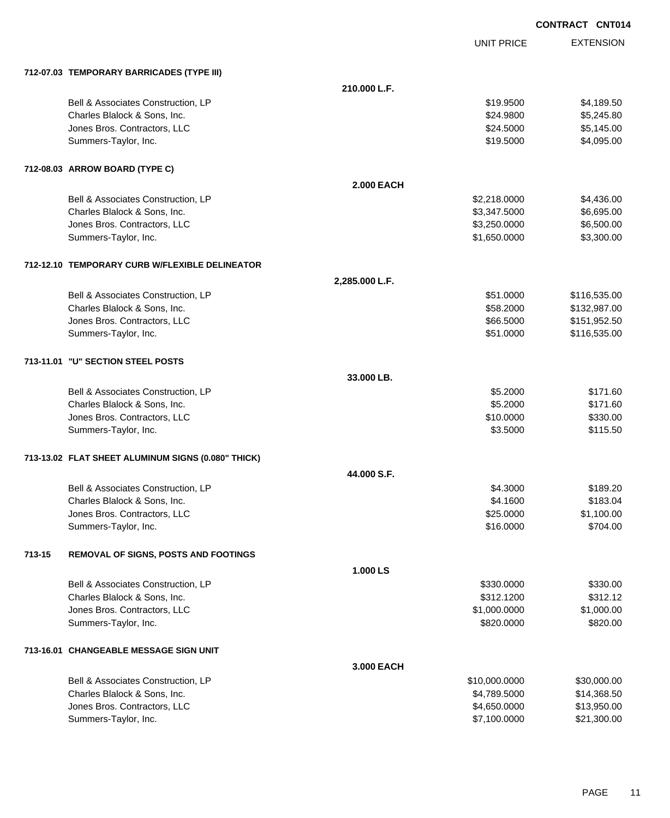| <b>CONTRACT CNT014</b> |  |
|------------------------|--|
|                        |  |

|                                                       |                   | <b>UNIT PRICE</b> | <b>EXTENSION</b> |
|-------------------------------------------------------|-------------------|-------------------|------------------|
| 712-07.03 TEMPORARY BARRICADES (TYPE III)             |                   |                   |                  |
|                                                       | 210.000 L.F.      |                   |                  |
| Bell & Associates Construction, LP                    |                   | \$19.9500         | \$4,189.50       |
| Charles Blalock & Sons, Inc.                          |                   | \$24.9800         | \$5,245.80       |
| Jones Bros. Contractors, LLC                          |                   | \$24.5000         | \$5,145.00       |
| Summers-Taylor, Inc.                                  |                   | \$19.5000         | \$4,095.00       |
| 712-08.03 ARROW BOARD (TYPE C)                        |                   |                   |                  |
|                                                       | <b>2.000 EACH</b> |                   |                  |
| Bell & Associates Construction, LP                    |                   | \$2,218.0000      | \$4,436.00       |
| Charles Blalock & Sons, Inc.                          |                   | \$3,347.5000      | \$6,695.00       |
| Jones Bros. Contractors, LLC                          |                   | \$3,250.0000      | \$6,500.00       |
| Summers-Taylor, Inc.                                  |                   | \$1,650.0000      | \$3,300.00       |
| 712-12.10 TEMPORARY CURB W/FLEXIBLE DELINEATOR        |                   |                   |                  |
|                                                       | 2,285.000 L.F.    |                   |                  |
| Bell & Associates Construction, LP                    |                   | \$51.0000         | \$116,535.00     |
| Charles Blalock & Sons, Inc.                          |                   | \$58.2000         | \$132,987.00     |
| Jones Bros. Contractors, LLC                          |                   | \$66.5000         | \$151,952.50     |
| Summers-Taylor, Inc.                                  |                   | \$51.0000         | \$116,535.00     |
| 713-11.01 "U" SECTION STEEL POSTS                     |                   |                   |                  |
|                                                       | 33.000 LB.        |                   |                  |
| Bell & Associates Construction, LP                    |                   | \$5.2000          | \$171.60         |
| Charles Blalock & Sons, Inc.                          |                   | \$5.2000          | \$171.60         |
| Jones Bros. Contractors, LLC                          |                   | \$10.0000         | \$330.00         |
| Summers-Taylor, Inc.                                  |                   | \$3.5000          | \$115.50         |
| 713-13.02 FLAT SHEET ALUMINUM SIGNS (0.080" THICK)    |                   |                   |                  |
|                                                       | 44.000 S.F.       |                   |                  |
| Bell & Associates Construction, LP                    |                   | \$4.3000          | \$189.20         |
| Charles Blalock & Sons, Inc.                          |                   | \$4.1600          | \$183.04         |
| Jones Bros. Contractors, LLC                          |                   | \$25.0000         | \$1,100.00       |
| Summers-Taylor, Inc.                                  |                   | \$16.0000         | \$704.00         |
| 713-15<br><b>REMOVAL OF SIGNS, POSTS AND FOOTINGS</b> |                   |                   |                  |
|                                                       | 1.000LS           |                   |                  |
| Bell & Associates Construction, LP                    |                   | \$330.0000        | \$330.00         |
| Charles Blalock & Sons, Inc.                          |                   | \$312.1200        | \$312.12         |
| Jones Bros. Contractors, LLC                          |                   | \$1,000.0000      | \$1,000.00       |
| Summers-Taylor, Inc.                                  |                   | \$820.0000        | \$820.00         |
| 713-16.01 CHANGEABLE MESSAGE SIGN UNIT                |                   |                   |                  |
|                                                       | 3.000 EACH        |                   |                  |
| Bell & Associates Construction, LP                    |                   | \$10,000.0000     | \$30,000.00      |
| Charles Blalock & Sons, Inc.                          |                   | \$4,789.5000      | \$14,368.50      |
| Jones Bros. Contractors, LLC                          |                   | \$4,650.0000      | \$13,950.00      |
| Summers-Taylor, Inc.                                  |                   | \$7,100.0000      | \$21,300.00      |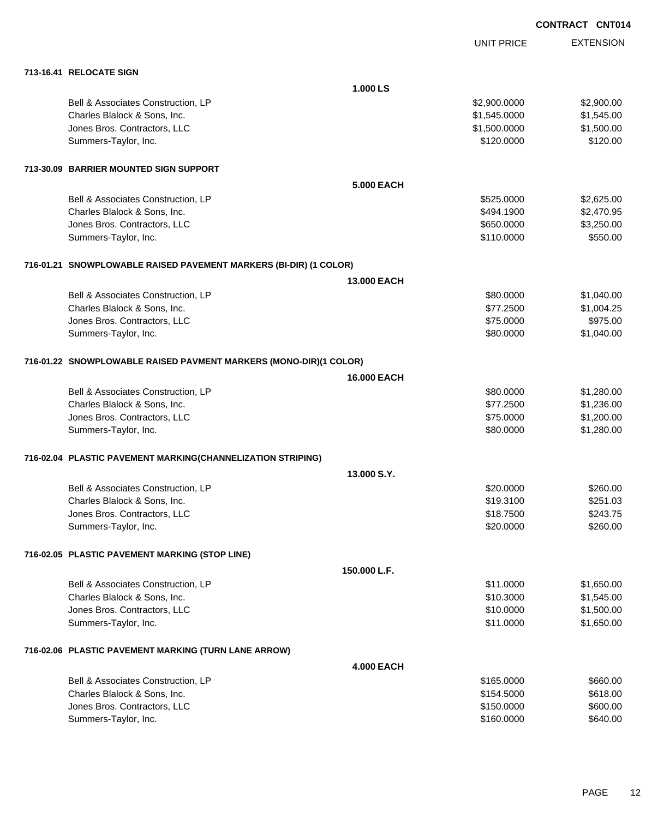|                                                                   |                    | <b>UNIT PRICE</b> | <b>EXTENSION</b> |
|-------------------------------------------------------------------|--------------------|-------------------|------------------|
| 713-16.41 RELOCATE SIGN                                           |                    |                   |                  |
|                                                                   | 1.000 LS           |                   |                  |
| Bell & Associates Construction, LP                                |                    | \$2,900.0000      | \$2,900.00       |
| Charles Blalock & Sons, Inc.                                      |                    | \$1,545.0000      | \$1,545.00       |
| Jones Bros. Contractors, LLC                                      |                    | \$1,500.0000      | \$1,500.00       |
| Summers-Taylor, Inc.                                              |                    | \$120.0000        | \$120.00         |
| 713-30.09 BARRIER MOUNTED SIGN SUPPORT                            |                    |                   |                  |
|                                                                   | <b>5.000 EACH</b>  |                   |                  |
| Bell & Associates Construction, LP                                |                    | \$525.0000        | \$2,625.00       |
| Charles Blalock & Sons, Inc.                                      |                    | \$494.1900        | \$2,470.95       |
| Jones Bros. Contractors, LLC                                      |                    | \$650.0000        | \$3,250.00       |
| Summers-Taylor, Inc.                                              |                    | \$110.0000        | \$550.00         |
| 716-01.21 SNOWPLOWABLE RAISED PAVEMENT MARKERS (BI-DIR) (1 COLOR) |                    |                   |                  |
|                                                                   | <b>13,000 EACH</b> |                   |                  |
| Bell & Associates Construction, LP                                |                    | \$80.0000         | \$1,040.00       |
| Charles Blalock & Sons, Inc.                                      |                    | \$77.2500         | \$1,004.25       |
| Jones Bros. Contractors, LLC                                      |                    | \$75.0000         | \$975.00         |
| Summers-Taylor, Inc.                                              |                    | \$80.0000         | \$1,040.00       |
| 716-01.22 SNOWPLOWABLE RAISED PAVMENT MARKERS (MONO-DIR)(1 COLOR) |                    |                   |                  |
|                                                                   | 16.000 EACH        |                   |                  |
| Bell & Associates Construction, LP                                |                    | \$80.0000         | \$1,280.00       |
| Charles Blalock & Sons, Inc.                                      |                    | \$77.2500         | \$1,236.00       |
| Jones Bros. Contractors, LLC                                      |                    | \$75.0000         | \$1,200.00       |
| Summers-Taylor, Inc.                                              |                    | \$80.0000         | \$1,280.00       |
| 716-02.04 PLASTIC PAVEMENT MARKING(CHANNELIZATION STRIPING)       |                    |                   |                  |
|                                                                   | 13.000 S.Y.        |                   |                  |
| Bell & Associates Construction, LP                                |                    | \$20.0000         | \$260.00         |
| Charles Blalock & Sons, Inc.                                      |                    | \$19.3100         | \$251.03         |
| Jones Bros. Contractors, LLC                                      |                    | \$18.7500         | \$243.75         |
| Summers-Taylor, Inc.                                              |                    | \$20.0000         | \$260.00         |
| 716-02.05 PLASTIC PAVEMENT MARKING (STOP LINE)                    |                    |                   |                  |
|                                                                   | 150.000 L.F.       |                   |                  |
| Bell & Associates Construction, LP                                |                    | \$11.0000         | \$1,650.00       |
| Charles Blalock & Sons, Inc.                                      |                    | \$10.3000         | \$1,545.00       |
| Jones Bros. Contractors, LLC                                      |                    | \$10.0000         | \$1,500.00       |
| Summers-Taylor, Inc.                                              |                    | \$11.0000         | \$1,650.00       |
| 716-02.06 PLASTIC PAVEMENT MARKING (TURN LANE ARROW)              |                    |                   |                  |
|                                                                   | <b>4.000 EACH</b>  |                   |                  |
| Bell & Associates Construction, LP                                |                    | \$165.0000        | \$660.00         |
| Charles Blalock & Sons, Inc.                                      |                    | \$154.5000        | \$618.00         |
| Jones Bros. Contractors, LLC                                      |                    | \$150.0000        | \$600.00         |
| Summers-Taylor, Inc.                                              |                    | \$160.0000        | \$640.00         |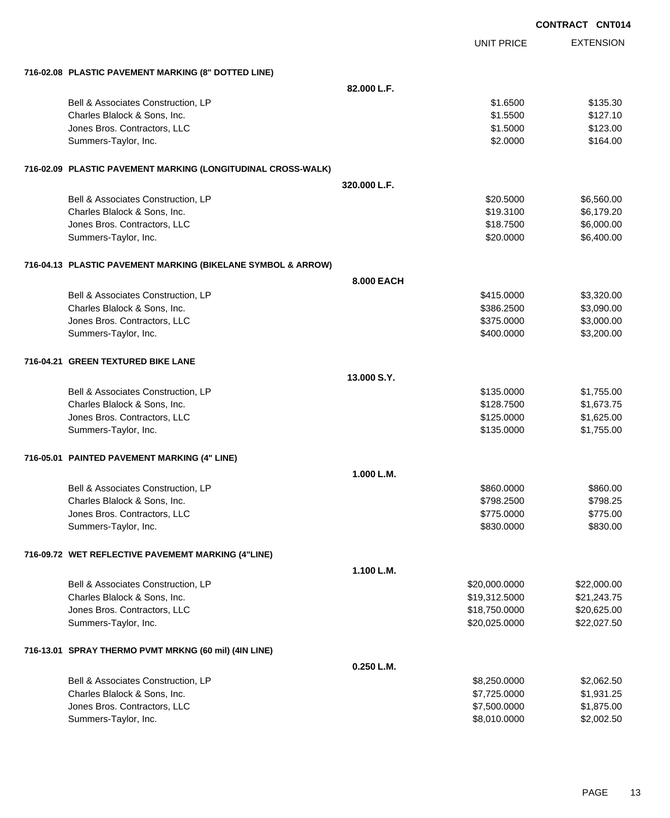|                                                              |              |                   | <b>CONTRACT CNT014</b> |
|--------------------------------------------------------------|--------------|-------------------|------------------------|
|                                                              |              | <b>UNIT PRICE</b> | <b>EXTENSION</b>       |
| 716-02.08 PLASTIC PAVEMENT MARKING (8" DOTTED LINE)          |              |                   |                        |
|                                                              | 82.000 L.F.  |                   |                        |
| Bell & Associates Construction, LP                           |              | \$1.6500          | \$135.30               |
| Charles Blalock & Sons, Inc.                                 |              | \$1.5500          | \$127.10               |
| Jones Bros. Contractors, LLC                                 |              | \$1.5000          | \$123.00               |
| Summers-Taylor, Inc.                                         |              | \$2.0000          | \$164.00               |
| 716-02.09 PLASTIC PAVEMENT MARKING (LONGITUDINAL CROSS-WALK) |              |                   |                        |
|                                                              | 320,000 L.F. |                   |                        |
| Bell & Associates Construction, LP                           |              | \$20.5000         | \$6,560.00             |
| Charles Blalock & Sons, Inc.                                 |              | \$19.3100         | \$6,179.20             |
| Jones Bros. Contractors, LLC                                 |              | \$18.7500         | \$6,000.00             |
| Summers-Taylor, Inc.                                         |              | \$20.0000         | \$6,400.00             |
| 716-04.13 PLASTIC PAVEMENT MARKING (BIKELANE SYMBOL & ARROW) |              |                   |                        |
|                                                              | 8.000 EACH   |                   |                        |
| Bell & Associates Construction, LP                           |              | \$415.0000        | \$3,320.00             |
| Charles Blalock & Sons, Inc.                                 |              | \$386.2500        | \$3,090.00             |
| Jones Bros. Contractors, LLC                                 |              | \$375.0000        | \$3,000.00             |
| Summers-Taylor, Inc.                                         |              | \$400.0000        | \$3,200.00             |
| 716-04.21 GREEN TEXTURED BIKE LANE                           |              |                   |                        |
|                                                              | 13,000 S.Y.  |                   |                        |
| Bell & Associates Construction, LP                           |              | \$135.0000        | \$1,755.00             |
| Charles Blalock & Sons, Inc.                                 |              | \$128.7500        | \$1,673.75             |
| Jones Bros. Contractors, LLC                                 |              | \$125.0000        | \$1,625.00             |
| Summers-Taylor, Inc.                                         |              | \$135.0000        | \$1,755.00             |
| 716-05.01 PAINTED PAVEMENT MARKING (4" LINE)                 |              |                   |                        |
|                                                              | 1.000 L.M    |                   |                        |
| Bell & Associates Construction, LP                           |              | \$860.0000        | \$860.00               |
| Charles Blalock & Sons, Inc.                                 |              | \$798.2500        | \$798.25               |
| Jones Bros. Contractors, LLC                                 |              | \$775.0000        | \$775.00               |
| Summers-Taylor, Inc.                                         |              | \$830.0000        | \$830.00               |
| 716-09.72 WET REFLECTIVE PAVEMEMT MARKING (4"LINE)           |              |                   |                        |
|                                                              | 1.100 L.M.   |                   |                        |
| Bell & Associates Construction, LP                           |              | \$20,000.0000     | \$22,000.00            |
| Charles Blalock & Sons, Inc.                                 |              | \$19,312.5000     | \$21,243.75            |
| Jones Bros. Contractors, LLC                                 |              | \$18,750.0000     | \$20,625.00            |
| Summers-Taylor, Inc.                                         |              | \$20,025.0000     | \$22,027.50            |
| 716-13.01 SPRAY THERMO PVMT MRKNG (60 mil) (4IN LINE)        |              |                   |                        |
|                                                              | 0.250 L.M.   |                   |                        |
| Bell & Associates Construction, LP                           |              | \$8,250.0000      | \$2,062.50             |
| Charles Blalock & Sons, Inc.                                 |              | \$7,725.0000      | \$1,931.25             |
| Jones Bros. Contractors, LLC                                 |              | \$7,500.0000      | \$1,875.00             |
| Summers-Taylor, Inc.                                         |              | \$8,010.0000      | \$2,002.50             |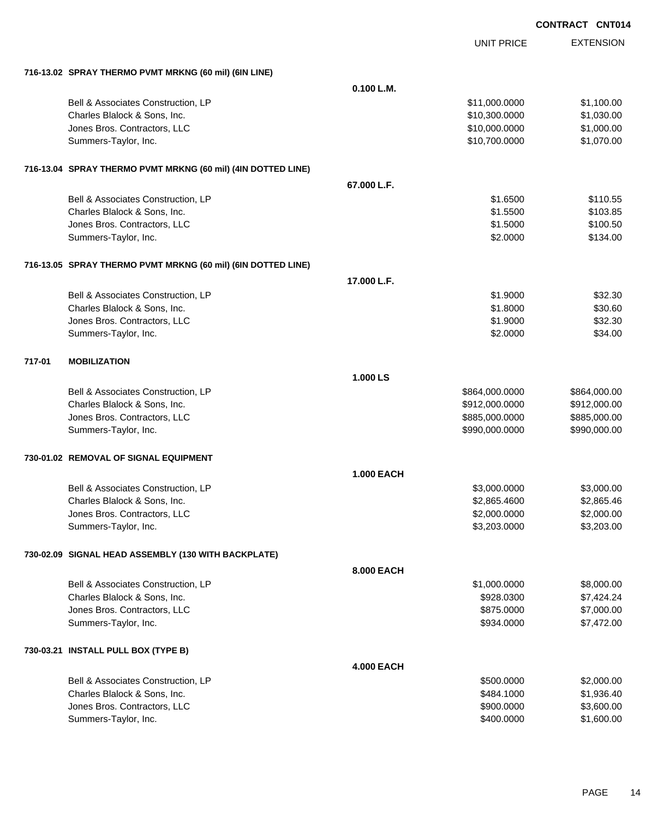|        |                                                              |                   | <b>UNIT PRICE</b> | <b>EXTENSION</b> |
|--------|--------------------------------------------------------------|-------------------|-------------------|------------------|
|        | 716-13.02 SPRAY THERMO PVMT MRKNG (60 mil) (6IN LINE)        |                   |                   |                  |
|        |                                                              | 0.100 L.M.        |                   |                  |
|        | Bell & Associates Construction, LP                           |                   | \$11,000.0000     | \$1,100.00       |
|        | Charles Blalock & Sons, Inc.                                 |                   | \$10,300.0000     | \$1,030.00       |
|        | Jones Bros. Contractors, LLC                                 |                   | \$10,000.0000     | \$1,000.00       |
|        | Summers-Taylor, Inc.                                         |                   | \$10,700.0000     | \$1,070.00       |
|        | 716-13.04 SPRAY THERMO PVMT MRKNG (60 mil) (4IN DOTTED LINE) |                   |                   |                  |
|        |                                                              | 67.000 L.F.       |                   |                  |
|        | Bell & Associates Construction, LP                           |                   | \$1,6500          | \$110.55         |
|        | Charles Blalock & Sons, Inc.                                 |                   | \$1.5500          | \$103.85         |
|        | Jones Bros. Contractors, LLC                                 |                   | \$1.5000          | \$100.50         |
|        | Summers-Taylor, Inc.                                         |                   | \$2.0000          | \$134.00         |
|        | 716-13.05 SPRAY THERMO PVMT MRKNG (60 mil) (6IN DOTTED LINE) |                   |                   |                  |
|        |                                                              | 17.000 L.F.       |                   |                  |
|        | Bell & Associates Construction, LP                           |                   | \$1.9000          | \$32.30          |
|        | Charles Blalock & Sons, Inc.                                 |                   | \$1.8000          | \$30.60          |
|        | Jones Bros. Contractors, LLC                                 |                   | \$1.9000          | \$32.30          |
|        | Summers-Taylor, Inc.                                         |                   | \$2.0000          | \$34.00          |
| 717-01 | <b>MOBILIZATION</b>                                          |                   |                   |                  |
|        |                                                              | 1.000 LS          |                   |                  |
|        | Bell & Associates Construction, LP                           |                   | \$864,000.0000    | \$864,000.00     |
|        | Charles Blalock & Sons, Inc.                                 |                   | \$912,000.0000    | \$912,000.00     |
|        | Jones Bros. Contractors, LLC                                 |                   | \$885,000.0000    | \$885,000.00     |
|        | Summers-Taylor, Inc.                                         |                   | \$990,000.0000    | \$990,000.00     |
|        | 730-01.02 REMOVAL OF SIGNAL EQUIPMENT                        |                   |                   |                  |
|        |                                                              | <b>1.000 EACH</b> |                   |                  |
|        | Bell & Associates Construction, LP                           |                   | \$3,000.0000      | \$3,000.00       |
|        | Charles Blalock & Sons, Inc.                                 |                   | \$2,865.4600      | \$2,865.46       |
|        | Jones Bros. Contractors, LLC                                 |                   | \$2,000.0000      | \$2,000.00       |
|        | Summers-Taylor, Inc.                                         |                   | \$3,203.0000      | \$3,203.00       |
|        | 730-02.09 SIGNAL HEAD ASSEMBLY (130 WITH BACKPLATE)          |                   |                   |                  |
|        |                                                              | 8.000 EACH        |                   |                  |
|        | Bell & Associates Construction, LP                           |                   | \$1,000.0000      | \$8,000.00       |
|        | Charles Blalock & Sons, Inc.                                 |                   | \$928.0300        | \$7,424.24       |
|        | Jones Bros. Contractors, LLC                                 |                   | \$875.0000        | \$7,000.00       |
|        | Summers-Taylor, Inc.                                         |                   | \$934.0000        | \$7,472.00       |
|        | 730-03.21 INSTALL PULL BOX (TYPE B)                          |                   |                   |                  |
|        |                                                              | <b>4.000 EACH</b> |                   |                  |
|        | Bell & Associates Construction, LP                           |                   | \$500.0000        | \$2,000.00       |
|        | Charles Blalock & Sons, Inc.                                 |                   | \$484.1000        | \$1,936.40       |
|        | Jones Bros. Contractors, LLC                                 |                   | \$900.0000        | \$3,600.00       |
|        | Summers-Taylor, Inc.                                         |                   | \$400.0000        | \$1,600.00       |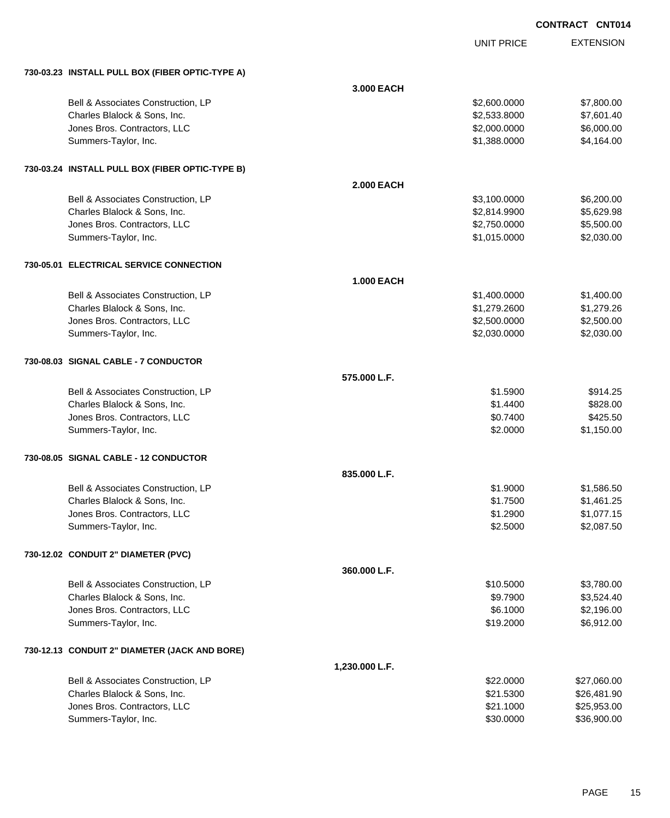| <b>CONTRACT CNT014</b> |  |
|------------------------|--|
|------------------------|--|

UNIT PRICE EXTENSION

|  |  | 730-03.23 INSTALL PULL BOX (FIBER OPTIC-TYPE A) |  |
|--|--|-------------------------------------------------|--|
|  |  |                                                 |  |

| 730-03.23 INSTALL PULL BOX (FIBER OPTIC-TYPE A) |                   |              |             |
|-------------------------------------------------|-------------------|--------------|-------------|
|                                                 | 3.000 EACH        |              |             |
| Bell & Associates Construction, LP              |                   | \$2,600.0000 | \$7,800.00  |
| Charles Blalock & Sons, Inc.                    |                   | \$2,533.8000 | \$7,601.40  |
| Jones Bros. Contractors, LLC                    |                   | \$2,000.0000 | \$6,000.00  |
| Summers-Taylor, Inc.                            |                   | \$1,388.0000 | \$4,164.00  |
| 730-03.24 INSTALL PULL BOX (FIBER OPTIC-TYPE B) |                   |              |             |
|                                                 | <b>2.000 EACH</b> |              |             |
| Bell & Associates Construction, LP              |                   | \$3,100.0000 | \$6,200.00  |
| Charles Blalock & Sons, Inc.                    |                   | \$2,814.9900 | \$5,629.98  |
| Jones Bros. Contractors, LLC                    |                   | \$2,750.0000 | \$5,500.00  |
| Summers-Taylor, Inc.                            |                   | \$1,015.0000 | \$2,030.00  |
| 730-05.01 ELECTRICAL SERVICE CONNECTION         |                   |              |             |
|                                                 | <b>1.000 EACH</b> |              |             |
| Bell & Associates Construction, LP              |                   | \$1,400.0000 | \$1,400.00  |
| Charles Blalock & Sons, Inc.                    |                   | \$1,279.2600 | \$1,279.26  |
| Jones Bros. Contractors, LLC                    |                   | \$2,500.0000 | \$2,500.00  |
| Summers-Taylor, Inc.                            |                   | \$2,030.0000 | \$2,030.00  |
| 730-08.03 SIGNAL CABLE - 7 CONDUCTOR            |                   |              |             |
|                                                 | 575,000 L.F.      |              |             |
| Bell & Associates Construction, LP              |                   | \$1.5900     | \$914.25    |
| Charles Blalock & Sons, Inc.                    |                   | \$1.4400     | \$828.00    |
| Jones Bros. Contractors, LLC                    |                   | \$0.7400     | \$425.50    |
| Summers-Taylor, Inc.                            |                   | \$2.0000     | \$1,150.00  |
| 730-08.05 SIGNAL CABLE - 12 CONDUCTOR           |                   |              |             |
|                                                 | 835.000 L.F.      |              |             |
| Bell & Associates Construction, LP              |                   | \$1.9000     | \$1,586.50  |
| Charles Blalock & Sons, Inc.                    |                   | \$1.7500     | \$1,461.25  |
| Jones Bros. Contractors, LLC                    |                   | \$1.2900     | \$1,077.15  |
| Summers-Taylor, Inc.                            |                   | \$2.5000     | \$2,087.50  |
| 730-12.02 CONDUIT 2" DIAMETER (PVC)             |                   |              |             |
|                                                 | 360.000 L.F.      |              |             |
| Bell & Associates Construction, LP              |                   | \$10.5000    | \$3,780.00  |
| Charles Blalock & Sons, Inc.                    |                   | \$9.7900     | \$3,524.40  |
| Jones Bros. Contractors, LLC                    |                   | \$6.1000     | \$2,196.00  |
| Summers-Taylor, Inc.                            |                   | \$19.2000    | \$6,912.00  |
| 730-12.13 CONDUIT 2" DIAMETER (JACK AND BORE)   |                   |              |             |
|                                                 | 1,230.000 L.F.    |              |             |
| Bell & Associates Construction, LP              |                   | \$22.0000    | \$27,060.00 |
| Charles Blalock & Sons, Inc.                    |                   | \$21.5300    | \$26,481.90 |
| Jones Bros. Contractors, LLC                    |                   | \$21.1000    | \$25,953.00 |
| Summers-Taylor, Inc.                            |                   | \$30.0000    | \$36,900.00 |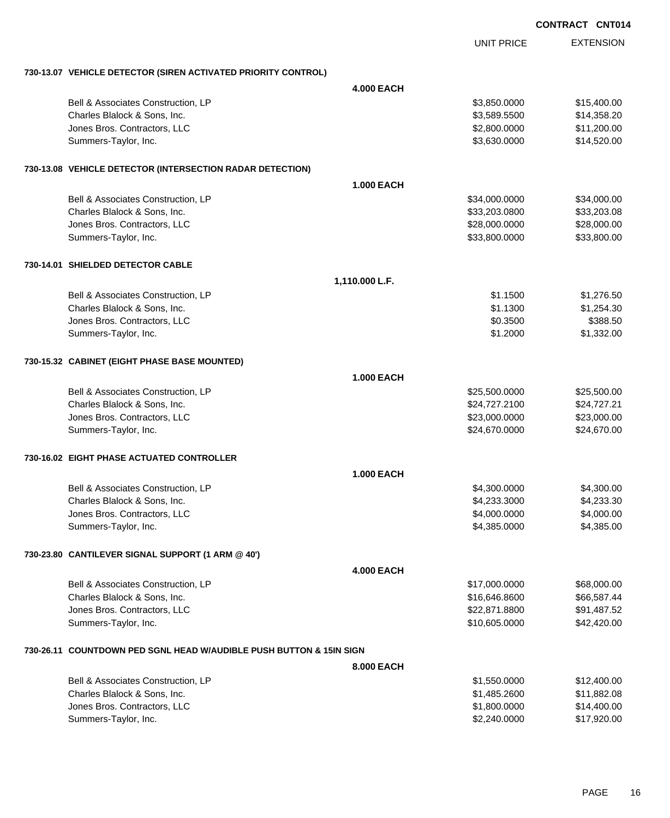|                                                                     |                   |                   | <b>CONTRACT CNT014</b> |                  |
|---------------------------------------------------------------------|-------------------|-------------------|------------------------|------------------|
|                                                                     |                   | <b>UNIT PRICE</b> |                        | <b>EXTENSION</b> |
| 730-13.07 VEHICLE DETECTOR (SIREN ACTIVATED PRIORITY CONTROL)       |                   |                   |                        |                  |
|                                                                     | <b>4.000 EACH</b> |                   |                        |                  |
| Bell & Associates Construction, LP                                  |                   | \$3,850.0000      |                        | \$15,400.00      |
| Charles Blalock & Sons, Inc.                                        |                   | \$3,589.5500      |                        | \$14,358.20      |
| Jones Bros. Contractors, LLC                                        |                   | \$2,800.0000      |                        | \$11,200.00      |
| Summers-Taylor, Inc.                                                |                   | \$3,630.0000      |                        | \$14,520.00      |
| 730-13.08 VEHICLE DETECTOR (INTERSECTION RADAR DETECTION)           |                   |                   |                        |                  |
|                                                                     | <b>1.000 EACH</b> |                   |                        |                  |
| Bell & Associates Construction, LP                                  |                   | \$34,000.0000     |                        | \$34,000.00      |
| Charles Blalock & Sons, Inc.                                        |                   | \$33,203.0800     |                        | \$33,203.08      |
| Jones Bros. Contractors, LLC                                        |                   | \$28,000.0000     |                        | \$28,000.00      |
| Summers-Taylor, Inc.                                                |                   | \$33,800.0000     |                        | \$33,800.00      |
| 730-14.01 SHIELDED DETECTOR CABLE                                   |                   |                   |                        |                  |
|                                                                     | 1,110.000 L.F.    |                   |                        |                  |
| Bell & Associates Construction, LP                                  |                   | \$1.1500          |                        | \$1,276.50       |
| Charles Blalock & Sons, Inc.                                        |                   | \$1.1300          |                        | \$1,254.30       |
| Jones Bros. Contractors, LLC                                        |                   | \$0.3500          |                        | \$388.50         |
| Summers-Taylor, Inc.                                                |                   | \$1.2000          |                        | \$1,332.00       |
| 730-15.32 CABINET (EIGHT PHASE BASE MOUNTED)                        |                   |                   |                        |                  |
|                                                                     | <b>1.000 EACH</b> |                   |                        |                  |
| Bell & Associates Construction, LP                                  |                   | \$25,500.0000     |                        | \$25,500.00      |
| Charles Blalock & Sons, Inc.                                        |                   | \$24,727.2100     |                        | \$24,727.21      |
| Jones Bros. Contractors, LLC                                        |                   | \$23,000.0000     |                        | \$23,000.00      |
| Summers-Taylor, Inc.                                                |                   | \$24,670.0000     |                        | \$24,670.00      |
| 730-16.02 EIGHT PHASE ACTUATED CONTROLLER                           |                   |                   |                        |                  |
|                                                                     | <b>1.000 EACH</b> |                   |                        |                  |
| Bell & Associates Construction, LP                                  |                   | \$4,300.0000      |                        | \$4,300.00       |
| Charles Blalock & Sons, Inc.                                        |                   | \$4,233.3000      |                        | \$4,233.30       |
| Jones Bros. Contractors, LLC                                        |                   | \$4,000.0000      |                        | \$4,000.00       |
| Summers-Taylor, Inc.                                                |                   | \$4,385.0000      |                        | \$4,385.00       |
| 730-23.80 CANTILEVER SIGNAL SUPPORT (1 ARM @ 40')                   |                   |                   |                        |                  |
|                                                                     | <b>4.000 EACH</b> |                   |                        |                  |
| Bell & Associates Construction, LP                                  |                   | \$17,000.0000     |                        | \$68,000.00      |
| Charles Blalock & Sons, Inc.                                        |                   | \$16,646.8600     |                        | \$66,587.44      |
| Jones Bros. Contractors, LLC                                        |                   | \$22,871.8800     |                        | \$91,487.52      |
| Summers-Taylor, Inc.                                                |                   | \$10,605.0000     |                        | \$42,420.00      |
| 730-26.11 COUNTDOWN PED SGNL HEAD W/AUDIBLE PUSH BUTTON & 15IN SIGN |                   |                   |                        |                  |
|                                                                     | 8.000 EACH        |                   |                        |                  |
| Bell & Associates Construction, LP                                  |                   | \$1,550.0000      |                        | \$12,400.00      |
| Charles Blalock & Sons, Inc.                                        |                   | \$1,485.2600      |                        | \$11,882.08      |
| Jones Bros. Contractors, LLC                                        |                   | \$1,800.0000      |                        | \$14,400.00      |
| Summers-Taylor, Inc.                                                |                   | \$2,240.0000      |                        | \$17,920.00      |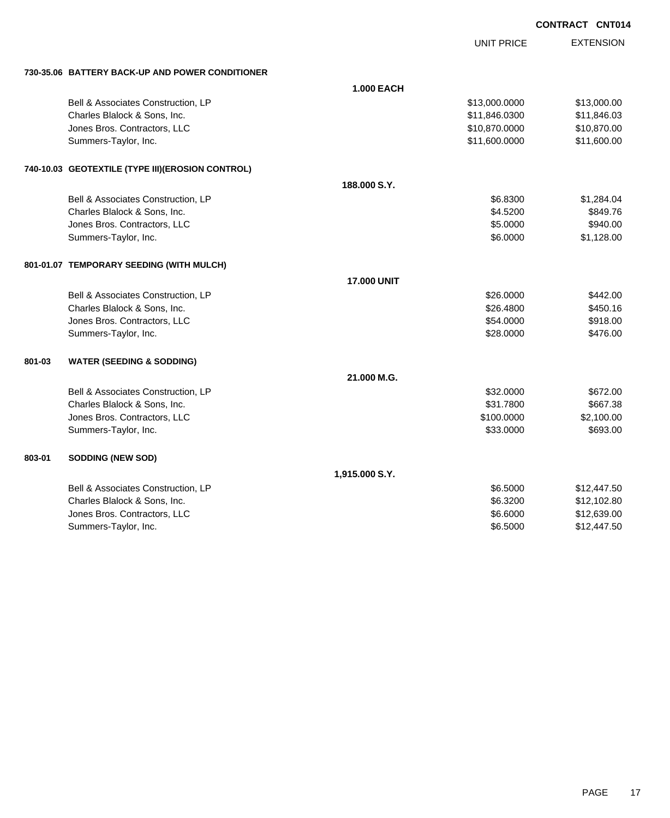UNIT PRICE

| 730-35.06 BATTERY BACK-UP AND POWER CONDITIONER |  |
|-------------------------------------------------|--|
|                                                 |  |

|        | 730-35.06 BATTERY BACK-UP AND POWER CONDITIONER   |                    |               |             |
|--------|---------------------------------------------------|--------------------|---------------|-------------|
|        |                                                   | <b>1.000 EACH</b>  |               |             |
|        | Bell & Associates Construction, LP                |                    | \$13,000.0000 | \$13,000.00 |
|        | Charles Blalock & Sons, Inc.                      |                    | \$11,846.0300 | \$11,846.03 |
|        | Jones Bros. Contractors, LLC                      |                    | \$10,870.0000 | \$10,870.00 |
|        | Summers-Taylor, Inc.                              |                    | \$11,600.0000 | \$11,600.00 |
|        | 740-10.03 GEOTEXTILE (TYPE III) (EROSION CONTROL) |                    |               |             |
|        |                                                   | 188.000 S.Y.       |               |             |
|        | Bell & Associates Construction, LP                |                    | \$6.8300      | \$1,284.04  |
|        | Charles Blalock & Sons, Inc.                      |                    | \$4.5200      | \$849.76    |
|        | Jones Bros. Contractors, LLC                      |                    | \$5.0000      | \$940.00    |
|        | Summers-Taylor, Inc.                              |                    | \$6.0000      | \$1,128.00  |
|        | 801-01.07 TEMPORARY SEEDING (WITH MULCH)          |                    |               |             |
|        |                                                   | <b>17.000 UNIT</b> |               |             |
|        | Bell & Associates Construction, LP                |                    | \$26.0000     | \$442.00    |
|        | Charles Blalock & Sons, Inc.                      |                    | \$26.4800     | \$450.16    |
|        | Jones Bros. Contractors, LLC                      |                    | \$54.0000     | \$918.00    |
|        | Summers-Taylor, Inc.                              |                    | \$28.0000     | \$476.00    |
| 801-03 | <b>WATER (SEEDING &amp; SODDING)</b>              |                    |               |             |
|        |                                                   | 21.000 M.G.        |               |             |
|        | Bell & Associates Construction, LP                |                    | \$32.0000     | \$672.00    |
|        | Charles Blalock & Sons, Inc.                      |                    | \$31.7800     | \$667.38    |
|        | Jones Bros. Contractors, LLC                      |                    | \$100.0000    | \$2,100.00  |
|        | Summers-Taylor, Inc.                              |                    | \$33.0000     | \$693.00    |
| 803-01 | <b>SODDING (NEW SOD)</b>                          |                    |               |             |
|        |                                                   | 1,915.000 S.Y.     |               |             |
|        | Bell & Associates Construction, LP                |                    | \$6.5000      | \$12,447.50 |
|        | Charles Blalock & Sons, Inc.                      |                    | \$6.3200      | \$12,102.80 |
|        | Jones Bros. Contractors, LLC                      |                    | \$6.6000      | \$12,639.00 |
|        | Summers-Taylor, Inc.                              |                    | \$6.5000      | \$12,447.50 |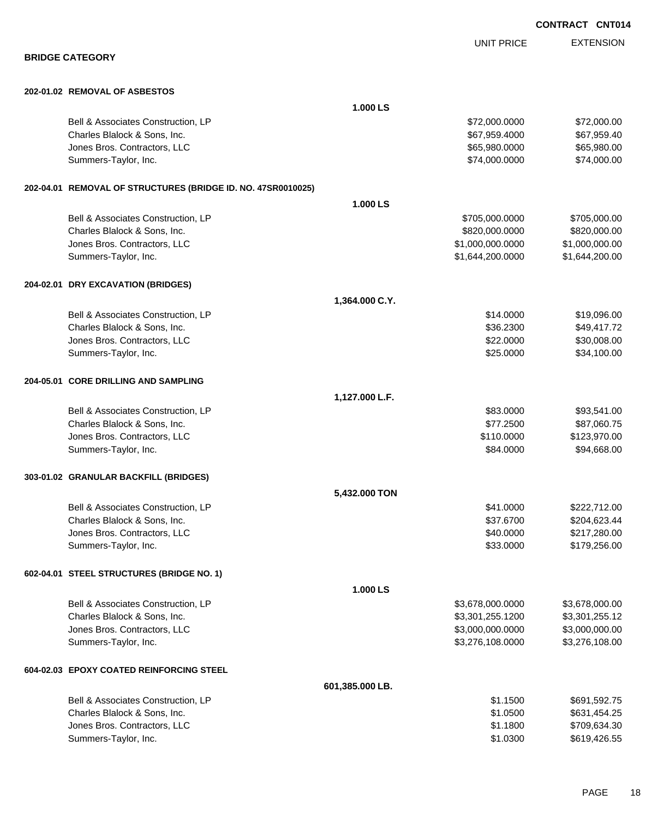|                                                              |                 |                   | <b>CONTRACT CNT014</b> |                  |
|--------------------------------------------------------------|-----------------|-------------------|------------------------|------------------|
|                                                              |                 | <b>UNIT PRICE</b> |                        | <b>EXTENSION</b> |
| <b>BRIDGE CATEGORY</b>                                       |                 |                   |                        |                  |
| 202-01.02 REMOVAL OF ASBESTOS                                |                 |                   |                        |                  |
|                                                              | 1.000 LS        |                   |                        |                  |
| Bell & Associates Construction, LP                           |                 | \$72,000.0000     |                        | \$72,000.00      |
| Charles Blalock & Sons, Inc.                                 |                 | \$67,959.4000     |                        | \$67,959.40      |
| Jones Bros. Contractors, LLC                                 |                 | \$65,980.0000     |                        | \$65,980.00      |
| Summers-Taylor, Inc.                                         |                 | \$74,000.0000     |                        | \$74,000.00      |
| 202-04.01 REMOVAL OF STRUCTURES (BRIDGE ID. NO. 47SR0010025) |                 |                   |                        |                  |
|                                                              | 1.000 LS        |                   |                        |                  |
| Bell & Associates Construction, LP                           |                 | \$705,000.0000    |                        | \$705,000.00     |
| Charles Blalock & Sons, Inc.                                 |                 | \$820,000.0000    |                        | \$820,000.00     |
| Jones Bros. Contractors, LLC                                 |                 | \$1,000,000.0000  |                        | \$1,000,000.00   |
| Summers-Taylor, Inc.                                         |                 | \$1,644,200.0000  |                        | \$1,644,200.00   |
| 204-02.01 DRY EXCAVATION (BRIDGES)                           |                 |                   |                        |                  |
|                                                              | 1,364.000 C.Y.  |                   |                        |                  |
| Bell & Associates Construction, LP                           |                 | \$14.0000         |                        | \$19,096.00      |
| Charles Blalock & Sons, Inc.                                 |                 | \$36.2300         |                        | \$49,417.72      |
| Jones Bros. Contractors, LLC                                 |                 | \$22.0000         |                        | \$30,008.00      |
| Summers-Taylor, Inc.                                         |                 | \$25.0000         |                        | \$34,100.00      |
| 204-05.01 CORE DRILLING AND SAMPLING                         |                 |                   |                        |                  |
|                                                              | 1,127.000 L.F.  |                   |                        |                  |
| Bell & Associates Construction, LP                           |                 | \$83.0000         |                        | \$93,541.00      |
| Charles Blalock & Sons, Inc.                                 |                 | \$77.2500         |                        | \$87,060.75      |
| Jones Bros. Contractors, LLC                                 |                 | \$110.0000        |                        | \$123,970.00     |
| Summers-Taylor, Inc.                                         |                 | \$84.0000         |                        | \$94,668.00      |
| 303-01.02 GRANULAR BACKFILL (BRIDGES)                        |                 |                   |                        |                  |
|                                                              | 5,432.000 TON   |                   |                        |                  |
| Bell & Associates Construction, LP                           |                 | \$41.0000         |                        | \$222,712.00     |
| Charles Blalock & Sons, Inc.                                 |                 | \$37.6700         |                        | \$204,623.44     |
| Jones Bros. Contractors, LLC                                 |                 | \$40.0000         |                        | \$217,280.00     |
| Summers-Taylor, Inc.                                         |                 | \$33.0000         |                        | \$179,256.00     |
| 602-04.01 STEEL STRUCTURES (BRIDGE NO. 1)                    |                 |                   |                        |                  |
|                                                              | 1.000 LS        |                   |                        |                  |
| Bell & Associates Construction, LP                           |                 | \$3,678,000.0000  |                        | \$3,678,000.00   |
| Charles Blalock & Sons, Inc.                                 |                 | \$3,301,255.1200  |                        | \$3,301,255.12   |
| Jones Bros. Contractors, LLC                                 |                 | \$3,000,000.0000  |                        | \$3,000,000.00   |
| Summers-Taylor, Inc.                                         |                 | \$3,276,108.0000  |                        | \$3,276,108.00   |
| 604-02.03 EPOXY COATED REINFORCING STEEL                     |                 |                   |                        |                  |
|                                                              | 601,385.000 LB. |                   |                        |                  |
| Bell & Associates Construction, LP                           |                 | \$1.1500          |                        | \$691,592.75     |
| Charles Blalock & Sons, Inc.                                 |                 | \$1.0500          |                        | \$631,454.25     |
| Jones Bros. Contractors, LLC                                 |                 | \$1.1800          |                        | \$709,634.30     |

Summers-Taylor, Inc. 6619,426.55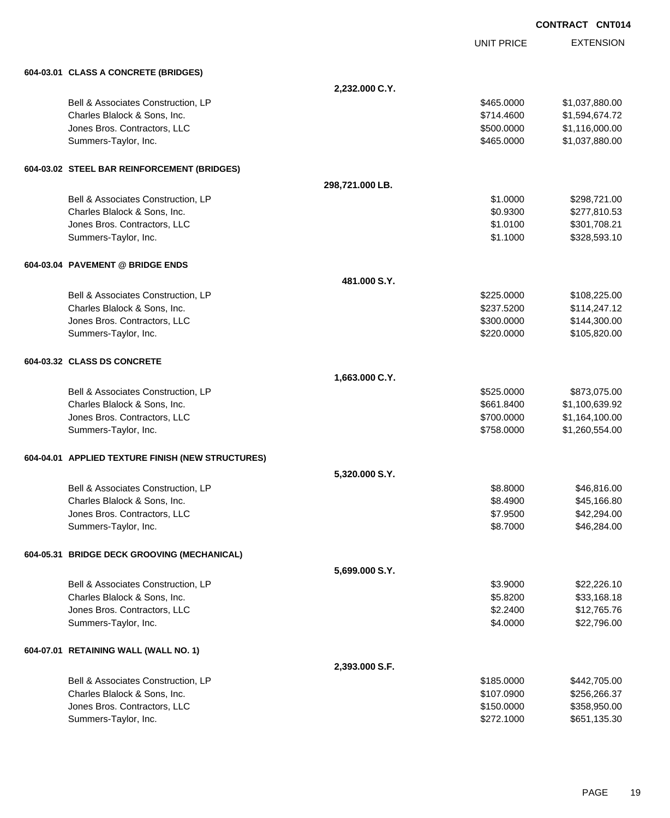|                                                   |                 |                   | <b>CONTRACT CNT014</b> |
|---------------------------------------------------|-----------------|-------------------|------------------------|
|                                                   |                 | <b>UNIT PRICE</b> | <b>EXTENSION</b>       |
| 604-03.01 CLASS A CONCRETE (BRIDGES)              |                 |                   |                        |
|                                                   | 2,232.000 C.Y.  |                   |                        |
| Bell & Associates Construction, LP                |                 | \$465.0000        | \$1,037,880.00         |
| Charles Blalock & Sons, Inc.                      |                 | \$714.4600        | \$1,594,674.72         |
| Jones Bros. Contractors, LLC                      |                 | \$500.0000        | \$1,116,000.00         |
| Summers-Taylor, Inc.                              |                 | \$465.0000        | \$1,037,880.00         |
| 604-03.02 STEEL BAR REINFORCEMENT (BRIDGES)       |                 |                   |                        |
|                                                   | 298,721.000 LB. |                   |                        |
| Bell & Associates Construction, LP                |                 | \$1.0000          | \$298,721.00           |
| Charles Blalock & Sons, Inc.                      |                 | \$0.9300          | \$277,810.53           |
| Jones Bros. Contractors, LLC                      |                 | \$1.0100          | \$301,708.21           |
| Summers-Taylor, Inc.                              |                 | \$1.1000          | \$328,593.10           |
| 604-03.04 PAVEMENT @ BRIDGE ENDS                  |                 |                   |                        |
|                                                   | 481,000 S.Y.    |                   |                        |
| Bell & Associates Construction, LP                |                 | \$225,0000        | \$108,225.00           |
| Charles Blalock & Sons, Inc.                      |                 | \$237.5200        | \$114,247.12           |
| Jones Bros. Contractors, LLC                      |                 | \$300.0000        | \$144,300.00           |
| Summers-Taylor, Inc.                              |                 | \$220.0000        | \$105,820.00           |
| 604-03.32 CLASS DS CONCRETE                       |                 |                   |                        |
|                                                   | 1,663.000 C.Y.  |                   |                        |
| Bell & Associates Construction, LP                |                 | \$525.0000        | \$873,075.00           |
| Charles Blalock & Sons, Inc.                      |                 | \$661.8400        | \$1,100,639.92         |
| Jones Bros. Contractors, LLC                      |                 | \$700.0000        | \$1,164,100.00         |
| Summers-Taylor, Inc.                              |                 | \$758,0000        | \$1,260,554.00         |
| 604-04.01 APPLIED TEXTURE FINISH (NEW STRUCTURES) |                 |                   |                        |
|                                                   | 5,320.000 S.Y.  |                   |                        |
| Bell & Associates Construction, LP                |                 | \$8.8000          | \$46,816.00            |
| Charles Blalock & Sons, Inc.                      |                 | \$8.4900          | \$45,166.80            |
| Jones Bros. Contractors, LLC                      |                 | \$7.9500          | \$42,294.00            |
| Summers-Taylor, Inc.                              |                 | \$8.7000          | \$46,284.00            |
| 604-05.31 BRIDGE DECK GROOVING (MECHANICAL)       |                 |                   |                        |
|                                                   | 5,699.000 S.Y.  |                   |                        |
| Bell & Associates Construction, LP                |                 | \$3.9000          | \$22,226.10            |
| Charles Blalock & Sons, Inc.                      |                 | \$5.8200          | \$33,168.18            |
| Jones Bros. Contractors, LLC                      |                 | \$2.2400          | \$12,765.76            |
| Summers-Taylor, Inc.                              |                 | \$4.0000          | \$22,796.00            |
| 604-07.01 RETAINING WALL (WALL NO. 1)             |                 |                   |                        |
|                                                   | 2,393.000 S.F.  |                   |                        |
| Bell & Associates Construction, LP                |                 | \$185.0000        | \$442,705.00           |
| Charles Blalock & Sons, Inc.                      |                 | \$107.0900        | \$256,266.37           |
| Jones Bros. Contractors, LLC                      |                 | \$150.0000        | \$358,950.00           |
| Summers-Taylor, Inc.                              |                 | \$272.1000        | \$651,135.30           |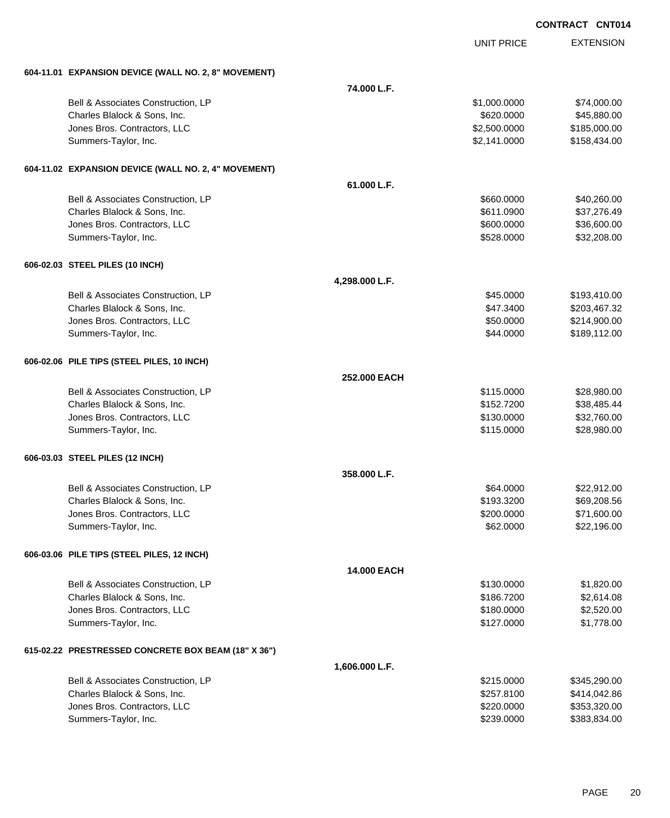|                                                      |                |                   | <b>UUNIRAUI</b><br><b>UNIVI</b> |
|------------------------------------------------------|----------------|-------------------|---------------------------------|
|                                                      |                | <b>UNIT PRICE</b> | <b>EXTENSION</b>                |
| 604-11.01 EXPANSION DEVICE (WALL NO. 2, 8" MOVEMENT) |                |                   |                                 |
|                                                      | 74.000 L.F.    |                   |                                 |
| Bell & Associates Construction, LP                   |                | \$1,000.0000      | \$74,000.00                     |
| Charles Blalock & Sons, Inc.                         |                | \$620.0000        | \$45,880.00                     |
| Jones Bros. Contractors, LLC                         |                | \$2,500.0000      | \$185,000.00                    |
| Summers-Taylor, Inc.                                 |                | \$2,141.0000      | \$158,434.00                    |
| 604-11.02 EXPANSION DEVICE (WALL NO. 2, 4" MOVEMENT) |                |                   |                                 |
|                                                      | 61.000 L.F.    |                   |                                 |
| Bell & Associates Construction, LP                   |                | \$660.0000        | \$40,260.00                     |
| Charles Blalock & Sons, Inc.                         |                | \$611.0900        | \$37,276.49                     |
| Jones Bros. Contractors, LLC                         |                | \$600.0000        | \$36,600.00                     |
| Summers-Taylor, Inc.                                 |                | \$528.0000        | \$32,208.00                     |
| 606-02.03 STEEL PILES (10 INCH)                      |                |                   |                                 |
|                                                      | 4,298.000 L.F. |                   |                                 |
| Bell & Associates Construction, LP                   |                | \$45.0000         | \$193,410.00                    |
| Charles Blalock & Sons, Inc.                         |                | \$47.3400         | \$203,467.32                    |
| Jones Bros. Contractors, LLC                         |                | \$50.0000         | \$214,900.00                    |
| Summers-Taylor, Inc.                                 |                | \$44.0000         | \$189,112.00                    |
| 606-02.06 PILE TIPS (STEEL PILES, 10 INCH)           |                |                   |                                 |
|                                                      | 252.000 EACH   |                   |                                 |
| Bell & Associates Construction, LP                   |                | \$115.0000        | \$28,980.00                     |
| Charles Blalock & Sons, Inc.                         |                | \$152.7200        | \$38,485.44                     |
| Jones Bros. Contractors, LLC                         |                | \$130.0000        | \$32,760.00                     |
| Summers-Taylor, Inc.                                 |                | \$115.0000        | \$28,980.00                     |
| 606-03.03 STEEL PILES (12 INCH)                      |                |                   |                                 |
|                                                      | 358.000 L.F.   |                   |                                 |
| Bell & Associates Construction, LP                   |                | \$64.0000         | \$22,912.00                     |
| Charles Blalock & Sons, Inc.                         |                | \$193.3200        | \$69,208.56                     |
| Jones Bros. Contractors, LLC                         |                | \$200.0000        | \$71,600.00                     |
| Summers-Taylor, Inc.                                 |                | \$62.0000         | \$22,196.00                     |
| 606-03.06 PILE TIPS (STEEL PILES, 12 INCH)           |                |                   |                                 |
|                                                      | 14.000 EACH    |                   |                                 |
| Bell & Associates Construction, LP                   |                | \$130.0000        | \$1,820.00                      |
| Charles Blalock & Sons, Inc.                         |                | \$186.7200        | \$2,614.08                      |
| Jones Bros. Contractors, LLC                         |                | \$180.0000        | \$2,520.00                      |
| Summers-Taylor, Inc.                                 |                | \$127.0000        | \$1,778.00                      |
| 615-02.22 PRESTRESSED CONCRETE BOX BEAM (18" X 36")  |                |                   |                                 |
|                                                      | 1,606.000 L.F. |                   |                                 |
| Bell & Associates Construction, LP                   |                | \$215.0000        | \$345,290.00                    |

| Bell & Associates Construction. LP | \$215,0000 | \$345.290.00 |
|------------------------------------|------------|--------------|
| Charles Blalock & Sons, Inc.       | \$257.8100 | \$414.042.86 |
| Jones Bros, Contractors, LLC       | \$220,0000 | \$353.320.00 |
| Summers-Taylor, Inc.               | \$239,0000 | \$383.834.00 |
|                                    |            |              |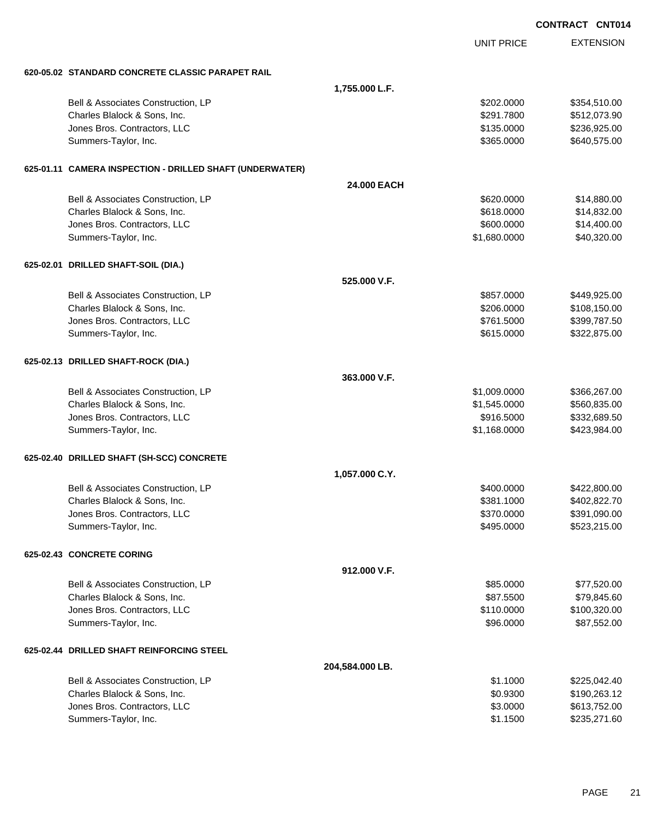|                                                          |                 |                   | <b>CONTRACT CNT014</b> |
|----------------------------------------------------------|-----------------|-------------------|------------------------|
|                                                          |                 | <b>UNIT PRICE</b> | <b>EXTENSION</b>       |
| 620-05.02 STANDARD CONCRETE CLASSIC PARAPET RAIL         |                 |                   |                        |
|                                                          | 1,755.000 L.F.  |                   |                        |
| Bell & Associates Construction, LP                       |                 | \$202.0000        | \$354,510.00           |
| Charles Blalock & Sons, Inc.                             |                 | \$291.7800        | \$512,073.90           |
| Jones Bros. Contractors, LLC                             |                 | \$135.0000        | \$236,925.00           |
| Summers-Taylor, Inc.                                     |                 | \$365.0000        | \$640,575.00           |
| 625-01.11 CAMERA INSPECTION - DRILLED SHAFT (UNDERWATER) |                 |                   |                        |
|                                                          | 24.000 EACH     |                   |                        |
| Bell & Associates Construction, LP                       |                 | \$620.0000        | \$14,880.00            |
| Charles Blalock & Sons, Inc.                             |                 | \$618.0000        | \$14,832.00            |
| Jones Bros. Contractors, LLC                             |                 | \$600.0000        | \$14,400.00            |
| Summers-Taylor, Inc.                                     |                 | \$1,680.0000      | \$40,320.00            |
| 625-02.01 DRILLED SHAFT-SOIL (DIA.)                      |                 |                   |                        |
|                                                          | 525,000 V.F.    |                   |                        |
| Bell & Associates Construction, LP                       |                 | \$857.0000        | \$449,925.00           |
| Charles Blalock & Sons, Inc.                             |                 | \$206.0000        | \$108,150.00           |
| Jones Bros. Contractors, LLC                             |                 | \$761.5000        | \$399,787.50           |
| Summers-Taylor, Inc.                                     |                 | \$615.0000        | \$322,875.00           |
| 625-02.13 DRILLED SHAFT-ROCK (DIA.)                      |                 |                   |                        |
|                                                          | 363,000 V.F.    |                   |                        |
| Bell & Associates Construction, LP                       |                 | \$1,009.0000      | \$366,267.00           |
| Charles Blalock & Sons, Inc.                             |                 | \$1,545.0000      | \$560,835.00           |
| Jones Bros. Contractors, LLC                             |                 | \$916.5000        | \$332,689.50           |
| Summers-Taylor, Inc.                                     |                 | \$1,168.0000      | \$423,984.00           |
| 625-02.40 DRILLED SHAFT (SH-SCC) CONCRETE                |                 |                   |                        |
|                                                          | 1,057.000 C.Y.  |                   |                        |
| Bell & Associates Construction, LP                       |                 | \$400.0000        | \$422,800.00           |
| Charles Blalock & Sons, Inc.                             |                 | \$381.1000        | \$402,822.70           |
| Jones Bros. Contractors, LLC                             |                 | \$370.0000        | \$391,090.00           |
| Summers-Taylor, Inc.                                     |                 | \$495.0000        | \$523,215.00           |
| 625-02.43 CONCRETE CORING                                |                 |                   |                        |
|                                                          | 912.000 V.F.    |                   |                        |
| Bell & Associates Construction, LP                       |                 | \$85.0000         | \$77,520.00            |
| Charles Blalock & Sons, Inc.                             |                 | \$87.5500         | \$79,845.60            |
| Jones Bros. Contractors, LLC                             |                 | \$110.0000        | \$100,320.00           |
| Summers-Taylor, Inc.                                     |                 | \$96.0000         | \$87,552.00            |
| 625-02.44 DRILLED SHAFT REINFORCING STEEL                |                 |                   |                        |
|                                                          | 204,584.000 LB. |                   |                        |
| Bell & Associates Construction, LP                       |                 | \$1.1000          | \$225,042.40           |
| Charles Blalock & Sons, Inc.                             |                 | \$0.9300          | \$190,263.12           |
| Jones Bros. Contractors, LLC                             |                 | \$3.0000          | \$613,752.00           |
| Summers-Taylor, Inc.                                     |                 | \$1.1500          | \$235,271.60           |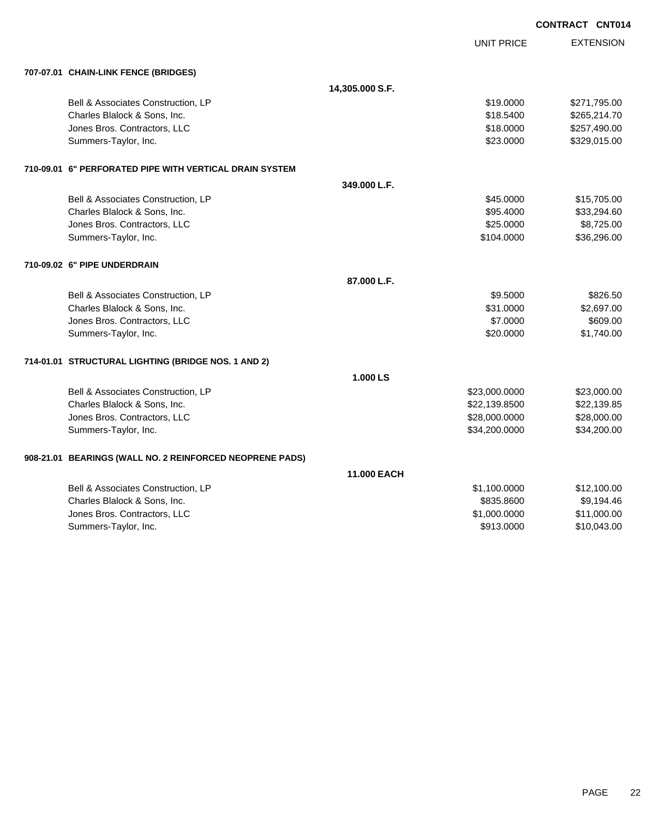|                                                          |                    |               | <b>CONTRACT CNT014</b> |
|----------------------------------------------------------|--------------------|---------------|------------------------|
|                                                          |                    | UNIT PRICE    | <b>EXTENSION</b>       |
| 707-07.01 CHAIN-LINK FENCE (BRIDGES)                     |                    |               |                        |
|                                                          | 14,305.000 S.F.    |               |                        |
| Bell & Associates Construction, LP                       |                    | \$19,0000     | \$271,795.00           |
| Charles Blalock & Sons, Inc.                             |                    | \$18,5400     | \$265,214.70           |
| Jones Bros. Contractors, LLC                             |                    | \$18.0000     | \$257,490.00           |
| Summers-Taylor, Inc.                                     |                    | \$23.0000     | \$329,015.00           |
| 710-09.01 6" PERFORATED PIPE WITH VERTICAL DRAIN SYSTEM  |                    |               |                        |
|                                                          | 349.000 L.F.       |               |                        |
| Bell & Associates Construction, LP                       |                    | \$45.0000     | \$15,705.00            |
| Charles Blalock & Sons, Inc.                             |                    | \$95.4000     | \$33,294.60            |
| Jones Bros. Contractors, LLC                             |                    | \$25.0000     | \$8,725.00             |
| Summers-Taylor, Inc.                                     |                    | \$104.0000    | \$36,296.00            |
| 710-09.02 6" PIPE UNDERDRAIN                             |                    |               |                        |
|                                                          | 87.000 L.F.        |               |                        |
| Bell & Associates Construction, LP                       |                    | \$9.5000      | \$826.50               |
| Charles Blalock & Sons, Inc.                             |                    | \$31.0000     | \$2,697.00             |
| Jones Bros. Contractors, LLC                             |                    | \$7.0000      | \$609.00               |
| Summers-Taylor, Inc.                                     |                    | \$20,0000     | \$1,740.00             |
| 714-01.01 STRUCTURAL LIGHTING (BRIDGE NOS. 1 AND 2)      |                    |               |                        |
|                                                          | 1.000 LS           |               |                        |
| Bell & Associates Construction, LP                       |                    | \$23,000.0000 | \$23,000.00            |
| Charles Blalock & Sons, Inc.                             |                    | \$22,139.8500 | \$22,139.85            |
| Jones Bros. Contractors, LLC                             |                    | \$28,000.0000 | \$28,000.00            |
| Summers-Taylor, Inc.                                     |                    | \$34,200.0000 | \$34,200.00            |
| 908-21.01 BEARINGS (WALL NO. 2 REINFORCED NEOPRENE PADS) |                    |               |                        |
|                                                          | <b>11.000 EACH</b> |               |                        |
| Bell & Associates Construction, LP                       |                    | \$1,100.0000  | \$12,100.00            |
| Charles Blalock & Sons, Inc.                             |                    | \$835.8600    | \$9,194.46             |
| Jones Bros. Contractors, LLC                             |                    | \$1,000.0000  | \$11,000.00            |
| Summers-Taylor, Inc.                                     |                    | \$913.0000    | \$10,043.00            |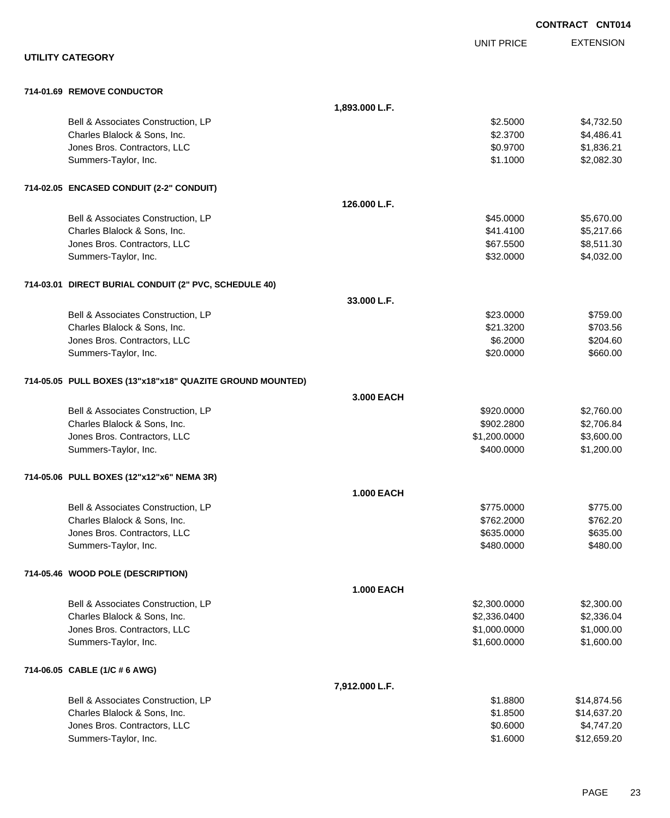|                                                           |                   |                   | <b>CONTRACT CNT014</b> |
|-----------------------------------------------------------|-------------------|-------------------|------------------------|
|                                                           |                   | <b>UNIT PRICE</b> | <b>EXTENSION</b>       |
| <b>UTILITY CATEGORY</b>                                   |                   |                   |                        |
| 714-01.69 REMOVE CONDUCTOR                                |                   |                   |                        |
|                                                           | 1,893.000 L.F.    |                   |                        |
| Bell & Associates Construction, LP                        |                   | \$2.5000          | \$4,732.50             |
| Charles Blalock & Sons, Inc.                              |                   | \$2.3700          | \$4,486.41             |
| Jones Bros. Contractors, LLC                              |                   | \$0.9700          | \$1,836.21             |
| Summers-Taylor, Inc.                                      |                   | \$1.1000          | \$2,082.30             |
| 714-02.05 ENCASED CONDUIT (2-2" CONDUIT)                  |                   |                   |                        |
|                                                           | 126,000 L.F.      |                   |                        |
| Bell & Associates Construction, LP                        |                   | \$45.0000         | \$5,670.00             |
| Charles Blalock & Sons, Inc.                              |                   | \$41.4100         | \$5,217.66             |
| Jones Bros. Contractors, LLC                              |                   | \$67.5500         | \$8,511.30             |
| Summers-Taylor, Inc.                                      |                   | \$32.0000         | \$4,032.00             |
| 714-03.01 DIRECT BURIAL CONDUIT (2" PVC, SCHEDULE 40)     |                   |                   |                        |
|                                                           | 33.000 L.F.       |                   |                        |
| Bell & Associates Construction, LP                        |                   | \$23.0000         | \$759.00               |
| Charles Blalock & Sons, Inc.                              |                   | \$21.3200         | \$703.56               |
| Jones Bros. Contractors, LLC                              |                   | \$6.2000          | \$204.60               |
| Summers-Taylor, Inc.                                      |                   | \$20.0000         | \$660.00               |
| 714-05.05 PULL BOXES (13"x18"x18" QUAZITE GROUND MOUNTED) |                   |                   |                        |
|                                                           | 3.000 EACH        |                   |                        |
| Bell & Associates Construction, LP                        |                   | \$920.0000        | \$2,760.00             |
| Charles Blalock & Sons, Inc.                              |                   | \$902.2800        | \$2,706.84             |
| Jones Bros. Contractors, LLC                              |                   | \$1,200.0000      | \$3,600.00             |
| Summers-Taylor, Inc.                                      |                   | \$400.0000        | \$1,200.00             |
| 714-05.06 PULL BOXES (12"x12"x6" NEMA 3R)                 |                   |                   |                        |
|                                                           | <b>1.000 EACH</b> |                   |                        |
| Bell & Associates Construction, LP                        |                   | \$775.0000        | \$775.00               |
| Charles Blalock & Sons, Inc.                              |                   | \$762.2000        | \$762.20               |
| Jones Bros. Contractors, LLC                              |                   | \$635.0000        | \$635.00               |
| Summers-Taylor, Inc.                                      |                   | \$480.0000        | \$480.00               |
| 714-05.46 WOOD POLE (DESCRIPTION)                         |                   |                   |                        |
|                                                           | <b>1.000 EACH</b> |                   |                        |
| Bell & Associates Construction, LP                        |                   | \$2,300.0000      | \$2,300.00             |
| Charles Blalock & Sons, Inc.                              |                   | \$2,336.0400      | \$2,336.04             |
| Jones Bros. Contractors, LLC                              |                   | \$1,000.0000      | \$1,000.00             |
| Summers-Taylor, Inc.                                      |                   | \$1,600.0000      | \$1,600.00             |
| 714-06.05 CABLE (1/C # 6 AWG)                             |                   |                   |                        |
|                                                           | 7,912.000 L.F.    |                   |                        |
| Bell & Associates Construction, LP                        |                   | \$1.8800          | \$14,874.56            |
| Charles Blalock & Sons, Inc.                              |                   | \$1.8500          | \$14,637.20            |
| Jones Bros. Contractors, LLC                              |                   | \$0.6000          | \$4,747.20             |
| Summers-Taylor, Inc.                                      |                   | \$1.6000          | \$12,659.20            |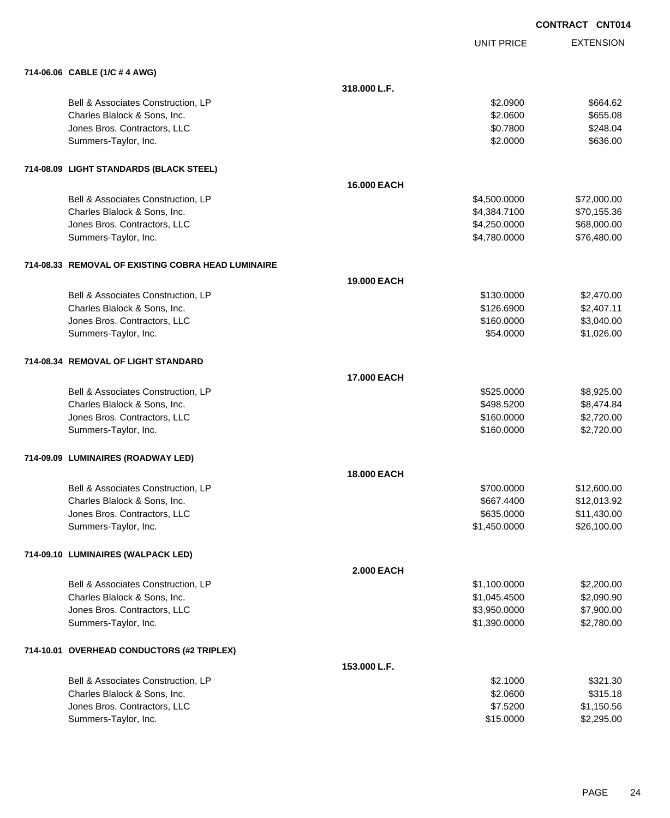|                                                    |                    |                   | <b>CONTRACT CNT014</b> |
|----------------------------------------------------|--------------------|-------------------|------------------------|
|                                                    |                    | <b>UNIT PRICE</b> | <b>EXTENSION</b>       |
| 714-06.06 CABLE (1/C # 4 AWG)                      |                    |                   |                        |
|                                                    | 318.000 L.F.       |                   |                        |
| Bell & Associates Construction, LP                 |                    | \$2.0900          | \$664.62               |
| Charles Blalock & Sons, Inc.                       |                    | \$2.0600          | \$655.08               |
| Jones Bros. Contractors, LLC                       |                    | \$0.7800          | \$248.04               |
| Summers-Taylor, Inc.                               |                    | \$2.0000          | \$636.00               |
| 714-08.09 LIGHT STANDARDS (BLACK STEEL)            |                    |                   |                        |
|                                                    | <b>16,000 EACH</b> |                   |                        |
| Bell & Associates Construction, LP                 |                    | \$4,500.0000      | \$72,000.00            |
| Charles Blalock & Sons, Inc.                       |                    | \$4,384.7100      | \$70,155.36            |
| Jones Bros. Contractors, LLC                       |                    | \$4,250.0000      | \$68,000.00            |
| Summers-Taylor, Inc.                               |                    | \$4,780.0000      | \$76,480.00            |
| 714-08.33 REMOVAL OF EXISTING COBRA HEAD LUMINAIRE |                    |                   |                        |
|                                                    | <b>19,000 EACH</b> |                   |                        |
| Bell & Associates Construction, LP                 |                    | \$130,0000        | \$2,470.00             |
| Charles Blalock & Sons, Inc.                       |                    | \$126.6900        | \$2,407.11             |
| Jones Bros. Contractors, LLC                       |                    | \$160.0000        | \$3,040.00             |
| Summers-Taylor, Inc.                               |                    | \$54.0000         | \$1,026.00             |
| 714-08.34 REMOVAL OF LIGHT STANDARD                |                    |                   |                        |
|                                                    | <b>17.000 EACH</b> |                   |                        |
| Bell & Associates Construction, LP                 |                    | \$525.0000        | \$8,925.00             |
| Charles Blalock & Sons, Inc.                       |                    | \$498.5200        | \$8,474.84             |
| Jones Bros. Contractors, LLC                       |                    | \$160.0000        | \$2,720.00             |
| Summers-Taylor, Inc.                               |                    | \$160.0000        | \$2,720.00             |
| 714-09.09 LUMINAIRES (ROADWAY LED)                 |                    |                   |                        |
|                                                    | 18.000 EACH        |                   |                        |
| Bell & Associates Construction, LP                 |                    | \$700.0000        | \$12,600.00            |
| Charles Blalock & Sons, Inc.                       |                    | \$667.4400        | \$12,013.92            |
| Jones Bros. Contractors, LLC                       |                    | \$635.0000        | \$11,430.00            |
| Summers-Taylor, Inc.                               |                    | \$1,450.0000      | \$26,100.00            |
| 714-09.10 LUMINAIRES (WALPACK LED)                 |                    |                   |                        |
|                                                    | <b>2.000 EACH</b>  |                   |                        |
| Bell & Associates Construction, LP                 |                    | \$1,100.0000      | \$2,200.00             |
| Charles Blalock & Sons, Inc.                       |                    | \$1,045.4500      | \$2,090.90             |
| Jones Bros. Contractors, LLC                       |                    | \$3,950.0000      | \$7,900.00             |
| Summers-Taylor, Inc.                               |                    | \$1,390.0000      | \$2,780.00             |
| 714-10.01 OVERHEAD CONDUCTORS (#2 TRIPLEX)         |                    |                   |                        |
|                                                    | 153.000 L.F.       |                   |                        |
| Bell & Associates Construction, LP                 |                    | \$2.1000          | \$321.30               |
| Charles Blalock & Sons, Inc.                       |                    | \$2.0600          | \$315.18               |
| Jones Bros. Contractors, LLC                       |                    | \$7.5200          | \$1,150.56             |
| Summers-Taylor, Inc.                               |                    | \$15.0000         | \$2,295.00             |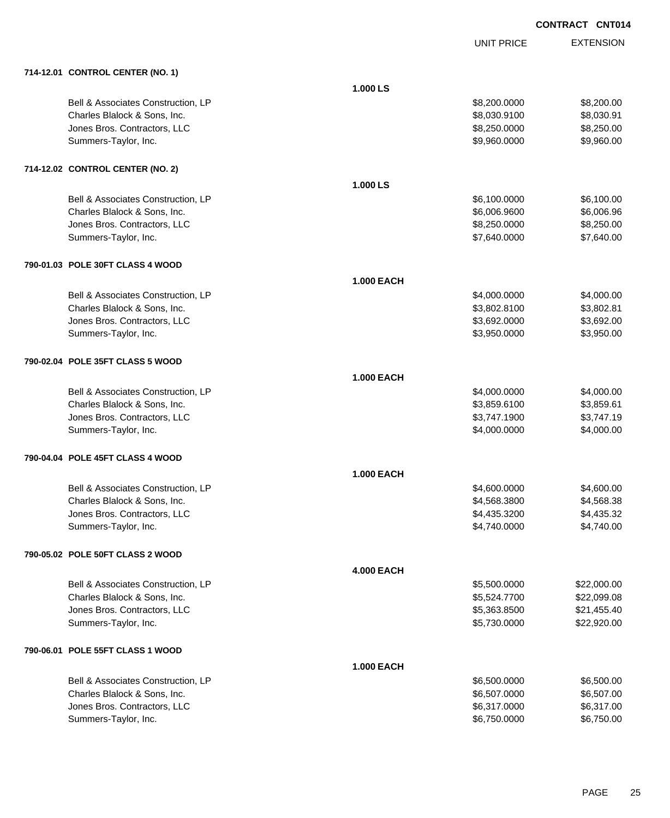|                                    |                   | <b>UNIT PRICE</b> | <b>EXTENSION</b> |
|------------------------------------|-------------------|-------------------|------------------|
| 714-12.01 CONTROL CENTER (NO. 1)   |                   |                   |                  |
|                                    | 1.000 LS          |                   |                  |
| Bell & Associates Construction, LP |                   | \$8,200.0000      | \$8,200.00       |
| Charles Blalock & Sons, Inc.       |                   | \$8,030.9100      | \$8,030.91       |
| Jones Bros. Contractors, LLC       |                   | \$8,250.0000      | \$8,250.00       |
| Summers-Taylor, Inc.               |                   | \$9,960.0000      | \$9,960.00       |
| 714-12.02 CONTROL CENTER (NO. 2)   |                   |                   |                  |
|                                    | 1.000 LS          |                   |                  |
| Bell & Associates Construction, LP |                   | \$6,100.0000      | \$6,100.00       |
| Charles Blalock & Sons, Inc.       |                   | \$6,006.9600      | \$6,006.96       |
| Jones Bros. Contractors, LLC       |                   | \$8,250.0000      | \$8,250.00       |
| Summers-Taylor, Inc.               |                   | \$7,640.0000      | \$7,640.00       |
| 790-01.03 POLE 30FT CLASS 4 WOOD   |                   |                   |                  |
|                                    | <b>1.000 EACH</b> |                   |                  |
| Bell & Associates Construction, LP |                   | \$4,000.0000      | \$4,000.00       |
| Charles Blalock & Sons, Inc.       |                   | \$3,802.8100      | \$3,802.81       |
| Jones Bros. Contractors, LLC       |                   | \$3,692.0000      | \$3,692.00       |
| Summers-Taylor, Inc.               |                   | \$3,950.0000      | \$3,950.00       |
| 790-02.04 POLE 35FT CLASS 5 WOOD   |                   |                   |                  |
|                                    | <b>1.000 EACH</b> |                   |                  |
| Bell & Associates Construction, LP |                   | \$4,000.0000      | \$4,000.00       |
| Charles Blalock & Sons, Inc.       |                   | \$3,859.6100      | \$3,859.61       |
| Jones Bros. Contractors, LLC       |                   | \$3,747.1900      | \$3,747.19       |
| Summers-Taylor, Inc.               |                   | \$4,000.0000      | \$4,000.00       |
| 790-04.04 POLE 45FT CLASS 4 WOOD   |                   |                   |                  |
|                                    | <b>1.000 EACH</b> |                   |                  |
| Bell & Associates Construction, LP |                   | \$4,600.0000      | \$4,600.00       |
| Charles Blalock & Sons, Inc.       |                   | \$4,568.3800      | \$4,568.38       |
| Jones Bros. Contractors, LLC       |                   | \$4,435.3200      | \$4,435.32       |
| Summers-Taylor, Inc.               |                   | \$4,740.0000      | \$4,740.00       |
| 790-05.02 POLE 50FT CLASS 2 WOOD   |                   |                   |                  |
|                                    | <b>4.000 EACH</b> |                   |                  |
| Bell & Associates Construction, LP |                   | \$5,500.0000      | \$22,000.00      |
| Charles Blalock & Sons, Inc.       |                   | \$5,524.7700      | \$22,099.08      |
| Jones Bros. Contractors, LLC       |                   | \$5,363.8500      | \$21,455.40      |
| Summers-Taylor, Inc.               |                   | \$5,730.0000      | \$22,920.00      |
| 790-06.01 POLE 55FT CLASS 1 WOOD   |                   |                   |                  |
|                                    | <b>1.000 EACH</b> |                   |                  |
| Bell & Associates Construction, LP |                   | \$6,500.0000      | \$6,500.00       |
| Charles Blalock & Sons, Inc.       |                   | \$6,507.0000      | \$6,507.00       |
| Jones Bros. Contractors, LLC       |                   | \$6,317.0000      | \$6,317.00       |
| Summers-Taylor, Inc.               |                   | \$6,750.0000      | \$6,750.00       |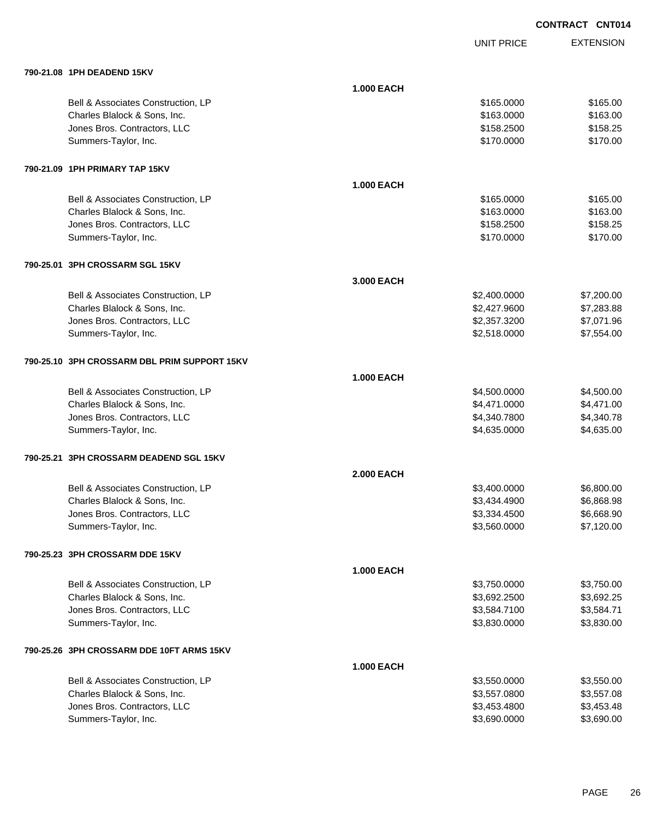UNIT PRICE

| 790-21.08 1PH DEADEND 15KV                   |                   |              |            |
|----------------------------------------------|-------------------|--------------|------------|
|                                              | <b>1.000 EACH</b> |              |            |
| Bell & Associates Construction, LP           |                   | \$165.0000   | \$165.00   |
| Charles Blalock & Sons, Inc.                 |                   | \$163.0000   | \$163.00   |
| Jones Bros. Contractors, LLC                 |                   | \$158.2500   | \$158.25   |
| Summers-Taylor, Inc.                         |                   | \$170.0000   | \$170.00   |
| 790-21.09 1PH PRIMARY TAP 15KV               |                   |              |            |
|                                              | <b>1.000 EACH</b> |              |            |
| Bell & Associates Construction, LP           |                   | \$165.0000   | \$165.00   |
| Charles Blalock & Sons, Inc.                 |                   | \$163.0000   | \$163.00   |
| Jones Bros. Contractors, LLC                 |                   | \$158.2500   | \$158.25   |
| Summers-Taylor, Inc.                         |                   | \$170.0000   | \$170.00   |
| 790-25.01 3PH CROSSARM SGL 15KV              |                   |              |            |
|                                              | 3.000 EACH        |              |            |
| Bell & Associates Construction, LP           |                   | \$2,400.0000 | \$7,200.00 |
| Charles Blalock & Sons, Inc.                 |                   | \$2,427.9600 | \$7,283.88 |
| Jones Bros. Contractors, LLC                 |                   | \$2,357.3200 | \$7,071.96 |
| Summers-Taylor, Inc.                         |                   | \$2,518.0000 | \$7,554.00 |
| 790-25.10 3PH CROSSARM DBL PRIM SUPPORT 15KV |                   |              |            |
|                                              | <b>1.000 EACH</b> |              |            |
| Bell & Associates Construction, LP           |                   | \$4,500.0000 | \$4,500.00 |
| Charles Blalock & Sons, Inc.                 |                   | \$4,471.0000 | \$4,471.00 |
| Jones Bros. Contractors, LLC                 |                   | \$4,340.7800 | \$4,340.78 |
| Summers-Taylor, Inc.                         |                   | \$4,635.0000 | \$4,635.00 |
| 790-25.21 3PH CROSSARM DEADEND SGL 15KV      |                   |              |            |
|                                              | <b>2.000 EACH</b> |              |            |
| Bell & Associates Construction, LP           |                   | \$3,400.0000 | \$6,800.00 |
| Charles Blalock & Sons, Inc.                 |                   | \$3,434.4900 | \$6,868.98 |
| Jones Bros. Contractors, LLC                 |                   | \$3,334.4500 | \$6,668.90 |
| Summers-Taylor, Inc.                         |                   | \$3,560.0000 | \$7,120.00 |
| 790-25.23 3PH CROSSARM DDE 15KV              |                   |              |            |
|                                              | <b>1.000 EACH</b> |              |            |
| Bell & Associates Construction, LP           |                   | \$3,750.0000 | \$3,750.00 |
| Charles Blalock & Sons, Inc.                 |                   | \$3,692.2500 | \$3,692.25 |
| Jones Bros. Contractors, LLC                 |                   | \$3,584.7100 | \$3,584.71 |
| Summers-Taylor, Inc.                         |                   | \$3,830.0000 | \$3,830.00 |
| 790-25.26 3PH CROSSARM DDE 10FT ARMS 15KV    |                   |              |            |
|                                              | <b>1.000 EACH</b> |              |            |
| Bell & Associates Construction, LP           |                   | \$3,550.0000 | \$3,550.00 |
| Charles Blalock & Sons, Inc.                 |                   | \$3,557.0800 | \$3,557.08 |
| Jones Bros. Contractors, LLC                 |                   | \$3,453.4800 | \$3,453.48 |
| Summers-Taylor, Inc.                         |                   | \$3,690.0000 | \$3,690.00 |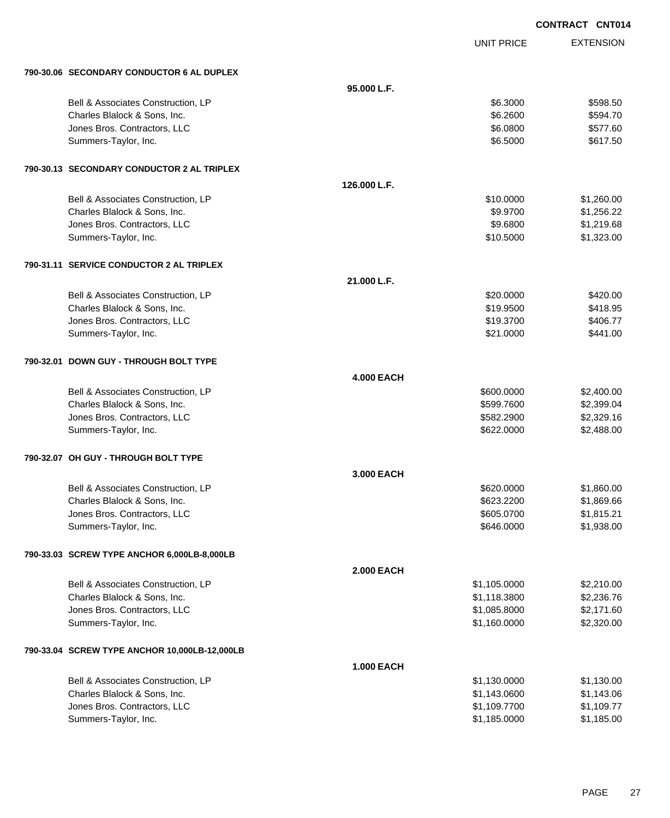|                                               |                   |                   | <b>CONTRACT CNT014</b> |
|-----------------------------------------------|-------------------|-------------------|------------------------|
|                                               |                   | <b>UNIT PRICE</b> | <b>EXTENSION</b>       |
| 790-30.06 SECONDARY CONDUCTOR 6 AL DUPLEX     |                   |                   |                        |
|                                               | 95.000 L.F.       |                   |                        |
| Bell & Associates Construction, LP            |                   | \$6.3000          | \$598.50               |
| Charles Blalock & Sons, Inc.                  |                   | \$6.2600          | \$594.70               |
| Jones Bros. Contractors, LLC                  |                   | \$6.0800          | \$577.60               |
| Summers-Taylor, Inc.                          |                   | \$6.5000          | \$617.50               |
| 790-30.13 SECONDARY CONDUCTOR 2 AL TRIPLEX    |                   |                   |                        |
|                                               | 126.000 L.F.      |                   |                        |
| Bell & Associates Construction, LP            |                   | \$10.0000         | \$1,260.00             |
| Charles Blalock & Sons, Inc.                  |                   | \$9.9700          | \$1,256.22             |
| Jones Bros. Contractors, LLC                  |                   | \$9.6800          | \$1,219.68             |
| Summers-Taylor, Inc.                          |                   | \$10.5000         | \$1,323.00             |
| 790-31.11 SERVICE CONDUCTOR 2 AL TRIPLEX      |                   |                   |                        |
|                                               | 21.000 L.F.       |                   |                        |
| Bell & Associates Construction, LP            |                   | \$20.0000         | \$420.00               |
| Charles Blalock & Sons, Inc.                  |                   | \$19.9500         | \$418.95               |
| Jones Bros. Contractors, LLC                  |                   | \$19.3700         | \$406.77               |
| Summers-Taylor, Inc.                          |                   | \$21.0000         | \$441.00               |
| 790-32.01 DOWN GUY - THROUGH BOLT TYPE        |                   |                   |                        |
|                                               | <b>4.000 EACH</b> |                   |                        |
| Bell & Associates Construction, LP            |                   | \$600.0000        | \$2,400.00             |
| Charles Blalock & Sons, Inc.                  |                   | \$599.7600        | \$2,399.04             |
| Jones Bros. Contractors, LLC                  |                   | \$582.2900        | \$2,329.16             |
| Summers-Taylor, Inc.                          |                   | \$622.0000        | \$2,488.00             |
| 790-32.07 OH GUY - THROUGH BOLT TYPE          |                   |                   |                        |
|                                               | 3.000 EACH        |                   |                        |
| Bell & Associates Construction, LP            |                   | \$620.0000        | \$1,860.00             |
| Charles Blalock & Sons, Inc.                  |                   | \$623.2200        | \$1,869.66             |
| Jones Bros. Contractors, LLC                  |                   | \$605.0700        | \$1,815.21             |
| Summers-Taylor, Inc.                          |                   | \$646.0000        | \$1,938.00             |
| 790-33.03 SCREW TYPE ANCHOR 6,000LB-8,000LB   |                   |                   |                        |
|                                               | <b>2.000 EACH</b> |                   |                        |
| Bell & Associates Construction, LP            |                   | \$1,105.0000      | \$2,210.00             |
| Charles Blalock & Sons, Inc.                  |                   | \$1,118.3800      | \$2,236.76             |
| Jones Bros. Contractors, LLC                  |                   | \$1,085.8000      | \$2,171.60             |
| Summers-Taylor, Inc.                          |                   | \$1,160.0000      | \$2,320.00             |
| 790-33.04 SCREW TYPE ANCHOR 10,000LB-12,000LB |                   |                   |                        |
|                                               | 1.000 EACH        |                   |                        |
| Bell & Associates Construction, LP            |                   | \$1,130.0000      | \$1,130.00             |
| Charles Blalock & Sons, Inc.                  |                   | \$1,143.0600      | \$1,143.06             |
| Jones Bros. Contractors, LLC                  |                   | \$1,109.7700      | \$1,109.77             |

dones Bros. Contractors, LLC \$1,109.7700 \$1,109.7700 \$1,109.7700 \$1,109.7700 \$1,109.77<br>Summers-Taylor, Inc. \$1,185.000 \$1,185.000 \$1,185.000 \$1,109.77

Summers-Taylor, Inc. \$1,185.0000 \$1,185.0000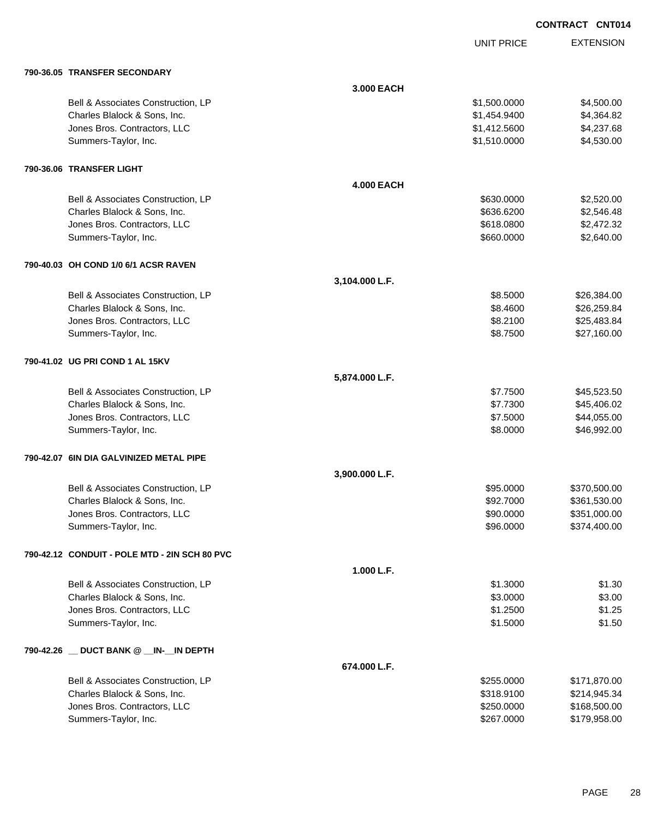UNIT PRICE

|  | 790-36.05 TRANSFER SECONDARY                  |                   |              |              |
|--|-----------------------------------------------|-------------------|--------------|--------------|
|  |                                               | 3.000 EACH        |              |              |
|  | Bell & Associates Construction, LP            |                   | \$1,500.0000 | \$4,500.00   |
|  | Charles Blalock & Sons, Inc.                  |                   | \$1,454.9400 | \$4,364.82   |
|  | Jones Bros. Contractors, LLC                  |                   | \$1,412.5600 | \$4,237.68   |
|  | Summers-Taylor, Inc.                          |                   | \$1,510.0000 | \$4,530.00   |
|  | 790-36.06 TRANSFER LIGHT                      |                   |              |              |
|  |                                               | <b>4.000 EACH</b> |              |              |
|  | Bell & Associates Construction, LP            |                   | \$630.0000   | \$2,520.00   |
|  | Charles Blalock & Sons, Inc.                  |                   | \$636.6200   | \$2,546.48   |
|  | Jones Bros. Contractors, LLC                  |                   | \$618.0800   | \$2,472.32   |
|  | Summers-Taylor, Inc.                          |                   | \$660.0000   | \$2,640.00   |
|  | 790-40.03 OH COND 1/0 6/1 ACSR RAVEN          |                   |              |              |
|  |                                               | 3,104.000 L.F.    |              |              |
|  | Bell & Associates Construction, LP            |                   | \$8.5000     | \$26,384.00  |
|  | Charles Blalock & Sons, Inc.                  |                   | \$8.4600     | \$26,259.84  |
|  | Jones Bros. Contractors, LLC                  |                   | \$8.2100     | \$25,483.84  |
|  | Summers-Taylor, Inc.                          |                   | \$8.7500     | \$27,160.00  |
|  | 790-41.02 UG PRI COND 1 AL 15KV               |                   |              |              |
|  |                                               | 5,874.000 L.F.    |              |              |
|  | Bell & Associates Construction, LP            |                   | \$7.7500     | \$45,523.50  |
|  | Charles Blalock & Sons, Inc.                  |                   | \$7.7300     | \$45,406.02  |
|  | Jones Bros. Contractors, LLC                  |                   | \$7.5000     | \$44,055.00  |
|  | Summers-Taylor, Inc.                          |                   | \$8.0000     | \$46,992.00  |
|  | 790-42.07 6IN DIA GALVINIZED METAL PIPE       |                   |              |              |
|  |                                               | 3,900.000 L.F.    |              |              |
|  | Bell & Associates Construction, LP            |                   | \$95.0000    | \$370,500.00 |
|  | Charles Blalock & Sons, Inc.                  |                   | \$92.7000    | \$361,530.00 |
|  | Jones Bros. Contractors, LLC                  |                   | \$90.0000    | \$351,000.00 |
|  | Summers-Taylor, Inc.                          |                   | \$96.0000    | \$374,400.00 |
|  | 790-42.12 CONDUIT - POLE MTD - 2IN SCH 80 PVC |                   |              |              |
|  |                                               | 1.000 L.F.        |              |              |
|  | Bell & Associates Construction, LP            |                   | \$1.3000     | \$1.30       |
|  | Charles Blalock & Sons, Inc.                  |                   | \$3.0000     | \$3.00       |
|  | Jones Bros. Contractors, LLC                  |                   | \$1.2500     | \$1.25       |
|  | Summers-Taylor, Inc.                          |                   | \$1.5000     | \$1.50       |
|  | 790-42.26 _ DUCT BANK @ _IN-_IN DEPTH         |                   |              |              |
|  |                                               | 674.000 L.F.      |              |              |
|  | Bell & Associates Construction, LP            |                   | \$255.0000   | \$171,870.00 |
|  | Charles Blalock & Sons, Inc.                  |                   | \$318.9100   | \$214,945.34 |
|  | Jones Bros. Contractors, LLC                  |                   | \$250.0000   | \$168,500.00 |
|  | Summers-Taylor, Inc.                          |                   | \$267.0000   | \$179,958.00 |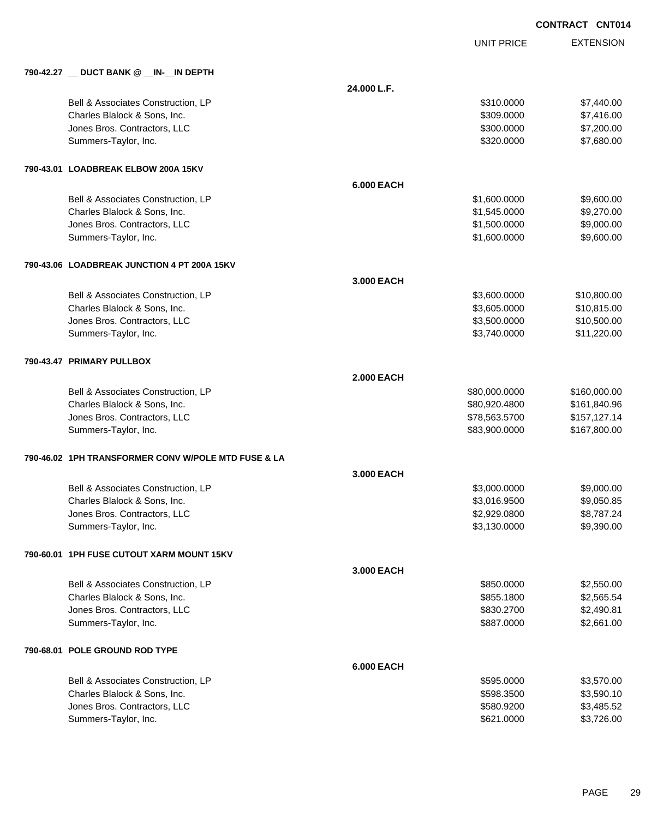|                                                     |                   | <b>UNIT PRICE</b> | <b>EXTENSION</b> |
|-----------------------------------------------------|-------------------|-------------------|------------------|
| 790-42.27 _ DUCT BANK @ _IN-_IN DEPTH               |                   |                   |                  |
|                                                     | 24.000 L.F.       |                   |                  |
| Bell & Associates Construction, LP                  |                   | \$310.0000        | \$7,440.00       |
| Charles Blalock & Sons, Inc.                        |                   | \$309.0000        | \$7,416.00       |
| Jones Bros. Contractors, LLC                        |                   | \$300.0000        | \$7,200.00       |
| Summers-Taylor, Inc.                                |                   | \$320.0000        | \$7,680.00       |
| 790-43.01 LOADBREAK ELBOW 200A 15KV                 |                   |                   |                  |
|                                                     | <b>6.000 EACH</b> |                   |                  |
| Bell & Associates Construction, LP                  |                   | \$1,600.0000      | \$9,600.00       |
| Charles Blalock & Sons, Inc.                        |                   | \$1,545.0000      | \$9,270.00       |
| Jones Bros. Contractors, LLC                        |                   | \$1,500.0000      | \$9,000.00       |
| Summers-Taylor, Inc.                                |                   | \$1,600.0000      | \$9,600.00       |
| 790-43.06 LOADBREAK JUNCTION 4 PT 200A 15KV         |                   |                   |                  |
|                                                     | 3.000 EACH        |                   |                  |
| Bell & Associates Construction, LP                  |                   | \$3,600.0000      | \$10,800.00      |
| Charles Blalock & Sons, Inc.                        |                   | \$3,605.0000      | \$10,815.00      |
| Jones Bros. Contractors, LLC                        |                   | \$3,500.0000      | \$10,500.00      |
| Summers-Taylor, Inc.                                |                   | \$3,740.0000      | \$11,220.00      |
| 790-43.47 PRIMARY PULLBOX                           |                   |                   |                  |
|                                                     | <b>2.000 EACH</b> |                   |                  |
| Bell & Associates Construction, LP                  |                   | \$80,000.0000     | \$160,000.00     |
| Charles Blalock & Sons, Inc.                        |                   | \$80,920.4800     | \$161,840.96     |
| Jones Bros. Contractors, LLC                        |                   | \$78,563.5700     | \$157,127.14     |
| Summers-Taylor, Inc.                                |                   | \$83,900.0000     | \$167,800.00     |
| 790-46.02 1PH TRANSFORMER CONV W/POLE MTD FUSE & LA |                   |                   |                  |
|                                                     | 3.000 EACH        |                   |                  |
| Bell & Associates Construction, LP                  |                   | \$3,000.0000      | \$9,000.00       |
| Charles Blalock & Sons, Inc.                        |                   | \$3,016.9500      | \$9,050.85       |
| Jones Bros. Contractors, LLC                        |                   | \$2,929.0800      | \$8,787.24       |
| Summers-Taylor, Inc.                                |                   | \$3,130.0000      | \$9,390.00       |
| 790-60.01 1PH FUSE CUTOUT XARM MOUNT 15KV           |                   |                   |                  |
|                                                     | 3.000 EACH        |                   |                  |
| Bell & Associates Construction, LP                  |                   | \$850.0000        | \$2,550.00       |
| Charles Blalock & Sons, Inc.                        |                   | \$855.1800        | \$2,565.54       |
| Jones Bros. Contractors, LLC                        |                   | \$830.2700        | \$2,490.81       |
| Summers-Taylor, Inc.                                |                   | \$887.0000        | \$2,661.00       |
| 790-68.01 POLE GROUND ROD TYPE                      |                   |                   |                  |
|                                                     | <b>6.000 EACH</b> |                   |                  |
| Bell & Associates Construction, LP                  |                   | \$595.0000        | \$3,570.00       |
| Charles Blalock & Sons, Inc.                        |                   | \$598.3500        | \$3,590.10       |
| Jones Bros. Contractors, LLC                        |                   | \$580.9200        | \$3,485.52       |
| Summers-Taylor, Inc.                                |                   | \$621.0000        | \$3,726.00       |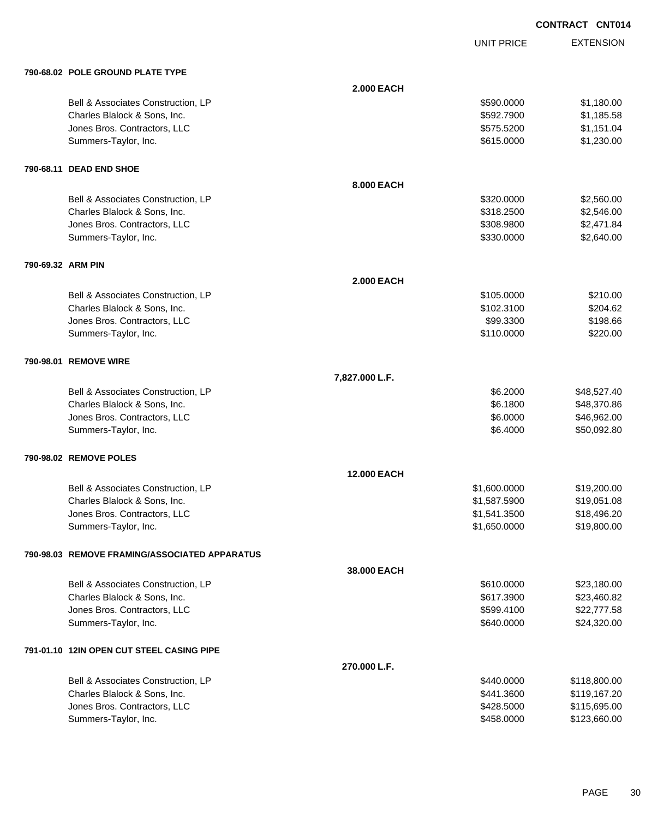UNIT PRICE

|                   | 790-68.02 POLE GROUND PLATE TYPE              |                    |              |              |
|-------------------|-----------------------------------------------|--------------------|--------------|--------------|
|                   |                                               | <b>2.000 EACH</b>  |              |              |
|                   | Bell & Associates Construction, LP            |                    | \$590.0000   | \$1,180.00   |
|                   | Charles Blalock & Sons, Inc.                  |                    | \$592.7900   | \$1,185.58   |
|                   | Jones Bros. Contractors, LLC                  |                    | \$575.5200   | \$1,151.04   |
|                   | Summers-Taylor, Inc.                          |                    | \$615.0000   | \$1,230.00   |
|                   | 790-68.11 DEAD END SHOE                       |                    |              |              |
|                   |                                               | 8.000 EACH         |              |              |
|                   | Bell & Associates Construction, LP            |                    | \$320.0000   | \$2,560.00   |
|                   | Charles Blalock & Sons, Inc.                  |                    | \$318.2500   | \$2,546.00   |
|                   | Jones Bros. Contractors, LLC                  |                    | \$308.9800   | \$2,471.84   |
|                   | Summers-Taylor, Inc.                          |                    | \$330.0000   | \$2,640.00   |
| 790-69.32 ARM PIN |                                               |                    |              |              |
|                   |                                               | <b>2.000 EACH</b>  |              |              |
|                   | Bell & Associates Construction, LP            |                    | \$105.0000   | \$210.00     |
|                   | Charles Blalock & Sons, Inc.                  |                    | \$102.3100   | \$204.62     |
|                   | Jones Bros. Contractors, LLC                  |                    | \$99.3300    | \$198.66     |
|                   | Summers-Taylor, Inc.                          |                    | \$110.0000   | \$220.00     |
|                   | 790-98.01 REMOVE WIRE                         |                    |              |              |
|                   |                                               | 7,827.000 L.F.     |              |              |
|                   | Bell & Associates Construction, LP            |                    | \$6.2000     | \$48,527.40  |
|                   | Charles Blalock & Sons, Inc.                  |                    | \$6.1800     | \$48,370.86  |
|                   | Jones Bros. Contractors, LLC                  |                    | \$6.0000     | \$46,962.00  |
|                   | Summers-Taylor, Inc.                          |                    | \$6.4000     | \$50,092.80  |
|                   | 790-98.02 REMOVE POLES                        |                    |              |              |
|                   |                                               | <b>12.000 EACH</b> |              |              |
|                   | Bell & Associates Construction, LP            |                    | \$1,600.0000 | \$19,200.00  |
|                   | Charles Blalock & Sons, Inc.                  |                    | \$1,587.5900 | \$19,051.08  |
|                   | Jones Bros. Contractors, LLC                  |                    | \$1,541.3500 | \$18,496.20  |
|                   | Summers-Taylor, Inc.                          |                    | \$1,650.0000 | \$19,800.00  |
|                   | 790-98.03 REMOVE FRAMING/ASSOCIATED APPARATUS |                    |              |              |
|                   |                                               | 38.000 EACH        |              |              |
|                   | Bell & Associates Construction, LP            |                    | \$610.0000   | \$23,180.00  |
|                   | Charles Blalock & Sons, Inc.                  |                    | \$617.3900   | \$23,460.82  |
|                   | Jones Bros. Contractors, LLC                  |                    | \$599.4100   | \$22,777.58  |
|                   | Summers-Taylor, Inc.                          |                    | \$640.0000   | \$24,320.00  |
|                   | 791-01.10 12IN OPEN CUT STEEL CASING PIPE     |                    |              |              |
|                   |                                               | 270.000 L.F.       |              |              |
|                   | Bell & Associates Construction, LP            |                    | \$440.0000   | \$118,800.00 |
|                   | Charles Blalock & Sons, Inc.                  |                    | \$441.3600   | \$119,167.20 |
|                   | Jones Bros. Contractors, LLC                  |                    | \$428.5000   | \$115,695.00 |
|                   | Summers-Taylor, Inc.                          |                    | \$458.0000   | \$123,660.00 |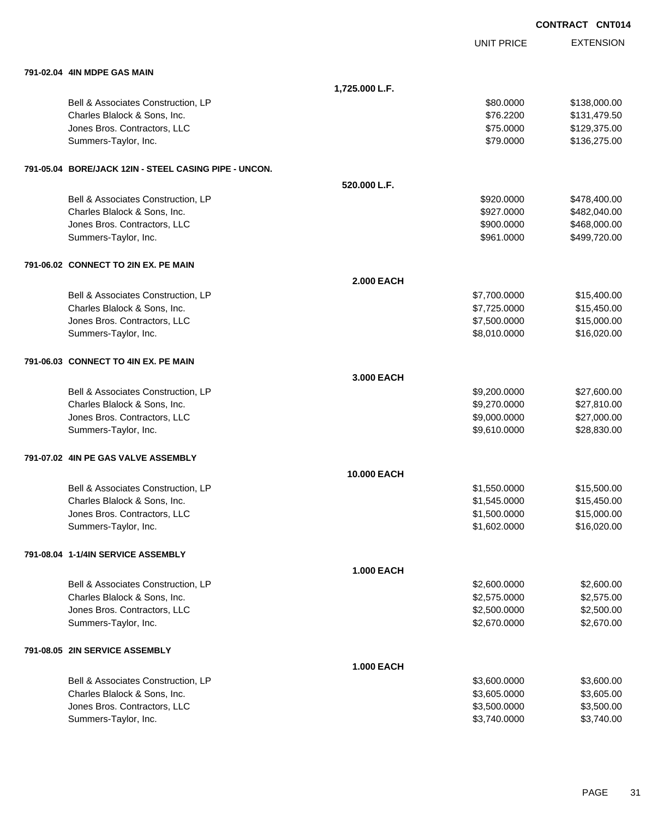|                                                       |                    |                   | <b>CONTRACT CNT014</b> |
|-------------------------------------------------------|--------------------|-------------------|------------------------|
|                                                       |                    | <b>UNIT PRICE</b> | <b>EXTENSION</b>       |
| 791-02.04 4IN MDPE GAS MAIN                           |                    |                   |                        |
|                                                       | 1,725.000 L.F.     |                   |                        |
| Bell & Associates Construction, LP                    |                    | \$80.0000         | \$138,000.00           |
| Charles Blalock & Sons, Inc.                          |                    | \$76.2200         | \$131,479.50           |
| Jones Bros. Contractors, LLC                          |                    | \$75.0000         | \$129,375.00           |
| Summers-Taylor, Inc.                                  |                    | \$79.0000         | \$136,275.00           |
| 791-05.04 BORE/JACK 12IN - STEEL CASING PIPE - UNCON. |                    |                   |                        |
|                                                       | 520.000 L.F.       |                   |                        |
| Bell & Associates Construction, LP                    |                    | \$920.0000        | \$478,400.00           |
| Charles Blalock & Sons, Inc.                          |                    | \$927.0000        | \$482,040.00           |
| Jones Bros. Contractors, LLC                          |                    | \$900.0000        | \$468,000.00           |
| Summers-Taylor, Inc.                                  |                    | \$961.0000        | \$499,720.00           |
| 791-06.02 CONNECT TO 2IN EX. PE MAIN                  |                    |                   |                        |
|                                                       | <b>2.000 EACH</b>  |                   |                        |
| Bell & Associates Construction, LP                    |                    | \$7,700.0000      | \$15,400.00            |
| Charles Blalock & Sons, Inc.                          |                    | \$7,725.0000      | \$15,450.00            |
| Jones Bros. Contractors, LLC                          |                    | \$7,500.0000      | \$15,000.00            |
| Summers-Taylor, Inc.                                  |                    | \$8,010.0000      | \$16,020.00            |
| 791-06.03 CONNECT TO 4IN EX. PE MAIN                  |                    |                   |                        |
|                                                       | 3.000 EACH         |                   |                        |
| Bell & Associates Construction, LP                    |                    | \$9,200.0000      | \$27,600.00            |
| Charles Blalock & Sons, Inc.                          |                    | \$9,270.0000      | \$27,810.00            |
| Jones Bros. Contractors, LLC                          |                    | \$9,000.0000      | \$27,000.00            |
| Summers-Taylor, Inc.                                  |                    | \$9,610.0000      | \$28,830.00            |
| 791-07.02 4IN PE GAS VALVE ASSEMBLY                   |                    |                   |                        |
|                                                       | <b>10.000 EACH</b> |                   |                        |
| Bell & Associates Construction, LP                    |                    | \$1,550.0000      | \$15,500.00            |
| Charles Blalock & Sons, Inc.                          |                    | \$1,545.0000      | \$15,450.00            |
| Jones Bros. Contractors, LLC                          |                    | \$1,500.0000      | \$15,000.00            |
| Summers-Taylor, Inc.                                  |                    | \$1,602.0000      | \$16,020.00            |
| 791-08.04 1-1/4IN SERVICE ASSEMBLY                    |                    |                   |                        |
|                                                       | <b>1.000 EACH</b>  |                   |                        |
| Bell & Associates Construction, LP                    |                    | \$2,600.0000      | \$2,600.00             |
| Charles Blalock & Sons, Inc.                          |                    | \$2,575.0000      | \$2,575.00             |
| Jones Bros. Contractors, LLC                          |                    | \$2,500.0000      | \$2,500.00             |
| Summers-Taylor, Inc.                                  |                    | \$2,670.0000      | \$2,670.00             |
| 791-08.05 2IN SERVICE ASSEMBLY                        |                    |                   |                        |
|                                                       | <b>1.000 EACH</b>  |                   |                        |
| Bell & Associates Construction, LP                    |                    | \$3,600.0000      | \$3,600.00             |
| Charles Blalock & Sons, Inc.                          |                    | \$3,605.0000      | \$3,605.00             |
| Jones Bros. Contractors, LLC                          |                    | \$3,500.0000      | \$3,500.00             |
| Summers-Taylor, Inc.                                  |                    | \$3,740.0000      | \$3,740.00             |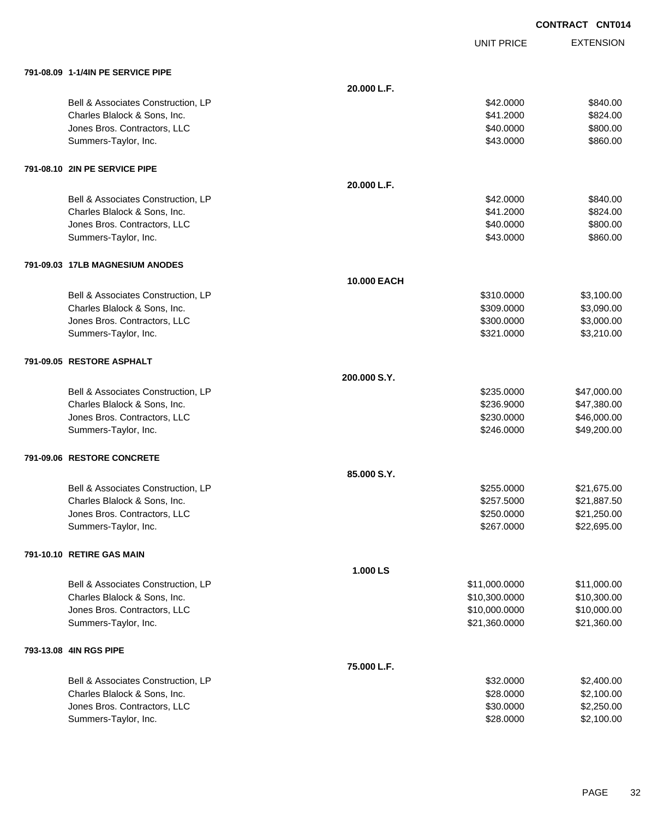UNIT PRICE

| 791-08.09 1-1/4IN PE SERVICE PIPE  |              |               |             |
|------------------------------------|--------------|---------------|-------------|
|                                    | 20.000 L.F.  |               |             |
| Bell & Associates Construction, LP |              | \$42.0000     | \$840.00    |
| Charles Blalock & Sons, Inc.       |              | \$41.2000     | \$824.00    |
| Jones Bros. Contractors, LLC       |              | \$40.0000     | \$800.00    |
| Summers-Taylor, Inc.               |              | \$43.0000     | \$860.00    |
| 791-08.10 2IN PE SERVICE PIPE      |              |               |             |
|                                    | 20.000 L.F.  |               |             |
| Bell & Associates Construction, LP |              | \$42.0000     | \$840.00    |
| Charles Blalock & Sons, Inc.       |              | \$41.2000     | \$824.00    |
| Jones Bros. Contractors, LLC       |              | \$40.0000     | \$800.00    |
| Summers-Taylor, Inc.               |              | \$43.0000     | \$860.00    |
| 791-09.03 17LB MAGNESIUM ANODES    |              |               |             |
|                                    | 10.000 EACH  |               |             |
| Bell & Associates Construction, LP |              | \$310.0000    | \$3,100.00  |
| Charles Blalock & Sons, Inc.       |              | \$309,0000    | \$3,090.00  |
| Jones Bros. Contractors, LLC       |              | \$300.0000    | \$3,000.00  |
| Summers-Taylor, Inc.               |              | \$321.0000    | \$3,210.00  |
| 791-09.05 RESTORE ASPHALT          |              |               |             |
|                                    | 200,000 S.Y. |               |             |
| Bell & Associates Construction, LP |              | \$235.0000    | \$47,000.00 |
| Charles Blalock & Sons, Inc.       |              | \$236.9000    | \$47,380.00 |
| Jones Bros. Contractors, LLC       |              | \$230.0000    | \$46,000.00 |
| Summers-Taylor, Inc.               |              | \$246.0000    | \$49,200.00 |
| 791-09.06 RESTORE CONCRETE         |              |               |             |
|                                    | 85.000 S.Y.  |               |             |
| Bell & Associates Construction, LP |              | \$255.0000    | \$21,675.00 |
| Charles Blalock & Sons, Inc.       |              | \$257.5000    | \$21,887.50 |
| Jones Bros. Contractors, LLC       |              | \$250.0000    | \$21,250.00 |
| Summers-Taylor, Inc.               |              | \$267.0000    | \$22,695.00 |
| 791-10.10 RETIRE GAS MAIN          |              |               |             |
|                                    | 1.000 LS     |               |             |
| Bell & Associates Construction, LP |              | \$11,000.0000 | \$11,000.00 |
| Charles Blalock & Sons, Inc.       |              | \$10,300.0000 | \$10,300.00 |
| Jones Bros. Contractors, LLC       |              | \$10,000.0000 | \$10,000.00 |
| Summers-Taylor, Inc.               |              | \$21,360.0000 | \$21,360.00 |
| 793-13.08 4IN RGS PIPE             |              |               |             |
|                                    | 75.000 L.F.  |               |             |
| Bell & Associates Construction, LP |              | \$32.0000     | \$2,400.00  |
| Charles Blalock & Sons, Inc.       |              | \$28.0000     | \$2,100.00  |
| Jones Bros. Contractors, LLC       |              | \$30.0000     | \$2,250.00  |
| Summers-Taylor, Inc.               |              | \$28.0000     | \$2,100.00  |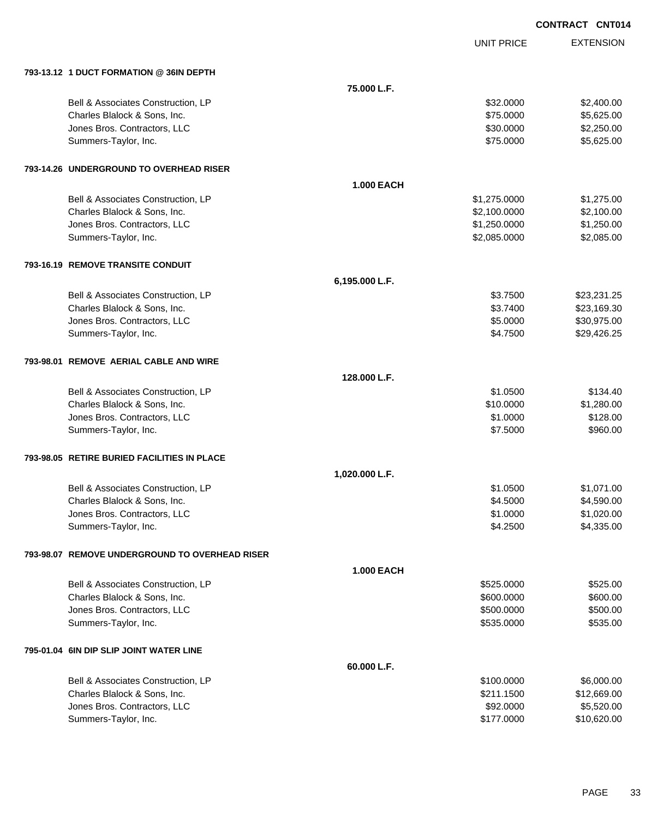UNIT PRICE

| 793-13.12 1 DUCT FORMATION @ 36IN DEPTH        |                   |              |             |
|------------------------------------------------|-------------------|--------------|-------------|
|                                                | 75.000 L.F.       |              |             |
| Bell & Associates Construction, LP             |                   | \$32.0000    | \$2,400.00  |
| Charles Blalock & Sons, Inc.                   |                   | \$75.0000    | \$5,625.00  |
| Jones Bros. Contractors, LLC                   |                   | \$30.0000    | \$2,250.00  |
| Summers-Taylor, Inc.                           |                   | \$75.0000    | \$5,625.00  |
| 793-14.26 UNDERGROUND TO OVERHEAD RISER        |                   |              |             |
|                                                | <b>1.000 EACH</b> |              |             |
| Bell & Associates Construction, LP             |                   | \$1,275.0000 | \$1,275.00  |
| Charles Blalock & Sons, Inc.                   |                   | \$2,100.0000 | \$2,100.00  |
| Jones Bros. Contractors, LLC                   |                   | \$1,250.0000 | \$1,250.00  |
| Summers-Taylor, Inc.                           |                   | \$2,085.0000 | \$2,085.00  |
| <b>793-16.19 REMOVE TRANSITE CONDUIT</b>       |                   |              |             |
|                                                | 6,195.000 L.F.    |              |             |
| Bell & Associates Construction, LP             |                   | \$3.7500     | \$23,231.25 |
| Charles Blalock & Sons, Inc.                   |                   | \$3.7400     | \$23,169.30 |
| Jones Bros. Contractors, LLC                   |                   | \$5.0000     | \$30,975.00 |
| Summers-Taylor, Inc.                           |                   | \$4.7500     | \$29,426.25 |
| 793-98.01 REMOVE AERIAL CABLE AND WIRE         |                   |              |             |
|                                                | 128,000 L.F.      |              |             |
| Bell & Associates Construction, LP             |                   | \$1.0500     | \$134.40    |
| Charles Blalock & Sons, Inc.                   |                   | \$10.0000    | \$1,280.00  |
| Jones Bros. Contractors, LLC                   |                   | \$1.0000     | \$128.00    |
| Summers-Taylor, Inc.                           |                   | \$7.5000     | \$960.00    |
| 793-98.05 RETIRE BURIED FACILITIES IN PLACE    |                   |              |             |
|                                                | 1,020.000 L.F.    |              |             |
| Bell & Associates Construction, LP             |                   | \$1.0500     | \$1,071.00  |
| Charles Blalock & Sons, Inc.                   |                   | \$4.5000     | \$4,590.00  |
| Jones Bros. Contractors, LLC                   |                   | \$1.0000     | \$1,020.00  |
| Summers-Taylor, Inc.                           |                   | \$4.2500     | \$4,335.00  |
| 793-98.07 REMOVE UNDERGROUND TO OVERHEAD RISER |                   |              |             |
|                                                | <b>1.000 EACH</b> |              |             |
| Bell & Associates Construction, LP             |                   | \$525.0000   | \$525.00    |
| Charles Blalock & Sons, Inc.                   |                   | \$600.0000   | \$600.00    |
| Jones Bros. Contractors, LLC                   |                   | \$500.0000   | \$500.00    |
| Summers-Taylor, Inc.                           |                   | \$535.0000   | \$535.00    |
| 795-01.04 6IN DIP SLIP JOINT WATER LINE        |                   |              |             |
|                                                | 60.000 L.F.       |              |             |
| Bell & Associates Construction, LP             |                   | \$100.0000   | \$6,000.00  |
| Charles Blalock & Sons, Inc.                   |                   | \$211.1500   | \$12,669.00 |
| Jones Bros. Contractors, LLC                   |                   | \$92.0000    | \$5,520.00  |
| Summers-Taylor, Inc.                           |                   | \$177.0000   | \$10,620.00 |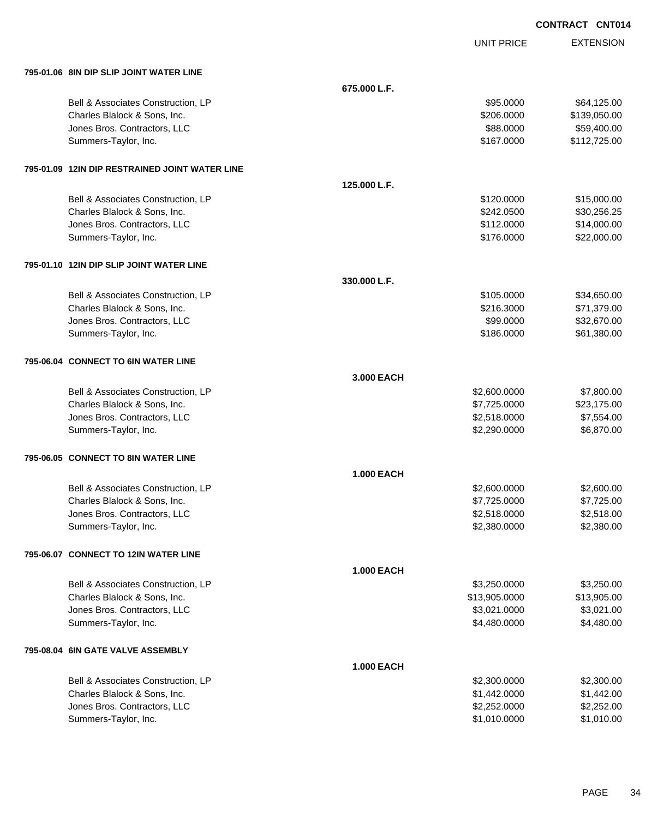|                                                |                   |                   | <b>CONTRACT CNT014</b> |
|------------------------------------------------|-------------------|-------------------|------------------------|
|                                                |                   | <b>UNIT PRICE</b> | <b>EXTENSION</b>       |
| 795-01.06   8IN DIP SLIP JOINT WATER LINE      |                   |                   |                        |
|                                                | 675.000 L.F.      |                   |                        |
| Bell & Associates Construction, LP             |                   | \$95.0000         | \$64,125.00            |
| Charles Blalock & Sons, Inc.                   |                   | \$206.0000        | \$139,050.00           |
| Jones Bros. Contractors, LLC                   |                   | \$88.0000         | \$59,400.00            |
| Summers-Taylor, Inc.                           |                   | \$167.0000        | \$112,725.00           |
| 795-01.09 12IN DIP RESTRAINED JOINT WATER LINE |                   |                   |                        |
|                                                | 125.000 L.F.      |                   |                        |
| Bell & Associates Construction, LP             |                   | \$120.0000        | \$15,000.00            |
| Charles Blalock & Sons, Inc.                   |                   | \$242.0500        | \$30,256.25            |
| Jones Bros. Contractors, LLC                   |                   | \$112.0000        | \$14,000.00            |
| Summers-Taylor, Inc.                           |                   | \$176.0000        | \$22,000.00            |
| 795-01.10 12IN DIP SLIP JOINT WATER LINE       |                   |                   |                        |
|                                                | 330.000 L.F.      |                   |                        |
| Bell & Associates Construction, LP             |                   | \$105.0000        | \$34,650.00            |
| Charles Blalock & Sons, Inc.                   |                   | \$216.3000        | \$71,379.00            |
| Jones Bros. Contractors, LLC                   |                   | \$99.0000         | \$32,670.00            |
| Summers-Taylor, Inc.                           |                   | \$186.0000        | \$61,380.00            |
| 795-06.04 CONNECT TO 6IN WATER LINE            |                   |                   |                        |
|                                                | 3,000 EACH        |                   |                        |
| Bell & Associates Construction, LP             |                   | \$2,600.0000      | \$7,800.00             |
| Charles Blalock & Sons, Inc.                   |                   | \$7,725.0000      | \$23,175.00            |
| Jones Bros. Contractors, LLC                   |                   | \$2,518.0000      | \$7,554.00             |
| Summers-Taylor, Inc.                           |                   | \$2,290.0000      | \$6,870.00             |
| 795-06.05 CONNECT TO 8IN WATER LINE            |                   |                   |                        |
|                                                | <b>1.000 EACH</b> |                   |                        |
| Bell & Associates Construction, LP             |                   | \$2,600.0000      | \$2,600.00             |
| Charles Blalock & Sons, Inc.                   |                   | \$7,725.0000      | \$7,725.00             |
| Jones Bros. Contractors, LLC                   |                   | \$2,518.0000      | \$2,518.00             |
| Summers-Taylor, Inc.                           |                   | \$2,380.0000      | \$2,380.00             |
| 795-06.07 CONNECT TO 12IN WATER LINE           |                   |                   |                        |
|                                                | <b>1.000 EACH</b> |                   |                        |
| Bell & Associates Construction, LP             |                   | \$3,250.0000      | \$3,250.00             |
| Charles Blalock & Sons, Inc.                   |                   | \$13,905.0000     | \$13,905.00            |
| Jones Bros. Contractors, LLC                   |                   | \$3,021.0000      | \$3,021.00             |
| Summers-Taylor, Inc.                           |                   | \$4,480.0000      | \$4,480.00             |
| 795-08.04 6IN GATE VALVE ASSEMBLY              |                   |                   |                        |
|                                                | <b>1.000 EACH</b> |                   |                        |
| Bell & Associates Construction, LP             |                   | \$2,300.0000      | \$2,300.00             |
| Charles Blalock & Sons, Inc.                   |                   | \$1,442.0000      | \$1,442.00             |
| Jones Bros. Contractors, LLC                   |                   | \$2,252.0000      | \$2,252.00             |

dones Bros. Contractors, LLC 62,252.0000 \$2,252.0000 \$2,252.0000 \$2,252.000<br>Summers-Taylor, Inc. \$1,010.000 \$1,010.000 \$1,010.000 \$1,010.000

Summers-Taylor, Inc.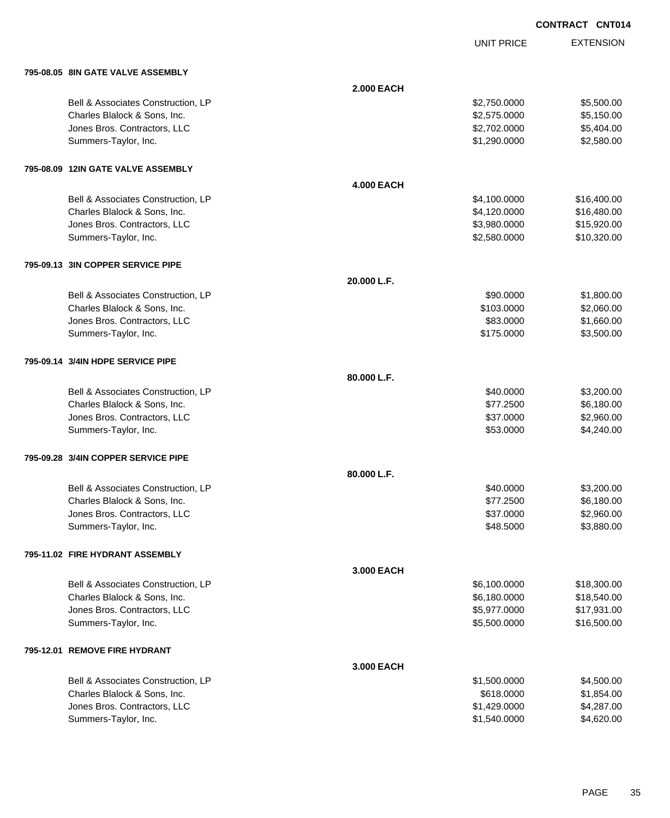UNIT PRICE

EXTENSION

| 795-08.05 8IN GATE VALVE ASSEMBLY   |                   |              |             |
|-------------------------------------|-------------------|--------------|-------------|
|                                     | <b>2.000 EACH</b> |              |             |
| Bell & Associates Construction, LP  |                   | \$2,750.0000 | \$5,500.00  |
| Charles Blalock & Sons, Inc.        |                   | \$2,575.0000 | \$5,150.00  |
| Jones Bros. Contractors, LLC        |                   | \$2,702.0000 | \$5,404.00  |
| Summers-Taylor, Inc.                |                   | \$1,290.0000 | \$2,580.00  |
|                                     |                   |              |             |
| 795-08.09 12IN GATE VALVE ASSEMBLY  | <b>4.000 EACH</b> |              |             |
| Bell & Associates Construction, LP  |                   | \$4,100.0000 | \$16,400.00 |
| Charles Blalock & Sons, Inc.        |                   | \$4,120.0000 | \$16,480.00 |
| Jones Bros. Contractors, LLC        |                   | \$3,980.0000 | \$15,920.00 |
| Summers-Taylor, Inc.                |                   | \$2,580.0000 | \$10,320.00 |
|                                     |                   |              |             |
| 795-09.13 3IN COPPER SERVICE PIPE   | 20.000 L.F.       |              |             |
| Bell & Associates Construction, LP  |                   | \$90.0000    | \$1,800.00  |
| Charles Blalock & Sons, Inc.        |                   | \$103.0000   | \$2,060.00  |
| Jones Bros. Contractors, LLC        |                   | \$83.0000    | \$1,660.00  |
| Summers-Taylor, Inc.                |                   | \$175.0000   | \$3,500.00  |
|                                     |                   |              |             |
| 795-09.14 3/4IN HDPE SERVICE PIPE   |                   |              |             |
|                                     | 80.000 L.F.       |              |             |
| Bell & Associates Construction, LP  |                   | \$40.0000    | \$3,200.00  |
| Charles Blalock & Sons, Inc.        |                   | \$77.2500    | \$6,180.00  |
| Jones Bros. Contractors, LLC        |                   | \$37.0000    | \$2,960.00  |
| Summers-Taylor, Inc.                |                   | \$53.0000    | \$4,240.00  |
| 795-09.28 3/4IN COPPER SERVICE PIPE |                   |              |             |
|                                     | 80.000 L.F.       |              |             |
| Bell & Associates Construction, LP  |                   | \$40.0000    | \$3,200.00  |
| Charles Blalock & Sons, Inc.        |                   | \$77.2500    | \$6,180.00  |
| Jones Bros. Contractors, LLC        |                   | \$37.0000    | \$2,960.00  |
| Summers-Taylor, Inc.                |                   | \$48.5000    | \$3,880.00  |
| 795-11.02 FIRE HYDRANT ASSEMBLY     |                   |              |             |
|                                     | 3.000 EACH        |              |             |
| Bell & Associates Construction, LP  |                   | \$6,100.0000 | \$18,300.00 |
| Charles Blalock & Sons, Inc.        |                   | \$6,180.0000 | \$18,540.00 |
| Jones Bros. Contractors, LLC        |                   | \$5,977.0000 | \$17,931.00 |
| Summers-Taylor, Inc.                |                   | \$5,500.0000 | \$16,500.00 |
| 795-12.01 REMOVE FIRE HYDRANT       |                   |              |             |
|                                     | 3.000 EACH        |              |             |
| Bell & Associates Construction, LP  |                   | \$1,500.0000 | \$4,500.00  |
| Charles Blalock & Sons, Inc.        |                   | \$618.0000   | \$1,854.00  |
| Jones Bros. Contractors, LLC        |                   | \$1,429.0000 | \$4,287.00  |
| Summers-Taylor, Inc.                |                   | \$1,540.0000 | \$4,620.00  |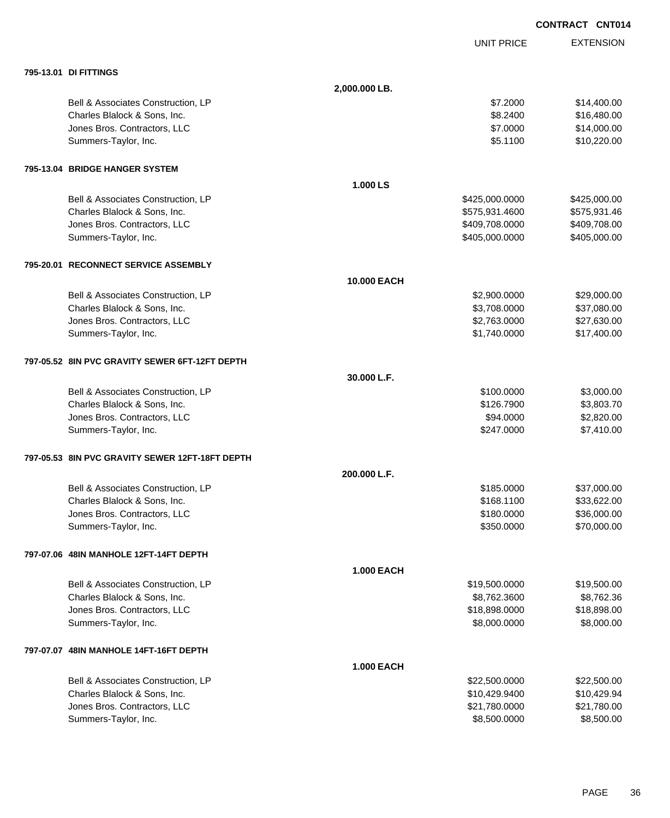|                                                 |               |                   | <b>CONTRACT CNT014</b> |
|-------------------------------------------------|---------------|-------------------|------------------------|
|                                                 |               | <b>UNIT PRICE</b> | <b>EXTENSION</b>       |
| 795-13.01 DI FITTINGS                           |               |                   |                        |
|                                                 | 2,000.000 LB. |                   |                        |
| Bell & Associates Construction, LP              |               | \$7.2000          | \$14,400.00            |
| Charles Blalock & Sons, Inc.                    |               | \$8.2400          | \$16,480.00            |
| Jones Bros. Contractors, LLC                    |               | \$7.0000          | \$14,000.00            |
| Summers-Taylor, Inc.                            |               | \$5.1100          | \$10,220.00            |
| 795-13.04 BRIDGE HANGER SYSTEM                  |               |                   |                        |
|                                                 | 1.000 LS      |                   |                        |
| Bell & Associates Construction, LP              |               | \$425,000.0000    | \$425,000.00           |
| Charles Blalock & Sons, Inc.                    |               | \$575,931.4600    | \$575,931.46           |
| Jones Bros. Contractors, LLC                    |               | \$409,708.0000    | \$409,708.00           |
| Summers-Taylor, Inc.                            |               | \$405,000.0000    | \$405,000.00           |
| 795-20.01 RECONNECT SERVICE ASSEMBLY            |               |                   |                        |
|                                                 | 10.000 EACH   |                   |                        |
| Bell & Associates Construction, LP              |               | \$2,900.0000      | \$29,000.00            |
| Charles Blalock & Sons, Inc.                    |               | \$3,708.0000      | \$37,080.00            |
| Jones Bros. Contractors, LLC                    |               | \$2,763.0000      | \$27,630.00            |
| Summers-Taylor, Inc.                            |               | \$1,740.0000      | \$17,400.00            |
| 797-05.52 8IN PVC GRAVITY SEWER 6FT-12FT DEPTH  |               |                   |                        |
|                                                 | 30.000 L.F.   |                   |                        |
| Bell & Associates Construction, LP              |               | \$100.0000        | \$3,000.00             |
| Charles Blalock & Sons, Inc.                    |               | \$126.7900        | \$3,803.70             |
| Jones Bros. Contractors, LLC                    |               | \$94.0000         | \$2,820.00             |
| Summers-Taylor, Inc.                            |               | \$247.0000        | \$7,410.00             |
| 797-05.53 8IN PVC GRAVITY SEWER 12FT-18FT DEPTH |               |                   |                        |
|                                                 | 200.000 L.F.  |                   |                        |
| Bell & Associates Construction, LP              |               | \$185.0000        | \$37,000.00            |
| Charles Blalock & Sons, Inc.                    |               | \$168.1100        | \$33,622.00            |
| Jones Bros. Contractors, LLC                    |               | \$180.0000        | \$36,000.00            |
| Summers-Taylor, Inc.                            |               | \$350.0000        | \$70,000.00            |
| 797-07.06 48IN MANHOLE 12FT-14FT DEPTH          |               |                   |                        |
|                                                 | 1.000 EACH    |                   |                        |
| Bell & Associates Construction, LP              |               | \$19,500.0000     | \$19,500.00            |
| Charles Blalock & Sons, Inc.                    |               | \$8,762.3600      | \$8,762.36             |
| Jones Bros. Contractors, LLC                    |               | \$18,898.0000     | \$18,898.00            |
| Summers-Taylor, Inc.                            |               | \$8,000.0000      | \$8,000.00             |
| 797-07.07 48IN MANHOLE 14FT-16FT DEPTH          |               |                   |                        |
|                                                 | 1.000 EACH    |                   |                        |
| Bell & Associates Construction, LP              |               | \$22,500.0000     | \$22,500.00            |
| Charles Blalock & Sons, Inc.                    |               | \$10,429.9400     | \$10,429.94            |
| Jones Bros. Contractors, LLC                    |               | \$21,780.0000     | \$21,780.00            |
| Summers-Taylor, Inc.                            |               | \$8,500.0000      | \$8,500.00             |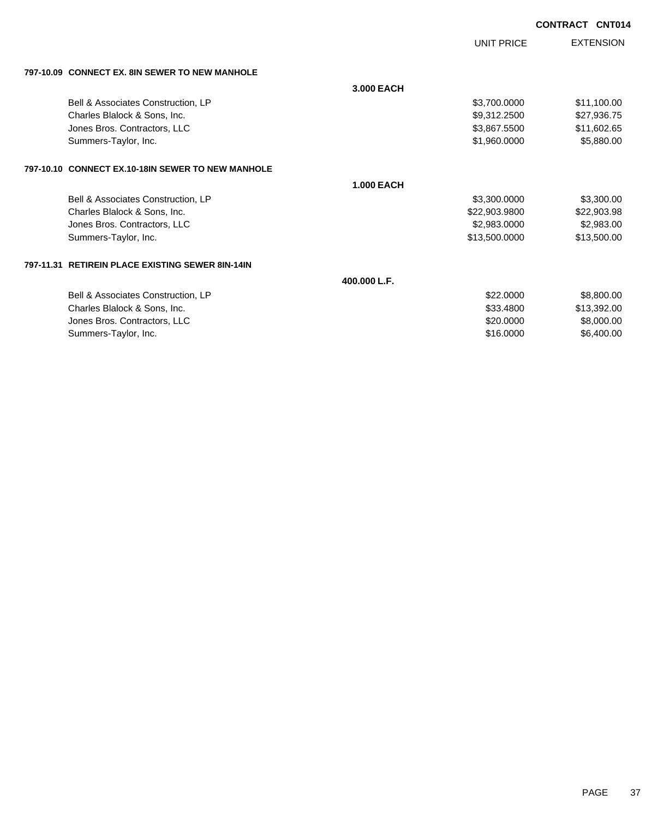UNIT PRICE

EXTENSION

| 797-10.09 CONNECT EX. 8IN SEWER TO NEW MANHOLE    |                   |               |             |
|---------------------------------------------------|-------------------|---------------|-------------|
|                                                   | 3.000 EACH        |               |             |
| Bell & Associates Construction, LP                |                   | \$3,700.0000  | \$11,100.00 |
| Charles Blalock & Sons, Inc.                      |                   | \$9,312.2500  | \$27,936.75 |
| Jones Bros. Contractors, LLC                      |                   | \$3,867.5500  | \$11,602.65 |
| Summers-Taylor, Inc.                              |                   | \$1,960.0000  | \$5,880.00  |
| 797-10.10 CONNECT EX.10-18IN SEWER TO NEW MANHOLE |                   |               |             |
|                                                   | <b>1.000 EACH</b> |               |             |
| Bell & Associates Construction, LP                |                   | \$3,300.0000  | \$3,300.00  |
| Charles Blalock & Sons, Inc.                      |                   | \$22,903.9800 | \$22,903.98 |
| Jones Bros. Contractors, LLC                      |                   | \$2,983.0000  | \$2,983.00  |
| Summers-Taylor, Inc.                              |                   | \$13,500.0000 | \$13,500.00 |

### **797-11.31 RETIREIN PLACE EXISTING SEWER 8IN-14IN**

**400.000 L.F.**

| \$22,0000 | \$8,800,00  |
|-----------|-------------|
| \$33,4800 | \$13.392.00 |
| \$20,0000 | \$8,000,00  |
| \$16,0000 | \$6,400,00  |
|           |             |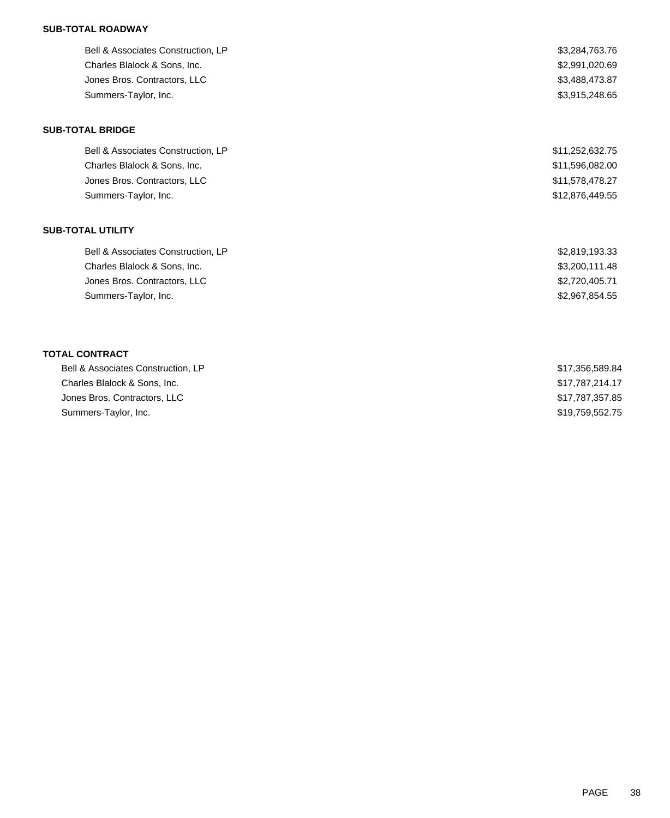## **SUB-TOTAL ROADWAY**

| Bell & Associates Construction, LP | \$3,284,763.76  |
|------------------------------------|-----------------|
| Charles Blalock & Sons, Inc.       | \$2,991,020.69  |
| Jones Bros. Contractors, LLC       | \$3,488,473.87  |
| Summers-Taylor, Inc.               | \$3,915,248.65  |
| <b>SUB-TOTAL BRIDGE</b>            |                 |
| Bell & Associates Construction, LP | \$11,252,632.75 |
| Charles Blalock & Sons, Inc.       | \$11,596,082.00 |
| Jones Bros. Contractors, LLC       | \$11,578,478.27 |
| Summers-Taylor, Inc.               | \$12,876,449.55 |
| <b>SUB-TOTAL UTILITY</b>           |                 |
| Bell & Associates Construction, LP | \$2,819,193.33  |
| Charles Blalock & Sons, Inc.       | \$3,200,111.48  |
| Jones Bros. Contractors, LLC       | \$2,720,405.71  |
| Summers-Taylor, Inc.               | \$2,967,854.55  |
|                                    |                 |
| <b>TOTAL CONTRACT</b>              |                 |
| Bell & Associates Construction, LP | \$17,356,589.84 |
| Charles Blalock & Sons, Inc.       | \$17,787,214.17 |
| Jones Bros. Contractors, LLC       | \$17,787,357.85 |

Summers-Taylor, Inc. \$19,759,552.75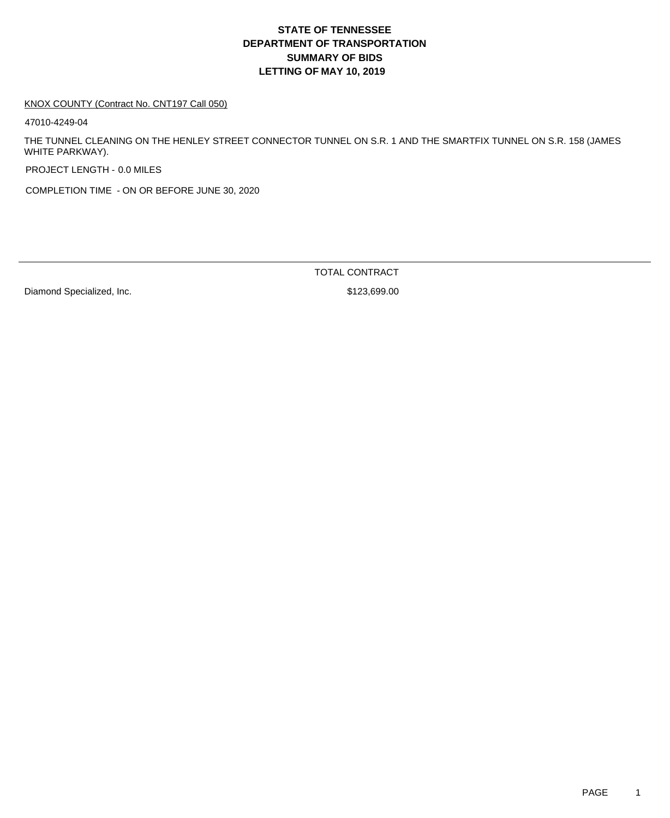#### KNOX COUNTY (Contract No. CNT197 Call 050)

47010-4249-04

THE TUNNEL CLEANING ON THE HENLEY STREET CONNECTOR TUNNEL ON S.R. 1 AND THE SMARTFIX TUNNEL ON S.R. 158 (JAMES WHITE PARKWAY).

PROJECT LENGTH - 0.0 MILES

COMPLETION TIME - ON OR BEFORE JUNE 30, 2020

Diamond Specialized, Inc. 6. The Second Specialized and Superior States of States States States States States States States States States States States States States States States States States States States States States

TOTAL CONTRACT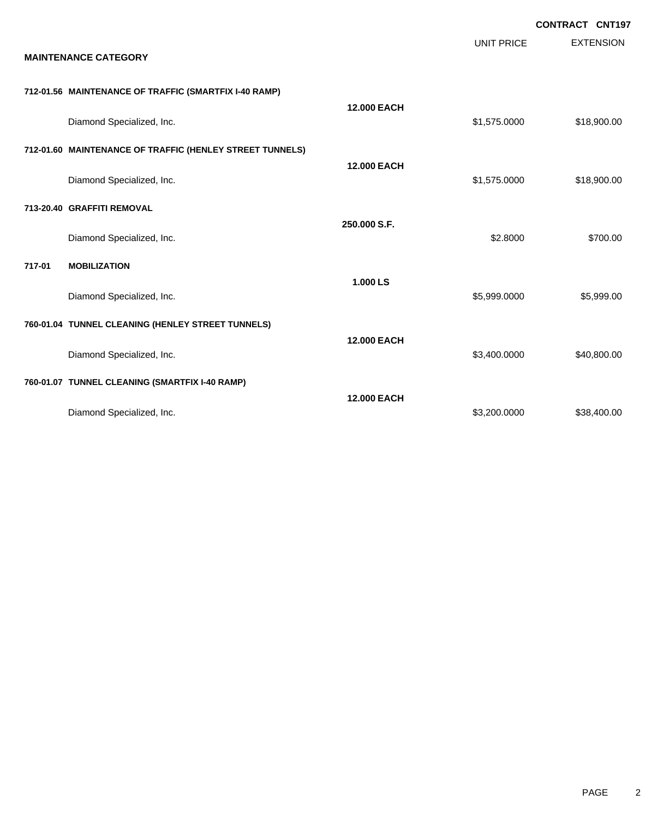|        |                                                          |                    |              | <b>CONTRACT CNT197</b> |
|--------|----------------------------------------------------------|--------------------|--------------|------------------------|
|        | <b>MAINTENANCE CATEGORY</b>                              |                    | UNIT PRICE   | <b>EXTENSION</b>       |
|        | 712-01.56 MAINTENANCE OF TRAFFIC (SMARTFIX I-40 RAMP)    |                    |              |                        |
|        | Diamond Specialized, Inc.                                | <b>12.000 EACH</b> | \$1,575.0000 | \$18,900.00            |
|        | 712-01.60 MAINTENANCE OF TRAFFIC (HENLEY STREET TUNNELS) |                    |              |                        |
|        | Diamond Specialized, Inc.                                | <b>12.000 EACH</b> | \$1,575.0000 | \$18,900.00            |
|        | 713-20.40 GRAFFITI REMOVAL                               |                    |              |                        |
|        | Diamond Specialized, Inc.                                | 250.000 S.F.       | \$2.8000     | \$700.00               |
| 717-01 | <b>MOBILIZATION</b>                                      |                    |              |                        |
|        | Diamond Specialized, Inc.                                | 1.000 LS           | \$5,999.0000 | \$5,999.00             |
|        | 760-01.04 TUNNEL CLEANING (HENLEY STREET TUNNELS)        |                    |              |                        |
|        | Diamond Specialized, Inc.                                | <b>12.000 EACH</b> | \$3,400.0000 | \$40,800.00            |
|        | 760-01.07 TUNNEL CLEANING (SMARTFIX I-40 RAMP)           |                    |              |                        |
|        | Diamond Specialized, Inc.                                | <b>12.000 EACH</b> | \$3,200.0000 | \$38,400.00            |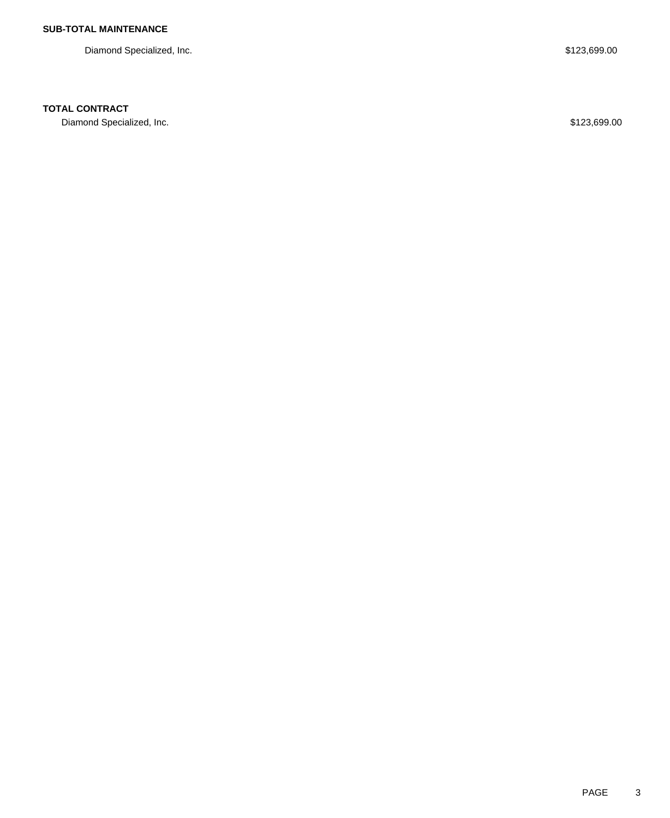Diamond Specialized, Inc. 6. The Second Specialized, Inc. 6. The Second Specialized, Inc. 6. The Second Specialized, Inc.

## **TOTAL CONTRACT**

Diamond Specialized, Inc. 6. The Second Specialized, Inc. 6. The Second Specialized, Inc. 6. The Second Specialized, Inc.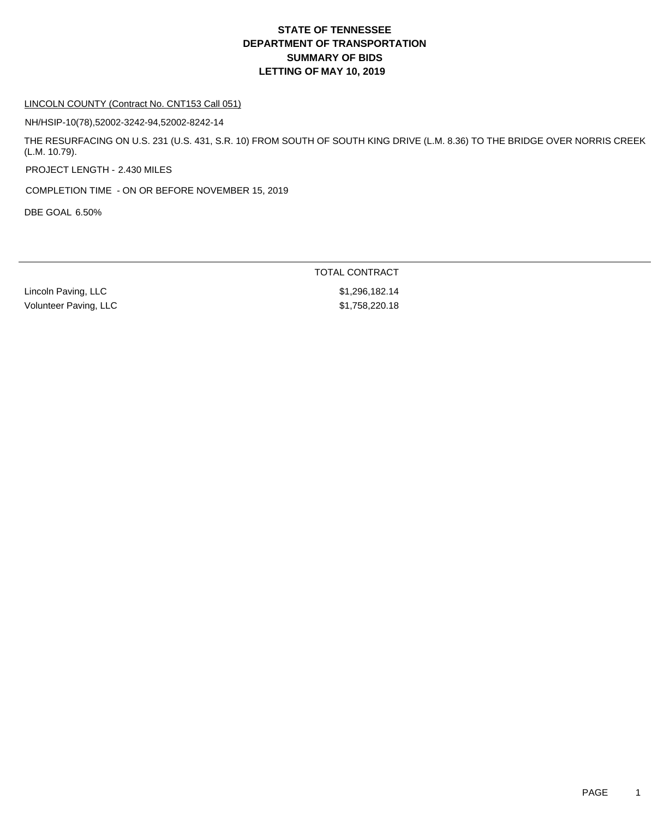#### LINCOLN COUNTY (Contract No. CNT153 Call 051)

NH/HSIP-10(78),52002-3242-94,52002-8242-14

THE RESURFACING ON U.S. 231 (U.S. 431, S.R. 10) FROM SOUTH OF SOUTH KING DRIVE (L.M. 8.36) TO THE BRIDGE OVER NORRIS CREEK (L.M. 10.79).

PROJECT LENGTH - 2.430 MILES

COMPLETION TIME - ON OR BEFORE NOVEMBER 15, 2019

DBE GOAL 6.50%

Lincoln Paving, LLC \$1,296,182.14 Volunteer Paving, LLC \$1,758,220.18

TOTAL CONTRACT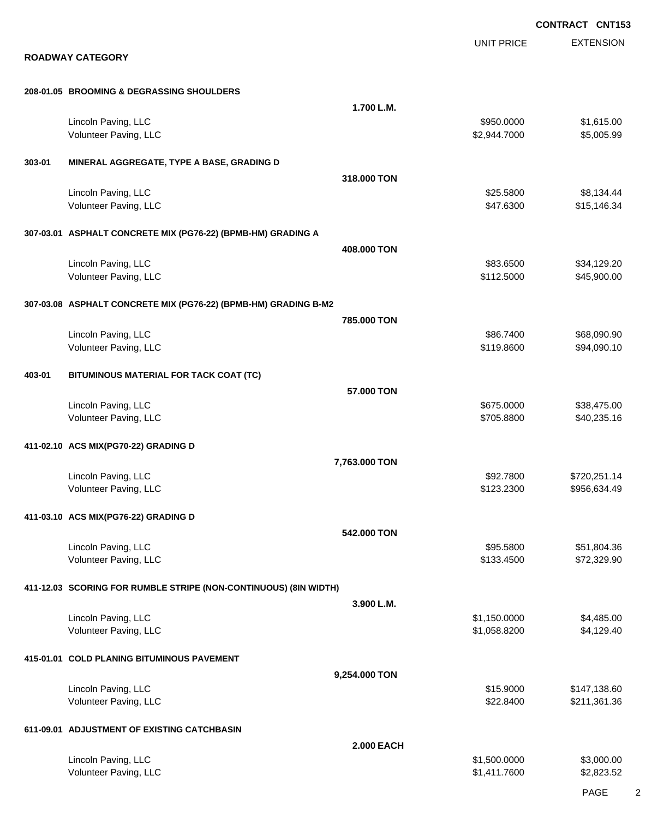EXTENSION **CONTRACT CNT153** UNIT PRICE **ROADWAY CATEGORY 208-01.05 BROOMING & DEGRASSING SHOULDERS 1.700 L.M.** Lincoln Paving, LLC \$1,615.00 Volunteer Paving, LLC 6. 2.944.7000 \$5,005.99 **303-01 MINERAL AGGREGATE, TYPE A BASE, GRADING D 318.000 TON** Lincoln Paving, LLC \$25.5800 \$8,134.44 Volunteer Paving, LLC 6.34 and 1.5 and 1.6 and 1.6 and 1.6 and 1.6 and 1.6 and 1.6 and 1.6 and 1.6 and 1.7 and 1.6 and 1.7 and 1.7 and 1.7 and 1.7 and 1.7 and 1.7 and 1.7 and 1.7 and 1.7 and 1.7 and 1.7 and 1.7 and 1.7 and **307-03.01 ASPHALT CONCRETE MIX (PG76-22) (BPMB-HM) GRADING A 408.000 TON** Lincoln Paving, LLC \$83.6500 \$34,129.20 Volunteer Paving, LLC 645,900.00 \$45,900.00 **307-03.08 ASPHALT CONCRETE MIX (PG76-22) (BPMB-HM) GRADING B-M2 785.000 TON** Lincoln Paving, LLC \$86.7400 \$68,090.90 Volunteer Paving, LLC 694,090.10 **403-01 BITUMINOUS MATERIAL FOR TACK COAT (TC) 57.000 TON** Lincoln Paving, LLC \$38,475.00 \$38,475.00 \$38,475.00 \$58,475.00 \$58,475.00 \$58,475.00 \$58,475.00 \$58,475.00 \$5 Volunteer Paving, LLC 60.235.16 **411-02.10 ACS MIX(PG70-22) GRADING D 7,763.000 TON** Lincoln Paving, LLC \$92.7800 \$720,251.14 Volunteer Paving, LLC 6.634.49 **411-03.10 ACS MIX(PG76-22) GRADING D 542.000 TON** Lincoln Paving, LLC \$95.5800 \$51,804.36 Volunteer Paving, LLC 6. 2012 12:00 \$133.4500 \$72,329.90 **411-12.03 SCORING FOR RUMBLE STRIPE (NON-CONTINUOUS) (8IN WIDTH) 3.900 L.M.** Lincoln Paving, LLC \$1,485.00 \$4,485.00 \$4,485.00 \$4,485.00 \$4,485.00 \$4,485.00 \$4,485.00 \$4,485.00 Volunteer Paving, LLC \$1,058.8200 \$4,129.40 **415-01.01 COLD PLANING BITUMINOUS PAVEMENT 9,254.000 TON** Lincoln Paving, LLC \$15.9000 \$147,138.60 Volunteer Paving, LLC 6. The same state of the set of the set of the set of the set of the set of the set of the set of the set of the set of the set of the set of the set of the set of the set of the set of the set of the **611-09.01 ADJUSTMENT OF EXISTING CATCHBASIN 2.000 EACH** Lincoln Paving, LLC \$1,500.000 \$3,000.00 Volunteer Paving, LLC 62,823.52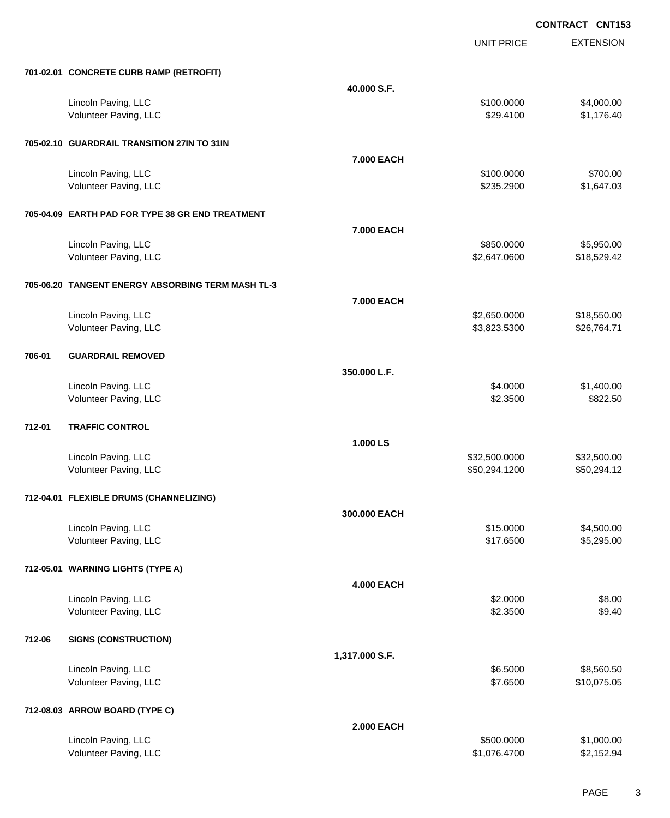|        |                                                   |                   | <b>UNIT PRICE</b> | <b>EXTENSION</b> |
|--------|---------------------------------------------------|-------------------|-------------------|------------------|
|        | 701-02.01 CONCRETE CURB RAMP (RETROFIT)           |                   |                   |                  |
|        |                                                   | 40.000 S.F.       |                   |                  |
|        | Lincoln Paving, LLC                               |                   | \$100.0000        | \$4,000.00       |
|        | Volunteer Paving, LLC                             |                   | \$29.4100         | \$1,176.40       |
|        | 705-02.10 GUARDRAIL TRANSITION 27IN TO 31IN       |                   |                   |                  |
|        |                                                   | 7.000 EACH        |                   |                  |
|        | Lincoln Paving, LLC                               |                   | \$100.0000        | \$700.00         |
|        | Volunteer Paving, LLC                             |                   | \$235.2900        | \$1,647.03       |
|        | 705-04.09 EARTH PAD FOR TYPE 38 GR END TREATMENT  |                   |                   |                  |
|        |                                                   | 7.000 EACH        |                   |                  |
|        | Lincoln Paving, LLC                               |                   | \$850.0000        | \$5,950.00       |
|        | Volunteer Paving, LLC                             |                   | \$2,647.0600      | \$18,529.42      |
|        | 705-06.20 TANGENT ENERGY ABSORBING TERM MASH TL-3 |                   |                   |                  |
|        |                                                   | 7.000 EACH        |                   |                  |
|        | Lincoln Paving, LLC                               |                   | \$2,650.0000      | \$18,550.00      |
|        | Volunteer Paving, LLC                             |                   | \$3,823.5300      | \$26,764.71      |
| 706-01 | <b>GUARDRAIL REMOVED</b>                          |                   |                   |                  |
|        |                                                   | 350.000 L.F.      |                   |                  |
|        | Lincoln Paving, LLC                               |                   | \$4.0000          | \$1,400.00       |
|        | Volunteer Paving, LLC                             |                   | \$2.3500          | \$822.50         |
| 712-01 | <b>TRAFFIC CONTROL</b>                            |                   |                   |                  |
|        |                                                   | 1.000 LS          |                   |                  |
|        | Lincoln Paving, LLC                               |                   | \$32,500.0000     | \$32,500.00      |
|        | Volunteer Paving, LLC                             |                   | \$50,294.1200     | \$50,294.12      |
|        | 712-04.01 FLEXIBLE DRUMS (CHANNELIZING)           |                   |                   |                  |
|        |                                                   | 300.000 EACH      |                   |                  |
|        | Lincoln Paving, LLC                               |                   | \$15.0000         | \$4,500.00       |
|        | Volunteer Paving, LLC                             |                   | \$17.6500         | \$5,295.00       |
|        | 712-05.01 WARNING LIGHTS (TYPE A)                 |                   |                   |                  |
|        |                                                   | <b>4.000 EACH</b> |                   |                  |
|        | Lincoln Paving, LLC                               |                   | \$2.0000          | \$8.00           |
|        | Volunteer Paving, LLC                             |                   | \$2.3500          | \$9.40           |
| 712-06 | <b>SIGNS (CONSTRUCTION)</b>                       |                   |                   |                  |
|        |                                                   | 1,317.000 S.F.    |                   |                  |
|        | Lincoln Paving, LLC                               |                   | \$6.5000          | \$8,560.50       |
|        | Volunteer Paving, LLC                             |                   | \$7.6500          | \$10,075.05      |
|        | 712-08.03 ARROW BOARD (TYPE C)                    |                   |                   |                  |
|        |                                                   | <b>2.000 EACH</b> |                   |                  |
|        | Lincoln Paving, LLC                               |                   | \$500.0000        | \$1,000.00       |
|        | Volunteer Paving, LLC                             |                   | \$1,076.4700      | \$2,152.94       |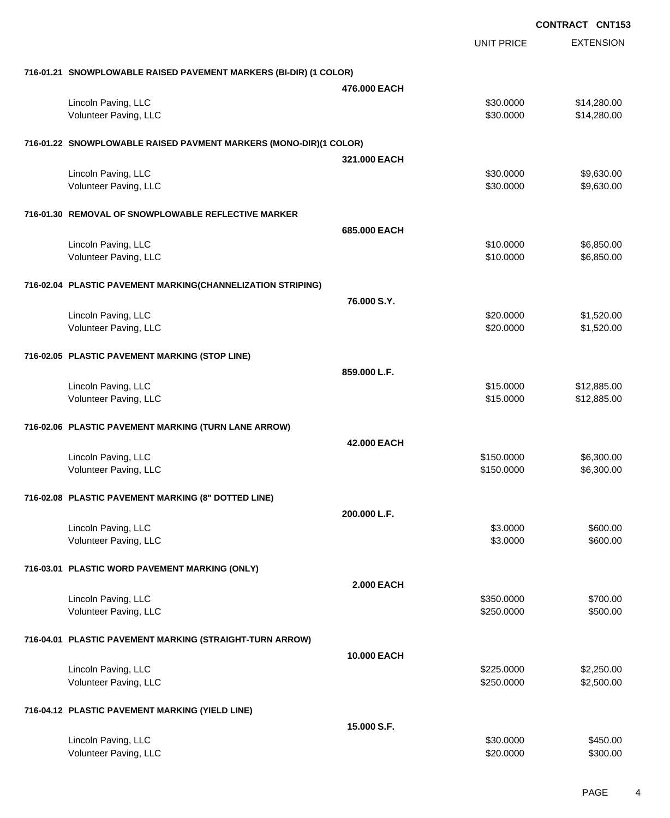**EXTENSION CONTRACT CNT153** UNIT PRICE **716-01.21 SNOWPLOWABLE RAISED PAVEMENT MARKERS (BI-DIR) (1 COLOR) 476.000 EACH** Lincoln Paving, LLC \$30.0000 \$14,280.00 Volunteer Paving, LLC 6. 20000 \$14,280.00 **716-01.22 SNOWPLOWABLE RAISED PAVMENT MARKERS (MONO-DIR)(1 COLOR) 321.000 EACH** Lincoln Paving, LLC \$30.0000 \$9,630.00 Volunteer Paving, LLC 6. 2000 \$9,630.000 \$9,630.000 \$9,630.000 \$9,630.000 \$9,630.000 \$9,630.00 **716-01.30 REMOVAL OF SNOWPLOWABLE REFLECTIVE MARKER 685.000 EACH** Lincoln Paving, LLC \$10.0000 \$6,850.00 Volunteer Paving, LLC 6.850.00 **716-02.04 PLASTIC PAVEMENT MARKING(CHANNELIZATION STRIPING) 76.000 S.Y.** Lincoln Paving, LLC \$1,520.000 \$1,520.000 \$1,520.000 Volunteer Paving, LLC 61,520.000 \$1,520.000 \$1,520.000 \$1,520.000 \$1,520.000 \$1,520.00 **716-02.05 PLASTIC PAVEMENT MARKING (STOP LINE) 859.000 L.F.** Lincoln Paving, LLC \$15.0000 \$12,885.00 Volunteer Paving, LLC 6. The State of the State of the State of the State of State of State of State of State of State of State of State of State of State of State of State of State of State of State of State of State of S **716-02.06 PLASTIC PAVEMENT MARKING (TURN LANE ARROW) 42.000 EACH** Lincoln Paving, LLC \$150.0000 \$6,300.00 Volunteer Paving, LLC 6,300.00 \$6,300.00 \$6,300.00 \$6,300.00 \$6,300.00 \$6,300.00 \$6,300.00 \$6,300.00 \$6,300.00 **716-02.08 PLASTIC PAVEMENT MARKING (8" DOTTED LINE) 200.000 L.F.** Lincoln Paving, LLC \$600.00 \$600.00 \$600.00 Volunteer Paving, LLC 600.00 \$600.00 \$600.00 \$600.00 \$600.00 \$600.00 \$600.00 \$600.00 \$600.00 \$600.00 \$600.00 \$ **716-03.01 PLASTIC WORD PAVEMENT MARKING (ONLY) 2.000 EACH** Lincoln Paving, LLC \$700.00 Volunteer Paving, LLC 6500.000 \$500.000 \$500.00 **716-04.01 PLASTIC PAVEMENT MARKING (STRAIGHT-TURN ARROW) 10.000 EACH** Lincoln Paving, LLC \$225.0000 \$2,250.00 Volunteer Paving, LLC 62,500.00 \$250.000 \$2,500.00 \$2,500.00 **716-04.12 PLASTIC PAVEMENT MARKING (YIELD LINE) 15.000 S.F.**

|                       | ----------- |          |
|-----------------------|-------------|----------|
| Lincoln Paving, LLC   | \$30,0000   | \$450.00 |
| Volunteer Paving, LLC | \$20,0000   | \$300.00 |
|                       |             |          |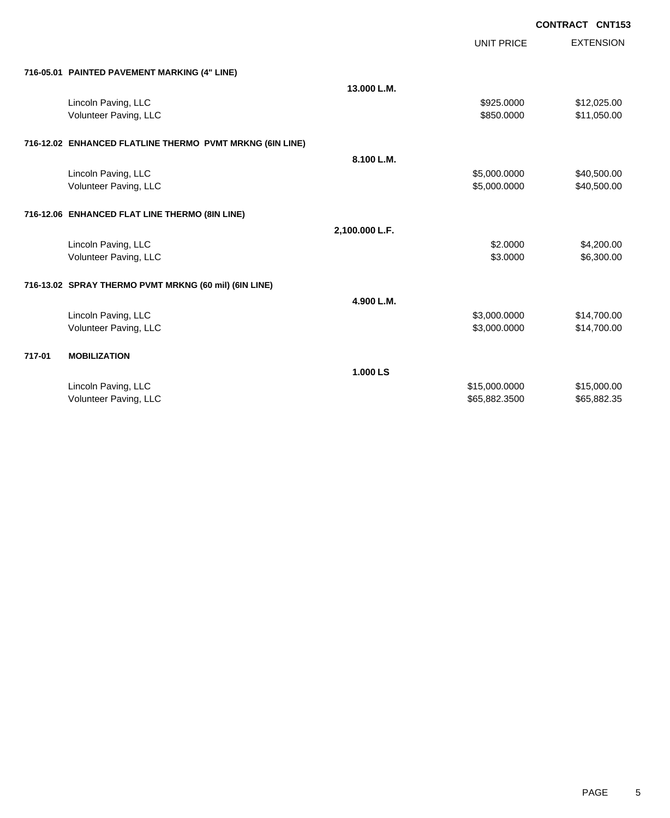|        |                                                          |                | <b>UNIT PRICE</b> | <b>EXTENSION</b> |
|--------|----------------------------------------------------------|----------------|-------------------|------------------|
|        | 716-05.01 PAINTED PAVEMENT MARKING (4" LINE)             |                |                   |                  |
|        |                                                          | 13.000 L.M.    |                   |                  |
|        | Lincoln Paving, LLC                                      |                | \$925.0000        | \$12,025.00      |
|        | Volunteer Paving, LLC                                    |                | \$850.0000        | \$11,050.00      |
|        | 716-12.02 ENHANCED FLATLINE THERMO PVMT MRKNG (6IN LINE) |                |                   |                  |
|        |                                                          | 8.100 L.M.     |                   |                  |
|        | Lincoln Paving, LLC                                      |                | \$5,000.0000      | \$40,500.00      |
|        | Volunteer Paving, LLC                                    |                | \$5,000.0000      | \$40,500.00      |
|        | 716-12.06 ENHANCED FLAT LINE THERMO (8IN LINE)           |                |                   |                  |
|        |                                                          | 2,100.000 L.F. |                   |                  |
|        | Lincoln Paving, LLC                                      |                | \$2.0000          | \$4,200.00       |
|        | Volunteer Paving, LLC                                    |                | \$3.0000          | \$6,300.00       |
|        | 716-13.02 SPRAY THERMO PVMT MRKNG (60 mil) (6IN LINE)    |                |                   |                  |
|        |                                                          | 4.900 L.M.     |                   |                  |
|        | Lincoln Paving, LLC                                      |                | \$3,000.0000      | \$14,700.00      |
|        | Volunteer Paving, LLC                                    |                | \$3,000.0000      | \$14,700.00      |
| 717-01 | <b>MOBILIZATION</b>                                      |                |                   |                  |
|        |                                                          | 1.000 LS       |                   |                  |
|        | Lincoln Paving, LLC                                      |                | \$15,000.0000     | \$15,000.00      |
|        | Volunteer Paving, LLC                                    |                | \$65,882.3500     | \$65,882.35      |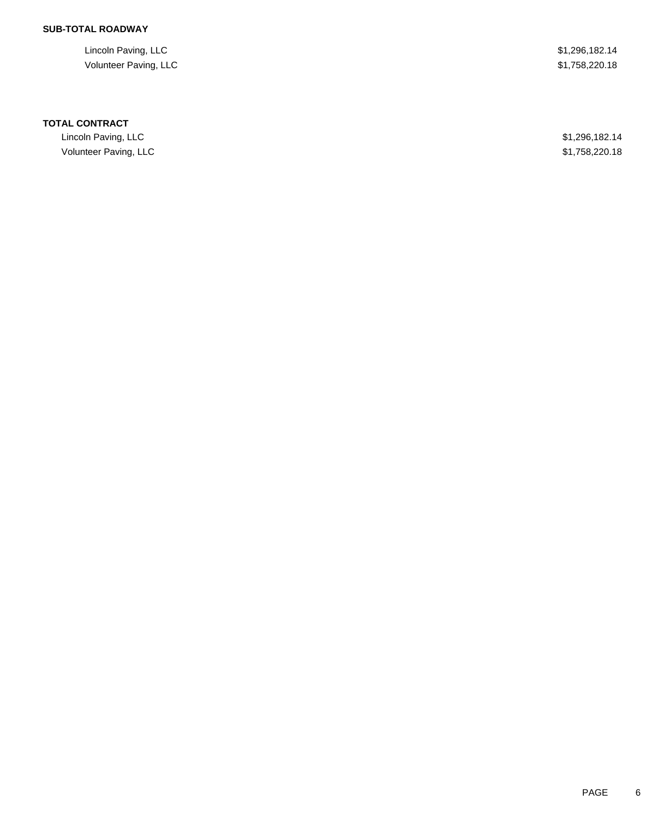## **SUB-TOTAL ROADWAY**

Lincoln Paving, LLC \$1,296,182.14 Volunteer Paving, LLC \$1,758,220.18

### **TOTAL CONTRACT**

Lincoln Paving, LLC \$1,296,182.14 Volunteer Paving, LLC \$1,758,220.18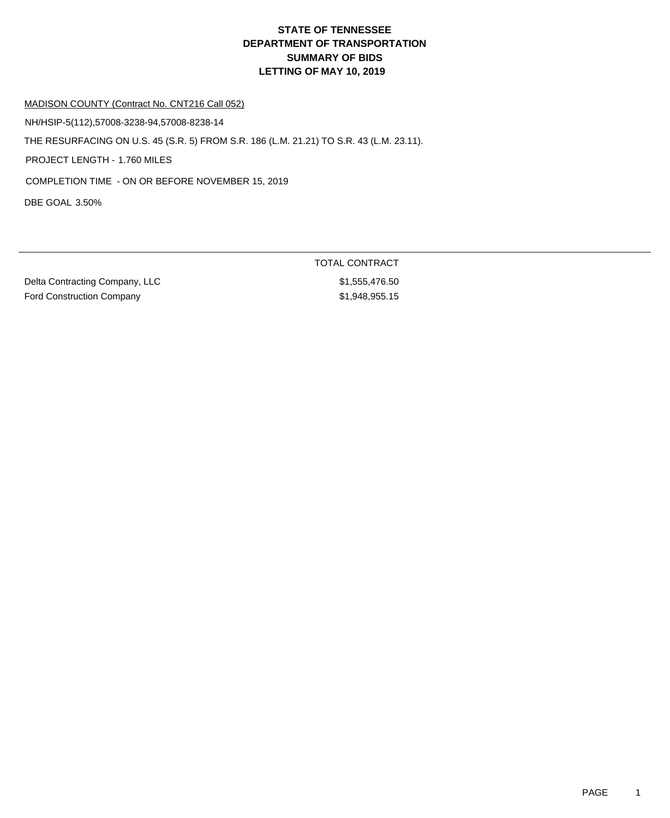MADISON COUNTY (Contract No. CNT216 Call 052)

NH/HSIP-5(112),57008-3238-94,57008-8238-14

THE RESURFACING ON U.S. 45 (S.R. 5) FROM S.R. 186 (L.M. 21.21) TO S.R. 43 (L.M. 23.11).

PROJECT LENGTH - 1.760 MILES

COMPLETION TIME - ON OR BEFORE NOVEMBER 15, 2019

DBE GOAL 3.50%

Delta Contracting Company, LLC \$1,555,476.50 Ford Construction Company **\$1,948,955.15** 

TOTAL CONTRACT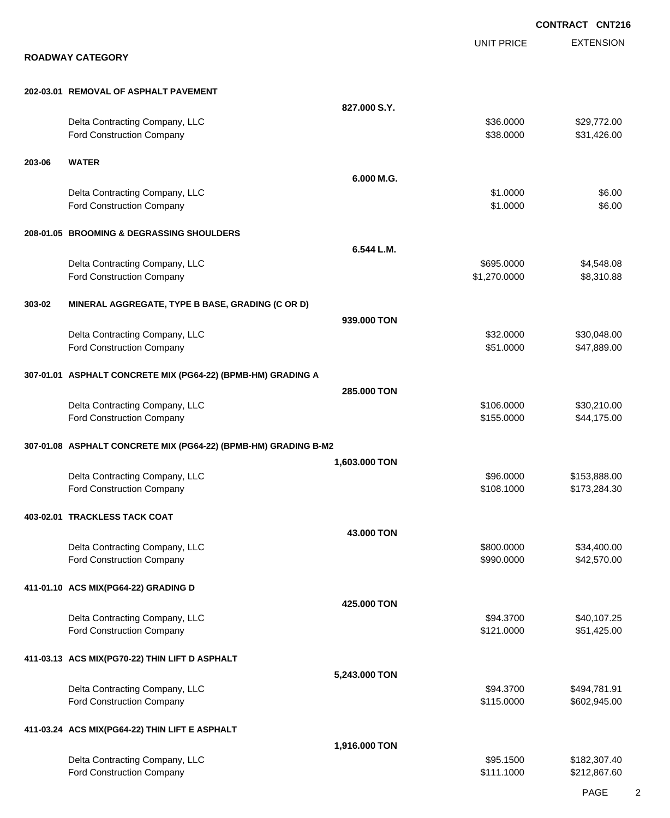|        |                                                                    |               |                            | <b>CONTRACT CNT216</b>       |
|--------|--------------------------------------------------------------------|---------------|----------------------------|------------------------------|
|        | <b>ROADWAY CATEGORY</b>                                            |               | <b>UNIT PRICE</b>          | <b>EXTENSION</b>             |
|        |                                                                    |               |                            |                              |
|        | 202-03.01 REMOVAL OF ASPHALT PAVEMENT                              |               |                            |                              |
|        |                                                                    | 827,000 S.Y.  |                            |                              |
|        | Delta Contracting Company, LLC<br>Ford Construction Company        |               | \$36.0000<br>\$38.0000     | \$29,772.00<br>\$31,426.00   |
| 203-06 | <b>WATER</b>                                                       |               |                            |                              |
|        |                                                                    | 6.000 M.G.    |                            |                              |
|        | Delta Contracting Company, LLC<br>Ford Construction Company        |               | \$1.0000<br>\$1.0000       | \$6.00<br>\$6.00             |
|        | 208-01.05 BROOMING & DEGRASSING SHOULDERS                          |               |                            |                              |
|        |                                                                    | 6.544 L.M.    |                            |                              |
|        | Delta Contracting Company, LLC<br><b>Ford Construction Company</b> |               | \$695.0000<br>\$1,270.0000 | \$4,548.08<br>\$8,310.88     |
| 303-02 | MINERAL AGGREGATE, TYPE B BASE, GRADING (C OR D)                   |               |                            |                              |
|        |                                                                    | 939,000 TON   |                            |                              |
|        | Delta Contracting Company, LLC                                     |               | \$32.0000                  | \$30,048.00                  |
|        | Ford Construction Company                                          |               | \$51.0000                  | \$47,889.00                  |
|        | 307-01.01 ASPHALT CONCRETE MIX (PG64-22) (BPMB-HM) GRADING A       |               |                            |                              |
|        |                                                                    | 285.000 TON   |                            |                              |
|        | Delta Contracting Company, LLC<br>Ford Construction Company        |               | \$106.0000<br>\$155.0000   | \$30,210.00<br>\$44,175.00   |
|        | 307-01.08 ASPHALT CONCRETE MIX (PG64-22) (BPMB-HM) GRADING B-M2    |               |                            |                              |
|        |                                                                    | 1,603.000 TON |                            |                              |
|        | Delta Contracting Company, LLC                                     |               | \$96,0000                  | \$153,888.00                 |
|        | Ford Construction Company                                          |               | \$108.1000                 | \$173,284.30                 |
|        | 403-02.01 TRACKLESS TACK COAT                                      |               |                            |                              |
|        |                                                                    | 43.000 TON    |                            |                              |
|        | Delta Contracting Company, LLC<br>Ford Construction Company        |               | \$800.0000<br>\$990.0000   | \$34,400.00<br>\$42,570.00   |
|        | 411-01.10 ACS MIX(PG64-22) GRADING D                               |               |                            |                              |
|        |                                                                    | 425.000 TON   |                            |                              |
|        | Delta Contracting Company, LLC                                     |               | \$94.3700                  | \$40,107.25                  |
|        | Ford Construction Company                                          |               | \$121.0000                 | \$51,425.00                  |
|        | 411-03.13 ACS MIX(PG70-22) THIN LIFT D ASPHALT                     |               |                            |                              |
|        |                                                                    | 5,243.000 TON |                            |                              |
|        | Delta Contracting Company, LLC<br>Ford Construction Company        |               | \$94.3700<br>\$115.0000    | \$494,781.91<br>\$602,945.00 |
|        | 411-03.24 ACS MIX(PG64-22) THIN LIFT E ASPHALT                     |               |                            |                              |
|        |                                                                    | 1,916.000 TON |                            |                              |
|        | Delta Contracting Company, LLC                                     |               | \$95.1500                  | \$182,307.40                 |
|        | <b>Ford Construction Company</b>                                   |               | \$111.1000                 | \$212,867.60                 |

PAGE 2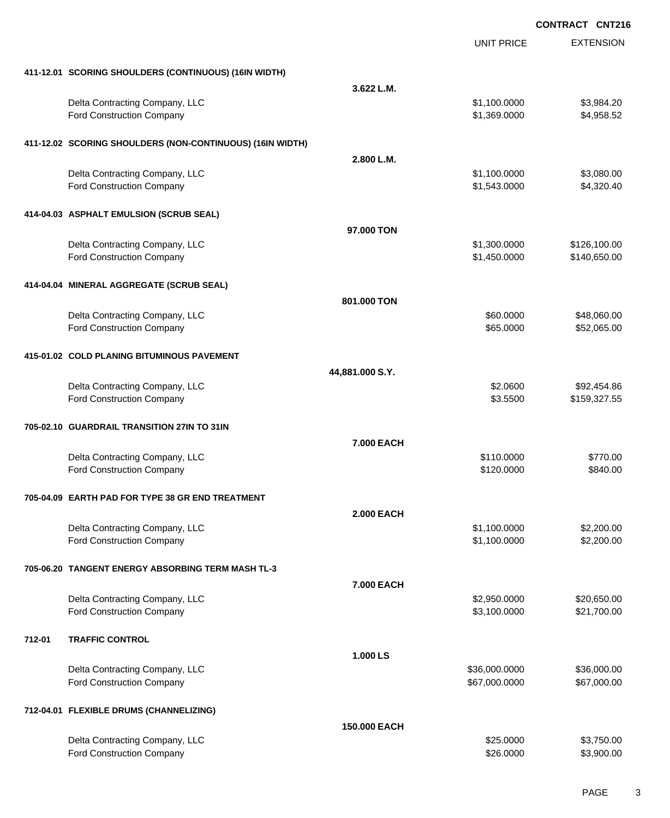|        |                                                           |                   | <b>UNIT PRICE</b> | <b>EXTENSION</b> |
|--------|-----------------------------------------------------------|-------------------|-------------------|------------------|
|        | 411-12.01 SCORING SHOULDERS (CONTINUOUS) (16IN WIDTH)     |                   |                   |                  |
|        |                                                           | 3.622 L.M.        |                   |                  |
|        | Delta Contracting Company, LLC                            |                   | \$1,100.0000      | \$3,984.20       |
|        | <b>Ford Construction Company</b>                          |                   | \$1,369.0000      | \$4,958.52       |
|        | 411-12.02 SCORING SHOULDERS (NON-CONTINUOUS) (16IN WIDTH) |                   |                   |                  |
|        |                                                           | 2.800 L.M.        |                   |                  |
|        | Delta Contracting Company, LLC                            |                   | \$1,100.0000      | \$3,080.00       |
|        | <b>Ford Construction Company</b>                          |                   | \$1,543.0000      | \$4,320.40       |
|        | 414-04.03 ASPHALT EMULSION (SCRUB SEAL)                   |                   |                   |                  |
|        |                                                           | 97.000 TON        |                   |                  |
|        | Delta Contracting Company, LLC                            |                   | \$1,300.0000      | \$126,100.00     |
|        | <b>Ford Construction Company</b>                          |                   | \$1,450.0000      | \$140,650.00     |
|        | 414-04.04 MINERAL AGGREGATE (SCRUB SEAL)                  |                   |                   |                  |
|        |                                                           | 801.000 TON       |                   |                  |
|        | Delta Contracting Company, LLC                            |                   | \$60.0000         | \$48,060.00      |
|        | <b>Ford Construction Company</b>                          |                   | \$65.0000         | \$52,065.00      |
|        | 415-01.02 COLD PLANING BITUMINOUS PAVEMENT                |                   |                   |                  |
|        |                                                           | 44,881.000 S.Y.   |                   |                  |
|        | Delta Contracting Company, LLC                            |                   | \$2.0600          | \$92,454.86      |
|        | <b>Ford Construction Company</b>                          |                   | \$3.5500          | \$159,327.55     |
|        | 705-02.10 GUARDRAIL TRANSITION 27IN TO 31IN               |                   |                   |                  |
|        |                                                           | <b>7.000 EACH</b> |                   |                  |
|        | Delta Contracting Company, LLC                            |                   | \$110.0000        | \$770.00         |
|        | Ford Construction Company                                 |                   | \$120.0000        | \$840.00         |
|        | 705-04.09 EARTH PAD FOR TYPE 38 GR END TREATMENT          |                   |                   |                  |
|        |                                                           | <b>2.000 EACH</b> |                   |                  |
|        | Delta Contracting Company, LLC                            |                   | \$1,100.0000      | \$2,200.00       |
|        | Ford Construction Company                                 |                   | \$1,100.0000      | \$2,200.00       |
|        | 705-06.20 TANGENT ENERGY ABSORBING TERM MASH TL-3         |                   |                   |                  |
|        |                                                           | <b>7.000 EACH</b> |                   |                  |
|        | Delta Contracting Company, LLC                            |                   | \$2,950.0000      | \$20,650.00      |
|        | Ford Construction Company                                 |                   | \$3,100.0000      | \$21,700.00      |
| 712-01 | <b>TRAFFIC CONTROL</b>                                    |                   |                   |                  |
|        |                                                           | 1.000 LS          |                   |                  |
|        | Delta Contracting Company, LLC                            |                   | \$36,000.0000     | \$36,000.00      |
|        | Ford Construction Company                                 |                   | \$67,000.0000     | \$67,000.00      |
|        | 712-04.01 FLEXIBLE DRUMS (CHANNELIZING)                   |                   |                   |                  |
|        |                                                           | 150.000 EACH      |                   |                  |
|        | Delta Contracting Company, LLC                            |                   | \$25.0000         | \$3,750.00       |
|        | Ford Construction Company                                 |                   | \$26.0000         | \$3,900.00       |
|        |                                                           |                   |                   |                  |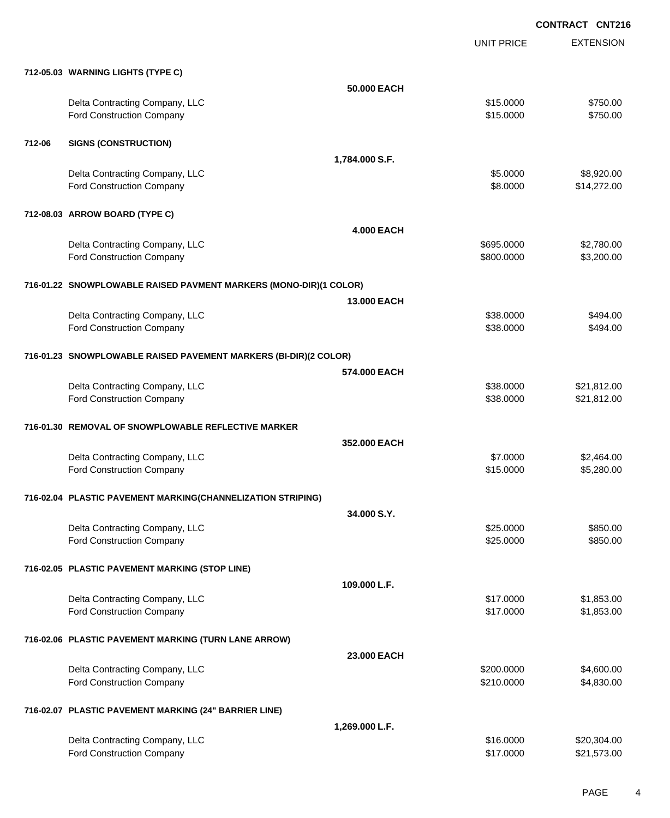UNIT PRICE

EXTENSION

|        | 712-05.03 WARNING LIGHTS (TYPE C)                                 |                   |            |             |
|--------|-------------------------------------------------------------------|-------------------|------------|-------------|
|        |                                                                   | 50.000 EACH       |            |             |
|        | Delta Contracting Company, LLC                                    |                   | \$15.0000  | \$750.00    |
|        | Ford Construction Company                                         |                   | \$15.0000  | \$750.00    |
| 712-06 | <b>SIGNS (CONSTRUCTION)</b>                                       |                   |            |             |
|        |                                                                   | 1,784.000 S.F.    |            |             |
|        | Delta Contracting Company, LLC                                    |                   | \$5.0000   | \$8,920.00  |
|        | Ford Construction Company                                         |                   | \$8.0000   | \$14,272.00 |
|        | 712-08.03 ARROW BOARD (TYPE C)                                    |                   |            |             |
|        |                                                                   | <b>4.000 EACH</b> |            |             |
|        | Delta Contracting Company, LLC                                    |                   | \$695.0000 | \$2,780.00  |
|        | Ford Construction Company                                         |                   | \$800.0000 | \$3,200.00  |
|        | 716-01.22 SNOWPLOWABLE RAISED PAVMENT MARKERS (MONO-DIR)(1 COLOR) |                   |            |             |
|        |                                                                   | 13.000 EACH       |            |             |
|        | Delta Contracting Company, LLC                                    |                   | \$38.0000  | \$494.00    |
|        | Ford Construction Company                                         |                   | \$38.0000  | \$494.00    |
|        | 716-01.23 SNOWPLOWABLE RAISED PAVEMENT MARKERS (BI-DIR)(2 COLOR)  |                   |            |             |
|        |                                                                   | 574,000 EACH      |            |             |
|        | Delta Contracting Company, LLC                                    |                   | \$38.0000  | \$21,812.00 |
|        | Ford Construction Company                                         |                   | \$38.0000  | \$21,812.00 |
|        | 716-01.30 REMOVAL OF SNOWPLOWABLE REFLECTIVE MARKER               |                   |            |             |
|        |                                                                   | 352.000 EACH      |            |             |
|        | Delta Contracting Company, LLC                                    |                   | \$7.0000   | \$2,464.00  |
|        | Ford Construction Company                                         |                   | \$15.0000  | \$5,280.00  |
|        | 716-02.04 PLASTIC PAVEMENT MARKING(CHANNELIZATION STRIPING)       |                   |            |             |
|        |                                                                   | 34.000 S.Y.       |            |             |
|        | Delta Contracting Company, LLC                                    |                   | \$25.0000  | \$850.00    |
|        | Ford Construction Company                                         |                   | \$25.0000  | \$850.00    |
|        | 716-02.05 PLASTIC PAVEMENT MARKING (STOP LINE)                    |                   |            |             |
|        |                                                                   | 109.000 L.F.      |            |             |
|        | Delta Contracting Company, LLC                                    |                   | \$17.0000  | \$1,853.00  |
|        | Ford Construction Company                                         |                   | \$17.0000  | \$1,853.00  |
|        | 716-02.06 PLASTIC PAVEMENT MARKING (TURN LANE ARROW)              |                   |            |             |
|        |                                                                   | 23.000 EACH       |            |             |
|        | Delta Contracting Company, LLC                                    |                   | \$200.0000 | \$4,600.00  |
|        | Ford Construction Company                                         |                   | \$210.0000 | \$4,830.00  |
|        | 716-02.07 PLASTIC PAVEMENT MARKING (24" BARRIER LINE)             |                   |            |             |
|        |                                                                   | 1,269.000 L.F.    |            |             |
|        | Delta Contracting Company, LLC                                    |                   | \$16.0000  | \$20,304.00 |

Ford Construction Company 621,573.00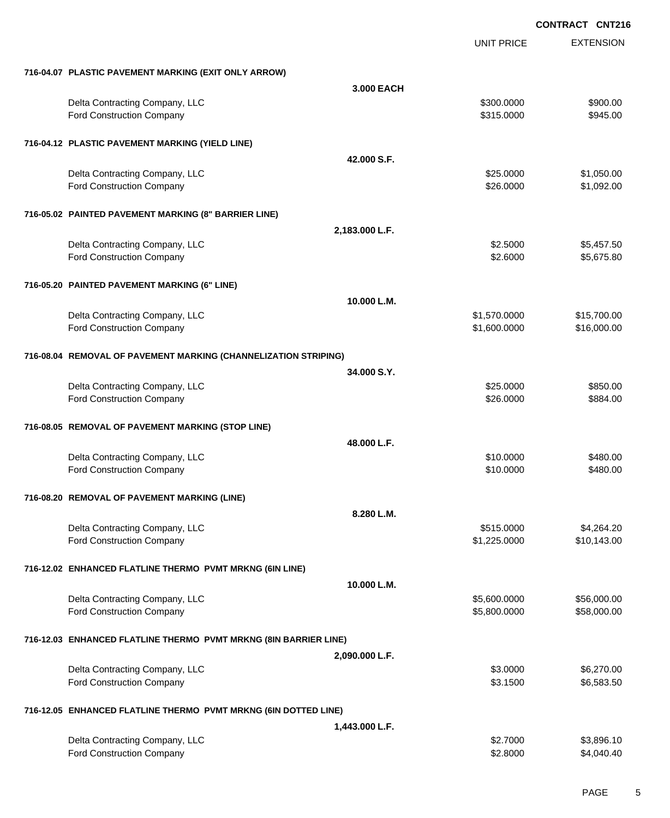|                                                                  |                | <b>UNIT PRICE</b> | <b>EXTENSION</b> |
|------------------------------------------------------------------|----------------|-------------------|------------------|
| 716-04.07 PLASTIC PAVEMENT MARKING (EXIT ONLY ARROW)             |                |                   |                  |
|                                                                  | 3.000 EACH     |                   |                  |
| Delta Contracting Company, LLC                                   |                | \$300.0000        | \$900.00         |
| Ford Construction Company                                        |                | \$315.0000        | \$945.00         |
| 716-04.12 PLASTIC PAVEMENT MARKING (YIELD LINE)                  |                |                   |                  |
|                                                                  | 42.000 S.F.    |                   |                  |
| Delta Contracting Company, LLC                                   |                | \$25.0000         | \$1,050.00       |
| <b>Ford Construction Company</b>                                 |                | \$26.0000         | \$1,092.00       |
| 716-05.02 PAINTED PAVEMENT MARKING (8" BARRIER LINE)             |                |                   |                  |
|                                                                  | 2,183.000 L.F. |                   |                  |
| Delta Contracting Company, LLC                                   |                | \$2.5000          | \$5,457.50       |
| Ford Construction Company                                        |                | \$2.6000          | \$5,675.80       |
| 716-05.20 PAINTED PAVEMENT MARKING (6" LINE)                     |                |                   |                  |
|                                                                  | 10.000 L.M.    |                   |                  |
| Delta Contracting Company, LLC                                   |                | \$1,570.0000      | \$15,700.00      |
| Ford Construction Company                                        |                | \$1,600.0000      | \$16,000.00      |
| 716-08.04 REMOVAL OF PAVEMENT MARKING (CHANNELIZATION STRIPING)  |                |                   |                  |
|                                                                  | 34.000 S.Y.    |                   |                  |
| Delta Contracting Company, LLC                                   |                | \$25.0000         | \$850.00         |
| Ford Construction Company                                        |                | \$26.0000         | \$884.00         |
| 716-08.05 REMOVAL OF PAVEMENT MARKING (STOP LINE)                |                |                   |                  |
|                                                                  | 48.000 L.F.    |                   |                  |
| Delta Contracting Company, LLC                                   |                | \$10.0000         | \$480.00         |
| <b>Ford Construction Company</b>                                 |                | \$10.0000         | \$480.00         |
| 716-08.20 REMOVAL OF PAVEMENT MARKING (LINE)                     |                |                   |                  |
|                                                                  | 8.280 L.M.     |                   |                  |
| Delta Contracting Company, LLC                                   |                | \$515.0000        | \$4,264.20       |
| Ford Construction Company                                        |                | \$1,225.0000      | \$10,143.00      |
| 716-12.02 ENHANCED FLATLINE THERMO PVMT MRKNG (6IN LINE)         |                |                   |                  |
|                                                                  | 10.000 L.M.    |                   |                  |
| Delta Contracting Company, LLC                                   |                | \$5,600.0000      | \$56,000.00      |
| Ford Construction Company                                        |                | \$5,800.0000      | \$58,000.00      |
| 716-12.03 ENHANCED FLATLINE THERMO PVMT MRKNG (8IN BARRIER LINE) |                |                   |                  |
|                                                                  | 2,090.000 L.F. |                   |                  |
| Delta Contracting Company, LLC                                   |                | \$3.0000          | \$6,270.00       |
| <b>Ford Construction Company</b>                                 |                | \$3.1500          | \$6,583.50       |
| 716-12.05 ENHANCED FLATLINE THERMO PVMT MRKNG (6IN DOTTED LINE)  |                |                   |                  |
|                                                                  | 1,443.000 L.F. |                   |                  |
| Delta Contracting Company, LLC                                   |                | \$2.7000          | \$3,896.10       |
| Ford Construction Company                                        |                | \$2.8000          | \$4,040.40       |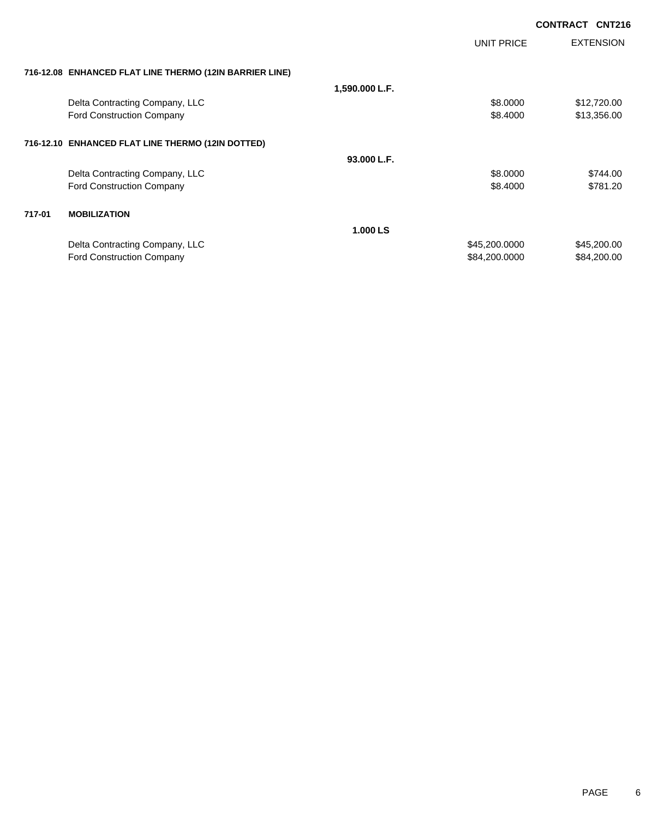|        |                                                         |                |                   | <b>CONTRACT CNT216</b> |
|--------|---------------------------------------------------------|----------------|-------------------|------------------------|
|        |                                                         |                | <b>UNIT PRICE</b> | <b>EXTENSION</b>       |
|        | 716-12.08 ENHANCED FLAT LINE THERMO (12IN BARRIER LINE) |                |                   |                        |
|        |                                                         | 1,590.000 L.F. |                   |                        |
|        | Delta Contracting Company, LLC                          |                | \$8.0000          | \$12,720.00            |
|        | <b>Ford Construction Company</b>                        |                | \$8.4000          | \$13,356.00            |
|        | 716-12.10 ENHANCED FLAT LINE THERMO (12IN DOTTED)       |                |                   |                        |
|        |                                                         | 93.000 L.F.    |                   |                        |
|        | Delta Contracting Company, LLC                          |                | \$8.0000          | \$744.00               |
|        | <b>Ford Construction Company</b>                        |                | \$8,4000          | \$781.20               |
| 717-01 | <b>MOBILIZATION</b>                                     |                |                   |                        |
|        |                                                         | 1.000 LS       |                   |                        |
|        | Delta Contracting Company, LLC                          |                | \$45,200.0000     | \$45,200.00            |
|        | <b>Ford Construction Company</b>                        |                | \$84,200.0000     | \$84,200.00            |
|        |                                                         |                |                   |                        |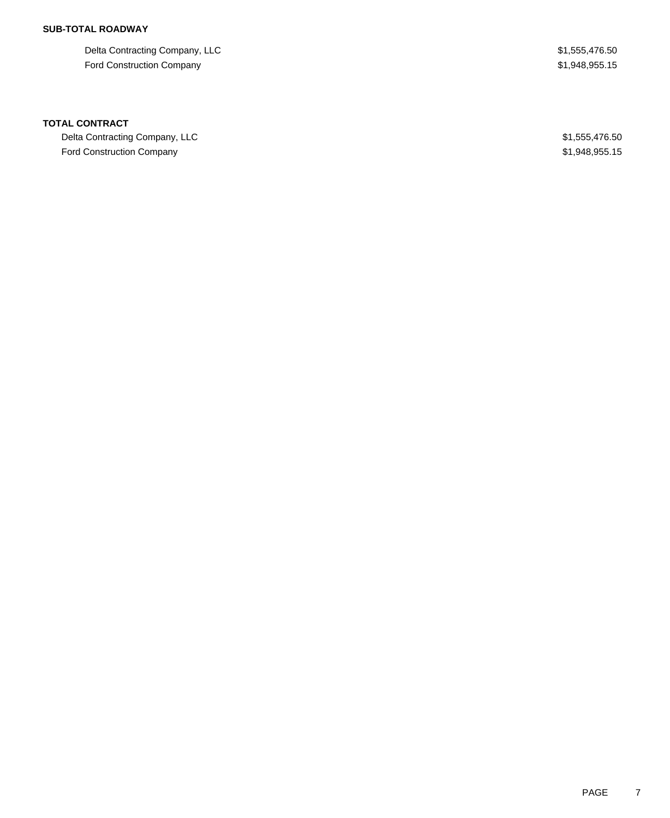## **SUB-TOTAL ROADWAY**

Delta Contracting Company, LLC  $$1,555,476.50$ Ford Construction Company **\$1,948,955.15** 

### **TOTAL CONTRACT**

Delta Contracting Company, LLC  $$1,555,476.50$ Ford Construction Company **\$1,948,955.15**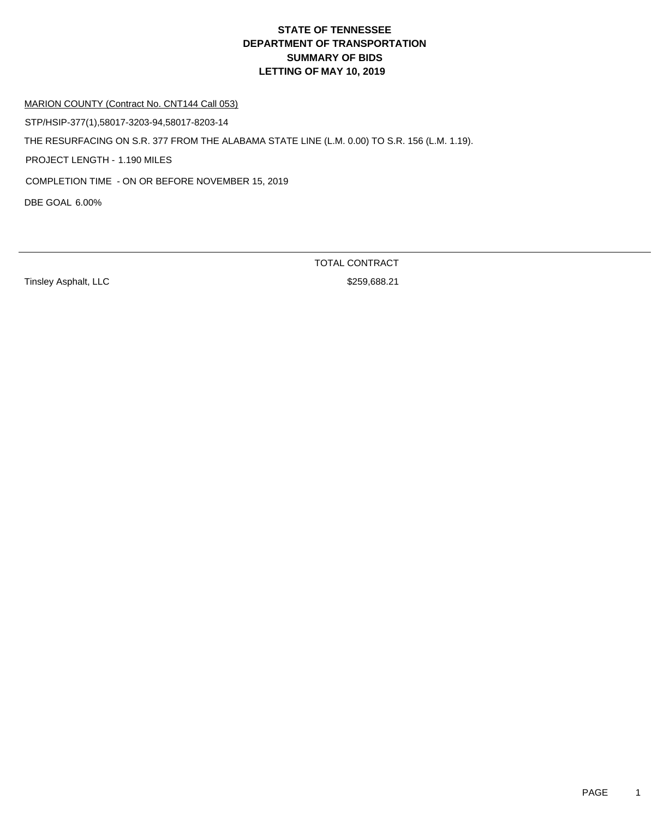MARION COUNTY (Contract No. CNT144 Call 053)

STP/HSIP-377(1),58017-3203-94,58017-8203-14

THE RESURFACING ON S.R. 377 FROM THE ALABAMA STATE LINE (L.M. 0.00) TO S.R. 156 (L.M. 1.19).

PROJECT LENGTH - 1.190 MILES

COMPLETION TIME - ON OR BEFORE NOVEMBER 15, 2019

DBE GOAL 6.00%

TOTAL CONTRACT

Tinsley Asphalt, LLC **\$259,688.21**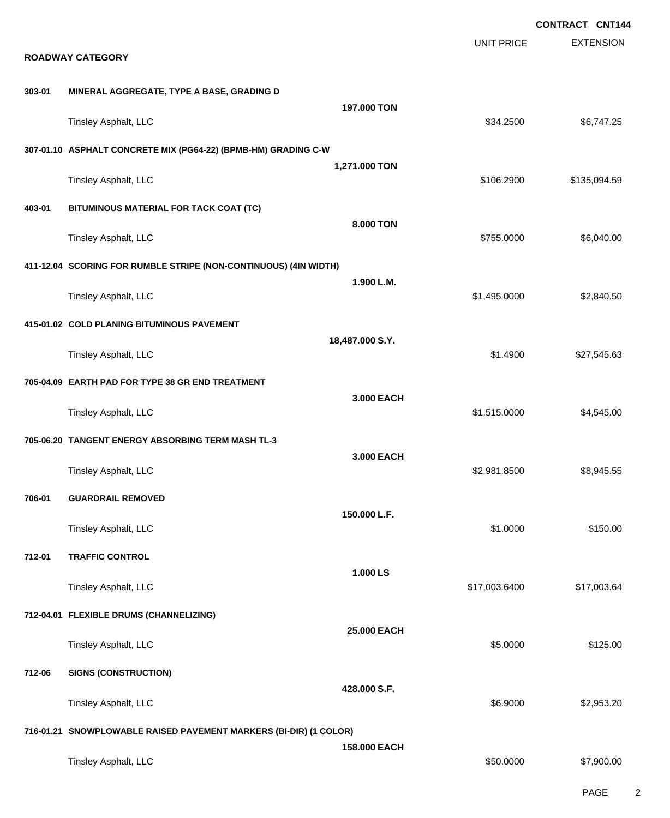|        |                                                                   |                 |                   | <b>CONTRACT CNT144</b> |
|--------|-------------------------------------------------------------------|-----------------|-------------------|------------------------|
|        | <b>ROADWAY CATEGORY</b>                                           |                 | <b>UNIT PRICE</b> | <b>EXTENSION</b>       |
|        |                                                                   |                 |                   |                        |
| 303-01 | MINERAL AGGREGATE, TYPE A BASE, GRADING D                         | 197.000 TON     |                   |                        |
|        | Tinsley Asphalt, LLC                                              |                 | \$34.2500         | \$6,747.25             |
|        | 307-01.10 ASPHALT CONCRETE MIX (PG64-22) (BPMB-HM) GRADING C-W    |                 |                   |                        |
|        | Tinsley Asphalt, LLC                                              | 1,271.000 TON   | \$106.2900        | \$135,094.59           |
| 403-01 | BITUMINOUS MATERIAL FOR TACK COAT (TC)                            |                 |                   |                        |
|        | Tinsley Asphalt, LLC                                              | 8.000 TON       | \$755.0000        | \$6,040.00             |
|        | 411-12.04 SCORING FOR RUMBLE STRIPE (NON-CONTINUOUS) (4IN WIDTH)  |                 |                   |                        |
|        | Tinsley Asphalt, LLC                                              | 1.900 L.M.      | \$1,495.0000      | \$2,840.50             |
|        | 415-01.02 COLD PLANING BITUMINOUS PAVEMENT                        |                 |                   |                        |
|        | Tinsley Asphalt, LLC                                              | 18,487.000 S.Y. | \$1.4900          | \$27,545.63            |
|        | 705-04.09 EARTH PAD FOR TYPE 38 GR END TREATMENT                  |                 |                   |                        |
|        | Tinsley Asphalt, LLC                                              | 3.000 EACH      | \$1,515.0000      | \$4,545.00             |
|        | 705-06.20 TANGENT ENERGY ABSORBING TERM MASH TL-3                 |                 |                   |                        |
|        | Tinsley Asphalt, LLC                                              | 3.000 EACH      | \$2,981.8500      | \$8,945.55             |
| 706-01 | <b>GUARDRAIL REMOVED</b>                                          |                 |                   |                        |
|        | Tinsley Asphalt, LLC                                              | 150.000 L.F.    | \$1.0000          | \$150.00               |
| 712-01 | <b>TRAFFIC CONTROL</b>                                            |                 |                   |                        |
|        | Tinsley Asphalt, LLC                                              | 1.000 LS        | \$17,003.6400     | \$17,003.64            |
|        | 712-04.01 FLEXIBLE DRUMS (CHANNELIZING)                           |                 |                   |                        |
|        | Tinsley Asphalt, LLC                                              | 25.000 EACH     | \$5.0000          | \$125.00               |
| 712-06 | <b>SIGNS (CONSTRUCTION)</b>                                       |                 |                   |                        |
|        | Tinsley Asphalt, LLC                                              | 428.000 S.F.    | \$6.9000          | \$2,953.20             |
|        | 716-01.21 SNOWPLOWABLE RAISED PAVEMENT MARKERS (BI-DIR) (1 COLOR) |                 |                   |                        |
|        | Tinsley Asphalt, LLC                                              | 158.000 EACH    | \$50.0000         | \$7,900.00             |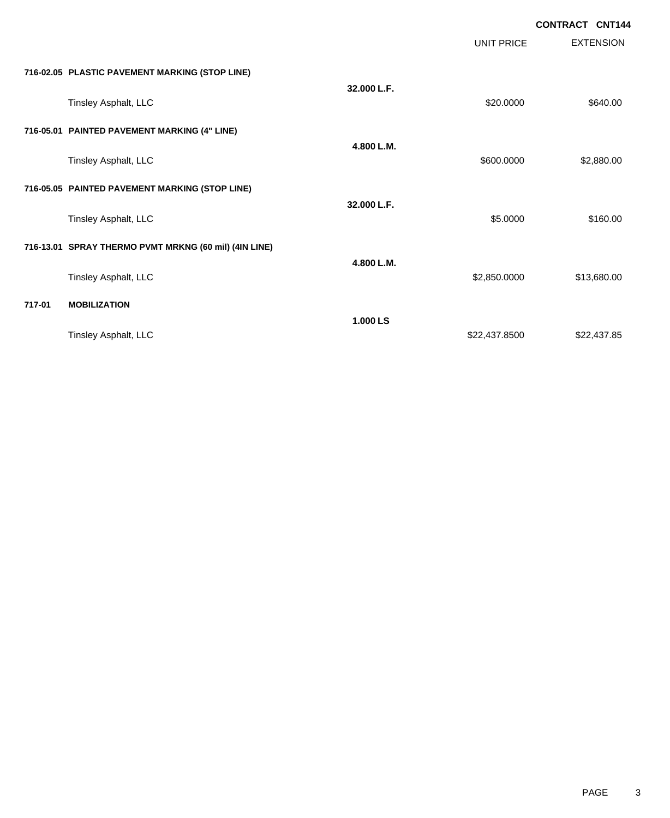|        |                                                       |             | <b>UNIT PRICE</b> | <b>EXTENSION</b> |
|--------|-------------------------------------------------------|-------------|-------------------|------------------|
|        | 716-02.05 PLASTIC PAVEMENT MARKING (STOP LINE)        |             |                   |                  |
|        | Tinsley Asphalt, LLC                                  | 32.000 L.F. | \$20.0000         | \$640.00         |
|        | 716-05.01 PAINTED PAVEMENT MARKING (4" LINE)          |             |                   |                  |
|        | Tinsley Asphalt, LLC                                  | 4.800 L.M.  | \$600.0000        | \$2,880.00       |
|        | 716-05.05 PAINTED PAVEMENT MARKING (STOP LINE)        |             |                   |                  |
|        | Tinsley Asphalt, LLC                                  | 32.000 L.F. | \$5.0000          | \$160.00         |
|        | 716-13.01 SPRAY THERMO PVMT MRKNG (60 mil) (4IN LINE) |             |                   |                  |
|        | Tinsley Asphalt, LLC                                  | 4.800 L.M.  | \$2,850.0000      | \$13,680.00      |
| 717-01 | <b>MOBILIZATION</b>                                   |             |                   |                  |
|        | Tinsley Asphalt, LLC                                  | 1.000 LS    | \$22,437.8500     | \$22,437.85      |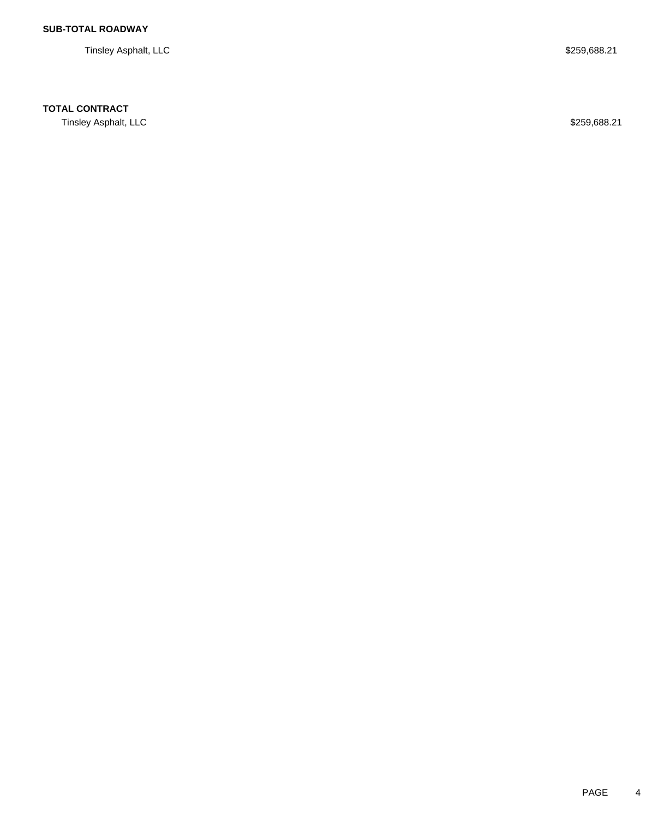Tinsley Asphalt, LLC \$259,688.21

## **TOTAL CONTRACT**

Tinsley Asphalt, LLC \$259,688.21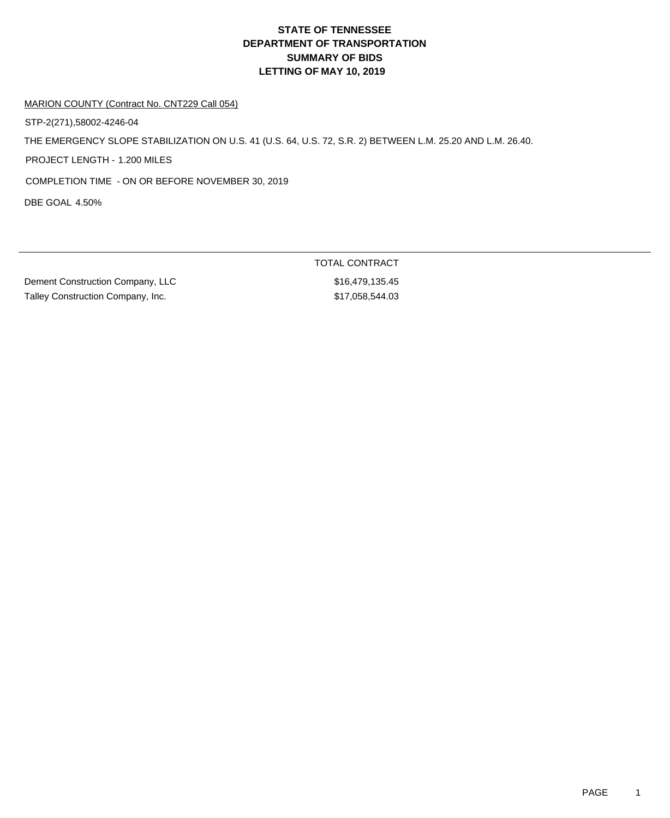MARION COUNTY (Contract No. CNT229 Call 054)

STP-2(271),58002-4246-04

THE EMERGENCY SLOPE STABILIZATION ON U.S. 41 (U.S. 64, U.S. 72, S.R. 2) BETWEEN L.M. 25.20 AND L.M. 26.40.

PROJECT LENGTH - 1.200 MILES

COMPLETION TIME - ON OR BEFORE NOVEMBER 30, 2019

DBE GOAL 4.50%

Dement Construction Company, LLC \$16,479,135.45 Talley Construction Company, Inc. 6. The state of the state of the state of the state of the state of the state of the state of the state of the state of the state of the state of the state of the state of the state of the

TOTAL CONTRACT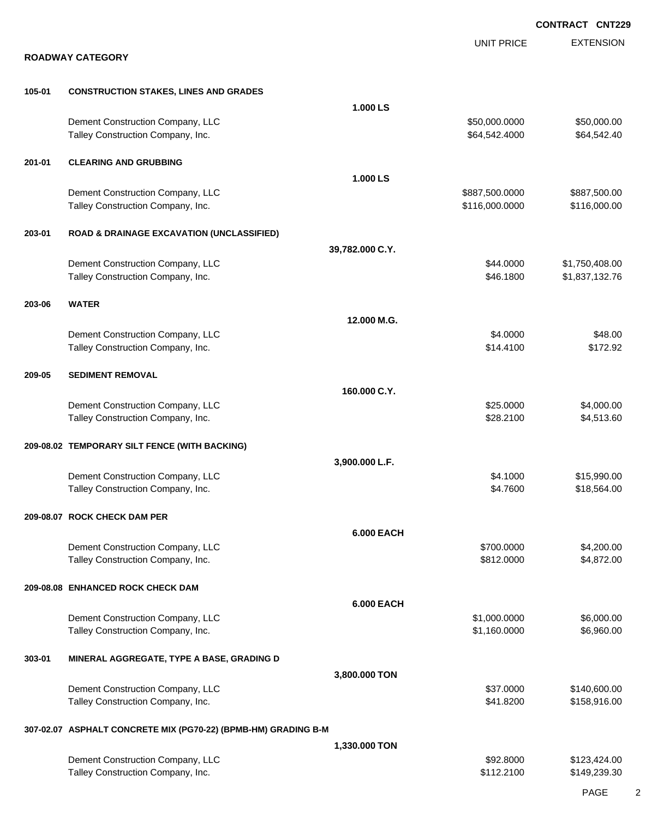|        |                                                                |                   |                   | <b>CONTRACT CNT229</b> |
|--------|----------------------------------------------------------------|-------------------|-------------------|------------------------|
|        |                                                                |                   | <b>UNIT PRICE</b> | <b>EXTENSION</b>       |
|        | <b>ROADWAY CATEGORY</b>                                        |                   |                   |                        |
| 105-01 | <b>CONSTRUCTION STAKES, LINES AND GRADES</b>                   |                   |                   |                        |
|        |                                                                | 1.000 LS          |                   |                        |
|        | Dement Construction Company, LLC                               |                   | \$50,000.0000     | \$50,000.00            |
|        | Talley Construction Company, Inc.                              |                   | \$64,542.4000     | \$64,542.40            |
| 201-01 | <b>CLEARING AND GRUBBING</b>                                   |                   |                   |                        |
|        |                                                                | 1.000 LS          |                   |                        |
|        | Dement Construction Company, LLC                               |                   | \$887,500.0000    | \$887,500.00           |
|        | Talley Construction Company, Inc.                              |                   | \$116,000.0000    | \$116,000.00           |
| 203-01 | <b>ROAD &amp; DRAINAGE EXCAVATION (UNCLASSIFIED)</b>           |                   |                   |                        |
|        |                                                                | 39,782.000 C.Y.   |                   |                        |
|        | Dement Construction Company, LLC                               |                   | \$44.0000         | \$1,750,408.00         |
|        | Talley Construction Company, Inc.                              |                   | \$46.1800         | \$1,837,132.76         |
| 203-06 | <b>WATER</b>                                                   |                   |                   |                        |
|        |                                                                | 12.000 M.G.       |                   |                        |
|        | Dement Construction Company, LLC                               |                   | \$4.0000          | \$48.00                |
|        | Talley Construction Company, Inc.                              |                   | \$14.4100         | \$172.92               |
| 209-05 | <b>SEDIMENT REMOVAL</b>                                        |                   |                   |                        |
|        |                                                                | 160.000 C.Y.      |                   |                        |
|        | Dement Construction Company, LLC                               |                   | \$25.0000         | \$4,000.00             |
|        | Talley Construction Company, Inc.                              |                   | \$28.2100         | \$4,513.60             |
|        | 209-08.02 TEMPORARY SILT FENCE (WITH BACKING)                  |                   |                   |                        |
|        |                                                                | 3,900.000 L.F.    |                   |                        |
|        | Dement Construction Company, LLC                               |                   | \$4.1000          | \$15,990.00            |
|        | Talley Construction Company, Inc.                              |                   | \$4.7600          | \$18,564.00            |
|        | 209-08.07 ROCK CHECK DAM PER                                   |                   |                   |                        |
|        |                                                                | <b>6.000 EACH</b> |                   |                        |
|        | Dement Construction Company, LLC                               |                   | \$700.0000        | \$4,200.00             |
|        | Talley Construction Company, Inc.                              |                   | \$812.0000        | \$4,872.00             |
|        | 209-08.08 ENHANCED ROCK CHECK DAM                              |                   |                   |                        |
|        |                                                                | <b>6.000 EACH</b> |                   |                        |
|        | Dement Construction Company, LLC                               |                   | \$1,000.0000      | \$6,000.00             |
|        | Talley Construction Company, Inc.                              |                   | \$1,160.0000      | \$6,960.00             |
| 303-01 | MINERAL AGGREGATE, TYPE A BASE, GRADING D                      |                   |                   |                        |
|        |                                                                | 3,800.000 TON     |                   |                        |
|        | Dement Construction Company, LLC                               |                   | \$37.0000         | \$140,600.00           |
|        | Talley Construction Company, Inc.                              |                   | \$41.8200         | \$158,916.00           |
|        | 307-02.07 ASPHALT CONCRETE MIX (PG70-22) (BPMB-HM) GRADING B-M |                   |                   |                        |
|        |                                                                | 1,330.000 TON     |                   |                        |
|        | Dement Construction Company, LLC                               |                   | \$92.8000         | \$123,424.00           |
|        | Talley Construction Company, Inc.                              |                   | \$112.2100        | \$149,239.30           |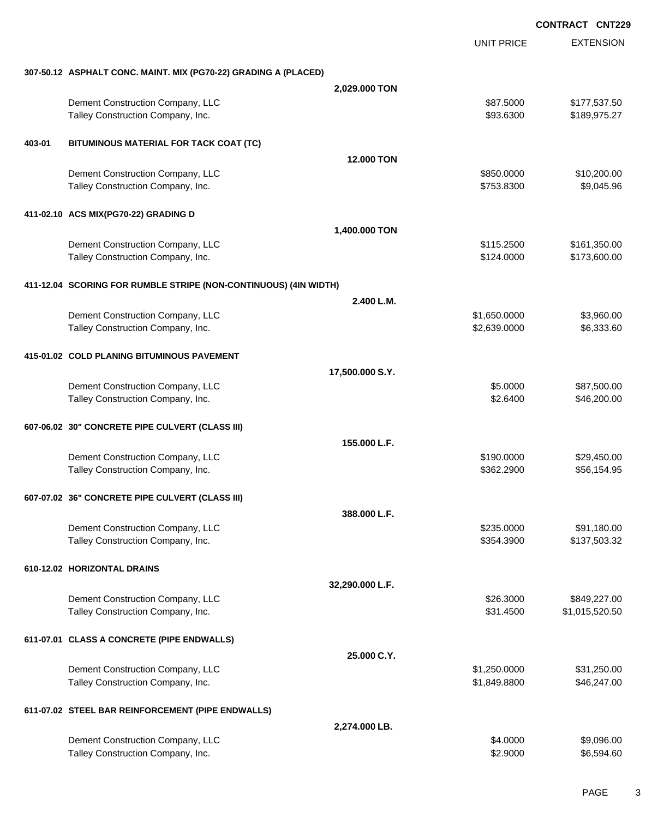|        |                                                                  |                   | <b>CONTRACT CNT229</b> |                  |
|--------|------------------------------------------------------------------|-------------------|------------------------|------------------|
|        |                                                                  |                   | <b>UNIT PRICE</b>      | <b>EXTENSION</b> |
|        | 307-50.12 ASPHALT CONC. MAINT. MIX (PG70-22) GRADING A (PLACED)  |                   |                        |                  |
|        |                                                                  | 2,029.000 TON     |                        |                  |
|        | Dement Construction Company, LLC                                 |                   | \$87.5000              | \$177,537.50     |
|        | Talley Construction Company, Inc.                                |                   | \$93.6300              | \$189,975.27     |
| 403-01 | BITUMINOUS MATERIAL FOR TACK COAT (TC)                           |                   |                        |                  |
|        |                                                                  | <b>12,000 TON</b> |                        |                  |
|        | Dement Construction Company, LLC                                 |                   | \$850.0000             | \$10,200.00      |
|        | Talley Construction Company, Inc.                                |                   | \$753.8300             | \$9,045.96       |
|        | 411-02.10 ACS MIX(PG70-22) GRADING D                             |                   |                        |                  |
|        |                                                                  | 1,400.000 TON     |                        |                  |
|        | Dement Construction Company, LLC                                 |                   | \$115.2500             | \$161,350.00     |
|        | Talley Construction Company, Inc.                                |                   | \$124.0000             | \$173,600.00     |
|        | 411-12.04 SCORING FOR RUMBLE STRIPE (NON-CONTINUOUS) (4IN WIDTH) |                   |                        |                  |
|        |                                                                  | 2.400 L.M.        |                        |                  |
|        | Dement Construction Company, LLC                                 |                   | \$1,650.0000           | \$3,960.00       |
|        | Talley Construction Company, Inc.                                |                   | \$2,639.0000           | \$6,333.60       |
|        | 415-01.02 COLD PLANING BITUMINOUS PAVEMENT                       |                   |                        |                  |
|        |                                                                  | 17,500.000 S.Y.   |                        |                  |
|        | Dement Construction Company, LLC                                 |                   | \$5.0000               | \$87,500.00      |
|        | Talley Construction Company, Inc.                                |                   | \$2.6400               | \$46,200.00      |
|        | 607-06.02 30" CONCRETE PIPE CULVERT (CLASS III)                  |                   |                        |                  |
|        |                                                                  | 155.000 L.F.      |                        |                  |
|        | Dement Construction Company, LLC                                 |                   | \$190.0000             | \$29,450.00      |
|        | Talley Construction Company, Inc.                                |                   | \$362.2900             | \$56,154.95      |
|        | 607-07.02 36" CONCRETE PIPE CULVERT (CLASS III)                  |                   |                        |                  |
|        |                                                                  | 388.000 L.F.      |                        |                  |
|        | Dement Construction Company, LLC                                 |                   | \$235.0000             | \$91,180.00      |
|        | Talley Construction Company, Inc.                                |                   | \$354.3900             | \$137,503.32     |
|        | 610-12.02 HORIZONTAL DRAINS                                      |                   |                        |                  |
|        |                                                                  | 32,290.000 L.F.   |                        |                  |
|        | Dement Construction Company, LLC                                 |                   | \$26.3000              | \$849,227.00     |
|        | Talley Construction Company, Inc.                                |                   | \$31.4500              | \$1,015,520.50   |
|        | 611-07.01 CLASS A CONCRETE (PIPE ENDWALLS)                       |                   |                        |                  |
|        |                                                                  | 25,000 C.Y.       |                        |                  |
|        | Dement Construction Company, LLC                                 |                   | \$1,250.0000           | \$31,250.00      |
|        | Talley Construction Company, Inc.                                |                   | \$1,849.8800           | \$46,247.00      |
|        | 611-07.02 STEEL BAR REINFORCEMENT (PIPE ENDWALLS)                |                   |                        |                  |
|        |                                                                  | 2,274.000 LB.     |                        |                  |
|        | Dement Construction Company, LLC                                 |                   | \$4.0000               | \$9,096.00       |
|        | Talley Construction Company, Inc.                                |                   | \$2.9000               | \$6,594.60       |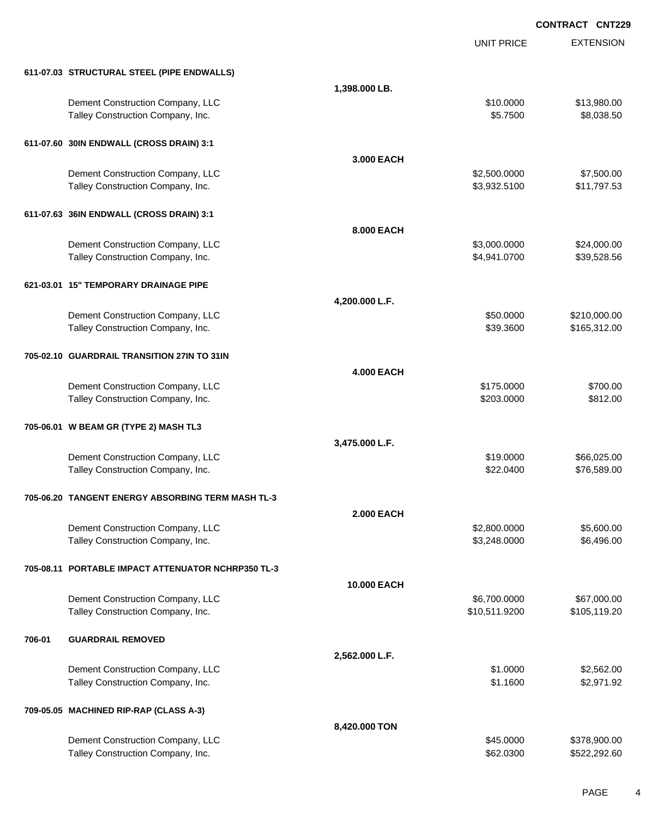EXTENSION **CONTRACT CNT229** UNIT PRICE **611-07.03 STRUCTURAL STEEL (PIPE ENDWALLS) 1,398.000 LB.** Dement Construction Company, LLC 6 and the state of the state of the state of the state of the state of the state of the state of the state of the state of the state of the state of the state of the state of the state of t Talley Construction Company, Inc. 6. The Construction Company, Inc. 6. The Construction Company, Inc. 6. The Construction Company, Inc. 6. The Construction Company, Inc. 6. The Construction Company, Inc. 6. The Constructio **611-07.60 30IN ENDWALL (CROSS DRAIN) 3:1 3.000 EACH** Dement Construction Company, LLC 60000 \$7,500.000 \$7,500.000 \$7,500.000 Talley Construction Company, Inc. 6. The Construction Company, Inc. 6. The Construction Company, Inc. 6. The Construction Company, Inc. 6. The Construction Company, Inc. 6. The Construction Company, Inc. 6. The Constructio **611-07.63 36IN ENDWALL (CROSS DRAIN) 3:1 8.000 EACH** Dement Construction Company, LLC 6 and the state of the state of the state  $$3,000.0000$  \$24,000.000 Talley Construction Company, Inc. 6. The Construction Company, Inc. 6. The Construction Company, Inc. 6. The Construction Company, Inc. 6. The Construction Company, Inc. 6. The Construction Company, Inc. 6. The Constructio **621-03.01 15" TEMPORARY DRAINAGE PIPE 4,200.000 L.F.** Dement Construction Company, LLC 60000 \$210,000.00 Talley Construction Company, Inc. 6. The Construction Company, Inc. 6. The Construction Company, Inc. 6. The Construction Company, Inc. 6. The Construction Company, Inc. 6. The Construction Company, Inc. 6. The Constructio **705-02.10 GUARDRAIL TRANSITION 27IN TO 31IN 4.000 EACH** Dement Construction Company, LLC 6 and the state of the state of the state  $$175.0000$  \$700.00 Talley Construction Company, Inc. 6812.00 **705-06.01 W BEAM GR (TYPE 2) MASH TL3 3,475.000 L.F.** Dement Construction Company, LLC 666,025.00 Talley Construction Company, Inc. 6. The Construction Company, Inc. 6. The Construction Company, Inc. 6. The Construction Company, Inc. 6. The Construction Company, Inc. 6. The Construction Company, Inc. 6. The Constructio **705-06.20 TANGENT ENERGY ABSORBING TERM MASH TL-3 2.000 EACH** Dement Construction Company, LLC 6 and the state of the state of the state of the state of the state of the state of the state of the state of the state of the state of the state of the state of the state of the state of t Talley Construction Company, Inc. 6. The Construction Company, Inc. 6. The Construction Company, Inc. 6.496.00 **705-08.11 PORTABLE IMPACT ATTENUATOR NCHRP350 TL-3 10.000 EACH** Dement Construction Company, LLC 66,700.000 \$6,700.000 \$6,700.000 \$67,000.00 Talley Construction Company, Inc. 6. The Construction Company, Inc. 6. The Construction Company, Inc. 6. The Construction Company, Inc. 6. The Construction Company, Inc. 6. The Construction Company, Inc. 6. The Constructio **706-01 GUARDRAIL REMOVED 2,562.000 L.F.** Dement Construction Company, LLC 6 and the state of the state of the state of the state of the state of the state of the state of the state of the state of the state of the state of the state of the state of the state of t Talley Construction Company, Inc. 6. The Construction Company, Inc. 6. The Construction Company, Inc. 6. The Construction Company, Inc. 6. The Construction Company, Inc. 6. The Construction Company, Inc. 6. The Constructio **709-05.05 MACHINED RIP-RAP (CLASS A-3) 8,420.000 TON** Dement Construction Company, LLC 6 and the state of the state of the state of the state of the state of the state of the state of the state of the state of the state of the state of the state of the state of the state of t Talley Construction Company, Inc. 6. The Construction Company, Inc. 6. The Construction Company, Inc. 69.0300 \$522,292.60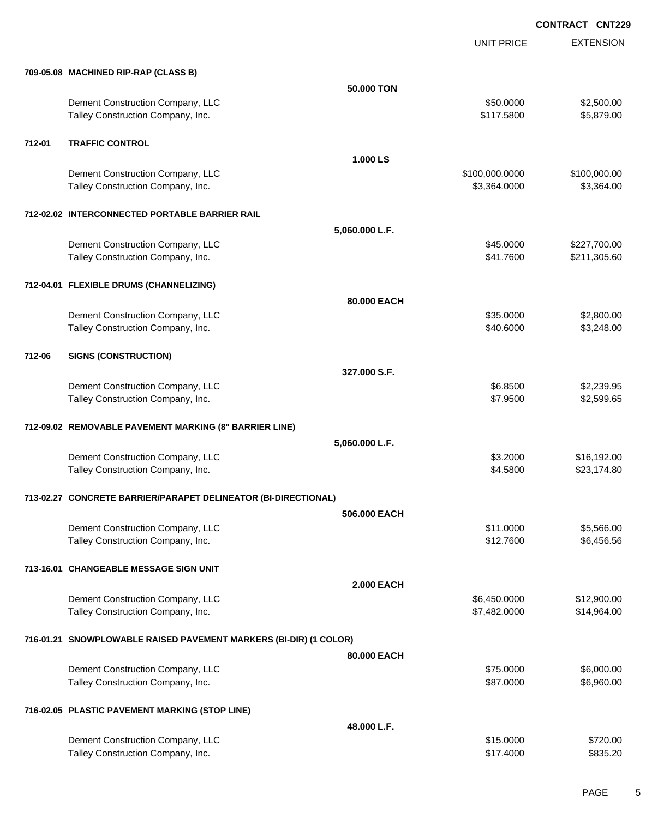UNIT PRICE EXTENSION

|        | 709-05.08 MACHINED RIP-RAP (CLASS B)                                  |                   |                              |                            |
|--------|-----------------------------------------------------------------------|-------------------|------------------------------|----------------------------|
|        |                                                                       | 50.000 TON        |                              |                            |
|        | Dement Construction Company, LLC                                      |                   | \$50.0000                    | \$2,500.00                 |
|        | Talley Construction Company, Inc.                                     |                   | \$117.5800                   | \$5,879.00                 |
|        |                                                                       |                   |                              |                            |
| 712-01 | <b>TRAFFIC CONTROL</b>                                                |                   |                              |                            |
|        |                                                                       | 1.000 LS          |                              |                            |
|        | Dement Construction Company, LLC                                      |                   | \$100,000.0000               | \$100,000.00               |
|        | Talley Construction Company, Inc.                                     |                   | \$3,364.0000                 | \$3,364.00                 |
|        |                                                                       |                   |                              |                            |
|        | 712-02.02 INTERCONNECTED PORTABLE BARRIER RAIL                        |                   |                              |                            |
|        |                                                                       | 5,060.000 L.F.    |                              |                            |
|        | Dement Construction Company, LLC                                      |                   | \$45.0000                    | \$227,700.00               |
|        | Talley Construction Company, Inc.                                     |                   | \$41.7600                    | \$211,305.60               |
|        |                                                                       |                   |                              |                            |
|        | 712-04.01 FLEXIBLE DRUMS (CHANNELIZING)                               |                   |                              |                            |
|        |                                                                       | 80.000 EACH       |                              |                            |
|        | Dement Construction Company, LLC                                      |                   | \$35.0000                    | \$2,800.00                 |
|        | Talley Construction Company, Inc.                                     |                   | \$40.6000                    | \$3,248.00                 |
|        |                                                                       |                   |                              |                            |
| 712-06 | <b>SIGNS (CONSTRUCTION)</b>                                           |                   |                              |                            |
|        |                                                                       | 327,000 S.F.      |                              |                            |
|        | Dement Construction Company, LLC                                      |                   | \$6.8500                     | \$2,239.95                 |
|        | Talley Construction Company, Inc.                                     |                   | \$7.9500                     | \$2,599.65                 |
|        |                                                                       |                   |                              |                            |
|        | 712-09.02 REMOVABLE PAVEMENT MARKING (8" BARRIER LINE)                |                   |                              |                            |
|        |                                                                       | 5,060.000 L.F.    |                              |                            |
|        | Dement Construction Company, LLC                                      |                   | \$3.2000                     | \$16,192.00                |
|        | Talley Construction Company, Inc.                                     |                   | \$4.5800                     | \$23,174.80                |
|        |                                                                       |                   |                              |                            |
|        | 713-02.27 CONCRETE BARRIER/PARAPET DELINEATOR (BI-DIRECTIONAL)        |                   |                              |                            |
|        |                                                                       | 506,000 EACH      |                              |                            |
|        | Dement Construction Company, LLC                                      |                   | \$11.0000                    | \$5,566.00                 |
|        | Talley Construction Company, Inc.                                     |                   | \$12.7600                    | \$6,456.56                 |
|        | 713-16.01 CHANGEABLE MESSAGE SIGN UNIT                                |                   |                              |                            |
|        |                                                                       |                   |                              |                            |
|        |                                                                       | <b>2.000 EACH</b> |                              |                            |
|        | Dement Construction Company, LLC<br>Talley Construction Company, Inc. |                   | \$6,450.0000<br>\$7,482.0000 | \$12,900.00<br>\$14,964.00 |
|        |                                                                       |                   |                              |                            |
|        | 716-01.21 SNOWPLOWABLE RAISED PAVEMENT MARKERS (BI-DIR) (1 COLOR)     |                   |                              |                            |
|        |                                                                       | 80.000 EACH       |                              |                            |
|        | Dement Construction Company, LLC                                      |                   | \$75.0000                    | \$6,000.00                 |
|        | Talley Construction Company, Inc.                                     |                   | \$87.0000                    | \$6,960.00                 |
|        |                                                                       |                   |                              |                            |
|        | 716-02.05 PLASTIC PAVEMENT MARKING (STOP LINE)                        |                   |                              |                            |
|        |                                                                       | 48.000 L.F.       |                              |                            |
|        | Dement Construction Company, LLC                                      |                   | \$15.0000                    | \$720.00                   |
|        | Talley Construction Company, Inc.                                     |                   | \$17.4000                    | \$835.20                   |
|        |                                                                       |                   |                              |                            |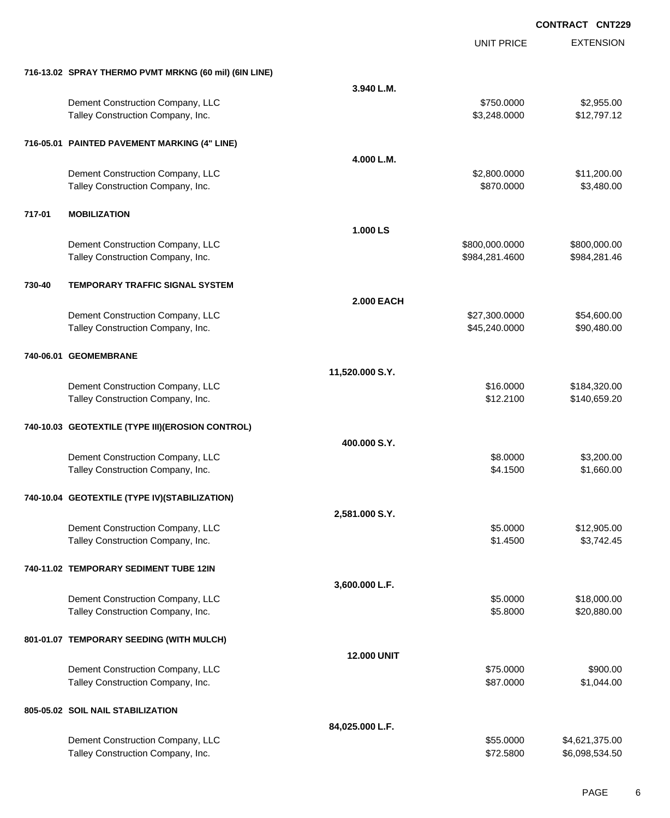EXTENSION **CONTRACT CNT229** UNIT PRICE **716-13.02 SPRAY THERMO PVMT MRKNG (60 mil) (6IN LINE) 3.940 L.M.** Dement Construction Company, LLC 6 and the state of the state of the state  $$750.0000$  \$2,955.00 Talley Construction Company, Inc. 6. The Construction Company, Inc. 6. The Construction Company, Inc. 6. The Construction Company, Inc. 6. The Construction Company, Inc. 6. The Construction Company, Inc. 6. The Constructio **716-05.01 PAINTED PAVEMENT MARKING (4" LINE) 4.000 L.M.** Dement Construction Company, LLC 6 and the state of the state of the state of the state of the state of the state of the state of the state of the state of the state of the state of the state of the state of the state of t Talley Construction Company, Inc. 6. The Construction Company, Inc. 6. The Construction Company, Inc. 6. The Construction Company, Inc. 6. The Construction Company, Inc. 6. The Construction Company, Inc. 6. The Constructio **717-01 MOBILIZATION 1.000 LS** Dement Construction Company, LLC \$800,000.0000 \$800,000.00 Talley Construction Company, Inc. **6. The Construction Company, Inc.** 6. The Construction Company, Inc. **\$984,281.4600** \$984,281.4600 **730-40 TEMPORARY TRAFFIC SIGNAL SYSTEM 2.000 EACH** Dement Construction Company, LLC 6. 1999 127,300.000 \$54,600.00 Talley Construction Company, Inc. 6. The Construction Company, Inc. 6. The Construction Company, Inc. 6. The Construction Company, Inc. 6. The Construction Company, Inc. 6. The Construction Company, Inc. 6. The Constructio **740-06.01 GEOMEMBRANE 11,520.000 S.Y.** Dement Construction Company, LLC 6 and the state of the state of the state of the state of the state of the state of the state of the state of the state of the state of the state of the state of the state of the state of t Talley Construction Company, Inc. 6. The Construction Company, Inc. 6. The Construction Company, Inc. 6. The Construction Company, Inc. 6. The Construction Company, Inc. 6. The Construction Company, Inc. 6. The Constructio **740-10.03 GEOTEXTILE (TYPE III)(EROSION CONTROL) 400.000 S.Y.** Dement Construction Company, LLC 6 and the state of the state of the state of the state of the state of the state of the state of the state of the state of the state of the state of the state of the state of the state of t Talley Construction Company, Inc. 660.00 \$1,660.00 \$1,660.00 \$1,660.00 \$1,660.00 **740-10.04 GEOTEXTILE (TYPE IV)(STABILIZATION) 2,581.000 S.Y.** Dement Construction Company, LLC 6 and the state of the state of the state  $$5.0000$  \$12,905.00 Talley Construction Company, Inc. 6. The Construction Company, Inc. 6. The Construction Company, Inc. 6. The Construction Company, Inc. 6. The Construction Company, Inc. 6. The Construction Company, Inc. 6. The Constructio **740-11.02 TEMPORARY SEDIMENT TUBE 12IN 3,600.000 L.F.** Dement Construction Company, LLC 6 and the state of the state of the state of the state of the state of the state of the state of the state of the state of the state of the state of the state of the state of the state of t Talley Construction Company, Inc. 6. The Construction Company, Inc. 6. The Construction Company, Inc. 6. The Construction Company, Inc. 6. The Construction Company, Inc. 6. The Construction Company, Inc. 6. The Constructio **801-01.07 TEMPORARY SEEDING (WITH MULCH) 12.000 UNIT** Dement Construction Company, LLC **\$75.0000** \$900.00 Talley Construction Company, Inc. 6. The Construction Company, Inc. 6. The Construction Company, Inc. 6. The Construction Company, Inc. 6. The Construction Company, Inc. 6. The Construction Company, Inc. 6. The Constructio **805-05.02 SOIL NAIL STABILIZATION 84,025.000 L.F.** Dement Construction Company, LLC 6. The state of the state of the state of the state of the state of the state of the state of the state of the state of the state of the state of the state of the state of the state of the

Talley Construction Company, Inc. 6. The Construction Company, Inc. \$72.5800 \$6,098,534.50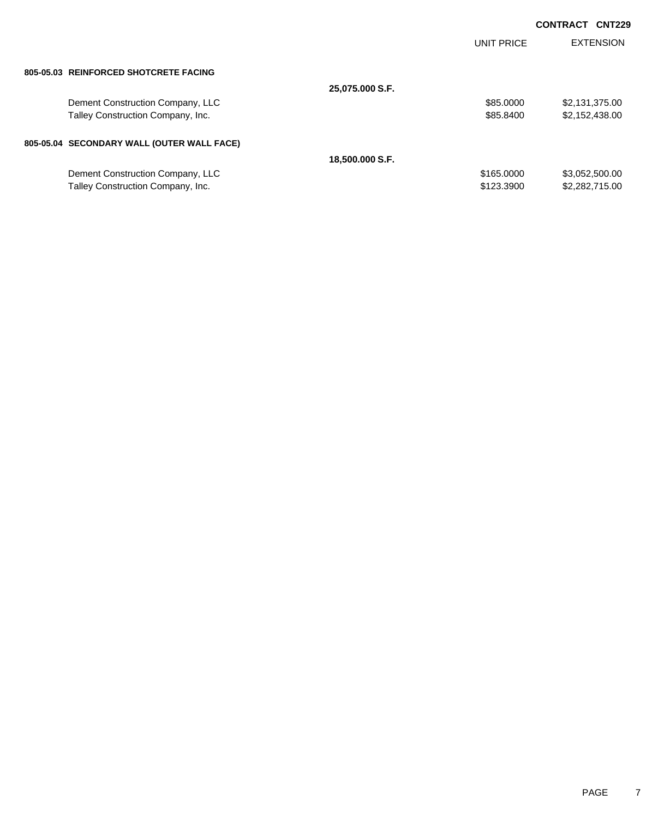|                                            |                 | <b>UNIT PRICE</b> | <b>EXTENSION</b> |
|--------------------------------------------|-----------------|-------------------|------------------|
| 805-05.03 REINFORCED SHOTCRETE FACING      |                 |                   |                  |
|                                            | 25,075.000 S.F. |                   |                  |
| Dement Construction Company, LLC           |                 | \$85,0000         | \$2,131,375.00   |
| Talley Construction Company, Inc.          |                 | \$85,8400         | \$2,152,438.00   |
| 805-05.04 SECONDARY WALL (OUTER WALL FACE) |                 |                   |                  |
|                                            | 18,500.000 S.F. |                   |                  |
| Dement Construction Company, LLC           |                 | \$165,0000        | \$3,052,500.00   |
| Talley Construction Company, Inc.          |                 | \$123,3900        | \$2,282,715.00   |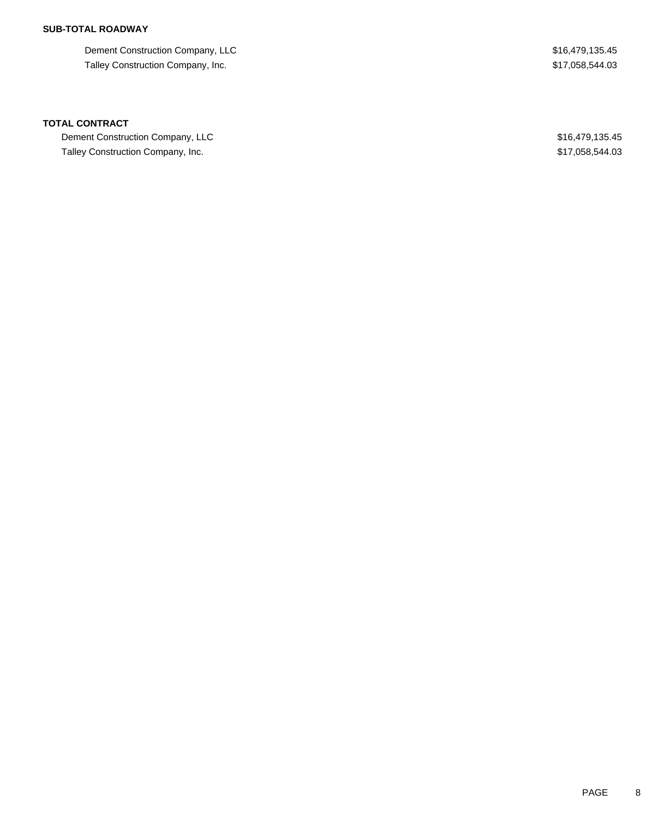## **SUB-TOTAL ROADWAY**

Dement Construction Company, LLC 6.6 and the state of the state of the state of the state of the state  $$16,479,135.45$ Talley Construction Company, Inc. 6. The Second State of the State of State State State State State State State State State State State State State State State State State State State State State State State State State St

### **TOTAL CONTRACT**

Dement Construction Company, LLC 600 and 200 and 200 and 200 and 200 and 200 and 200 and 200 and 316,479,135.45 Talley Construction Company, Inc. 6. The state of the state of the state of the state of the state of the state of the state of the state of the state of the state of the state of the state of the state of the state of the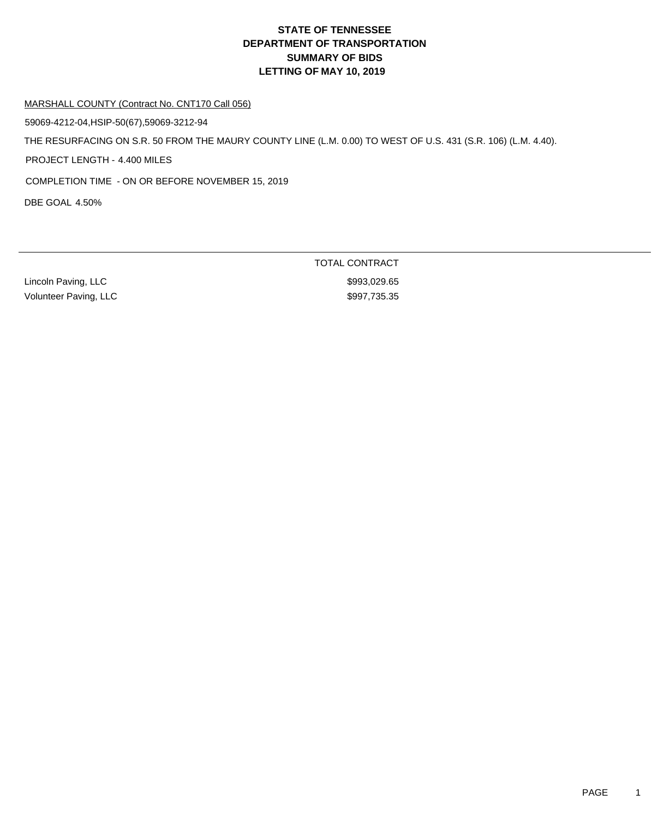#### MARSHALL COUNTY (Contract No. CNT170 Call 056)

59069-4212-04,HSIP-50(67),59069-3212-94

THE RESURFACING ON S.R. 50 FROM THE MAURY COUNTY LINE (L.M. 0.00) TO WEST OF U.S. 431 (S.R. 106) (L.M. 4.40).

PROJECT LENGTH - 4.400 MILES

COMPLETION TIME - ON OR BEFORE NOVEMBER 15, 2019

DBE GOAL 4.50%

Lincoln Paving, LLC \$993,029.65 Volunteer Paving, LLC **\$997,735.35** 

TOTAL CONTRACT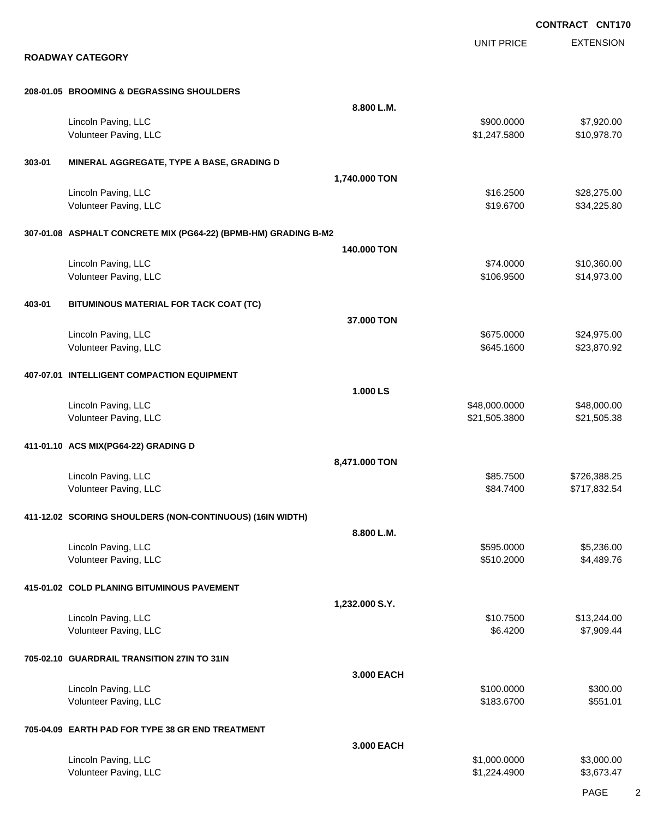EXTENSION **CONTRACT CNT170** UNIT PRICE **ROADWAY CATEGORY 208-01.05 BROOMING & DEGRASSING SHOULDERS 8.800 L.M.** Lincoln Paving, LLC 6. 1992. The state of the state of the state of the state of the state of the state of the state of the state of the state of the state of the state of the state of the state of the state of the state o Volunteer Paving, LLC 61, 247.5800 \$10,978.70 **303-01 MINERAL AGGREGATE, TYPE A BASE, GRADING D 1,740.000 TON** Lincoln Paving, LLC \$28,275.00 \$28,275.00 Volunteer Paving, LLC 634,225.80 **307-01.08 ASPHALT CONCRETE MIX (PG64-22) (BPMB-HM) GRADING B-M2 140.000 TON** Lincoln Paving, LLC \$10,360.00 \$10,360.00 Volunteer Paving, LLC 614,973.00 \$14,973.00 \$14,973.00 \$14,973.00 \$14,973.00 \$14,973.00 \$14,973.00 \$15 **403-01 BITUMINOUS MATERIAL FOR TACK COAT (TC) 37.000 TON** Lincoln Paving, LLC \$24,975.00 \$24,975.00 \$24,975.00 \$24,975.00 \$24,975.00 \$24,975.00 \$25,000 \$24,975.00 \$25,97 Volunteer Paving, LLC 623,870.92 **407-07.01 INTELLIGENT COMPACTION EQUIPMENT 1.000 LS** Lincoln Paving, LLC \$48,000.000 \$48,000.000 \$48,000.000 \$48,000.000 \$48,000.000 \$48,000.00 Volunteer Paving, LLC 621,505.3800 \$21,505.3800 \$21,505.3800 \$21,505.3800 \$21,505.38 **411-01.10 ACS MIX(PG64-22) GRADING D 8,471.000 TON** Lincoln Paving, LLC \$85.7500 \$726,388.25 Volunteer Paving, LLC **\$84.7400** \$717,832.54 **411-12.02 SCORING SHOULDERS (NON-CONTINUOUS) (16IN WIDTH) 8.800 L.M.** Lincoln Paving, LLC \$5,236.00 Volunteer Paving, LLC 66 and the state of the state of the state of the state of the state of the state of the state of the state of the state of the state of the state of the state of the state of the state of the state o **415-01.02 COLD PLANING BITUMINOUS PAVEMENT 1,232.000 S.Y.** Lincoln Paving, LLC \$10.7500 \$13,244.00 Volunteer Paving, LLC 67,909.44 **705-02.10 GUARDRAIL TRANSITION 27IN TO 31IN 3.000 EACH** Lincoln Paving, LLC \$300.000 \$300.00 \$300.00 Volunteer Paving, LLC 6551.01 **705-04.09 EARTH PAD FOR TYPE 38 GR END TREATMENT 3.000 EACH** Lincoln Paving, LLC \$1,000.0000 \$3,000.000 \$3,000.000 \$3,000.000 \$3,000.000 \$3,000.00 Volunteer Paving, LLC \$1,224.4900 \$3,673.47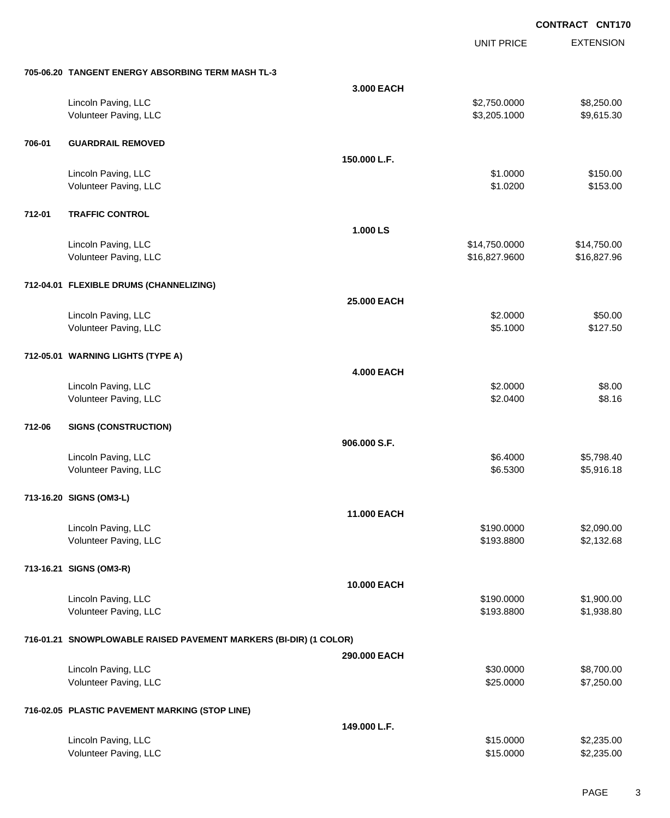|        |                                                                   |                   | <b>UNIT PRICE</b> | <b>EXTENSION</b> |
|--------|-------------------------------------------------------------------|-------------------|-------------------|------------------|
|        | 705-06.20 TANGENT ENERGY ABSORBING TERM MASH TL-3                 |                   |                   |                  |
|        |                                                                   | 3.000 EACH        |                   |                  |
|        | Lincoln Paving, LLC                                               |                   | \$2,750.0000      | \$8,250.00       |
|        | Volunteer Paving, LLC                                             |                   | \$3,205.1000      | \$9,615.30       |
| 706-01 | <b>GUARDRAIL REMOVED</b>                                          |                   |                   |                  |
|        |                                                                   | 150,000 L.F.      |                   |                  |
|        | Lincoln Paving, LLC                                               |                   | \$1.0000          | \$150.00         |
|        | Volunteer Paving, LLC                                             |                   | \$1.0200          | \$153.00         |
| 712-01 | <b>TRAFFIC CONTROL</b>                                            |                   |                   |                  |
|        |                                                                   | 1.000 LS          |                   |                  |
|        | Lincoln Paving, LLC                                               |                   | \$14,750.0000     | \$14,750.00      |
|        | Volunteer Paving, LLC                                             |                   | \$16,827.9600     | \$16,827.96      |
|        | 712-04.01 FLEXIBLE DRUMS (CHANNELIZING)                           |                   |                   |                  |
|        |                                                                   | 25.000 EACH       |                   |                  |
|        | Lincoln Paving, LLC                                               |                   | \$2.0000          | \$50.00          |
|        | Volunteer Paving, LLC                                             |                   | \$5.1000          | \$127.50         |
|        | 712-05.01 WARNING LIGHTS (TYPE A)                                 |                   |                   |                  |
|        |                                                                   | <b>4.000 EACH</b> |                   |                  |
|        | Lincoln Paving, LLC                                               |                   | \$2.0000          | \$8.00           |
|        | Volunteer Paving, LLC                                             |                   | \$2.0400          | \$8.16           |
| 712-06 | <b>SIGNS (CONSTRUCTION)</b>                                       |                   |                   |                  |
|        |                                                                   | 906.000 S.F.      |                   |                  |
|        | Lincoln Paving, LLC                                               |                   | \$6.4000          | \$5,798.40       |
|        | Volunteer Paving, LLC                                             |                   | \$6.5300          | \$5,916.18       |
|        | 713-16.20 SIGNS (OM3-L)                                           |                   |                   |                  |
|        |                                                                   | 11.000 EACH       |                   |                  |
|        | Lincoln Paving, LLC                                               |                   | \$190.0000        | \$2,090.00       |
|        | Volunteer Paving, LLC                                             |                   | \$193.8800        | \$2,132.68       |
|        | 713-16.21 SIGNS (OM3-R)                                           |                   |                   |                  |
|        |                                                                   | 10.000 EACH       |                   |                  |
|        | Lincoln Paving, LLC                                               |                   | \$190.0000        | \$1,900.00       |
|        | Volunteer Paving, LLC                                             |                   | \$193.8800        | \$1,938.80       |
|        | 716-01.21 SNOWPLOWABLE RAISED PAVEMENT MARKERS (BI-DIR) (1 COLOR) |                   |                   |                  |
|        |                                                                   | 290.000 EACH      |                   |                  |
|        | Lincoln Paving, LLC                                               |                   | \$30.0000         | \$8,700.00       |
|        | Volunteer Paving, LLC                                             |                   | \$25.0000         | \$7,250.00       |
|        | 716-02.05 PLASTIC PAVEMENT MARKING (STOP LINE)                    |                   |                   |                  |
|        |                                                                   | 149.000 L.F.      |                   |                  |
|        | Lincoln Paving, LLC                                               |                   | \$15.0000         | \$2,235.00       |
|        | Volunteer Paving, LLC                                             |                   | \$15.0000         | \$2,235.00       |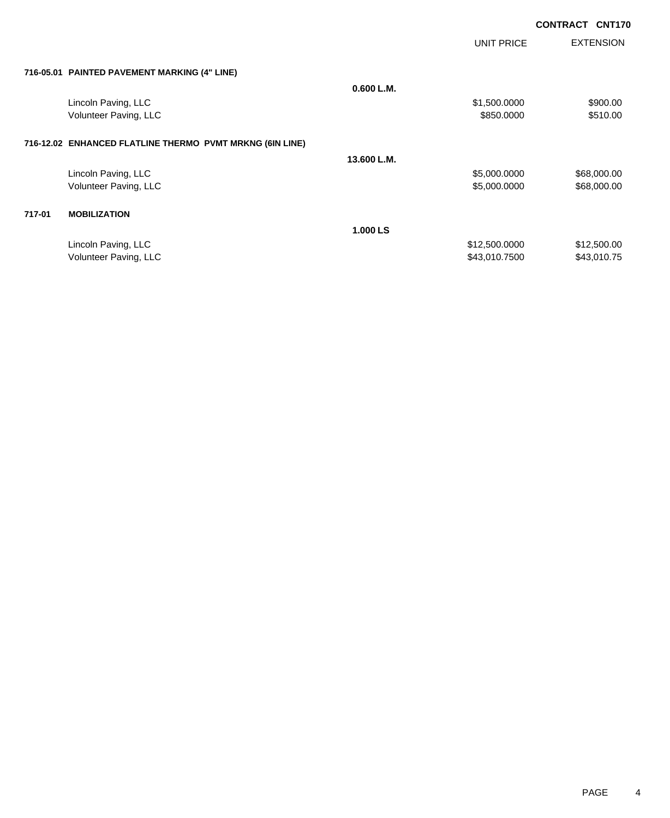|        |                                                          |             | <b>UNIT PRICE</b> | <b>EXTENSION</b> |
|--------|----------------------------------------------------------|-------------|-------------------|------------------|
|        | 716-05.01 PAINTED PAVEMENT MARKING (4" LINE)             |             |                   |                  |
|        |                                                          | 0.600 L.M.  |                   |                  |
|        | Lincoln Paving, LLC                                      |             | \$1,500.0000      | \$900.00         |
|        | Volunteer Paving, LLC                                    |             | \$850.0000        | \$510.00         |
|        | 716-12.02 ENHANCED FLATLINE THERMO PVMT MRKNG (6IN LINE) |             |                   |                  |
|        |                                                          | 13.600 L.M. |                   |                  |
|        | Lincoln Paving, LLC                                      |             | \$5,000.0000      | \$68,000.00      |
|        | Volunteer Paving, LLC                                    |             | \$5,000.0000      | \$68,000.00      |
| 717-01 | <b>MOBILIZATION</b>                                      |             |                   |                  |
|        |                                                          | 1.000 LS    |                   |                  |
|        | Lincoln Paving, LLC                                      |             | \$12,500.0000     | \$12,500.00      |
|        | Volunteer Paving, LLC                                    |             | \$43,010.7500     | \$43,010.75      |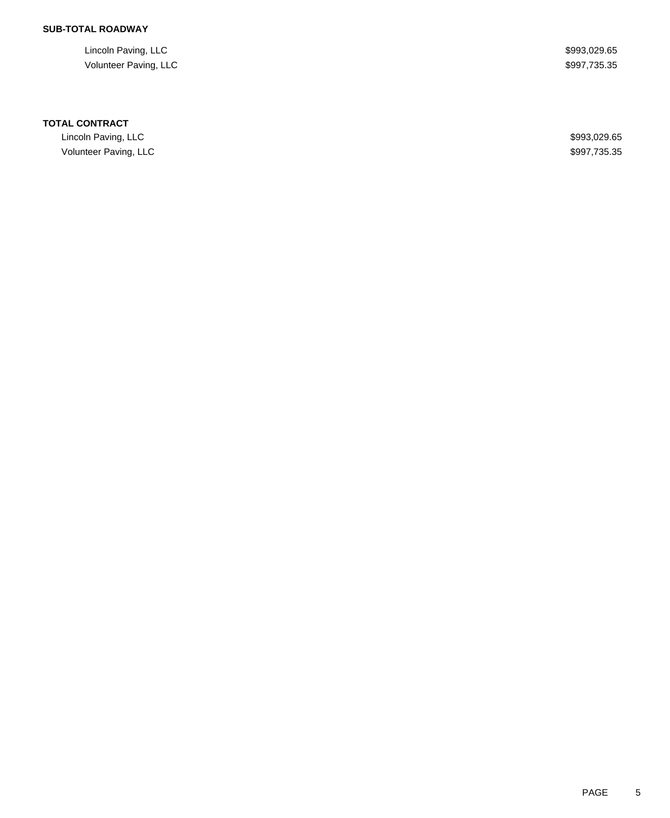## **SUB-TOTAL ROADWAY**

Lincoln Paving, LLC \$993,029.65 Volunteer Paving, LLC \$997,735.35

### **TOTAL CONTRACT**

Lincoln Paving, LLC \$993,029.65 Volunteer Paving, LLC \$997,735.35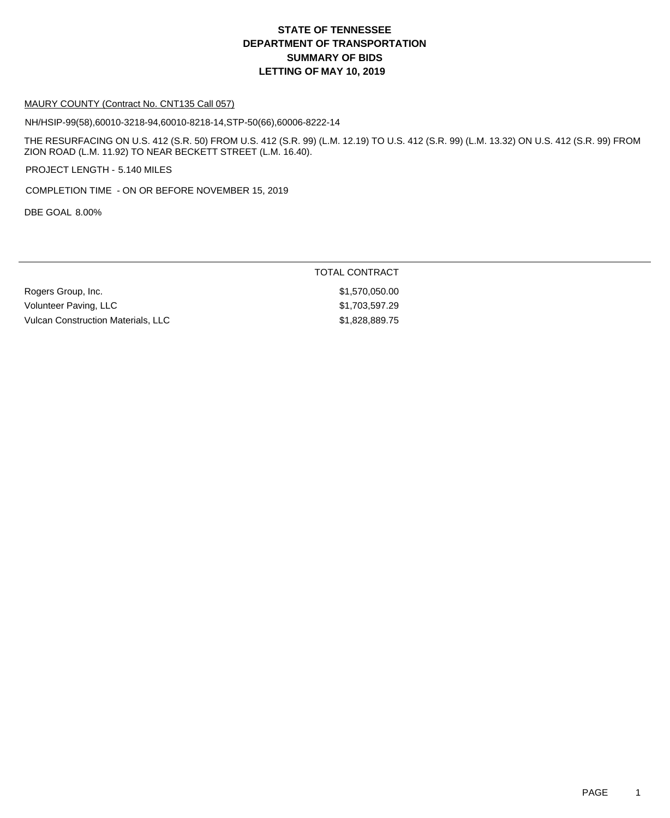### MAURY COUNTY (Contract No. CNT135 Call 057)

NH/HSIP-99(58),60010-3218-94,60010-8218-14,STP-50(66),60006-8222-14

THE RESURFACING ON U.S. 412 (S.R. 50) FROM U.S. 412 (S.R. 99) (L.M. 12.19) TO U.S. 412 (S.R. 99) (L.M. 13.32) ON U.S. 412 (S.R. 99) FROM ZION ROAD (L.M. 11.92) TO NEAR BECKETT STREET (L.M. 16.40).

PROJECT LENGTH - 5.140 MILES

COMPLETION TIME - ON OR BEFORE NOVEMBER 15, 2019

DBE GOAL 8.00%

### TOTAL CONTRACT

Rogers Group, Inc. \$1,570,050.00 Volunteer Paving, LLC **\$1,703,597.29** Vulcan Construction Materials, LLC \$1,828,889.75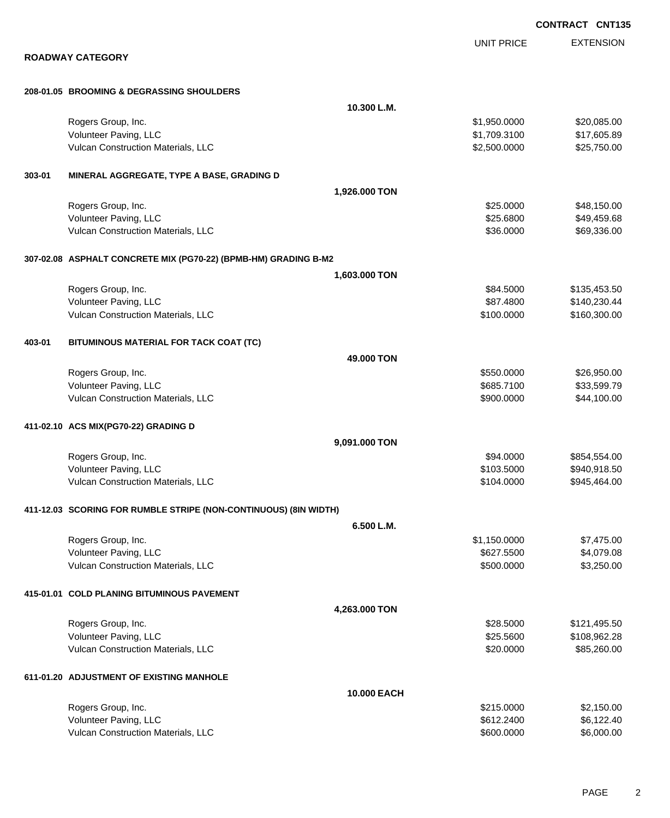|        |                                                                  |               |                   | <b>CONTRACT CNT13</b> |
|--------|------------------------------------------------------------------|---------------|-------------------|-----------------------|
|        |                                                                  |               | <b>UNIT PRICE</b> | <b>EXTENSION</b>      |
|        | <b>ROADWAY CATEGORY</b>                                          |               |                   |                       |
|        | 208-01.05 BROOMING & DEGRASSING SHOULDERS                        |               |                   |                       |
|        |                                                                  | 10.300 L.M.   |                   |                       |
|        | Rogers Group, Inc.                                               |               | \$1,950.0000      | \$20,085.00           |
|        | Volunteer Paving, LLC                                            |               | \$1,709.3100      | \$17,605.89           |
|        | Vulcan Construction Materials, LLC                               |               | \$2,500.0000      | \$25,750.00           |
| 303-01 | MINERAL AGGREGATE, TYPE A BASE, GRADING D                        |               |                   |                       |
|        |                                                                  | 1,926.000 TON |                   |                       |
|        | Rogers Group, Inc.                                               |               | \$25.0000         | \$48,150.00           |
|        | Volunteer Paving, LLC                                            |               | \$25.6800         | \$49,459.68           |
|        | Vulcan Construction Materials, LLC                               |               | \$36.0000         | \$69,336.00           |
|        | 307-02.08 ASPHALT CONCRETE MIX (PG70-22) (BPMB-HM) GRADING B-M2  |               |                   |                       |
|        |                                                                  | 1,603.000 TON |                   |                       |
|        | Rogers Group, Inc.                                               |               | \$84.5000         | \$135,453.50          |
|        | Volunteer Paving, LLC                                            |               | \$87.4800         | \$140,230.44          |
|        | Vulcan Construction Materials, LLC                               |               | \$100.0000        | \$160,300.00          |
| 403-01 | BITUMINOUS MATERIAL FOR TACK COAT (TC)                           |               |                   |                       |
|        |                                                                  | 49.000 TON    |                   |                       |
|        | Rogers Group, Inc.                                               |               | \$550.0000        | \$26,950.00           |
|        | Volunteer Paving, LLC                                            |               | \$685.7100        | \$33,599.79           |
|        | Vulcan Construction Materials, LLC                               |               | \$900.0000        | \$44,100.00           |
|        | 411-02.10 ACS MIX(PG70-22) GRADING D                             |               |                   |                       |
|        |                                                                  | 9,091.000 TON |                   |                       |
|        | Rogers Group, Inc.                                               |               | \$94.0000         | \$854,554.00          |
|        | Volunteer Paving, LLC                                            |               | \$103.5000        | \$940,918.50          |
|        | <b>Vulcan Construction Materials, LLC</b>                        |               | \$104.0000        | \$945,464.00          |
|        | 411-12.03 SCORING FOR RUMBLE STRIPE (NON-CONTINUOUS) (8IN WIDTH) |               |                   |                       |
|        |                                                                  | 6.500 L.M.    |                   |                       |
|        | Rogers Group, Inc.                                               |               | \$1,150.0000      | \$7,475.00            |
|        | Volunteer Paving, LLC                                            |               | \$627.5500        | \$4,079.08            |
|        | Vulcan Construction Materials, LLC                               |               | \$500.0000        | \$3,250.00            |
|        | 415-01.01 COLD PLANING BITUMINOUS PAVEMENT                       |               |                   |                       |
|        |                                                                  | 4,263.000 TON |                   |                       |
|        | Rogers Group, Inc.                                               |               | \$28.5000         | \$121,495.50          |
|        | Volunteer Paving, LLC                                            |               | \$25.5600         | \$108,962.28          |
|        | Vulcan Construction Materials, LLC                               |               | \$20.0000         | \$85,260.00           |
|        | 611-01.20 ADJUSTMENT OF EXISTING MANHOLE                         |               |                   |                       |
|        |                                                                  | 10.000 EACH   |                   |                       |
|        | Rogers Group, Inc.                                               |               | \$215.0000        | \$2,150.00            |
|        | Volunteer Paving, LLC                                            |               | \$612.2400        | \$6,122.40            |
|        | Vulcan Construction Materials, LLC                               |               | \$600.0000        | \$6,000.00            |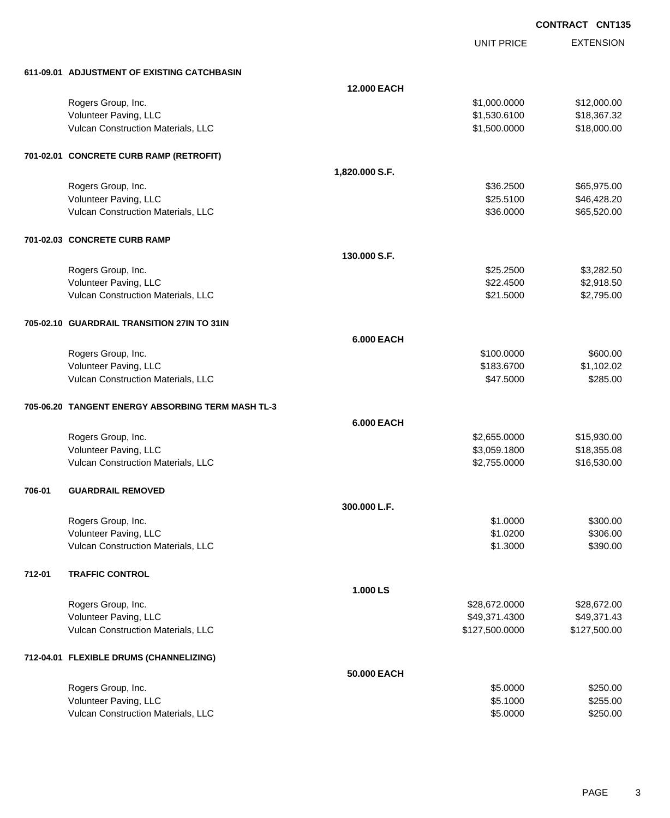UNIT PRICE EXTENSION

|        | 611-09.01 ADJUSTMENT OF EXISTING CATCHBASIN       |                    |                |              |
|--------|---------------------------------------------------|--------------------|----------------|--------------|
|        |                                                   | <b>12.000 EACH</b> |                |              |
|        | Rogers Group, Inc.                                |                    | \$1,000.0000   | \$12,000.00  |
|        | Volunteer Paving, LLC                             |                    | \$1,530.6100   | \$18,367.32  |
|        | Vulcan Construction Materials, LLC                |                    | \$1,500.0000   | \$18,000.00  |
|        | 701-02.01 CONCRETE CURB RAMP (RETROFIT)           |                    |                |              |
|        |                                                   | 1,820.000 S.F.     |                |              |
|        | Rogers Group, Inc.                                |                    | \$36.2500      | \$65,975.00  |
|        | Volunteer Paving, LLC                             |                    | \$25.5100      | \$46,428.20  |
|        | Vulcan Construction Materials, LLC                |                    | \$36.0000      | \$65,520.00  |
|        | 701-02.03 CONCRETE CURB RAMP                      |                    |                |              |
|        |                                                   | 130.000 S.F.       |                |              |
|        | Rogers Group, Inc.                                |                    | \$25.2500      | \$3,282.50   |
|        | Volunteer Paving, LLC                             |                    | \$22.4500      | \$2,918.50   |
|        | Vulcan Construction Materials, LLC                |                    | \$21.5000      | \$2,795.00   |
|        | 705-02.10 GUARDRAIL TRANSITION 27IN TO 31IN       |                    |                |              |
|        |                                                   | <b>6.000 EACH</b>  |                |              |
|        | Rogers Group, Inc.                                |                    | \$100.0000     | \$600.00     |
|        | Volunteer Paving, LLC                             |                    | \$183.6700     | \$1,102.02   |
|        | Vulcan Construction Materials, LLC                |                    | \$47.5000      | \$285.00     |
|        | 705-06.20 TANGENT ENERGY ABSORBING TERM MASH TL-3 |                    |                |              |
|        |                                                   | <b>6.000 EACH</b>  |                |              |
|        | Rogers Group, Inc.                                |                    | \$2,655.0000   | \$15,930.00  |
|        | Volunteer Paving, LLC                             |                    | \$3,059.1800   | \$18,355.08  |
|        | Vulcan Construction Materials, LLC                |                    | \$2,755.0000   | \$16,530.00  |
| 706-01 | <b>GUARDRAIL REMOVED</b>                          |                    |                |              |
|        |                                                   | 300.000 L.F.       |                |              |
|        | Rogers Group, Inc.                                |                    | \$1.0000       | \$300.00     |
|        | Volunteer Paving, LLC                             |                    | \$1.0200       | \$306.00     |
|        | Vulcan Construction Materials, LLC                |                    | \$1.3000       | \$390.00     |
| 712-01 | <b>TRAFFIC CONTROL</b>                            |                    |                |              |
|        |                                                   | 1.000 LS           |                |              |
|        | Rogers Group, Inc.                                |                    | \$28,672.0000  | \$28,672.00  |
|        | Volunteer Paving, LLC                             |                    | \$49,371.4300  | \$49,371.43  |
|        | Vulcan Construction Materials, LLC                |                    | \$127,500.0000 | \$127,500.00 |
|        | 712-04.01 FLEXIBLE DRUMS (CHANNELIZING)           |                    |                |              |
|        |                                                   | 50.000 EACH        |                |              |
|        | Rogers Group, Inc.                                |                    | \$5.0000       | \$250.00     |
|        | Volunteer Paving, LLC                             |                    | \$5.1000       | \$255.00     |
|        | Vulcan Construction Materials, LLC                |                    | \$5.0000       | \$250.00     |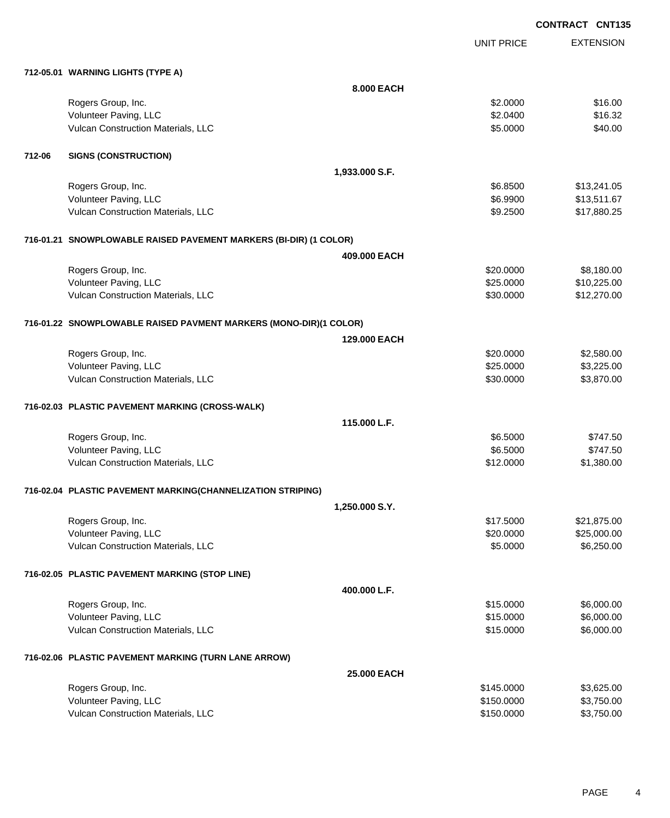**EXTENSION CONTRACT CNT135** UNIT PRICE **712-05.01 WARNING LIGHTS (TYPE A) 8.000 EACH** Rogers Group, Inc. \$2.0000 \$16.00 Volunteer Paving, LLC 66 and 1990 and 1990 and 1990 and 1990 and 1990 and 1990 and 1990 and 1990 and 1990 and 1 Vulcan Construction Materials, LLC 6000 \$40.00 **712-06 SIGNS (CONSTRUCTION) 1,933.000 S.F.** Rogers Group, Inc. \$13,241.05 \$6.8500 \$13,241.05 Volunteer Paving, LLC 6.89900 \$13,511.67 Vulcan Construction Materials, LLC 600 and the state of the state of the state of the state of the state of the state  $\frac{1}{2}$ **716-01.21 SNOWPLOWABLE RAISED PAVEMENT MARKERS (BI-DIR) (1 COLOR) 409.000 EACH** Rogers Group, Inc. \$20.000 \$8,180.00 Volunteer Paving, LLC 6. 225.000 \$10,225.00 Vulcan Construction Materials, LLC 60000 \$12,270.00 **716-01.22 SNOWPLOWABLE RAISED PAVMENT MARKERS (MONO-DIR)(1 COLOR) 129.000 EACH** Rogers Group, Inc. \$2,580.00 \$2,580.00 \$2,580.00 \$2,580.00 \$2,580.00 \$2,580.00 \$2,580.00 \$2,580.00 \$2,580.00 \$2 Volunteer Paving, LLC 6. 225.000 \$3,225.00 Vulcan Construction Materials, LLC 60000 \$3,870.00 **716-02.03 PLASTIC PAVEMENT MARKING (CROSS-WALK) 115.000 L.F.** Rogers Group, Inc. \$6.5000 \$747.50 Volunteer Paving, LLC 6747.50 Vulcan Construction Materials, LLC 61,380.00 \$1,380.00 **716-02.04 PLASTIC PAVEMENT MARKING(CHANNELIZATION STRIPING) 1,250.000 S.Y.** Rogers Group, Inc. \$1875.000 \$21,875.00 Volunteer Paving, LLC 6. 20.0000 \$25,000.00 Vulcan Construction Materials, LLC 6,250.00 \$6,250.00 **716-02.05 PLASTIC PAVEMENT MARKING (STOP LINE) 400.000 L.F.** Rogers Group, Inc. \$15.0000 \$6,000.00 Volunteer Paving, LLC 6,000.00 \$6,000.00 \$6,000.00 \$6,000.00 \$15.0000 \$6,000.00 Vulcan Construction Materials, LLC 6000.00 \$6,000.00 \$6,000.00 **716-02.06 PLASTIC PAVEMENT MARKING (TURN LANE ARROW) 25.000 EACH**

| Rogers Group, Inc.                 | \$145,0000 | \$3,625.00 |
|------------------------------------|------------|------------|
| Volunteer Paving, LLC              | \$150,0000 | \$3,750.00 |
| Vulcan Construction Materials, LLC | \$150,0000 | \$3,750.00 |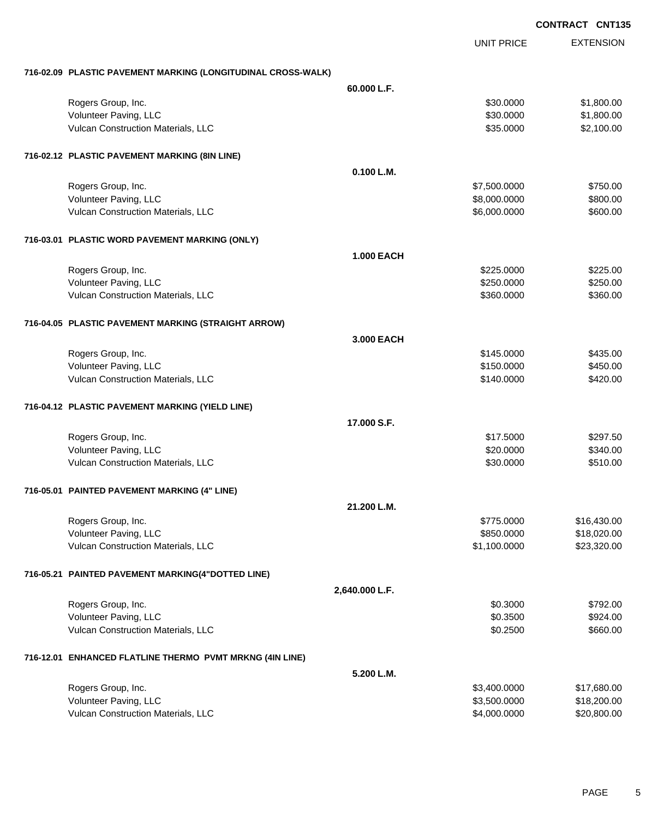|                                                              |                   | <b>UNIT PRICE</b> | <b>EXTENSION</b> |
|--------------------------------------------------------------|-------------------|-------------------|------------------|
| 716-02.09 PLASTIC PAVEMENT MARKING (LONGITUDINAL CROSS-WALK) |                   |                   |                  |
|                                                              | 60.000 L.F.       |                   |                  |
| Rogers Group, Inc.                                           |                   | \$30.0000         | \$1,800.00       |
| Volunteer Paving, LLC                                        |                   | \$30.0000         | \$1,800.00       |
| Vulcan Construction Materials, LLC                           |                   | \$35.0000         | \$2,100.00       |
| 716-02.12 PLASTIC PAVEMENT MARKING (8IN LINE)                |                   |                   |                  |
|                                                              | 0.100 L.M.        |                   |                  |
| Rogers Group, Inc.                                           |                   | \$7,500.0000      | \$750.00         |
| Volunteer Paving, LLC                                        |                   | \$8,000.0000      | \$800.00         |
| Vulcan Construction Materials, LLC                           |                   | \$6,000.0000      | \$600.00         |
| 716-03.01 PLASTIC WORD PAVEMENT MARKING (ONLY)               |                   |                   |                  |
|                                                              | <b>1.000 EACH</b> |                   |                  |
| Rogers Group, Inc.                                           |                   | \$225.0000        | \$225.00         |
| Volunteer Paving, LLC                                        |                   | \$250.0000        | \$250.00         |
| Vulcan Construction Materials, LLC                           |                   | \$360.0000        | \$360.00         |
| 716-04.05 PLASTIC PAVEMENT MARKING (STRAIGHT ARROW)          |                   |                   |                  |
|                                                              | 3.000 EACH        |                   |                  |
| Rogers Group, Inc.                                           |                   | \$145.0000        | \$435.00         |
| Volunteer Paving, LLC                                        |                   | \$150.0000        | \$450.00         |
| Vulcan Construction Materials, LLC                           |                   | \$140.0000        | \$420.00         |
| 716-04.12 PLASTIC PAVEMENT MARKING (YIELD LINE)              |                   |                   |                  |
|                                                              | 17.000 S.F.       |                   |                  |
| Rogers Group, Inc.                                           |                   | \$17.5000         | \$297.50         |
| Volunteer Paving, LLC                                        |                   | \$20.0000         | \$340.00         |
| Vulcan Construction Materials, LLC                           |                   | \$30.0000         | \$510.00         |
| 716-05.01 PAINTED PAVEMENT MARKING (4" LINE)                 |                   |                   |                  |
|                                                              | 21.200 L.M.       |                   |                  |
| Rogers Group, Inc.                                           |                   | \$775.0000        | \$16,430.00      |
| Volunteer Paving, LLC                                        |                   | \$850.0000        | \$18,020.00      |
| Vulcan Construction Materials, LLC                           |                   | \$1,100.0000      | \$23,320.00      |
| 716-05.21 PAINTED PAVEMENT MARKING(4"DOTTED LINE)            |                   |                   |                  |
|                                                              | 2,640.000 L.F.    |                   |                  |
| Rogers Group, Inc.                                           |                   | \$0.3000          | \$792.00         |
| Volunteer Paving, LLC                                        |                   | \$0.3500          | \$924.00         |
| Vulcan Construction Materials, LLC                           |                   | \$0.2500          | \$660.00         |
| 716-12.01 ENHANCED FLATLINE THERMO PVMT MRKNG (4IN LINE)     |                   |                   |                  |
|                                                              | 5.200 L.M.        |                   |                  |
| Rogers Group, Inc.                                           |                   | \$3,400.0000      | \$17,680.00      |
| Volunteer Paving, LLC                                        |                   | \$3,500.0000      | \$18,200.00      |
| Vulcan Construction Materials, LLC                           |                   | \$4,000.0000      | \$20,800.00      |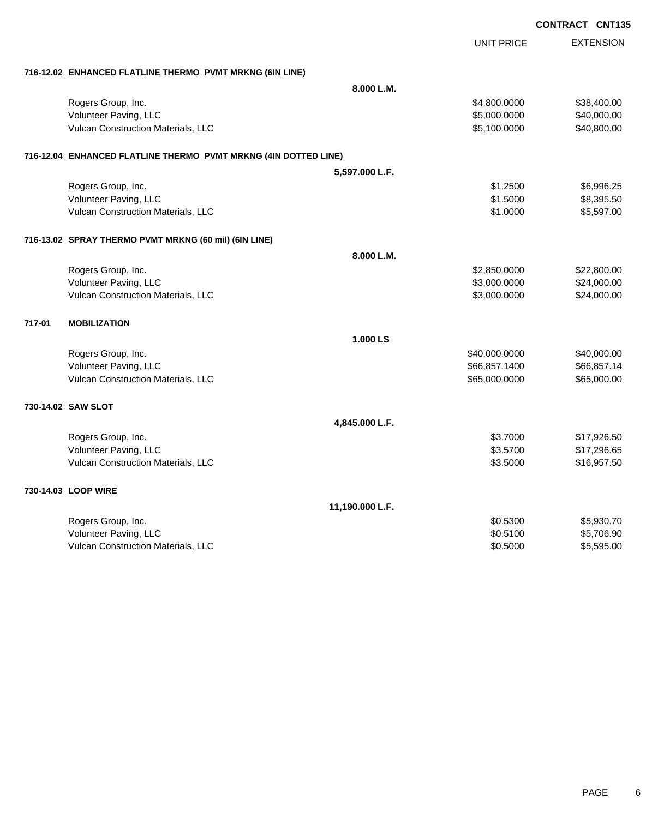|        |                                                                 |                 | <b>UNIT PRICE</b> | <b>EXTENSION</b> |
|--------|-----------------------------------------------------------------|-----------------|-------------------|------------------|
|        | 716-12.02 ENHANCED FLATLINE THERMO PVMT MRKNG (6IN LINE)        |                 |                   |                  |
|        |                                                                 | 8.000 L.M.      |                   |                  |
|        | Rogers Group, Inc.                                              |                 | \$4,800.0000      | \$38,400.00      |
|        | Volunteer Paving, LLC                                           |                 | \$5,000.0000      | \$40,000.00      |
|        | Vulcan Construction Materials, LLC                              |                 | \$5,100.0000      | \$40,800.00      |
|        | 716-12.04 ENHANCED FLATLINE THERMO PVMT MRKNG (4IN DOTTED LINE) |                 |                   |                  |
|        |                                                                 | 5,597.000 L.F.  |                   |                  |
|        | Rogers Group, Inc.                                              |                 | \$1.2500          | \$6,996.25       |
|        | Volunteer Paving, LLC                                           |                 | \$1.5000          | \$8,395.50       |
|        | Vulcan Construction Materials, LLC                              |                 | \$1.0000          | \$5,597.00       |
|        | 716-13.02 SPRAY THERMO PVMT MRKNG (60 mil) (6IN LINE)           |                 |                   |                  |
|        |                                                                 | 8.000 L.M.      |                   |                  |
|        | Rogers Group, Inc.                                              |                 | \$2,850.0000      | \$22,800.00      |
|        | Volunteer Paving, LLC                                           |                 | \$3,000.0000      | \$24,000.00      |
|        | Vulcan Construction Materials, LLC                              |                 | \$3,000.0000      | \$24,000.00      |
| 717-01 | <b>MOBILIZATION</b>                                             |                 |                   |                  |
|        |                                                                 | 1.000 LS        |                   |                  |
|        | Rogers Group, Inc.                                              |                 | \$40,000.0000     | \$40,000.00      |
|        | Volunteer Paving, LLC                                           |                 | \$66,857.1400     | \$66,857.14      |
|        | Vulcan Construction Materials, LLC                              |                 | \$65,000.0000     | \$65,000.00      |
|        | 730-14.02 SAW SLOT                                              |                 |                   |                  |
|        |                                                                 | 4,845.000 L.F.  |                   |                  |
|        | Rogers Group, Inc.                                              |                 | \$3.7000          | \$17,926.50      |
|        | Volunteer Paving, LLC                                           |                 | \$3.5700          | \$17,296.65      |
|        | Vulcan Construction Materials, LLC                              |                 | \$3.5000          | \$16,957.50      |
|        | 730-14.03 LOOP WIRE                                             |                 |                   |                  |
|        |                                                                 | 11,190.000 L.F. |                   |                  |
|        | Rogers Group, Inc.                                              |                 | \$0.5300          | \$5,930.70       |
|        | Volunteer Paving, LLC                                           |                 | \$0.5100          | \$5,706.90       |
|        | Vulcan Construction Materials, LLC                              |                 | \$0.5000          | \$5,595.00       |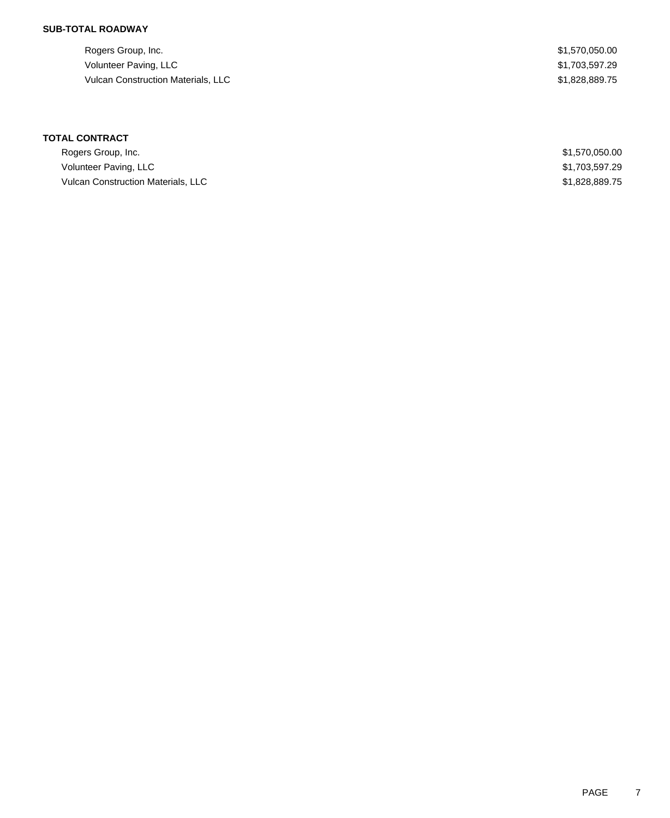## **SUB-TOTAL ROADWAY**

Rogers Group, Inc. \$1,570,050.00 Volunteer Paving, LLC \$1,703,597.29 Vulcan Construction Materials, LLC \$1,828,889.75

# **TOTAL CONTRACT**

| Rogers Group, Inc.                        | \$1,570,050.00 |
|-------------------------------------------|----------------|
| Volunteer Paving, LLC                     | \$1,703,597.29 |
| <b>Vulcan Construction Materials, LLC</b> | \$1,828,889.75 |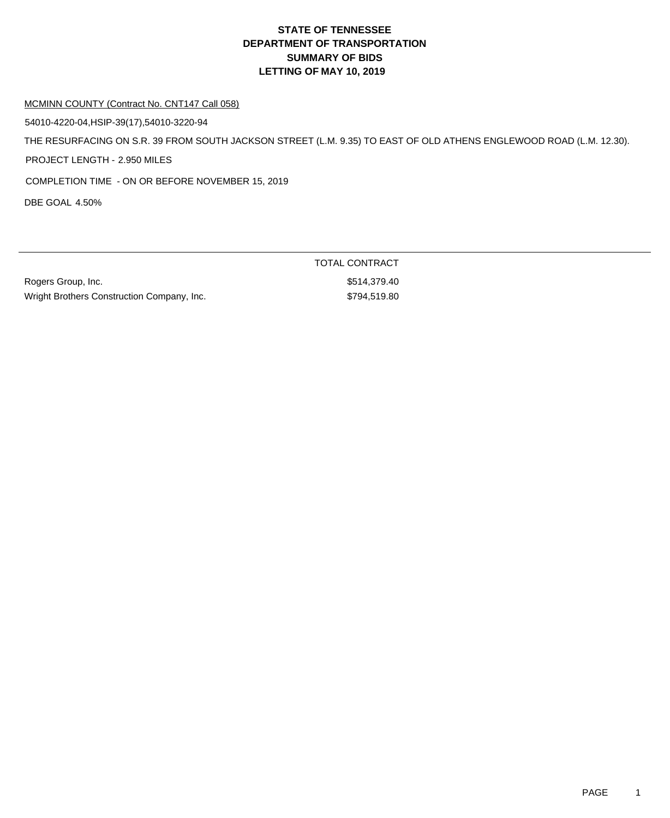### MCMINN COUNTY (Contract No. CNT147 Call 058)

54010-4220-04,HSIP-39(17),54010-3220-94

THE RESURFACING ON S.R. 39 FROM SOUTH JACKSON STREET (L.M. 9.35) TO EAST OF OLD ATHENS ENGLEWOOD ROAD (L.M. 12.30).

PROJECT LENGTH - 2.950 MILES

COMPLETION TIME - ON OR BEFORE NOVEMBER 15, 2019

DBE GOAL 4.50%

Rogers Group, Inc. **\$514,379.40** Wright Brothers Construction Company, Inc. 6794,519.80

TOTAL CONTRACT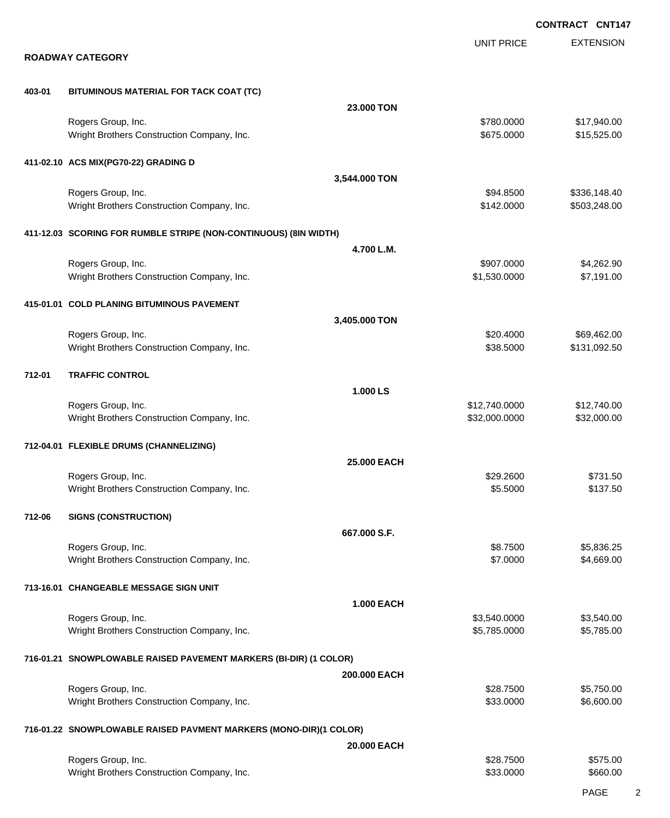EXTENSION **CONTRACT CNT147** UNIT PRICE **ROADWAY CATEGORY 403-01 BITUMINOUS MATERIAL FOR TACK COAT (TC) 23.000 TON** Rogers Group, Inc. \$17,940.00 Wright Brothers Construction Company, Inc. 6. 2012 12:30 12:30 12:30 12:30 12:30 12:30 12:30 12:30 12:30 12:30 **411-02.10 ACS MIX(PG70-22) GRADING D 3,544.000 TON** Rogers Group, Inc. \$936,148.40 \$336,148.40 \$336,148.40 \$336,148.40 \$336,148.40 Wright Brothers Construction Company, Inc. 6. 2000 \$142.0000 \$503,248.00 **411-12.03 SCORING FOR RUMBLE STRIPE (NON-CONTINUOUS) (8IN WIDTH) 4.700 L.M.** Rogers Group, Inc. \$907.0000 \$4,262.90 Wright Brothers Construction Company, Inc. 6. 2012 12:30:000 \$1,530.0000 \$7,191.00 **415-01.01 COLD PLANING BITUMINOUS PAVEMENT 3,405.000 TON** Rogers Group, Inc. \$20.4000 \$69,462.00 Wright Brothers Construction Company, Inc. 6. 1992.50 \$38.5000 \$131,092.50 **712-01 TRAFFIC CONTROL 1.000 LS** Rogers Group, Inc. \$12,740.000 \$12,740.000 \$12,740.000 \$12,740.000 \$12,740.000 \$12,740.00 Wright Brothers Construction Company, Inc. 632,000 632,000.000 \$32,000.000 \$32,000.00 **712-04.01 FLEXIBLE DRUMS (CHANNELIZING) 25.000 EACH** Rogers Group, Inc. \$29.2600 \$731.50 Wright Brothers Construction Company, Inc. \$5.5000 \$137.50 **712-06 SIGNS (CONSTRUCTION) 667.000 S.F.** Rogers Group, Inc. \$8.7500 \$5,836.25 Wright Brothers Construction Company, Inc. 6. 2000 \$4,669.00 **713-16.01 CHANGEABLE MESSAGE SIGN UNIT 1.000 EACH** Rogers Group, Inc. \$3,540.000 \$3,540.000 \$3,540.000 \$3,540.000 \$3,540.000 \$3,540.000 \$3,540.00 Wright Brothers Construction Company, Inc. \$5,785.000 \$5,785.0000 \$5,785.000 **716-01.21 SNOWPLOWABLE RAISED PAVEMENT MARKERS (BI-DIR) (1 COLOR) 200.000 EACH** Rogers Group, Inc. \$28.750.00 \$5,750.00 Wright Brothers Construction Company, Inc. 6. 2012 12:30:000 \$6,600.00 \$6,600.00 **716-01.22 SNOWPLOWABLE RAISED PAVMENT MARKERS (MONO-DIR)(1 COLOR) 20.000 EACH** Rogers Group, Inc. \$28.7500 \$575.00

Wright Brothers Construction Company, Inc. 660.00 \$33.0000 \$660.00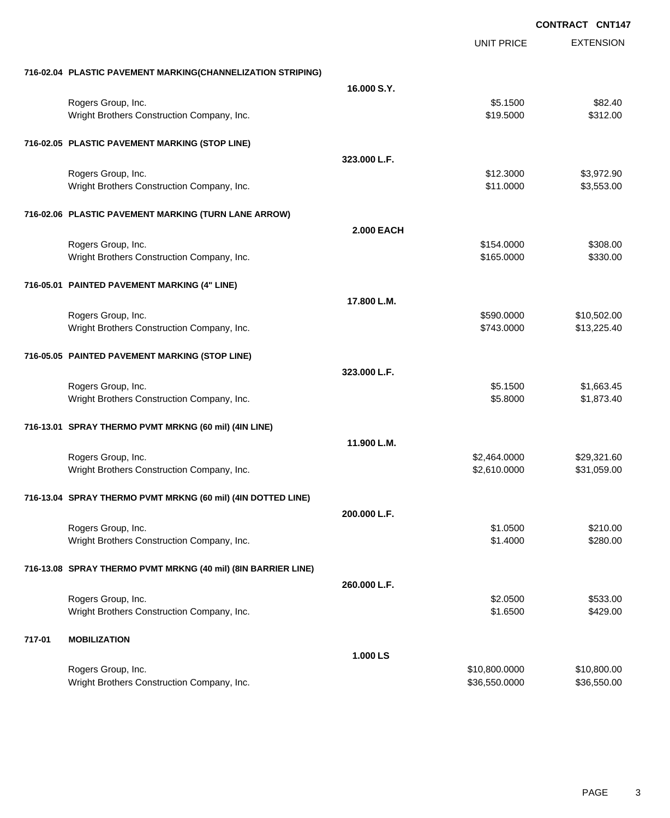**EXTENSION CONTRACT CNT147** UNIT PRICE **716-02.04 PLASTIC PAVEMENT MARKING(CHANNELIZATION STRIPING) 16.000 S.Y.** Rogers Group, Inc. \$5.1500 \$82.40 Wright Brothers Construction Company, Inc. 6. 2000 \$312.00 **716-02.05 PLASTIC PAVEMENT MARKING (STOP LINE) 323.000 L.F.** Rogers Group, Inc. \$1,972.90 Wright Brothers Construction Company, Inc. 6. 2012 12:30 12:30 12:30 13:300 \$3,553.00 **716-02.06 PLASTIC PAVEMENT MARKING (TURN LANE ARROW) 2.000 EACH** Rogers Group, Inc. \$154.0000 \$308.00 \$308.00 \$308.00 \$308.00 \$308.00 \$308.00 \$308.00 \$308.00 \$ \$308.00 \$ \$308.00 \$ Wright Brothers Construction Company, Inc. 6330.00 \$165.0000 \$330.00 **716-05.01 PAINTED PAVEMENT MARKING (4" LINE) 17.800 L.M.** Rogers Group, Inc. \$10,502.00 Wright Brothers Construction Company, Inc. 6. The State of the State of the State State State State State State State State State State State State State State State State State State State State State State State State St **716-05.05 PAINTED PAVEMENT MARKING (STOP LINE) 323.000 L.F.** Rogers Group, Inc. \$1,663.45 Wright Brothers Construction Company, Inc. 6. 2012 12:30 12:30 12:30 12:30 12:30 12:30 1373.40 **716-13.01 SPRAY THERMO PVMT MRKNG (60 mil) (4IN LINE) 11.900 L.M.** Rogers Group, Inc. \$29,321.60 Wright Brothers Construction Company, Inc. 6. The Construction Company, Inc. 6. The Construction Company, Inc. 6. The Construction Company, Inc. 6. The Construction Company, Inc. 6. The Construction Company, Inc. 6. The Co **716-13.04 SPRAY THERMO PVMT MRKNG (60 mil) (4IN DOTTED LINE) 200.000 L.F.** Rogers Group, Inc. \$210.00 \$21.0500 \$21.0500 \$21.000 \$21.000 \$21.000 \$21.000 \$21.000 \$21.000 \$21.000 \$21.000 \$ Wright Brothers Construction Company, Inc. 6. 2002 1.4000 \$1.4000 \$280.00 **716-13.08 SPRAY THERMO PVMT MRKNG (40 mil) (8IN BARRIER LINE) 260.000 L.F.** Rogers Group, Inc. \$2.0500 \$533.00 Wright Brothers Construction Company, Inc. 6429.00 \$1.6500 \$429.00 **717-01 MOBILIZATION 1.000 LS** Rogers Group, Inc. \$10,800.000 \$10,800.000 \$10,800.000 \$10,800.000 \$10,800.000 \$10,800.00 \$10,800.00 \$10,800.00 Wright Brothers Construction Company, Inc. 6. The State of the State of State State State State State State State State State State State State State State State State State State State State State State State State State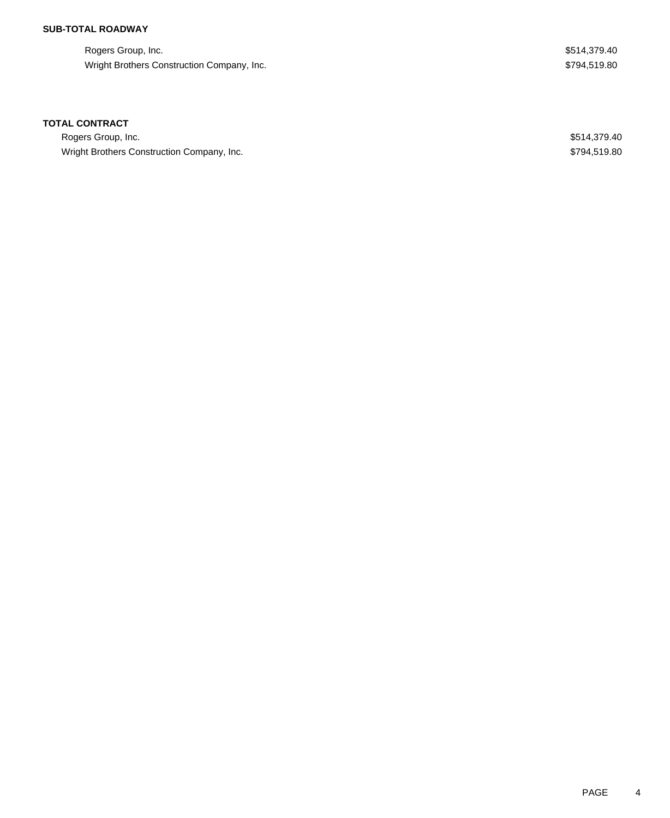## **SUB-TOTAL ROADWAY**

Rogers Group, Inc. \$514,379.40 Wright Brothers Construction Company, Inc. 6 and the state of the state of the state of the state of the state of the state of the state of the state of the state of the state of the state of the state of the state of the

### **TOTAL CONTRACT**

Rogers Group, Inc. \$514,379.40 Wright Brothers Construction Company, Inc. 6 and the state of the state of the state of the state of the state of the state of the state of the state of the state of the state of the state of the state of the state of the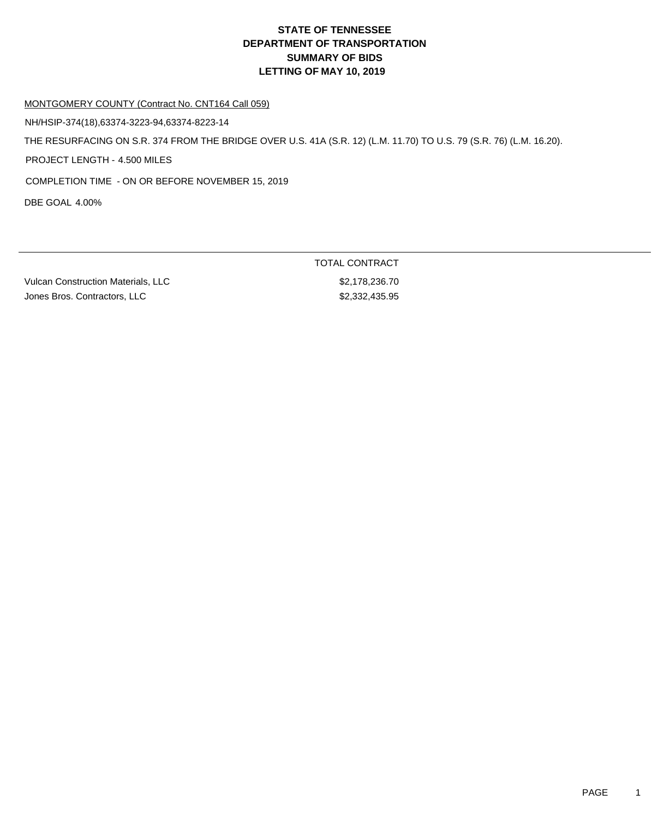### MONTGOMERY COUNTY (Contract No. CNT164 Call 059)

NH/HSIP-374(18),63374-3223-94,63374-8223-14

THE RESURFACING ON S.R. 374 FROM THE BRIDGE OVER U.S. 41A (S.R. 12) (L.M. 11.70) TO U.S. 79 (S.R. 76) (L.M. 16.20).

PROJECT LENGTH - 4.500 MILES

COMPLETION TIME - ON OR BEFORE NOVEMBER 15, 2019

DBE GOAL 4.00%

Vulcan Construction Materials, LLC \$2,178,236.70 Jones Bros. Contractors, LLC \$2,332,435.95

TOTAL CONTRACT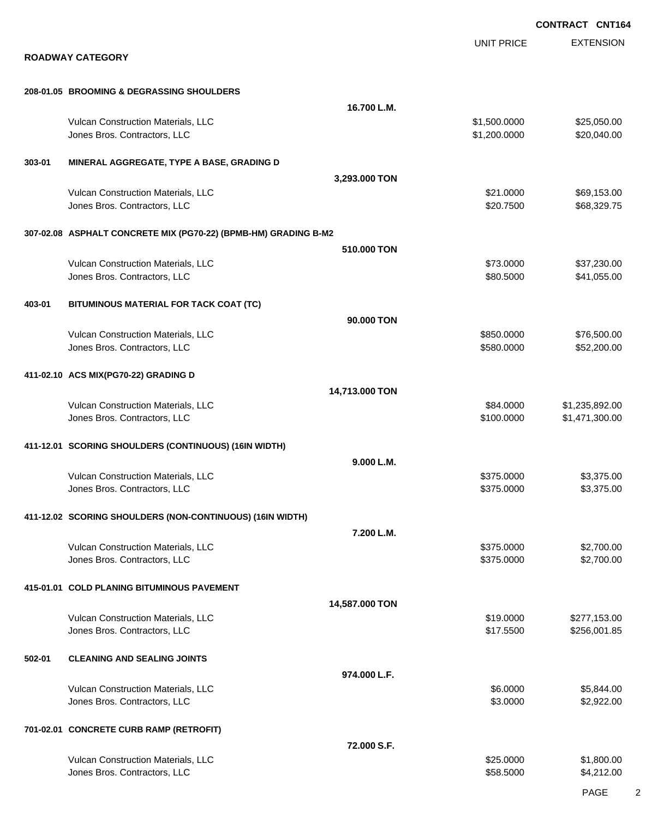|        |                                                                 |                |                   | <b>CONTRACT CNT164</b> |
|--------|-----------------------------------------------------------------|----------------|-------------------|------------------------|
|        |                                                                 |                | <b>UNIT PRICE</b> | <b>EXTENSION</b>       |
|        | <b>ROADWAY CATEGORY</b>                                         |                |                   |                        |
|        | 208-01.05 BROOMING & DEGRASSING SHOULDERS                       |                |                   |                        |
|        |                                                                 | 16.700 L.M.    |                   |                        |
|        | Vulcan Construction Materials, LLC                              |                | \$1,500.0000      | \$25,050.00            |
|        | Jones Bros. Contractors, LLC                                    |                | \$1,200.0000      | \$20,040.00            |
|        |                                                                 |                |                   |                        |
| 303-01 | MINERAL AGGREGATE, TYPE A BASE, GRADING D                       |                |                   |                        |
|        |                                                                 | 3,293.000 TON  |                   |                        |
|        | Vulcan Construction Materials, LLC                              |                | \$21.0000         | \$69,153.00            |
|        | Jones Bros. Contractors, LLC                                    |                | \$20.7500         | \$68,329.75            |
|        | 307-02.08 ASPHALT CONCRETE MIX (PG70-22) (BPMB-HM) GRADING B-M2 |                |                   |                        |
|        |                                                                 | 510,000 TON    |                   |                        |
|        | Vulcan Construction Materials, LLC                              |                | \$73.0000         | \$37,230.00            |
|        | Jones Bros. Contractors, LLC                                    |                | \$80.5000         | \$41,055.00            |
| 403-01 | BITUMINOUS MATERIAL FOR TACK COAT (TC)                          |                |                   |                        |
|        |                                                                 | 90,000 TON     |                   |                        |
|        | Vulcan Construction Materials, LLC                              |                | \$850.0000        | \$76,500.00            |
|        | Jones Bros. Contractors, LLC                                    |                | \$580.0000        | \$52,200.00            |
|        | 411-02.10 ACS MIX(PG70-22) GRADING D                            |                |                   |                        |
|        |                                                                 | 14,713.000 TON |                   |                        |
|        | Vulcan Construction Materials, LLC                              |                | \$84.0000         | \$1,235,892.00         |
|        | Jones Bros. Contractors, LLC                                    |                | \$100.0000        | \$1,471,300.00         |
|        | 411-12.01 SCORING SHOULDERS (CONTINUOUS) (16IN WIDTH)           |                |                   |                        |
|        |                                                                 | 9.000 L.M.     |                   |                        |
|        | Vulcan Construction Materials, LLC                              |                | \$375.0000        | \$3,375.00             |
|        | Jones Bros. Contractors, LLC                                    |                | \$375.0000        | \$3,375.00             |
|        | 411-12.02 SCORING SHOULDERS (NON-CONTINUOUS) (16IN WIDTH)       |                |                   |                        |
|        |                                                                 | 7.200 L.M.     |                   |                        |
|        | Vulcan Construction Materials, LLC                              |                | \$375.0000        | \$2,700.00             |
|        | Jones Bros. Contractors, LLC                                    |                | \$375.0000        | \$2,700.00             |
|        | 415-01.01 COLD PLANING BITUMINOUS PAVEMENT                      |                |                   |                        |
|        |                                                                 | 14,587.000 TON |                   |                        |
|        | Vulcan Construction Materials, LLC                              |                | \$19.0000         | \$277,153.00           |
|        | Jones Bros. Contractors, LLC                                    |                | \$17.5500         | \$256,001.85           |
| 502-01 | <b>CLEANING AND SEALING JOINTS</b>                              |                |                   |                        |
|        |                                                                 | 974.000 L.F.   |                   |                        |
|        | Vulcan Construction Materials, LLC                              |                | \$6.0000          | \$5,844.00             |
|        | Jones Bros. Contractors, LLC                                    |                | \$3.0000          | \$2,922.00             |
|        | 701-02.01 CONCRETE CURB RAMP (RETROFIT)                         |                |                   |                        |
|        |                                                                 | 72.000 S.F.    |                   |                        |
|        | Vulcan Construction Materials, LLC                              |                | \$25.0000         | \$1,800.00             |
|        | Jones Bros. Contractors, LLC                                    |                | \$58.5000         | \$4,212.00             |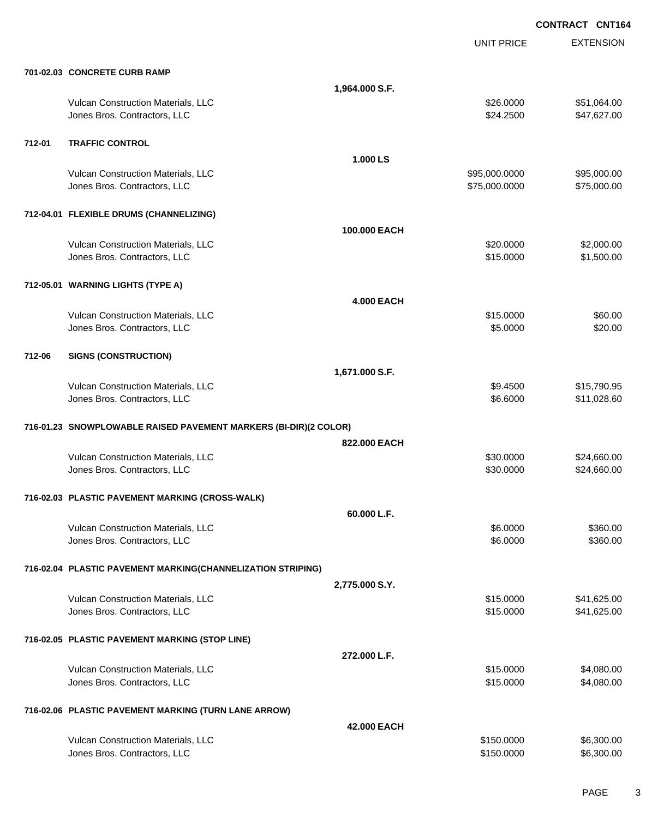EXTENSION **CONTRACT CNT164** UNIT PRICE **701-02.03 CONCRETE CURB RAMP 1,964.000 S.F.** Vulcan Construction Materials, LLC 664.000 \$51,064.00 Jones Bros. Contractors, LLC \$24.2500 \$47,627.00 **712-01 TRAFFIC CONTROL 1.000 LS** Vulcan Construction Materials, LLC 600000 \$95,000.000 \$95,000.000 \$95,000.000 \$95,000.000 Jones Bros. Contractors, LLC \$75,000.0000 \$75,000.00 **712-04.01 FLEXIBLE DRUMS (CHANNELIZING) 100.000 EACH** Vulcan Construction Materials, LLC 60000 \$2,000.00 \$2,000.00 Jones Bros. Contractors, LLC \$15.0000 \$1,500.00 **712-05.01 WARNING LIGHTS (TYPE A) 4.000 EACH** Vulcan Construction Materials, LLC 60.00 \$60.00 Jones Bros. Contractors, LLC 65.000 \$20.00 **712-06 SIGNS (CONSTRUCTION) 1,671.000 S.F.** Vulcan Construction Materials, LLC 61 and the state of the state of the state of the state of the state of the state  $\frac{1}{2}$  \$9.4500 \$15,790.95 Jones Bros. Contractors, LLC \$6.6000 \$11,028.60 **716-01.23 SNOWPLOWABLE RAISED PAVEMENT MARKERS (BI-DIR)(2 COLOR) 822.000 EACH** Vulcan Construction Materials, LLC 60000 \$24,660.00 Jones Bros. Contractors, LLC 60000 \$24,660.00 **716-02.03 PLASTIC PAVEMENT MARKING (CROSS-WALK) 60.000 L.F.** Vulcan Construction Materials, LLC 66.000 \$360.00 Jones Bros. Contractors, LLC 66.000 \$360.00 **716-02.04 PLASTIC PAVEMENT MARKING(CHANNELIZATION STRIPING) 2,775.000 S.Y.** Vulcan Construction Materials, LLC 60000 \$41,625.00 Jones Bros. Contractors, LLC \$15.0000 \$41,625.00 **716-02.05 PLASTIC PAVEMENT MARKING (STOP LINE) 272.000 L.F.** Vulcan Construction Materials, LLC 66 and the state of the state of the state of the state of the state of the state of the state of the state of the state of the state of the state of the state of the state of the state o Jones Bros. Contractors, LLC \$15.0000 \$4,080.00 **716-02.06 PLASTIC PAVEMENT MARKING (TURN LANE ARROW) 42.000 EACH** Vulcan Construction Materials, LLC 6,300.00 \$6,300.00 \$6,300.00

dones Bros. Contractors, LLC 6,300.00 \$6,300.00 \$6,300.00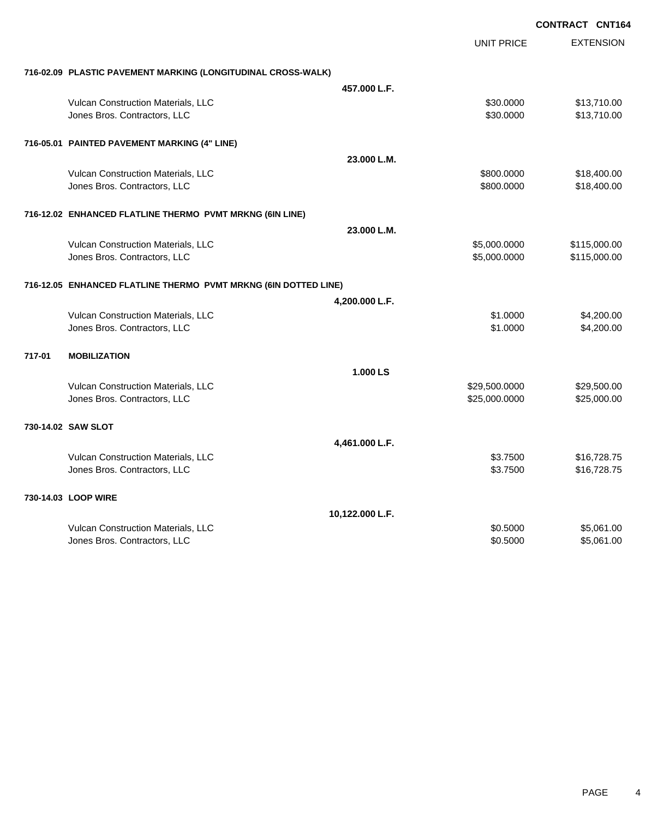|        |                                                                 |                 | <b>CONTRACT CNT164</b> |                  |
|--------|-----------------------------------------------------------------|-----------------|------------------------|------------------|
|        |                                                                 |                 | <b>UNIT PRICE</b>      | <b>EXTENSION</b> |
|        | 716-02.09 PLASTIC PAVEMENT MARKING (LONGITUDINAL CROSS-WALK)    |                 |                        |                  |
|        |                                                                 | 457.000 L.F.    |                        |                  |
|        | Vulcan Construction Materials, LLC                              |                 | \$30.0000              | \$13,710.00      |
|        | Jones Bros. Contractors, LLC                                    |                 | \$30.0000              | \$13,710.00      |
|        | 716-05.01 PAINTED PAVEMENT MARKING (4" LINE)                    |                 |                        |                  |
|        |                                                                 | 23.000 L.M.     |                        |                  |
|        | Vulcan Construction Materials, LLC                              |                 | \$800.0000             | \$18,400.00      |
|        | Jones Bros. Contractors, LLC                                    |                 | \$800.0000             | \$18,400.00      |
|        | 716-12.02 ENHANCED FLATLINE THERMO PVMT MRKNG (6IN LINE)        |                 |                        |                  |
|        |                                                                 | 23.000 L.M.     |                        |                  |
|        | Vulcan Construction Materials, LLC                              |                 | \$5,000.0000           | \$115,000.00     |
|        | Jones Bros. Contractors, LLC                                    |                 | \$5,000.0000           | \$115,000.00     |
|        | 716-12.05 ENHANCED FLATLINE THERMO PVMT MRKNG (6IN DOTTED LINE) |                 |                        |                  |
|        |                                                                 | 4,200.000 L.F.  |                        |                  |
|        | Vulcan Construction Materials, LLC                              |                 | \$1.0000               | \$4,200.00       |
|        | Jones Bros. Contractors, LLC                                    |                 | \$1.0000               | \$4,200.00       |
| 717-01 | <b>MOBILIZATION</b>                                             |                 |                        |                  |
|        |                                                                 | 1.000 LS        |                        |                  |
|        | Vulcan Construction Materials, LLC                              |                 | \$29,500.0000          | \$29,500.00      |
|        | Jones Bros. Contractors, LLC                                    |                 | \$25,000.0000          | \$25,000.00      |
|        | 730-14.02 SAW SLOT                                              |                 |                        |                  |
|        |                                                                 | 4,461.000 L.F.  |                        |                  |
|        | Vulcan Construction Materials, LLC                              |                 | \$3.7500               | \$16,728.75      |
|        | Jones Bros. Contractors, LLC                                    |                 | \$3.7500               | \$16,728.75      |
|        | 730-14.03 LOOP WIRE                                             |                 |                        |                  |
|        |                                                                 | 10,122.000 L.F. |                        |                  |
|        | Vulcan Construction Materials, LLC                              |                 | \$0.5000               | \$5,061.00       |
|        | Jones Bros. Contractors, LLC                                    |                 | \$0.5000               | \$5,061.00       |
|        |                                                                 |                 |                        |                  |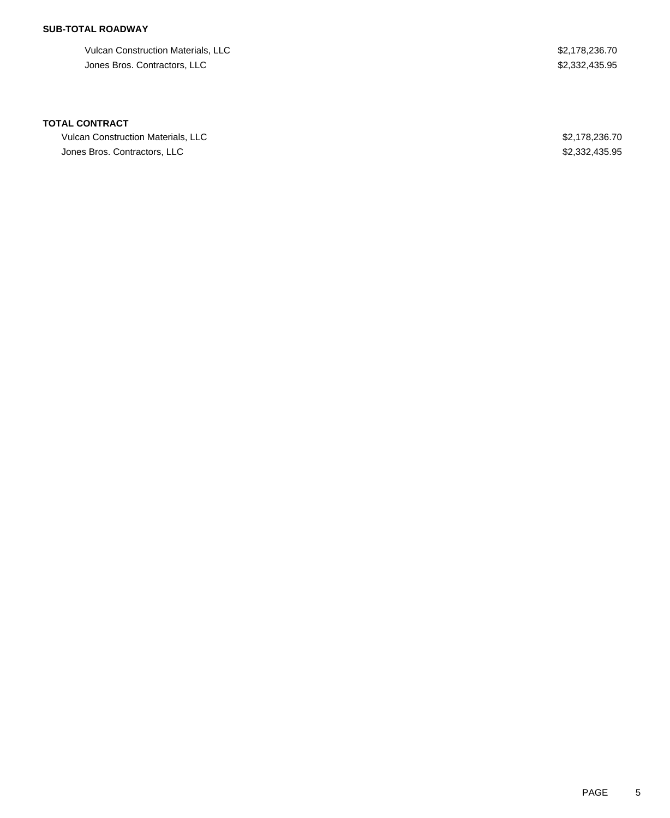## **SUB-TOTAL ROADWAY**

Vulcan Construction Materials, LLC 62,178,236.70 Jones Bros. Contractors, LLC \$2,332,435.95

### **TOTAL CONTRACT**

Vulcan Construction Materials, LLC \$2,178,236.70 Jones Bros. Contractors, LLC \$2,332,435.95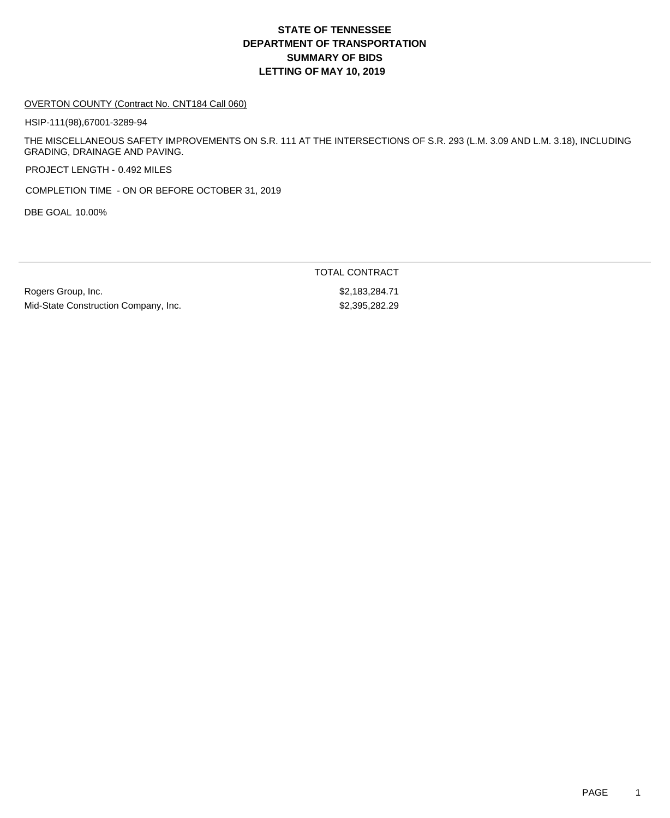### OVERTON COUNTY (Contract No. CNT184 Call 060)

HSIP-111(98),67001-3289-94

THE MISCELLANEOUS SAFETY IMPROVEMENTS ON S.R. 111 AT THE INTERSECTIONS OF S.R. 293 (L.M. 3.09 AND L.M. 3.18), INCLUDING GRADING, DRAINAGE AND PAVING.

PROJECT LENGTH - 0.492 MILES

COMPLETION TIME - ON OR BEFORE OCTOBER 31, 2019

DBE GOAL 10.00%

Rogers Group, Inc. 6. 2010 12:30 12:30 12:30 12:30 12:30 12:30 12:30 12:30 12:30 12:30 12:30 12:30 12:30 12:30 Mid-State Construction Company, Inc. 62,395,282.29

TOTAL CONTRACT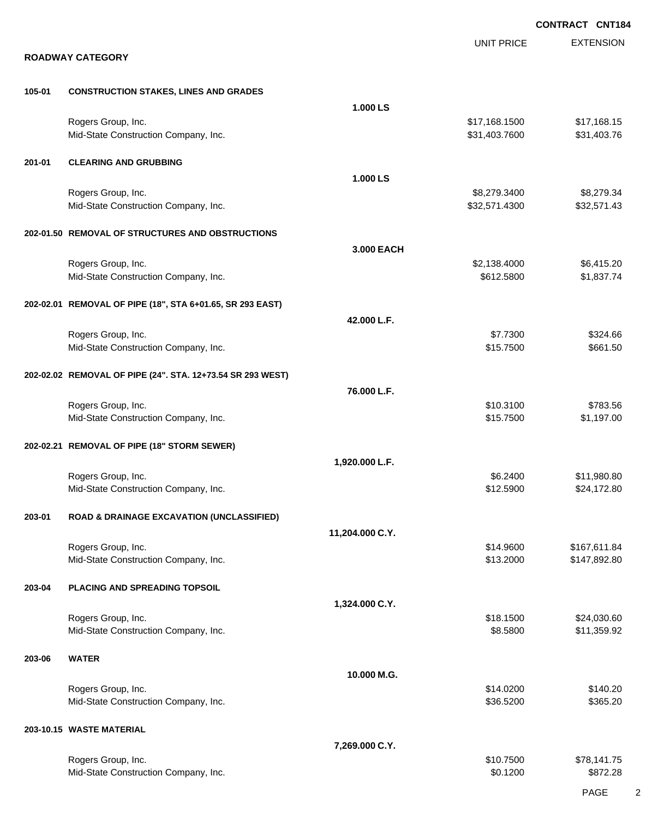|        |                                                            |                 |                                | <b>CONTRACT CNT184</b>     |
|--------|------------------------------------------------------------|-----------------|--------------------------------|----------------------------|
|        | <b>ROADWAY CATEGORY</b>                                    |                 | <b>UNIT PRICE</b>              | <b>EXTENSION</b>           |
| 105-01 | <b>CONSTRUCTION STAKES, LINES AND GRADES</b>               |                 |                                |                            |
|        |                                                            | 1.000 LS        |                                |                            |
|        | Rogers Group, Inc.<br>Mid-State Construction Company, Inc. |                 | \$17,168.1500<br>\$31,403.7600 | \$17,168.15<br>\$31,403.76 |
| 201-01 | <b>CLEARING AND GRUBBING</b>                               |                 |                                |                            |
|        |                                                            | 1.000 LS        |                                |                            |
|        | Rogers Group, Inc.<br>Mid-State Construction Company, Inc. |                 | \$8,279.3400<br>\$32,571.4300  | \$8,279.34<br>\$32,571.43  |
|        | 202-01.50 REMOVAL OF STRUCTURES AND OBSTRUCTIONS           |                 |                                |                            |
|        |                                                            | 3.000 EACH      |                                |                            |
|        | Rogers Group, Inc.<br>Mid-State Construction Company, Inc. |                 | \$2,138.4000<br>\$612.5800     | \$6,415.20<br>\$1,837.74   |
|        | 202-02.01 REMOVAL OF PIPE (18", STA 6+01.65, SR 293 EAST)  |                 |                                |                            |
|        | Rogers Group, Inc.                                         | 42.000 L.F.     | \$7.7300                       | \$324.66                   |
|        | Mid-State Construction Company, Inc.                       |                 | \$15.7500                      | \$661.50                   |
|        | 202-02.02 REMOVAL OF PIPE (24". STA. 12+73.54 SR 293 WEST) |                 |                                |                            |
|        | Rogers Group, Inc.                                         | 76.000 L.F.     | \$10.3100                      | \$783.56                   |
|        | Mid-State Construction Company, Inc.                       |                 | \$15.7500                      | \$1,197.00                 |
|        | 202-02.21 REMOVAL OF PIPE (18" STORM SEWER)                | 1,920.000 L.F.  |                                |                            |
|        | Rogers Group, Inc.                                         |                 | \$6.2400                       | \$11,980.80                |
|        | Mid-State Construction Company, Inc.                       |                 | \$12.5900                      | \$24,172.80                |
| 203-01 | ROAD & DRAINAGE EXCAVATION (UNCLASSIFIED)                  |                 |                                |                            |
|        | Rogers Group, Inc.                                         | 11,204.000 C.Y. | \$14.9600                      | \$167,611.84               |
|        | Mid-State Construction Company, Inc.                       |                 | \$13.2000                      | \$147,892.80               |
| 203-04 | PLACING AND SPREADING TOPSOIL                              |                 |                                |                            |
|        | Rogers Group, Inc.                                         | 1,324.000 C.Y.  | \$18.1500                      | \$24,030.60                |
|        | Mid-State Construction Company, Inc.                       |                 | \$8.5800                       | \$11,359.92                |
| 203-06 | <b>WATER</b>                                               |                 |                                |                            |
|        | Rogers Group, Inc.                                         | 10.000 M.G.     | \$14.0200                      | \$140.20                   |
|        | Mid-State Construction Company, Inc.                       |                 | \$36.5200                      | \$365.20                   |
|        | 203-10.15 WASTE MATERIAL                                   |                 |                                |                            |
|        | Rogers Group, Inc.                                         | 7,269.000 C.Y.  | \$10.7500                      | \$78,141.75                |
|        | Mid-State Construction Company, Inc.                       |                 | \$0.1200                       | \$872.28                   |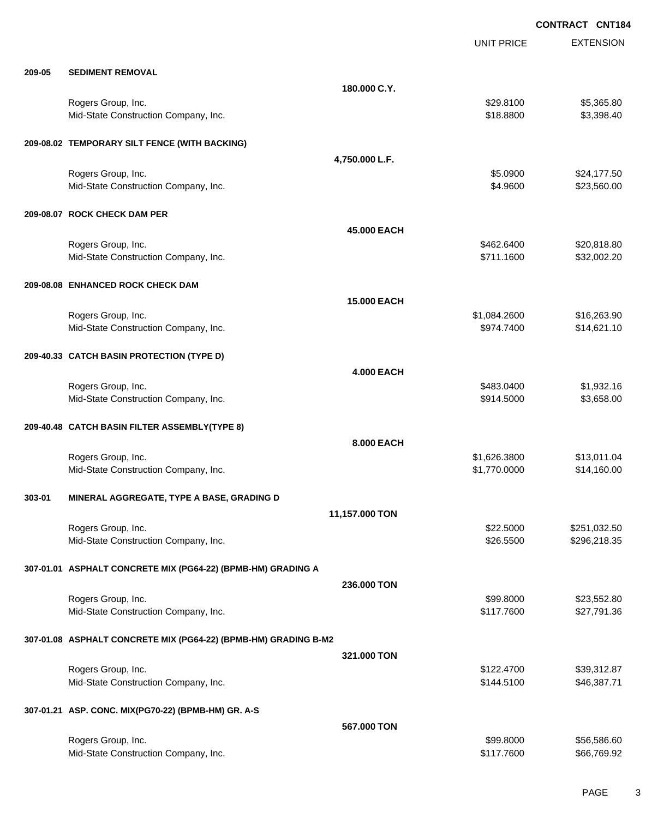|        |                                                                 |                    | UNIT PRICE   | <b>EXTENSION</b> |
|--------|-----------------------------------------------------------------|--------------------|--------------|------------------|
| 209-05 | <b>SEDIMENT REMOVAL</b>                                         |                    |              |                  |
|        |                                                                 | 180,000 C.Y.       |              |                  |
|        | Rogers Group, Inc.                                              |                    | \$29.8100    | \$5,365.80       |
|        | Mid-State Construction Company, Inc.                            |                    | \$18.8800    | \$3,398.40       |
|        | 209-08.02 TEMPORARY SILT FENCE (WITH BACKING)                   |                    |              |                  |
|        |                                                                 | 4,750.000 L.F.     |              |                  |
|        | Rogers Group, Inc.                                              |                    | \$5.0900     | \$24,177.50      |
|        | Mid-State Construction Company, Inc.                            |                    | \$4.9600     | \$23,560.00      |
|        | 209-08.07 ROCK CHECK DAM PER                                    |                    |              |                  |
|        |                                                                 | 45,000 EACH        |              |                  |
|        | Rogers Group, Inc.                                              |                    | \$462.6400   | \$20,818.80      |
|        | Mid-State Construction Company, Inc.                            |                    | \$711.1600   | \$32,002.20      |
|        | 209-08.08 ENHANCED ROCK CHECK DAM                               |                    |              |                  |
|        |                                                                 | <b>15.000 EACH</b> |              |                  |
|        | Rogers Group, Inc.                                              |                    | \$1,084.2600 | \$16,263.90      |
|        | Mid-State Construction Company, Inc.                            |                    | \$974.7400   | \$14,621.10      |
|        | 209-40.33 CATCH BASIN PROTECTION (TYPE D)                       |                    |              |                  |
|        |                                                                 | <b>4.000 EACH</b>  |              |                  |
|        | Rogers Group, Inc.                                              |                    | \$483.0400   | \$1,932.16       |
|        | Mid-State Construction Company, Inc.                            |                    | \$914.5000   | \$3,658.00       |
|        | 209-40.48 CATCH BASIN FILTER ASSEMBLY(TYPE 8)                   |                    |              |                  |
|        |                                                                 | 8.000 EACH         |              |                  |
|        | Rogers Group, Inc.                                              |                    | \$1,626.3800 | \$13,011.04      |
|        | Mid-State Construction Company, Inc.                            |                    | \$1,770.0000 | \$14,160.00      |
| 303-01 | MINERAL AGGREGATE, TYPE A BASE, GRADING D                       |                    |              |                  |
|        |                                                                 | 11,157.000 TON     |              |                  |
|        | Rogers Group, Inc.                                              |                    | \$22.5000    | \$251,032.50     |
|        | Mid-State Construction Company, Inc.                            |                    | \$26.5500    | \$296,218.35     |
|        | 307-01.01 ASPHALT CONCRETE MIX (PG64-22) (BPMB-HM) GRADING A    |                    |              |                  |
|        |                                                                 | 236.000 TON        |              |                  |
|        | Rogers Group, Inc.                                              |                    | \$99.8000    | \$23,552.80      |
|        | Mid-State Construction Company, Inc.                            |                    | \$117.7600   | \$27,791.36      |
|        | 307-01.08 ASPHALT CONCRETE MIX (PG64-22) (BPMB-HM) GRADING B-M2 |                    |              |                  |
|        |                                                                 | 321.000 TON        |              |                  |
|        | Rogers Group, Inc.                                              |                    | \$122.4700   | \$39,312.87      |
|        | Mid-State Construction Company, Inc.                            |                    | \$144.5100   | \$46,387.71      |
|        | 307-01.21 ASP. CONC. MIX(PG70-22) (BPMB-HM) GR. A-S             |                    |              |                  |
|        |                                                                 | 567.000 TON        |              |                  |
|        | Rogers Group, Inc.                                              |                    | \$99.8000    | \$56,586.60      |
|        | Mid-State Construction Company, Inc.                            |                    | \$117.7600   | \$66,769.92      |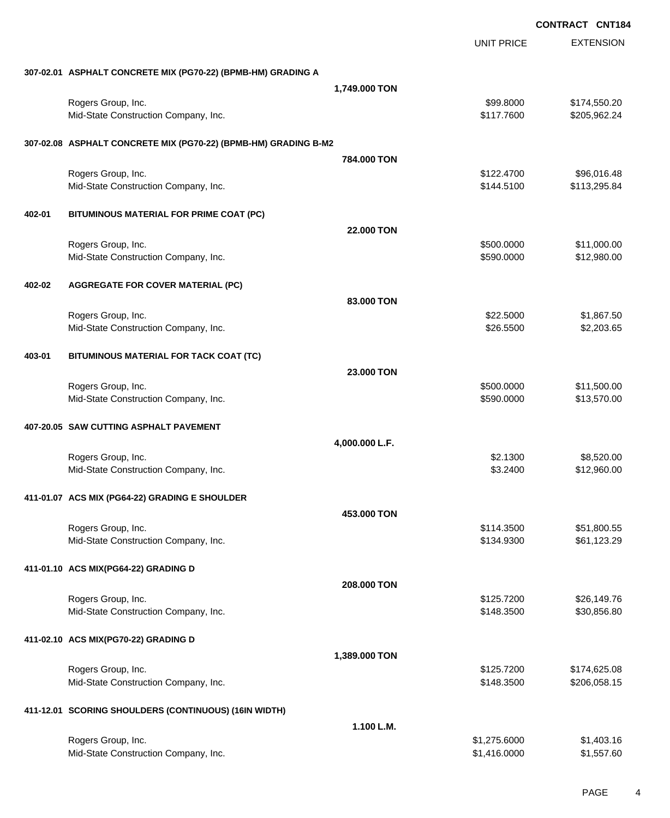|        |                                                                 |                   |                   | <b>CONTRACT CNT184</b> |
|--------|-----------------------------------------------------------------|-------------------|-------------------|------------------------|
|        |                                                                 |                   | <b>UNIT PRICE</b> | <b>EXTENSION</b>       |
|        | 307-02.01 ASPHALT CONCRETE MIX (PG70-22) (BPMB-HM) GRADING A    |                   |                   |                        |
|        |                                                                 | 1,749.000 TON     |                   |                        |
|        | Rogers Group, Inc.                                              |                   | \$99.8000         | \$174,550.20           |
|        | Mid-State Construction Company, Inc.                            |                   | \$117.7600        | \$205,962.24           |
|        | 307-02.08 ASPHALT CONCRETE MIX (PG70-22) (BPMB-HM) GRADING B-M2 |                   |                   |                        |
|        |                                                                 | 784.000 TON       |                   |                        |
|        | Rogers Group, Inc.                                              |                   | \$122.4700        | \$96,016.48            |
|        | Mid-State Construction Company, Inc.                            |                   | \$144.5100        | \$113,295.84           |
| 402-01 | BITUMINOUS MATERIAL FOR PRIME COAT (PC)                         |                   |                   |                        |
|        |                                                                 | <b>22,000 TON</b> |                   |                        |
|        | Rogers Group, Inc.                                              |                   | \$500.0000        | \$11,000.00            |
|        | Mid-State Construction Company, Inc.                            |                   | \$590.0000        | \$12,980.00            |
| 402-02 | <b>AGGREGATE FOR COVER MATERIAL (PC)</b>                        |                   |                   |                        |
|        |                                                                 | 83.000 TON        |                   |                        |
|        | Rogers Group, Inc.                                              |                   | \$22.5000         | \$1,867.50             |
|        | Mid-State Construction Company, Inc.                            |                   | \$26.5500         | \$2,203.65             |
| 403-01 | BITUMINOUS MATERIAL FOR TACK COAT (TC)                          |                   |                   |                        |
|        |                                                                 | 23.000 TON        |                   |                        |
|        | Rogers Group, Inc.                                              |                   | \$500.0000        | \$11,500.00            |
|        | Mid-State Construction Company, Inc.                            |                   | \$590.0000        | \$13,570.00            |
|        | 407-20.05 SAW CUTTING ASPHALT PAVEMENT                          |                   |                   |                        |
|        |                                                                 | 4,000.000 L.F.    |                   |                        |
|        | Rogers Group, Inc.                                              |                   | \$2.1300          | \$8,520.00             |
|        | Mid-State Construction Company, Inc.                            |                   | \$3.2400          | \$12,960.00            |
|        | 411-01.07 ACS MIX (PG64-22) GRADING E SHOULDER                  |                   |                   |                        |
|        |                                                                 | 453.000 TON       |                   |                        |
|        | Rogers Group, Inc.                                              |                   | \$114.3500        | \$51,800.55            |
|        | Mid-State Construction Company, Inc.                            |                   | \$134.9300        | \$61,123.29            |
|        | 411-01.10 ACS MIX(PG64-22) GRADING D                            |                   |                   |                        |
|        |                                                                 | 208.000 TON       |                   |                        |
|        | Rogers Group, Inc.                                              |                   | \$125.7200        | \$26,149.76            |
|        | Mid-State Construction Company, Inc.                            |                   | \$148.3500        | \$30,856.80            |
|        | 411-02.10 ACS MIX(PG70-22) GRADING D                            |                   |                   |                        |
|        |                                                                 | 1,389.000 TON     |                   |                        |
|        | Rogers Group, Inc.                                              |                   | \$125.7200        | \$174,625.08           |
|        | Mid-State Construction Company, Inc.                            |                   | \$148.3500        | \$206,058.15           |
|        | 411-12.01 SCORING SHOULDERS (CONTINUOUS) (16IN WIDTH)           |                   |                   |                        |
|        |                                                                 | 1.100 L.M.        |                   |                        |
|        | Rogers Group, Inc.                                              |                   | \$1,275.6000      | \$1,403.16             |
|        | Mid-State Construction Company, Inc.                            |                   | \$1,416.0000      | \$1,557.60             |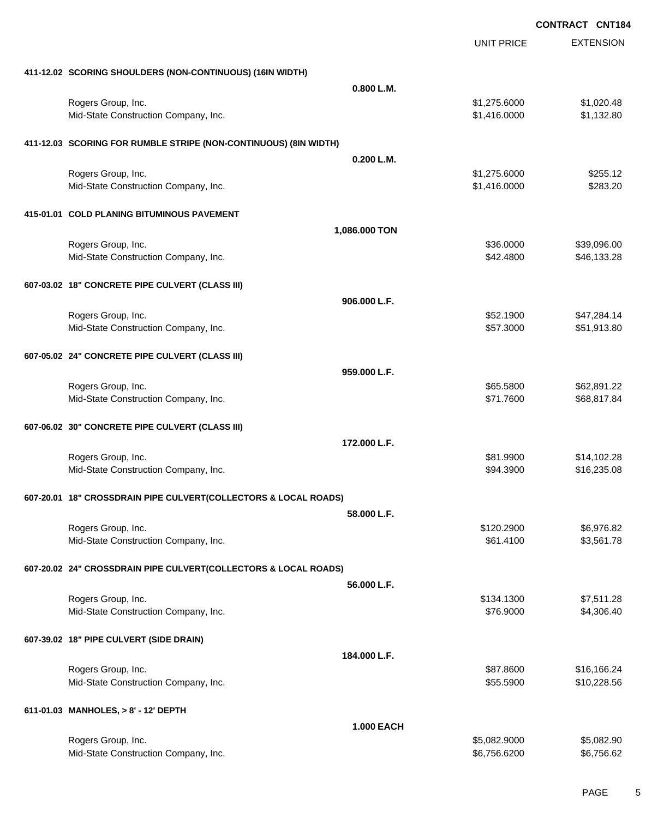EXTENSION **CONTRACT CNT184** UNIT PRICE **411-12.02 SCORING SHOULDERS (NON-CONTINUOUS) (16IN WIDTH) 0.800 L.M.** Rogers Group, Inc. \$1,020.48 Mid-State Construction Company, Inc. 6. The Construction Company, Inc. \$1,416.0000 \$1,132.80 **411-12.03 SCORING FOR RUMBLE STRIPE (NON-CONTINUOUS) (8IN WIDTH) 0.200 L.M.** Rogers Group, Inc. \$1,275.6000 \$255.12 Mid-State Construction Company, Inc. 6283.20 \$1,416.0000 \$283.20 **415-01.01 COLD PLANING BITUMINOUS PAVEMENT 1,086.000 TON** Rogers Group, Inc. \$39,096.00 \$39,096.00 \$39,096.00 \$39,000 \$39,000 \$39,096.00 \$39,096.00 Mid-State Construction Company, Inc. 6. The Construction Company, Inc. 6. The Construction Company, Inc. 6. The Construction Company, Inc. 6. The Construction Company, Inc. 6. The Construction Company, Inc. 6. The Construc **607-03.02 18" CONCRETE PIPE CULVERT (CLASS III) 906.000 L.F.** Rogers Group, Inc. \$47,284.14 Mid-State Construction Company, Inc. 6. The Construction Company, Inc. 6. The Construction Company, Inc. 6. The Construction Company, Inc. 6. The Construction Company, Inc. 6. The Construction Company, Inc. 6. The Construc **607-05.02 24" CONCRETE PIPE CULVERT (CLASS III) 959.000 L.F.** Rogers Group, Inc. \$62,891.22 \$65.5800 \$62,891.22 Mid-State Construction Company, Inc. 688,817.84 **607-06.02 30" CONCRETE PIPE CULVERT (CLASS III) 172.000 L.F.** Rogers Group, Inc. \$81.9900 \$14,102.28 Mid-State Construction Company, Inc. 6. The Construction Company, Inc. 6. The Construction Company, Inc. 6. The Construction Company, Inc. 6. The Construction Company, Inc. 6. The Construction Company, Inc. 6. The Construc **607-20.01 18" CROSSDRAIN PIPE CULVERT(COLLECTORS & LOCAL ROADS) 58.000 L.F.** Rogers Group, Inc. \$120.2900 \$6,976.82 Mid-State Construction Company, Inc. 61.4100 \$3,561.78 **607-20.02 24" CROSSDRAIN PIPE CULVERT(COLLECTORS & LOCAL ROADS) 56.000 L.F.** Rogers Group, Inc. \$134.1300 \$7,511.28 Mid-State Construction Company, Inc. 6. The Construction Company, Inc. \$76.9000 \$4,306.40 **607-39.02 18" PIPE CULVERT (SIDE DRAIN) 184.000 L.F.** Rogers Group, Inc. \$87.8600 \$16,166.24 Mid-State Construction Company, Inc. 6. The Construction Company, Inc. 6. The Construction Company, Inc. 6. The Construction Company, Inc. 6. The Construction Company, Inc. 6. The Construction Company, Inc. 6. The Construc **611-01.03 MANHOLES, > 8' - 12' DEPTH 1.000 EACH**

Rogers Group, Inc. \$5,082.9000 \$5,082.9000 \$5,082.9000 \$5,082.9000 \$5,082.9000 \$5,082.900 Mid-State Construction Company, Inc. 6. The state of the state of the state of the state of the state of the state of the state of the state of the state of the state of the state of the state of the state of the state of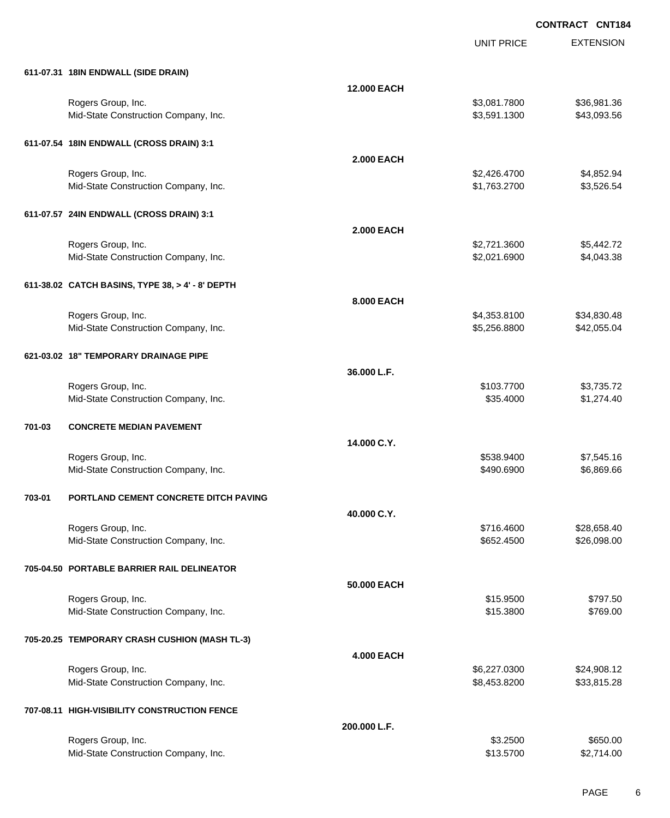|        |                                                  |                    | <b>UNIT PRICE</b> | <b>EXTENSION</b> |
|--------|--------------------------------------------------|--------------------|-------------------|------------------|
|        | 611-07.31 18IN ENDWALL (SIDE DRAIN)              |                    |                   |                  |
|        |                                                  | <b>12.000 EACH</b> |                   |                  |
|        | Rogers Group, Inc.                               |                    | \$3,081.7800      | \$36,981.36      |
|        | Mid-State Construction Company, Inc.             |                    | \$3,591.1300      | \$43,093.56      |
|        | 611-07.54 18IN ENDWALL (CROSS DRAIN) 3:1         |                    |                   |                  |
|        |                                                  | <b>2.000 EACH</b>  |                   |                  |
|        | Rogers Group, Inc.                               |                    | \$2,426.4700      | \$4,852.94       |
|        | Mid-State Construction Company, Inc.             |                    | \$1,763.2700      | \$3,526.54       |
|        | 611-07.57 24IN ENDWALL (CROSS DRAIN) 3:1         |                    |                   |                  |
|        |                                                  | <b>2.000 EACH</b>  |                   |                  |
|        | Rogers Group, Inc.                               |                    | \$2,721.3600      | \$5,442.72       |
|        | Mid-State Construction Company, Inc.             |                    | \$2,021.6900      | \$4,043.38       |
|        | 611-38.02 CATCH BASINS, TYPE 38, > 4' - 8' DEPTH |                    |                   |                  |
|        |                                                  | 8.000 EACH         |                   |                  |
|        | Rogers Group, Inc.                               |                    | \$4,353.8100      | \$34,830.48      |
|        | Mid-State Construction Company, Inc.             |                    | \$5,256.8800      | \$42,055.04      |
|        | 621-03.02 18" TEMPORARY DRAINAGE PIPE            |                    |                   |                  |
|        |                                                  | 36.000 L.F.        |                   |                  |
|        | Rogers Group, Inc.                               |                    | \$103.7700        | \$3,735.72       |
|        | Mid-State Construction Company, Inc.             |                    | \$35.4000         | \$1,274.40       |
| 701-03 | <b>CONCRETE MEDIAN PAVEMENT</b>                  |                    |                   |                  |
|        |                                                  | 14.000 C.Y.        |                   |                  |
|        | Rogers Group, Inc.                               |                    | \$538.9400        | \$7,545.16       |
|        | Mid-State Construction Company, Inc.             |                    | \$490.6900        | \$6,869.66       |
| 703-01 | PORTLAND CEMENT CONCRETE DITCH PAVING            |                    |                   |                  |
|        |                                                  | 40.000 C.Y.        |                   |                  |
|        | Rogers Group, Inc.                               |                    | \$716.4600        | \$28,658.40      |
|        | Mid-State Construction Company, Inc.             |                    | \$652.4500        | \$26,098.00      |
|        | 705-04.50 PORTABLE BARRIER RAIL DELINEATOR       |                    |                   |                  |
|        |                                                  | 50.000 EACH        |                   |                  |
|        | Rogers Group, Inc.                               |                    | \$15.9500         | \$797.50         |
|        | Mid-State Construction Company, Inc.             |                    | \$15.3800         | \$769.00         |
|        | 705-20.25 TEMPORARY CRASH CUSHION (MASH TL-3)    |                    |                   |                  |
|        |                                                  | <b>4.000 EACH</b>  |                   |                  |
|        | Rogers Group, Inc.                               |                    | \$6,227.0300      | \$24,908.12      |
|        | Mid-State Construction Company, Inc.             |                    | \$8,453.8200      | \$33,815.28      |
|        | 707-08.11 HIGH-VISIBILITY CONSTRUCTION FENCE     |                    |                   |                  |
|        |                                                  | 200.000 L.F.       |                   |                  |
|        | Rogers Group, Inc.                               |                    | \$3.2500          | \$650.00         |
|        | Mid-State Construction Company, Inc.             |                    | \$13.5700         | \$2,714.00       |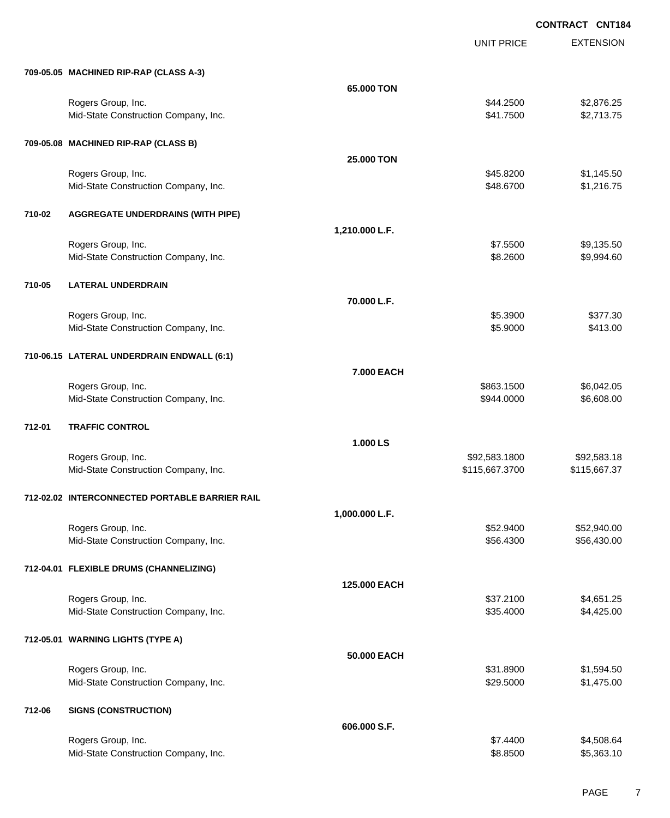EXTENSION **CONTRACT CNT184** UNIT PRICE **709-05.05 MACHINED RIP-RAP (CLASS A-3) 65.000 TON** Rogers Group, Inc. \$45,876.25 (\$2,876.25) \$44.2500 \$2,876.25 Mid-State Construction Company, Inc. 6. The Construction Company, Inc. 6. The Construction Company, Inc. 6. The Construction Company, Inc. 6. The Construction Company, Inc. 6. The Construction Company, Inc. 6. The Construc **709-05.08 MACHINED RIP-RAP (CLASS B) 25.000 TON** Rogers Group, Inc. \$45.8200 \$1,145.50 Mid-State Construction Company, Inc. 6. The Construction Company, Inc. 6. The Construction Company, Inc. 6. The Construction Company, Inc. 6. The Construction Company, Inc. 6. The Construction Company, Inc. 6. The Construc **710-02 AGGREGATE UNDERDRAINS (WITH PIPE) 1,210.000 L.F.** Rogers Group, Inc. \$9,135.500 \$9,135.500 \$9,135.500 \$9,135.500 \$9,135.500 \$9,135.500 \$9,135.500 \$9,135.500 \$9,135.50 Mid-State Construction Company, Inc. 6. 26 and 2012 12:38:2600 \$9,994.60 **710-05 LATERAL UNDERDRAIN 70.000 L.F.** Rogers Group, Inc. \$377.30 Mid-State Construction Company, Inc. 6413.00 \$413.00 \$413.00 **710-06.15 LATERAL UNDERDRAIN ENDWALL (6:1) 7.000 EACH** Rogers Group, Inc. \$863.1500 \$6,042.05 Mid-State Construction Company, Inc. 6. The Construction Company, Inc. 6. The Construction Company, Inc. 6. The Construction Company, Inc. 6. The Construction Company, Inc. 6. The Construction Company, Inc. 6. The Construc **712-01 TRAFFIC CONTROL 1.000 LS** Rogers Group, Inc. \$92,583.1800 \$92,583.1800 \$92,583.1800 \$92,583.1800 Mid-State Construction Company, Inc.  $$115,667.3700$  \$115,667.3700 \$115,667.3700 **712-02.02 INTERCONNECTED PORTABLE BARRIER RAIL 1,000.000 L.F.** Rogers Group, Inc. \$52,940.00 \$52.940.00 \$52.940.00 \$52.940.00 \$52.940.00 \$52.940.00 Mid-State Construction Company, Inc. 6. The Construction Company, Inc. 6. The Construction Company, Inc. 656,430.00 **712-04.01 FLEXIBLE DRUMS (CHANNELIZING) 125.000 EACH** Rogers Group, Inc. \$37.2100 \$4,651.25 Mid-State Construction Company, Inc. 6. The Construction Company, Inc. 6. The Construction Company, Inc. 6. The Construction Company, Inc. 6. The Construction Company, Inc. 6. The Construction Company, Inc. 6. The Construc **712-05.01 WARNING LIGHTS (TYPE A) 50.000 EACH** Rogers Group, Inc. \$31.8900 \$1,594.50 Mid-State Construction Company, Inc. 6. The Construction Company, Inc. 6. The Construction Company, Inc. 6. The Construction Company, Inc. 6. The Construction Company, Inc. 6. The Construction Company, Inc. 6. The Construc **712-06 SIGNS (CONSTRUCTION) 606.000 S.F.**

Rogers Group, Inc. \$1,508.64 \$1,508.64 \$1,508.64 \$1,508.64 \$1,508.64 \$1,508.64 \$1,508.64 \$1,508.64 \$1,508.64 \$1,508 Mid-State Construction Company, Inc. 6. The Construction Company, Inc. 6. The Construction Company, Inc. 6. The Construction Company, Inc. 6. The Construction Company, Inc. 6. The Construction Company, Inc. 6. The Construc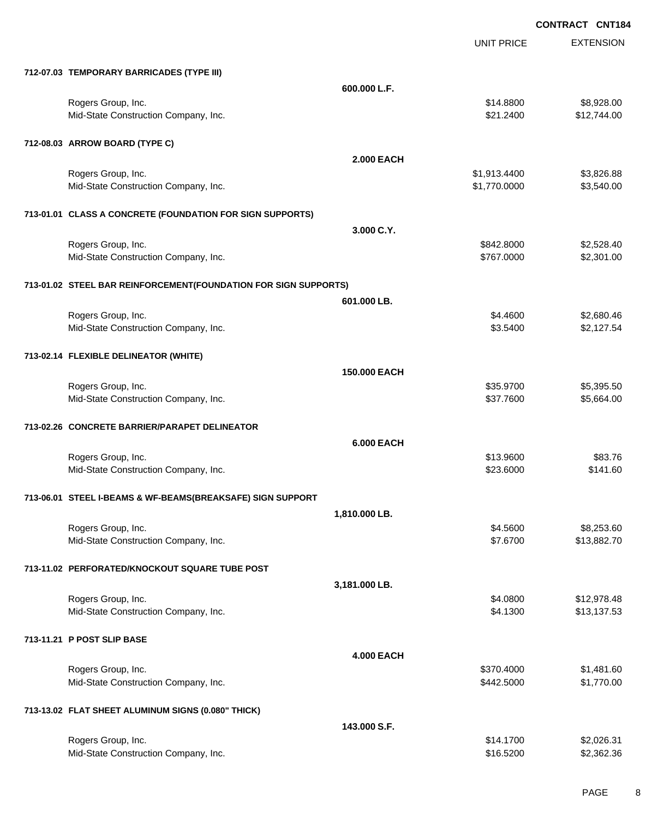UNIT PRICE

EXTENSION

| 712-07.03 TEMPORARY BARRICADES (TYPE III)                       |                   |              |             |
|-----------------------------------------------------------------|-------------------|--------------|-------------|
|                                                                 | 600.000 L.F.      |              |             |
| Rogers Group, Inc.                                              |                   | \$14.8800    | \$8,928.00  |
| Mid-State Construction Company, Inc.                            |                   | \$21.2400    | \$12,744.00 |
| 712-08.03 ARROW BOARD (TYPE C)                                  |                   |              |             |
|                                                                 | <b>2.000 EACH</b> |              |             |
| Rogers Group, Inc.                                              |                   | \$1,913.4400 | \$3,826.88  |
| Mid-State Construction Company, Inc.                            |                   | \$1,770.0000 | \$3,540.00  |
| 713-01.01 CLASS A CONCRETE (FOUNDATION FOR SIGN SUPPORTS)       |                   |              |             |
|                                                                 | 3.000 C.Y.        |              |             |
| Rogers Group, Inc.                                              |                   | \$842.8000   | \$2,528.40  |
| Mid-State Construction Company, Inc.                            |                   | \$767.0000   | \$2,301.00  |
| 713-01.02 STEEL BAR REINFORCEMENT(FOUNDATION FOR SIGN SUPPORTS) |                   |              |             |
|                                                                 | 601.000 LB.       |              |             |
| Rogers Group, Inc.                                              |                   | \$4.4600     | \$2,680.46  |
| Mid-State Construction Company, Inc.                            |                   | \$3.5400     | \$2,127.54  |
| 713-02.14 FLEXIBLE DELINEATOR (WHITE)                           |                   |              |             |
|                                                                 | 150,000 EACH      |              |             |
| Rogers Group, Inc.                                              |                   | \$35.9700    | \$5,395.50  |
| Mid-State Construction Company, Inc.                            |                   | \$37.7600    | \$5,664.00  |
| 713-02.26 CONCRETE BARRIER/PARAPET DELINEATOR                   |                   |              |             |
|                                                                 | <b>6.000 EACH</b> |              |             |
| Rogers Group, Inc.                                              |                   | \$13.9600    | \$83.76     |
| Mid-State Construction Company, Inc.                            |                   | \$23.6000    | \$141.60    |
| 713-06.01 STEEL I-BEAMS & WF-BEAMS(BREAKSAFE) SIGN SUPPORT      |                   |              |             |
|                                                                 | 1,810.000 LB.     |              |             |
| Rogers Group, Inc.                                              |                   | \$4.5600     | \$8,253.60  |
| Mid-State Construction Company, Inc.                            |                   | \$7.6700     | \$13,882.70 |
| 713-11.02 PERFORATED/KNOCKOUT SQUARE TUBE POST                  |                   |              |             |
|                                                                 | 3,181.000 LB.     |              |             |
| Rogers Group, Inc.                                              |                   | \$4.0800     | \$12,978.48 |
| Mid-State Construction Company, Inc.                            |                   | \$4.1300     | \$13,137.53 |
| 713-11.21 P POST SLIP BASE                                      |                   |              |             |
|                                                                 | <b>4.000 EACH</b> |              |             |
| Rogers Group, Inc.                                              |                   | \$370.4000   | \$1,481.60  |
| Mid-State Construction Company, Inc.                            |                   | \$442.5000   | \$1,770.00  |
| 713-13.02 FLAT SHEET ALUMINUM SIGNS (0.080" THICK)              |                   |              |             |
|                                                                 | 143.000 S.F.      |              |             |
| Rogers Group, Inc.                                              |                   | \$14.1700    | \$2,026.31  |
| Mid-State Construction Company, Inc.                            |                   | \$16.5200    | \$2,362.36  |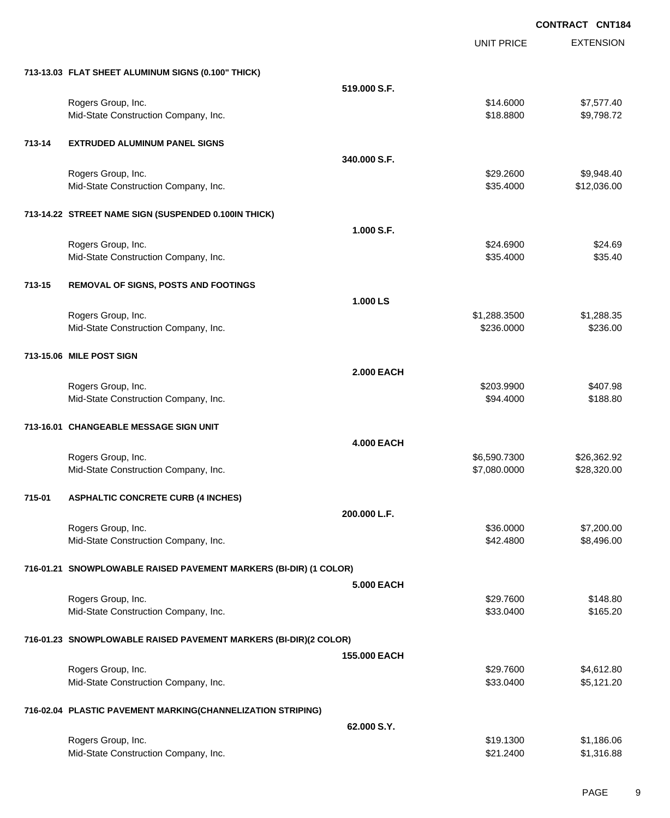|        |                                                                   |                   |                            | <b>CONTRACT CNT184</b> |
|--------|-------------------------------------------------------------------|-------------------|----------------------------|------------------------|
|        |                                                                   |                   | <b>UNIT PRICE</b>          | <b>EXTENSION</b>       |
|        | 713-13.03 FLAT SHEET ALUMINUM SIGNS (0.100" THICK)                |                   |                            |                        |
|        |                                                                   | 519.000 S.F.      |                            |                        |
|        | Rogers Group, Inc.                                                |                   | \$14.6000                  | \$7,577.40             |
|        | Mid-State Construction Company, Inc.                              |                   | \$18.8800                  | \$9,798.72             |
| 713-14 | <b>EXTRUDED ALUMINUM PANEL SIGNS</b>                              |                   |                            |                        |
|        |                                                                   | 340,000 S.F.      |                            |                        |
|        | Rogers Group, Inc.                                                |                   | \$29.2600                  | \$9,948.40             |
|        | Mid-State Construction Company, Inc.                              |                   | \$35.4000                  | \$12,036.00            |
|        | 713-14.22 STREET NAME SIGN (SUSPENDED 0.100IN THICK)              |                   |                            |                        |
|        |                                                                   | 1.000 S.F.        |                            |                        |
|        | Rogers Group, Inc.<br>Mid-State Construction Company, Inc.        |                   | \$24.6900<br>\$35.4000     | \$24.69<br>\$35.40     |
|        |                                                                   |                   |                            |                        |
| 713-15 | <b>REMOVAL OF SIGNS, POSTS AND FOOTINGS</b>                       |                   |                            |                        |
|        |                                                                   | 1.000 LS          |                            |                        |
|        | Rogers Group, Inc.<br>Mid-State Construction Company, Inc.        |                   | \$1,288.3500<br>\$236.0000 | \$1,288.35<br>\$236.00 |
|        |                                                                   |                   |                            |                        |
|        | 713-15.06 MILE POST SIGN                                          |                   |                            |                        |
|        |                                                                   | <b>2.000 EACH</b> |                            |                        |
|        | Rogers Group, Inc.<br>Mid-State Construction Company, Inc.        |                   | \$203.9900<br>\$94.4000    | \$407.98<br>\$188.80   |
|        | 713-16.01 CHANGEABLE MESSAGE SIGN UNIT                            |                   |                            |                        |
|        |                                                                   | <b>4.000 EACH</b> |                            |                        |
|        | Rogers Group, Inc.                                                |                   | \$6,590.7300               | \$26,362.92            |
|        | Mid-State Construction Company, Inc.                              |                   | \$7,080.0000               | \$28,320.00            |
| 715-01 | <b>ASPHALTIC CONCRETE CURB (4 INCHES)</b>                         |                   |                            |                        |
|        |                                                                   | 200.000 L.F.      |                            |                        |
|        | Rogers Group, Inc.                                                |                   | \$36.0000                  | \$7,200.00             |
|        | Mid-State Construction Company, Inc.                              |                   | \$42.4800                  | \$8,496.00             |
|        | 716-01.21 SNOWPLOWABLE RAISED PAVEMENT MARKERS (BI-DIR) (1 COLOR) |                   |                            |                        |
|        |                                                                   | <b>5.000 EACH</b> |                            |                        |
|        | Rogers Group, Inc.                                                |                   | \$29.7600                  | \$148.80               |
|        | Mid-State Construction Company, Inc.                              |                   | \$33.0400                  | \$165.20               |
|        | 716-01.23 SNOWPLOWABLE RAISED PAVEMENT MARKERS (BI-DIR)(2 COLOR)  |                   |                            |                        |
|        |                                                                   | 155,000 EACH      |                            |                        |
|        | Rogers Group, Inc.                                                |                   | \$29.7600                  | \$4,612.80             |
|        | Mid-State Construction Company, Inc.                              |                   | \$33.0400                  | \$5,121.20             |
|        | 716-02.04 PLASTIC PAVEMENT MARKING(CHANNELIZATION STRIPING)       |                   |                            |                        |
|        |                                                                   | 62.000 S.Y.       |                            |                        |
|        | Rogers Group, Inc.                                                |                   | \$19.1300                  | \$1,186.06             |
|        | Mid-State Construction Company, Inc.                              |                   | \$21.2400                  | \$1,316.88             |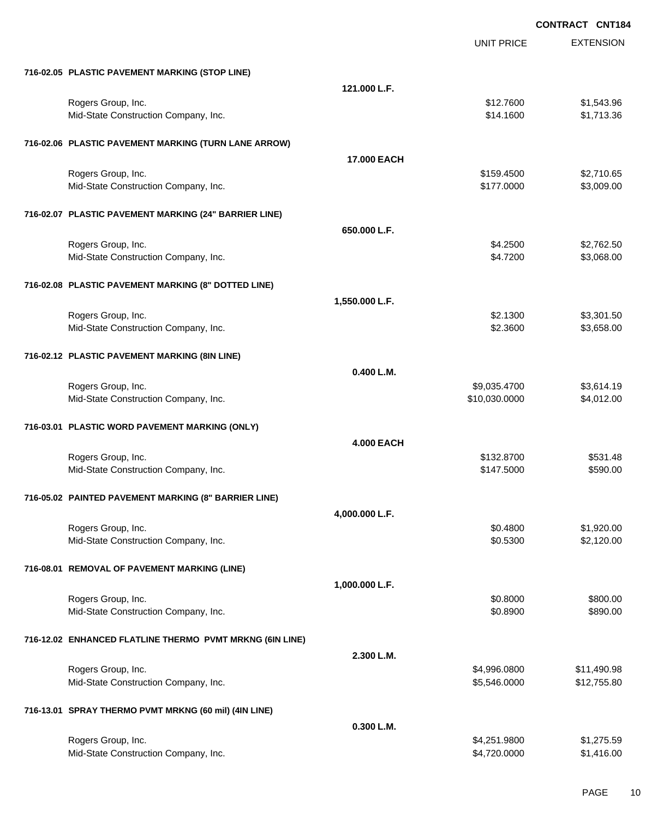|                                                          |                    |               | <b>CONTRACT CNT184</b> |
|----------------------------------------------------------|--------------------|---------------|------------------------|
|                                                          |                    | UNIT PRICE    | <b>EXTENSION</b>       |
| 716-02.05 PLASTIC PAVEMENT MARKING (STOP LINE)           |                    |               |                        |
|                                                          | 121.000 L.F.       |               |                        |
| Rogers Group, Inc.                                       |                    | \$12.7600     | \$1,543.96             |
| Mid-State Construction Company, Inc.                     |                    | \$14.1600     | \$1,713.36             |
| 716-02.06 PLASTIC PAVEMENT MARKING (TURN LANE ARROW)     |                    |               |                        |
|                                                          | <b>17.000 EACH</b> |               |                        |
| Rogers Group, Inc.                                       |                    | \$159.4500    | \$2,710.65             |
| Mid-State Construction Company, Inc.                     |                    | \$177.0000    | \$3,009.00             |
| 716-02.07 PLASTIC PAVEMENT MARKING (24" BARRIER LINE)    |                    |               |                        |
|                                                          | 650.000 L.F.       |               |                        |
| Rogers Group, Inc.                                       |                    | \$4.2500      | \$2,762.50             |
| Mid-State Construction Company, Inc.                     |                    | \$4.7200      | \$3,068.00             |
| 716-02.08 PLASTIC PAVEMENT MARKING (8" DOTTED LINE)      |                    |               |                        |
|                                                          | 1,550.000 L.F.     |               |                        |
| Rogers Group, Inc.                                       |                    | \$2.1300      | \$3,301.50             |
| Mid-State Construction Company, Inc.                     |                    | \$2.3600      | \$3,658.00             |
| 716-02.12 PLASTIC PAVEMENT MARKING (8IN LINE)            |                    |               |                        |
|                                                          | 0.400 L.M.         |               |                        |
| Rogers Group, Inc.                                       |                    | \$9,035.4700  | \$3,614.19             |
| Mid-State Construction Company, Inc.                     |                    | \$10,030.0000 | \$4,012.00             |
| 716-03.01 PLASTIC WORD PAVEMENT MARKING (ONLY)           |                    |               |                        |
|                                                          | <b>4.000 EACH</b>  |               |                        |
| Rogers Group, Inc.                                       |                    | \$132.8700    | \$531.48               |
| Mid-State Construction Company, Inc.                     |                    | \$147.5000    | \$590.00               |
| 716-05.02 PAINTED PAVEMENT MARKING (8" BARRIER LINE)     |                    |               |                        |
|                                                          | 4,000.000 L.F.     |               |                        |
| Rogers Group, Inc.                                       |                    | \$0.4800      | \$1,920.00             |
| Mid-State Construction Company, Inc.                     |                    | \$0.5300      | \$2,120.00             |
| 716-08.01 REMOVAL OF PAVEMENT MARKING (LINE)             |                    |               |                        |
|                                                          | 1,000.000 L.F.     |               |                        |
| Rogers Group, Inc.                                       |                    | \$0.8000      | \$800.00               |
| Mid-State Construction Company, Inc.                     |                    | \$0.8900      | \$890.00               |
| 716-12.02 ENHANCED FLATLINE THERMO PVMT MRKNG (6IN LINE) |                    |               |                        |
|                                                          | 2.300 L.M.         |               |                        |
| Rogers Group, Inc.                                       |                    | \$4,996.0800  | \$11,490.98            |
| Mid-State Construction Company, Inc.                     |                    | \$5,546.0000  | \$12,755.80            |
| 716-13.01 SPRAY THERMO PVMT MRKNG (60 mil) (4IN LINE)    |                    |               |                        |
|                                                          | 0.300 L.M.         |               |                        |
| Rogers Group, Inc.                                       |                    | \$4,251.9800  | \$1,275.59             |
| Mid-State Construction Company, Inc.                     |                    | \$4,720.0000  | \$1,416.00             |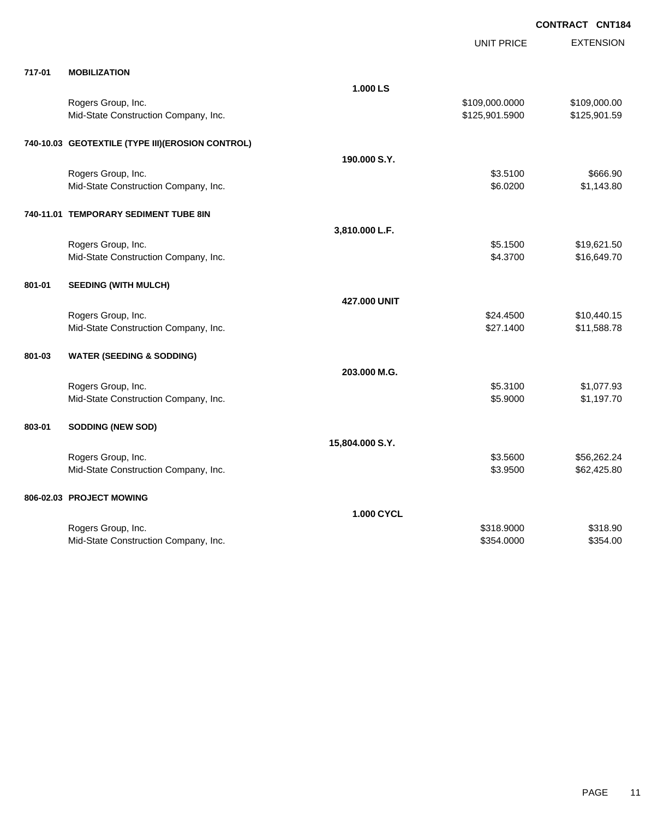|        |                                                  |                   | UNIT PRICE     | <b>EXTENSION</b> |
|--------|--------------------------------------------------|-------------------|----------------|------------------|
| 717-01 | <b>MOBILIZATION</b>                              |                   |                |                  |
|        |                                                  | 1.000 LS          |                |                  |
|        | Rogers Group, Inc.                               |                   | \$109,000.0000 | \$109,000.00     |
|        | Mid-State Construction Company, Inc.             |                   | \$125,901.5900 | \$125,901.59     |
|        | 740-10.03 GEOTEXTILE (TYPE III)(EROSION CONTROL) |                   |                |                  |
|        |                                                  | 190,000 S.Y.      |                |                  |
|        | Rogers Group, Inc.                               |                   | \$3.5100       | \$666.90         |
|        | Mid-State Construction Company, Inc.             |                   | \$6.0200       | \$1,143.80       |
|        | 740-11.01 TEMPORARY SEDIMENT TUBE 8IN            |                   |                |                  |
|        |                                                  | 3,810.000 L.F.    |                |                  |
|        | Rogers Group, Inc.                               |                   | \$5.1500       | \$19,621.50      |
|        | Mid-State Construction Company, Inc.             |                   | \$4.3700       | \$16,649.70      |
| 801-01 | <b>SEEDING (WITH MULCH)</b>                      |                   |                |                  |
|        |                                                  | 427.000 UNIT      |                |                  |
|        | Rogers Group, Inc.                               |                   | \$24.4500      | \$10,440.15      |
|        | Mid-State Construction Company, Inc.             |                   | \$27.1400      | \$11,588.78      |
| 801-03 | <b>WATER (SEEDING &amp; SODDING)</b>             |                   |                |                  |
|        |                                                  | 203.000 M.G.      |                |                  |
|        | Rogers Group, Inc.                               |                   | \$5.3100       | \$1,077.93       |
|        | Mid-State Construction Company, Inc.             |                   | \$5.9000       | \$1,197.70       |
| 803-01 | <b>SODDING (NEW SOD)</b>                         |                   |                |                  |
|        |                                                  | 15,804.000 S.Y.   |                |                  |
|        | Rogers Group, Inc.                               |                   | \$3.5600       | \$56,262.24      |
|        | Mid-State Construction Company, Inc.             |                   | \$3.9500       | \$62,425.80      |
|        | 806-02.03 PROJECT MOWING                         |                   |                |                  |
|        |                                                  | <b>1.000 CYCL</b> |                |                  |
|        | Rogers Group, Inc.                               |                   | \$318.9000     | \$318.90         |
|        | Mid-State Construction Company, Inc.             |                   | \$354.0000     | \$354.00         |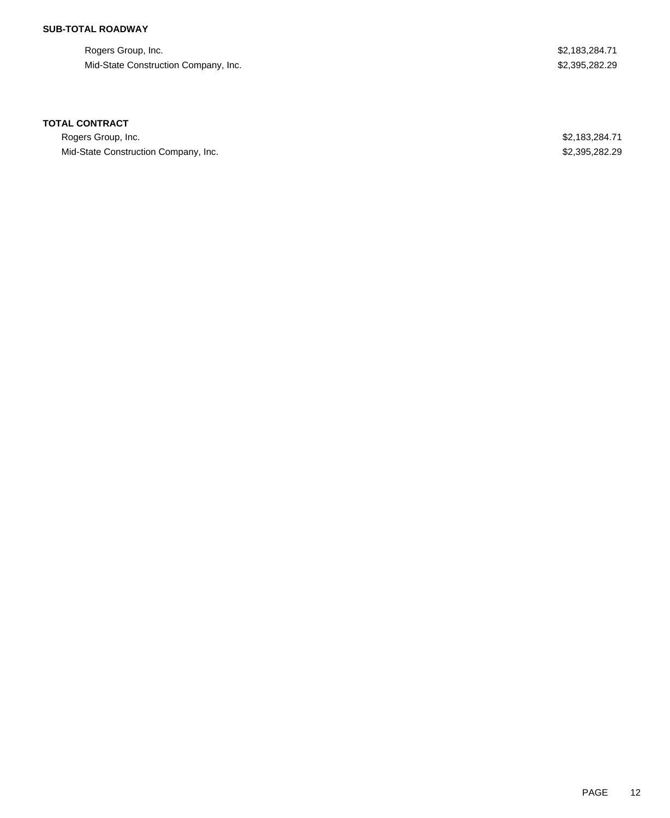## **SUB-TOTAL ROADWAY**

Rogers Group, Inc. \$2,183,284.71 Mid-State Construction Company, Inc. 62,395,282.29

### **TOTAL CONTRACT**

Rogers Group, Inc. \$2,183,284.71 Mid-State Construction Company, Inc. 6. The State Construction Company, Inc. 6. The State Construction Company, Inc.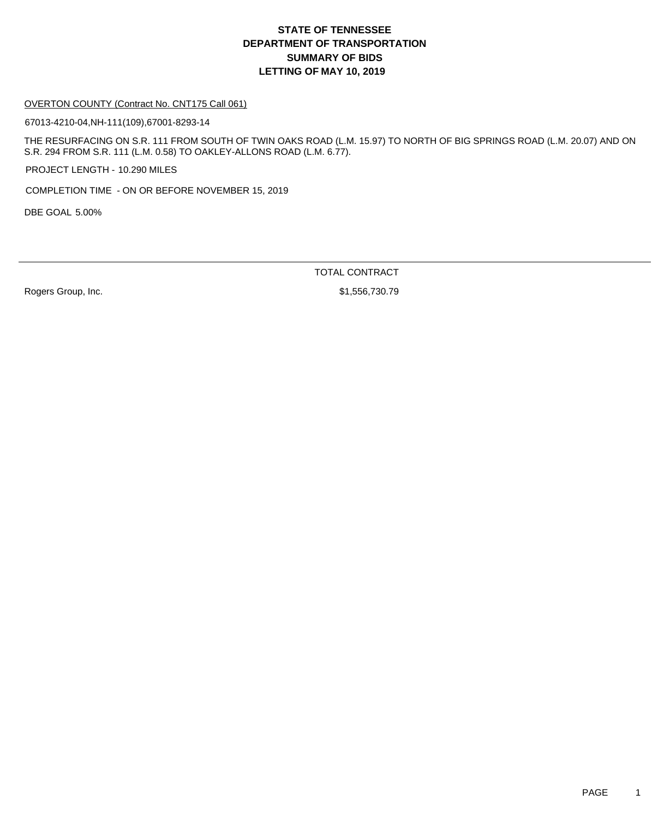### OVERTON COUNTY (Contract No. CNT175 Call 061)

67013-4210-04,NH-111(109),67001-8293-14

THE RESURFACING ON S.R. 111 FROM SOUTH OF TWIN OAKS ROAD (L.M. 15.97) TO NORTH OF BIG SPRINGS ROAD (L.M. 20.07) AND ON S.R. 294 FROM S.R. 111 (L.M. 0.58) TO OAKLEY-ALLONS ROAD (L.M. 6.77).

PROJECT LENGTH - 10.290 MILES

COMPLETION TIME - ON OR BEFORE NOVEMBER 15, 2019

DBE GOAL 5.00%

TOTAL CONTRACT

Rogers Group, Inc. 6. 2010 12:30:30 12:30 12:30 12:30 12:30 12:30 12:30 12:30 12:30 12:30 12:30 12:30 12:30 12:30 12:30 12:30 12:30 12:30 12:30 12:30 12:30 12:30 12:30 12:30 12:30 12:30 12:30 12:30 12:30 12:30 12:30 12:30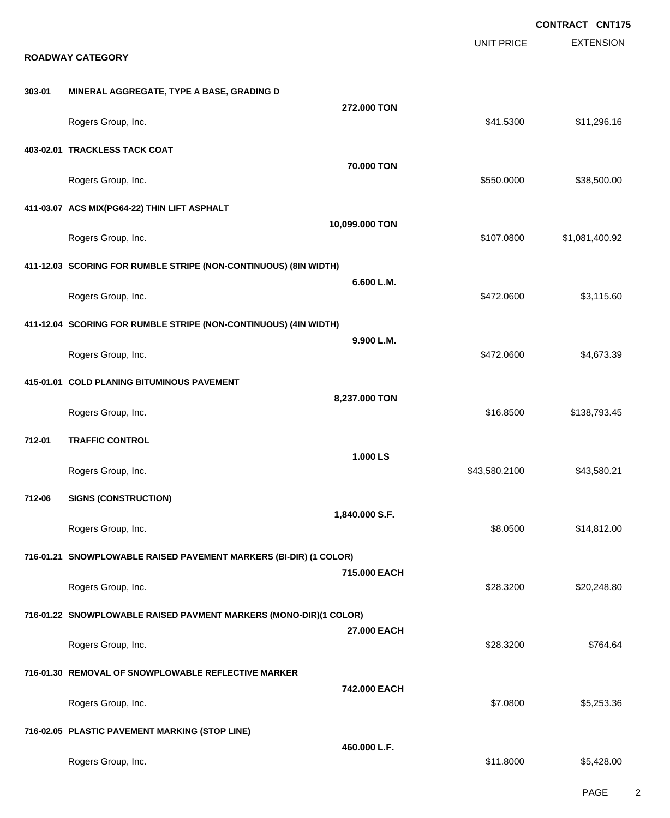|        |                                                                   |                                                                   |                   | <b>CONTRACT CNT175</b> |
|--------|-------------------------------------------------------------------|-------------------------------------------------------------------|-------------------|------------------------|
|        |                                                                   |                                                                   | <b>UNIT PRICE</b> | <b>EXTENSION</b>       |
|        | <b>ROADWAY CATEGORY</b>                                           |                                                                   |                   |                        |
| 303-01 | MINERAL AGGREGATE, TYPE A BASE, GRADING D                         |                                                                   |                   |                        |
|        | Rogers Group, Inc.                                                | 272.000 TON                                                       | \$41.5300         | \$11,296.16            |
|        | 403-02.01 TRACKLESS TACK COAT                                     |                                                                   |                   |                        |
|        | Rogers Group, Inc.                                                | <b>70.000 TON</b>                                                 | \$550.0000        | \$38,500.00            |
|        | 411-03.07 ACS MIX(PG64-22) THIN LIFT ASPHALT                      |                                                                   |                   |                        |
|        | Rogers Group, Inc.                                                | 10,099.000 TON                                                    | \$107.0800        | \$1,081,400.92         |
|        | 411-12.03 SCORING FOR RUMBLE STRIPE (NON-CONTINUOUS) (8IN WIDTH)  |                                                                   |                   |                        |
|        | Rogers Group, Inc.                                                | 6.600 L.M.                                                        | \$472.0600        | \$3,115.60             |
|        | 411-12.04 SCORING FOR RUMBLE STRIPE (NON-CONTINUOUS) (4IN WIDTH)  |                                                                   |                   |                        |
|        | Rogers Group, Inc.                                                | 9.900 L.M.                                                        | \$472.0600        | \$4,673.39             |
|        | 415-01.01 COLD PLANING BITUMINOUS PAVEMENT                        |                                                                   |                   |                        |
|        | Rogers Group, Inc.                                                | 8,237.000 TON                                                     | \$16.8500         | \$138,793.45           |
| 712-01 | <b>TRAFFIC CONTROL</b>                                            |                                                                   |                   |                        |
|        | Rogers Group, Inc.                                                | 1.000LS                                                           | \$43,580.2100     | \$43,580.21            |
| 712-06 | <b>SIGNS (CONSTRUCTION)</b>                                       |                                                                   |                   |                        |
|        | Rogers Group, Inc.                                                | 1,840.000 S.F.                                                    | \$8.0500          | \$14,812.00            |
|        | 716-01.21 SNOWPLOWABLE RAISED PAVEMENT MARKERS (BI-DIR) (1 COLOR) |                                                                   |                   |                        |
|        | Rogers Group, Inc.                                                | 715,000 EACH                                                      | \$28.3200         | \$20,248.80            |
|        |                                                                   | 716-01.22 SNOWPLOWABLE RAISED PAVMENT MARKERS (MONO-DIR)(1 COLOR) |                   |                        |
|        | Rogers Group, Inc.                                                | 27.000 EACH                                                       | \$28.3200         | \$764.64               |
|        | 716-01.30 REMOVAL OF SNOWPLOWABLE REFLECTIVE MARKER               |                                                                   |                   |                        |
|        | Rogers Group, Inc.                                                | 742,000 EACH                                                      | \$7.0800          | \$5,253.36             |
|        | 716-02.05 PLASTIC PAVEMENT MARKING (STOP LINE)                    |                                                                   |                   |                        |
|        | Rogers Group, Inc.                                                | 460.000 L.F.                                                      | \$11.8000         | \$5,428.00             |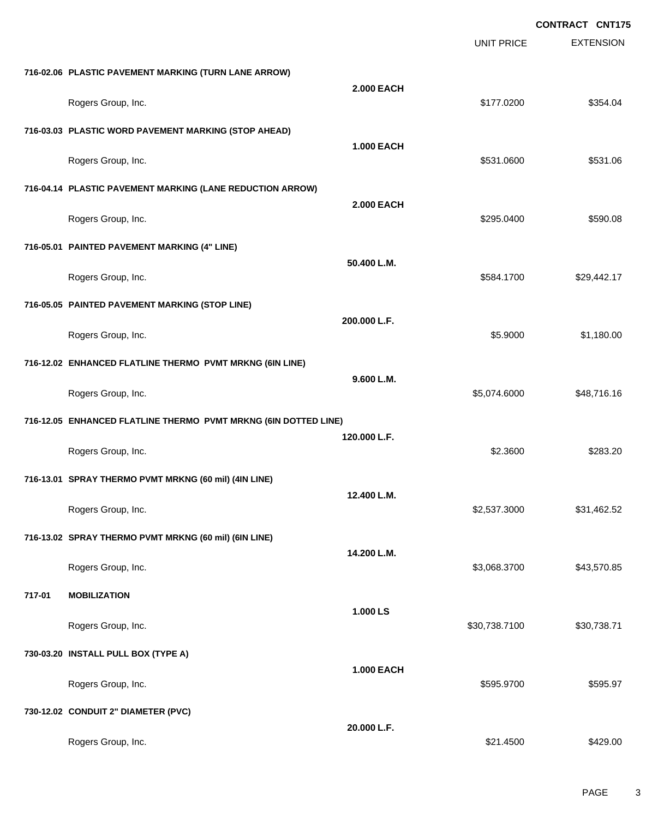**EXTENSION CONTRACT CNT175** UNIT PRICE **716-02.06 PLASTIC PAVEMENT MARKING (TURN LANE ARROW) 2.000 EACH** Rogers Group, Inc. \$354.04 \$354.04 **716-03.03 PLASTIC WORD PAVEMENT MARKING (STOP AHEAD) 1.000 EACH** Rogers Group, Inc. \$531.0600 \$531.0600 \$531.0600 \$531.0600 \$531.0600 \$531.0600 \$531.0600 \$531.06 **716-04.14 PLASTIC PAVEMENT MARKING (LANE REDUCTION ARROW) 2.000 EACH** Rogers Group, Inc. \$295.0400 \$590.08 **716-05.01 PAINTED PAVEMENT MARKING (4" LINE) 50.400 L.M.** Rogers Group, Inc. \$29,442.17 \$29,442.17 \$584.1700 \$29,442.17 **716-05.05 PAINTED PAVEMENT MARKING (STOP LINE) 200.000 L.F.** Rogers Group, Inc. \$1,180.00 \$1,180.00 \$1,180.00 \$1,180.00 \$1,180.00 \$1,180.00 \$1,180.00 \$1,180.00 \$1,180.00 \$1,180.00 \$1,180.00 \$1,180.00 \$1,180.00 \$1,180.00 \$1,180.00 \$1,180.00 \$1,180.00 \$1,180.00 \$1,180.00 \$1,180.00 \$1, **716-12.02 ENHANCED FLATLINE THERMO PVMT MRKNG (6IN LINE) 9.600 L.M.** Rogers Group, Inc. \$48,716.16 **716-12.05 ENHANCED FLATLINE THERMO PVMT MRKNG (6IN DOTTED LINE) 120.000 L.F.** Rogers Group, Inc. \$283.20 \$2.3600 \$2.3600 \$2.3600 \$2.3600 \$2.3600 \$2.3600 \$2.3600 \$2.3600 \$2.3600 \$2.3600 \$2.3600 \$2.3600 \$2.3600 \$2.3600 \$2.3600 \$2.3600 \$2.3600 \$2.3600 \$2.3600 \$2.3600 \$2.3600 \$2.3600 \$2.3600 \$2.3600 \$2. **716-13.01 SPRAY THERMO PVMT MRKNG (60 mil) (4IN LINE) 12.400 L.M.** Rogers Group, Inc. \$2,537.3000 \$31,462.52 **716-13.02 SPRAY THERMO PVMT MRKNG (60 mil) (6IN LINE) 14.200 L.M.** Rogers Group, Inc. \$43,570.85 **717-01 MOBILIZATION 1.000 LS** Rogers Group, Inc. \$30,738.7100 \$30,738.7100 \$30,738.7100 \$30,738.7100 \$30,738.71 **730-03.20 INSTALL PULL BOX (TYPE A) 1.000 EACH** Rogers Group, Inc. \$595.9700 \$595.9700 \$595.9700 \$595.9700 \$595.9700 \$595.9700 \$595.97 **730-12.02 CONDUIT 2" DIAMETER (PVC) 20.000 L.F.** Rogers Group, Inc. \$21.4500 \$429.00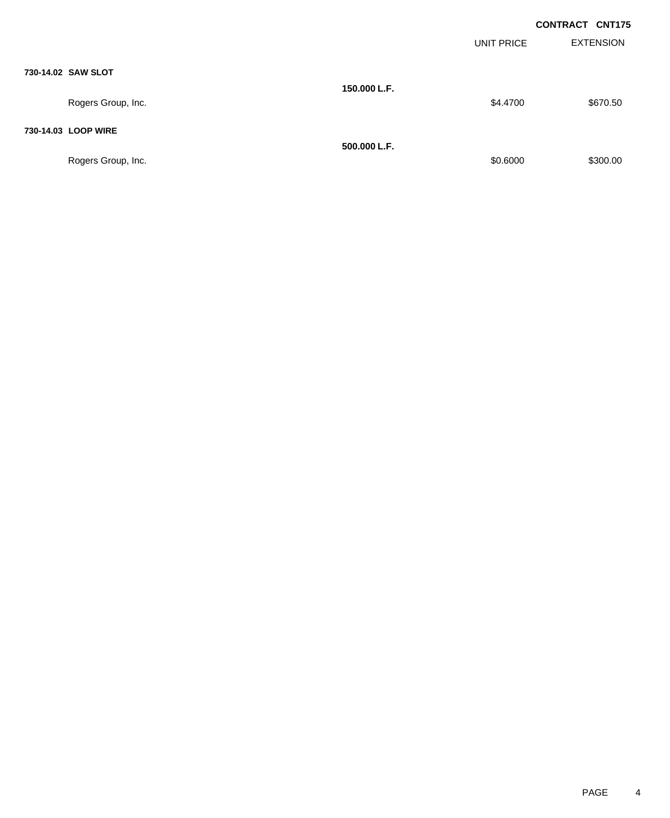|              |            | <b>CONTRACT CNT175</b> |
|--------------|------------|------------------------|
|              | UNIT PRICE | <b>EXTENSION</b>       |
|              |            |                        |
| 150.000 L.F. |            |                        |
|              | \$4.4700   | \$670.50               |

### **730-14.03 LOOP WIRE**

**730-14.02 SAW SLOT**

Rogers Group, Inc. \$300.00

Rogers Group, Inc.

**500.000 L.F.**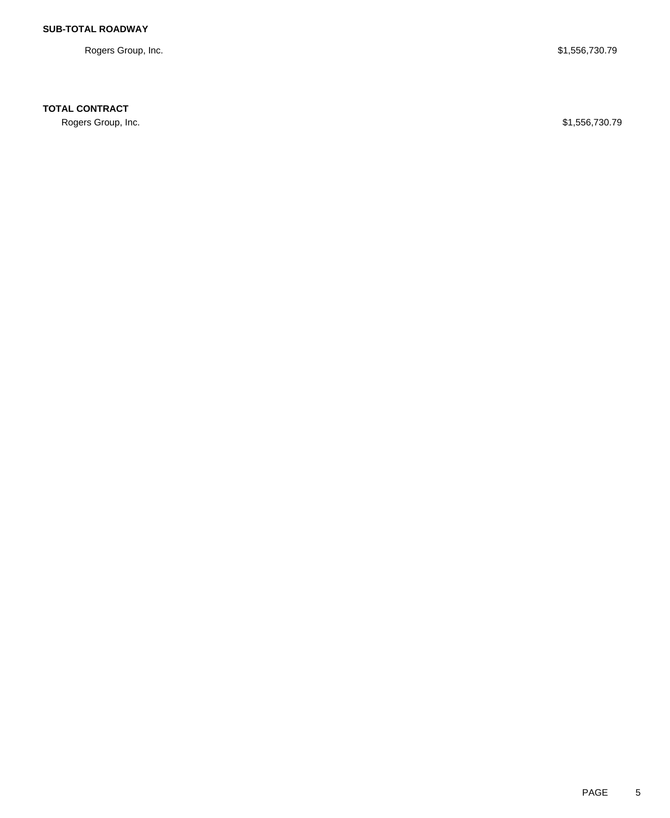Rogers Group, Inc. \$1,556,730.79

## **TOTAL CONTRACT**

Rogers Group, Inc. \$1,556,730.79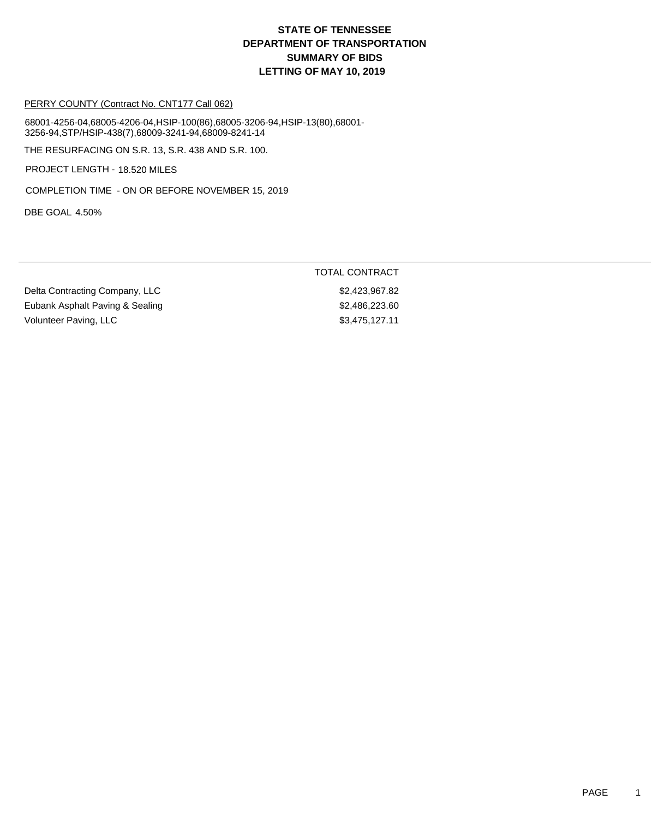### PERRY COUNTY (Contract No. CNT177 Call 062)

68001-4256-04,68005-4206-04,HSIP-100(86),68005-3206-94,HSIP-13(80),68001- 3256-94,STP/HSIP-438(7),68009-3241-94,68009-8241-14

THE RESURFACING ON S.R. 13, S.R. 438 AND S.R. 100.

PROJECT LENGTH - 18.520 MILES

COMPLETION TIME - ON OR BEFORE NOVEMBER 15, 2019

DBE GOAL 4.50%

### TOTAL CONTRACT

Delta Contracting Company, LLC \$2,423,967.82 Eubank Asphalt Paving & Sealing \$2,486,223.60 Volunteer Paving, LLC \$3,475,127.11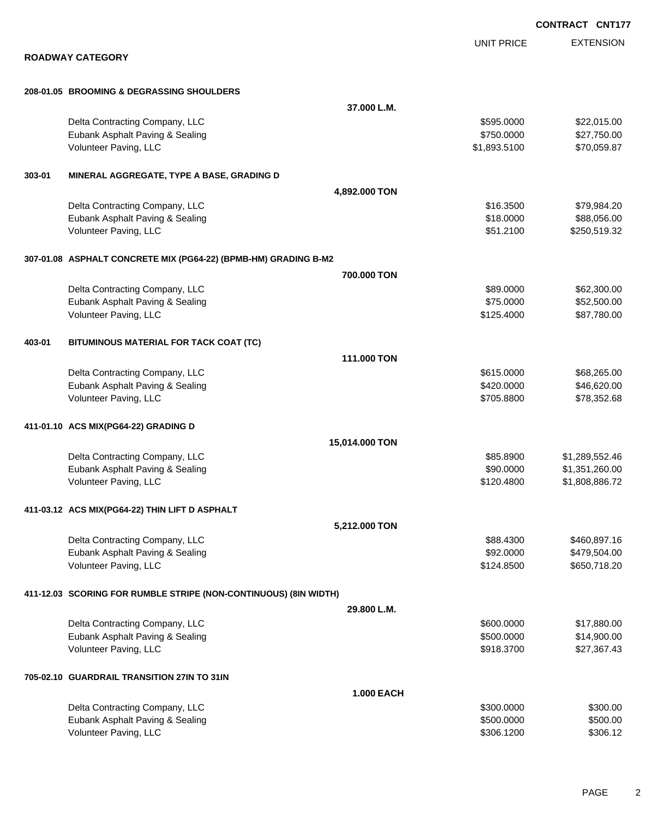|        |                                                                  |                   |                   | <b>CONTRACT CNT177</b> |
|--------|------------------------------------------------------------------|-------------------|-------------------|------------------------|
|        |                                                                  |                   | <b>UNIT PRICE</b> | <b>EXTENSION</b>       |
|        | <b>ROADWAY CATEGORY</b>                                          |                   |                   |                        |
|        |                                                                  |                   |                   |                        |
|        | 208-01.05 BROOMING & DEGRASSING SHOULDERS                        |                   |                   |                        |
|        |                                                                  | 37.000 L.M.       |                   |                        |
|        | Delta Contracting Company, LLC                                   |                   | \$595.0000        | \$22,015.00            |
|        | Eubank Asphalt Paving & Sealing                                  |                   | \$750.0000        | \$27,750.00            |
|        | Volunteer Paving, LLC                                            |                   | \$1,893.5100      | \$70,059.87            |
| 303-01 | MINERAL AGGREGATE, TYPE A BASE, GRADING D                        |                   |                   |                        |
|        |                                                                  | 4,892.000 TON     |                   |                        |
|        | Delta Contracting Company, LLC                                   |                   | \$16.3500         | \$79,984.20            |
|        | Eubank Asphalt Paving & Sealing                                  |                   | \$18.0000         | \$88,056.00            |
|        | Volunteer Paving, LLC                                            |                   | \$51.2100         | \$250,519.32           |
|        | 307-01.08 ASPHALT CONCRETE MIX (PG64-22) (BPMB-HM) GRADING B-M2  |                   |                   |                        |
|        |                                                                  | 700.000 TON       |                   |                        |
|        | Delta Contracting Company, LLC                                   |                   | \$89.0000         | \$62,300.00            |
|        | Eubank Asphalt Paving & Sealing                                  |                   | \$75.0000         | \$52,500.00            |
|        | Volunteer Paving, LLC                                            |                   | \$125.4000        | \$87,780.00            |
| 403-01 | BITUMINOUS MATERIAL FOR TACK COAT (TC)                           |                   |                   |                        |
|        |                                                                  | 111.000 TON       |                   |                        |
|        | Delta Contracting Company, LLC                                   |                   | \$615.0000        | \$68,265.00            |
|        | Eubank Asphalt Paving & Sealing                                  |                   | \$420.0000        | \$46,620.00            |
|        | Volunteer Paving, LLC                                            |                   | \$705.8800        | \$78,352.68            |
|        | 411-01.10 ACS MIX(PG64-22) GRADING D                             |                   |                   |                        |
|        |                                                                  | 15,014.000 TON    |                   |                        |
|        | Delta Contracting Company, LLC                                   |                   | \$85.8900         | \$1,289,552.46         |
|        | Eubank Asphalt Paving & Sealing                                  |                   | \$90.0000         | \$1,351,260.00         |
|        | Volunteer Paving, LLC                                            |                   | \$120.4800        | \$1,808,886,72         |
|        | 411-03.12 ACS MIX(PG64-22) THIN LIFT D ASPHALT                   |                   |                   |                        |
|        |                                                                  | 5,212.000 TON     |                   |                        |
|        | Delta Contracting Company, LLC                                   |                   | \$88.4300         | \$460,897.16           |
|        | Eubank Asphalt Paving & Sealing                                  |                   | \$92.0000         | \$479,504.00           |
|        | Volunteer Paving, LLC                                            |                   | \$124.8500        | \$650,718.20           |
|        | 411-12.03 SCORING FOR RUMBLE STRIPE (NON-CONTINUOUS) (8IN WIDTH) |                   |                   |                        |
|        |                                                                  | 29.800 L.M.       |                   |                        |
|        | Delta Contracting Company, LLC                                   |                   | \$600.0000        | \$17,880.00            |
|        | Eubank Asphalt Paving & Sealing                                  |                   | \$500.0000        | \$14,900.00            |
|        | Volunteer Paving, LLC                                            |                   | \$918.3700        | \$27,367.43            |
|        | 705-02.10 GUARDRAIL TRANSITION 27IN TO 31IN                      |                   |                   |                        |
|        |                                                                  | <b>1.000 EACH</b> |                   |                        |
|        | Delta Contracting Company, LLC                                   |                   | \$300.0000        | \$300.00               |
|        | Eubank Asphalt Paving & Sealing                                  |                   | \$500.0000        | \$500.00               |
|        | Volunteer Paving, LLC                                            |                   | \$306.1200        | \$306.12               |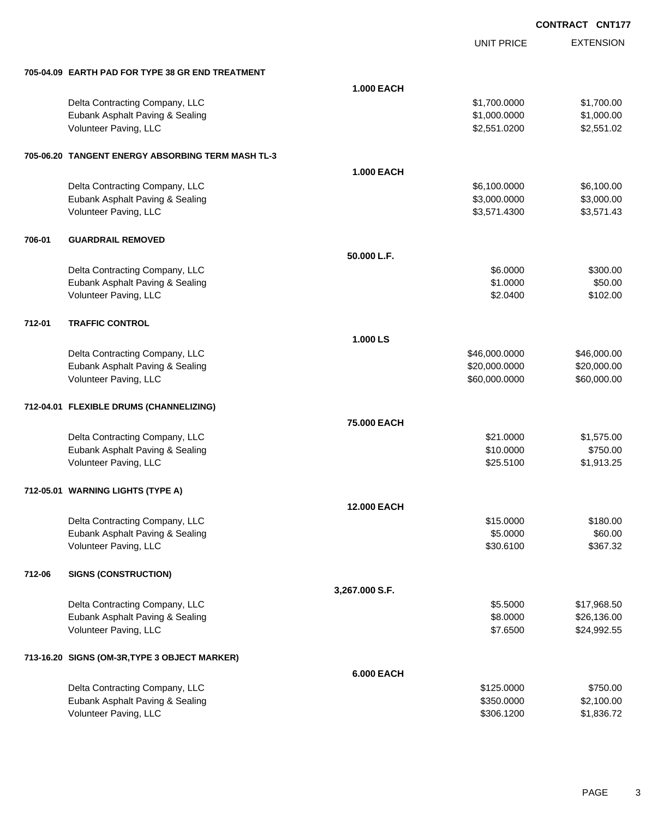UNIT PRICE

EXTENSION

|        | 705-04.09 EARTH PAD FOR TYPE 38 GR END TREATMENT  |                    |               |             |
|--------|---------------------------------------------------|--------------------|---------------|-------------|
|        |                                                   | <b>1.000 EACH</b>  |               |             |
|        | Delta Contracting Company, LLC                    |                    | \$1,700.0000  | \$1,700.00  |
|        | Eubank Asphalt Paving & Sealing                   |                    | \$1,000.0000  | \$1,000.00  |
|        | Volunteer Paving, LLC                             |                    | \$2,551.0200  | \$2,551.02  |
|        | 705-06.20 TANGENT ENERGY ABSORBING TERM MASH TL-3 |                    |               |             |
|        |                                                   | <b>1.000 EACH</b>  |               |             |
|        | Delta Contracting Company, LLC                    |                    | \$6,100.0000  | \$6,100.00  |
|        | Eubank Asphalt Paving & Sealing                   |                    | \$3,000.0000  | \$3,000.00  |
|        | Volunteer Paving, LLC                             |                    | \$3,571.4300  | \$3,571.43  |
| 706-01 | <b>GUARDRAIL REMOVED</b>                          |                    |               |             |
|        |                                                   | 50.000 L.F.        |               |             |
|        | Delta Contracting Company, LLC                    |                    | \$6.0000      | \$300.00    |
|        | Eubank Asphalt Paving & Sealing                   |                    | \$1.0000      | \$50.00     |
|        | Volunteer Paving, LLC                             |                    | \$2.0400      | \$102.00    |
| 712-01 | <b>TRAFFIC CONTROL</b>                            |                    |               |             |
|        |                                                   | 1.000 LS           |               |             |
|        | Delta Contracting Company, LLC                    |                    | \$46,000.0000 | \$46,000.00 |
|        | Eubank Asphalt Paving & Sealing                   |                    | \$20,000.0000 | \$20,000.00 |
|        | Volunteer Paving, LLC                             |                    | \$60,000.0000 | \$60,000.00 |
|        | 712-04.01 FLEXIBLE DRUMS (CHANNELIZING)           |                    |               |             |
|        |                                                   | 75.000 EACH        |               |             |
|        | Delta Contracting Company, LLC                    |                    | \$21.0000     | \$1,575.00  |
|        | Eubank Asphalt Paving & Sealing                   |                    | \$10.0000     | \$750.00    |
|        | Volunteer Paving, LLC                             |                    | \$25.5100     | \$1,913.25  |
|        | 712-05.01 WARNING LIGHTS (TYPE A)                 |                    |               |             |
|        |                                                   | <b>12,000 EACH</b> |               |             |
|        | Delta Contracting Company, LLC                    |                    | \$15.0000     | \$180.00    |
|        | Eubank Asphalt Paving & Sealing                   |                    | \$5.0000      | \$60.00     |
|        | Volunteer Paving, LLC                             |                    | \$30.6100     | \$367.32    |
| 712-06 | <b>SIGNS (CONSTRUCTION)</b>                       |                    |               |             |
|        |                                                   | 3,267.000 S.F.     |               |             |
|        | Delta Contracting Company, LLC                    |                    | \$5.5000      | \$17,968.50 |
|        | Eubank Asphalt Paving & Sealing                   |                    | \$8.0000      | \$26,136.00 |
|        | Volunteer Paving, LLC                             |                    | \$7.6500      | \$24,992.55 |
|        | 713-16.20 SIGNS (OM-3R, TYPE 3 OBJECT MARKER)     |                    |               |             |
|        |                                                   | 6.000 EACH         |               |             |
|        | Delta Contracting Company, LLC                    |                    | \$125.0000    | \$750.00    |
|        | Eubank Asphalt Paving & Sealing                   |                    | \$350.0000    | \$2,100.00  |
|        | Volunteer Paving, LLC                             |                    | \$306.1200    | \$1,836.72  |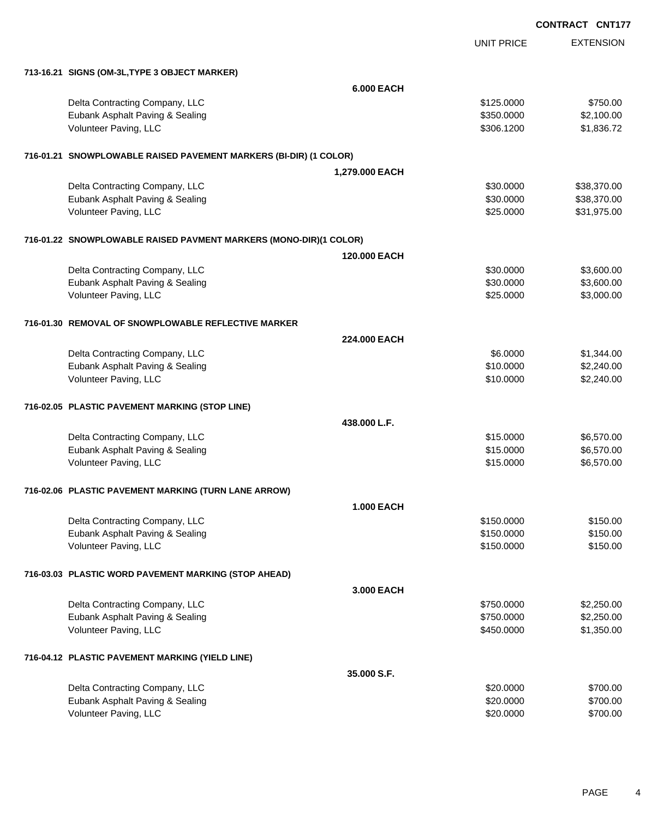**EXTENSION** UNIT PRICE **713-16.21 SIGNS (OM-3L,TYPE 3 OBJECT MARKER) 6.000 EACH** Delta Contracting Company, LLC \$125.0000 \$750.00 Eubank Asphalt Paving & Sealing \$350.0000 \$2,100.00 Volunteer Paving, LLC \$306.1200 \$1,836.72 **716-01.21 SNOWPLOWABLE RAISED PAVEMENT MARKERS (BI-DIR) (1 COLOR) 1,279.000 EACH** Delta Contracting Company, LLC **\$30.000** \$38,370.00 Eubank Asphalt Paving & Sealing \$30.000 \$38,370.00 Volunteer Paving, LLC 6. The State of the State of the State of the State of State of State of State of State of State of State of State of State of State of State of State of State of State of State of State of State of S **716-01.22 SNOWPLOWABLE RAISED PAVMENT MARKERS (MONO-DIR)(1 COLOR) 120.000 EACH** Delta Contracting Company, LLC 6. The contraction of the contraction of the state of the state of the state of the state of the state of the state of the state of the state of the state of the state of the state of the sta Eubank Asphalt Paving & Sealing \$30.000 \$3,600.00 Volunteer Paving, LLC 60000 \$3,000.00 **716-01.30 REMOVAL OF SNOWPLOWABLE REFLECTIVE MARKER 224.000 EACH** Delta Contracting Company, LLC **6.0000** \$1,344.00 Eubank Asphalt Paving & Sealing \$10.0000 \$2,240.00 Volunteer Paving, LLC 6. The state of the state of the state of the state of the state of the state of the state of the state of the state of the state of the state of the state of the state of the state of the state of th **716-02.05 PLASTIC PAVEMENT MARKING (STOP LINE) 438.000 L.F.** Delta Contracting Company, LLC **6.570.000** \$6,570.00 Eubank Asphalt Paving & Sealing \$15.000 \$6,570.00 Volunteer Paving, LLC 6,570.00 **716-02.06 PLASTIC PAVEMENT MARKING (TURN LANE ARROW) 1.000 EACH** Delta Contracting Company, LLC 6150.000 \$150.000 \$150.000 \$150.000 Eubank Asphalt Paving & Sealing \$150.000 \$150.000 \$150.000 \$150.000 Volunteer Paving, LLC 6150.000 \$150.000 \$150.000 \$150.000 \$150.000 \$150.000 \$150.000 \$150.00 **716-03.03 PLASTIC WORD PAVEMENT MARKING (STOP AHEAD) 3.000 EACH** Delta Contracting Company, LLC **but a contraction of the Contraction Contraction Contraction Contraction** \$2,250.00 Eubank Asphalt Paving & Sealing \$750.0000 \$2,250.000 \$2,250.000 Volunteer Paving, LLC 6. The state of the state of the state of the state of the state of the state of the state of the state of the state of the state of the state of the state of the state of the state of the state of th **716-04.12 PLASTIC PAVEMENT MARKING (YIELD LINE) 35.000 S.F.** Delta Contracting Company, LLC **\$20.000** \$700.00

Eubank Asphalt Paving & Sealing \$20.000 \$700.00 Volunteer Paving, LLC 6700.000 \$700.00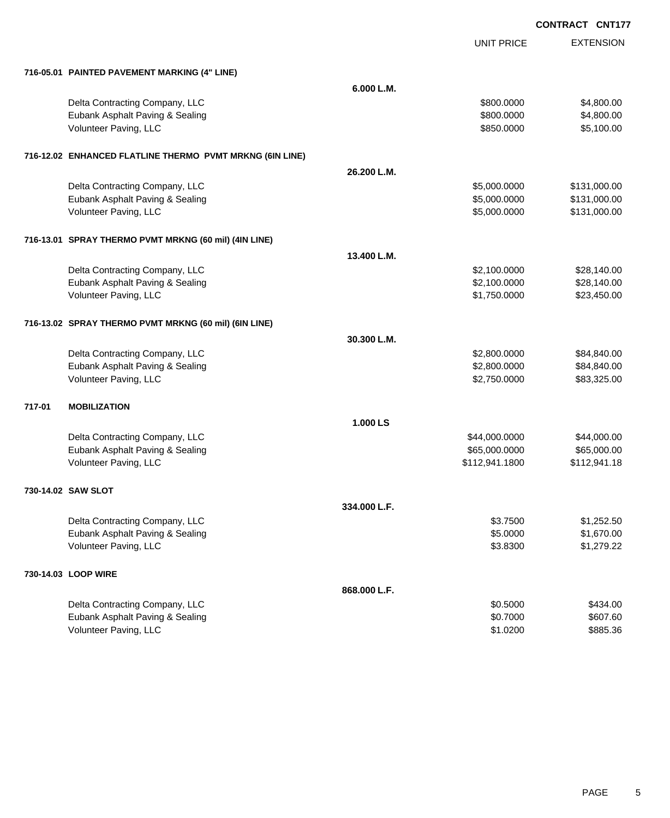|        |                                                          |              |                | <b>VILLE</b>     |
|--------|----------------------------------------------------------|--------------|----------------|------------------|
|        |                                                          |              | UNIT PRICE     | <b>EXTENSION</b> |
|        | 716-05.01 PAINTED PAVEMENT MARKING (4" LINE)             |              |                |                  |
|        |                                                          | 6.000 L.M.   |                |                  |
|        | Delta Contracting Company, LLC                           |              | \$800.0000     | \$4,800.00       |
|        | Eubank Asphalt Paving & Sealing                          |              | \$800.0000     | \$4,800.00       |
|        | Volunteer Paving, LLC                                    |              | \$850.0000     | \$5,100.00       |
|        | 716-12.02 ENHANCED FLATLINE THERMO PVMT MRKNG (6IN LINE) |              |                |                  |
|        |                                                          | 26.200 L.M.  |                |                  |
|        | Delta Contracting Company, LLC                           |              | \$5,000.0000   | \$131,000.00     |
|        | Eubank Asphalt Paving & Sealing                          |              | \$5,000.0000   | \$131,000.00     |
|        | Volunteer Paving, LLC                                    |              | \$5,000.0000   | \$131,000.00     |
|        | 716-13.01 SPRAY THERMO PVMT MRKNG (60 mil) (4IN LINE)    |              |                |                  |
|        |                                                          | 13.400 L.M.  |                |                  |
|        | Delta Contracting Company, LLC                           |              | \$2,100.0000   | \$28,140.00      |
|        | Eubank Asphalt Paving & Sealing                          |              | \$2,100.0000   | \$28,140.00      |
|        | Volunteer Paving, LLC                                    |              | \$1,750.0000   | \$23,450.00      |
|        | 716-13.02 SPRAY THERMO PVMT MRKNG (60 mil) (6IN LINE)    |              |                |                  |
|        |                                                          | 30.300 L.M.  |                |                  |
|        | Delta Contracting Company, LLC                           |              | \$2,800.0000   | \$84,840.00      |
|        | Eubank Asphalt Paving & Sealing                          |              | \$2,800.0000   | \$84,840.00      |
|        | Volunteer Paving, LLC                                    |              | \$2,750.0000   | \$83,325.00      |
| 717-01 | <b>MOBILIZATION</b>                                      |              |                |                  |
|        |                                                          | 1.000 LS     |                |                  |
|        | Delta Contracting Company, LLC                           |              | \$44,000.0000  | \$44,000.00      |
|        | Eubank Asphalt Paving & Sealing                          |              | \$65,000.0000  | \$65,000.00      |
|        | Volunteer Paving, LLC                                    |              | \$112,941.1800 | \$112,941.18     |
|        | 730-14.02 SAW SLOT                                       |              |                |                  |
|        |                                                          | 334.000 L.F. |                |                  |
|        | Delta Contracting Company, LLC                           |              | \$3.7500       | \$1,252.50       |
|        | Eubank Asphalt Paving & Sealing                          |              | \$5.0000       | \$1,670.00       |
|        | Volunteer Paving, LLC                                    |              | \$3.8300       | \$1,279.22       |
|        | 730-14.03 LOOP WIRE                                      |              |                |                  |
|        |                                                          | 868.000 L.F. |                |                  |
|        | Delta Contracting Company, LLC                           |              | \$0.5000       | \$434.00         |
|        | Eubank Asphalt Paving & Sealing                          |              | \$0.7000       | \$607.60         |
|        | Volunteer Paving, LLC                                    |              | \$1.0200       | \$885.36         |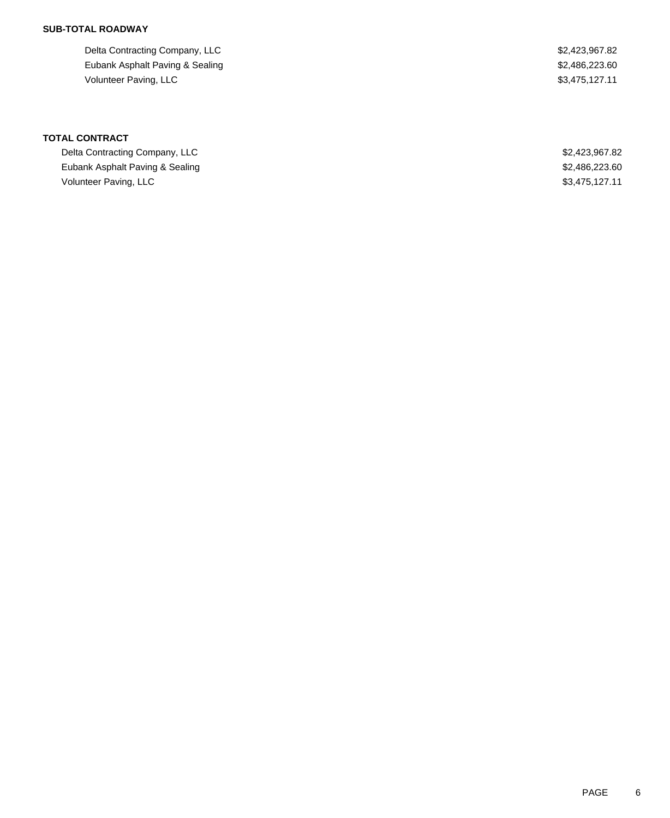Delta Contracting Company, LLC \$2,423,967.82 Eubank Asphalt Paving & Sealing \$2,486,223.60 Volunteer Paving, LLC \$3,475,127.11

| Delta Contracting Company, LLC  | \$2,423,967.82 |
|---------------------------------|----------------|
| Eubank Asphalt Paving & Sealing | \$2,486,223.60 |
| Volunteer Paving, LLC           | \$3.475.127.11 |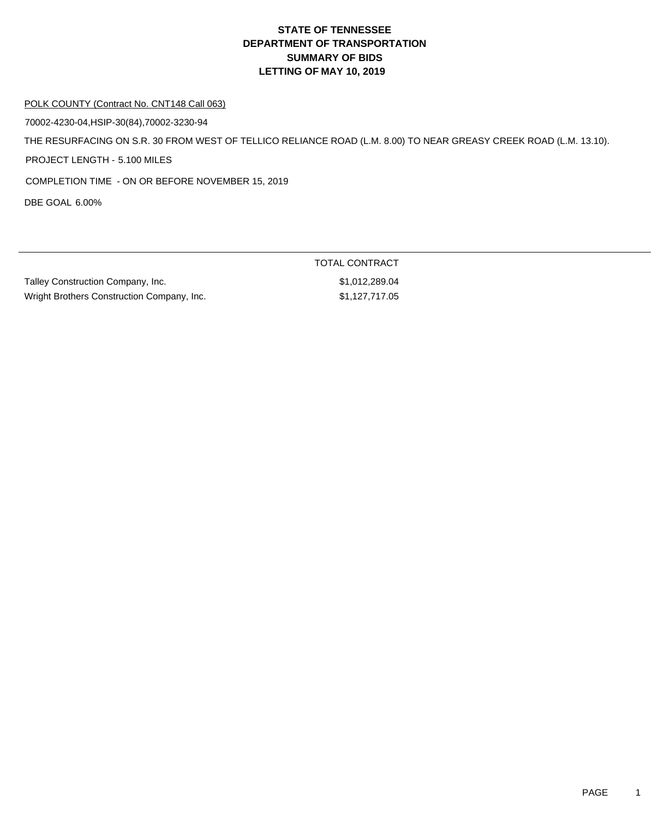#### POLK COUNTY (Contract No. CNT148 Call 063)

70002-4230-04,HSIP-30(84),70002-3230-94

THE RESURFACING ON S.R. 30 FROM WEST OF TELLICO RELIANCE ROAD (L.M. 8.00) TO NEAR GREASY CREEK ROAD (L.M. 13.10).

PROJECT LENGTH - 5.100 MILES

COMPLETION TIME - ON OR BEFORE NOVEMBER 15, 2019

DBE GOAL 6.00%

|                                            | TOTAL CONTRACT |
|--------------------------------------------|----------------|
| Talley Construction Company, Inc.          | \$1.012.289.04 |
| Wright Brothers Construction Company, Inc. | \$1,127,717.05 |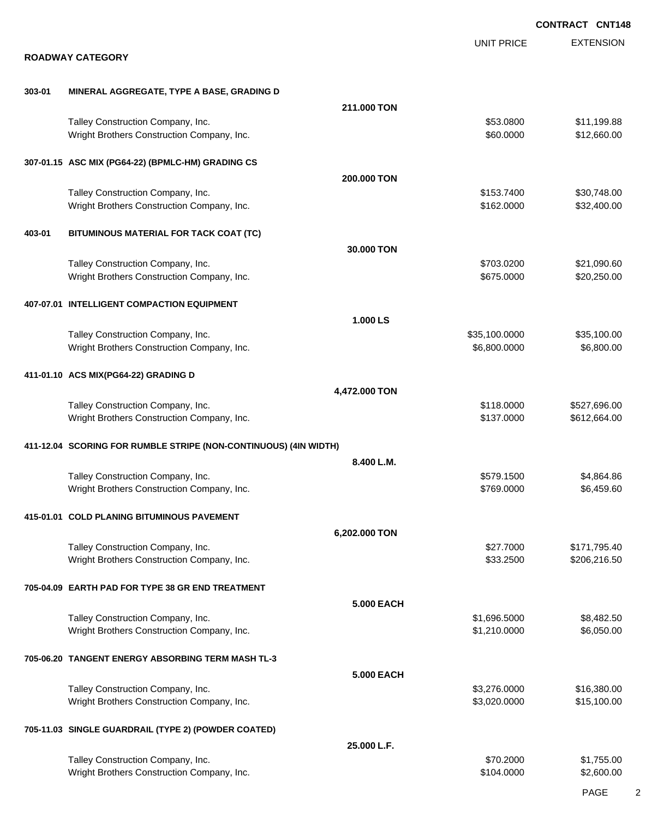|        |                                                                                 |                   |                               | <b>CONTRACT CNT148</b>     |
|--------|---------------------------------------------------------------------------------|-------------------|-------------------------------|----------------------------|
|        | <b>ROADWAY CATEGORY</b>                                                         |                   | <b>UNIT PRICE</b>             | <b>EXTENSION</b>           |
|        |                                                                                 |                   |                               |                            |
| 303-01 | MINERAL AGGREGATE, TYPE A BASE, GRADING D                                       |                   |                               |                            |
|        | Talley Construction Company, Inc.                                               | 211,000 TON       | \$53.0800                     | \$11,199.88                |
|        | Wright Brothers Construction Company, Inc.                                      |                   | \$60.0000                     | \$12,660.00                |
|        | 307-01.15 ASC MIX (PG64-22) (BPMLC-HM) GRADING CS                               |                   |                               |                            |
|        |                                                                                 | 200.000 TON       |                               |                            |
|        | Talley Construction Company, Inc.<br>Wright Brothers Construction Company, Inc. |                   | \$153.7400<br>\$162.0000      | \$30,748.00<br>\$32,400.00 |
| 403-01 | BITUMINOUS MATERIAL FOR TACK COAT (TC)                                          |                   |                               |                            |
|        |                                                                                 | 30.000 TON        |                               |                            |
|        | Talley Construction Company, Inc.<br>Wright Brothers Construction Company, Inc. |                   | \$703.0200<br>\$675.0000      | \$21,090.60<br>\$20,250.00 |
|        | 407-07.01 INTELLIGENT COMPACTION EQUIPMENT                                      |                   |                               |                            |
|        |                                                                                 | 1.000 LS          |                               |                            |
|        | Talley Construction Company, Inc.<br>Wright Brothers Construction Company, Inc. |                   | \$35,100.0000<br>\$6,800.0000 | \$35,100.00<br>\$6,800.00  |
|        | 411-01.10 ACS MIX(PG64-22) GRADING D                                            |                   |                               |                            |
|        | Talley Construction Company, Inc.                                               | 4,472.000 TON     | \$118.0000                    | \$527,696.00               |
|        | Wright Brothers Construction Company, Inc.                                      |                   | \$137.0000                    | \$612,664.00               |
|        | 411-12.04 SCORING FOR RUMBLE STRIPE (NON-CONTINUOUS) (4IN WIDTH)                |                   |                               |                            |
|        | Talley Construction Company, Inc.                                               | 8.400 L.M.        | \$579.1500                    | \$4,864.86                 |
|        | Wright Brothers Construction Company, Inc.                                      |                   | \$769.0000                    | \$6,459.60                 |
|        | 415-01.01 COLD PLANING BITUMINOUS PAVEMENT                                      |                   |                               |                            |
|        | Talley Construction Company, Inc.                                               | 6,202.000 TON     | \$27.7000                     | \$171,795.40               |
|        | Wright Brothers Construction Company, Inc.                                      |                   | \$33.2500                     | \$206,216.50               |
|        | 705-04.09 EARTH PAD FOR TYPE 38 GR END TREATMENT                                |                   |                               |                            |
|        | Talley Construction Company, Inc.                                               | <b>5.000 EACH</b> | \$1,696.5000                  | \$8,482.50                 |
|        | Wright Brothers Construction Company, Inc.                                      |                   | \$1,210.0000                  | \$6,050.00                 |
|        | 705-06.20 TANGENT ENERGY ABSORBING TERM MASH TL-3                               |                   |                               |                            |
|        |                                                                                 | <b>5.000 EACH</b> |                               |                            |
|        | Talley Construction Company, Inc.<br>Wright Brothers Construction Company, Inc. |                   | \$3,276.0000<br>\$3,020.0000  | \$16,380.00<br>\$15,100.00 |
|        | 705-11.03 SINGLE GUARDRAIL (TYPE 2) (POWDER COATED)                             |                   |                               |                            |
|        |                                                                                 | 25.000 L.F.       |                               |                            |
|        | Talley Construction Company, Inc.<br>Wright Brothers Construction Company, Inc. |                   | \$70.2000<br>\$104.0000       | \$1,755.00<br>\$2,600.00   |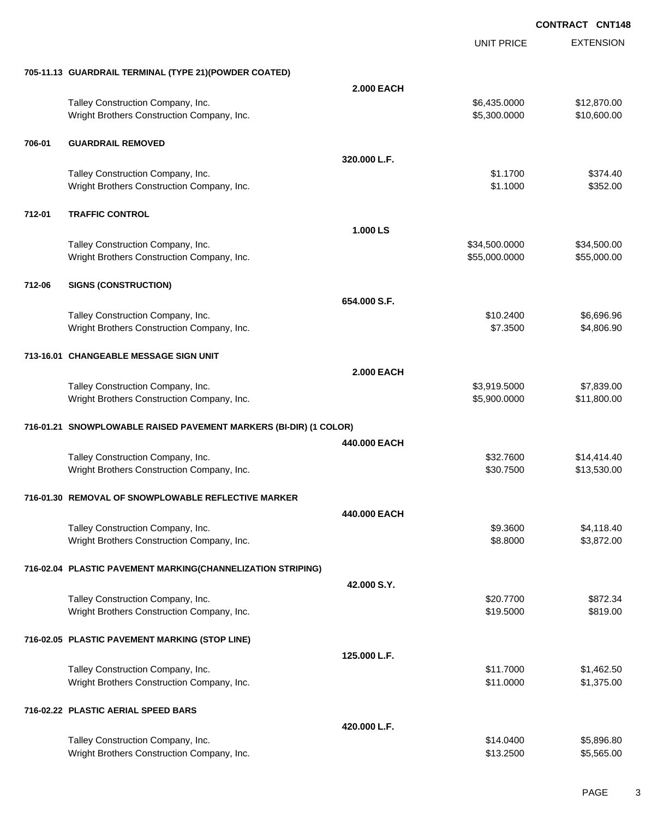|        |                                                                   |                   | <b>UNIT PRICE</b> | <b>EXTENSION</b> |
|--------|-------------------------------------------------------------------|-------------------|-------------------|------------------|
|        | 705-11.13 GUARDRAIL TERMINAL (TYPE 21)(POWDER COATED)             |                   |                   |                  |
|        |                                                                   | <b>2.000 EACH</b> |                   |                  |
|        | Talley Construction Company, Inc.                                 |                   | \$6,435.0000      | \$12,870.00      |
|        | Wright Brothers Construction Company, Inc.                        |                   | \$5,300.0000      | \$10,600.00      |
| 706-01 | <b>GUARDRAIL REMOVED</b>                                          |                   |                   |                  |
|        |                                                                   | 320,000 L.F.      |                   |                  |
|        | Talley Construction Company, Inc.                                 |                   | \$1.1700          | \$374.40         |
|        | Wright Brothers Construction Company, Inc.                        |                   | \$1.1000          | \$352.00         |
| 712-01 | <b>TRAFFIC CONTROL</b>                                            |                   |                   |                  |
|        |                                                                   | 1.000 LS          |                   |                  |
|        | Talley Construction Company, Inc.                                 |                   | \$34,500.0000     | \$34,500.00      |
|        | Wright Brothers Construction Company, Inc.                        |                   | \$55,000.0000     | \$55,000.00      |
| 712-06 | <b>SIGNS (CONSTRUCTION)</b>                                       |                   |                   |                  |
|        |                                                                   | 654.000 S.F.      |                   |                  |
|        | Talley Construction Company, Inc.                                 |                   | \$10.2400         | \$6,696.96       |
|        | Wright Brothers Construction Company, Inc.                        |                   | \$7.3500          | \$4,806.90       |
|        | 713-16.01 CHANGEABLE MESSAGE SIGN UNIT                            |                   |                   |                  |
|        |                                                                   | <b>2.000 EACH</b> |                   |                  |
|        | Talley Construction Company, Inc.                                 |                   | \$3,919.5000      | \$7,839.00       |
|        | Wright Brothers Construction Company, Inc.                        |                   | \$5,900.0000      | \$11,800.00      |
|        | 716-01.21 SNOWPLOWABLE RAISED PAVEMENT MARKERS (BI-DIR) (1 COLOR) |                   |                   |                  |
|        |                                                                   | 440,000 EACH      |                   |                  |
|        | Talley Construction Company, Inc.                                 |                   | \$32.7600         | \$14,414.40      |
|        | Wright Brothers Construction Company, Inc.                        |                   | \$30.7500         | \$13,530.00      |
|        | 716-01.30   REMOVAL OF SNOWPLOWABLE REFLECTIVE MARKER             |                   |                   |                  |
|        |                                                                   | 440.000 EACH      |                   |                  |
|        | Talley Construction Company, Inc.                                 |                   | \$9.3600          | \$4,118.40       |
|        | Wright Brothers Construction Company, Inc.                        |                   | \$8.8000          | \$3,872.00       |
|        | 716-02.04 PLASTIC PAVEMENT MARKING(CHANNELIZATION STRIPING)       |                   |                   |                  |
|        |                                                                   | 42.000 S.Y.       |                   |                  |
|        | Talley Construction Company, Inc.                                 |                   | \$20.7700         | \$872.34         |
|        | Wright Brothers Construction Company, Inc.                        |                   | \$19.5000         | \$819.00         |
|        | 716-02.05 PLASTIC PAVEMENT MARKING (STOP LINE)                    |                   |                   |                  |
|        |                                                                   | 125.000 L.F.      |                   |                  |
|        | Talley Construction Company, Inc.                                 |                   | \$11.7000         | \$1,462.50       |
|        | Wright Brothers Construction Company, Inc.                        |                   | \$11.0000         | \$1,375.00       |
|        | 716-02.22 PLASTIC AERIAL SPEED BARS                               |                   |                   |                  |
|        |                                                                   | 420,000 L.F.      |                   |                  |
|        | Talley Construction Company, Inc.                                 |                   | \$14.0400         | \$5,896.80       |
|        | Wright Brothers Construction Company, Inc.                        |                   | \$13.2500         | \$5,565.00       |
|        |                                                                   |                   |                   |                  |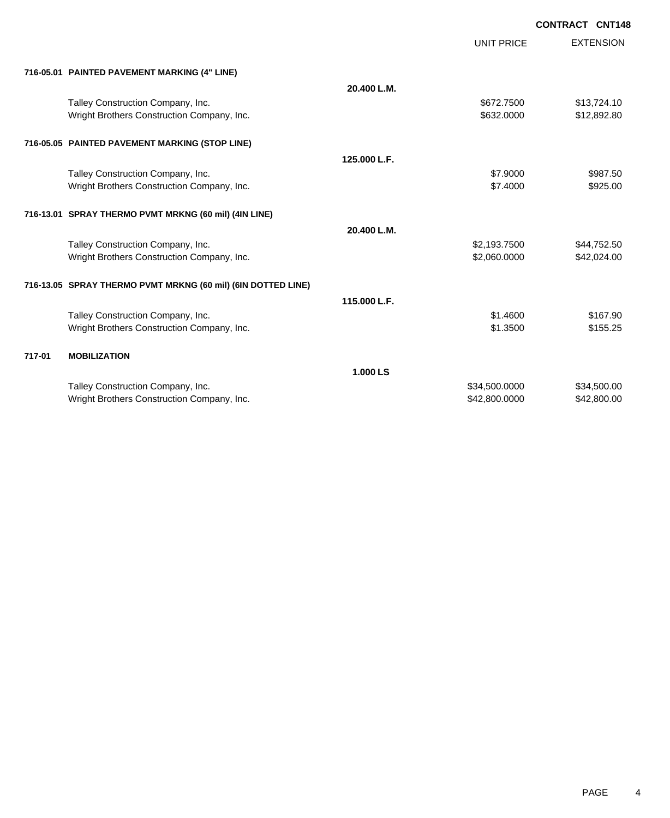|        |                                                              | UNIT PRICE    | <b>EXTENSION</b> |
|--------|--------------------------------------------------------------|---------------|------------------|
|        | 716-05.01 PAINTED PAVEMENT MARKING (4" LINE)                 |               |                  |
|        | 20.400 L.M.                                                  |               |                  |
|        | Talley Construction Company, Inc.                            | \$672.7500    | \$13,724.10      |
|        | Wright Brothers Construction Company, Inc.                   | \$632.0000    | \$12,892.80      |
|        | 716-05.05 PAINTED PAVEMENT MARKING (STOP LINE)               |               |                  |
|        | 125,000 L.F.                                                 |               |                  |
|        | Talley Construction Company, Inc.                            | \$7.9000      | \$987.50         |
|        | Wright Brothers Construction Company, Inc.                   | \$7,4000      | \$925.00         |
|        | 716-13.01 SPRAY THERMO PVMT MRKNG (60 mil) (4IN LINE)        |               |                  |
|        | 20.400 L.M.                                                  |               |                  |
|        | Talley Construction Company, Inc.                            | \$2,193.7500  | \$44,752.50      |
|        | Wright Brothers Construction Company, Inc.                   | \$2,060.0000  | \$42,024.00      |
|        | 716-13.05 SPRAY THERMO PVMT MRKNG (60 mil) (6IN DOTTED LINE) |               |                  |
|        | 115.000 L.F.                                                 |               |                  |
|        | Talley Construction Company, Inc.                            | \$1,4600      | \$167.90         |
|        | Wright Brothers Construction Company, Inc.                   | \$1.3500      | \$155.25         |
| 717-01 | <b>MOBILIZATION</b>                                          |               |                  |
|        | 1.000 LS                                                     |               |                  |
|        | Talley Construction Company, Inc.                            | \$34,500.0000 | \$34,500.00      |
|        | Wright Brothers Construction Company, Inc.                   | \$42,800.0000 | \$42,800.00      |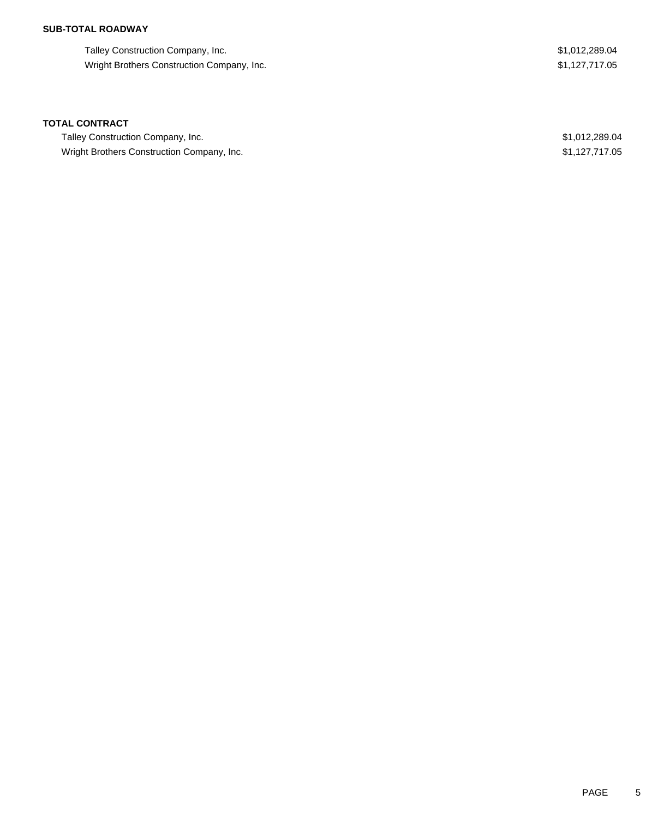Talley Construction Company, Inc. 6. The state of the state of the state of the state of the state of the state of the state of the state of the state of the state of the state of the state of the state of the state of the Wright Brothers Construction Company, Inc. 61,127,717.05

#### **TOTAL CONTRACT**

Talley Construction Company, Inc. 6. The state of the state of the state of the state of the state of the state of the state of the state of the state of the state of the state of the state of the state of the state of the Wright Brothers Construction Company, Inc. 6. The State of the State of the State of State of State of State of State of State of State of State of State of State of State of State of State of State of State of State of St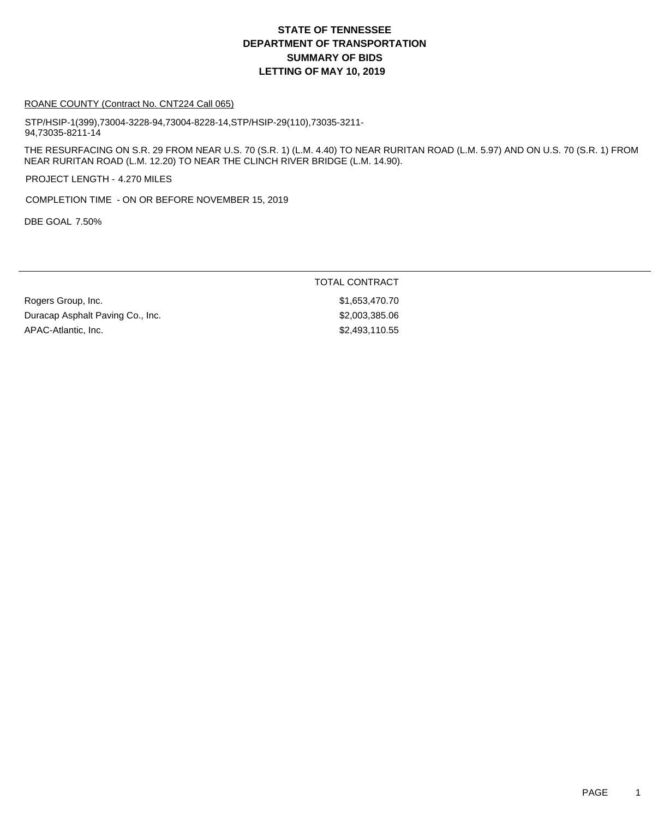#### ROANE COUNTY (Contract No. CNT224 Call 065)

STP/HSIP-1(399),73004-3228-94,73004-8228-14,STP/HSIP-29(110),73035-3211- 94,73035-8211-14

THE RESURFACING ON S.R. 29 FROM NEAR U.S. 70 (S.R. 1) (L.M. 4.40) TO NEAR RURITAN ROAD (L.M. 5.97) AND ON U.S. 70 (S.R. 1) FROM NEAR RURITAN ROAD (L.M. 12.20) TO NEAR THE CLINCH RIVER BRIDGE (L.M. 14.90).

PROJECT LENGTH - 4.270 MILES

COMPLETION TIME - ON OR BEFORE NOVEMBER 15, 2019

DBE GOAL 7.50%

#### TOTAL CONTRACT

Rogers Group, Inc. 6. 2010 11:30 12:31 12:32 12:33 1.653,470.70 Duracap Asphalt Paving Co., Inc. 6. \$2,003,385.06 APAC-Atlantic, Inc. 62,493,110.55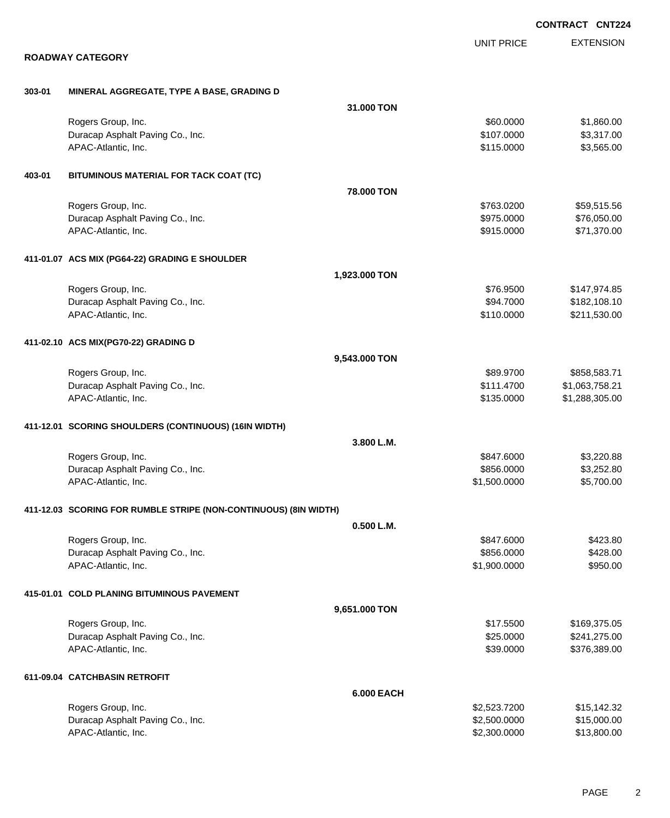|        |                                                                  |                   |              | <b>CONTRACT CNT22</b> |
|--------|------------------------------------------------------------------|-------------------|--------------|-----------------------|
|        |                                                                  |                   | UNIT PRICE   | <b>EXTENSION</b>      |
|        | <b>ROADWAY CATEGORY</b>                                          |                   |              |                       |
| 303-01 | MINERAL AGGREGATE, TYPE A BASE, GRADING D                        |                   |              |                       |
|        |                                                                  | 31.000 TON        |              |                       |
|        | Rogers Group, Inc.                                               |                   | \$60.0000    | \$1,860.00            |
|        | Duracap Asphalt Paving Co., Inc.                                 |                   | \$107.0000   | \$3,317.00            |
|        | APAC-Atlantic, Inc.                                              |                   | \$115.0000   | \$3,565.00            |
| 403-01 | BITUMINOUS MATERIAL FOR TACK COAT (TC)                           |                   |              |                       |
|        |                                                                  | 78.000 TON        |              |                       |
|        | Rogers Group, Inc.                                               |                   | \$763.0200   | \$59,515.56           |
|        | Duracap Asphalt Paving Co., Inc.                                 |                   | \$975.0000   | \$76,050.00           |
|        | APAC-Atlantic, Inc.                                              |                   | \$915.0000   | \$71,370.00           |
|        | 411-01.07 ACS MIX (PG64-22) GRADING E SHOULDER                   |                   |              |                       |
|        |                                                                  | 1,923.000 TON     |              |                       |
|        | Rogers Group, Inc.                                               |                   | \$76.9500    | \$147,974.85          |
|        | Duracap Asphalt Paving Co., Inc.                                 |                   | \$94.7000    | \$182,108.10          |
|        | APAC-Atlantic, Inc.                                              |                   | \$110.0000   | \$211,530.00          |
|        | 411-02.10 ACS MIX(PG70-22) GRADING D                             |                   |              |                       |
|        |                                                                  | 9,543.000 TON     |              |                       |
|        | Rogers Group, Inc.                                               |                   | \$89.9700    | \$858,583.71          |
|        | Duracap Asphalt Paving Co., Inc.                                 |                   | \$111.4700   | \$1,063,758.21        |
|        | APAC-Atlantic, Inc.                                              |                   | \$135.0000   | \$1,288,305.00        |
|        | 411-12.01 SCORING SHOULDERS (CONTINUOUS) (16IN WIDTH)            |                   |              |                       |
|        |                                                                  | 3.800 L.M.        |              |                       |
|        | Rogers Group, Inc.                                               |                   | \$847.6000   | \$3,220.88            |
|        | Duracap Asphalt Paving Co., Inc.                                 |                   | \$856.0000   | \$3,252.80            |
|        | APAC-Atlantic, Inc.                                              |                   | \$1,500.0000 | \$5,700.00            |
|        | 411-12.03 SCORING FOR RUMBLE STRIPE (NON-CONTINUOUS) (8IN WIDTH) |                   |              |                       |
|        |                                                                  | 0.500 L.M.        |              |                       |
|        | Rogers Group, Inc.                                               |                   | \$847.6000   | \$423.80              |
|        | Duracap Asphalt Paving Co., Inc.                                 |                   | \$856.0000   | \$428.00              |
|        | APAC-Atlantic, Inc.                                              |                   | \$1,900.0000 | \$950.00              |
|        | 415-01.01 COLD PLANING BITUMINOUS PAVEMENT                       |                   |              |                       |
|        |                                                                  | 9,651.000 TON     |              |                       |
|        | Rogers Group, Inc.                                               |                   | \$17.5500    | \$169,375.05          |
|        | Duracap Asphalt Paving Co., Inc.                                 |                   | \$25.0000    | \$241,275.00          |
|        | APAC-Atlantic, Inc.                                              |                   | \$39.0000    | \$376,389.00          |
|        | 611-09.04 CATCHBASIN RETROFIT                                    |                   |              |                       |
|        |                                                                  | <b>6.000 EACH</b> |              |                       |
|        | Rogers Group, Inc.                                               |                   | \$2,523.7200 | \$15,142.32           |
|        | Duracap Asphalt Paving Co., Inc.                                 |                   | \$2,500.0000 | \$15,000.00           |
|        | APAC-Atlantic, Inc.                                              |                   | \$2,300.0000 | \$13,800.00           |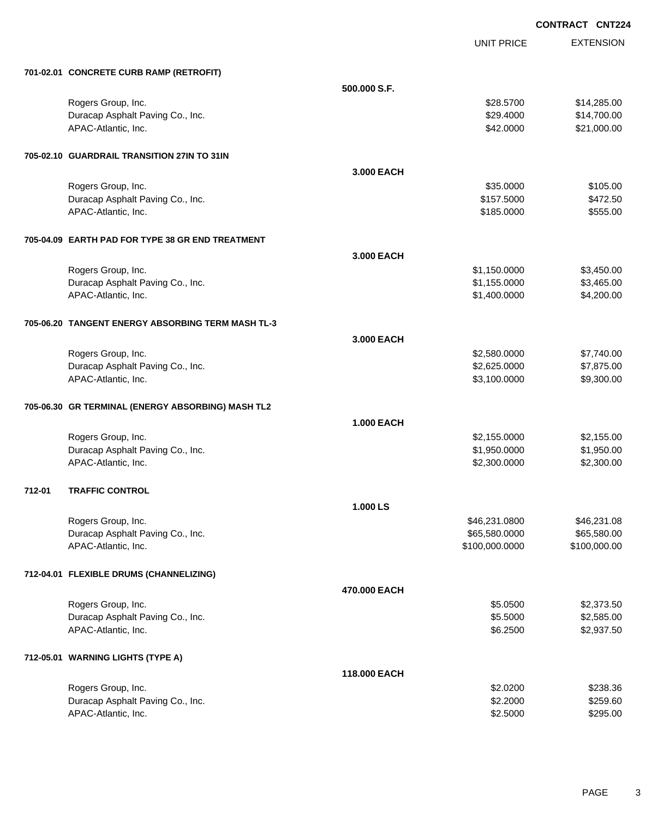UNIT PRICE EXTENSION

|        | 701-02.01 CONCRETE CURB RAMP (RETROFIT)           |                   |                |              |
|--------|---------------------------------------------------|-------------------|----------------|--------------|
|        |                                                   | 500,000 S.F.      |                |              |
|        | Rogers Group, Inc.                                |                   | \$28.5700      | \$14,285.00  |
|        | Duracap Asphalt Paving Co., Inc.                  |                   | \$29.4000      | \$14,700.00  |
|        | APAC-Atlantic, Inc.                               |                   | \$42.0000      | \$21,000.00  |
|        | 705-02.10 GUARDRAIL TRANSITION 27IN TO 31IN       |                   |                |              |
|        |                                                   | 3.000 EACH        |                |              |
|        | Rogers Group, Inc.                                |                   | \$35.0000      | \$105.00     |
|        | Duracap Asphalt Paving Co., Inc.                  |                   | \$157.5000     | \$472.50     |
|        | APAC-Atlantic, Inc.                               |                   | \$185.0000     | \$555.00     |
|        | 705-04.09 EARTH PAD FOR TYPE 38 GR END TREATMENT  |                   |                |              |
|        |                                                   | 3.000 EACH        |                |              |
|        | Rogers Group, Inc.                                |                   | \$1,150.0000   | \$3,450.00   |
|        | Duracap Asphalt Paving Co., Inc.                  |                   | \$1,155.0000   | \$3,465.00   |
|        | APAC-Atlantic, Inc.                               |                   | \$1,400.0000   | \$4,200.00   |
|        | 705-06.20 TANGENT ENERGY ABSORBING TERM MASH TL-3 |                   |                |              |
|        |                                                   | 3.000 EACH        |                |              |
|        | Rogers Group, Inc.                                |                   | \$2,580.0000   | \$7,740.00   |
|        | Duracap Asphalt Paving Co., Inc.                  |                   | \$2,625.0000   | \$7,875.00   |
|        | APAC-Atlantic, Inc.                               |                   | \$3,100.0000   | \$9,300.00   |
|        | 705-06.30 GR TERMINAL (ENERGY ABSORBING) MASH TL2 |                   |                |              |
|        |                                                   | <b>1.000 EACH</b> |                |              |
|        | Rogers Group, Inc.                                |                   | \$2,155.0000   | \$2,155.00   |
|        | Duracap Asphalt Paving Co., Inc.                  |                   | \$1,950.0000   | \$1,950.00   |
|        | APAC-Atlantic, Inc.                               |                   | \$2,300.0000   | \$2,300.00   |
| 712-01 | <b>TRAFFIC CONTROL</b>                            |                   |                |              |
|        |                                                   | 1.000 LS          |                |              |
|        | Rogers Group, Inc.                                |                   | \$46,231.0800  | \$46,231.08  |
|        | Duracap Asphalt Paving Co., Inc.                  |                   | \$65,580.0000  | \$65,580.00  |
|        | APAC-Atlantic, Inc.                               |                   | \$100,000.0000 | \$100,000.00 |
|        | 712-04.01 FLEXIBLE DRUMS (CHANNELIZING)           |                   |                |              |
|        |                                                   | 470.000 EACH      |                |              |
|        | Rogers Group, Inc.                                |                   | \$5.0500       | \$2,373.50   |
|        | Duracap Asphalt Paving Co., Inc.                  |                   | \$5.5000       | \$2,585.00   |
|        | APAC-Atlantic, Inc.                               |                   | \$6.2500       | \$2,937.50   |
|        | 712-05.01 WARNING LIGHTS (TYPE A)                 |                   |                |              |
|        |                                                   | 118.000 EACH      |                |              |
|        | Rogers Group, Inc.                                |                   | \$2.0200       | \$238.36     |
|        | Duracap Asphalt Paving Co., Inc.                  |                   | \$2.2000       | \$259.60     |
|        | APAC-Atlantic, Inc.                               |                   | \$2.5000       | \$295.00     |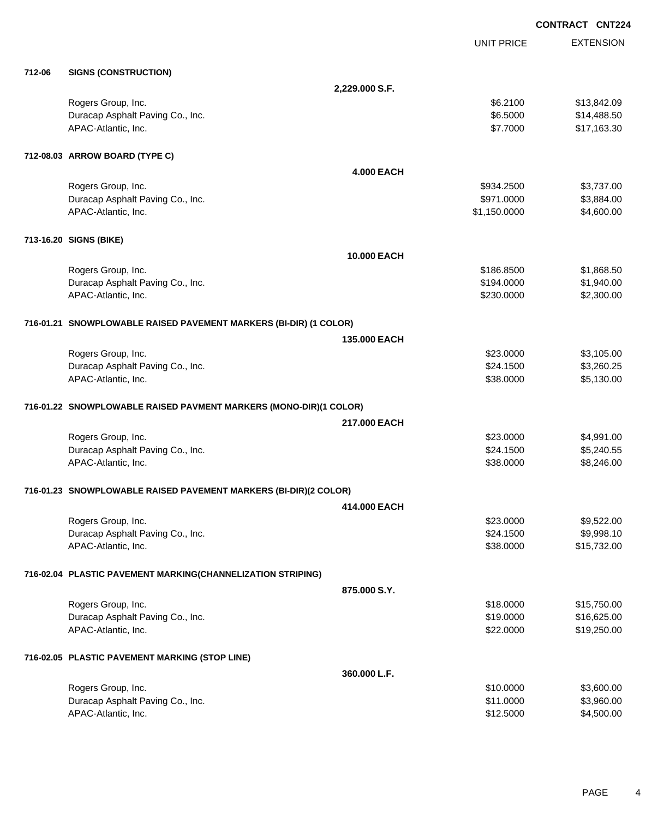|        |                                                                   |                    |                   | <b>CONTRACT CNT224</b> |
|--------|-------------------------------------------------------------------|--------------------|-------------------|------------------------|
|        |                                                                   |                    | <b>UNIT PRICE</b> | <b>EXTENSION</b>       |
| 712-06 | <b>SIGNS (CONSTRUCTION)</b>                                       |                    |                   |                        |
|        |                                                                   | 2,229.000 S.F.     |                   |                        |
|        | Rogers Group, Inc.                                                |                    | \$6.2100          | \$13,842.09            |
|        | Duracap Asphalt Paving Co., Inc.                                  |                    | \$6.5000          | \$14,488.50            |
|        | APAC-Atlantic, Inc.                                               |                    | \$7.7000          | \$17,163.30            |
|        | 712-08.03 ARROW BOARD (TYPE C)                                    |                    |                   |                        |
|        |                                                                   | <b>4.000 EACH</b>  |                   |                        |
|        | Rogers Group, Inc.                                                |                    | \$934.2500        | \$3,737.00             |
|        | Duracap Asphalt Paving Co., Inc.                                  |                    | \$971.0000        | \$3,884.00             |
|        | APAC-Atlantic, Inc.                                               |                    | \$1,150.0000      | \$4,600.00             |
|        | 713-16.20 SIGNS (BIKE)                                            |                    |                   |                        |
|        |                                                                   | <b>10.000 EACH</b> |                   |                        |
|        | Rogers Group, Inc.                                                |                    | \$186.8500        | \$1,868.50             |
|        | Duracap Asphalt Paving Co., Inc.                                  |                    | \$194.0000        | \$1,940.00             |
|        | APAC-Atlantic, Inc.                                               |                    | \$230.0000        | \$2,300.00             |
|        | 716-01.21 SNOWPLOWABLE RAISED PAVEMENT MARKERS (BI-DIR) (1 COLOR) |                    |                   |                        |
|        |                                                                   | 135,000 EACH       |                   |                        |
|        | Rogers Group, Inc.                                                |                    | \$23.0000         | \$3,105.00             |
|        | Duracap Asphalt Paving Co., Inc.                                  |                    | \$24.1500         | \$3,260.25             |
|        | APAC-Atlantic, Inc.                                               |                    | \$38.0000         | \$5,130.00             |
|        | 716-01.22 SNOWPLOWABLE RAISED PAVMENT MARKERS (MONO-DIR)(1 COLOR) |                    |                   |                        |
|        |                                                                   | 217,000 EACH       |                   |                        |
|        | Rogers Group, Inc.                                                |                    | \$23.0000         | \$4,991.00             |
|        | Duracap Asphalt Paving Co., Inc.                                  |                    | \$24.1500         | \$5,240.55             |
|        | APAC-Atlantic, Inc.                                               |                    | \$38,0000         | \$8,246.00             |
|        | 716-01.23 SNOWPLOWABLE RAISED PAVEMENT MARKERS (BI-DIR)(2 COLOR)  |                    |                   |                        |
|        |                                                                   | 414.000 EACH       |                   |                        |
|        | Rogers Group, Inc.                                                |                    | \$23.0000         | \$9,522.00             |
|        | Duracap Asphalt Paving Co., Inc.                                  |                    | \$24.1500         | \$9,998.10             |
|        | APAC-Atlantic, Inc.                                               |                    | \$38.0000         | \$15,732.00            |
|        | 716-02.04 PLASTIC PAVEMENT MARKING(CHANNELIZATION STRIPING)       |                    |                   |                        |
|        |                                                                   | 875.000 S.Y.       |                   |                        |
|        | Rogers Group, Inc.                                                |                    | \$18.0000         | \$15,750.00            |
|        | Duracap Asphalt Paving Co., Inc.                                  |                    | \$19.0000         | \$16,625.00            |
|        | APAC-Atlantic, Inc.                                               |                    | \$22.0000         | \$19,250.00            |
|        | 716-02.05 PLASTIC PAVEMENT MARKING (STOP LINE)                    |                    |                   |                        |
|        |                                                                   | 360.000 L.F.       |                   |                        |
|        | Rogers Group, Inc.                                                |                    | \$10.0000         | \$3,600.00             |
|        | Duracap Asphalt Paving Co., Inc.                                  |                    | \$11.0000         | \$3,960.00             |
|        | APAC-Atlantic, Inc.                                               |                    | \$12.5000         | \$4,500.00             |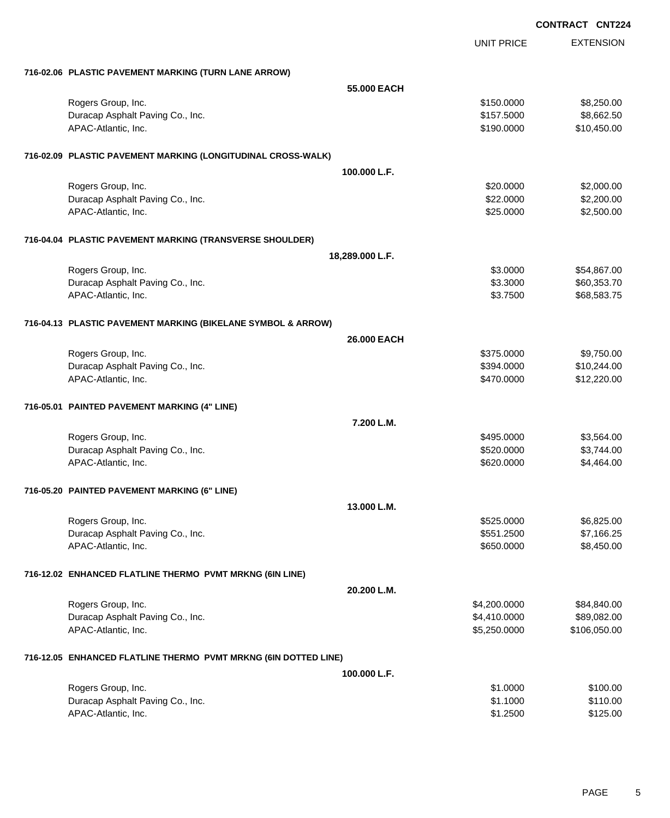|                                                                 |                 |                   | <b>CONTRACT CNT224</b> |
|-----------------------------------------------------------------|-----------------|-------------------|------------------------|
|                                                                 |                 | <b>UNIT PRICE</b> | <b>EXTENSION</b>       |
| 716-02.06 PLASTIC PAVEMENT MARKING (TURN LANE ARROW)            |                 |                   |                        |
|                                                                 | 55.000 EACH     |                   |                        |
| Rogers Group, Inc.                                              |                 | \$150.0000        | \$8,250.00             |
| Duracap Asphalt Paving Co., Inc.                                |                 | \$157.5000        | \$8,662.50             |
| APAC-Atlantic, Inc.                                             |                 | \$190.0000        | \$10,450.00            |
| 716-02.09 PLASTIC PAVEMENT MARKING (LONGITUDINAL CROSS-WALK)    |                 |                   |                        |
|                                                                 | 100.000 L.F.    |                   |                        |
| Rogers Group, Inc.                                              |                 | \$20.0000         | \$2,000.00             |
| Duracap Asphalt Paving Co., Inc.                                |                 | \$22.0000         | \$2,200.00             |
| APAC-Atlantic, Inc.                                             |                 | \$25.0000         | \$2,500.00             |
| 716-04.04 PLASTIC PAVEMENT MARKING (TRANSVERSE SHOULDER)        |                 |                   |                        |
|                                                                 | 18,289.000 L.F. |                   |                        |
| Rogers Group, Inc.                                              |                 | \$3.0000          | \$54,867.00            |
| Duracap Asphalt Paving Co., Inc.                                |                 | \$3.3000          | \$60,353.70            |
| APAC-Atlantic, Inc.                                             |                 | \$3.7500          | \$68,583.75            |
| 716-04.13 PLASTIC PAVEMENT MARKING (BIKELANE SYMBOL & ARROW)    |                 |                   |                        |
|                                                                 | 26,000 EACH     |                   |                        |
| Rogers Group, Inc.                                              |                 | \$375.0000        | \$9,750.00             |
| Duracap Asphalt Paving Co., Inc.                                |                 | \$394.0000        | \$10,244.00            |
| APAC-Atlantic, Inc.                                             |                 | \$470.0000        | \$12,220.00            |
| 716-05.01 PAINTED PAVEMENT MARKING (4" LINE)                    |                 |                   |                        |
|                                                                 | 7.200 L.M.      |                   |                        |
| Rogers Group, Inc.                                              |                 | \$495.0000        | \$3,564.00             |
| Duracap Asphalt Paving Co., Inc.                                |                 | \$520.0000        | \$3,744.00             |
| APAC-Atlantic, Inc.                                             |                 | \$620.0000        | \$4,464.00             |
| 716-05.20 PAINTED PAVEMENT MARKING (6" LINE)                    |                 |                   |                        |
|                                                                 | 13.000 L.M.     |                   |                        |
| Rogers Group, Inc.                                              |                 | \$525.0000        | \$6,825.00             |
| Duracap Asphalt Paving Co., Inc.                                |                 | \$551.2500        | \$7,166.25             |
| APAC-Atlantic, Inc.                                             |                 | \$650.0000        | \$8,450.00             |
| 716-12.02 ENHANCED FLATLINE THERMO PVMT MRKNG (6IN LINE)        |                 |                   |                        |
|                                                                 | 20.200 L.M.     |                   |                        |
| Rogers Group, Inc.                                              |                 | \$4,200.0000      | \$84,840.00            |
| Duracap Asphalt Paving Co., Inc.                                |                 | \$4,410.0000      | \$89,082.00            |
| APAC-Atlantic, Inc.                                             |                 | \$5,250.0000      | \$106,050.00           |
| 716-12.05 ENHANCED FLATLINE THERMO PVMT MRKNG (6IN DOTTED LINE) |                 |                   |                        |

| 100.000 L.F.                     |          |          |
|----------------------------------|----------|----------|
| Rogers Group, Inc.               | \$1,0000 | \$100.00 |
| Duracap Asphalt Paving Co., Inc. | \$1,1000 | \$110.00 |
| APAC-Atlantic, Inc.              | \$1,2500 | \$125.00 |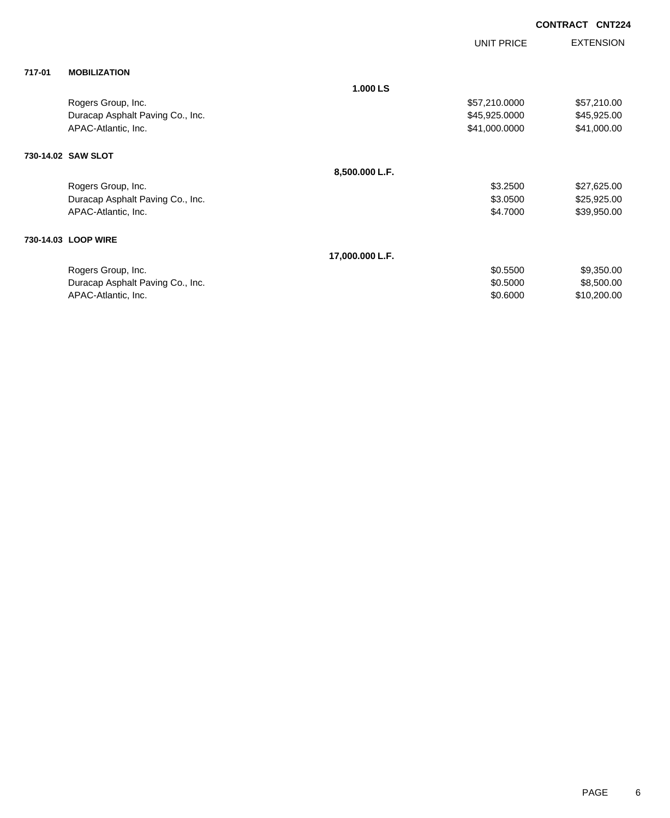|        |                                  |                 | <b>UNIT PRICE</b> | <b>EXTENSION</b> |
|--------|----------------------------------|-----------------|-------------------|------------------|
| 717-01 | <b>MOBILIZATION</b>              |                 |                   |                  |
|        |                                  | 1.000 LS        |                   |                  |
|        | Rogers Group, Inc.               |                 | \$57,210.0000     | \$57,210.00      |
|        | Duracap Asphalt Paving Co., Inc. |                 | \$45,925.0000     | \$45,925.00      |
|        | APAC-Atlantic, Inc.              |                 | \$41,000.0000     | \$41,000.00      |
|        | 730-14.02 SAW SLOT               |                 |                   |                  |
|        |                                  | 8,500.000 L.F.  |                   |                  |
|        | Rogers Group, Inc.               |                 | \$3.2500          | \$27,625.00      |
|        | Duracap Asphalt Paving Co., Inc. |                 | \$3.0500          | \$25,925.00      |
|        | APAC-Atlantic, Inc.              |                 | \$4.7000          | \$39,950.00      |
|        | 730-14.03 LOOP WIRE              |                 |                   |                  |
|        |                                  | 17,000.000 L.F. |                   |                  |
|        | Rogers Group, Inc.               |                 | \$0.5500          | \$9,350.00       |
|        | Duracap Asphalt Paving Co., Inc. |                 | \$0.5000          | \$8,500.00       |
|        | APAC-Atlantic, Inc.              |                 | \$0.6000          | \$10,200.00      |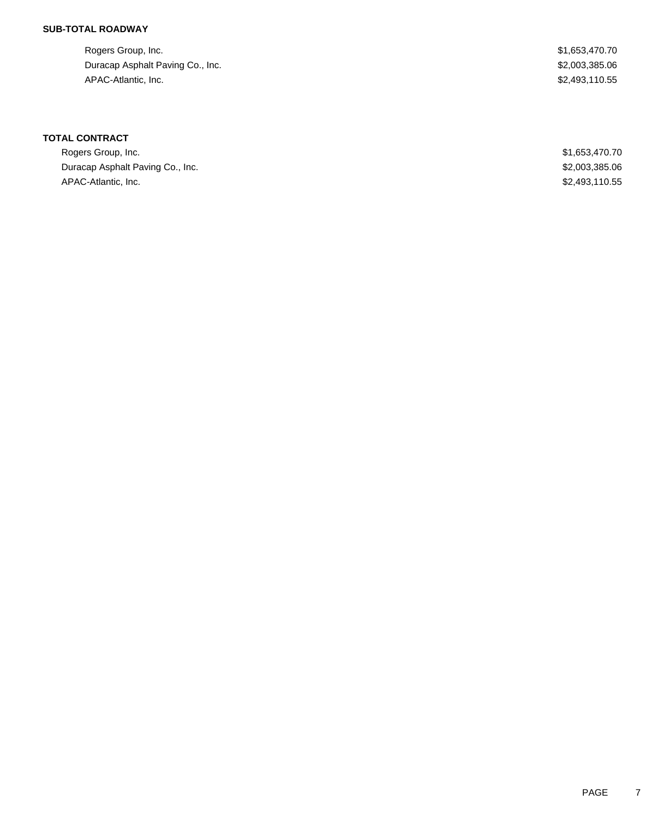Rogers Group, Inc. \$1,653,470.70 Duracap Asphalt Paving Co., Inc. 6. 2003, 2003, 2006 19:30 19:30 19:30 19:30 19:30 19:30 19:30 19:30 19:30 19:30 APAC-Atlantic, Inc. \$2,493,110.55

| Rogers Group, Inc.               | \$1,653,470.70 |
|----------------------------------|----------------|
| Duracap Asphalt Paving Co., Inc. | \$2,003,385.06 |
| APAC-Atlantic, Inc.              | \$2,493,110.55 |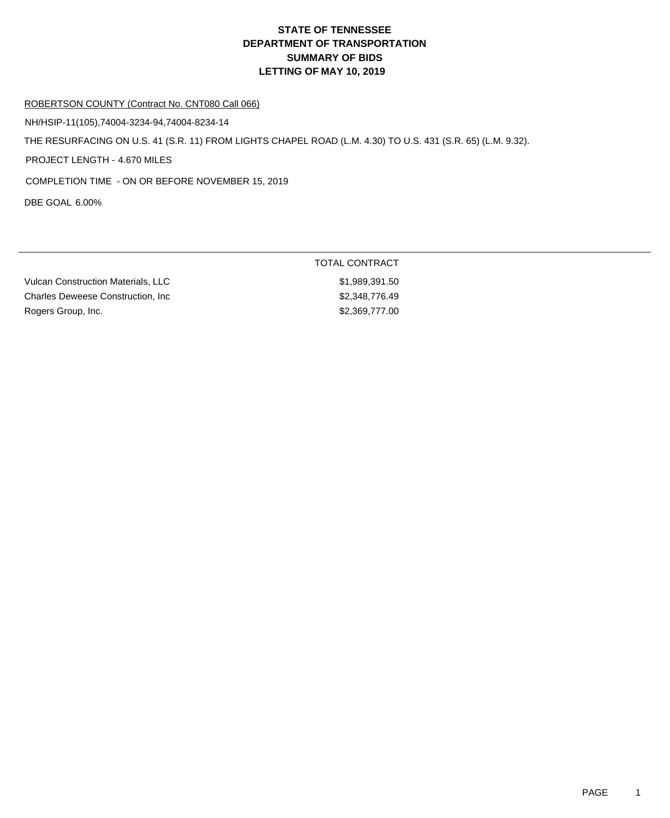#### ROBERTSON COUNTY (Contract No. CNT080 Call 066)

NH/HSIP-11(105),74004-3234-94,74004-8234-14

THE RESURFACING ON U.S. 41 (S.R. 11) FROM LIGHTS CHAPEL ROAD (L.M. 4.30) TO U.S. 431 (S.R. 65) (L.M. 9.32).

PROJECT LENGTH - 4.670 MILES

COMPLETION TIME - ON OR BEFORE NOVEMBER 15, 2019

DBE GOAL 6.00%

| <b>Vulcan Construction Materials, LLC</b> | \$1,989,391.50 |
|-------------------------------------------|----------------|
| <b>Charles Deweese Construction. Inc.</b> | \$2,348,776,49 |
| Rogers Group, Inc.                        | \$2,369,777,00 |

TOTAL CONTRACT  $$1,989,391.50$  $$2,348,776.49$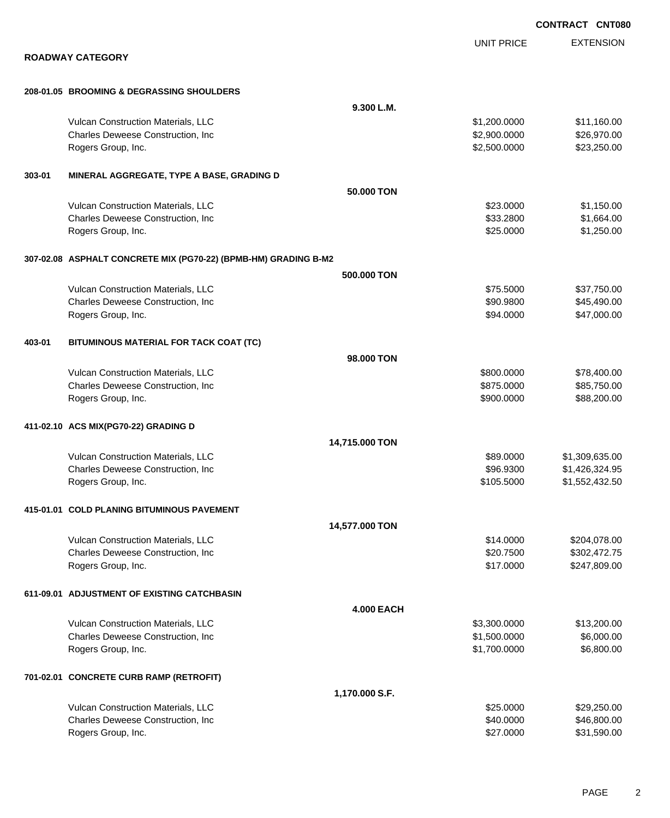|        |                                                                 |                   |                              | <b>CONTRACT CNT080</b> |
|--------|-----------------------------------------------------------------|-------------------|------------------------------|------------------------|
|        |                                                                 |                   | <b>UNIT PRICE</b>            | <b>EXTENSION</b>       |
|        | <b>ROADWAY CATEGORY</b>                                         |                   |                              |                        |
|        |                                                                 |                   |                              |                        |
|        | 208-01.05 BROOMING & DEGRASSING SHOULDERS                       |                   |                              |                        |
|        |                                                                 | 9.300 L.M.        |                              |                        |
|        | Vulcan Construction Materials, LLC                              |                   | \$1,200.0000                 | \$11,160.00            |
|        | Charles Deweese Construction, Inc                               |                   | \$2,900.0000<br>\$2,500.0000 | \$26,970.00            |
|        | Rogers Group, Inc.                                              |                   |                              | \$23,250.00            |
| 303-01 | MINERAL AGGREGATE, TYPE A BASE, GRADING D                       |                   |                              |                        |
|        |                                                                 | 50.000 TON        |                              |                        |
|        | Vulcan Construction Materials, LLC                              |                   | \$23.0000                    | \$1,150.00             |
|        | Charles Deweese Construction, Inc                               |                   | \$33.2800                    | \$1,664.00             |
|        | Rogers Group, Inc.                                              |                   | \$25.0000                    | \$1,250.00             |
|        | 307-02.08 ASPHALT CONCRETE MIX (PG70-22) (BPMB-HM) GRADING B-M2 |                   |                              |                        |
|        |                                                                 | 500,000 TON       |                              |                        |
|        | Vulcan Construction Materials, LLC                              |                   | \$75.5000                    | \$37,750.00            |
|        | Charles Deweese Construction, Inc                               |                   | \$90.9800                    | \$45,490.00            |
|        | Rogers Group, Inc.                                              |                   | \$94.0000                    | \$47,000.00            |
| 403-01 | BITUMINOUS MATERIAL FOR TACK COAT (TC)                          |                   |                              |                        |
|        |                                                                 | 98,000 TON        |                              |                        |
|        | Vulcan Construction Materials, LLC                              |                   | \$800.0000                   | \$78,400.00            |
|        | Charles Deweese Construction, Inc                               |                   | \$875.0000                   | \$85,750.00            |
|        | Rogers Group, Inc.                                              |                   | \$900.0000                   | \$88,200.00            |
|        | 411-02.10 ACS MIX(PG70-22) GRADING D                            |                   |                              |                        |
|        |                                                                 | 14,715.000 TON    |                              |                        |
|        | Vulcan Construction Materials, LLC                              |                   | \$89.0000                    | \$1,309,635.00         |
|        | <b>Charles Deweese Construction, Inc.</b>                       |                   | \$96,9300                    | \$1,426,324.95         |
|        | Rogers Group, Inc.                                              |                   | \$105.5000                   | \$1,552,432.50         |
|        | 415-01.01 COLD PLANING BITUMINOUS PAVEMENT                      |                   |                              |                        |
|        |                                                                 | 14,577.000 TON    |                              |                        |
|        | Vulcan Construction Materials, LLC                              |                   | \$14.0000                    | \$204,078.00           |
|        | Charles Deweese Construction, Inc                               |                   | \$20.7500                    | \$302,472.75           |
|        | Rogers Group, Inc.                                              |                   | \$17.0000                    | \$247,809.00           |
|        | 611-09.01 ADJUSTMENT OF EXISTING CATCHBASIN                     |                   |                              |                        |
|        |                                                                 | <b>4.000 EACH</b> |                              |                        |
|        | Vulcan Construction Materials, LLC                              |                   | \$3,300.0000                 | \$13,200.00            |
|        | Charles Deweese Construction, Inc                               |                   | \$1,500.0000                 | \$6,000.00             |
|        | Rogers Group, Inc.                                              |                   | \$1,700.0000                 | \$6,800.00             |
|        | 701-02.01 CONCRETE CURB RAMP (RETROFIT)                         |                   |                              |                        |
|        |                                                                 | 1,170.000 S.F.    |                              |                        |
|        | Vulcan Construction Materials, LLC                              |                   | \$25.0000                    | \$29,250.00            |
|        | Charles Deweese Construction, Inc                               |                   | \$40.0000                    | \$46,800.00            |
|        | Rogers Group, Inc.                                              |                   | \$27.0000                    | \$31,590.00            |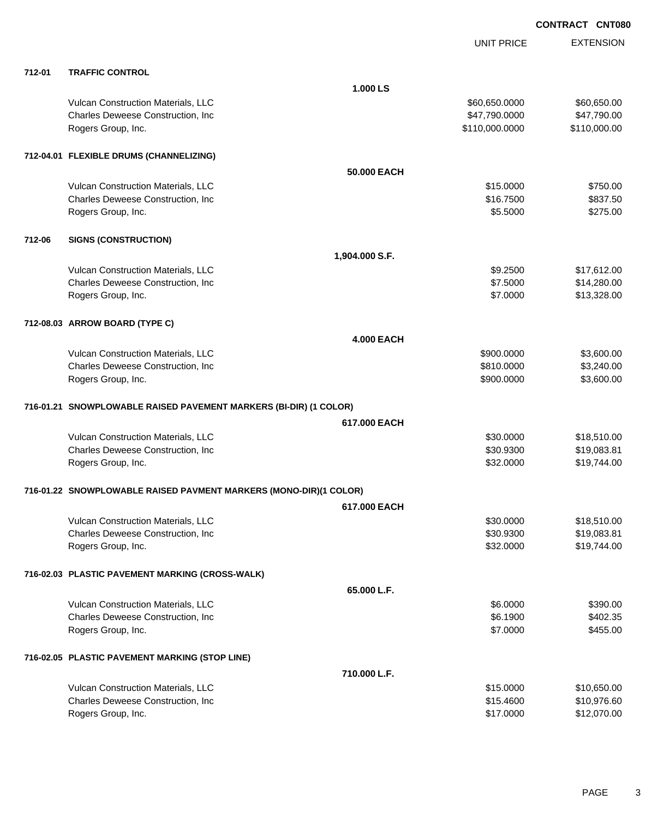|        |                                                                   |                   | <b>UNIT PRICE</b> | <b>EXTENSION</b> |
|--------|-------------------------------------------------------------------|-------------------|-------------------|------------------|
| 712-01 | <b>TRAFFIC CONTROL</b>                                            |                   |                   |                  |
|        |                                                                   | 1.000 LS          |                   |                  |
|        | Vulcan Construction Materials, LLC                                |                   | \$60,650.0000     | \$60,650.00      |
|        | Charles Deweese Construction, Inc                                 |                   | \$47,790.0000     | \$47,790.00      |
|        | Rogers Group, Inc.                                                |                   | \$110,000.0000    | \$110,000.00     |
|        | 712-04.01 FLEXIBLE DRUMS (CHANNELIZING)                           |                   |                   |                  |
|        |                                                                   | 50.000 EACH       |                   |                  |
|        | Vulcan Construction Materials, LLC                                |                   | \$15.0000         | \$750.00         |
|        | Charles Deweese Construction, Inc                                 |                   | \$16.7500         | \$837.50         |
|        | Rogers Group, Inc.                                                |                   | \$5.5000          | \$275.00         |
| 712-06 | <b>SIGNS (CONSTRUCTION)</b>                                       |                   |                   |                  |
|        |                                                                   | 1,904.000 S.F.    |                   |                  |
|        | Vulcan Construction Materials, LLC                                |                   | \$9.2500          | \$17,612.00      |
|        | Charles Deweese Construction, Inc                                 |                   | \$7.5000          | \$14,280.00      |
|        | Rogers Group, Inc.                                                |                   | \$7.0000          | \$13,328.00      |
|        | 712-08.03 ARROW BOARD (TYPE C)                                    |                   |                   |                  |
|        |                                                                   | <b>4.000 EACH</b> |                   |                  |
|        | Vulcan Construction Materials, LLC                                |                   | \$900.0000        | \$3,600.00       |
|        | Charles Deweese Construction, Inc                                 |                   | \$810.0000        | \$3,240.00       |
|        | Rogers Group, Inc.                                                |                   | \$900.0000        | \$3,600.00       |
|        | 716-01.21 SNOWPLOWABLE RAISED PAVEMENT MARKERS (BI-DIR) (1 COLOR) |                   |                   |                  |
|        |                                                                   | 617,000 EACH      |                   |                  |
|        | Vulcan Construction Materials, LLC                                |                   | \$30.0000         | \$18,510.00      |
|        | Charles Deweese Construction, Inc                                 |                   | \$30.9300         | \$19,083.81      |
|        | Rogers Group, Inc.                                                |                   | \$32.0000         | \$19,744.00      |
|        | 716-01.22 SNOWPLOWABLE RAISED PAVMENT MARKERS (MONO-DIR)(1 COLOR) |                   |                   |                  |
|        |                                                                   | 617.000 EACH      |                   |                  |
|        | Vulcan Construction Materials, LLC                                |                   | \$30.0000         | \$18,510.00      |
|        | Charles Deweese Construction, Inc                                 |                   | \$30.9300         | \$19,083.81      |
|        | Rogers Group, Inc.                                                |                   | \$32.0000         | \$19,744.00      |
|        | 716-02.03 PLASTIC PAVEMENT MARKING (CROSS-WALK)                   |                   |                   |                  |
|        |                                                                   | 65.000 L.F.       |                   |                  |
|        | Vulcan Construction Materials, LLC                                |                   | \$6.0000          | \$390.00         |
|        | Charles Deweese Construction, Inc                                 |                   | \$6.1900          | \$402.35         |
|        | Rogers Group, Inc.                                                |                   | \$7.0000          | \$455.00         |
|        | 716-02.05 PLASTIC PAVEMENT MARKING (STOP LINE)                    |                   |                   |                  |
|        |                                                                   | 710.000 L.F.      |                   |                  |
|        | Vulcan Construction Materials, LLC                                |                   | \$15.0000         | \$10,650.00      |
|        | Charles Deweese Construction, Inc                                 |                   | \$15.4600         | \$10,976.60      |
|        | Rogers Group, Inc.                                                |                   | \$17.0000         | \$12,070.00      |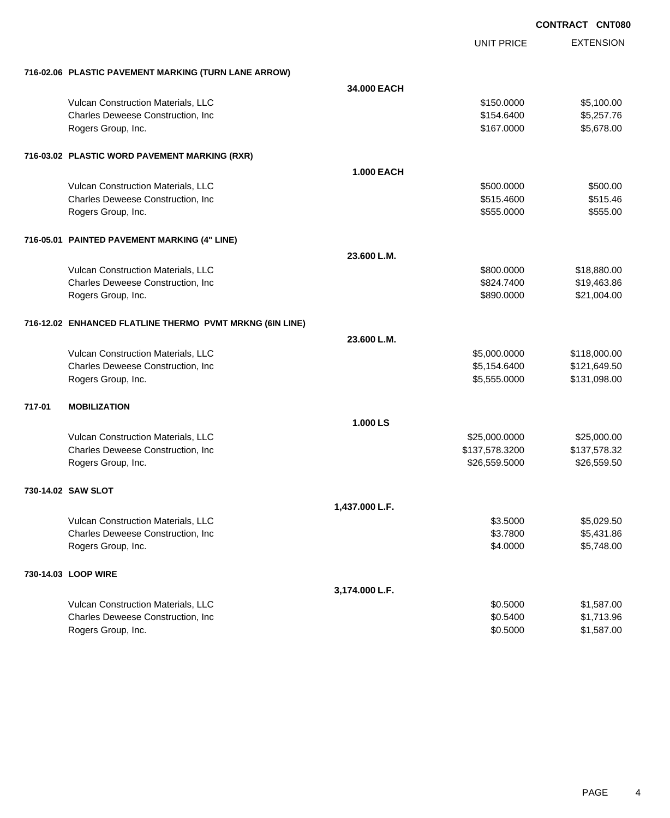EXTENSION **CONTRACT CNT080** UNIT PRICE **716-02.06 PLASTIC PAVEMENT MARKING (TURN LANE ARROW) 34.000 EACH** Vulcan Construction Materials, LLC 66 and the state of the state of the state  $$150.0000$  \$5,100.00 Charles Deweese Construction, Inc **Charles Deweese Construction, Inc** 65,257.76 Rogers Group, Inc. \$167.0000 \$5,678.00 **716-03.02 PLASTIC WORD PAVEMENT MARKING (RXR) 1.000 EACH** Vulcan Construction Materials, LLC 60000 \$500.000 \$500.000 \$500.000 \$500.000 Charles Deweese Construction, Inc **6.600 \$515.4600** \$515.4600 \$515.4600 \$515.4600 Rogers Group, Inc. \$555.000 \$555.000 \$555.000 \$555.000 \$555.000 \$555.000 \$555.000 \$555.000 \$555.000 \$555.00 \$555 **716-05.01 PAINTED PAVEMENT MARKING (4" LINE) 23.600 L.M.** Vulcan Construction Materials, LLC 600000 \$18,880.000 \$18,880.000 \$18,880.000 Charles Deweese Construction, Inc **Charles Deweese Construction, Inc** 6524.7400 \$19,463.86 Rogers Group, Inc. \$890.0000 \$21,004.00 **716-12.02 ENHANCED FLATLINE THERMO PVMT MRKNG (6IN LINE) 23.600 L.M.** Vulcan Construction Materials, LLC 600000 \$118,000.000 \$118,000.000 \$118,000.000 \$118,000.00 Charles Deweese Construction, Inc **Charles Deweese Construction, Inc** 65,154.6400 \$121,649.50 Rogers Group, Inc. \$131,098.00 **717-01 MOBILIZATION 1.000 LS** Vulcan Construction Materials, LLC 600000 \$25,000.000 \$25,000.000 \$25,000.000 \$25,000.000 \$25,000.00 Charles Deweese Construction, Inc **Charles Deweese Construction, Inc** 6.137,578.3200 \$137,578.3200 \$137,578.32 Rogers Group, Inc. \$26,559.500 \$26,559.500 \$26,559.500 \$26,559.500 \$26,559.500 \$26,559.500 \$26,559.50 **730-14.02 SAW SLOT 1,437.000 L.F.** Vulcan Construction Materials, LLC 6.5000 \$5,029.50 Charles Deweese Construction, Inc **Charles Deweese Construction, Inc** 65,431.86 Rogers Group, Inc. \$5,748.00 **730-14.03 LOOP WIRE 3,174.000 L.F.** Vulcan Construction Materials, LLC 6000 \$1,587.00 Charles Deweese Construction, Inc **but a set of the Charles Solution State Assets** 31,713.96

Rogers Group, Inc. \$1,587.00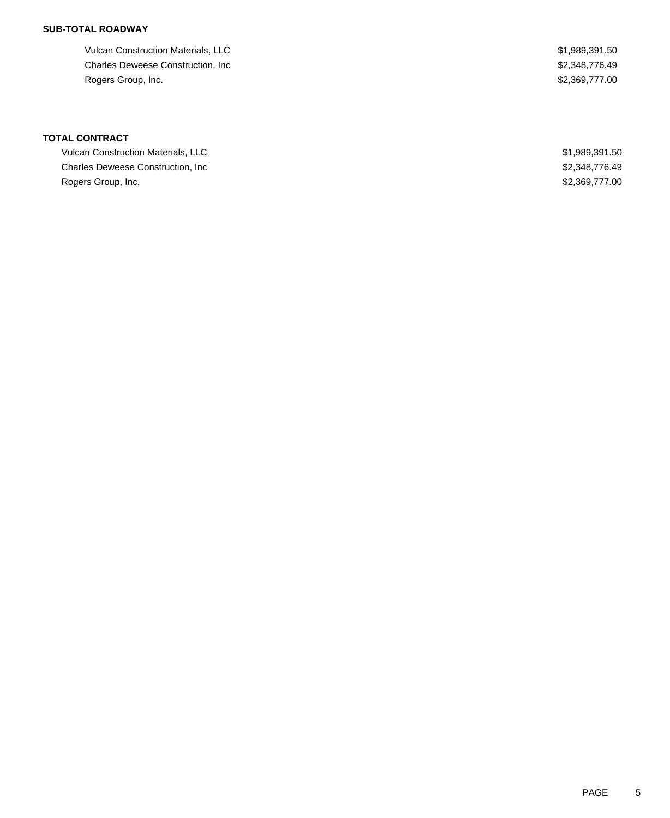Vulcan Construction Materials, LLC \$1,989,391.50 Charles Deweese Construction, Inc **Example 2018** 2,348,776.49 Rogers Group, Inc. \$2,369,777.00

| <b>Vulcan Construction Materials, LLC</b> | \$1,989,391.50 |
|-------------------------------------------|----------------|
| <b>Charles Deweese Construction. Inc.</b> | \$2,348,776,49 |
| Rogers Group, Inc.                        | \$2,369,777.00 |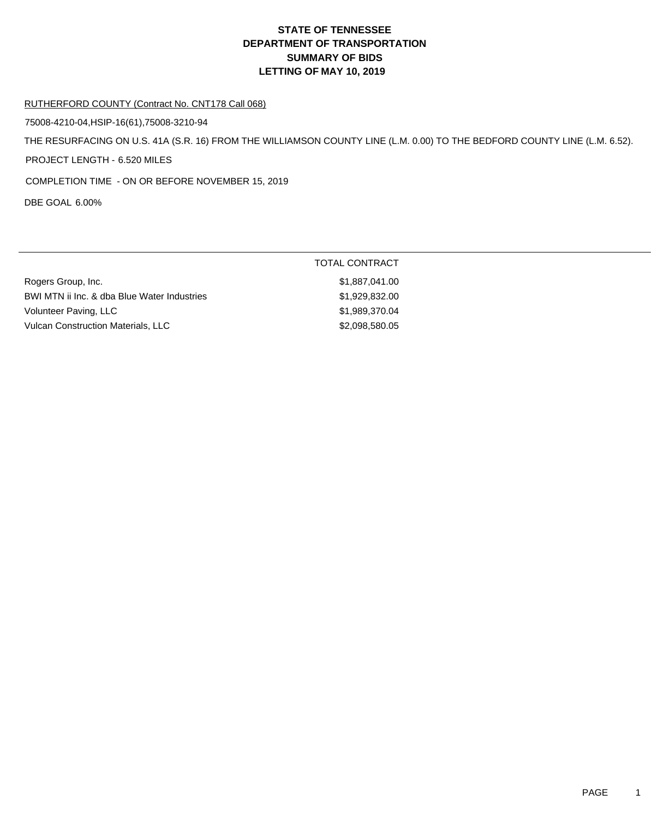#### RUTHERFORD COUNTY (Contract No. CNT178 Call 068)

75008-4210-04,HSIP-16(61),75008-3210-94

THE RESURFACING ON U.S. 41A (S.R. 16) FROM THE WILLIAMSON COUNTY LINE (L.M. 0.00) TO THE BEDFORD COUNTY LINE (L.M. 6.52).

PROJECT LENGTH - 6.520 MILES

COMPLETION TIME - ON OR BEFORE NOVEMBER 15, 2019

DBE GOAL 6.00%

|                                             | TOTAL CONTRACT |
|---------------------------------------------|----------------|
| Rogers Group, Inc.                          | \$1,887,041.00 |
| BWI MTN ii Inc. & dba Blue Water Industries | \$1,929,832.00 |
| Volunteer Paving, LLC                       | \$1,989,370,04 |
| <b>Vulcan Construction Materials, LLC</b>   | \$2,098,580.05 |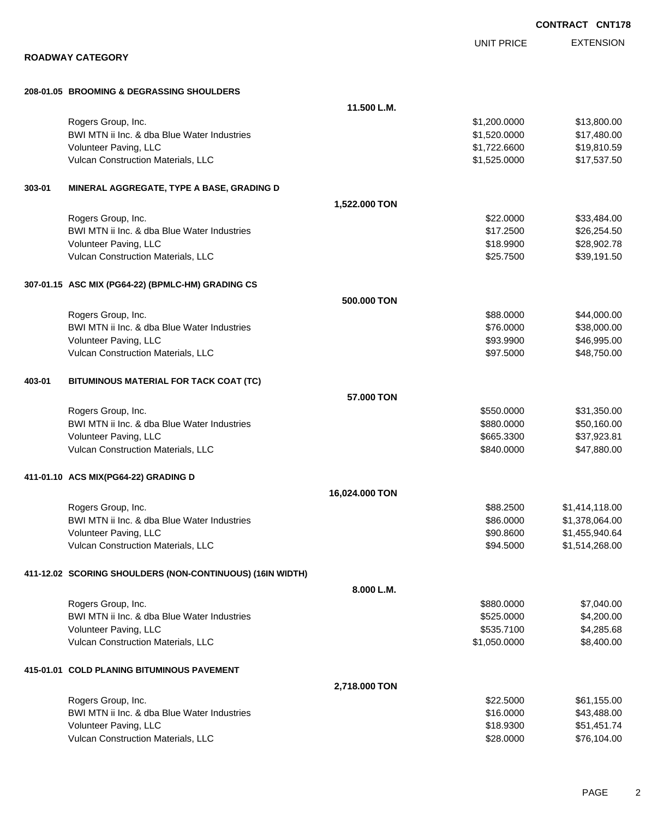|        |                                                           |                |                   | <b>CONTRACT CNT178</b> |
|--------|-----------------------------------------------------------|----------------|-------------------|------------------------|
|        |                                                           |                | <b>UNIT PRICE</b> | <b>EXTENSION</b>       |
|        | <b>ROADWAY CATEGORY</b>                                   |                |                   |                        |
|        |                                                           |                |                   |                        |
|        | 208-01.05 BROOMING & DEGRASSING SHOULDERS                 |                |                   |                        |
|        |                                                           | 11.500 L.M.    |                   |                        |
|        | Rogers Group, Inc.                                        |                | \$1,200.0000      | \$13,800.00            |
|        | BWI MTN ii Inc. & dba Blue Water Industries               |                | \$1,520.0000      | \$17,480.00            |
|        | Volunteer Paving, LLC                                     |                | \$1,722.6600      | \$19,810.59            |
|        | Vulcan Construction Materials, LLC                        |                | \$1,525.0000      | \$17,537.50            |
| 303-01 | MINERAL AGGREGATE, TYPE A BASE, GRADING D                 |                |                   |                        |
|        |                                                           | 1,522.000 TON  |                   |                        |
|        | Rogers Group, Inc.                                        |                | \$22.0000         | \$33,484.00            |
|        | BWI MTN ii Inc. & dba Blue Water Industries               |                | \$17.2500         | \$26,254.50            |
|        | Volunteer Paving, LLC                                     |                | \$18.9900         | \$28,902.78            |
|        | Vulcan Construction Materials, LLC                        |                | \$25.7500         | \$39,191.50            |
|        | 307-01.15 ASC MIX (PG64-22) (BPMLC-HM) GRADING CS         |                |                   |                        |
|        |                                                           | 500.000 TON    |                   |                        |
|        | Rogers Group, Inc.                                        |                | \$88.0000         | \$44,000.00            |
|        | BWI MTN ii Inc. & dba Blue Water Industries               |                | \$76.0000         | \$38,000.00            |
|        | Volunteer Paving, LLC                                     |                | \$93.9900         | \$46,995.00            |
|        | Vulcan Construction Materials, LLC                        |                | \$97.5000         | \$48,750.00            |
| 403-01 | BITUMINOUS MATERIAL FOR TACK COAT (TC)                    |                |                   |                        |
|        |                                                           | 57.000 TON     |                   |                        |
|        | Rogers Group, Inc.                                        |                | \$550.0000        | \$31,350.00            |
|        | BWI MTN ii Inc. & dba Blue Water Industries               |                | \$880.0000        | \$50,160.00            |
|        | Volunteer Paving, LLC                                     |                | \$665.3300        | \$37,923.81            |
|        | Vulcan Construction Materials, LLC                        |                | \$840.0000        | \$47,880.00            |
|        | 411-01.10 ACS MIX(PG64-22) GRADING D                      |                |                   |                        |
|        |                                                           | 16,024.000 TON |                   |                        |
|        | Rogers Group, Inc.                                        |                | \$88.2500         | \$1,414,118.00         |
|        | BWI MTN ii Inc. & dba Blue Water Industries               |                | \$86.0000         | \$1,378,064.00         |
|        | Volunteer Paving, LLC                                     |                | \$90.8600         | \$1,455,940.64         |
|        | Vulcan Construction Materials, LLC                        |                | \$94.5000         | \$1,514,268.00         |
|        | 411-12.02 SCORING SHOULDERS (NON-CONTINUOUS) (16IN WIDTH) |                |                   |                        |
|        |                                                           | 8.000 L.M.     |                   |                        |
|        | Rogers Group, Inc.                                        |                | \$880.0000        | \$7,040.00             |
|        | BWI MTN ii Inc. & dba Blue Water Industries               |                | \$525.0000        | \$4,200.00             |
|        | Volunteer Paving, LLC                                     |                | \$535.7100        | \$4,285.68             |
|        | Vulcan Construction Materials, LLC                        |                | \$1,050.0000      | \$8,400.00             |
|        | 415-01.01 COLD PLANING BITUMINOUS PAVEMENT                |                |                   |                        |
|        |                                                           | 2,718.000 TON  |                   |                        |
|        | Rogers Group, Inc.                                        |                | \$22.5000         | \$61,155.00            |
|        | BWI MTN ii Inc. & dba Blue Water Industries               |                | \$16.0000         | \$43,488.00            |
|        | Volunteer Paving, LLC                                     |                | \$18.9300         | \$51,451.74            |
|        | Vulcan Construction Materials, LLC                        |                | \$28.0000         | \$76,104.00            |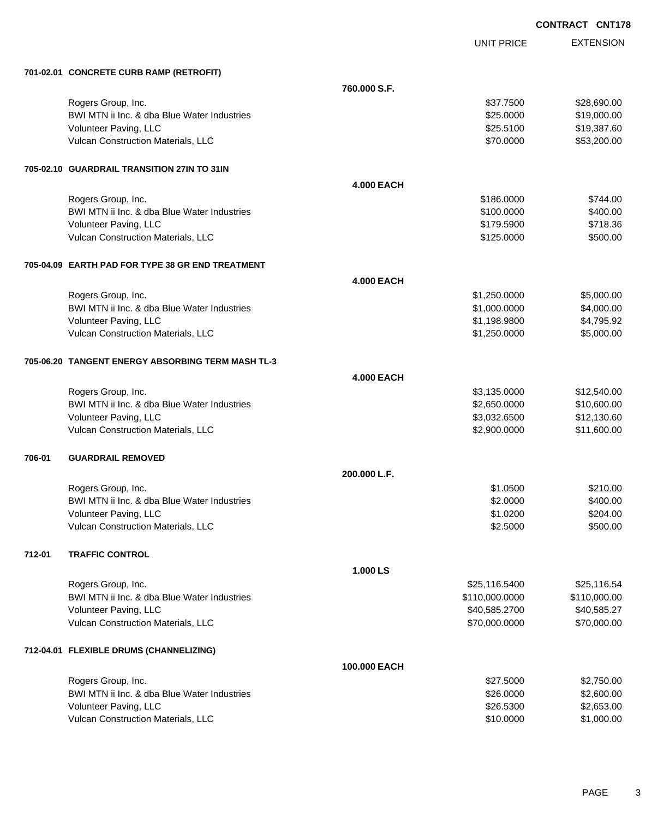UNIT PRICE

EXTENSION

| 701-02.01 CONCRETE CURB RAMP (RETROFIT) |  |
|-----------------------------------------|--|
|                                         |  |

|        | 701-02.01 CONCRETE CURB RAMP (RETROFIT)           |                   |                |              |
|--------|---------------------------------------------------|-------------------|----------------|--------------|
|        |                                                   | 760.000 S.F.      |                |              |
|        | Rogers Group, Inc.                                |                   | \$37.7500      | \$28,690.00  |
|        | BWI MTN ii Inc. & dba Blue Water Industries       |                   | \$25.0000      | \$19,000.00  |
|        | Volunteer Paving, LLC                             |                   | \$25.5100      | \$19,387.60  |
|        | Vulcan Construction Materials, LLC                |                   | \$70.0000      | \$53,200.00  |
|        | 705-02.10 GUARDRAIL TRANSITION 27IN TO 31IN       |                   |                |              |
|        |                                                   | <b>4.000 EACH</b> |                |              |
|        | Rogers Group, Inc.                                |                   | \$186.0000     | \$744.00     |
|        | BWI MTN ii Inc. & dba Blue Water Industries       |                   | \$100.0000     | \$400.00     |
|        | Volunteer Paving, LLC                             |                   | \$179.5900     | \$718.36     |
|        | Vulcan Construction Materials, LLC                |                   | \$125.0000     | \$500.00     |
|        | 705-04.09 EARTH PAD FOR TYPE 38 GR END TREATMENT  |                   |                |              |
|        |                                                   | <b>4.000 EACH</b> |                |              |
|        | Rogers Group, Inc.                                |                   | \$1,250.0000   | \$5,000.00   |
|        | BWI MTN ii Inc. & dba Blue Water Industries       |                   | \$1,000.0000   | \$4,000.00   |
|        | Volunteer Paving, LLC                             |                   | \$1,198.9800   | \$4,795.92   |
|        | Vulcan Construction Materials, LLC                |                   | \$1,250.0000   | \$5,000.00   |
|        | 705-06.20 TANGENT ENERGY ABSORBING TERM MASH TL-3 |                   |                |              |
|        |                                                   | <b>4.000 EACH</b> |                |              |
|        | Rogers Group, Inc.                                |                   | \$3,135.0000   | \$12,540.00  |
|        | BWI MTN ii Inc. & dba Blue Water Industries       |                   | \$2,650.0000   | \$10,600.00  |
|        | Volunteer Paving, LLC                             |                   | \$3,032.6500   | \$12,130.60  |
|        | Vulcan Construction Materials, LLC                |                   | \$2,900.0000   | \$11,600.00  |
| 706-01 | <b>GUARDRAIL REMOVED</b>                          |                   |                |              |
|        |                                                   | 200.000 L.F.      |                |              |
|        | Rogers Group, Inc.                                |                   | \$1.0500       | \$210.00     |
|        | BWI MTN ii Inc. & dba Blue Water Industries       |                   | \$2.0000       | \$400.00     |
|        | Volunteer Paving, LLC                             |                   | \$1.0200       | \$204.00     |
|        | Vulcan Construction Materials, LLC                |                   | \$2.5000       | \$500.00     |
| 712-01 | <b>TRAFFIC CONTROL</b>                            |                   |                |              |
|        |                                                   | 1.000 LS          |                |              |
|        | Rogers Group, Inc.                                |                   | \$25,116.5400  | \$25,116.54  |
|        | BWI MTN ii Inc. & dba Blue Water Industries       |                   | \$110,000.0000 | \$110,000.00 |
|        | Volunteer Paving, LLC                             |                   | \$40,585.2700  | \$40,585.27  |
|        | Vulcan Construction Materials, LLC                |                   | \$70,000.0000  | \$70,000.00  |
|        | 712-04.01 FLEXIBLE DRUMS (CHANNELIZING)           |                   |                |              |
|        |                                                   | 100.000 EACH      |                |              |
|        | Rogers Group, Inc.                                |                   | \$27.5000      | \$2,750.00   |
|        | BWI MTN ii Inc. & dba Blue Water Industries       |                   | \$26.0000      | \$2,600.00   |
|        | Volunteer Paving, LLC                             |                   | \$26.5300      | \$2,653.00   |
|        | Vulcan Construction Materials, LLC                |                   | \$10.0000      | \$1,000.00   |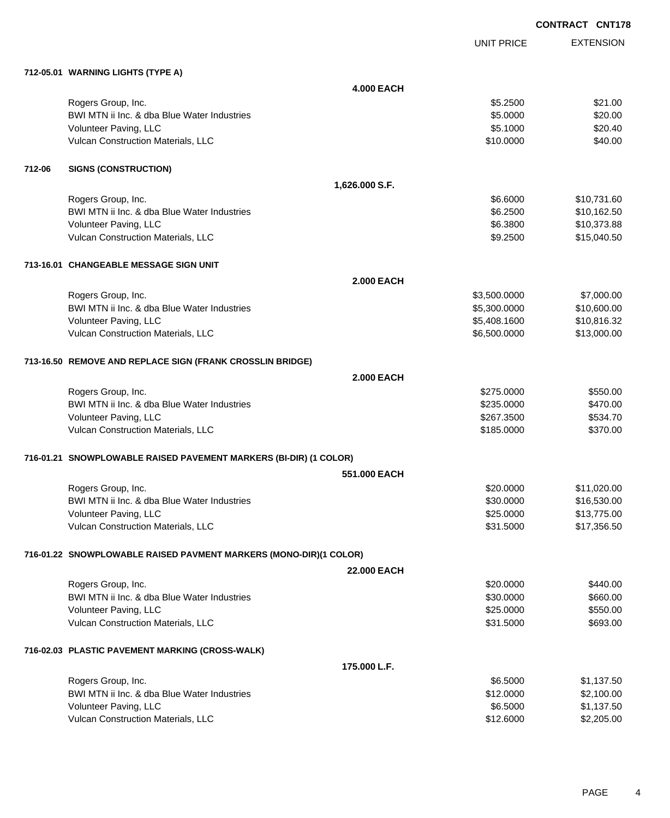|        |                                                                   |                    |                   | <b>CONTRACT CNT178</b> |                  |
|--------|-------------------------------------------------------------------|--------------------|-------------------|------------------------|------------------|
|        |                                                                   |                    | <b>UNIT PRICE</b> |                        | <b>EXTENSION</b> |
|        | 712-05.01 WARNING LIGHTS (TYPE A)                                 |                    |                   |                        |                  |
|        |                                                                   | <b>4.000 EACH</b>  |                   |                        |                  |
|        | Rogers Group, Inc.                                                |                    | \$5.2500          |                        | \$21.00          |
|        | BWI MTN ii Inc. & dba Blue Water Industries                       |                    | \$5.0000          |                        | \$20.00          |
|        | Volunteer Paving, LLC                                             |                    | \$5.1000          |                        | \$20.40          |
|        | Vulcan Construction Materials, LLC                                |                    | \$10.0000         |                        | \$40.00          |
| 712-06 | <b>SIGNS (CONSTRUCTION)</b>                                       |                    |                   |                        |                  |
|        |                                                                   | 1,626.000 S.F.     |                   |                        |                  |
|        | Rogers Group, Inc.                                                |                    | \$6.6000          |                        | \$10,731.60      |
|        | BWI MTN ii Inc. & dba Blue Water Industries                       |                    | \$6.2500          |                        | \$10,162.50      |
|        | Volunteer Paving, LLC                                             |                    | \$6.3800          |                        | \$10,373.88      |
|        | Vulcan Construction Materials, LLC                                |                    | \$9.2500          |                        | \$15,040.50      |
|        | 713-16.01 CHANGEABLE MESSAGE SIGN UNIT                            |                    |                   |                        |                  |
|        |                                                                   | <b>2.000 EACH</b>  |                   |                        |                  |
|        | Rogers Group, Inc.                                                |                    | \$3,500.0000      |                        | \$7,000.00       |
|        | BWI MTN ii Inc. & dba Blue Water Industries                       |                    | \$5,300.0000      |                        | \$10,600.00      |
|        | Volunteer Paving, LLC                                             |                    | \$5,408.1600      |                        | \$10,816.32      |
|        | Vulcan Construction Materials, LLC                                |                    | \$6,500.0000      |                        | \$13,000.00      |
|        | 713-16.50 REMOVE AND REPLACE SIGN (FRANK CROSSLIN BRIDGE)         |                    |                   |                        |                  |
|        |                                                                   | <b>2.000 EACH</b>  |                   |                        |                  |
|        | Rogers Group, Inc.                                                |                    | \$275.0000        |                        | \$550.00         |
|        | BWI MTN ii Inc. & dba Blue Water Industries                       |                    | \$235.0000        |                        | \$470.00         |
|        | Volunteer Paving, LLC                                             |                    | \$267.3500        |                        | \$534.70         |
|        | Vulcan Construction Materials, LLC                                |                    | \$185.0000        |                        | \$370.00         |
|        | 716-01.21 SNOWPLOWABLE RAISED PAVEMENT MARKERS (BI-DIR) (1 COLOR) |                    |                   |                        |                  |
|        |                                                                   | 551,000 EACH       |                   |                        |                  |
|        | Rogers Group, Inc.                                                |                    | \$20.0000         |                        | \$11,020.00      |
|        | BWI MTN ii Inc. & dba Blue Water Industries                       |                    | \$30.0000         |                        | \$16,530.00      |
|        | Volunteer Paving, LLC                                             |                    | \$25.0000         |                        | \$13,775.00      |
|        | Vulcan Construction Materials, LLC                                |                    | \$31.5000         |                        | \$17,356.50      |
|        | 716-01.22 SNOWPLOWABLE RAISED PAVMENT MARKERS (MONO-DIR)(1 COLOR) |                    |                   |                        |                  |
|        |                                                                   | <b>22.000 EACH</b> |                   |                        |                  |
|        | Rogers Group, Inc.                                                |                    | \$20.0000         |                        | \$440.00         |
|        | BWI MTN ii Inc. & dba Blue Water Industries                       |                    | \$30.0000         |                        | \$660.00         |
|        | Volunteer Paving, LLC                                             |                    | \$25.0000         |                        | \$550.00         |
|        | Vulcan Construction Materials, LLC                                |                    | \$31.5000         |                        | \$693.00         |
|        | 716-02.03 PLASTIC PAVEMENT MARKING (CROSS-WALK)                   |                    |                   |                        |                  |
|        |                                                                   | 175.000 L.F.       |                   |                        |                  |
|        | Rogers Group, Inc.                                                |                    | \$6.5000          |                        | \$1,137.50       |
|        | BWI MTN ii Inc. & dba Blue Water Industries                       |                    | \$12.0000         |                        | \$2,100.00       |
|        | Volunteer Paving, LLC                                             |                    | \$6.5000          |                        | \$1,137.50       |
|        | Vulcan Construction Materials, LLC                                |                    | \$12.6000         |                        | \$2,205.00       |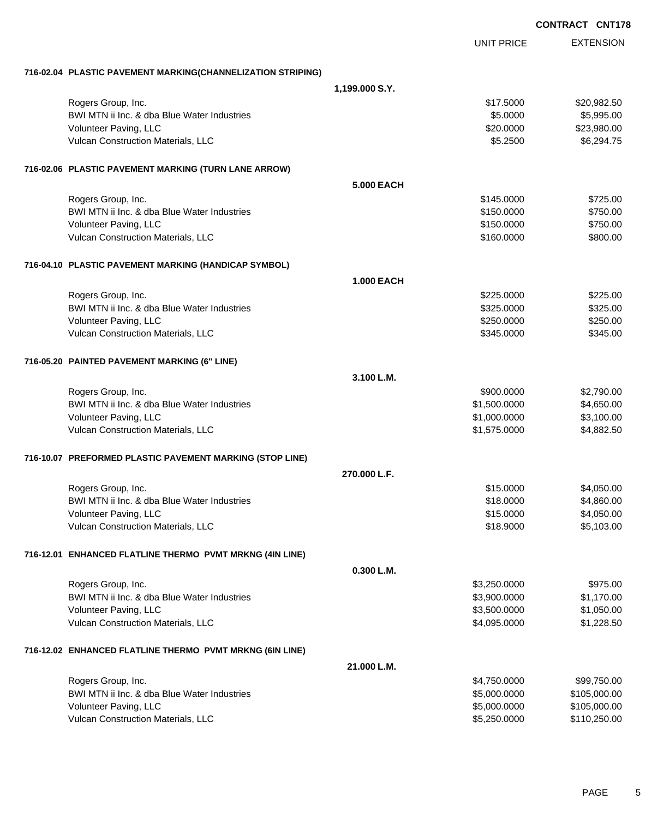|                                                             |                   |                              | <b>CONTRACT CNT178</b>       |
|-------------------------------------------------------------|-------------------|------------------------------|------------------------------|
|                                                             |                   | <b>UNIT PRICE</b>            | <b>EXTENSION</b>             |
| 716-02.04 PLASTIC PAVEMENT MARKING(CHANNELIZATION STRIPING) |                   |                              |                              |
|                                                             | 1,199.000 S.Y.    |                              |                              |
| Rogers Group, Inc.                                          |                   | \$17.5000                    | \$20,982.50                  |
| BWI MTN ii Inc. & dba Blue Water Industries                 |                   | \$5.0000                     | \$5,995.00                   |
| Volunteer Paving, LLC                                       |                   | \$20.0000                    | \$23,980.00                  |
| Vulcan Construction Materials, LLC                          |                   | \$5.2500                     | \$6,294.75                   |
| 716-02.06 PLASTIC PAVEMENT MARKING (TURN LANE ARROW)        |                   |                              |                              |
|                                                             | <b>5.000 EACH</b> |                              |                              |
| Rogers Group, Inc.                                          |                   | \$145.0000                   | \$725.00                     |
| BWI MTN ii Inc. & dba Blue Water Industries                 |                   | \$150.0000                   | \$750.00                     |
| Volunteer Paving, LLC                                       |                   | \$150.0000                   | \$750.00                     |
| Vulcan Construction Materials, LLC                          |                   | \$160.0000                   | \$800.00                     |
| 716-04.10 PLASTIC PAVEMENT MARKING (HANDICAP SYMBOL)        |                   |                              |                              |
|                                                             | <b>1.000 EACH</b> |                              |                              |
| Rogers Group, Inc.                                          |                   | \$225,0000                   | \$225.00                     |
| BWI MTN ii Inc. & dba Blue Water Industries                 |                   | \$325.0000                   | \$325.00                     |
| Volunteer Paving, LLC                                       |                   | \$250.0000                   | \$250.00                     |
| Vulcan Construction Materials, LLC                          |                   | \$345.0000                   | \$345.00                     |
| 716-05.20 PAINTED PAVEMENT MARKING (6" LINE)                |                   |                              |                              |
|                                                             | 3.100 L.M.        |                              |                              |
| Rogers Group, Inc.                                          |                   | \$900.0000                   | \$2,790.00                   |
| BWI MTN ii Inc. & dba Blue Water Industries                 |                   | \$1,500.0000                 | \$4,650.00                   |
| Volunteer Paving, LLC<br>Vulcan Construction Materials, LLC |                   | \$1,000.0000<br>\$1,575.0000 | \$3,100.00<br>\$4,882.50     |
|                                                             |                   |                              |                              |
| 716-10.07 PREFORMED PLASTIC PAVEMENT MARKING (STOP LINE)    |                   |                              |                              |
|                                                             | 270.000 L.F.      |                              |                              |
| Rogers Group, Inc.                                          |                   | \$15.0000                    | \$4,050.00                   |
| BWI MTN ii Inc. & dba Blue Water Industries                 |                   | \$18.0000                    | \$4,860.00                   |
| Volunteer Paving, LLC<br>Vulcan Construction Materials, LLC |                   | \$15.0000<br>\$18.9000       | \$4,050.00<br>\$5,103.00     |
|                                                             |                   |                              |                              |
| 716-12.01 ENHANCED FLATLINE THERMO PVMT MRKNG (4IN LINE)    |                   |                              |                              |
|                                                             | 0.300 L.M.        |                              |                              |
| Rogers Group, Inc.                                          |                   | \$3,250.0000                 | \$975.00                     |
| BWI MTN ii Inc. & dba Blue Water Industries                 |                   | \$3,900.0000                 | \$1,170.00                   |
| Volunteer Paving, LLC<br>Vulcan Construction Materials, LLC |                   | \$3,500.0000<br>\$4,095.0000 | \$1,050.00<br>\$1,228.50     |
|                                                             |                   |                              |                              |
| 716-12.02 ENHANCED FLATLINE THERMO PVMT MRKNG (6IN LINE)    |                   |                              |                              |
|                                                             | 21.000 L.M.       |                              |                              |
| Rogers Group, Inc.                                          |                   | \$4,750.0000                 | \$99,750.00                  |
| BWI MTN ii Inc. & dba Blue Water Industries                 |                   | \$5,000.0000                 | \$105,000.00                 |
| Volunteer Paving, LLC<br>Vulcan Construction Materials, LLC |                   | \$5,000.0000<br>\$5,250.0000 | \$105,000.00<br>\$110,250.00 |
|                                                             |                   |                              |                              |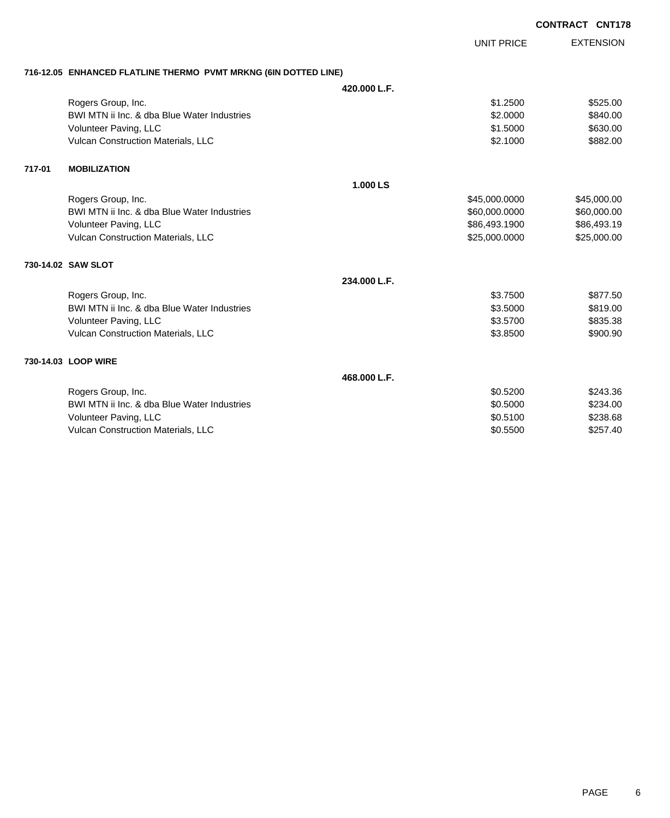|        |                                                                 |              |                   | <b>CONTRACT CNT178</b> |                  |
|--------|-----------------------------------------------------------------|--------------|-------------------|------------------------|------------------|
|        |                                                                 |              | <b>UNIT PRICE</b> |                        | <b>EXTENSION</b> |
|        | 716-12.05 ENHANCED FLATLINE THERMO PVMT MRKNG (6IN DOTTED LINE) |              |                   |                        |                  |
|        |                                                                 | 420.000 L.F. |                   |                        |                  |
|        | Rogers Group, Inc.                                              |              | \$1,2500          |                        | \$525.00         |
|        | BWI MTN ii Inc. & dba Blue Water Industries                     |              | \$2.0000          |                        | \$840.00         |
|        | Volunteer Paving, LLC                                           |              | \$1.5000          |                        | \$630.00         |
|        | Vulcan Construction Materials, LLC                              |              | \$2.1000          |                        | \$882.00         |
| 717-01 | <b>MOBILIZATION</b>                                             |              |                   |                        |                  |
|        |                                                                 | 1.000 LS     |                   |                        |                  |
|        | Rogers Group, Inc.                                              |              | \$45,000.0000     |                        | \$45,000.00      |
|        | BWI MTN ii Inc. & dba Blue Water Industries                     |              | \$60,000.0000     |                        | \$60,000.00      |
|        | Volunteer Paving, LLC                                           |              | \$86,493.1900     |                        | \$86,493.19      |
|        | Vulcan Construction Materials, LLC                              |              | \$25,000.0000     |                        | \$25,000.00      |
|        | 730-14.02 SAW SLOT                                              |              |                   |                        |                  |
|        |                                                                 | 234.000 L.F. |                   |                        |                  |
|        | Rogers Group, Inc.                                              |              | \$3.7500          |                        | \$877.50         |
|        | BWI MTN ii Inc. & dba Blue Water Industries                     |              | \$3.5000          |                        | \$819.00         |
|        | Volunteer Paving, LLC                                           |              | \$3,5700          |                        | \$835.38         |
|        | Vulcan Construction Materials, LLC                              |              | \$3.8500          |                        | \$900.90         |
|        | 730-14.03 LOOP WIRE                                             |              |                   |                        |                  |
|        |                                                                 | 468.000 L.F. |                   |                        |                  |
|        | Rogers Group, Inc.                                              |              | \$0.5200          |                        | \$243.36         |
|        | BWI MTN ii Inc. & dba Blue Water Industries                     |              | \$0.5000          |                        | \$234.00         |
|        | Volunteer Paving, LLC                                           |              | \$0.5100          |                        | \$238.68         |
|        | Vulcan Construction Materials, LLC                              |              | \$0.5500          |                        | \$257.40         |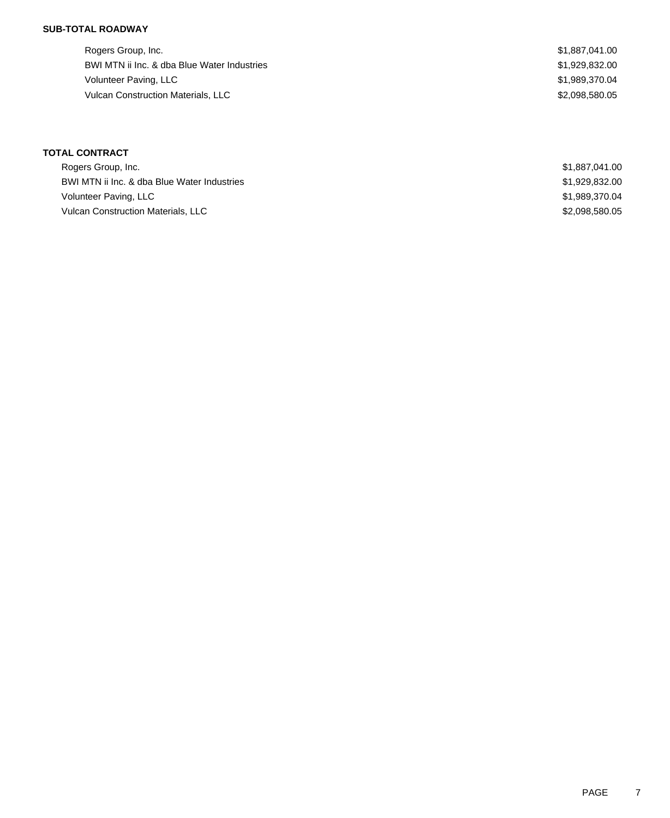Rogers Group, Inc. \$1,887,041.00 BWI MTN ii Inc. & dba Blue Water Industries \$1,929,832.00 Volunteer Paving, LLC \$1,989,370.04 Vulcan Construction Materials, LLC \$2,098,580.05

| Rogers Group, Inc.                          | \$1.887.041.00 |
|---------------------------------------------|----------------|
| BWI MTN ii Inc. & dba Blue Water Industries | \$1.929.832.00 |
| Volunteer Paving, LLC                       | \$1.989.370.04 |
| <b>Vulcan Construction Materials, LLC</b>   | \$2,098,580.05 |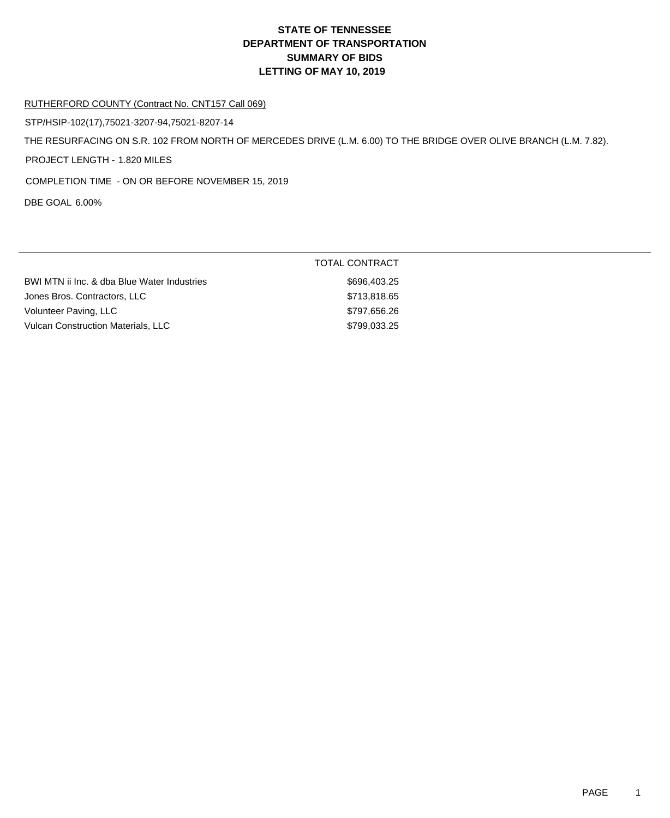#### RUTHERFORD COUNTY (Contract No. CNT157 Call 069)

STP/HSIP-102(17),75021-3207-94,75021-8207-14

THE RESURFACING ON S.R. 102 FROM NORTH OF MERCEDES DRIVE (L.M. 6.00) TO THE BRIDGE OVER OLIVE BRANCH (L.M. 7.82).

PROJECT LENGTH - 1.820 MILES

COMPLETION TIME - ON OR BEFORE NOVEMBER 15, 2019

DBE GOAL 6.00%

|                                             | <b>TOTAL CONTRACT</b> |
|---------------------------------------------|-----------------------|
| BWI MTN ii Inc. & dba Blue Water Industries | \$696,403.25          |
| Jones Bros. Contractors, LLC                | \$713,818.65          |
| Volunteer Paving, LLC                       | \$797,656.26          |
| <b>Vulcan Construction Materials, LLC</b>   | \$799,033.25          |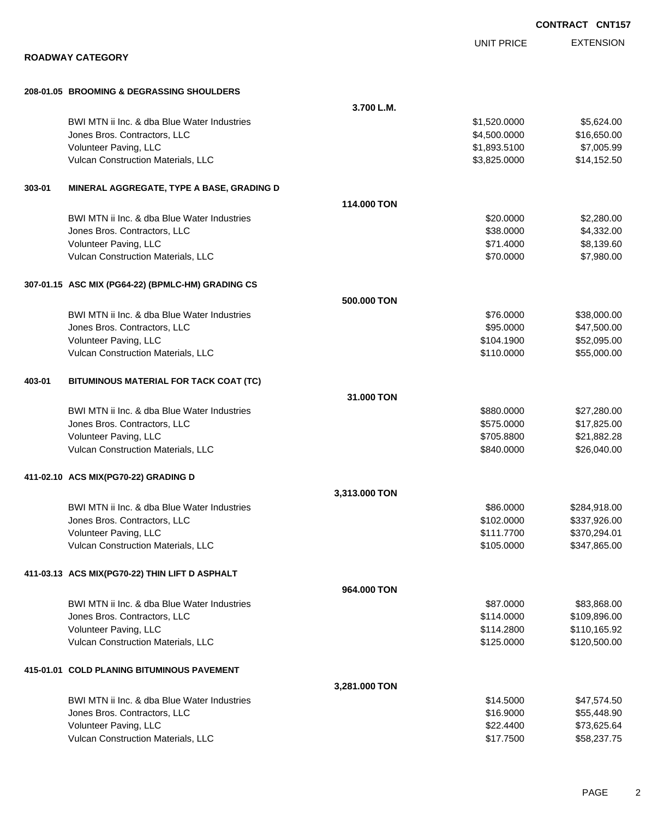|        |                                                   |               |                   | CONTRACT CNT157  |
|--------|---------------------------------------------------|---------------|-------------------|------------------|
|        |                                                   |               | <b>UNIT PRICE</b> | <b>EXTENSION</b> |
|        | <b>ROADWAY CATEGORY</b>                           |               |                   |                  |
|        |                                                   |               |                   |                  |
|        | 208-01.05 BROOMING & DEGRASSING SHOULDERS         |               |                   |                  |
|        |                                                   | 3.700 L.M.    |                   |                  |
|        | BWI MTN ii Inc. & dba Blue Water Industries       |               | \$1,520.0000      | \$5,624.00       |
|        | Jones Bros. Contractors, LLC                      |               | \$4,500.0000      | \$16,650.00      |
|        | Volunteer Paving, LLC                             |               | \$1,893.5100      | \$7,005.99       |
|        | Vulcan Construction Materials, LLC                |               | \$3,825.0000      | \$14,152.50      |
| 303-01 | MINERAL AGGREGATE, TYPE A BASE, GRADING D         |               |                   |                  |
|        |                                                   | 114,000 TON   |                   |                  |
|        | BWI MTN ii Inc. & dba Blue Water Industries       |               | \$20.0000         | \$2,280.00       |
|        | Jones Bros. Contractors, LLC                      |               | \$38.0000         | \$4,332.00       |
|        | Volunteer Paving, LLC                             |               | \$71.4000         | \$8,139.60       |
|        | Vulcan Construction Materials, LLC                |               | \$70.0000         | \$7,980.00       |
|        | 307-01.15 ASC MIX (PG64-22) (BPMLC-HM) GRADING CS |               |                   |                  |
|        |                                                   | 500.000 TON   |                   |                  |
|        | BWI MTN ii Inc. & dba Blue Water Industries       |               | \$76.0000         | \$38,000.00      |
|        | Jones Bros. Contractors, LLC                      |               | \$95.0000         | \$47,500.00      |
|        | Volunteer Paving, LLC                             |               | \$104.1900        | \$52,095.00      |
|        | Vulcan Construction Materials, LLC                |               | \$110.0000        | \$55,000.00      |
| 403-01 | BITUMINOUS MATERIAL FOR TACK COAT (TC)            |               |                   |                  |
|        |                                                   | 31,000 TON    |                   |                  |
|        | BWI MTN ii Inc. & dba Blue Water Industries       |               | \$880.0000        | \$27,280.00      |
|        | Jones Bros. Contractors, LLC                      |               | \$575.0000        | \$17,825.00      |
|        | Volunteer Paving, LLC                             |               | \$705.8800        | \$21,882.28      |
|        | Vulcan Construction Materials, LLC                |               | \$840.0000        | \$26,040.00      |
|        | 411-02.10 ACS MIX(PG70-22) GRADING D              |               |                   |                  |
|        |                                                   | 3,313.000 TON |                   |                  |
|        | BWI MTN ii Inc. & dba Blue Water Industries       |               | \$86.0000         | \$284,918.00     |
|        | Jones Bros. Contractors, LLC                      |               | \$102.0000        | \$337,926.00     |
|        | Volunteer Paving, LLC                             |               | \$111.7700        | \$370,294.01     |
|        | Vulcan Construction Materials, LLC                |               | \$105.0000        | \$347,865.00     |
|        | 411-03.13 ACS MIX(PG70-22) THIN LIFT D ASPHALT    |               |                   |                  |
|        |                                                   | 964,000 TON   |                   |                  |
|        | BWI MTN ii Inc. & dba Blue Water Industries       |               | \$87.0000         | \$83,868.00      |
|        | Jones Bros. Contractors, LLC                      |               | \$114.0000        | \$109,896.00     |
|        | Volunteer Paving, LLC                             |               | \$114.2800        | \$110,165.92     |
|        | Vulcan Construction Materials, LLC                |               | \$125.0000        | \$120,500.00     |
|        | 415-01.01 COLD PLANING BITUMINOUS PAVEMENT        |               |                   |                  |
|        |                                                   | 3,281.000 TON |                   |                  |
|        | BWI MTN ii Inc. & dba Blue Water Industries       |               | \$14.5000         | \$47,574.50      |
|        | Jones Bros. Contractors, LLC                      |               | \$16.9000         | \$55,448.90      |
|        | Volunteer Paving, LLC                             |               | \$22.4400         | \$73,625.64      |
|        | Vulcan Construction Materials, LLC                |               | \$17.7500         | \$58,237.75      |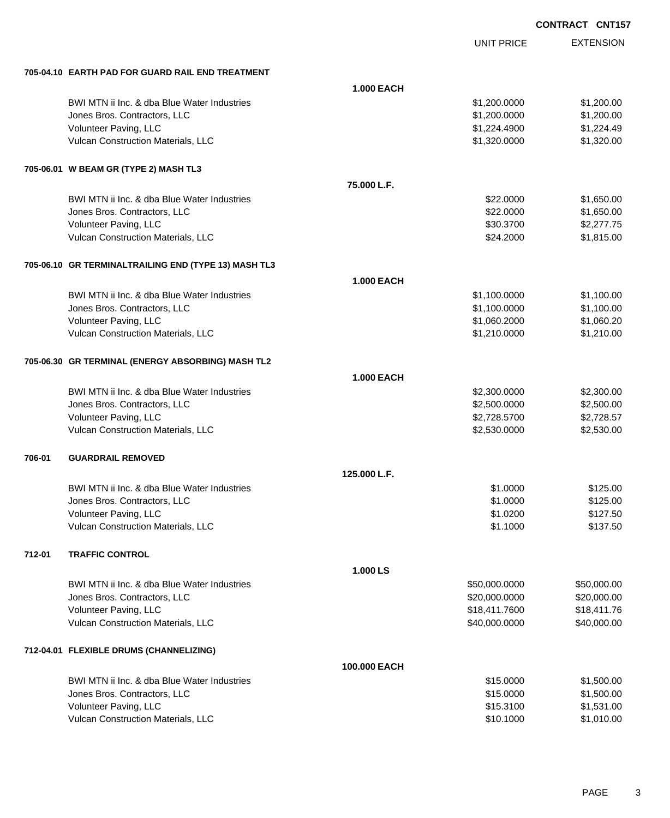|                                                      |                   | <b>UNIT PRICE</b> | <b>EXTENSION</b> |
|------------------------------------------------------|-------------------|-------------------|------------------|
| 705-04.10 EARTH PAD FOR GUARD RAIL END TREATMENT     |                   |                   |                  |
|                                                      | <b>1.000 EACH</b> |                   |                  |
| BWI MTN ii Inc. & dba Blue Water Industries          |                   | \$1,200.0000      | \$1,200.00       |
| Jones Bros. Contractors, LLC                         |                   | \$1,200.0000      | \$1,200.00       |
| Volunteer Paving, LLC                                |                   | \$1,224.4900      | \$1,224.49       |
| Vulcan Construction Materials, LLC                   |                   | \$1,320.0000      | \$1,320.00       |
| 705-06.01 W BEAM GR (TYPE 2) MASH TL3                |                   |                   |                  |
|                                                      | 75.000 L.F.       |                   |                  |
| BWI MTN ii Inc. & dba Blue Water Industries          |                   | \$22.0000         | \$1,650.00       |
| Jones Bros. Contractors, LLC                         |                   | \$22.0000         | \$1,650.00       |
| Volunteer Paving, LLC                                |                   | \$30.3700         | \$2,277.75       |
| Vulcan Construction Materials, LLC                   |                   | \$24.2000         | \$1,815.00       |
| 705-06.10 GR TERMINALTRAILING END (TYPE 13) MASH TL3 |                   |                   |                  |
|                                                      | <b>1.000 EACH</b> |                   |                  |
| BWI MTN ii Inc. & dba Blue Water Industries          |                   | \$1,100.0000      | \$1,100.00       |
| Jones Bros. Contractors, LLC                         |                   | \$1,100.0000      | \$1,100.00       |
| Volunteer Paving, LLC                                |                   | \$1,060.2000      | \$1,060.20       |
| Vulcan Construction Materials, LLC                   |                   | \$1,210.0000      | \$1,210.00       |
| 705-06.30 GR TERMINAL (ENERGY ABSORBING) MASH TL2    |                   |                   |                  |
|                                                      | <b>1.000 EACH</b> |                   |                  |
| BWI MTN ii Inc. & dba Blue Water Industries          |                   | \$2,300.0000      | \$2,300.00       |
| Jones Bros. Contractors, LLC                         |                   | \$2,500.0000      | \$2,500.00       |
| Volunteer Paving, LLC                                |                   | \$2,728.5700      | \$2,728.57       |
| Vulcan Construction Materials, LLC                   |                   | \$2,530.0000      | \$2,530.00       |
| 706-01<br><b>GUARDRAIL REMOVED</b>                   |                   |                   |                  |
|                                                      | 125.000 L.F.      |                   |                  |
| BWI MTN ii Inc. & dba Blue Water Industries          |                   | \$1.0000          | \$125.00         |
| Jones Bros. Contractors, LLC                         |                   | \$1.0000          | \$125.00         |
| Volunteer Paving, LLC                                |                   | \$1.0200          | \$127.50         |
| Vulcan Construction Materials, LLC                   |                   | \$1.1000          | \$137.50         |
| 712-01<br><b>TRAFFIC CONTROL</b>                     |                   |                   |                  |
|                                                      | 1.000 LS          |                   |                  |
| BWI MTN ii Inc. & dba Blue Water Industries          |                   | \$50,000.0000     | \$50,000.00      |
| Jones Bros. Contractors, LLC                         |                   | \$20,000.0000     | \$20,000.00      |
| Volunteer Paving, LLC                                |                   | \$18,411.7600     | \$18,411.76      |
| Vulcan Construction Materials, LLC                   |                   | \$40,000.0000     | \$40,000.00      |
| 712-04.01 FLEXIBLE DRUMS (CHANNELIZING)              |                   |                   |                  |
|                                                      | 100.000 EACH      |                   |                  |
| BWI MTN ii Inc. & dba Blue Water Industries          |                   | \$15.0000         | \$1,500.00       |
| Jones Bros. Contractors, LLC                         |                   | \$15.0000         | \$1,500.00       |
| Volunteer Paving, LLC                                |                   | \$15.3100         | \$1,531.00       |
| Vulcan Construction Materials, LLC                   |                   | \$10.1000         | \$1,010.00       |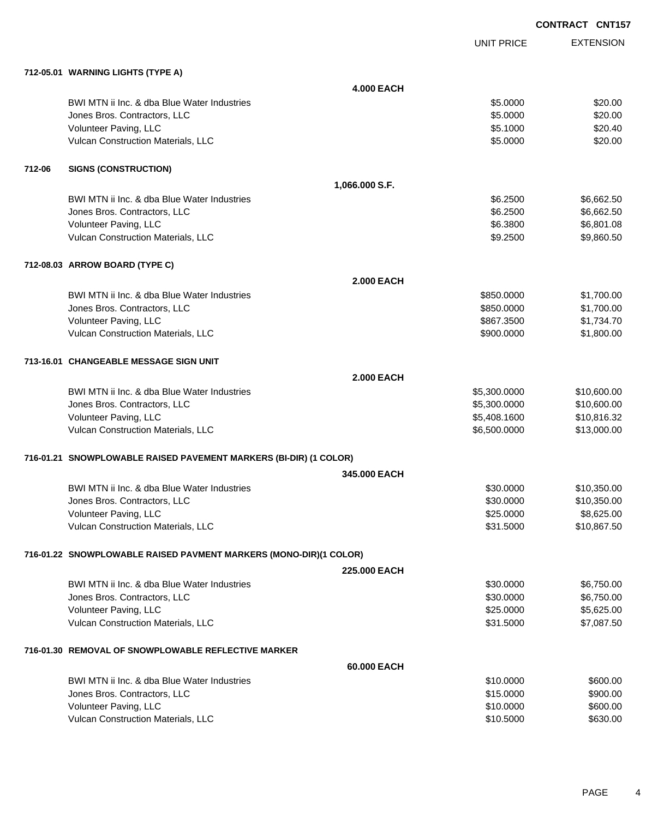|        |                                                                   |                     |                   | <b>CONTRACT CNT157</b> |
|--------|-------------------------------------------------------------------|---------------------|-------------------|------------------------|
|        |                                                                   |                     | <b>UNIT PRICE</b> | <b>EXTENSION</b>       |
|        | 712-05.01 WARNING LIGHTS (TYPE A)                                 |                     |                   |                        |
|        |                                                                   | <b>4.000 EACH</b>   |                   |                        |
|        | BWI MTN ii Inc. & dba Blue Water Industries                       |                     | \$5.0000          | \$20.00                |
|        | Jones Bros. Contractors, LLC                                      |                     | \$5.0000          | \$20.00                |
|        | Volunteer Paving, LLC                                             |                     | \$5.1000          | \$20.40                |
|        | Vulcan Construction Materials, LLC                                |                     | \$5.0000          | \$20.00                |
| 712-06 | <b>SIGNS (CONSTRUCTION)</b>                                       |                     |                   |                        |
|        |                                                                   | 1,066.000 S.F.      |                   |                        |
|        | BWI MTN ii Inc. & dba Blue Water Industries                       |                     | \$6.2500          | \$6,662.50             |
|        | Jones Bros. Contractors, LLC                                      |                     | \$6.2500          | \$6,662.50             |
|        | Volunteer Paving, LLC                                             |                     | \$6.3800          | \$6,801.08             |
|        | Vulcan Construction Materials, LLC                                |                     | \$9.2500          | \$9,860.50             |
|        | 712-08.03 ARROW BOARD (TYPE C)                                    |                     |                   |                        |
|        |                                                                   | <b>2.000 EACH</b>   |                   |                        |
|        | BWI MTN ii Inc. & dba Blue Water Industries                       |                     | \$850.0000        | \$1,700.00             |
|        | Jones Bros. Contractors, LLC                                      |                     | \$850.0000        | \$1,700.00             |
|        | Volunteer Paving, LLC                                             |                     | \$867.3500        | \$1,734.70             |
|        | Vulcan Construction Materials, LLC                                |                     | \$900.0000        | \$1,800.00             |
|        | 713-16.01 CHANGEABLE MESSAGE SIGN UNIT                            |                     |                   |                        |
|        |                                                                   | <b>2.000 EACH</b>   |                   |                        |
|        | BWI MTN ii Inc. & dba Blue Water Industries                       |                     | \$5,300.0000      | \$10,600.00            |
|        | Jones Bros. Contractors, LLC                                      |                     | \$5,300.0000      | \$10,600.00            |
|        | Volunteer Paving, LLC                                             |                     | \$5,408.1600      | \$10,816.32            |
|        | Vulcan Construction Materials, LLC                                |                     | \$6,500.0000      | \$13,000.00            |
|        | 716-01.21 SNOWPLOWABLE RAISED PAVEMENT MARKERS (BI-DIR) (1 COLOR) |                     |                   |                        |
|        |                                                                   | 345,000 EACH        |                   |                        |
|        | BWI MTN ii Inc. & dba Blue Water Industries                       |                     | \$30.0000         | \$10,350.00            |
|        | Jones Bros. Contractors, LLC                                      |                     | \$30.0000         | \$10,350.00            |
|        | Volunteer Paving, LLC                                             |                     | \$25.0000         | \$8,625.00             |
|        | Vulcan Construction Materials, LLC                                |                     | \$31.5000         | \$10,867.50            |
|        | 716-01.22 SNOWPLOWABLE RAISED PAVMENT MARKERS (MONO-DIR)(1 COLOR) |                     |                   |                        |
|        |                                                                   | <b>225,000 EACH</b> |                   |                        |
|        | BWI MTN ii Inc. & dba Blue Water Industries                       |                     | \$30.0000         | \$6,750.00             |
|        | Jones Bros. Contractors, LLC                                      |                     | \$30.0000         | \$6,750.00             |
|        | Volunteer Paving, LLC                                             |                     | \$25.0000         | \$5,625.00             |
|        | Vulcan Construction Materials, LLC                                |                     | \$31.5000         | \$7,087.50             |
|        | 716-01.30 REMOVAL OF SNOWPLOWABLE REFLECTIVE MARKER               |                     |                   |                        |
|        |                                                                   | 60.000 EACH         |                   |                        |
|        | BWI MTN ii Inc. & dba Blue Water Industries                       |                     | \$10.0000         | \$600.00               |
|        | Jones Bros. Contractors, LLC                                      |                     | \$15.0000         | \$900.00               |
|        | Volunteer Paving, LLC                                             |                     | \$10.0000         | \$600.00               |
|        | Vulcan Construction Materials, LLC                                |                     | \$10.5000         | \$630.00               |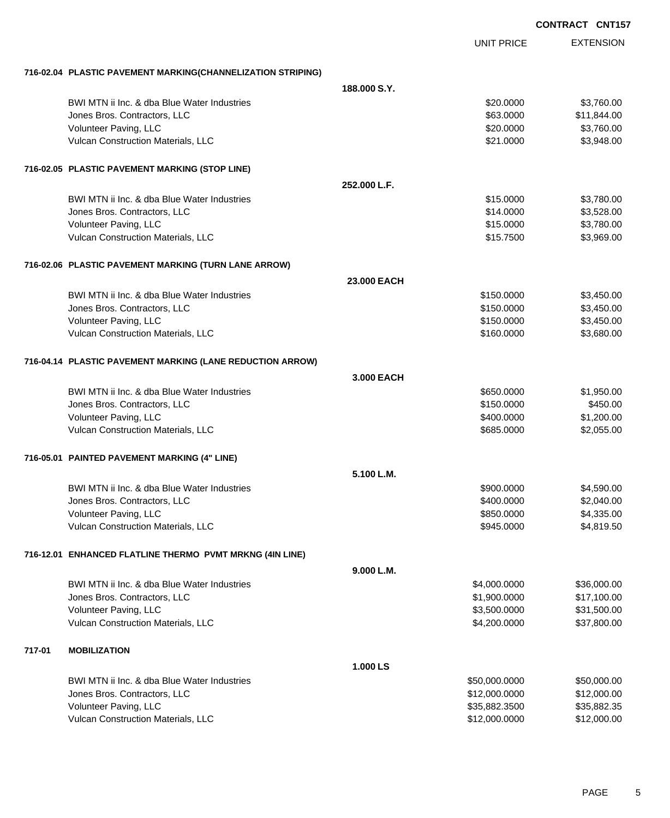|        |                                                             |                   | <b>CONTRACT CNT157</b> |  |
|--------|-------------------------------------------------------------|-------------------|------------------------|--|
|        |                                                             | <b>UNIT PRICE</b> | <b>EXTENSION</b>       |  |
|        | 716-02.04 PLASTIC PAVEMENT MARKING(CHANNELIZATION STRIPING) |                   |                        |  |
|        |                                                             | 188,000 S.Y.      |                        |  |
|        | BWI MTN ii Inc. & dba Blue Water Industries                 | \$20.0000         | \$3,760.00             |  |
|        | Jones Bros. Contractors, LLC                                | \$63.0000         | \$11,844.00            |  |
|        | Volunteer Paving, LLC                                       | \$20.0000         | \$3,760.00             |  |
|        | Vulcan Construction Materials, LLC                          | \$21,0000         | \$3,948.00             |  |
|        | 716-02.05 PLASTIC PAVEMENT MARKING (STOP LINE)              |                   |                        |  |
|        |                                                             | 252.000 L.F.      |                        |  |
|        | BWI MTN ii Inc. & dba Blue Water Industries                 | \$15.0000         | \$3,780.00             |  |
|        | Jones Bros. Contractors, LLC                                | \$14.0000         | \$3,528.00             |  |
|        | Volunteer Paving, LLC                                       | \$15.0000         | \$3,780.00             |  |
|        | Vulcan Construction Materials, LLC                          | \$15.7500         | \$3,969.00             |  |
|        | 716-02.06 PLASTIC PAVEMENT MARKING (TURN LANE ARROW)        |                   |                        |  |
|        |                                                             | 23.000 EACH       |                        |  |
|        | BWI MTN ii Inc. & dba Blue Water Industries                 | \$150,0000        | \$3,450.00             |  |
|        | Jones Bros. Contractors, LLC                                | \$150.0000        | \$3,450.00             |  |
|        | Volunteer Paving, LLC                                       | \$150.0000        | \$3,450.00             |  |
|        | Vulcan Construction Materials, LLC                          | \$160.0000        | \$3,680.00             |  |
|        | 716-04.14 PLASTIC PAVEMENT MARKING (LANE REDUCTION ARROW)   |                   |                        |  |
|        |                                                             | 3.000 EACH        |                        |  |
|        | BWI MTN ii Inc. & dba Blue Water Industries                 | \$650.0000        | \$1,950.00             |  |
|        | Jones Bros. Contractors, LLC                                | \$150.0000        | \$450.00               |  |
|        | Volunteer Paving, LLC                                       | \$400.0000        | \$1,200.00             |  |
|        | Vulcan Construction Materials, LLC                          | \$685.0000        | \$2,055.00             |  |
|        | 716-05.01 PAINTED PAVEMENT MARKING (4" LINE)                |                   |                        |  |
|        |                                                             | 5.100 L.M.        |                        |  |
|        | BWI MTN ii Inc. & dba Blue Water Industries                 | \$900.0000        | \$4,590.00             |  |
|        | Jones Bros. Contractors, LLC                                | \$400.0000        | \$2,040.00             |  |
|        | Volunteer Paving, LLC                                       | \$850.0000        | \$4,335.00             |  |
|        | Vulcan Construction Materials, LLC                          | \$945.0000        | \$4,819.50             |  |
|        | 716-12.01 ENHANCED FLATLINE THERMO PVMT MRKNG (4IN LINE)    |                   |                        |  |
|        |                                                             | 9.000 L.M.        |                        |  |
|        | BWI MTN ii Inc. & dba Blue Water Industries                 | \$4,000.0000      | \$36,000.00            |  |
|        | Jones Bros. Contractors, LLC                                | \$1,900.0000      | \$17,100.00            |  |
|        | Volunteer Paving, LLC                                       | \$3,500.0000      | \$31,500.00            |  |
|        | Vulcan Construction Materials, LLC                          | \$4,200.0000      | \$37,800.00            |  |
| 717-01 | <b>MOBILIZATION</b>                                         |                   |                        |  |
|        |                                                             | 1.000 LS          |                        |  |
|        | BWI MTN ii Inc. & dba Blue Water Industries                 | \$50,000.0000     | \$50,000.00            |  |
|        | Jones Bros. Contractors, LLC                                | \$12,000.0000     | \$12,000.00            |  |
|        | Volunteer Paving, LLC                                       | \$35,882.3500     | \$35,882.35            |  |
|        | Vulcan Construction Materials, LLC                          | \$12,000.0000     | \$12,000.00            |  |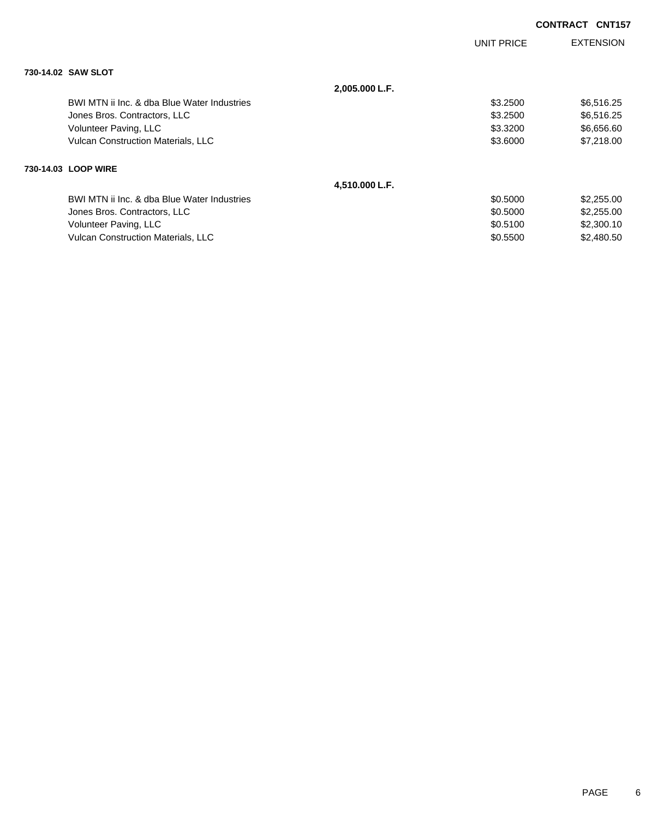|                                             |                |            | <b>CONTRACT CNT157</b> |
|---------------------------------------------|----------------|------------|------------------------|
|                                             |                | UNIT PRICE | <b>EXTENSION</b>       |
| 730-14.02 SAW SLOT                          |                |            |                        |
|                                             | 2,005.000 L.F. |            |                        |
| BWI MTN ii Inc. & dba Blue Water Industries |                | \$3.2500   | \$6,516.25             |
| Jones Bros. Contractors, LLC                |                | \$3,2500   | \$6,516.25             |
| Volunteer Paving, LLC                       |                | \$3.3200   | \$6,656.60             |
| <b>Vulcan Construction Materials, LLC</b>   |                | \$3.6000   | \$7,218.00             |
| 730-14.03 LOOP WIRE                         |                |            |                        |
|                                             | 4,510.000 L.F. |            |                        |
| BWI MTN ii Inc. & dba Blue Water Industries |                | \$0.5000   | \$2,255.00             |
| Jones Bros. Contractors, LLC                |                | \$0.5000   | \$2,255.00             |
| Volunteer Paving, LLC                       |                | \$0.5100   | \$2,300.10             |
| <b>Vulcan Construction Materials, LLC</b>   |                | \$0.5500   | \$2,480.50             |
|                                             |                |            |                        |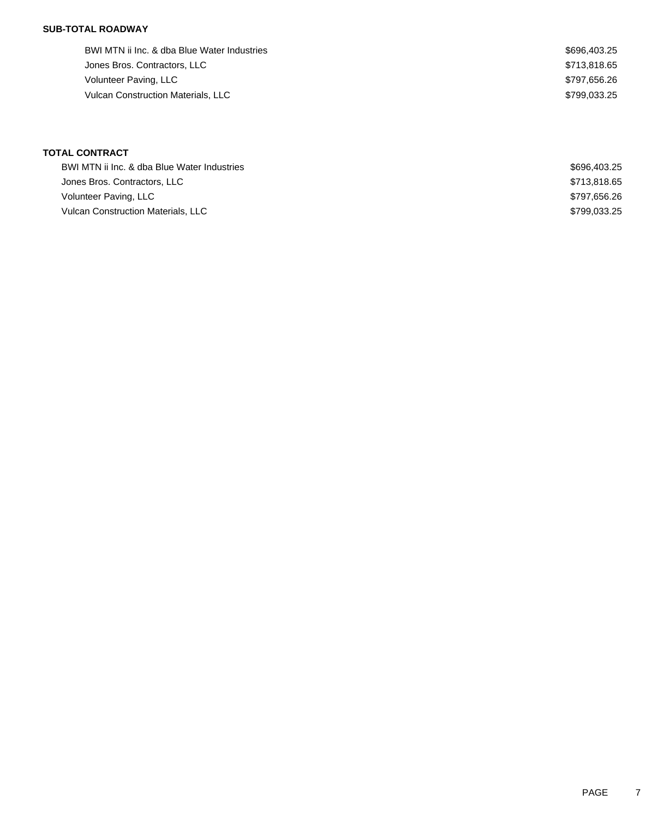BWI MTN ii Inc. & dba Blue Water Industries  $$696,403.25$ Jones Bros. Contractors, LLC \$713,818.65 Volunteer Paving, LLC \$797,656.26 Vulcan Construction Materials, LLC \$799,033.25

| BWI MTN ii Inc. & dba Blue Water Industries | \$696,403.25 |
|---------------------------------------------|--------------|
| Jones Bros. Contractors, LLC                | \$713.818.65 |
| Volunteer Paving, LLC                       | \$797.656.26 |
| <b>Vulcan Construction Materials, LLC</b>   | \$799.033.25 |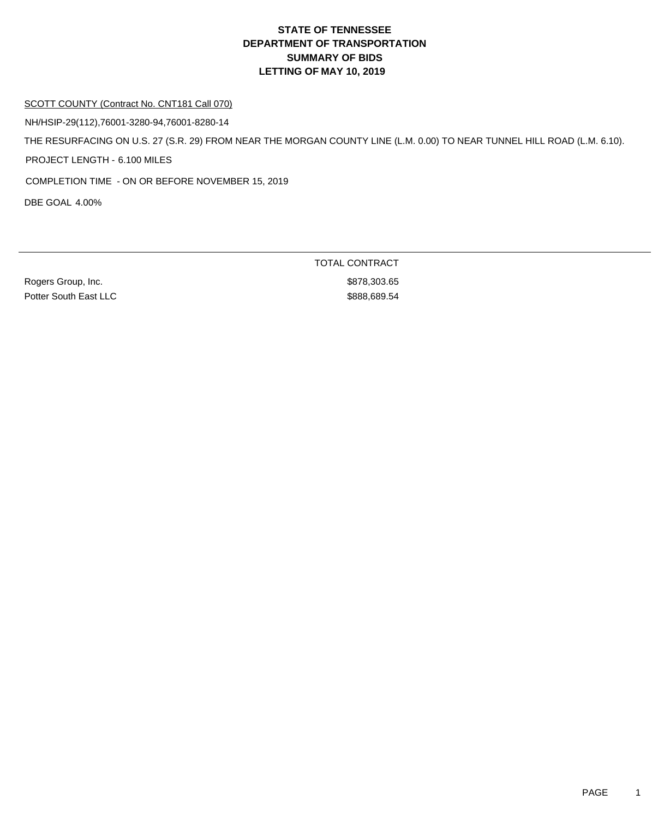#### SCOTT COUNTY (Contract No. CNT181 Call 070)

NH/HSIP-29(112),76001-3280-94,76001-8280-14

THE RESURFACING ON U.S. 27 (S.R. 29) FROM NEAR THE MORGAN COUNTY LINE (L.M. 0.00) TO NEAR TUNNEL HILL ROAD (L.M. 6.10).

PROJECT LENGTH - 6.100 MILES

COMPLETION TIME - ON OR BEFORE NOVEMBER 15, 2019

DBE GOAL 4.00%

Rogers Group, Inc. 66 and the state of the state of the state of the state of the state of the state of the state of the state of the state of the state of the state of the state of the state of the state of the state of t Potter South East LLC \$888,689.54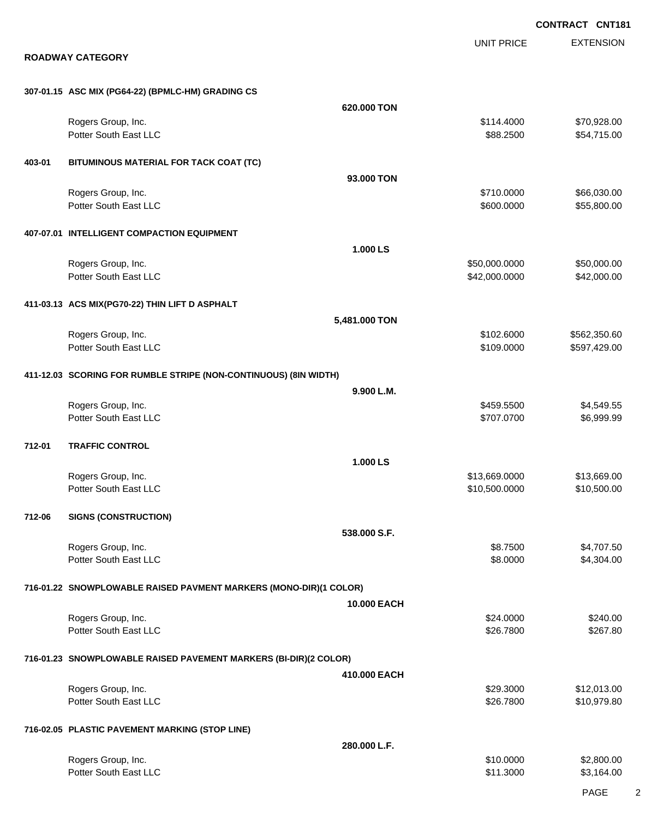EXTENSION **CONTRACT CNT181** UNIT PRICE **ROADWAY CATEGORY 307-01.15 ASC MIX (PG64-22) (BPMLC-HM) GRADING CS 620.000 TON** Rogers Group, Inc. \$114.4000 \$70,928.00 Potter South East LLC  $$88.2500$   $$54,715.00$ **403-01 BITUMINOUS MATERIAL FOR TACK COAT (TC) 93.000 TON** Rogers Group, Inc. \$66,030.00 \$66,030.00 \$66,030.00 \$66,030.00 \$66,030.00 \$66,030.00 \$66,030.00 \$66,030.00 \$66 Potter South East LLC  $$600.0000$  \$55,800.00 **407-07.01 INTELLIGENT COMPACTION EQUIPMENT 1.000 LS** Rogers Group, Inc. \$50,000.000 \$50,000.000 \$50,000.000 \$50,000.000 \$50,000.000 \$50,000.00 Potter South East LLC  $$42,000.0000$   $$42,000.000$ **411-03.13 ACS MIX(PG70-22) THIN LIFT D ASPHALT 5,481.000 TON** Rogers Group, Inc. \$102.6000 \$562,350.60 Potter South East LLC 6 297,429.00 **411-12.03 SCORING FOR RUMBLE STRIPE (NON-CONTINUOUS) (8IN WIDTH) 9.900 L.M.** Rogers Group, Inc. \$459.5500 \$4,549.55 Potter South East LLC 6.999.99 (1999.99) 1999.99 (1999.99 (1999.99 (1999.99 (1999.99 (1999.99 (1999.99 (1999.99 (1999.99 (1999.99 (1999.99 (1999.99 (1999.99 (1999.99 (1999.99 (1999.99 (1999.99 (1999.99 (1999.99 (1999.99 (1 **712-01 TRAFFIC CONTROL 1.000 LS** Rogers Group, Inc. \$13,669.000 \$13,669.000 \$13,669.000 \$13,669.000 \$13,669.000 \$13,669.00 Potter South East LLC 6 610,500.000 \$10,500.000 \$10,500.000 \$10,500.000 \$10,500.000 \$10,500.00 **712-06 SIGNS (CONSTRUCTION) 538.000 S.F.** Rogers Group, Inc. \$8.7500 \$4,707.50 Potter South East LLC  $$8.0000$  \$4,304.00 **716-01.22 SNOWPLOWABLE RAISED PAVMENT MARKERS (MONO-DIR)(1 COLOR) 10.000 EACH** Rogers Group, Inc. \$240.00 Potter South East LLC \$26.7800 \$267.80 **716-01.23 SNOWPLOWABLE RAISED PAVEMENT MARKERS (BI-DIR)(2 COLOR) 410.000 EACH** Rogers Group, Inc. \$29.3000 \$12,013.00 Potter South East LLC **\$26.7800** \$10,979.80 **716-02.05 PLASTIC PAVEMENT MARKING (STOP LINE) 280.000 L.F.** Rogers Group, Inc. \$1,800.00 \$2,800.00 \$2,800.00 \$2,800.00 \$2,800.00 \$2,800.00 \$2,800.00 \$2,800.00 \$2,800.00 \$2,800 Potter South East LLC  $$3,164.00$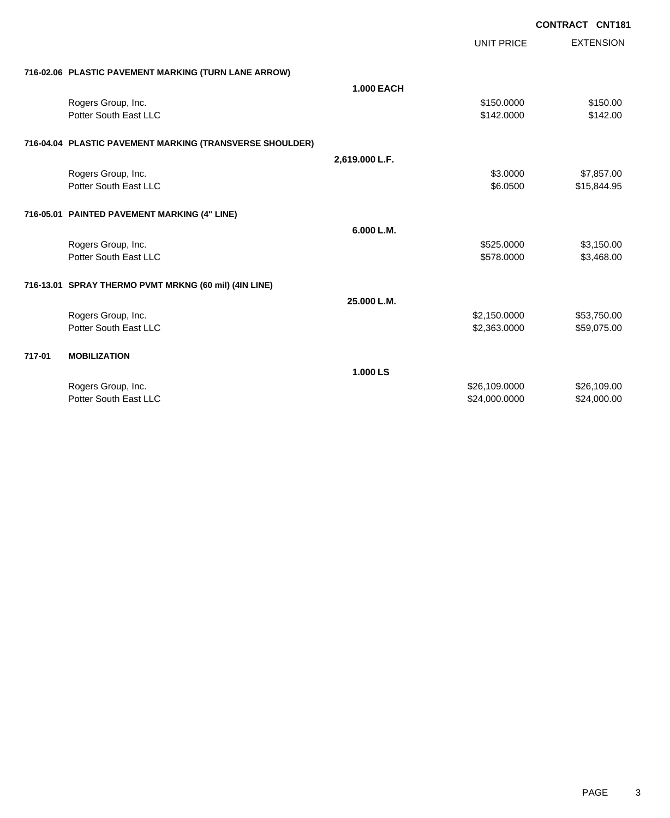|        |                                                          |                   | <b>UNIT PRICE</b> | <b>EXTENSION</b> |
|--------|----------------------------------------------------------|-------------------|-------------------|------------------|
|        | 716-02.06 PLASTIC PAVEMENT MARKING (TURN LANE ARROW)     |                   |                   |                  |
|        |                                                          | <b>1.000 EACH</b> |                   |                  |
|        | Rogers Group, Inc.                                       |                   | \$150,0000        | \$150.00         |
|        | Potter South East LLC                                    |                   | \$142.0000        | \$142.00         |
|        |                                                          |                   |                   |                  |
|        | 716-04.04 PLASTIC PAVEMENT MARKING (TRANSVERSE SHOULDER) |                   |                   |                  |
|        |                                                          | 2,619.000 L.F.    |                   |                  |
|        | Rogers Group, Inc.                                       |                   | \$3.0000          | \$7,857.00       |
|        | Potter South East LLC                                    |                   | \$6.0500          | \$15,844.95      |
|        |                                                          |                   |                   |                  |
|        | 716-05.01 PAINTED PAVEMENT MARKING (4" LINE)             |                   |                   |                  |
|        |                                                          | 6.000 L.M.        |                   |                  |
|        | Rogers Group, Inc.                                       |                   | \$525.0000        | \$3,150.00       |
|        | Potter South East LLC                                    |                   | \$578.0000        | \$3,468.00       |
|        |                                                          |                   |                   |                  |
|        | 716-13.01 SPRAY THERMO PVMT MRKNG (60 mil) (4IN LINE)    |                   |                   |                  |
|        |                                                          | 25.000 L.M.       |                   |                  |
|        | Rogers Group, Inc.                                       |                   | \$2,150.0000      | \$53,750.00      |
|        | Potter South East LLC                                    |                   | \$2,363.0000      | \$59,075.00      |
|        |                                                          |                   |                   |                  |
| 717-01 | <b>MOBILIZATION</b>                                      |                   |                   |                  |
|        |                                                          | 1.000 LS          |                   |                  |
|        | Rogers Group, Inc.                                       |                   | \$26,109.0000     | \$26,109.00      |
|        | Potter South East LLC                                    |                   | \$24,000.0000     | \$24,000.00      |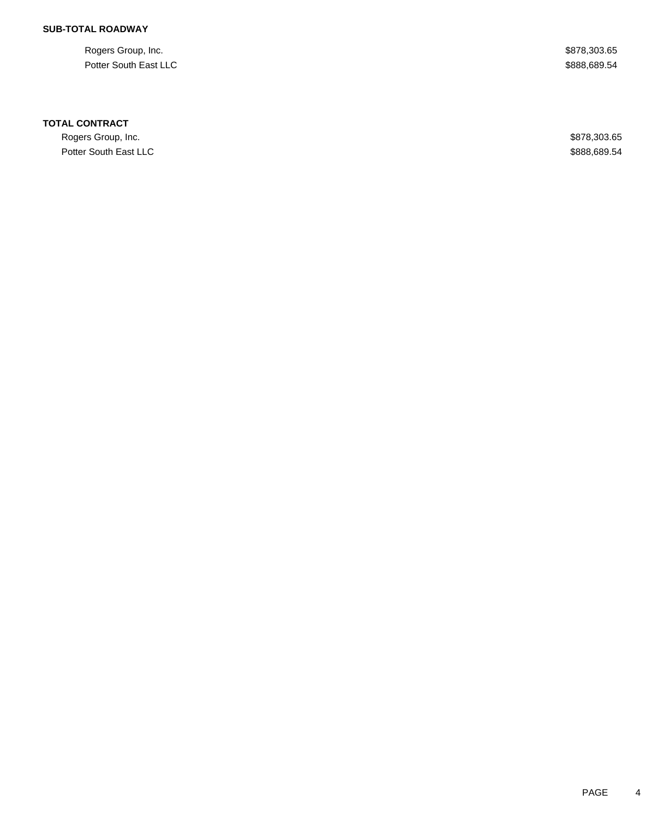### **SUB-TOTAL ROADWAY**

Rogers Group, Inc. \$878,303.65 Potter South East LLC \$888,689.54

#### **TOTAL CONTRACT**

Rogers Group, Inc. \$878,303.65 Potter South East LLC \$888,689.54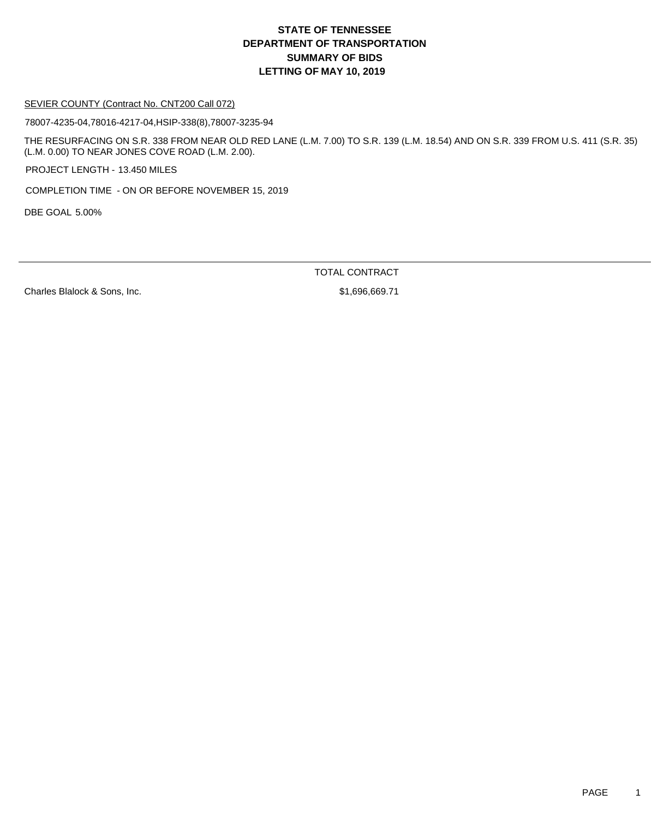#### SEVIER COUNTY (Contract No. CNT200 Call 072)

78007-4235-04,78016-4217-04,HSIP-338(8),78007-3235-94

THE RESURFACING ON S.R. 338 FROM NEAR OLD RED LANE (L.M. 7.00) TO S.R. 139 (L.M. 18.54) AND ON S.R. 339 FROM U.S. 411 (S.R. 35) (L.M. 0.00) TO NEAR JONES COVE ROAD (L.M. 2.00).

PROJECT LENGTH - 13.450 MILES

COMPLETION TIME - ON OR BEFORE NOVEMBER 15, 2019

DBE GOAL 5.00%

TOTAL CONTRACT

Charles Blalock & Sons, Inc. \$1,696,669.71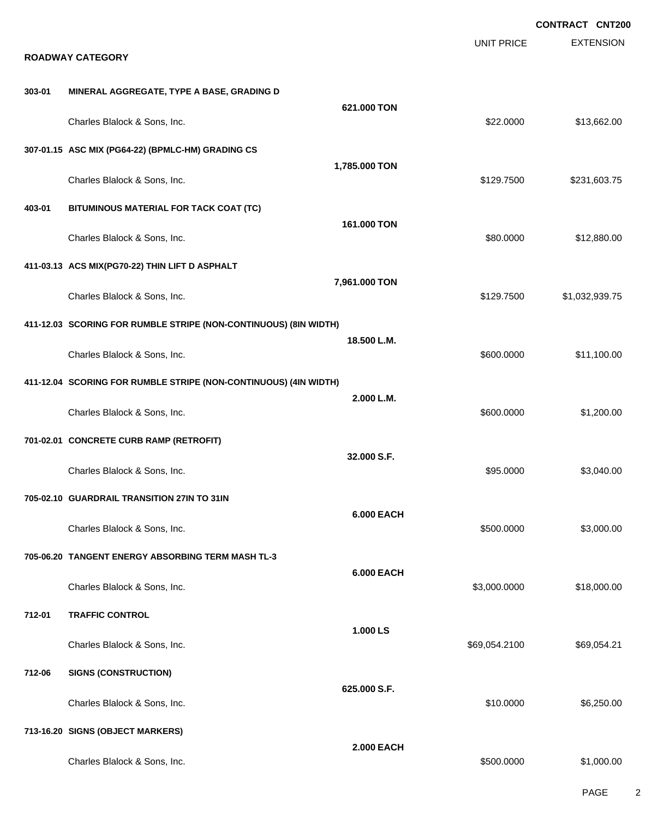|        |                                                                  |                   |                   | <b>CONTRACT CNT200</b> |
|--------|------------------------------------------------------------------|-------------------|-------------------|------------------------|
|        | <b>ROADWAY CATEGORY</b>                                          |                   | <b>UNIT PRICE</b> | <b>EXTENSION</b>       |
| 303-01 |                                                                  |                   |                   |                        |
|        | MINERAL AGGREGATE, TYPE A BASE, GRADING D                        | 621.000 TON       |                   |                        |
|        | Charles Blalock & Sons, Inc.                                     |                   | \$22.0000         | \$13,662.00            |
|        | 307-01.15 ASC MIX (PG64-22) (BPMLC-HM) GRADING CS                |                   |                   |                        |
|        | Charles Blalock & Sons, Inc.                                     | 1,785.000 TON     | \$129.7500        | \$231,603.75           |
| 403-01 | BITUMINOUS MATERIAL FOR TACK COAT (TC)                           |                   |                   |                        |
|        | Charles Blalock & Sons, Inc.                                     | 161.000 TON       | \$80.0000         | \$12,880.00            |
|        | 411-03.13 ACS MIX(PG70-22) THIN LIFT D ASPHALT                   |                   |                   |                        |
|        | Charles Blalock & Sons, Inc.                                     | 7,961.000 TON     | \$129.7500        | \$1,032,939.75         |
|        | 411-12.03 SCORING FOR RUMBLE STRIPE (NON-CONTINUOUS) (8IN WIDTH) |                   |                   |                        |
|        | Charles Blalock & Sons, Inc.                                     | 18.500 L.M.       | \$600.0000        | \$11,100.00            |
|        | 411-12.04 SCORING FOR RUMBLE STRIPE (NON-CONTINUOUS) (4IN WIDTH) |                   |                   |                        |
|        | Charles Blalock & Sons, Inc.                                     | 2.000 L.M.        | \$600.0000        | \$1,200.00             |
|        | 701-02.01 CONCRETE CURB RAMP (RETROFIT)                          |                   |                   |                        |
|        | Charles Blalock & Sons, Inc.                                     | 32.000 S.F.       | \$95.0000         | \$3,040.00             |
|        | 705-02.10 GUARDRAIL TRANSITION 27IN TO 31IN                      |                   |                   |                        |
|        | Charles Blalock & Sons, Inc.                                     | <b>6.000 EACH</b> | \$500.0000        | \$3,000.00             |
|        | 705-06.20 TANGENT ENERGY ABSORBING TERM MASH TL-3                |                   |                   |                        |
|        | Charles Blalock & Sons, Inc.                                     | <b>6.000 EACH</b> | \$3,000.0000      | \$18,000.00            |
| 712-01 | <b>TRAFFIC CONTROL</b>                                           |                   |                   |                        |
|        | Charles Blalock & Sons, Inc.                                     | 1.000 LS          | \$69,054.2100     | \$69,054.21            |
| 712-06 | <b>SIGNS (CONSTRUCTION)</b>                                      |                   |                   |                        |
|        | Charles Blalock & Sons, Inc.                                     | 625.000 S.F.      | \$10.0000         | \$6,250.00             |
|        | 713-16.20 SIGNS (OBJECT MARKERS)                                 |                   |                   |                        |
|        | Charles Blalock & Sons, Inc.                                     | <b>2.000 EACH</b> | \$500.0000        | \$1,000.00             |

PAGE 2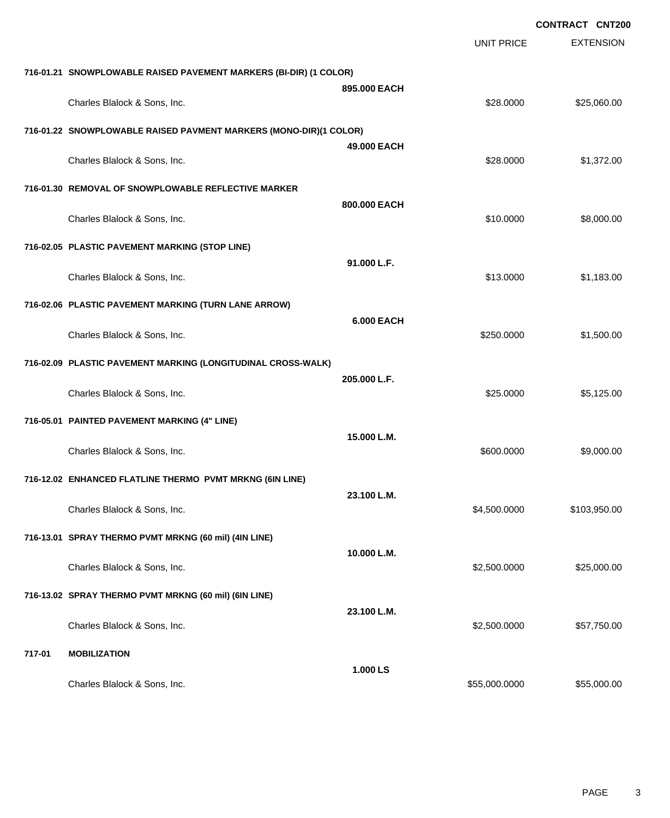|        |                                                                   |                   |                   | <b>CONTRACT CNT200</b> |
|--------|-------------------------------------------------------------------|-------------------|-------------------|------------------------|
|        |                                                                   |                   | <b>UNIT PRICE</b> | <b>EXTENSION</b>       |
|        | 716-01.21 SNOWPLOWABLE RAISED PAVEMENT MARKERS (BI-DIR) (1 COLOR) |                   |                   |                        |
|        | Charles Blalock & Sons, Inc.                                      | 895,000 EACH      | \$28.0000         | \$25,060.00            |
|        | 716-01.22 SNOWPLOWABLE RAISED PAVMENT MARKERS (MONO-DIR)(1 COLOR) |                   |                   |                        |
|        | Charles Blalock & Sons, Inc.                                      | 49.000 EACH       | \$28,0000         | \$1,372.00             |
|        | 716-01.30 REMOVAL OF SNOWPLOWABLE REFLECTIVE MARKER               |                   |                   |                        |
|        | Charles Blalock & Sons, Inc.                                      | 800.000 EACH      | \$10.0000         | \$8,000.00             |
|        | 716-02.05 PLASTIC PAVEMENT MARKING (STOP LINE)                    |                   |                   |                        |
|        | Charles Blalock & Sons, Inc.                                      | 91.000 L.F.       | \$13.0000         | \$1,183.00             |
|        | 716-02.06 PLASTIC PAVEMENT MARKING (TURN LANE ARROW)              |                   |                   |                        |
|        | Charles Blalock & Sons, Inc.                                      | <b>6.000 EACH</b> | \$250.0000        | \$1,500.00             |
|        | 716-02.09 PLASTIC PAVEMENT MARKING (LONGITUDINAL CROSS-WALK)      |                   |                   |                        |
|        | Charles Blalock & Sons, Inc.                                      | 205.000 L.F.      | \$25.0000         | \$5,125.00             |
|        | 716-05.01 PAINTED PAVEMENT MARKING (4" LINE)                      |                   |                   |                        |
|        | Charles Blalock & Sons, Inc.                                      | 15.000 L.M.       | \$600.0000        | \$9,000.00             |
|        | 716-12.02 ENHANCED FLATLINE THERMO PVMT MRKNG (6IN LINE)          |                   |                   |                        |
|        | Charles Blalock & Sons, Inc.                                      | 23.100 L.M.       | \$4,500.0000      | \$103,950.00           |
|        | 716-13.01 SPRAY THERMO PVMT MRKNG (60 mil) (4IN LINE)             |                   |                   |                        |
|        | Charles Blalock & Sons, Inc.                                      | 10.000 L.M.       | \$2,500.0000      | \$25,000.00            |
|        | 716-13.02 SPRAY THERMO PVMT MRKNG (60 mil) (6IN LINE)             |                   |                   |                        |
|        | Charles Blalock & Sons, Inc.                                      | 23.100 L.M.       | \$2,500.0000      | \$57,750.00            |
| 717-01 | <b>MOBILIZATION</b>                                               |                   |                   |                        |
|        | Charles Blalock & Sons, Inc.                                      | 1.000 LS          | \$55,000.0000     | \$55,000.00            |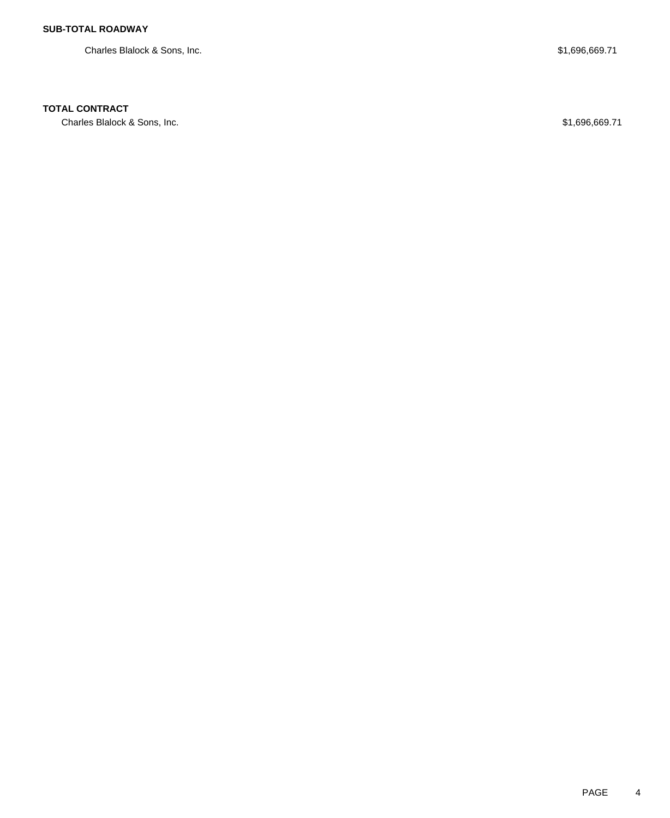Charles Blalock & Sons, Inc.  $$1,696,669.71$ 

### **TOTAL CONTRACT**

Charles Blalock & Sons, Inc. 68 and the Charles Blalock & Sons, Inc. 686,669.71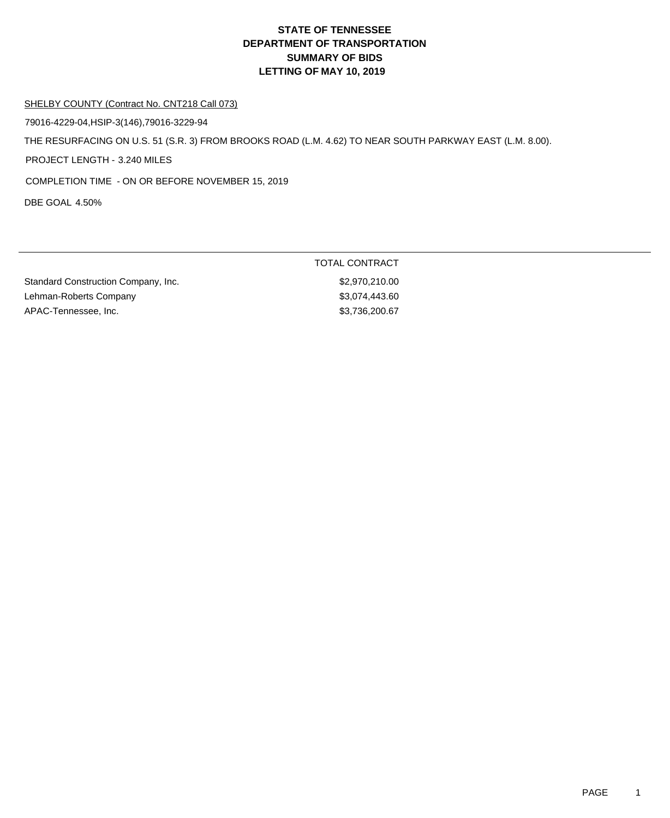#### SHELBY COUNTY (Contract No. CNT218 Call 073)

79016-4229-04,HSIP-3(146),79016-3229-94

THE RESURFACING ON U.S. 51 (S.R. 3) FROM BROOKS ROAD (L.M. 4.62) TO NEAR SOUTH PARKWAY EAST (L.M. 8.00).

PROJECT LENGTH - 3.240 MILES

COMPLETION TIME - ON OR BEFORE NOVEMBER 15, 2019

DBE GOAL 4.50%

| Standard Construction Company, Inc. | \$2,970,210.00 |
|-------------------------------------|----------------|
| Lehman-Roberts Company              | \$3,074,443.60 |
| APAC-Tennessee, Inc.                | \$3.736.200.67 |

TOTAL CONTRACT \$2,970,210.00 Lehman-Roberts Company \$3,074,443.60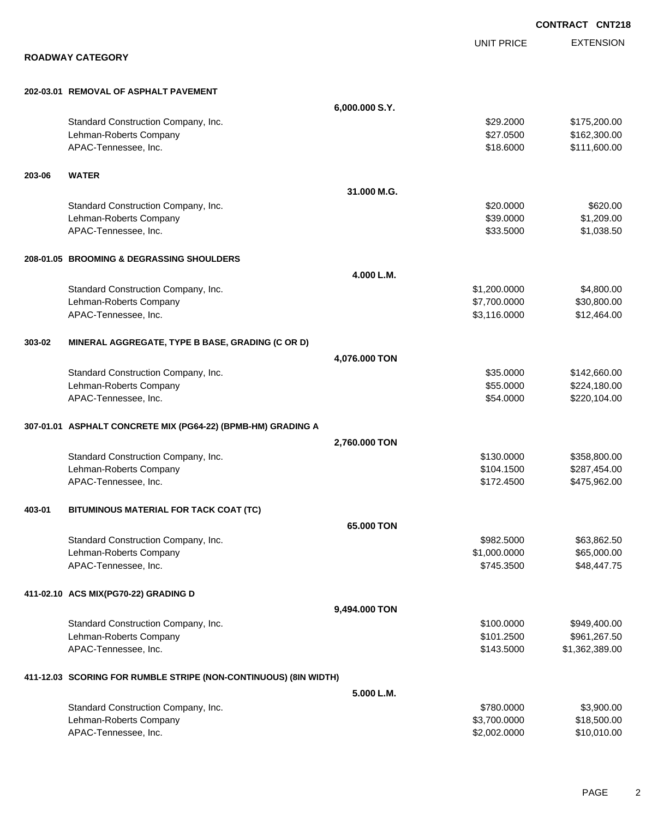|        |                                                                  |                |                   | <b>CONTRACT CNT218</b> |
|--------|------------------------------------------------------------------|----------------|-------------------|------------------------|
|        |                                                                  |                | <b>UNIT PRICE</b> | <b>EXTENSION</b>       |
|        | <b>ROADWAY CATEGORY</b>                                          |                |                   |                        |
|        | 202-03.01 REMOVAL OF ASPHALT PAVEMENT                            |                |                   |                        |
|        |                                                                  | 6,000.000 S.Y. |                   |                        |
|        | Standard Construction Company, Inc.                              |                | \$29.2000         | \$175,200.00           |
|        | Lehman-Roberts Company                                           |                | \$27.0500         | \$162,300.00           |
|        | APAC-Tennessee, Inc.                                             |                | \$18.6000         | \$111,600.00           |
| 203-06 | <b>WATER</b>                                                     |                |                   |                        |
|        |                                                                  | 31.000 M.G.    |                   |                        |
|        | Standard Construction Company, Inc.                              |                | \$20.0000         | \$620.00               |
|        | Lehman-Roberts Company                                           |                | \$39.0000         | \$1,209.00             |
|        | APAC-Tennessee, Inc.                                             |                | \$33.5000         | \$1,038.50             |
|        | 208-01.05 BROOMING & DEGRASSING SHOULDERS                        |                |                   |                        |
|        |                                                                  | 4.000 L.M.     |                   |                        |
|        | Standard Construction Company, Inc.                              |                | \$1,200.0000      | \$4,800.00             |
|        | Lehman-Roberts Company                                           |                | \$7,700.0000      | \$30,800.00            |
|        | APAC-Tennessee, Inc.                                             |                | \$3,116.0000      | \$12,464.00            |
| 303-02 | MINERAL AGGREGATE, TYPE B BASE, GRADING (C OR D)                 |                |                   |                        |
|        |                                                                  | 4,076.000 TON  |                   |                        |
|        | Standard Construction Company, Inc.                              |                | \$35.0000         | \$142,660.00           |
|        | Lehman-Roberts Company                                           |                | \$55.0000         | \$224,180.00           |
|        | APAC-Tennessee, Inc.                                             |                | \$54.0000         | \$220,104.00           |
|        | 307-01.01 ASPHALT CONCRETE MIX (PG64-22) (BPMB-HM) GRADING A     |                |                   |                        |
|        |                                                                  | 2,760.000 TON  |                   |                        |
|        | Standard Construction Company, Inc.                              |                | \$130,0000        | \$358,800.00           |
|        | Lehman-Roberts Company                                           |                | \$104.1500        | \$287,454.00           |
|        | APAC-Tennessee, Inc.                                             |                | \$172.4500        | \$475,962.00           |
| 403-01 | BITUMINOUS MATERIAL FOR TACK COAT (TC)                           |                |                   |                        |
|        |                                                                  | 65.000 TON     |                   |                        |
|        | Standard Construction Company, Inc.                              |                | \$982.5000        | \$63,862.50            |
|        | Lehman-Roberts Company                                           |                | \$1,000.0000      | \$65,000.00            |
|        | APAC-Tennessee, Inc.                                             |                | \$745.3500        | \$48,447.75            |
|        | 411-02.10 ACS MIX(PG70-22) GRADING D                             |                |                   |                        |
|        |                                                                  | 9,494.000 TON  |                   |                        |
|        | Standard Construction Company, Inc.                              |                | \$100.0000        | \$949,400.00           |
|        | Lehman-Roberts Company                                           |                | \$101.2500        | \$961,267.50           |
|        | APAC-Tennessee, Inc.                                             |                | \$143.5000        | \$1,362,389.00         |
|        | 411-12.03 SCORING FOR RUMBLE STRIPE (NON-CONTINUOUS) (8IN WIDTH) |                |                   |                        |
|        |                                                                  | 5.000 L.M.     |                   |                        |
|        | Standard Construction Company, Inc.                              |                | \$780.0000        | \$3,900.00             |
|        | Lehman-Roberts Company                                           |                | \$3,700.0000      | \$18,500.00            |
|        | APAC-Tennessee, Inc.                                             |                | \$2,002.0000      | \$10,010.00            |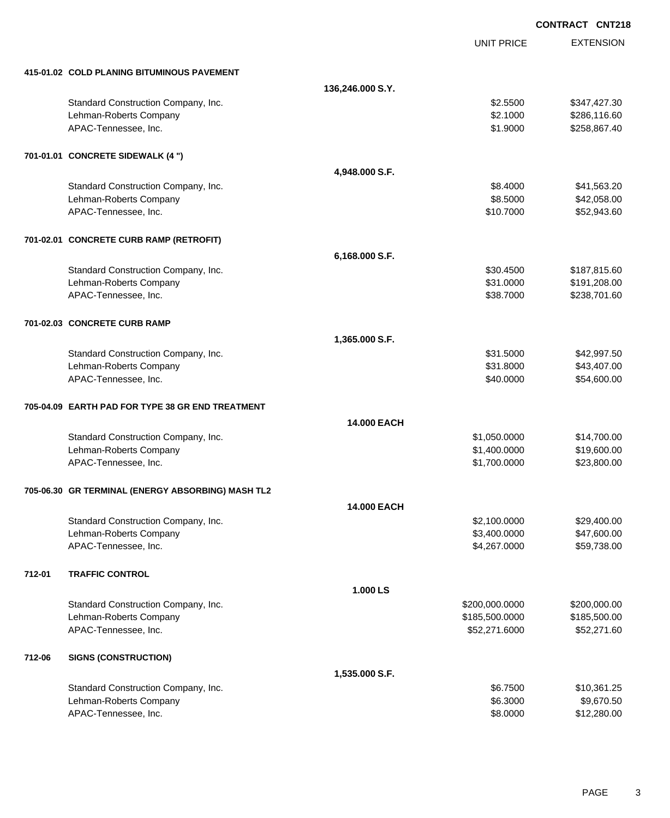EXTENSION UNIT PRICE **415-01.02 COLD PLANING BITUMINOUS PAVEMENT 136,246.000 S.Y.** Standard Construction Company, Inc. 6. 2.5500 \$347,427.30 Lehman-Roberts Company **6.116.60 Company 6.116.60 \$2.1000 \$2.1000 \$2.1000 \$2.86,116.60** APAC-Tennessee, Inc. \$1.9000 \$258,867.40 **701-01.01 CONCRETE SIDEWALK (4 ") 4,948.000 S.F.** Standard Construction Company, Inc. 63.20 (1992) 1992 12:30 (1993) 1993 1994 1995 1996 1997 1998 1999 1998 199 Lehman-Roberts Company **\$8.5000 \$42,058.00** \$42,058.00 APAC-Tennessee, Inc. \$10.7000 \$52,943.60 **701-02.01 CONCRETE CURB RAMP (RETROFIT) 6,168.000 S.F.** Standard Construction Company, Inc. 6. The Standard Construction Company, Inc. \$30.4500 \$187,815.60 Lehman-Roberts Company **621.0000 \$191,208.00** \$31.0000 \$191,208.00 APAC-Tennessee, Inc. 60 and the state of the state of the state of the state of the state of the state of the state of the state of the state of the state of the state of the state of the state of the state of the state of **701-02.03 CONCRETE CURB RAMP 1,365.000 S.F.** Standard Construction Company, Inc. 6. The Construction Company, Inc. 6. The Construction Company, Inc. 6. The Construction Company, Inc. 6. The Construction Company, Inc. 6. The Construction Company, Inc. 6. The Construct Lehman-Roberts Company 643,407.00 APAC-Tennessee, Inc. \$40.0000 \$54,600.00 **705-04.09 EARTH PAD FOR TYPE 38 GR END TREATMENT 14.000 EACH** Standard Construction Company, Inc. 6. The Construction Company, Inc. 6. The Construction Company, Inc. 6. The Construction Company, Inc. 6. The Construction Company, Inc. 6. The Construction Company, Inc. 6. The Construct Lehman-Roberts Company 61,400.0000 \$1,400.0000 \$1,400.000 \$1,400.000 \$1,400.000 \$19,600.00 APAC-Tennessee, Inc. \$1,700.0000 \$23,800.00 **705-06.30 GR TERMINAL (ENERGY ABSORBING) MASH TL2 14.000 EACH** Standard Construction Company, Inc. 6. The Construction Company, Inc. 6. The Construction Company, Inc. 6. The Construction Company, Inc. 6. The Construction Company, Inc. 6. The Construction Company, Inc. 6. The Construct Lehman-Roberts Company 647,600.00 \$47,600.00 \$1,400.000 \$3,400.000 \$47,600.00 APAC-Tennessee, Inc. \$4,267.0000 \$59,738.00 **712-01 TRAFFIC CONTROL 1.000 LS** Standard Construction Company, Inc. \$200,000.0000 \$200,000.00 Lehman-Roberts Company 6185,500.000 \$185,500.000 \$185,500.000 \$185,500.000 \$185,500.00 APAC-Tennessee, Inc. 66 and the state of the state of the state of the state of the state of the state of the state of the state of the state of the state of the state of the state of the state of the state of the state of **712-06 SIGNS (CONSTRUCTION) 1,535.000 S.F.** Standard Construction Company, Inc. 6. The Standard Construction Company, Inc. 6. The Standard Construction Company, Inc. 6. The Standard Standard Standard Standard Standard Standard Standard Standard Standard Standard Sta Lehman-Roberts Company 6.68000 \$9,670.50 APAC-Tennessee, Inc. \$8.0000 \$12,280.00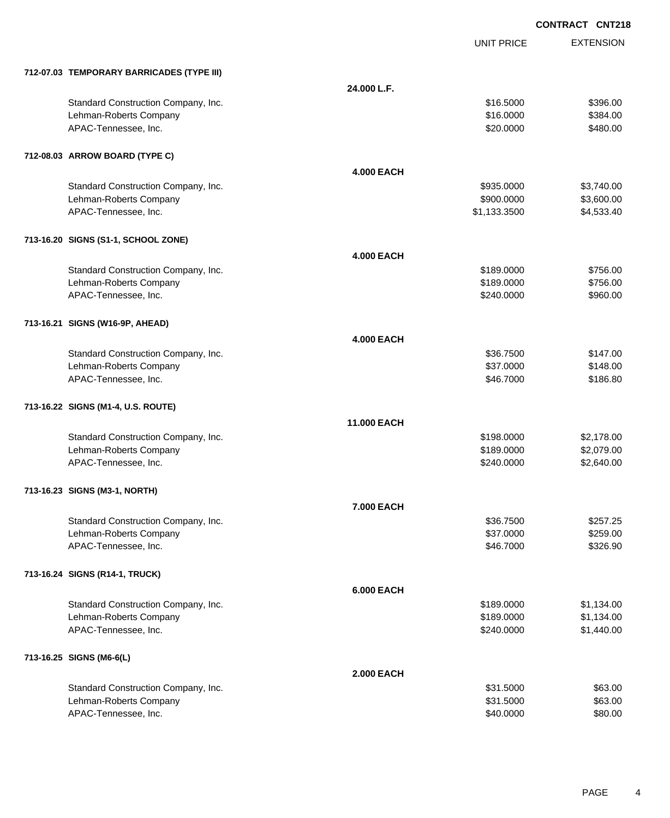|                                           |                   | <b>UNIT PRICE</b> | <b>EXTENSION</b> |
|-------------------------------------------|-------------------|-------------------|------------------|
| 712-07.03 TEMPORARY BARRICADES (TYPE III) |                   |                   |                  |
|                                           | 24.000 L.F.       |                   |                  |
| Standard Construction Company, Inc.       |                   | \$16.5000         | \$396.00         |
| Lehman-Roberts Company                    |                   | \$16.0000         | \$384.00         |
| APAC-Tennessee, Inc.                      |                   | \$20.0000         | \$480.00         |
| 712-08.03 ARROW BOARD (TYPE C)            |                   |                   |                  |
|                                           | <b>4.000 EACH</b> |                   |                  |
| Standard Construction Company, Inc.       |                   | \$935.0000        | \$3,740.00       |
| Lehman-Roberts Company                    |                   | \$900.0000        | \$3,600.00       |
| APAC-Tennessee, Inc.                      |                   | \$1,133.3500      | \$4,533.40       |
| 713-16.20 SIGNS (S1-1, SCHOOL ZONE)       |                   |                   |                  |
|                                           | <b>4.000 EACH</b> |                   |                  |
| Standard Construction Company, Inc.       |                   | \$189.0000        | \$756.00         |
| Lehman-Roberts Company                    |                   | \$189.0000        | \$756.00         |
| APAC-Tennessee, Inc.                      |                   | \$240.0000        | \$960.00         |
| 713-16.21 SIGNS (W16-9P, AHEAD)           |                   |                   |                  |
|                                           | <b>4.000 EACH</b> |                   |                  |
| Standard Construction Company, Inc.       |                   | \$36.7500         | \$147.00         |
| Lehman-Roberts Company                    |                   | \$37.0000         | \$148.00         |
| APAC-Tennessee, Inc.                      |                   | \$46.7000         | \$186.80         |
| 713-16.22 SIGNS (M1-4, U.S. ROUTE)        |                   |                   |                  |
|                                           | 11.000 EACH       |                   |                  |
| Standard Construction Company, Inc.       |                   | \$198.0000        | \$2,178.00       |
| Lehman-Roberts Company                    |                   | \$189.0000        | \$2,079.00       |
| APAC-Tennessee, Inc.                      |                   | \$240.0000        | \$2,640.00       |
| 713-16.23 SIGNS (M3-1, NORTH)             |                   |                   |                  |
|                                           | <b>7.000 EACH</b> |                   |                  |
| Standard Construction Company, Inc.       |                   | \$36.7500         | \$257.25         |
| Lehman-Roberts Company                    |                   | \$37.0000         | \$259.00         |
| APAC-Tennessee, Inc.                      |                   | \$46.7000         | \$326.90         |
| 713-16.24 SIGNS (R14-1, TRUCK)            |                   |                   |                  |
|                                           | <b>6.000 EACH</b> |                   |                  |
| Standard Construction Company, Inc.       |                   | \$189.0000        | \$1,134.00       |
| Lehman-Roberts Company                    |                   | \$189.0000        | \$1,134.00       |
| APAC-Tennessee, Inc.                      |                   | \$240.0000        | \$1,440.00       |
| 713-16.25 SIGNS (M6-6(L)                  |                   |                   |                  |
|                                           | <b>2.000 EACH</b> |                   |                  |
| Standard Construction Company, Inc.       |                   | \$31.5000         | \$63.00          |
| Lehman-Roberts Company                    |                   | \$31.5000         | \$63.00          |
| APAC-Tennessee, Inc.                      |                   | \$40.0000         | \$80.00          |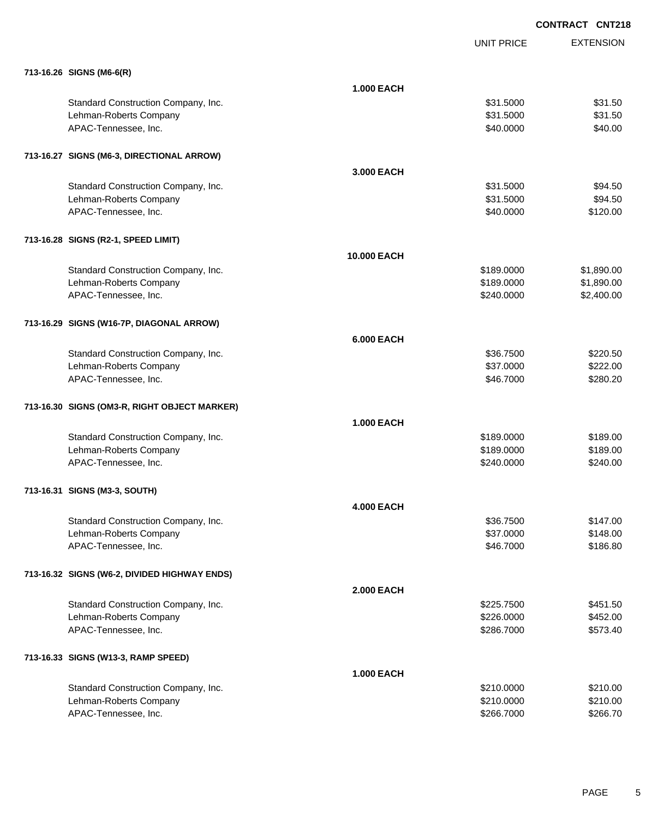**EXTENSION CONTRACT CNT218** UNIT PRICE **713-16.26 SIGNS (M6-6(R) 1.000 EACH** Standard Construction Company, Inc. 6. The Standard Construction Company, Inc. 6. The Standard Construction Company, Inc. 6. The Standard Construction Company, Inc. 6. The Standard Construction Company, Inc. 6. The Standar Lehman-Roberts Company **\$31.5000** \$31.5000 \$31.5000 \$31.5000 \$31.5000 \$31.5000 \$31.5000 \$31.5000 \$31.5000 \$31.50 APAC-Tennessee, Inc. \$40.000 \$40.000 \$40.000 \$40.000 \$40.000 \$40.000 \$40.000 \$40.000 \$40.00 **713-16.27 SIGNS (M6-3, DIRECTIONAL ARROW) 3.000 EACH** Standard Construction Company, Inc. 6. The Standard Construction Company, Inc. 6. The Standard Construction Company, Inc. 6. The Standard Standard Standard Standard Standard Standard Standard Standard Standard Standard Sta Lehman-Roberts Company \$31.5000 \$94.50 APAC-Tennessee, Inc. \$120.00 \$120.00 \$120.00 \$120.00 \$120.00 \$120.00 \$120.00 \$120.00 \$120.00 \$120.00 \$120.00 \$120.00 **713-16.28 SIGNS (R2-1, SPEED LIMIT) 10.000 EACH** Standard Construction Company, Inc. 6. The Construction Company, Inc. 6. The Construction Company, Inc. 6. The Construction Company, Inc. 6. The Construction Company, Inc. 6. The Construction Company, Inc. 6. The Construct Lehman-Roberts Company **60000 \$1,890.000 \$1,890.000 \$1,890.00** APAC-Tennessee, Inc. 6240.000 \$2,400.00 \$2,400.00 \$2,400.00 \$2,400.00 \$2,400.00 \$2,400.00 \$2,400.00 \$2,400.00 \$2,400.00 \$2,400.00 \$2,400.00 \$2,400.00 \$2,400.00 \$2,400.00 \$2,400.00 \$2,400.00 \$2,400.00 \$2,400.00 \$2,400.00 \$2 **713-16.29 SIGNS (W16-7P, DIAGONAL ARROW) 6.000 EACH** Standard Construction Company, Inc. 6. The Standard Construction Company, Inc. 6. The Standard Construction Company, Inc. 6. The Standard Construction Company, Inc. 6. The Standard Construction Company, Inc. 6. The Standar Lehman-Roberts Company **\$222.00** \$37.0000 \$222.00 APAC-Tennessee, Inc. \$280.20 \$280.20 \$280.20 \$280.20 \$16.7000 \$280.20 \$280.20 \$280.20 \$280.20 \$280.20 \$280.20 **713-16.30 SIGNS (OM3-R, RIGHT OBJECT MARKER) 1.000 EACH** Standard Construction Company, Inc. 6. The Construction Company, Inc. 6. The Construction Company, Inc. 6. The Construction Company, Inc. 6. The Construction Company, Inc. 6. The Construction Company, Inc. 6. The Construct Lehman-Roberts Company 6189.000 \$189.000 \$189.000 \$189.000 \$189.000 \$189.000 \$189.00 APAC-Tennessee, Inc. \$240.000 \$240.000 \$240.000 \$250.000 \$250.000 \$250.000 \$250.000 \$250.000 \$250.00 \$250.00 \$ **713-16.31 SIGNS (M3-3, SOUTH) 4.000 EACH** Standard Construction Company, Inc. 6. The Standard Construction Company, Inc. 6. The Standard Construction Company, Inc. 6. The Standard Construction Company, Inc. 6. The Standard Construction Company, Inc. 6. The Standar Lehman-Roberts Company **\$148.00** \$148.00 APAC-Tennessee, Inc. \$186.80 **713-16.32 SIGNS (W6-2, DIVIDED HIGHWAY ENDS) 2.000 EACH** Standard Construction Company, Inc. 6. The Construction Company, Inc. 6. The Construction Company, Inc. 6. The Construction Company, Inc. 6. The Construction Company, Inc. 6. The Construction Company, Inc. 6. The Construct Lehman-Roberts Company 6452.00 \$452.00 \$452.00 \$452.00 \$452.00 \$452.00 \$452.00 \$452.00 APAC-Tennessee, Inc. \$286.7000 \$573.40 **713-16.33 SIGNS (W13-3, RAMP SPEED) 1.000 EACH** Standard Construction Company, Inc. 6. The Construction Company, Inc. 6. The Construction Company, Inc. 6. The Construction Company, Inc. 6. The Construction Company, Inc. 6. The Construction Company, Inc. 6. The Construct Lehman-Roberts Company 6210.000 \$210.000 \$210.000 \$210.000 \$210.000 \$210.000 \$210.00

APAC-Tennessee, Inc. \$266.7000 \$266.7000 \$266.7000 \$266.7000 \$266.7000 \$266.7000 \$266.7000 \$266.7000 \$266.7000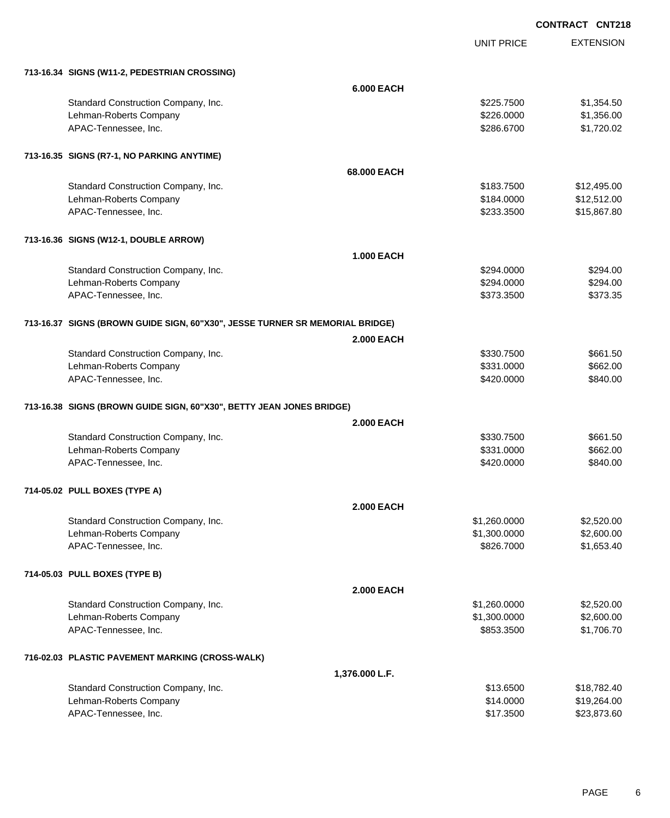UNIT PRICE

EXTENSION

| 713-16.34 SIGNS (W11-2, PEDESTRIAN CROSSING)                                 |                   |              |             |
|------------------------------------------------------------------------------|-------------------|--------------|-------------|
|                                                                              | <b>6.000 EACH</b> |              |             |
| Standard Construction Company, Inc.                                          |                   | \$225.7500   | \$1,354.50  |
| Lehman-Roberts Company                                                       |                   | \$226.0000   | \$1,356.00  |
| APAC-Tennessee, Inc.                                                         |                   | \$286.6700   | \$1,720.02  |
| 713-16.35 SIGNS (R7-1, NO PARKING ANYTIME)                                   |                   |              |             |
|                                                                              | 68,000 EACH       |              |             |
| Standard Construction Company, Inc.                                          |                   | \$183.7500   | \$12,495.00 |
| Lehman-Roberts Company                                                       |                   | \$184.0000   | \$12,512.00 |
| APAC-Tennessee, Inc.                                                         |                   | \$233.3500   | \$15,867.80 |
| 713-16.36 SIGNS (W12-1, DOUBLE ARROW)                                        |                   |              |             |
|                                                                              | <b>1.000 EACH</b> |              |             |
| Standard Construction Company, Inc.                                          |                   | \$294.0000   | \$294.00    |
| Lehman-Roberts Company                                                       |                   | \$294.0000   | \$294.00    |
| APAC-Tennessee, Inc.                                                         |                   | \$373.3500   | \$373.35    |
| 713-16.37 SIGNS (BROWN GUIDE SIGN, 60"X30", JESSE TURNER SR MEMORIAL BRIDGE) |                   |              |             |
|                                                                              | <b>2.000 EACH</b> |              |             |
| Standard Construction Company, Inc.                                          |                   | \$330.7500   | \$661.50    |
| Lehman-Roberts Company                                                       |                   | \$331.0000   | \$662.00    |
| APAC-Tennessee, Inc.                                                         |                   | \$420.0000   | \$840.00    |
| 713-16.38 SIGNS (BROWN GUIDE SIGN, 60"X30", BETTY JEAN JONES BRIDGE)         |                   |              |             |
|                                                                              | <b>2.000 EACH</b> |              |             |
| Standard Construction Company, Inc.                                          |                   | \$330.7500   | \$661.50    |
| Lehman-Roberts Company                                                       |                   | \$331.0000   | \$662.00    |
| APAC-Tennessee, Inc.                                                         |                   | \$420.0000   | \$840.00    |
| 714-05.02 PULL BOXES (TYPE A)                                                |                   |              |             |
|                                                                              | <b>2.000 EACH</b> |              |             |
| Standard Construction Company, Inc.                                          |                   | \$1,260.0000 | \$2,520.00  |
| Lehman-Roberts Company                                                       |                   | \$1,300.0000 | \$2,600.00  |
| APAC-Tennessee, Inc.                                                         |                   | \$826.7000   | \$1,653.40  |
| 714-05.03 PULL BOXES (TYPE B)                                                |                   |              |             |
|                                                                              | <b>2.000 EACH</b> |              |             |
| Standard Construction Company, Inc.                                          |                   | \$1,260.0000 | \$2,520.00  |
| Lehman-Roberts Company                                                       |                   | \$1,300.0000 | \$2,600.00  |
| APAC-Tennessee, Inc.                                                         |                   | \$853.3500   | \$1,706.70  |
| 716-02.03 PLASTIC PAVEMENT MARKING (CROSS-WALK)                              |                   |              |             |
|                                                                              | 1,376.000 L.F.    |              |             |
| Standard Construction Company, Inc.                                          |                   | \$13.6500    | \$18,782.40 |
| Lehman-Roberts Company                                                       |                   | \$14.0000    | \$19,264.00 |
| APAC-Tennessee, Inc.                                                         |                   | \$17.3500    | \$23,873.60 |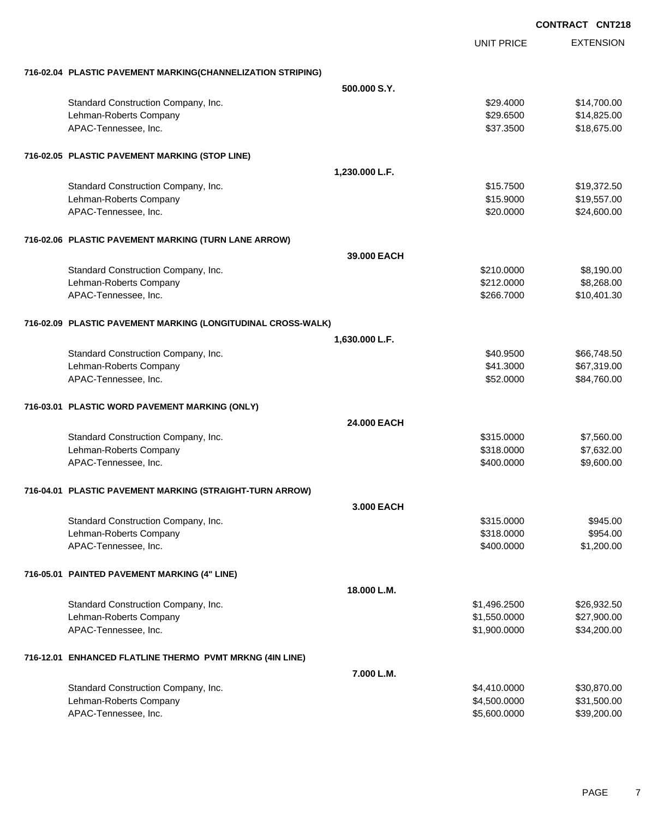**EXTENSION CONTRACT CNT218** UNIT PRICE **716-02.04 PLASTIC PAVEMENT MARKING(CHANNELIZATION STRIPING) 500.000 S.Y.** Standard Construction Company, Inc. 6. The Construction Company, Inc. 6. The Construction Company, Inc. 6. The Construction Company, Inc. 6. The Construction Company, Inc. 6. The Construction Company, Inc. 6. The Construct Lehman-Roberts Company **\$29.6500** \$14,825.00 APAC-Tennessee, Inc. \$37.3500 \$18,675.00 **716-02.05 PLASTIC PAVEMENT MARKING (STOP LINE) 1,230.000 L.F.** Standard Construction Company, Inc. 6. The Standard Construction Company, Inc. 6. The Standard Construction Company, Inc. 6. The Standard Standard Standard Standard Standard Standard Standard Standard Standard Standard Sta Lehman-Roberts Company **619,557.00 \$15.9000** \$19,557.00 APAC-Tennessee, Inc. \$24,600.00 \$24,600.00 \$24,600.00 \$24,600.00 \$24,600.00 \$25 **716-02.06 PLASTIC PAVEMENT MARKING (TURN LANE ARROW) 39.000 EACH** Standard Construction Company, Inc. 6. The Construction Company, Inc. 6. The Construction Company, Inc. 6. The Construction Company, Inc. 6. The Construction Company, Inc. 6. The Construction Company, Inc. 6. The Construct Lehman-Roberts Company **6212.0000** \$8,268.00 APAC-Tennessee, Inc. \$10,401.30 **716-02.09 PLASTIC PAVEMENT MARKING (LONGITUDINAL CROSS-WALK) 1,630.000 L.F.** Standard Construction Company, Inc. 6. The Construction Company, Inc. \$40.9500 \$66,748.50 Lehman-Roberts Company 667,319.00 APAC-Tennessee, Inc. \$52.0000 \$84,760.00 **716-03.01 PLASTIC WORD PAVEMENT MARKING (ONLY) 24.000 EACH** Standard Construction Company, Inc. 6. The Construction Company, Inc. 6. The Construction Company, Inc. 6. The Construction Company, Inc. 6. The Construction Company, Inc. 6. The Construction Company, Inc. 6. The Construct Lehman-Roberts Company 6318.000 \$7,632.00 APAC-Tennessee, Inc. 69,600.000 \$9,600.000 \$9,600.000 \$9,600.000 \$9,600.00 \$9,600.00 \$9,600.00 \$9,600.00 \$9,600 **716-04.01 PLASTIC PAVEMENT MARKING (STRAIGHT-TURN ARROW) 3.000 EACH** Standard Construction Company, Inc. 6. The Construction Company, Inc. 6. The Construction Company, Inc. 6. The Construction Company, Inc. 6. The Construction Company, Inc. 6. The Construction Company, Inc. 6. The Construct Lehman-Roberts Company 6954.00 APAC-Tennessee, Inc. \$1,200.00 \$1,200.00 \$1,200.00 \$1,200.00 \$1,200.00 \$1,200.00 \$1,200.00 \$1,200.00 \$1,200.00 **716-05.01 PAINTED PAVEMENT MARKING (4" LINE) 18.000 L.M.** Standard Construction Company, Inc. 6. The Construction Company, Inc. 6. The Construction Company, Inc. 6. The Construction Company, Inc. 6. The Construction Company, Inc. 6. The Construction Company, Inc. 6. The Construct Lehman-Roberts Company 627,900.00 \$27,900.00 \$1,550.0000 \$27,900.00 APAC-Tennessee, Inc. \$1,900.0000 \$34,200.000 \$34,200.000 \$1,900.000 \$1,900.000 \$534,200.00 **716-12.01 ENHANCED FLATLINE THERMO PVMT MRKNG (4IN LINE) 7.000 L.M.** Standard Construction Company, Inc. 6. The Construction Company, Inc. 6. The Construction Company, Inc. 6. The Construction Company, Inc. 6. The Construction Company, Inc. 6. The Construction Company, Inc. 6. The Construct Lehman-Roberts Company 631,500.000 \$31,500.000 \$4,500.000 \$31,500.000 \$531,500.00 APAC-Tennessee, Inc. \$5,600.0000 \$39,200.00 \$5,600.000 \$5,600.000 \$5,600.000 \$5,500.000 \$5,500.00 \$5,500.00 \$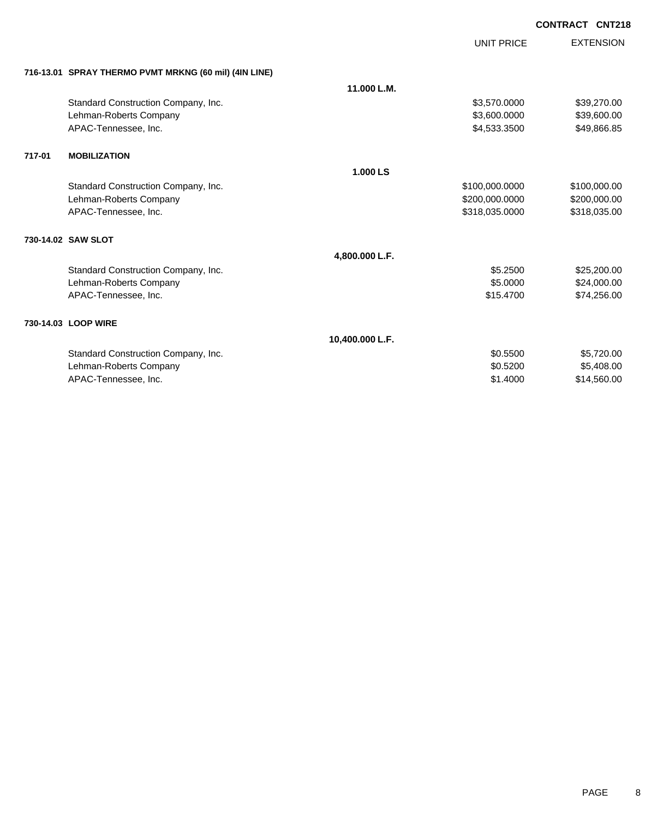|        |                                                       |                 | <b>UNIT PRICE</b> | <b>EXTENSION</b> |
|--------|-------------------------------------------------------|-----------------|-------------------|------------------|
|        | 716-13.01 SPRAY THERMO PVMT MRKNG (60 mil) (4IN LINE) |                 |                   |                  |
|        |                                                       | 11.000 L.M.     |                   |                  |
|        | Standard Construction Company, Inc.                   |                 | \$3,570.0000      | \$39,270.00      |
|        | Lehman-Roberts Company                                |                 | \$3,600.0000      | \$39,600.00      |
|        | APAC-Tennessee, Inc.                                  |                 | \$4,533.3500      | \$49,866.85      |
| 717-01 | <b>MOBILIZATION</b>                                   |                 |                   |                  |
|        |                                                       | 1.000 LS        |                   |                  |
|        | Standard Construction Company, Inc.                   |                 | \$100,000.0000    | \$100,000.00     |
|        | Lehman-Roberts Company                                |                 | \$200,000.0000    | \$200,000.00     |
|        | APAC-Tennessee, Inc.                                  |                 | \$318,035.0000    | \$318,035.00     |
|        | 730-14.02 SAW SLOT                                    |                 |                   |                  |
|        |                                                       | 4,800.000 L.F.  |                   |                  |
|        | Standard Construction Company, Inc.                   |                 | \$5.2500          | \$25,200.00      |
|        | Lehman-Roberts Company                                |                 | \$5.0000          | \$24,000.00      |
|        | APAC-Tennessee, Inc.                                  |                 | \$15.4700         | \$74,256.00      |
|        | 730-14.03 LOOP WIRE                                   |                 |                   |                  |
|        |                                                       | 10,400.000 L.F. |                   |                  |
|        | Standard Construction Company, Inc.                   |                 | \$0.5500          | \$5,720.00       |
|        | Lehman-Roberts Company                                |                 | \$0.5200          | \$5,408.00       |
|        | APAC-Tennessee, Inc.                                  |                 | \$1,4000          | \$14,560.00      |
|        |                                                       |                 |                   |                  |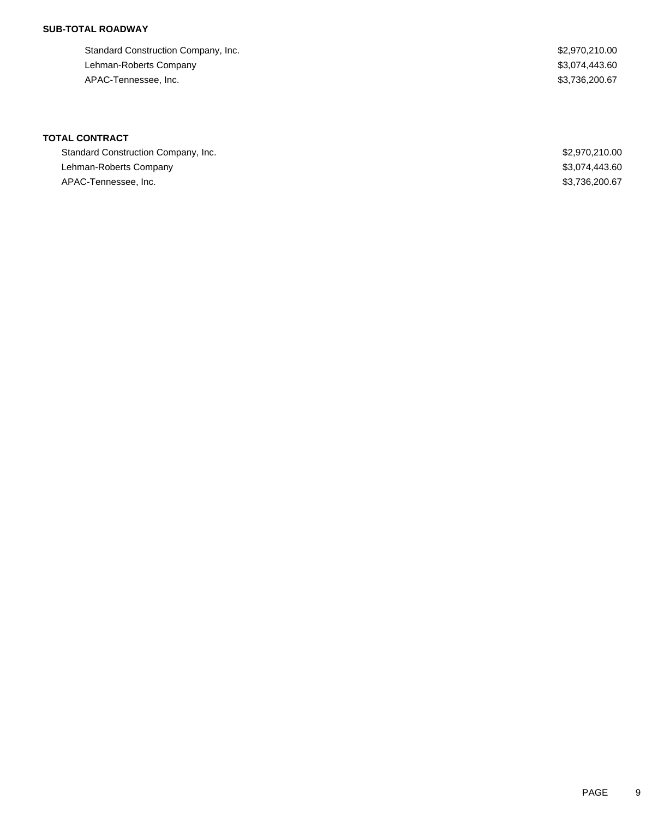### **SUB-TOTAL ROADWAY**

Standard Construction Company, Inc. 6. The Standard Construction Company, Inc. 6. The Standard Construction Company, Inc. Lehman-Roberts Company \$3,074,443.60 APAC-Tennessee, Inc. \$3,736,200.67

# **TOTAL CONTRACT**

| Standard Construction Company, Inc. | \$2,970,210.00 |
|-------------------------------------|----------------|
| Lehman-Roberts Company              | \$3,074,443.60 |
| APAC-Tennessee, Inc.                | \$3,736,200.67 |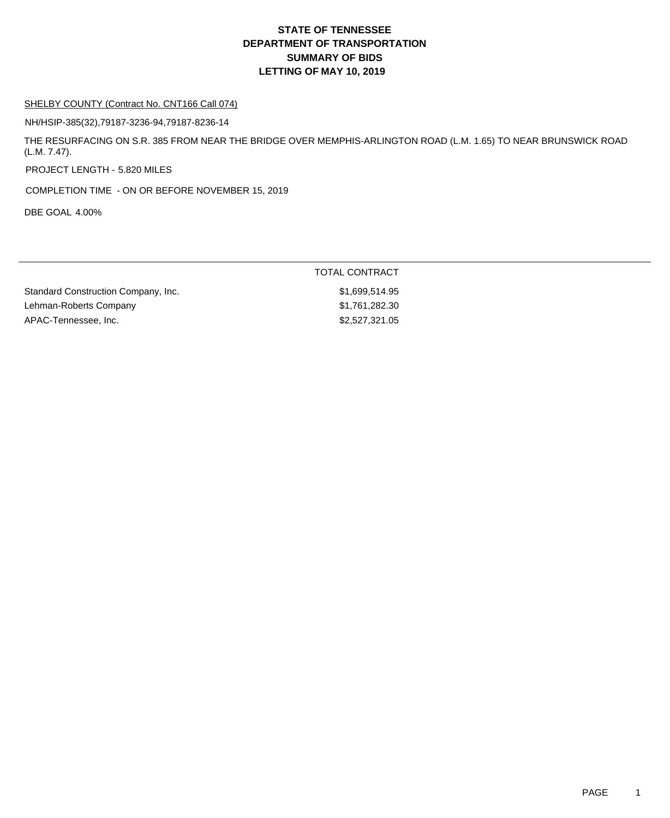#### SHELBY COUNTY (Contract No. CNT166 Call 074)

NH/HSIP-385(32),79187-3236-94,79187-8236-14

THE RESURFACING ON S.R. 385 FROM NEAR THE BRIDGE OVER MEMPHIS-ARLINGTON ROAD (L.M. 1.65) TO NEAR BRUNSWICK ROAD (L.M. 7.47).

PROJECT LENGTH - 5.820 MILES

COMPLETION TIME - ON OR BEFORE NOVEMBER 15, 2019

DBE GOAL 4.00%

|                                     | TOTAL CONTRACT |
|-------------------------------------|----------------|
| Standard Construction Company, Inc. | \$1,699,514.95 |
| Lehman-Roberts Company              | \$1.761.282.30 |
| APAC-Tennessee, Inc.                | \$2,527,321.05 |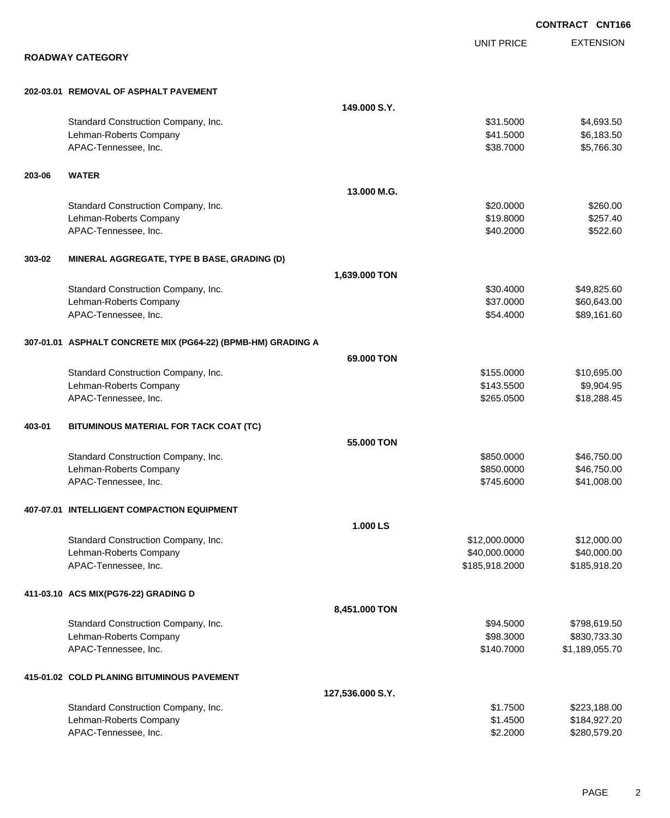|        |                                                              |                  |                   | <b>CONTRACT CNT166</b> |
|--------|--------------------------------------------------------------|------------------|-------------------|------------------------|
|        |                                                              |                  | <b>UNIT PRICE</b> | <b>EXTENSION</b>       |
|        | <b>ROADWAY CATEGORY</b>                                      |                  |                   |                        |
|        | 202-03.01 REMOVAL OF ASPHALT PAVEMENT                        |                  |                   |                        |
|        |                                                              | 149,000 S.Y.     |                   |                        |
|        | Standard Construction Company, Inc.                          |                  | \$31.5000         | \$4,693.50             |
|        | Lehman-Roberts Company                                       |                  | \$41.5000         | \$6,183.50             |
|        | APAC-Tennessee, Inc.                                         |                  | \$38.7000         | \$5,766.30             |
| 203-06 | <b>WATER</b>                                                 |                  |                   |                        |
|        |                                                              | 13.000 M.G.      |                   |                        |
|        | Standard Construction Company, Inc.                          |                  | \$20.0000         | \$260.00               |
|        | Lehman-Roberts Company                                       |                  | \$19.8000         | \$257.40               |
|        | APAC-Tennessee, Inc.                                         |                  | \$40.2000         | \$522.60               |
| 303-02 | MINERAL AGGREGATE, TYPE B BASE, GRADING (D)                  |                  |                   |                        |
|        |                                                              | 1,639.000 TON    |                   |                        |
|        | Standard Construction Company, Inc.                          |                  | \$30.4000         | \$49,825.60            |
|        | Lehman-Roberts Company                                       |                  | \$37.0000         | \$60,643.00            |
|        | APAC-Tennessee, Inc.                                         |                  | \$54.4000         | \$89,161.60            |
|        | 307-01.01 ASPHALT CONCRETE MIX (PG64-22) (BPMB-HM) GRADING A |                  |                   |                        |
|        |                                                              | 69.000 TON       |                   |                        |
|        | Standard Construction Company, Inc.                          |                  | \$155.0000        | \$10,695.00            |
|        | Lehman-Roberts Company                                       |                  | \$143.5500        | \$9,904.95             |
|        | APAC-Tennessee, Inc.                                         |                  | \$265.0500        | \$18,288.45            |
| 403-01 | BITUMINOUS MATERIAL FOR TACK COAT (TC)                       |                  |                   |                        |
|        |                                                              | 55.000 TON       |                   |                        |
|        | Standard Construction Company, Inc.                          |                  | \$850.0000        | \$46,750.00            |
|        | Lehman-Roberts Company                                       |                  | \$850.0000        | \$46,750.00            |
|        | APAC-Tennessee, Inc.                                         |                  | \$745.6000        | \$41,008.00            |
|        | 407-07.01 INTELLIGENT COMPACTION EQUIPMENT                   |                  |                   |                        |
|        |                                                              | 1.000 LS         |                   |                        |
|        | Standard Construction Company, Inc.                          |                  | \$12,000.0000     | \$12,000.00            |
|        | Lehman-Roberts Company                                       |                  | \$40,000.0000     | \$40,000.00            |
|        | APAC-Tennessee, Inc.                                         |                  | \$185,918.2000    | \$185,918.20           |
|        | 411-03.10 ACS MIX(PG76-22) GRADING D                         |                  |                   |                        |
|        |                                                              | 8,451.000 TON    |                   |                        |
|        | Standard Construction Company, Inc.                          |                  | \$94.5000         | \$798,619.50           |
|        | Lehman-Roberts Company                                       |                  | \$98.3000         | \$830,733.30           |
|        | APAC-Tennessee, Inc.                                         |                  | \$140.7000        | \$1,189,055.70         |
|        | 415-01.02 COLD PLANING BITUMINOUS PAVEMENT                   |                  |                   |                        |
|        |                                                              | 127,536.000 S.Y. |                   |                        |
|        | Standard Construction Company, Inc.                          |                  | \$1.7500          | \$223,188.00           |
|        | Lehman-Roberts Company                                       |                  | \$1.4500          | \$184,927.20           |
|        | APAC-Tennessee, Inc.                                         |                  | \$2.2000          | \$280,579.20           |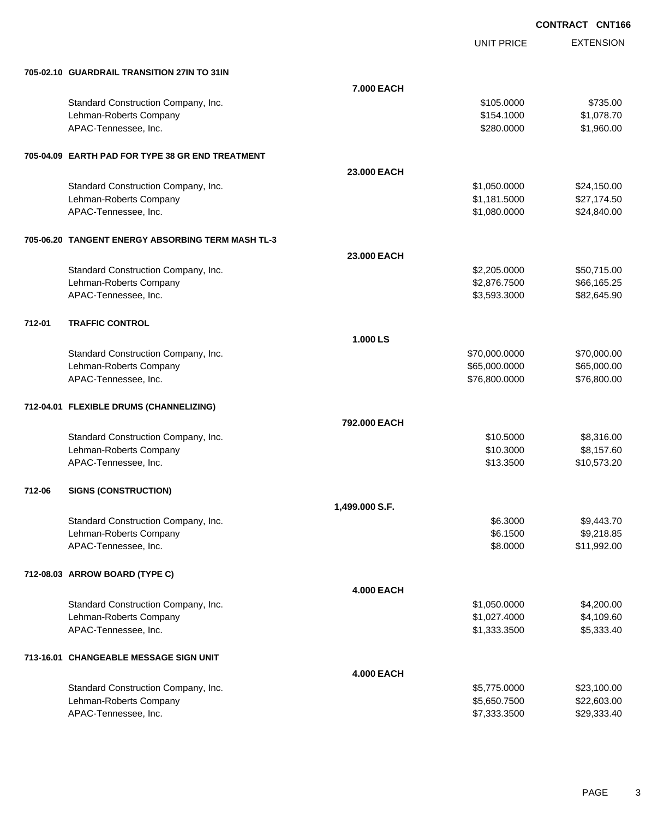UNIT PRICE

EXTENSION

| 705-02.10 GUARDRAIL TRANSITION 27IN TO 31IN |  |
|---------------------------------------------|--|

|        | 705-02.10 GUARDRAIL TRANSITION 27IN TO 31IN       |                   |               |             |
|--------|---------------------------------------------------|-------------------|---------------|-------------|
|        |                                                   | 7.000 EACH        |               |             |
|        | Standard Construction Company, Inc.               |                   | \$105.0000    | \$735.00    |
|        | Lehman-Roberts Company                            |                   | \$154.1000    | \$1,078.70  |
|        | APAC-Tennessee, Inc.                              |                   | \$280.0000    | \$1,960.00  |
|        | 705-04.09 EARTH PAD FOR TYPE 38 GR END TREATMENT  |                   |               |             |
|        |                                                   | 23.000 EACH       |               |             |
|        | Standard Construction Company, Inc.               |                   | \$1,050.0000  | \$24,150.00 |
|        | Lehman-Roberts Company                            |                   | \$1,181.5000  | \$27,174.50 |
|        | APAC-Tennessee, Inc.                              |                   | \$1,080.0000  | \$24,840.00 |
|        | 705-06.20 TANGENT ENERGY ABSORBING TERM MASH TL-3 |                   |               |             |
|        |                                                   | 23.000 EACH       |               |             |
|        | Standard Construction Company, Inc.               |                   | \$2,205.0000  | \$50,715.00 |
|        | Lehman-Roberts Company                            |                   | \$2,876.7500  | \$66,165.25 |
|        | APAC-Tennessee, Inc.                              |                   | \$3,593.3000  | \$82,645.90 |
| 712-01 | <b>TRAFFIC CONTROL</b>                            |                   |               |             |
|        |                                                   | 1.000 LS          |               |             |
|        | Standard Construction Company, Inc.               |                   | \$70,000.0000 | \$70,000.00 |
|        | Lehman-Roberts Company                            |                   | \$65,000.0000 | \$65,000.00 |
|        | APAC-Tennessee, Inc.                              |                   | \$76,800.0000 | \$76,800.00 |
|        | 712-04.01 FLEXIBLE DRUMS (CHANNELIZING)           |                   |               |             |
|        |                                                   | 792.000 EACH      |               |             |
|        | Standard Construction Company, Inc.               |                   | \$10.5000     | \$8,316.00  |
|        | Lehman-Roberts Company                            |                   | \$10.3000     | \$8,157.60  |
|        | APAC-Tennessee, Inc.                              |                   | \$13.3500     | \$10,573.20 |
| 712-06 | <b>SIGNS (CONSTRUCTION)</b>                       |                   |               |             |
|        |                                                   | 1,499.000 S.F.    |               |             |
|        | Standard Construction Company, Inc.               |                   | \$6.3000      | \$9,443.70  |
|        | Lehman-Roberts Company                            |                   | \$6.1500      | \$9,218.85  |
|        | APAC-Tennessee, Inc.                              |                   | \$8.0000      | \$11,992.00 |
|        | 712-08.03 ARROW BOARD (TYPE C)                    |                   |               |             |
|        |                                                   | <b>4.000 EACH</b> |               |             |
|        | Standard Construction Company, Inc.               |                   | \$1,050.0000  | \$4,200.00  |
|        | Lehman-Roberts Company                            |                   | \$1,027.4000  | \$4,109.60  |
|        | APAC-Tennessee, Inc.                              |                   | \$1,333.3500  | \$5,333.40  |
|        | 713-16.01 CHANGEABLE MESSAGE SIGN UNIT            |                   |               |             |
|        |                                                   | <b>4.000 EACH</b> |               |             |
|        | Standard Construction Company, Inc.               |                   | \$5,775.0000  | \$23,100.00 |
|        | Lehman-Roberts Company                            |                   | \$5,650.7500  | \$22,603.00 |
|        | APAC-Tennessee, Inc.                              |                   | \$7,333.3500  | \$29,333.40 |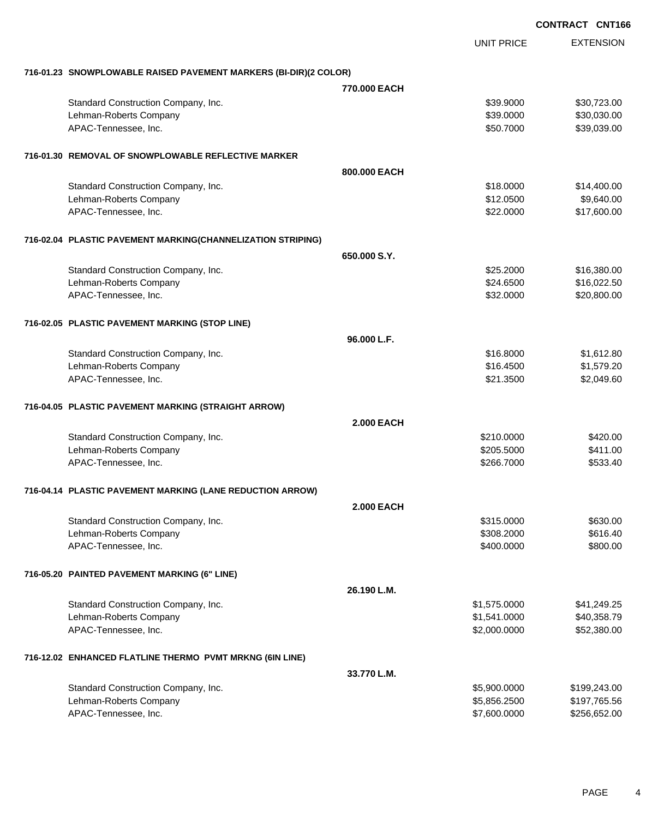|                                                                  |                   |                   | <b>CONTRACT CNT166</b> |                  |
|------------------------------------------------------------------|-------------------|-------------------|------------------------|------------------|
|                                                                  |                   | <b>UNIT PRICE</b> |                        | <b>EXTENSION</b> |
| 716-01.23 SNOWPLOWABLE RAISED PAVEMENT MARKERS (BI-DIR)(2 COLOR) |                   |                   |                        |                  |
|                                                                  | 770,000 EACH      |                   |                        |                  |
| Standard Construction Company, Inc.                              |                   | \$39.9000         |                        | \$30,723.00      |
| Lehman-Roberts Company                                           |                   | \$39.0000         |                        | \$30,030.00      |
| APAC-Tennessee, Inc.                                             |                   | \$50.7000         |                        | \$39,039.00      |
| 716-01.30 REMOVAL OF SNOWPLOWABLE REFLECTIVE MARKER              |                   |                   |                        |                  |
|                                                                  | 800,000 EACH      |                   |                        |                  |
| Standard Construction Company, Inc.                              |                   | \$18,0000         |                        | \$14,400.00      |
| Lehman-Roberts Company                                           |                   | \$12.0500         |                        | \$9,640.00       |
| APAC-Tennessee, Inc.                                             |                   | \$22.0000         |                        | \$17,600.00      |
| 716-02.04 PLASTIC PAVEMENT MARKING(CHANNELIZATION STRIPING)      |                   |                   |                        |                  |
|                                                                  | 650,000 S.Y.      |                   |                        |                  |
| Standard Construction Company, Inc.                              |                   | \$25.2000         |                        | \$16,380.00      |
| Lehman-Roberts Company                                           |                   | \$24.6500         |                        | \$16,022.50      |
| APAC-Tennessee, Inc.                                             |                   | \$32.0000         |                        | \$20,800.00      |
| 716-02.05 PLASTIC PAVEMENT MARKING (STOP LINE)                   |                   |                   |                        |                  |
|                                                                  | 96.000 L.F.       |                   |                        |                  |
| Standard Construction Company, Inc.                              |                   | \$16,8000         |                        | \$1,612.80       |
| Lehman-Roberts Company                                           |                   | \$16.4500         |                        | \$1,579.20       |
| APAC-Tennessee, Inc.                                             |                   | \$21.3500         |                        | \$2,049.60       |
| 716-04.05 PLASTIC PAVEMENT MARKING (STRAIGHT ARROW)              |                   |                   |                        |                  |
|                                                                  | <b>2.000 EACH</b> |                   |                        |                  |
| Standard Construction Company, Inc.                              |                   | \$210.0000        |                        | \$420.00         |
| Lehman-Roberts Company                                           |                   | \$205.5000        |                        | \$411.00         |
| APAC-Tennessee, Inc.                                             |                   | \$266.7000        |                        | \$533.40         |
| 716-04.14 PLASTIC PAVEMENT MARKING (LANE REDUCTION ARROW)        |                   |                   |                        |                  |
|                                                                  | <b>2.000 EACH</b> |                   |                        |                  |
| Standard Construction Company, Inc.                              |                   | \$315.0000        |                        | \$630.00         |
| Lehman-Roberts Company                                           |                   | \$308.2000        |                        | \$616.40         |
| APAC-Tennessee, Inc.                                             |                   | \$400.0000        |                        | \$800.00         |
| 716-05.20 PAINTED PAVEMENT MARKING (6" LINE)                     |                   |                   |                        |                  |
|                                                                  | 26.190 L.M.       |                   |                        |                  |
| Standard Construction Company, Inc.                              |                   | \$1,575.0000      |                        | \$41,249.25      |
| Lehman-Roberts Company                                           |                   | \$1,541.0000      |                        | \$40,358.79      |
| APAC-Tennessee, Inc.                                             |                   | \$2,000.0000      |                        | \$52,380.00      |
| 716-12.02 ENHANCED FLATLINE THERMO PVMT MRKNG (6IN LINE)         |                   |                   |                        |                  |
|                                                                  | 33.770 L.M.       |                   |                        |                  |
| Standard Construction Company, Inc.                              |                   | \$5,900.0000      |                        | \$199,243.00     |
| Lehman-Roberts Company                                           |                   | \$5,856.2500      |                        | \$197,765.56     |
| APAC-Tennessee, Inc.                                             |                   | \$7,600.0000      |                        | \$256,652.00     |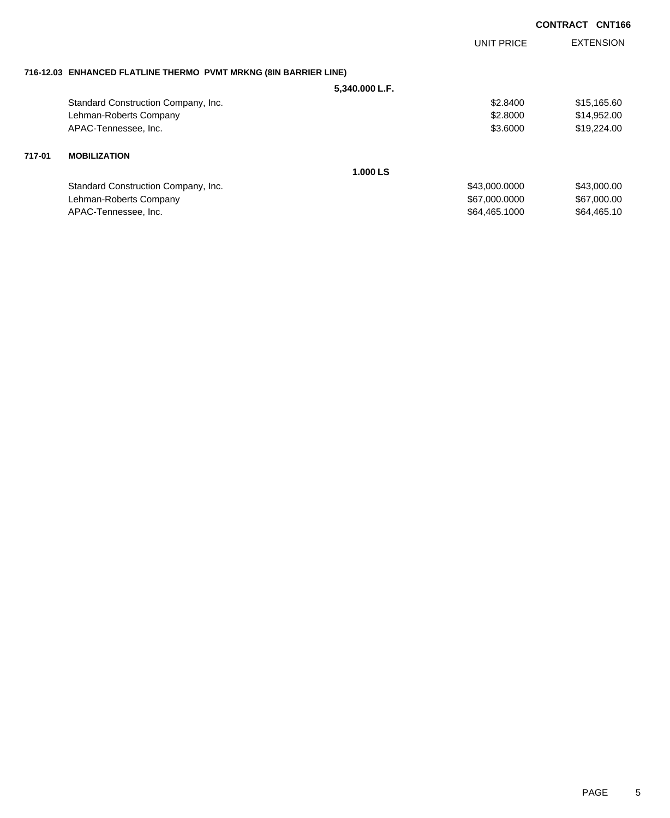|                                                                  | <b>UNIT PRICE</b> | <b>EXTENSION</b> |
|------------------------------------------------------------------|-------------------|------------------|
| 716-12.03 ENHANCED FLATLINE THERMO PVMT MRKNG (8IN BARRIER LINE) |                   |                  |
| 5.340.000 L.F.                                                   |                   |                  |
| Standard Construction Company, Inc.                              | \$2.8400          | \$15,165.60      |
| Lehman-Roberts Company                                           | \$2.8000          | \$14,952.00      |
| APAC-Tennessee, Inc.                                             | \$3.6000          | \$19,224.00      |
| 717-01<br><b>MOBILIZATION</b>                                    |                   |                  |
|                                                                  | 1.000 LS          |                  |
| Standard Construction Company, Inc.                              | \$43,000.0000     | \$43,000.00      |
| Lehman-Roberts Company                                           | \$67,000.0000     | \$67,000.00      |
| APAC-Tennessee, Inc.                                             | \$64,465.1000     | \$64,465.10      |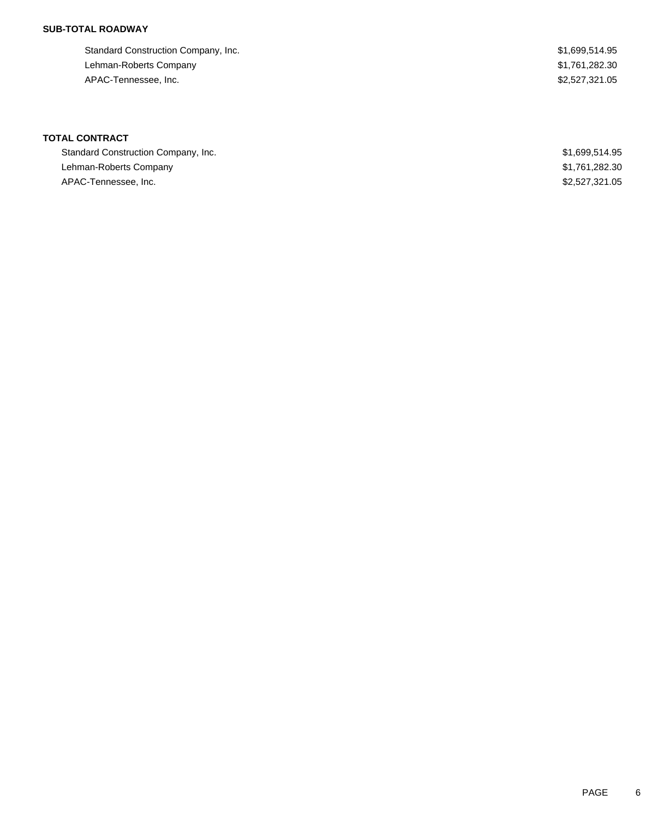### **SUB-TOTAL ROADWAY**

| Standard Construction Company, Inc. | \$1,699,514.95 |
|-------------------------------------|----------------|
| Lehman-Roberts Company              | \$1,761,282.30 |
| APAC-Tennessee, Inc.                | \$2,527,321,05 |

# **TOTAL CONTRACT**

| Standard Construction Company, Inc. | \$1,699,514.95 |
|-------------------------------------|----------------|
| Lehman-Roberts Company              | \$1,761,282.30 |
| APAC-Tennessee, Inc.                | \$2,527,321.05 |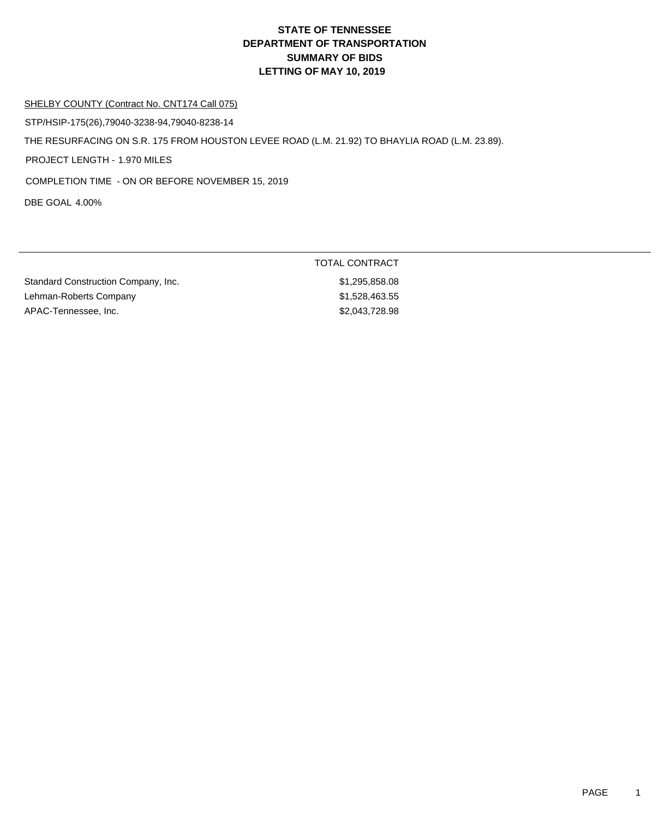#### SHELBY COUNTY (Contract No. CNT174 Call 075)

STP/HSIP-175(26),79040-3238-94,79040-8238-14

THE RESURFACING ON S.R. 175 FROM HOUSTON LEVEE ROAD (L.M. 21.92) TO BHAYLIA ROAD (L.M. 23.89).

PROJECT LENGTH - 1.970 MILES

COMPLETION TIME - ON OR BEFORE NOVEMBER 15, 2019

DBE GOAL 4.00%

|                                     | TOTAL CONTRACT |
|-------------------------------------|----------------|
| Standard Construction Company, Inc. | \$1,295,858.08 |
| Lehman-Roberts Company              | \$1,528,463.55 |
| APAC-Tennessee, Inc.                | \$2,043,728.98 |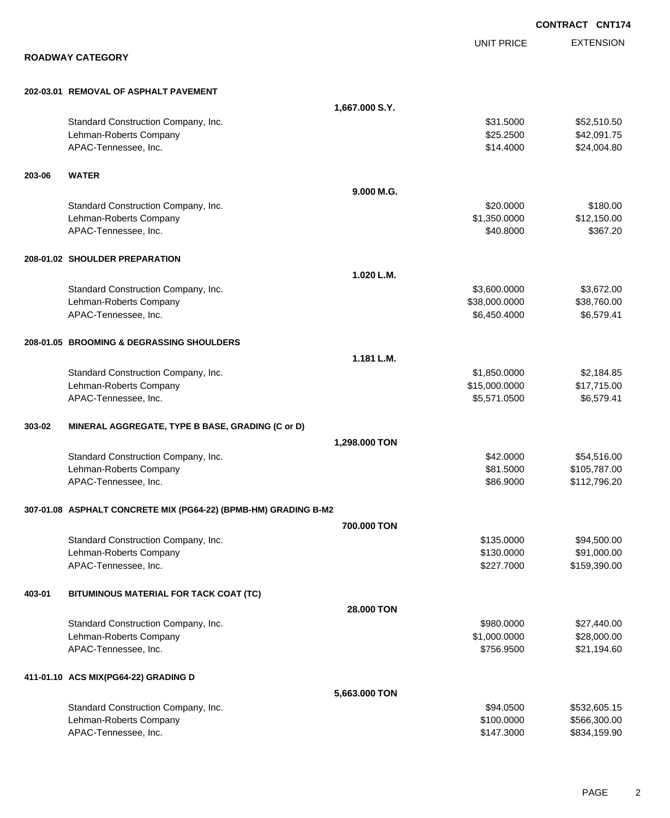|        |                                                                 |                |                   | <b>CONTRACT CNT174</b> |
|--------|-----------------------------------------------------------------|----------------|-------------------|------------------------|
|        |                                                                 |                | <b>UNIT PRICE</b> | <b>EXTENSION</b>       |
|        | <b>ROADWAY CATEGORY</b>                                         |                |                   |                        |
|        | 202-03.01 REMOVAL OF ASPHALT PAVEMENT                           |                |                   |                        |
|        |                                                                 | 1,667.000 S.Y. |                   |                        |
|        | Standard Construction Company, Inc.                             |                | \$31,5000         | \$52,510.50            |
|        | Lehman-Roberts Company                                          |                | \$25.2500         | \$42,091.75            |
|        | APAC-Tennessee, Inc.                                            |                | \$14.4000         | \$24,004.80            |
| 203-06 | <b>WATER</b>                                                    |                |                   |                        |
|        |                                                                 | 9.000 M.G.     |                   |                        |
|        | Standard Construction Company, Inc.                             |                | \$20.0000         | \$180.00               |
|        | Lehman-Roberts Company                                          |                | \$1,350.0000      | \$12,150.00            |
|        | APAC-Tennessee, Inc.                                            |                | \$40.8000         | \$367.20               |
|        | 208-01.02 SHOULDER PREPARATION                                  |                |                   |                        |
|        |                                                                 | 1.020 L.M.     |                   |                        |
|        | Standard Construction Company, Inc.                             |                | \$3,600.0000      | \$3,672.00             |
|        | Lehman-Roberts Company                                          |                | \$38,000.0000     | \$38,760.00            |
|        | APAC-Tennessee, Inc.                                            |                | \$6,450.4000      | \$6,579.41             |
|        | 208-01.05 BROOMING & DEGRASSING SHOULDERS                       |                |                   |                        |
|        |                                                                 | 1.181 L.M.     |                   |                        |
|        | Standard Construction Company, Inc.                             |                | \$1,850.0000      | \$2,184.85             |
|        | Lehman-Roberts Company                                          |                | \$15,000.0000     | \$17,715.00            |
|        | APAC-Tennessee, Inc.                                            |                | \$5,571.0500      | \$6,579.41             |
| 303-02 | MINERAL AGGREGATE, TYPE B BASE, GRADING (C or D)                |                |                   |                        |
|        |                                                                 | 1,298.000 TON  |                   |                        |
|        | Standard Construction Company, Inc.                             |                | \$42.0000         | \$54,516.00            |
|        | Lehman-Roberts Company                                          |                | \$81.5000         | \$105,787.00           |
|        | APAC-Tennessee, Inc.                                            |                | \$86.9000         | \$112,796.20           |
|        | 307-01.08 ASPHALT CONCRETE MIX (PG64-22) (BPMB-HM) GRADING B-M2 |                |                   |                        |
|        |                                                                 | 700,000 TON    |                   |                        |
|        | Standard Construction Company, Inc.                             |                | \$135.0000        | \$94,500.00            |
|        | Lehman-Roberts Company                                          |                | \$130.0000        | \$91,000.00            |
|        | APAC-Tennessee, Inc.                                            |                | \$227.7000        | \$159,390.00           |
| 403-01 | BITUMINOUS MATERIAL FOR TACK COAT (TC)                          |                |                   |                        |
|        |                                                                 | 28.000 TON     |                   |                        |
|        | Standard Construction Company, Inc.                             |                | \$980.0000        | \$27,440.00            |
|        | Lehman-Roberts Company                                          |                | \$1,000.0000      | \$28,000.00            |
|        | APAC-Tennessee, Inc.                                            |                | \$756.9500        | \$21,194.60            |
|        | 411-01.10 ACS MIX(PG64-22) GRADING D                            |                |                   |                        |
|        |                                                                 | 5,663.000 TON  |                   |                        |
|        | Standard Construction Company, Inc.                             |                | \$94.0500         | \$532,605.15           |
|        | Lehman-Roberts Company                                          |                | \$100.0000        | \$566,300.00           |
|        | APAC-Tennessee, Inc.                                            |                | \$147.3000        | \$834,159.90           |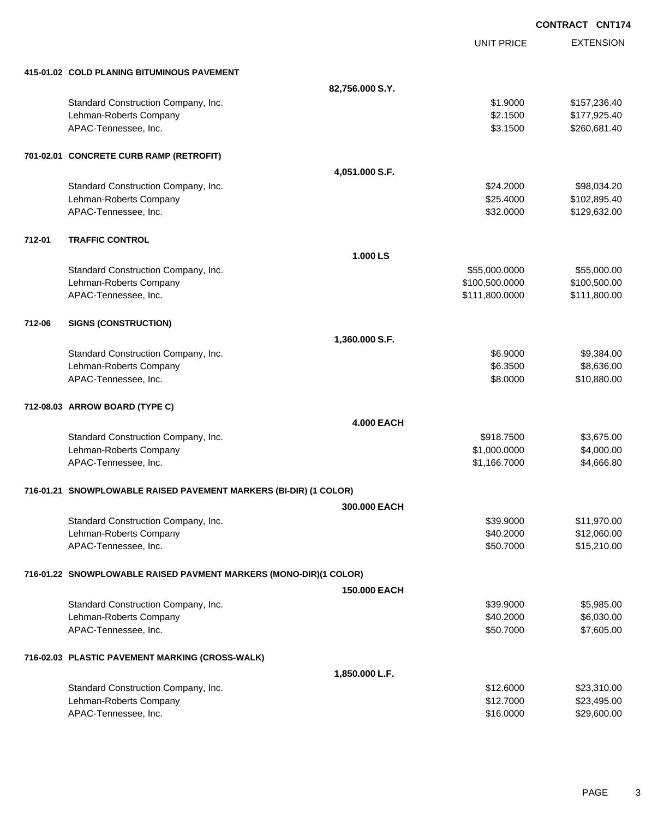|        |                                                                   |                   |                   | <b>CONTRACT CNT174</b> |
|--------|-------------------------------------------------------------------|-------------------|-------------------|------------------------|
|        |                                                                   |                   | <b>UNIT PRICE</b> | <b>EXTENSION</b>       |
|        | 415-01.02 COLD PLANING BITUMINOUS PAVEMENT                        |                   |                   |                        |
|        |                                                                   | 82,756.000 S.Y.   |                   |                        |
|        | Standard Construction Company, Inc.                               |                   | \$1.9000          | \$157,236.40           |
|        | Lehman-Roberts Company                                            |                   | \$2.1500          | \$177,925.40           |
|        | APAC-Tennessee, Inc.                                              |                   | \$3.1500          | \$260,681.40           |
|        | 701-02.01 CONCRETE CURB RAMP (RETROFIT)                           |                   |                   |                        |
|        |                                                                   | 4,051.000 S.F.    |                   |                        |
|        | Standard Construction Company, Inc.                               |                   | \$24.2000         | \$98,034.20            |
|        | Lehman-Roberts Company                                            |                   | \$25.4000         | \$102,895.40           |
|        | APAC-Tennessee, Inc.                                              |                   | \$32.0000         | \$129,632.00           |
| 712-01 | <b>TRAFFIC CONTROL</b>                                            |                   |                   |                        |
|        |                                                                   | 1.000 LS          |                   |                        |
|        | Standard Construction Company, Inc.                               |                   | \$55,000.0000     | \$55,000.00            |
|        | Lehman-Roberts Company                                            |                   | \$100,500.0000    | \$100,500.00           |
|        | APAC-Tennessee, Inc.                                              |                   | \$111,800.0000    | \$111,800.00           |
| 712-06 | <b>SIGNS (CONSTRUCTION)</b>                                       |                   |                   |                        |
|        |                                                                   | 1,360.000 S.F.    |                   |                        |
|        | Standard Construction Company, Inc.                               |                   | \$6.9000          | \$9,384.00             |
|        | Lehman-Roberts Company                                            |                   | \$6.3500          | \$8,636.00             |
|        | APAC-Tennessee, Inc.                                              |                   | \$8.0000          | \$10,880.00            |
|        | 712-08.03 ARROW BOARD (TYPE C)                                    |                   |                   |                        |
|        |                                                                   | <b>4.000 EACH</b> |                   |                        |
|        | Standard Construction Company, Inc.                               |                   | \$918.7500        | \$3,675.00             |
|        | Lehman-Roberts Company                                            |                   | \$1,000.0000      | \$4,000.00             |
|        | APAC-Tennessee, Inc.                                              |                   | \$1,166.7000      | \$4,666.80             |
|        | 716-01.21 SNOWPLOWABLE RAISED PAVEMENT MARKERS (BI-DIR) (1 COLOR) |                   |                   |                        |
|        |                                                                   | 300.000 EACH      |                   |                        |
|        | Standard Construction Company, Inc.                               |                   | \$39.9000         | \$11,970.00            |
|        | Lehman-Roberts Company                                            |                   | \$40.2000         | \$12,060.00            |
|        | APAC-Tennessee, Inc.                                              |                   | \$50.7000         | \$15,210.00            |
|        | 716-01.22 SNOWPLOWABLE RAISED PAVMENT MARKERS (MONO-DIR)(1 COLOR) |                   |                   |                        |
|        |                                                                   | 150.000 EACH      |                   |                        |
|        | Standard Construction Company, Inc.                               |                   | \$39.9000         | \$5,985.00             |
|        | Lehman-Roberts Company                                            |                   | \$40.2000         | \$6,030.00             |
|        | APAC-Tennessee, Inc.                                              |                   | \$50.7000         | \$7,605.00             |
|        | 716-02.03 PLASTIC PAVEMENT MARKING (CROSS-WALK)                   |                   |                   |                        |
|        |                                                                   | 1,850.000 L.F.    |                   |                        |
|        | Standard Construction Company, Inc.                               |                   | \$12.6000         | \$23,310.00            |
|        | Lehman-Roberts Company                                            |                   | \$12.7000         | \$23,495.00            |
|        | APAC-Tennessee, Inc.                                              |                   | \$16.0000         | \$29,600.00            |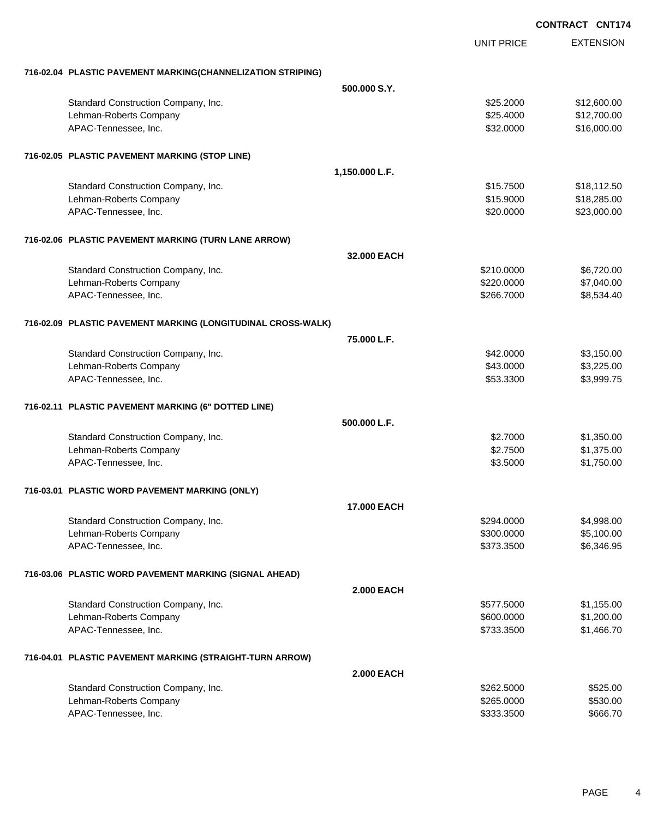**EXTENSION** UNIT PRICE **716-02.04 PLASTIC PAVEMENT MARKING(CHANNELIZATION STRIPING) 500.000 S.Y.** Standard Construction Company, Inc. 6. 2000 \$12,600.00 \$12,600.00 Lehman-Roberts Company **612,700.00 \$12,700.00 \$12,700.00 \$12,700.00 \$12,700.00** APAC-Tennessee, Inc. \$16,000.00 \$16,000.00 \$16,000.00 \$16,000.00 \$16,000.00 \$16,000.00 \$16,000.00 \$16,000.00 \$ **716-02.05 PLASTIC PAVEMENT MARKING (STOP LINE) 1,150.000 L.F.** Standard Construction Company, Inc. 6. The Standard Construction Company, Inc. 6. The Standard Construction Company, Inc. 6. The Standard Standard Standard Standard Standard Standard Standard Standard Standard Standard Sta Lehman-Roberts Company **618,285.00** \$18,285.00 APAC-Tennessee, Inc. \$23,000.00 \$23,000.00 \$23,000.00 \$23,000.00 \$23,000.00 \$23,000.00 \$23,000.00 \$23,000.00 \$ **716-02.06 PLASTIC PAVEMENT MARKING (TURN LANE ARROW) 32.000 EACH** Standard Construction Company, Inc. 6. The Construction Company, Inc. 6. The Construction Company, Inc. 6. The Construction Company, Inc. 6. The Construction Company, Inc. 6. The Construction Company, Inc. 6. The Construct Lehman-Roberts Company 67,040.00 APAC-Tennessee, Inc. \$266.7000 \$8,534.40 **716-02.09 PLASTIC PAVEMENT MARKING (LONGITUDINAL CROSS-WALK) 75.000 L.F.** Standard Construction Company, Inc. 6. The Construction Company, Inc. 6. The Construction Company, Inc. 6. The Construction Company, Inc. 6. The Construction Company, Inc. 6. The Construction Company, Inc. 6. The Construct Lehman-Roberts Company 63,225.00 APAC-Tennessee, Inc. \$3,999.75 **716-02.11 PLASTIC PAVEMENT MARKING (6" DOTTED LINE) 500.000 L.F.** Standard Construction Company, Inc. 6. The Construction Company, Inc. 6. The Construction Company, Inc. 6. The Construction Company, Inc. 6. The Construction Company, Inc. 6. The Construction Company, Inc. 6. The Construct Lehman-Roberts Company 61,375.00 \$1,375.00 APAC-Tennessee, Inc. \$1,750.00 \$1,750.00 \$1,750.00 \$1,750.00 \$1,750.00 \$1,750.00 \$1,750.00 \$1,750.00 \$1,750.00 **716-03.01 PLASTIC WORD PAVEMENT MARKING (ONLY) 17.000 EACH** Standard Construction Company, Inc. 6. The Construction Company, Inc. 6. The Construction Company, Inc. 6. The Construction Company, Inc. 6. The Construction Company, Inc. 6. The Construction Company, Inc. 6. The Construct Lehman-Roberts Company **\$300.000** \$5,100.00 APAC-Tennessee, Inc. \$373.3500 \$6,346.95 **716-03.06 PLASTIC WORD PAVEMENT MARKING (SIGNAL AHEAD) 2.000 EACH** Standard Construction Company, Inc. 6. The Standard Construction Company, Inc. 6. The Standard Construction Company, Inc. 6. The Standard Standard Standard Standard Standard Standard Standard Standard Standard Standard Sta Lehman-Roberts Company 6600.000 \$1,200.000 \$1,200.000 \$1,200.000 \$1,200.000 \$1,200.00 APAC-Tennessee, Inc. \$1,466.70 **716-04.01 PLASTIC PAVEMENT MARKING (STRAIGHT-TURN ARROW) 2.000 EACH** Standard Construction Company, Inc. 6. The Construction Company, Inc. 6. The Construction Company, Inc. 6. The Construction Company, Inc. 6. The Construction Company, Inc. 6. The Construction Company, Inc. 6. The Construct

Lehman-Roberts Company 6530.00 \$530.00 \$530.00 \$530.00 \$530.00 APAC-Tennessee, Inc. \$666.70 \$650.70 \$650.70 \$650.70 \$650.70 \$650.70 \$666.70 \$666.70 \$666.70 \$666.70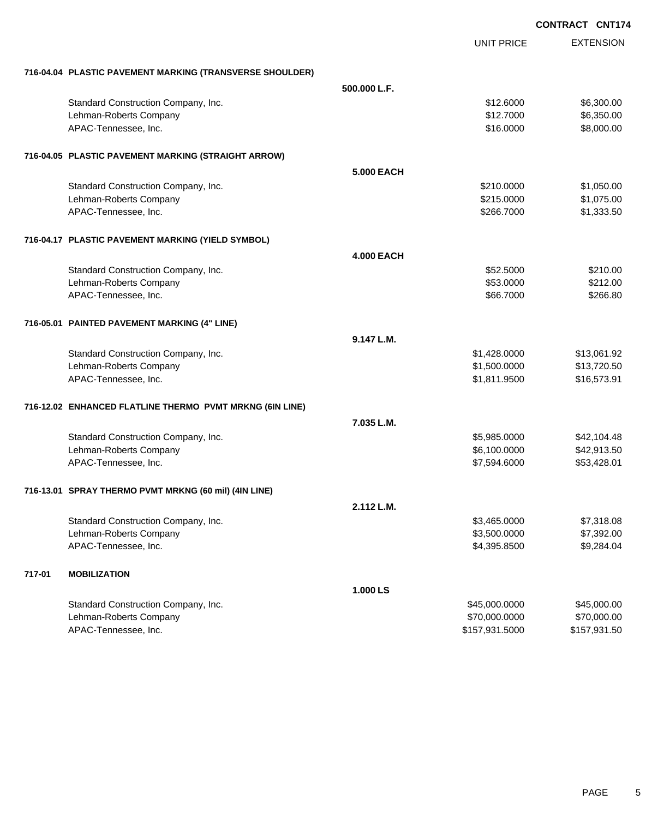|        |                                                          |                   |                   | <b>UUNIKAUI</b><br>UNII/ |
|--------|----------------------------------------------------------|-------------------|-------------------|--------------------------|
|        |                                                          |                   | <b>UNIT PRICE</b> | <b>EXTENSION</b>         |
|        | 716-04.04 PLASTIC PAVEMENT MARKING (TRANSVERSE SHOULDER) |                   |                   |                          |
|        |                                                          | 500.000 L.F.      |                   |                          |
|        | Standard Construction Company, Inc.                      |                   | \$12.6000         | \$6,300.00               |
|        | Lehman-Roberts Company                                   |                   | \$12.7000         | \$6,350.00               |
|        | APAC-Tennessee, Inc.                                     |                   | \$16.0000         | \$8,000.00               |
|        | 716-04.05 PLASTIC PAVEMENT MARKING (STRAIGHT ARROW)      |                   |                   |                          |
|        |                                                          | <b>5.000 EACH</b> |                   |                          |
|        | Standard Construction Company, Inc.                      |                   | \$210.0000        | \$1,050.00               |
|        | Lehman-Roberts Company                                   |                   | \$215.0000        | \$1,075.00               |
|        | APAC-Tennessee, Inc.                                     |                   | \$266.7000        | \$1,333.50               |
|        | 716-04.17 PLASTIC PAVEMENT MARKING (YIELD SYMBOL)        |                   |                   |                          |
|        |                                                          | <b>4.000 EACH</b> |                   |                          |
|        | Standard Construction Company, Inc.                      |                   | \$52.5000         | \$210.00                 |
|        | Lehman-Roberts Company                                   |                   | \$53.0000         | \$212.00                 |
|        | APAC-Tennessee, Inc.                                     |                   | \$66.7000         | \$266.80                 |
|        | 716-05.01 PAINTED PAVEMENT MARKING (4" LINE)             |                   |                   |                          |
|        |                                                          | 9.147 L.M.        |                   |                          |
|        | Standard Construction Company, Inc.                      |                   | \$1,428.0000      | \$13,061.92              |
|        | Lehman-Roberts Company                                   |                   | \$1,500.0000      | \$13,720.50              |
|        | APAC-Tennessee, Inc.                                     |                   | \$1,811.9500      | \$16,573.91              |
|        | 716-12.02 ENHANCED FLATLINE THERMO PVMT MRKNG (6IN LINE) |                   |                   |                          |
|        |                                                          | 7.035 L.M.        |                   |                          |
|        | Standard Construction Company, Inc.                      |                   | \$5,985.0000      | \$42,104.48              |
|        | Lehman-Roberts Company                                   |                   | \$6,100.0000      | \$42,913.50              |
|        | APAC-Tennessee, Inc.                                     |                   | \$7,594.6000      | \$53,428.01              |
|        | 716-13.01   SPRAY THERMO PVMT MRKNG (60 mil) (4IN LINE)  |                   |                   |                          |
|        |                                                          | 2.112 L.M.        |                   |                          |
|        | Standard Construction Company, Inc.                      |                   | \$3,465.0000      | \$7,318.08               |
|        | Lehman-Roberts Company                                   |                   | \$3,500.0000      | \$7,392.00               |
|        | APAC-Tennessee, Inc.                                     |                   | \$4,395.8500      | \$9,284.04               |
| 717-01 | <b>MOBILIZATION</b>                                      |                   |                   |                          |
|        |                                                          | 1.000 LS          |                   |                          |
|        | Standard Construction Company, Inc.                      |                   | \$45,000.0000     | \$45,000.00              |
|        | Lehman-Roberts Company                                   |                   | \$70,000.0000     | \$70,000.00              |
|        | APAC-Tennessee, Inc.                                     |                   | \$157,931.5000    | \$157,931.50             |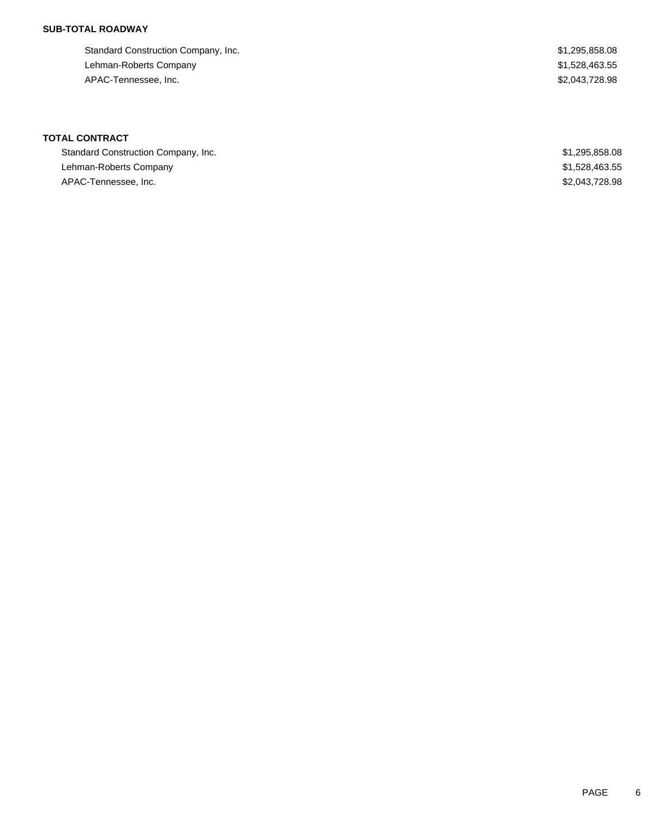### **SUB-TOTAL ROADWAY**

Standard Construction Company, Inc. 6. The Standard Construction Company, Inc. 6. The Standard Construction Company, Inc. Lehman-Roberts Company **\$1,528,463.55** APAC-Tennessee, Inc. \$2,043,728.98

## **TOTAL CONTRACT**

| Standard Construction Company, Inc. | \$1,295,858.08 |
|-------------------------------------|----------------|
| Lehman-Roberts Company              | \$1,528,463.55 |
| APAC-Tennessee, Inc.                | \$2,043,728.98 |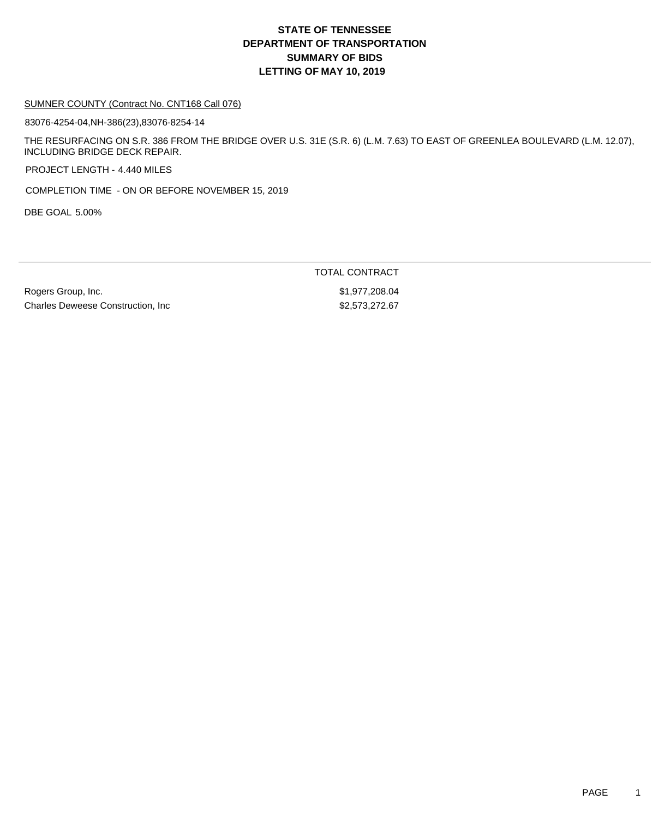#### SUMNER COUNTY (Contract No. CNT168 Call 076)

83076-4254-04,NH-386(23),83076-8254-14

THE RESURFACING ON S.R. 386 FROM THE BRIDGE OVER U.S. 31E (S.R. 6) (L.M. 7.63) TO EAST OF GREENLEA BOULEVARD (L.M. 12.07), INCLUDING BRIDGE DECK REPAIR.

PROJECT LENGTH - 4.440 MILES

COMPLETION TIME - ON OR BEFORE NOVEMBER 15, 2019

DBE GOAL 5.00%

TOTAL CONTRACT

Rogers Group, Inc. 6. 2008.04 Charles Deweese Construction, Inc 62,573,272.67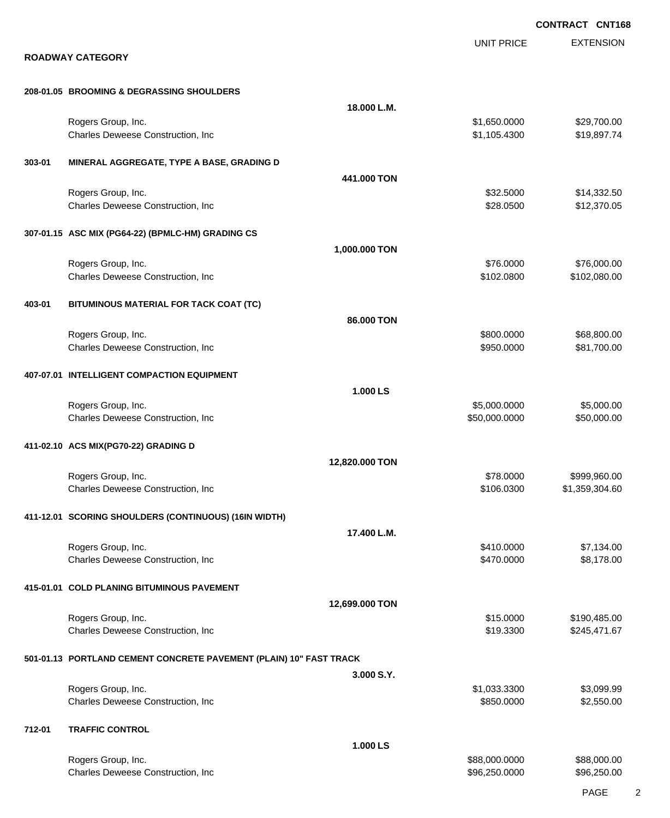|        |                                                                    |                |                   | <b>CONTRACT CNT168</b> |
|--------|--------------------------------------------------------------------|----------------|-------------------|------------------------|
|        | <b>ROADWAY CATEGORY</b>                                            |                | <b>UNIT PRICE</b> | <b>EXTENSION</b>       |
|        |                                                                    |                |                   |                        |
|        | 208-01.05 BROOMING & DEGRASSING SHOULDERS                          |                |                   |                        |
|        |                                                                    | 18.000 L.M.    |                   |                        |
|        | Rogers Group, Inc.                                                 |                | \$1,650.0000      | \$29,700.00            |
|        | Charles Deweese Construction, Inc                                  |                | \$1,105.4300      | \$19,897.74            |
| 303-01 | MINERAL AGGREGATE, TYPE A BASE, GRADING D                          |                |                   |                        |
|        |                                                                    | 441.000 TON    |                   |                        |
|        | Rogers Group, Inc.                                                 |                | \$32.5000         | \$14,332.50            |
|        | Charles Deweese Construction, Inc                                  |                | \$28.0500         | \$12,370.05            |
|        | 307-01.15 ASC MIX (PG64-22) (BPMLC-HM) GRADING CS                  |                |                   |                        |
|        |                                                                    | 1,000.000 TON  |                   |                        |
|        | Rogers Group, Inc.                                                 |                | \$76,0000         | \$76,000.00            |
|        | Charles Deweese Construction, Inc                                  |                | \$102.0800        | \$102,080.00           |
| 403-01 | BITUMINOUS MATERIAL FOR TACK COAT (TC)                             |                |                   |                        |
|        |                                                                    | 86.000 TON     |                   |                        |
|        | Rogers Group, Inc.                                                 |                | \$800.0000        | \$68,800.00            |
|        | Charles Deweese Construction, Inc                                  |                | \$950.0000        | \$81,700.00            |
|        |                                                                    |                |                   |                        |
|        | 407-07.01 INTELLIGENT COMPACTION EQUIPMENT                         |                |                   |                        |
|        |                                                                    | 1.000 LS       |                   |                        |
|        | Rogers Group, Inc.                                                 |                | \$5,000.0000      | \$5,000.00             |
|        | Charles Deweese Construction, Inc                                  |                | \$50,000.0000     | \$50,000.00            |
|        | 411-02.10 ACS MIX(PG70-22) GRADING D                               |                |                   |                        |
|        |                                                                    | 12,820.000 TON |                   |                        |
|        | Rogers Group, Inc.                                                 |                | \$78.0000         | \$999,960.00           |
|        | Charles Deweese Construction, Inc                                  |                | \$106.0300        | \$1,359,304.60         |
|        | 411-12.01 SCORING SHOULDERS (CONTINUOUS) (16IN WIDTH)              |                |                   |                        |
|        |                                                                    | 17.400 L.M.    |                   |                        |
|        | Rogers Group, Inc.                                                 |                | \$410.0000        | \$7,134.00             |
|        | Charles Deweese Construction, Inc                                  |                | \$470.0000        | \$8,178.00             |
|        | 415-01.01 COLD PLANING BITUMINOUS PAVEMENT                         |                |                   |                        |
|        |                                                                    | 12,699.000 TON |                   |                        |
|        | Rogers Group, Inc.                                                 |                | \$15.0000         | \$190,485.00           |
|        | Charles Deweese Construction, Inc                                  |                | \$19.3300         | \$245,471.67           |
|        |                                                                    |                |                   |                        |
|        | 501-01.13 PORTLAND CEMENT CONCRETE PAVEMENT (PLAIN) 10" FAST TRACK |                |                   |                        |
|        | Rogers Group, Inc.                                                 | 3.000 S.Y.     | \$1,033.3300      | \$3,099.99             |
|        | Charles Deweese Construction, Inc                                  |                | \$850.0000        | \$2,550.00             |
|        |                                                                    |                |                   |                        |
| 712-01 | <b>TRAFFIC CONTROL</b>                                             |                |                   |                        |
|        |                                                                    | 1.000 LS       |                   |                        |
|        | Rogers Group, Inc.                                                 |                | \$88,000.0000     | \$88,000.00            |
|        | Charles Deweese Construction, Inc                                  |                | \$96,250.0000     | \$96,250.00            |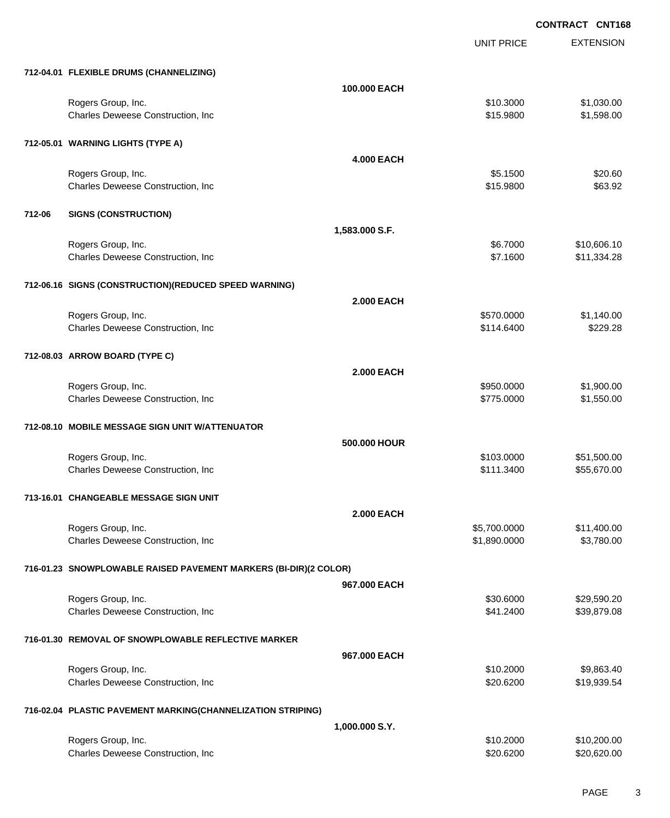UNIT PRICE

EXTENSION

|        | 712-04.01 FLEXIBLE DRUMS (CHANNELIZING)                          |                   |                              |                           |
|--------|------------------------------------------------------------------|-------------------|------------------------------|---------------------------|
|        |                                                                  | 100,000 EACH      |                              |                           |
|        | Rogers Group, Inc.                                               |                   | \$10.3000                    | \$1,030.00                |
|        | Charles Deweese Construction, Inc                                |                   | \$15.9800                    | \$1,598.00                |
|        |                                                                  |                   |                              |                           |
|        | 712-05.01 WARNING LIGHTS (TYPE A)                                |                   |                              |                           |
|        |                                                                  | <b>4.000 EACH</b> |                              |                           |
|        | Rogers Group, Inc.                                               |                   | \$5.1500                     | \$20.60                   |
|        | Charles Deweese Construction, Inc                                |                   | \$15.9800                    | \$63.92                   |
|        |                                                                  |                   |                              |                           |
| 712-06 | <b>SIGNS (CONSTRUCTION)</b>                                      |                   |                              |                           |
|        |                                                                  | 1,583.000 S.F.    |                              |                           |
|        | Rogers Group, Inc.                                               |                   | \$6.7000                     | \$10,606.10               |
|        | Charles Deweese Construction, Inc                                |                   | \$7.1600                     | \$11,334.28               |
|        |                                                                  |                   |                              |                           |
|        | 712-06.16 SIGNS (CONSTRUCTION) (REDUCED SPEED WARNING)           |                   |                              |                           |
|        |                                                                  | <b>2.000 EACH</b> |                              |                           |
|        | Rogers Group, Inc.                                               |                   | \$570.0000                   | \$1,140.00                |
|        | Charles Deweese Construction, Inc                                |                   | \$114.6400                   | \$229.28                  |
|        |                                                                  |                   |                              |                           |
|        | 712-08.03 ARROW BOARD (TYPE C)                                   |                   |                              |                           |
|        |                                                                  | <b>2.000 EACH</b> |                              |                           |
|        |                                                                  |                   |                              |                           |
|        | Rogers Group, Inc.<br>Charles Deweese Construction, Inc          |                   | \$950.0000<br>\$775.0000     | \$1,900.00<br>\$1,550.00  |
|        |                                                                  |                   |                              |                           |
|        | 712-08.10 MOBILE MESSAGE SIGN UNIT W/ATTENUATOR                  |                   |                              |                           |
|        |                                                                  | 500.000 HOUR      |                              |                           |
|        | Rogers Group, Inc.                                               |                   | \$103.0000                   | \$51,500.00               |
|        | Charles Deweese Construction, Inc                                |                   | \$111.3400                   | \$55,670.00               |
|        |                                                                  |                   |                              |                           |
|        | 713-16.01 CHANGEABLE MESSAGE SIGN UNIT                           |                   |                              |                           |
|        |                                                                  | <b>2.000 EACH</b> |                              |                           |
|        |                                                                  |                   |                              |                           |
|        | Rogers Group, Inc.<br>Charles Deweese Construction, Inc          |                   | \$5,700.0000<br>\$1,890.0000 | \$11,400.00<br>\$3,780.00 |
|        |                                                                  |                   |                              |                           |
|        | 716-01.23 SNOWPLOWABLE RAISED PAVEMENT MARKERS (BI-DIR)(2 COLOR) |                   |                              |                           |
|        |                                                                  |                   |                              |                           |
|        |                                                                  | 967.000 EACH      |                              |                           |
|        | Rogers Group, Inc.                                               |                   | \$30.6000                    | \$29,590.20               |
|        | Charles Deweese Construction, Inc.                               |                   | \$41.2400                    | \$39,879.08               |
|        | 716-01.30 REMOVAL OF SNOWPLOWABLE REFLECTIVE MARKER              |                   |                              |                           |
|        |                                                                  |                   |                              |                           |
|        |                                                                  | 967.000 EACH      |                              |                           |
|        | Rogers Group, Inc.                                               |                   | \$10.2000                    | \$9,863.40                |
|        | Charles Deweese Construction, Inc                                |                   | \$20.6200                    | \$19,939.54               |
|        |                                                                  |                   |                              |                           |
|        | 716-02.04 PLASTIC PAVEMENT MARKING(CHANNELIZATION STRIPING)      |                   |                              |                           |
|        |                                                                  | 1,000.000 S.Y.    |                              |                           |
|        | Rogers Group, Inc.                                               |                   | \$10.2000                    | \$10,200.00               |
|        | Charles Deweese Construction, Inc                                |                   | \$20.6200                    | \$20,620.00               |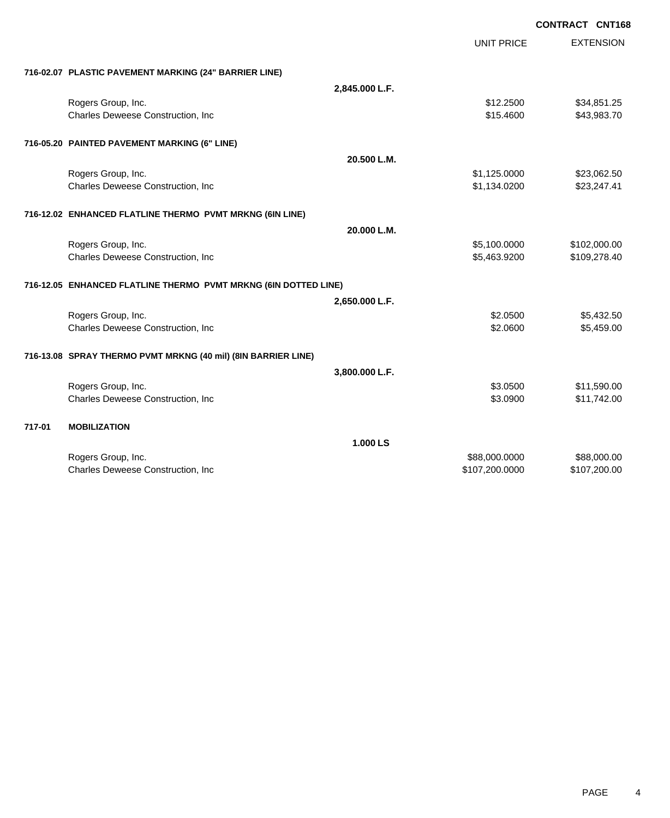|        |                                                                 |                |                   | <b>CONTRACT CNT168</b> |
|--------|-----------------------------------------------------------------|----------------|-------------------|------------------------|
|        |                                                                 |                | <b>UNIT PRICE</b> | <b>EXTENSION</b>       |
|        | 716-02.07 PLASTIC PAVEMENT MARKING (24" BARRIER LINE)           |                |                   |                        |
|        |                                                                 | 2,845.000 L.F. |                   |                        |
|        | Rogers Group, Inc.                                              |                | \$12,2500         | \$34,851.25            |
|        | Charles Deweese Construction, Inc                               |                | \$15.4600         | \$43,983.70            |
|        | 716-05.20 PAINTED PAVEMENT MARKING (6" LINE)                    |                |                   |                        |
|        |                                                                 | 20.500 L.M.    |                   |                        |
|        | Rogers Group, Inc.                                              |                | \$1,125.0000      | \$23,062.50            |
|        | Charles Deweese Construction, Inc                               |                | \$1,134.0200      | \$23,247.41            |
|        | 716-12.02 ENHANCED FLATLINE THERMO PVMT MRKNG (6IN LINE)        |                |                   |                        |
|        |                                                                 | 20.000 L.M.    |                   |                        |
|        | Rogers Group, Inc.                                              |                | \$5,100.0000      | \$102,000.00           |
|        | Charles Deweese Construction, Inc                               |                | \$5,463.9200      | \$109,278.40           |
|        | 716-12.05 ENHANCED FLATLINE THERMO PVMT MRKNG (6IN DOTTED LINE) |                |                   |                        |
|        |                                                                 | 2,650.000 L.F. |                   |                        |
|        | Rogers Group, Inc.                                              |                | \$2.0500          | \$5,432.50             |
|        | Charles Deweese Construction, Inc                               |                | \$2.0600          | \$5,459.00             |
|        | 716-13.08 SPRAY THERMO PVMT MRKNG (40 mil) (8IN BARRIER LINE)   |                |                   |                        |
|        |                                                                 | 3,800.000 L.F. |                   |                        |
|        | Rogers Group, Inc.                                              |                | \$3.0500          | \$11,590.00            |
|        | Charles Deweese Construction, Inc                               |                | \$3.0900          | \$11,742.00            |
| 717-01 | <b>MOBILIZATION</b>                                             |                |                   |                        |
|        |                                                                 | 1.000 LS       |                   |                        |
|        | Rogers Group, Inc.                                              |                | \$88,000.0000     | \$88,000.00            |
|        | Charles Deweese Construction, Inc                               |                | \$107,200.0000    | \$107,200.00           |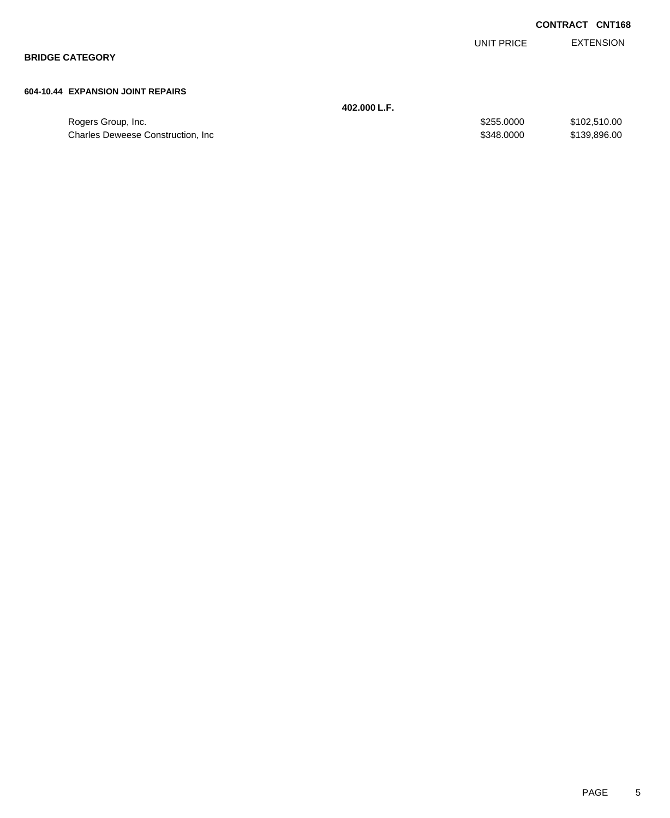EXTENSION UNIT PRICE

**BRIDGE CATEGORY**

#### **604-10.44 EXPANSION JOINT REPAIRS**

**402.000 L.F.**

| Rogers Group, Inc.                | \$255,0000 | \$102.510.00 |
|-----------------------------------|------------|--------------|
| Charles Deweese Construction, Inc | \$348,0000 | \$139,896.00 |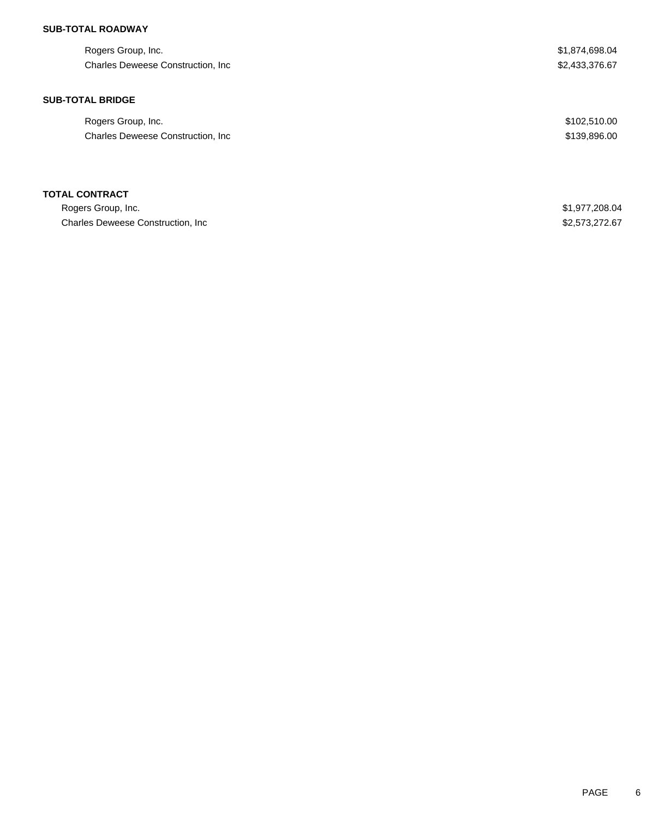### **SUB-TOTAL ROADWAY**

| Rogers Group, Inc.<br>Charles Deweese Construction, Inc. | \$1,874,698.04<br>\$2,433,376.67 |
|----------------------------------------------------------|----------------------------------|
| <b>SUB-TOTAL BRIDGE</b>                                  |                                  |
| Rogers Group, Inc.                                       | \$102,510.00                     |
| Charles Deweese Construction, Inc.                       | \$139,896.00                     |
| <b>TOTAL CONTRACT</b>                                    |                                  |
| Rogers Group, Inc.                                       | \$1,977,208.04                   |
| <b>Charles Deweese Construction, Inc.</b>                | \$2,573,272.67                   |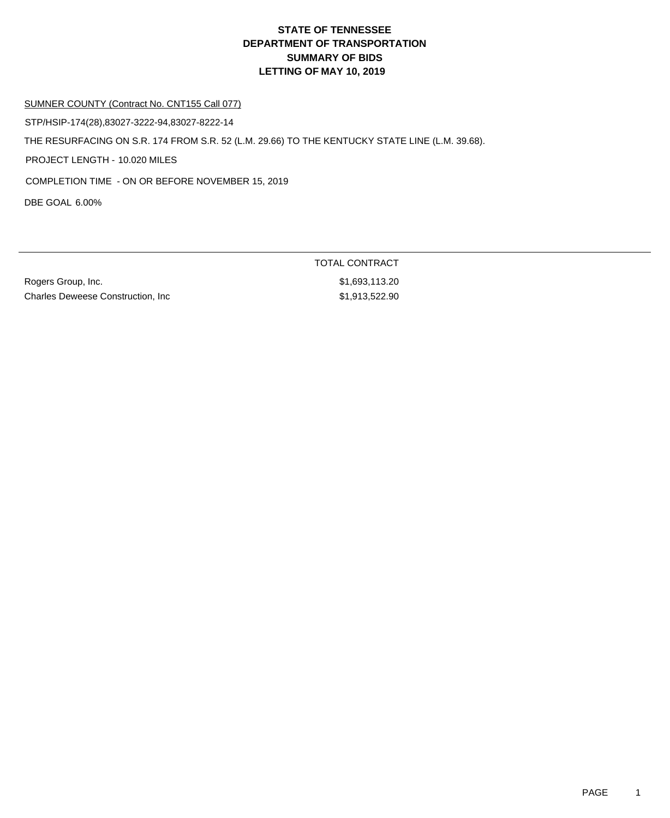#### SUMNER COUNTY (Contract No. CNT155 Call 077)

STP/HSIP-174(28),83027-3222-94,83027-8222-14

THE RESURFACING ON S.R. 174 FROM S.R. 52 (L.M. 29.66) TO THE KENTUCKY STATE LINE (L.M. 39.68).

PROJECT LENGTH - 10.020 MILES

COMPLETION TIME - ON OR BEFORE NOVEMBER 15, 2019

DBE GOAL 6.00%

Rogers Group, Inc. 6. The Contract of the Contract of the St. 693,113.20 Charles Deweese Construction, Inc  $$1,913,522.90$ 

TOTAL CONTRACT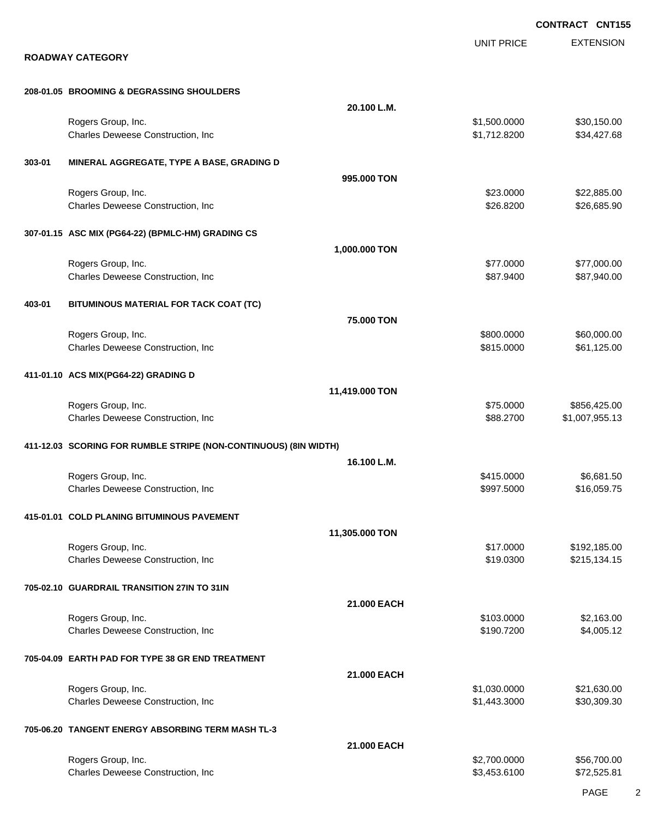|        |                                                                  |                |                              | <b>CONTRACT CNT155</b>     |
|--------|------------------------------------------------------------------|----------------|------------------------------|----------------------------|
|        | <b>ROADWAY CATEGORY</b>                                          |                | <b>UNIT PRICE</b>            | <b>EXTENSION</b>           |
|        | 208-01.05 BROOMING & DEGRASSING SHOULDERS                        |                |                              |                            |
|        |                                                                  | 20.100 L.M.    |                              |                            |
|        | Rogers Group, Inc.<br>Charles Deweese Construction, Inc          |                | \$1,500.0000<br>\$1,712.8200 | \$30,150.00<br>\$34,427.68 |
| 303-01 | MINERAL AGGREGATE, TYPE A BASE, GRADING D                        |                |                              |                            |
|        |                                                                  | 995,000 TON    |                              |                            |
|        | Rogers Group, Inc.<br>Charles Deweese Construction, Inc          |                | \$23.0000<br>\$26.8200       | \$22,885.00<br>\$26,685.90 |
|        | 307-01.15 ASC MIX (PG64-22) (BPMLC-HM) GRADING CS                |                |                              |                            |
|        |                                                                  | 1,000.000 TON  |                              |                            |
|        | Rogers Group, Inc.<br>Charles Deweese Construction, Inc          |                | \$77.0000<br>\$87.9400       | \$77,000.00<br>\$87,940.00 |
| 403-01 | BITUMINOUS MATERIAL FOR TACK COAT (TC)                           |                |                              |                            |
|        | Rogers Group, Inc.                                               | 75.000 TON     | \$800.0000                   | \$60,000.00                |
|        | Charles Deweese Construction, Inc                                |                | \$815.0000                   | \$61,125.00                |
|        | 411-01.10 ACS MIX(PG64-22) GRADING D                             | 11,419.000 TON |                              |                            |
|        | Rogers Group, Inc.                                               |                | \$75.0000                    | \$856,425.00               |
|        | Charles Deweese Construction, Inc                                |                | \$88.2700                    | \$1,007,955.13             |
|        | 411-12.03 SCORING FOR RUMBLE STRIPE (NON-CONTINUOUS) (8IN WIDTH) | 16.100 L.M.    |                              |                            |
|        | Rogers Group, Inc.                                               |                | \$415.0000                   | \$6,681.50                 |
|        | Charles Deweese Construction, Inc                                |                | \$997.5000                   | \$16,059.75                |
|        | 415-01.01 COLD PLANING BITUMINOUS PAVEMENT                       |                |                              |                            |
|        | Rogers Group, Inc.                                               | 11,305.000 TON | \$17.0000                    | \$192,185.00               |
|        | Charles Deweese Construction, Inc                                |                | \$19.0300                    | \$215,134.15               |
|        | 705-02.10 GUARDRAIL TRANSITION 27IN TO 31IN                      |                |                              |                            |
|        | Rogers Group, Inc.                                               | 21.000 EACH    | \$103.0000                   | \$2,163.00                 |
|        | Charles Deweese Construction, Inc                                |                | \$190.7200                   | \$4,005.12                 |
|        | 705-04.09 EARTH PAD FOR TYPE 38 GR END TREATMENT                 |                |                              |                            |
|        |                                                                  | 21.000 EACH    |                              |                            |
|        | Rogers Group, Inc.<br>Charles Deweese Construction, Inc          |                | \$1,030.0000<br>\$1,443.3000 | \$21,630.00<br>\$30,309.30 |
|        | 705-06.20 TANGENT ENERGY ABSORBING TERM MASH TL-3                |                |                              |                            |
|        |                                                                  | 21.000 EACH    |                              |                            |
|        | Rogers Group, Inc.<br>Charles Deweese Construction, Inc          |                | \$2,700.0000<br>\$3,453.6100 | \$56,700.00<br>\$72,525.81 |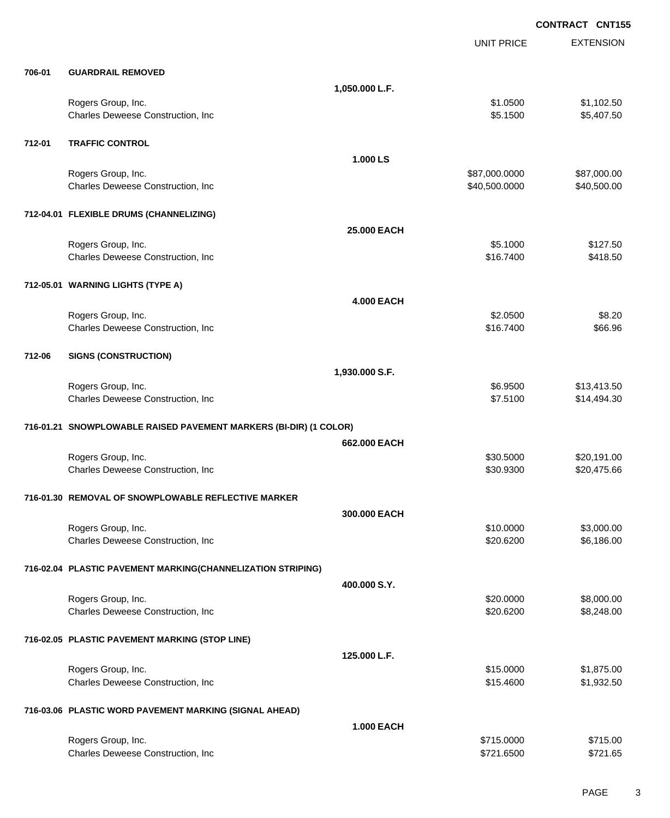|        |                                                                   |                   | <b>CONTRACT CNT155</b>         |                            |
|--------|-------------------------------------------------------------------|-------------------|--------------------------------|----------------------------|
|        |                                                                   |                   | <b>UNIT PRICE</b>              | <b>EXTENSION</b>           |
| 706-01 | <b>GUARDRAIL REMOVED</b>                                          |                   |                                |                            |
|        |                                                                   | 1,050.000 L.F.    |                                |                            |
|        | Rogers Group, Inc.<br>Charles Deweese Construction, Inc           |                   | \$1.0500<br>\$5.1500           | \$1,102.50<br>\$5,407.50   |
| 712-01 | <b>TRAFFIC CONTROL</b>                                            |                   |                                |                            |
|        |                                                                   | 1.000 LS          |                                |                            |
|        | Rogers Group, Inc.<br>Charles Deweese Construction, Inc           |                   | \$87,000.0000<br>\$40,500.0000 | \$87,000.00<br>\$40,500.00 |
|        | 712-04.01 FLEXIBLE DRUMS (CHANNELIZING)                           |                   |                                |                            |
|        |                                                                   | 25.000 EACH       |                                |                            |
|        | Rogers Group, Inc.<br>Charles Deweese Construction, Inc           |                   | \$5.1000<br>\$16.7400          | \$127.50<br>\$418.50       |
|        | 712-05.01 WARNING LIGHTS (TYPE A)                                 |                   |                                |                            |
|        |                                                                   | <b>4.000 EACH</b> |                                |                            |
|        | Rogers Group, Inc.<br>Charles Deweese Construction, Inc           |                   | \$2.0500<br>\$16.7400          | \$8.20<br>\$66.96          |
| 712-06 | <b>SIGNS (CONSTRUCTION)</b>                                       |                   |                                |                            |
|        |                                                                   | 1,930.000 S.F.    |                                |                            |
|        | Rogers Group, Inc.<br>Charles Deweese Construction, Inc           |                   | \$6.9500<br>\$7.5100           | \$13,413.50<br>\$14,494.30 |
|        | 716-01.21 SNOWPLOWABLE RAISED PAVEMENT MARKERS (BI-DIR) (1 COLOR) |                   |                                |                            |
|        |                                                                   | 662.000 EACH      |                                |                            |
|        | Rogers Group, Inc.<br>Charles Deweese Construction, Inc           |                   | \$30.5000<br>\$30.9300         | \$20,191.00<br>\$20,475.66 |
|        | 716-01.30 REMOVAL OF SNOWPLOWABLE REFLECTIVE MARKER               |                   |                                |                            |
|        |                                                                   | 300.000 EACH      |                                |                            |
|        | Rogers Group, Inc.<br>Charles Deweese Construction, Inc.          |                   | \$10.0000<br>\$20.6200         | \$3,000.00<br>\$6,186.00   |
|        | 716-02.04 PLASTIC PAVEMENT MARKING(CHANNELIZATION STRIPING)       |                   |                                |                            |
|        |                                                                   | 400.000 S.Y.      |                                |                            |
|        | Rogers Group, Inc.<br>Charles Deweese Construction, Inc           |                   | \$20.0000<br>\$20.6200         | \$8,000.00<br>\$8,248.00   |
|        | 716-02.05 PLASTIC PAVEMENT MARKING (STOP LINE)                    |                   |                                |                            |
|        |                                                                   | 125.000 L.F.      |                                |                            |
|        | Rogers Group, Inc.<br>Charles Deweese Construction, Inc           |                   | \$15.0000<br>\$15.4600         | \$1,875.00<br>\$1,932.50   |
|        | 716-03.06 PLASTIC WORD PAVEMENT MARKING (SIGNAL AHEAD)            |                   |                                |                            |
|        |                                                                   | <b>1.000 EACH</b> |                                |                            |
|        | Rogers Group, Inc.<br>Charles Deweese Construction, Inc           |                   | \$715.0000<br>\$721.6500       | \$715.00<br>\$721.65       |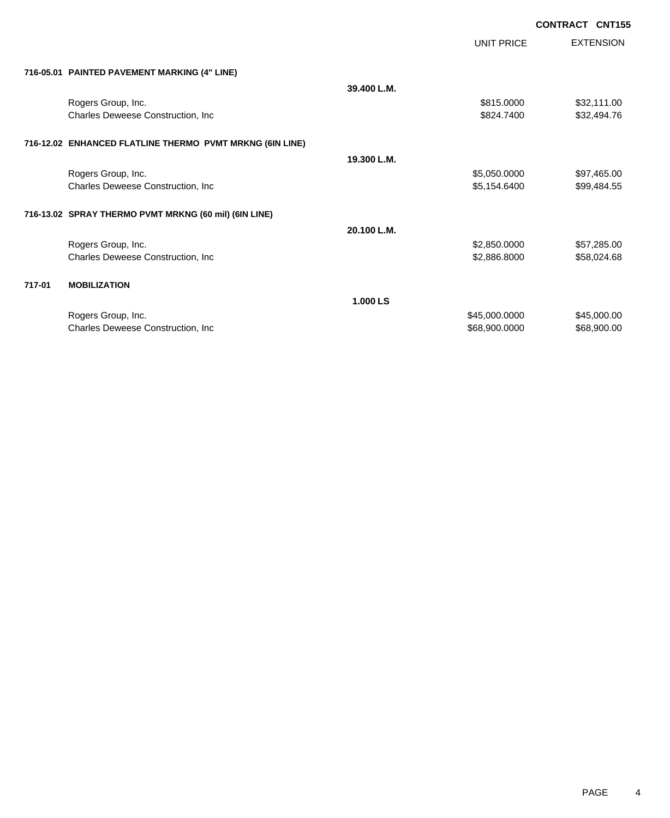UNIT PRICE EXTENSION

| 716-05.01 PAINTED PAVEMENT MARKING (4" LINE) |
|----------------------------------------------|
|                                              |

|        | 716-05.01   PAINTED PAVEMENT MARKING (4" LINE)           |             |               |             |
|--------|----------------------------------------------------------|-------------|---------------|-------------|
|        |                                                          | 39.400 L.M. |               |             |
|        | Rogers Group, Inc.                                       |             | \$815.0000    | \$32,111.00 |
|        | Charles Deweese Construction, Inc.                       |             | \$824.7400    | \$32,494.76 |
|        | 716-12.02 ENHANCED FLATLINE THERMO PVMT MRKNG (6IN LINE) |             |               |             |
|        |                                                          | 19.300 L.M. |               |             |
|        | Rogers Group, Inc.                                       |             | \$5,050.0000  | \$97,465.00 |
|        | Charles Deweese Construction, Inc.                       |             | \$5,154.6400  | \$99,484.55 |
|        | 716-13.02 SPRAY THERMO PVMT MRKNG (60 mil) (6IN LINE)    |             |               |             |
|        |                                                          | 20.100 L.M. |               |             |
|        | Rogers Group, Inc.                                       |             | \$2,850.0000  | \$57,285.00 |
|        | <b>Charles Deweese Construction, Inc.</b>                |             | \$2,886.8000  | \$58,024.68 |
| 717-01 | <b>MOBILIZATION</b>                                      |             |               |             |
|        |                                                          | 1.000 LS    |               |             |
|        | Rogers Group, Inc.                                       |             | \$45,000.0000 | \$45,000.00 |
|        | <b>Charles Deweese Construction, Inc.</b>                |             | \$68,900.0000 | \$68,900.00 |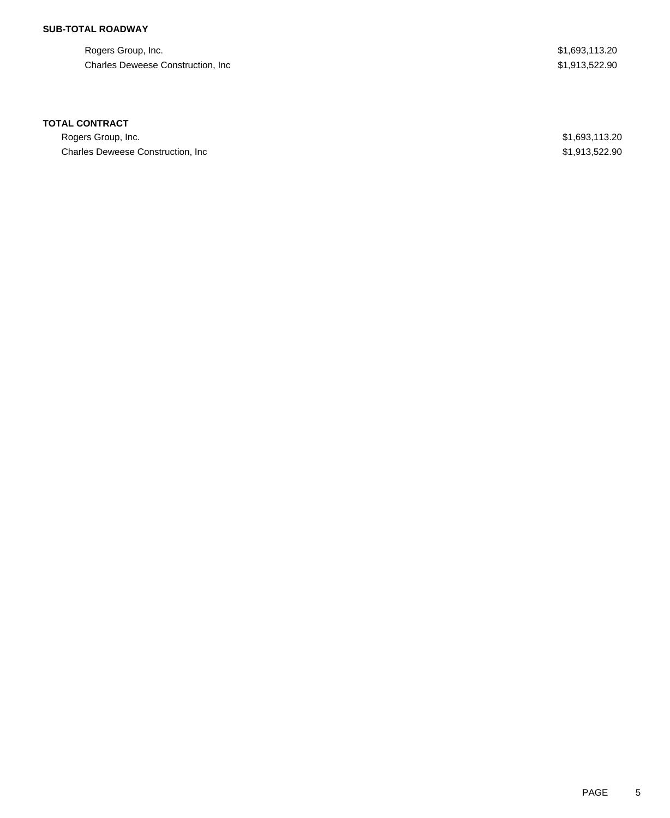## **SUB-TOTAL ROADWAY**

Rogers Group, Inc. \$1,693,113.20 Charles Deweese Construction, Inc **6.6 and 7.6 and 7.6 and 7.6 and 7.6 and 7.6 and 7.6 and 7.6 and 7.6 and 7.6 and 7.6 and 7.6 and 7.6 and 7.6 and 7.6 and 7.6 and 7.6 and 7.6 and 7.6 and 7.6 and 7.6 and 7.6 and 7.6 and 7.6** 

### **TOTAL CONTRACT**

Rogers Group, Inc. \$1,693,113.20 Charles Deweese Construction, Inc **Example 2018** 1.913,522.90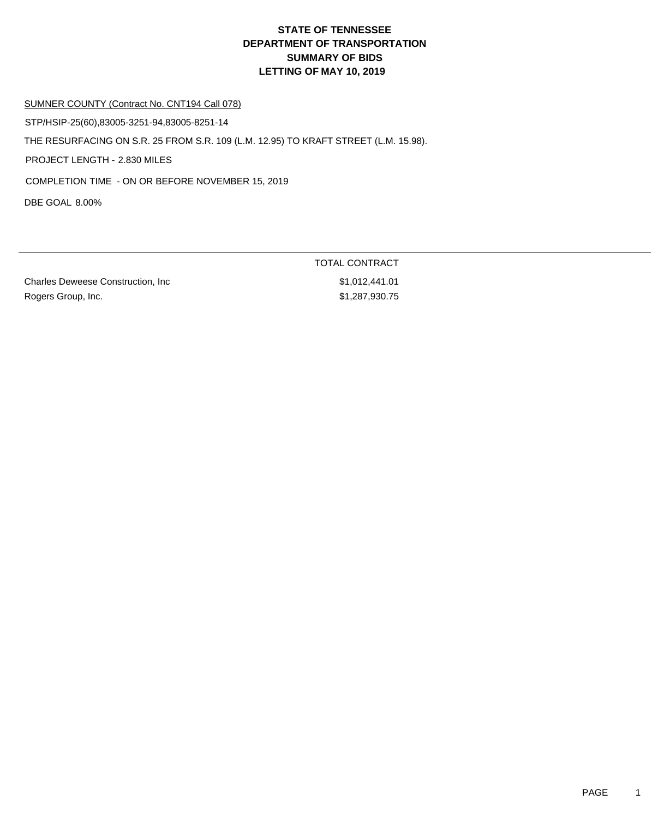#### SUMNER COUNTY (Contract No. CNT194 Call 078)

STP/HSIP-25(60),83005-3251-94,83005-8251-14

THE RESURFACING ON S.R. 25 FROM S.R. 109 (L.M. 12.95) TO KRAFT STREET (L.M. 15.98).

PROJECT LENGTH - 2.830 MILES

COMPLETION TIME - ON OR BEFORE NOVEMBER 15, 2019

DBE GOAL 8.00%

Charles Deweese Construction, Inc 61,012,441.01 Rogers Group, Inc. 6. 2008 1.287,930.75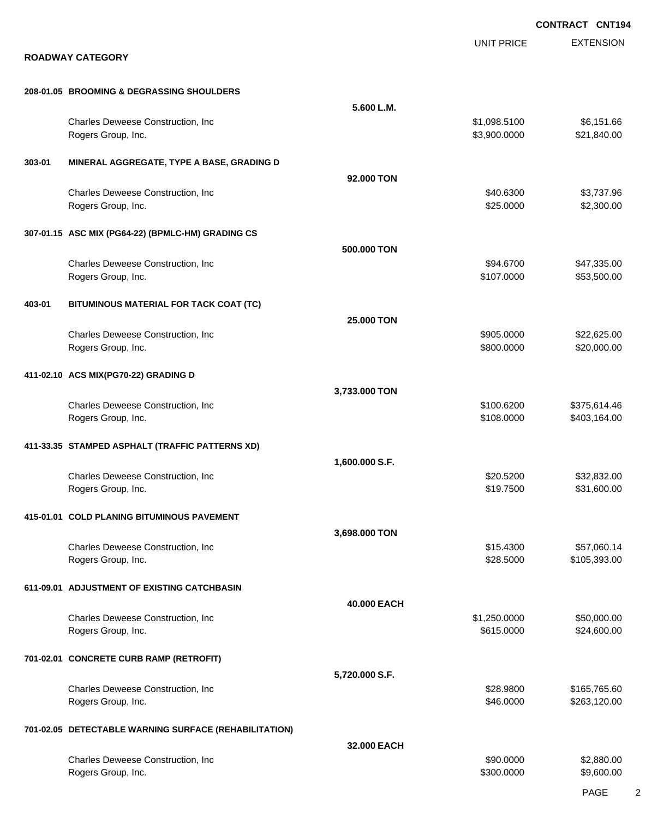|        |                                                          |                | <b>CONTRACT CNT194</b>       |                              |
|--------|----------------------------------------------------------|----------------|------------------------------|------------------------------|
|        | <b>ROADWAY CATEGORY</b>                                  |                | <b>UNIT PRICE</b>            | <b>EXTENSION</b>             |
|        | 208-01.05 BROOMING & DEGRASSING SHOULDERS                |                |                              |                              |
|        |                                                          | 5.600 L.M.     |                              |                              |
|        | Charles Deweese Construction, Inc<br>Rogers Group, Inc.  |                | \$1,098.5100<br>\$3,900.0000 | \$6,151.66<br>\$21,840.00    |
| 303-01 | MINERAL AGGREGATE, TYPE A BASE, GRADING D                |                |                              |                              |
|        |                                                          | 92,000 TON     |                              |                              |
|        | Charles Deweese Construction, Inc.<br>Rogers Group, Inc. |                | \$40.6300<br>\$25.0000       | \$3,737.96<br>\$2,300.00     |
|        | 307-01.15 ASC MIX (PG64-22) (BPMLC-HM) GRADING CS        |                |                              |                              |
|        |                                                          | 500,000 TON    |                              |                              |
|        | Charles Deweese Construction, Inc<br>Rogers Group, Inc.  |                | \$94.6700<br>\$107.0000      | \$47,335.00<br>\$53,500.00   |
| 403-01 | BITUMINOUS MATERIAL FOR TACK COAT (TC)                   |                |                              |                              |
|        |                                                          | 25.000 TON     |                              |                              |
|        | Charles Deweese Construction, Inc                        |                | \$905.0000                   | \$22,625.00                  |
|        | Rogers Group, Inc.                                       |                | \$800.0000                   | \$20,000.00                  |
|        | 411-02.10 ACS MIX(PG70-22) GRADING D                     |                |                              |                              |
|        |                                                          | 3,733.000 TON  |                              |                              |
|        | Charles Deweese Construction, Inc.<br>Rogers Group, Inc. |                | \$100.6200<br>\$108.0000     | \$375,614.46<br>\$403,164.00 |
|        |                                                          |                |                              |                              |
|        | 411-33.35 STAMPED ASPHALT (TRAFFIC PATTERNS XD)          |                |                              |                              |
|        |                                                          | 1,600.000 S.F. |                              |                              |
|        | Charles Deweese Construction, Inc<br>Rogers Group, Inc.  |                | \$20.5200<br>\$19.7500       | \$32,832.00<br>\$31,600.00   |
|        |                                                          |                |                              |                              |
|        | 415-01.01 COLD PLANING BITUMINOUS PAVEMENT               |                |                              |                              |
|        |                                                          | 3,698.000 TON  |                              |                              |
|        | Charles Deweese Construction, Inc                        |                | \$15.4300                    | \$57,060.14                  |
|        | Rogers Group, Inc.                                       |                | \$28.5000                    | \$105,393.00                 |
|        | 611-09.01 ADJUSTMENT OF EXISTING CATCHBASIN              |                |                              |                              |
|        |                                                          | 40.000 EACH    |                              |                              |
|        | Charles Deweese Construction, Inc                        |                | \$1,250.0000                 | \$50,000.00                  |
|        | Rogers Group, Inc.                                       |                | \$615.0000                   | \$24,600.00                  |
|        | 701-02.01 CONCRETE CURB RAMP (RETROFIT)                  |                |                              |                              |
|        |                                                          | 5,720.000 S.F. |                              |                              |
|        | Charles Deweese Construction, Inc                        |                | \$28.9800                    | \$165,765.60                 |
|        | Rogers Group, Inc.                                       |                | \$46.0000                    | \$263,120.00                 |
|        | 701-02.05 DETECTABLE WARNING SURFACE (REHABILITATION)    |                |                              |                              |
|        |                                                          | 32.000 EACH    |                              |                              |
|        | Charles Deweese Construction, Inc                        |                | \$90.0000                    | \$2,880.00                   |
|        | Rogers Group, Inc.                                       |                | \$300.0000                   | \$9,600.00                   |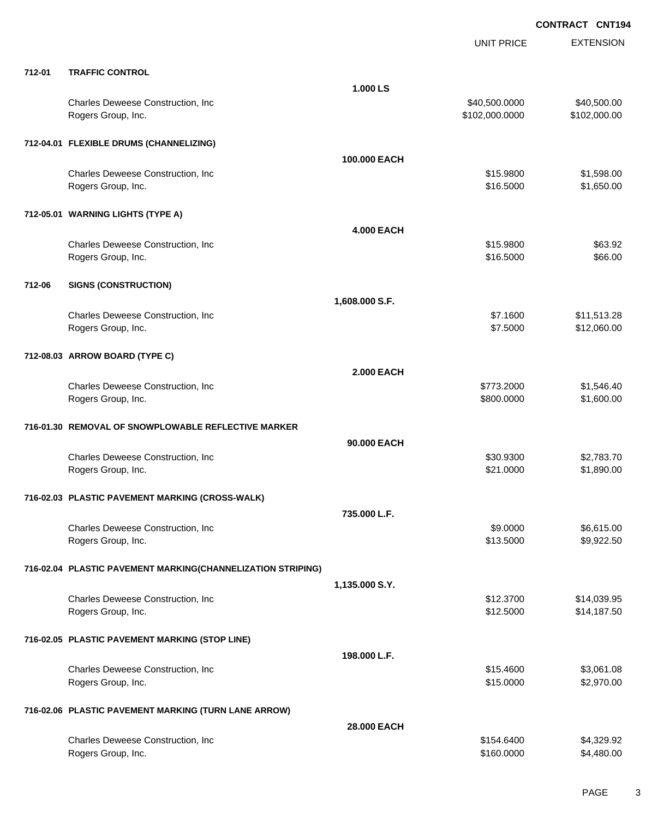|        |                                                             |                   | <b>UNIT PRICE</b>               | <b>EXTENSION</b>            |
|--------|-------------------------------------------------------------|-------------------|---------------------------------|-----------------------------|
| 712-01 | <b>TRAFFIC CONTROL</b>                                      |                   |                                 |                             |
|        |                                                             | 1.000 LS          |                                 |                             |
|        | Charles Deweese Construction, Inc<br>Rogers Group, Inc.     |                   | \$40,500.0000<br>\$102,000.0000 | \$40,500.00<br>\$102,000.00 |
|        | 712-04.01 FLEXIBLE DRUMS (CHANNELIZING)                     |                   |                                 |                             |
|        |                                                             | 100,000 EACH      |                                 |                             |
|        | Charles Deweese Construction, Inc<br>Rogers Group, Inc.     |                   | \$15.9800<br>\$16.5000          | \$1,598.00<br>\$1,650.00    |
|        | 712-05.01 WARNING LIGHTS (TYPE A)                           |                   |                                 |                             |
|        |                                                             | <b>4.000 EACH</b> |                                 |                             |
|        | Charles Deweese Construction, Inc<br>Rogers Group, Inc.     |                   | \$15.9800<br>\$16.5000          | \$63.92<br>\$66.00          |
| 712-06 | <b>SIGNS (CONSTRUCTION)</b>                                 |                   |                                 |                             |
|        |                                                             |                   |                                 |                             |
|        |                                                             | 1,608.000 S.F.    |                                 |                             |
|        | Charles Deweese Construction, Inc<br>Rogers Group, Inc.     |                   | \$7.1600<br>\$7.5000            | \$11,513.28<br>\$12,060.00  |
|        | 712-08.03 ARROW BOARD (TYPE C)                              |                   |                                 |                             |
|        |                                                             | <b>2.000 EACH</b> |                                 |                             |
|        | Charles Deweese Construction, Inc<br>Rogers Group, Inc.     |                   | \$773.2000<br>\$800.0000        | \$1,546.40<br>\$1,600.00    |
|        | 716-01.30 REMOVAL OF SNOWPLOWABLE REFLECTIVE MARKER         |                   |                                 |                             |
|        |                                                             | 90,000 EACH       |                                 |                             |
|        | Charles Deweese Construction, Inc<br>Rogers Group, Inc.     |                   | \$30.9300<br>\$21.0000          | \$2,783.70<br>\$1,890.00    |
|        | 716-02.03 PLASTIC PAVEMENT MARKING (CROSS-WALK)             |                   |                                 |                             |
|        |                                                             | 735.000 L.F.      |                                 |                             |
|        | Charles Deweese Construction, Inc<br>Rogers Group, Inc.     |                   | \$9.0000<br>\$13.5000           | \$6,615.00<br>\$9,922.50    |
|        | 716-02.04 PLASTIC PAVEMENT MARKING(CHANNELIZATION STRIPING) |                   |                                 |                             |
|        |                                                             | 1,135.000 S.Y.    |                                 |                             |
|        | Charles Deweese Construction, Inc                           |                   | \$12.3700                       | \$14,039.95                 |
|        | Rogers Group, Inc.                                          |                   | \$12.5000                       | \$14,187.50                 |
|        | 716-02.05 PLASTIC PAVEMENT MARKING (STOP LINE)              |                   |                                 |                             |
|        |                                                             | 198.000 L.F.      |                                 |                             |
|        | Charles Deweese Construction, Inc<br>Rogers Group, Inc.     |                   | \$15.4600<br>\$15.0000          | \$3,061.08<br>\$2,970.00    |
|        | 716-02.06 PLASTIC PAVEMENT MARKING (TURN LANE ARROW)        |                   |                                 |                             |
|        |                                                             | 28.000 EACH       |                                 |                             |
|        | Charles Deweese Construction, Inc<br>Rogers Group, Inc.     |                   | \$154.6400<br>\$160.0000        | \$4,329.92<br>\$4,480.00    |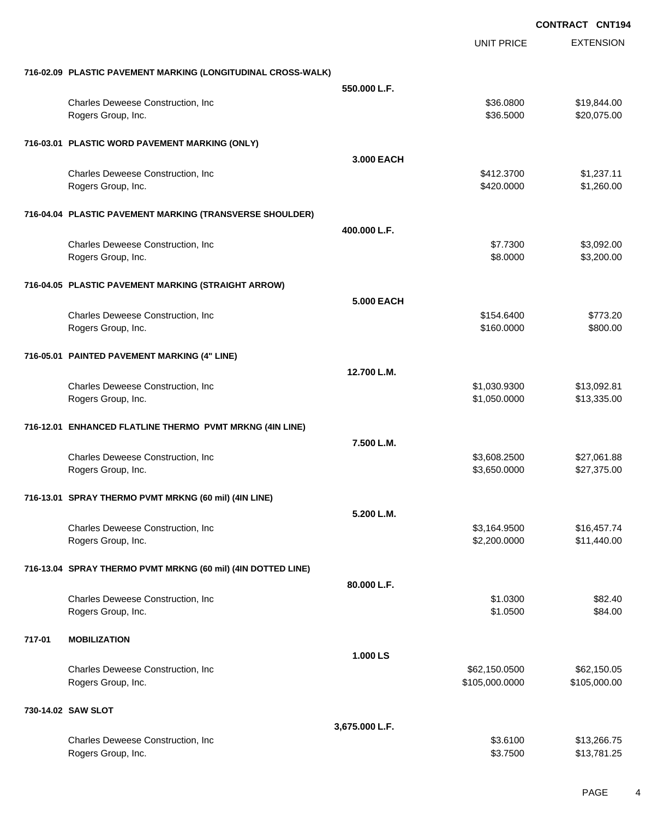|        |                                                              |                | <b>UNIT PRICE</b>    | <b>EXTENSION</b> |
|--------|--------------------------------------------------------------|----------------|----------------------|------------------|
|        | 716-02.09 PLASTIC PAVEMENT MARKING (LONGITUDINAL CROSS-WALK) |                |                      |                  |
|        |                                                              | 550,000 L.F.   |                      |                  |
|        | Charles Deweese Construction, Inc                            |                | \$36.0800            | \$19,844.00      |
|        | Rogers Group, Inc.                                           |                | \$36.5000            | \$20,075.00      |
|        | 716-03.01 PLASTIC WORD PAVEMENT MARKING (ONLY)               |                |                      |                  |
|        |                                                              | 3.000 EACH     |                      |                  |
|        | Charles Deweese Construction, Inc                            |                | \$412.3700           | \$1,237.11       |
|        | Rogers Group, Inc.                                           |                | \$420.0000           | \$1,260.00       |
|        | 716-04.04 PLASTIC PAVEMENT MARKING (TRANSVERSE SHOULDER)     |                |                      |                  |
|        |                                                              | 400.000 L.F.   |                      |                  |
|        | Charles Deweese Construction, Inc.                           |                | \$7.7300             | \$3,092.00       |
|        | Rogers Group, Inc.                                           |                | \$8.0000             | \$3,200.00       |
|        | 716-04.05 PLASTIC PAVEMENT MARKING (STRAIGHT ARROW)          |                |                      |                  |
|        |                                                              | 5.000 EACH     |                      |                  |
|        | Charles Deweese Construction, Inc                            |                | \$154.6400           | \$773.20         |
|        | Rogers Group, Inc.                                           |                | \$160.0000           | \$800.00         |
|        | 716-05.01 PAINTED PAVEMENT MARKING (4" LINE)                 |                |                      |                  |
|        |                                                              | 12.700 L.M.    |                      |                  |
|        | Charles Deweese Construction, Inc                            |                | \$1,030.9300         | \$13,092.81      |
|        | Rogers Group, Inc.                                           |                | \$1,050.0000         | \$13,335.00      |
|        | 716-12.01 ENHANCED FLATLINE THERMO PVMT MRKNG (4IN LINE)     |                |                      |                  |
|        |                                                              | 7.500 L.M.     |                      |                  |
|        | Charles Deweese Construction, Inc.                           |                | \$3,608.2500         | \$27,061.88      |
|        | Rogers Group, Inc.                                           |                | \$3,650.0000         | \$27,375.00      |
|        | 716-13.01 SPRAY THERMO PVMT MRKNG (60 mil) (4IN LINE)        |                |                      |                  |
|        |                                                              | 5.200 L.M.     |                      |                  |
|        | Charles Deweese Construction, Inc.                           |                | \$3,164.9500         | \$16,457.74      |
|        | Rogers Group, Inc.                                           |                | \$2,200.0000         | \$11,440.00      |
|        | 716-13.04 SPRAY THERMO PVMT MRKNG (60 mil) (4IN DOTTED LINE) |                |                      |                  |
|        |                                                              | 80.000 L.F.    |                      |                  |
|        | Charles Deweese Construction, Inc.                           |                | \$1.0300             | \$82.40          |
|        | Rogers Group, Inc.                                           |                | \$1.0500             | \$84.00          |
| 717-01 | <b>MOBILIZATION</b>                                          |                |                      |                  |
|        |                                                              | 1.000 LS       |                      |                  |
|        | Charles Deweese Construction, Inc                            |                | \$62,150.0500        | \$62,150.05      |
|        | Rogers Group, Inc.                                           |                | \$105,000.0000       | \$105,000.00     |
|        | 730-14.02 SAW SLOT                                           |                |                      |                  |
|        |                                                              | 3,675.000 L.F. |                      |                  |
|        | Charles Deweese Construction, Inc.                           |                | \$3.6100<br>\$3.7500 | \$13,266.75      |
|        | Rogers Group, Inc.                                           |                |                      | \$13,781.25      |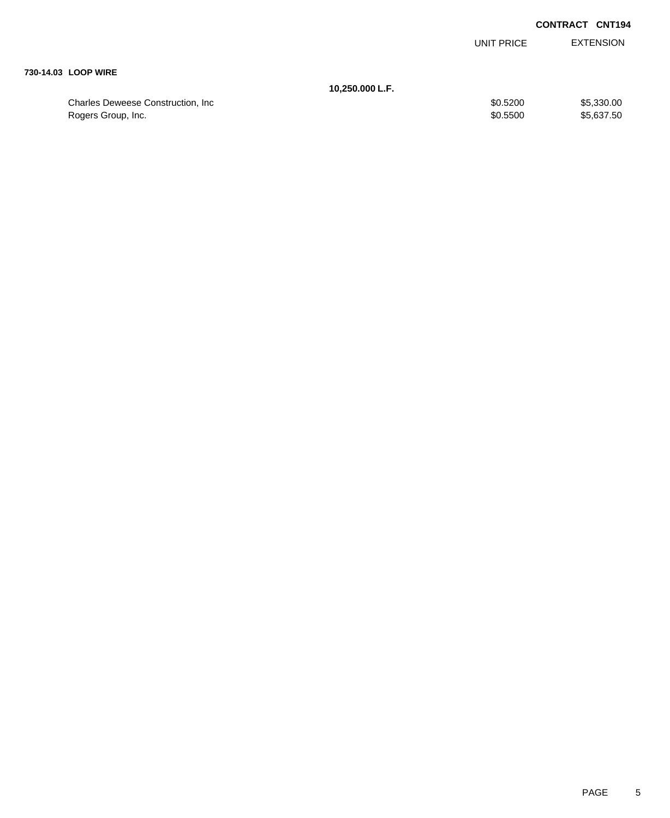| UNIT PRICE | EXTENSION |
|------------|-----------|
|            |           |

#### **730-14.03 LOOP WIRE**

**10,250.000 L.F.**

| Charles Deweese Construction, Inc. | \$0.5200 | \$5,330.00 |
|------------------------------------|----------|------------|
| Rogers Group, Inc.                 | \$0.5500 | \$5,637,50 |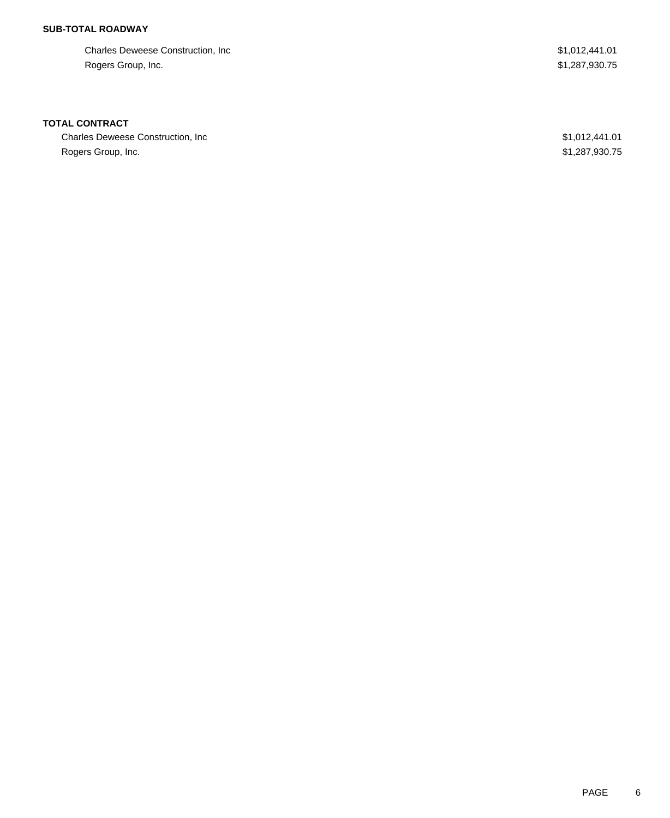## **SUB-TOTAL ROADWAY**

Charles Deweese Construction, Inc  $$1,012,441.01$ Rogers Group, Inc. \$1,287,930.75

### **TOTAL CONTRACT**

Charles Deweese Construction, Inc **Example 2018** 31,012,441.01 Rogers Group, Inc. \$1,287,930.75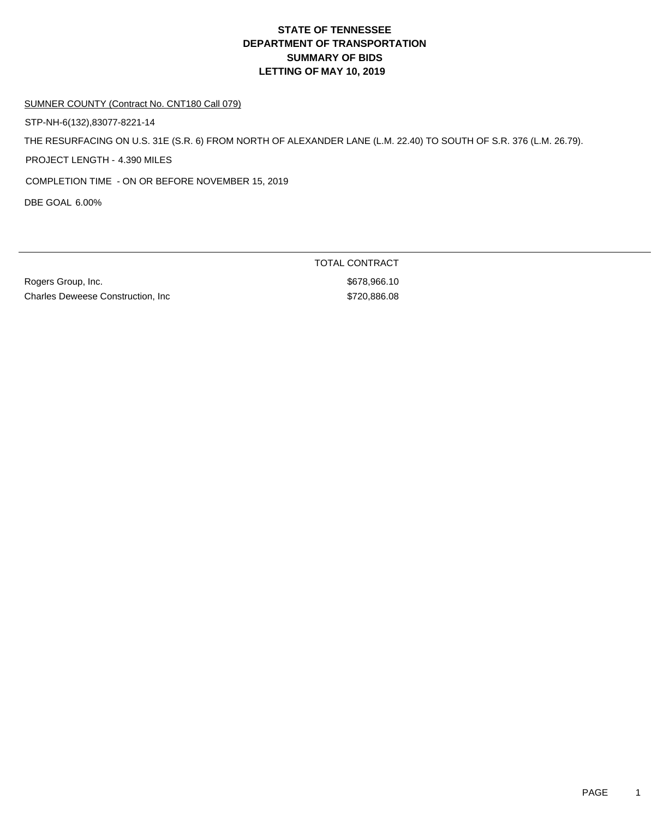#### SUMNER COUNTY (Contract No. CNT180 Call 079)

STP-NH-6(132),83077-8221-14

THE RESURFACING ON U.S. 31E (S.R. 6) FROM NORTH OF ALEXANDER LANE (L.M. 22.40) TO SOUTH OF S.R. 376 (L.M. 26.79).

PROJECT LENGTH - 4.390 MILES

COMPLETION TIME - ON OR BEFORE NOVEMBER 15, 2019

DBE GOAL 6.00%

Rogers Group, Inc. 6. The Contract of the Contract of the Second State of the Second State Second Second State Second Second Second Second Second Second Second Second Second Second Second Second Second Second Second Second Charles Deweese Construction, Inc 6720,886.08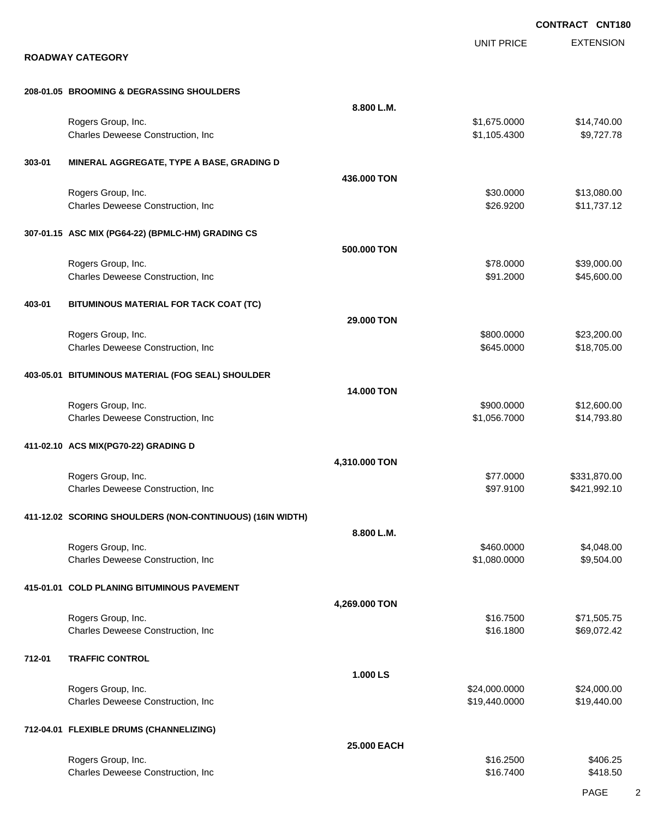|        |                                                           |               |                              | <b>CONTRACT CNT180</b>     |
|--------|-----------------------------------------------------------|---------------|------------------------------|----------------------------|
|        | <b>ROADWAY CATEGORY</b>                                   |               | <b>UNIT PRICE</b>            | <b>EXTENSION</b>           |
|        | 208-01.05 BROOMING & DEGRASSING SHOULDERS                 |               |                              |                            |
|        |                                                           | 8.800 L.M.    |                              |                            |
|        | Rogers Group, Inc.<br>Charles Deweese Construction, Inc   |               | \$1,675.0000<br>\$1,105.4300 | \$14,740.00<br>\$9,727.78  |
| 303-01 | MINERAL AGGREGATE, TYPE A BASE, GRADING D                 |               |                              |                            |
|        |                                                           | 436,000 TON   |                              |                            |
|        | Rogers Group, Inc.<br>Charles Deweese Construction, Inc   |               | \$30.0000<br>\$26.9200       | \$13,080.00<br>\$11,737.12 |
|        | 307-01.15 ASC MIX (PG64-22) (BPMLC-HM) GRADING CS         |               |                              |                            |
|        |                                                           | 500.000 TON   |                              |                            |
|        | Rogers Group, Inc.<br>Charles Deweese Construction, Inc   |               | \$78.0000<br>\$91.2000       | \$39,000.00<br>\$45,600.00 |
| 403-01 | BITUMINOUS MATERIAL FOR TACK COAT (TC)                    |               |                              |                            |
|        | Rogers Group, Inc.                                        | 29.000 TON    | \$800.0000                   | \$23,200.00                |
|        | Charles Deweese Construction, Inc                         |               | \$645.0000                   | \$18,705.00                |
|        | 403-05.01 BITUMINOUS MATERIAL (FOG SEAL) SHOULDER         |               |                              |                            |
|        | Rogers Group, Inc.                                        | 14.000 TON    | \$900.0000                   | \$12,600.00                |
|        | Charles Deweese Construction, Inc                         |               | \$1,056.7000                 | \$14,793.80                |
|        | 411-02.10 ACS MIX(PG70-22) GRADING D                      |               |                              |                            |
|        | Rogers Group, Inc.                                        | 4,310.000 TON | \$77.0000                    | \$331,870.00               |
|        | Charles Deweese Construction, Inc                         |               | \$97.9100                    | \$421,992.10               |
|        | 411-12.02 SCORING SHOULDERS (NON-CONTINUOUS) (16IN WIDTH) |               |                              |                            |
|        | Rogers Group, Inc.                                        | 8.800 L.M.    | \$460.0000                   | \$4,048.00                 |
|        | Charles Deweese Construction, Inc                         |               | \$1,080.0000                 | \$9,504.00                 |
|        | 415-01.01 COLD PLANING BITUMINOUS PAVEMENT                |               |                              |                            |
|        | Rogers Group, Inc.                                        | 4,269.000 TON | \$16.7500                    | \$71,505.75                |
|        | Charles Deweese Construction, Inc                         |               | \$16.1800                    | \$69,072.42                |
| 712-01 | <b>TRAFFIC CONTROL</b>                                    |               |                              |                            |
|        | Rogers Group, Inc.                                        | 1.000 LS      | \$24,000.0000                | \$24,000.00                |
|        | Charles Deweese Construction, Inc                         |               | \$19,440.0000                | \$19,440.00                |
|        | 712-04.01 FLEXIBLE DRUMS (CHANNELIZING)                   |               |                              |                            |
|        | Rogers Group, Inc.                                        | 25.000 EACH   | \$16.2500                    | \$406.25                   |
|        | Charles Deweese Construction, Inc                         |               | \$16.7400                    | \$418.50                   |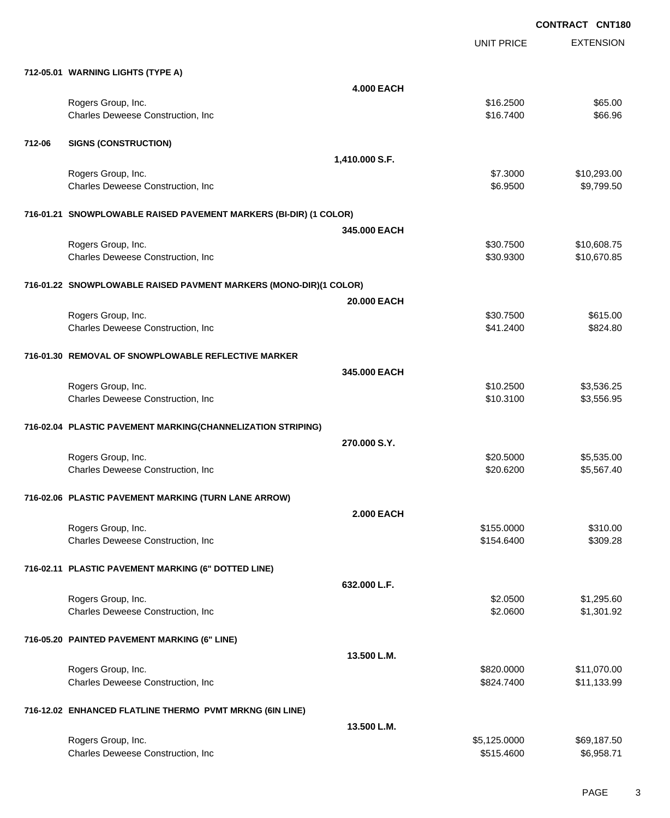|        |                                                                   | UNIT PRICE   | <b>EXTENSION</b> |
|--------|-------------------------------------------------------------------|--------------|------------------|
|        | 712-05.01 WARNING LIGHTS (TYPE A)                                 |              |                  |
|        | <b>4.000 EACH</b>                                                 |              |                  |
|        | Rogers Group, Inc.                                                | \$16.2500    | \$65.00          |
|        | Charles Deweese Construction, Inc                                 | \$16.7400    | \$66.96          |
| 712-06 | <b>SIGNS (CONSTRUCTION)</b>                                       |              |                  |
|        | 1,410.000 S.F.                                                    |              |                  |
|        | Rogers Group, Inc.                                                | \$7.3000     | \$10,293.00      |
|        | Charles Deweese Construction, Inc                                 | \$6.9500     | \$9,799.50       |
|        | 716-01.21 SNOWPLOWABLE RAISED PAVEMENT MARKERS (BI-DIR) (1 COLOR) |              |                  |
|        | 345,000 EACH                                                      |              |                  |
|        | Rogers Group, Inc.                                                | \$30.7500    | \$10,608.75      |
|        | Charles Deweese Construction, Inc                                 | \$30.9300    | \$10,670.85      |
|        | 716-01.22 SNOWPLOWABLE RAISED PAVMENT MARKERS (MONO-DIR)(1 COLOR) |              |                  |
|        | 20.000 EACH                                                       |              |                  |
|        | Rogers Group, Inc.                                                | \$30.7500    | \$615.00         |
|        | Charles Deweese Construction, Inc                                 | \$41.2400    | \$824.80         |
|        | 716-01.30 REMOVAL OF SNOWPLOWABLE REFLECTIVE MARKER               |              |                  |
|        | 345,000 EACH                                                      |              |                  |
|        | Rogers Group, Inc.                                                | \$10.2500    | \$3,536.25       |
|        | Charles Deweese Construction, Inc                                 | \$10.3100    | \$3,556.95       |
|        | 716-02.04 PLASTIC PAVEMENT MARKING(CHANNELIZATION STRIPING)       |              |                  |
|        | 270,000 S.Y.                                                      |              |                  |
|        | Rogers Group, Inc.                                                | \$20.5000    | \$5,535.00       |
|        | Charles Deweese Construction, Inc                                 | \$20.6200    | \$5,567.40       |
|        | 716-02.06 PLASTIC PAVEMENT MARKING (TURN LANE ARROW)              |              |                  |
|        | <b>2.000 EACH</b>                                                 |              |                  |
|        | Rogers Group, Inc.                                                | \$155.0000   | \$310.00         |
|        | Charles Deweese Construction, Inc                                 | \$154.6400   | \$309.28         |
|        | 716-02.11 PLASTIC PAVEMENT MARKING (6" DOTTED LINE)               |              |                  |
|        | 632.000 L.F.                                                      |              |                  |
|        | Rogers Group, Inc.                                                | \$2.0500     | \$1,295.60       |
|        | Charles Deweese Construction, Inc                                 | \$2.0600     | \$1,301.92       |
|        | 716-05.20 PAINTED PAVEMENT MARKING (6" LINE)                      |              |                  |
|        | 13.500 L.M.                                                       |              |                  |
|        | Rogers Group, Inc.                                                | \$820.0000   | \$11,070.00      |
|        | Charles Deweese Construction, Inc                                 | \$824.7400   | \$11,133.99      |
|        | 716-12.02 ENHANCED FLATLINE THERMO PVMT MRKNG (6IN LINE)          |              |                  |
|        | 13.500 L.M.                                                       |              |                  |
|        | Rogers Group, Inc.                                                | \$5,125.0000 | \$69,187.50      |
|        | Charles Deweese Construction, Inc                                 | \$515.4600   | \$6,958.71       |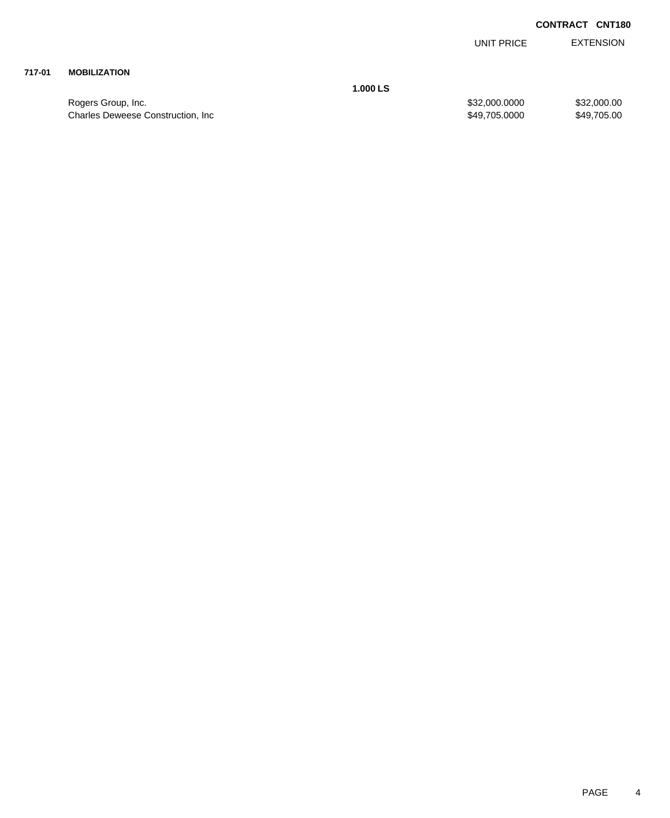EXTENSION UNIT PRICE

## **717-01 MOBILIZATION**

Rogers Group, Inc. \$32,000.000 \$32,000.000 \$32,000.000 \$32,000.000 \$32,000.000 \$32,000.00 Charles Deweese Construction, Inc **Example 2018** 349,705.0000 \$49,705.0000 \$49,705.000

**1.000 LS**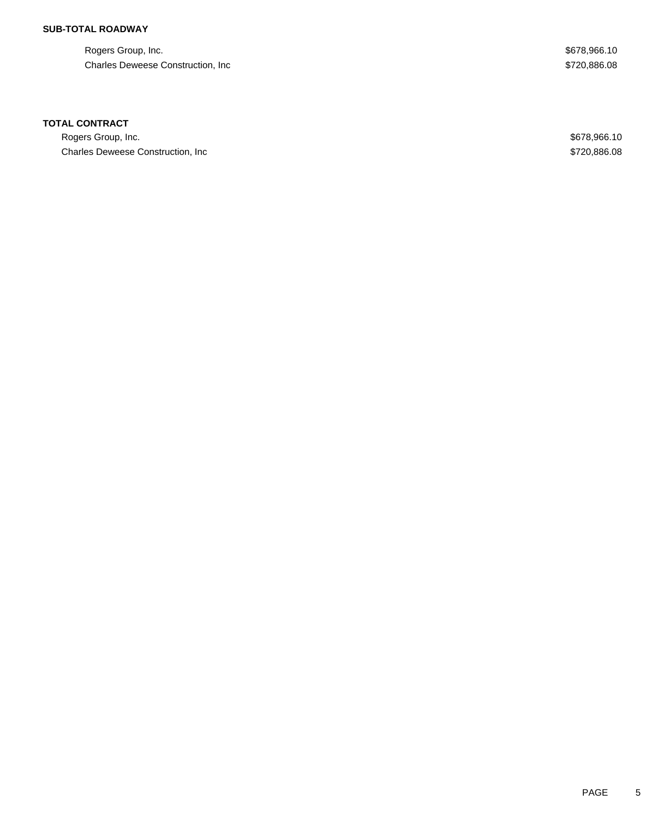## **SUB-TOTAL ROADWAY**

Rogers Group, Inc. \$678,966.10 Charles Deweese Construction, Inc **Example 2018** 3720,886.08

### **TOTAL CONTRACT**

Rogers Group, Inc. \$678,966.10 Charles Deweese Construction, Inc **Example 2018** 2019 12:30 and 2019 12:30 and 3720,886.08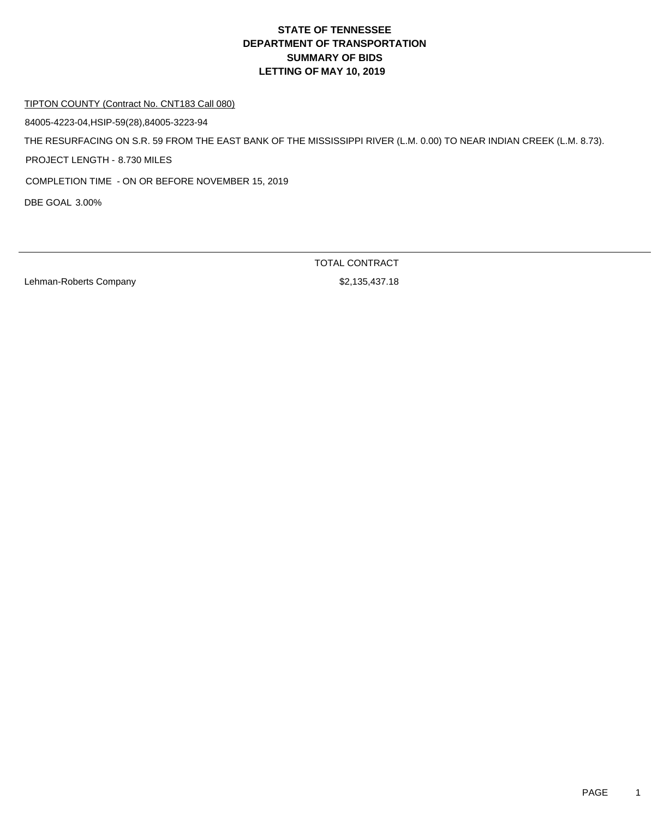#### TIPTON COUNTY (Contract No. CNT183 Call 080)

84005-4223-04,HSIP-59(28),84005-3223-94

THE RESURFACING ON S.R. 59 FROM THE EAST BANK OF THE MISSISSIPPI RIVER (L.M. 0.00) TO NEAR INDIAN CREEK (L.M. 8.73).

PROJECT LENGTH - 8.730 MILES

COMPLETION TIME - ON OR BEFORE NOVEMBER 15, 2019

DBE GOAL 3.00%

Lehman-Roberts Company **62,135,437.18**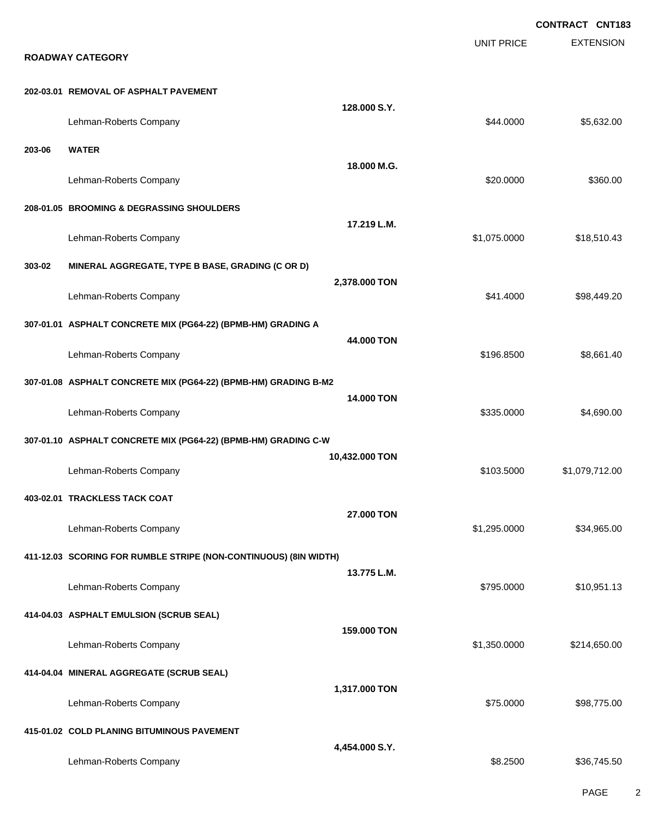EXTENSION **CONTRACT CNT183** UNIT PRICE **ROADWAY CATEGORY 202-03.01 REMOVAL OF ASPHALT PAVEMENT 128.000 S.Y.** Lehman-Roberts Company 65,632.00 **203-06 WATER 18.000 M.G.** Lehman-Roberts Company **\$20.000 \$360.00** \$360.00 **208-01.05 BROOMING & DEGRASSING SHOULDERS 17.219 L.M.** Lehman-Roberts Company **618,510.43 Company 618,510.43 Company 618,510.43 Company 618,510.43 303-02 MINERAL AGGREGATE, TYPE B BASE, GRADING (C OR D) 2,378.000 TON** Lehman-Roberts Company **\$98,449.20 \$98,449.20 \$98,449.20 \$98,449.20 \$98,449.20 307-01.01 ASPHALT CONCRETE MIX (PG64-22) (BPMB-HM) GRADING A 44.000 TON** Lehman-Roberts Company **6196.8500** \$8,661.40 **307-01.08 ASPHALT CONCRETE MIX (PG64-22) (BPMB-HM) GRADING B-M2 14.000 TON** Lehman-Roberts Company **62.690.00** \$4,690.00 **307-01.10 ASPHALT CONCRETE MIX (PG64-22) (BPMB-HM) GRADING C-W 10,432.000 TON** Lehman-Roberts Company \$103.5000 \$1,079,712.00 **403-02.01 TRACKLESS TACK COAT 27.000 TON** Lehman-Roberts Company **\$1,295.000 \$34,965.00 411-12.03 SCORING FOR RUMBLE STRIPE (NON-CONTINUOUS) (8IN WIDTH) 13.775 L.M.** Lehman-Roberts Company **\$20000 \$10,951.13 414-04.03 ASPHALT EMULSION (SCRUB SEAL) 159.000 TON** Lehman-Roberts Company **61,350.000** \$214,650.00 **414-04.04 MINERAL AGGREGATE (SCRUB SEAL) 1,317.000 TON** Lehman-Roberts Company **\$28,775.000 \$98,775.00 415-01.02 COLD PLANING BITUMINOUS PAVEMENT 4,454.000 S.Y.** Lehman-Roberts Company **\$8.2500** \$36,745.50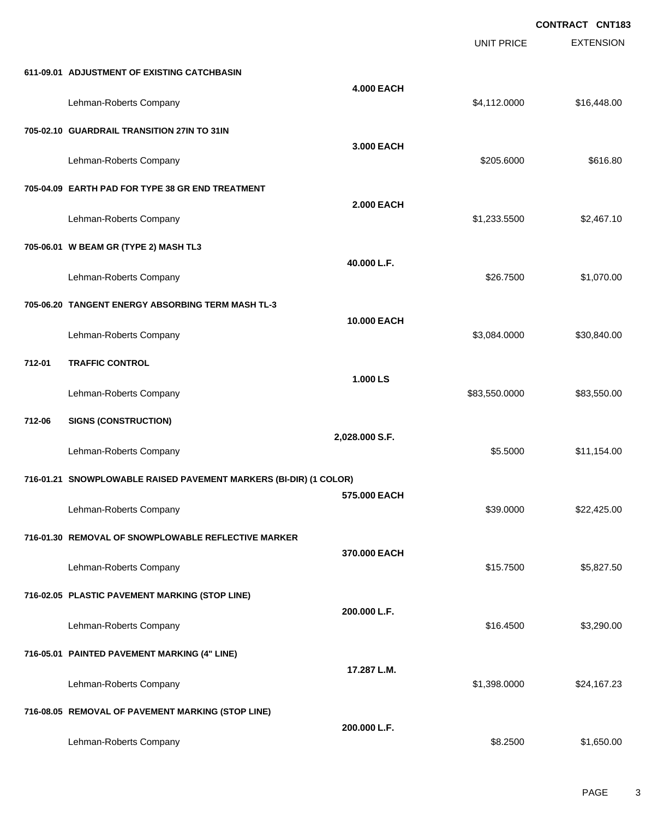|        |                                                                   |                   | <b>UNIT PRICE</b> | <b>CONTRACT CNT183</b><br><b>EXTENSION</b> |
|--------|-------------------------------------------------------------------|-------------------|-------------------|--------------------------------------------|
|        | 611-09.01 ADJUSTMENT OF EXISTING CATCHBASIN                       |                   |                   |                                            |
|        | Lehman-Roberts Company                                            | <b>4.000 EACH</b> | \$4,112.0000      | \$16,448.00                                |
|        | 705-02.10 GUARDRAIL TRANSITION 27IN TO 31IN                       |                   |                   |                                            |
|        | Lehman-Roberts Company                                            | 3.000 EACH        | \$205.6000        | \$616.80                                   |
|        | 705-04.09 EARTH PAD FOR TYPE 38 GR END TREATMENT                  |                   |                   |                                            |
|        | Lehman-Roberts Company                                            | <b>2.000 EACH</b> | \$1,233.5500      | \$2,467.10                                 |
|        | 705-06.01 W BEAM GR (TYPE 2) MASH TL3                             |                   |                   |                                            |
|        | Lehman-Roberts Company                                            | 40.000 L.F.       | \$26.7500         | \$1,070.00                                 |
|        | 705-06.20 TANGENT ENERGY ABSORBING TERM MASH TL-3                 |                   |                   |                                            |
|        | Lehman-Roberts Company                                            | 10.000 EACH       | \$3,084.0000      | \$30,840.00                                |
| 712-01 | <b>TRAFFIC CONTROL</b>                                            |                   |                   |                                            |
|        | Lehman-Roberts Company                                            | 1.000 LS          | \$83,550.0000     | \$83,550.00                                |
| 712-06 | <b>SIGNS (CONSTRUCTION)</b>                                       |                   |                   |                                            |
|        | Lehman-Roberts Company                                            | 2,028.000 S.F.    | \$5.5000          | \$11,154.00                                |
|        | 716-01.21 SNOWPLOWABLE RAISED PAVEMENT MARKERS (BI-DIR) (1 COLOR) |                   |                   |                                            |
|        | Lehman-Roberts Company                                            | 575.000 EACH      | \$39.0000         | \$22,425.00                                |
|        | 716-01.30 REMOVAL OF SNOWPLOWABLE REFLECTIVE MARKER               |                   |                   |                                            |
|        | Lehman-Roberts Company                                            | 370.000 EACH      | \$15.7500         | \$5,827.50                                 |
|        | 716-02.05 PLASTIC PAVEMENT MARKING (STOP LINE)                    |                   |                   |                                            |
|        | Lehman-Roberts Company                                            | 200.000 L.F.      | \$16.4500         | \$3,290.00                                 |
|        | 716-05.01 PAINTED PAVEMENT MARKING (4" LINE)                      |                   |                   |                                            |
|        | Lehman-Roberts Company                                            | 17.287 L.M.       | \$1,398.0000      | \$24,167.23                                |
|        | 716-08.05 REMOVAL OF PAVEMENT MARKING (STOP LINE)                 |                   |                   |                                            |
|        | Lehman-Roberts Company                                            | 200.000 L.F.      | \$8.2500          | \$1,650.00                                 |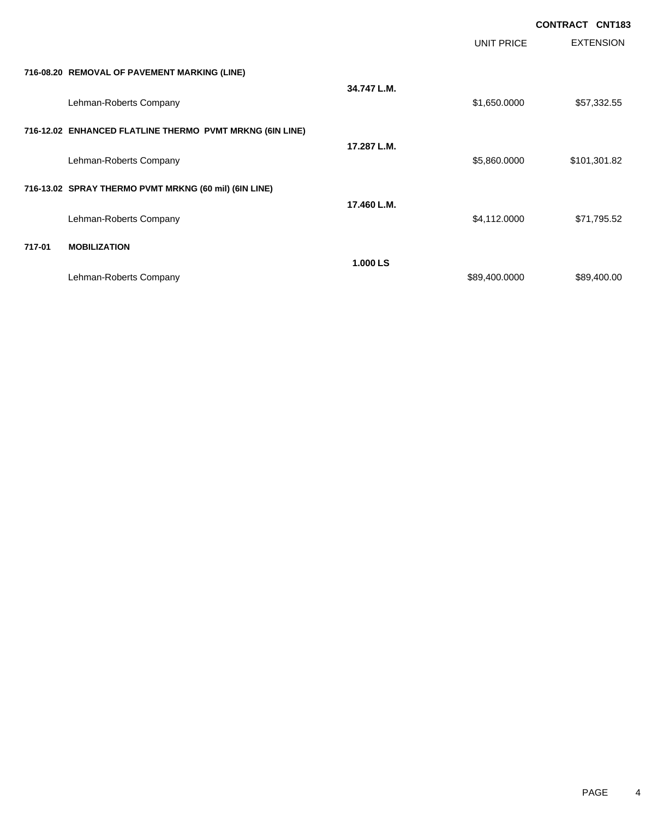|        |                                                          |             |                   | <b>CONTRACT CNT183</b> |
|--------|----------------------------------------------------------|-------------|-------------------|------------------------|
|        |                                                          |             | <b>UNIT PRICE</b> | <b>EXTENSION</b>       |
|        | 716-08.20 REMOVAL OF PAVEMENT MARKING (LINE)             |             |                   |                        |
|        | Lehman-Roberts Company                                   | 34.747 L.M. | \$1,650.0000      | \$57,332.55            |
|        | 716-12.02 ENHANCED FLATLINE THERMO PVMT MRKNG (6IN LINE) |             |                   |                        |
|        | Lehman-Roberts Company                                   | 17.287 L.M. | \$5,860.0000      | \$101,301.82           |
|        | 716-13.02 SPRAY THERMO PVMT MRKNG (60 mil) (6IN LINE)    |             |                   |                        |
|        | Lehman-Roberts Company                                   | 17.460 L.M. | \$4,112.0000      | \$71,795.52            |
| 717-01 | <b>MOBILIZATION</b>                                      |             |                   |                        |
|        | Lehman-Roberts Company                                   | 1.000 LS    | \$89,400.0000     | \$89,400.00            |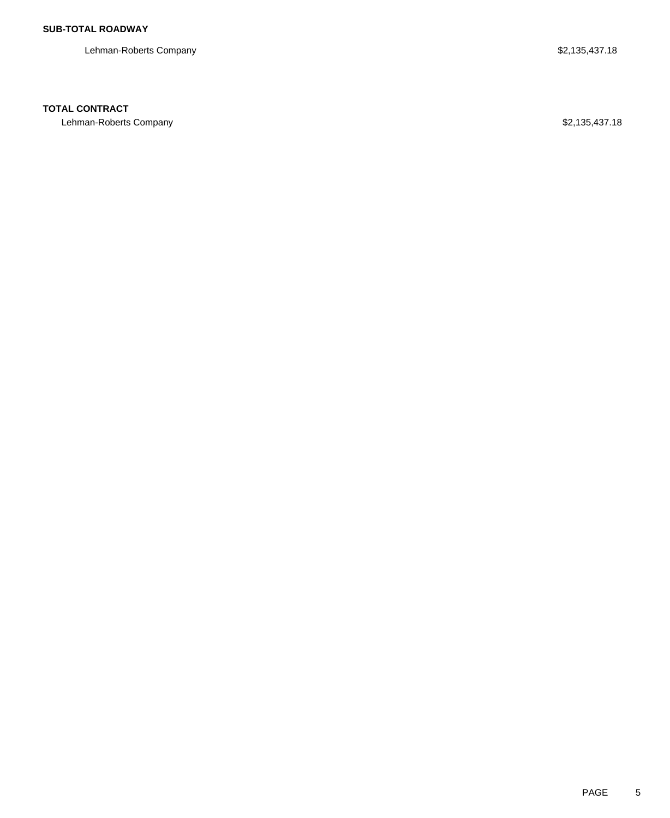Lehman-Roberts Company \$2,135,437.18

## **TOTAL CONTRACT**

Lehman-Roberts Company **\$2,135,437.18**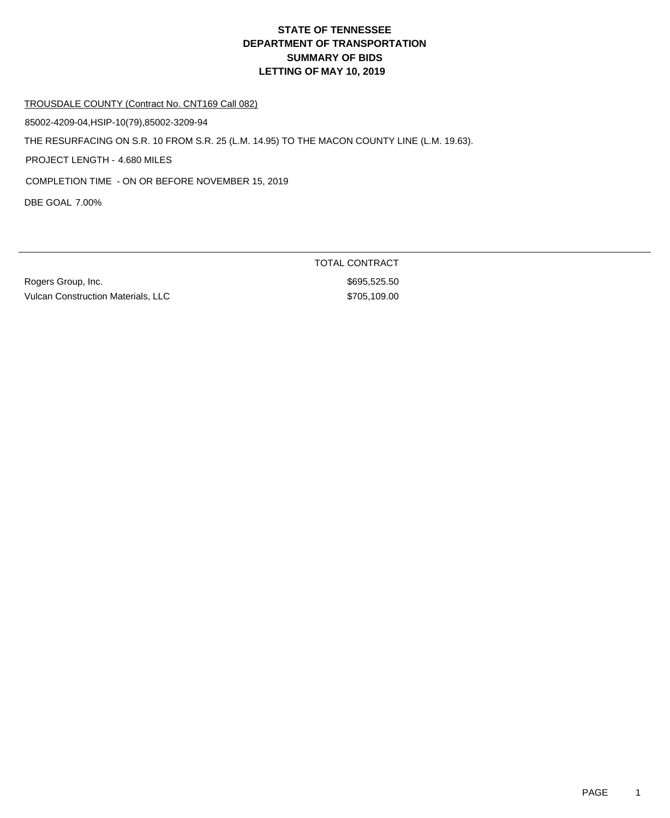#### TROUSDALE COUNTY (Contract No. CNT169 Call 082)

85002-4209-04,HSIP-10(79),85002-3209-94

THE RESURFACING ON S.R. 10 FROM S.R. 25 (L.M. 14.95) TO THE MACON COUNTY LINE (L.M. 19.63).

PROJECT LENGTH - 4.680 MILES

COMPLETION TIME - ON OR BEFORE NOVEMBER 15, 2019

DBE GOAL 7.00%

Rogers Group, Inc. \$695,525.50 Vulcan Construction Materials, LLC \$705,109.00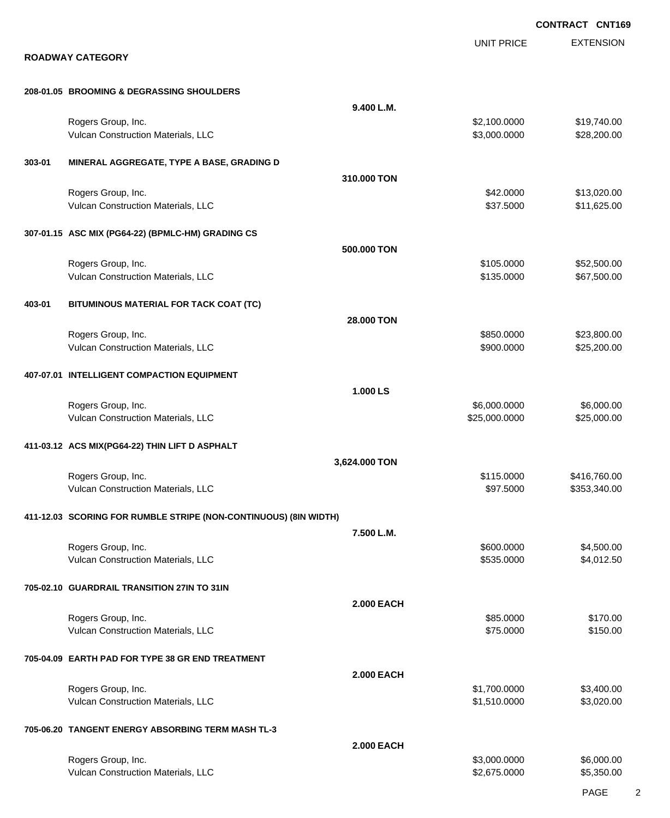|        |                                                                  |                   |                              | <b>CONTRACT CNT169</b>     |
|--------|------------------------------------------------------------------|-------------------|------------------------------|----------------------------|
|        | <b>ROADWAY CATEGORY</b>                                          |                   | UNIT PRICE                   | <b>EXTENSION</b>           |
|        | 208-01.05 BROOMING & DEGRASSING SHOULDERS                        |                   |                              |                            |
|        |                                                                  | 9.400 L.M.        |                              |                            |
|        | Rogers Group, Inc.<br>Vulcan Construction Materials, LLC         |                   | \$2,100.0000<br>\$3,000.0000 | \$19,740.00<br>\$28,200.00 |
| 303-01 | MINERAL AGGREGATE, TYPE A BASE, GRADING D                        |                   |                              |                            |
|        |                                                                  | 310,000 TON       |                              |                            |
|        | Rogers Group, Inc.<br>Vulcan Construction Materials, LLC         |                   | \$42.0000<br>\$37.5000       | \$13,020.00<br>\$11,625.00 |
|        | 307-01.15 ASC MIX (PG64-22) (BPMLC-HM) GRADING CS                |                   |                              |                            |
|        |                                                                  | 500.000 TON       |                              |                            |
|        | Rogers Group, Inc.<br>Vulcan Construction Materials, LLC         |                   | \$105.0000<br>\$135.0000     | \$52,500.00<br>\$67,500.00 |
| 403-01 | BITUMINOUS MATERIAL FOR TACK COAT (TC)                           |                   |                              |                            |
|        |                                                                  | 28.000 TON        |                              |                            |
|        | Rogers Group, Inc.<br>Vulcan Construction Materials, LLC         |                   | \$850.0000<br>\$900.0000     | \$23,800.00<br>\$25,200.00 |
|        | 407-07.01 INTELLIGENT COMPACTION EQUIPMENT                       | 1.000 LS          |                              |                            |
|        | Rogers Group, Inc.                                               |                   | \$6,000.0000                 | \$6,000.00                 |
|        | Vulcan Construction Materials, LLC                               |                   | \$25,000.0000                | \$25,000.00                |
|        | 411-03.12 ACS MIX(PG64-22) THIN LIFT D ASPHALT                   | 3,624.000 TON     |                              |                            |
|        | Rogers Group, Inc.                                               |                   | \$115.0000                   | \$416,760.00               |
|        | Vulcan Construction Materials, LLC                               |                   | \$97.5000                    | \$353,340.00               |
|        | 411-12.03 SCORING FOR RUMBLE STRIPE (NON-CONTINUOUS) (8IN WIDTH) | 7.500 L.M.        |                              |                            |
|        | Rogers Group, Inc.                                               |                   | \$600.0000                   | \$4,500.00                 |
|        | Vulcan Construction Materials, LLC                               |                   | \$535.0000                   | \$4,012.50                 |
|        | 705-02.10 GUARDRAIL TRANSITION 27IN TO 31IN                      | <b>2.000 EACH</b> |                              |                            |
|        | Rogers Group, Inc.                                               |                   | \$85.0000                    | \$170.00                   |
|        | Vulcan Construction Materials, LLC                               |                   | \$75.0000                    | \$150.00                   |
|        | 705-04.09 EARTH PAD FOR TYPE 38 GR END TREATMENT                 | <b>2.000 EACH</b> |                              |                            |
|        | Rogers Group, Inc.                                               |                   | \$1,700.0000                 | \$3,400.00                 |
|        | Vulcan Construction Materials, LLC                               |                   | \$1,510.0000                 | \$3,020.00                 |
|        | 705-06.20 TANGENT ENERGY ABSORBING TERM MASH TL-3                | <b>2.000 EACH</b> |                              |                            |
|        | Rogers Group, Inc.                                               |                   | \$3,000.0000                 | \$6,000.00                 |
|        | Vulcan Construction Materials, LLC                               |                   | \$2,675.0000                 | \$5,350.00                 |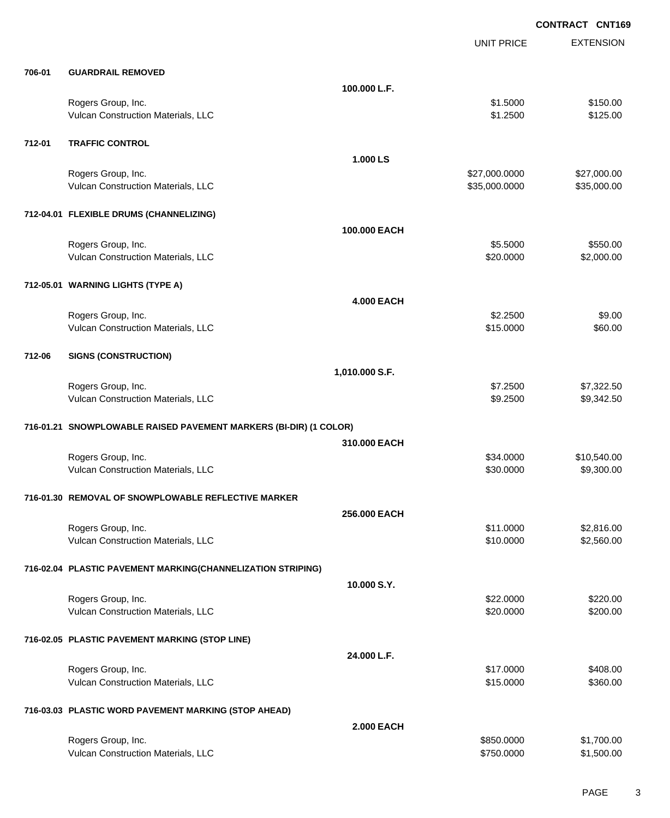EXTENSION **CONTRACT CNT169** UNIT PRICE **706-01 GUARDRAIL REMOVED 100.000 L.F.** Rogers Group, Inc. \$1.5000 \$1.5000 \$1.5000 \$1.5000 \$1.5000 \$1.5000 \$1.5000 \$1.5000 \$1.5000 \$1.5000 \$1.5000 \$1.5000 \$1.5000 \$1.5000 \$1.5000 \$1.5000 \$1.5000 \$1.5000 \$1.5000 \$1.5000 \$1.5000 \$1.5000 \$1.5000 \$1.5000 \$1.5000 \$1. Vulcan Construction Materials, LLC 61.2500 \$1.2500 \$1.2500 \$1.2500 **712-01 TRAFFIC CONTROL 1.000 LS** Rogers Group, Inc. \$27,000.000 \$27,000.000 \$27,000.000 \$27,000.000 \$27,000.000 \$27,000.00 Vulcan Construction Materials, LLC 600000 \$35,000.000 \$35,000.000 \$35,000.000 \$35,000.000 \$35,000.00 **712-04.01 FLEXIBLE DRUMS (CHANNELIZING) 100.000 EACH** Rogers Group, Inc. \$550.00 \$550.00 \$550.00 \$550.00 \$550.00 \$550.00 \$550.00 \$550.00 \$550.00 \$550.00 \$550.00 \$550 Vulcan Construction Materials, LLC 60000 \$2,000.00 **712-05.01 WARNING LIGHTS (TYPE A) 4.000 EACH** Rogers Group, Inc. \$9.00 \$9.00 \$9.00 \$9.00 \$9.00 \$9.00 \$9.00 \$9.00 \$9.00 \$9.00 \$9.00 \$9.00 \$9.00 \$9.00 \$9.00 \$9.00 \$9.00 \$9.00 \$9.00 \$9.00 \$9.00 \$9.00 \$9.00 \$9.00 \$9.00 \$9.00 \$9.00 \$9.00 \$9.00 \$9.00 \$9.00 \$9.00 \$9.00 \$9.00 Vulcan Construction Materials, LLC 60.00 \$60.00 **712-06 SIGNS (CONSTRUCTION) 1,010.000 S.F.** Rogers Group, Inc. \$7.322.500 \$7,322.50 Vulcan Construction Materials, LLC 66 and the state of the state of the state of the state of the state of the state  $\sim$  \$9.2500 \$9,342.50 **716-01.21 SNOWPLOWABLE RAISED PAVEMENT MARKERS (BI-DIR) (1 COLOR) 310.000 EACH** Rogers Group, Inc. \$34.0000 \$10,540.00 Vulcan Construction Materials, LLC 60000 \$9,300.00 \$9,300.000 \$9,300.00 **716-01.30 REMOVAL OF SNOWPLOWABLE REFLECTIVE MARKER 256.000 EACH** Rogers Group, Inc. \$11.0000 \$2,816.00 \$2,816.00 \$2,816.00 \$2,816.00 \$2,816.00 \$2,816.00 \$2,816.00 \$2,816.00 \$2, Vulcan Construction Materials, LLC 60000 \$2,560.00 **716-02.04 PLASTIC PAVEMENT MARKING(CHANNELIZATION STRIPING) 10.000 S.Y.** Rogers Group, Inc. \$22.000 \$220.00 \$22.000 \$22.000 \$22.000 \$22.000 \$22.000 \$22.000 \$220.00 \$220.00 \$220.00 \$220 Vulcan Construction Materials, LLC 6200.000 \$200.000 \$200.000 \$200.00 **716-02.05 PLASTIC PAVEMENT MARKING (STOP LINE) 24.000 L.F.** Rogers Group, Inc. \$17.0000 \$408.00 Vulcan Construction Materials, LLC 6360.00 \$360.00 **716-03.03 PLASTIC WORD PAVEMENT MARKING (STOP AHEAD) 2.000 EACH** Rogers Group, Inc. \$850.0000 \$1,700.00

Vulcan Construction Materials, LLC 60000 \$1,500.00 \$1,500.00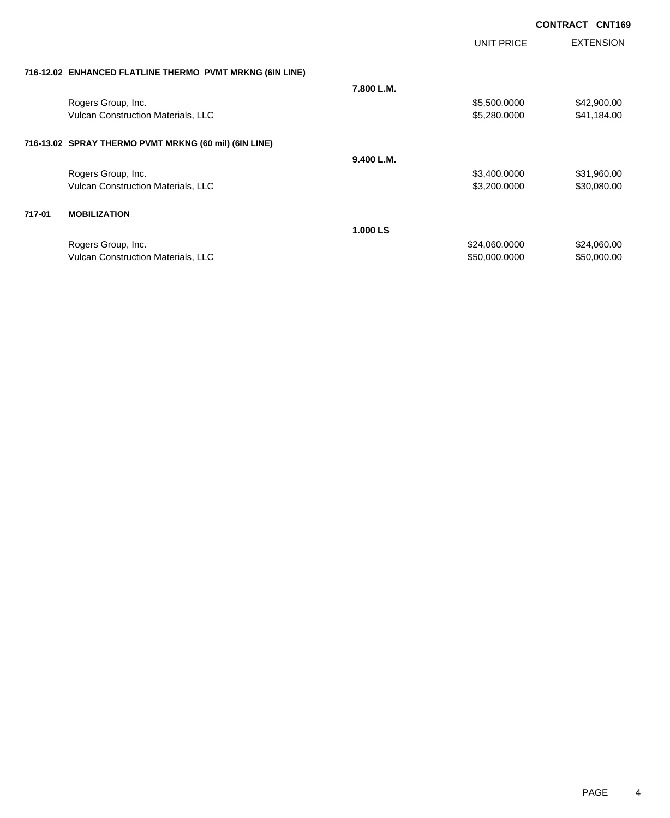|        |                                                          |            | UNIT PRICE    | <b>EXTENSION</b> |
|--------|----------------------------------------------------------|------------|---------------|------------------|
|        | 716-12.02 ENHANCED FLATLINE THERMO PVMT MRKNG (6IN LINE) |            |               |                  |
|        |                                                          | 7.800 L.M. |               |                  |
|        | Rogers Group, Inc.                                       |            | \$5,500.0000  | \$42,900.00      |
|        | Vulcan Construction Materials, LLC                       |            | \$5,280.0000  | \$41,184.00      |
|        | 716-13.02 SPRAY THERMO PVMT MRKNG (60 mil) (6IN LINE)    |            |               |                  |
|        |                                                          | 9.400 L.M. |               |                  |
|        | Rogers Group, Inc.                                       |            | \$3,400.0000  | \$31,960.00      |
|        | Vulcan Construction Materials, LLC                       |            | \$3,200.0000  | \$30,080.00      |
| 717-01 | <b>MOBILIZATION</b>                                      |            |               |                  |
|        |                                                          | 1.000 LS   |               |                  |
|        | Rogers Group, Inc.                                       |            | \$24,060.0000 | \$24,060.00      |
|        | <b>Vulcan Construction Materials, LLC</b>                |            | \$50,000.0000 | \$50,000.00      |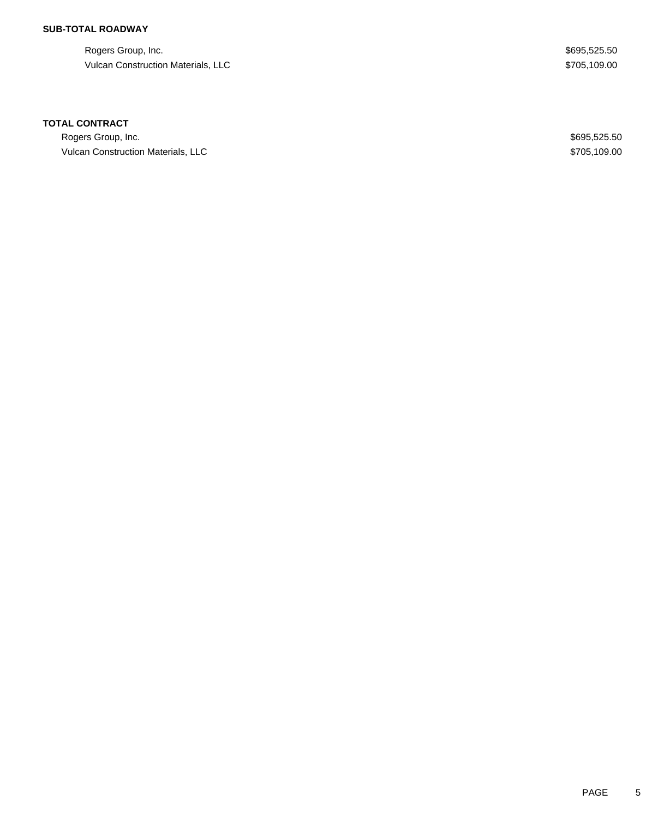## **SUB-TOTAL ROADWAY**

Rogers Group, Inc. \$695,525.50 Vulcan Construction Materials, LLC  $$705,109.00$ 

### **TOTAL CONTRACT**

Rogers Group, Inc. \$695,525.50 Vulcan Construction Materials, LLC **Analyzis Construction Materials**, LLC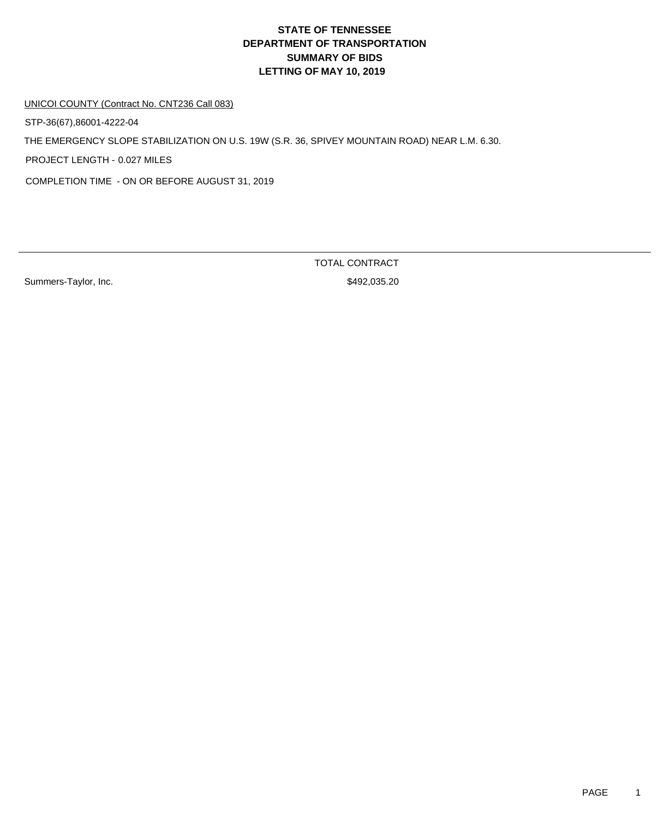UNICOI COUNTY (Contract No. CNT236 Call 083)

STP-36(67),86001-4222-04

THE EMERGENCY SLOPE STABILIZATION ON U.S. 19W (S.R. 36, SPIVEY MOUNTAIN ROAD) NEAR L.M. 6.30.

PROJECT LENGTH - 0.027 MILES

COMPLETION TIME - ON OR BEFORE AUGUST 31, 2019

Summers-Taylor, Inc. 6. 2012 12:30 12:30 12:30 12:30 12:30 12:30 12:30 12:30 12:30 12:30 12:30 12:30 12:30 12:30 12:30 12:30 12:30 12:30 12:30 12:30 12:30 12:30 12:30 12:30 12:30 12:30 12:30 12:30 12:30 12:30 12:30 12:30 1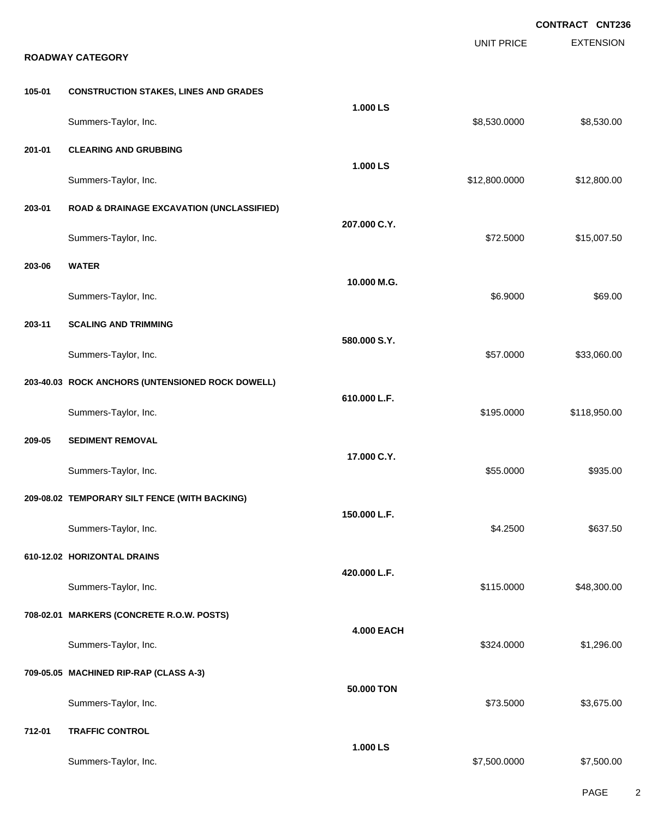|        |                                                      |                   | <b>UNIT PRICE</b> | <b>CONTRACT CNT236</b><br><b>EXTENSION</b> |
|--------|------------------------------------------------------|-------------------|-------------------|--------------------------------------------|
|        | <b>ROADWAY CATEGORY</b>                              |                   |                   |                                            |
| 105-01 | <b>CONSTRUCTION STAKES, LINES AND GRADES</b>         |                   |                   |                                            |
|        | Summers-Taylor, Inc.                                 | 1.000 LS          | \$8,530.0000      | \$8,530.00                                 |
| 201-01 | <b>CLEARING AND GRUBBING</b>                         |                   |                   |                                            |
|        | Summers-Taylor, Inc.                                 | 1.000 LS          | \$12,800.0000     | \$12,800.00                                |
| 203-01 | <b>ROAD &amp; DRAINAGE EXCAVATION (UNCLASSIFIED)</b> |                   |                   |                                            |
|        | Summers-Taylor, Inc.                                 | 207.000 C.Y.      | \$72.5000         | \$15,007.50                                |
| 203-06 | <b>WATER</b>                                         |                   |                   |                                            |
|        | Summers-Taylor, Inc.                                 | 10.000 M.G.       | \$6.9000          | \$69.00                                    |
| 203-11 | <b>SCALING AND TRIMMING</b>                          | 580.000 S.Y.      |                   |                                            |
|        | Summers-Taylor, Inc.                                 |                   | \$57.0000         | \$33,060.00                                |
|        | 203-40.03 ROCK ANCHORS (UNTENSIONED ROCK DOWELL)     |                   |                   |                                            |
|        | Summers-Taylor, Inc.                                 | 610.000 L.F.      | \$195.0000        | \$118,950.00                               |
| 209-05 | <b>SEDIMENT REMOVAL</b>                              |                   |                   |                                            |
|        | Summers-Taylor, Inc.                                 | 17.000 C.Y.       | \$55.0000         | \$935.00                                   |
|        | 209-08.02 TEMPORARY SILT FENCE (WITH BACKING)        | 150.000 L.F.      |                   |                                            |
|        | Summers-Taylor, Inc.                                 |                   | \$4.2500          | \$637.50                                   |
|        | 610-12.02 HORIZONTAL DRAINS                          |                   |                   |                                            |
|        | Summers-Taylor, Inc.                                 | 420.000 L.F.      | \$115.0000        | \$48,300.00                                |
|        | 708-02.01 MARKERS (CONCRETE R.O.W. POSTS)            |                   |                   |                                            |
|        | Summers-Taylor, Inc.                                 | <b>4.000 EACH</b> | \$324.0000        | \$1,296.00                                 |
|        | 709-05.05 MACHINED RIP-RAP (CLASS A-3)               |                   |                   |                                            |
|        | Summers-Taylor, Inc.                                 | 50.000 TON        | \$73.5000         | \$3,675.00                                 |
| 712-01 | <b>TRAFFIC CONTROL</b>                               |                   |                   |                                            |
|        | Summers-Taylor, Inc.                                 | 1.000 LS          | \$7,500.0000      | \$7,500.00                                 |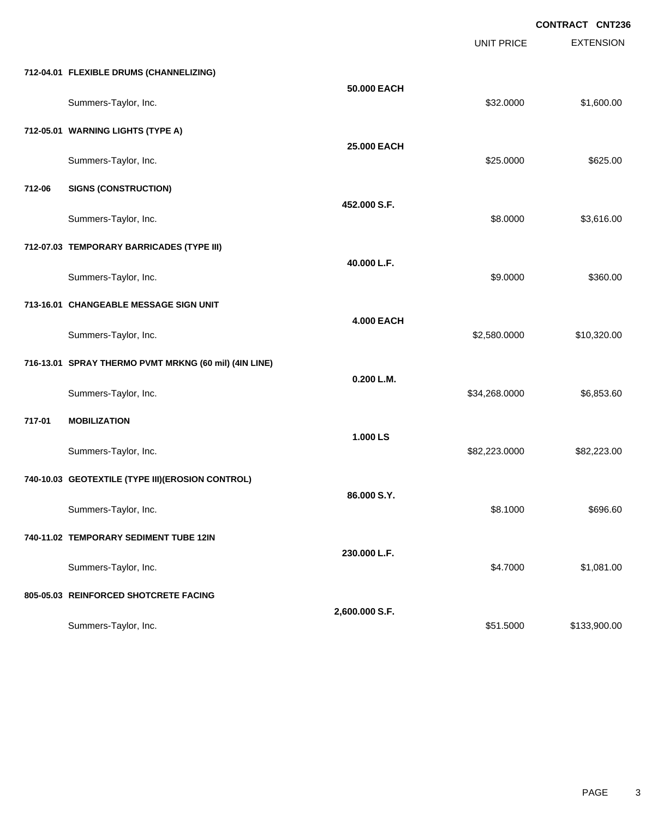|        |                                                       |                   | <b>UNIT PRICE</b> | <b>EXTENSION</b> |
|--------|-------------------------------------------------------|-------------------|-------------------|------------------|
|        | 712-04.01 FLEXIBLE DRUMS (CHANNELIZING)               |                   |                   |                  |
|        | Summers-Taylor, Inc.                                  | 50.000 EACH       | \$32.0000         | \$1,600.00       |
|        | 712-05.01 WARNING LIGHTS (TYPE A)                     |                   |                   |                  |
|        | Summers-Taylor, Inc.                                  | 25.000 EACH       | \$25.0000         | \$625.00         |
| 712-06 | <b>SIGNS (CONSTRUCTION)</b>                           |                   |                   |                  |
|        | Summers-Taylor, Inc.                                  | 452.000 S.F.      | \$8.0000          | \$3,616.00       |
|        | 712-07.03 TEMPORARY BARRICADES (TYPE III)             |                   |                   |                  |
|        | Summers-Taylor, Inc.                                  | 40.000 L.F.       | \$9.0000          | \$360.00         |
|        | 713-16.01 CHANGEABLE MESSAGE SIGN UNIT                |                   |                   |                  |
|        | Summers-Taylor, Inc.                                  | <b>4.000 EACH</b> | \$2,580.0000      | \$10,320.00      |
|        | 716-13.01 SPRAY THERMO PVMT MRKNG (60 mil) (4IN LINE) |                   |                   |                  |
|        | Summers-Taylor, Inc.                                  | 0.200 L.M.        | \$34,268.0000     | \$6,853.60       |
| 717-01 | <b>MOBILIZATION</b>                                   |                   |                   |                  |
|        | Summers-Taylor, Inc.                                  | 1.000 LS          | \$82,223.0000     | \$82,223.00      |
|        | 740-10.03 GEOTEXTILE (TYPE III)(EROSION CONTROL)      |                   |                   |                  |
|        | Summers-Taylor, Inc.                                  | 86.000 S.Y.       | \$8.1000          | \$696.60         |
|        | 740-11.02 TEMPORARY SEDIMENT TUBE 12IN                |                   |                   |                  |
|        | Summers-Taylor, Inc.                                  | 230.000 L.F.      | \$4.7000          | \$1,081.00       |
|        | 805-05.03 REINFORCED SHOTCRETE FACING                 |                   |                   |                  |
|        | Summers-Taylor, Inc.                                  | 2,600.000 S.F.    | \$51.5000         | \$133,900.00     |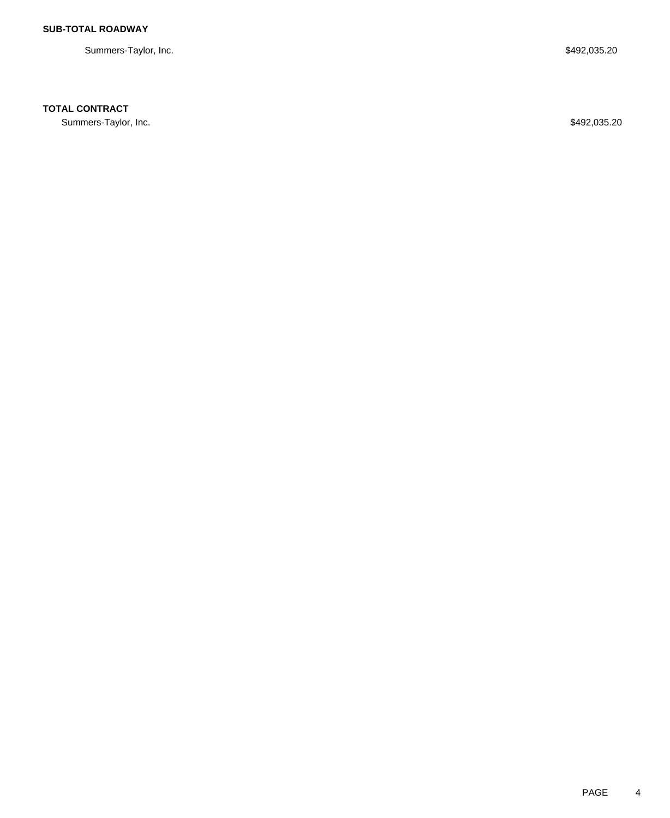Summers-Taylor, Inc. \$492,035.20

## **TOTAL CONTRACT**

Summers-Taylor, Inc. \$492,035.20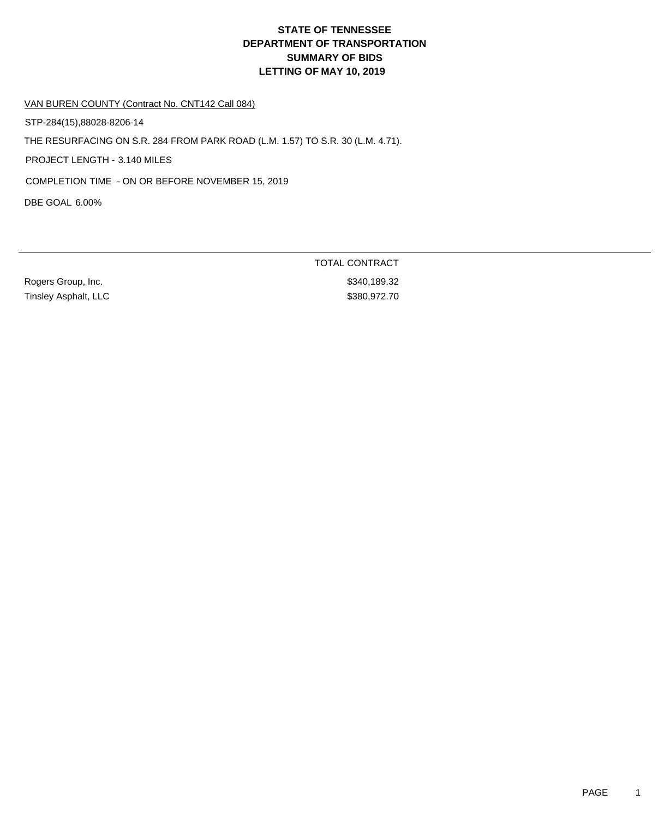VAN BUREN COUNTY (Contract No. CNT142 Call 084)

STP-284(15),88028-8206-14

THE RESURFACING ON S.R. 284 FROM PARK ROAD (L.M. 1.57) TO S.R. 30 (L.M. 4.71).

PROJECT LENGTH - 3.140 MILES

COMPLETION TIME - ON OR BEFORE NOVEMBER 15, 2019

DBE GOAL 6.00%

Rogers Group, Inc. 6. The Contract of the Contract of the State of the State State State State State State State State State State State State State State State State State State State State State State State State State S Tinsley Asphalt, LLC \$380,972.70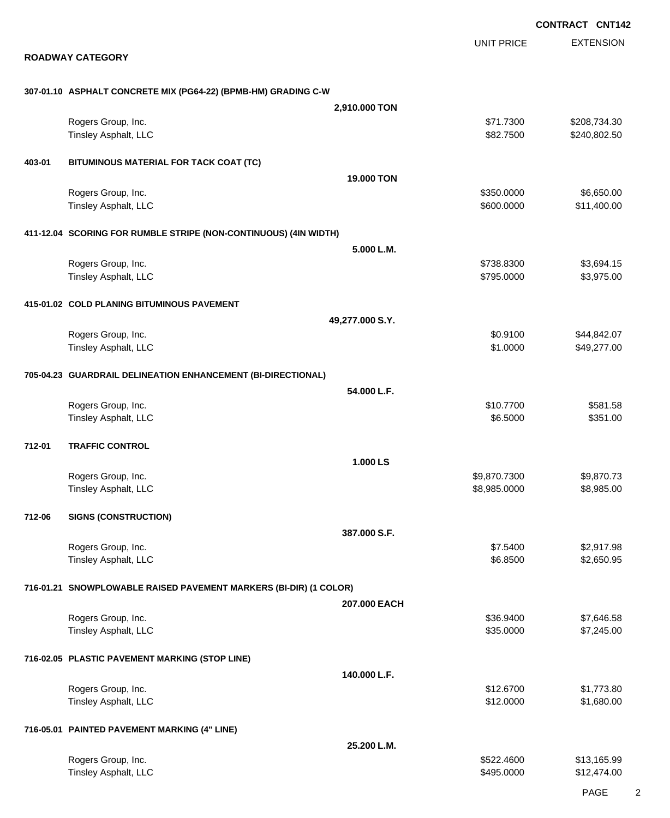EXTENSION **CONTRACT CNT142** UNIT PRICE **ROADWAY CATEGORY 307-01.10 ASPHALT CONCRETE MIX (PG64-22) (BPMB-HM) GRADING C-W 2,910.000 TON** Rogers Group, Inc. \$208,734.30 Tinsley Asphalt, LLC 6240,802.50 **403-01 BITUMINOUS MATERIAL FOR TACK COAT (TC) 19.000 TON** Rogers Group, Inc. \$350.000 \$6,650.00 Tinsley Asphalt, LLC  $$600.0000$   $$11,400.00$ **411-12.04 SCORING FOR RUMBLE STRIPE (NON-CONTINUOUS) (4IN WIDTH) 5.000 L.M.** Rogers Group, Inc. \$3,694.15 Tinsley Asphalt, LLC \$3,975.000 \$3,975.00 **415-01.02 COLD PLANING BITUMINOUS PAVEMENT 49,277.000 S.Y.** Rogers Group, Inc. \$44,842.07 Tinsley Asphalt, LLC \$49,277.00 **705-04.23 GUARDRAIL DELINEATION ENHANCEMENT (BI-DIRECTIONAL) 54.000 L.F.** Rogers Group, Inc. \$10.7700 \$581.58 Tinsley Asphalt, LLC \$351.00 **712-01 TRAFFIC CONTROL 1.000 LS** Rogers Group, Inc. \$9,870.7300 \$9,870.7300 \$9,870.7300 \$9,870.7300 \$9,870.7300 \$9,870.73 Tinsley Asphalt, LLC \$8,985.000 \$8,985.000 \$8,985.000 \$8,985.000 \$8,985.000 \$8,985.000 \$8,985.000 \$8,985.00 **712-06 SIGNS (CONSTRUCTION) 387.000 S.F.** Rogers Group, Inc. \$2,917.98 Tinsley Asphalt, LLC \$2,650.95 **716-01.21 SNOWPLOWABLE RAISED PAVEMENT MARKERS (BI-DIR) (1 COLOR) 207.000 EACH** Rogers Group, Inc. \$36.9400 \$7,646.58 Tinsley Asphalt, LLC  $$35.0000$   $$7,245.00$ **716-02.05 PLASTIC PAVEMENT MARKING (STOP LINE) 140.000 L.F.** Rogers Group, Inc. \$1,773.80 Tinsley Asphalt, LLC \$1,680.00 **716-05.01 PAINTED PAVEMENT MARKING (4" LINE) 25.200 L.M.** Rogers Group, Inc. \$13,165.99 \$13,165.99 \$13,165.99 \$13,165.99 Tinsley Asphalt, LLC \$12,474.00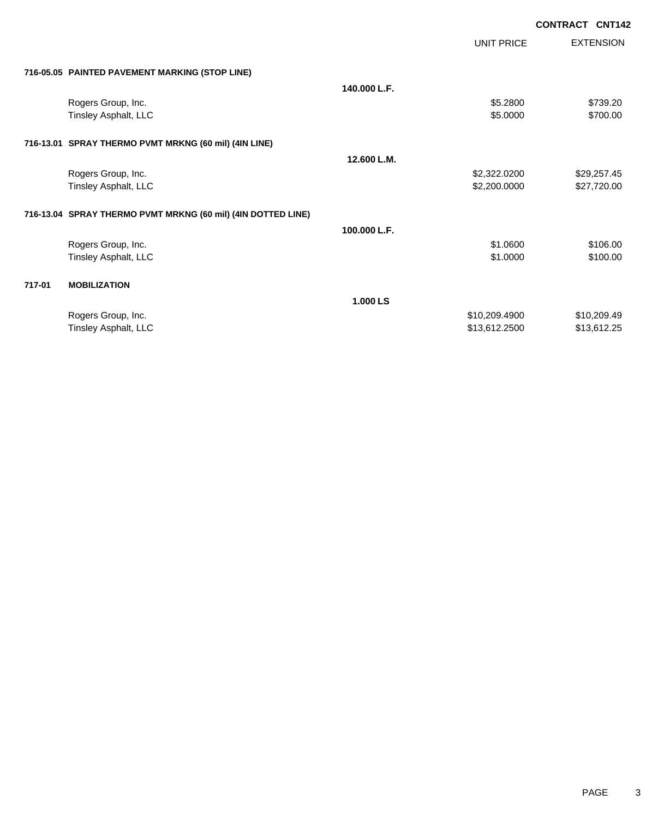|            | CONTRACT CNT142 |                  |
|------------|-----------------|------------------|
| UNIT PRICE |                 | <b>EXTENSION</b> |

# **716-05.05 PAINTED PAVEMENT MARKING (STOP LINE)**

|        | 716-05.05 PAINTED PAVEMENT MARKING (STOP LINE)               |              |               |             |
|--------|--------------------------------------------------------------|--------------|---------------|-------------|
|        |                                                              | 140.000 L.F. |               |             |
|        | Rogers Group, Inc.                                           |              | \$5.2800      | \$739.20    |
|        | Tinsley Asphalt, LLC                                         |              | \$5.0000      | \$700.00    |
|        | 716-13.01 SPRAY THERMO PVMT MRKNG (60 mil) (4IN LINE)        |              |               |             |
|        |                                                              | 12.600 L.M.  |               |             |
|        | Rogers Group, Inc.                                           |              | \$2,322.0200  | \$29,257.45 |
|        | Tinsley Asphalt, LLC                                         |              | \$2,200.0000  | \$27,720.00 |
|        | 716-13.04 SPRAY THERMO PVMT MRKNG (60 mil) (4IN DOTTED LINE) |              |               |             |
|        |                                                              | 100,000 L.F. |               |             |
|        | Rogers Group, Inc.                                           |              | \$1.0600      | \$106.00    |
|        | Tinsley Asphalt, LLC                                         |              | \$1.0000      | \$100.00    |
| 717-01 | <b>MOBILIZATION</b>                                          |              |               |             |
|        |                                                              | 1.000 LS     |               |             |
|        | Rogers Group, Inc.                                           |              | \$10,209.4900 | \$10,209.49 |
|        | Tinsley Asphalt, LLC                                         |              | \$13,612.2500 | \$13,612.25 |
|        |                                                              |              |               |             |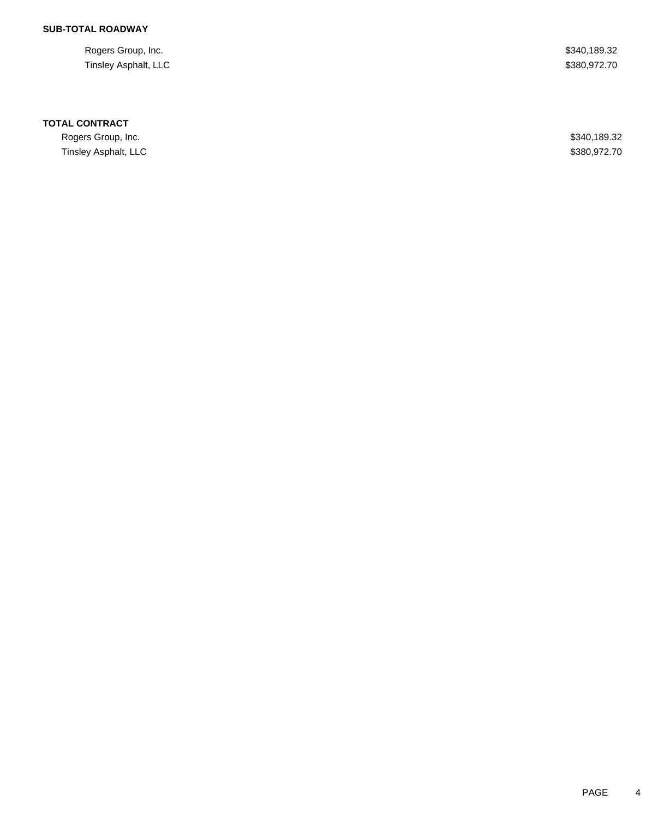## **SUB-TOTAL ROADWAY**

Rogers Group, Inc. \$340,189.32 Tinsley Asphalt, LLC \$380,972.70

### **TOTAL CONTRACT**

Rogers Group, Inc. \$340,189.32 Tinsley Asphalt, LLC \$380,972.70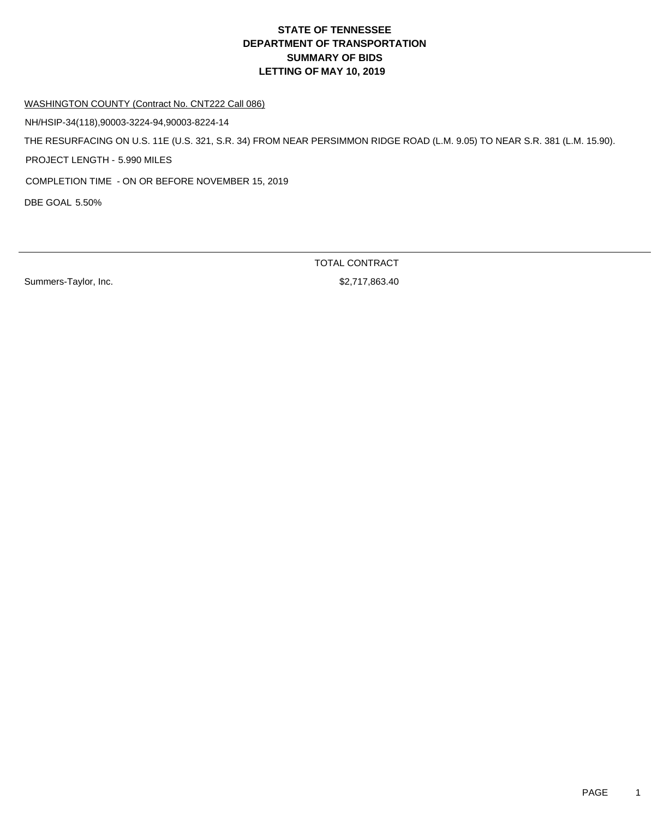WASHINGTON COUNTY (Contract No. CNT222 Call 086)

NH/HSIP-34(118),90003-3224-94,90003-8224-14

THE RESURFACING ON U.S. 11E (U.S. 321, S.R. 34) FROM NEAR PERSIMMON RIDGE ROAD (L.M. 9.05) TO NEAR S.R. 381 (L.M. 15.90).

PROJECT LENGTH - 5.990 MILES

COMPLETION TIME - ON OR BEFORE NOVEMBER 15, 2019

DBE GOAL 5.50%

Summers-Taylor, Inc. 6. 2012 12:30 12:31 12:32 12:33 13:340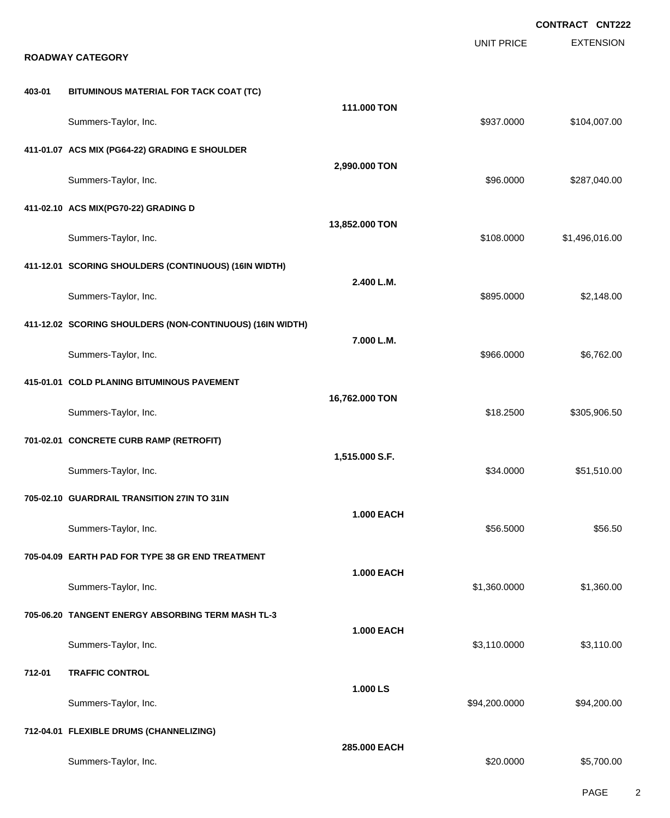|        |                                                                           |                   |                   | <b>CONTRACT CNT222</b> |
|--------|---------------------------------------------------------------------------|-------------------|-------------------|------------------------|
|        | <b>ROADWAY CATEGORY</b>                                                   |                   | <b>UNIT PRICE</b> | <b>EXTENSION</b>       |
| 403-01 | BITUMINOUS MATERIAL FOR TACK COAT (TC)                                    |                   |                   |                        |
|        | Summers-Taylor, Inc.                                                      | 111.000 TON       | \$937.0000        | \$104,007.00           |
|        | 411-01.07 ACS MIX (PG64-22) GRADING E SHOULDER                            |                   |                   |                        |
|        | Summers-Taylor, Inc.                                                      | 2,990.000 TON     | \$96.0000         | \$287,040.00           |
|        | 411-02.10 ACS MIX(PG70-22) GRADING D                                      |                   |                   |                        |
|        | Summers-Taylor, Inc.                                                      | 13,852.000 TON    | \$108.0000        | \$1,496,016.00         |
|        | 411-12.01 SCORING SHOULDERS (CONTINUOUS) (16IN WIDTH)                     | 2.400 L.M.        |                   |                        |
|        | Summers-Taylor, Inc.                                                      |                   | \$895.0000        | \$2,148.00             |
|        | 411-12.02 SCORING SHOULDERS (NON-CONTINUOUS) (16IN WIDTH)                 | 7.000 L.M.        |                   |                        |
|        | Summers-Taylor, Inc.                                                      |                   | \$966.0000        | \$6,762.00             |
|        | 415-01.01 COLD PLANING BITUMINOUS PAVEMENT                                | 16,762.000 TON    |                   | \$305,906.50           |
|        | Summers-Taylor, Inc.                                                      |                   | \$18.2500         |                        |
|        | 701-02.01 CONCRETE CURB RAMP (RETROFIT)                                   | 1,515.000 S.F.    |                   | \$51,510.00            |
|        | Summers-Taylor, Inc.                                                      |                   | \$34.0000         |                        |
|        | 705-02.10 GUARDRAIL TRANSITION 27IN TO 31IN                               | <b>1.000 EACH</b> |                   |                        |
|        | Summers-Taylor, Inc.                                                      |                   | \$56.5000         | \$56.50                |
|        | 705-04.09 EARTH PAD FOR TYPE 38 GR END TREATMENT                          | <b>1.000 EACH</b> |                   |                        |
|        | Summers-Taylor, Inc.<br>705-06.20 TANGENT ENERGY ABSORBING TERM MASH TL-3 |                   | \$1,360.0000      | \$1,360.00             |
|        | Summers-Taylor, Inc.                                                      | <b>1.000 EACH</b> | \$3,110.0000      | \$3,110.00             |
| 712-01 | <b>TRAFFIC CONTROL</b>                                                    |                   |                   |                        |
|        | Summers-Taylor, Inc.                                                      | 1.000 LS          | \$94,200.0000     | \$94,200.00            |
|        | 712-04.01 FLEXIBLE DRUMS (CHANNELIZING)                                   |                   |                   |                        |
|        | Summers-Taylor, Inc.                                                      | 285.000 EACH      | \$20.0000         | \$5,700.00             |
|        |                                                                           |                   |                   |                        |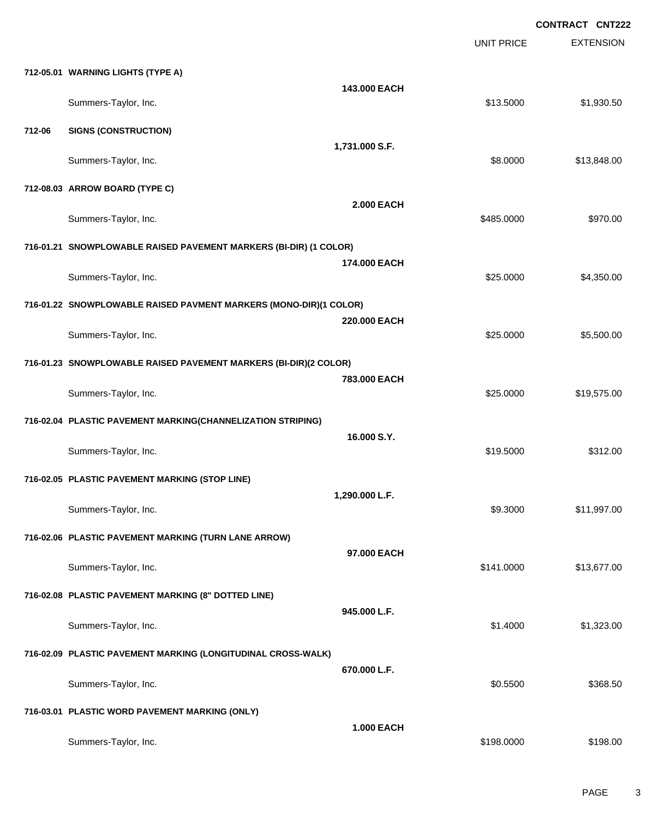EXTENSION **CONTRACT CNT222** UNIT PRICE **712-05.01 WARNING LIGHTS (TYPE A) 143.000 EACH** Summers-Taylor, Inc. \$13.5000 \$1,930.50 **712-06 SIGNS (CONSTRUCTION) 1,731.000 S.F.** Summers-Taylor, Inc. \$8.0000 \$13,848.00 **712-08.03 ARROW BOARD (TYPE C) 2.000 EACH** Summers-Taylor, Inc. \$970.00 **716-01.21 SNOWPLOWABLE RAISED PAVEMENT MARKERS (BI-DIR) (1 COLOR) 174.000 EACH** Summers-Taylor, Inc. \$25.000 \$4,350.00 **716-01.22 SNOWPLOWABLE RAISED PAVMENT MARKERS (MONO-DIR)(1 COLOR) 220.000 EACH** Summers-Taylor, Inc. \$25.0000 \$5,500.00 **716-01.23 SNOWPLOWABLE RAISED PAVEMENT MARKERS (BI-DIR)(2 COLOR) 783.000 EACH** Summers-Taylor, Inc. \$25.000 \$19,575.00 **716-02.04 PLASTIC PAVEMENT MARKING(CHANNELIZATION STRIPING) 16.000 S.Y.** Summers-Taylor, Inc. \$19.5000 \$312.00 **716-02.05 PLASTIC PAVEMENT MARKING (STOP LINE) 1,290.000 L.F.** Summers-Taylor, Inc. \$9.3000 \$11,997.00 **716-02.06 PLASTIC PAVEMENT MARKING (TURN LANE ARROW) 97.000 EACH** Summers-Taylor, Inc. \$141.0000 \$13,677.00 **716-02.08 PLASTIC PAVEMENT MARKING (8" DOTTED LINE) 945.000 L.F.** Summers-Taylor, Inc. \$1.323.00 \$1.323.00 \$1.323.00 \$1.323.00 \$1.323.00 \$1.323.00 \$1.323.00 \$1.323.00 \$1.323.00 **716-02.09 PLASTIC PAVEMENT MARKING (LONGITUDINAL CROSS-WALK) 670.000 L.F.** Summers-Taylor, Inc. \$368.50 **716-03.01 PLASTIC WORD PAVEMENT MARKING (ONLY) 1.000 EACH** Summers-Taylor, Inc. \$198.000 \$198.00 \$198.00 \$198.00 \$198.00 \$198.00 \$198.00 \$198.00 \$198.00 \$198.00 \$198.00 \$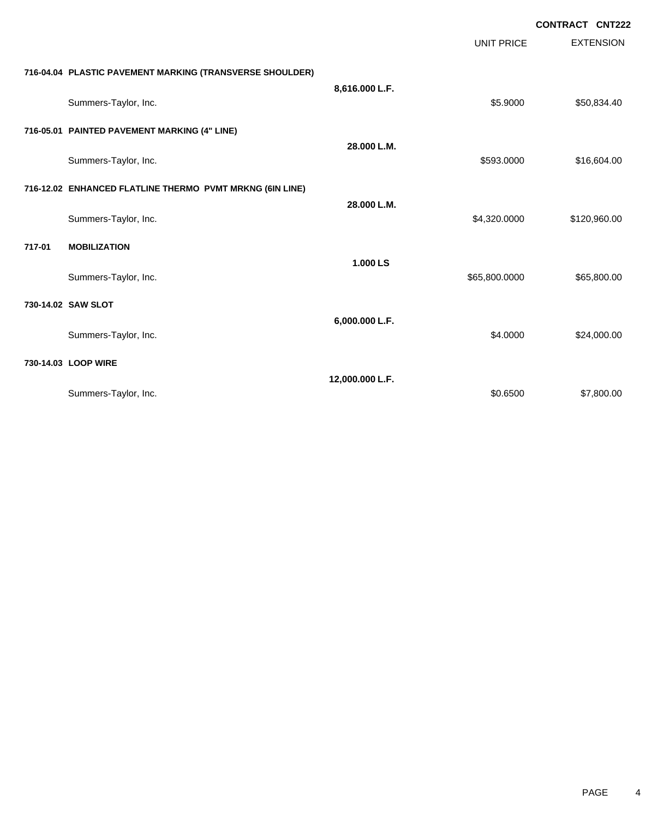|        |                                                          |                 |                   | <b>CONTRACT CNT222</b> |
|--------|----------------------------------------------------------|-----------------|-------------------|------------------------|
|        |                                                          |                 | <b>UNIT PRICE</b> | <b>EXTENSION</b>       |
|        | 716-04.04 PLASTIC PAVEMENT MARKING (TRANSVERSE SHOULDER) |                 |                   |                        |
|        | Summers-Taylor, Inc.                                     | 8,616.000 L.F.  | \$5.9000          | \$50,834.40            |
|        | 716-05.01 PAINTED PAVEMENT MARKING (4" LINE)             |                 |                   |                        |
|        | Summers-Taylor, Inc.                                     | 28.000 L.M.     | \$593.0000        | \$16,604.00            |
|        | 716-12.02 ENHANCED FLATLINE THERMO PVMT MRKNG (6IN LINE) |                 |                   |                        |
|        | Summers-Taylor, Inc.                                     | 28.000 L.M.     | \$4,320.0000      | \$120,960.00           |
| 717-01 | <b>MOBILIZATION</b>                                      |                 |                   |                        |
|        | Summers-Taylor, Inc.                                     | 1.000 LS        | \$65,800.0000     | \$65,800.00            |
|        | 730-14.02 SAW SLOT                                       |                 |                   |                        |
|        | Summers-Taylor, Inc.                                     | 6,000.000 L.F.  | \$4.0000          | \$24,000.00            |
|        | 730-14.03 LOOP WIRE                                      |                 |                   |                        |
|        | Summers-Taylor, Inc.                                     | 12,000.000 L.F. | \$0.6500          | \$7,800.00             |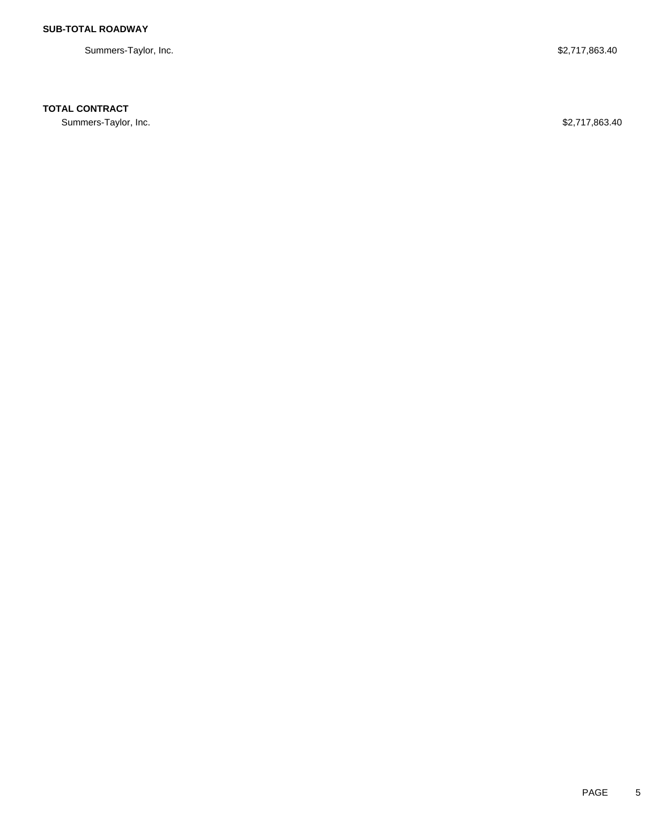Summers-Taylor, Inc. \$2,717,863.40

## **TOTAL CONTRACT**

Summers-Taylor, Inc. \$2,717,863.40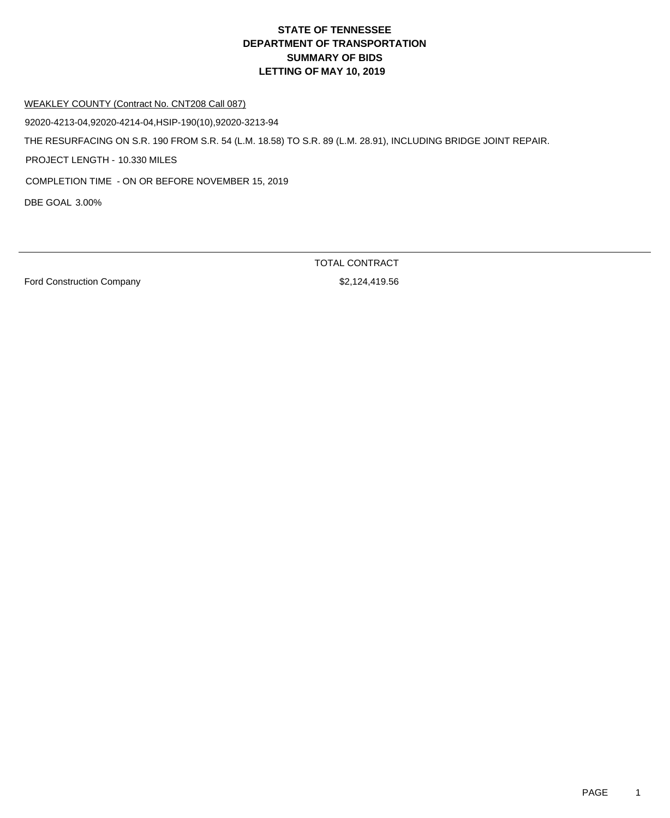# **DEPARTMENT OF TRANSPORTATION SUMMARY OF BIDS LETTING OF MAY 10, 2019 STATE OF TENNESSEE**

#### WEAKLEY COUNTY (Contract No. CNT208 Call 087)

92020-4213-04,92020-4214-04,HSIP-190(10),92020-3213-94

THE RESURFACING ON S.R. 190 FROM S.R. 54 (L.M. 18.58) TO S.R. 89 (L.M. 28.91), INCLUDING BRIDGE JOINT REPAIR.

PROJECT LENGTH - 10.330 MILES

COMPLETION TIME - ON OR BEFORE NOVEMBER 15, 2019

DBE GOAL 3.00%

Ford Construction Company **\$2,124,419.56** 

TOTAL CONTRACT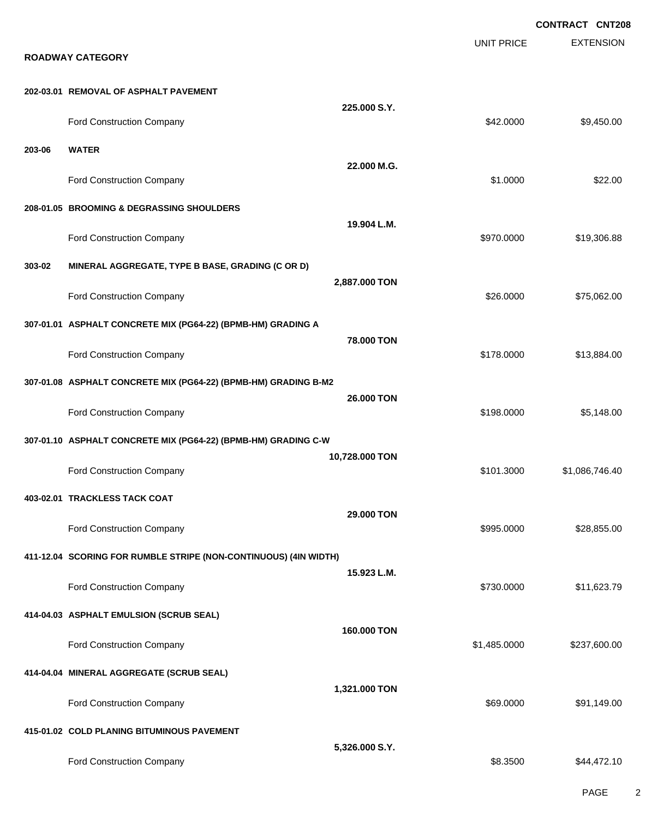**EXTENSION CONTRACT CNT208** UNIT PRICE **ROADWAY CATEGORY 202-03.01 REMOVAL OF ASPHALT PAVEMENT 225.000 S.Y.** Ford Construction Company 642.0000 \$9,450.00 **203-06 WATER 22.000 M.G.** Ford Construction Company 622.00 **208-01.05 BROOMING & DEGRASSING SHOULDERS 19.904 L.M.** Ford Construction Company **619,306.88 \$970.0000** \$19,306.88 **303-02 MINERAL AGGREGATE, TYPE B BASE, GRADING (C OR D) 2,887.000 TON** Ford Construction Company 626.000 \$75,062.00 **307-01.01 ASPHALT CONCRETE MIX (PG64-22) (BPMB-HM) GRADING A 78.000 TON** Ford Construction Company 613,884.00 **307-01.08 ASPHALT CONCRETE MIX (PG64-22) (BPMB-HM) GRADING B-M2 26.000 TON** Ford Construction Company 65,148.00 **307-01.10 ASPHALT CONCRETE MIX (PG64-22) (BPMB-HM) GRADING C-W 10,728.000 TON** Ford Construction Company **6101.3000** \$1,086,746.40 **403-02.01 TRACKLESS TACK COAT 29.000 TON** Ford Construction Company 628,855.00 \$28,855.00 \$28,855.00 \$28,855.00 \$28,855.00 **411-12.04 SCORING FOR RUMBLE STRIPE (NON-CONTINUOUS) (4IN WIDTH) 15.923 L.M.** Ford Construction Company **611,623.79** \$11,623.79 **414-04.03 ASPHALT EMULSION (SCRUB SEAL) 160.000 TON** Ford Construction Company **61,485.0000** \$237,600.00 **414-04.04 MINERAL AGGREGATE (SCRUB SEAL) 1,321.000 TON** Ford Construction Company 691,149.00 **415-01.02 COLD PLANING BITUMINOUS PAVEMENT 5,326.000 S.Y.** Ford Construction Company  $$8.3500$  \$44,472.10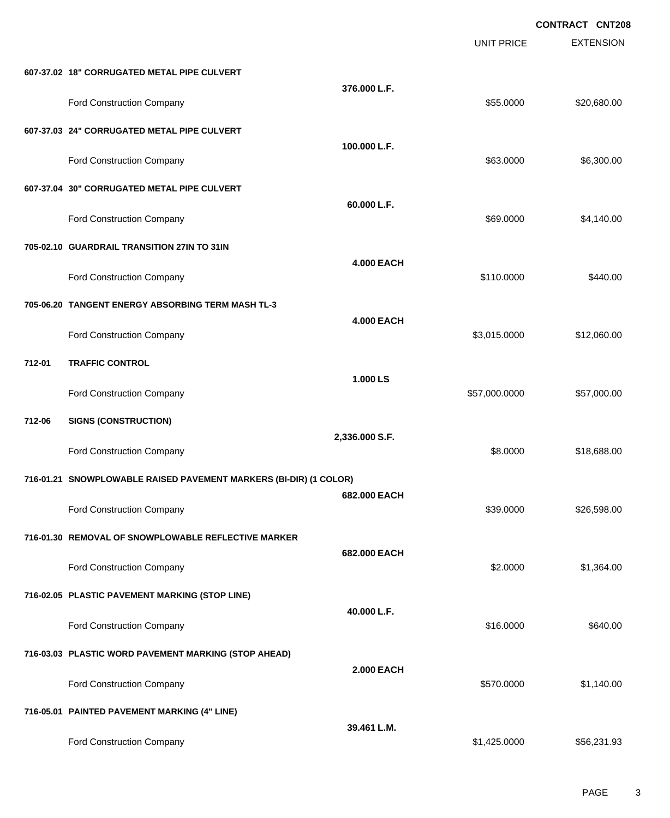EXTENSION **CONTRACT CNT208** UNIT PRICE **607-37.02 18" CORRUGATED METAL PIPE CULVERT 376.000 L.F.** Ford Construction Company **620,680.00** \$20,680.00 **607-37.03 24" CORRUGATED METAL PIPE CULVERT 100.000 L.F.** Ford Construction Company 653.0000 \$6,300.00 **607-37.04 30" CORRUGATED METAL PIPE CULVERT 60.000 L.F.** Ford Construction Company 69.0000 \$4,140.00 **705-02.10 GUARDRAIL TRANSITION 27IN TO 31IN 4.000 EACH** Ford Construction Company 6440.00 **705-06.20 TANGENT ENERGY ABSORBING TERM MASH TL-3 4.000 EACH** Ford Construction Company **612,060.00** \$12,060.00 **712-01 TRAFFIC CONTROL 1.000 LS** Ford Construction Company 657,000.000 \$57,000.000 \$57,000.000 \$57,000.000 \$57,000.00 **712-06 SIGNS (CONSTRUCTION) 2,336.000 S.F.** Ford Construction Company **68.000** \$18,688.00 **716-01.21 SNOWPLOWABLE RAISED PAVEMENT MARKERS (BI-DIR) (1 COLOR) 682.000 EACH** Ford Construction Company 626,598.00 \$26,598.00 \$26,598.00 **716-01.30 REMOVAL OF SNOWPLOWABLE REFLECTIVE MARKER 682.000 EACH** Ford Construction Company 61,364.00 **716-02.05 PLASTIC PAVEMENT MARKING (STOP LINE) 40.000 L.F.** Ford Construction Company 6640.00 **716-03.03 PLASTIC WORD PAVEMENT MARKING (STOP AHEAD) 2.000 EACH** Ford Construction Company 61,140.00 **716-05.01 PAINTED PAVEMENT MARKING (4" LINE) 39.461 L.M.** Ford Construction Company **656,231.93 \$1,425.0000** \$56,231.93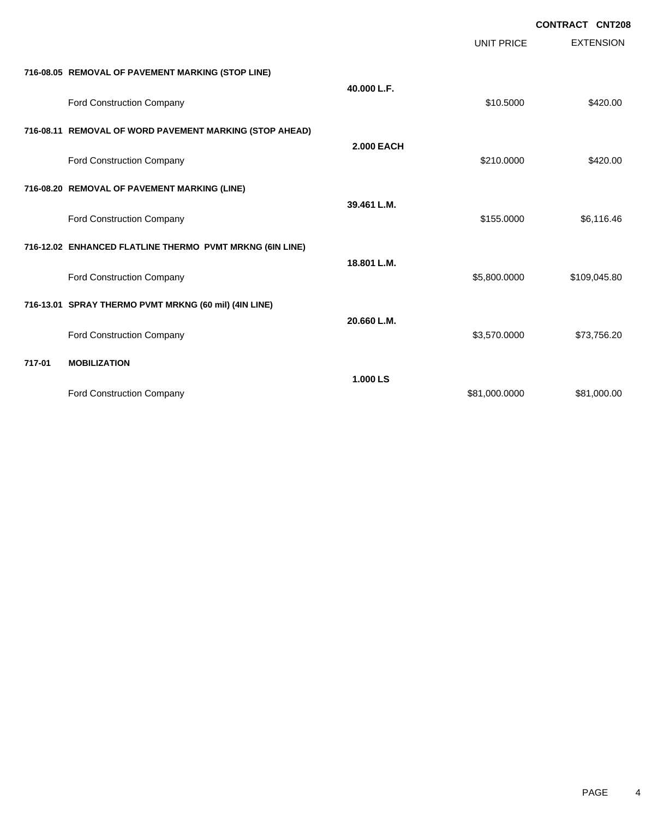|        |                                                          |                   |                   | <b>CONTRACT CNT208</b> |                  |
|--------|----------------------------------------------------------|-------------------|-------------------|------------------------|------------------|
|        |                                                          |                   | <b>UNIT PRICE</b> |                        | <b>EXTENSION</b> |
|        | 716-08.05 REMOVAL OF PAVEMENT MARKING (STOP LINE)        |                   |                   |                        |                  |
|        | Ford Construction Company                                | 40.000 L.F.       | \$10.5000         |                        | \$420.00         |
|        | 716-08.11 REMOVAL OF WORD PAVEMENT MARKING (STOP AHEAD)  |                   |                   |                        |                  |
|        | Ford Construction Company                                | <b>2.000 EACH</b> | \$210.0000        |                        | \$420.00         |
|        | 716-08.20 REMOVAL OF PAVEMENT MARKING (LINE)             |                   |                   |                        |                  |
|        | Ford Construction Company                                | 39.461 L.M.       | \$155.0000        |                        | \$6,116.46       |
|        | 716-12.02 ENHANCED FLATLINE THERMO PVMT MRKNG (6IN LINE) |                   |                   |                        |                  |
|        | Ford Construction Company                                | 18.801 L.M.       | \$5,800.0000      |                        | \$109,045.80     |
|        | 716-13.01 SPRAY THERMO PVMT MRKNG (60 mil) (4IN LINE)    |                   |                   |                        |                  |
|        | Ford Construction Company                                | 20.660 L.M.       | \$3,570.0000      |                        | \$73,756.20      |
| 717-01 | <b>MOBILIZATION</b>                                      |                   |                   |                        |                  |
|        | Ford Construction Company                                | 1.000 LS          | \$81,000.0000     |                        | \$81,000.00      |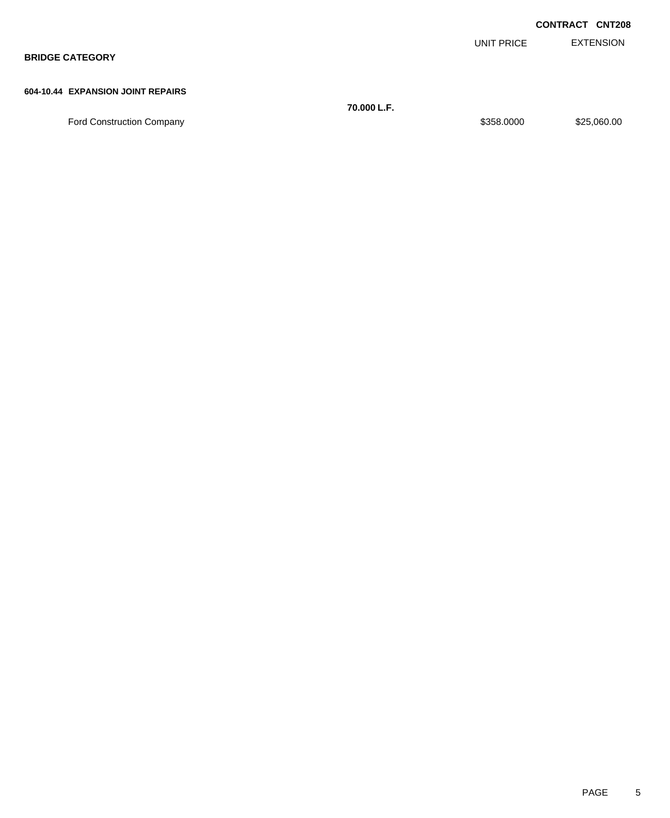|                                   |            | <b>CONTRACT CNT208</b> |
|-----------------------------------|------------|------------------------|
|                                   | UNIT PRICE | EXTENSION              |
| <b>BRIDGE CATEGORY</b>            |            |                        |
|                                   |            |                        |
| 604-10.44 EXPANSION JOINT REPAIRS |            |                        |

**70.000 L.F.** Ford Construction Company **\$25,060.00** \$25,060.00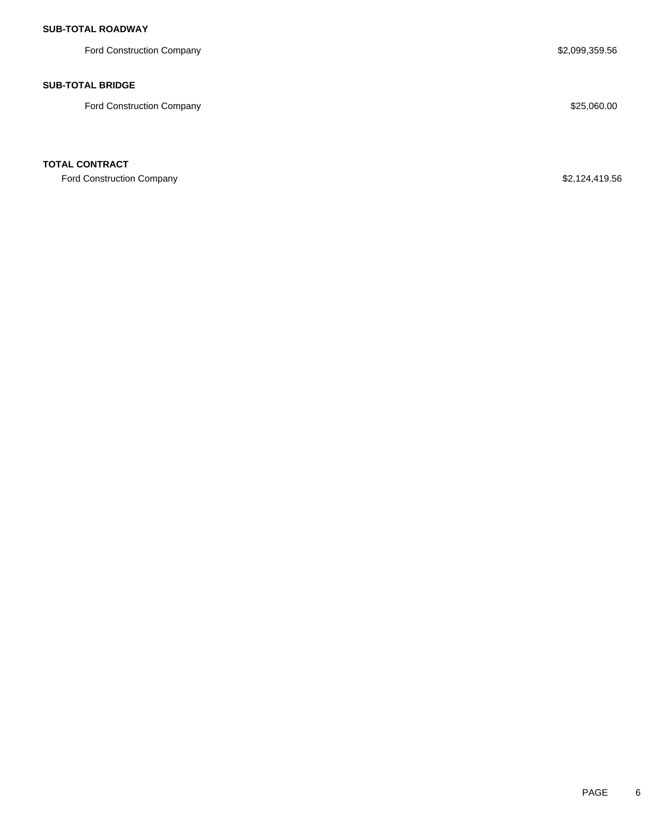## **SUB-TOTAL ROADWAY**

Ford Construction Company **\$2,099,359.56** 

### **SUB-TOTAL BRIDGE**

Ford Construction Company **\$25,060.00** \$25,060.00

### **TOTAL CONTRACT**

Ford Construction Company **\$2,124,419.56**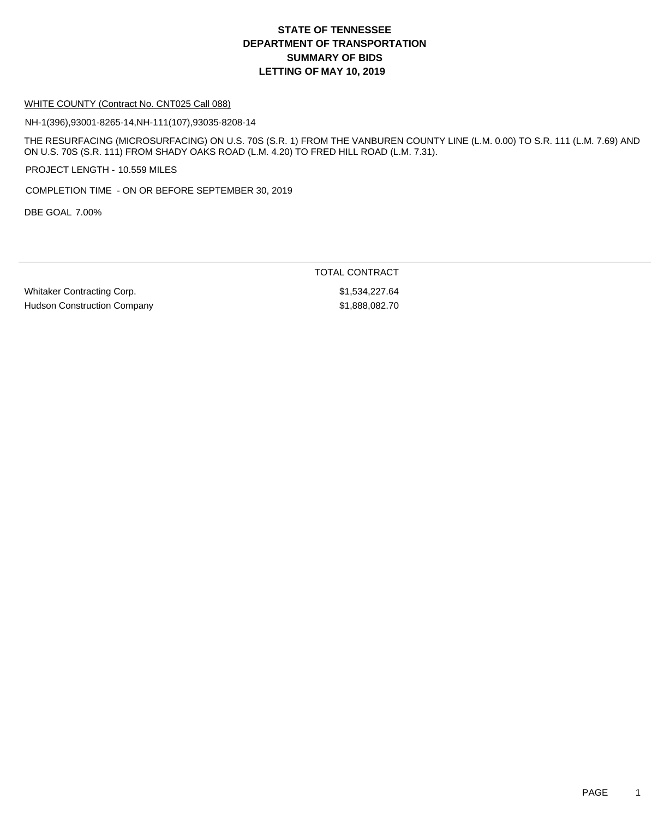## **DEPARTMENT OF TRANSPORTATION SUMMARY OF BIDS LETTING OF MAY 10, 2019 STATE OF TENNESSEE**

#### WHITE COUNTY (Contract No. CNT025 Call 088)

NH-1(396),93001-8265-14,NH-111(107),93035-8208-14

THE RESURFACING (MICROSURFACING) ON U.S. 70S (S.R. 1) FROM THE VANBUREN COUNTY LINE (L.M. 0.00) TO S.R. 111 (L.M. 7.69) AND ON U.S. 70S (S.R. 111) FROM SHADY OAKS ROAD (L.M. 4.20) TO FRED HILL ROAD (L.M. 7.31).

PROJECT LENGTH - 10.559 MILES

COMPLETION TIME - ON OR BEFORE SEPTEMBER 30, 2019

DBE GOAL 7.00%

TOTAL CONTRACT

Whitaker Contracting Corp.  $$1,534,227.64$ Hudson Construction Company **\$1,888,082.70**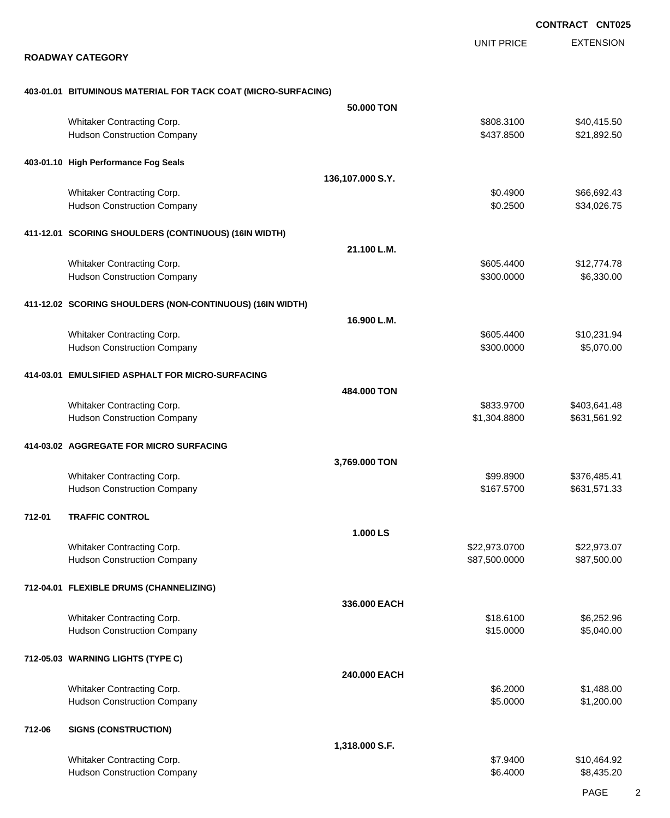EXTENSION **CONTRACT CNT025** UNIT PRICE **ROADWAY CATEGORY 403-01.01 BITUMINOUS MATERIAL FOR TACK COAT (MICRO-SURFACING) 50.000 TON** Whitaker Contracting Corp.  $$40,415.50$ Hudson Construction Company **621,892.50** \$21,892.50 **403-01.10 High Performance Fog Seals 136,107.000 S.Y.** Whitaker Contracting Corp. **by Contracting Corp.**  $$0.4900$  \$66,692.43 Hudson Construction Company **60.2500** \$34,026.75 **411-12.01 SCORING SHOULDERS (CONTINUOUS) (16IN WIDTH) 21.100 L.M.** Whitaker Contracting Corp.  $$12,774.78$ Hudson Construction Company **6,330.000** \$6,330.00 **411-12.02 SCORING SHOULDERS (NON-CONTINUOUS) (16IN WIDTH) 16.900 L.M.** Whitaker Contracting Corp. **but a structure of the Contracting Corp.**  $$605.4400$  \$10,231.94 Hudson Construction Company **65,070.00** \$5,070.00 **414-03.01 EMULSIFIED ASPHALT FOR MICRO-SURFACING 484.000 TON** Whitaker Contracting Corp. **6833.9700** \$403,641.48 Hudson Construction Company **61,304.8800** \$631,561.92 **414-03.02 AGGREGATE FOR MICRO SURFACING 3,769.000 TON** Whitaker Contracting Corp. **by Contracting Corp.** \$99.8900 \$376,485.41 Hudson Construction Company **631,571.33 \$167.5700** \$631,571.33 **712-01 TRAFFIC CONTROL 1.000 LS** Whitaker Contracting Corp. 622,973.0700 \$22,973.0700 \$22,973.0700 \$22,973.0700 \$22,973.07 Hudson Construction Company **687,500.000 \$87,500.000 \$87,500.000** \$87,500.000 \$87,500.00 **712-04.01 FLEXIBLE DRUMS (CHANNELIZING) 336.000 EACH** Whitaker Contracting Corp. **6.252.96 Whitaker Contracting Corp. 6.252.96 \$18.6100** \$6,252.96 Hudson Construction Company **615.0000** \$5,040.00 **712-05.03 WARNING LIGHTS (TYPE C) 240.000 EACH** Whitaker Contracting Corp.  $$6.2000$  \$1,488.00 Hudson Construction Company **60.000 \$1,200.00** \$1,200.00 **712-06 SIGNS (CONSTRUCTION) 1,318.000 S.F.** Whitaker Contracting Corp. **by a structure of the Contracting Corp.**  $$7.9400$  \$10,464.92 Hudson Construction Company **66.4000** \$8,435.20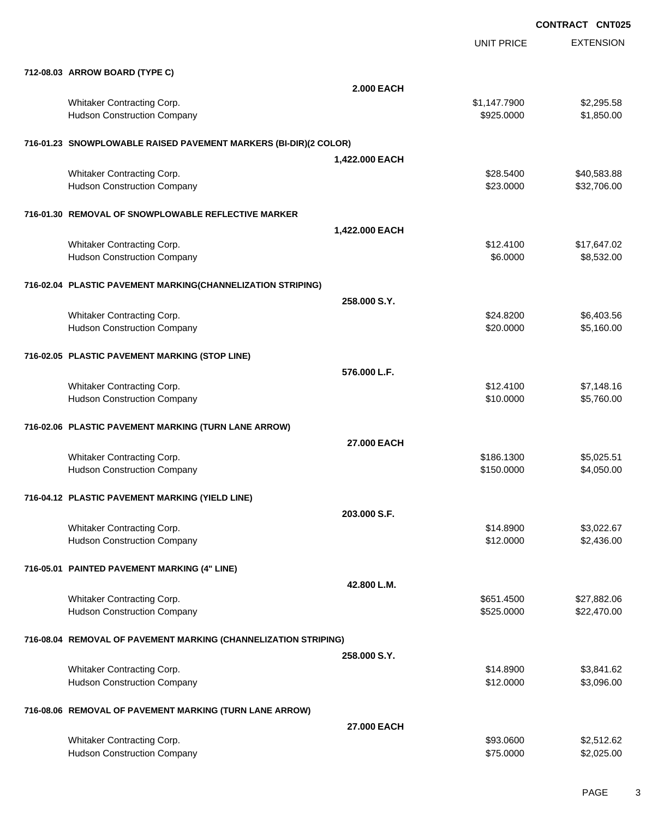|                                                                  | <b>UNIT PRICE</b> | <b>EXTENSION</b> |
|------------------------------------------------------------------|-------------------|------------------|
| 712-08.03 ARROW BOARD (TYPE C)                                   |                   |                  |
|                                                                  | <b>2.000 EACH</b> |                  |
| Whitaker Contracting Corp.                                       | \$1,147.7900      | \$2,295.58       |
| <b>Hudson Construction Company</b>                               | \$925.0000        | \$1,850.00       |
| 716-01.23 SNOWPLOWABLE RAISED PAVEMENT MARKERS (BI-DIR)(2 COLOR) |                   |                  |
|                                                                  | 1,422.000 EACH    |                  |
| Whitaker Contracting Corp.                                       | \$28.5400         | \$40,583.88      |
| <b>Hudson Construction Company</b>                               | \$23.0000         | \$32,706.00      |
| 716-01.30 REMOVAL OF SNOWPLOWABLE REFLECTIVE MARKER              |                   |                  |
|                                                                  | 1,422.000 EACH    |                  |
| Whitaker Contracting Corp.                                       | \$12.4100         | \$17,647.02      |
| <b>Hudson Construction Company</b>                               | \$6.0000          | \$8,532.00       |
| 716-02.04 PLASTIC PAVEMENT MARKING(CHANNELIZATION STRIPING)      |                   |                  |
|                                                                  | 258,000 S.Y.      |                  |
| Whitaker Contracting Corp.                                       | \$24.8200         | \$6,403.56       |
| <b>Hudson Construction Company</b>                               | \$20.0000         | \$5,160.00       |
| 716-02.05 PLASTIC PAVEMENT MARKING (STOP LINE)                   |                   |                  |
|                                                                  | 576,000 L.F.      |                  |
| Whitaker Contracting Corp.                                       | \$12.4100         | \$7,148.16       |
| <b>Hudson Construction Company</b>                               | \$10.0000         | \$5,760.00       |
| 716-02.06 PLASTIC PAVEMENT MARKING (TURN LANE ARROW)             |                   |                  |
|                                                                  | 27.000 EACH       |                  |
| Whitaker Contracting Corp.                                       | \$186.1300        | \$5,025.51       |
| <b>Hudson Construction Company</b>                               | \$150.0000        | \$4,050.00       |
| 716-04.12 PLASTIC PAVEMENT MARKING (YIELD LINE)                  |                   |                  |
|                                                                  | 203.000 S.F.      |                  |
| Whitaker Contracting Corp.                                       | \$14.8900         | \$3,022.67       |
| <b>Hudson Construction Company</b>                               | \$12.0000         | \$2,436.00       |
| 716-05.01 PAINTED PAVEMENT MARKING (4" LINE)                     |                   |                  |
|                                                                  | 42.800 L.M.       |                  |
| Whitaker Contracting Corp.                                       | \$651.4500        | \$27,882.06      |
| <b>Hudson Construction Company</b>                               | \$525.0000        | \$22,470.00      |
| 716-08.04 REMOVAL OF PAVEMENT MARKING (CHANNELIZATION STRIPING)  |                   |                  |
|                                                                  | 258,000 S.Y.      |                  |
| Whitaker Contracting Corp.                                       | \$14.8900         | \$3,841.62       |
| <b>Hudson Construction Company</b>                               | \$12.0000         | \$3,096.00       |
| 716-08.06 REMOVAL OF PAVEMENT MARKING (TURN LANE ARROW)          |                   |                  |
|                                                                  | 27.000 EACH       |                  |
| Whitaker Contracting Corp.                                       | \$93.0600         | \$2,512.62       |
| <b>Hudson Construction Company</b>                               | \$75.0000         | \$2,025.00       |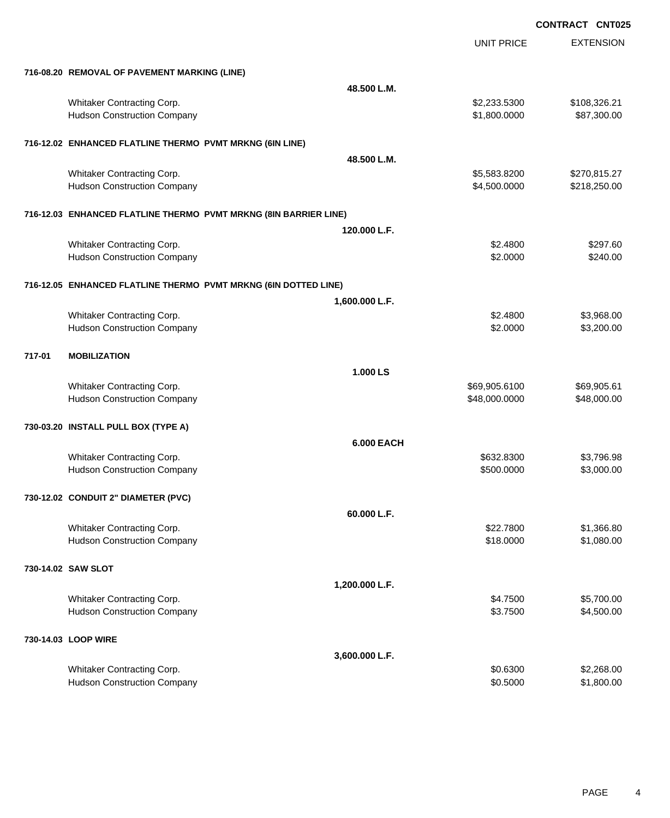UNIT PRICE EXTENSION

|  | 716-08.20 REMOVAL OF PAVEMENT MARKING (LINE) |  |
|--|----------------------------------------------|--|
|  |                                              |  |

|        | 716-08.20 REMOVAL OF PAVEMENT MARKING (LINE)                    |                                                                  |              |
|--------|-----------------------------------------------------------------|------------------------------------------------------------------|--------------|
|        |                                                                 | 48.500 L.M.                                                      |              |
|        | Whitaker Contracting Corp.                                      | \$2,233.5300                                                     | \$108,326.21 |
|        | <b>Hudson Construction Company</b>                              | \$1,800.0000                                                     | \$87,300.00  |
|        | 716-12.02 ENHANCED FLATLINE THERMO PVMT MRKNG (6IN LINE)        |                                                                  |              |
|        |                                                                 | 48.500 L.M.                                                      |              |
|        | Whitaker Contracting Corp.                                      | \$5,583.8200                                                     | \$270,815.27 |
|        | <b>Hudson Construction Company</b>                              | \$4,500.0000                                                     | \$218,250.00 |
|        |                                                                 | 716-12.03 ENHANCED FLATLINE THERMO PVMT MRKNG (8IN BARRIER LINE) |              |
|        |                                                                 | 120,000 L.F.                                                     |              |
|        | Whitaker Contracting Corp.                                      | \$2.4800                                                         | \$297.60     |
|        | <b>Hudson Construction Company</b>                              | \$2.0000                                                         | \$240.00     |
|        | 716-12.05 ENHANCED FLATLINE THERMO PVMT MRKNG (6IN DOTTED LINE) |                                                                  |              |
|        |                                                                 | 1,600.000 L.F.                                                   |              |
|        | Whitaker Contracting Corp.                                      | \$2.4800                                                         | \$3,968.00   |
|        | <b>Hudson Construction Company</b>                              | \$2.0000                                                         | \$3,200.00   |
| 717-01 | <b>MOBILIZATION</b>                                             |                                                                  |              |
|        |                                                                 | 1.000 LS                                                         |              |
|        | Whitaker Contracting Corp.                                      | \$69,905.6100                                                    | \$69,905.61  |
|        | <b>Hudson Construction Company</b>                              | \$48,000.0000                                                    | \$48,000.00  |
|        | 730-03.20 INSTALL PULL BOX (TYPE A)                             |                                                                  |              |
|        |                                                                 | <b>6.000 EACH</b>                                                |              |
|        | Whitaker Contracting Corp.                                      | \$632.8300                                                       | \$3,796.98   |
|        | <b>Hudson Construction Company</b>                              | \$500.0000                                                       | \$3,000.00   |
|        | 730-12.02 CONDUIT 2" DIAMETER (PVC)                             |                                                                  |              |
|        |                                                                 | 60.000 L.F.                                                      |              |
|        | Whitaker Contracting Corp.                                      | \$22.7800                                                        | \$1,366.80   |
|        | <b>Hudson Construction Company</b>                              | \$18.0000                                                        | \$1,080.00   |
|        | 730-14.02 SAW SLOT                                              |                                                                  |              |
|        |                                                                 | 1,200.000 L.F.                                                   |              |
|        | Whitaker Contracting Corp.                                      | \$4.7500                                                         | \$5,700.00   |
|        | <b>Hudson Construction Company</b>                              | \$3.7500                                                         | \$4,500.00   |
|        | 730-14.03 LOOP WIRE                                             |                                                                  |              |
|        |                                                                 | 3,600.000 L.F.                                                   |              |
|        | Whitaker Contracting Corp.                                      | \$0.6300                                                         | \$2,268.00   |
|        | <b>Hudson Construction Company</b>                              | \$0.5000                                                         | \$1,800.00   |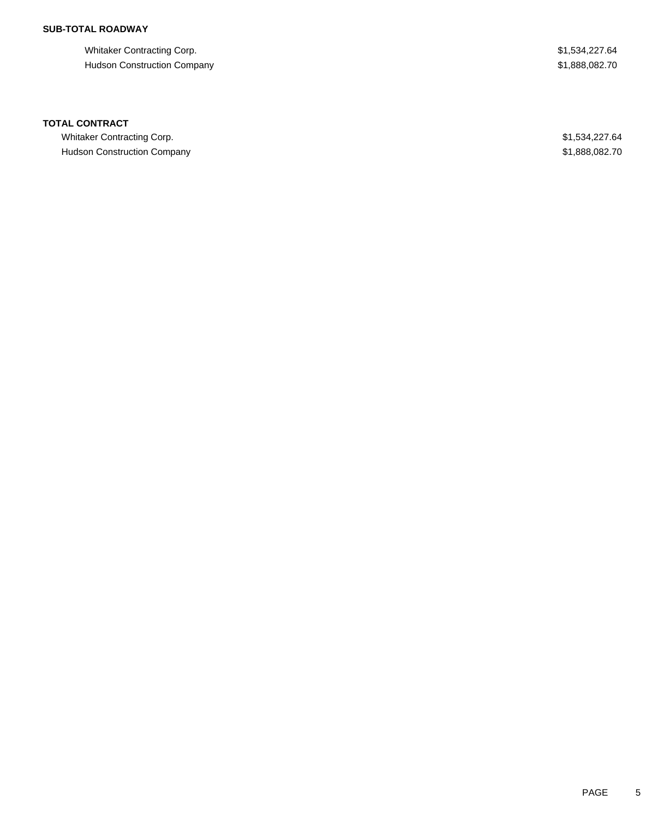## **SUB-TOTAL ROADWAY**

Whitaker Contracting Corp.  $$1,534,227.64$ Hudson Construction Company **\$1,888,082.70** 

### **TOTAL CONTRACT**

Whitaker Contracting Corp.  $$1,534,227.64$ Hudson Construction Company **\$1,888,082.70**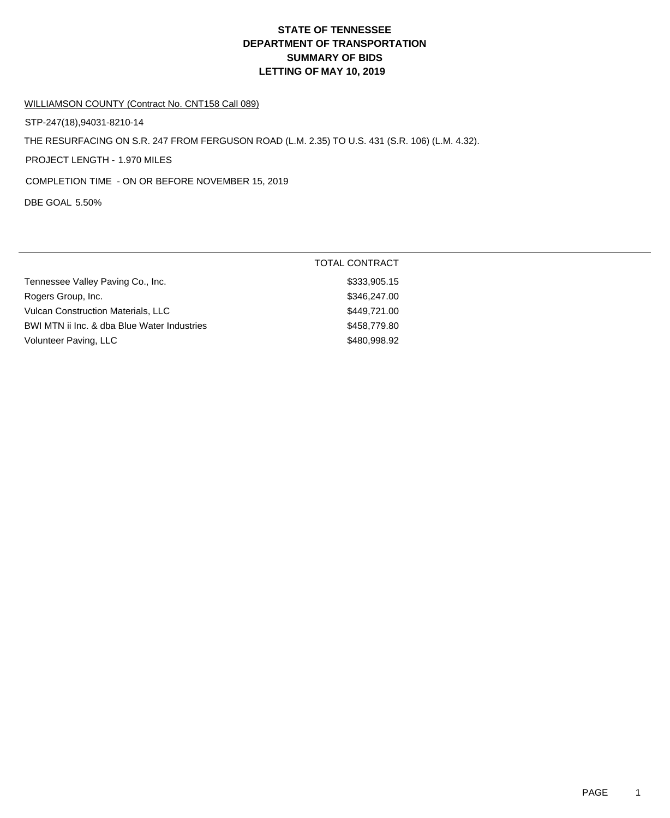# **DEPARTMENT OF TRANSPORTATION SUMMARY OF BIDS LETTING OF MAY 10, 2019 STATE OF TENNESSEE**

### WILLIAMSON COUNTY (Contract No. CNT158 Call 089)

STP-247(18),94031-8210-14

THE RESURFACING ON S.R. 247 FROM FERGUSON ROAD (L.M. 2.35) TO U.S. 431 (S.R. 106) (L.M. 4.32).

PROJECT LENGTH - 1.970 MILES

COMPLETION TIME - ON OR BEFORE NOVEMBER 15, 2019

DBE GOAL 5.50%

|                                             | TOTAL CONTRACT |
|---------------------------------------------|----------------|
| Tennessee Valley Paving Co., Inc.           | \$333,905.15   |
| Rogers Group, Inc.                          | \$346,247.00   |
| <b>Vulcan Construction Materials, LLC</b>   | \$449,721.00   |
| BWI MTN ii Inc. & dba Blue Water Industries | \$458,779.80   |
| Volunteer Paving, LLC                       | \$480,998.92   |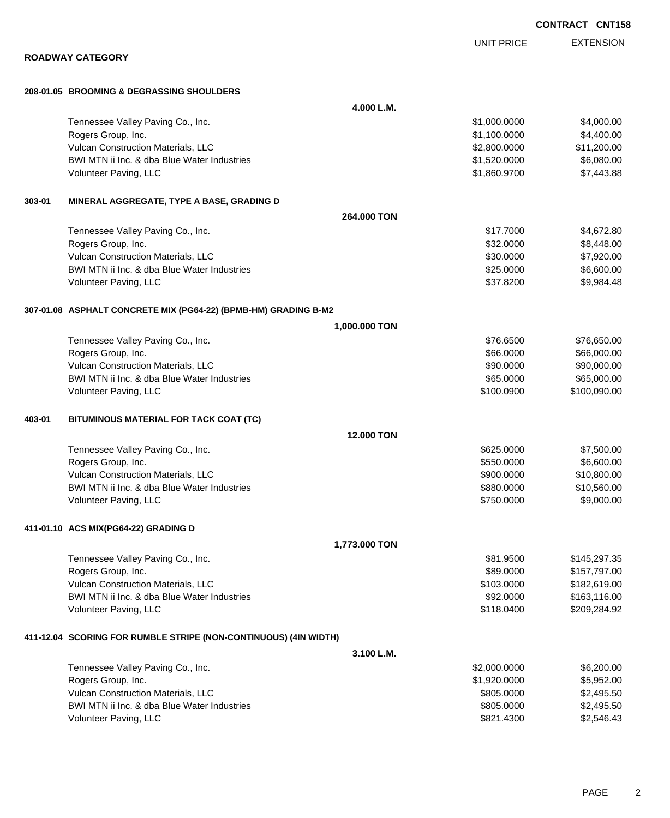|        |                                                                  | UNIT PRICE        | <b>EXTENSION</b> |
|--------|------------------------------------------------------------------|-------------------|------------------|
|        | <b>ROADWAY CATEGORY</b>                                          |                   |                  |
|        | 208-01.05 BROOMING & DEGRASSING SHOULDERS                        |                   |                  |
|        |                                                                  | 4.000 L.M.        |                  |
|        | Tennessee Valley Paving Co., Inc.                                | \$1,000.0000      | \$4,000.00       |
|        | Rogers Group, Inc.                                               | \$1,100.0000      | \$4,400.00       |
|        | Vulcan Construction Materials, LLC                               | \$2,800.0000      | \$11,200.00      |
|        | BWI MTN ii Inc. & dba Blue Water Industries                      | \$1,520.0000      | \$6,080.00       |
|        | Volunteer Paving, LLC                                            | \$1,860.9700      | \$7,443.88       |
| 303-01 | MINERAL AGGREGATE, TYPE A BASE, GRADING D                        |                   |                  |
|        |                                                                  | 264,000 TON       |                  |
|        | Tennessee Valley Paving Co., Inc.                                | \$17.7000         | \$4,672.80       |
|        | Rogers Group, Inc.                                               | \$32.0000         | \$8,448.00       |
|        | Vulcan Construction Materials, LLC                               | \$30.0000         | \$7,920.00       |
|        | BWI MTN ii Inc. & dba Blue Water Industries                      | \$25.0000         | \$6,600.00       |
|        | Volunteer Paving, LLC                                            | \$37.8200         | \$9,984.48       |
|        | 307-01.08 ASPHALT CONCRETE MIX (PG64-22) (BPMB-HM) GRADING B-M2  |                   |                  |
|        | 1,000.000 TON                                                    |                   |                  |
|        | Tennessee Valley Paving Co., Inc.                                | \$76.6500         | \$76,650.00      |
|        | Rogers Group, Inc.                                               | \$66.0000         | \$66,000.00      |
|        | Vulcan Construction Materials, LLC                               | \$90.0000         | \$90,000.00      |
|        | BWI MTN ii Inc. & dba Blue Water Industries                      | \$65.0000         | \$65,000.00      |
|        | Volunteer Paving, LLC                                            | \$100.0900        | \$100,090.00     |
| 403-01 | BITUMINOUS MATERIAL FOR TACK COAT (TC)                           |                   |                  |
|        |                                                                  | <b>12,000 TON</b> |                  |
|        | Tennessee Valley Paving Co., Inc.                                | \$625,0000        | \$7,500.00       |
|        | Rogers Group, Inc.                                               | \$550.0000        | \$6,600.00       |
|        | Vulcan Construction Materials, LLC                               | \$900.0000        | \$10,800.00      |
|        | BWI MTN ii Inc. & dba Blue Water Industries                      | \$880.0000        | \$10,560.00      |
|        | Volunteer Paving, LLC                                            | \$750.0000        | \$9,000.00       |
|        | 411-01.10 ACS MIX(PG64-22) GRADING D                             |                   |                  |
|        | 1,773.000 TON                                                    |                   |                  |
|        | Tennessee Valley Paving Co., Inc.                                | \$81.9500         | \$145,297.35     |
|        | Rogers Group, Inc.                                               | \$89.0000         | \$157,797.00     |
|        | Vulcan Construction Materials, LLC                               | \$103.0000        | \$182,619.00     |
|        | BWI MTN ii Inc. & dba Blue Water Industries                      | \$92.0000         | \$163,116.00     |
|        | Volunteer Paving, LLC                                            | \$118.0400        | \$209,284.92     |
|        | 411-12.04 SCORING FOR RUMBLE STRIPE (NON-CONTINUOUS) (4IN WIDTH) |                   |                  |
|        |                                                                  | 3.100 L.M.        |                  |
|        | Tennessee Valley Paving Co., Inc.                                | \$2,000.0000      | \$6,200.00       |
|        | Rogers Group, Inc.                                               | \$1,920.0000      | \$5,952.00       |
|        | Vulcan Construction Materials, LLC                               | \$805.0000        | \$2,495.50       |
|        | BWI MTN ii Inc. & dba Blue Water Industries                      | \$805.0000        | \$2,495.50       |
|        | Volunteer Paving, LLC                                            | \$821.4300        | \$2,546.43       |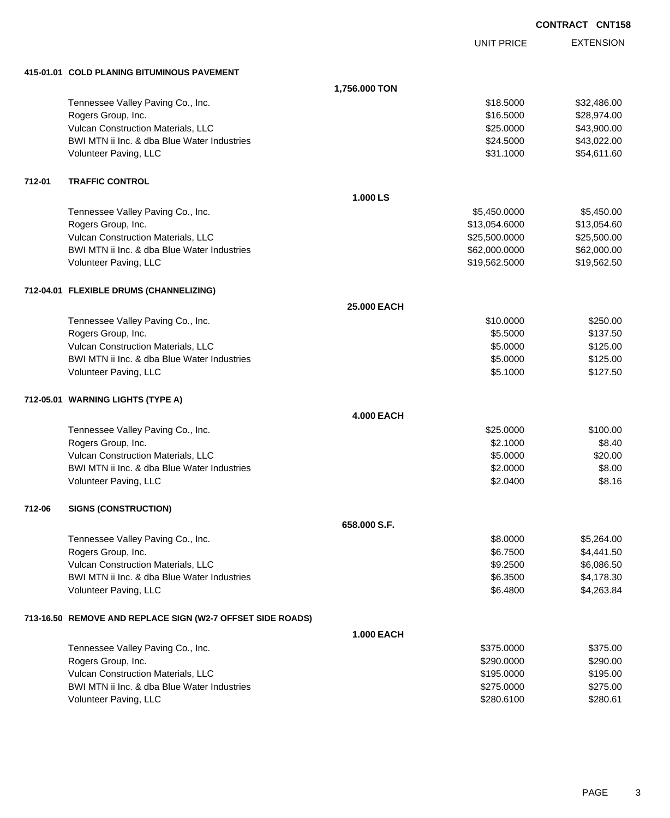UNIT PRICE EXTENSION **CONTRACT CNT158**

**415-01.01 COLD PLANING BITUMINOUS PAVEMENT**

|        |                                                            | 1,756.000 TON      |               |             |
|--------|------------------------------------------------------------|--------------------|---------------|-------------|
|        | Tennessee Valley Paving Co., Inc.                          |                    | \$18.5000     | \$32,486.00 |
|        | Rogers Group, Inc.                                         |                    | \$16.5000     | \$28,974.00 |
|        | Vulcan Construction Materials, LLC                         |                    | \$25.0000     | \$43,900.00 |
|        | BWI MTN ii Inc. & dba Blue Water Industries                |                    | \$24.5000     | \$43,022.00 |
|        | Volunteer Paving, LLC                                      |                    | \$31.1000     | \$54,611.60 |
| 712-01 | <b>TRAFFIC CONTROL</b>                                     |                    |               |             |
|        |                                                            | 1.000 LS           |               |             |
|        | Tennessee Valley Paving Co., Inc.                          |                    | \$5,450.0000  | \$5,450.00  |
|        | Rogers Group, Inc.                                         |                    | \$13,054.6000 | \$13,054.60 |
|        | Vulcan Construction Materials, LLC                         |                    | \$25,500.0000 | \$25,500.00 |
|        | BWI MTN ii Inc. & dba Blue Water Industries                |                    | \$62,000.0000 | \$62,000.00 |
|        | Volunteer Paving, LLC                                      |                    | \$19,562.5000 | \$19,562.50 |
|        | 712-04.01 FLEXIBLE DRUMS (CHANNELIZING)                    |                    |               |             |
|        |                                                            | <b>25,000 EACH</b> |               |             |
|        | Tennessee Valley Paving Co., Inc.                          |                    | \$10.0000     | \$250.00    |
|        | Rogers Group, Inc.                                         |                    | \$5.5000      | \$137.50    |
|        | Vulcan Construction Materials, LLC                         |                    | \$5.0000      | \$125.00    |
|        | BWI MTN ii Inc. & dba Blue Water Industries                |                    | \$5.0000      | \$125.00    |
|        | Volunteer Paving, LLC                                      |                    | \$5.1000      | \$127.50    |
|        | 712-05.01 WARNING LIGHTS (TYPE A)                          |                    |               |             |
|        |                                                            | <b>4.000 EACH</b>  |               |             |
|        | Tennessee Valley Paving Co., Inc.                          |                    | \$25.0000     | \$100.00    |
|        | Rogers Group, Inc.                                         |                    | \$2.1000      | \$8.40      |
|        | Vulcan Construction Materials, LLC                         |                    | \$5.0000      | \$20.00     |
|        | BWI MTN ii Inc. & dba Blue Water Industries                |                    | \$2.0000      | \$8.00      |
|        | Volunteer Paving, LLC                                      |                    | \$2.0400      | \$8.16      |
| 712-06 | <b>SIGNS (CONSTRUCTION)</b>                                |                    |               |             |
|        |                                                            | 658,000 S.F.       |               |             |
|        | Tennessee Valley Paving Co., Inc.                          |                    | \$8.0000      | \$5,264.00  |
|        | Rogers Group, Inc.                                         |                    | \$6.7500      | \$4,441.50  |
|        | Vulcan Construction Materials, LLC                         |                    | \$9.2500      | \$6,086.50  |
|        | BWI MTN ii Inc. & dba Blue Water Industries                |                    | \$6.3500      | \$4,178.30  |
|        | Volunteer Paving, LLC                                      |                    | \$6.4800      | \$4,263.84  |
|        | 713-16.50 REMOVE AND REPLACE SIGN (W2-7 OFFSET SIDE ROADS) |                    |               |             |
|        |                                                            | <b>1.000 EACH</b>  |               |             |
|        | Tennessee Valley Paving Co., Inc.                          |                    | \$375.0000    | \$375.00    |
|        | Rogers Group, Inc.                                         |                    | \$290.0000    | \$290.00    |
|        | Vulcan Construction Materials, LLC                         |                    | \$195.0000    | \$195.00    |
|        | BWI MTN ii Inc. & dba Blue Water Industries                |                    | \$275.0000    | \$275.00    |
|        | Volunteer Paving, LLC                                      |                    | \$280.6100    | \$280.61    |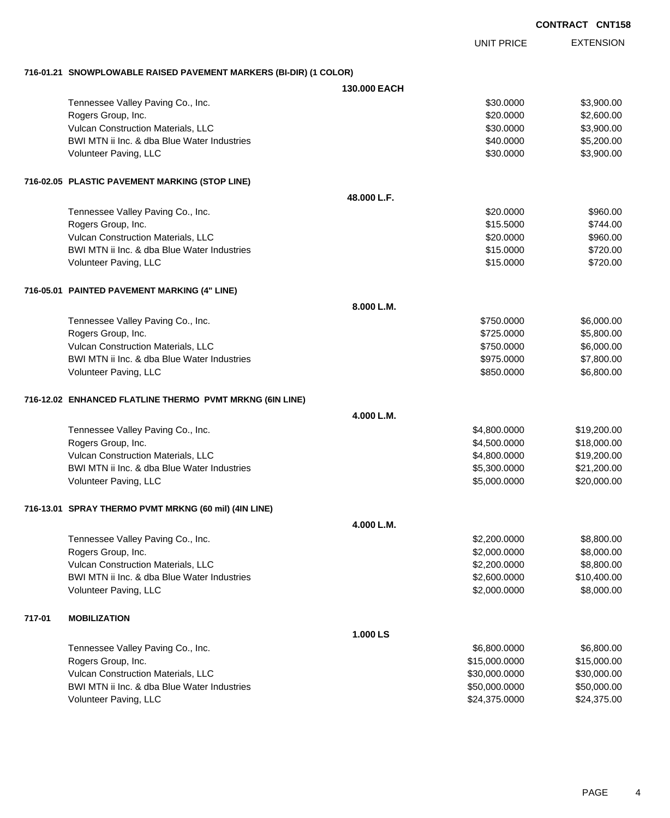EXTENSION UNIT PRICE

#### **716-01.21 SNOWPLOWABLE RAISED PAVEMENT MARKERS (BI-DIR) (1 COLOR)**

|        |                                                          | 130.000 EACH |               |             |
|--------|----------------------------------------------------------|--------------|---------------|-------------|
|        | Tennessee Valley Paving Co., Inc.                        |              | \$30.0000     | \$3,900.00  |
|        | Rogers Group, Inc.                                       |              | \$20.0000     | \$2,600.00  |
|        | Vulcan Construction Materials, LLC                       |              | \$30.0000     | \$3,900.00  |
|        | BWI MTN ii Inc. & dba Blue Water Industries              |              | \$40.0000     | \$5,200.00  |
|        | Volunteer Paving, LLC                                    |              | \$30.0000     | \$3,900.00  |
|        | 716-02.05 PLASTIC PAVEMENT MARKING (STOP LINE)           |              |               |             |
|        |                                                          | 48.000 L.F.  |               |             |
|        | Tennessee Valley Paving Co., Inc.                        |              | \$20.0000     | \$960.00    |
|        | Rogers Group, Inc.                                       |              | \$15.5000     | \$744.00    |
|        | Vulcan Construction Materials, LLC                       |              | \$20.0000     | \$960.00    |
|        | BWI MTN ii Inc. & dba Blue Water Industries              |              | \$15.0000     | \$720.00    |
|        | Volunteer Paving, LLC                                    |              | \$15.0000     | \$720.00    |
|        | 716-05.01 PAINTED PAVEMENT MARKING (4" LINE)             |              |               |             |
|        |                                                          | 8.000 L.M.   |               |             |
|        | Tennessee Valley Paving Co., Inc.                        |              | \$750.0000    | \$6,000.00  |
|        | Rogers Group, Inc.                                       |              | \$725.0000    | \$5,800.00  |
|        | Vulcan Construction Materials, LLC                       |              | \$750.0000    | \$6,000.00  |
|        | BWI MTN ii Inc. & dba Blue Water Industries              |              | \$975.0000    | \$7,800.00  |
|        | Volunteer Paving, LLC                                    |              | \$850.0000    | \$6,800.00  |
|        | 716-12.02 ENHANCED FLATLINE THERMO PVMT MRKNG (6IN LINE) |              |               |             |
|        |                                                          | 4.000 L.M.   |               |             |
|        | Tennessee Valley Paving Co., Inc.                        |              | \$4,800.0000  | \$19,200.00 |
|        | Rogers Group, Inc.                                       |              | \$4,500.0000  | \$18,000.00 |
|        | Vulcan Construction Materials, LLC                       |              | \$4,800.0000  | \$19,200.00 |
|        | BWI MTN ii Inc. & dba Blue Water Industries              |              | \$5,300.0000  | \$21,200.00 |
|        | Volunteer Paving, LLC                                    |              | \$5,000.0000  | \$20,000.00 |
|        | 716-13.01 SPRAY THERMO PVMT MRKNG (60 mil) (4IN LINE)    |              |               |             |
|        |                                                          | 4.000 L.M.   |               |             |
|        | Tennessee Valley Paving Co., Inc.                        |              | \$2,200.0000  | \$8,800.00  |
|        | Rogers Group, Inc.                                       |              | \$2,000.0000  | \$8,000.00  |
|        | Vulcan Construction Materials, LLC                       |              | \$2,200.0000  | \$8,800.00  |
|        | BWI MTN ii Inc. & dba Blue Water Industries              |              | \$2,600.0000  | \$10,400.00 |
|        | Volunteer Paving, LLC                                    |              | \$2,000.0000  | \$8,000.00  |
| 717-01 | <b>MOBILIZATION</b>                                      |              |               |             |
|        |                                                          | 1.000 LS     |               |             |
|        | Tennessee Valley Paving Co., Inc.                        |              | \$6,800.0000  | \$6,800.00  |
|        | Rogers Group, Inc.                                       |              | \$15,000.0000 | \$15,000.00 |
|        | <b>Vulcan Construction Materials, LLC</b>                |              | \$30,000.0000 | \$30,000.00 |
|        | BWI MTN ii Inc. & dba Blue Water Industries              |              | \$50,000.0000 | \$50,000.00 |
|        | Volunteer Paving, LLC                                    |              | \$24,375.0000 | \$24,375.00 |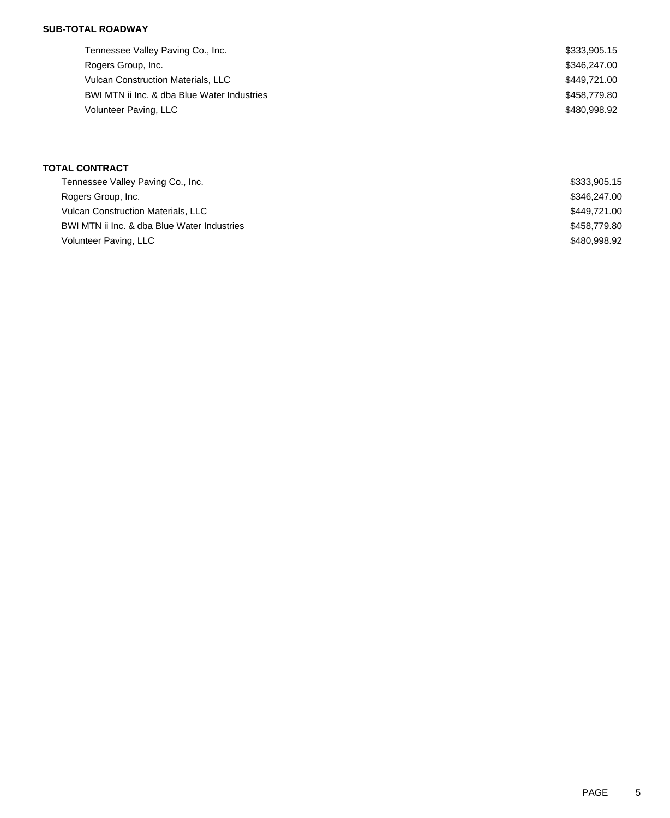### **SUB-TOTAL ROADWAY**

| Tennessee Valley Paving Co., Inc.           | \$333,905.15 |
|---------------------------------------------|--------------|
| Rogers Group, Inc.                          | \$346,247.00 |
| <b>Vulcan Construction Materials, LLC</b>   | \$449,721.00 |
| BWI MTN ii Inc. & dba Blue Water Industries | \$458,779.80 |
| Volunteer Paving, LLC                       | \$480,998.92 |

## **TOTAL CONTRACT**

| Tennessee Valley Paving Co., Inc.           | \$333,905.15 |
|---------------------------------------------|--------------|
| Rogers Group, Inc.                          | \$346,247,00 |
| <b>Vulcan Construction Materials, LLC</b>   | \$449.721.00 |
| BWI MTN ii Inc. & dba Blue Water Industries | \$458,779.80 |
| Volunteer Paving, LLC                       | \$480,998.92 |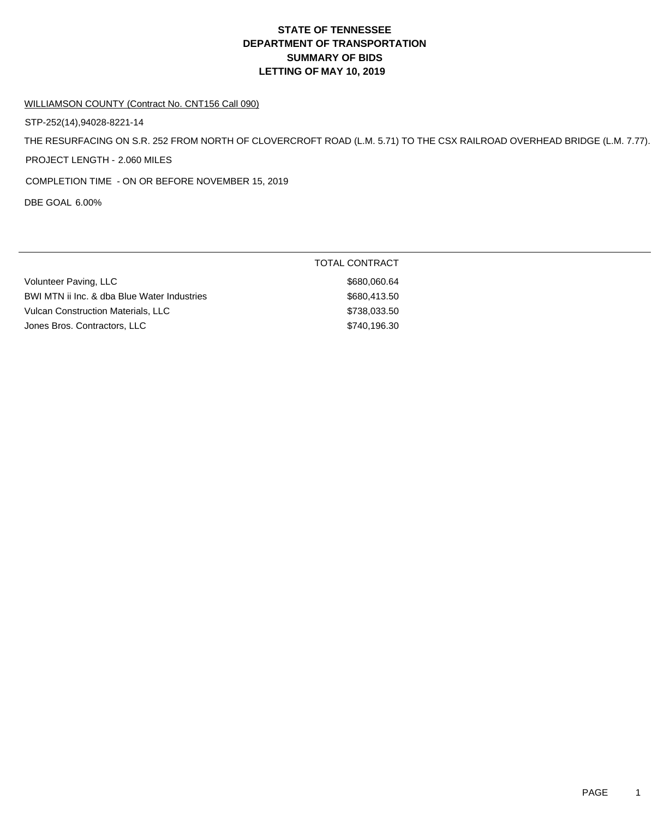# **DEPARTMENT OF TRANSPORTATION SUMMARY OF BIDS LETTING OF MAY 10, 2019 STATE OF TENNESSEE**

#### WILLIAMSON COUNTY (Contract No. CNT156 Call 090)

STP-252(14),94028-8221-14

THE RESURFACING ON S.R. 252 FROM NORTH OF CLOVERCROFT ROAD (L.M. 5.71) TO THE CSX RAILROAD OVERHEAD BRIDGE (L.M. 7.77).

PROJECT LENGTH - 2.060 MILES

COMPLETION TIME - ON OR BEFORE NOVEMBER 15, 2019

DBE GOAL 6.00%

|                                             | TOTAL CONTRACT |
|---------------------------------------------|----------------|
| Volunteer Paving, LLC                       | \$680,060.64   |
| BWI MTN ii Inc. & dba Blue Water Industries | \$680,413,50   |
| <b>Vulcan Construction Materials, LLC</b>   | \$738,033.50   |
| Jones Bros. Contractors, LLC                | \$740,196.30   |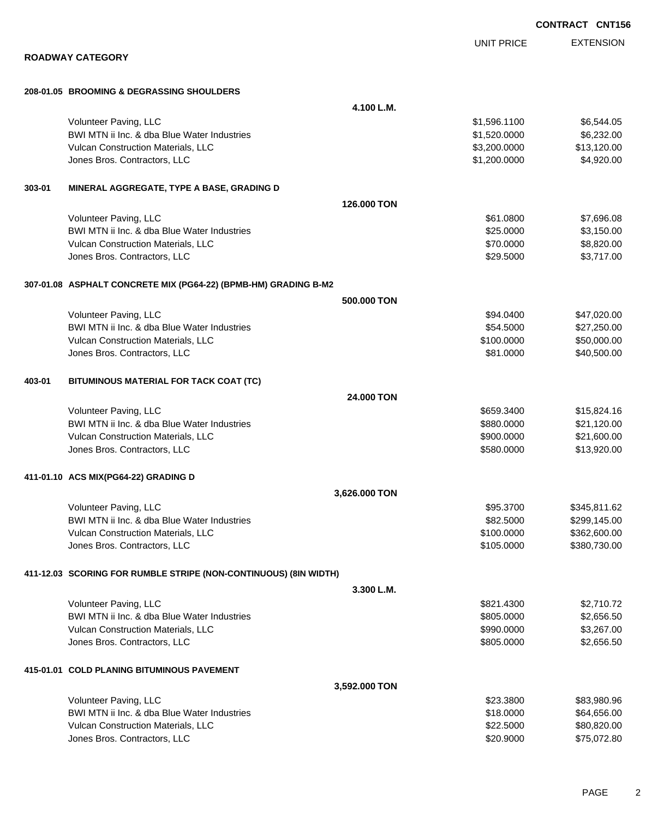|        |                                                                  |               |                   | <b>CONTRACT CNT15</b> |
|--------|------------------------------------------------------------------|---------------|-------------------|-----------------------|
|        |                                                                  |               | <b>UNIT PRICE</b> | <b>EXTENSION</b>      |
|        | <b>ROADWAY CATEGORY</b>                                          |               |                   |                       |
|        | 208-01.05 BROOMING & DEGRASSING SHOULDERS                        |               |                   |                       |
|        |                                                                  | 4.100 L.M.    |                   |                       |
|        | Volunteer Paving, LLC                                            |               | \$1,596.1100      | \$6,544.05            |
|        | BWI MTN ii Inc. & dba Blue Water Industries                      |               | \$1,520.0000      | \$6,232.00            |
|        | Vulcan Construction Materials, LLC                               |               | \$3,200.0000      | \$13,120.00           |
|        | Jones Bros. Contractors, LLC                                     |               | \$1,200.0000      | \$4,920.00            |
| 303-01 | MINERAL AGGREGATE, TYPE A BASE, GRADING D                        |               |                   |                       |
|        |                                                                  | 126,000 TON   |                   |                       |
|        | Volunteer Paving, LLC                                            |               | \$61.0800         | \$7,696.08            |
|        | BWI MTN ii Inc. & dba Blue Water Industries                      |               | \$25.0000         | \$3,150.00            |
|        | Vulcan Construction Materials, LLC                               |               | \$70.0000         | \$8,820.00            |
|        | Jones Bros. Contractors, LLC                                     |               | \$29.5000         | \$3,717.00            |
|        | 307-01.08 ASPHALT CONCRETE MIX (PG64-22) (BPMB-HM) GRADING B-M2  |               |                   |                       |
|        |                                                                  | 500.000 TON   |                   |                       |
|        | Volunteer Paving, LLC                                            |               | \$94.0400         | \$47,020.00           |
|        | BWI MTN ii Inc. & dba Blue Water Industries                      |               | \$54.5000         | \$27,250.00           |
|        | Vulcan Construction Materials, LLC                               |               | \$100.0000        | \$50,000.00           |
|        | Jones Bros. Contractors, LLC                                     |               | \$81.0000         | \$40,500.00           |
| 403-01 | BITUMINOUS MATERIAL FOR TACK COAT (TC)                           |               |                   |                       |
|        |                                                                  | 24,000 TON    |                   |                       |
|        | Volunteer Paving, LLC                                            |               | \$659.3400        | \$15,824.16           |
|        | BWI MTN ii Inc. & dba Blue Water Industries                      |               | \$880.0000        | \$21,120.00           |
|        | Vulcan Construction Materials, LLC                               |               | \$900.0000        | \$21,600.00           |
|        | Jones Bros. Contractors, LLC                                     |               | \$580.0000        | \$13,920.00           |
|        | 411-01.10 ACS MIX(PG64-22) GRADING D                             |               |                   |                       |
|        |                                                                  | 3,626.000 TON |                   |                       |
|        | Volunteer Paving, LLC                                            |               | \$95.3700         | \$345,811.62          |
|        | BWI MTN ii Inc. & dba Blue Water Industries                      |               | \$82.5000         | \$299,145.00          |
|        | Vulcan Construction Materials, LLC                               |               | \$100.0000        | \$362,600.00          |
|        | Jones Bros. Contractors, LLC                                     |               | \$105.0000        | \$380,730.00          |
|        | 411-12.03 SCORING FOR RUMBLE STRIPE (NON-CONTINUOUS) (8IN WIDTH) |               |                   |                       |
|        |                                                                  | 3.300 L.M.    |                   |                       |
|        | Volunteer Paving, LLC                                            |               | \$821.4300        | \$2,710.72            |
|        | BWI MTN ii Inc. & dba Blue Water Industries                      |               | \$805.0000        | \$2,656.50            |
|        | Vulcan Construction Materials, LLC                               |               | \$990.0000        | \$3,267.00            |
|        | Jones Bros. Contractors, LLC                                     |               | \$805.0000        | \$2,656.50            |
|        | 415-01.01 COLD PLANING BITUMINOUS PAVEMENT                       |               |                   |                       |
|        |                                                                  | 3,592.000 TON |                   |                       |
|        | Volunteer Paving, LLC                                            |               | \$23.3800         | \$83,980.96           |
|        | BWI MTN ii Inc. & dba Blue Water Industries                      |               | \$18.0000         | \$64,656.00           |
|        | Vulcan Construction Materials, LLC                               |               | \$22.5000         | \$80,820.00           |
|        | Jones Bros. Contractors, LLC                                     |               | \$20.9000         | \$75,072.80           |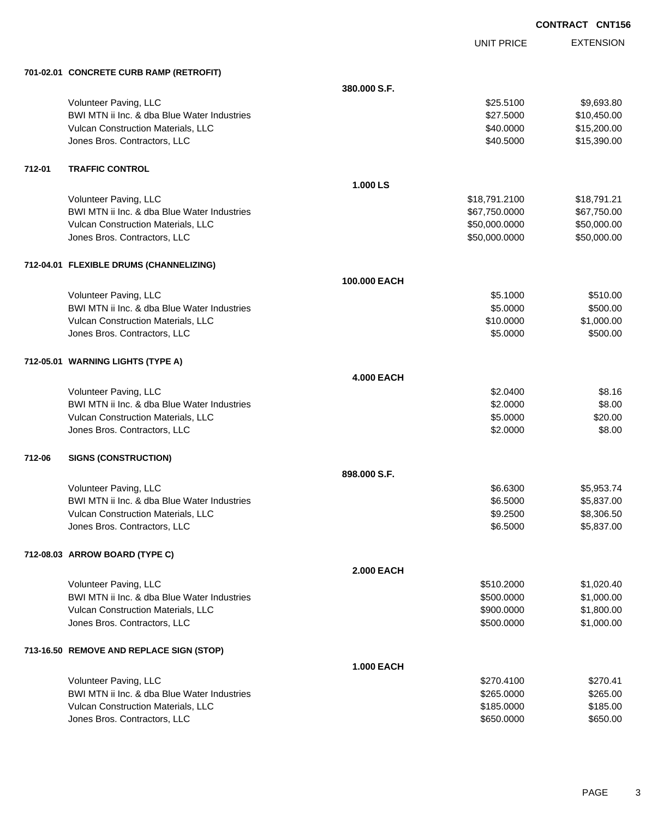UNIT PRICE

EXTENSION

|        | 701-02.01 CONCRETE CURB RAMP (RETROFIT)     |                   |               |             |
|--------|---------------------------------------------|-------------------|---------------|-------------|
|        |                                             | 380.000 S.F.      |               |             |
|        | Volunteer Paving, LLC                       |                   | \$25.5100     | \$9,693.80  |
|        | BWI MTN ii Inc. & dba Blue Water Industries |                   | \$27.5000     | \$10,450.00 |
|        | Vulcan Construction Materials, LLC          |                   | \$40.0000     | \$15,200.00 |
|        | Jones Bros. Contractors, LLC                |                   | \$40.5000     | \$15,390.00 |
| 712-01 | <b>TRAFFIC CONTROL</b>                      |                   |               |             |
|        |                                             | 1.000 LS          |               |             |
|        | Volunteer Paving, LLC                       |                   | \$18,791.2100 | \$18,791.21 |
|        | BWI MTN ii Inc. & dba Blue Water Industries |                   | \$67,750.0000 | \$67,750.00 |
|        | Vulcan Construction Materials, LLC          |                   | \$50,000.0000 | \$50,000.00 |
|        | Jones Bros. Contractors, LLC                |                   | \$50,000.0000 | \$50,000.00 |
|        | 712-04.01 FLEXIBLE DRUMS (CHANNELIZING)     |                   |               |             |
|        |                                             | 100.000 EACH      |               |             |
|        | Volunteer Paving, LLC                       |                   | \$5.1000      | \$510.00    |
|        | BWI MTN ii Inc. & dba Blue Water Industries |                   | \$5.0000      | \$500.00    |
|        | Vulcan Construction Materials, LLC          |                   | \$10.0000     | \$1,000.00  |
|        | Jones Bros. Contractors, LLC                |                   | \$5.0000      | \$500.00    |
|        | 712-05.01 WARNING LIGHTS (TYPE A)           |                   |               |             |
|        |                                             | <b>4.000 EACH</b> |               |             |
|        | Volunteer Paving, LLC                       |                   | \$2.0400      | \$8.16      |
|        | BWI MTN ii Inc. & dba Blue Water Industries |                   | \$2.0000      | \$8.00      |
|        | Vulcan Construction Materials, LLC          |                   | \$5.0000      | \$20.00     |
|        | Jones Bros. Contractors, LLC                |                   | \$2.0000      | \$8.00      |
| 712-06 | <b>SIGNS (CONSTRUCTION)</b>                 |                   |               |             |
|        |                                             | 898.000 S.F.      |               |             |
|        | Volunteer Paving, LLC                       |                   | \$6.6300      | \$5,953.74  |
|        | BWI MTN ii Inc. & dba Blue Water Industries |                   | \$6.5000      | \$5,837.00  |
|        | Vulcan Construction Materials, LLC          |                   | \$9.2500      | \$8,306.50  |
|        | Jones Bros. Contractors, LLC                |                   | \$6.5000      | \$5,837.00  |
|        | 712-08.03 ARROW BOARD (TYPE C)              |                   |               |             |
|        |                                             | <b>2.000 EACH</b> |               |             |
|        | Volunteer Paving, LLC                       |                   | \$510.2000    | \$1,020.40  |
|        | BWI MTN ii Inc. & dba Blue Water Industries |                   | \$500.0000    | \$1,000.00  |
|        | <b>Vulcan Construction Materials, LLC</b>   |                   | \$900.0000    | \$1,800.00  |
|        | Jones Bros. Contractors, LLC                |                   | \$500.0000    | \$1,000.00  |
|        | 713-16.50 REMOVE AND REPLACE SIGN (STOP)    |                   |               |             |
|        |                                             | <b>1.000 EACH</b> |               |             |
|        | Volunteer Paving, LLC                       |                   | \$270.4100    | \$270.41    |
|        | BWI MTN ii Inc. & dba Blue Water Industries |                   | \$265.0000    | \$265.00    |
|        | Vulcan Construction Materials, LLC          |                   | \$185.0000    | \$185.00    |
|        | Jones Bros. Contractors, LLC                |                   | \$650.0000    | \$650.00    |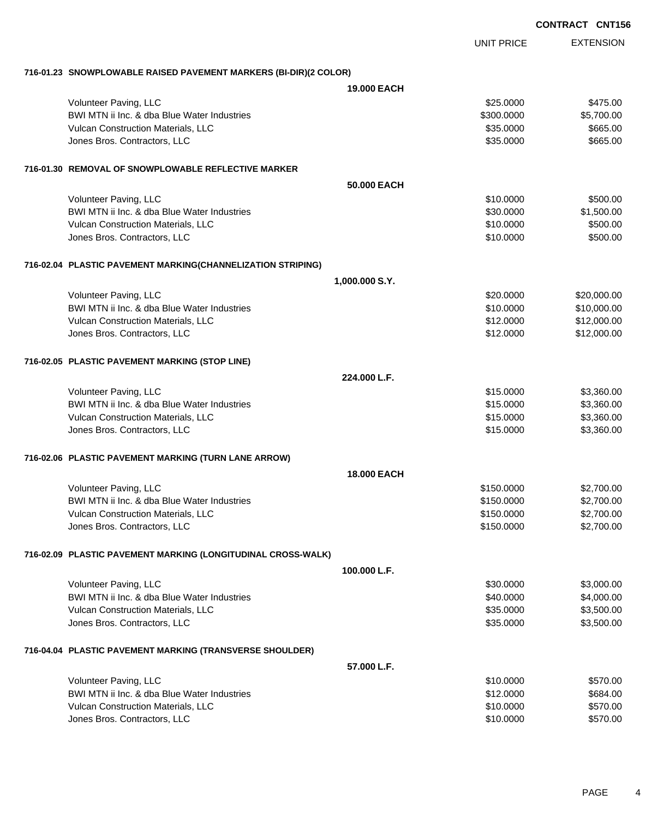|                                                                      |                        | <b>CONTRACT CNT156</b>     |
|----------------------------------------------------------------------|------------------------|----------------------------|
|                                                                      | <b>UNIT PRICE</b>      | <b>EXTENSION</b>           |
| 716-01.23 SNOWPLOWABLE RAISED PAVEMENT MARKERS (BI-DIR)(2 COLOR)     |                        |                            |
|                                                                      | <b>19,000 EACH</b>     |                            |
| Volunteer Paving, LLC                                                | \$25.0000              | \$475.00                   |
| BWI MTN ii Inc. & dba Blue Water Industries                          | \$300.0000             | \$5,700.00                 |
| Vulcan Construction Materials, LLC                                   | \$35.0000              | \$665.00                   |
| Jones Bros. Contractors, LLC                                         | \$35.0000              | \$665.00                   |
| 716-01.30 REMOVAL OF SNOWPLOWABLE REFLECTIVE MARKER                  |                        |                            |
|                                                                      | 50,000 EACH            |                            |
| Volunteer Paving, LLC                                                | \$10.0000              | \$500.00                   |
| BWI MTN ii Inc. & dba Blue Water Industries                          | \$30.0000              | \$1,500.00                 |
| Vulcan Construction Materials, LLC<br>Jones Bros. Contractors, LLC   | \$10.0000<br>\$10.0000 | \$500.00<br>\$500.00       |
|                                                                      |                        |                            |
| 716-02.04 PLASTIC PAVEMENT MARKING(CHANNELIZATION STRIPING)          |                        |                            |
|                                                                      | 1,000.000 S.Y.         |                            |
| Volunteer Paving, LLC<br>BWI MTN ii Inc. & dba Blue Water Industries | \$20.0000              | \$20,000.00                |
| Vulcan Construction Materials, LLC                                   | \$10.0000<br>\$12.0000 | \$10,000.00<br>\$12,000.00 |
| Jones Bros. Contractors, LLC                                         | \$12.0000              | \$12,000.00                |
|                                                                      |                        |                            |
| 716-02.05 PLASTIC PAVEMENT MARKING (STOP LINE)                       |                        |                            |
|                                                                      | 224.000 L.F.           |                            |
| Volunteer Paving, LLC<br>BWI MTN ii Inc. & dba Blue Water Industries | \$15.0000<br>\$15.0000 | \$3,360.00<br>\$3,360.00   |
| Vulcan Construction Materials, LLC                                   | \$15.0000              | \$3,360.00                 |
| Jones Bros. Contractors, LLC                                         | \$15.0000              | \$3,360.00                 |
|                                                                      |                        |                            |
| 716-02.06 PLASTIC PAVEMENT MARKING (TURN LANE ARROW)                 | <b>18,000 EACH</b>     |                            |
| Volunteer Paving, LLC                                                | \$150.0000             | \$2,700.00                 |
| BWI MTN ii Inc. & dba Blue Water Industries                          | \$150.0000             | \$2,700.00                 |
| Vulcan Construction Materials, LLC                                   | \$150.0000             | \$2,700.00                 |
| Jones Bros. Contractors, LLC                                         | \$150.0000             | \$2,700.00                 |
| 716-02.09 PLASTIC PAVEMENT MARKING (LONGITUDINAL CROSS-WALK)         |                        |                            |
|                                                                      | 100.000 L.F.           |                            |
| Volunteer Paving, LLC                                                | \$30.0000              | \$3,000.00                 |
| BWI MTN ii Inc. & dba Blue Water Industries                          | \$40.0000              | \$4,000.00                 |
| Vulcan Construction Materials, LLC                                   | \$35.0000              | \$3,500.00                 |
| Jones Bros. Contractors, LLC                                         | \$35.0000              | \$3,500.00                 |
| 716-04.04 PLASTIC PAVEMENT MARKING (TRANSVERSE SHOULDER)             |                        |                            |
|                                                                      | 57.000 L.F.            |                            |
| Volunteer Paving, LLC                                                | \$10.0000              | \$570.00                   |
| BWI MTN ii Inc. & dba Blue Water Industries                          | \$12.0000              | \$684.00                   |
| Vulcan Construction Materials, LLC                                   | \$10.0000              | \$570.00                   |
| Jones Bros. Contractors, LLC                                         | \$10.0000              | \$570.00                   |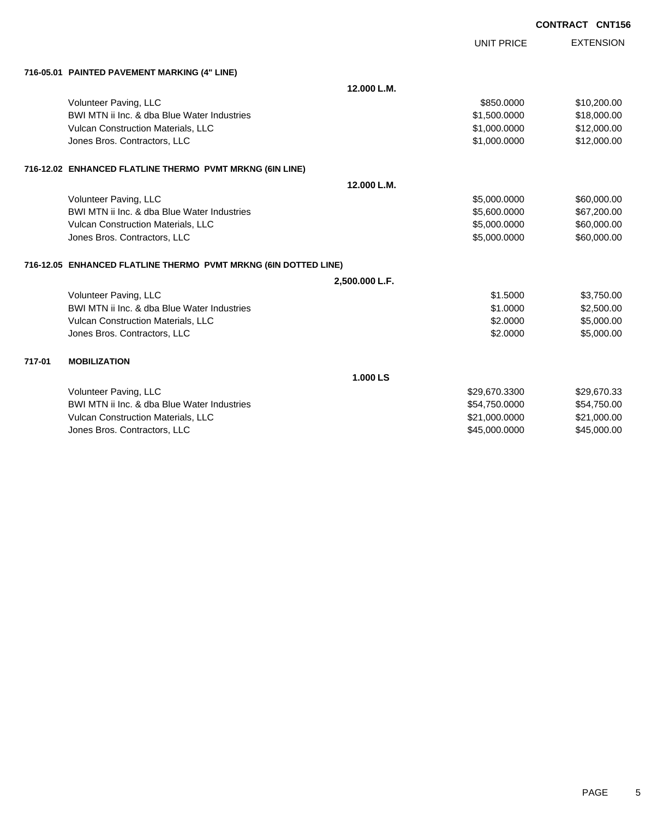|        |                                                                 |                | <b>UNIT PRICE</b> | <b>EXTENSION</b> |
|--------|-----------------------------------------------------------------|----------------|-------------------|------------------|
|        | 716-05.01 PAINTED PAVEMENT MARKING (4" LINE)                    |                |                   |                  |
|        |                                                                 | 12.000 L.M.    |                   |                  |
|        | Volunteer Paving, LLC                                           |                | \$850,0000        | \$10,200.00      |
|        | BWI MTN ii Inc. & dba Blue Water Industries                     |                | \$1,500.0000      | \$18,000.00      |
|        | Vulcan Construction Materials, LLC                              |                | \$1,000.0000      | \$12,000.00      |
|        | Jones Bros. Contractors, LLC                                    |                | \$1,000.0000      | \$12,000.00      |
|        | 716-12.02 ENHANCED FLATLINE THERMO PVMT MRKNG (6IN LINE)        |                |                   |                  |
|        |                                                                 | 12.000 L.M.    |                   |                  |
|        | Volunteer Paving, LLC                                           |                | \$5,000.0000      | \$60,000.00      |
|        | BWI MTN ii Inc. & dba Blue Water Industries                     |                | \$5,600.0000      | \$67,200.00      |
|        | Vulcan Construction Materials, LLC                              |                | \$5,000.0000      | \$60,000.00      |
|        | Jones Bros. Contractors, LLC                                    |                | \$5,000.0000      | \$60,000.00      |
|        | 716-12.05 ENHANCED FLATLINE THERMO PVMT MRKNG (6IN DOTTED LINE) |                |                   |                  |
|        |                                                                 | 2,500.000 L.F. |                   |                  |
|        | Volunteer Paving, LLC                                           |                | \$1.5000          | \$3,750.00       |
|        | BWI MTN ii Inc. & dba Blue Water Industries                     |                | \$1,0000          | \$2,500.00       |
|        | Vulcan Construction Materials, LLC                              |                | \$2,0000          | \$5,000.00       |
|        | Jones Bros. Contractors, LLC                                    |                | \$2.0000          | \$5,000.00       |
| 717-01 | <b>MOBILIZATION</b>                                             |                |                   |                  |
|        |                                                                 | 1.000 LS       |                   |                  |
|        | Volunteer Paving, LLC                                           |                | \$29,670.3300     | \$29,670.33      |
|        | BWI MTN ii Inc. & dba Blue Water Industries                     |                | \$54,750.0000     | \$54,750.00      |
|        | Vulcan Construction Materials, LLC                              |                | \$21,000.0000     | \$21,000.00      |
|        | Jones Bros, Contractors, LLC                                    |                | \$45,000,0000     | \$45,000.00      |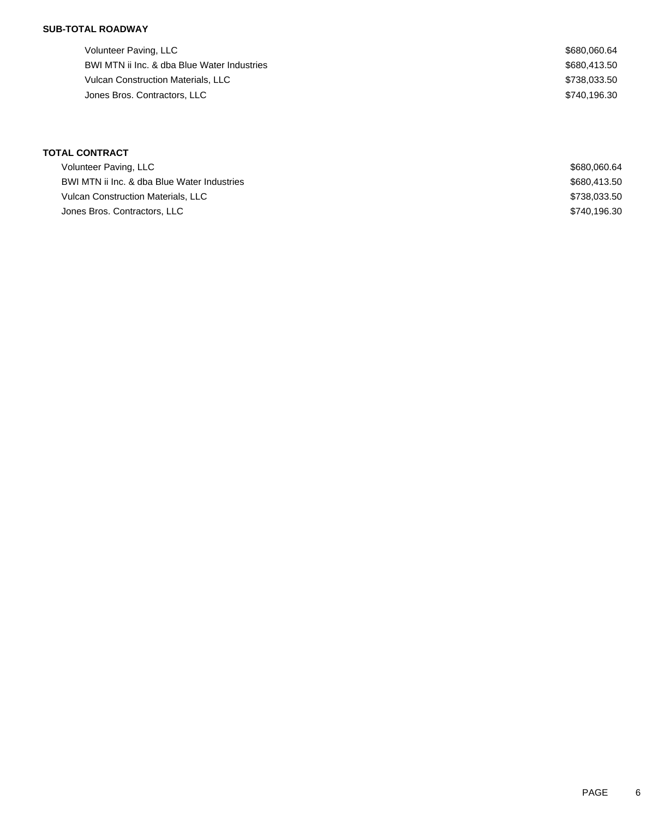## **SUB-TOTAL ROADWAY**

Volunteer Paving, LLC \$680,060.64 BWI MTN ii Inc. & dba Blue Water Industries  $$680,413.50$ Vulcan Construction Materials, LLC \$738,033.50 Jones Bros. Contractors, LLC \$740,196.30

| <b>TOTAL CONTRACT</b>                       |              |
|---------------------------------------------|--------------|
| Volunteer Paving, LLC                       | \$680.060.64 |
| BWI MTN ii Inc. & dba Blue Water Industries | \$680,413.50 |
| <b>Vulcan Construction Materials, LLC</b>   | \$738,033.50 |
| Jones Bros. Contractors, LLC                | \$740.196.30 |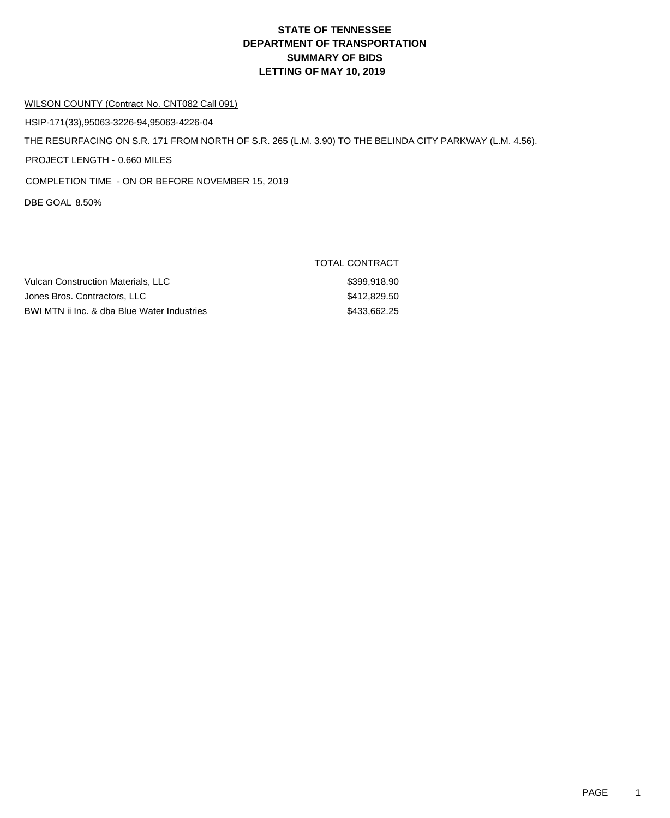# **DEPARTMENT OF TRANSPORTATION SUMMARY OF BIDS LETTING OF MAY 10, 2019 STATE OF TENNESSEE**

#### WILSON COUNTY (Contract No. CNT082 Call 091)

HSIP-171(33),95063-3226-94,95063-4226-04

THE RESURFACING ON S.R. 171 FROM NORTH OF S.R. 265 (L.M. 3.90) TO THE BELINDA CITY PARKWAY (L.M. 4.56).

PROJECT LENGTH - 0.660 MILES

COMPLETION TIME - ON OR BEFORE NOVEMBER 15, 2019

DBE GOAL 8.50%

|                                             | .            |
|---------------------------------------------|--------------|
| Vulcan Construction Materials, LLC          | \$399,918.90 |
| Jones Bros, Contractors, LLC                | \$412,829.50 |
| BWI MTN ii Inc. & dba Blue Water Industries | \$433,662.25 |

TOTAL CONTRACT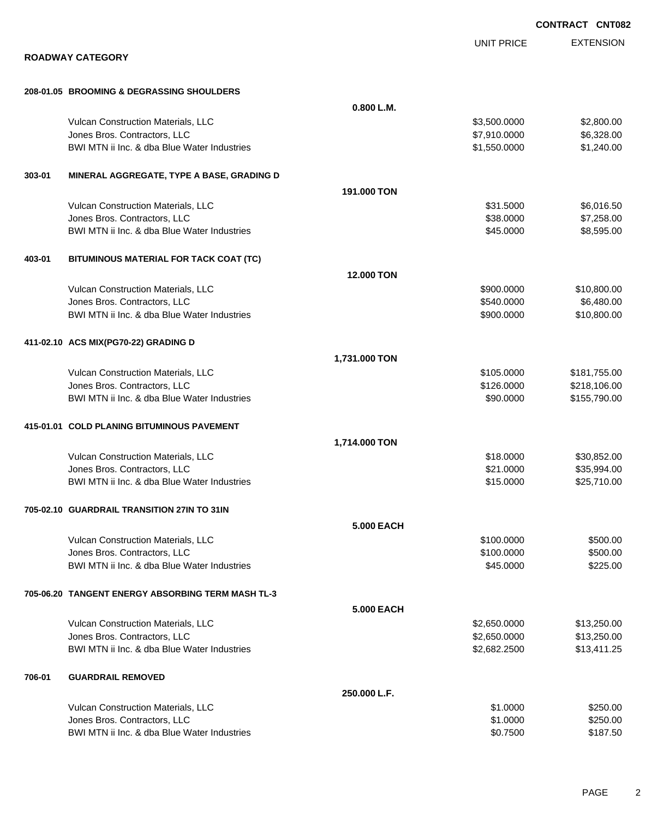|        |                                                   |                   |                   | <b>CONTRACT CNT082</b> |
|--------|---------------------------------------------------|-------------------|-------------------|------------------------|
|        |                                                   |                   | <b>UNIT PRICE</b> | <b>EXTENSION</b>       |
|        | <b>ROADWAY CATEGORY</b>                           |                   |                   |                        |
|        | 208-01.05 BROOMING & DEGRASSING SHOULDERS         |                   |                   |                        |
|        |                                                   | 0.800 L.M.        |                   |                        |
|        | Vulcan Construction Materials, LLC                |                   | \$3,500.0000      | \$2,800.00             |
|        | Jones Bros. Contractors, LLC                      |                   | \$7,910.0000      | \$6,328.00             |
|        | BWI MTN ii Inc. & dba Blue Water Industries       |                   | \$1,550.0000      | \$1,240.00             |
| 303-01 | MINERAL AGGREGATE, TYPE A BASE, GRADING D         |                   |                   |                        |
|        |                                                   | 191.000 TON       |                   |                        |
|        | Vulcan Construction Materials, LLC                |                   | \$31.5000         | \$6,016.50             |
|        | Jones Bros. Contractors, LLC                      |                   | \$38.0000         | \$7,258.00             |
|        | BWI MTN ii Inc. & dba Blue Water Industries       |                   | \$45.0000         | \$8,595.00             |
| 403-01 | BITUMINOUS MATERIAL FOR TACK COAT (TC)            |                   |                   |                        |
|        |                                                   | 12.000 TON        |                   |                        |
|        | Vulcan Construction Materials, LLC                |                   | \$900.0000        | \$10,800.00            |
|        | Jones Bros. Contractors, LLC                      |                   | \$540.0000        | \$6,480.00             |
|        | BWI MTN ii Inc. & dba Blue Water Industries       |                   | \$900.0000        | \$10,800.00            |
|        | 411-02.10 ACS MIX(PG70-22) GRADING D              |                   |                   |                        |
|        |                                                   | 1,731.000 TON     |                   |                        |
|        | Vulcan Construction Materials, LLC                |                   | \$105.0000        | \$181,755.00           |
|        | Jones Bros. Contractors, LLC                      |                   | \$126.0000        | \$218,106.00           |
|        | BWI MTN ii Inc. & dba Blue Water Industries       |                   | \$90.0000         | \$155,790.00           |
|        | 415-01.01 COLD PLANING BITUMINOUS PAVEMENT        |                   |                   |                        |
|        |                                                   | 1,714.000 TON     |                   |                        |
|        | Vulcan Construction Materials, LLC                |                   | \$18.0000         | \$30,852.00            |
|        | Jones Bros. Contractors, LLC                      |                   | \$21.0000         | \$35,994.00            |
|        | BWI MTN ii Inc. & dba Blue Water Industries       |                   | \$15.0000         | \$25,710.00            |
|        | 705-02.10 GUARDRAIL TRANSITION 27IN TO 31IN       |                   |                   |                        |
|        |                                                   | <b>5.000 EACH</b> |                   |                        |
|        | Vulcan Construction Materials, LLC                |                   | \$100.0000        | \$500.00               |
|        | Jones Bros. Contractors, LLC                      |                   | \$100.0000        | \$500.00               |
|        | BWI MTN ii Inc. & dba Blue Water Industries       |                   | \$45.0000         | \$225.00               |
|        | 705-06.20 TANGENT ENERGY ABSORBING TERM MASH TL-3 |                   |                   |                        |
|        |                                                   | <b>5.000 EACH</b> |                   |                        |
|        | Vulcan Construction Materials, LLC                |                   | \$2,650.0000      | \$13,250.00            |
|        | Jones Bros. Contractors, LLC                      |                   | \$2,650.0000      | \$13,250.00            |
|        | BWI MTN ii Inc. & dba Blue Water Industries       |                   | \$2,682.2500      | \$13,411.25            |
| 706-01 | <b>GUARDRAIL REMOVED</b>                          |                   |                   |                        |
|        |                                                   | 250.000 L.F.      |                   |                        |
|        | Vulcan Construction Materials, LLC                |                   | \$1.0000          | \$250.00               |
|        | Jones Bros. Contractors, LLC                      |                   | \$1.0000          | \$250.00               |
|        | BWI MTN ii Inc. & dba Blue Water Industries       |                   | \$0.7500          | \$187.50               |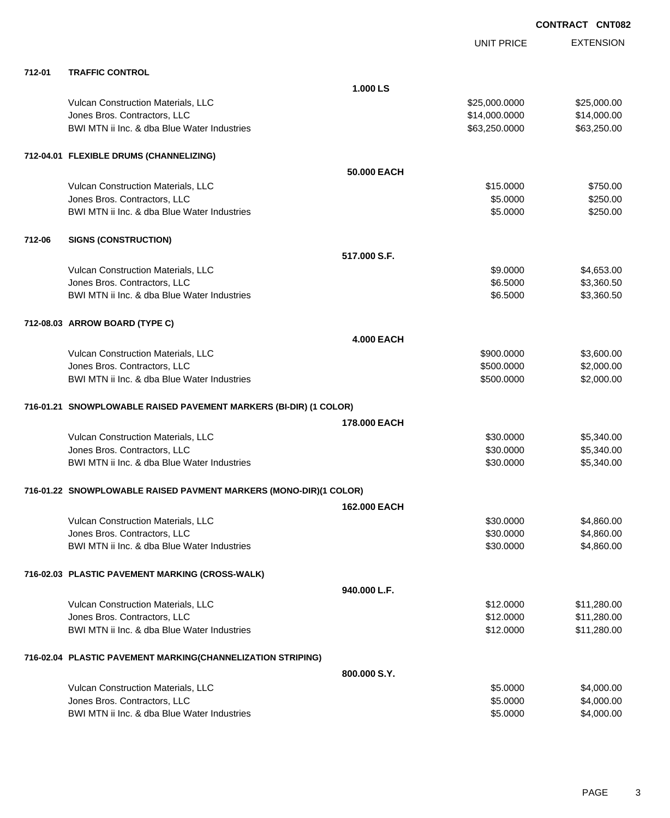|        |                                                                   |                   | <b>UNIT PRICE</b> | <b>EXTENSION</b> |
|--------|-------------------------------------------------------------------|-------------------|-------------------|------------------|
| 712-01 | <b>TRAFFIC CONTROL</b>                                            |                   |                   |                  |
|        |                                                                   | 1.000 LS          |                   |                  |
|        | Vulcan Construction Materials, LLC                                |                   | \$25,000.0000     | \$25,000.00      |
|        | Jones Bros. Contractors, LLC                                      |                   | \$14,000.0000     | \$14,000.00      |
|        | BWI MTN ii Inc. & dba Blue Water Industries                       |                   | \$63,250.0000     | \$63,250.00      |
|        | 712-04.01 FLEXIBLE DRUMS (CHANNELIZING)                           |                   |                   |                  |
|        |                                                                   | 50.000 EACH       |                   |                  |
|        | Vulcan Construction Materials, LLC                                |                   | \$15.0000         | \$750.00         |
|        | Jones Bros. Contractors, LLC                                      |                   | \$5.0000          | \$250.00         |
|        | BWI MTN ii Inc. & dba Blue Water Industries                       |                   | \$5.0000          | \$250.00         |
| 712-06 | <b>SIGNS (CONSTRUCTION)</b>                                       |                   |                   |                  |
|        |                                                                   | 517,000 S.F.      |                   |                  |
|        | Vulcan Construction Materials, LLC                                |                   | \$9.0000          | \$4,653.00       |
|        | Jones Bros. Contractors, LLC                                      |                   | \$6.5000          | \$3,360.50       |
|        | BWI MTN ii Inc. & dba Blue Water Industries                       |                   | \$6.5000          | \$3,360.50       |
|        | 712-08.03 ARROW BOARD (TYPE C)                                    |                   |                   |                  |
|        |                                                                   | <b>4.000 EACH</b> |                   |                  |
|        | Vulcan Construction Materials, LLC                                |                   | \$900.0000        | \$3,600.00       |
|        | Jones Bros. Contractors, LLC                                      |                   | \$500.0000        | \$2,000.00       |
|        | BWI MTN ii Inc. & dba Blue Water Industries                       |                   | \$500.0000        | \$2,000.00       |
|        | 716-01.21 SNOWPLOWABLE RAISED PAVEMENT MARKERS (BI-DIR) (1 COLOR) |                   |                   |                  |
|        |                                                                   | 178,000 EACH      |                   |                  |
|        | Vulcan Construction Materials, LLC                                |                   | \$30.0000         | \$5,340.00       |
|        | Jones Bros. Contractors, LLC                                      |                   | \$30.0000         | \$5,340.00       |
|        | BWI MTN ii Inc. & dba Blue Water Industries                       |                   | \$30.0000         | \$5,340.00       |
|        | 716-01.22 SNOWPLOWABLE RAISED PAVMENT MARKERS (MONO-DIR)(1 COLOR) |                   |                   |                  |
|        |                                                                   | 162.000 EACH      |                   |                  |
|        | Vulcan Construction Materials, LLC                                |                   | \$30.0000         | \$4,860.00       |
|        | Jones Bros. Contractors, LLC                                      |                   | \$30.0000         | \$4,860.00       |
|        | BWI MTN ii Inc. & dba Blue Water Industries                       |                   | \$30.0000         | \$4,860.00       |
|        | 716-02.03 PLASTIC PAVEMENT MARKING (CROSS-WALK)                   |                   |                   |                  |
|        |                                                                   | 940.000 L.F.      |                   |                  |
|        | Vulcan Construction Materials, LLC                                |                   | \$12.0000         | \$11,280.00      |
|        | Jones Bros. Contractors, LLC                                      |                   | \$12.0000         | \$11,280.00      |
|        | BWI MTN ii Inc. & dba Blue Water Industries                       |                   | \$12.0000         | \$11,280.00      |
|        | 716-02.04 PLASTIC PAVEMENT MARKING(CHANNELIZATION STRIPING)       |                   |                   |                  |
|        |                                                                   | 800.000 S.Y.      |                   |                  |
|        | Vulcan Construction Materials, LLC                                |                   | \$5.0000          | \$4,000.00       |
|        | Jones Bros. Contractors, LLC                                      |                   | \$5.0000          | \$4,000.00       |
|        | BWI MTN ii Inc. & dba Blue Water Industries                       |                   | \$5.0000          | \$4,000.00       |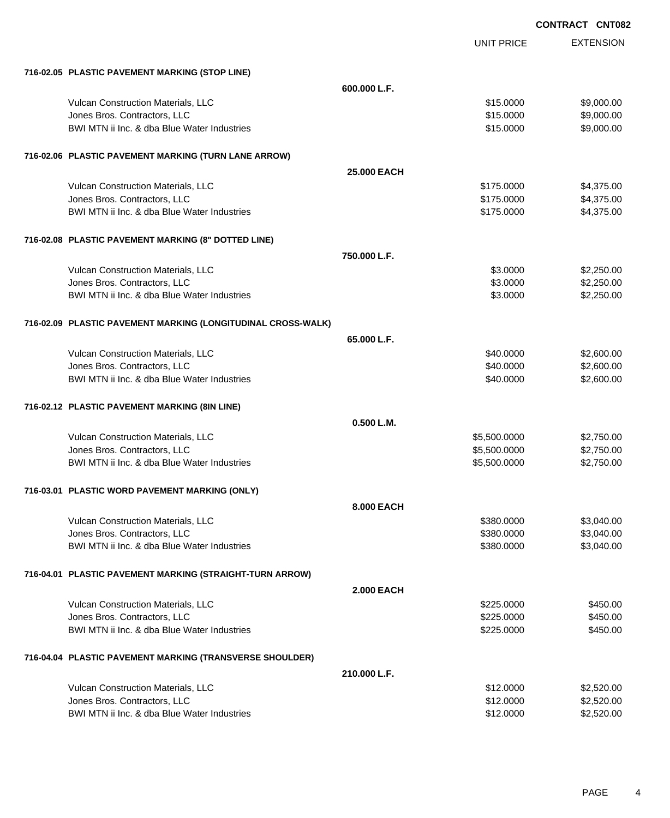UNIT PRICE

EXTENSION

| 716-02.05 PLASTIC PAVEMENT MARKING (STOP LINE)               |                    |              |            |
|--------------------------------------------------------------|--------------------|--------------|------------|
|                                                              | 600.000 L.F.       |              |            |
| Vulcan Construction Materials, LLC                           |                    | \$15.0000    | \$9,000.00 |
| Jones Bros. Contractors, LLC                                 |                    | \$15.0000    | \$9,000.00 |
| BWI MTN ii Inc. & dba Blue Water Industries                  |                    | \$15.0000    | \$9,000.00 |
| 716-02.06 PLASTIC PAVEMENT MARKING (TURN LANE ARROW)         |                    |              |            |
|                                                              | <b>25,000 EACH</b> |              |            |
| Vulcan Construction Materials, LLC                           |                    | \$175.0000   | \$4,375.00 |
| Jones Bros. Contractors, LLC                                 |                    | \$175.0000   | \$4,375.00 |
| BWI MTN ii Inc. & dba Blue Water Industries                  |                    | \$175.0000   | \$4,375.00 |
| 716-02.08 PLASTIC PAVEMENT MARKING (8" DOTTED LINE)          |                    |              |            |
|                                                              | 750,000 L.F.       |              |            |
| Vulcan Construction Materials, LLC                           |                    | \$3,0000     | \$2,250.00 |
| Jones Bros. Contractors, LLC                                 |                    | \$3.0000     | \$2,250.00 |
| BWI MTN ii Inc. & dba Blue Water Industries                  |                    | \$3.0000     | \$2,250.00 |
| 716-02.09 PLASTIC PAVEMENT MARKING (LONGITUDINAL CROSS-WALK) |                    |              |            |
|                                                              | 65.000 L.F.        |              |            |
| Vulcan Construction Materials, LLC                           |                    | \$40.0000    | \$2,600.00 |
| Jones Bros. Contractors, LLC                                 |                    | \$40.0000    | \$2,600.00 |
| BWI MTN ii Inc. & dba Blue Water Industries                  |                    | \$40.0000    | \$2,600.00 |
| 716-02.12 PLASTIC PAVEMENT MARKING (8IN LINE)                |                    |              |            |
|                                                              | 0.500 L.M.         |              |            |
| Vulcan Construction Materials, LLC                           |                    | \$5,500.0000 | \$2,750.00 |
| Jones Bros. Contractors, LLC                                 |                    | \$5,500.0000 | \$2,750.00 |
| BWI MTN ii Inc. & dba Blue Water Industries                  |                    | \$5,500.0000 | \$2,750.00 |
| 716-03.01 PLASTIC WORD PAVEMENT MARKING (ONLY)               |                    |              |            |
|                                                              | 8.000 EACH         |              |            |
| Vulcan Construction Materials, LLC                           |                    | \$380.0000   | \$3,040.00 |
| Jones Bros. Contractors, LLC                                 |                    | \$380.0000   | \$3,040.00 |
| BWI MTN ii Inc. & dba Blue Water Industries                  |                    | \$380.0000   | \$3,040.00 |
| 716-04.01 PLASTIC PAVEMENT MARKING (STRAIGHT-TURN ARROW)     |                    |              |            |
|                                                              | <b>2.000 EACH</b>  |              |            |
| Vulcan Construction Materials, LLC                           |                    | \$225.0000   | \$450.00   |
| Jones Bros. Contractors, LLC                                 |                    | \$225.0000   | \$450.00   |
| BWI MTN ii Inc. & dba Blue Water Industries                  |                    | \$225.0000   | \$450.00   |
| 716-04.04 PLASTIC PAVEMENT MARKING (TRANSVERSE SHOULDER)     |                    |              |            |
|                                                              | 210.000 L.F.       |              |            |
| Vulcan Construction Materials, LLC                           |                    | \$12.0000    | \$2,520.00 |
| Jones Bros. Contractors, LLC                                 |                    | \$12.0000    | \$2,520.00 |
| BWI MTN ii Inc. & dba Blue Water Industries                  |                    | \$12.0000    | \$2,520.00 |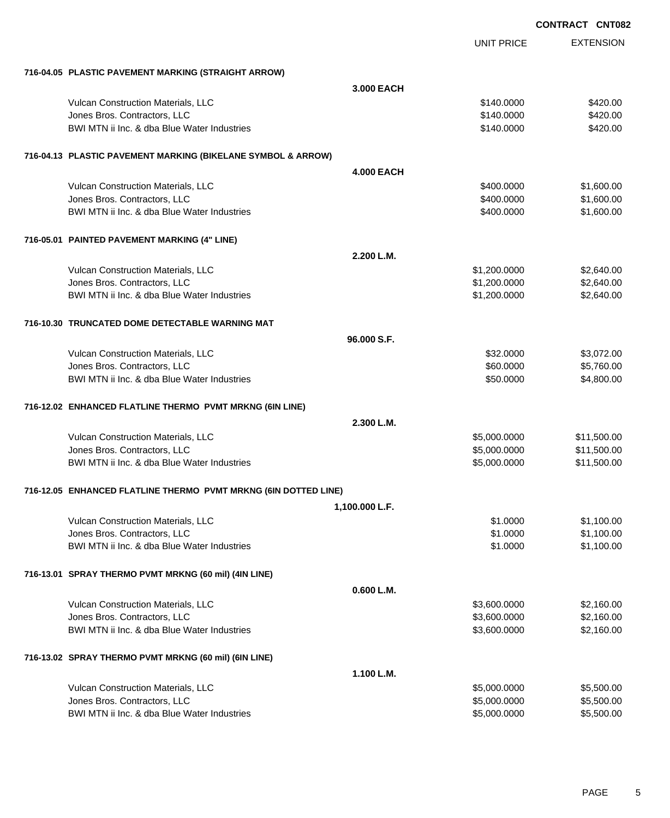|                                                                 |                   |                   | <b>CONTRACT CNT082</b> |
|-----------------------------------------------------------------|-------------------|-------------------|------------------------|
|                                                                 |                   | <b>UNIT PRICE</b> | <b>EXTENSION</b>       |
| 716-04.05 PLASTIC PAVEMENT MARKING (STRAIGHT ARROW)             |                   |                   |                        |
|                                                                 | 3.000 EACH        |                   |                        |
| Vulcan Construction Materials, LLC                              |                   | \$140.0000        | \$420.00               |
| Jones Bros. Contractors, LLC                                    |                   | \$140.0000        | \$420.00               |
| BWI MTN ii Inc. & dba Blue Water Industries                     |                   | \$140.0000        | \$420.00               |
| 716-04.13 PLASTIC PAVEMENT MARKING (BIKELANE SYMBOL & ARROW)    |                   |                   |                        |
|                                                                 | <b>4.000 EACH</b> |                   |                        |
| Vulcan Construction Materials, LLC                              |                   | \$400.0000        | \$1,600.00             |
| Jones Bros. Contractors, LLC                                    |                   | \$400.0000        | \$1,600.00             |
| BWI MTN ii Inc. & dba Blue Water Industries                     |                   | \$400.0000        | \$1,600.00             |
| 716-05.01 PAINTED PAVEMENT MARKING (4" LINE)                    |                   |                   |                        |
|                                                                 | 2.200 L.M.        |                   |                        |
| Vulcan Construction Materials, LLC                              |                   | \$1,200.0000      | \$2,640.00             |
| Jones Bros. Contractors, LLC                                    |                   | \$1,200.0000      | \$2,640.00             |
| BWI MTN ii Inc. & dba Blue Water Industries                     |                   | \$1,200.0000      | \$2,640.00             |
| 716-10.30 TRUNCATED DOME DETECTABLE WARNING MAT                 |                   |                   |                        |
|                                                                 | 96,000 S.F.       |                   |                        |
| Vulcan Construction Materials, LLC                              |                   | \$32.0000         | \$3,072.00             |
| Jones Bros. Contractors, LLC                                    |                   | \$60.0000         | \$5,760.00             |
| BWI MTN ii Inc. & dba Blue Water Industries                     |                   | \$50.0000         | \$4,800.00             |
| 716-12.02 ENHANCED FLATLINE THERMO PVMT MRKNG (6IN LINE)        |                   |                   |                        |
|                                                                 | 2.300 L.M.        |                   |                        |
| Vulcan Construction Materials, LLC                              |                   | \$5,000.0000      | \$11,500.00            |
| Jones Bros. Contractors, LLC                                    |                   | \$5,000.0000      | \$11,500.00            |
| BWI MTN ii Inc. & dba Blue Water Industries                     |                   | \$5,000.0000      | \$11,500.00            |
| 716-12.05 ENHANCED FLATLINE THERMO PVMT MRKNG (6IN DOTTED LINE) |                   |                   |                        |
|                                                                 | 1,100.000 L.F.    |                   |                        |
| Vulcan Construction Materials, LLC                              |                   | \$1.0000          | \$1,100.00             |
| Jones Bros. Contractors, LLC                                    |                   | \$1.0000          | \$1,100.00             |
| BWI MTN ii Inc. & dba Blue Water Industries                     |                   | \$1.0000          | \$1,100.00             |
| 716-13.01 SPRAY THERMO PVMT MRKNG (60 mil) (4IN LINE)           |                   |                   |                        |
|                                                                 | 0.600 L.M.        |                   |                        |
| Vulcan Construction Materials, LLC                              |                   | \$3,600.0000      | \$2,160.00             |
| Jones Bros. Contractors, LLC                                    |                   | \$3,600.0000      | \$2,160.00             |
| BWI MTN ii Inc. & dba Blue Water Industries                     |                   | \$3,600.0000      | \$2,160.00             |
| 716-13.02 SPRAY THERMO PVMT MRKNG (60 mil) (6IN LINE)           |                   |                   |                        |
|                                                                 | 1.100 L.M.        |                   |                        |
| Vulcan Construction Materials, LLC                              |                   | \$5,000.0000      | \$5,500.00             |
| Jones Bros. Contractors, LLC                                    |                   | \$5,000.0000      | \$5,500.00             |
| BWI MTN ii Inc. & dba Blue Water Industries                     |                   | \$5,000.0000      | \$5,500.00             |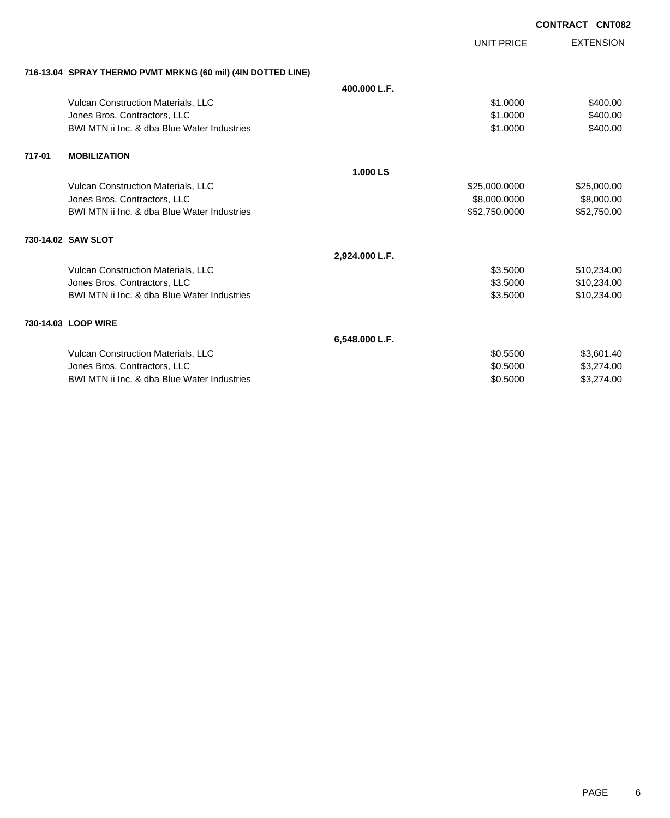| 716-13.04 SPRAY THERMO PVMT MRKNG (60 mil) (4IN DOTTED LINE)<br>400.000 L.F.<br>Vulcan Construction Materials, LLC<br>\$400.00<br>\$1.0000<br>\$400.00<br>Jones Bros. Contractors, LLC<br>\$1,0000<br>BWI MTN ii Inc. & dba Blue Water Industries<br>\$400.00<br>\$1.0000<br>717-01<br><b>MOBILIZATION</b><br>1.000 LS<br>Vulcan Construction Materials, LLC<br>\$25,000.0000<br>\$25,000.00<br>\$8,000.0000<br>\$8,000.00<br>Jones Bros. Contractors, LLC<br>BWI MTN ii Inc. & dba Blue Water Industries<br>\$52,750.00<br>\$52,750.0000<br>730-14.02 SAW SLOT<br>2,924.000 L.F.<br>\$10,234.00<br>Vulcan Construction Materials, LLC<br>\$3.5000<br>\$10,234.00<br>Jones Bros. Contractors, LLC<br>\$3.5000<br>BWI MTN ii Inc. & dba Blue Water Industries<br>\$10,234.00<br>\$3.5000<br>730-14.03 LOOP WIRE<br>6,548.000 L.F.<br>Vulcan Construction Materials, LLC<br>\$0.5500<br>\$3,601.40<br>Jones Bros. Contractors, LLC<br>\$3,274.00<br>\$0.5000<br>BWI MTN ii Inc. & dba Blue Water Industries<br>\$0.5000<br>\$3,274.00 |  | <b>UNIT PRICE</b> | <b>EXTENSION</b> |
|-------------------------------------------------------------------------------------------------------------------------------------------------------------------------------------------------------------------------------------------------------------------------------------------------------------------------------------------------------------------------------------------------------------------------------------------------------------------------------------------------------------------------------------------------------------------------------------------------------------------------------------------------------------------------------------------------------------------------------------------------------------------------------------------------------------------------------------------------------------------------------------------------------------------------------------------------------------------------------------------------------------------------------------|--|-------------------|------------------|
|                                                                                                                                                                                                                                                                                                                                                                                                                                                                                                                                                                                                                                                                                                                                                                                                                                                                                                                                                                                                                                     |  |                   |                  |
|                                                                                                                                                                                                                                                                                                                                                                                                                                                                                                                                                                                                                                                                                                                                                                                                                                                                                                                                                                                                                                     |  |                   |                  |
|                                                                                                                                                                                                                                                                                                                                                                                                                                                                                                                                                                                                                                                                                                                                                                                                                                                                                                                                                                                                                                     |  |                   |                  |
|                                                                                                                                                                                                                                                                                                                                                                                                                                                                                                                                                                                                                                                                                                                                                                                                                                                                                                                                                                                                                                     |  |                   |                  |
|                                                                                                                                                                                                                                                                                                                                                                                                                                                                                                                                                                                                                                                                                                                                                                                                                                                                                                                                                                                                                                     |  |                   |                  |
|                                                                                                                                                                                                                                                                                                                                                                                                                                                                                                                                                                                                                                                                                                                                                                                                                                                                                                                                                                                                                                     |  |                   |                  |
|                                                                                                                                                                                                                                                                                                                                                                                                                                                                                                                                                                                                                                                                                                                                                                                                                                                                                                                                                                                                                                     |  |                   |                  |
|                                                                                                                                                                                                                                                                                                                                                                                                                                                                                                                                                                                                                                                                                                                                                                                                                                                                                                                                                                                                                                     |  |                   |                  |
|                                                                                                                                                                                                                                                                                                                                                                                                                                                                                                                                                                                                                                                                                                                                                                                                                                                                                                                                                                                                                                     |  |                   |                  |
|                                                                                                                                                                                                                                                                                                                                                                                                                                                                                                                                                                                                                                                                                                                                                                                                                                                                                                                                                                                                                                     |  |                   |                  |
|                                                                                                                                                                                                                                                                                                                                                                                                                                                                                                                                                                                                                                                                                                                                                                                                                                                                                                                                                                                                                                     |  |                   |                  |
|                                                                                                                                                                                                                                                                                                                                                                                                                                                                                                                                                                                                                                                                                                                                                                                                                                                                                                                                                                                                                                     |  |                   |                  |
|                                                                                                                                                                                                                                                                                                                                                                                                                                                                                                                                                                                                                                                                                                                                                                                                                                                                                                                                                                                                                                     |  |                   |                  |
|                                                                                                                                                                                                                                                                                                                                                                                                                                                                                                                                                                                                                                                                                                                                                                                                                                                                                                                                                                                                                                     |  |                   |                  |
|                                                                                                                                                                                                                                                                                                                                                                                                                                                                                                                                                                                                                                                                                                                                                                                                                                                                                                                                                                                                                                     |  |                   |                  |
|                                                                                                                                                                                                                                                                                                                                                                                                                                                                                                                                                                                                                                                                                                                                                                                                                                                                                                                                                                                                                                     |  |                   |                  |
|                                                                                                                                                                                                                                                                                                                                                                                                                                                                                                                                                                                                                                                                                                                                                                                                                                                                                                                                                                                                                                     |  |                   |                  |
|                                                                                                                                                                                                                                                                                                                                                                                                                                                                                                                                                                                                                                                                                                                                                                                                                                                                                                                                                                                                                                     |  |                   |                  |
|                                                                                                                                                                                                                                                                                                                                                                                                                                                                                                                                                                                                                                                                                                                                                                                                                                                                                                                                                                                                                                     |  |                   |                  |
|                                                                                                                                                                                                                                                                                                                                                                                                                                                                                                                                                                                                                                                                                                                                                                                                                                                                                                                                                                                                                                     |  |                   |                  |